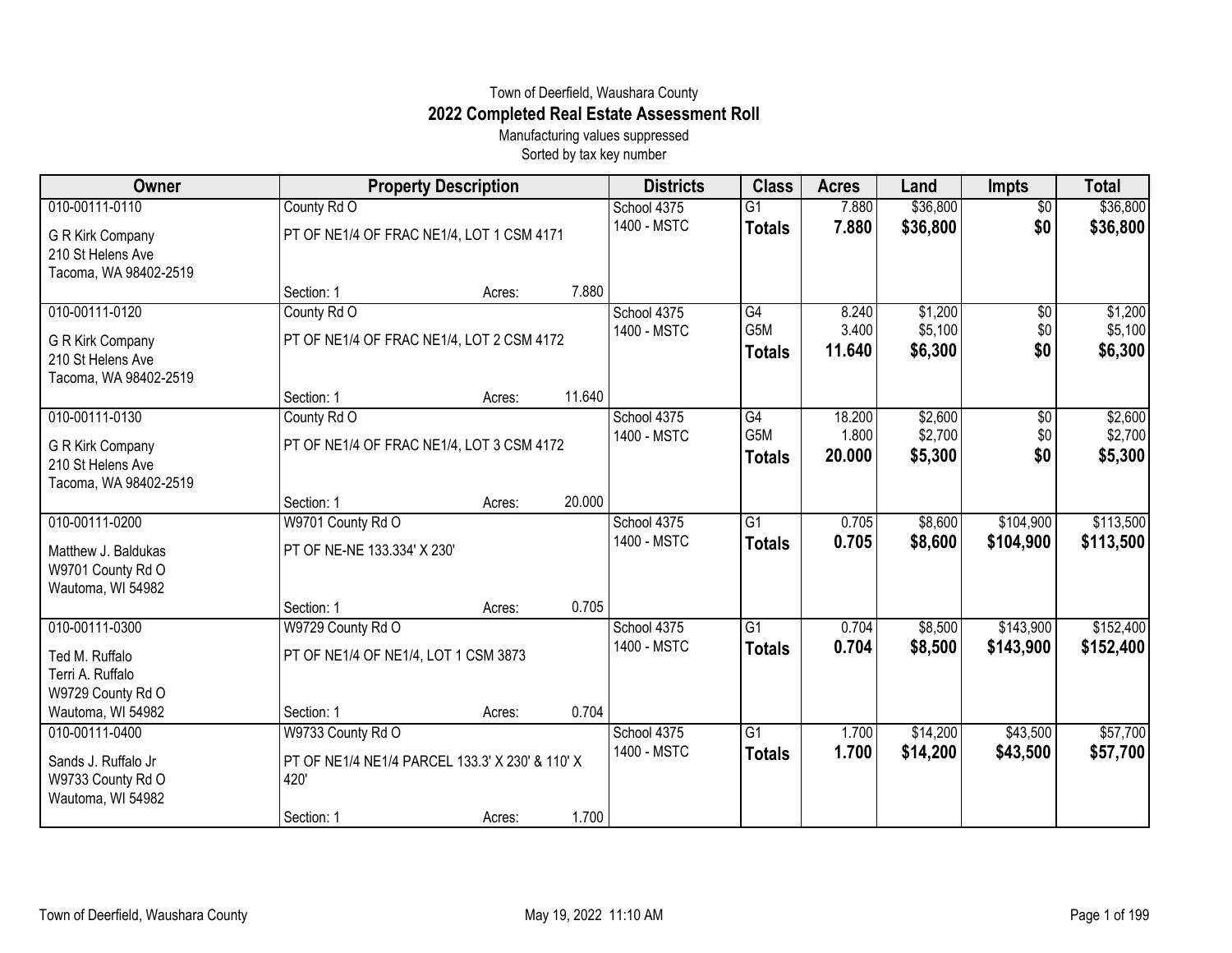## Town of Deerfield, Waushara County **2022 Completed Real Estate Assessment Roll**

Manufacturing values suppressed Sorted by tax key number

| Owner                                                          |                                                          | <b>Property Description</b> |        |                            | <b>Class</b>                     | <b>Acres</b>    | Land                 | <b>Impts</b>           | <b>Total</b>         |
|----------------------------------------------------------------|----------------------------------------------------------|-----------------------------|--------|----------------------------|----------------------------------|-----------------|----------------------|------------------------|----------------------|
| 010-00111-0110<br>G R Kirk Company                             | County Rd O<br>PT OF NE1/4 OF FRAC NE1/4, LOT 1 CSM 4171 |                             |        | School 4375<br>1400 - MSTC | $\overline{G1}$<br><b>Totals</b> | 7.880<br>7.880  | \$36,800<br>\$36,800 | $\overline{50}$<br>\$0 | \$36,800<br>\$36,800 |
| 210 St Helens Ave<br>Tacoma, WA 98402-2519                     |                                                          |                             |        |                            |                                  |                 |                      |                        |                      |
|                                                                | Section: 1                                               | Acres:                      | 7.880  |                            |                                  |                 |                      |                        |                      |
| 010-00111-0120                                                 | County Rd O                                              |                             |        | School 4375                | G4                               | 8.240           | \$1,200              | \$0                    | \$1,200              |
| G R Kirk Company<br>210 St Helens Ave<br>Tacoma, WA 98402-2519 | PT OF NE1/4 OF FRAC NE1/4, LOT 2 CSM 4172                |                             |        | 1400 - MSTC                | G5M<br><b>Totals</b>             | 3.400<br>11.640 | \$5,100<br>\$6,300   | \$0<br>\$0             | \$5,100<br>\$6,300   |
|                                                                | Section: 1                                               | Acres:                      | 11.640 |                            |                                  |                 |                      |                        |                      |
| 010-00111-0130                                                 | County Rd O                                              |                             |        | School 4375                | G4                               | 18.200          | \$2,600              | \$0                    | \$2,600              |
| <b>G R Kirk Company</b><br>210 St Helens Ave                   | PT OF NE1/4 OF FRAC NE1/4, LOT 3 CSM 4172                |                             |        | 1400 - MSTC                | G5M<br><b>Totals</b>             | 1.800<br>20,000 | \$2,700<br>\$5,300   | \$0<br>\$0             | \$2,700<br>\$5,300   |
| Tacoma, WA 98402-2519                                          |                                                          |                             |        |                            |                                  |                 |                      |                        |                      |
|                                                                | Section: 1                                               | Acres:                      | 20.000 |                            |                                  |                 |                      |                        |                      |
| 010-00111-0200                                                 | W9701 County Rd O                                        |                             |        | School 4375                | G1                               | 0.705           | \$8,600              | \$104,900              | \$113,500            |
| Matthew J. Baldukas<br>W9701 County Rd O<br>Wautoma, WI 54982  | PT OF NE-NE 133.334' X 230'                              |                             |        | 1400 - MSTC                | <b>Totals</b>                    | 0.705           | \$8,600              | \$104,900              | \$113,500            |
|                                                                | Section: 1                                               | Acres:                      | 0.705  |                            |                                  |                 |                      |                        |                      |
| 010-00111-0300                                                 | W9729 County Rd O                                        |                             |        | School 4375                | G1                               | 0.704           | \$8,500              | \$143,900              | \$152,400            |
| Ted M. Ruffalo<br>Terri A. Ruffalo<br>W9729 County Rd O        | PT OF NE1/4 OF NE1/4, LOT 1 CSM 3873                     |                             |        | 1400 - MSTC                | <b>Totals</b>                    | 0.704           | \$8,500              | \$143,900              | \$152,400            |
| Wautoma, WI 54982                                              | Section: 1                                               | Acres:                      | 0.704  |                            |                                  |                 |                      |                        |                      |
| 010-00111-0400                                                 | W9733 County Rd O                                        |                             |        | School 4375                | $\overline{G1}$                  | 1.700           | \$14,200             | \$43,500               | \$57,700             |
| Sands J. Ruffalo Jr<br>W9733 County Rd O<br>Wautoma, WI 54982  | PT OF NE1/4 NE1/4 PARCEL 133.3' X 230' & 110' X<br>420   |                             |        | 1400 - MSTC                | <b>Totals</b>                    | 1.700           | \$14,200             | \$43,500               | \$57,700             |
|                                                                | Section: 1                                               | Acres:                      | 1.700  |                            |                                  |                 |                      |                        |                      |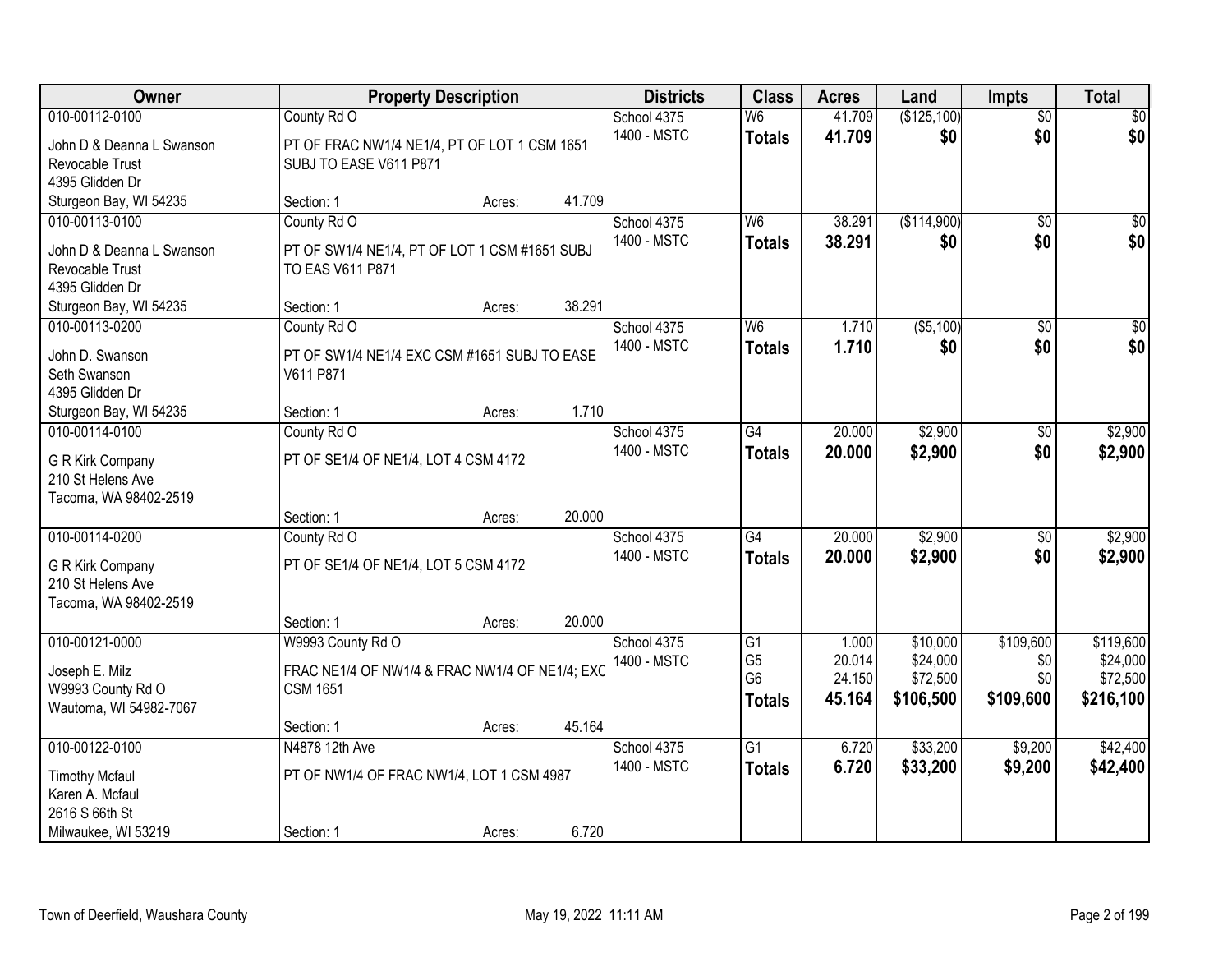| Owner                                                                             |                                                                                       | <b>Property Description</b> |        | <b>Districts</b>           | <b>Class</b>                                      | <b>Acres</b>               | Land                              | <b>Impts</b>            | <b>Total</b>                      |
|-----------------------------------------------------------------------------------|---------------------------------------------------------------------------------------|-----------------------------|--------|----------------------------|---------------------------------------------------|----------------------------|-----------------------------------|-------------------------|-----------------------------------|
| 010-00112-0100<br>John D & Deanna L Swanson<br>Revocable Trust<br>4395 Glidden Dr | County Rd O<br>PT OF FRAC NW1/4 NE1/4, PT OF LOT 1 CSM 1651<br>SUBJ TO EASE V611 P871 |                             |        | School 4375<br>1400 - MSTC | W <sub>6</sub><br><b>Totals</b>                   | 41.709<br>41.709           | (\$125,100)<br>\$0                | $\overline{50}$<br>\$0  | \$0<br>\$0                        |
| Sturgeon Bay, WI 54235                                                            | Section: 1                                                                            | Acres:                      | 41.709 |                            |                                                   |                            |                                   |                         |                                   |
| 010-00113-0100<br>John D & Deanna L Swanson<br>Revocable Trust<br>4395 Glidden Dr | County Rd O<br>PT OF SW1/4 NE1/4, PT OF LOT 1 CSM #1651 SUBJ<br>TO EAS V611 P871      |                             |        | School 4375<br>1400 - MSTC | W <sub>6</sub><br><b>Totals</b>                   | 38.291<br>38.291           | (\$114,900)<br>\$0                | $\overline{50}$<br>\$0  | \$0<br>\$0                        |
| Sturgeon Bay, WI 54235<br>010-00113-0200                                          | Section: 1<br>County Rd O                                                             | Acres:                      | 38.291 | School 4375                | W <sub>6</sub>                                    | 1.710                      | ( \$5,100)                        | \$0                     | $\overline{50}$                   |
| John D. Swanson<br>Seth Swanson<br>4395 Glidden Dr                                | PT OF SW1/4 NE1/4 EXC CSM #1651 SUBJ TO EASE<br>V611 P871                             |                             |        | 1400 - MSTC                | <b>Totals</b>                                     | 1.710                      | \$0                               | \$0                     | \$0                               |
| Sturgeon Bay, WI 54235                                                            | Section: 1                                                                            | Acres:                      | 1.710  |                            |                                                   |                            |                                   |                         |                                   |
| 010-00114-0100<br>G R Kirk Company<br>210 St Helens Ave<br>Tacoma, WA 98402-2519  | County Rd O<br>PT OF SE1/4 OF NE1/4, LOT 4 CSM 4172                                   |                             |        | School 4375<br>1400 - MSTC | G4<br><b>Totals</b>                               | 20.000<br>20,000           | \$2,900<br>\$2,900                | $\sqrt[6]{3}$<br>\$0    | \$2,900<br>\$2,900                |
|                                                                                   | Section: 1                                                                            | Acres:                      | 20.000 |                            |                                                   |                            |                                   |                         |                                   |
| 010-00114-0200<br>G R Kirk Company<br>210 St Helens Ave<br>Tacoma, WA 98402-2519  | County Rd O<br>PT OF SE1/4 OF NE1/4, LOT 5 CSM 4172<br>Section: 1                     | Acres:                      | 20.000 | School 4375<br>1400 - MSTC | $\overline{G4}$<br><b>Totals</b>                  | 20.000<br>20.000           | \$2,900<br>\$2,900                | $\overline{50}$<br>\$0  | \$2,900<br>\$2,900                |
| 010-00121-0000                                                                    | W9993 County Rd O                                                                     |                             |        | School 4375                | G1                                                | 1.000                      | \$10,000                          | \$109,600               | \$119,600                         |
| Joseph E. Milz<br>W9993 County Rd O<br>Wautoma, WI 54982-7067                     | FRAC NE1/4 OF NW1/4 & FRAC NW1/4 OF NE1/4; EXC<br><b>CSM 1651</b>                     |                             |        | 1400 - MSTC                | G <sub>5</sub><br>G <sub>6</sub><br><b>Totals</b> | 20.014<br>24.150<br>45.164 | \$24,000<br>\$72,500<br>\$106,500 | \$0<br>\$0<br>\$109,600 | \$24,000<br>\$72,500<br>\$216,100 |
|                                                                                   | Section: 1                                                                            | Acres:                      | 45.164 |                            |                                                   |                            |                                   |                         |                                   |
| 010-00122-0100<br><b>Timothy Mcfaul</b><br>Karen A. Mcfaul<br>2616 S 66th St      | N4878 12th Ave<br>PT OF NW1/4 OF FRAC NW1/4, LOT 1 CSM 4987                           |                             | 6.720  | School 4375<br>1400 - MSTC | $\overline{G1}$<br><b>Totals</b>                  | 6.720<br>6.720             | \$33,200<br>\$33,200              | \$9,200<br>\$9,200      | \$42,400<br>\$42,400              |
| Milwaukee, WI 53219                                                               | Section: 1                                                                            | Acres:                      |        |                            |                                                   |                            |                                   |                         |                                   |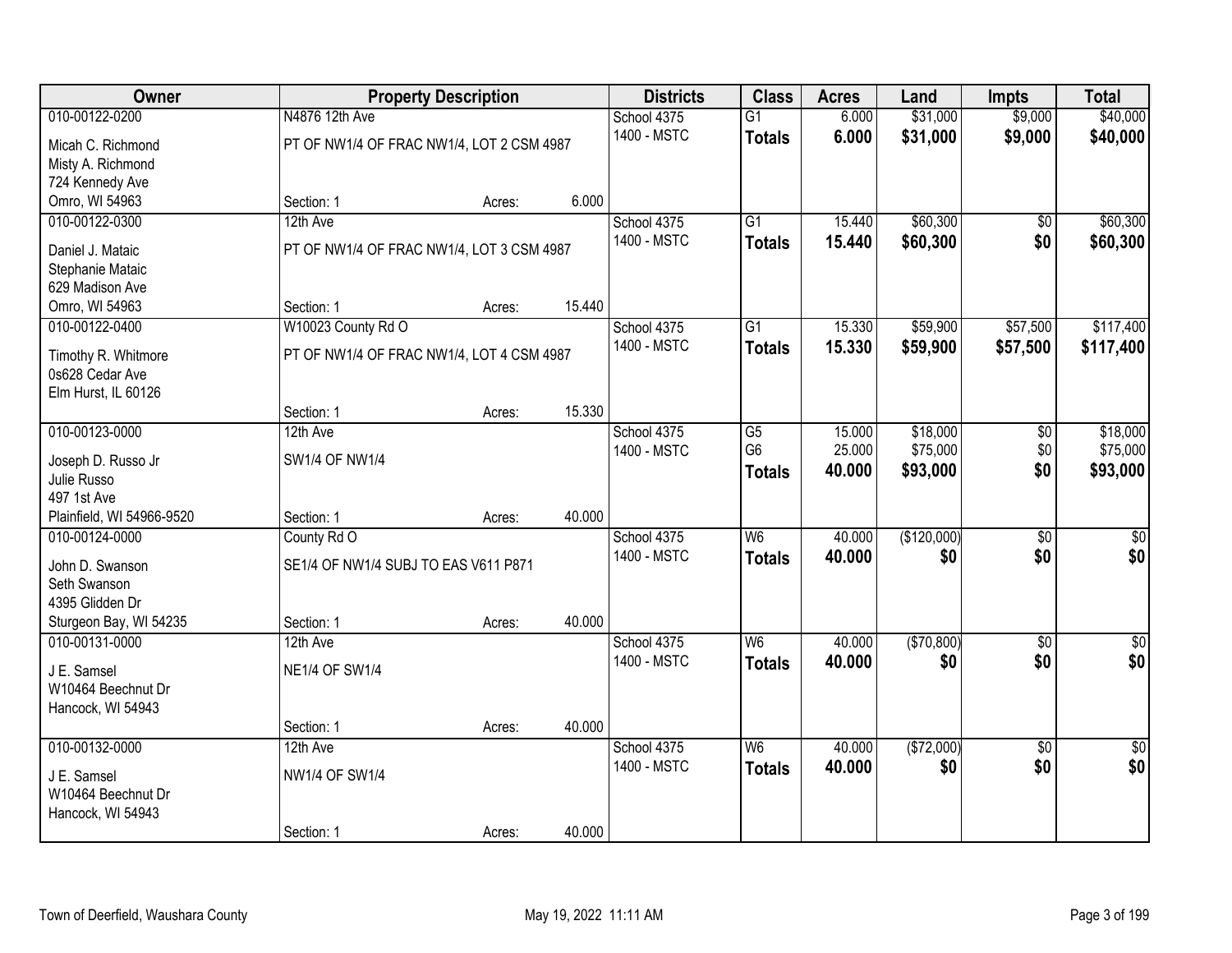| Owner                     |                                           | <b>Property Description</b> |        | <b>Districts</b> | <b>Class</b>             | <b>Acres</b> | Land        | <b>Impts</b>    | <b>Total</b>     |
|---------------------------|-------------------------------------------|-----------------------------|--------|------------------|--------------------------|--------------|-------------|-----------------|------------------|
| 010-00122-0200            | N4876 12th Ave                            |                             |        | School 4375      | $\overline{G1}$          | 6.000        | \$31,000    | \$9,000         | \$40,000         |
| Micah C. Richmond         | PT OF NW1/4 OF FRAC NW1/4, LOT 2 CSM 4987 |                             |        | 1400 - MSTC      | <b>Totals</b>            | 6.000        | \$31,000    | \$9,000         | \$40,000         |
| Misty A. Richmond         |                                           |                             |        |                  |                          |              |             |                 |                  |
| 724 Kennedy Ave           |                                           |                             |        |                  |                          |              |             |                 |                  |
| Omro, WI 54963            | Section: 1                                | Acres:                      | 6.000  |                  |                          |              |             |                 |                  |
| 010-00122-0300            | 12th Ave                                  |                             |        | School 4375      | $\overline{G1}$          | 15.440       | \$60,300    | $\overline{50}$ | \$60,300         |
| Daniel J. Mataic          | PT OF NW1/4 OF FRAC NW1/4, LOT 3 CSM 4987 |                             |        | 1400 - MSTC      | <b>Totals</b>            | 15.440       | \$60,300    | \$0             | \$60,300         |
| Stephanie Mataic          |                                           |                             |        |                  |                          |              |             |                 |                  |
| 629 Madison Ave           |                                           |                             |        |                  |                          |              |             |                 |                  |
| Omro, WI 54963            | Section: 1                                | Acres:                      | 15.440 |                  |                          |              |             |                 |                  |
| 010-00122-0400            | W10023 County Rd O                        |                             |        | School 4375      | $\overline{G1}$          | 15.330       | \$59,900    | \$57,500        | \$117,400        |
| Timothy R. Whitmore       | PT OF NW1/4 OF FRAC NW1/4, LOT 4 CSM 4987 |                             |        | 1400 - MSTC      | <b>Totals</b>            | 15.330       | \$59,900    | \$57,500        | \$117,400        |
| 0s628 Cedar Ave           |                                           |                             |        |                  |                          |              |             |                 |                  |
| Elm Hurst, IL 60126       |                                           |                             |        |                  |                          |              |             |                 |                  |
|                           | Section: 1                                | Acres:                      | 15.330 |                  |                          |              |             |                 |                  |
| 010-00123-0000            | 12th Ave                                  |                             |        | School 4375      | G5                       | 15.000       | \$18,000    | \$0             | \$18,000         |
| Joseph D. Russo Jr        | SW1/4 OF NW1/4                            |                             |        | 1400 - MSTC      | G <sub>6</sub>           | 25.000       | \$75,000    | \$0             | \$75,000         |
| Julie Russo               |                                           |                             |        |                  | <b>Totals</b>            | 40.000       | \$93,000    | \$0             | \$93,000         |
| 497 1st Ave               |                                           |                             |        |                  |                          |              |             |                 |                  |
| Plainfield, WI 54966-9520 | Section: 1                                | Acres:                      | 40.000 |                  |                          |              |             |                 |                  |
| 010-00124-0000            | County Rd O                               |                             |        | School 4375      | $\overline{\mathsf{W6}}$ | 40.000       | (\$120,000) | $\overline{30}$ | $\overline{\$0}$ |
| John D. Swanson           | SE1/4 OF NW1/4 SUBJ TO EAS V611 P871      |                             |        | 1400 - MSTC      | <b>Totals</b>            | 40.000       | \$0         | \$0             | \$0              |
| Seth Swanson              |                                           |                             |        |                  |                          |              |             |                 |                  |
| 4395 Glidden Dr           |                                           |                             |        |                  |                          |              |             |                 |                  |
| Sturgeon Bay, WI 54235    | Section: 1                                | Acres:                      | 40.000 |                  |                          |              |             |                 |                  |
| 010-00131-0000            | 12th Ave                                  |                             |        | School 4375      | W6                       | 40.000       | (\$70,800)  | \$0             | $\sqrt{50}$      |
| J E. Samsel               | <b>NE1/4 OF SW1/4</b>                     |                             |        | 1400 - MSTC      | <b>Totals</b>            | 40.000       | \$0         | \$0             | \$0              |
| W10464 Beechnut Dr        |                                           |                             |        |                  |                          |              |             |                 |                  |
| Hancock, WI 54943         |                                           |                             |        |                  |                          |              |             |                 |                  |
|                           | Section: 1                                | Acres:                      | 40.000 |                  |                          |              |             |                 |                  |
| 010-00132-0000            | 12th Ave                                  |                             |        | School 4375      | W6                       | 40.000       | ( \$72,000) | $\overline{50}$ | $\frac{1}{6}$    |
| J E. Samsel               | NW1/4 OF SW1/4                            |                             |        | 1400 - MSTC      | <b>Totals</b>            | 40.000       | \$0         | \$0             | \$0              |
| W10464 Beechnut Dr        |                                           |                             |        |                  |                          |              |             |                 |                  |
| Hancock, WI 54943         |                                           |                             |        |                  |                          |              |             |                 |                  |
|                           | Section: 1                                | Acres:                      | 40.000 |                  |                          |              |             |                 |                  |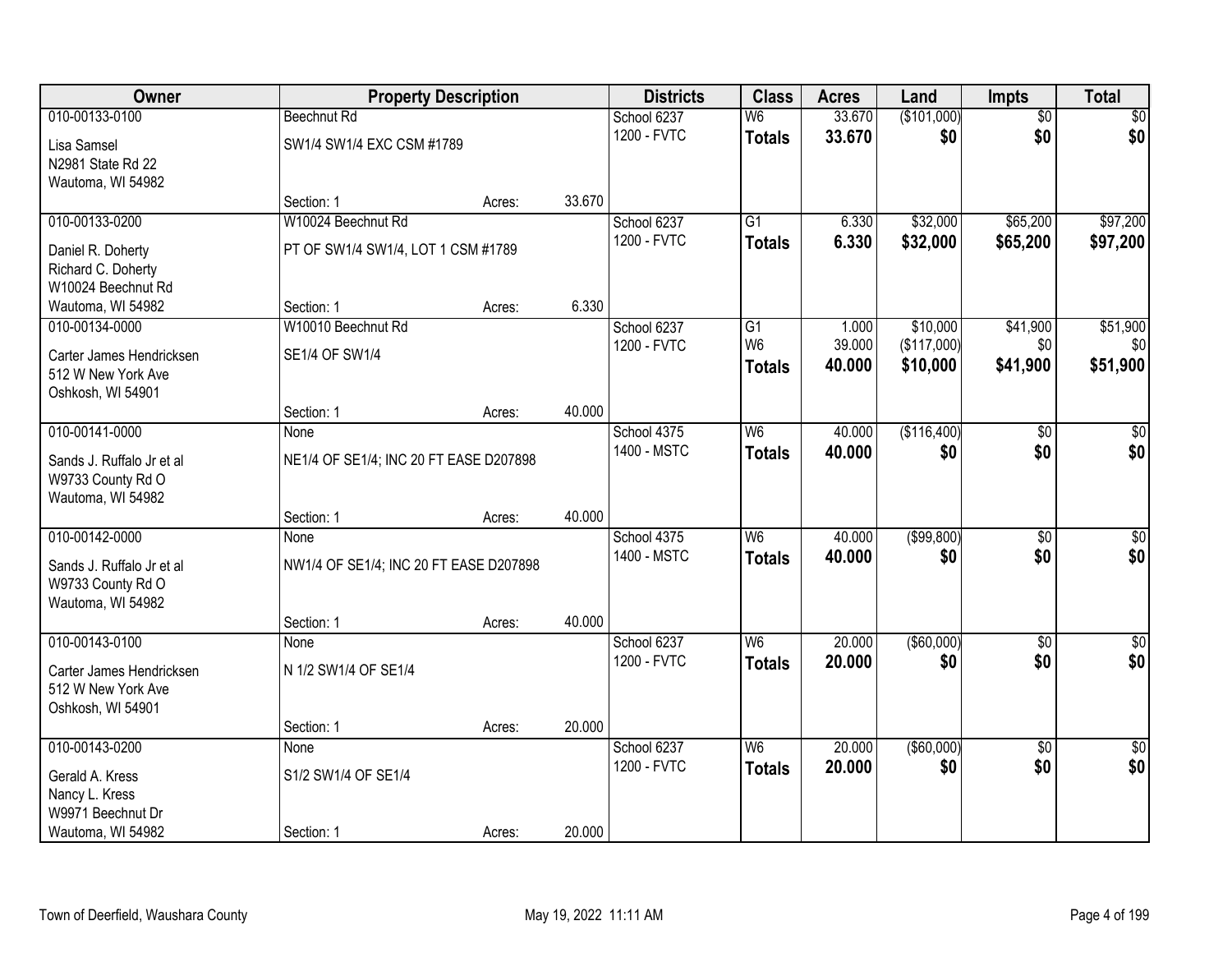| Owner                                   | <b>Property Description</b>            |        |        | <b>Districts</b>           | <b>Class</b>             | <b>Acres</b> | Land              | <b>Impts</b>    | <b>Total</b>    |
|-----------------------------------------|----------------------------------------|--------|--------|----------------------------|--------------------------|--------------|-------------------|-----------------|-----------------|
| 010-00133-0100                          | <b>Beechnut Rd</b>                     |        |        | School 6237                | $\overline{\mathsf{W6}}$ | 33.670       | (\$101,000)       | $\overline{50}$ | $\overline{30}$ |
| Lisa Samsel                             | SW1/4 SW1/4 EXC CSM #1789              |        |        | 1200 - FVTC                | <b>Totals</b>            | 33.670       | \$0               | \$0             | \$0             |
| N2981 State Rd 22                       |                                        |        |        |                            |                          |              |                   |                 |                 |
| Wautoma, WI 54982                       | Section: 1                             | Acres: | 33.670 |                            |                          |              |                   |                 |                 |
| 010-00133-0200                          | W10024 Beechnut Rd                     |        |        | School 6237                | $\overline{G1}$          | 6.330        | \$32,000          | \$65,200        | \$97,200        |
|                                         |                                        |        |        | 1200 - FVTC                | <b>Totals</b>            | 6.330        | \$32,000          | \$65,200        | \$97,200        |
| Daniel R. Doherty<br>Richard C. Doherty | PT OF SW1/4 SW1/4, LOT 1 CSM #1789     |        |        |                            |                          |              |                   |                 |                 |
| W10024 Beechnut Rd                      |                                        |        |        |                            |                          |              |                   |                 |                 |
| Wautoma, WI 54982                       | Section: 1                             | Acres: | 6.330  |                            |                          |              |                   |                 |                 |
| 010-00134-0000                          | W10010 Beechnut Rd                     |        |        | School 6237                | G1                       | 1.000        | \$10,000          | \$41,900        | \$51,900        |
| Carter James Hendricksen                | SE1/4 OF SW1/4                         |        |        | 1200 - FVTC                | W <sub>6</sub>           | 39.000       | (\$117,000)       | \$0             | \$0             |
| 512 W New York Ave                      |                                        |        |        |                            | <b>Totals</b>            | 40.000       | \$10,000          | \$41,900        | \$51,900        |
| Oshkosh, WI 54901                       |                                        |        |        |                            |                          |              |                   |                 |                 |
|                                         | Section: 1                             | Acres: | 40.000 |                            |                          |              |                   |                 |                 |
| 010-00141-0000                          | None                                   |        |        | School 4375<br>1400 - MSTC | W6                       | 40.000       | (\$116,400)       | \$0             | \$0             |
| Sands J. Ruffalo Jr et al               | NE1/4 OF SE1/4; INC 20 FT EASE D207898 |        |        |                            | <b>Totals</b>            | 40.000       | \$0               | \$0             | \$0             |
| W9733 County Rd O                       |                                        |        |        |                            |                          |              |                   |                 |                 |
| Wautoma, WI 54982                       | Section: 1                             | Acres: | 40.000 |                            |                          |              |                   |                 |                 |
| 010-00142-0000                          | None                                   |        |        | School 4375                | W <sub>6</sub>           | 40.000       | (\$99,800)        | $\overline{30}$ | \$0             |
| Sands J. Ruffalo Jr et al               | NW1/4 OF SE1/4; INC 20 FT EASE D207898 |        |        | 1400 - MSTC                | <b>Totals</b>            | 40.000       | \$0               | \$0             | \$0             |
| W9733 County Rd O                       |                                        |        |        |                            |                          |              |                   |                 |                 |
| Wautoma, WI 54982                       |                                        |        |        |                            |                          |              |                   |                 |                 |
|                                         | Section: 1                             | Acres: | 40.000 |                            |                          |              |                   |                 |                 |
| 010-00143-0100                          | None                                   |        |        | School 6237                | W6                       | 20.000       | $($ \$60,000) $ $ | $\overline{60}$ | $\sqrt{50}$     |
| Carter James Hendricksen                | N 1/2 SW1/4 OF SE1/4                   |        |        | 1200 - FVTC                | <b>Totals</b>            | 20.000       | \$0               | \$0             | \$0             |
| 512 W New York Ave                      |                                        |        |        |                            |                          |              |                   |                 |                 |
| Oshkosh, WI 54901                       |                                        |        |        |                            |                          |              |                   |                 |                 |
| 010-00143-0200                          | Section: 1<br>None                     | Acres: | 20.000 | School 6237                | W6                       | 20.000       | (\$60,000)        | $\overline{50}$ | $\sqrt{30}$     |
|                                         |                                        |        |        | 1200 - FVTC                | <b>Totals</b>            | 20.000       | \$0               | \$0             | \$0             |
| Gerald A. Kress                         | S1/2 SW1/4 OF SE1/4                    |        |        |                            |                          |              |                   |                 |                 |
| Nancy L. Kress<br>W9971 Beechnut Dr     |                                        |        |        |                            |                          |              |                   |                 |                 |
| Wautoma, WI 54982                       | Section: 1                             | Acres: | 20.000 |                            |                          |              |                   |                 |                 |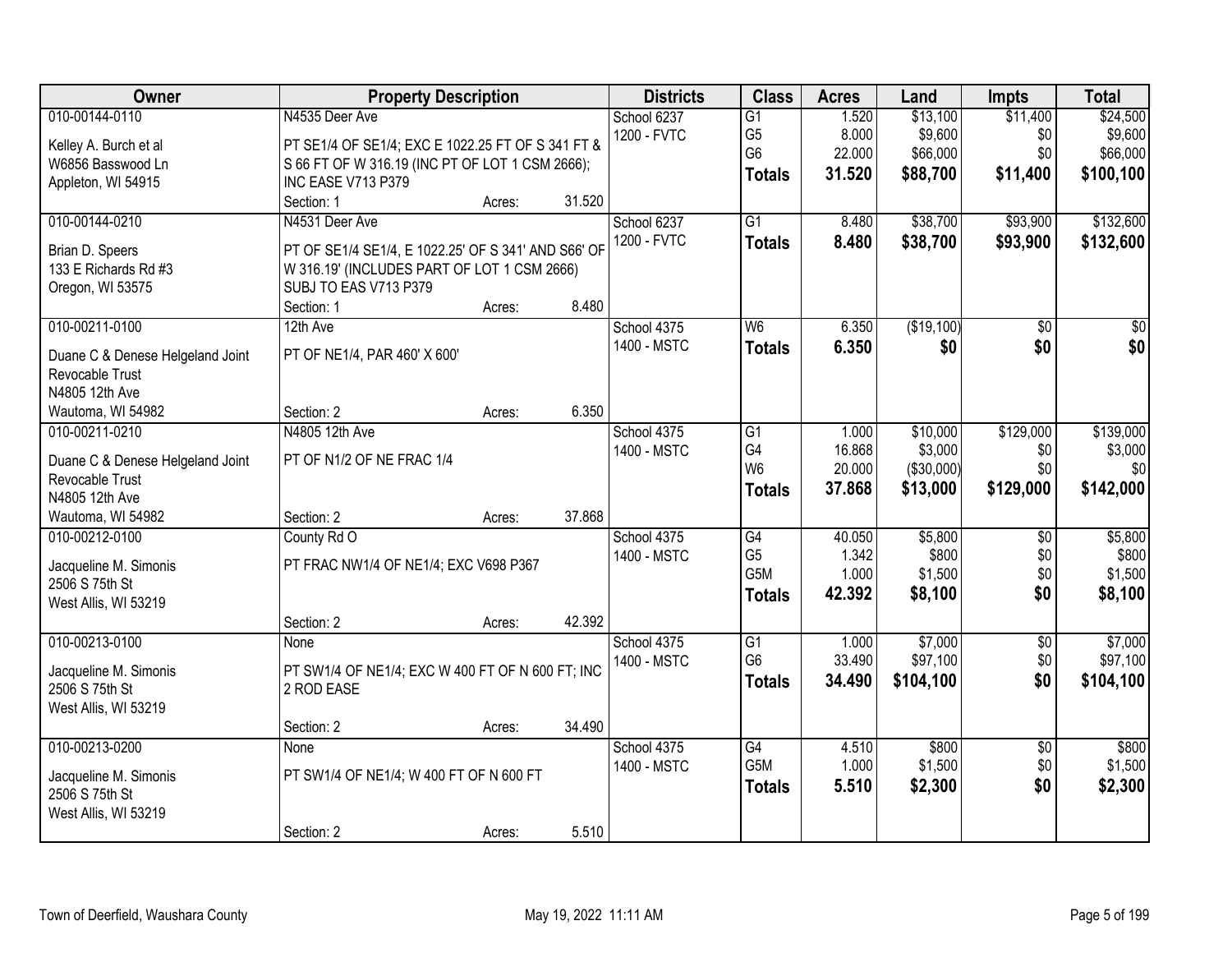| Owner                                   |                                                     | <b>Property Description</b> |        | <b>Districts</b> | <b>Class</b>    | <b>Acres</b> | Land       | <b>Impts</b>    | <b>Total</b>    |
|-----------------------------------------|-----------------------------------------------------|-----------------------------|--------|------------------|-----------------|--------------|------------|-----------------|-----------------|
| 010-00144-0110                          | N4535 Deer Ave                                      |                             |        | School 6237      | $\overline{G1}$ | 1.520        | \$13,100   | \$11,400        | \$24,500        |
| Kelley A. Burch et al                   | PT SE1/4 OF SE1/4; EXC E 1022.25 FT OF S 341 FT &   |                             |        | 1200 - FVTC      | G <sub>5</sub>  | 8.000        | \$9,600    | \$0             | \$9,600         |
| W6856 Basswood Ln                       | S 66 FT OF W 316.19 (INC PT OF LOT 1 CSM 2666);     |                             |        |                  | G <sub>6</sub>  | 22.000       | \$66,000   | \$0             | \$66,000        |
| Appleton, WI 54915                      | INC EASE V713 P379                                  |                             |        |                  | <b>Totals</b>   | 31.520       | \$88,700   | \$11,400        | \$100,100       |
|                                         | Section: 1                                          | Acres:                      | 31.520 |                  |                 |              |            |                 |                 |
| 010-00144-0210                          | N4531 Deer Ave                                      |                             |        | School 6237      | $\overline{G1}$ | 8.480        | \$38,700   | \$93,900        | \$132,600       |
| Brian D. Speers                         | PT OF SE1/4 SE1/4, E 1022.25' OF S 341' AND S66' OF |                             |        | 1200 - FVTC      | <b>Totals</b>   | 8.480        | \$38,700   | \$93,900        | \$132,600       |
| 133 E Richards Rd #3                    | W 316.19' (INCLUDES PART OF LOT 1 CSM 2666)         |                             |        |                  |                 |              |            |                 |                 |
| Oregon, WI 53575                        | SUBJ TO EAS V713 P379                               |                             |        |                  |                 |              |            |                 |                 |
|                                         | Section: 1                                          | Acres:                      | 8.480  |                  |                 |              |            |                 |                 |
| 010-00211-0100                          | 12th Ave                                            |                             |        | School 4375      | W <sub>6</sub>  | 6.350        | (\$19,100) | \$0             | $\overline{50}$ |
|                                         |                                                     |                             |        | 1400 - MSTC      | <b>Totals</b>   | 6.350        | \$0        | \$0             | \$0             |
| Duane C & Denese Helgeland Joint        | PT OF NE1/4, PAR 460' X 600'                        |                             |        |                  |                 |              |            |                 |                 |
| Revocable Trust                         |                                                     |                             |        |                  |                 |              |            |                 |                 |
| N4805 12th Ave                          | Section: 2                                          |                             | 6.350  |                  |                 |              |            |                 |                 |
| Wautoma, WI 54982<br>010-00211-0210     | N4805 12th Ave                                      | Acres:                      |        | School 4375      | G1              | 1.000        | \$10,000   | \$129,000       | \$139,000       |
|                                         |                                                     |                             |        | 1400 - MSTC      | G4              | 16.868       | \$3,000    | \$0             | \$3,000         |
| Duane C & Denese Helgeland Joint        | PT OF N1/2 OF NE FRAC 1/4                           |                             |        |                  | W <sub>6</sub>  | 20.000       | (\$30,000) | \$0             | \$0             |
| Revocable Trust                         |                                                     |                             |        |                  | <b>Totals</b>   | 37.868       | \$13,000   | \$129,000       | \$142,000       |
| N4805 12th Ave                          |                                                     |                             |        |                  |                 |              |            |                 |                 |
| Wautoma, WI 54982                       | Section: 2                                          | Acres:                      | 37.868 |                  |                 |              |            |                 |                 |
| 010-00212-0100                          | County Rd O                                         |                             |        | School 4375      | $\overline{G4}$ | 40.050       | \$5,800    | $\overline{50}$ | \$5,800         |
| Jacqueline M. Simonis                   | PT FRAC NW1/4 OF NE1/4; EXC V698 P367               |                             |        | 1400 - MSTC      | G <sub>5</sub>  | 1.342        | \$800      | \$0             | \$800           |
| 2506 S 75th St                          |                                                     |                             |        |                  | G5M             | 1.000        | \$1,500    | \$0             | \$1,500         |
| West Allis, WI 53219                    |                                                     |                             |        |                  | <b>Totals</b>   | 42.392       | \$8,100    | \$0             | \$8,100         |
|                                         | Section: 2                                          | Acres:                      | 42.392 |                  |                 |              |            |                 |                 |
| 010-00213-0100                          | None                                                |                             |        | School 4375      | G1              | 1.000        | \$7,000    | $\overline{50}$ | \$7,000         |
| Jacqueline M. Simonis                   | PT SW1/4 OF NE1/4; EXC W 400 FT OF N 600 FT; INC    |                             |        | 1400 - MSTC      | G <sub>6</sub>  | 33.490       | \$97,100   | \$0             | \$97,100        |
| 2506 S 75th St                          | 2 ROD EASE                                          |                             |        |                  | <b>Totals</b>   | 34.490       | \$104,100  | \$0             | \$104,100       |
| West Allis, WI 53219                    |                                                     |                             |        |                  |                 |              |            |                 |                 |
|                                         | Section: 2                                          | Acres:                      | 34.490 |                  |                 |              |            |                 |                 |
| 010-00213-0200                          | None                                                |                             |        | School 4375      | $\overline{G4}$ | 4.510        | \$800      | $\overline{30}$ | \$800           |
|                                         | PT SW1/4 OF NE1/4; W 400 FT OF N 600 FT             |                             |        | 1400 - MSTC      | G5M             | 1.000        | \$1,500    | \$0             | \$1,500         |
| Jacqueline M. Simonis<br>2506 S 75th St |                                                     |                             |        |                  | <b>Totals</b>   | 5.510        | \$2,300    | \$0             | \$2,300         |
| West Allis, WI 53219                    |                                                     |                             |        |                  |                 |              |            |                 |                 |
|                                         | Section: 2                                          | Acres:                      | 5.510  |                  |                 |              |            |                 |                 |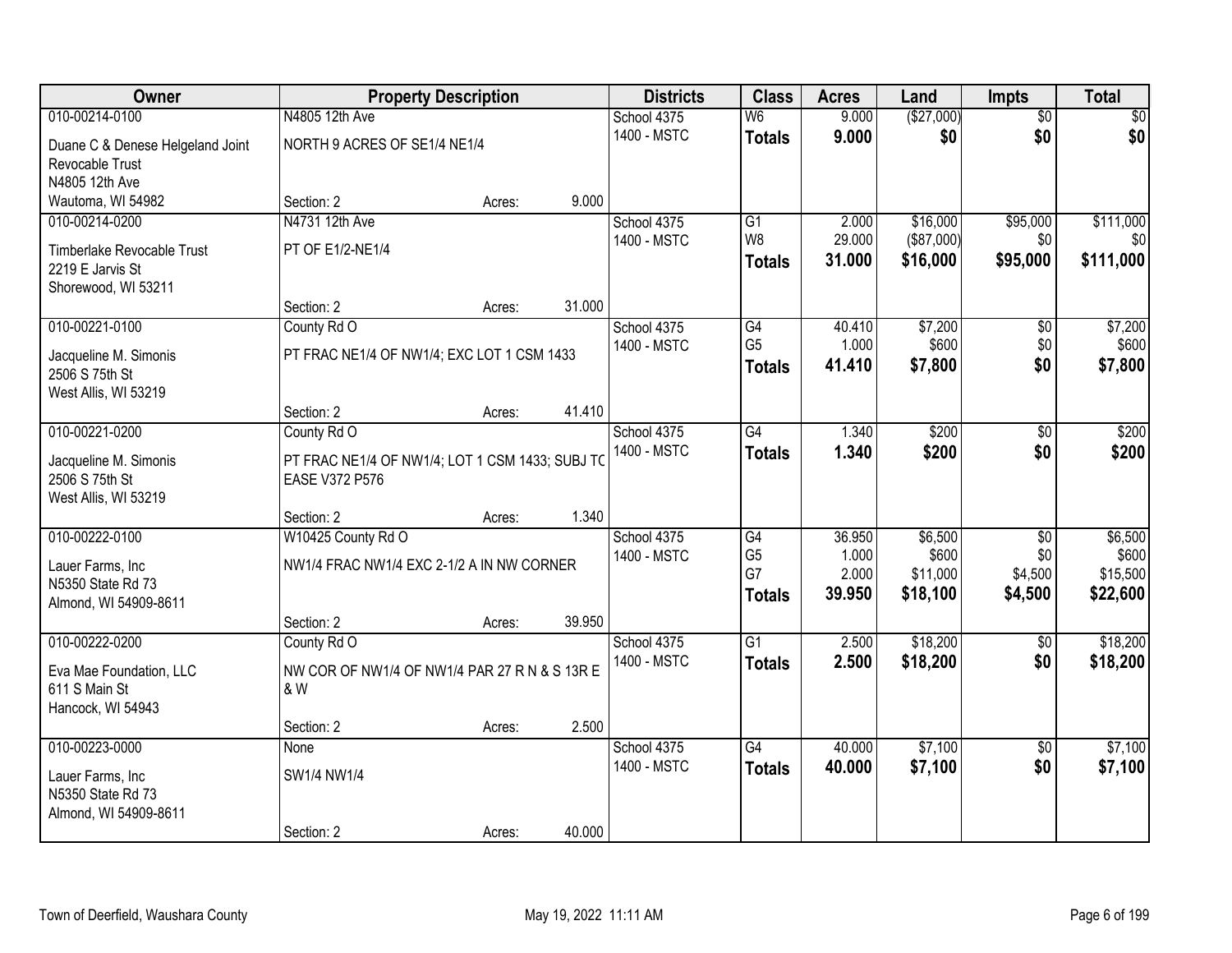| Owner                            |                                                 | <b>Property Description</b> |        | <b>Districts</b> | <b>Class</b>             | <b>Acres</b> | Land       | Impts           | <b>Total</b> |
|----------------------------------|-------------------------------------------------|-----------------------------|--------|------------------|--------------------------|--------------|------------|-----------------|--------------|
| 010-00214-0100                   | N4805 12th Ave                                  |                             |        | School 4375      | $\overline{\mathsf{W6}}$ | 9.000        | (\$27,000) | $\overline{50}$ | \$0          |
| Duane C & Denese Helgeland Joint | NORTH 9 ACRES OF SE1/4 NE1/4                    |                             |        | 1400 - MSTC      | <b>Totals</b>            | 9.000        | \$0        | \$0             | \$0          |
| Revocable Trust                  |                                                 |                             |        |                  |                          |              |            |                 |              |
| N4805 12th Ave                   |                                                 |                             |        |                  |                          |              |            |                 |              |
| Wautoma, WI 54982                | Section: 2                                      | Acres:                      | 9.000  |                  |                          |              |            |                 |              |
| 010-00214-0200                   | N4731 12th Ave                                  |                             |        | School 4375      | $\overline{G1}$          | 2.000        | \$16,000   | \$95,000        | \$111,000    |
| Timberlake Revocable Trust       | PT OF E1/2-NE1/4                                |                             |        | 1400 - MSTC      | W <sub>8</sub>           | 29.000       | (\$87,000) | \$0             | \$0          |
| 2219 E Jarvis St                 |                                                 |                             |        |                  | <b>Totals</b>            | 31.000       | \$16,000   | \$95,000        | \$111,000    |
| Shorewood, WI 53211              |                                                 |                             |        |                  |                          |              |            |                 |              |
|                                  | Section: 2                                      | Acres:                      | 31.000 |                  |                          |              |            |                 |              |
| 010-00221-0100                   | County Rd O                                     |                             |        | School 4375      | G4                       | 40.410       | \$7,200    | \$0             | \$7,200      |
| Jacqueline M. Simonis            | PT FRAC NE1/4 OF NW1/4; EXC LOT 1 CSM 1433      |                             |        | 1400 - MSTC      | G <sub>5</sub>           | 1.000        | \$600      | \$0             | \$600        |
| 2506 S 75th St                   |                                                 |                             |        |                  | <b>Totals</b>            | 41.410       | \$7,800    | \$0             | \$7,800      |
| West Allis, WI 53219             |                                                 |                             |        |                  |                          |              |            |                 |              |
|                                  | Section: 2                                      | Acres:                      | 41.410 |                  |                          |              |            |                 |              |
| 010-00221-0200                   | County Rd O                                     |                             |        | School 4375      | $\overline{G4}$          | 1.340        | \$200      | \$0             | \$200        |
| Jacqueline M. Simonis            | PT FRAC NE1/4 OF NW1/4; LOT 1 CSM 1433; SUBJ TO |                             |        | 1400 - MSTC      | <b>Totals</b>            | 1.340        | \$200      | \$0             | \$200        |
| 2506 S 75th St                   | <b>EASE V372 P576</b>                           |                             |        |                  |                          |              |            |                 |              |
| West Allis, WI 53219             |                                                 |                             |        |                  |                          |              |            |                 |              |
|                                  | Section: 2                                      | Acres:                      | 1.340  |                  |                          |              |            |                 |              |
| 010-00222-0100                   | W10425 County Rd O                              |                             |        | School 4375      | G4                       | 36.950       | \$6,500    | $\overline{50}$ | \$6,500      |
| Lauer Farms, Inc                 | NW1/4 FRAC NW1/4 EXC 2-1/2 A IN NW CORNER       |                             |        | 1400 - MSTC      | G <sub>5</sub>           | 1.000        | \$600      | \$0             | \$600        |
| N5350 State Rd 73                |                                                 |                             |        |                  | G7                       | 2.000        | \$11,000   | \$4,500         | \$15,500     |
| Almond, WI 54909-8611            |                                                 |                             |        |                  | <b>Totals</b>            | 39.950       | \$18,100   | \$4,500         | \$22,600     |
|                                  | Section: 2                                      | Acres:                      | 39.950 |                  |                          |              |            |                 |              |
| 010-00222-0200                   | County Rd O                                     |                             |        | School 4375      | G1                       | 2.500        | \$18,200   | \$0             | \$18,200     |
| Eva Mae Foundation, LLC          | NW COR OF NW1/4 OF NW1/4 PAR 27 R N & S 13R E   |                             |        | 1400 - MSTC      | <b>Totals</b>            | 2.500        | \$18,200   | \$0             | \$18,200     |
| 611 S Main St                    | & W                                             |                             |        |                  |                          |              |            |                 |              |
| Hancock, WI 54943                |                                                 |                             |        |                  |                          |              |            |                 |              |
|                                  | Section: 2                                      | Acres:                      | 2.500  |                  |                          |              |            |                 |              |
| 010-00223-0000                   | None                                            |                             |        | School 4375      | $\overline{G4}$          | 40.000       | \$7,100    | $\overline{50}$ | \$7,100      |
| Lauer Farms, Inc                 | SW1/4 NW1/4                                     |                             |        | 1400 - MSTC      | <b>Totals</b>            | 40.000       | \$7,100    | \$0             | \$7,100      |
| N5350 State Rd 73                |                                                 |                             |        |                  |                          |              |            |                 |              |
| Almond, WI 54909-8611            |                                                 |                             |        |                  |                          |              |            |                 |              |
|                                  | Section: 2                                      | Acres:                      | 40.000 |                  |                          |              |            |                 |              |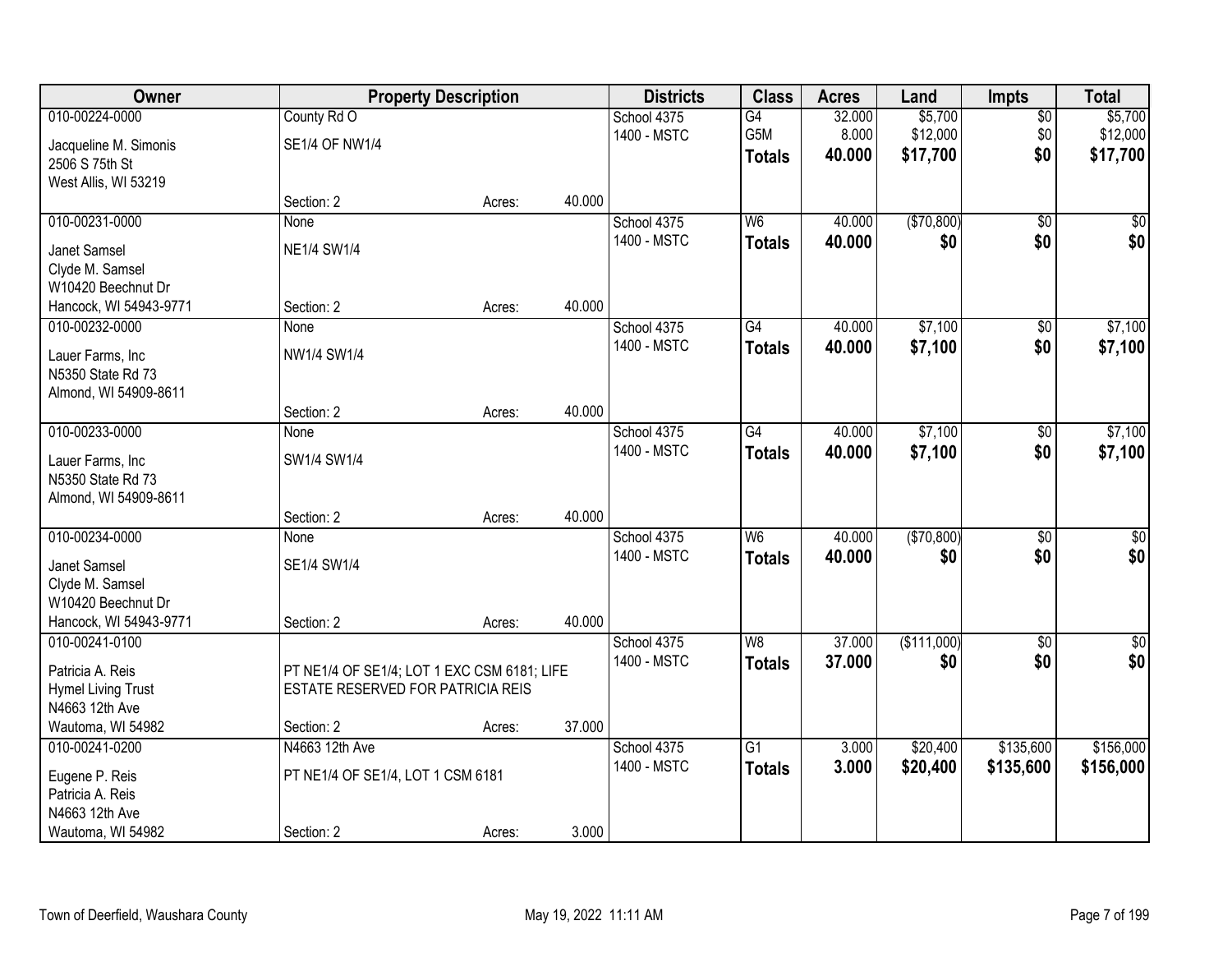| Owner                     |                                             | <b>Property Description</b> |        | <b>Districts</b> | <b>Class</b>    | <b>Acres</b> | Land        | <b>Impts</b>    | <b>Total</b> |
|---------------------------|---------------------------------------------|-----------------------------|--------|------------------|-----------------|--------------|-------------|-----------------|--------------|
| 010-00224-0000            | County Rd O                                 |                             |        | School 4375      | G4              | 32.000       | \$5,700     | $\overline{50}$ | \$5,700      |
| Jacqueline M. Simonis     | <b>SE1/4 OF NW1/4</b>                       |                             |        | 1400 - MSTC      | G5M             | 8.000        | \$12,000    | \$0             | \$12,000     |
| 2506 S 75th St            |                                             |                             |        |                  | <b>Totals</b>   | 40.000       | \$17,700    | \$0             | \$17,700     |
| West Allis, WI 53219      |                                             |                             |        |                  |                 |              |             |                 |              |
|                           | Section: 2                                  | Acres:                      | 40.000 |                  |                 |              |             |                 |              |
| 010-00231-0000            | None                                        |                             |        | School 4375      | $\overline{W6}$ | 40.000       | (\$70,800)  | $\overline{50}$ | $\sqrt{50}$  |
| Janet Samsel              | <b>NE1/4 SW1/4</b>                          |                             |        | 1400 - MSTC      | <b>Totals</b>   | 40.000       | \$0         | \$0             | \$0          |
| Clyde M. Samsel           |                                             |                             |        |                  |                 |              |             |                 |              |
| W10420 Beechnut Dr        |                                             |                             |        |                  |                 |              |             |                 |              |
| Hancock, WI 54943-9771    | Section: 2                                  | Acres:                      | 40.000 |                  |                 |              |             |                 |              |
| 010-00232-0000            | None                                        |                             |        | School 4375      | G4              | 40.000       | \$7,100     | \$0             | \$7,100      |
| Lauer Farms, Inc          | NW1/4 SW1/4                                 |                             |        | 1400 - MSTC      | <b>Totals</b>   | 40.000       | \$7,100     | \$0             | \$7,100      |
| N5350 State Rd 73         |                                             |                             |        |                  |                 |              |             |                 |              |
| Almond, WI 54909-8611     |                                             |                             |        |                  |                 |              |             |                 |              |
|                           | Section: 2                                  | Acres:                      | 40.000 |                  |                 |              |             |                 |              |
| 010-00233-0000            | None                                        |                             |        | School 4375      | $\overline{G4}$ | 40.000       | \$7,100     | \$0             | \$7,100      |
| Lauer Farms, Inc          | SW1/4 SW1/4                                 |                             |        | 1400 - MSTC      | <b>Totals</b>   | 40.000       | \$7,100     | \$0             | \$7,100      |
| N5350 State Rd 73         |                                             |                             |        |                  |                 |              |             |                 |              |
| Almond, WI 54909-8611     |                                             |                             |        |                  |                 |              |             |                 |              |
|                           | Section: 2                                  | Acres:                      | 40.000 |                  |                 |              |             |                 |              |
| 010-00234-0000            | None                                        |                             |        | School 4375      | W <sub>6</sub>  | 40.000       | (\$70,800)  | $\overline{50}$ | $\sqrt{50}$  |
| Janet Samsel              | SE1/4 SW1/4                                 |                             |        | 1400 - MSTC      | <b>Totals</b>   | 40.000       | \$0         | \$0             | \$0          |
| Clyde M. Samsel           |                                             |                             |        |                  |                 |              |             |                 |              |
| W10420 Beechnut Dr        |                                             |                             |        |                  |                 |              |             |                 |              |
| Hancock, WI 54943-9771    | Section: 2                                  | Acres:                      | 40.000 |                  |                 |              |             |                 |              |
| 010-00241-0100            |                                             |                             |        | School 4375      | W8              | 37.000       | (\$111,000) | $\sqrt{6}$      | \$0          |
| Patricia A. Reis          | PT NE1/4 OF SE1/4; LOT 1 EXC CSM 6181; LIFE |                             |        | 1400 - MSTC      | <b>Totals</b>   | 37.000       | \$0         | \$0             | \$0          |
| <b>Hymel Living Trust</b> | ESTATE RESERVED FOR PATRICIA REIS           |                             |        |                  |                 |              |             |                 |              |
| N4663 12th Ave            |                                             |                             |        |                  |                 |              |             |                 |              |
| Wautoma, WI 54982         | Section: 2                                  | Acres:                      | 37.000 |                  |                 |              |             |                 |              |
| 010-00241-0200            | N4663 12th Ave                              |                             |        | School 4375      | $\overline{G1}$ | 3.000        | \$20,400    | \$135,600       | \$156,000    |
| Eugene P. Reis            | PT NE1/4 OF SE1/4, LOT 1 CSM 6181           |                             |        | 1400 - MSTC      | <b>Totals</b>   | 3.000        | \$20,400    | \$135,600       | \$156,000    |
| Patricia A. Reis          |                                             |                             |        |                  |                 |              |             |                 |              |
| N4663 12th Ave            |                                             |                             |        |                  |                 |              |             |                 |              |
| Wautoma, WI 54982         | Section: 2                                  | Acres:                      | 3.000  |                  |                 |              |             |                 |              |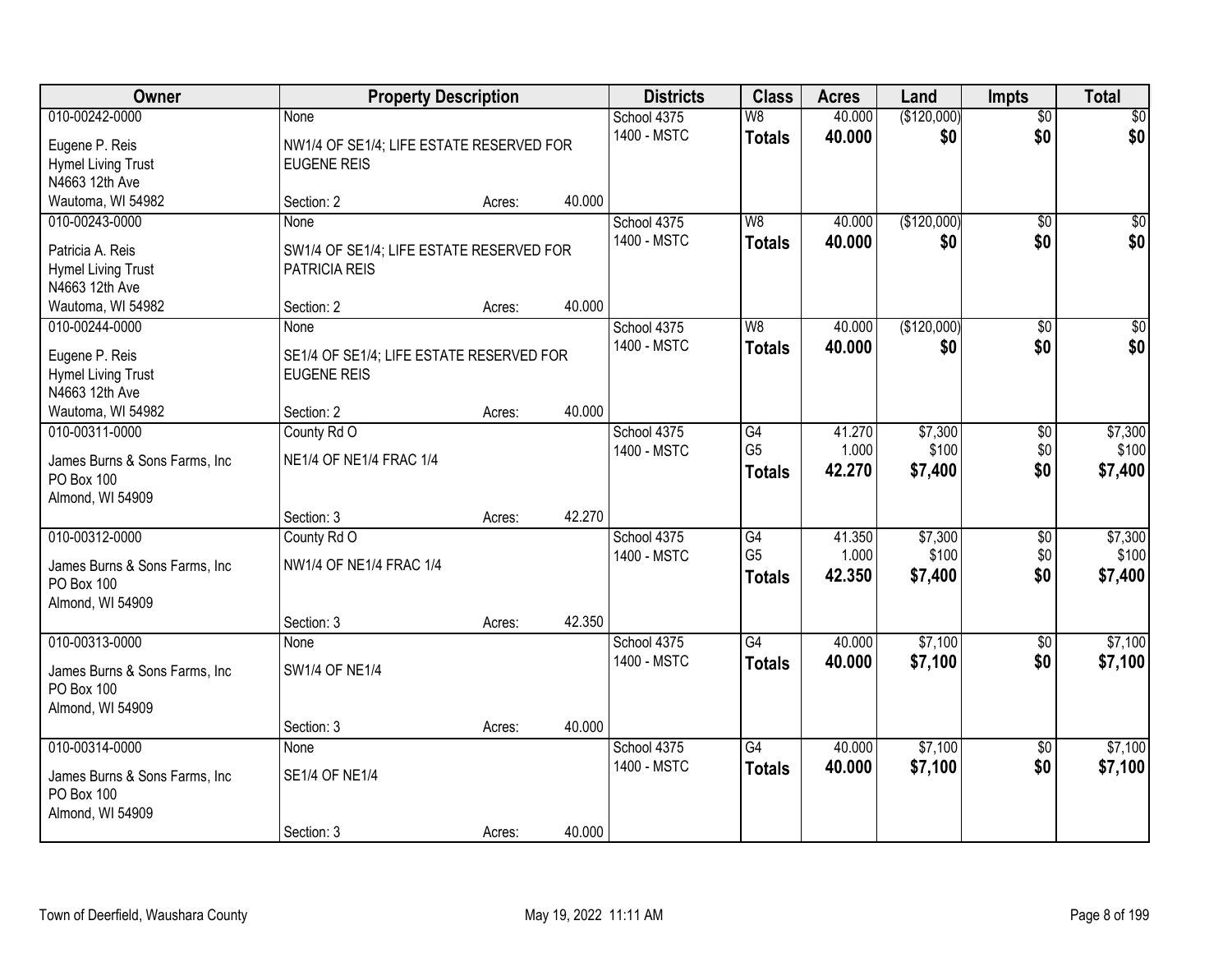| Owner                                       | <b>Property Description</b>                                    |        |        | <b>Districts</b> | <b>Class</b>    | <b>Acres</b> | Land        | <b>Impts</b>    | <b>Total</b>    |
|---------------------------------------------|----------------------------------------------------------------|--------|--------|------------------|-----------------|--------------|-------------|-----------------|-----------------|
| 010-00242-0000                              | None                                                           |        |        | School 4375      | W8              | 40.000       | (\$120,000) | $\overline{50}$ | \$0             |
| Eugene P. Reis                              | NW1/4 OF SE1/4; LIFE ESTATE RESERVED FOR                       |        |        | 1400 - MSTC      | <b>Totals</b>   | 40.000       | \$0         | \$0             | \$0             |
| <b>Hymel Living Trust</b>                   | <b>EUGENE REIS</b>                                             |        |        |                  |                 |              |             |                 |                 |
| N4663 12th Ave                              |                                                                |        |        |                  |                 |              |             |                 |                 |
| Wautoma, WI 54982                           | Section: 2                                                     | Acres: | 40.000 |                  |                 |              |             |                 |                 |
| 010-00243-0000                              | <b>None</b>                                                    |        |        | School 4375      | W <sub>8</sub>  | 40.000       | (\$120,000) | $\overline{50}$ | \$0             |
| Patricia A. Reis                            | SW1/4 OF SE1/4; LIFE ESTATE RESERVED FOR                       |        |        | 1400 - MSTC      | <b>Totals</b>   | 40.000       | \$0         | \$0             | \$0             |
| <b>Hymel Living Trust</b>                   | <b>PATRICIA REIS</b>                                           |        |        |                  |                 |              |             |                 |                 |
| N4663 12th Ave                              |                                                                |        |        |                  |                 |              |             |                 |                 |
| Wautoma, WI 54982                           | Section: 2                                                     | Acres: | 40.000 |                  |                 |              |             |                 |                 |
| 010-00244-0000                              | None                                                           |        |        | School 4375      | W <sub>8</sub>  | 40.000       | (\$120,000) | \$0             | $\overline{50}$ |
|                                             |                                                                |        |        | 1400 - MSTC      | <b>Totals</b>   | 40.000       | \$0         | \$0             | \$0             |
| Eugene P. Reis<br><b>Hymel Living Trust</b> | SE1/4 OF SE1/4; LIFE ESTATE RESERVED FOR<br><b>EUGENE REIS</b> |        |        |                  |                 |              |             |                 |                 |
| N4663 12th Ave                              |                                                                |        |        |                  |                 |              |             |                 |                 |
| Wautoma, WI 54982                           | Section: 2                                                     | Acres: | 40.000 |                  |                 |              |             |                 |                 |
| 010-00311-0000                              | County Rd O                                                    |        |        | School 4375      | G4              | 41.270       | \$7,300     | \$0             | \$7,300         |
|                                             |                                                                |        |        | 1400 - MSTC      | G <sub>5</sub>  | 1.000        | \$100       | \$0             | \$100           |
| James Burns & Sons Farms, Inc.              | NE1/4 OF NE1/4 FRAC 1/4                                        |        |        |                  | <b>Totals</b>   | 42.270       | \$7,400     | \$0             | \$7,400         |
| PO Box 100                                  |                                                                |        |        |                  |                 |              |             |                 |                 |
| Almond, WI 54909                            | Section: 3                                                     |        | 42.270 |                  |                 |              |             |                 |                 |
| 010-00312-0000                              | County Rd O                                                    | Acres: |        | School 4375      | $\overline{G4}$ | 41.350       | \$7,300     | $\overline{50}$ | \$7,300         |
|                                             |                                                                |        |        | 1400 - MSTC      | G <sub>5</sub>  | 1.000        | \$100       | \$0             | \$100           |
| James Burns & Sons Farms, Inc.              | NW1/4 OF NE1/4 FRAC 1/4                                        |        |        |                  | <b>Totals</b>   | 42.350       | \$7,400     | \$0             | \$7,400         |
| PO Box 100                                  |                                                                |        |        |                  |                 |              |             |                 |                 |
| Almond, WI 54909                            |                                                                |        |        |                  |                 |              |             |                 |                 |
|                                             | Section: 3                                                     | Acres: | 42.350 |                  |                 |              |             |                 |                 |
| 010-00313-0000                              | None                                                           |        |        | School 4375      | $\overline{G4}$ | 40.000       | \$7,100     | $\overline{30}$ | \$7,100         |
| James Burns & Sons Farms, Inc.              | <b>SW1/4 OF NE1/4</b>                                          |        |        | 1400 - MSTC      | <b>Totals</b>   | 40.000       | \$7,100     | \$0             | \$7,100         |
| PO Box 100                                  |                                                                |        |        |                  |                 |              |             |                 |                 |
| Almond, WI 54909                            |                                                                |        |        |                  |                 |              |             |                 |                 |
|                                             | Section: 3                                                     | Acres: | 40.000 |                  |                 |              |             |                 |                 |
| 010-00314-0000                              | None                                                           |        |        | School 4375      | $\overline{G4}$ | 40.000       | \$7,100     | $\overline{50}$ | \$7,100         |
| James Burns & Sons Farms, Inc.              | <b>SE1/4 OF NE1/4</b>                                          |        |        | 1400 - MSTC      | <b>Totals</b>   | 40.000       | \$7,100     | \$0             | \$7,100         |
| PO Box 100                                  |                                                                |        |        |                  |                 |              |             |                 |                 |
| Almond, WI 54909                            |                                                                |        |        |                  |                 |              |             |                 |                 |
|                                             | Section: 3                                                     | Acres: | 40.000 |                  |                 |              |             |                 |                 |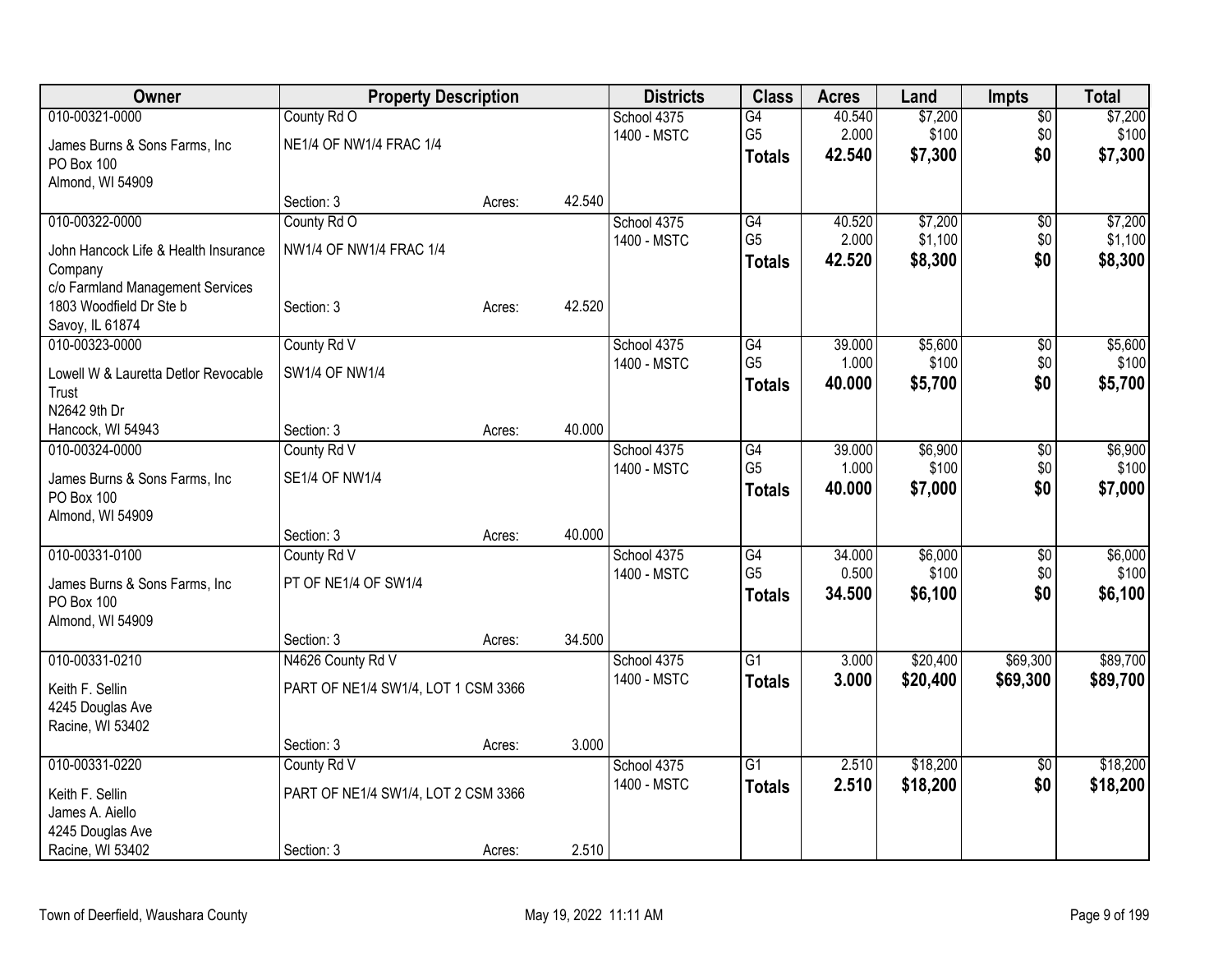| Owner                                | <b>Property Description</b>         |        |        | <b>Districts</b>           | <b>Class</b>    | <b>Acres</b> | Land     | <b>Impts</b>    | <b>Total</b> |
|--------------------------------------|-------------------------------------|--------|--------|----------------------------|-----------------|--------------|----------|-----------------|--------------|
| 010-00321-0000                       | County Rd O                         |        |        | School 4375                | $\overline{G4}$ | 40.540       | \$7,200  | \$0             | \$7,200      |
| James Burns & Sons Farms, Inc        | NE1/4 OF NW1/4 FRAC 1/4             |        |        | 1400 - MSTC                | G <sub>5</sub>  | 2.000        | \$100    | \$0             | \$100        |
| PO Box 100                           |                                     |        |        |                            | <b>Totals</b>   | 42.540       | \$7,300  | \$0             | \$7,300      |
| Almond, WI 54909                     |                                     |        |        |                            |                 |              |          |                 |              |
|                                      | Section: 3                          | Acres: | 42.540 |                            |                 |              |          |                 |              |
| 010-00322-0000                       | County Rd O                         |        |        | School 4375                | G4              | 40.520       | \$7,200  | $\sqrt{6}$      | \$7,200      |
| John Hancock Life & Health Insurance | NW1/4 OF NW1/4 FRAC 1/4             |        |        | 1400 - MSTC                | G <sub>5</sub>  | 2.000        | \$1,100  | \$0             | \$1,100      |
| Company                              |                                     |        |        |                            | <b>Totals</b>   | 42.520       | \$8,300  | \$0             | \$8,300      |
| c/o Farmland Management Services     |                                     |        |        |                            |                 |              |          |                 |              |
| 1803 Woodfield Dr Ste b              | Section: 3                          | Acres: | 42.520 |                            |                 |              |          |                 |              |
| Savoy, IL 61874                      |                                     |        |        |                            |                 |              |          |                 |              |
| 010-00323-0000                       | County Rd V                         |        |        | School 4375                | G4              | 39.000       | \$5,600  | \$0             | \$5,600      |
| Lowell W & Lauretta Detlor Revocable | SW1/4 OF NW1/4                      |        |        | 1400 - MSTC                | G <sub>5</sub>  | 1.000        | \$100    | \$0             | \$100        |
| Trust                                |                                     |        |        |                            | <b>Totals</b>   | 40.000       | \$5,700  | \$0             | \$5,700      |
| N2642 9th Dr                         |                                     |        |        |                            |                 |              |          |                 |              |
| Hancock, WI 54943                    | Section: 3                          | Acres: | 40.000 |                            |                 |              |          |                 |              |
| 010-00324-0000                       | County Rd V                         |        |        | School 4375                | G4              | 39.000       | \$6,900  | \$0             | \$6,900      |
|                                      |                                     |        |        | 1400 - MSTC                | G <sub>5</sub>  | 1.000        | \$100    | \$0             | \$100        |
| James Burns & Sons Farms, Inc.       | <b>SE1/4 OF NW1/4</b>               |        |        |                            | <b>Totals</b>   | 40,000       | \$7,000  | \$0             | \$7,000      |
| PO Box 100<br>Almond, WI 54909       |                                     |        |        |                            |                 |              |          |                 |              |
|                                      | Section: 3                          | Acres: | 40.000 |                            |                 |              |          |                 |              |
| 010-00331-0100                       | County Rd V                         |        |        | School 4375                | G4              | 34.000       | \$6,000  | \$0             | \$6,000      |
|                                      |                                     |        |        | 1400 - MSTC                | G <sub>5</sub>  | 0.500        | \$100    | \$0             | \$100        |
| James Burns & Sons Farms, Inc        | PT OF NE1/4 OF SW1/4                |        |        |                            | <b>Totals</b>   | 34.500       | \$6,100  | \$0             | \$6,100      |
| PO Box 100                           |                                     |        |        |                            |                 |              |          |                 |              |
| Almond, WI 54909                     |                                     |        |        |                            |                 |              |          |                 |              |
| 010-00331-0210                       | Section: 3                          | Acres: | 34.500 |                            | $\overline{G1}$ |              |          | \$69,300        | \$89,700     |
|                                      | N4626 County Rd V                   |        |        | School 4375<br>1400 - MSTC |                 | 3.000        | \$20,400 |                 |              |
| Keith F. Sellin                      | PART OF NE1/4 SW1/4, LOT 1 CSM 3366 |        |        |                            | <b>Totals</b>   | 3.000        | \$20,400 | \$69,300        | \$89,700     |
| 4245 Douglas Ave                     |                                     |        |        |                            |                 |              |          |                 |              |
| Racine, WI 53402                     |                                     |        |        |                            |                 |              |          |                 |              |
|                                      | Section: 3                          | Acres: | 3.000  |                            |                 |              |          |                 |              |
| 010-00331-0220                       | County Rd V                         |        |        | School 4375                | $\overline{G1}$ | 2.510        | \$18,200 | $\overline{50}$ | \$18,200     |
| Keith F. Sellin                      | PART OF NE1/4 SW1/4, LOT 2 CSM 3366 |        |        | 1400 - MSTC                | <b>Totals</b>   | 2.510        | \$18,200 | \$0             | \$18,200     |
| James A. Aiello                      |                                     |        |        |                            |                 |              |          |                 |              |
| 4245 Douglas Ave                     |                                     |        |        |                            |                 |              |          |                 |              |
| Racine, WI 53402                     | Section: 3                          | Acres: | 2.510  |                            |                 |              |          |                 |              |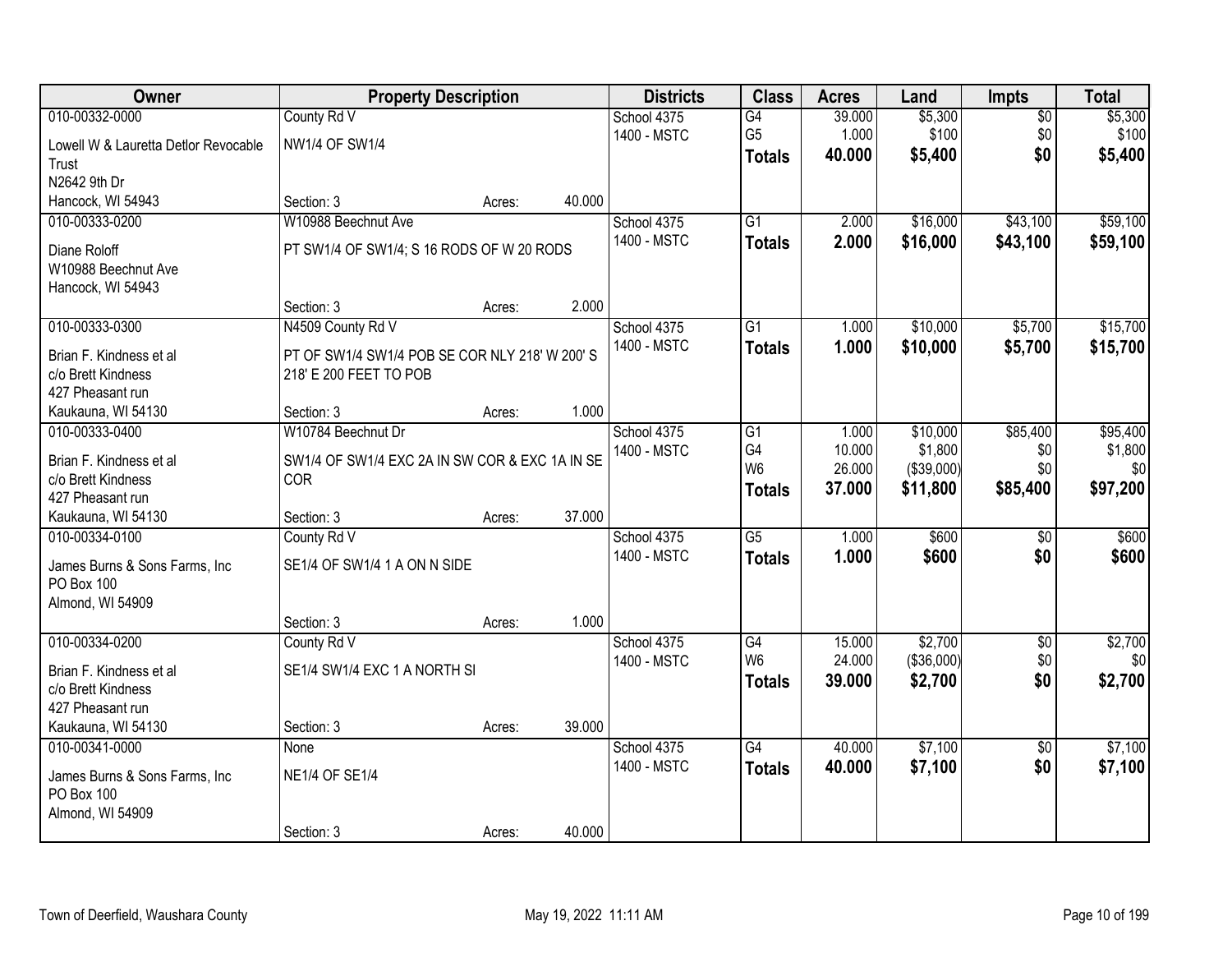| Owner                                | <b>Property Description</b>                    |        |        | <b>Districts</b>           | <b>Class</b>         | <b>Acres</b>     | Land                  | <b>Impts</b>           | <b>Total</b>        |
|--------------------------------------|------------------------------------------------|--------|--------|----------------------------|----------------------|------------------|-----------------------|------------------------|---------------------|
| 010-00332-0000                       | County Rd V                                    |        |        | School 4375                | G4                   | 39.000           | \$5,300               | $\overline{50}$        | \$5,300             |
| Lowell W & Lauretta Detlor Revocable | <b>NW1/4 OF SW1/4</b>                          |        |        | 1400 - MSTC                | G <sub>5</sub>       | 1.000            | \$100                 | \$0                    | \$100               |
| Trust                                |                                                |        |        |                            | <b>Totals</b>        | 40.000           | \$5,400               | \$0                    | \$5,400             |
| N2642 9th Dr                         |                                                |        |        |                            |                      |                  |                       |                        |                     |
| Hancock, WI 54943                    | Section: 3                                     | Acres: | 40.000 |                            |                      |                  |                       |                        |                     |
| 010-00333-0200                       | W10988 Beechnut Ave                            |        |        | School 4375                | $\overline{G1}$      | 2.000            | \$16,000              | \$43,100               | \$59,100            |
| Diane Roloff                         | PT SW1/4 OF SW1/4; S 16 RODS OF W 20 RODS      |        |        | 1400 - MSTC                | <b>Totals</b>        | 2.000            | \$16,000              | \$43,100               | \$59,100            |
| W10988 Beechnut Ave                  |                                                |        |        |                            |                      |                  |                       |                        |                     |
| Hancock, WI 54943                    |                                                |        |        |                            |                      |                  |                       |                        |                     |
|                                      | Section: 3                                     | Acres: | 2.000  |                            |                      |                  |                       |                        |                     |
| 010-00333-0300                       | N4509 County Rd V                              |        |        | School 4375                | G1                   | 1.000            | \$10,000              | \$5,700                | \$15,700            |
| Brian F. Kindness et al              | PT OF SW1/4 SW1/4 POB SE COR NLY 218' W 200' S |        |        | 1400 - MSTC                | <b>Totals</b>        | 1.000            | \$10,000              | \$5,700                | \$15,700            |
| c/o Brett Kindness                   | 218' E 200 FEET TO POB                         |        |        |                            |                      |                  |                       |                        |                     |
| 427 Pheasant run                     |                                                |        |        |                            |                      |                  |                       |                        |                     |
| Kaukauna, WI 54130                   | Section: 3                                     | Acres: | 1.000  |                            |                      |                  |                       |                        |                     |
| 010-00333-0400                       | W10784 Beechnut Dr                             |        |        | School 4375<br>1400 - MSTC | G1<br>G4             | 1.000<br>10.000  | \$10,000<br>\$1,800   | \$85,400               | \$95,400<br>\$1,800 |
| Brian F. Kindness et al              | SW1/4 OF SW1/4 EXC 2A IN SW COR & EXC 1A IN SE |        |        |                            | W <sub>6</sub>       | 26.000           | (\$39,000)            | \$0<br>\$0             | \$0                 |
| c/o Brett Kindness                   | COR                                            |        |        |                            | <b>Totals</b>        | 37.000           | \$11,800              | \$85,400               | \$97,200            |
| 427 Pheasant run                     |                                                |        |        |                            |                      |                  |                       |                        |                     |
| Kaukauna, WI 54130                   | Section: 3                                     | Acres: | 37.000 |                            |                      |                  |                       |                        |                     |
| 010-00334-0100                       | County Rd V                                    |        |        | School 4375                | $\overline{G5}$      | 1.000            | \$600                 | $\overline{50}$        | \$600               |
| James Burns & Sons Farms, Inc        | SE1/4 OF SW1/4 1 A ON N SIDE                   |        |        | 1400 - MSTC                | <b>Totals</b>        | 1.000            | \$600                 | \$0                    | \$600               |
| PO Box 100                           |                                                |        |        |                            |                      |                  |                       |                        |                     |
| Almond, WI 54909                     |                                                |        |        |                            |                      |                  |                       |                        |                     |
|                                      | Section: 3                                     | Acres: | 1.000  |                            |                      |                  |                       |                        |                     |
| 010-00334-0200                       | County Rd V                                    |        |        | School 4375                | G4<br>W <sub>6</sub> | 15.000<br>24.000 | \$2,700<br>(\$36,000) | $\overline{60}$<br>\$0 | \$2,700<br>\$0      |
| Brian F. Kindness et al              | SE1/4 SW1/4 EXC 1 A NORTH SI                   |        |        | 1400 - MSTC                |                      | 39.000           | \$2,700               | \$0                    | \$2,700             |
| c/o Brett Kindness                   |                                                |        |        |                            | <b>Totals</b>        |                  |                       |                        |                     |
| 427 Pheasant run                     |                                                |        |        |                            |                      |                  |                       |                        |                     |
| Kaukauna, WI 54130                   | Section: 3                                     | Acres: | 39.000 |                            |                      |                  |                       |                        |                     |
| 010-00341-0000                       | None                                           |        |        | School 4375                | $\overline{G4}$      | 40.000           | \$7,100               | $\overline{50}$        | \$7,100             |
| James Burns & Sons Farms, Inc.       | <b>NE1/4 OF SE1/4</b>                          |        |        | 1400 - MSTC                | <b>Totals</b>        | 40.000           | \$7,100               | \$0                    | \$7,100             |
| PO Box 100                           |                                                |        |        |                            |                      |                  |                       |                        |                     |
| Almond, WI 54909                     |                                                |        |        |                            |                      |                  |                       |                        |                     |
|                                      | Section: 3                                     | Acres: | 40.000 |                            |                      |                  |                       |                        |                     |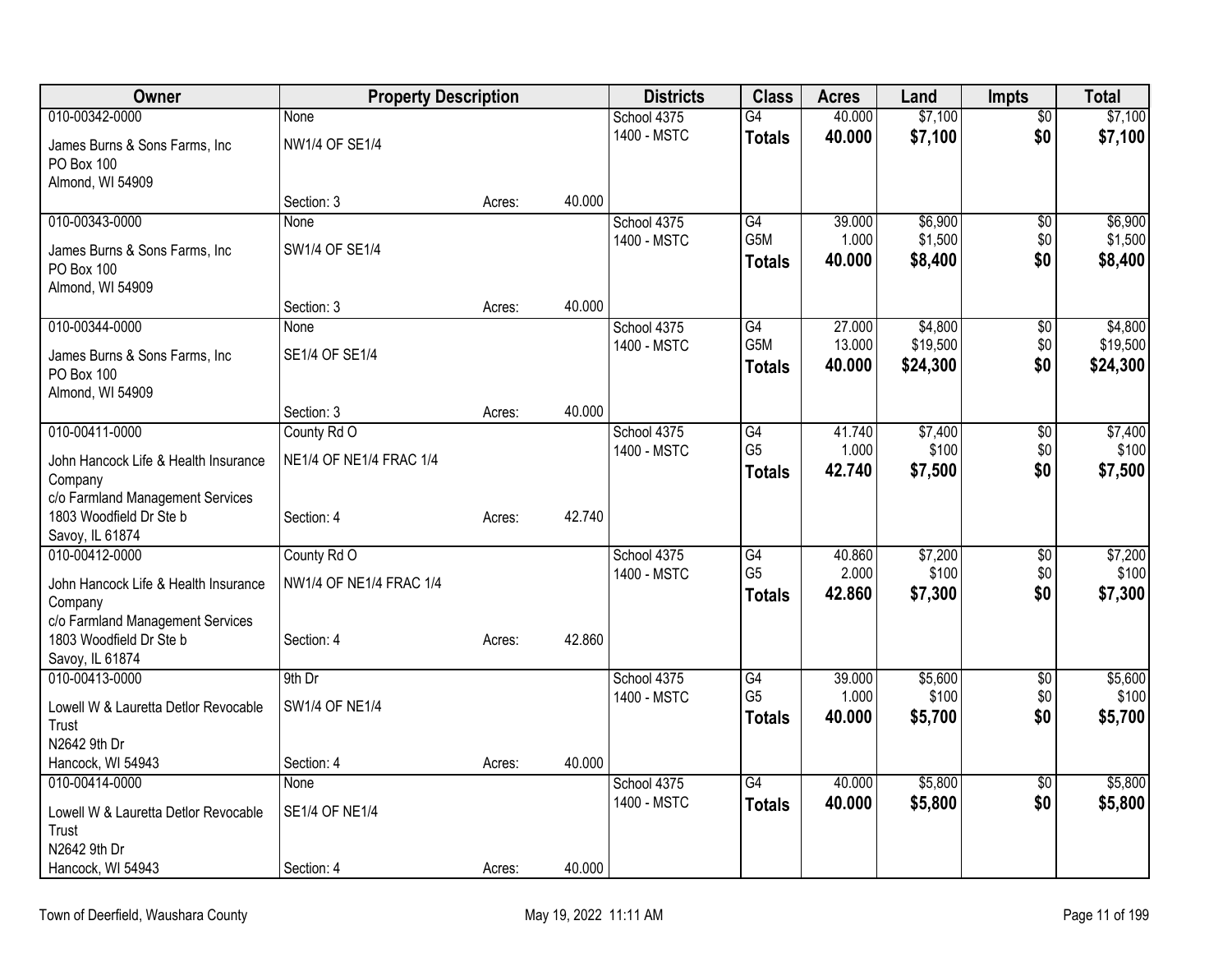| Owner                                | <b>Property Description</b> |        |        | <b>Districts</b> | <b>Class</b>     | <b>Acres</b> | Land     | <b>Impts</b>    | <b>Total</b> |
|--------------------------------------|-----------------------------|--------|--------|------------------|------------------|--------------|----------|-----------------|--------------|
| 010-00342-0000                       | None                        |        |        | School 4375      | $\overline{G4}$  | 40.000       | \$7,100  | $\overline{50}$ | \$7,100      |
| James Burns & Sons Farms, Inc.       | NW1/4 OF SE1/4              |        |        | 1400 - MSTC      | <b>Totals</b>    | 40.000       | \$7,100  | \$0             | \$7,100      |
| PO Box 100                           |                             |        |        |                  |                  |              |          |                 |              |
| Almond, WI 54909                     |                             |        |        |                  |                  |              |          |                 |              |
|                                      | Section: 3                  | Acres: | 40.000 |                  |                  |              |          |                 |              |
| 010-00343-0000                       | None                        |        |        | School 4375      | G4               | 39.000       | \$6,900  | \$0             | \$6,900      |
| James Burns & Sons Farms, Inc        | SW1/4 OF SE1/4              |        |        | 1400 - MSTC      | G5M              | 1.000        | \$1,500  | \$0             | \$1,500      |
| <b>PO Box 100</b>                    |                             |        |        |                  | <b>Totals</b>    | 40.000       | \$8,400  | \$0             | \$8,400      |
| Almond, WI 54909                     |                             |        |        |                  |                  |              |          |                 |              |
|                                      | Section: 3                  | Acres: | 40.000 |                  |                  |              |          |                 |              |
| 010-00344-0000                       | None                        |        |        | School 4375      | G4               | 27.000       | \$4,800  | \$0             | \$4,800      |
| James Burns & Sons Farms, Inc.       | SE1/4 OF SE1/4              |        |        | 1400 - MSTC      | G <sub>5</sub> M | 13.000       | \$19,500 | \$0             | \$19,500     |
| PO Box 100                           |                             |        |        |                  | <b>Totals</b>    | 40.000       | \$24,300 | \$0             | \$24,300     |
| Almond, WI 54909                     |                             |        |        |                  |                  |              |          |                 |              |
|                                      | Section: 3                  | Acres: | 40.000 |                  |                  |              |          |                 |              |
| 010-00411-0000                       | County Rd O                 |        |        | School 4375      | G4               | 41.740       | \$7,400  | $\overline{50}$ | \$7,400      |
| John Hancock Life & Health Insurance | NE1/4 OF NE1/4 FRAC 1/4     |        |        | 1400 - MSTC      | G <sub>5</sub>   | 1.000        | \$100    | \$0             | \$100        |
| Company                              |                             |        |        |                  | <b>Totals</b>    | 42.740       | \$7,500  | \$0             | \$7,500      |
| c/o Farmland Management Services     |                             |        |        |                  |                  |              |          |                 |              |
| 1803 Woodfield Dr Ste b              | Section: 4                  | Acres: | 42.740 |                  |                  |              |          |                 |              |
| Savoy, IL 61874                      |                             |        |        |                  |                  |              |          |                 |              |
| 010-00412-0000                       | County Rd O                 |        |        | School 4375      | $\overline{G4}$  | 40.860       | \$7,200  | \$0             | \$7,200      |
| John Hancock Life & Health Insurance | NW1/4 OF NE1/4 FRAC 1/4     |        |        | 1400 - MSTC      | G <sub>5</sub>   | 2.000        | \$100    | \$0             | \$100        |
| Company                              |                             |        |        |                  | <b>Totals</b>    | 42.860       | \$7,300  | \$0             | \$7,300      |
| c/o Farmland Management Services     |                             |        |        |                  |                  |              |          |                 |              |
| 1803 Woodfield Dr Ste b              | Section: 4                  | Acres: | 42.860 |                  |                  |              |          |                 |              |
| Savoy, IL 61874                      |                             |        |        |                  |                  |              |          |                 |              |
| 010-00413-0000                       | $9th$ Dr                    |        |        | School 4375      | G4               | 39.000       | \$5,600  | \$0             | \$5,600      |
| Lowell W & Lauretta Detlor Revocable | <b>SW1/4 OF NE1/4</b>       |        |        | 1400 - MSTC      | G <sub>5</sub>   | 1.000        | \$100    | \$0             | \$100        |
| Trust                                |                             |        |        |                  | <b>Totals</b>    | 40.000       | \$5,700  | \$0             | \$5,700      |
| N2642 9th Dr                         |                             |        |        |                  |                  |              |          |                 |              |
| Hancock, WI 54943                    | Section: 4                  | Acres: | 40.000 |                  |                  |              |          |                 |              |
| 010-00414-0000                       | <b>None</b>                 |        |        | School 4375      | $\overline{G4}$  | 40.000       | \$5,800  | $\overline{50}$ | \$5,800      |
| Lowell W & Lauretta Detlor Revocable | <b>SE1/4 OF NE1/4</b>       |        |        | 1400 - MSTC      | <b>Totals</b>    | 40.000       | \$5,800  | \$0             | \$5,800      |
| Trust                                |                             |        |        |                  |                  |              |          |                 |              |
| N2642 9th Dr                         |                             |        |        |                  |                  |              |          |                 |              |
| Hancock, WI 54943                    | Section: 4                  | Acres: | 40.000 |                  |                  |              |          |                 |              |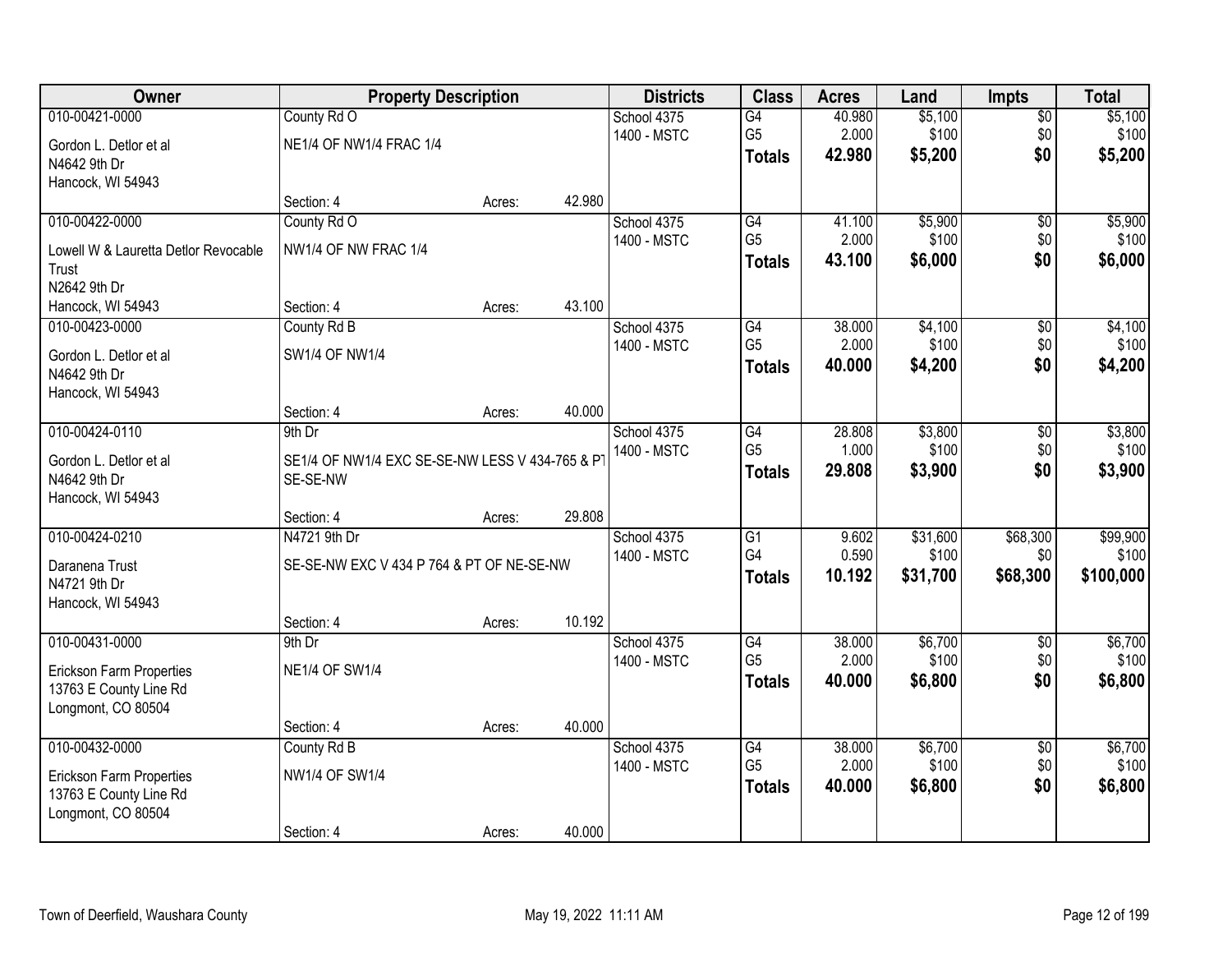| Owner                                | <b>Property Description</b>                    |        |        | <b>Districts</b> | <b>Class</b>    | <b>Acres</b> | Land     | <b>Impts</b>    | <b>Total</b> |
|--------------------------------------|------------------------------------------------|--------|--------|------------------|-----------------|--------------|----------|-----------------|--------------|
| 010-00421-0000                       | County Rd O                                    |        |        | School 4375      | G4              | 40.980       | \$5,100  | $\overline{50}$ | \$5,100      |
| Gordon L. Detlor et al               | NE1/4 OF NW1/4 FRAC 1/4                        |        |        | 1400 - MSTC      | G <sub>5</sub>  | 2.000        | \$100    | \$0             | \$100        |
| N4642 9th Dr                         |                                                |        |        |                  | <b>Totals</b>   | 42.980       | \$5,200  | \$0             | \$5,200      |
| Hancock, WI 54943                    |                                                |        |        |                  |                 |              |          |                 |              |
|                                      | Section: 4                                     | Acres: | 42.980 |                  |                 |              |          |                 |              |
| 010-00422-0000                       | County Rd O                                    |        |        | School 4375      | G4              | 41.100       | \$5,900  | $\overline{50}$ | \$5,900      |
| Lowell W & Lauretta Detlor Revocable | NW1/4 OF NW FRAC 1/4                           |        |        | 1400 - MSTC      | G <sub>5</sub>  | 2.000        | \$100    | \$0             | \$100        |
| Trust                                |                                                |        |        |                  | <b>Totals</b>   | 43.100       | \$6,000  | \$0             | \$6,000      |
| N2642 9th Dr                         |                                                |        |        |                  |                 |              |          |                 |              |
| Hancock, WI 54943                    | Section: 4                                     | Acres: | 43.100 |                  |                 |              |          |                 |              |
| 010-00423-0000                       | County Rd B                                    |        |        | School 4375      | $\overline{G4}$ | 38.000       | \$4,100  | $\overline{50}$ | \$4,100      |
| Gordon L. Detlor et al               | SW1/4 OF NW1/4                                 |        |        | 1400 - MSTC      | G <sub>5</sub>  | 2.000        | \$100    | \$0             | \$100        |
| N4642 9th Dr                         |                                                |        |        |                  | <b>Totals</b>   | 40.000       | \$4,200  | \$0             | \$4,200      |
| Hancock, WI 54943                    |                                                |        |        |                  |                 |              |          |                 |              |
|                                      | Section: 4                                     | Acres: | 40.000 |                  |                 |              |          |                 |              |
| 010-00424-0110                       | 9th Dr                                         |        |        | School 4375      | $\overline{G4}$ | 28.808       | \$3,800  | \$0             | \$3,800      |
| Gordon L. Detlor et al               | SE1/4 OF NW1/4 EXC SE-SE-NW LESS V 434-765 & P |        |        | 1400 - MSTC      | G <sub>5</sub>  | 1.000        | \$100    | \$0             | \$100        |
| N4642 9th Dr                         | SE-SE-NW                                       |        |        |                  | <b>Totals</b>   | 29.808       | \$3,900  | \$0             | \$3,900      |
| Hancock, WI 54943                    |                                                |        |        |                  |                 |              |          |                 |              |
|                                      | Section: 4                                     | Acres: | 29.808 |                  |                 |              |          |                 |              |
| 010-00424-0210                       | N4721 9th Dr                                   |        |        | School 4375      | $\overline{G1}$ | 9.602        | \$31,600 | \$68,300        | \$99,900     |
| Daranena Trust                       | SE-SE-NW EXC V 434 P 764 & PT OF NE-SE-NW      |        |        | 1400 - MSTC      | G4              | 0.590        | \$100    | \$0             | \$100        |
| N4721 9th Dr                         |                                                |        |        |                  | <b>Totals</b>   | 10.192       | \$31,700 | \$68,300        | \$100,000    |
| Hancock, WI 54943                    |                                                |        |        |                  |                 |              |          |                 |              |
|                                      | Section: 4                                     | Acres: | 10.192 |                  |                 |              |          |                 |              |
| 010-00431-0000                       | 9th Dr                                         |        |        | School 4375      | G4              | 38.000       | \$6,700  | $\overline{60}$ | \$6,700      |
| Erickson Farm Properties             | <b>NE1/4 OF SW1/4</b>                          |        |        | 1400 - MSTC      | G <sub>5</sub>  | 2.000        | \$100    | \$0             | \$100        |
| 13763 E County Line Rd               |                                                |        |        |                  | <b>Totals</b>   | 40.000       | \$6,800  | \$0             | \$6,800      |
| Longmont, CO 80504                   |                                                |        |        |                  |                 |              |          |                 |              |
|                                      | Section: 4                                     | Acres: | 40.000 |                  |                 |              |          |                 |              |
| 010-00432-0000                       | County Rd B                                    |        |        | School 4375      | $\overline{G4}$ | 38.000       | \$6,700  | $\overline{50}$ | \$6,700      |
| <b>Erickson Farm Properties</b>      | NW1/4 OF SW1/4                                 |        |        | 1400 - MSTC      | G <sub>5</sub>  | 2.000        | \$100    | \$0             | \$100        |
| 13763 E County Line Rd               |                                                |        |        |                  | <b>Totals</b>   | 40.000       | \$6,800  | \$0             | \$6,800      |
| Longmont, CO 80504                   |                                                |        |        |                  |                 |              |          |                 |              |
|                                      | Section: 4                                     | Acres: | 40.000 |                  |                 |              |          |                 |              |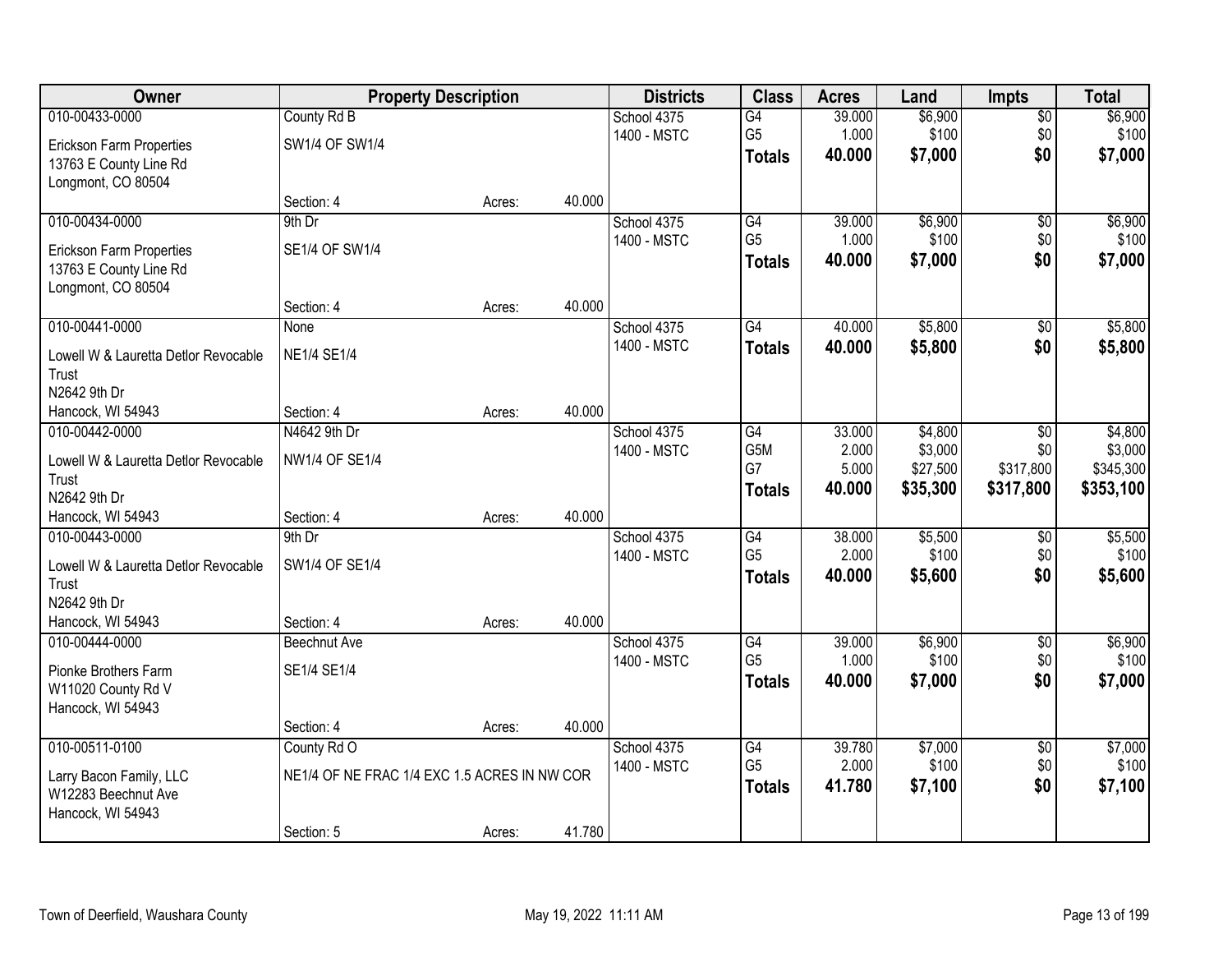| Owner                                |                                              | <b>Property Description</b> |        | <b>Districts</b> | <b>Class</b>    | <b>Acres</b> | Land     | <b>Impts</b>    | <b>Total</b> |
|--------------------------------------|----------------------------------------------|-----------------------------|--------|------------------|-----------------|--------------|----------|-----------------|--------------|
| 010-00433-0000                       | County Rd B                                  |                             |        | School 4375      | $\overline{G4}$ | 39.000       | \$6,900  | \$0             | \$6,900      |
| Erickson Farm Properties             | SW1/4 OF SW1/4                               |                             |        | 1400 - MSTC      | G <sub>5</sub>  | 1.000        | \$100    | \$0             | \$100        |
| 13763 E County Line Rd               |                                              |                             |        |                  | <b>Totals</b>   | 40.000       | \$7,000  | \$0             | \$7,000      |
| Longmont, CO 80504                   |                                              |                             |        |                  |                 |              |          |                 |              |
|                                      | Section: 4                                   | Acres:                      | 40.000 |                  |                 |              |          |                 |              |
| 010-00434-0000                       | 9th Dr                                       |                             |        | School 4375      | G4              | 39.000       | \$6,900  | $\overline{50}$ | \$6,900      |
| <b>Erickson Farm Properties</b>      | SE1/4 OF SW1/4                               |                             |        | 1400 - MSTC      | G <sub>5</sub>  | 1.000        | \$100    | \$0             | \$100        |
| 13763 E County Line Rd               |                                              |                             |        |                  | <b>Totals</b>   | 40.000       | \$7,000  | \$0             | \$7,000      |
| Longmont, CO 80504                   |                                              |                             |        |                  |                 |              |          |                 |              |
|                                      | Section: 4                                   | Acres:                      | 40.000 |                  |                 |              |          |                 |              |
| 010-00441-0000                       | None                                         |                             |        | School 4375      | G4              | 40.000       | \$5,800  | $\sqrt[6]{3}$   | \$5,800      |
| Lowell W & Lauretta Detlor Revocable | <b>NE1/4 SE1/4</b>                           |                             |        | 1400 - MSTC      | <b>Totals</b>   | 40.000       | \$5,800  | \$0             | \$5,800      |
| Trust                                |                                              |                             |        |                  |                 |              |          |                 |              |
| N2642 9th Dr                         |                                              |                             |        |                  |                 |              |          |                 |              |
| Hancock, WI 54943                    | Section: 4                                   | Acres:                      | 40.000 |                  |                 |              |          |                 |              |
| 010-00442-0000                       | N4642 9th Dr                                 |                             |        | School 4375      | G4              | 33.000       | \$4,800  | $\sqrt[6]{3}$   | \$4,800      |
| Lowell W & Lauretta Detlor Revocable | NW1/4 OF SE1/4                               |                             |        | 1400 - MSTC      | G5M             | 2.000        | \$3,000  | \$0             | \$3,000      |
| Trust                                |                                              |                             |        |                  | G7              | 5.000        | \$27,500 | \$317,800       | \$345,300    |
| N2642 9th Dr                         |                                              |                             |        |                  | <b>Totals</b>   | 40.000       | \$35,300 | \$317,800       | \$353,100    |
| Hancock, WI 54943                    | Section: 4                                   | Acres:                      | 40.000 |                  |                 |              |          |                 |              |
| 010-00443-0000                       | 9th Dr                                       |                             |        | School 4375      | $\overline{G4}$ | 38.000       | \$5,500  | $\overline{50}$ | \$5,500      |
| Lowell W & Lauretta Detlor Revocable | SW1/4 OF SE1/4                               |                             |        | 1400 - MSTC      | G <sub>5</sub>  | 2.000        | \$100    | \$0             | \$100        |
| Trust                                |                                              |                             |        |                  | <b>Totals</b>   | 40.000       | \$5,600  | \$0             | \$5,600      |
| N2642 9th Dr                         |                                              |                             |        |                  |                 |              |          |                 |              |
| Hancock, WI 54943                    | Section: 4                                   | Acres:                      | 40.000 |                  |                 |              |          |                 |              |
| 010-00444-0000                       | <b>Beechnut Ave</b>                          |                             |        | School 4375      | $\overline{G4}$ | 39.000       | \$6,900  | $\overline{50}$ | \$6,900      |
| Pionke Brothers Farm                 | SE1/4 SE1/4                                  |                             |        | 1400 - MSTC      | G <sub>5</sub>  | 1.000        | \$100    | \$0             | \$100        |
| W11020 County Rd V                   |                                              |                             |        |                  | <b>Totals</b>   | 40,000       | \$7,000  | \$0             | \$7,000      |
| Hancock, WI 54943                    |                                              |                             |        |                  |                 |              |          |                 |              |
|                                      | Section: 4                                   | Acres:                      | 40.000 |                  |                 |              |          |                 |              |
| 010-00511-0100                       | County Rd O                                  |                             |        | School 4375      | G4              | 39.780       | \$7,000  | $\overline{50}$ | \$7,000      |
| Larry Bacon Family, LLC              | NE1/4 OF NE FRAC 1/4 EXC 1.5 ACRES IN NW COR |                             |        | 1400 - MSTC      | G <sub>5</sub>  | 2.000        | \$100    | \$0             | \$100        |
| W12283 Beechnut Ave                  |                                              |                             |        |                  | <b>Totals</b>   | 41.780       | \$7,100  | \$0             | \$7,100      |
| Hancock, WI 54943                    |                                              |                             |        |                  |                 |              |          |                 |              |
|                                      | Section: 5                                   | Acres:                      | 41.780 |                  |                 |              |          |                 |              |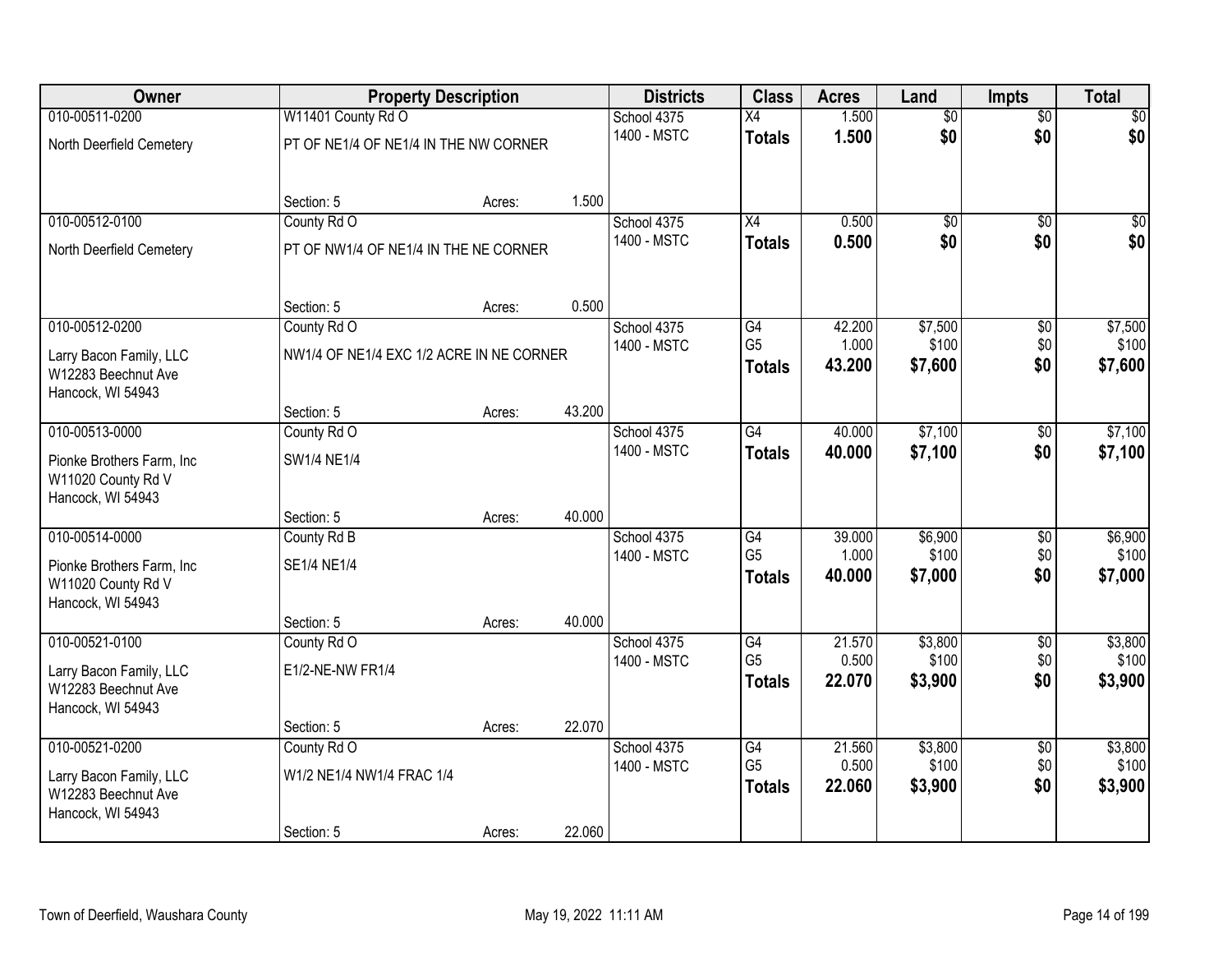| Owner                                                                 |                                          | <b>Property Description</b> |        | <b>Districts</b>           | <b>Class</b>                    | <b>Acres</b>    | Land             | <b>Impts</b>    | <b>Total</b>     |
|-----------------------------------------------------------------------|------------------------------------------|-----------------------------|--------|----------------------------|---------------------------------|-----------------|------------------|-----------------|------------------|
| 010-00511-0200                                                        | W11401 County Rd O                       |                             |        | School 4375                | X4                              | 1.500           | $\overline{50}$  | $\overline{50}$ | $\overline{30}$  |
| North Deerfield Cemetery                                              | PT OF NE1/4 OF NE1/4 IN THE NW CORNER    |                             |        | 1400 - MSTC                | <b>Totals</b>                   | 1.500           | \$0              | \$0             | \$0              |
|                                                                       | Section: 5                               | Acres:                      | 1.500  |                            |                                 |                 |                  |                 |                  |
| 010-00512-0100                                                        | County Rd O                              |                             |        | School 4375<br>1400 - MSTC | $\overline{X4}$                 | 0.500           | $\overline{50}$  | $\overline{50}$ | $\frac{1}{20}$   |
| North Deerfield Cemetery                                              | PT OF NW1/4 OF NE1/4 IN THE NE CORNER    |                             |        |                            | <b>Totals</b>                   | 0.500           | \$0              | \$0             | \$0              |
|                                                                       | Section: 5                               | Acres:                      | 0.500  |                            |                                 |                 |                  |                 |                  |
| 010-00512-0200                                                        | County Rd O                              |                             |        | School 4375                | G4<br>G <sub>5</sub>            | 42.200          | \$7,500          | \$0             | \$7,500          |
| Larry Bacon Family, LLC<br>W12283 Beechnut Ave<br>Hancock, WI 54943   | NW1/4 OF NE1/4 EXC 1/2 ACRE IN NE CORNER |                             |        | 1400 - MSTC                | <b>Totals</b>                   | 1.000<br>43.200 | \$100<br>\$7,600 | \$0<br>\$0      | \$100<br>\$7,600 |
|                                                                       | Section: 5                               | Acres:                      | 43.200 |                            |                                 |                 |                  |                 |                  |
| 010-00513-0000                                                        | County Rd O                              |                             |        | School 4375                | $\overline{G4}$                 | 40.000          | \$7,100          | \$0             | \$7,100          |
| Pionke Brothers Farm, Inc.<br>W11020 County Rd V<br>Hancock, WI 54943 | <b>SW1/4 NE1/4</b>                       |                             |        | 1400 - MSTC                | <b>Totals</b>                   | 40.000          | \$7,100          | \$0             | \$7,100          |
|                                                                       | Section: 5                               | Acres:                      | 40.000 |                            |                                 |                 |                  |                 |                  |
| 010-00514-0000                                                        | County Rd B                              |                             |        | School 4375                | G4                              | 39.000          | \$6,900          | $\overline{50}$ | \$6,900          |
| Pionke Brothers Farm, Inc<br>W11020 County Rd V<br>Hancock, WI 54943  | SE1/4 NE1/4                              |                             |        | 1400 - MSTC                | G <sub>5</sub><br><b>Totals</b> | 1.000<br>40.000 | \$100<br>\$7,000 | \$0<br>\$0      | \$100<br>\$7,000 |
|                                                                       | Section: 5                               | Acres:                      | 40.000 |                            |                                 |                 |                  |                 |                  |
| 010-00521-0100                                                        | County Rd O                              |                             |        | School 4375                | G4                              | 21.570          | \$3,800          | $\overline{50}$ | \$3,800          |
| Larry Bacon Family, LLC<br>W12283 Beechnut Ave<br>Hancock, WI 54943   | E1/2-NE-NW FR1/4                         |                             |        | 1400 - MSTC                | G <sub>5</sub><br><b>Totals</b> | 0.500<br>22.070 | \$100<br>\$3,900 | \$0<br>\$0      | \$100<br>\$3,900 |
|                                                                       | Section: 5                               | Acres:                      | 22.070 |                            |                                 |                 |                  |                 |                  |
| 010-00521-0200                                                        | County Rd O                              |                             |        | School 4375                | $\overline{G4}$                 | 21.560          | \$3,800          | $\overline{30}$ | \$3,800          |
| Larry Bacon Family, LLC<br>W12283 Beechnut Ave<br>Hancock, WI 54943   | W1/2 NE1/4 NW1/4 FRAC 1/4                |                             |        | 1400 - MSTC                | G <sub>5</sub><br><b>Totals</b> | 0.500<br>22.060 | \$100<br>\$3,900 | \$0<br>\$0      | \$100<br>\$3,900 |
|                                                                       | Section: 5                               | Acres:                      | 22.060 |                            |                                 |                 |                  |                 |                  |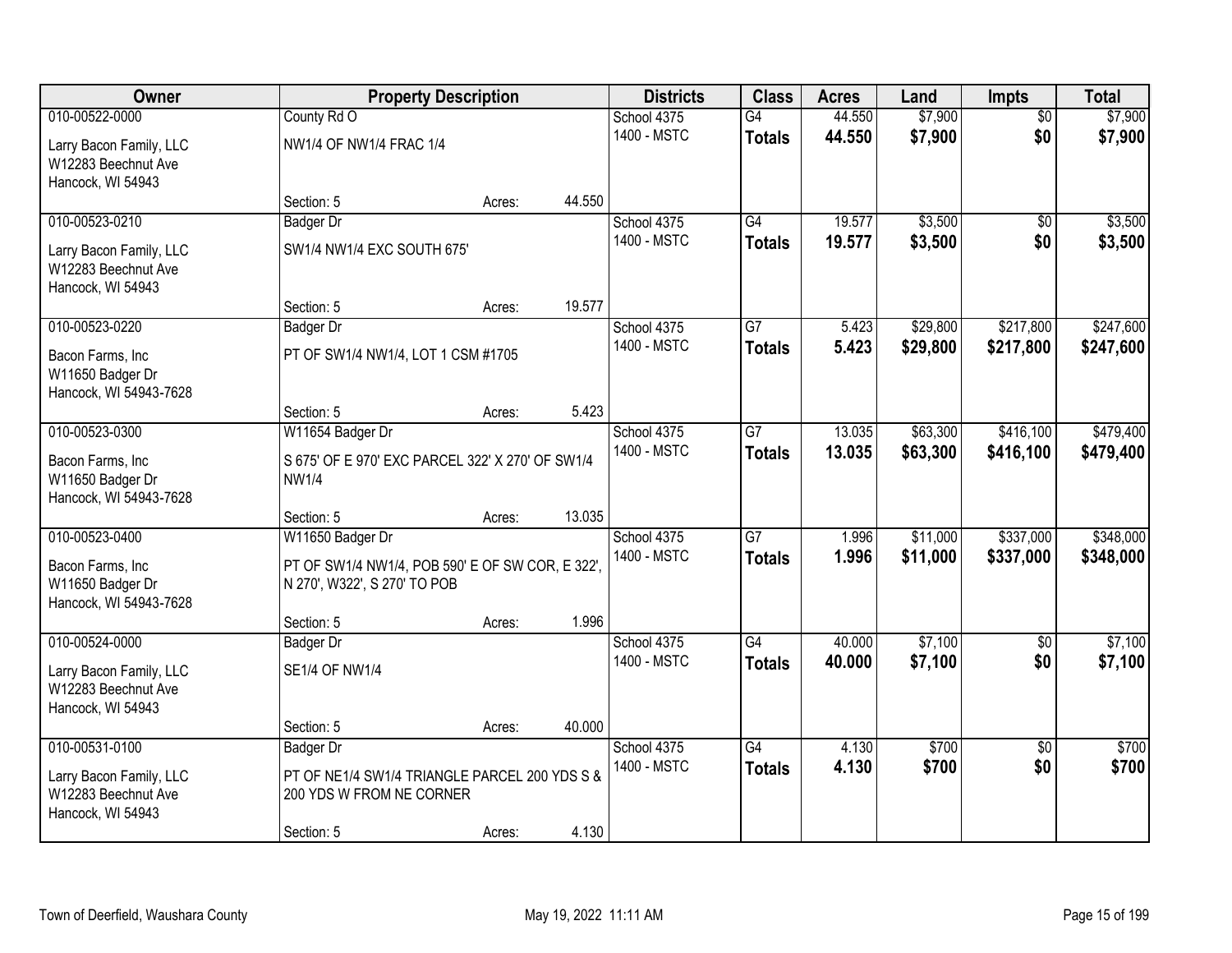| 010-00522-0000<br>\$7,900<br>County Rd O<br>G4<br>44.550<br>$\overline{50}$<br>\$7,900<br>School 4375<br>\$0<br>1400 - MSTC<br>44.550<br>\$7,900<br>\$7,900<br><b>Totals</b><br>NW1/4 OF NW1/4 FRAC 1/4<br>Larry Bacon Family, LLC<br>W12283 Beechnut Ave<br>Hancock, WI 54943<br>44.550<br>Section: 5<br>Acres:<br>\$3,500<br>010-00523-0210<br>School 4375<br>G4<br>19.577<br>$\overline{50}$<br><b>Badger Dr</b><br>1400 - MSTC<br>19.577<br>\$3,500<br>\$0<br>\$3,500<br><b>Totals</b><br>SW1/4 NW1/4 EXC SOUTH 675'<br>Larry Bacon Family, LLC<br>W12283 Beechnut Ave<br>Hancock, WI 54943<br>19.577<br>Section: 5<br>Acres:<br>\$29,800<br>\$217,800<br>010-00523-0220<br>G7<br>5.423<br>School 4375<br>Badger Dr<br>1400 - MSTC<br>5.423<br>\$29,800<br>\$217,800<br><b>Totals</b><br>PT OF SW1/4 NW1/4, LOT 1 CSM #1705<br>Bacon Farms, Inc<br>W11650 Badger Dr<br>Hancock, WI 54943-7628<br>5.423<br>Section: 5<br>Acres:<br>\$63,300<br>\$416,100<br>010-00523-0300<br>School 4375<br>$\overline{G7}$<br>13.035<br>W11654 Badger Dr<br>1400 - MSTC<br>13.035<br>\$63,300<br>\$416,100<br>\$479,400<br><b>Totals</b><br>Bacon Farms, Inc<br>S 675' OF E 970' EXC PARCEL 322' X 270' OF SW1/4<br>W11650 Badger Dr<br><b>NW1/4</b><br>Hancock, WI 54943-7628<br>13.035<br>Section: 5<br>Acres:<br>\$337,000<br>010-00523-0400<br>$\overline{G}$<br>\$11,000<br>W11650 Badger Dr<br>School 4375<br>1.996<br>1400 - MSTC<br>1.996<br>\$11,000<br>\$348,000<br>\$337,000<br><b>Totals</b><br>PT OF SW1/4 NW1/4, POB 590' E OF SW COR, E 322',<br>Bacon Farms, Inc<br>W11650 Badger Dr<br>N 270', W322', S 270' TO POB<br>Hancock, WI 54943-7628<br>1.996<br>Section: 5<br>Acres:<br>010-00524-0000<br>$\overline{G4}$<br>\$7,100<br>School 4375<br>40.000<br>$\overline{60}$<br>Badger Dr<br>1400 - MSTC<br>40.000<br>\$7,100<br>\$0<br><b>Totals</b><br><b>SE1/4 OF NW1/4</b><br>Larry Bacon Family, LLC<br>W12283 Beechnut Ave<br>Hancock, WI 54943<br>40.000<br>Section: 5<br>Acres:<br>010-00531-0100<br>$\overline{G4}$<br>\$700<br>School 4375<br>4.130<br>$\overline{50}$<br><b>Badger Dr</b><br>4.130<br>\$700<br>1400 - MSTC<br>\$700<br>\$0<br><b>Totals</b><br>PT OF NE1/4 SW1/4 TRIANGLE PARCEL 200 YDS S &<br>Larry Bacon Family, LLC<br>W12283 Beechnut Ave<br>200 YDS W FROM NE CORNER<br>Hancock, WI 54943 | Owner | <b>Property Description</b> | <b>Districts</b> | <b>Class</b> | <b>Acres</b> | Land | <b>Impts</b> | <b>Total</b> |
|--------------------------------------------------------------------------------------------------------------------------------------------------------------------------------------------------------------------------------------------------------------------------------------------------------------------------------------------------------------------------------------------------------------------------------------------------------------------------------------------------------------------------------------------------------------------------------------------------------------------------------------------------------------------------------------------------------------------------------------------------------------------------------------------------------------------------------------------------------------------------------------------------------------------------------------------------------------------------------------------------------------------------------------------------------------------------------------------------------------------------------------------------------------------------------------------------------------------------------------------------------------------------------------------------------------------------------------------------------------------------------------------------------------------------------------------------------------------------------------------------------------------------------------------------------------------------------------------------------------------------------------------------------------------------------------------------------------------------------------------------------------------------------------------------------------------------------------------------------------------------------------------------------------------------------------------------------------------------------------------------------------------------------------------------------------------------------------------------------------------------------------------------------------------------------------------------------------------------------------------------------------------------------------------------------------------------------|-------|-----------------------------|------------------|--------------|--------------|------|--------------|--------------|
|                                                                                                                                                                                                                                                                                                                                                                                                                                                                                                                                                                                                                                                                                                                                                                                                                                                                                                                                                                                                                                                                                                                                                                                                                                                                                                                                                                                                                                                                                                                                                                                                                                                                                                                                                                                                                                                                                                                                                                                                                                                                                                                                                                                                                                                                                                                                |       |                             |                  |              |              |      |              |              |
|                                                                                                                                                                                                                                                                                                                                                                                                                                                                                                                                                                                                                                                                                                                                                                                                                                                                                                                                                                                                                                                                                                                                                                                                                                                                                                                                                                                                                                                                                                                                                                                                                                                                                                                                                                                                                                                                                                                                                                                                                                                                                                                                                                                                                                                                                                                                |       |                             |                  |              |              |      |              |              |
|                                                                                                                                                                                                                                                                                                                                                                                                                                                                                                                                                                                                                                                                                                                                                                                                                                                                                                                                                                                                                                                                                                                                                                                                                                                                                                                                                                                                                                                                                                                                                                                                                                                                                                                                                                                                                                                                                                                                                                                                                                                                                                                                                                                                                                                                                                                                |       |                             |                  |              |              |      |              |              |
| \$3,500<br>\$247,600<br>\$247,600<br>\$479,400<br>\$348,000<br>\$7,100<br>\$7,100<br>\$700                                                                                                                                                                                                                                                                                                                                                                                                                                                                                                                                                                                                                                                                                                                                                                                                                                                                                                                                                                                                                                                                                                                                                                                                                                                                                                                                                                                                                                                                                                                                                                                                                                                                                                                                                                                                                                                                                                                                                                                                                                                                                                                                                                                                                                     |       |                             |                  |              |              |      |              |              |
|                                                                                                                                                                                                                                                                                                                                                                                                                                                                                                                                                                                                                                                                                                                                                                                                                                                                                                                                                                                                                                                                                                                                                                                                                                                                                                                                                                                                                                                                                                                                                                                                                                                                                                                                                                                                                                                                                                                                                                                                                                                                                                                                                                                                                                                                                                                                |       |                             |                  |              |              |      |              |              |
|                                                                                                                                                                                                                                                                                                                                                                                                                                                                                                                                                                                                                                                                                                                                                                                                                                                                                                                                                                                                                                                                                                                                                                                                                                                                                                                                                                                                                                                                                                                                                                                                                                                                                                                                                                                                                                                                                                                                                                                                                                                                                                                                                                                                                                                                                                                                |       |                             |                  |              |              |      |              |              |
|                                                                                                                                                                                                                                                                                                                                                                                                                                                                                                                                                                                                                                                                                                                                                                                                                                                                                                                                                                                                                                                                                                                                                                                                                                                                                                                                                                                                                                                                                                                                                                                                                                                                                                                                                                                                                                                                                                                                                                                                                                                                                                                                                                                                                                                                                                                                |       |                             |                  |              |              |      |              |              |
|                                                                                                                                                                                                                                                                                                                                                                                                                                                                                                                                                                                                                                                                                                                                                                                                                                                                                                                                                                                                                                                                                                                                                                                                                                                                                                                                                                                                                                                                                                                                                                                                                                                                                                                                                                                                                                                                                                                                                                                                                                                                                                                                                                                                                                                                                                                                |       |                             |                  |              |              |      |              |              |
|                                                                                                                                                                                                                                                                                                                                                                                                                                                                                                                                                                                                                                                                                                                                                                                                                                                                                                                                                                                                                                                                                                                                                                                                                                                                                                                                                                                                                                                                                                                                                                                                                                                                                                                                                                                                                                                                                                                                                                                                                                                                                                                                                                                                                                                                                                                                |       |                             |                  |              |              |      |              |              |
|                                                                                                                                                                                                                                                                                                                                                                                                                                                                                                                                                                                                                                                                                                                                                                                                                                                                                                                                                                                                                                                                                                                                                                                                                                                                                                                                                                                                                                                                                                                                                                                                                                                                                                                                                                                                                                                                                                                                                                                                                                                                                                                                                                                                                                                                                                                                |       |                             |                  |              |              |      |              |              |
|                                                                                                                                                                                                                                                                                                                                                                                                                                                                                                                                                                                                                                                                                                                                                                                                                                                                                                                                                                                                                                                                                                                                                                                                                                                                                                                                                                                                                                                                                                                                                                                                                                                                                                                                                                                                                                                                                                                                                                                                                                                                                                                                                                                                                                                                                                                                |       |                             |                  |              |              |      |              |              |
|                                                                                                                                                                                                                                                                                                                                                                                                                                                                                                                                                                                                                                                                                                                                                                                                                                                                                                                                                                                                                                                                                                                                                                                                                                                                                                                                                                                                                                                                                                                                                                                                                                                                                                                                                                                                                                                                                                                                                                                                                                                                                                                                                                                                                                                                                                                                |       |                             |                  |              |              |      |              |              |
|                                                                                                                                                                                                                                                                                                                                                                                                                                                                                                                                                                                                                                                                                                                                                                                                                                                                                                                                                                                                                                                                                                                                                                                                                                                                                                                                                                                                                                                                                                                                                                                                                                                                                                                                                                                                                                                                                                                                                                                                                                                                                                                                                                                                                                                                                                                                |       |                             |                  |              |              |      |              |              |
|                                                                                                                                                                                                                                                                                                                                                                                                                                                                                                                                                                                                                                                                                                                                                                                                                                                                                                                                                                                                                                                                                                                                                                                                                                                                                                                                                                                                                                                                                                                                                                                                                                                                                                                                                                                                                                                                                                                                                                                                                                                                                                                                                                                                                                                                                                                                |       |                             |                  |              |              |      |              |              |
|                                                                                                                                                                                                                                                                                                                                                                                                                                                                                                                                                                                                                                                                                                                                                                                                                                                                                                                                                                                                                                                                                                                                                                                                                                                                                                                                                                                                                                                                                                                                                                                                                                                                                                                                                                                                                                                                                                                                                                                                                                                                                                                                                                                                                                                                                                                                |       |                             |                  |              |              |      |              |              |
|                                                                                                                                                                                                                                                                                                                                                                                                                                                                                                                                                                                                                                                                                                                                                                                                                                                                                                                                                                                                                                                                                                                                                                                                                                                                                                                                                                                                                                                                                                                                                                                                                                                                                                                                                                                                                                                                                                                                                                                                                                                                                                                                                                                                                                                                                                                                |       |                             |                  |              |              |      |              |              |
|                                                                                                                                                                                                                                                                                                                                                                                                                                                                                                                                                                                                                                                                                                                                                                                                                                                                                                                                                                                                                                                                                                                                                                                                                                                                                                                                                                                                                                                                                                                                                                                                                                                                                                                                                                                                                                                                                                                                                                                                                                                                                                                                                                                                                                                                                                                                |       |                             |                  |              |              |      |              |              |
|                                                                                                                                                                                                                                                                                                                                                                                                                                                                                                                                                                                                                                                                                                                                                                                                                                                                                                                                                                                                                                                                                                                                                                                                                                                                                                                                                                                                                                                                                                                                                                                                                                                                                                                                                                                                                                                                                                                                                                                                                                                                                                                                                                                                                                                                                                                                |       |                             |                  |              |              |      |              |              |
|                                                                                                                                                                                                                                                                                                                                                                                                                                                                                                                                                                                                                                                                                                                                                                                                                                                                                                                                                                                                                                                                                                                                                                                                                                                                                                                                                                                                                                                                                                                                                                                                                                                                                                                                                                                                                                                                                                                                                                                                                                                                                                                                                                                                                                                                                                                                |       |                             |                  |              |              |      |              |              |
|                                                                                                                                                                                                                                                                                                                                                                                                                                                                                                                                                                                                                                                                                                                                                                                                                                                                                                                                                                                                                                                                                                                                                                                                                                                                                                                                                                                                                                                                                                                                                                                                                                                                                                                                                                                                                                                                                                                                                                                                                                                                                                                                                                                                                                                                                                                                |       |                             |                  |              |              |      |              |              |
|                                                                                                                                                                                                                                                                                                                                                                                                                                                                                                                                                                                                                                                                                                                                                                                                                                                                                                                                                                                                                                                                                                                                                                                                                                                                                                                                                                                                                                                                                                                                                                                                                                                                                                                                                                                                                                                                                                                                                                                                                                                                                                                                                                                                                                                                                                                                |       |                             |                  |              |              |      |              |              |
|                                                                                                                                                                                                                                                                                                                                                                                                                                                                                                                                                                                                                                                                                                                                                                                                                                                                                                                                                                                                                                                                                                                                                                                                                                                                                                                                                                                                                                                                                                                                                                                                                                                                                                                                                                                                                                                                                                                                                                                                                                                                                                                                                                                                                                                                                                                                |       |                             |                  |              |              |      |              |              |
|                                                                                                                                                                                                                                                                                                                                                                                                                                                                                                                                                                                                                                                                                                                                                                                                                                                                                                                                                                                                                                                                                                                                                                                                                                                                                                                                                                                                                                                                                                                                                                                                                                                                                                                                                                                                                                                                                                                                                                                                                                                                                                                                                                                                                                                                                                                                |       |                             |                  |              |              |      |              |              |
|                                                                                                                                                                                                                                                                                                                                                                                                                                                                                                                                                                                                                                                                                                                                                                                                                                                                                                                                                                                                                                                                                                                                                                                                                                                                                                                                                                                                                                                                                                                                                                                                                                                                                                                                                                                                                                                                                                                                                                                                                                                                                                                                                                                                                                                                                                                                |       |                             |                  |              |              |      |              |              |
|                                                                                                                                                                                                                                                                                                                                                                                                                                                                                                                                                                                                                                                                                                                                                                                                                                                                                                                                                                                                                                                                                                                                                                                                                                                                                                                                                                                                                                                                                                                                                                                                                                                                                                                                                                                                                                                                                                                                                                                                                                                                                                                                                                                                                                                                                                                                |       |                             |                  |              |              |      |              |              |
|                                                                                                                                                                                                                                                                                                                                                                                                                                                                                                                                                                                                                                                                                                                                                                                                                                                                                                                                                                                                                                                                                                                                                                                                                                                                                                                                                                                                                                                                                                                                                                                                                                                                                                                                                                                                                                                                                                                                                                                                                                                                                                                                                                                                                                                                                                                                |       |                             |                  |              |              |      |              |              |
|                                                                                                                                                                                                                                                                                                                                                                                                                                                                                                                                                                                                                                                                                                                                                                                                                                                                                                                                                                                                                                                                                                                                                                                                                                                                                                                                                                                                                                                                                                                                                                                                                                                                                                                                                                                                                                                                                                                                                                                                                                                                                                                                                                                                                                                                                                                                |       |                             |                  |              |              |      |              |              |
|                                                                                                                                                                                                                                                                                                                                                                                                                                                                                                                                                                                                                                                                                                                                                                                                                                                                                                                                                                                                                                                                                                                                                                                                                                                                                                                                                                                                                                                                                                                                                                                                                                                                                                                                                                                                                                                                                                                                                                                                                                                                                                                                                                                                                                                                                                                                |       |                             |                  |              |              |      |              |              |
|                                                                                                                                                                                                                                                                                                                                                                                                                                                                                                                                                                                                                                                                                                                                                                                                                                                                                                                                                                                                                                                                                                                                                                                                                                                                                                                                                                                                                                                                                                                                                                                                                                                                                                                                                                                                                                                                                                                                                                                                                                                                                                                                                                                                                                                                                                                                |       |                             |                  |              |              |      |              |              |
|                                                                                                                                                                                                                                                                                                                                                                                                                                                                                                                                                                                                                                                                                                                                                                                                                                                                                                                                                                                                                                                                                                                                                                                                                                                                                                                                                                                                                                                                                                                                                                                                                                                                                                                                                                                                                                                                                                                                                                                                                                                                                                                                                                                                                                                                                                                                |       |                             |                  |              |              |      |              |              |
|                                                                                                                                                                                                                                                                                                                                                                                                                                                                                                                                                                                                                                                                                                                                                                                                                                                                                                                                                                                                                                                                                                                                                                                                                                                                                                                                                                                                                                                                                                                                                                                                                                                                                                                                                                                                                                                                                                                                                                                                                                                                                                                                                                                                                                                                                                                                |       |                             |                  |              |              |      |              |              |
|                                                                                                                                                                                                                                                                                                                                                                                                                                                                                                                                                                                                                                                                                                                                                                                                                                                                                                                                                                                                                                                                                                                                                                                                                                                                                                                                                                                                                                                                                                                                                                                                                                                                                                                                                                                                                                                                                                                                                                                                                                                                                                                                                                                                                                                                                                                                |       |                             |                  |              |              |      |              |              |
| 4.130<br>Section: 5<br>Acres:                                                                                                                                                                                                                                                                                                                                                                                                                                                                                                                                                                                                                                                                                                                                                                                                                                                                                                                                                                                                                                                                                                                                                                                                                                                                                                                                                                                                                                                                                                                                                                                                                                                                                                                                                                                                                                                                                                                                                                                                                                                                                                                                                                                                                                                                                                  |       |                             |                  |              |              |      |              |              |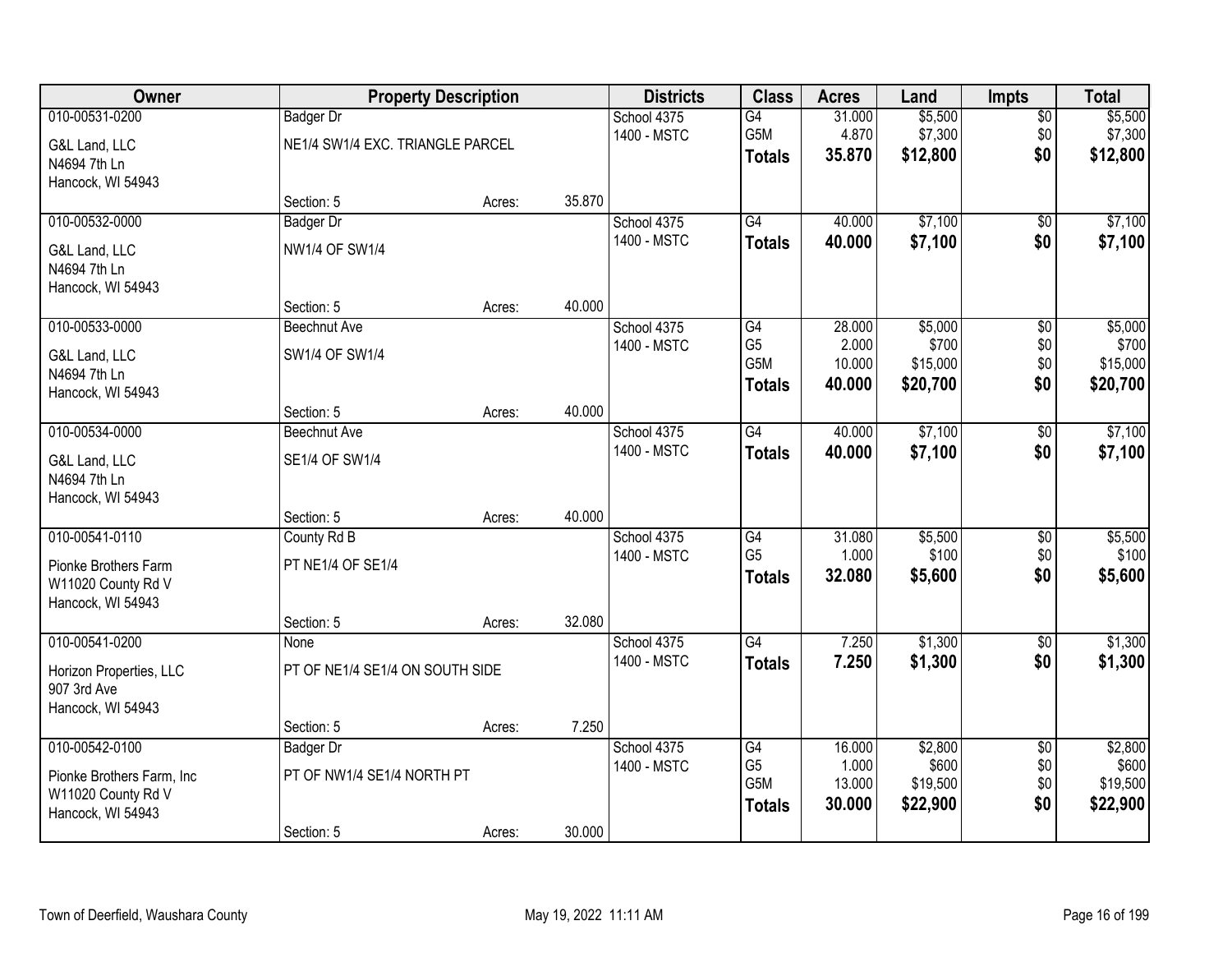| 010-00531-0200<br>\$5,500<br>School 4375<br>G4<br>31.000<br>$\overline{50}$<br><b>Badger Dr</b><br>\$7,300<br>G5M<br>4.870<br>\$0<br>\$7,300<br>1400 - MSTC<br>NE1/4 SW1/4 EXC. TRIANGLE PARCEL<br>G&L Land, LLC<br>\$0<br>35.870<br>\$12,800<br><b>Totals</b><br>N4694 7th Ln<br>Hancock, WI 54943<br>35.870<br>Section: 5<br>Acres:<br>\$7,100<br>010-00532-0000<br>G4<br>40.000<br>School 4375<br>$\overline{50}$<br><b>Badger Dr</b><br>1400 - MSTC<br>\$0<br>40.000<br>\$7,100<br><b>Totals</b><br><b>NW1/4 OF SW1/4</b><br>G&L Land, LLC<br>N4694 7th Ln<br>Hancock, WI 54943<br>40.000<br>Section: 5<br>Acres:<br>010-00533-0000<br>28.000<br>\$5,000<br>$\overline{50}$<br>School 4375<br>G4<br><b>Beechnut Ave</b><br>G <sub>5</sub><br>\$700<br>$$0$$<br>1400 - MSTC<br>2.000<br>SW1/4 OF SW1/4<br>G&L Land, LLC<br>G5M<br>\$0<br>10.000<br>\$15,000<br>N4694 7th Ln<br>\$20,700<br>\$0<br>40.000<br>\$20,700<br><b>Totals</b><br>Hancock, WI 54943<br>40.000<br>Section: 5<br>Acres:<br>\$7,100<br>010-00534-0000<br>School 4375<br>$\overline{G4}$<br>40.000<br>\$0<br><b>Beechnut Ave</b><br>1400 - MSTC<br>\$0<br>40.000<br>\$7,100<br><b>Totals</b><br>SE1/4 OF SW1/4<br>G&L Land, LLC<br>N4694 7th Ln<br>Hancock, WI 54943<br>40.000<br>Section: 5<br>Acres:<br>010-00541-0110<br>31.080<br>\$5,500<br>County Rd B<br>G4<br>\$0<br>School 4375<br>G <sub>5</sub><br>1.000<br>\$100<br>\$0<br>1400 - MSTC<br>PT NE1/4 OF SE1/4<br>Pionke Brothers Farm<br>\$0<br>\$5,600<br>32.080<br>\$5,600<br><b>Totals</b><br>W11020 County Rd V<br>Hancock, WI 54943<br>32.080<br>Section: 5<br>Acres:<br>$\overline{G4}$<br>\$1,300<br>010-00541-0200<br>7.250<br>School 4375<br>$\sqrt{$0}$<br>None<br>1400 - MSTC<br>7.250<br>\$1,300<br>\$0<br><b>Totals</b><br>PT OF NE1/4 SE1/4 ON SOUTH SIDE<br>Horizon Properties, LLC<br>907 3rd Ave<br>Hancock, WI 54943<br>7.250<br>Section: 5<br>Acres:<br>010-00542-0100<br>\$2,800<br>School 4375<br>G4<br>16.000<br>$\overline{50}$<br><b>Badger Dr</b><br>G <sub>5</sub><br>1.000<br>\$600<br>\$0<br>1400 - MSTC<br>PT OF NW1/4 SE1/4 NORTH PT<br>Pionke Brothers Farm, Inc<br>G5M<br>\$0<br>\$19,500<br>13.000<br>W11020 County Rd V<br>\$0<br>30.000<br>\$22,900<br>\$22,900<br><b>Totals</b><br>Hancock, WI 54943 | Owner |            | <b>Property Description</b> |        | <b>Districts</b> | <b>Class</b> | <b>Acres</b> | Land | <b>Impts</b> | <b>Total</b> |
|--------------------------------------------------------------------------------------------------------------------------------------------------------------------------------------------------------------------------------------------------------------------------------------------------------------------------------------------------------------------------------------------------------------------------------------------------------------------------------------------------------------------------------------------------------------------------------------------------------------------------------------------------------------------------------------------------------------------------------------------------------------------------------------------------------------------------------------------------------------------------------------------------------------------------------------------------------------------------------------------------------------------------------------------------------------------------------------------------------------------------------------------------------------------------------------------------------------------------------------------------------------------------------------------------------------------------------------------------------------------------------------------------------------------------------------------------------------------------------------------------------------------------------------------------------------------------------------------------------------------------------------------------------------------------------------------------------------------------------------------------------------------------------------------------------------------------------------------------------------------------------------------------------------------------------------------------------------------------------------------------------------------------------------------------------------------------------------------------------------------------------------------------------------------------------------------------------------------------------------------------------------------------|-------|------------|-----------------------------|--------|------------------|--------------|--------------|------|--------------|--------------|
| \$12,800                                                                                                                                                                                                                                                                                                                                                                                                                                                                                                                                                                                                                                                                                                                                                                                                                                                                                                                                                                                                                                                                                                                                                                                                                                                                                                                                                                                                                                                                                                                                                                                                                                                                                                                                                                                                                                                                                                                                                                                                                                                                                                                                                                                                                                                                 |       |            |                             |        |                  |              |              |      |              | \$5,500      |
|                                                                                                                                                                                                                                                                                                                                                                                                                                                                                                                                                                                                                                                                                                                                                                                                                                                                                                                                                                                                                                                                                                                                                                                                                                                                                                                                                                                                                                                                                                                                                                                                                                                                                                                                                                                                                                                                                                                                                                                                                                                                                                                                                                                                                                                                          |       |            |                             |        |                  |              |              |      |              |              |
|                                                                                                                                                                                                                                                                                                                                                                                                                                                                                                                                                                                                                                                                                                                                                                                                                                                                                                                                                                                                                                                                                                                                                                                                                                                                                                                                                                                                                                                                                                                                                                                                                                                                                                                                                                                                                                                                                                                                                                                                                                                                                                                                                                                                                                                                          |       |            |                             |        |                  |              |              |      |              |              |
| \$7,100<br>\$7,100                                                                                                                                                                                                                                                                                                                                                                                                                                                                                                                                                                                                                                                                                                                                                                                                                                                                                                                                                                                                                                                                                                                                                                                                                                                                                                                                                                                                                                                                                                                                                                                                                                                                                                                                                                                                                                                                                                                                                                                                                                                                                                                                                                                                                                                       |       |            |                             |        |                  |              |              |      |              |              |
|                                                                                                                                                                                                                                                                                                                                                                                                                                                                                                                                                                                                                                                                                                                                                                                                                                                                                                                                                                                                                                                                                                                                                                                                                                                                                                                                                                                                                                                                                                                                                                                                                                                                                                                                                                                                                                                                                                                                                                                                                                                                                                                                                                                                                                                                          |       |            |                             |        |                  |              |              |      |              |              |
|                                                                                                                                                                                                                                                                                                                                                                                                                                                                                                                                                                                                                                                                                                                                                                                                                                                                                                                                                                                                                                                                                                                                                                                                                                                                                                                                                                                                                                                                                                                                                                                                                                                                                                                                                                                                                                                                                                                                                                                                                                                                                                                                                                                                                                                                          |       |            |                             |        |                  |              |              |      |              |              |
|                                                                                                                                                                                                                                                                                                                                                                                                                                                                                                                                                                                                                                                                                                                                                                                                                                                                                                                                                                                                                                                                                                                                                                                                                                                                                                                                                                                                                                                                                                                                                                                                                                                                                                                                                                                                                                                                                                                                                                                                                                                                                                                                                                                                                                                                          |       |            |                             |        |                  |              |              |      |              |              |
| \$5,000<br>\$700<br>\$15,000<br>\$7,100<br>\$7,100<br>\$5,500<br>\$100<br>\$1,300<br>\$1,300<br>\$2,800<br>\$600<br>\$19,500                                                                                                                                                                                                                                                                                                                                                                                                                                                                                                                                                                                                                                                                                                                                                                                                                                                                                                                                                                                                                                                                                                                                                                                                                                                                                                                                                                                                                                                                                                                                                                                                                                                                                                                                                                                                                                                                                                                                                                                                                                                                                                                                             |       |            |                             |        |                  |              |              |      |              |              |
|                                                                                                                                                                                                                                                                                                                                                                                                                                                                                                                                                                                                                                                                                                                                                                                                                                                                                                                                                                                                                                                                                                                                                                                                                                                                                                                                                                                                                                                                                                                                                                                                                                                                                                                                                                                                                                                                                                                                                                                                                                                                                                                                                                                                                                                                          |       |            |                             |        |                  |              |              |      |              |              |
|                                                                                                                                                                                                                                                                                                                                                                                                                                                                                                                                                                                                                                                                                                                                                                                                                                                                                                                                                                                                                                                                                                                                                                                                                                                                                                                                                                                                                                                                                                                                                                                                                                                                                                                                                                                                                                                                                                                                                                                                                                                                                                                                                                                                                                                                          |       |            |                             |        |                  |              |              |      |              |              |
|                                                                                                                                                                                                                                                                                                                                                                                                                                                                                                                                                                                                                                                                                                                                                                                                                                                                                                                                                                                                                                                                                                                                                                                                                                                                                                                                                                                                                                                                                                                                                                                                                                                                                                                                                                                                                                                                                                                                                                                                                                                                                                                                                                                                                                                                          |       |            |                             |        |                  |              |              |      |              |              |
|                                                                                                                                                                                                                                                                                                                                                                                                                                                                                                                                                                                                                                                                                                                                                                                                                                                                                                                                                                                                                                                                                                                                                                                                                                                                                                                                                                                                                                                                                                                                                                                                                                                                                                                                                                                                                                                                                                                                                                                                                                                                                                                                                                                                                                                                          |       |            |                             |        |                  |              |              |      |              |              |
|                                                                                                                                                                                                                                                                                                                                                                                                                                                                                                                                                                                                                                                                                                                                                                                                                                                                                                                                                                                                                                                                                                                                                                                                                                                                                                                                                                                                                                                                                                                                                                                                                                                                                                                                                                                                                                                                                                                                                                                                                                                                                                                                                                                                                                                                          |       |            |                             |        |                  |              |              |      |              |              |
|                                                                                                                                                                                                                                                                                                                                                                                                                                                                                                                                                                                                                                                                                                                                                                                                                                                                                                                                                                                                                                                                                                                                                                                                                                                                                                                                                                                                                                                                                                                                                                                                                                                                                                                                                                                                                                                                                                                                                                                                                                                                                                                                                                                                                                                                          |       |            |                             |        |                  |              |              |      |              |              |
|                                                                                                                                                                                                                                                                                                                                                                                                                                                                                                                                                                                                                                                                                                                                                                                                                                                                                                                                                                                                                                                                                                                                                                                                                                                                                                                                                                                                                                                                                                                                                                                                                                                                                                                                                                                                                                                                                                                                                                                                                                                                                                                                                                                                                                                                          |       |            |                             |        |                  |              |              |      |              |              |
|                                                                                                                                                                                                                                                                                                                                                                                                                                                                                                                                                                                                                                                                                                                                                                                                                                                                                                                                                                                                                                                                                                                                                                                                                                                                                                                                                                                                                                                                                                                                                                                                                                                                                                                                                                                                                                                                                                                                                                                                                                                                                                                                                                                                                                                                          |       |            |                             |        |                  |              |              |      |              |              |
|                                                                                                                                                                                                                                                                                                                                                                                                                                                                                                                                                                                                                                                                                                                                                                                                                                                                                                                                                                                                                                                                                                                                                                                                                                                                                                                                                                                                                                                                                                                                                                                                                                                                                                                                                                                                                                                                                                                                                                                                                                                                                                                                                                                                                                                                          |       |            |                             |        |                  |              |              |      |              |              |
|                                                                                                                                                                                                                                                                                                                                                                                                                                                                                                                                                                                                                                                                                                                                                                                                                                                                                                                                                                                                                                                                                                                                                                                                                                                                                                                                                                                                                                                                                                                                                                                                                                                                                                                                                                                                                                                                                                                                                                                                                                                                                                                                                                                                                                                                          |       |            |                             |        |                  |              |              |      |              |              |
|                                                                                                                                                                                                                                                                                                                                                                                                                                                                                                                                                                                                                                                                                                                                                                                                                                                                                                                                                                                                                                                                                                                                                                                                                                                                                                                                                                                                                                                                                                                                                                                                                                                                                                                                                                                                                                                                                                                                                                                                                                                                                                                                                                                                                                                                          |       |            |                             |        |                  |              |              |      |              |              |
|                                                                                                                                                                                                                                                                                                                                                                                                                                                                                                                                                                                                                                                                                                                                                                                                                                                                                                                                                                                                                                                                                                                                                                                                                                                                                                                                                                                                                                                                                                                                                                                                                                                                                                                                                                                                                                                                                                                                                                                                                                                                                                                                                                                                                                                                          |       |            |                             |        |                  |              |              |      |              |              |
|                                                                                                                                                                                                                                                                                                                                                                                                                                                                                                                                                                                                                                                                                                                                                                                                                                                                                                                                                                                                                                                                                                                                                                                                                                                                                                                                                                                                                                                                                                                                                                                                                                                                                                                                                                                                                                                                                                                                                                                                                                                                                                                                                                                                                                                                          |       |            |                             |        |                  |              |              |      |              |              |
|                                                                                                                                                                                                                                                                                                                                                                                                                                                                                                                                                                                                                                                                                                                                                                                                                                                                                                                                                                                                                                                                                                                                                                                                                                                                                                                                                                                                                                                                                                                                                                                                                                                                                                                                                                                                                                                                                                                                                                                                                                                                                                                                                                                                                                                                          |       |            |                             |        |                  |              |              |      |              |              |
|                                                                                                                                                                                                                                                                                                                                                                                                                                                                                                                                                                                                                                                                                                                                                                                                                                                                                                                                                                                                                                                                                                                                                                                                                                                                                                                                                                                                                                                                                                                                                                                                                                                                                                                                                                                                                                                                                                                                                                                                                                                                                                                                                                                                                                                                          |       |            |                             |        |                  |              |              |      |              |              |
|                                                                                                                                                                                                                                                                                                                                                                                                                                                                                                                                                                                                                                                                                                                                                                                                                                                                                                                                                                                                                                                                                                                                                                                                                                                                                                                                                                                                                                                                                                                                                                                                                                                                                                                                                                                                                                                                                                                                                                                                                                                                                                                                                                                                                                                                          |       |            |                             |        |                  |              |              |      |              |              |
|                                                                                                                                                                                                                                                                                                                                                                                                                                                                                                                                                                                                                                                                                                                                                                                                                                                                                                                                                                                                                                                                                                                                                                                                                                                                                                                                                                                                                                                                                                                                                                                                                                                                                                                                                                                                                                                                                                                                                                                                                                                                                                                                                                                                                                                                          |       |            |                             |        |                  |              |              |      |              |              |
|                                                                                                                                                                                                                                                                                                                                                                                                                                                                                                                                                                                                                                                                                                                                                                                                                                                                                                                                                                                                                                                                                                                                                                                                                                                                                                                                                                                                                                                                                                                                                                                                                                                                                                                                                                                                                                                                                                                                                                                                                                                                                                                                                                                                                                                                          |       |            |                             |        |                  |              |              |      |              |              |
|                                                                                                                                                                                                                                                                                                                                                                                                                                                                                                                                                                                                                                                                                                                                                                                                                                                                                                                                                                                                                                                                                                                                                                                                                                                                                                                                                                                                                                                                                                                                                                                                                                                                                                                                                                                                                                                                                                                                                                                                                                                                                                                                                                                                                                                                          |       |            |                             |        |                  |              |              |      |              |              |
|                                                                                                                                                                                                                                                                                                                                                                                                                                                                                                                                                                                                                                                                                                                                                                                                                                                                                                                                                                                                                                                                                                                                                                                                                                                                                                                                                                                                                                                                                                                                                                                                                                                                                                                                                                                                                                                                                                                                                                                                                                                                                                                                                                                                                                                                          |       |            |                             |        |                  |              |              |      |              |              |
|                                                                                                                                                                                                                                                                                                                                                                                                                                                                                                                                                                                                                                                                                                                                                                                                                                                                                                                                                                                                                                                                                                                                                                                                                                                                                                                                                                                                                                                                                                                                                                                                                                                                                                                                                                                                                                                                                                                                                                                                                                                                                                                                                                                                                                                                          |       |            |                             |        |                  |              |              |      |              |              |
|                                                                                                                                                                                                                                                                                                                                                                                                                                                                                                                                                                                                                                                                                                                                                                                                                                                                                                                                                                                                                                                                                                                                                                                                                                                                                                                                                                                                                                                                                                                                                                                                                                                                                                                                                                                                                                                                                                                                                                                                                                                                                                                                                                                                                                                                          |       |            |                             |        |                  |              |              |      |              |              |
|                                                                                                                                                                                                                                                                                                                                                                                                                                                                                                                                                                                                                                                                                                                                                                                                                                                                                                                                                                                                                                                                                                                                                                                                                                                                                                                                                                                                                                                                                                                                                                                                                                                                                                                                                                                                                                                                                                                                                                                                                                                                                                                                                                                                                                                                          |       |            |                             |        |                  |              |              |      |              |              |
|                                                                                                                                                                                                                                                                                                                                                                                                                                                                                                                                                                                                                                                                                                                                                                                                                                                                                                                                                                                                                                                                                                                                                                                                                                                                                                                                                                                                                                                                                                                                                                                                                                                                                                                                                                                                                                                                                                                                                                                                                                                                                                                                                                                                                                                                          |       | Section: 5 | Acres:                      | 30.000 |                  |              |              |      |              |              |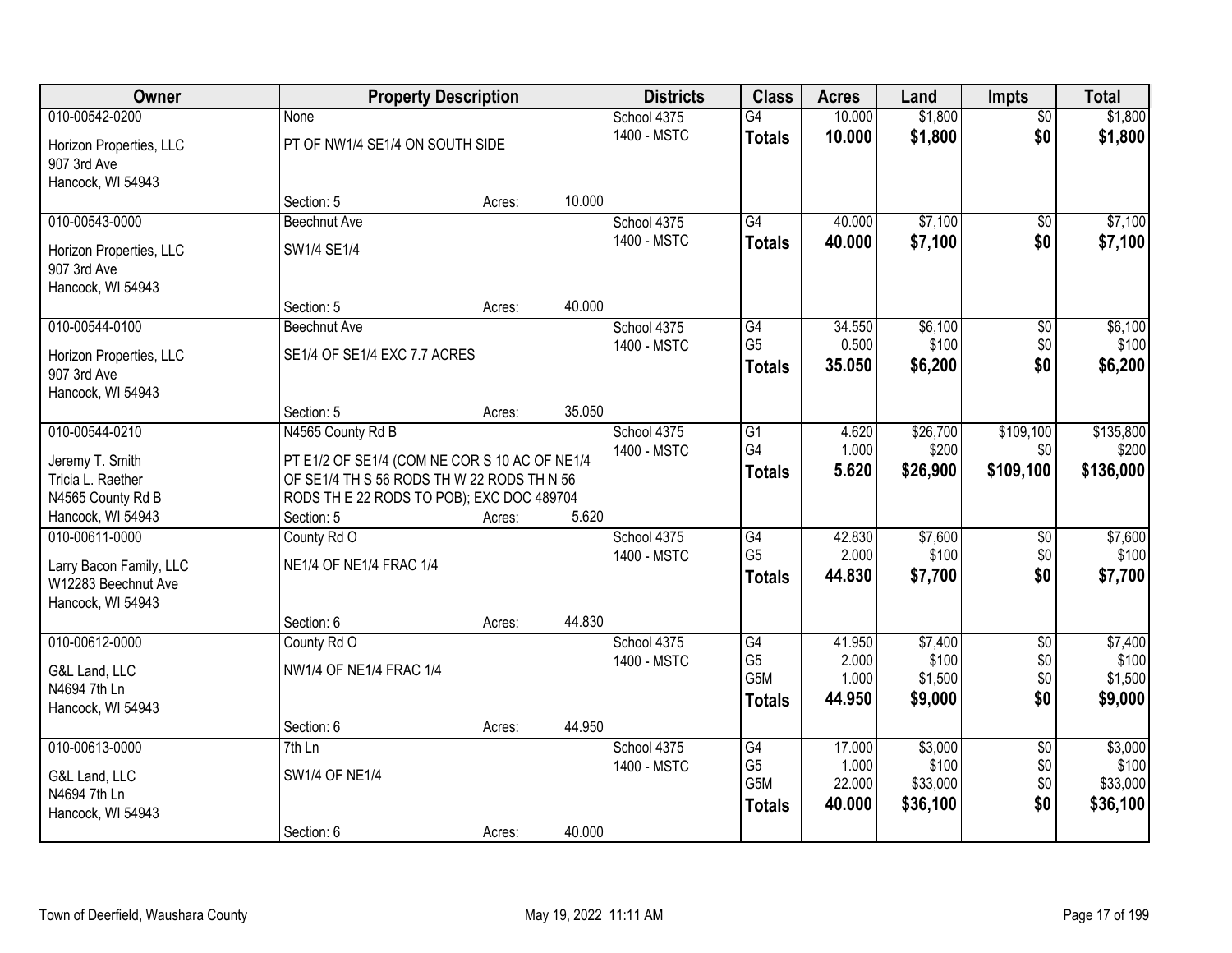| Owner                   |                                               | <b>Property Description</b> |        | <b>Districts</b>           | <b>Class</b>          | <b>Acres</b>    | Land              | <b>Impts</b>     | <b>Total</b>       |
|-------------------------|-----------------------------------------------|-----------------------------|--------|----------------------------|-----------------------|-----------------|-------------------|------------------|--------------------|
| 010-00542-0200          | None                                          |                             |        | School 4375                | $\overline{G4}$       | 10.000          | \$1,800           | $\overline{50}$  | \$1,800            |
| Horizon Properties, LLC | PT OF NW1/4 SE1/4 ON SOUTH SIDE               |                             |        | 1400 - MSTC                | <b>Totals</b>         | 10.000          | \$1,800           | \$0              | \$1,800            |
| 907 3rd Ave             |                                               |                             |        |                            |                       |                 |                   |                  |                    |
| Hancock, WI 54943       |                                               |                             |        |                            |                       |                 |                   |                  |                    |
|                         | Section: 5                                    | Acres:                      | 10.000 |                            |                       |                 |                   |                  |                    |
| 010-00543-0000          | <b>Beechnut Ave</b>                           |                             |        | School 4375                | $\overline{G4}$       | 40.000          | \$7,100           | \$0              | \$7,100            |
| Horizon Properties, LLC | SW1/4 SE1/4                                   |                             |        | 1400 - MSTC                | <b>Totals</b>         | 40.000          | \$7,100           | \$0              | \$7,100            |
| 907 3rd Ave             |                                               |                             |        |                            |                       |                 |                   |                  |                    |
| Hancock, WI 54943       |                                               |                             |        |                            |                       |                 |                   |                  |                    |
|                         | Section: 5                                    | Acres:                      | 40.000 |                            |                       |                 |                   |                  |                    |
| 010-00544-0100          | Beechnut Ave                                  |                             |        | School 4375                | G4<br>G <sub>5</sub>  | 34.550          | \$6,100<br>\$100  | \$0              | \$6,100            |
| Horizon Properties, LLC | SE1/4 OF SE1/4 EXC 7.7 ACRES                  |                             |        | 1400 - MSTC                |                       | 0.500<br>35.050 | \$6,200           | \$0<br>\$0       | \$100<br>\$6,200   |
| 907 3rd Ave             |                                               |                             |        |                            | <b>Totals</b>         |                 |                   |                  |                    |
| Hancock, WI 54943       |                                               |                             |        |                            |                       |                 |                   |                  |                    |
|                         | Section: 5                                    | Acres:                      | 35.050 |                            |                       |                 |                   |                  |                    |
| 010-00544-0210          | N4565 County Rd B                             |                             |        | School 4375<br>1400 - MSTC | G1<br>G4              | 4.620<br>1.000  | \$26,700          | \$109,100<br>\$0 | \$135,800<br>\$200 |
| Jeremy T. Smith         | PT E1/2 OF SE1/4 (COM NE COR S 10 AC OF NE1/4 |                             |        |                            |                       | 5.620           | \$200<br>\$26,900 | \$109,100        | \$136,000          |
| Tricia L. Raether       | OF SE1/4 TH S 56 RODS TH W 22 RODS TH N 56    |                             |        |                            | <b>Totals</b>         |                 |                   |                  |                    |
| N4565 County Rd B       | RODS TH E 22 RODS TO POB); EXC DOC 489704     |                             |        |                            |                       |                 |                   |                  |                    |
| Hancock, WI 54943       | Section: 5                                    | Acres:                      | 5.620  |                            |                       |                 |                   |                  |                    |
| 010-00611-0000          | County Rd O                                   |                             |        | School 4375                | $\overline{G4}$       | 42.830          | \$7,600           | $\overline{50}$  | \$7,600            |
| Larry Bacon Family, LLC | NE1/4 OF NE1/4 FRAC 1/4                       |                             |        | 1400 - MSTC                | G <sub>5</sub>        | 2.000           | \$100             | \$0              | \$100              |
| W12283 Beechnut Ave     |                                               |                             |        |                            | <b>Totals</b>         | 44.830          | \$7,700           | \$0              | \$7,700            |
| Hancock, WI 54943       |                                               |                             |        |                            |                       |                 |                   |                  |                    |
|                         | Section: 6                                    | Acres:                      | 44.830 |                            |                       |                 |                   |                  |                    |
| 010-00612-0000          | County Rd O                                   |                             |        | School 4375                | G4                    | 41.950          | \$7,400           | $\overline{50}$  | \$7,400            |
| G&L Land, LLC           | NW1/4 OF NE1/4 FRAC 1/4                       |                             |        | 1400 - MSTC                | G <sub>5</sub><br>G5M | 2.000<br>1.000  | \$100<br>\$1,500  | \$0<br>\$0       | \$100<br>\$1,500   |
| N4694 7th Ln            |                                               |                             |        |                            | <b>Totals</b>         | 44.950          | \$9,000           | \$0              | \$9,000            |
| Hancock, WI 54943       |                                               |                             |        |                            |                       |                 |                   |                  |                    |
|                         | Section: 6                                    | Acres:                      | 44.950 |                            |                       |                 |                   |                  |                    |
| 010-00613-0000          | $7th$ Ln                                      |                             |        | School 4375                | G4                    | 17.000          | \$3,000           | $\overline{50}$  | \$3,000            |
| G&L Land, LLC           | <b>SW1/4 OF NE1/4</b>                         |                             |        | 1400 - MSTC                | G <sub>5</sub><br>G5M | 1.000<br>22.000 | \$100<br>\$33,000 | \$0<br>\$0       | \$100<br>\$33,000  |
| N4694 7th Ln            |                                               |                             |        |                            | <b>Totals</b>         | 40.000          | \$36,100          | \$0              | \$36,100           |
| Hancock, WI 54943       |                                               |                             |        |                            |                       |                 |                   |                  |                    |
|                         | Section: 6                                    | Acres:                      | 40.000 |                            |                       |                 |                   |                  |                    |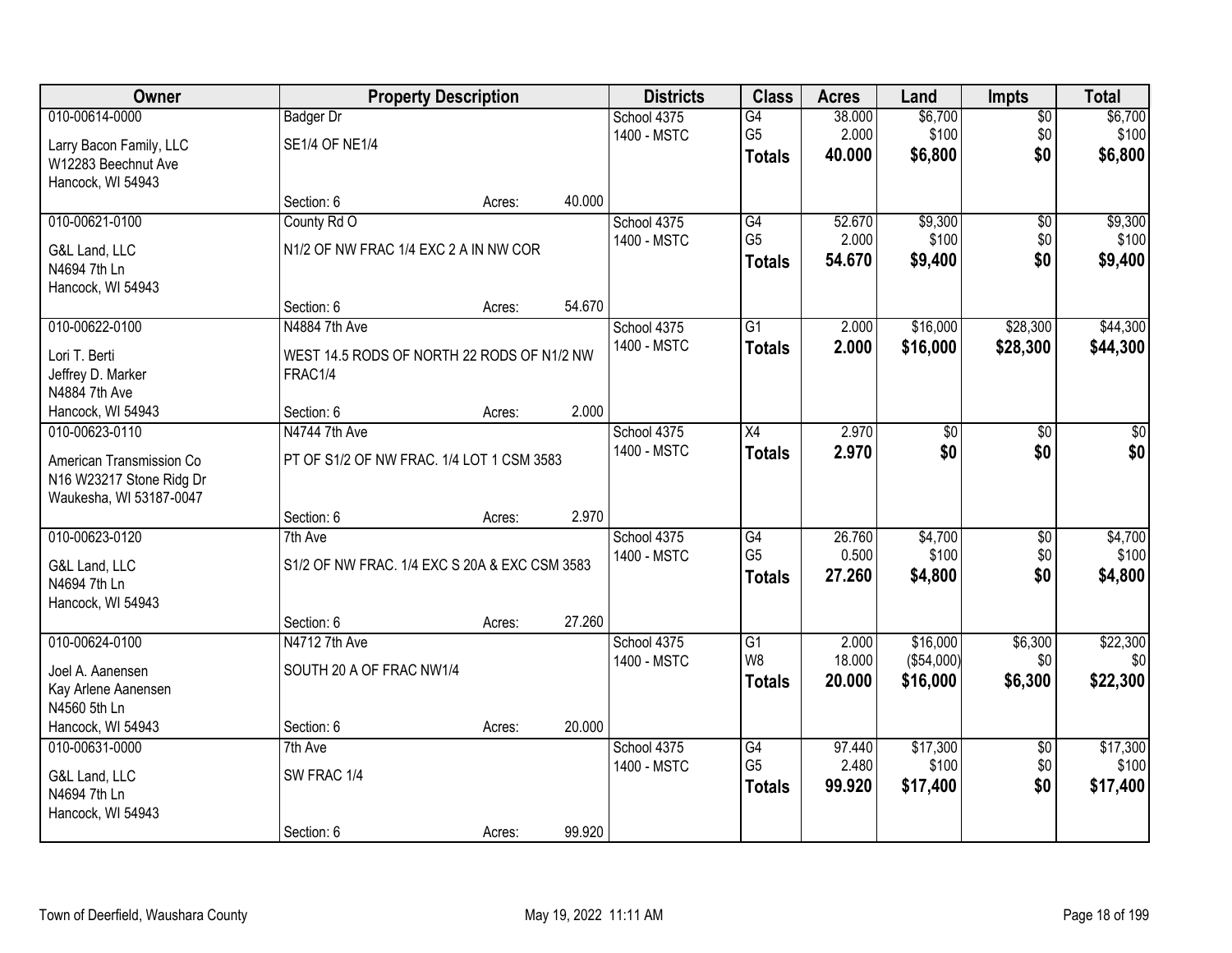| Owner                         | <b>Property Description</b>                   |        |        | <b>Districts</b> | <b>Class</b>    | <b>Acres</b> | Land       | <b>Impts</b>    | <b>Total</b> |
|-------------------------------|-----------------------------------------------|--------|--------|------------------|-----------------|--------------|------------|-----------------|--------------|
| 010-00614-0000                | <b>Badger Dr</b>                              |        |        | School 4375      | $\overline{G4}$ | 38.000       | \$6,700    | \$0             | \$6,700      |
| Larry Bacon Family, LLC       | SE1/4 OF NE1/4                                |        |        | 1400 - MSTC      | G <sub>5</sub>  | 2.000        | \$100      | \$0             | \$100        |
| W12283 Beechnut Ave           |                                               |        |        |                  | <b>Totals</b>   | 40.000       | \$6,800    | \$0             | \$6,800      |
| Hancock, WI 54943             |                                               |        |        |                  |                 |              |            |                 |              |
|                               | Section: 6                                    | Acres: | 40.000 |                  |                 |              |            |                 |              |
| 010-00621-0100                | County Rd O                                   |        |        | School 4375      | G4              | 52.670       | \$9,300    | $\overline{50}$ | \$9,300      |
| G&L Land, LLC                 | N1/2 OF NW FRAC 1/4 EXC 2 A IN NW COR         |        |        | 1400 - MSTC      | G <sub>5</sub>  | 2.000        | \$100      | \$0             | \$100        |
| N4694 7th Ln                  |                                               |        |        |                  | <b>Totals</b>   | 54.670       | \$9,400    | \$0             | \$9,400      |
| Hancock, WI 54943             |                                               |        |        |                  |                 |              |            |                 |              |
|                               | Section: 6                                    | Acres: | 54.670 |                  |                 |              |            |                 |              |
| 010-00622-0100                | N4884 7th Ave                                 |        |        | School 4375      | G1              | 2.000        | \$16,000   | \$28,300        | \$44,300     |
| Lori T. Berti                 | WEST 14.5 RODS OF NORTH 22 RODS OF N1/2 NW    |        |        | 1400 - MSTC      | <b>Totals</b>   | 2.000        | \$16,000   | \$28,300        | \$44,300     |
| Jeffrey D. Marker             | FRAC1/4                                       |        |        |                  |                 |              |            |                 |              |
| N4884 7th Ave                 |                                               |        |        |                  |                 |              |            |                 |              |
| Hancock, WI 54943             | Section: 6                                    | Acres: | 2.000  |                  |                 |              |            |                 |              |
| 010-00623-0110                | N4744 7th Ave                                 |        |        | School 4375      | X4              | 2.970        | \$0        | $\sqrt[6]{}$    | $\sqrt{50}$  |
| American Transmission Co      | PT OF S1/2 OF NW FRAC. 1/4 LOT 1 CSM 3583     |        |        | 1400 - MSTC      | <b>Totals</b>   | 2.970        | \$0        | \$0             | \$0          |
| N16 W23217 Stone Ridg Dr      |                                               |        |        |                  |                 |              |            |                 |              |
| Waukesha, WI 53187-0047       |                                               |        |        |                  |                 |              |            |                 |              |
|                               | Section: 6                                    | Acres: | 2.970  |                  |                 |              |            |                 |              |
| 010-00623-0120                | 7th Ave                                       |        |        | School 4375      | $\overline{G4}$ | 26.760       | \$4,700    | $\overline{50}$ | \$4,700      |
| G&L Land, LLC                 | S1/2 OF NW FRAC. 1/4 EXC S 20A & EXC CSM 3583 |        |        | 1400 - MSTC      | G <sub>5</sub>  | 0.500        | \$100      | \$0             | \$100        |
| N4694 7th Ln                  |                                               |        |        |                  | <b>Totals</b>   | 27.260       | \$4,800    | \$0             | \$4,800      |
| Hancock, WI 54943             |                                               |        |        |                  |                 |              |            |                 |              |
|                               | Section: 6                                    | Acres: | 27.260 |                  |                 |              |            |                 |              |
| 010-00624-0100                | N4712 7th Ave                                 |        |        | School 4375      | $\overline{G1}$ | 2.000        | \$16,000   | \$6,300         | \$22,300     |
| Joel A. Aanensen              | SOUTH 20 A OF FRAC NW1/4                      |        |        | 1400 - MSTC      | W8              | 18.000       | (\$54,000) | \$0             | \$0          |
| Kay Arlene Aanensen           |                                               |        |        |                  | <b>Totals</b>   | 20,000       | \$16,000   | \$6,300         | \$22,300     |
| N4560 5th Ln                  |                                               |        |        |                  |                 |              |            |                 |              |
| Hancock, WI 54943             | Section: 6                                    | Acres: | 20.000 |                  |                 |              |            |                 |              |
| 010-00631-0000                | 7th Ave                                       |        |        | School 4375      | G4              | 97.440       | \$17,300   | $\overline{50}$ | \$17,300     |
|                               |                                               |        |        | 1400 - MSTC      | G <sub>5</sub>  | 2.480        | \$100      | \$0             | \$100        |
| G&L Land, LLC<br>N4694 7th Ln | SW FRAC 1/4                                   |        |        |                  | <b>Totals</b>   | 99.920       | \$17,400   | \$0             | \$17,400     |
| Hancock, WI 54943             |                                               |        |        |                  |                 |              |            |                 |              |
|                               | Section: 6                                    | Acres: | 99.920 |                  |                 |              |            |                 |              |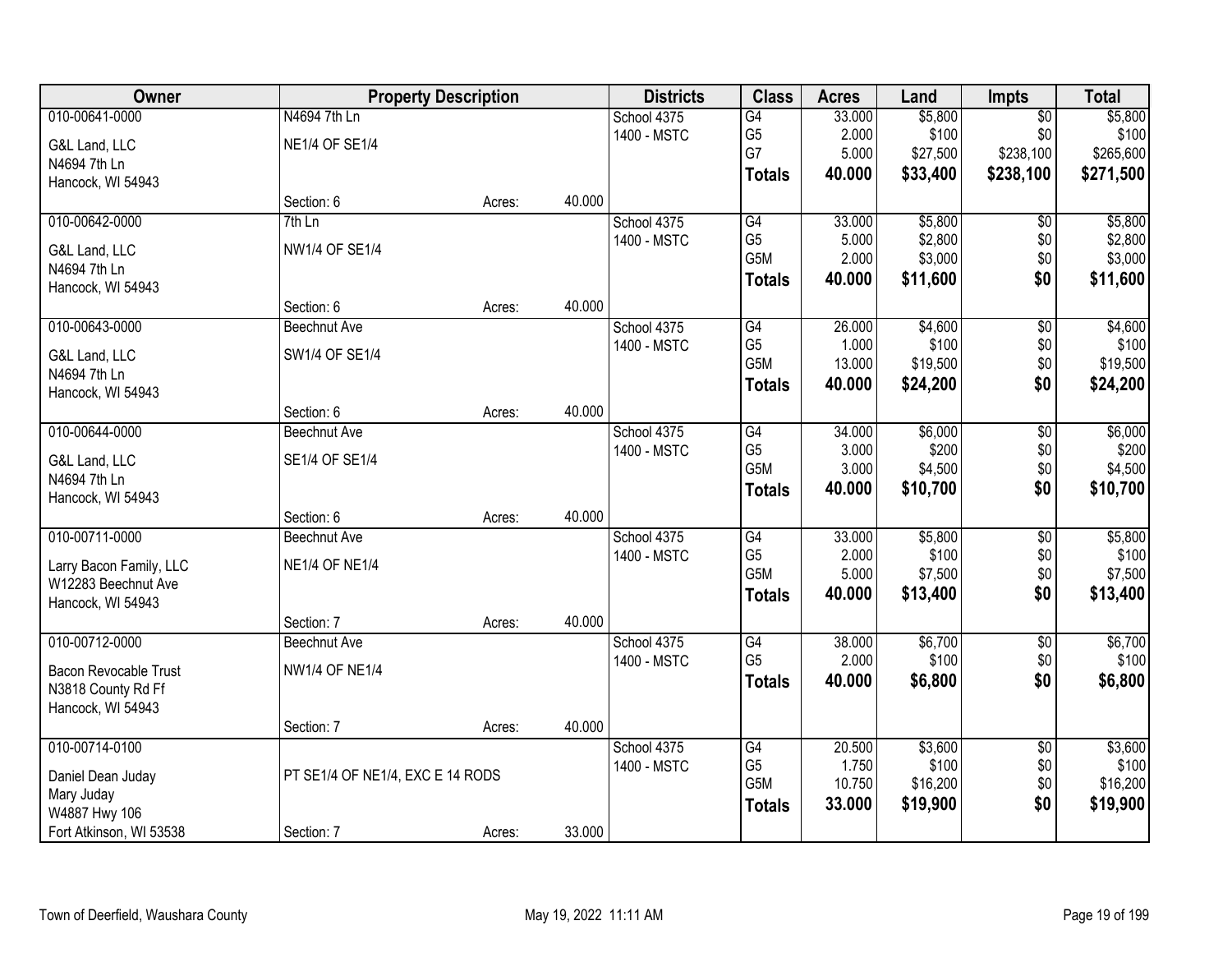| Owner                                    |                                  | <b>Property Description</b> |        | <b>Districts</b> | <b>Class</b>          | <b>Acres</b>    | Land              | <b>Impts</b>    | <b>Total</b>      |
|------------------------------------------|----------------------------------|-----------------------------|--------|------------------|-----------------------|-----------------|-------------------|-----------------|-------------------|
| 010-00641-0000                           | N4694 7th Ln                     |                             |        | School 4375      | $\overline{G4}$       | 33.000          | \$5,800           | $\overline{50}$ | \$5,800           |
| G&L Land, LLC                            | <b>NE1/4 OF SE1/4</b>            |                             |        | 1400 - MSTC      | G <sub>5</sub>        | 2.000           | \$100             | \$0             | \$100             |
| N4694 7th Ln                             |                                  |                             |        |                  | G7                    | 5.000           | \$27,500          | \$238,100       | \$265,600         |
| Hancock, WI 54943                        |                                  |                             |        |                  | <b>Totals</b>         | 40.000          | \$33,400          | \$238,100       | \$271,500         |
|                                          | Section: 6                       | Acres:                      | 40.000 |                  |                       |                 |                   |                 |                   |
| 010-00642-0000                           | $7th$ Ln                         |                             |        | School 4375      | G4                    | 33.000          | \$5,800           | \$0             | \$5,800           |
| G&L Land, LLC                            | <b>NW1/4 OF SE1/4</b>            |                             |        | 1400 - MSTC      | G <sub>5</sub>        | 5.000           | \$2,800           | \$0             | \$2,800           |
| N4694 7th Ln                             |                                  |                             |        |                  | G5M                   | 2.000           | \$3,000           | \$0             | \$3,000           |
| Hancock, WI 54943                        |                                  |                             |        |                  | <b>Totals</b>         | 40.000          | \$11,600          | \$0             | \$11,600          |
|                                          | Section: 6                       | Acres:                      | 40.000 |                  |                       |                 |                   |                 |                   |
| 010-00643-0000                           | <b>Beechnut Ave</b>              |                             |        | School 4375      | G4                    | 26.000          | \$4,600           | $\overline{60}$ | \$4,600           |
| G&L Land, LLC                            | SW1/4 OF SE1/4                   |                             |        | 1400 - MSTC      | G <sub>5</sub>        | 1.000           | \$100             | \$0             | \$100             |
| N4694 7th Ln                             |                                  |                             |        |                  | G5M                   | 13.000          | \$19,500          | \$0             | \$19,500          |
| Hancock, WI 54943                        |                                  |                             |        |                  | <b>Totals</b>         | 40.000          | \$24,200          | \$0             | \$24,200          |
|                                          | Section: 6                       | Acres:                      | 40.000 |                  |                       |                 |                   |                 |                   |
| 010-00644-0000                           | Beechnut Ave                     |                             |        | School 4375      | G4                    | 34.000          | \$6,000           | \$0             | \$6,000           |
| G&L Land, LLC                            | SE1/4 OF SE1/4                   |                             |        | 1400 - MSTC      | G <sub>5</sub>        | 3.000           | \$200             | \$0             | \$200             |
| N4694 7th Ln                             |                                  |                             |        |                  | G5M                   | 3.000           | \$4,500           | \$0             | \$4,500           |
| Hancock, WI 54943                        |                                  |                             |        |                  | <b>Totals</b>         | 40.000          | \$10,700          | \$0             | \$10,700          |
|                                          | Section: 6                       | Acres:                      | 40.000 |                  |                       |                 |                   |                 |                   |
| 010-00711-0000                           | <b>Beechnut Ave</b>              |                             |        | School 4375      | $\overline{G4}$       | 33.000          | \$5,800           | $\overline{50}$ | \$5,800           |
|                                          |                                  |                             |        | 1400 - MSTC      | G <sub>5</sub>        | 2.000           | \$100             | \$0             | \$100             |
| Larry Bacon Family, LLC                  | <b>NE1/4 OF NE1/4</b>            |                             |        |                  | G5M                   | 5.000           | \$7,500           | \$0             | \$7,500           |
| W12283 Beechnut Ave<br>Hancock, WI 54943 |                                  |                             |        |                  | <b>Totals</b>         | 40.000          | \$13,400          | \$0             | \$13,400          |
|                                          | Section: 7                       | Acres:                      | 40.000 |                  |                       |                 |                   |                 |                   |
| 010-00712-0000                           | <b>Beechnut Ave</b>              |                             |        | School 4375      | G4                    | 38.000          | \$6,700           | $\sqrt{6}$      | \$6,700           |
|                                          |                                  |                             |        | 1400 - MSTC      | G <sub>5</sub>        | 2.000           | \$100             | \$0             | \$100             |
| <b>Bacon Revocable Trust</b>             | <b>NW1/4 OF NE1/4</b>            |                             |        |                  | <b>Totals</b>         | 40.000          | \$6,800           | \$0             | \$6,800           |
| N3818 County Rd Ff                       |                                  |                             |        |                  |                       |                 |                   |                 |                   |
| Hancock, WI 54943                        |                                  |                             |        |                  |                       |                 |                   |                 |                   |
|                                          | Section: 7                       | Acres:                      | 40.000 |                  |                       |                 |                   |                 |                   |
| 010-00714-0100                           |                                  |                             |        | School 4375      | G4                    | 20.500<br>1.750 | \$3,600           | $\overline{50}$ | \$3,600           |
| Daniel Dean Juday                        | PT SE1/4 OF NE1/4, EXC E 14 RODS |                             |        | 1400 - MSTC      | G <sub>5</sub><br>G5M | 10.750          | \$100<br>\$16,200 | \$0<br>\$0      | \$100<br>\$16,200 |
| Mary Juday                               |                                  |                             |        |                  |                       |                 |                   | \$0             |                   |
| W4887 Hwy 106                            |                                  |                             |        |                  | <b>Totals</b>         | 33.000          | \$19,900          |                 | \$19,900          |
| Fort Atkinson, WI 53538                  | Section: 7                       | Acres:                      | 33.000 |                  |                       |                 |                   |                 |                   |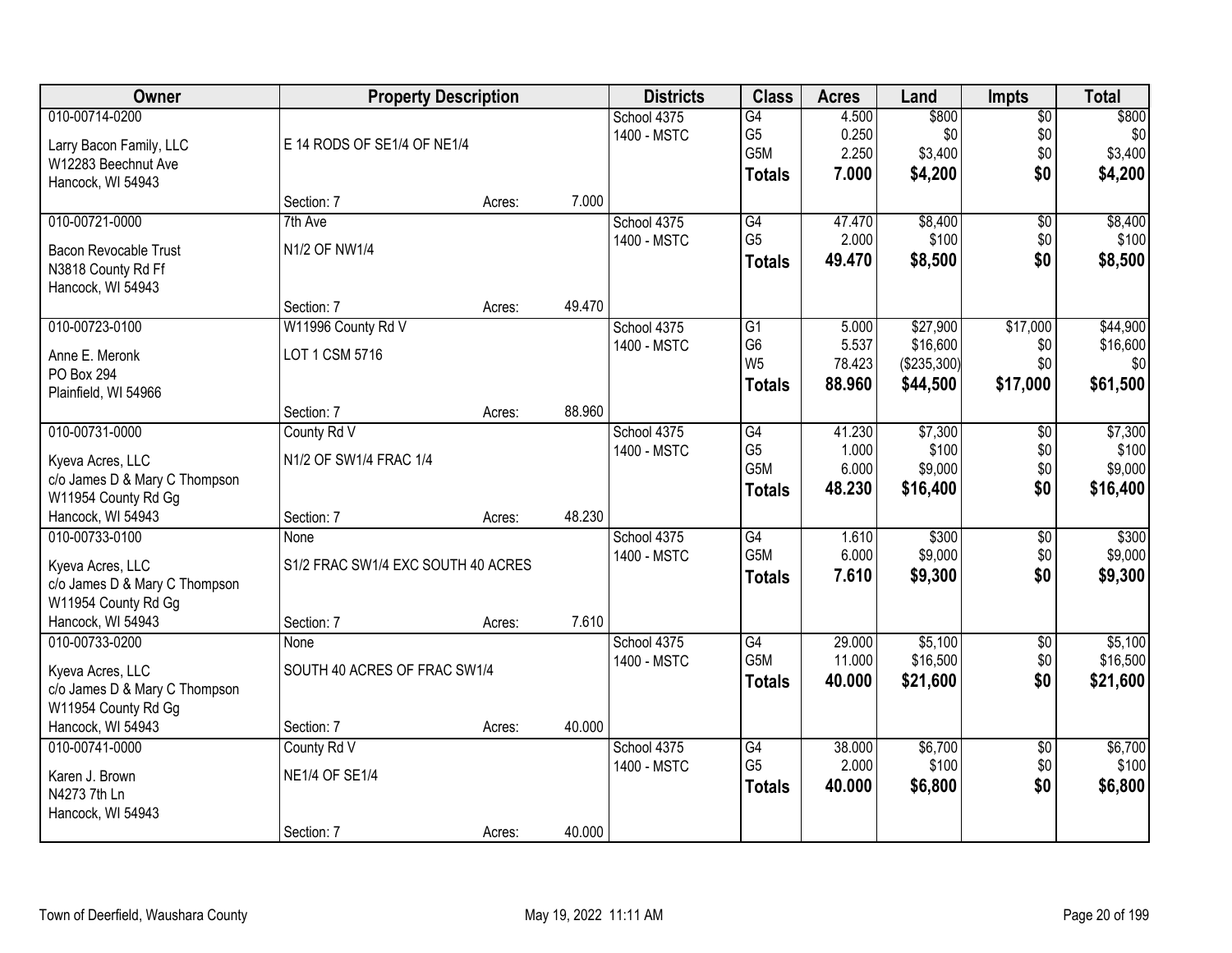| <b>Owner</b>                                                                                                    |                                                                 | <b>Property Description</b> |        | <b>Districts</b>           | <b>Class</b>                                                           | <b>Acres</b>                       | Land                                            | <b>Impts</b>                         | <b>Total</b>                            |
|-----------------------------------------------------------------------------------------------------------------|-----------------------------------------------------------------|-----------------------------|--------|----------------------------|------------------------------------------------------------------------|------------------------------------|-------------------------------------------------|--------------------------------------|-----------------------------------------|
| 010-00714-0200<br>Larry Bacon Family, LLC<br>W12283 Beechnut Ave<br>Hancock, WI 54943                           | E 14 RODS OF SE1/4 OF NE1/4                                     |                             |        | School 4375<br>1400 - MSTC | $\overline{G4}$<br>G <sub>5</sub><br>G <sub>5</sub> M<br><b>Totals</b> | 4.500<br>0.250<br>2.250<br>7.000   | \$800<br>\$0<br>\$3,400<br>\$4,200              | $\overline{60}$<br>\$0<br>\$0<br>\$0 | \$800<br>\$0<br>\$3,400<br>\$4,200      |
|                                                                                                                 | Section: 7                                                      | Acres:                      | 7.000  |                            |                                                                        |                                    |                                                 |                                      |                                         |
| 010-00721-0000<br>Bacon Revocable Trust<br>N3818 County Rd Ff<br>Hancock, WI 54943                              | 7th Ave<br>N1/2 OF NW1/4                                        |                             |        | School 4375<br>1400 - MSTC | G4<br>G <sub>5</sub><br><b>Totals</b>                                  | 47.470<br>2.000<br>49.470          | \$8,400<br>\$100<br>\$8,500                     | $\overline{50}$<br>\$0<br>\$0        | \$8,400<br>\$100<br>\$8,500             |
|                                                                                                                 | Section: 7                                                      | Acres:                      | 49.470 |                            |                                                                        |                                    |                                                 |                                      |                                         |
| 010-00723-0100<br>Anne E. Meronk<br>PO Box 294<br>Plainfield, WI 54966                                          | W11996 County Rd V<br>LOT 1 CSM 5716                            |                             |        | School 4375<br>1400 - MSTC | $\overline{G1}$<br>G <sub>6</sub><br>W <sub>5</sub><br><b>Totals</b>   | 5.000<br>5.537<br>78.423<br>88,960 | \$27,900<br>\$16,600<br>(\$235,300)<br>\$44,500 | \$17,000<br>\$0<br>\$0<br>\$17,000   | \$44,900<br>\$16,600<br>\$0<br>\$61,500 |
|                                                                                                                 | Section: 7                                                      | Acres:                      | 88.960 |                            |                                                                        |                                    |                                                 |                                      |                                         |
| 010-00731-0000<br>Kyeva Acres, LLC<br>c/o James D & Mary C Thompson<br>W11954 County Rd Gg                      | County Rd V<br>N1/2 OF SW1/4 FRAC 1/4                           |                             |        | School 4375<br>1400 - MSTC | G4<br>G <sub>5</sub><br>G5M<br><b>Totals</b>                           | 41.230<br>1.000<br>6.000<br>48.230 | \$7,300<br>\$100<br>\$9,000<br>\$16,400         | \$0<br>\$0<br>\$0<br>\$0             | \$7,300<br>\$100<br>\$9,000<br>\$16,400 |
| Hancock, WI 54943                                                                                               | Section: 7                                                      | Acres:                      | 48.230 |                            |                                                                        |                                    |                                                 |                                      |                                         |
| 010-00733-0100<br>Kyeva Acres, LLC<br>c/o James D & Mary C Thompson<br>W11954 County Rd Gg<br>Hancock, WI 54943 | <b>None</b><br>S1/2 FRAC SW1/4 EXC SOUTH 40 ACRES<br>Section: 7 | Acres:                      | 7.610  | School 4375<br>1400 - MSTC | $\overline{G4}$<br>G <sub>5</sub> M<br><b>Totals</b>                   | 1.610<br>6.000<br>7.610            | \$300<br>\$9,000<br>\$9,300                     | $\overline{30}$<br>\$0<br>\$0        | \$300<br>\$9,000<br>\$9,300             |
| 010-00733-0200                                                                                                  | None                                                            |                             |        | School 4375                | G4                                                                     | 29.000                             | \$5,100                                         | $\sqrt{$0}$                          | \$5,100                                 |
| Kyeva Acres, LLC<br>c/o James D & Mary C Thompson<br>W11954 County Rd Gg                                        | SOUTH 40 ACRES OF FRAC SW1/4                                    |                             |        | 1400 - MSTC                | G <sub>5</sub> M<br><b>Totals</b>                                      | 11.000<br>40.000                   | \$16,500<br>\$21,600                            | \$0<br>\$0                           | \$16,500<br>\$21,600                    |
| Hancock, WI 54943                                                                                               | Section: 7                                                      | Acres:                      | 40.000 |                            |                                                                        |                                    |                                                 |                                      |                                         |
| 010-00741-0000<br>Karen J. Brown<br>N4273 7th Ln<br>Hancock, WI 54943                                           | County Rd V<br><b>NE1/4 OF SE1/4</b><br>Section: 7              | Acres:                      | 40.000 | School 4375<br>1400 - MSTC | $\overline{G4}$<br>G <sub>5</sub><br><b>Totals</b>                     | 38.000<br>2.000<br>40.000          | \$6,700<br>\$100<br>\$6,800                     | $\overline{50}$<br>\$0<br>\$0        | \$6,700<br>\$100<br>\$6,800             |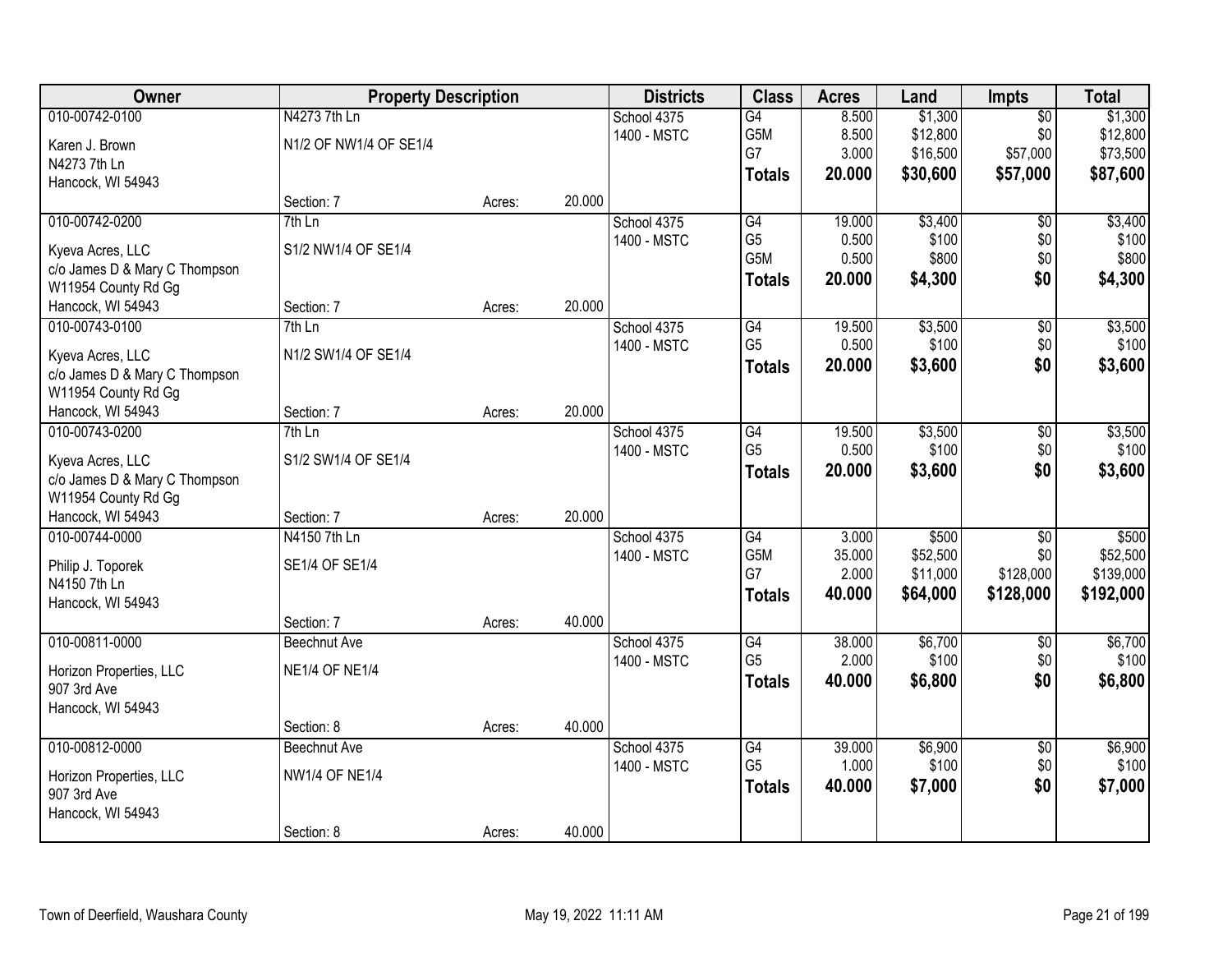| Owner                                                | <b>Property Description</b> |        |        | <b>Districts</b> | <b>Class</b>    | <b>Acres</b> | Land     | Impts           | <b>Total</b> |
|------------------------------------------------------|-----------------------------|--------|--------|------------------|-----------------|--------------|----------|-----------------|--------------|
| 010-00742-0100                                       | N4273 7th Ln                |        |        | School 4375      | G4              | 8.500        | \$1,300  | $\overline{50}$ | \$1,300      |
| Karen J. Brown                                       | N1/2 OF NW1/4 OF SE1/4      |        |        | 1400 - MSTC      | G5M             | 8.500        | \$12,800 | \$0             | \$12,800     |
| N4273 7th Ln                                         |                             |        |        |                  | G7              | 3.000        | \$16,500 | \$57,000        | \$73,500     |
| Hancock, WI 54943                                    |                             |        |        |                  | <b>Totals</b>   | 20.000       | \$30,600 | \$57,000        | \$87,600     |
|                                                      | Section: 7                  | Acres: | 20.000 |                  |                 |              |          |                 |              |
| 010-00742-0200                                       | $7th$ Ln                    |        |        | School 4375      | G4              | 19.000       | \$3,400  | \$0             | \$3,400      |
| Kyeva Acres, LLC                                     | S1/2 NW1/4 OF SE1/4         |        |        | 1400 - MSTC      | G <sub>5</sub>  | 0.500        | \$100    | \$0             | \$100        |
| c/o James D & Mary C Thompson                        |                             |        |        |                  | G5M             | 0.500        | \$800    | \$0             | \$800        |
| W11954 County Rd Gg                                  |                             |        |        |                  | <b>Totals</b>   | 20.000       | \$4,300  | \$0             | \$4,300      |
| Hancock, WI 54943                                    | Section: 7                  | Acres: | 20.000 |                  |                 |              |          |                 |              |
| 010-00743-0100                                       | 7th Ln                      |        |        | School 4375      | G4              | 19.500       | \$3,500  | $\overline{50}$ | \$3,500      |
| Kyeva Acres, LLC                                     | N1/2 SW1/4 OF SE1/4         |        |        | 1400 - MSTC      | G <sub>5</sub>  | 0.500        | \$100    | \$0             | \$100        |
| c/o James D & Mary C Thompson                        |                             |        |        |                  | <b>Totals</b>   | 20.000       | \$3,600  | \$0             | \$3,600      |
| W11954 County Rd Gg                                  |                             |        |        |                  |                 |              |          |                 |              |
| Hancock, WI 54943                                    | Section: 7                  | Acres: | 20.000 |                  |                 |              |          |                 |              |
| 010-00743-0200                                       | $7th$ Ln                    |        |        | School 4375      | G4              | 19.500       | \$3,500  | \$0             | \$3,500      |
|                                                      |                             |        |        | 1400 - MSTC      | G <sub>5</sub>  | 0.500        | \$100    | \$0             | \$100        |
| Kyeva Acres, LLC                                     | S1/2 SW1/4 OF SE1/4         |        |        |                  | <b>Totals</b>   | 20.000       | \$3,600  | \$0             | \$3,600      |
| c/o James D & Mary C Thompson<br>W11954 County Rd Gg |                             |        |        |                  |                 |              |          |                 |              |
| Hancock, WI 54943                                    | Section: 7                  | Acres: | 20.000 |                  |                 |              |          |                 |              |
| 010-00744-0000                                       | N4150 7th Ln                |        |        | School 4375      | $\overline{G4}$ | 3.000        | \$500    | $\overline{50}$ | \$500        |
|                                                      |                             |        |        | 1400 - MSTC      | G5M             | 35.000       | \$52,500 | \$0             | \$52,500     |
| Philip J. Toporek                                    | SE1/4 OF SE1/4              |        |        |                  | G7              | 2.000        | \$11,000 | \$128,000       | \$139,000    |
| N4150 7th Ln                                         |                             |        |        |                  | <b>Totals</b>   | 40.000       | \$64,000 | \$128,000       | \$192,000    |
| Hancock, WI 54943                                    |                             |        |        |                  |                 |              |          |                 |              |
|                                                      | Section: 7                  | Acres: | 40.000 |                  |                 |              |          |                 |              |
| 010-00811-0000                                       | <b>Beechnut Ave</b>         |        |        | School 4375      | G4              | 38.000       | \$6,700  | $\sqrt{6}$      | \$6,700      |
| Horizon Properties, LLC                              | <b>NE1/4 OF NE1/4</b>       |        |        | 1400 - MSTC      | G <sub>5</sub>  | 2.000        | \$100    | \$0             | \$100        |
| 907 3rd Ave                                          |                             |        |        |                  | <b>Totals</b>   | 40.000       | \$6,800  | \$0             | \$6,800      |
| Hancock, WI 54943                                    |                             |        |        |                  |                 |              |          |                 |              |
|                                                      | Section: 8                  | Acres: | 40.000 |                  |                 |              |          |                 |              |
| 010-00812-0000                                       | <b>Beechnut Ave</b>         |        |        | School 4375      | G4              | 39.000       | \$6,900  | $\overline{50}$ | \$6,900      |
| Horizon Properties, LLC                              | <b>NW1/4 OF NE1/4</b>       |        |        | 1400 - MSTC      | G <sub>5</sub>  | 1.000        | \$100    | \$0             | \$100        |
| 907 3rd Ave                                          |                             |        |        |                  | <b>Totals</b>   | 40.000       | \$7,000  | \$0             | \$7,000      |
| Hancock, WI 54943                                    |                             |        |        |                  |                 |              |          |                 |              |
|                                                      | Section: 8                  | Acres: | 40.000 |                  |                 |              |          |                 |              |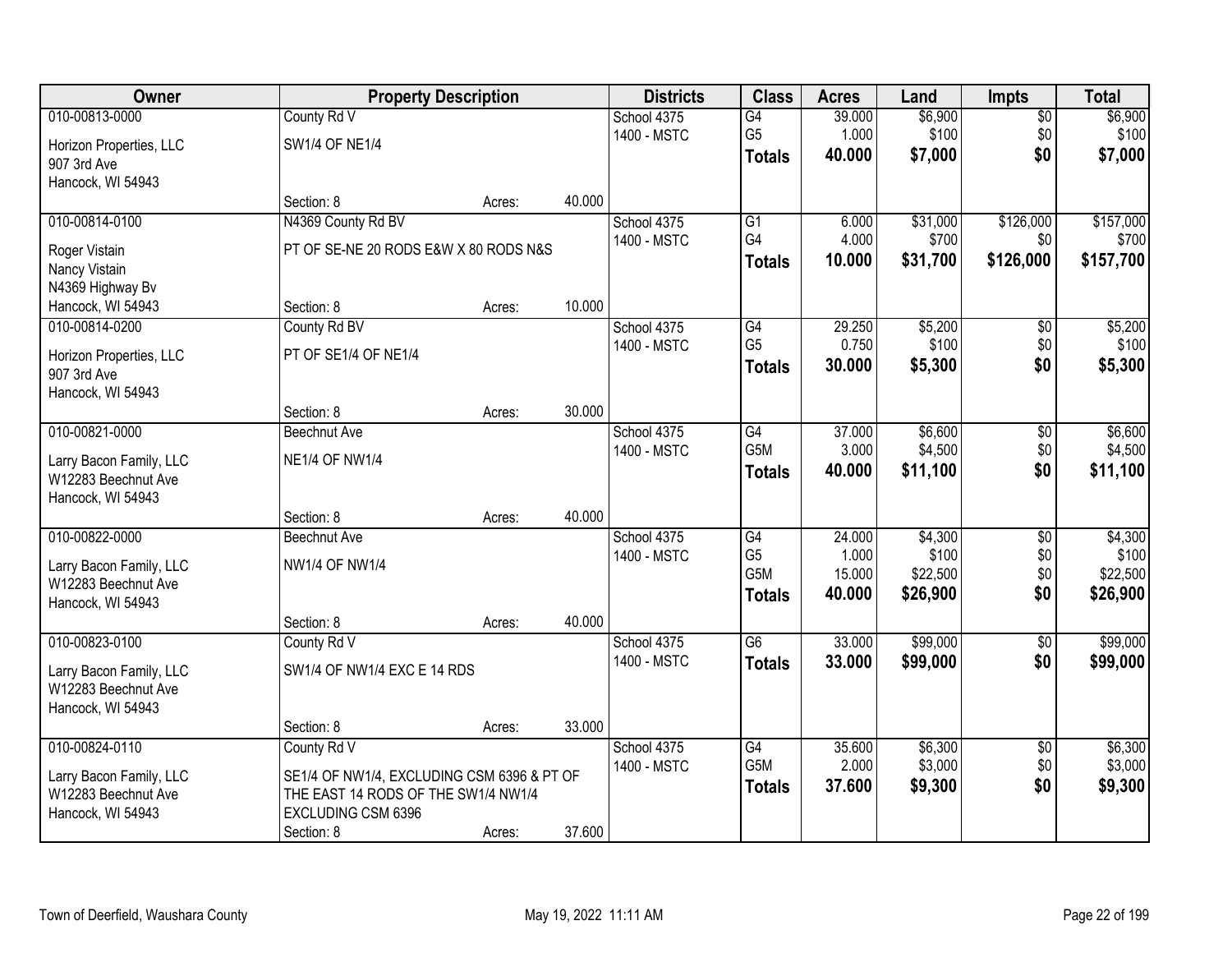| Owner                   |                                            | <b>Property Description</b> |        | <b>Districts</b> | <b>Class</b>     | <b>Acres</b> | Land     | <b>Impts</b>    | <b>Total</b> |
|-------------------------|--------------------------------------------|-----------------------------|--------|------------------|------------------|--------------|----------|-----------------|--------------|
| 010-00813-0000          | County Rd V                                |                             |        | School 4375      | G4               | 39.000       | \$6,900  | $\overline{50}$ | \$6,900      |
| Horizon Properties, LLC | <b>SW1/4 OF NE1/4</b>                      |                             |        | 1400 - MSTC      | G <sub>5</sub>   | 1.000        | \$100    | \$0             | \$100        |
| 907 3rd Ave             |                                            |                             |        |                  | <b>Totals</b>    | 40.000       | \$7,000  | \$0             | \$7,000      |
| Hancock, WI 54943       |                                            |                             |        |                  |                  |              |          |                 |              |
|                         | Section: 8                                 | Acres:                      | 40.000 |                  |                  |              |          |                 |              |
| 010-00814-0100          | N4369 County Rd BV                         |                             |        | School 4375      | $\overline{G1}$  | 6.000        | \$31,000 | \$126,000       | \$157,000    |
| Roger Vistain           | PT OF SE-NE 20 RODS E&W X 80 RODS N&S      |                             |        | 1400 - MSTC      | G4               | 4.000        | \$700    | \$0             | \$700        |
| Nancy Vistain           |                                            |                             |        |                  | <b>Totals</b>    | 10.000       | \$31,700 | \$126,000       | \$157,700    |
| N4369 Highway Bv        |                                            |                             |        |                  |                  |              |          |                 |              |
| Hancock, WI 54943       | Section: 8                                 | Acres:                      | 10.000 |                  |                  |              |          |                 |              |
| 010-00814-0200          | County Rd BV                               |                             |        | School 4375      | G4               | 29.250       | \$5,200  | \$0             | \$5,200      |
| Horizon Properties, LLC | PT OF SE1/4 OF NE1/4                       |                             |        | 1400 - MSTC      | G <sub>5</sub>   | 0.750        | \$100    | \$0             | \$100        |
| 907 3rd Ave             |                                            |                             |        |                  | <b>Totals</b>    | 30.000       | \$5,300  | \$0             | \$5,300      |
| Hancock, WI 54943       |                                            |                             |        |                  |                  |              |          |                 |              |
|                         | Section: 8                                 | Acres:                      | 30.000 |                  |                  |              |          |                 |              |
| 010-00821-0000          | Beechnut Ave                               |                             |        | School 4375      | G4               | 37.000       | \$6,600  | \$0             | \$6,600      |
| Larry Bacon Family, LLC | <b>NE1/4 OF NW1/4</b>                      |                             |        | 1400 - MSTC      | G5M              | 3.000        | \$4,500  | \$0             | \$4,500      |
| W12283 Beechnut Ave     |                                            |                             |        |                  | <b>Totals</b>    | 40.000       | \$11,100 | \$0             | \$11,100     |
| Hancock, WI 54943       |                                            |                             |        |                  |                  |              |          |                 |              |
|                         | Section: 8                                 | Acres:                      | 40.000 |                  |                  |              |          |                 |              |
| 010-00822-0000          | <b>Beechnut Ave</b>                        |                             |        | School 4375      | $\overline{G4}$  | 24.000       | \$4,300  | $\overline{30}$ | \$4,300      |
| Larry Bacon Family, LLC | <b>NW1/4 OF NW1/4</b>                      |                             |        | 1400 - MSTC      | G <sub>5</sub>   | 1.000        | \$100    | \$0             | \$100        |
| W12283 Beechnut Ave     |                                            |                             |        |                  | G <sub>5</sub> M | 15.000       | \$22,500 | \$0             | \$22,500     |
| Hancock, WI 54943       |                                            |                             |        |                  | <b>Totals</b>    | 40.000       | \$26,900 | \$0             | \$26,900     |
|                         | Section: 8                                 | Acres:                      | 40.000 |                  |                  |              |          |                 |              |
| 010-00823-0100          | County Rd V                                |                             |        | School 4375      | $\overline{G6}$  | 33.000       | \$99,000 | $\overline{60}$ | \$99,000     |
| Larry Bacon Family, LLC | SW1/4 OF NW1/4 EXC E 14 RDS                |                             |        | 1400 - MSTC      | <b>Totals</b>    | 33.000       | \$99,000 | \$0             | \$99,000     |
| W12283 Beechnut Ave     |                                            |                             |        |                  |                  |              |          |                 |              |
| Hancock, WI 54943       |                                            |                             |        |                  |                  |              |          |                 |              |
|                         | Section: 8                                 | Acres:                      | 33.000 |                  |                  |              |          |                 |              |
| 010-00824-0110          | County Rd V                                |                             |        | School 4375      | $\overline{G4}$  | 35.600       | \$6,300  | $\overline{30}$ | \$6,300      |
| Larry Bacon Family, LLC | SE1/4 OF NW1/4, EXCLUDING CSM 6396 & PT OF |                             |        | 1400 - MSTC      | G5M              | 2.000        | \$3,000  | \$0             | \$3,000      |
| W12283 Beechnut Ave     | THE EAST 14 RODS OF THE SW1/4 NW1/4        |                             |        |                  | <b>Totals</b>    | 37.600       | \$9,300  | \$0             | \$9,300      |
| Hancock, WI 54943       | EXCLUDING CSM 6396                         |                             |        |                  |                  |              |          |                 |              |
|                         | Section: 8                                 | Acres:                      | 37.600 |                  |                  |              |          |                 |              |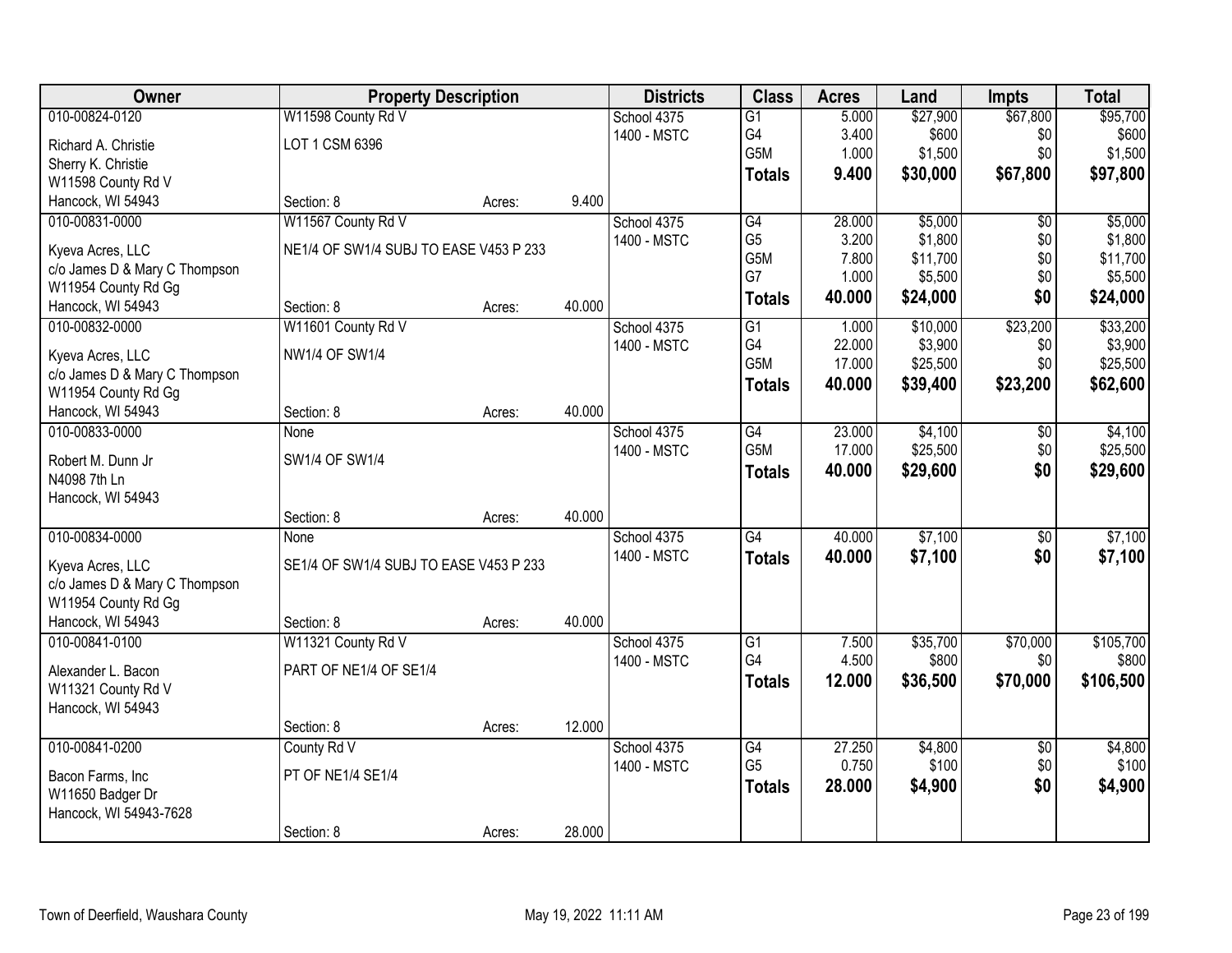| Owner                                             | <b>Property Description</b>            |        |        | <b>Districts</b> | <b>Class</b>         | <b>Acres</b>    | Land     | <b>Impts</b>    | <b>Total</b>     |
|---------------------------------------------------|----------------------------------------|--------|--------|------------------|----------------------|-----------------|----------|-----------------|------------------|
| 010-00824-0120                                    | W11598 County Rd V                     |        |        | School 4375      | $\overline{G1}$      | 5.000           | \$27,900 | \$67,800        | \$95,700         |
| Richard A. Christie                               | LOT 1 CSM 6396                         |        |        | 1400 - MSTC      | G4                   | 3.400           | \$600    | \$0             | \$600            |
| Sherry K. Christie                                |                                        |        |        |                  | G5M                  | 1.000           | \$1,500  | \$0             | \$1,500          |
| W11598 County Rd V                                |                                        |        |        |                  | <b>Totals</b>        | 9.400           | \$30,000 | \$67,800        | \$97,800         |
| Hancock, WI 54943                                 | Section: 8                             | Acres: | 9.400  |                  |                      |                 |          |                 |                  |
| 010-00831-0000                                    | W11567 County Rd V                     |        |        | School 4375      | G4                   | 28.000          | \$5,000  | \$0             | \$5,000          |
| Kyeva Acres, LLC                                  | NE1/4 OF SW1/4 SUBJ TO EASE V453 P 233 |        |        | 1400 - MSTC      | G <sub>5</sub>       | 3.200           | \$1,800  | \$0             | \$1,800          |
| c/o James D & Mary C Thompson                     |                                        |        |        |                  | G5M                  | 7.800           | \$11,700 | \$0             | \$11,700         |
| W11954 County Rd Gg                               |                                        |        |        |                  | G7                   | 1.000           | \$5,500  | \$0             | \$5,500          |
| Hancock, WI 54943                                 | Section: 8                             | Acres: | 40.000 |                  | <b>Totals</b>        | 40.000          | \$24,000 | \$0             | \$24,000         |
| 010-00832-0000                                    | W11601 County Rd V                     |        |        | School 4375      | G1                   | 1.000           | \$10,000 | \$23,200        | \$33,200         |
|                                                   | <b>NW1/4 OF SW1/4</b>                  |        |        | 1400 - MSTC      | G4                   | 22.000          | \$3,900  | \$0             | \$3,900          |
| Kyeva Acres, LLC<br>c/o James D & Mary C Thompson |                                        |        |        |                  | G5M                  | 17.000          | \$25,500 | \$0             | \$25,500         |
| W11954 County Rd Gg                               |                                        |        |        |                  | <b>Totals</b>        | 40.000          | \$39,400 | \$23,200        | \$62,600         |
| Hancock, WI 54943                                 | Section: 8                             | Acres: | 40.000 |                  |                      |                 |          |                 |                  |
| 010-00833-0000                                    | None                                   |        |        | School 4375      | G4                   | 23.000          | \$4,100  | \$0             | \$4,100          |
|                                                   |                                        |        |        | 1400 - MSTC      | G5M                  | 17.000          | \$25,500 | \$0             | \$25,500         |
| Robert M. Dunn Jr                                 | SW1/4 OF SW1/4                         |        |        |                  | <b>Totals</b>        | 40.000          | \$29,600 | \$0             | \$29,600         |
| N4098 7th Ln<br>Hancock, WI 54943                 |                                        |        |        |                  |                      |                 |          |                 |                  |
|                                                   | Section: 8                             | Acres: | 40.000 |                  |                      |                 |          |                 |                  |
| 010-00834-0000                                    | None                                   |        |        | School 4375      | $\overline{G4}$      | 40.000          | \$7,100  | $\overline{50}$ | \$7,100          |
|                                                   |                                        |        |        | 1400 - MSTC      | <b>Totals</b>        | 40.000          | \$7,100  | \$0             | \$7,100          |
| Kyeva Acres, LLC                                  | SE1/4 OF SW1/4 SUBJ TO EASE V453 P 233 |        |        |                  |                      |                 |          |                 |                  |
| c/o James D & Mary C Thompson                     |                                        |        |        |                  |                      |                 |          |                 |                  |
| W11954 County Rd Gg                               |                                        |        | 40.000 |                  |                      |                 |          |                 |                  |
| Hancock, WI 54943<br>010-00841-0100               | Section: 8<br>W11321 County Rd V       | Acres: |        | School 4375      | $\overline{G1}$      | 7.500           | \$35,700 | \$70,000        | \$105,700        |
|                                                   |                                        |        |        | 1400 - MSTC      | G4                   | 4.500           | \$800    | \$0             | \$800            |
| Alexander L. Bacon                                | PART OF NE1/4 OF SE1/4                 |        |        |                  | <b>Totals</b>        | 12,000          | \$36,500 | \$70,000        | \$106,500        |
| W11321 County Rd V                                |                                        |        |        |                  |                      |                 |          |                 |                  |
| Hancock, WI 54943                                 |                                        |        |        |                  |                      |                 |          |                 |                  |
|                                                   | Section: 8                             | Acres: | 12.000 |                  |                      |                 |          |                 |                  |
| 010-00841-0200                                    | County Rd V                            |        |        | School 4375      | G4<br>G <sub>5</sub> | 27.250<br>0.750 | \$4,800  | $\overline{50}$ | \$4,800<br>\$100 |
| Bacon Farms, Inc                                  | PT OF NE1/4 SE1/4                      |        |        | 1400 - MSTC      |                      |                 | \$100    | \$0             |                  |
| W11650 Badger Dr                                  |                                        |        |        |                  | <b>Totals</b>        | 28.000          | \$4,900  | \$0             | \$4,900          |
| Hancock, WI 54943-7628                            |                                        |        |        |                  |                      |                 |          |                 |                  |
|                                                   | Section: 8                             | Acres: | 28.000 |                  |                      |                 |          |                 |                  |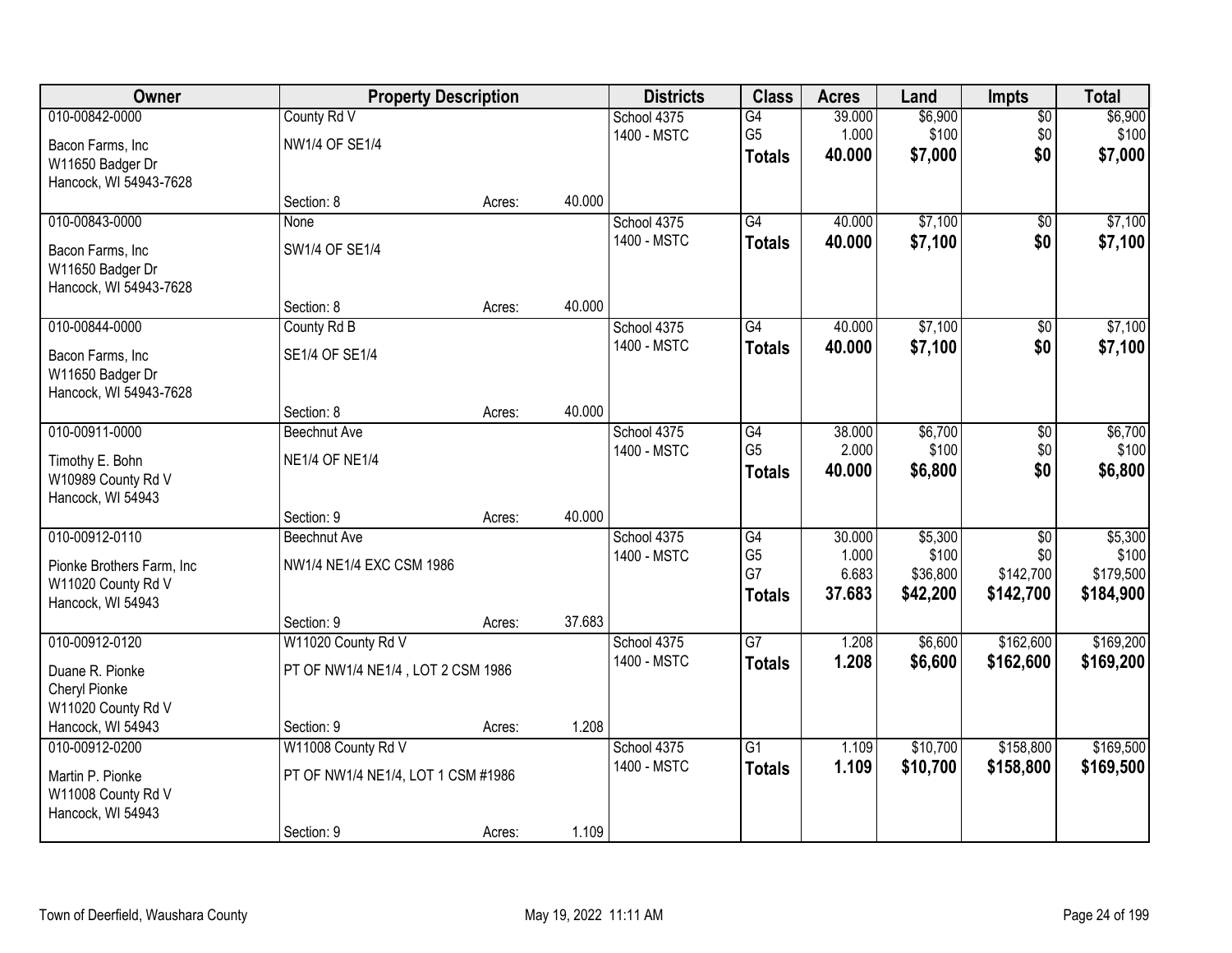| Owner                                                                                         |                                                                       | <b>Property Description</b> |        | <b>Districts</b>           | <b>Class</b>                                             | <b>Acres</b>                       | Land                                     | Impts                                            | <b>Total</b>                               |
|-----------------------------------------------------------------------------------------------|-----------------------------------------------------------------------|-----------------------------|--------|----------------------------|----------------------------------------------------------|------------------------------------|------------------------------------------|--------------------------------------------------|--------------------------------------------|
| 010-00842-0000<br>Bacon Farms, Inc<br>W11650 Badger Dr                                        | County Rd V<br><b>NW1/4 OF SE1/4</b>                                  |                             |        | School 4375<br>1400 - MSTC | G4<br>G <sub>5</sub><br><b>Totals</b>                    | 39.000<br>1.000<br>40.000          | \$6,900<br>\$100<br>\$7,000              | $\overline{50}$<br>\$0<br>\$0                    | \$6,900<br>\$100<br>\$7,000                |
| Hancock, WI 54943-7628                                                                        | Section: 8                                                            | Acres:                      | 40.000 |                            |                                                          |                                    |                                          |                                                  |                                            |
| 010-00843-0000<br>Bacon Farms, Inc.<br>W11650 Badger Dr<br>Hancock, WI 54943-7628             | <b>None</b><br>SW1/4 OF SE1/4                                         |                             |        | School 4375<br>1400 - MSTC | G4<br><b>Totals</b>                                      | 40.000<br>40.000                   | \$7,100<br>\$7,100                       | $\overline{50}$<br>\$0                           | \$7,100<br>\$7,100                         |
|                                                                                               | Section: 8                                                            | Acres:                      | 40.000 |                            |                                                          |                                    |                                          |                                                  |                                            |
| 010-00844-0000<br>Bacon Farms, Inc<br>W11650 Badger Dr<br>Hancock, WI 54943-7628              | County Rd B<br>SE1/4 OF SE1/4                                         |                             |        | School 4375<br>1400 - MSTC | G4<br><b>Totals</b>                                      | 40.000<br>40.000                   | \$7,100<br>\$7,100                       | \$0<br>\$0                                       | \$7,100<br>\$7,100                         |
|                                                                                               | Section: 8                                                            | Acres:                      | 40.000 |                            |                                                          |                                    |                                          |                                                  |                                            |
| 010-00911-0000<br>Timothy E. Bohn<br>W10989 County Rd V<br>Hancock, WI 54943                  | <b>Beechnut Ave</b><br><b>NE1/4 OF NE1/4</b>                          |                             |        | School 4375<br>1400 - MSTC | G4<br>G <sub>5</sub><br><b>Totals</b>                    | 38.000<br>2.000<br>40.000          | \$6,700<br>\$100<br>\$6,800              | \$0<br>\$0<br>\$0                                | \$6,700<br>\$100<br>\$6,800                |
|                                                                                               | Section: 9                                                            | Acres:                      | 40.000 |                            |                                                          |                                    |                                          |                                                  |                                            |
| 010-00912-0110<br>Pionke Brothers Farm, Inc.<br>W11020 County Rd V<br>Hancock, WI 54943       | <b>Beechnut Ave</b><br>NW1/4 NE1/4 EXC CSM 1986<br>Section: 9         | Acres:                      | 37.683 | School 4375<br>1400 - MSTC | $\overline{G4}$<br>G <sub>5</sub><br>G7<br><b>Totals</b> | 30.000<br>1.000<br>6.683<br>37.683 | \$5,300<br>\$100<br>\$36,800<br>\$42,200 | $\overline{50}$<br>\$0<br>\$142,700<br>\$142,700 | \$5,300<br>\$100<br>\$179,500<br>\$184,900 |
| 010-00912-0120<br>Duane R. Pionke<br>Cheryl Pionke<br>W11020 County Rd V<br>Hancock, WI 54943 | W11020 County Rd V<br>PT OF NW1/4 NE1/4, LOT 2 CSM 1986<br>Section: 9 |                             | 1.208  | School 4375<br>1400 - MSTC | $\overline{G7}$<br><b>Totals</b>                         | 1.208<br>1.208                     | \$6,600<br>\$6,600                       | \$162,600<br>\$162,600                           | \$169,200<br>\$169,200                     |
| 010-00912-0200                                                                                | W11008 County Rd V                                                    | Acres:                      |        | School 4375                | $\overline{G1}$                                          | 1.109                              | \$10,700                                 | \$158,800                                        | \$169,500                                  |
| Martin P. Pionke<br>W11008 County Rd V<br>Hancock, WI 54943                                   | PT OF NW1/4 NE1/4, LOT 1 CSM #1986                                    |                             |        | 1400 - MSTC                | <b>Totals</b>                                            | 1.109                              | \$10,700                                 | \$158,800                                        | \$169,500                                  |
|                                                                                               | Section: 9                                                            | Acres:                      | 1.109  |                            |                                                          |                                    |                                          |                                                  |                                            |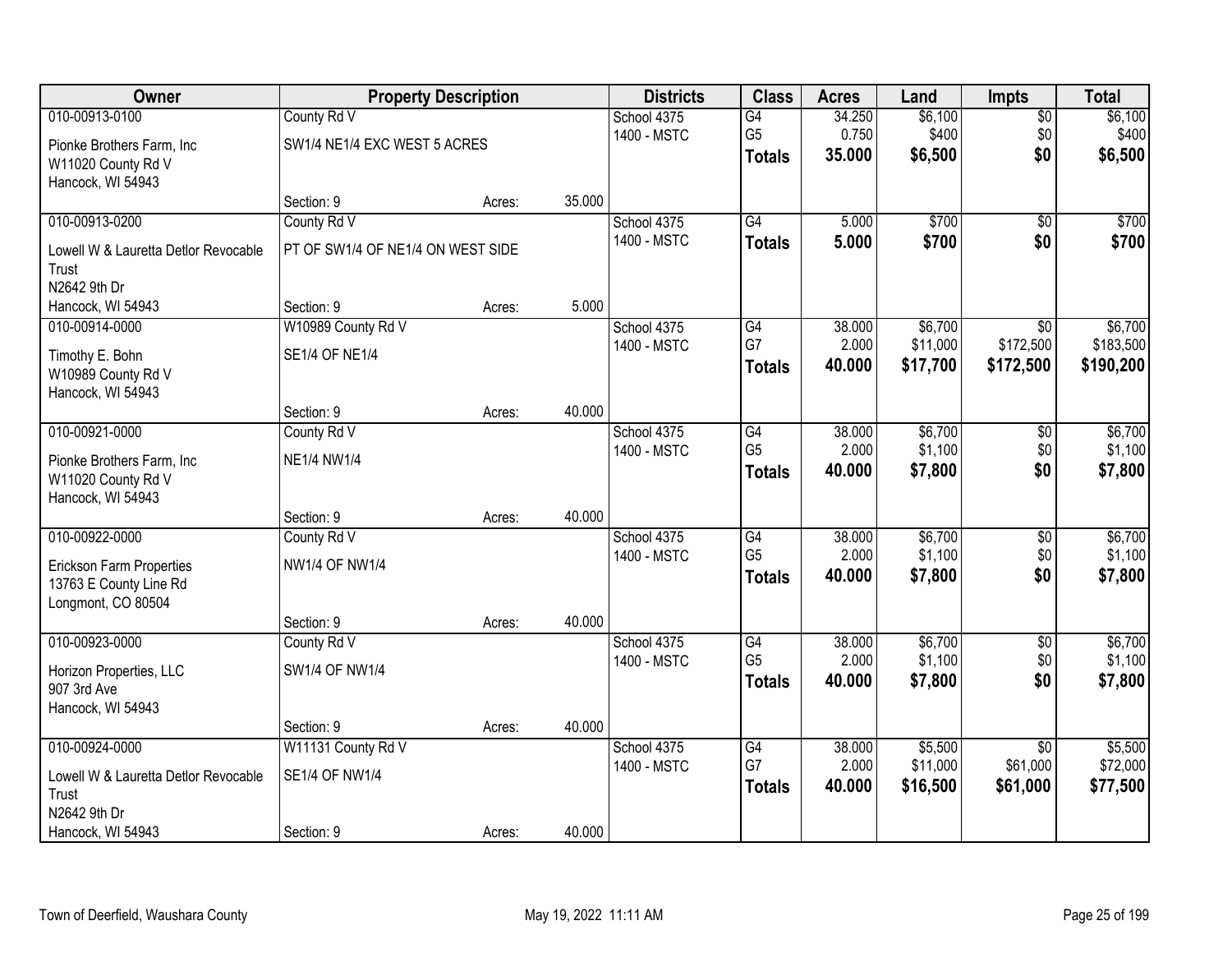| Owner                                           |                                   | <b>Property Description</b> |        | <b>Districts</b>           | <b>Class</b>    | <b>Acres</b> | Land     | <b>Impts</b>    | <b>Total</b> |
|-------------------------------------------------|-----------------------------------|-----------------------------|--------|----------------------------|-----------------|--------------|----------|-----------------|--------------|
| 010-00913-0100                                  | County Rd V                       |                             |        | School 4375                | G4              | 34.250       | \$6,100  | $\overline{50}$ | \$6,100      |
| Pionke Brothers Farm, Inc.                      | SW1/4 NE1/4 EXC WEST 5 ACRES      |                             |        | 1400 - MSTC                | G <sub>5</sub>  | 0.750        | \$400    | \$0             | \$400        |
| W11020 County Rd V                              |                                   |                             |        |                            | <b>Totals</b>   | 35.000       | \$6,500  | \$0             | \$6,500      |
| Hancock, WI 54943                               |                                   |                             |        |                            |                 |              |          |                 |              |
|                                                 | Section: 9                        | Acres:                      | 35.000 |                            |                 |              |          |                 |              |
| 010-00913-0200                                  | County Rd V                       |                             |        | School 4375<br>1400 - MSTC | G4              | 5.000        | \$700    | $\overline{50}$ | \$700        |
| Lowell W & Lauretta Detlor Revocable            | PT OF SW1/4 OF NE1/4 ON WEST SIDE |                             |        |                            | <b>Totals</b>   | 5.000        | \$700    | \$0             | \$700        |
| Trust                                           |                                   |                             |        |                            |                 |              |          |                 |              |
| N2642 9th Dr                                    |                                   |                             | 5.000  |                            |                 |              |          |                 |              |
| Hancock, WI 54943<br>010-00914-0000             | Section: 9<br>W10989 County Rd V  | Acres:                      |        | School 4375                | G4              | 38.000       | \$6,700  | \$0             | \$6,700      |
|                                                 |                                   |                             |        | 1400 - MSTC                | G7              | 2.000        | \$11,000 | \$172,500       | \$183,500    |
| Timothy E. Bohn                                 | <b>SE1/4 OF NE1/4</b>             |                             |        |                            | <b>Totals</b>   | 40.000       | \$17,700 | \$172,500       | \$190,200    |
| W10989 County Rd V                              |                                   |                             |        |                            |                 |              |          |                 |              |
| Hancock, WI 54943                               | Section: 9                        | Acres:                      | 40.000 |                            |                 |              |          |                 |              |
| 010-00921-0000                                  | County Rd V                       |                             |        | School 4375                | G4              | 38.000       | \$6,700  | \$0             | \$6,700      |
|                                                 |                                   |                             |        | 1400 - MSTC                | G <sub>5</sub>  | 2.000        | \$1,100  | \$0             | \$1,100      |
| Pionke Brothers Farm, Inc<br>W11020 County Rd V | <b>NE1/4 NW1/4</b>                |                             |        |                            | <b>Totals</b>   | 40.000       | \$7,800  | \$0             | \$7,800      |
| Hancock, WI 54943                               |                                   |                             |        |                            |                 |              |          |                 |              |
|                                                 | Section: 9                        | Acres:                      | 40.000 |                            |                 |              |          |                 |              |
| 010-00922-0000                                  | County Rd V                       |                             |        | School 4375                | $\overline{G4}$ | 38.000       | \$6,700  | $\overline{30}$ | \$6,700      |
| Erickson Farm Properties                        | <b>NW1/4 OF NW1/4</b>             |                             |        | 1400 - MSTC                | G <sub>5</sub>  | 2.000        | \$1,100  | \$0             | \$1,100      |
| 13763 E County Line Rd                          |                                   |                             |        |                            | <b>Totals</b>   | 40.000       | \$7,800  | \$0             | \$7,800      |
| Longmont, CO 80504                              |                                   |                             |        |                            |                 |              |          |                 |              |
|                                                 | Section: 9                        | Acres:                      | 40.000 |                            |                 |              |          |                 |              |
| 010-00923-0000                                  | County Rd V                       |                             |        | School 4375                | G4              | 38.000       | \$6,700  | $\overline{50}$ | \$6,700      |
| Horizon Properties, LLC                         | SW1/4 OF NW1/4                    |                             |        | 1400 - MSTC                | G <sub>5</sub>  | 2.000        | \$1,100  | \$0             | \$1,100      |
| 907 3rd Ave                                     |                                   |                             |        |                            | <b>Totals</b>   | 40.000       | \$7,800  | \$0             | \$7,800      |
| Hancock, WI 54943                               |                                   |                             |        |                            |                 |              |          |                 |              |
|                                                 | Section: 9                        | Acres:                      | 40.000 |                            |                 |              |          |                 |              |
| 010-00924-0000                                  | W11131 County Rd V                |                             |        | School 4375                | G4              | 38,000       | \$5,500  | $\overline{30}$ | \$5,500      |
| Lowell W & Lauretta Detlor Revocable            | <b>SE1/4 OF NW1/4</b>             |                             |        | 1400 - MSTC                | G7              | 2.000        | \$11,000 | \$61,000        | \$72,000     |
| Trust                                           |                                   |                             |        |                            | <b>Totals</b>   | 40.000       | \$16,500 | \$61,000        | \$77,500     |
| N2642 9th Dr                                    |                                   |                             |        |                            |                 |              |          |                 |              |
| Hancock, WI 54943                               | Section: 9                        | Acres:                      | 40.000 |                            |                 |              |          |                 |              |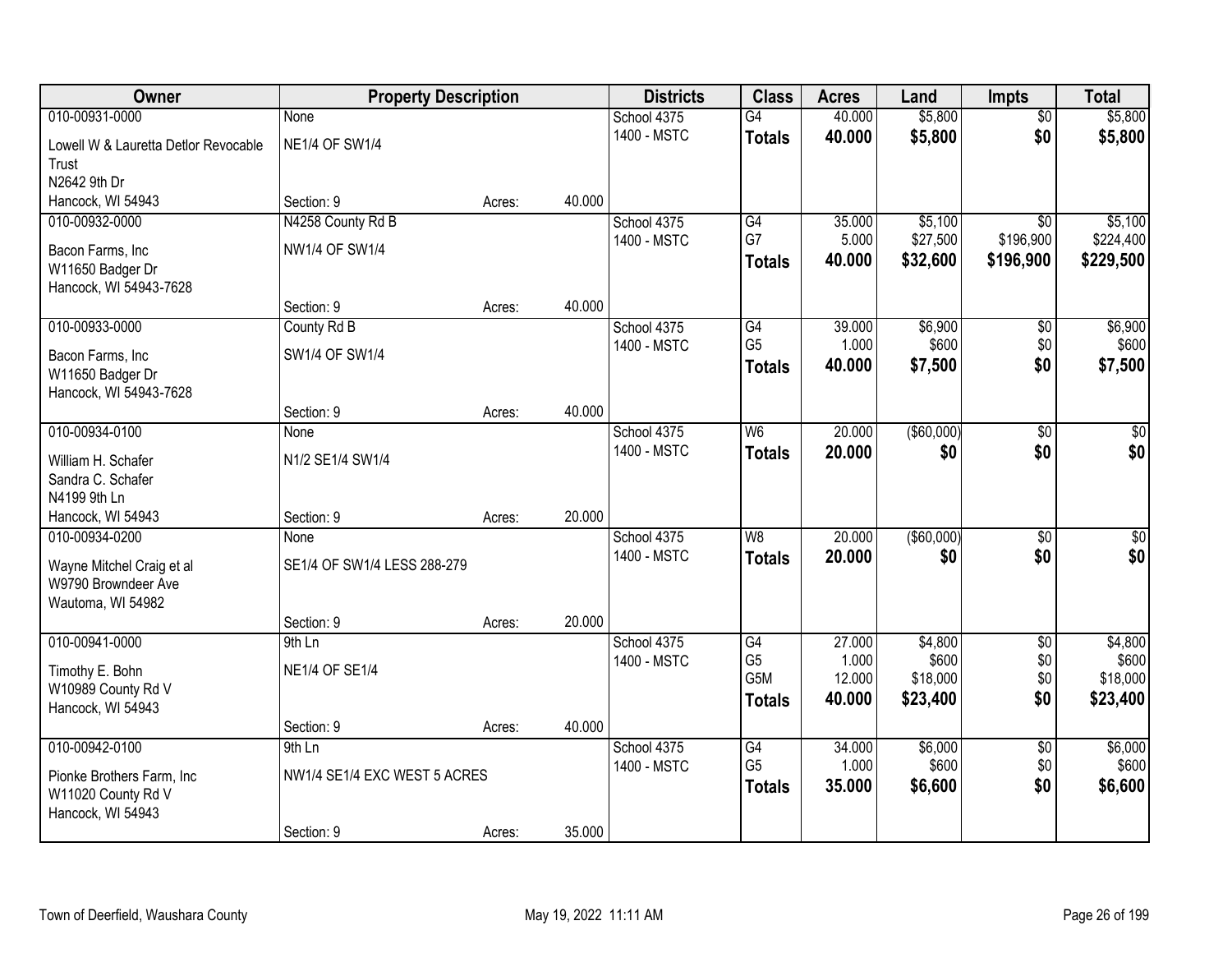| Owner                                | <b>Property Description</b>  |        |        | <b>Districts</b> | <b>Class</b>     | <b>Acres</b> | Land          | <b>Impts</b>    | <b>Total</b> |
|--------------------------------------|------------------------------|--------|--------|------------------|------------------|--------------|---------------|-----------------|--------------|
| 010-00931-0000                       | <b>None</b>                  |        |        | School 4375      | $\overline{G4}$  | 40.000       | \$5,800       | $\overline{50}$ | \$5,800      |
| Lowell W & Lauretta Detlor Revocable | <b>NE1/4 OF SW1/4</b>        |        |        | 1400 - MSTC      | <b>Totals</b>    | 40.000       | \$5,800       | \$0             | \$5,800      |
| Trust                                |                              |        |        |                  |                  |              |               |                 |              |
| N2642 9th Dr                         |                              |        |        |                  |                  |              |               |                 |              |
| Hancock, WI 54943                    | Section: 9                   | Acres: | 40.000 |                  |                  |              |               |                 |              |
| 010-00932-0000                       | N4258 County Rd B            |        |        | School 4375      | G4               | 35.000       | \$5,100       | $\overline{50}$ | \$5,100      |
| Bacon Farms, Inc                     | <b>NW1/4 OF SW1/4</b>        |        |        | 1400 - MSTC      | G7               | 5.000        | \$27,500      | \$196,900       | \$224,400    |
| W11650 Badger Dr                     |                              |        |        |                  | <b>Totals</b>    | 40.000       | \$32,600      | \$196,900       | \$229,500    |
| Hancock, WI 54943-7628               |                              |        |        |                  |                  |              |               |                 |              |
|                                      | Section: 9                   | Acres: | 40.000 |                  |                  |              |               |                 |              |
| 010-00933-0000                       | County Rd B                  |        |        | School 4375      | G4               | 39.000       | \$6,900       | $\sqrt[6]{3}$   | \$6,900      |
| Bacon Farms, Inc                     | SW1/4 OF SW1/4               |        |        | 1400 - MSTC      | G <sub>5</sub>   | 1.000        | \$600         | \$0             | \$600        |
| W11650 Badger Dr                     |                              |        |        |                  | <b>Totals</b>    | 40.000       | \$7,500       | \$0             | \$7,500      |
| Hancock, WI 54943-7628               |                              |        |        |                  |                  |              |               |                 |              |
|                                      | Section: 9                   | Acres: | 40.000 |                  |                  |              |               |                 |              |
| 010-00934-0100                       | None                         |        |        | School 4375      | W <sub>6</sub>   | 20.000       | ( \$60,000)   | $\sqrt[6]{3}$   | $\sqrt{50}$  |
| William H. Schafer                   | N1/2 SE1/4 SW1/4             |        |        | 1400 - MSTC      | <b>Totals</b>    | 20,000       | \$0           | \$0             | \$0          |
| Sandra C. Schafer                    |                              |        |        |                  |                  |              |               |                 |              |
| N4199 9th Ln                         |                              |        |        |                  |                  |              |               |                 |              |
| Hancock, WI 54943                    | Section: 9                   | Acres: | 20.000 |                  |                  |              |               |                 |              |
| 010-00934-0200                       | None                         |        |        | School 4375      | $\overline{W8}$  | 20.000       | $($ \$60,000) | $\overline{50}$ | $\sqrt{50}$  |
| Wayne Mitchel Craig et al            | SE1/4 OF SW1/4 LESS 288-279  |        |        | 1400 - MSTC      | <b>Totals</b>    | 20.000       | \$0           | \$0             | \$0          |
| W9790 Browndeer Ave                  |                              |        |        |                  |                  |              |               |                 |              |
| Wautoma, WI 54982                    |                              |        |        |                  |                  |              |               |                 |              |
|                                      | Section: 9                   | Acres: | 20.000 |                  |                  |              |               |                 |              |
| 010-00941-0000                       | 9th Ln                       |        |        | School 4375      | $\overline{G4}$  | 27.000       | \$4,800       | $\overline{50}$ | \$4,800      |
| Timothy E. Bohn                      | <b>NE1/4 OF SE1/4</b>        |        |        | 1400 - MSTC      | G <sub>5</sub>   | 1.000        | \$600         | \$0             | \$600        |
| W10989 County Rd V                   |                              |        |        |                  | G <sub>5</sub> M | 12.000       | \$18,000      | \$0             | \$18,000     |
| Hancock, WI 54943                    |                              |        |        |                  | <b>Totals</b>    | 40.000       | \$23,400      | \$0             | \$23,400     |
|                                      | Section: 9                   | Acres: | 40.000 |                  |                  |              |               |                 |              |
| 010-00942-0100                       | 9th Ln                       |        |        | School 4375      | G4               | 34,000       | \$6,000       | $\overline{50}$ | \$6,000      |
| Pionke Brothers Farm, Inc.           | NW1/4 SE1/4 EXC WEST 5 ACRES |        |        | 1400 - MSTC      | G <sub>5</sub>   | 1.000        | \$600         | \$0             | \$600        |
| W11020 County Rd V                   |                              |        |        |                  | <b>Totals</b>    | 35.000       | \$6,600       | \$0             | \$6,600      |
| Hancock, WI 54943                    |                              |        |        |                  |                  |              |               |                 |              |
|                                      | Section: 9                   | Acres: | 35.000 |                  |                  |              |               |                 |              |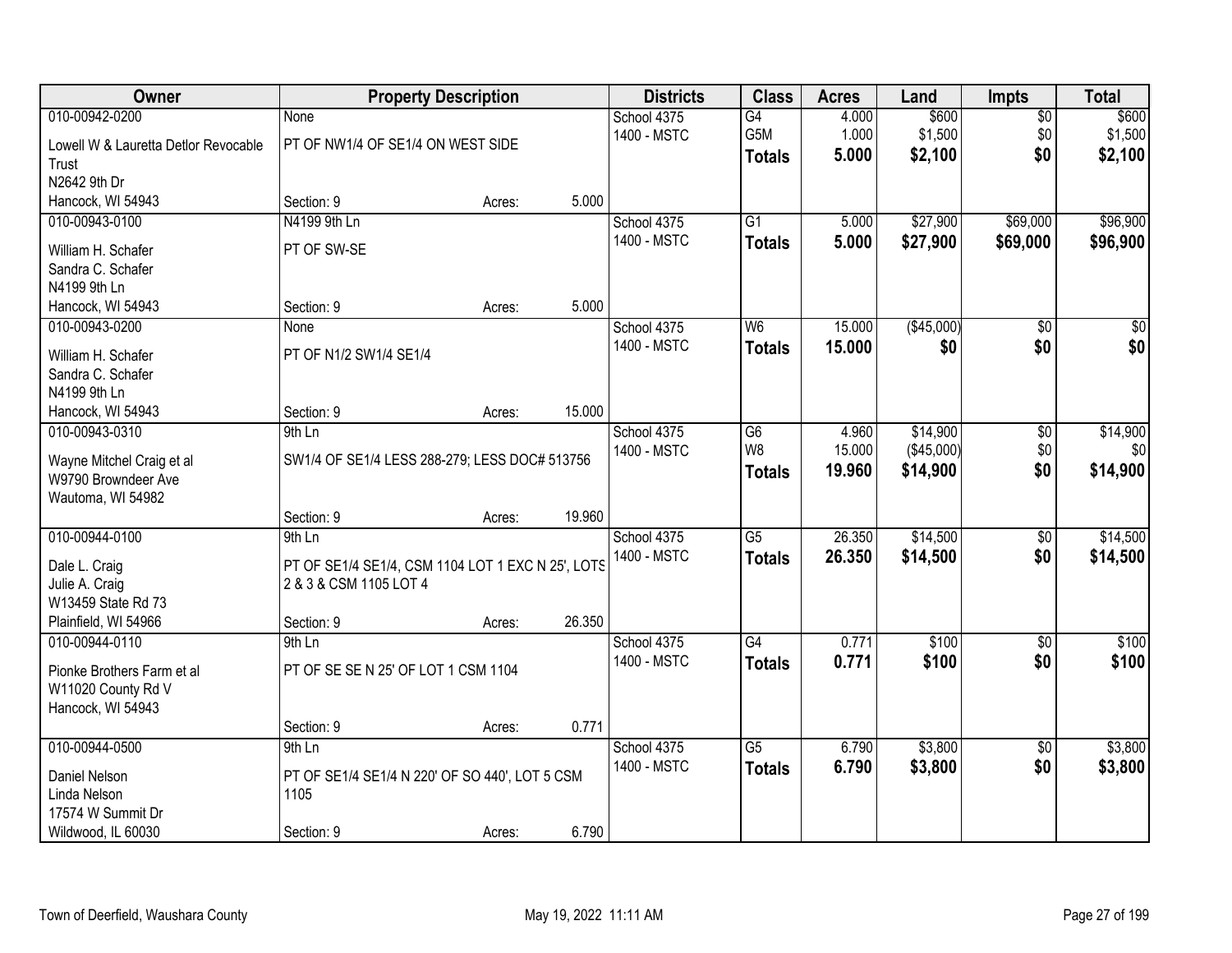| Owner                                                                                           |                                                                                                     | <b>Property Description</b> |        | <b>Districts</b>           | <b>Class</b>                          | <b>Acres</b>              | Land                               | <b>Impts</b>                  | <b>Total</b>                |
|-------------------------------------------------------------------------------------------------|-----------------------------------------------------------------------------------------------------|-----------------------------|--------|----------------------------|---------------------------------------|---------------------------|------------------------------------|-------------------------------|-----------------------------|
| 010-00942-0200<br>Lowell W & Lauretta Detlor Revocable<br>Trust<br>N2642 9th Dr                 | <b>None</b><br>PT OF NW1/4 OF SE1/4 ON WEST SIDE                                                    |                             |        | School 4375<br>1400 - MSTC | G4<br>G5M<br><b>Totals</b>            | 4.000<br>1.000<br>5.000   | \$600<br>\$1,500<br>\$2,100        | $\overline{50}$<br>\$0<br>\$0 | \$600<br>\$1,500<br>\$2,100 |
| Hancock, WI 54943                                                                               | Section: 9                                                                                          | Acres:                      | 5.000  |                            |                                       |                           |                                    |                               |                             |
| 010-00943-0100<br>William H. Schafer<br>Sandra C. Schafer<br>N4199 9th Ln                       | N4199 9th Ln<br>PT OF SW-SE                                                                         |                             |        | School 4375<br>1400 - MSTC | $\overline{G1}$<br><b>Totals</b>      | 5.000<br>5.000            | \$27,900<br>\$27,900               | \$69,000<br>\$69,000          | \$96,900<br>\$96,900        |
| Hancock, WI 54943                                                                               | Section: 9                                                                                          | Acres:                      | 5.000  |                            |                                       |                           |                                    |                               |                             |
| 010-00943-0200<br>William H. Schafer<br>Sandra C. Schafer<br>N4199 9th Ln                       | None<br>PT OF N1/2 SW1/4 SE1/4                                                                      |                             |        | School 4375<br>1400 - MSTC | W6<br><b>Totals</b>                   | 15.000<br>15.000          | (\$45,000)<br>\$0                  | $\overline{50}$<br>\$0        | $\overline{30}$<br>\$0      |
| Hancock, WI 54943                                                                               | Section: 9                                                                                          | Acres:                      | 15.000 |                            |                                       |                           |                                    |                               |                             |
| 010-00943-0310<br>Wayne Mitchel Craig et al<br>W9790 Browndeer Ave<br>Wautoma, WI 54982         | 9th Ln<br>SW1/4 OF SE1/4 LESS 288-279; LESS DOC# 513756                                             |                             |        | School 4375<br>1400 - MSTC | G <sub>6</sub><br>W8<br><b>Totals</b> | 4.960<br>15.000<br>19.960 | \$14,900<br>(\$45,000)<br>\$14,900 | \$0<br>\$0<br>\$0             | \$14,900<br>\$0<br>\$14,900 |
|                                                                                                 | Section: 9                                                                                          | Acres:                      | 19.960 |                            |                                       |                           |                                    |                               |                             |
| 010-00944-0100<br>Dale L. Craig<br>Julie A. Craig<br>W13459 State Rd 73<br>Plainfield, WI 54966 | 9th Ln<br>PT OF SE1/4 SE1/4, CSM 1104 LOT 1 EXC N 25', LOTS<br>2 & 3 & CSM 1105 LOT 4<br>Section: 9 | Acres:                      | 26.350 | School 4375<br>1400 - MSTC | $\overline{G5}$<br><b>Totals</b>      | 26.350<br>26.350          | \$14,500<br>\$14,500               | $\overline{50}$<br>\$0        | \$14,500<br>\$14,500        |
| 010-00944-0110                                                                                  | 9th Ln                                                                                              |                             |        | School 4375                | G4                                    | 0.771                     | \$100                              | $\sqrt{$0}$                   | \$100                       |
| Pionke Brothers Farm et al<br>W11020 County Rd V<br>Hancock, WI 54943                           | PT OF SE SE N 25' OF LOT 1 CSM 1104<br>Section: 9                                                   |                             | 0.771  | 1400 - MSTC                | <b>Totals</b>                         | 0.771                     | \$100                              | \$0                           | \$100                       |
| 010-00944-0500                                                                                  | $9th$ Ln                                                                                            | Acres:                      |        | School 4375                | $\overline{G5}$                       | 6.790                     | \$3,800                            | $\overline{30}$               | \$3,800                     |
| Daniel Nelson<br>Linda Nelson<br>17574 W Summit Dr<br>Wildwood, IL 60030                        | PT OF SE1/4 SE1/4 N 220' OF SO 440', LOT 5 CSM<br>1105<br>Section: 9                                | Acres:                      | 6.790  | 1400 - MSTC                | <b>Totals</b>                         | 6.790                     | \$3,800                            | \$0                           | \$3,800                     |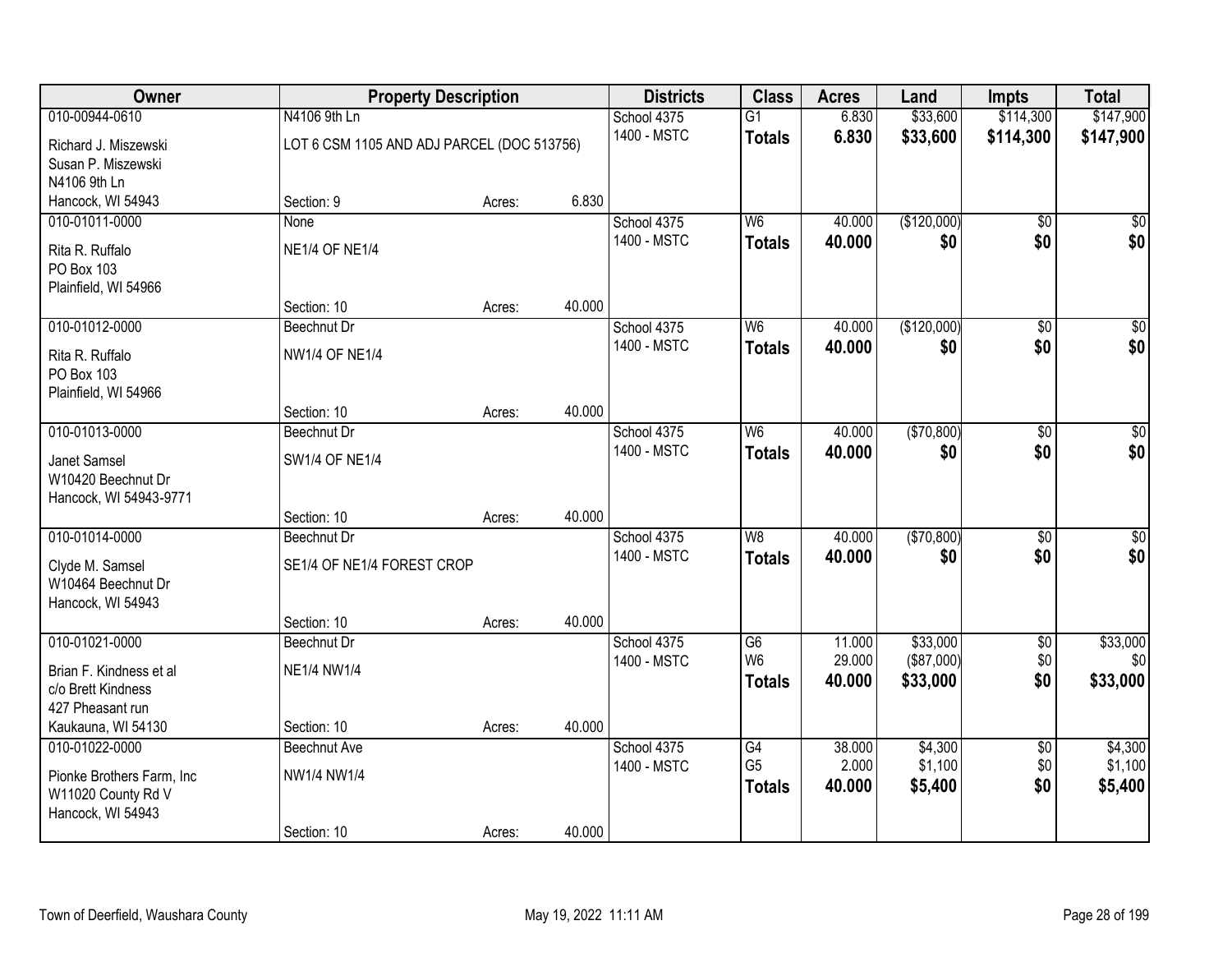| Owner                                   | <b>Property Description</b>                |                  | <b>Districts</b> | <b>Class</b>         | <b>Acres</b>     | Land                   | <b>Impts</b>    | <b>Total</b>                 |
|-----------------------------------------|--------------------------------------------|------------------|------------------|----------------------|------------------|------------------------|-----------------|------------------------------|
| 010-00944-0610                          | N4106 9th Ln                               |                  | School 4375      | $\overline{G1}$      | 6.830            | \$33,600               | \$114,300       | \$147,900                    |
| Richard J. Miszewski                    | LOT 6 CSM 1105 AND ADJ PARCEL (DOC 513756) |                  | 1400 - MSTC      | <b>Totals</b>        | 6.830            | \$33,600               | \$114,300       | \$147,900                    |
| Susan P. Miszewski                      |                                            |                  |                  |                      |                  |                        |                 |                              |
| N4106 9th Ln                            |                                            |                  |                  |                      |                  |                        |                 |                              |
| Hancock, WI 54943                       | Section: 9                                 | Acres:           | 6.830            |                      |                  |                        |                 |                              |
| 010-01011-0000                          | None                                       |                  | School 4375      | W <sub>6</sub>       | 40.000           | (\$120,000)            | $\overline{50}$ | $\overline{30}$              |
| Rita R. Ruffalo                         | <b>NE1/4 OF NE1/4</b>                      |                  | 1400 - MSTC      | <b>Totals</b>        | 40.000           | \$0                    | \$0             | \$0                          |
| PO Box 103                              |                                            |                  |                  |                      |                  |                        |                 |                              |
| Plainfield, WI 54966                    |                                            |                  |                  |                      |                  |                        |                 |                              |
| 010-01012-0000                          | Section: 10<br>Beechnut Dr                 | 40.000<br>Acres: | School 4375      | W <sub>6</sub>       | 40.000           | (\$120,000)            | \$0             | $\overline{50}$              |
|                                         |                                            |                  | 1400 - MSTC      | <b>Totals</b>        | 40.000           | \$0                    | \$0             | \$0                          |
| Rita R. Ruffalo                         | <b>NW1/4 OF NE1/4</b>                      |                  |                  |                      |                  |                        |                 |                              |
| PO Box 103                              |                                            |                  |                  |                      |                  |                        |                 |                              |
| Plainfield, WI 54966                    | Section: 10                                | 40.000<br>Acres: |                  |                      |                  |                        |                 |                              |
| 010-01013-0000                          | Beechnut Dr                                |                  | School 4375      | W <sub>6</sub>       | 40.000           | (\$70,800)             | \$0             | $\sqrt{50}$                  |
| Janet Samsel                            | <b>SW1/4 OF NE1/4</b>                      |                  | 1400 - MSTC      | <b>Totals</b>        | 40.000           | \$0                    | \$0             | \$0                          |
| W10420 Beechnut Dr                      |                                            |                  |                  |                      |                  |                        |                 |                              |
| Hancock, WI 54943-9771                  |                                            |                  |                  |                      |                  |                        |                 |                              |
|                                         | Section: 10                                | 40.000<br>Acres: |                  |                      |                  |                        |                 |                              |
| 010-01014-0000                          | Beechnut Dr                                |                  | School 4375      | W8                   | 40.000           | (\$70,800)             | \$0             | $\sqrt{50}$                  |
| Clyde M. Samsel                         | SE1/4 OF NE1/4 FOREST CROP                 |                  | 1400 - MSTC      | <b>Totals</b>        | 40.000           | \$0                    | \$0             | \$0                          |
| W10464 Beechnut Dr                      |                                            |                  |                  |                      |                  |                        |                 |                              |
| Hancock, WI 54943                       |                                            |                  |                  |                      |                  |                        |                 |                              |
|                                         | Section: 10                                | 40.000<br>Acres: |                  |                      |                  |                        |                 |                              |
| 010-01021-0000                          | Beechnut Dr                                |                  | School 4375      | G6<br>W <sub>6</sub> | 11.000           | \$33,000               | $\sqrt{$0}$     | \$33,000<br>\$0 <sub>1</sub> |
| Brian F. Kindness et al                 | <b>NE1/4 NW1/4</b>                         |                  | 1400 - MSTC      |                      | 29.000<br>40,000 | (\$87,000)<br>\$33,000 | \$0<br>\$0      | \$33,000                     |
| c/o Brett Kindness                      |                                            |                  |                  | <b>Totals</b>        |                  |                        |                 |                              |
| 427 Pheasant run                        |                                            |                  |                  |                      |                  |                        |                 |                              |
| Kaukauna, WI 54130<br>010-01022-0000    | Section: 10<br>Beechnut Ave                | 40.000<br>Acres: | School 4375      | G4                   | 38,000           | \$4,300                | $\overline{50}$ | \$4,300                      |
|                                         |                                            |                  | 1400 - MSTC      | G <sub>5</sub>       | 2.000            | \$1,100                | \$0             | \$1,100                      |
| Pionke Brothers Farm, Inc.              | NW1/4 NW1/4                                |                  |                  | <b>Totals</b>        | 40.000           | \$5,400                | \$0             | \$5,400                      |
| W11020 County Rd V<br>Hancock, WI 54943 |                                            |                  |                  |                      |                  |                        |                 |                              |
|                                         | Section: 10                                | 40.000<br>Acres: |                  |                      |                  |                        |                 |                              |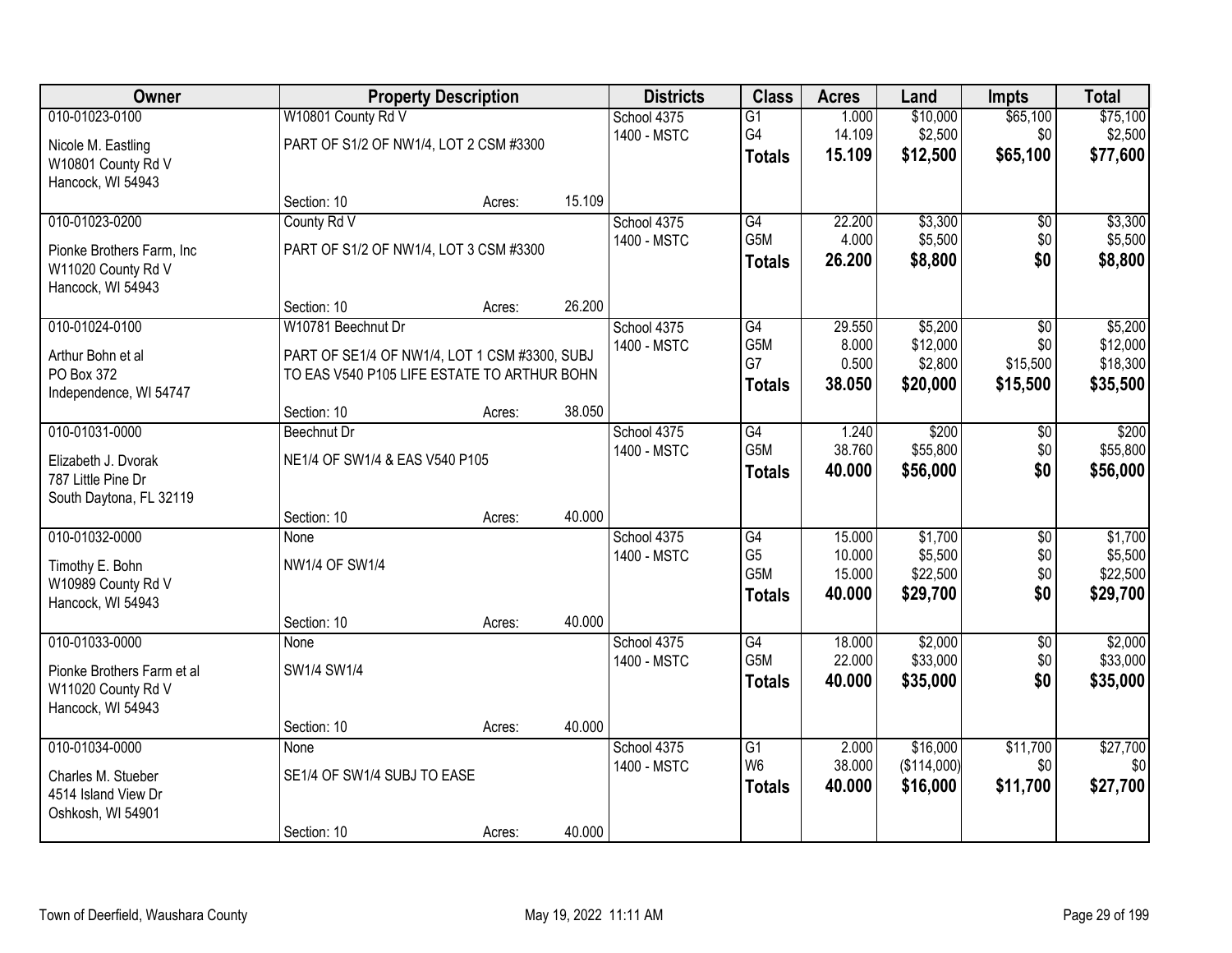| Owner                                                                                   |                                                                                              | <b>Property Description</b> |        | <b>Districts</b>           | <b>Class</b>                                              | <b>Acres</b>                         | Land                                       | <b>Impts</b>                         | <b>Total</b>                               |
|-----------------------------------------------------------------------------------------|----------------------------------------------------------------------------------------------|-----------------------------|--------|----------------------------|-----------------------------------------------------------|--------------------------------------|--------------------------------------------|--------------------------------------|--------------------------------------------|
| 010-01023-0100<br>Nicole M. Eastling<br>W10801 County Rd V<br>Hancock, WI 54943         | W10801 County Rd V<br>PART OF S1/2 OF NW1/4, LOT 2 CSM #3300                                 |                             |        | School 4375<br>1400 - MSTC | G1<br>G4<br><b>Totals</b>                                 | 1.000<br>14.109<br>15.109            | \$10,000<br>\$2,500<br>\$12,500            | \$65,100<br>\$0<br>\$65,100          | \$75,100<br>\$2,500<br>\$77,600            |
|                                                                                         | Section: 10                                                                                  | Acres:                      | 15.109 |                            |                                                           |                                      |                                            |                                      |                                            |
| 010-01023-0200<br>Pionke Brothers Farm, Inc.<br>W11020 County Rd V<br>Hancock, WI 54943 | County Rd V<br>PART OF S1/2 OF NW1/4, LOT 3 CSM #3300                                        |                             |        | School 4375<br>1400 - MSTC | G4<br>G5M<br><b>Totals</b>                                | 22.200<br>4.000<br>26.200            | \$3,300<br>\$5,500<br>\$8,800              | $\overline{50}$<br>\$0<br>\$0        | \$3,300<br>\$5,500<br>\$8,800              |
| 010-01024-0100                                                                          | Section: 10<br>W10781 Beechnut Dr                                                            | Acres:                      | 26.200 | School 4375                | G4                                                        | 29.550                               | \$5,200                                    | \$0                                  | \$5,200                                    |
| Arthur Bohn et al<br>PO Box 372<br>Independence, WI 54747                               | PART OF SE1/4 OF NW1/4, LOT 1 CSM #3300, SUBJ<br>TO EAS V540 P105 LIFE ESTATE TO ARTHUR BOHN |                             |        | 1400 - MSTC                | G5M<br>G7<br><b>Totals</b>                                | 8.000<br>0.500<br>38.050             | \$12,000<br>\$2,800<br>\$20,000            | \$0<br>\$15,500<br>\$15,500          | \$12,000<br>\$18,300<br>\$35,500           |
|                                                                                         | Section: 10                                                                                  | Acres:                      | 38.050 |                            |                                                           |                                      |                                            |                                      |                                            |
| 010-01031-0000<br>Elizabeth J. Dvorak<br>787 Little Pine Dr<br>South Daytona, FL 32119  | Beechnut Dr<br>NE1/4 OF SW1/4 & EAS V540 P105                                                |                             |        | School 4375<br>1400 - MSTC | G4<br>G5M<br><b>Totals</b>                                | 1.240<br>38.760<br>40.000            | \$200<br>\$55,800<br>\$56,000              | \$0<br>\$0<br>\$0                    | \$200<br>\$55,800<br>\$56,000              |
|                                                                                         | Section: 10                                                                                  | Acres:                      | 40.000 |                            |                                                           |                                      |                                            |                                      |                                            |
| 010-01032-0000<br>Timothy E. Bohn<br>W10989 County Rd V<br>Hancock, WI 54943            | None<br>NW1/4 OF SW1/4<br>Section: 10                                                        | Acres:                      | 40.000 | School 4375<br>1400 - MSTC | $\overline{G4}$<br>G <sub>5</sub><br>G5M<br><b>Totals</b> | 15.000<br>10.000<br>15.000<br>40.000 | \$1,700<br>\$5,500<br>\$22,500<br>\$29,700 | $\overline{50}$<br>\$0<br>\$0<br>\$0 | \$1,700<br>\$5,500<br>\$22,500<br>\$29,700 |
| 010-01033-0000<br>Pionke Brothers Farm et al<br>W11020 County Rd V<br>Hancock, WI 54943 | <b>None</b><br>SW1/4 SW1/4<br>Section: 10                                                    | Acres:                      | 40.000 | School 4375<br>1400 - MSTC | G4<br>G5M<br><b>Totals</b>                                | 18.000<br>22.000<br>40.000           | \$2,000<br>\$33,000<br>\$35,000            | $\overline{50}$<br>\$0<br>\$0        | \$2,000<br>\$33,000<br>\$35,000            |
| 010-01034-0000<br>Charles M. Stueber<br>4514 Island View Dr<br>Oshkosh, WI 54901        | None<br>SE1/4 OF SW1/4 SUBJ TO EASE<br>Section: 10                                           | Acres:                      | 40.000 | School 4375<br>1400 - MSTC | G1<br>W <sub>6</sub><br><b>Totals</b>                     | 2.000<br>38.000<br>40.000            | \$16,000<br>(\$114,000)<br>\$16,000        | \$11,700<br>\$0<br>\$11,700          | \$27,700<br>\$0<br>\$27,700                |
|                                                                                         |                                                                                              |                             |        |                            |                                                           |                                      |                                            |                                      |                                            |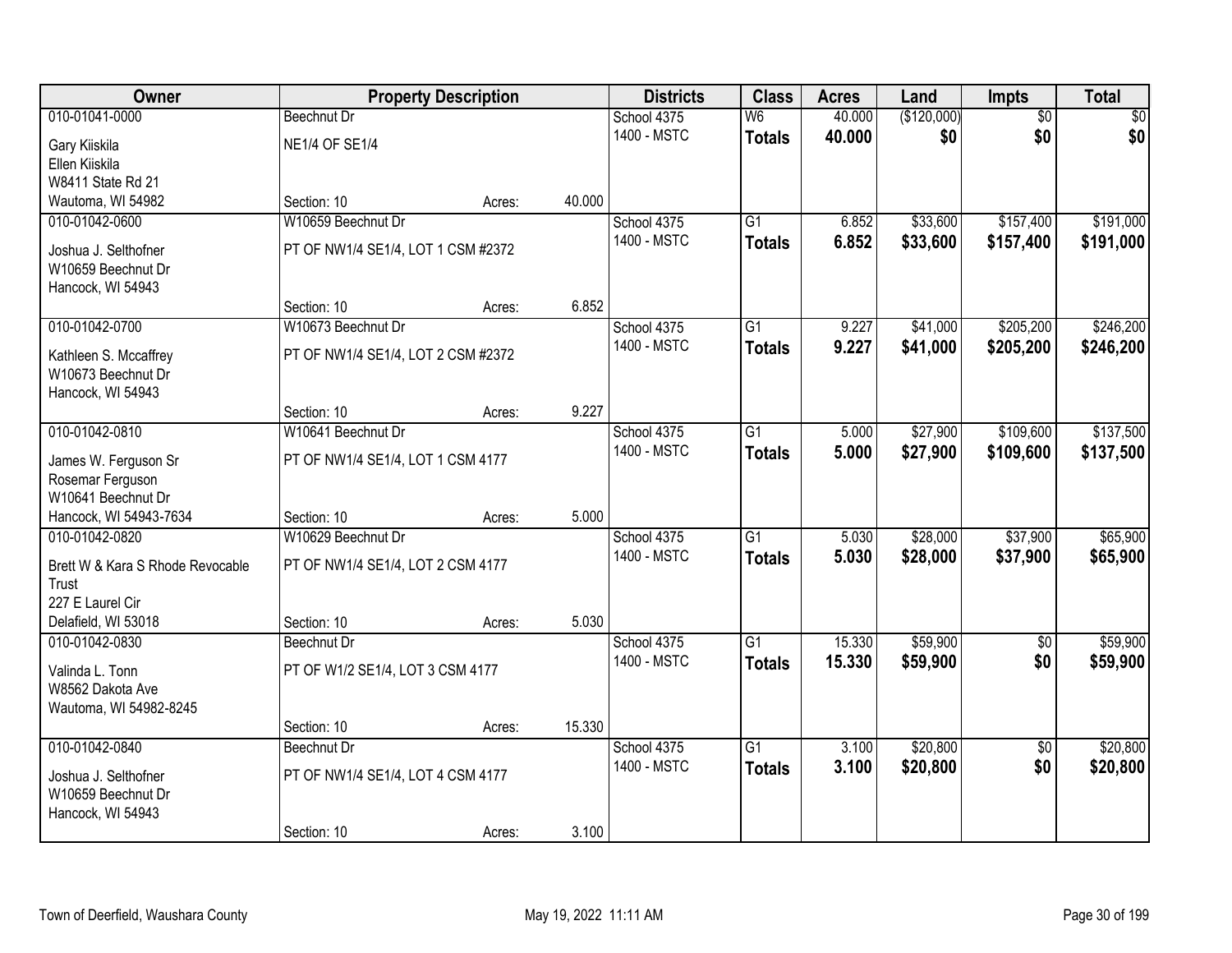| Owner                                    |                                    | <b>Property Description</b> |        | <b>Districts</b> | <b>Class</b>             | <b>Acres</b> | Land        | Impts           | <b>Total</b> |
|------------------------------------------|------------------------------------|-----------------------------|--------|------------------|--------------------------|--------------|-------------|-----------------|--------------|
| 010-01041-0000                           | <b>Beechnut Dr</b>                 |                             |        | School 4375      | $\overline{\mathsf{W6}}$ | 40.000       | (\$120,000) | $\overline{50}$ | \$0          |
| Gary Kiiskila                            | <b>NE1/4 OF SE1/4</b>              |                             |        | 1400 - MSTC      | <b>Totals</b>            | 40.000       | \$0         | \$0             | \$0          |
| Ellen Kiiskila                           |                                    |                             |        |                  |                          |              |             |                 |              |
| W8411 State Rd 21                        |                                    |                             |        |                  |                          |              |             |                 |              |
| Wautoma, WI 54982                        | Section: 10                        | Acres:                      | 40.000 |                  |                          |              |             |                 |              |
| 010-01042-0600                           | W10659 Beechnut Dr                 |                             |        | School 4375      | $\overline{G1}$          | 6.852        | \$33,600    | \$157,400       | \$191,000    |
| Joshua J. Selthofner                     | PT OF NW1/4 SE1/4, LOT 1 CSM #2372 |                             |        | 1400 - MSTC      | <b>Totals</b>            | 6.852        | \$33,600    | \$157,400       | \$191,000    |
| W10659 Beechnut Dr                       |                                    |                             |        |                  |                          |              |             |                 |              |
| Hancock, WI 54943                        |                                    |                             |        |                  |                          |              |             |                 |              |
|                                          | Section: 10                        | Acres:                      | 6.852  |                  |                          |              |             |                 |              |
| 010-01042-0700                           | W10673 Beechnut Dr                 |                             |        | School 4375      | G <sub>1</sub>           | 9.227        | \$41,000    | \$205,200       | \$246,200    |
| Kathleen S. Mccaffrey                    | PT OF NW1/4 SE1/4, LOT 2 CSM #2372 |                             |        | 1400 - MSTC      | <b>Totals</b>            | 9.227        | \$41,000    | \$205,200       | \$246,200    |
| W10673 Beechnut Dr                       |                                    |                             |        |                  |                          |              |             |                 |              |
| Hancock, WI 54943                        |                                    |                             |        |                  |                          |              |             |                 |              |
|                                          | Section: 10                        | Acres:                      | 9.227  |                  |                          |              |             |                 |              |
| 010-01042-0810                           | W10641 Beechnut Dr                 |                             |        | School 4375      | G1                       | 5.000        | \$27,900    | \$109,600       | \$137,500    |
|                                          | PT OF NW1/4 SE1/4, LOT 1 CSM 4177  |                             |        | 1400 - MSTC      | <b>Totals</b>            | 5.000        | \$27,900    | \$109,600       | \$137,500    |
| James W. Ferguson Sr<br>Rosemar Ferguson |                                    |                             |        |                  |                          |              |             |                 |              |
| W10641 Beechnut Dr                       |                                    |                             |        |                  |                          |              |             |                 |              |
| Hancock, WI 54943-7634                   | Section: 10                        | Acres:                      | 5.000  |                  |                          |              |             |                 |              |
| 010-01042-0820                           | W10629 Beechnut Dr                 |                             |        | School 4375      | $\overline{G1}$          | 5.030        | \$28,000    | \$37,900        | \$65,900     |
|                                          |                                    |                             |        | 1400 - MSTC      | <b>Totals</b>            | 5.030        | \$28,000    | \$37,900        | \$65,900     |
| Brett W & Kara S Rhode Revocable         | PT OF NW1/4 SE1/4, LOT 2 CSM 4177  |                             |        |                  |                          |              |             |                 |              |
| Trust<br>227 E Laurel Cir                |                                    |                             |        |                  |                          |              |             |                 |              |
| Delafield, WI 53018                      | Section: 10                        | Acres:                      | 5.030  |                  |                          |              |             |                 |              |
| 010-01042-0830                           | Beechnut Dr                        |                             |        | School 4375      | $\overline{G1}$          | 15.330       | \$59,900    | $\overline{50}$ | \$59,900     |
|                                          |                                    |                             |        | 1400 - MSTC      | <b>Totals</b>            | 15.330       | \$59,900    | \$0             | \$59,900     |
| Valinda L. Tonn                          | PT OF W1/2 SE1/4, LOT 3 CSM 4177   |                             |        |                  |                          |              |             |                 |              |
| W8562 Dakota Ave                         |                                    |                             |        |                  |                          |              |             |                 |              |
| Wautoma, WI 54982-8245                   | Section: 10                        | Acres:                      | 15.330 |                  |                          |              |             |                 |              |
| 010-01042-0840                           | Beechnut Dr                        |                             |        | School 4375      | $\overline{G1}$          | 3.100        | \$20,800    | $\overline{50}$ | \$20,800     |
|                                          |                                    |                             |        | 1400 - MSTC      | <b>Totals</b>            | 3.100        | \$20,800    | \$0             | \$20,800     |
| Joshua J. Selthofner                     | PT OF NW1/4 SE1/4, LOT 4 CSM 4177  |                             |        |                  |                          |              |             |                 |              |
| W10659 Beechnut Dr                       |                                    |                             |        |                  |                          |              |             |                 |              |
| Hancock, WI 54943                        |                                    |                             |        |                  |                          |              |             |                 |              |
|                                          | Section: 10                        | Acres:                      | 3.100  |                  |                          |              |             |                 |              |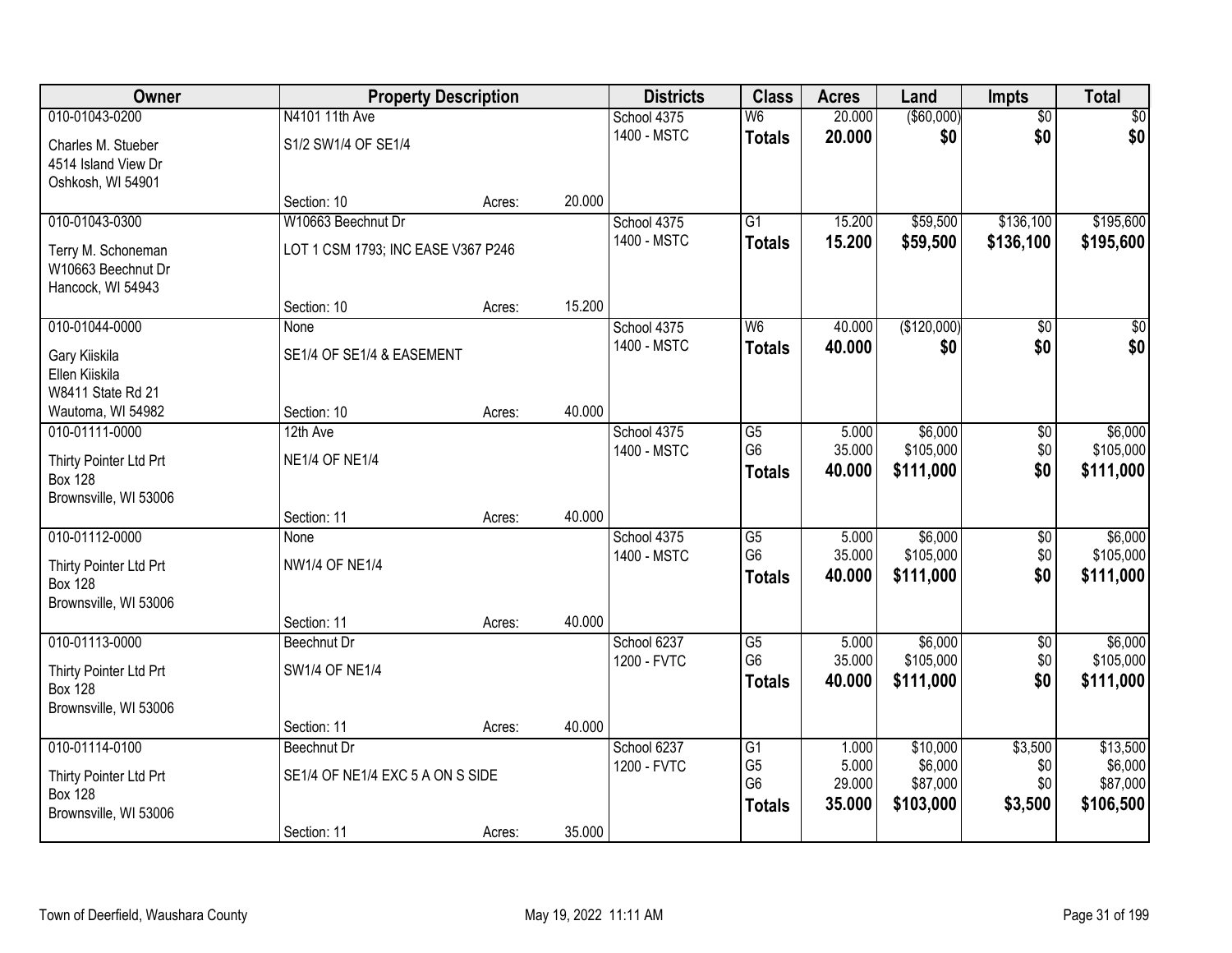| Owner                  |                                    | <b>Property Description</b> |        | <b>Districts</b> | <b>Class</b>             | <b>Acres</b>     | Land                 | <b>Impts</b>    | <b>Total</b>        |
|------------------------|------------------------------------|-----------------------------|--------|------------------|--------------------------|------------------|----------------------|-----------------|---------------------|
| 010-01043-0200         | N4101 11th Ave                     |                             |        | School 4375      | $\overline{\mathsf{W6}}$ | 20.000           | ( \$60,000)          | $\overline{50}$ | \$0                 |
| Charles M. Stueber     | S1/2 SW1/4 OF SE1/4                |                             |        | 1400 - MSTC      | <b>Totals</b>            | 20.000           | \$0                  | \$0             | \$0                 |
| 4514 Island View Dr    |                                    |                             |        |                  |                          |                  |                      |                 |                     |
| Oshkosh, WI 54901      |                                    |                             |        |                  |                          |                  |                      |                 |                     |
|                        | Section: 10                        | Acres:                      | 20.000 |                  |                          |                  |                      |                 |                     |
| 010-01043-0300         | W10663 Beechnut Dr                 |                             |        | School 4375      | $\overline{G1}$          | 15.200           | \$59,500             | \$136,100       | \$195,600           |
| Terry M. Schoneman     | LOT 1 CSM 1793; INC EASE V367 P246 |                             |        | 1400 - MSTC      | <b>Totals</b>            | 15.200           | \$59,500             | \$136,100       | \$195,600           |
| W10663 Beechnut Dr     |                                    |                             |        |                  |                          |                  |                      |                 |                     |
| Hancock, WI 54943      |                                    |                             |        |                  |                          |                  |                      |                 |                     |
|                        | Section: 10                        | Acres:                      | 15.200 |                  |                          |                  |                      |                 |                     |
| 010-01044-0000         | None                               |                             |        | School 4375      | W <sub>6</sub>           | 40.000           | (\$120,000)          | \$0             | $\sqrt{50}$         |
| Gary Kiiskila          | SE1/4 OF SE1/4 & EASEMENT          |                             |        | 1400 - MSTC      | <b>Totals</b>            | 40.000           | \$0                  | \$0             | \$0                 |
| Ellen Kiiskila         |                                    |                             |        |                  |                          |                  |                      |                 |                     |
| W8411 State Rd 21      |                                    |                             |        |                  |                          |                  |                      |                 |                     |
| Wautoma, WI 54982      | Section: 10                        | Acres:                      | 40.000 |                  |                          |                  |                      |                 |                     |
| 010-01111-0000         | 12th Ave                           |                             |        | School 4375      | G5                       | 5.000            | \$6,000              | \$0             | \$6,000             |
| Thirty Pointer Ltd Prt | <b>NE1/4 OF NE1/4</b>              |                             |        | 1400 - MSTC      | G <sub>6</sub>           | 35.000           | \$105,000            | \$0             | \$105,000           |
| <b>Box 128</b>         |                                    |                             |        |                  | <b>Totals</b>            | 40.000           | \$111,000            | \$0             | \$111,000           |
| Brownsville, WI 53006  |                                    |                             |        |                  |                          |                  |                      |                 |                     |
|                        | Section: 11                        | Acres:                      | 40.000 |                  |                          |                  |                      |                 |                     |
| 010-01112-0000         | None                               |                             |        | School 4375      | $\overline{G5}$          | 5.000            | \$6,000              | \$0             | \$6,000             |
| Thirty Pointer Ltd Prt | <b>NW1/4 OF NE1/4</b>              |                             |        | 1400 - MSTC      | G <sub>6</sub>           | 35.000           | \$105,000            | \$0<br>\$0      | \$105,000           |
| <b>Box 128</b>         |                                    |                             |        |                  | <b>Totals</b>            | 40.000           | \$111,000            |                 | \$111,000           |
| Brownsville, WI 53006  |                                    |                             |        |                  |                          |                  |                      |                 |                     |
|                        | Section: 11                        | Acres:                      | 40.000 |                  |                          |                  |                      |                 |                     |
| 010-01113-0000         | Beechnut Dr                        |                             |        | School 6237      | G5<br>G <sub>6</sub>     | 5.000            | \$6,000<br>\$105,000 | \$0             | \$6,000             |
| Thirty Pointer Ltd Prt | <b>SW1/4 OF NE1/4</b>              |                             |        | 1200 - FVTC      |                          | 35.000<br>40.000 | \$111,000            | \$0<br>\$0      | \$105,000           |
| <b>Box 128</b>         |                                    |                             |        |                  | <b>Totals</b>            |                  |                      |                 | \$111,000           |
| Brownsville, WI 53006  |                                    |                             |        |                  |                          |                  |                      |                 |                     |
|                        | Section: 11                        | Acres:                      | 40.000 |                  |                          |                  |                      |                 |                     |
| 010-01114-0100         | Beechnut Dr                        |                             |        | School 6237      | G1<br>G <sub>5</sub>     | 1.000<br>5.000   | \$10,000<br>\$6,000  | \$3,500<br>\$0  | \$13,500<br>\$6,000 |
| Thirty Pointer Ltd Prt | SE1/4 OF NE1/4 EXC 5 A ON S SIDE   |                             |        | 1200 - FVTC      | G <sub>6</sub>           | 29.000           | \$87,000             | \$0             | \$87,000            |
| <b>Box 128</b>         |                                    |                             |        |                  | <b>Totals</b>            | 35.000           | \$103,000            | \$3,500         | \$106,500           |
| Brownsville, WI 53006  |                                    |                             |        |                  |                          |                  |                      |                 |                     |
|                        | Section: 11                        | Acres:                      | 35.000 |                  |                          |                  |                      |                 |                     |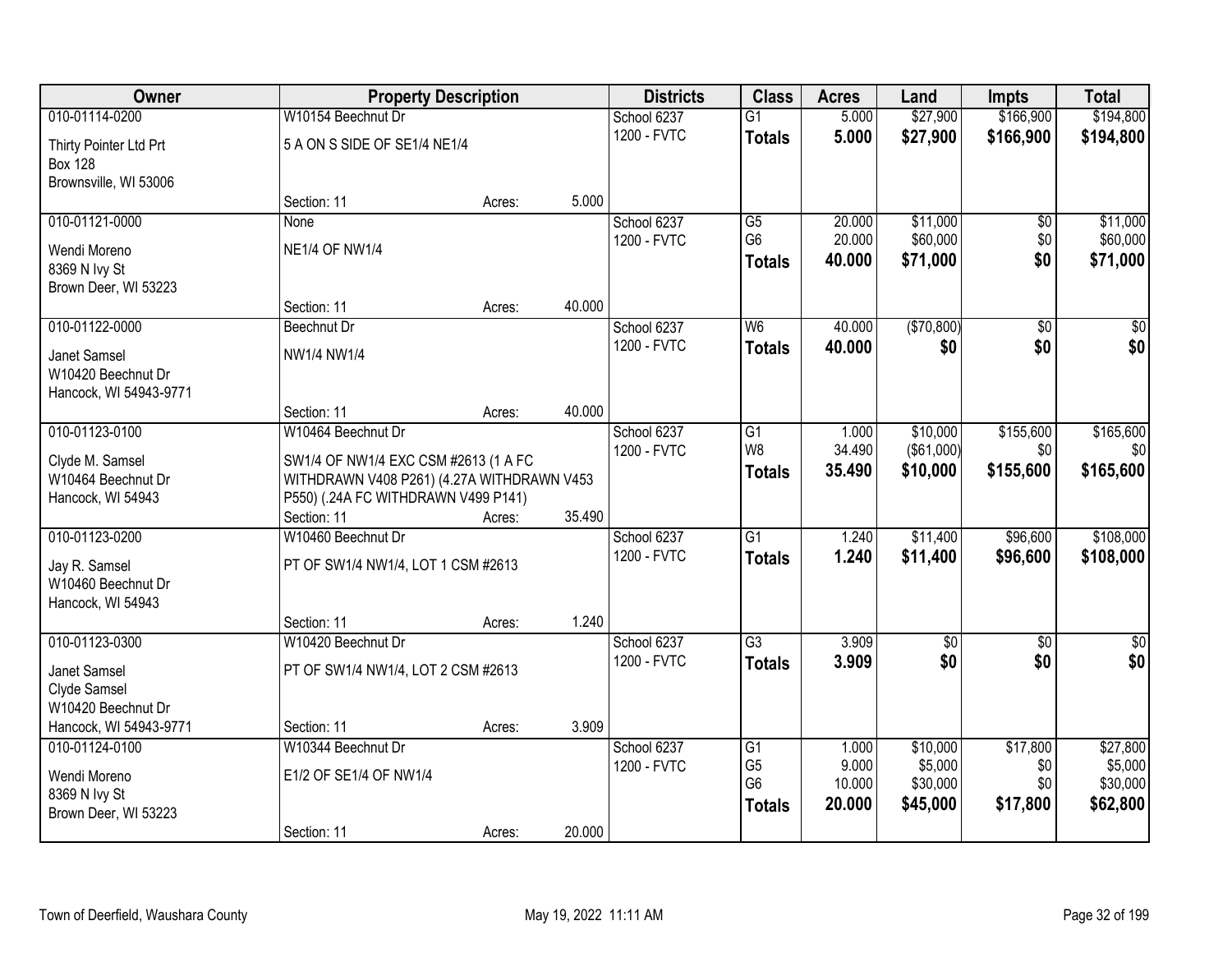| Owner                  |                                            | <b>Property Description</b> |        | <b>Districts</b> | <b>Class</b>    | <b>Acres</b> | Land              | <b>Impts</b>    | <b>Total</b> |
|------------------------|--------------------------------------------|-----------------------------|--------|------------------|-----------------|--------------|-------------------|-----------------|--------------|
| 010-01114-0200         | W10154 Beechnut Dr                         |                             |        | School 6237      | $\overline{G1}$ | 5.000        | \$27,900          | \$166,900       | \$194,800    |
| Thirty Pointer Ltd Prt | 5 A ON S SIDE OF SE1/4 NE1/4               |                             |        | 1200 - FVTC      | <b>Totals</b>   | 5.000        | \$27,900          | \$166,900       | \$194,800    |
| <b>Box 128</b>         |                                            |                             |        |                  |                 |              |                   |                 |              |
| Brownsville, WI 53006  |                                            |                             |        |                  |                 |              |                   |                 |              |
|                        | Section: 11                                | Acres:                      | 5.000  |                  |                 |              |                   |                 |              |
| 010-01121-0000         | None                                       |                             |        | School 6237      | G5              | 20.000       | \$11,000          | \$0             | \$11,000     |
| Wendi Moreno           | <b>NE1/4 OF NW1/4</b>                      |                             |        | 1200 - FVTC      | G <sub>6</sub>  | 20.000       | \$60,000          | \$0             | \$60,000     |
| 8369 N Ivy St          |                                            |                             |        |                  | <b>Totals</b>   | 40.000       | \$71,000          | \$0             | \$71,000     |
| Brown Deer, WI 53223   |                                            |                             |        |                  |                 |              |                   |                 |              |
|                        | Section: 11                                | Acres:                      | 40.000 |                  |                 |              |                   |                 |              |
| 010-01122-0000         | <b>Beechnut Dr</b>                         |                             |        | School 6237      | W <sub>6</sub>  | 40.000       | (\$70,800)        | $\overline{50}$ | \$0          |
| Janet Samsel           | NW1/4 NW1/4                                |                             |        | 1200 - FVTC      | <b>Totals</b>   | 40.000       | \$0               | \$0             | \$0          |
| W10420 Beechnut Dr     |                                            |                             |        |                  |                 |              |                   |                 |              |
| Hancock, WI 54943-9771 |                                            |                             |        |                  |                 |              |                   |                 |              |
|                        | Section: 11                                | Acres:                      | 40.000 |                  |                 |              |                   |                 |              |
| 010-01123-0100         | W10464 Beechnut Dr                         |                             |        | School 6237      | G1              | 1.000        | \$10,000          | \$155,600       | \$165,600    |
| Clyde M. Samsel        | SW1/4 OF NW1/4 EXC CSM #2613 (1 A FC       |                             |        | 1200 - FVTC      | W8              | 34.490       | $($ \$61,000) $ $ | \$0             | \$0          |
| W10464 Beechnut Dr     | WITHDRAWN V408 P261) (4.27A WITHDRAWN V453 |                             |        |                  | <b>Totals</b>   | 35.490       | \$10,000          | \$155,600       | \$165,600    |
| Hancock, WI 54943      | P550) (.24A FC WITHDRAWN V499 P141)        |                             |        |                  |                 |              |                   |                 |              |
|                        | Section: 11                                | Acres:                      | 35.490 |                  |                 |              |                   |                 |              |
| 010-01123-0200         | W10460 Beechnut Dr                         |                             |        | School 6237      | $\overline{G1}$ | 1.240        | \$11,400          | \$96,600        | \$108,000    |
| Jay R. Samsel          | PT OF SW1/4 NW1/4, LOT 1 CSM #2613         |                             |        | 1200 - FVTC      | <b>Totals</b>   | 1.240        | \$11,400          | \$96,600        | \$108,000    |
| W10460 Beechnut Dr     |                                            |                             |        |                  |                 |              |                   |                 |              |
| Hancock, WI 54943      |                                            |                             |        |                  |                 |              |                   |                 |              |
|                        | Section: 11                                | Acres:                      | 1.240  |                  |                 |              |                   |                 |              |
| 010-01123-0300         | W10420 Beechnut Dr                         |                             |        | School 6237      | G3              | 3.909        | $\sqrt{$0}$       | $\overline{50}$ | \$0          |
| Janet Samsel           | PT OF SW1/4 NW1/4, LOT 2 CSM #2613         |                             |        | 1200 - FVTC      | <b>Totals</b>   | 3.909        | \$0               | \$0             | \$0          |
| Clyde Samsel           |                                            |                             |        |                  |                 |              |                   |                 |              |
| W10420 Beechnut Dr     |                                            |                             |        |                  |                 |              |                   |                 |              |
| Hancock, WI 54943-9771 | Section: 11                                | Acres:                      | 3.909  |                  |                 |              |                   |                 |              |
| 010-01124-0100         | W10344 Beechnut Dr                         |                             |        | School 6237      | $\overline{G1}$ | 1.000        | \$10,000          | \$17,800        | \$27,800     |
| Wendi Moreno           | E1/2 OF SE1/4 OF NW1/4                     |                             |        | 1200 - FVTC      | G <sub>5</sub>  | 9.000        | \$5,000           | \$0             | \$5,000      |
| 8369 N Ivy St          |                                            |                             |        |                  | G <sub>6</sub>  | 10.000       | \$30,000          | \$0             | \$30,000     |
| Brown Deer, WI 53223   |                                            |                             |        |                  | <b>Totals</b>   | 20.000       | \$45,000          | \$17,800        | \$62,800     |
|                        | Section: 11                                | Acres:                      | 20.000 |                  |                 |              |                   |                 |              |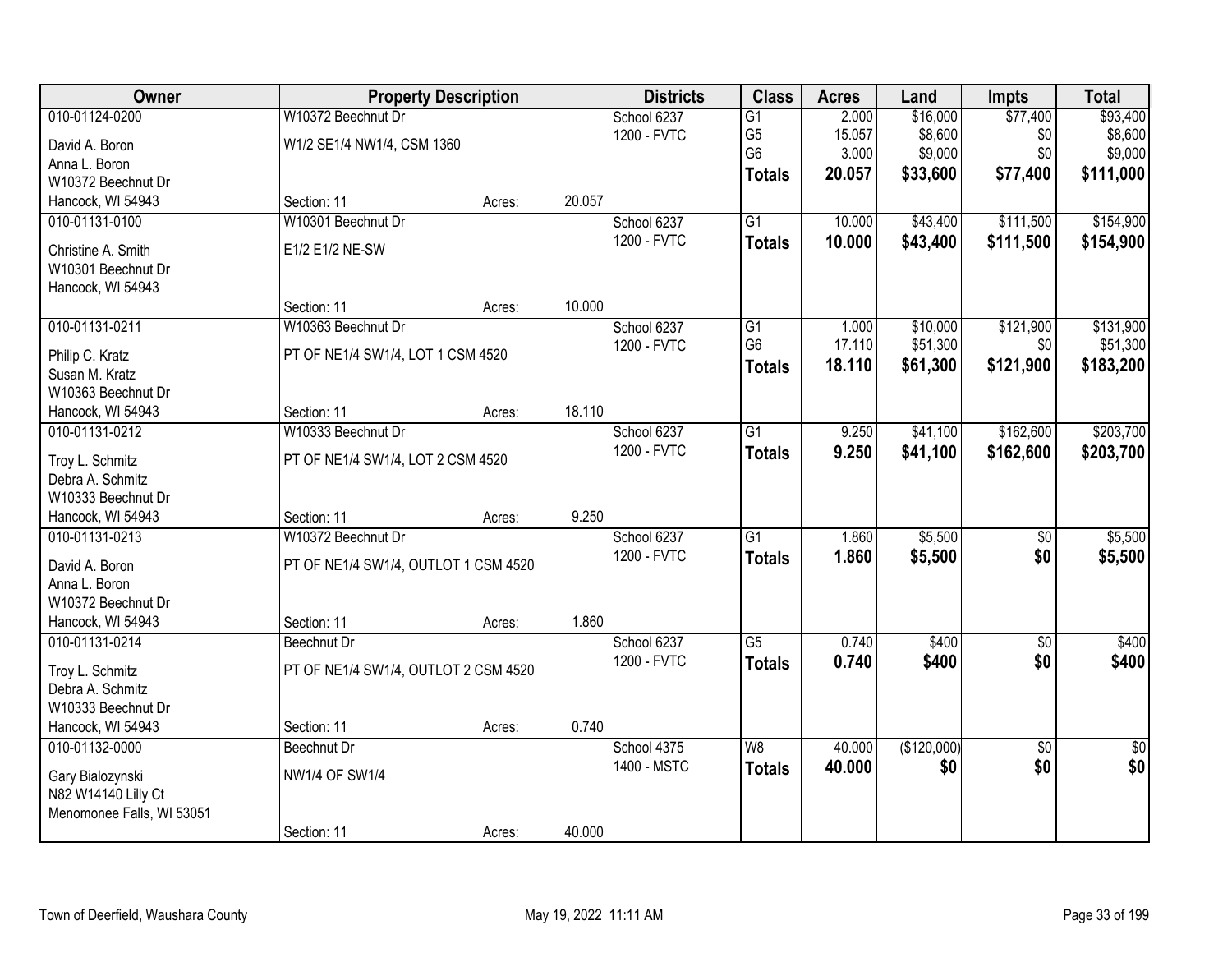| 010-01124-0200<br>W10372 Beechnut Dr<br>\$16,000<br>\$77,400<br>\$93,400<br>School 6237<br>$\overline{G1}$<br>2.000<br>G <sub>5</sub><br>15.057<br>\$8,600<br>\$8,600<br>1200 - FVTC<br>\$0<br>David A. Boron<br>W1/2 SE1/4 NW1/4, CSM 1360<br>G <sub>6</sub><br>\$9,000<br>\$0<br>3.000<br>\$9,000<br>Anna L. Boron<br>20.057<br>\$33,600<br>\$77,400<br>\$111,000<br><b>Totals</b><br>W10372 Beechnut Dr<br>Hancock, WI 54943<br>Section: 11<br>20.057<br>Acres:<br>W10301 Beechnut Dr<br>$\overline{G1}$<br>\$43,400<br>\$111,500<br>\$154,900<br>010-01131-0100<br>School 6237<br>10.000<br>1200 - FVTC<br>10.000<br>\$43,400<br>\$111,500<br>\$154,900<br><b>Totals</b><br>E1/2 E1/2 NE-SW<br>Christine A. Smith<br>W10301 Beechnut Dr<br>Hancock, WI 54943<br>10.000<br>Section: 11<br>Acres:<br>010-01131-0211<br>W10363 Beechnut Dr<br>\$10,000<br>\$121,900<br>\$131,900<br>School 6237<br>G1<br>1.000<br>G <sub>6</sub><br>17.110<br>\$51,300<br>\$0<br>\$51,300<br>1200 - FVTC<br>PT OF NE1/4 SW1/4, LOT 1 CSM 4520<br>Philip C. Kratz<br>\$121,900<br>18.110<br>\$61,300<br>\$183,200<br><b>Totals</b><br>Susan M. Kratz<br>W10363 Beechnut Dr<br>18.110<br>Hancock, WI 54943<br>Section: 11<br>Acres:<br>\$41,100<br>\$162,600<br>\$203,700<br>010-01131-0212<br>W10333 Beechnut Dr<br>School 6237<br>$\overline{G1}$<br>9.250<br>1200 - FVTC<br>9.250<br>\$41,100<br>\$162,600<br>\$203,700<br><b>Totals</b><br>PT OF NE1/4 SW1/4, LOT 2 CSM 4520<br>Troy L. Schmitz<br>Debra A. Schmitz<br>W10333 Beechnut Dr<br>9.250<br>Hancock, WI 54943<br>Section: 11<br>Acres:<br>W10372 Beechnut Dr<br>$\overline{G1}$<br>\$5,500<br>\$5,500<br>010-01131-0213<br>1.860<br>\$0<br>School 6237<br>1200 - FVTC<br>1.860<br>\$5,500<br>\$0<br>\$5,500<br><b>Totals</b><br>David A. Boron<br>PT OF NE1/4 SW1/4, OUTLOT 1 CSM 4520<br>Anna L. Boron<br>W10372 Beechnut Dr<br>1.860<br>Hancock, WI 54943<br>Section: 11<br>Acres:<br>$\overline{G5}$<br>0.740<br>\$400<br>010-01131-0214<br>School 6237<br>\$400<br>$\sqrt{6}$<br>Beechnut Dr<br>1200 - FVTC<br>\$400<br>\$400<br>0.740<br>\$0<br><b>Totals</b><br>PT OF NE1/4 SW1/4, OUTLOT 2 CSM 4520<br>Troy L. Schmitz<br>Debra A. Schmitz<br>W10333 Beechnut Dr<br>0.740<br>Hancock, WI 54943<br>Section: 11<br>Acres:<br>(\$120,000)<br>$\overline{50}$<br>010-01132-0000<br>School 4375<br>W8<br>40.000<br>$\frac{1}{2}$<br>Beechnut Dr<br>\$0<br>\$0<br>1400 - MSTC<br>40.000<br>\$0<br><b>Totals</b><br><b>NW1/4 OF SW1/4</b><br>Gary Bialozynski<br>N82 W14140 Lilly Ct<br>Menomonee Falls, WI 53051 | Owner |             | <b>Property Description</b> |        | <b>Districts</b> | <b>Class</b> | <b>Acres</b> | Land | <b>Impts</b> | <b>Total</b> |
|----------------------------------------------------------------------------------------------------------------------------------------------------------------------------------------------------------------------------------------------------------------------------------------------------------------------------------------------------------------------------------------------------------------------------------------------------------------------------------------------------------------------------------------------------------------------------------------------------------------------------------------------------------------------------------------------------------------------------------------------------------------------------------------------------------------------------------------------------------------------------------------------------------------------------------------------------------------------------------------------------------------------------------------------------------------------------------------------------------------------------------------------------------------------------------------------------------------------------------------------------------------------------------------------------------------------------------------------------------------------------------------------------------------------------------------------------------------------------------------------------------------------------------------------------------------------------------------------------------------------------------------------------------------------------------------------------------------------------------------------------------------------------------------------------------------------------------------------------------------------------------------------------------------------------------------------------------------------------------------------------------------------------------------------------------------------------------------------------------------------------------------------------------------------------------------------------------------------------------------------------------------------------------------------------------------------------------------------------------------------------------------------------------------------------------------------------------------------------------------------------------------------------------------------------------------|-------|-------------|-----------------------------|--------|------------------|--------------|--------------|------|--------------|--------------|
|                                                                                                                                                                                                                                                                                                                                                                                                                                                                                                                                                                                                                                                                                                                                                                                                                                                                                                                                                                                                                                                                                                                                                                                                                                                                                                                                                                                                                                                                                                                                                                                                                                                                                                                                                                                                                                                                                                                                                                                                                                                                                                                                                                                                                                                                                                                                                                                                                                                                                                                                                                |       |             |                             |        |                  |              |              |      |              |              |
|                                                                                                                                                                                                                                                                                                                                                                                                                                                                                                                                                                                                                                                                                                                                                                                                                                                                                                                                                                                                                                                                                                                                                                                                                                                                                                                                                                                                                                                                                                                                                                                                                                                                                                                                                                                                                                                                                                                                                                                                                                                                                                                                                                                                                                                                                                                                                                                                                                                                                                                                                                |       |             |                             |        |                  |              |              |      |              |              |
|                                                                                                                                                                                                                                                                                                                                                                                                                                                                                                                                                                                                                                                                                                                                                                                                                                                                                                                                                                                                                                                                                                                                                                                                                                                                                                                                                                                                                                                                                                                                                                                                                                                                                                                                                                                                                                                                                                                                                                                                                                                                                                                                                                                                                                                                                                                                                                                                                                                                                                                                                                |       |             |                             |        |                  |              |              |      |              |              |
|                                                                                                                                                                                                                                                                                                                                                                                                                                                                                                                                                                                                                                                                                                                                                                                                                                                                                                                                                                                                                                                                                                                                                                                                                                                                                                                                                                                                                                                                                                                                                                                                                                                                                                                                                                                                                                                                                                                                                                                                                                                                                                                                                                                                                                                                                                                                                                                                                                                                                                                                                                |       |             |                             |        |                  |              |              |      |              |              |
|                                                                                                                                                                                                                                                                                                                                                                                                                                                                                                                                                                                                                                                                                                                                                                                                                                                                                                                                                                                                                                                                                                                                                                                                                                                                                                                                                                                                                                                                                                                                                                                                                                                                                                                                                                                                                                                                                                                                                                                                                                                                                                                                                                                                                                                                                                                                                                                                                                                                                                                                                                |       |             |                             |        |                  |              |              |      |              |              |
|                                                                                                                                                                                                                                                                                                                                                                                                                                                                                                                                                                                                                                                                                                                                                                                                                                                                                                                                                                                                                                                                                                                                                                                                                                                                                                                                                                                                                                                                                                                                                                                                                                                                                                                                                                                                                                                                                                                                                                                                                                                                                                                                                                                                                                                                                                                                                                                                                                                                                                                                                                |       |             |                             |        |                  |              |              |      |              |              |
|                                                                                                                                                                                                                                                                                                                                                                                                                                                                                                                                                                                                                                                                                                                                                                                                                                                                                                                                                                                                                                                                                                                                                                                                                                                                                                                                                                                                                                                                                                                                                                                                                                                                                                                                                                                                                                                                                                                                                                                                                                                                                                                                                                                                                                                                                                                                                                                                                                                                                                                                                                |       |             |                             |        |                  |              |              |      |              |              |
|                                                                                                                                                                                                                                                                                                                                                                                                                                                                                                                                                                                                                                                                                                                                                                                                                                                                                                                                                                                                                                                                                                                                                                                                                                                                                                                                                                                                                                                                                                                                                                                                                                                                                                                                                                                                                                                                                                                                                                                                                                                                                                                                                                                                                                                                                                                                                                                                                                                                                                                                                                |       |             |                             |        |                  |              |              |      |              |              |
|                                                                                                                                                                                                                                                                                                                                                                                                                                                                                                                                                                                                                                                                                                                                                                                                                                                                                                                                                                                                                                                                                                                                                                                                                                                                                                                                                                                                                                                                                                                                                                                                                                                                                                                                                                                                                                                                                                                                                                                                                                                                                                                                                                                                                                                                                                                                                                                                                                                                                                                                                                |       |             |                             |        |                  |              |              |      |              |              |
|                                                                                                                                                                                                                                                                                                                                                                                                                                                                                                                                                                                                                                                                                                                                                                                                                                                                                                                                                                                                                                                                                                                                                                                                                                                                                                                                                                                                                                                                                                                                                                                                                                                                                                                                                                                                                                                                                                                                                                                                                                                                                                                                                                                                                                                                                                                                                                                                                                                                                                                                                                |       |             |                             |        |                  |              |              |      |              |              |
|                                                                                                                                                                                                                                                                                                                                                                                                                                                                                                                                                                                                                                                                                                                                                                                                                                                                                                                                                                                                                                                                                                                                                                                                                                                                                                                                                                                                                                                                                                                                                                                                                                                                                                                                                                                                                                                                                                                                                                                                                                                                                                                                                                                                                                                                                                                                                                                                                                                                                                                                                                |       |             |                             |        |                  |              |              |      |              |              |
|                                                                                                                                                                                                                                                                                                                                                                                                                                                                                                                                                                                                                                                                                                                                                                                                                                                                                                                                                                                                                                                                                                                                                                                                                                                                                                                                                                                                                                                                                                                                                                                                                                                                                                                                                                                                                                                                                                                                                                                                                                                                                                                                                                                                                                                                                                                                                                                                                                                                                                                                                                |       |             |                             |        |                  |              |              |      |              |              |
|                                                                                                                                                                                                                                                                                                                                                                                                                                                                                                                                                                                                                                                                                                                                                                                                                                                                                                                                                                                                                                                                                                                                                                                                                                                                                                                                                                                                                                                                                                                                                                                                                                                                                                                                                                                                                                                                                                                                                                                                                                                                                                                                                                                                                                                                                                                                                                                                                                                                                                                                                                |       |             |                             |        |                  |              |              |      |              |              |
|                                                                                                                                                                                                                                                                                                                                                                                                                                                                                                                                                                                                                                                                                                                                                                                                                                                                                                                                                                                                                                                                                                                                                                                                                                                                                                                                                                                                                                                                                                                                                                                                                                                                                                                                                                                                                                                                                                                                                                                                                                                                                                                                                                                                                                                                                                                                                                                                                                                                                                                                                                |       |             |                             |        |                  |              |              |      |              |              |
|                                                                                                                                                                                                                                                                                                                                                                                                                                                                                                                                                                                                                                                                                                                                                                                                                                                                                                                                                                                                                                                                                                                                                                                                                                                                                                                                                                                                                                                                                                                                                                                                                                                                                                                                                                                                                                                                                                                                                                                                                                                                                                                                                                                                                                                                                                                                                                                                                                                                                                                                                                |       |             |                             |        |                  |              |              |      |              |              |
|                                                                                                                                                                                                                                                                                                                                                                                                                                                                                                                                                                                                                                                                                                                                                                                                                                                                                                                                                                                                                                                                                                                                                                                                                                                                                                                                                                                                                                                                                                                                                                                                                                                                                                                                                                                                                                                                                                                                                                                                                                                                                                                                                                                                                                                                                                                                                                                                                                                                                                                                                                |       |             |                             |        |                  |              |              |      |              |              |
|                                                                                                                                                                                                                                                                                                                                                                                                                                                                                                                                                                                                                                                                                                                                                                                                                                                                                                                                                                                                                                                                                                                                                                                                                                                                                                                                                                                                                                                                                                                                                                                                                                                                                                                                                                                                                                                                                                                                                                                                                                                                                                                                                                                                                                                                                                                                                                                                                                                                                                                                                                |       |             |                             |        |                  |              |              |      |              |              |
|                                                                                                                                                                                                                                                                                                                                                                                                                                                                                                                                                                                                                                                                                                                                                                                                                                                                                                                                                                                                                                                                                                                                                                                                                                                                                                                                                                                                                                                                                                                                                                                                                                                                                                                                                                                                                                                                                                                                                                                                                                                                                                                                                                                                                                                                                                                                                                                                                                                                                                                                                                |       |             |                             |        |                  |              |              |      |              |              |
|                                                                                                                                                                                                                                                                                                                                                                                                                                                                                                                                                                                                                                                                                                                                                                                                                                                                                                                                                                                                                                                                                                                                                                                                                                                                                                                                                                                                                                                                                                                                                                                                                                                                                                                                                                                                                                                                                                                                                                                                                                                                                                                                                                                                                                                                                                                                                                                                                                                                                                                                                                |       |             |                             |        |                  |              |              |      |              |              |
|                                                                                                                                                                                                                                                                                                                                                                                                                                                                                                                                                                                                                                                                                                                                                                                                                                                                                                                                                                                                                                                                                                                                                                                                                                                                                                                                                                                                                                                                                                                                                                                                                                                                                                                                                                                                                                                                                                                                                                                                                                                                                                                                                                                                                                                                                                                                                                                                                                                                                                                                                                |       |             |                             |        |                  |              |              |      |              |              |
|                                                                                                                                                                                                                                                                                                                                                                                                                                                                                                                                                                                                                                                                                                                                                                                                                                                                                                                                                                                                                                                                                                                                                                                                                                                                                                                                                                                                                                                                                                                                                                                                                                                                                                                                                                                                                                                                                                                                                                                                                                                                                                                                                                                                                                                                                                                                                                                                                                                                                                                                                                |       |             |                             |        |                  |              |              |      |              |              |
|                                                                                                                                                                                                                                                                                                                                                                                                                                                                                                                                                                                                                                                                                                                                                                                                                                                                                                                                                                                                                                                                                                                                                                                                                                                                                                                                                                                                                                                                                                                                                                                                                                                                                                                                                                                                                                                                                                                                                                                                                                                                                                                                                                                                                                                                                                                                                                                                                                                                                                                                                                |       |             |                             |        |                  |              |              |      |              |              |
|                                                                                                                                                                                                                                                                                                                                                                                                                                                                                                                                                                                                                                                                                                                                                                                                                                                                                                                                                                                                                                                                                                                                                                                                                                                                                                                                                                                                                                                                                                                                                                                                                                                                                                                                                                                                                                                                                                                                                                                                                                                                                                                                                                                                                                                                                                                                                                                                                                                                                                                                                                |       |             |                             |        |                  |              |              |      |              |              |
|                                                                                                                                                                                                                                                                                                                                                                                                                                                                                                                                                                                                                                                                                                                                                                                                                                                                                                                                                                                                                                                                                                                                                                                                                                                                                                                                                                                                                                                                                                                                                                                                                                                                                                                                                                                                                                                                                                                                                                                                                                                                                                                                                                                                                                                                                                                                                                                                                                                                                                                                                                |       |             |                             |        |                  |              |              |      |              |              |
|                                                                                                                                                                                                                                                                                                                                                                                                                                                                                                                                                                                                                                                                                                                                                                                                                                                                                                                                                                                                                                                                                                                                                                                                                                                                                                                                                                                                                                                                                                                                                                                                                                                                                                                                                                                                                                                                                                                                                                                                                                                                                                                                                                                                                                                                                                                                                                                                                                                                                                                                                                |       |             |                             |        |                  |              |              |      |              |              |
|                                                                                                                                                                                                                                                                                                                                                                                                                                                                                                                                                                                                                                                                                                                                                                                                                                                                                                                                                                                                                                                                                                                                                                                                                                                                                                                                                                                                                                                                                                                                                                                                                                                                                                                                                                                                                                                                                                                                                                                                                                                                                                                                                                                                                                                                                                                                                                                                                                                                                                                                                                |       |             |                             |        |                  |              |              |      |              |              |
|                                                                                                                                                                                                                                                                                                                                                                                                                                                                                                                                                                                                                                                                                                                                                                                                                                                                                                                                                                                                                                                                                                                                                                                                                                                                                                                                                                                                                                                                                                                                                                                                                                                                                                                                                                                                                                                                                                                                                                                                                                                                                                                                                                                                                                                                                                                                                                                                                                                                                                                                                                |       |             |                             |        |                  |              |              |      |              |              |
|                                                                                                                                                                                                                                                                                                                                                                                                                                                                                                                                                                                                                                                                                                                                                                                                                                                                                                                                                                                                                                                                                                                                                                                                                                                                                                                                                                                                                                                                                                                                                                                                                                                                                                                                                                                                                                                                                                                                                                                                                                                                                                                                                                                                                                                                                                                                                                                                                                                                                                                                                                |       |             |                             |        |                  |              |              |      |              |              |
|                                                                                                                                                                                                                                                                                                                                                                                                                                                                                                                                                                                                                                                                                                                                                                                                                                                                                                                                                                                                                                                                                                                                                                                                                                                                                                                                                                                                                                                                                                                                                                                                                                                                                                                                                                                                                                                                                                                                                                                                                                                                                                                                                                                                                                                                                                                                                                                                                                                                                                                                                                |       |             |                             |        |                  |              |              |      |              |              |
|                                                                                                                                                                                                                                                                                                                                                                                                                                                                                                                                                                                                                                                                                                                                                                                                                                                                                                                                                                                                                                                                                                                                                                                                                                                                                                                                                                                                                                                                                                                                                                                                                                                                                                                                                                                                                                                                                                                                                                                                                                                                                                                                                                                                                                                                                                                                                                                                                                                                                                                                                                |       |             |                             |        |                  |              |              |      |              |              |
|                                                                                                                                                                                                                                                                                                                                                                                                                                                                                                                                                                                                                                                                                                                                                                                                                                                                                                                                                                                                                                                                                                                                                                                                                                                                                                                                                                                                                                                                                                                                                                                                                                                                                                                                                                                                                                                                                                                                                                                                                                                                                                                                                                                                                                                                                                                                                                                                                                                                                                                                                                |       |             |                             |        |                  |              |              |      |              |              |
|                                                                                                                                                                                                                                                                                                                                                                                                                                                                                                                                                                                                                                                                                                                                                                                                                                                                                                                                                                                                                                                                                                                                                                                                                                                                                                                                                                                                                                                                                                                                                                                                                                                                                                                                                                                                                                                                                                                                                                                                                                                                                                                                                                                                                                                                                                                                                                                                                                                                                                                                                                |       |             |                             |        |                  |              |              |      |              |              |
|                                                                                                                                                                                                                                                                                                                                                                                                                                                                                                                                                                                                                                                                                                                                                                                                                                                                                                                                                                                                                                                                                                                                                                                                                                                                                                                                                                                                                                                                                                                                                                                                                                                                                                                                                                                                                                                                                                                                                                                                                                                                                                                                                                                                                                                                                                                                                                                                                                                                                                                                                                |       |             |                             |        |                  |              |              |      |              |              |
|                                                                                                                                                                                                                                                                                                                                                                                                                                                                                                                                                                                                                                                                                                                                                                                                                                                                                                                                                                                                                                                                                                                                                                                                                                                                                                                                                                                                                                                                                                                                                                                                                                                                                                                                                                                                                                                                                                                                                                                                                                                                                                                                                                                                                                                                                                                                                                                                                                                                                                                                                                |       |             |                             |        |                  |              |              |      |              |              |
|                                                                                                                                                                                                                                                                                                                                                                                                                                                                                                                                                                                                                                                                                                                                                                                                                                                                                                                                                                                                                                                                                                                                                                                                                                                                                                                                                                                                                                                                                                                                                                                                                                                                                                                                                                                                                                                                                                                                                                                                                                                                                                                                                                                                                                                                                                                                                                                                                                                                                                                                                                |       |             |                             |        |                  |              |              |      |              |              |
|                                                                                                                                                                                                                                                                                                                                                                                                                                                                                                                                                                                                                                                                                                                                                                                                                                                                                                                                                                                                                                                                                                                                                                                                                                                                                                                                                                                                                                                                                                                                                                                                                                                                                                                                                                                                                                                                                                                                                                                                                                                                                                                                                                                                                                                                                                                                                                                                                                                                                                                                                                |       |             |                             |        |                  |              |              |      |              |              |
|                                                                                                                                                                                                                                                                                                                                                                                                                                                                                                                                                                                                                                                                                                                                                                                                                                                                                                                                                                                                                                                                                                                                                                                                                                                                                                                                                                                                                                                                                                                                                                                                                                                                                                                                                                                                                                                                                                                                                                                                                                                                                                                                                                                                                                                                                                                                                                                                                                                                                                                                                                |       | Section: 11 | Acres:                      | 40.000 |                  |              |              |      |              |              |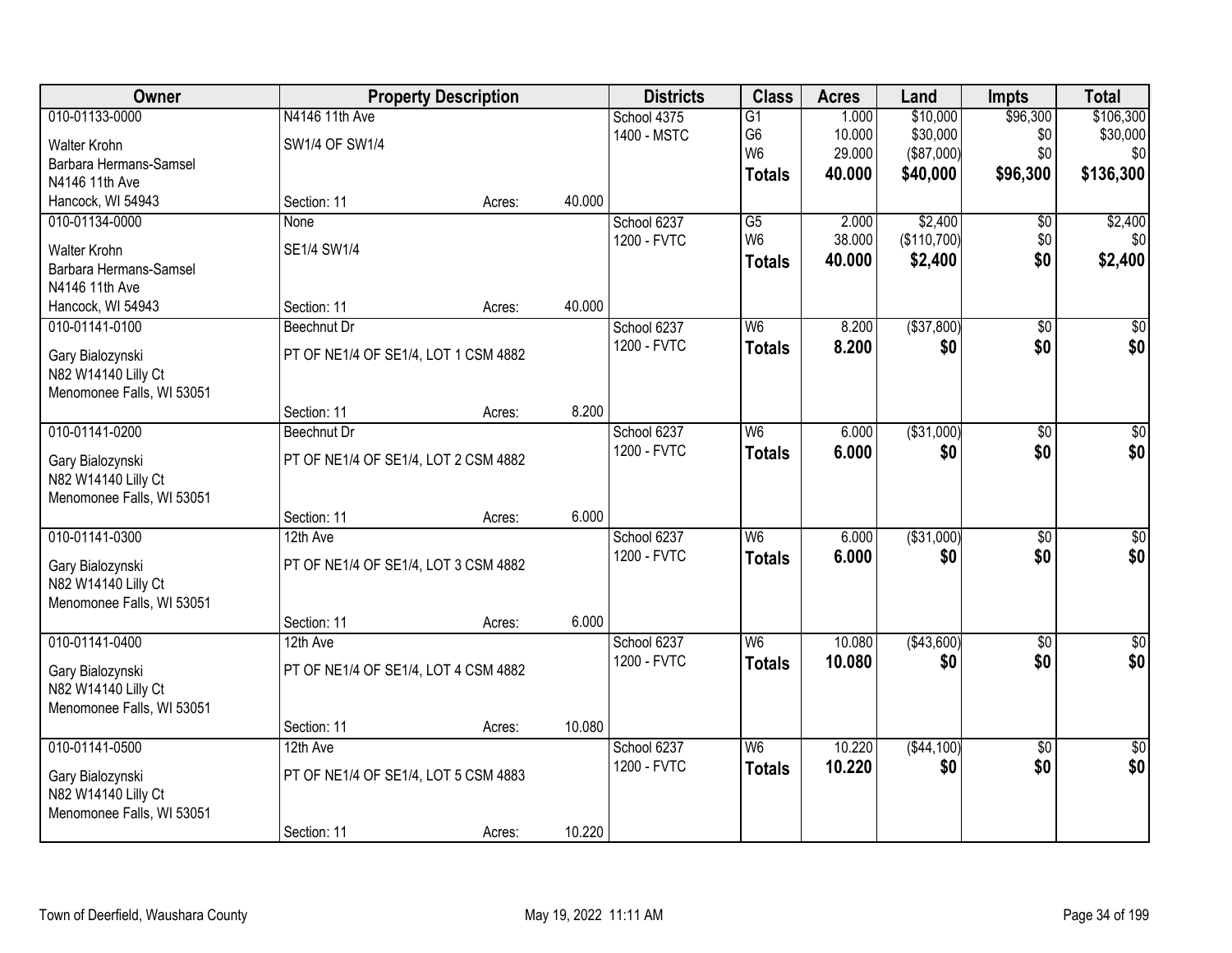| Owner                                   |                                      | <b>Property Description</b> |        | <b>Districts</b> | <b>Class</b>    | <b>Acres</b> | Land         | <b>Impts</b>    | <b>Total</b>    |
|-----------------------------------------|--------------------------------------|-----------------------------|--------|------------------|-----------------|--------------|--------------|-----------------|-----------------|
| 010-01133-0000                          | N4146 11th Ave                       |                             |        | School 4375      | $\overline{G1}$ | 1.000        | \$10,000     | \$96,300        | \$106,300       |
| Walter Krohn                            | SW1/4 OF SW1/4                       |                             |        | 1400 - MSTC      | G <sub>6</sub>  | 10.000       | \$30,000     | \$0             | \$30,000        |
| Barbara Hermans-Samsel                  |                                      |                             |        |                  | W <sub>6</sub>  | 29.000       | (\$87,000)   | \$0             | \$0             |
| N4146 11th Ave                          |                                      |                             |        |                  | <b>Totals</b>   | 40.000       | \$40,000     | \$96,300        | \$136,300       |
| Hancock, WI 54943                       | Section: 11                          | Acres:                      | 40.000 |                  |                 |              |              |                 |                 |
| 010-01134-0000                          | None                                 |                             |        | School 6237      | $\overline{G5}$ | 2.000        | \$2,400      | $\overline{50}$ | \$2,400         |
| <b>Walter Krohn</b>                     | SE1/4 SW1/4                          |                             |        | 1200 - FVTC      | W <sub>6</sub>  | 38.000       | (\$110,700)  | \$0             | \$0             |
| Barbara Hermans-Samsel                  |                                      |                             |        |                  | <b>Totals</b>   | 40.000       | \$2,400      | \$0             | \$2,400         |
| N4146 11th Ave                          |                                      |                             |        |                  |                 |              |              |                 |                 |
| Hancock, WI 54943                       | Section: 11                          | Acres:                      | 40.000 |                  |                 |              |              |                 |                 |
| 010-01141-0100                          | Beechnut Dr                          |                             |        | School 6237      | W <sub>6</sub>  | 8.200        | ( \$37, 800) | \$0             | \$0             |
| Gary Bialozynski                        | PT OF NE1/4 OF SE1/4, LOT 1 CSM 4882 |                             |        | 1200 - FVTC      | <b>Totals</b>   | 8.200        | \$0          | \$0             | \$0             |
| N82 W14140 Lilly Ct                     |                                      |                             |        |                  |                 |              |              |                 |                 |
| Menomonee Falls, WI 53051               |                                      |                             |        |                  |                 |              |              |                 |                 |
|                                         | Section: 11                          | Acres:                      | 8.200  |                  |                 |              |              |                 |                 |
| 010-01141-0200                          | Beechnut Dr                          |                             |        | School 6237      | W <sub>6</sub>  | 6.000        | ( \$31,000)  | \$0             | $\overline{50}$ |
| Gary Bialozynski                        | PT OF NE1/4 OF SE1/4, LOT 2 CSM 4882 |                             |        | 1200 - FVTC      | <b>Totals</b>   | 6.000        | \$0          | \$0             | \$0             |
| N82 W14140 Lilly Ct                     |                                      |                             |        |                  |                 |              |              |                 |                 |
| Menomonee Falls, WI 53051               |                                      |                             |        |                  |                 |              |              |                 |                 |
|                                         | Section: 11                          | Acres:                      | 6.000  |                  |                 |              |              |                 |                 |
| 010-01141-0300                          | 12th Ave                             |                             |        | School 6237      | $\overline{W6}$ | 6.000        | ( \$31,000)  | $\overline{50}$ | $\overline{50}$ |
| Gary Bialozynski                        | PT OF NE1/4 OF SE1/4, LOT 3 CSM 4882 |                             |        | 1200 - FVTC      | <b>Totals</b>   | 6.000        | \$0          | \$0             | \$0             |
| N82 W14140 Lilly Ct                     |                                      |                             |        |                  |                 |              |              |                 |                 |
| Menomonee Falls, WI 53051               |                                      |                             |        |                  |                 |              |              |                 |                 |
|                                         | Section: 11                          | Acres:                      | 6.000  |                  |                 |              |              |                 |                 |
| 010-01141-0400                          | 12th Ave                             |                             |        | School 6237      | W6              | 10.080       | (\$43,600)   | $\overline{50}$ | $\overline{50}$ |
| Gary Bialozynski                        | PT OF NE1/4 OF SE1/4, LOT 4 CSM 4882 |                             |        | 1200 - FVTC      | <b>Totals</b>   | 10.080       | \$0          | \$0             | \$0             |
| N82 W14140 Lilly Ct                     |                                      |                             |        |                  |                 |              |              |                 |                 |
| Menomonee Falls, WI 53051               |                                      |                             |        |                  |                 |              |              |                 |                 |
|                                         | Section: 11                          | Acres:                      | 10.080 |                  |                 |              |              |                 |                 |
| 010-01141-0500                          | 12th Ave                             |                             |        | School 6237      | W <sub>6</sub>  | 10.220       | ( \$44, 100) | $\overline{30}$ | $\overline{50}$ |
|                                         | PT OF NE1/4 OF SE1/4, LOT 5 CSM 4883 |                             |        | 1200 - FVTC      | <b>Totals</b>   | 10.220       | \$0          | \$0             | \$0             |
| Gary Bialozynski<br>N82 W14140 Lilly Ct |                                      |                             |        |                  |                 |              |              |                 |                 |
| Menomonee Falls, WI 53051               |                                      |                             |        |                  |                 |              |              |                 |                 |
|                                         | Section: 11                          | Acres:                      | 10.220 |                  |                 |              |              |                 |                 |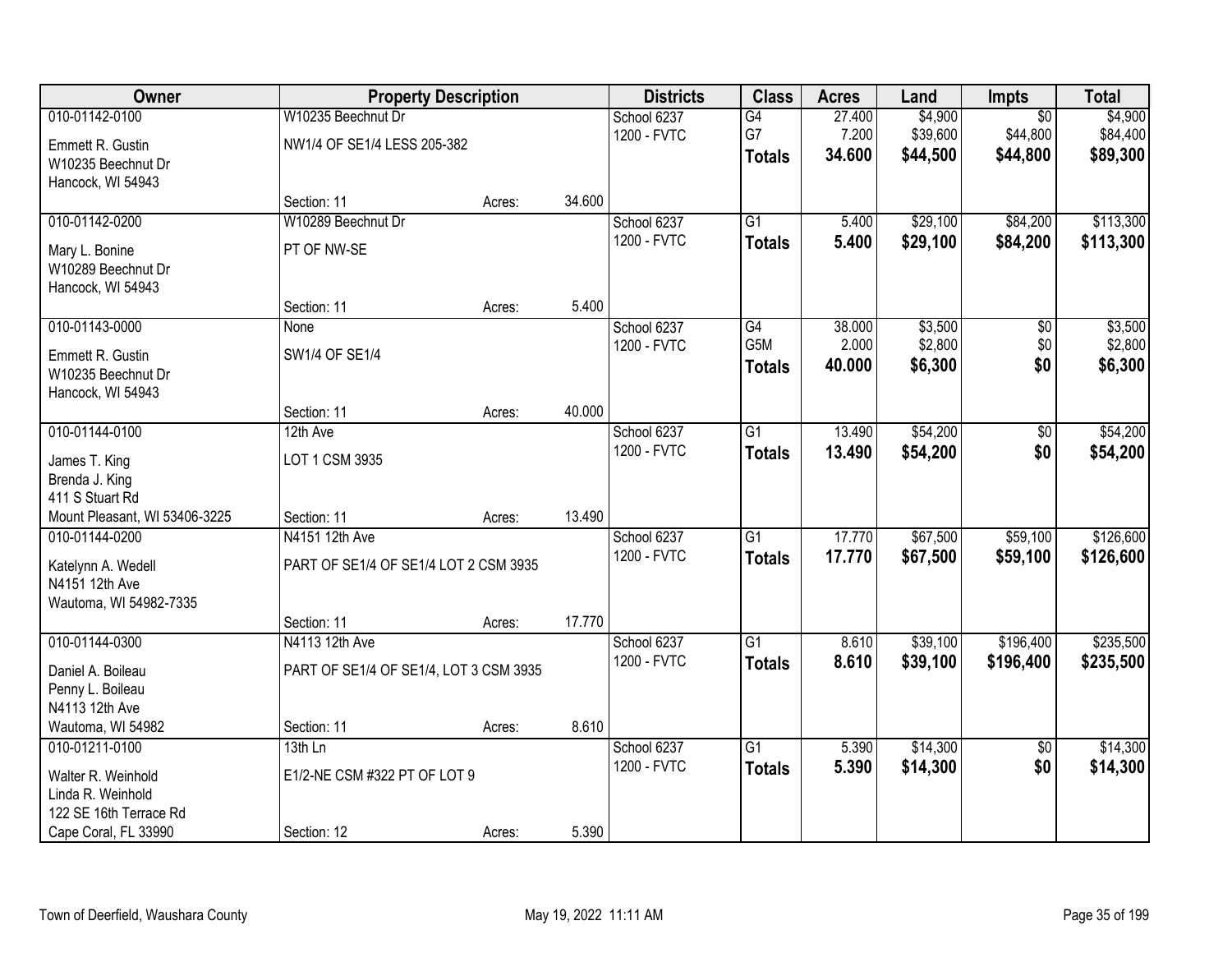| Owner                         | <b>Property Description</b>            |        |        | <b>Districts</b> | <b>Class</b>    | <b>Acres</b> | Land     | Impts           | <b>Total</b> |
|-------------------------------|----------------------------------------|--------|--------|------------------|-----------------|--------------|----------|-----------------|--------------|
| 010-01142-0100                | W10235 Beechnut Dr                     |        |        | School 6237      | G4              | 27.400       | \$4,900  | $\overline{50}$ | \$4,900      |
| Emmett R. Gustin              | NW1/4 OF SE1/4 LESS 205-382            |        |        | 1200 - FVTC      | G7              | 7.200        | \$39,600 | \$44,800        | \$84,400     |
| W10235 Beechnut Dr            |                                        |        |        |                  | <b>Totals</b>   | 34.600       | \$44,500 | \$44,800        | \$89,300     |
| Hancock, WI 54943             |                                        |        |        |                  |                 |              |          |                 |              |
|                               | Section: 11                            | Acres: | 34.600 |                  |                 |              |          |                 |              |
| 010-01142-0200                | W10289 Beechnut Dr                     |        |        | School 6237      | $\overline{G1}$ | 5.400        | \$29,100 | \$84,200        | \$113,300    |
| Mary L. Bonine                | PT OF NW-SE                            |        |        | 1200 - FVTC      | <b>Totals</b>   | 5.400        | \$29,100 | \$84,200        | \$113,300    |
| W10289 Beechnut Dr            |                                        |        |        |                  |                 |              |          |                 |              |
| Hancock, WI 54943             |                                        |        |        |                  |                 |              |          |                 |              |
|                               | Section: 11                            | Acres: | 5.400  |                  |                 |              |          |                 |              |
| 010-01143-0000                | None                                   |        |        | School 6237      | G4              | 38.000       | \$3,500  | \$0             | \$3,500      |
| Emmett R. Gustin              | SW1/4 OF SE1/4                         |        |        | 1200 - FVTC      | G5M             | 2.000        | \$2,800  | \$0             | \$2,800      |
| W10235 Beechnut Dr            |                                        |        |        |                  | <b>Totals</b>   | 40.000       | \$6,300  | \$0             | \$6,300      |
| Hancock, WI 54943             |                                        |        |        |                  |                 |              |          |                 |              |
|                               | Section: 11                            | Acres: | 40.000 |                  |                 |              |          |                 |              |
| 010-01144-0100                | 12th Ave                               |        |        | School 6237      | G1              | 13.490       | \$54,200 | \$0             | \$54,200     |
| James T. King                 | LOT 1 CSM 3935                         |        |        | 1200 - FVTC      | <b>Totals</b>   | 13.490       | \$54,200 | \$0             | \$54,200     |
| Brenda J. King                |                                        |        |        |                  |                 |              |          |                 |              |
| 411 S Stuart Rd               |                                        |        |        |                  |                 |              |          |                 |              |
| Mount Pleasant, WI 53406-3225 | Section: 11                            | Acres: | 13.490 |                  |                 |              |          |                 |              |
| 010-01144-0200                | N4151 12th Ave                         |        |        | School 6237      | $\overline{G1}$ | 17.770       | \$67,500 | \$59,100        | \$126,600    |
| Katelynn A. Wedell            | PART OF SE1/4 OF SE1/4 LOT 2 CSM 3935  |        |        | 1200 - FVTC      | <b>Totals</b>   | 17.770       | \$67,500 | \$59,100        | \$126,600    |
| N4151 12th Ave                |                                        |        |        |                  |                 |              |          |                 |              |
| Wautoma, WI 54982-7335        |                                        |        |        |                  |                 |              |          |                 |              |
|                               | Section: 11                            | Acres: | 17.770 |                  |                 |              |          |                 |              |
| 010-01144-0300                | N4113 12th Ave                         |        |        | School 6237      | $\overline{G1}$ | 8.610        | \$39,100 | \$196,400       | \$235,500    |
| Daniel A. Boileau             | PART OF SE1/4 OF SE1/4, LOT 3 CSM 3935 |        |        | 1200 - FVTC      | <b>Totals</b>   | 8.610        | \$39,100 | \$196,400       | \$235,500    |
| Penny L. Boileau              |                                        |        |        |                  |                 |              |          |                 |              |
| N4113 12th Ave                |                                        |        |        |                  |                 |              |          |                 |              |
| Wautoma, WI 54982             | Section: 11                            | Acres: | 8.610  |                  |                 |              |          |                 |              |
| 010-01211-0100                | $13th$ Ln                              |        |        | School 6237      | $\overline{G1}$ | 5.390        | \$14,300 | $\overline{50}$ | \$14,300     |
| Walter R. Weinhold            | E1/2-NE CSM #322 PT OF LOT 9           |        |        | 1200 - FVTC      | <b>Totals</b>   | 5.390        | \$14,300 | \$0             | \$14,300     |
| Linda R. Weinhold             |                                        |        |        |                  |                 |              |          |                 |              |
| 122 SE 16th Terrace Rd        |                                        |        |        |                  |                 |              |          |                 |              |
| Cape Coral, FL 33990          | Section: 12                            | Acres: | 5.390  |                  |                 |              |          |                 |              |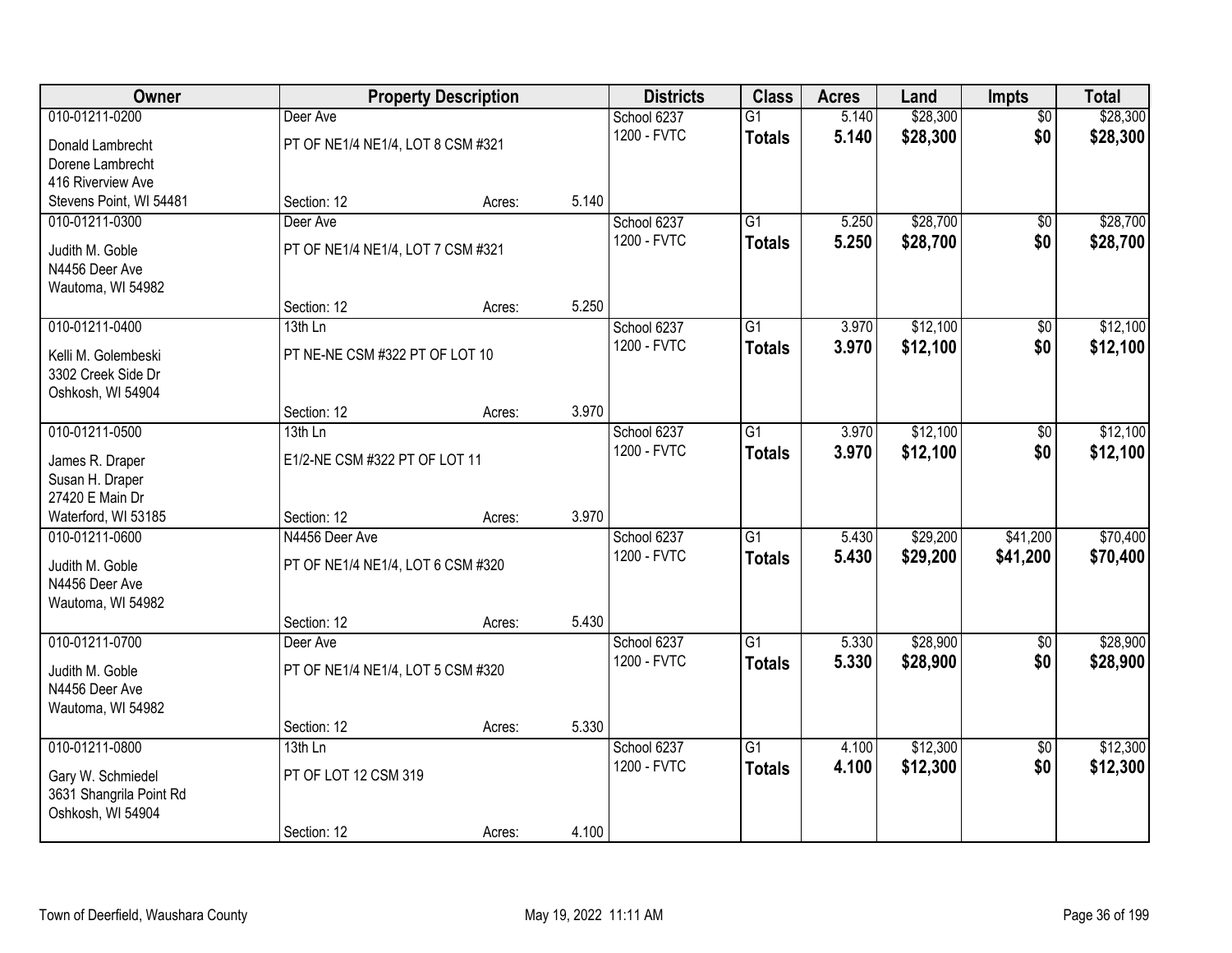| <b>Owner</b>                       |                                   | <b>Property Description</b> |       | <b>Districts</b>           | <b>Class</b>    | <b>Acres</b> | Land     | <b>Impts</b>    | <b>Total</b> |
|------------------------------------|-----------------------------------|-----------------------------|-------|----------------------------|-----------------|--------------|----------|-----------------|--------------|
| 010-01211-0200                     | Deer Ave                          |                             |       | School 6237                | $\overline{G1}$ | 5.140        | \$28,300 | $\overline{50}$ | \$28,300     |
| Donald Lambrecht                   | PT OF NE1/4 NE1/4, LOT 8 CSM #321 |                             |       | 1200 - FVTC                | <b>Totals</b>   | 5.140        | \$28,300 | \$0             | \$28,300     |
| Dorene Lambrecht                   |                                   |                             |       |                            |                 |              |          |                 |              |
| 416 Riverview Ave                  |                                   |                             |       |                            |                 |              |          |                 |              |
| Stevens Point, WI 54481            | Section: 12                       | Acres:                      | 5.140 |                            |                 |              |          |                 |              |
| 010-01211-0300                     | Deer Ave                          |                             |       | School 6237                | $\overline{G1}$ | 5.250        | \$28,700 | \$0             | \$28,700     |
| Judith M. Goble                    | PT OF NE1/4 NE1/4, LOT 7 CSM #321 |                             |       | 1200 - FVTC                | <b>Totals</b>   | 5.250        | \$28,700 | \$0             | \$28,700     |
| N4456 Deer Ave                     |                                   |                             |       |                            |                 |              |          |                 |              |
| Wautoma, WI 54982                  |                                   |                             |       |                            |                 |              |          |                 |              |
|                                    | Section: 12                       | Acres:                      | 5.250 |                            |                 |              |          |                 |              |
| 010-01211-0400                     | 13th Ln                           |                             |       | School 6237<br>1200 - FVTC | $\overline{G1}$ | 3.970        | \$12,100 | \$0             | \$12,100     |
| Kelli M. Golembeski                | PT NE-NE CSM #322 PT OF LOT 10    |                             |       |                            | <b>Totals</b>   | 3.970        | \$12,100 | \$0             | \$12,100     |
| 3302 Creek Side Dr                 |                                   |                             |       |                            |                 |              |          |                 |              |
| Oshkosh, WI 54904                  |                                   |                             | 3.970 |                            |                 |              |          |                 |              |
| 010-01211-0500                     | Section: 12<br>13th Ln            | Acres:                      |       | School 6237                | $\overline{G1}$ | 3.970        | \$12,100 | \$0             | \$12,100     |
|                                    |                                   |                             |       | 1200 - FVTC                | <b>Totals</b>   | 3.970        | \$12,100 | \$0             | \$12,100     |
| James R. Draper                    | E1/2-NE CSM #322 PT OF LOT 11     |                             |       |                            |                 |              |          |                 |              |
| Susan H. Draper<br>27420 E Main Dr |                                   |                             |       |                            |                 |              |          |                 |              |
| Waterford, WI 53185                | Section: 12                       | Acres:                      | 3.970 |                            |                 |              |          |                 |              |
| 010-01211-0600                     | N4456 Deer Ave                    |                             |       | School 6237                | $\overline{G1}$ | 5.430        | \$29,200 | \$41,200        | \$70,400     |
|                                    |                                   |                             |       | 1200 - FVTC                | <b>Totals</b>   | 5.430        | \$29,200 | \$41,200        | \$70,400     |
| Judith M. Goble<br>N4456 Deer Ave  | PT OF NE1/4 NE1/4, LOT 6 CSM #320 |                             |       |                            |                 |              |          |                 |              |
| Wautoma, WI 54982                  |                                   |                             |       |                            |                 |              |          |                 |              |
|                                    | Section: 12                       | Acres:                      | 5.430 |                            |                 |              |          |                 |              |
| 010-01211-0700                     | Deer Ave                          |                             |       | School 6237                | $\overline{G1}$ | 5.330        | \$28,900 | \$0             | \$28,900     |
| Judith M. Goble                    | PT OF NE1/4 NE1/4, LOT 5 CSM #320 |                             |       | 1200 - FVTC                | <b>Totals</b>   | 5.330        | \$28,900 | \$0             | \$28,900     |
| N4456 Deer Ave                     |                                   |                             |       |                            |                 |              |          |                 |              |
| Wautoma, WI 54982                  |                                   |                             |       |                            |                 |              |          |                 |              |
|                                    | Section: 12                       | Acres:                      | 5.330 |                            |                 |              |          |                 |              |
| 010-01211-0800                     | $13th$ Ln                         |                             |       | School 6237                | $\overline{G1}$ | 4.100        | \$12,300 | $\overline{50}$ | \$12,300     |
| Gary W. Schmiedel                  | PT OF LOT 12 CSM 319              |                             |       | 1200 - FVTC                | <b>Totals</b>   | 4.100        | \$12,300 | \$0             | \$12,300     |
| 3631 Shangrila Point Rd            |                                   |                             |       |                            |                 |              |          |                 |              |
| Oshkosh, WI 54904                  |                                   |                             |       |                            |                 |              |          |                 |              |
|                                    | Section: 12                       | Acres:                      | 4.100 |                            |                 |              |          |                 |              |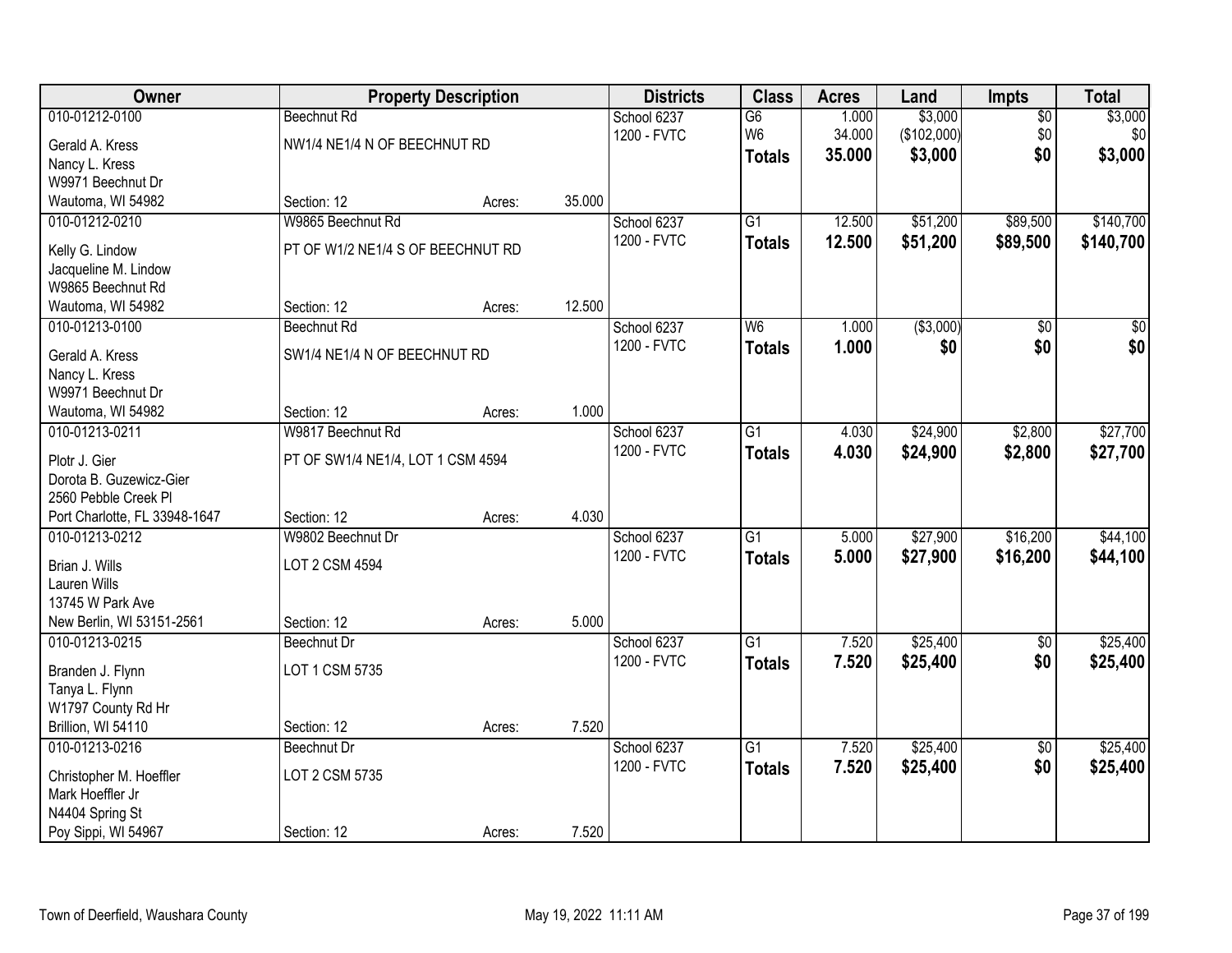| Owner                               |                                   | <b>Property Description</b> |        | <b>Districts</b> | <b>Class</b>    | <b>Acres</b> | Land        | <b>Impts</b>    | <b>Total</b>     |
|-------------------------------------|-----------------------------------|-----------------------------|--------|------------------|-----------------|--------------|-------------|-----------------|------------------|
| 010-01212-0100                      | <b>Beechnut Rd</b>                |                             |        | School 6237      | $\overline{G6}$ | 1.000        | \$3,000     | $\sqrt{$0}$     | \$3,000          |
| Gerald A. Kress                     | NW1/4 NE1/4 N OF BEECHNUT RD      |                             |        | 1200 - FVTC      | W <sub>6</sub>  | 34.000       | (\$102,000) | \$0             | \$0              |
| Nancy L. Kress                      |                                   |                             |        |                  | <b>Totals</b>   | 35.000       | \$3,000     | \$0             | \$3,000          |
| W9971 Beechnut Dr                   |                                   |                             |        |                  |                 |              |             |                 |                  |
| Wautoma, WI 54982                   | Section: 12                       | Acres:                      | 35.000 |                  |                 |              |             |                 |                  |
| 010-01212-0210                      | W9865 Beechnut Rd                 |                             |        | School 6237      | $\overline{G1}$ | 12.500       | \$51,200    | \$89,500        | \$140,700        |
| Kelly G. Lindow                     | PT OF W1/2 NE1/4 S OF BEECHNUT RD |                             |        | 1200 - FVTC      | <b>Totals</b>   | 12.500       | \$51,200    | \$89,500        | \$140,700        |
| Jacqueline M. Lindow                |                                   |                             |        |                  |                 |              |             |                 |                  |
| W9865 Beechnut Rd                   |                                   |                             |        |                  |                 |              |             |                 |                  |
| Wautoma, WI 54982                   | Section: 12                       | Acres:                      | 12.500 |                  |                 |              |             |                 |                  |
| 010-01213-0100                      | <b>Beechnut Rd</b>                |                             |        | School 6237      | W <sub>6</sub>  | 1.000        | ( \$3,000)  | \$0             | $\overline{\$0}$ |
|                                     |                                   |                             |        | 1200 - FVTC      | <b>Totals</b>   | 1.000        | \$0         | \$0             | \$0              |
| Gerald A. Kress                     | SW1/4 NE1/4 N OF BEECHNUT RD      |                             |        |                  |                 |              |             |                 |                  |
| Nancy L. Kress<br>W9971 Beechnut Dr |                                   |                             |        |                  |                 |              |             |                 |                  |
|                                     | Section: 12                       | Acres:                      | 1.000  |                  |                 |              |             |                 |                  |
| Wautoma, WI 54982<br>010-01213-0211 | W9817 Beechnut Rd                 |                             |        | School 6237      | $\overline{G1}$ | 4.030        | \$24,900    | \$2,800         | \$27,700         |
|                                     |                                   |                             |        | 1200 - FVTC      |                 | 4.030        | \$24,900    | \$2,800         |                  |
| Plotr J. Gier                       | PT OF SW1/4 NE1/4, LOT 1 CSM 4594 |                             |        |                  | <b>Totals</b>   |              |             |                 | \$27,700         |
| Dorota B. Guzewicz-Gier             |                                   |                             |        |                  |                 |              |             |                 |                  |
| 2560 Pebble Creek Pl                |                                   |                             |        |                  |                 |              |             |                 |                  |
| Port Charlotte, FL 33948-1647       | Section: 12                       | Acres:                      | 4.030  |                  |                 |              |             |                 |                  |
| 010-01213-0212                      | W9802 Beechnut Dr                 |                             |        | School 6237      | $\overline{G1}$ | 5.000        | \$27,900    | \$16,200        | \$44,100         |
| Brian J. Wills                      | LOT 2 CSM 4594                    |                             |        | 1200 - FVTC      | Totals          | 5.000        | \$27,900    | \$16,200        | \$44,100         |
| <b>Lauren Wills</b>                 |                                   |                             |        |                  |                 |              |             |                 |                  |
| 13745 W Park Ave                    |                                   |                             |        |                  |                 |              |             |                 |                  |
| New Berlin, WI 53151-2561           | Section: 12                       | Acres:                      | 5.000  |                  |                 |              |             |                 |                  |
| 010-01213-0215                      | Beechnut Dr                       |                             |        | School 6237      | G1              | 7.520        | \$25,400    | \$0             | \$25,400         |
| Branden J. Flynn                    | LOT 1 CSM 5735                    |                             |        | 1200 - FVTC      | <b>Totals</b>   | 7.520        | \$25,400    | \$0             | \$25,400         |
| Tanya L. Flynn                      |                                   |                             |        |                  |                 |              |             |                 |                  |
| W1797 County Rd Hr                  |                                   |                             |        |                  |                 |              |             |                 |                  |
| Brillion, WI 54110                  | Section: 12                       | Acres:                      | 7.520  |                  |                 |              |             |                 |                  |
| 010-01213-0216                      | Beechnut Dr                       |                             |        | School 6237      | $\overline{G1}$ | 7.520        | \$25,400    | $\overline{30}$ | \$25,400         |
|                                     |                                   |                             |        | 1200 - FVTC      | <b>Totals</b>   | 7.520        | \$25,400    | \$0             | \$25,400         |
| Christopher M. Hoeffler             | LOT 2 CSM 5735                    |                             |        |                  |                 |              |             |                 |                  |
| Mark Hoeffler Jr                    |                                   |                             |        |                  |                 |              |             |                 |                  |
| N4404 Spring St                     | Section: 12                       |                             | 7.520  |                  |                 |              |             |                 |                  |
| Poy Sippi, WI 54967                 |                                   | Acres:                      |        |                  |                 |              |             |                 |                  |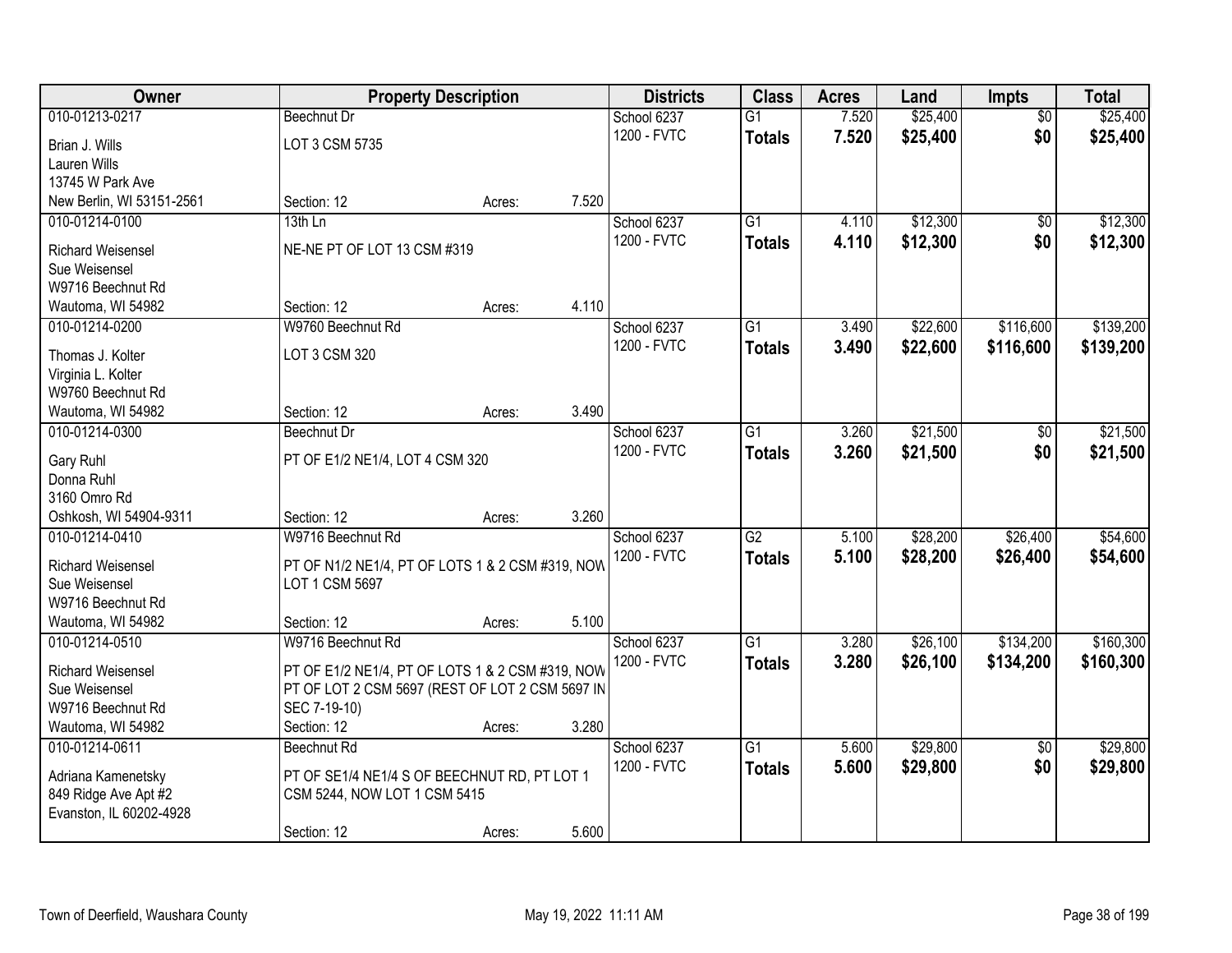| Owner                               |                                                  | <b>Property Description</b> |       | <b>Districts</b> | <b>Class</b>    | <b>Acres</b> | Land     | <b>Impts</b>    | <b>Total</b> |
|-------------------------------------|--------------------------------------------------|-----------------------------|-------|------------------|-----------------|--------------|----------|-----------------|--------------|
| 010-01213-0217                      | <b>Beechnut Dr</b>                               |                             |       | School 6237      | $\overline{G1}$ | 7.520        | \$25,400 | $\overline{30}$ | \$25,400     |
| Brian J. Wills                      | LOT 3 CSM 5735                                   |                             |       | 1200 - FVTC      | <b>Totals</b>   | 7.520        | \$25,400 | \$0             | \$25,400     |
| Lauren Wills                        |                                                  |                             |       |                  |                 |              |          |                 |              |
| 13745 W Park Ave                    |                                                  |                             |       |                  |                 |              |          |                 |              |
| New Berlin, WI 53151-2561           | Section: 12                                      | Acres:                      | 7.520 |                  |                 |              |          |                 |              |
| 010-01214-0100                      | 13th Ln                                          |                             |       | School 6237      | $\overline{G1}$ | 4.110        | \$12,300 | \$0             | \$12,300     |
| <b>Richard Weisensel</b>            | NE-NE PT OF LOT 13 CSM #319                      |                             |       | 1200 - FVTC      | <b>Totals</b>   | 4.110        | \$12,300 | \$0             | \$12,300     |
| Sue Weisensel                       |                                                  |                             |       |                  |                 |              |          |                 |              |
| W9716 Beechnut Rd                   |                                                  |                             |       |                  |                 |              |          |                 |              |
| Wautoma, WI 54982                   | Section: 12                                      | Acres:                      | 4.110 |                  |                 |              |          |                 |              |
| 010-01214-0200                      | W9760 Beechnut Rd                                |                             |       | School 6237      | G1              | 3.490        | \$22,600 | \$116,600       | \$139,200    |
|                                     |                                                  |                             |       | 1200 - FVTC      | <b>Totals</b>   | 3.490        | \$22,600 | \$116,600       | \$139,200    |
| Thomas J. Kolter                    | LOT 3 CSM 320                                    |                             |       |                  |                 |              |          |                 |              |
| Virginia L. Kolter                  |                                                  |                             |       |                  |                 |              |          |                 |              |
| W9760 Beechnut Rd                   | Section: 12                                      |                             | 3.490 |                  |                 |              |          |                 |              |
| Wautoma, WI 54982<br>010-01214-0300 | Beechnut Dr                                      | Acres:                      |       | School 6237      | G1              | 3.260        | \$21,500 |                 | \$21,500     |
|                                     |                                                  |                             |       | 1200 - FVTC      |                 |              |          | \$0<br>\$0      |              |
| Gary Ruhl                           | PT OF E1/2 NE1/4, LOT 4 CSM 320                  |                             |       |                  | <b>Totals</b>   | 3.260        | \$21,500 |                 | \$21,500     |
| Donna Ruhl                          |                                                  |                             |       |                  |                 |              |          |                 |              |
| 3160 Omro Rd                        |                                                  |                             |       |                  |                 |              |          |                 |              |
| Oshkosh, WI 54904-9311              | Section: 12                                      | Acres:                      | 3.260 |                  |                 |              |          |                 |              |
| 010-01214-0410                      | W9716 Beechnut Rd                                |                             |       | School 6237      | $\overline{G2}$ | 5.100        | \$28,200 | \$26,400        | \$54,600     |
| <b>Richard Weisensel</b>            | PT OF N1/2 NE1/4, PT OF LOTS 1 & 2 CSM #319, NOW |                             |       | 1200 - FVTC      | <b>Totals</b>   | 5.100        | \$28,200 | \$26,400        | \$54,600     |
| Sue Weisensel                       | LOT 1 CSM 5697                                   |                             |       |                  |                 |              |          |                 |              |
| W9716 Beechnut Rd                   |                                                  |                             |       |                  |                 |              |          |                 |              |
| Wautoma, WI 54982                   | Section: 12                                      | Acres:                      | 5.100 |                  |                 |              |          |                 |              |
| 010-01214-0510                      | W9716 Beechnut Rd                                |                             |       | School 6237      | $\overline{G1}$ | 3.280        | \$26,100 | \$134,200       | \$160,300    |
| <b>Richard Weisensel</b>            | PT OF E1/2 NE1/4, PT OF LOTS 1 & 2 CSM #319, NOW |                             |       | 1200 - FVTC      | <b>Totals</b>   | 3.280        | \$26,100 | \$134,200       | \$160,300    |
| Sue Weisensel                       | PT OF LOT 2 CSM 5697 (REST OF LOT 2 CSM 5697 IN  |                             |       |                  |                 |              |          |                 |              |
| W9716 Beechnut Rd                   | SEC 7-19-10)                                     |                             |       |                  |                 |              |          |                 |              |
| Wautoma, WI 54982                   | Section: 12                                      | Acres:                      | 3.280 |                  |                 |              |          |                 |              |
| 010-01214-0611                      | Beechnut Rd                                      |                             |       | School 6237      | $\overline{G1}$ | 5.600        | \$29,800 | $\overline{50}$ | \$29,800     |
|                                     |                                                  |                             |       | 1200 - FVTC      | <b>Totals</b>   | 5.600        | \$29,800 | \$0             | \$29,800     |
| Adriana Kamenetsky                  | PT OF SE1/4 NE1/4 S OF BEECHNUT RD, PT LOT 1     |                             |       |                  |                 |              |          |                 |              |
| 849 Ridge Ave Apt #2                | CSM 5244, NOW LOT 1 CSM 5415                     |                             |       |                  |                 |              |          |                 |              |
| Evanston, IL 60202-4928             |                                                  |                             |       |                  |                 |              |          |                 |              |
|                                     | Section: 12                                      | Acres:                      | 5.600 |                  |                 |              |          |                 |              |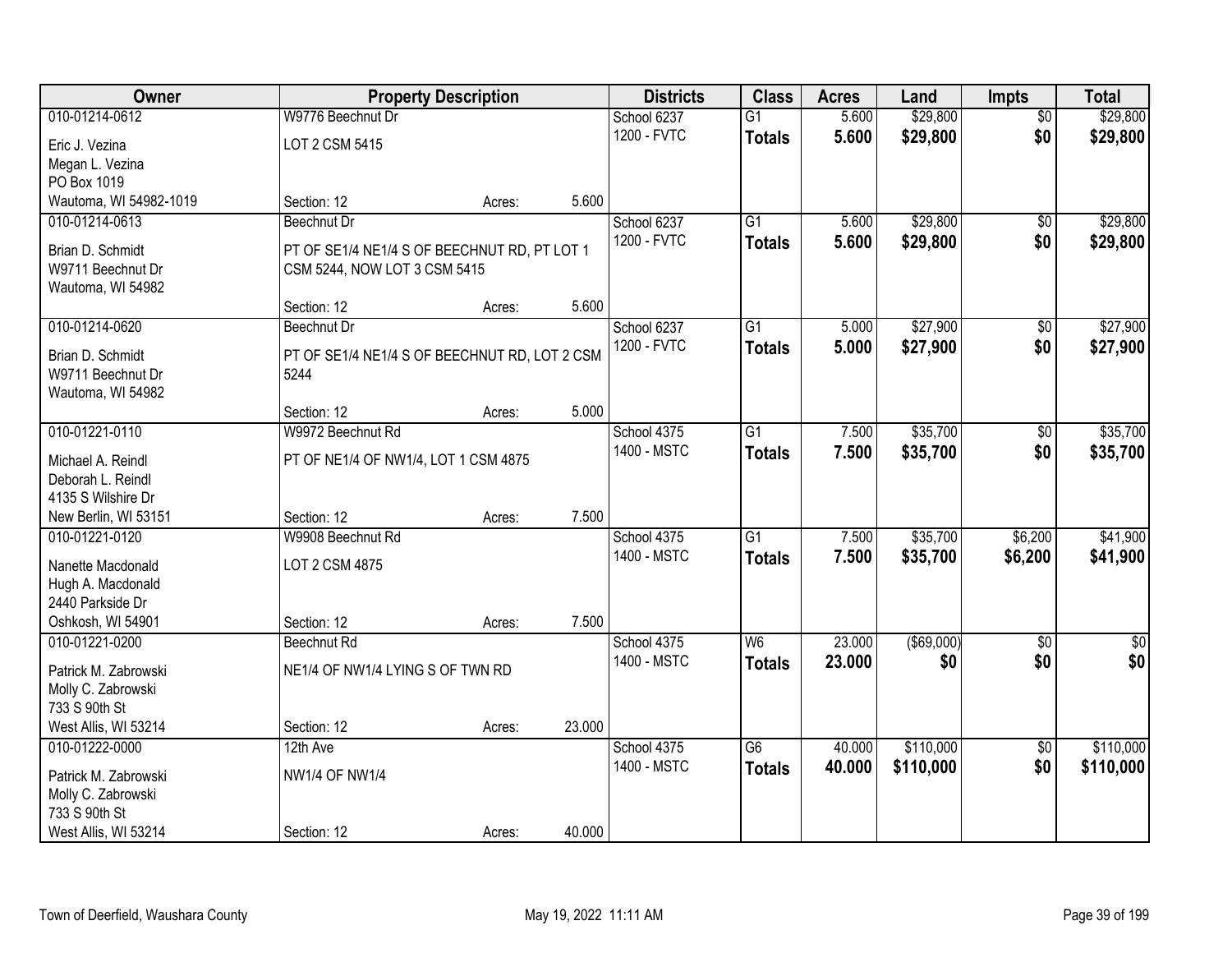| \$29,800<br>010-01214-0612<br>W9776 Beechnut Dr<br>School 6237<br>$\overline{G1}$<br>5.600<br>$\overline{30}$<br>\$29,800<br>\$0<br>1200 - FVTC<br>5.600<br><b>Totals</b><br>LOT 2 CSM 5415<br>Eric J. Vezina<br>Megan L. Vezina<br>PO Box 1019<br>5.600<br>Wautoma, WI 54982-1019<br>Section: 12<br>Acres:<br>$\overline{G1}$<br>\$29,800<br>010-01214-0613<br>School 6237<br>5.600<br><b>Beechnut Dr</b><br>\$0<br>1200 - FVTC<br>\$29,800<br>\$0<br>5.600<br><b>Totals</b><br>PT OF SE1/4 NE1/4 S OF BEECHNUT RD, PT LOT 1<br>Brian D. Schmidt<br>W9711 Beechnut Dr<br>CSM 5244, NOW LOT 3 CSM 5415<br>Wautoma, WI 54982<br>5.600<br>Section: 12<br>Acres:<br>\$27,900<br>010-01214-0620<br>G1<br>5.000<br>\$0<br>Beechnut Dr<br>School 6237<br>1200 - FVTC<br>\$27,900<br>\$0<br>5.000<br><b>Totals</b><br>Brian D. Schmidt<br>PT OF SE1/4 NE1/4 S OF BEECHNUT RD, LOT 2 CSM<br>W9711 Beechnut Dr<br>5244<br>Wautoma, WI 54982 | Owner | <b>Property Description</b> | <b>Districts</b> | <b>Class</b> | <b>Acres</b> | Land | <b>Impts</b> | <b>Total</b>     |
|------------------------------------------------------------------------------------------------------------------------------------------------------------------------------------------------------------------------------------------------------------------------------------------------------------------------------------------------------------------------------------------------------------------------------------------------------------------------------------------------------------------------------------------------------------------------------------------------------------------------------------------------------------------------------------------------------------------------------------------------------------------------------------------------------------------------------------------------------------------------------------------------------------------------------------|-------|-----------------------------|------------------|--------------|--------------|------|--------------|------------------|
|                                                                                                                                                                                                                                                                                                                                                                                                                                                                                                                                                                                                                                                                                                                                                                                                                                                                                                                                    |       |                             |                  |              |              |      |              | \$29,800         |
|                                                                                                                                                                                                                                                                                                                                                                                                                                                                                                                                                                                                                                                                                                                                                                                                                                                                                                                                    |       |                             |                  |              |              |      |              | \$29,800         |
|                                                                                                                                                                                                                                                                                                                                                                                                                                                                                                                                                                                                                                                                                                                                                                                                                                                                                                                                    |       |                             |                  |              |              |      |              |                  |
|                                                                                                                                                                                                                                                                                                                                                                                                                                                                                                                                                                                                                                                                                                                                                                                                                                                                                                                                    |       |                             |                  |              |              |      |              |                  |
|                                                                                                                                                                                                                                                                                                                                                                                                                                                                                                                                                                                                                                                                                                                                                                                                                                                                                                                                    |       |                             |                  |              |              |      |              |                  |
|                                                                                                                                                                                                                                                                                                                                                                                                                                                                                                                                                                                                                                                                                                                                                                                                                                                                                                                                    |       |                             |                  |              |              |      |              | \$29,800         |
|                                                                                                                                                                                                                                                                                                                                                                                                                                                                                                                                                                                                                                                                                                                                                                                                                                                                                                                                    |       |                             |                  |              |              |      |              | \$29,800         |
|                                                                                                                                                                                                                                                                                                                                                                                                                                                                                                                                                                                                                                                                                                                                                                                                                                                                                                                                    |       |                             |                  |              |              |      |              |                  |
|                                                                                                                                                                                                                                                                                                                                                                                                                                                                                                                                                                                                                                                                                                                                                                                                                                                                                                                                    |       |                             |                  |              |              |      |              |                  |
|                                                                                                                                                                                                                                                                                                                                                                                                                                                                                                                                                                                                                                                                                                                                                                                                                                                                                                                                    |       |                             |                  |              |              |      |              |                  |
|                                                                                                                                                                                                                                                                                                                                                                                                                                                                                                                                                                                                                                                                                                                                                                                                                                                                                                                                    |       |                             |                  |              |              |      |              | \$27,900         |
|                                                                                                                                                                                                                                                                                                                                                                                                                                                                                                                                                                                                                                                                                                                                                                                                                                                                                                                                    |       |                             |                  |              |              |      |              | \$27,900         |
|                                                                                                                                                                                                                                                                                                                                                                                                                                                                                                                                                                                                                                                                                                                                                                                                                                                                                                                                    |       |                             |                  |              |              |      |              |                  |
|                                                                                                                                                                                                                                                                                                                                                                                                                                                                                                                                                                                                                                                                                                                                                                                                                                                                                                                                    |       |                             |                  |              |              |      |              |                  |
| 5.000<br>Section: 12<br>Acres:                                                                                                                                                                                                                                                                                                                                                                                                                                                                                                                                                                                                                                                                                                                                                                                                                                                                                                     |       |                             |                  |              |              |      |              |                  |
| \$35,700<br>010-01221-0110<br>W9972 Beechnut Rd<br>School 4375<br>G1<br>7.500<br>\$0                                                                                                                                                                                                                                                                                                                                                                                                                                                                                                                                                                                                                                                                                                                                                                                                                                               |       |                             |                  |              |              |      |              | \$35,700         |
| 1400 - MSTC<br>7.500<br>\$35,700<br>\$0<br><b>Totals</b><br>Michael A. Reindl<br>PT OF NE1/4 OF NW1/4, LOT 1 CSM 4875                                                                                                                                                                                                                                                                                                                                                                                                                                                                                                                                                                                                                                                                                                                                                                                                              |       |                             |                  |              |              |      |              | \$35,700         |
| Deborah L. Reindl                                                                                                                                                                                                                                                                                                                                                                                                                                                                                                                                                                                                                                                                                                                                                                                                                                                                                                                  |       |                             |                  |              |              |      |              |                  |
| 4135 S Wilshire Dr                                                                                                                                                                                                                                                                                                                                                                                                                                                                                                                                                                                                                                                                                                                                                                                                                                                                                                                 |       |                             |                  |              |              |      |              |                  |
| 7.500<br>New Berlin, WI 53151<br>Section: 12<br>Acres:                                                                                                                                                                                                                                                                                                                                                                                                                                                                                                                                                                                                                                                                                                                                                                                                                                                                             |       |                             |                  |              |              |      |              |                  |
| \$35,700<br>W9908 Beechnut Rd<br>$\overline{G1}$<br>7.500<br>\$6,200<br>010-01221-0120<br>School 4375                                                                                                                                                                                                                                                                                                                                                                                                                                                                                                                                                                                                                                                                                                                                                                                                                              |       |                             |                  |              |              |      |              | \$41,900         |
| 1400 - MSTC<br>7.500<br>\$35,700<br>\$6,200<br><b>Totals</b>                                                                                                                                                                                                                                                                                                                                                                                                                                                                                                                                                                                                                                                                                                                                                                                                                                                                       |       |                             |                  |              |              |      |              | \$41,900         |
| LOT 2 CSM 4875<br>Nanette Macdonald<br>Hugh A. Macdonald                                                                                                                                                                                                                                                                                                                                                                                                                                                                                                                                                                                                                                                                                                                                                                                                                                                                           |       |                             |                  |              |              |      |              |                  |
| 2440 Parkside Dr                                                                                                                                                                                                                                                                                                                                                                                                                                                                                                                                                                                                                                                                                                                                                                                                                                                                                                                   |       |                             |                  |              |              |      |              |                  |
| Oshkosh, WI 54901<br>7.500<br>Section: 12<br>Acres:                                                                                                                                                                                                                                                                                                                                                                                                                                                                                                                                                                                                                                                                                                                                                                                                                                                                                |       |                             |                  |              |              |      |              |                  |
| 23.000<br>$($ \$69,000)<br>010-01221-0200<br>School 4375<br>W6<br>$\overline{50}$<br>Beechnut Rd                                                                                                                                                                                                                                                                                                                                                                                                                                                                                                                                                                                                                                                                                                                                                                                                                                   |       |                             |                  |              |              |      |              | $\overline{\$0}$ |
| 1400 - MSTC<br>23.000<br>\$0<br>\$0<br><b>Totals</b>                                                                                                                                                                                                                                                                                                                                                                                                                                                                                                                                                                                                                                                                                                                                                                                                                                                                               |       |                             |                  |              |              |      |              | \$0              |
| NE1/4 OF NW1/4 LYING S OF TWN RD<br>Patrick M. Zabrowski                                                                                                                                                                                                                                                                                                                                                                                                                                                                                                                                                                                                                                                                                                                                                                                                                                                                           |       |                             |                  |              |              |      |              |                  |
| Molly C. Zabrowski<br>733 S 90th St                                                                                                                                                                                                                                                                                                                                                                                                                                                                                                                                                                                                                                                                                                                                                                                                                                                                                                |       |                             |                  |              |              |      |              |                  |
| 23.000<br>West Allis, WI 53214<br>Section: 12<br>Acres:                                                                                                                                                                                                                                                                                                                                                                                                                                                                                                                                                                                                                                                                                                                                                                                                                                                                            |       |                             |                  |              |              |      |              |                  |
| $\overline{G6}$<br>\$110,000<br>010-01222-0000<br>40.000<br>$\overline{50}$<br>12th Ave<br>School 4375                                                                                                                                                                                                                                                                                                                                                                                                                                                                                                                                                                                                                                                                                                                                                                                                                             |       |                             |                  |              |              |      |              | \$110,000        |
| \$0<br>1400 - MSTC<br>\$110,000<br>40.000<br><b>Totals</b>                                                                                                                                                                                                                                                                                                                                                                                                                                                                                                                                                                                                                                                                                                                                                                                                                                                                         |       |                             |                  |              |              |      |              | \$110,000        |
| <b>NW1/4 OF NW1/4</b><br>Patrick M. Zabrowski                                                                                                                                                                                                                                                                                                                                                                                                                                                                                                                                                                                                                                                                                                                                                                                                                                                                                      |       |                             |                  |              |              |      |              |                  |
| Molly C. Zabrowski<br>733 S 90th St                                                                                                                                                                                                                                                                                                                                                                                                                                                                                                                                                                                                                                                                                                                                                                                                                                                                                                |       |                             |                  |              |              |      |              |                  |
| 40.000<br>West Allis, WI 53214<br>Section: 12<br>Acres:                                                                                                                                                                                                                                                                                                                                                                                                                                                                                                                                                                                                                                                                                                                                                                                                                                                                            |       |                             |                  |              |              |      |              |                  |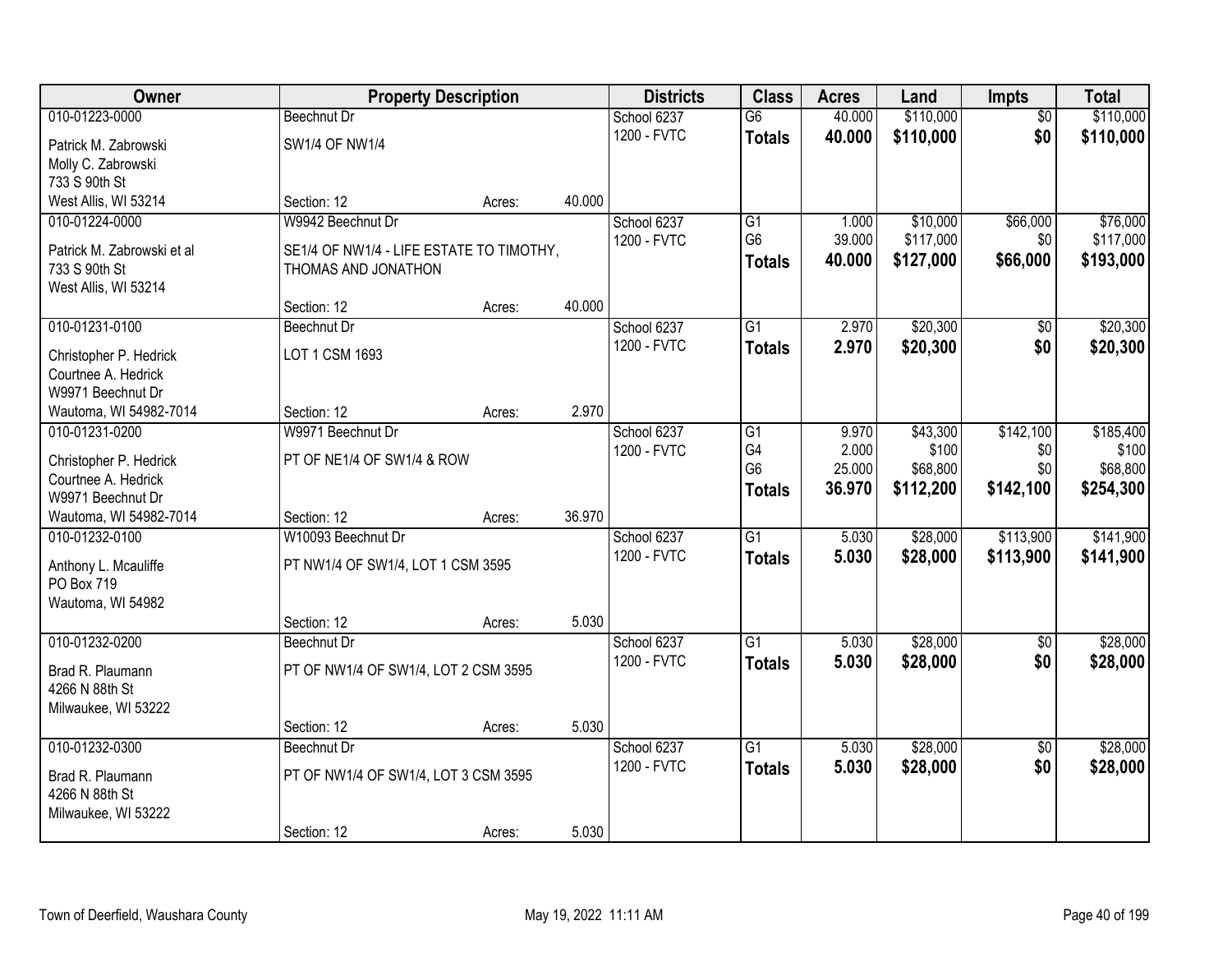| Owner                      |                                          | <b>Property Description</b> |        | <b>Districts</b> | <b>Class</b>    | <b>Acres</b> | Land      | <b>Impts</b>    | <b>Total</b> |
|----------------------------|------------------------------------------|-----------------------------|--------|------------------|-----------------|--------------|-----------|-----------------|--------------|
| 010-01223-0000             | <b>Beechnut Dr</b>                       |                             |        | School 6237      | $\overline{G6}$ | 40.000       | \$110,000 | $\overline{50}$ | \$110,000    |
| Patrick M. Zabrowski       | SW1/4 OF NW1/4                           |                             |        | 1200 - FVTC      | <b>Totals</b>   | 40.000       | \$110,000 | \$0             | \$110,000    |
| Molly C. Zabrowski         |                                          |                             |        |                  |                 |              |           |                 |              |
| 733 S 90th St              |                                          |                             |        |                  |                 |              |           |                 |              |
| West Allis, WI 53214       | Section: 12                              | Acres:                      | 40.000 |                  |                 |              |           |                 |              |
| 010-01224-0000             | W9942 Beechnut Dr                        |                             |        | School 6237      | G1              | 1.000        | \$10,000  | \$66,000        | \$76,000     |
| Patrick M. Zabrowski et al | SE1/4 OF NW1/4 - LIFE ESTATE TO TIMOTHY, |                             |        | 1200 - FVTC      | G <sub>6</sub>  | 39.000       | \$117,000 | \$0             | \$117,000    |
| 733 S 90th St              | THOMAS AND JONATHON                      |                             |        |                  | <b>Totals</b>   | 40.000       | \$127,000 | \$66,000        | \$193,000    |
| West Allis, WI 53214       |                                          |                             |        |                  |                 |              |           |                 |              |
|                            | Section: 12                              | Acres:                      | 40.000 |                  |                 |              |           |                 |              |
| 010-01231-0100             | <b>Beechnut Dr</b>                       |                             |        | School 6237      | G1              | 2.970        | \$20,300  | \$0             | \$20,300     |
| Christopher P. Hedrick     | LOT 1 CSM 1693                           |                             |        | 1200 - FVTC      | <b>Totals</b>   | 2.970        | \$20,300  | \$0             | \$20,300     |
| Courtnee A. Hedrick        |                                          |                             |        |                  |                 |              |           |                 |              |
| W9971 Beechnut Dr          |                                          |                             |        |                  |                 |              |           |                 |              |
| Wautoma, WI 54982-7014     | Section: 12                              | Acres:                      | 2.970  |                  |                 |              |           |                 |              |
| 010-01231-0200             | W9971 Beechnut Dr                        |                             |        | School 6237      | G1              | 9.970        | \$43,300  | \$142,100       | \$185,400    |
| Christopher P. Hedrick     | PT OF NE1/4 OF SW1/4 & ROW               |                             |        | 1200 - FVTC      | G4              | 2.000        | \$100     | \$0             | \$100        |
| Courtnee A. Hedrick        |                                          |                             |        |                  | G <sub>6</sub>  | 25.000       | \$68,800  | \$0             | \$68,800     |
| W9971 Beechnut Dr          |                                          |                             |        |                  | <b>Totals</b>   | 36.970       | \$112,200 | \$142,100       | \$254,300    |
| Wautoma, WI 54982-7014     | Section: 12                              | Acres:                      | 36.970 |                  |                 |              |           |                 |              |
| 010-01232-0100             | W10093 Beechnut Dr                       |                             |        | School 6237      | $\overline{G1}$ | 5.030        | \$28,000  | \$113,900       | \$141,900    |
| Anthony L. Mcauliffe       | PT NW1/4 OF SW1/4, LOT 1 CSM 3595        |                             |        | 1200 - FVTC      | <b>Totals</b>   | 5.030        | \$28,000  | \$113,900       | \$141,900    |
| PO Box 719                 |                                          |                             |        |                  |                 |              |           |                 |              |
| Wautoma, WI 54982          |                                          |                             |        |                  |                 |              |           |                 |              |
|                            | Section: 12                              | Acres:                      | 5.030  |                  |                 |              |           |                 |              |
| 010-01232-0200             | Beechnut Dr                              |                             |        | School 6237      | G1              | 5.030        | \$28,000  | $\overline{50}$ | \$28,000     |
| Brad R. Plaumann           | PT OF NW1/4 OF SW1/4, LOT 2 CSM 3595     |                             |        | 1200 - FVTC      | <b>Totals</b>   | 5.030        | \$28,000  | \$0             | \$28,000     |
| 4266 N 88th St             |                                          |                             |        |                  |                 |              |           |                 |              |
| Milwaukee, WI 53222        |                                          |                             |        |                  |                 |              |           |                 |              |
|                            | Section: 12                              | Acres:                      | 5.030  |                  |                 |              |           |                 |              |
| 010-01232-0300             | Beechnut Dr                              |                             |        | School 6237      | $\overline{G1}$ | 5.030        | \$28,000  | $\overline{50}$ | \$28,000     |
| Brad R. Plaumann           | PT OF NW1/4 OF SW1/4, LOT 3 CSM 3595     |                             |        | 1200 - FVTC      | <b>Totals</b>   | 5.030        | \$28,000  | \$0             | \$28,000     |
| 4266 N 88th St             |                                          |                             |        |                  |                 |              |           |                 |              |
| Milwaukee, WI 53222        |                                          |                             |        |                  |                 |              |           |                 |              |
|                            | Section: 12                              | Acres:                      | 5.030  |                  |                 |              |           |                 |              |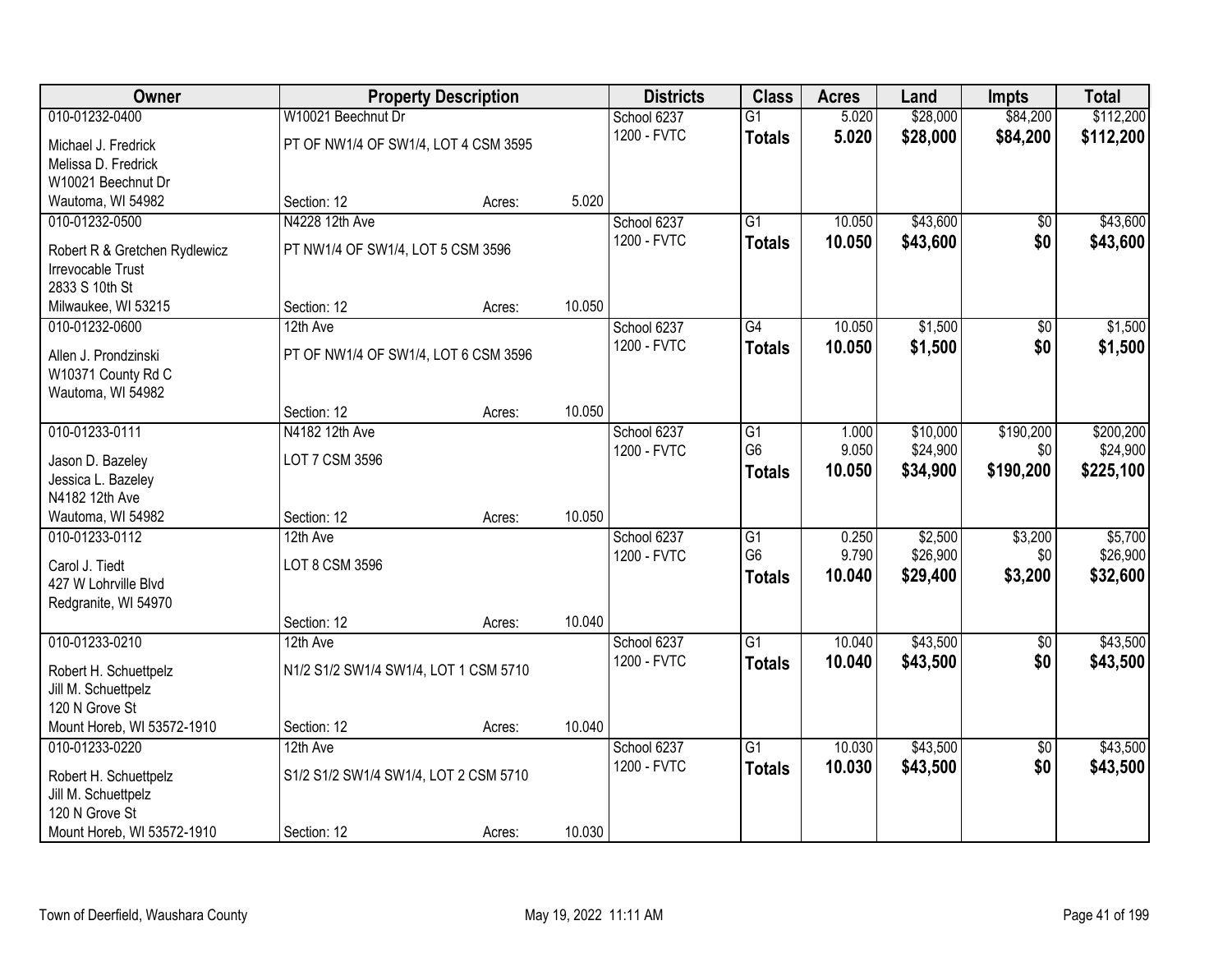| <b>Owner</b>                               |                                       | <b>Property Description</b> |        | <b>Districts</b>           | <b>Class</b>    | <b>Acres</b> | Land     | <b>Impts</b>           | <b>Total</b> |
|--------------------------------------------|---------------------------------------|-----------------------------|--------|----------------------------|-----------------|--------------|----------|------------------------|--------------|
| 010-01232-0400                             | W10021 Beechnut Dr                    |                             |        | School 6237                | $\overline{G1}$ | 5.020        | \$28,000 | \$84,200               | \$112,200    |
| Michael J. Fredrick                        | PT OF NW1/4 OF SW1/4, LOT 4 CSM 3595  |                             |        | 1200 - FVTC                | <b>Totals</b>   | 5.020        | \$28,000 | \$84,200               | \$112,200    |
| Melissa D. Fredrick                        |                                       |                             |        |                            |                 |              |          |                        |              |
| W10021 Beechnut Dr                         |                                       |                             |        |                            |                 |              |          |                        |              |
| Wautoma, WI 54982                          | Section: 12                           | Acres:                      | 5.020  |                            |                 |              |          |                        |              |
| 010-01232-0500                             | N4228 12th Ave                        |                             |        | School 6237                | $\overline{G1}$ | 10.050       | \$43,600 | $\overline{50}$        | \$43,600     |
| Robert R & Gretchen Rydlewicz              | PT NW1/4 OF SW1/4, LOT 5 CSM 3596     |                             |        | 1200 - FVTC                | <b>Totals</b>   | 10.050       | \$43,600 | \$0                    | \$43,600     |
| Irrevocable Trust                          |                                       |                             |        |                            |                 |              |          |                        |              |
| 2833 S 10th St                             |                                       |                             |        |                            |                 |              |          |                        |              |
| Milwaukee, WI 53215                        | Section: 12                           | Acres:                      | 10.050 |                            |                 |              |          |                        |              |
| 010-01232-0600                             | 12th Ave                              |                             |        | School 6237                | G4              | 10.050       | \$1,500  | \$0                    | \$1,500      |
|                                            | PT OF NW1/4 OF SW1/4, LOT 6 CSM 3596  |                             |        | 1200 - FVTC                | <b>Totals</b>   | 10.050       | \$1,500  | \$0                    | \$1,500      |
| Allen J. Prondzinski<br>W10371 County Rd C |                                       |                             |        |                            |                 |              |          |                        |              |
| Wautoma, WI 54982                          |                                       |                             |        |                            |                 |              |          |                        |              |
|                                            | Section: 12                           | Acres:                      | 10.050 |                            |                 |              |          |                        |              |
| 010-01233-0111                             | N4182 12th Ave                        |                             |        | School 6237                | G1              | 1.000        | \$10,000 | \$190,200              | \$200,200    |
|                                            |                                       |                             |        | 1200 - FVTC                | G <sub>6</sub>  | 9.050        | \$24,900 | \$0                    | \$24,900     |
| Jason D. Bazeley                           | LOT 7 CSM 3596                        |                             |        |                            | <b>Totals</b>   | 10.050       | \$34,900 | \$190,200              | \$225,100    |
| Jessica L. Bazeley<br>N4182 12th Ave       |                                       |                             |        |                            |                 |              |          |                        |              |
| Wautoma, WI 54982                          | Section: 12                           | Acres:                      | 10.050 |                            |                 |              |          |                        |              |
| 010-01233-0112                             | 12th Ave                              |                             |        | School 6237                | $\overline{G1}$ | 0.250        | \$2,500  | \$3,200                | \$5,700      |
|                                            |                                       |                             |        | 1200 - FVTC                | G <sub>6</sub>  | 9.790        | \$26,900 | \$0                    | \$26,900     |
| Carol J. Tiedt                             | LOT 8 CSM 3596                        |                             |        |                            | <b>Totals</b>   | 10.040       | \$29,400 | \$3,200                | \$32,600     |
| 427 W Lohrville Blvd                       |                                       |                             |        |                            |                 |              |          |                        |              |
| Redgranite, WI 54970                       |                                       |                             |        |                            |                 |              |          |                        |              |
| 010-01233-0210                             | Section: 12                           | Acres:                      | 10.040 |                            | $\overline{G1}$ | 10.040       | \$43,500 |                        | \$43,500     |
|                                            | 12th Ave                              |                             |        | School 6237<br>1200 - FVTC |                 | 10.040       |          | $\overline{50}$<br>\$0 |              |
| Robert H. Schuettpelz                      | N1/2 S1/2 SW1/4 SW1/4, LOT 1 CSM 5710 |                             |        |                            | <b>Totals</b>   |              | \$43,500 |                        | \$43,500     |
| Jill M. Schuettpelz                        |                                       |                             |        |                            |                 |              |          |                        |              |
| 120 N Grove St                             |                                       |                             |        |                            |                 |              |          |                        |              |
| Mount Horeb, WI 53572-1910                 | Section: 12                           | Acres:                      | 10.040 |                            |                 |              |          |                        |              |
| 010-01233-0220                             | 12th Ave                              |                             |        | School 6237                | $\overline{G1}$ | 10.030       | \$43,500 | $\overline{50}$        | \$43,500     |
| Robert H. Schuettpelz                      | S1/2 S1/2 SW1/4 SW1/4, LOT 2 CSM 5710 |                             |        | 1200 - FVTC                | <b>Totals</b>   | 10.030       | \$43,500 | \$0                    | \$43,500     |
| Jill M. Schuettpelz                        |                                       |                             |        |                            |                 |              |          |                        |              |
| 120 N Grove St                             |                                       |                             |        |                            |                 |              |          |                        |              |
| Mount Horeb, WI 53572-1910                 | Section: 12                           | Acres:                      | 10.030 |                            |                 |              |          |                        |              |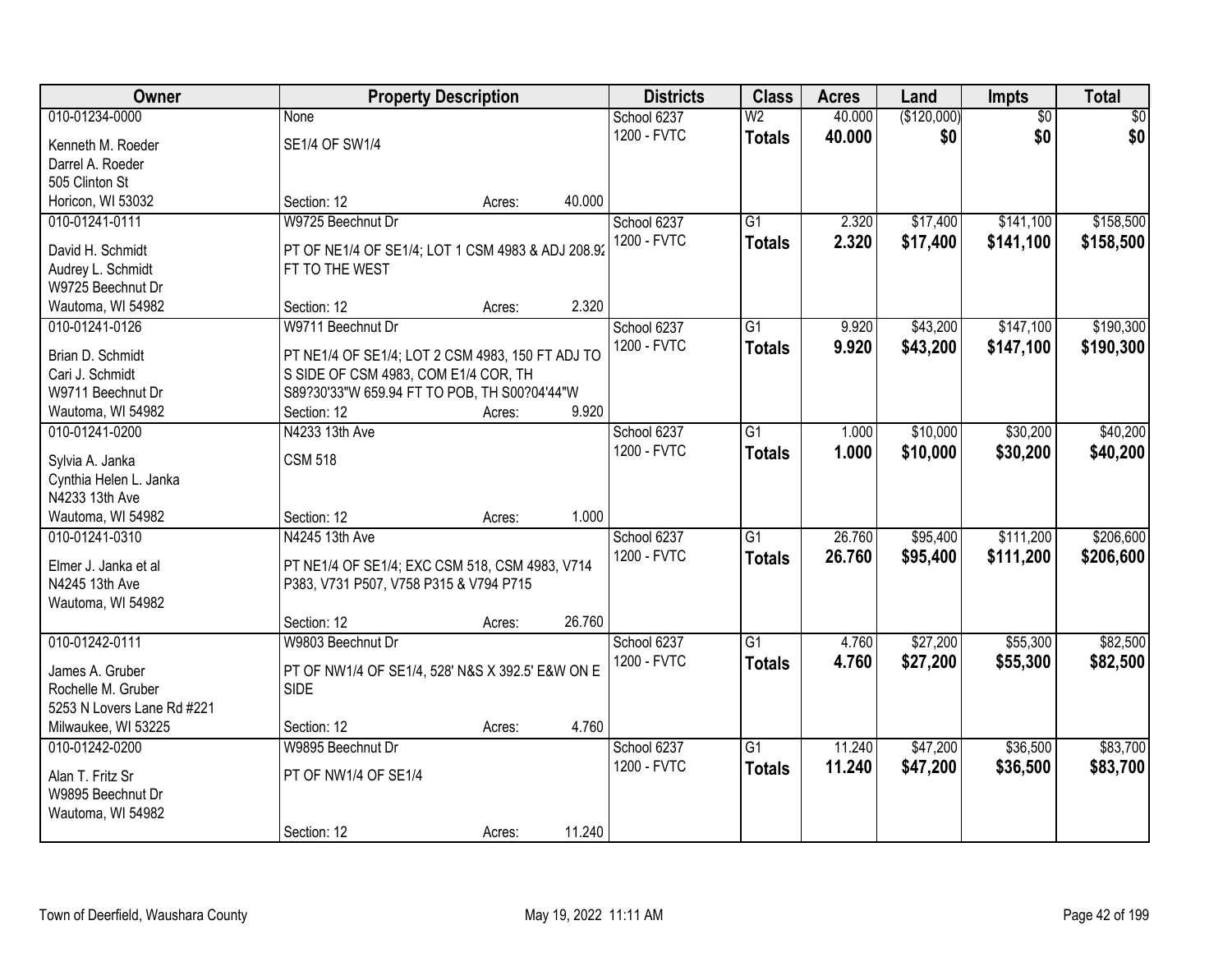| Owner                                 |                                                                 | <b>Property Description</b> |        | <b>Districts</b> | <b>Class</b>    | <b>Acres</b> | Land        | <b>Impts</b>    | <b>Total</b>    |
|---------------------------------------|-----------------------------------------------------------------|-----------------------------|--------|------------------|-----------------|--------------|-------------|-----------------|-----------------|
| 010-01234-0000                        | <b>None</b>                                                     |                             |        | School 6237      | W <sub>2</sub>  | 40.000       | (\$120,000) | $\overline{50}$ | $\overline{30}$ |
| Kenneth M. Roeder                     | SE1/4 OF SW1/4                                                  |                             |        | 1200 - FVTC      | <b>Totals</b>   | 40.000       | \$0         | \$0             | \$0             |
| Darrel A. Roeder                      |                                                                 |                             |        |                  |                 |              |             |                 |                 |
| 505 Clinton St                        |                                                                 |                             |        |                  |                 |              |             |                 |                 |
| Horicon, WI 53032                     | Section: 12                                                     | Acres:                      | 40.000 |                  |                 |              |             |                 |                 |
| 010-01241-0111                        | W9725 Beechnut Dr                                               |                             |        | School 6237      | $\overline{G1}$ | 2.320        | \$17,400    | \$141,100       | \$158,500       |
|                                       |                                                                 |                             |        | 1200 - FVTC      | <b>Totals</b>   | 2.320        | \$17,400    | \$141,100       | \$158,500       |
| David H. Schmidt                      | PT OF NE1/4 OF SE1/4; LOT 1 CSM 4983 & ADJ 208.92               |                             |        |                  |                 |              |             |                 |                 |
| Audrey L. Schmidt                     | FT TO THE WEST                                                  |                             |        |                  |                 |              |             |                 |                 |
| W9725 Beechnut Dr                     |                                                                 |                             | 2.320  |                  |                 |              |             |                 |                 |
| Wautoma, WI 54982                     | Section: 12                                                     | Acres:                      |        |                  |                 |              |             |                 |                 |
| 010-01241-0126                        | W9711 Beechnut Dr                                               |                             |        | School 6237      | $\overline{G1}$ | 9.920        | \$43,200    | \$147,100       | \$190,300       |
| Brian D. Schmidt                      | PT NE1/4 OF SE1/4; LOT 2 CSM 4983, 150 FT ADJ TO                |                             |        | 1200 - FVTC      | <b>Totals</b>   | 9.920        | \$43,200    | \$147,100       | \$190,300       |
| Cari J. Schmidt                       | S SIDE OF CSM 4983, COM E1/4 COR, TH                            |                             |        |                  |                 |              |             |                 |                 |
| W9711 Beechnut Dr                     | S89?30'33"W 659.94 FT TO POB, TH S00?04'44"W                    |                             |        |                  |                 |              |             |                 |                 |
| Wautoma, WI 54982                     | Section: 12                                                     | Acres:                      | 9.920  |                  |                 |              |             |                 |                 |
| 010-01241-0200                        | N4233 13th Ave                                                  |                             |        | School 6237      | G1              | 1.000        | \$10,000    | \$30,200        | \$40,200        |
|                                       |                                                                 |                             |        | 1200 - FVTC      | <b>Totals</b>   | 1.000        | \$10,000    | \$30,200        | \$40,200        |
| Sylvia A. Janka                       | <b>CSM 518</b>                                                  |                             |        |                  |                 |              |             |                 |                 |
| Cynthia Helen L. Janka                |                                                                 |                             |        |                  |                 |              |             |                 |                 |
| N4233 13th Ave                        |                                                                 |                             | 1.000  |                  |                 |              |             |                 |                 |
| Wautoma, WI 54982                     | Section: 12                                                     | Acres:                      |        |                  |                 |              |             |                 |                 |
| 010-01241-0310                        | N4245 13th Ave                                                  |                             |        | School 6237      | $\overline{G1}$ | 26.760       | \$95,400    | \$111,200       | \$206,600       |
| Elmer J. Janka et al                  | PT NE1/4 OF SE1/4; EXC CSM 518, CSM 4983, V714                  |                             |        | 1200 - FVTC      | <b>Totals</b>   | 26,760       | \$95,400    | \$111,200       | \$206,600       |
| N4245 13th Ave                        | P383, V731 P507, V758 P315 & V794 P715                          |                             |        |                  |                 |              |             |                 |                 |
| Wautoma, WI 54982                     |                                                                 |                             |        |                  |                 |              |             |                 |                 |
|                                       | Section: 12                                                     | Acres:                      | 26.760 |                  |                 |              |             |                 |                 |
| 010-01242-0111                        | W9803 Beechnut Dr                                               |                             |        | School 6237      | $\overline{G1}$ | 4.760        | \$27,200    | \$55,300        | \$82,500        |
|                                       |                                                                 |                             |        | 1200 - FVTC      | <b>Totals</b>   | 4.760        | \$27,200    | \$55,300        | \$82,500        |
| James A. Gruber<br>Rochelle M. Gruber | PT OF NW1/4 OF SE1/4, 528' N&S X 392.5' E&W ON E<br><b>SIDE</b> |                             |        |                  |                 |              |             |                 |                 |
| 5253 N Lovers Lane Rd #221            |                                                                 |                             |        |                  |                 |              |             |                 |                 |
| Milwaukee, WI 53225                   | Section: 12                                                     | Acres:                      | 4.760  |                  |                 |              |             |                 |                 |
| 010-01242-0200                        | W9895 Beechnut Dr                                               |                             |        |                  | $\overline{G1}$ | 11.240       |             | \$36,500        | \$83,700        |
|                                       |                                                                 |                             |        | School 6237      |                 |              | \$47,200    |                 |                 |
| Alan T. Fritz Sr                      | PT OF NW1/4 OF SE1/4                                            |                             |        | 1200 - FVTC      | <b>Totals</b>   | 11.240       | \$47,200    | \$36,500        | \$83,700        |
| W9895 Beechnut Dr                     |                                                                 |                             |        |                  |                 |              |             |                 |                 |
| Wautoma, WI 54982                     |                                                                 |                             |        |                  |                 |              |             |                 |                 |
|                                       | Section: 12                                                     | Acres:                      | 11.240 |                  |                 |              |             |                 |                 |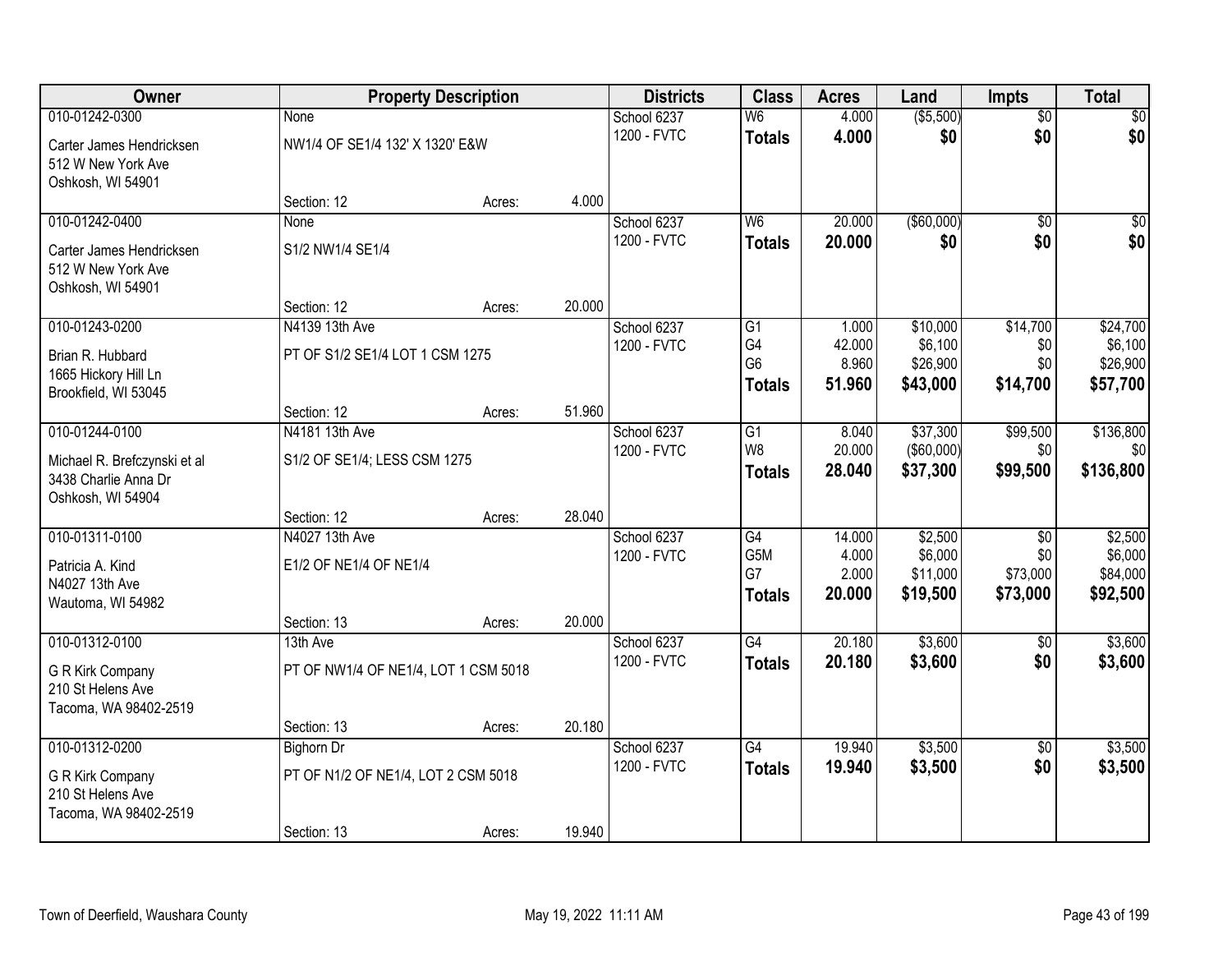| Owner                                                |                                      | <b>Property Description</b> |        | <b>Districts</b> | <b>Class</b>             | <b>Acres</b> | Land        | <b>Impts</b>    | <b>Total</b>    |
|------------------------------------------------------|--------------------------------------|-----------------------------|--------|------------------|--------------------------|--------------|-------------|-----------------|-----------------|
| 010-01242-0300                                       | None                                 |                             |        | School 6237      | $\overline{\mathsf{W6}}$ | 4.000        | ( \$5,500)  | $\overline{50}$ | $\overline{30}$ |
| Carter James Hendricksen                             | NW1/4 OF SE1/4 132' X 1320' E&W      |                             |        | 1200 - FVTC      | <b>Totals</b>            | 4.000        | \$0         | \$0             | \$0             |
| 512 W New York Ave                                   |                                      |                             |        |                  |                          |              |             |                 |                 |
| Oshkosh, WI 54901                                    |                                      |                             |        |                  |                          |              |             |                 |                 |
|                                                      | Section: 12                          | Acres:                      | 4.000  |                  |                          |              |             |                 |                 |
| 010-01242-0400                                       | None                                 |                             |        | School 6237      | W <sub>6</sub>           | 20.000       | ( \$60,000) | $\overline{50}$ | \$0             |
| Carter James Hendricksen                             | S1/2 NW1/4 SE1/4                     |                             |        | 1200 - FVTC      | <b>Totals</b>            | 20,000       | \$0         | \$0             | \$0             |
| 512 W New York Ave                                   |                                      |                             |        |                  |                          |              |             |                 |                 |
| Oshkosh, WI 54901                                    |                                      |                             |        |                  |                          |              |             |                 |                 |
| 010-01243-0200                                       | Section: 12<br>N4139 13th Ave        | Acres:                      | 20.000 | School 6237      | G1                       | 1.000        | \$10,000    | \$14,700        | \$24,700        |
|                                                      |                                      |                             |        | 1200 - FVTC      | G4                       | 42.000       | \$6,100     | \$0             | \$6,100         |
| Brian R. Hubbard                                     | PT OF S1/2 SE1/4 LOT 1 CSM 1275      |                             |        |                  | G <sub>6</sub>           | 8.960        | \$26,900    | \$0             | \$26,900        |
| 1665 Hickory Hill Ln                                 |                                      |                             |        |                  | <b>Totals</b>            | 51,960       | \$43,000    | \$14,700        | \$57,700        |
| Brookfield, WI 53045                                 | Section: 12                          | Acres:                      | 51.960 |                  |                          |              |             |                 |                 |
| 010-01244-0100                                       | N4181 13th Ave                       |                             |        | School 6237      | G1                       | 8.040        | \$37,300    | \$99,500        | \$136,800       |
|                                                      |                                      |                             |        | 1200 - FVTC      | W <sub>8</sub>           | 20.000       | (\$60,000)  | \$0             | \$0             |
| Michael R. Brefczynski et al<br>3438 Charlie Anna Dr | S1/2 OF SE1/4; LESS CSM 1275         |                             |        |                  | <b>Totals</b>            | 28.040       | \$37,300    | \$99,500        | \$136,800       |
| Oshkosh, WI 54904                                    |                                      |                             |        |                  |                          |              |             |                 |                 |
|                                                      | Section: 12                          | Acres:                      | 28.040 |                  |                          |              |             |                 |                 |
| 010-01311-0100                                       | N4027 13th Ave                       |                             |        | School 6237      | $\overline{G4}$          | 14.000       | \$2,500     | $\overline{30}$ | \$2,500         |
| Patricia A. Kind                                     | E1/2 OF NE1/4 OF NE1/4               |                             |        | 1200 - FVTC      | G5M                      | 4.000        | \$6,000     | \$0             | \$6,000         |
| N4027 13th Ave                                       |                                      |                             |        |                  | G7                       | 2.000        | \$11,000    | \$73,000        | \$84,000        |
| Wautoma, WI 54982                                    |                                      |                             |        |                  | <b>Totals</b>            | 20.000       | \$19,500    | \$73,000        | \$92,500        |
|                                                      | Section: 13                          | Acres:                      | 20.000 |                  |                          |              |             |                 |                 |
| 010-01312-0100                                       | 13th Ave                             |                             |        | School 6237      | G4                       | 20.180       | \$3,600     | $\sqrt{6}$      | \$3,600         |
| G R Kirk Company                                     | PT OF NW1/4 OF NE1/4, LOT 1 CSM 5018 |                             |        | 1200 - FVTC      | <b>Totals</b>            | 20.180       | \$3,600     | \$0             | \$3,600         |
| 210 St Helens Ave                                    |                                      |                             |        |                  |                          |              |             |                 |                 |
| Tacoma, WA 98402-2519                                |                                      |                             |        |                  |                          |              |             |                 |                 |
|                                                      | Section: 13                          | Acres:                      | 20.180 |                  |                          |              |             |                 |                 |
| 010-01312-0200                                       | <b>Bighorn Dr</b>                    |                             |        | School 6237      | $\overline{G4}$          | 19.940       | \$3,500     | $\overline{50}$ | \$3,500         |
| G R Kirk Company                                     | PT OF N1/2 OF NE1/4, LOT 2 CSM 5018  |                             |        | 1200 - FVTC      | <b>Totals</b>            | 19.940       | \$3,500     | \$0             | \$3,500         |
| 210 St Helens Ave                                    |                                      |                             |        |                  |                          |              |             |                 |                 |
| Tacoma, WA 98402-2519                                |                                      |                             |        |                  |                          |              |             |                 |                 |
|                                                      | Section: 13                          | Acres:                      | 19.940 |                  |                          |              |             |                 |                 |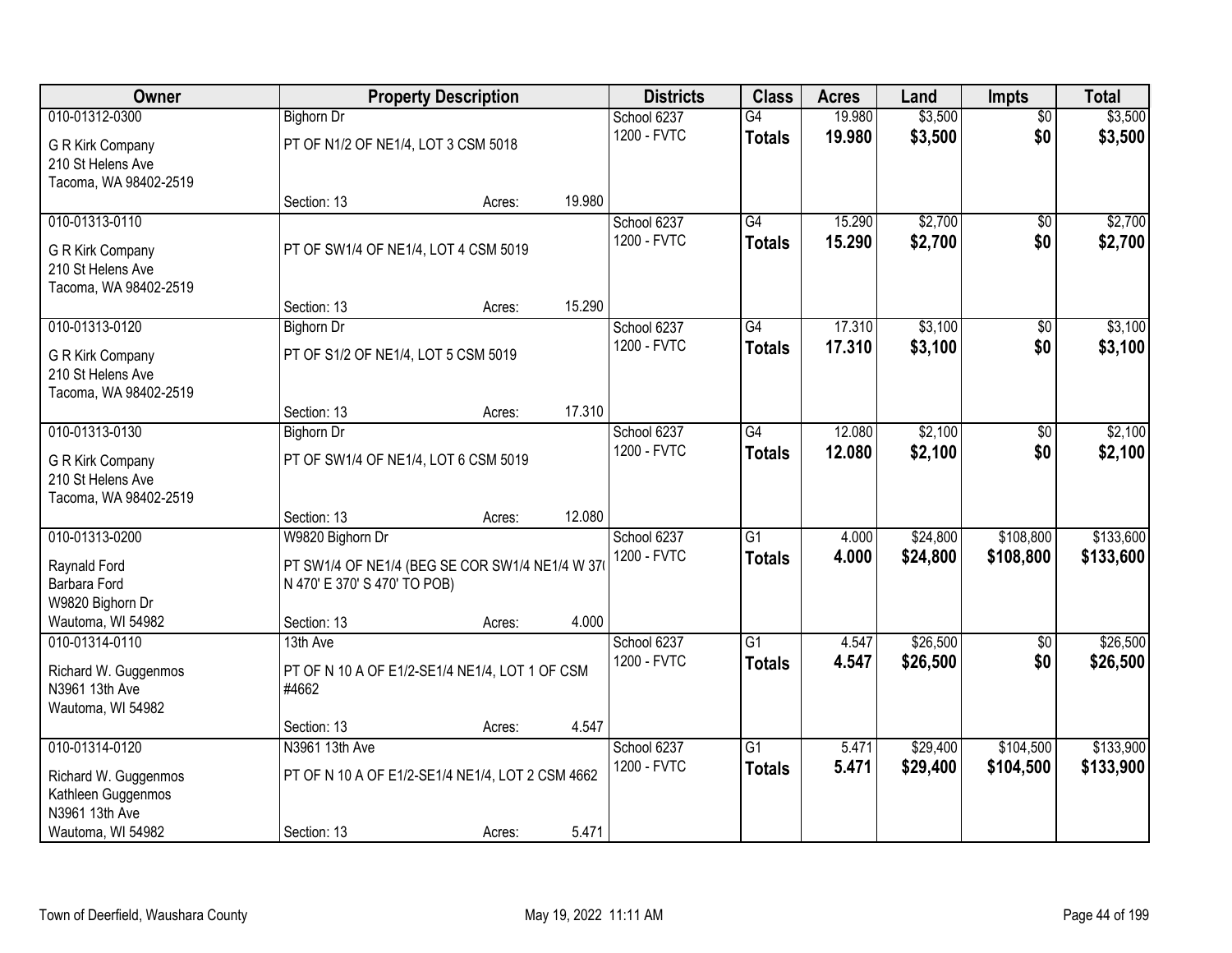| Owner                                 |                                      | <b>Property Description</b>                      |        | <b>Districts</b>           | <b>Class</b>    | <b>Acres</b>     | Land               | <b>Impts</b>    | <b>Total</b> |
|---------------------------------------|--------------------------------------|--------------------------------------------------|--------|----------------------------|-----------------|------------------|--------------------|-----------------|--------------|
| 010-01312-0300                        | <b>Bighorn Dr</b>                    |                                                  |        | School 6237                | G4              | 19.980           | \$3,500            | $\overline{50}$ | \$3,500      |
| G R Kirk Company                      | PT OF N1/2 OF NE1/4, LOT 3 CSM 5018  |                                                  |        | 1200 - FVTC                | <b>Totals</b>   | 19.980           | \$3,500            | \$0             | \$3,500      |
| 210 St Helens Ave                     |                                      |                                                  |        |                            |                 |                  |                    |                 |              |
| Tacoma, WA 98402-2519                 |                                      |                                                  |        |                            |                 |                  |                    |                 |              |
|                                       | Section: 13                          | Acres:                                           | 19.980 |                            |                 |                  |                    |                 |              |
| 010-01313-0110                        |                                      |                                                  |        | School 6237<br>1200 - FVTC | G4              | 15.290<br>15.290 | \$2,700<br>\$2,700 | \$0<br>\$0      | \$2,700      |
| G R Kirk Company                      | PT OF SW1/4 OF NE1/4, LOT 4 CSM 5019 |                                                  |        |                            | <b>Totals</b>   |                  |                    |                 | \$2,700      |
| 210 St Helens Ave                     |                                      |                                                  |        |                            |                 |                  |                    |                 |              |
| Tacoma, WA 98402-2519                 | Section: 13                          |                                                  | 15.290 |                            |                 |                  |                    |                 |              |
| 010-01313-0120                        | <b>Bighorn Dr</b>                    | Acres:                                           |        | School 6237                | G4              | 17.310           | \$3,100            | \$0             | \$3,100      |
|                                       |                                      |                                                  |        | 1200 - FVTC                | <b>Totals</b>   | 17.310           | \$3,100            | \$0             | \$3,100      |
| G R Kirk Company                      | PT OF S1/2 OF NE1/4, LOT 5 CSM 5019  |                                                  |        |                            |                 |                  |                    |                 |              |
| 210 St Helens Ave                     |                                      |                                                  |        |                            |                 |                  |                    |                 |              |
| Tacoma, WA 98402-2519                 | Section: 13                          | Acres:                                           | 17.310 |                            |                 |                  |                    |                 |              |
| 010-01313-0130                        | <b>Bighorn Dr</b>                    |                                                  |        | School 6237                | G4              | 12.080           | \$2,100            | \$0             | \$2,100      |
|                                       |                                      |                                                  |        | 1200 - FVTC                | <b>Totals</b>   | 12.080           | \$2,100            | \$0             | \$2,100      |
| G R Kirk Company<br>210 St Helens Ave | PT OF SW1/4 OF NE1/4, LOT 6 CSM 5019 |                                                  |        |                            |                 |                  |                    |                 |              |
| Tacoma, WA 98402-2519                 |                                      |                                                  |        |                            |                 |                  |                    |                 |              |
|                                       | Section: 13                          | Acres:                                           | 12.080 |                            |                 |                  |                    |                 |              |
| 010-01313-0200                        | W9820 Bighorn Dr                     |                                                  |        | School 6237                | $\overline{G1}$ | 4.000            | \$24,800           | \$108,800       | \$133,600    |
| Raynald Ford                          |                                      | PT SW1/4 OF NE1/4 (BEG SE COR SW1/4 NE1/4 W 37   |        | 1200 - FVTC                | <b>Totals</b>   | 4.000            | \$24,800           | \$108,800       | \$133,600    |
| Barbara Ford                          | N 470' E 370' S 470' TO POB)         |                                                  |        |                            |                 |                  |                    |                 |              |
| W9820 Bighorn Dr                      |                                      |                                                  |        |                            |                 |                  |                    |                 |              |
| Wautoma, WI 54982                     | Section: 13                          | Acres:                                           | 4.000  |                            |                 |                  |                    |                 |              |
| 010-01314-0110                        | 13th Ave                             |                                                  |        | School 6237                | $\overline{G1}$ | 4.547            | \$26,500           | $\overline{50}$ | \$26,500     |
| Richard W. Guggenmos                  |                                      | PT OF N 10 A OF E1/2-SE1/4 NE1/4, LOT 1 OF CSM   |        | 1200 - FVTC                | <b>Totals</b>   | 4.547            | \$26,500           | \$0             | \$26,500     |
| N3961 13th Ave                        | #4662                                |                                                  |        |                            |                 |                  |                    |                 |              |
| Wautoma, WI 54982                     |                                      |                                                  |        |                            |                 |                  |                    |                 |              |
|                                       | Section: 13                          | Acres:                                           | 4.547  |                            |                 |                  |                    |                 |              |
| 010-01314-0120                        | N3961 13th Ave                       |                                                  |        | School 6237                | $\overline{G1}$ | 5.471            | \$29,400           | \$104,500       | \$133,900    |
| Richard W. Guggenmos                  |                                      | PT OF N 10 A OF E1/2-SE1/4 NE1/4, LOT 2 CSM 4662 |        | 1200 - FVTC                | <b>Totals</b>   | 5.471            | \$29,400           | \$104,500       | \$133,900    |
| Kathleen Guggenmos                    |                                      |                                                  |        |                            |                 |                  |                    |                 |              |
| N3961 13th Ave                        |                                      |                                                  |        |                            |                 |                  |                    |                 |              |
| Wautoma, WI 54982                     | Section: 13                          | Acres:                                           | 5.471  |                            |                 |                  |                    |                 |              |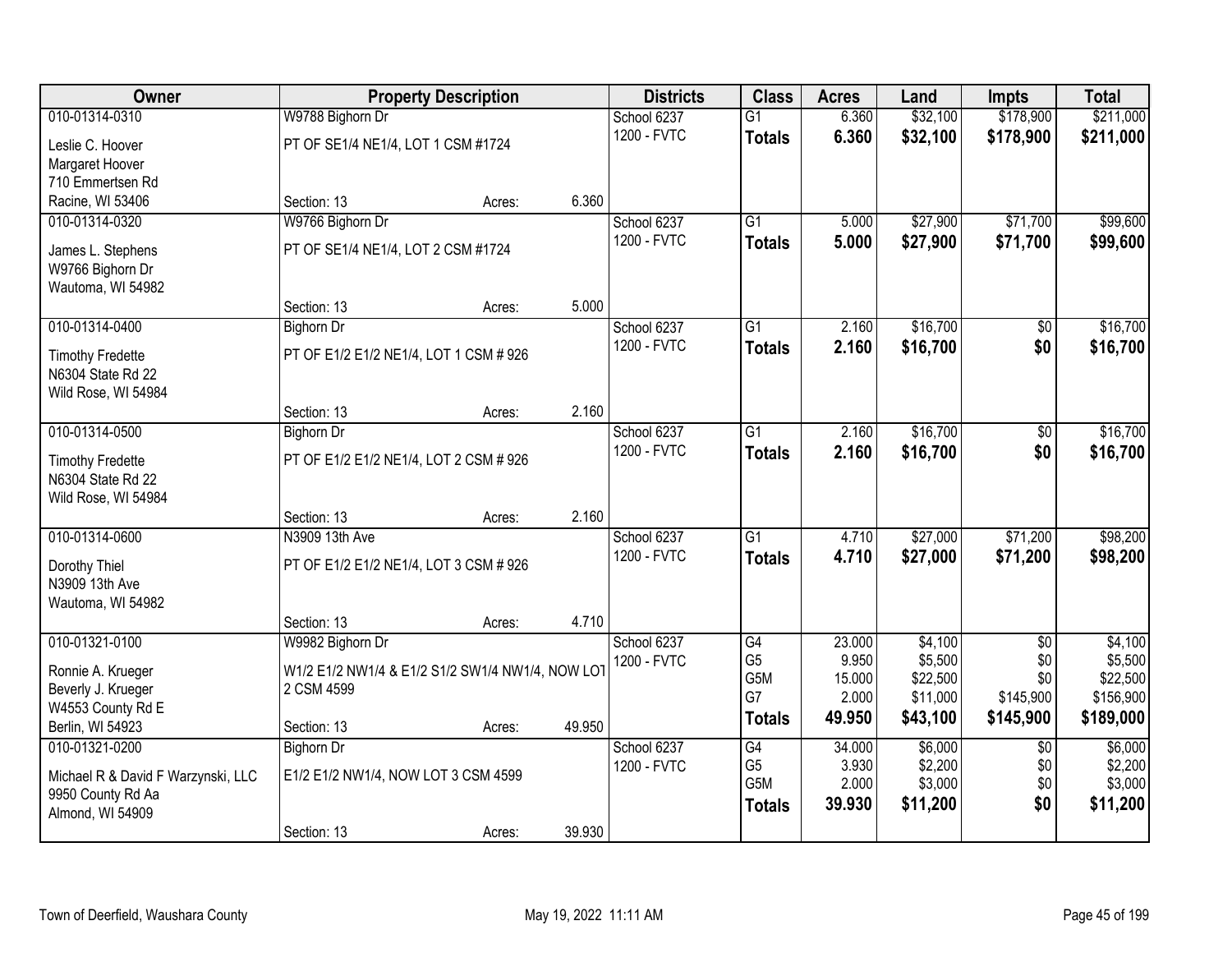| Owner                                        |                                        | <b>Property Description</b>                      | <b>Districts</b> | <b>Class</b>    | <b>Acres</b> | Land     | <b>Impts</b>    | <b>Total</b> |
|----------------------------------------------|----------------------------------------|--------------------------------------------------|------------------|-----------------|--------------|----------|-----------------|--------------|
| 010-01314-0310                               | W9788 Bighorn Dr                       |                                                  | School 6237      | $\overline{G1}$ | 6.360        | \$32,100 | \$178,900       | \$211,000    |
| Leslie C. Hoover                             | PT OF SE1/4 NE1/4, LOT 1 CSM #1724     |                                                  | 1200 - FVTC      | <b>Totals</b>   | 6.360        | \$32,100 | \$178,900       | \$211,000    |
| Margaret Hoover                              |                                        |                                                  |                  |                 |              |          |                 |              |
| 710 Emmertsen Rd                             |                                        |                                                  |                  |                 |              |          |                 |              |
| Racine, WI 53406                             | Section: 13                            | Acres:                                           | 6.360            |                 |              |          |                 |              |
| 010-01314-0320                               | W9766 Bighorn Dr                       |                                                  | School 6237      | $\overline{G1}$ | 5.000        | \$27,900 | \$71,700        | \$99,600     |
| James L. Stephens                            | PT OF SE1/4 NE1/4, LOT 2 CSM #1724     |                                                  | 1200 - FVTC      | <b>Totals</b>   | 5.000        | \$27,900 | \$71,700        | \$99,600     |
| W9766 Bighorn Dr                             |                                        |                                                  |                  |                 |              |          |                 |              |
| Wautoma, WI 54982                            |                                        |                                                  |                  |                 |              |          |                 |              |
|                                              | Section: 13                            | Acres:                                           | 5.000            |                 |              |          |                 |              |
| 010-01314-0400                               | <b>Bighorn Dr</b>                      |                                                  | School 6237      | $\overline{G1}$ | 2.160        | \$16,700 | $\overline{50}$ | \$16,700     |
| <b>Timothy Fredette</b>                      | PT OF E1/2 E1/2 NE1/4, LOT 1 CSM # 926 |                                                  | 1200 - FVTC      | <b>Totals</b>   | 2.160        | \$16,700 | \$0             | \$16,700     |
| N6304 State Rd 22                            |                                        |                                                  |                  |                 |              |          |                 |              |
| Wild Rose, WI 54984                          |                                        |                                                  |                  |                 |              |          |                 |              |
|                                              | Section: 13                            | Acres:                                           | 2.160            |                 |              |          |                 |              |
| 010-01314-0500                               | <b>Bighorn Dr</b>                      |                                                  | School 6237      | $\overline{G1}$ | 2.160        | \$16,700 | $\sqrt[6]{3}$   | \$16,700     |
|                                              | PT OF E1/2 E1/2 NE1/4, LOT 2 CSM # 926 |                                                  | 1200 - FVTC      | <b>Totals</b>   | 2.160        | \$16,700 | \$0             | \$16,700     |
| <b>Timothy Fredette</b><br>N6304 State Rd 22 |                                        |                                                  |                  |                 |              |          |                 |              |
| Wild Rose, WI 54984                          |                                        |                                                  |                  |                 |              |          |                 |              |
|                                              | Section: 13                            | Acres:                                           | 2.160            |                 |              |          |                 |              |
| 010-01314-0600                               | N3909 13th Ave                         |                                                  | School 6237      | $\overline{G1}$ | 4.710        | \$27,000 | \$71,200        | \$98,200     |
|                                              |                                        |                                                  | 1200 - FVTC      | <b>Totals</b>   | 4.710        | \$27,000 | \$71,200        | \$98,200     |
| Dorothy Thiel<br>N3909 13th Ave              | PT OF E1/2 E1/2 NE1/4, LOT 3 CSM # 926 |                                                  |                  |                 |              |          |                 |              |
| Wautoma, WI 54982                            |                                        |                                                  |                  |                 |              |          |                 |              |
|                                              | Section: 13                            | Acres:                                           | 4.710            |                 |              |          |                 |              |
| 010-01321-0100                               | W9982 Bighorn Dr                       |                                                  | School 6237      | G4              | 23.000       | \$4,100  | $\sqrt{6}$      | \$4,100      |
|                                              |                                        |                                                  | 1200 - FVTC      | G <sub>5</sub>  | 9.950        | \$5,500  | \$0             | \$5,500      |
| Ronnie A. Krueger                            | 2 CSM 4599                             | W1/2 E1/2 NW1/4 & E1/2 S1/2 SW1/4 NW1/4, NOW LOT |                  | G5M             | 15.000       | \$22,500 | \$0             | \$22,500     |
| Beverly J. Krueger<br>W4553 County Rd E      |                                        |                                                  |                  | G7              | 2.000        | \$11,000 | \$145,900       | \$156,900    |
| Berlin, WI 54923                             | Section: 13                            | Acres:                                           | 49.950           | <b>Totals</b>   | 49.950       | \$43,100 | \$145,900       | \$189,000    |
| 010-01321-0200                               | <b>Bighorn Dr</b>                      |                                                  | School 6237      | G4              | 34.000       | \$6,000  | $\overline{30}$ | \$6,000      |
|                                              |                                        |                                                  | 1200 - FVTC      | G <sub>5</sub>  | 3.930        | \$2,200  | \$0             | \$2,200      |
| Michael R & David F Warzynski, LLC           | E1/2 E1/2 NW1/4, NOW LOT 3 CSM 4599    |                                                  |                  | G5M             | 2.000        | \$3,000  | \$0             | \$3,000      |
| 9950 County Rd Aa                            |                                        |                                                  |                  | <b>Totals</b>   | 39.930       | \$11,200 | \$0             | \$11,200     |
| Almond, WI 54909                             | Section: 13                            | Acres:                                           | 39.930           |                 |              |          |                 |              |
|                                              |                                        |                                                  |                  |                 |              |          |                 |              |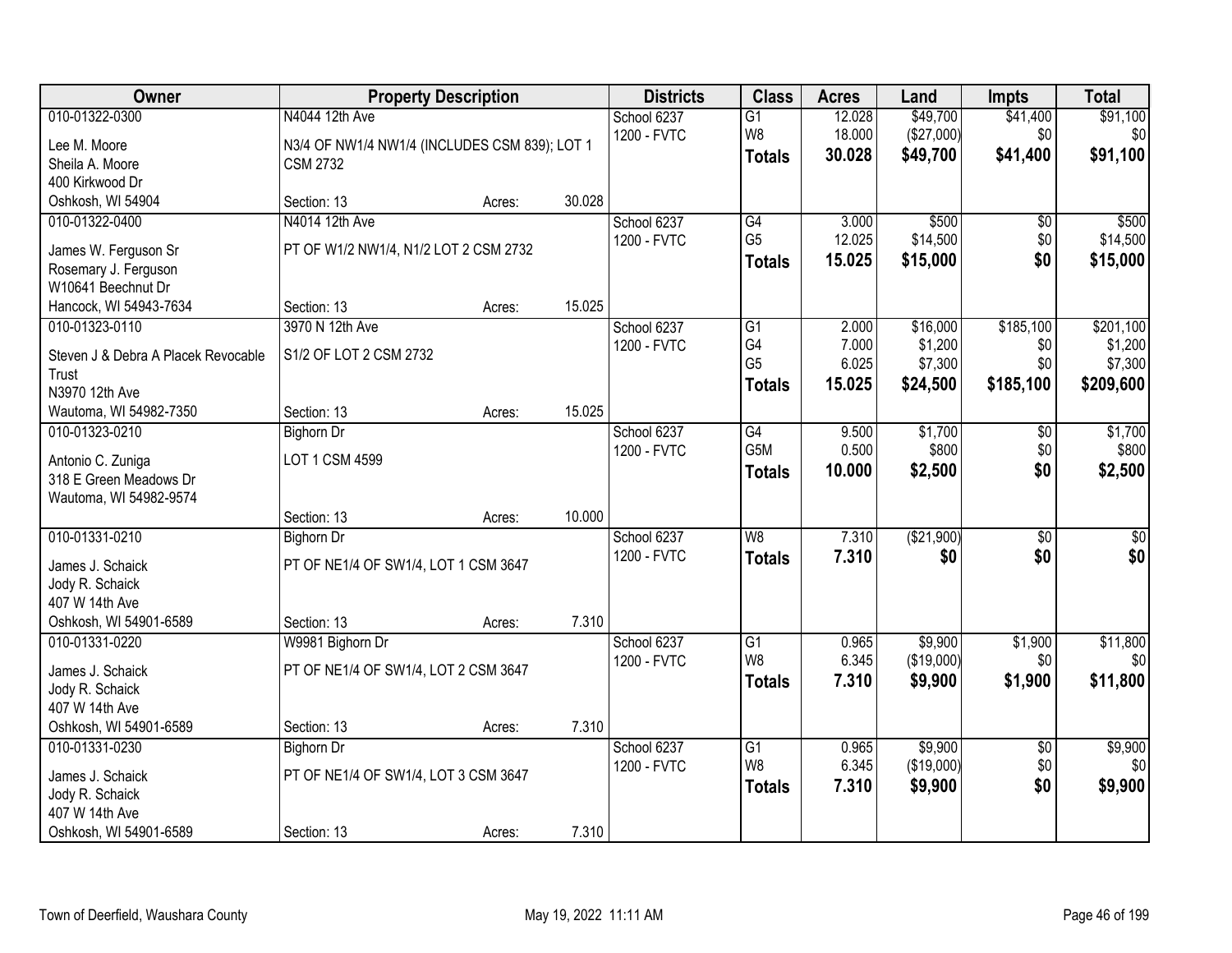| Owner                                       |                                               | <b>Property Description</b> |        | <b>Districts</b> | <b>Class</b>    | <b>Acres</b> | Land       | <b>Impts</b>           | <b>Total</b>    |
|---------------------------------------------|-----------------------------------------------|-----------------------------|--------|------------------|-----------------|--------------|------------|------------------------|-----------------|
| 010-01322-0300                              | N4044 12th Ave                                |                             |        | School 6237      | $\overline{G1}$ | 12.028       | \$49,700   | \$41,400               | \$91,100        |
| Lee M. Moore                                | N3/4 OF NW1/4 NW1/4 (INCLUDES CSM 839); LOT 1 |                             |        | 1200 - FVTC      | W8              | 18.000       | (\$27,000) | \$0                    | \$0             |
| Sheila A. Moore                             | <b>CSM 2732</b>                               |                             |        |                  | <b>Totals</b>   | 30.028       | \$49,700   | \$41,400               | \$91,100        |
| 400 Kirkwood Dr                             |                                               |                             |        |                  |                 |              |            |                        |                 |
| Oshkosh, WI 54904                           | Section: 13                                   | Acres:                      | 30.028 |                  |                 |              |            |                        |                 |
| 010-01322-0400                              | N4014 12th Ave                                |                             |        | School 6237      | G4              | 3.000        | \$500      | $\overline{50}$        | \$500           |
| James W. Ferguson Sr                        | PT OF W1/2 NW1/4, N1/2 LOT 2 CSM 2732         |                             |        | 1200 - FVTC      | G <sub>5</sub>  | 12.025       | \$14,500   | \$0                    | \$14,500        |
| Rosemary J. Ferguson                        |                                               |                             |        |                  | <b>Totals</b>   | 15.025       | \$15,000   | \$0                    | \$15,000        |
| W10641 Beechnut Dr                          |                                               |                             |        |                  |                 |              |            |                        |                 |
| Hancock, WI 54943-7634                      | Section: 13                                   | Acres:                      | 15.025 |                  |                 |              |            |                        |                 |
| 010-01323-0110                              | 3970 N 12th Ave                               |                             |        | School 6237      | G1              | 2.000        | \$16,000   | \$185,100              | \$201,100       |
| Steven J & Debra A Placek Revocable         | S1/2 OF LOT 2 CSM 2732                        |                             |        | 1200 - FVTC      | G4              | 7.000        | \$1,200    | \$0                    | \$1,200         |
| Trust                                       |                                               |                             |        |                  | G <sub>5</sub>  | 6.025        | \$7,300    | \$0                    | \$7,300         |
| N3970 12th Ave                              |                                               |                             |        |                  | <b>Totals</b>   | 15.025       | \$24,500   | \$185,100              | \$209,600       |
| Wautoma, WI 54982-7350                      | Section: 13                                   | Acres:                      | 15.025 |                  |                 |              |            |                        |                 |
| 010-01323-0210                              | <b>Bighorn Dr</b>                             |                             |        | School 6237      | G4              | 9.500        | \$1,700    | \$0                    | \$1,700         |
|                                             |                                               |                             |        | 1200 - FVTC      | G5M             | 0.500        | \$800      | \$0                    | \$800           |
| Antonio C. Zuniga<br>318 E Green Meadows Dr | LOT 1 CSM 4599                                |                             |        |                  | <b>Totals</b>   | 10.000       | \$2,500    | \$0                    | \$2,500         |
| Wautoma, WI 54982-9574                      |                                               |                             |        |                  |                 |              |            |                        |                 |
|                                             | Section: 13                                   | Acres:                      | 10.000 |                  |                 |              |            |                        |                 |
| 010-01331-0210                              | <b>Bighorn Dr</b>                             |                             |        | School 6237      | $\overline{W8}$ | 7.310        | (\$21,900) | $\overline{30}$        | $\overline{30}$ |
|                                             |                                               |                             |        | 1200 - FVTC      | <b>Totals</b>   | 7.310        | \$0        | \$0                    | \$0             |
| James J. Schaick                            | PT OF NE1/4 OF SW1/4, LOT 1 CSM 3647          |                             |        |                  |                 |              |            |                        |                 |
| Jody R. Schaick<br>407 W 14th Ave           |                                               |                             |        |                  |                 |              |            |                        |                 |
| Oshkosh, WI 54901-6589                      | Section: 13                                   | Acres:                      | 7.310  |                  |                 |              |            |                        |                 |
| 010-01331-0220                              | W9981 Bighorn Dr                              |                             |        | School 6237      | $\overline{G1}$ | 0.965        | \$9,900    | \$1,900                | \$11,800        |
|                                             |                                               |                             |        | 1200 - FVTC      | W8              | 6.345        | (\$19,000) | \$0                    | \$0             |
| James J. Schaick                            | PT OF NE1/4 OF SW1/4, LOT 2 CSM 3647          |                             |        |                  | <b>Totals</b>   | 7.310        | \$9,900    | \$1,900                | \$11,800        |
| Jody R. Schaick                             |                                               |                             |        |                  |                 |              |            |                        |                 |
| 407 W 14th Ave                              |                                               |                             |        |                  |                 |              |            |                        |                 |
| Oshkosh, WI 54901-6589<br>010-01331-0230    | Section: 13                                   | Acres:                      | 7.310  | School 6237      | $\overline{G1}$ | 0.965        | \$9,900    |                        |                 |
|                                             | <b>Bighorn Dr</b>                             |                             |        | 1200 - FVTC      | W <sub>8</sub>  | 6.345        | (\$19,000) | $\overline{50}$<br>\$0 | \$9,900<br>\$0  |
| James J. Schaick                            | PT OF NE1/4 OF SW1/4, LOT 3 CSM 3647          |                             |        |                  | <b>Totals</b>   | 7.310        | \$9,900    | \$0                    | \$9,900         |
| Jody R. Schaick                             |                                               |                             |        |                  |                 |              |            |                        |                 |
| 407 W 14th Ave                              |                                               |                             |        |                  |                 |              |            |                        |                 |
| Oshkosh, WI 54901-6589                      | Section: 13                                   | Acres:                      | 7.310  |                  |                 |              |            |                        |                 |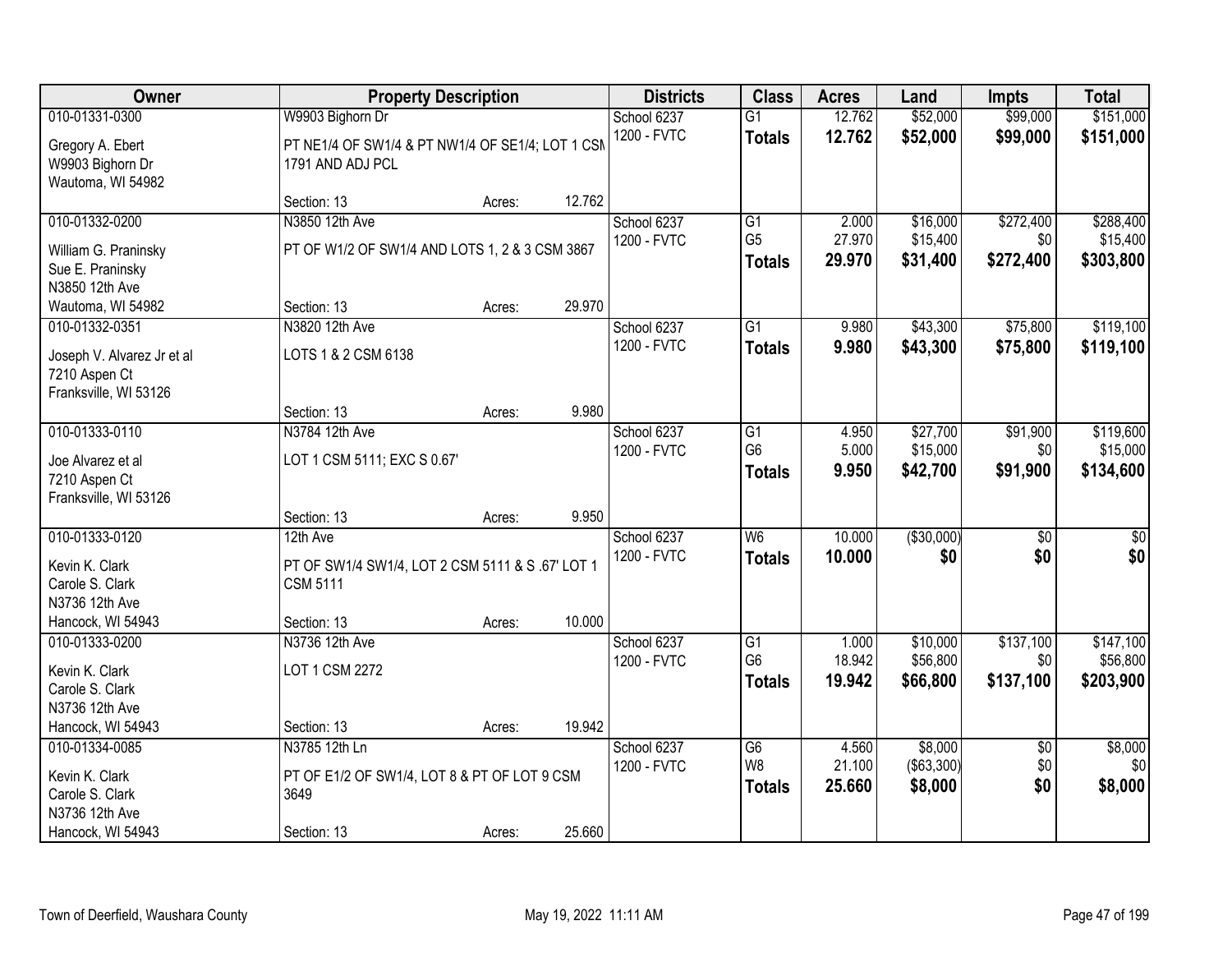| Owner                                    | <b>Property Description</b>                                          |        |        | <b>Districts</b>           | <b>Class</b>         | <b>Acres</b>    | Land                 | <b>Impts</b>     | <b>Total</b>          |
|------------------------------------------|----------------------------------------------------------------------|--------|--------|----------------------------|----------------------|-----------------|----------------------|------------------|-----------------------|
| 010-01331-0300                           | W9903 Bighorn Dr                                                     |        |        | School 6237                | $\overline{G1}$      | 12.762          | \$52,000             | \$99,000         | \$151,000             |
| Gregory A. Ebert<br>W9903 Bighorn Dr     | PT NE1/4 OF SW1/4 & PT NW1/4 OF SE1/4; LOT 1 CSM<br>1791 AND ADJ PCL |        |        | 1200 - FVTC                | <b>Totals</b>        | 12.762          | \$52,000             | \$99,000         | \$151,000             |
| Wautoma, WI 54982                        | Section: 13                                                          | Acres: | 12.762 |                            |                      |                 |                      |                  |                       |
| 010-01332-0200                           | N3850 12th Ave                                                       |        |        | School 6237                | G1                   | 2.000           | \$16,000             | \$272,400        | \$288,400             |
|                                          |                                                                      |        |        | 1200 - FVTC                | G <sub>5</sub>       | 27.970          | \$15,400             | \$0              | \$15,400              |
| William G. Praninsky<br>Sue E. Praninsky | PT OF W1/2 OF SW1/4 AND LOTS 1, 2 & 3 CSM 3867                       |        |        |                            | <b>Totals</b>        | 29.970          | \$31,400             | \$272,400        | \$303,800             |
| N3850 12th Ave                           |                                                                      |        |        |                            |                      |                 |                      |                  |                       |
| Wautoma, WI 54982                        | Section: 13                                                          | Acres: | 29.970 |                            |                      |                 |                      |                  |                       |
| 010-01332-0351                           | N3820 12th Ave                                                       |        |        | School 6237                | $\overline{G1}$      | 9.980           | \$43,300             | \$75,800         | \$119,100             |
| Joseph V. Alvarez Jr et al               | LOTS 1 & 2 CSM 6138                                                  |        |        | 1200 - FVTC                | <b>Totals</b>        | 9.980           | \$43,300             | \$75,800         | \$119,100             |
| 7210 Aspen Ct                            |                                                                      |        |        |                            |                      |                 |                      |                  |                       |
| Franksville, WI 53126                    |                                                                      |        |        |                            |                      |                 |                      |                  |                       |
|                                          | Section: 13                                                          | Acres: | 9.980  |                            |                      |                 |                      |                  |                       |
| 010-01333-0110                           | N3784 12th Ave                                                       |        |        | School 6237                | G1                   | 4.950           | \$27,700             | \$91,900         | \$119,600             |
| Joe Alvarez et al                        | LOT 1 CSM 5111; EXC S 0.67'                                          |        |        | 1200 - FVTC                | G <sub>6</sub>       | 5.000           | \$15,000             | \$0              | \$15,000              |
| 7210 Aspen Ct                            |                                                                      |        |        |                            | <b>Totals</b>        | 9.950           | \$42,700             | \$91,900         | \$134,600             |
| Franksville, WI 53126                    |                                                                      |        |        |                            |                      |                 |                      |                  |                       |
|                                          | Section: 13                                                          | Acres: | 9.950  |                            |                      |                 |                      |                  |                       |
| 010-01333-0120                           | 12th Ave                                                             |        |        | School 6237                | $\overline{W6}$      | 10.000          | ( \$30,000)          | $\overline{50}$  | $\overline{\$0}$      |
| Kevin K. Clark                           | PT OF SW1/4 SW1/4, LOT 2 CSM 5111 & S .67' LOT 1                     |        |        | 1200 - FVTC                | <b>Totals</b>        | 10.000          | \$0                  | \$0              | \$0                   |
| Carole S. Clark                          | <b>CSM 5111</b>                                                      |        |        |                            |                      |                 |                      |                  |                       |
| N3736 12th Ave                           |                                                                      |        |        |                            |                      |                 |                      |                  |                       |
| Hancock, WI 54943                        | Section: 13                                                          | Acres: | 10.000 |                            |                      |                 |                      |                  |                       |
| 010-01333-0200                           | N3736 12th Ave                                                       |        |        | School 6237<br>1200 - FVTC | G1<br>G <sub>6</sub> | 1.000<br>18.942 | \$10,000<br>\$56,800 | \$137,100<br>\$0 | \$147,100<br>\$56,800 |
| Kevin K. Clark                           | LOT 1 CSM 2272                                                       |        |        |                            | <b>Totals</b>        | 19.942          | \$66,800             | \$137,100        | \$203,900             |
| Carole S. Clark                          |                                                                      |        |        |                            |                      |                 |                      |                  |                       |
| N3736 12th Ave<br>Hancock, WI 54943      |                                                                      |        | 19.942 |                            |                      |                 |                      |                  |                       |
| 010-01334-0085                           | Section: 13<br>N3785 12th Ln                                         | Acres: |        | School 6237                | G6                   | 4.560           | \$8,000              | $\overline{50}$  | \$8,000               |
|                                          |                                                                      |        |        | 1200 - FVTC                | W <sub>8</sub>       | 21.100          | $($ \$63,300) $ $    | \$0              | \$0                   |
| Kevin K. Clark                           | PT OF E1/2 OF SW1/4, LOT 8 & PT OF LOT 9 CSM                         |        |        |                            | <b>Totals</b>        | 25.660          | \$8,000              | \$0              | \$8,000               |
| Carole S. Clark<br>N3736 12th Ave        | 3649                                                                 |        |        |                            |                      |                 |                      |                  |                       |
| Hancock, WI 54943                        | Section: 13                                                          | Acres: | 25.660 |                            |                      |                 |                      |                  |                       |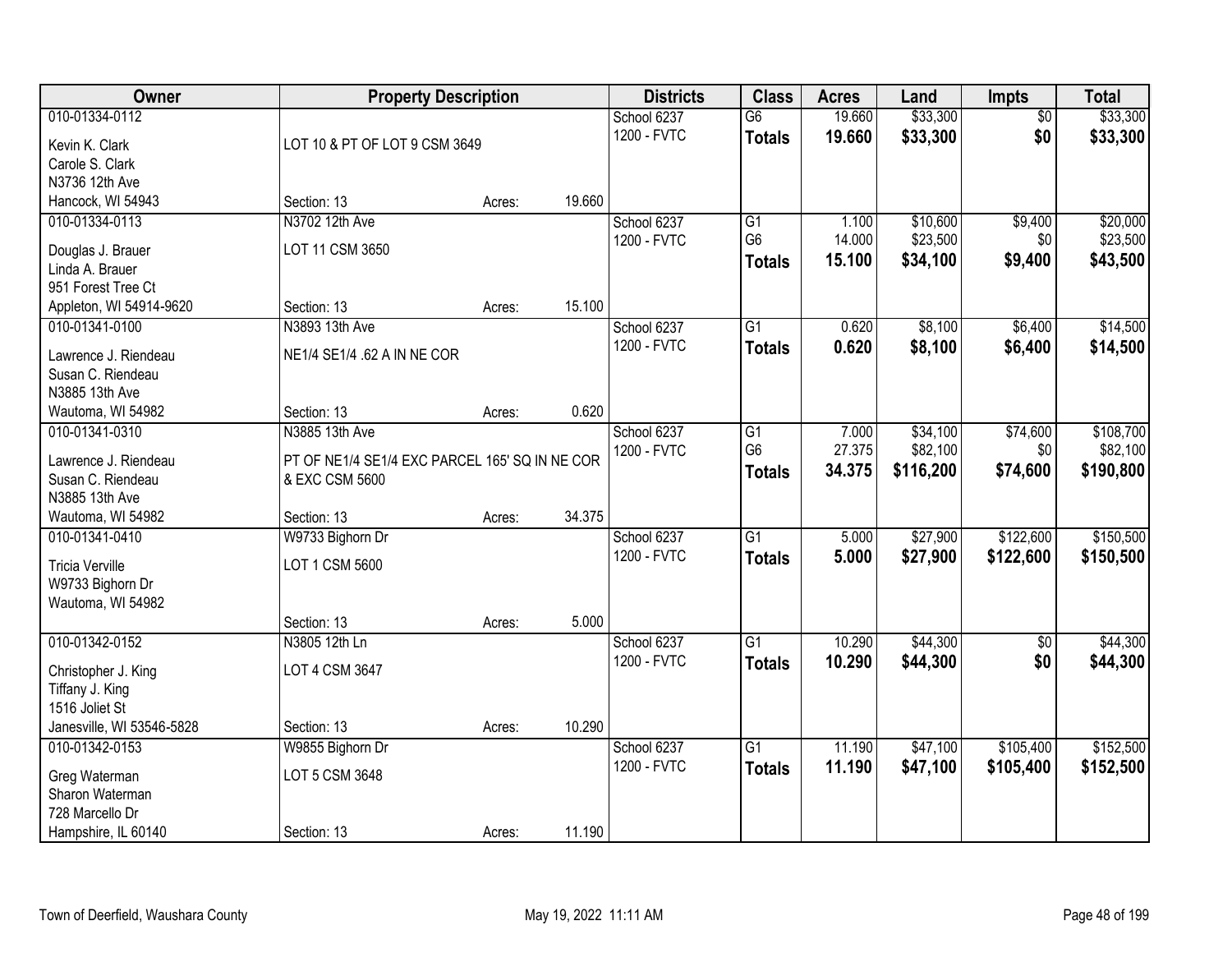| Owner                                                                                        | <b>Property Description</b>                                                        |        |        | <b>Districts</b>           | <b>Class</b>                                       | <b>Acres</b>              | Land                              | <b>Impts</b>                | <b>Total</b>                       |
|----------------------------------------------------------------------------------------------|------------------------------------------------------------------------------------|--------|--------|----------------------------|----------------------------------------------------|---------------------------|-----------------------------------|-----------------------------|------------------------------------|
| 010-01334-0112<br>Kevin K. Clark<br>Carole S. Clark                                          | LOT 10 & PT OF LOT 9 CSM 3649                                                      |        |        | School 6237<br>1200 - FVTC | $\overline{G6}$<br><b>Totals</b>                   | 19.660<br>19.660          | \$33,300<br>\$33,300              | $\overline{50}$<br>\$0      | \$33,300<br>\$33,300               |
| N3736 12th Ave<br>Hancock, WI 54943                                                          | Section: 13                                                                        | Acres: | 19.660 |                            |                                                    |                           |                                   |                             |                                    |
| 010-01334-0113<br>Douglas J. Brauer<br>Linda A. Brauer                                       | N3702 12th Ave<br>LOT 11 CSM 3650                                                  |        |        | School 6237<br>1200 - FVTC | $\overline{G1}$<br>G <sub>6</sub><br><b>Totals</b> | 1.100<br>14.000<br>15.100 | \$10,600<br>\$23,500<br>\$34,100  | \$9,400<br>\$0<br>\$9,400   | \$20,000<br>\$23,500<br>\$43,500   |
| 951 Forest Tree Ct<br>Appleton, WI 54914-9620                                                | Section: 13                                                                        | Acres: | 15.100 |                            |                                                    |                           |                                   |                             |                                    |
| 010-01341-0100<br>Lawrence J. Riendeau<br>Susan C. Riendeau<br>N3885 13th Ave                | N3893 13th Ave<br>NE1/4 SE1/4 .62 A IN NE COR                                      |        |        | School 6237<br>1200 - FVTC | G1<br><b>Totals</b>                                | 0.620<br>0.620            | \$8,100<br>\$8,100                | \$6,400<br>\$6,400          | \$14,500<br>\$14,500               |
| Wautoma, WI 54982                                                                            | Section: 13                                                                        | Acres: | 0.620  |                            |                                                    |                           |                                   |                             |                                    |
| 010-01341-0310<br>Lawrence J. Riendeau<br>Susan C. Riendeau<br>N3885 13th Ave                | N3885 13th Ave<br>PT OF NE1/4 SE1/4 EXC PARCEL 165' SQ IN NE COR<br>& EXC CSM 5600 |        |        | School 6237<br>1200 - FVTC | G1<br>G <sub>6</sub><br><b>Totals</b>              | 7.000<br>27.375<br>34.375 | \$34,100<br>\$82,100<br>\$116,200 | \$74,600<br>\$0<br>\$74,600 | \$108,700<br>\$82,100<br>\$190,800 |
| Wautoma, WI 54982                                                                            | Section: 13                                                                        | Acres: | 34.375 |                            |                                                    |                           |                                   |                             |                                    |
| 010-01341-0410<br><b>Tricia Verville</b><br>W9733 Bighorn Dr<br>Wautoma, WI 54982            | W9733 Bighorn Dr<br>LOT 1 CSM 5600<br>Section: 13                                  | Acres: | 5.000  | School 6237<br>1200 - FVTC | $\overline{G1}$<br><b>Totals</b>                   | 5.000<br>5.000            | \$27,900<br>\$27,900              | \$122,600<br>\$122,600      | \$150,500<br>\$150,500             |
| 010-01342-0152                                                                               | N3805 12th Ln                                                                      |        |        | School 6237                | $\overline{G1}$                                    | 10.290                    | \$44,300                          | $\overline{50}$             | \$44,300                           |
| Christopher J. King<br>Tiffany J. King<br>1516 Joliet St                                     | LOT 4 CSM 3647                                                                     |        |        | 1200 - FVTC                | <b>Totals</b>                                      | 10.290                    | \$44,300                          | \$0                         | \$44,300                           |
| Janesville, WI 53546-5828                                                                    | Section: 13                                                                        | Acres: | 10.290 |                            |                                                    |                           |                                   |                             |                                    |
| 010-01342-0153<br>Greg Waterman<br>Sharon Waterman<br>728 Marcello Dr<br>Hampshire, IL 60140 | W9855 Bighorn Dr<br>LOT 5 CSM 3648<br>Section: 13                                  | Acres: | 11.190 | School 6237<br>1200 - FVTC | $\overline{G1}$<br><b>Totals</b>                   | 11.190<br>11.190          | \$47,100<br>\$47,100              | \$105,400<br>\$105,400      | \$152,500<br>\$152,500             |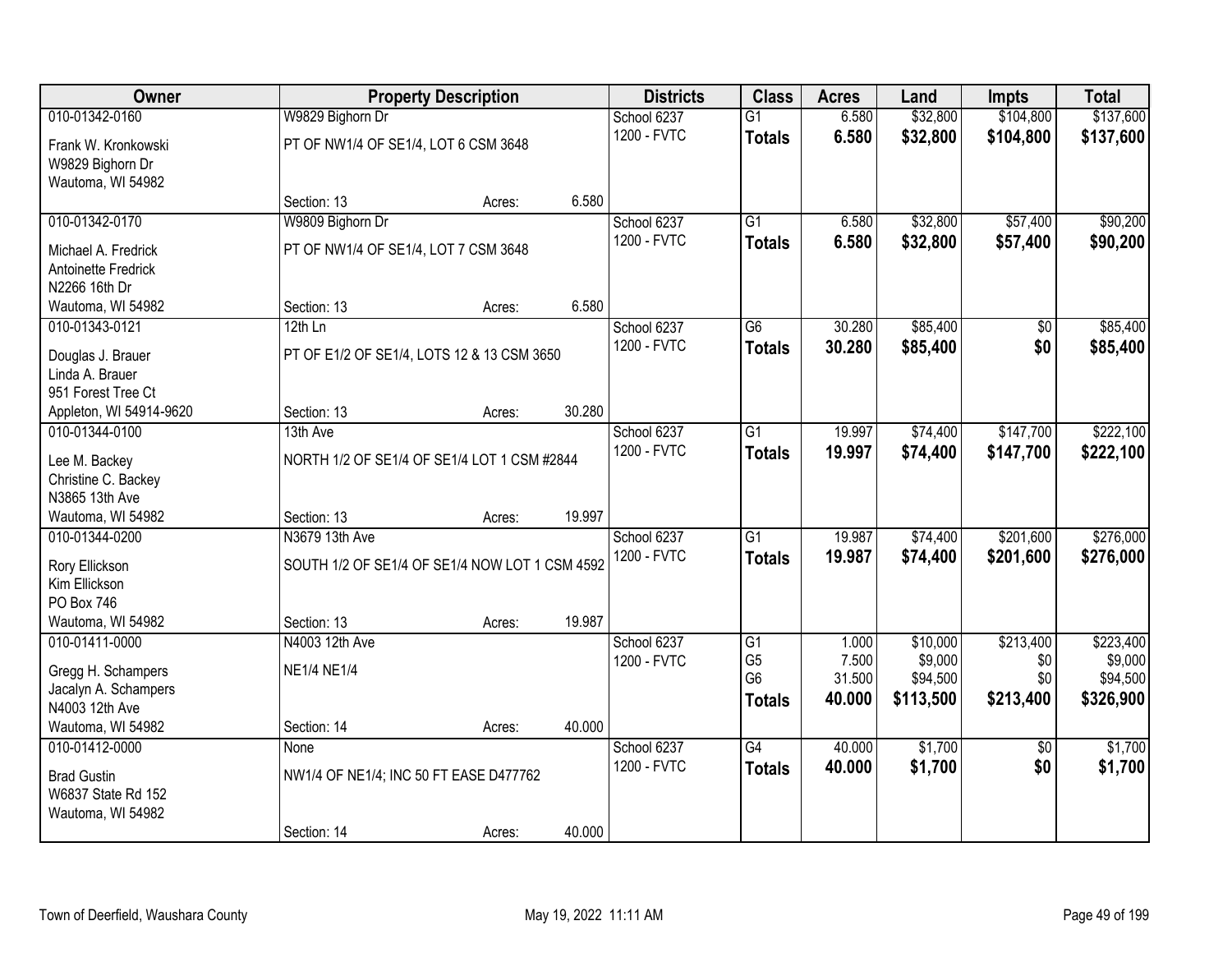| Owner                                                                           |                                                                  | <b>Property Description</b> |        | <b>Districts</b>           | <b>Class</b>                                                         | <b>Acres</b>                       | Land                                         | <b>Impts</b>                         | <b>Total</b>                                  |
|---------------------------------------------------------------------------------|------------------------------------------------------------------|-----------------------------|--------|----------------------------|----------------------------------------------------------------------|------------------------------------|----------------------------------------------|--------------------------------------|-----------------------------------------------|
| 010-01342-0160                                                                  | W9829 Bighorn Dr                                                 |                             |        | School 6237                | $\overline{G1}$                                                      | 6.580                              | \$32,800                                     | \$104,800                            | \$137,600                                     |
| Frank W. Kronkowski<br>W9829 Bighorn Dr<br>Wautoma, WI 54982                    | PT OF NW1/4 OF SE1/4, LOT 6 CSM 3648                             |                             |        | 1200 - FVTC                | <b>Totals</b>                                                        | 6.580                              | \$32,800                                     | \$104,800                            | \$137,600                                     |
|                                                                                 | Section: 13                                                      | Acres:                      | 6.580  |                            |                                                                      |                                    |                                              |                                      |                                               |
| 010-01342-0170                                                                  | W9809 Bighorn Dr                                                 |                             |        | School 6237                | $\overline{G1}$                                                      | 6.580                              | \$32,800                                     | \$57,400                             | \$90,200                                      |
| Michael A. Fredrick<br>Antoinette Fredrick<br>N2266 16th Dr                     | PT OF NW1/4 OF SE1/4, LOT 7 CSM 3648                             |                             |        | 1200 - FVTC                | <b>Totals</b>                                                        | 6.580                              | \$32,800                                     | \$57,400                             | \$90,200                                      |
| Wautoma, WI 54982                                                               | Section: 13                                                      | Acres:                      | 6.580  |                            |                                                                      |                                    |                                              |                                      |                                               |
| 010-01343-0121                                                                  | $12th$ Ln                                                        |                             |        | School 6237                | G6                                                                   | 30.280                             | \$85,400                                     | \$0                                  | \$85,400                                      |
| Douglas J. Brauer<br>Linda A. Brauer<br>951 Forest Tree Ct                      | PT OF E1/2 OF SE1/4, LOTS 12 & 13 CSM 3650                       |                             |        | 1200 - FVTC                | <b>Totals</b>                                                        | 30.280                             | \$85,400                                     | \$0                                  | \$85,400                                      |
| Appleton, WI 54914-9620                                                         | Section: 13                                                      | Acres:                      | 30.280 |                            |                                                                      |                                    |                                              |                                      |                                               |
| 010-01344-0100                                                                  | 13th Ave                                                         |                             |        | School 6237                | G1                                                                   | 19.997                             | \$74,400                                     | \$147,700                            | \$222,100                                     |
| Lee M. Backey<br>Christine C. Backey<br>N3865 13th Ave                          | NORTH 1/2 OF SE1/4 OF SE1/4 LOT 1 CSM #2844                      |                             |        | 1200 - FVTC                | <b>Totals</b>                                                        | 19.997                             | \$74,400                                     | \$147,700                            | \$222,100                                     |
| Wautoma, WI 54982                                                               | Section: 13                                                      | Acres:                      | 19.997 |                            |                                                                      |                                    |                                              |                                      |                                               |
| 010-01344-0200<br>Rory Ellickson<br>Kim Ellickson<br>PO Box 746                 | N3679 13th Ave<br>SOUTH 1/2 OF SE1/4 OF SE1/4 NOW LOT 1 CSM 4592 |                             |        | School 6237<br>1200 - FVTC | $\overline{G1}$<br><b>Totals</b>                                     | 19.987<br>19.987                   | \$74,400<br>\$74,400                         | \$201,600<br>\$201,600               | \$276,000<br>\$276,000                        |
| Wautoma, WI 54982                                                               | Section: 13                                                      | Acres:                      | 19.987 |                            |                                                                      |                                    |                                              |                                      |                                               |
| 010-01411-0000<br>Gregg H. Schampers<br>Jacalyn A. Schampers<br>N4003 12th Ave  | N4003 12th Ave<br><b>NE1/4 NE1/4</b>                             |                             |        | School 6237<br>1200 - FVTC | $\overline{G1}$<br>G <sub>5</sub><br>G <sub>6</sub><br><b>Totals</b> | 1.000<br>7.500<br>31.500<br>40.000 | \$10,000<br>\$9,000<br>\$94,500<br>\$113,500 | \$213,400<br>\$0<br>\$0<br>\$213,400 | \$223,400<br>\$9,000<br>\$94,500<br>\$326,900 |
| Wautoma, WI 54982                                                               | Section: 14                                                      | Acres:                      | 40.000 |                            |                                                                      |                                    |                                              |                                      |                                               |
| 010-01412-0000<br><b>Brad Gustin</b><br>W6837 State Rd 152<br>Wautoma, WI 54982 | None<br>NW1/4 OF NE1/4; INC 50 FT EASE D477762<br>Section: 14    | Acres:                      | 40.000 | School 6237<br>1200 - FVTC | $\overline{G4}$<br><b>Totals</b>                                     | 40.000<br>40.000                   | \$1,700<br>\$1,700                           | $\overline{50}$<br>\$0               | \$1,700<br>\$1,700                            |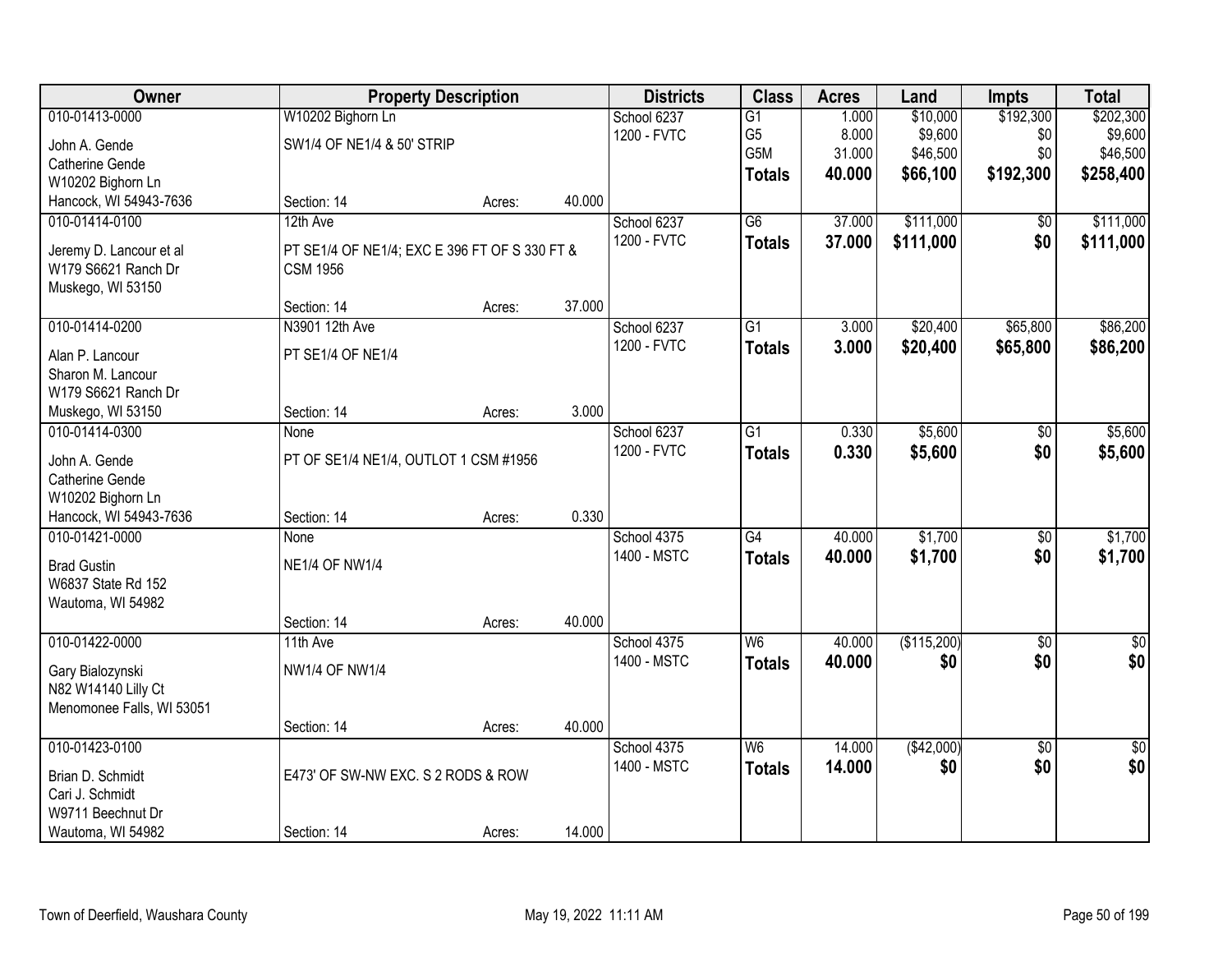| Owner                                          | <b>Property Description</b>                                      |        |        | <b>Districts</b> | <b>Class</b>    | <b>Acres</b> | Land        | <b>Impts</b>    | <b>Total</b>    |
|------------------------------------------------|------------------------------------------------------------------|--------|--------|------------------|-----------------|--------------|-------------|-----------------|-----------------|
| 010-01413-0000                                 | W10202 Bighorn Ln                                                |        |        | School 6237      | G1              | 1.000        | \$10,000    | \$192,300       | \$202,300       |
| John A. Gende                                  | SW1/4 OF NE1/4 & 50' STRIP                                       |        |        | 1200 - FVTC      | G <sub>5</sub>  | 8.000        | \$9,600     | \$0             | \$9,600         |
| Catherine Gende                                |                                                                  |        |        |                  | G5M             | 31.000       | \$46,500    | \$0             | \$46,500        |
| W10202 Bighorn Ln                              |                                                                  |        |        |                  | <b>Totals</b>   | 40.000       | \$66,100    | \$192,300       | \$258,400       |
| Hancock, WI 54943-7636                         | Section: 14                                                      | Acres: | 40.000 |                  |                 |              |             |                 |                 |
| 010-01414-0100                                 | 12th Ave                                                         |        |        | School 6237      | $\overline{G6}$ | 37.000       | \$111,000   | \$0             | \$111,000       |
|                                                |                                                                  |        |        | 1200 - FVTC      | <b>Totals</b>   | 37.000       | \$111,000   | \$0             | \$111,000       |
| Jeremy D. Lancour et al<br>W179 S6621 Ranch Dr | PT SE1/4 OF NE1/4; EXC E 396 FT OF S 330 FT &<br><b>CSM 1956</b> |        |        |                  |                 |              |             |                 |                 |
| Muskego, WI 53150                              |                                                                  |        |        |                  |                 |              |             |                 |                 |
|                                                | Section: 14                                                      | Acres: | 37.000 |                  |                 |              |             |                 |                 |
| 010-01414-0200                                 | N3901 12th Ave                                                   |        |        | School 6237      | G1              | 3.000        | \$20,400    | \$65,800        | \$86,200        |
|                                                |                                                                  |        |        | 1200 - FVTC      | <b>Totals</b>   | 3.000        | \$20,400    | \$65,800        | \$86,200        |
| Alan P. Lancour                                | PT SE1/4 OF NE1/4                                                |        |        |                  |                 |              |             |                 |                 |
| Sharon M. Lancour                              |                                                                  |        |        |                  |                 |              |             |                 |                 |
| W179 S6621 Ranch Dr                            |                                                                  |        | 3.000  |                  |                 |              |             |                 |                 |
| Muskego, WI 53150                              | Section: 14                                                      | Acres: |        |                  |                 |              |             |                 |                 |
| 010-01414-0300                                 | None                                                             |        |        | School 6237      | $\overline{G1}$ | 0.330        | \$5,600     | \$0             | \$5,600         |
| John A. Gende                                  | PT OF SE1/4 NE1/4, OUTLOT 1 CSM #1956                            |        |        | 1200 - FVTC      | <b>Totals</b>   | 0.330        | \$5,600     | \$0             | \$5,600         |
| Catherine Gende                                |                                                                  |        |        |                  |                 |              |             |                 |                 |
| W10202 Bighorn Ln                              |                                                                  |        |        |                  |                 |              |             |                 |                 |
| Hancock, WI 54943-7636                         | Section: 14                                                      | Acres: | 0.330  |                  |                 |              |             |                 |                 |
| 010-01421-0000                                 | None                                                             |        |        | School 4375      | $\overline{G4}$ | 40.000       | \$1,700     | $\overline{50}$ | \$1,700         |
| <b>Brad Gustin</b>                             | <b>NE1/4 OF NW1/4</b>                                            |        |        | 1400 - MSTC      | <b>Totals</b>   | 40.000       | \$1,700     | \$0             | \$1,700         |
| W6837 State Rd 152                             |                                                                  |        |        |                  |                 |              |             |                 |                 |
| Wautoma, WI 54982                              |                                                                  |        |        |                  |                 |              |             |                 |                 |
|                                                | Section: 14                                                      | Acres: | 40.000 |                  |                 |              |             |                 |                 |
| 010-01422-0000                                 | 11th Ave                                                         |        |        | School 4375      | W6              | 40.000       | (\$115,200) | $\overline{50}$ | $\sqrt{30}$     |
|                                                | <b>NW1/4 OF NW1/4</b>                                            |        |        | 1400 - MSTC      | <b>Totals</b>   | 40.000       | \$0         | \$0             | \$0             |
| Gary Bialozynski<br>N82 W14140 Lilly Ct        |                                                                  |        |        |                  |                 |              |             |                 |                 |
| Menomonee Falls, WI 53051                      |                                                                  |        |        |                  |                 |              |             |                 |                 |
|                                                | Section: 14                                                      | Acres: | 40.000 |                  |                 |              |             |                 |                 |
| 010-01423-0100                                 |                                                                  |        |        | School 4375      | W6              | 14.000       | (\$42,000)  | $\overline{30}$ | $\overline{50}$ |
|                                                |                                                                  |        |        | 1400 - MSTC      | <b>Totals</b>   | 14.000       | \$0         | \$0             | \$0             |
| Brian D. Schmidt                               | E473' OF SW-NW EXC. S 2 RODS & ROW                               |        |        |                  |                 |              |             |                 |                 |
| Cari J. Schmidt                                |                                                                  |        |        |                  |                 |              |             |                 |                 |
| W9711 Beechnut Dr                              |                                                                  |        |        |                  |                 |              |             |                 |                 |
| Wautoma, WI 54982                              | Section: 14                                                      | Acres: | 14.000 |                  |                 |              |             |                 |                 |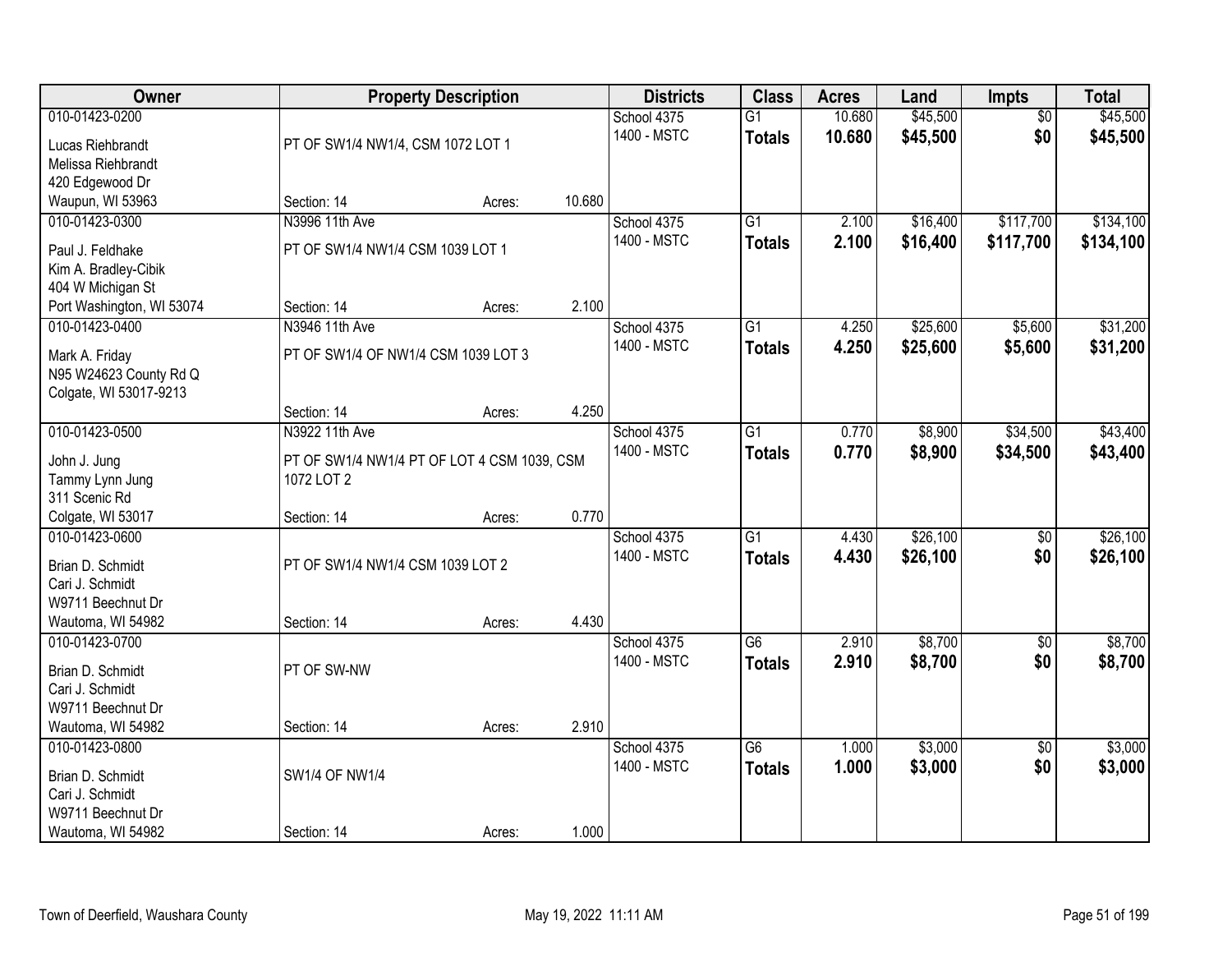| Owner                                  |                                                           | <b>Property Description</b> |        | <b>Districts</b>           | <b>Class</b>                     | <b>Acres</b>     | Land                 | Impts                  | <b>Total</b>         |
|----------------------------------------|-----------------------------------------------------------|-----------------------------|--------|----------------------------|----------------------------------|------------------|----------------------|------------------------|----------------------|
| 010-01423-0200<br>Lucas Riehbrandt     | PT OF SW1/4 NW1/4, CSM 1072 LOT 1                         |                             |        | School 4375<br>1400 - MSTC | $\overline{G1}$<br><b>Totals</b> | 10.680<br>10.680 | \$45,500<br>\$45,500 | $\overline{50}$<br>\$0 | \$45,500<br>\$45,500 |
| Melissa Riehbrandt                     |                                                           |                             |        |                            |                                  |                  |                      |                        |                      |
| 420 Edgewood Dr                        |                                                           |                             |        |                            |                                  |                  |                      |                        |                      |
| Waupun, WI 53963                       | Section: 14                                               | Acres:                      | 10.680 |                            |                                  |                  |                      |                        |                      |
| 010-01423-0300                         | N3996 11th Ave                                            |                             |        | School 4375                | $\overline{G1}$                  | 2.100            | \$16,400             | \$117,700              | \$134,100            |
| Paul J. Feldhake                       | PT OF SW1/4 NW1/4 CSM 1039 LOT 1                          |                             |        | 1400 - MSTC                | <b>Totals</b>                    | 2.100            | \$16,400             | \$117,700              | \$134,100            |
| Kim A. Bradley-Cibik                   |                                                           |                             |        |                            |                                  |                  |                      |                        |                      |
| 404 W Michigan St                      |                                                           |                             |        |                            |                                  |                  |                      |                        |                      |
| Port Washington, WI 53074              | Section: 14                                               | Acres:                      | 2.100  |                            |                                  |                  |                      |                        |                      |
| 010-01423-0400                         | N3946 11th Ave                                            |                             |        | School 4375                | G1                               | 4.250            | \$25,600             | \$5,600                | \$31,200             |
| Mark A. Friday                         | PT OF SW1/4 OF NW1/4 CSM 1039 LOT 3                       |                             |        | 1400 - MSTC                | <b>Totals</b>                    | 4.250            | \$25,600             | \$5,600                | \$31,200             |
| N95 W24623 County Rd Q                 |                                                           |                             |        |                            |                                  |                  |                      |                        |                      |
| Colgate, WI 53017-9213                 |                                                           |                             |        |                            |                                  |                  |                      |                        |                      |
|                                        | Section: 14                                               | Acres:                      | 4.250  |                            |                                  |                  |                      |                        |                      |
| 010-01423-0500                         | N3922 11th Ave                                            |                             |        | School 4375                | $\overline{G1}$                  | 0.770            | \$8,900              | \$34,500               | \$43,400             |
|                                        |                                                           |                             |        | 1400 - MSTC                | <b>Totals</b>                    | 0.770            | \$8,900              | \$34,500               | \$43,400             |
| John J. Jung<br>Tammy Lynn Jung        | PT OF SW1/4 NW1/4 PT OF LOT 4 CSM 1039, CSM<br>1072 LOT 2 |                             |        |                            |                                  |                  |                      |                        |                      |
| 311 Scenic Rd                          |                                                           |                             |        |                            |                                  |                  |                      |                        |                      |
| Colgate, WI 53017                      | Section: 14                                               | Acres:                      | 0.770  |                            |                                  |                  |                      |                        |                      |
| 010-01423-0600                         |                                                           |                             |        | School 4375                | $\overline{G1}$                  | 4.430            | \$26,100             | $\overline{50}$        | \$26,100             |
|                                        |                                                           |                             |        | 1400 - MSTC                | <b>Totals</b>                    | 4.430            | \$26,100             | \$0                    | \$26,100             |
| Brian D. Schmidt<br>Cari J. Schmidt    | PT OF SW1/4 NW1/4 CSM 1039 LOT 2                          |                             |        |                            |                                  |                  |                      |                        |                      |
| W9711 Beechnut Dr                      |                                                           |                             |        |                            |                                  |                  |                      |                        |                      |
| Wautoma, WI 54982                      | Section: 14                                               | Acres:                      | 4.430  |                            |                                  |                  |                      |                        |                      |
| 010-01423-0700                         |                                                           |                             |        | School 4375                | G6                               | 2.910            | \$8,700              | $\overline{60}$        | \$8,700              |
|                                        |                                                           |                             |        | 1400 - MSTC                | <b>Totals</b>                    | 2.910            | \$8,700              | \$0                    | \$8,700              |
| Brian D. Schmidt                       | PT OF SW-NW                                               |                             |        |                            |                                  |                  |                      |                        |                      |
| Cari J. Schmidt                        |                                                           |                             |        |                            |                                  |                  |                      |                        |                      |
| W9711 Beechnut Dr<br>Wautoma, WI 54982 | Section: 14                                               | Acres:                      | 2.910  |                            |                                  |                  |                      |                        |                      |
| 010-01423-0800                         |                                                           |                             |        | School 4375                | $\overline{G6}$                  | 1.000            | \$3,000              | $\overline{30}$        | \$3,000              |
|                                        |                                                           |                             |        | 1400 - MSTC                | <b>Totals</b>                    | 1.000            | \$3,000              | \$0                    | \$3,000              |
| Brian D. Schmidt                       | <b>SW1/4 OF NW1/4</b>                                     |                             |        |                            |                                  |                  |                      |                        |                      |
| Cari J. Schmidt                        |                                                           |                             |        |                            |                                  |                  |                      |                        |                      |
| W9711 Beechnut Dr                      |                                                           |                             |        |                            |                                  |                  |                      |                        |                      |
| Wautoma, WI 54982                      | Section: 14                                               | Acres:                      | 1.000  |                            |                                  |                  |                      |                        |                      |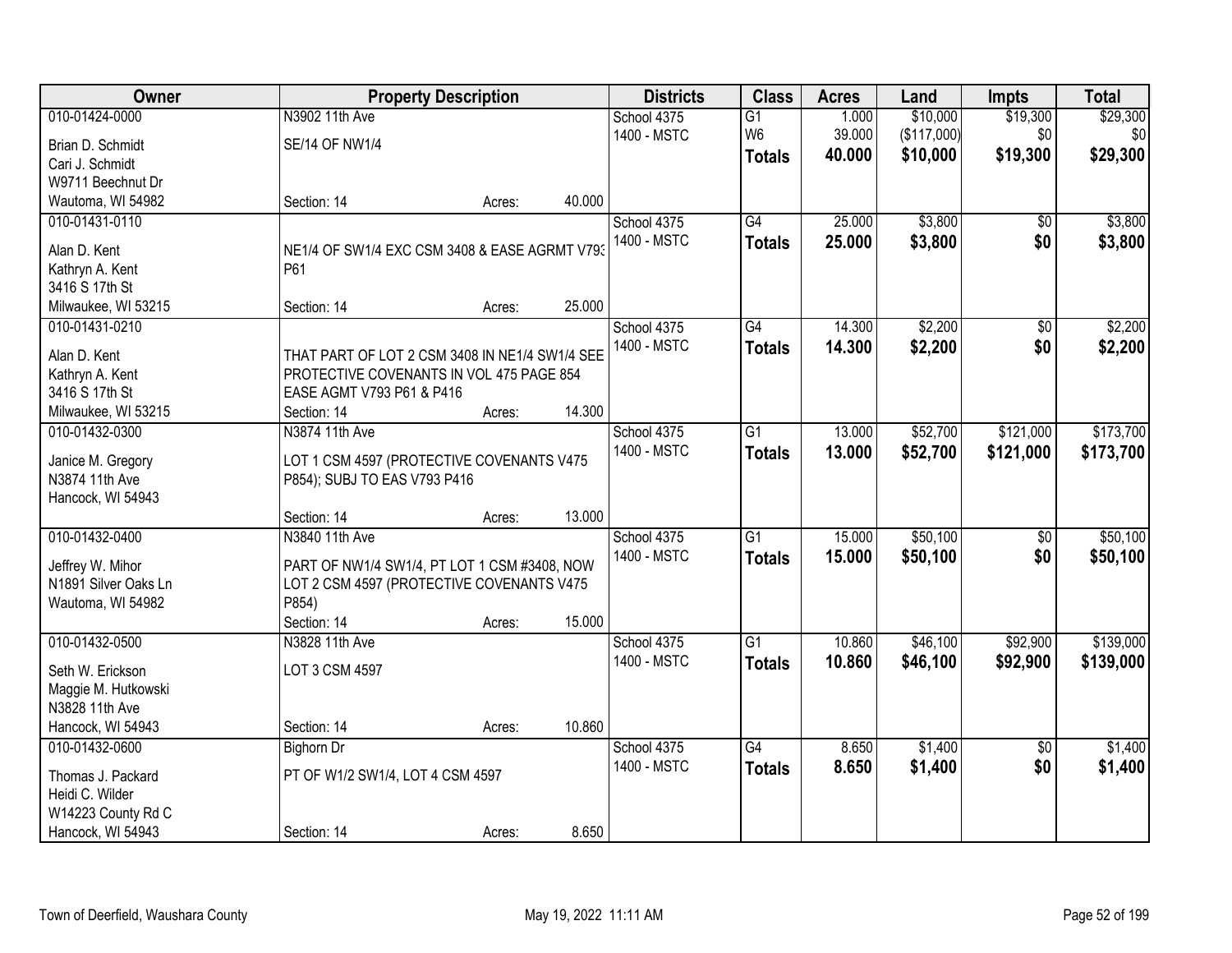| Owner                                 |                                                | <b>Property Description</b> |        | <b>Districts</b> | <b>Class</b>    | <b>Acres</b> | Land        | <b>Impts</b>    | <b>Total</b> |
|---------------------------------------|------------------------------------------------|-----------------------------|--------|------------------|-----------------|--------------|-------------|-----------------|--------------|
| 010-01424-0000                        | N3902 11th Ave                                 |                             |        | School 4375      | $\overline{G1}$ | 1.000        | \$10,000    | \$19,300        | \$29,300     |
| Brian D. Schmidt                      | <b>SE/14 OF NW1/4</b>                          |                             |        | 1400 - MSTC      | W <sub>6</sub>  | 39.000       | (\$117,000) | \$0             | \$0          |
| Cari J. Schmidt                       |                                                |                             |        |                  | <b>Totals</b>   | 40.000       | \$10,000    | \$19,300        | \$29,300     |
| W9711 Beechnut Dr                     |                                                |                             |        |                  |                 |              |             |                 |              |
| Wautoma, WI 54982                     | Section: 14                                    | Acres:                      | 40.000 |                  |                 |              |             |                 |              |
| 010-01431-0110                        |                                                |                             |        | School 4375      | $\overline{G4}$ | 25.000       | \$3,800     | \$0             | \$3,800      |
|                                       |                                                |                             |        | 1400 - MSTC      | <b>Totals</b>   | 25.000       | \$3,800     | \$0             | \$3,800      |
| Alan D. Kent                          | NE1/4 OF SW1/4 EXC CSM 3408 & EASE AGRMT V793  |                             |        |                  |                 |              |             |                 |              |
| Kathryn A. Kent                       | P61                                            |                             |        |                  |                 |              |             |                 |              |
| 3416 S 17th St                        | Section: 14                                    |                             | 25.000 |                  |                 |              |             |                 |              |
| Milwaukee, WI 53215<br>010-01431-0210 |                                                | Acres:                      |        |                  | $\overline{G4}$ | 14.300       | \$2,200     |                 | \$2,200      |
|                                       |                                                |                             |        | School 4375      |                 |              |             | $\overline{50}$ |              |
| Alan D. Kent                          | THAT PART OF LOT 2 CSM 3408 IN NE1/4 SW1/4 SEE |                             |        | 1400 - MSTC      | <b>Totals</b>   | 14.300       | \$2,200     | \$0             | \$2,200      |
| Kathryn A. Kent                       | PROTECTIVE COVENANTS IN VOL 475 PAGE 854       |                             |        |                  |                 |              |             |                 |              |
| 3416 S 17th St                        | EASE AGMT V793 P61 & P416                      |                             |        |                  |                 |              |             |                 |              |
| Milwaukee, WI 53215                   | Section: 14                                    | Acres:                      | 14.300 |                  |                 |              |             |                 |              |
| 010-01432-0300                        | N3874 11th Ave                                 |                             |        | School 4375      | G1              | 13.000       | \$52,700    | \$121,000       | \$173,700    |
| Janice M. Gregory                     | LOT 1 CSM 4597 (PROTECTIVE COVENANTS V475      |                             |        | 1400 - MSTC      | <b>Totals</b>   | 13.000       | \$52,700    | \$121,000       | \$173,700    |
| N3874 11th Ave                        | P854); SUBJ TO EAS V793 P416                   |                             |        |                  |                 |              |             |                 |              |
| Hancock, WI 54943                     |                                                |                             |        |                  |                 |              |             |                 |              |
|                                       | Section: 14                                    | Acres:                      | 13.000 |                  |                 |              |             |                 |              |
| 010-01432-0400                        | N3840 11th Ave                                 |                             |        | School 4375      | $\overline{G1}$ | 15.000       | \$50,100    | $\overline{50}$ | \$50,100     |
|                                       |                                                |                             |        | 1400 - MSTC      |                 | 15.000       | \$50,100    | \$0             | \$50,100     |
| Jeffrey W. Mihor                      | PART OF NW1/4 SW1/4, PT LOT 1 CSM #3408, NOW   |                             |        |                  | <b>Totals</b>   |              |             |                 |              |
| N1891 Silver Oaks Ln                  | LOT 2 CSM 4597 (PROTECTIVE COVENANTS V475      |                             |        |                  |                 |              |             |                 |              |
| Wautoma, WI 54982                     | P854)                                          |                             |        |                  |                 |              |             |                 |              |
|                                       | Section: 14                                    | Acres:                      | 15.000 |                  |                 |              |             |                 |              |
| 010-01432-0500                        | N3828 11th Ave                                 |                             |        | School 4375      | G1              | 10.860       | \$46,100    | \$92,900        | \$139,000    |
| Seth W. Erickson                      | LOT 3 CSM 4597                                 |                             |        | 1400 - MSTC      | <b>Totals</b>   | 10.860       | \$46,100    | \$92,900        | \$139,000    |
| Maggie M. Hutkowski                   |                                                |                             |        |                  |                 |              |             |                 |              |
| N3828 11th Ave                        |                                                |                             |        |                  |                 |              |             |                 |              |
| Hancock, WI 54943                     | Section: 14                                    | Acres:                      | 10.860 |                  |                 |              |             |                 |              |
| 010-01432-0600                        | <b>Bighorn Dr</b>                              |                             |        | School 4375      | $\overline{G4}$ | 8.650        | \$1,400     | $\overline{50}$ | \$1,400      |
|                                       |                                                |                             |        | 1400 - MSTC      | <b>Totals</b>   | 8.650        | \$1,400     | \$0             | \$1,400      |
| Thomas J. Packard                     | PT OF W1/2 SW1/4, LOT 4 CSM 4597               |                             |        |                  |                 |              |             |                 |              |
| Heidi C. Wilder                       |                                                |                             |        |                  |                 |              |             |                 |              |
| W14223 County Rd C                    |                                                |                             |        |                  |                 |              |             |                 |              |
| Hancock, WI 54943                     | Section: 14                                    | Acres:                      | 8.650  |                  |                 |              |             |                 |              |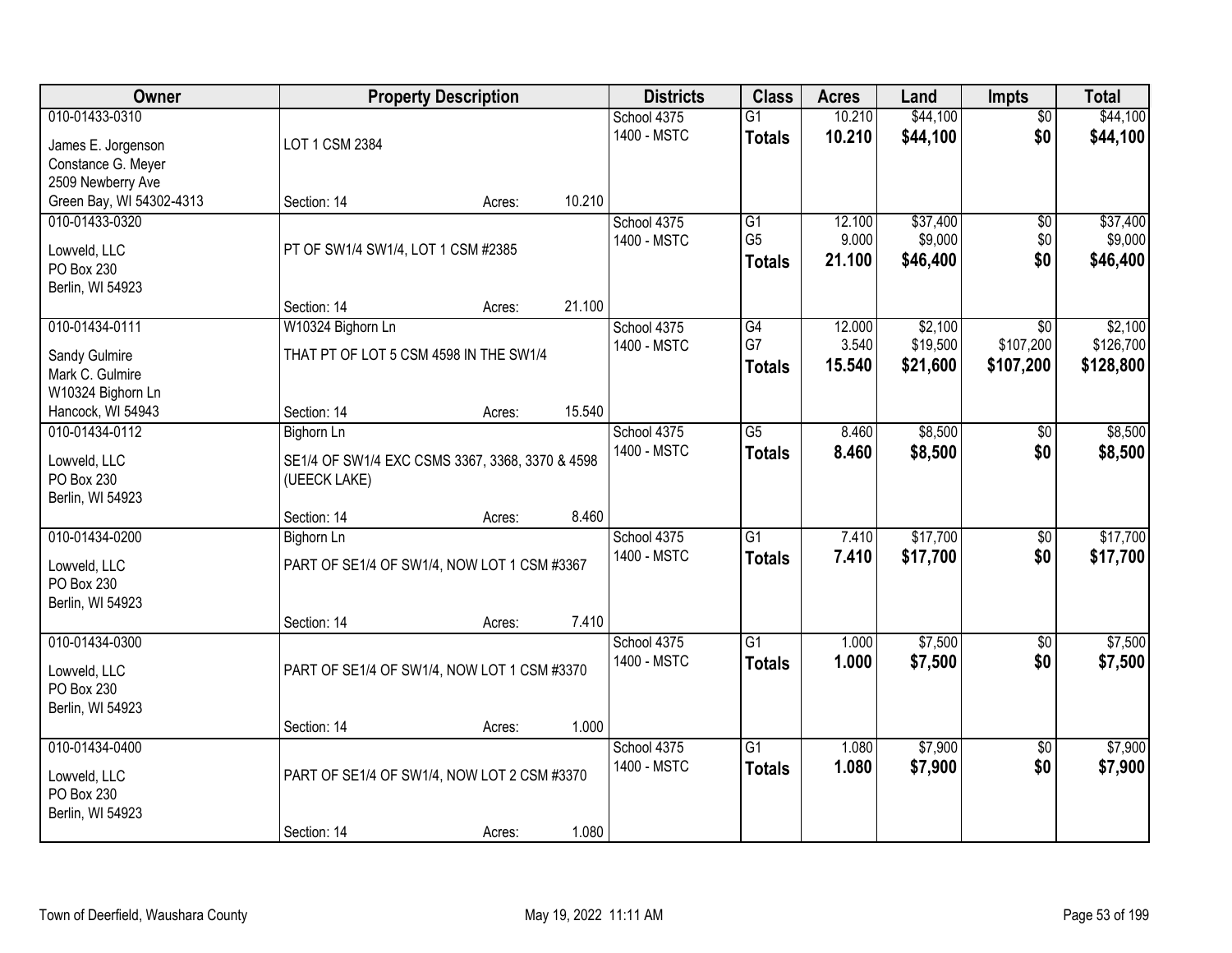| Owner                      |                                                                 | <b>Property Description</b> |        | <b>Districts</b> | <b>Class</b>    | <b>Acres</b> | Land     | Impts           | <b>Total</b> |
|----------------------------|-----------------------------------------------------------------|-----------------------------|--------|------------------|-----------------|--------------|----------|-----------------|--------------|
| 010-01433-0310             |                                                                 |                             |        | School 4375      | $\overline{G1}$ | 10.210       | \$44,100 | $\overline{50}$ | \$44,100     |
| James E. Jorgenson         | LOT 1 CSM 2384                                                  |                             |        | 1400 - MSTC      | <b>Totals</b>   | 10.210       | \$44,100 | \$0             | \$44,100     |
| Constance G. Meyer         |                                                                 |                             |        |                  |                 |              |          |                 |              |
| 2509 Newberry Ave          |                                                                 |                             |        |                  |                 |              |          |                 |              |
| Green Bay, WI 54302-4313   | Section: 14                                                     | Acres:                      | 10.210 |                  |                 |              |          |                 |              |
| 010-01433-0320             |                                                                 |                             |        | School 4375      | G1              | 12.100       | \$37,400 | $\overline{50}$ | \$37,400     |
| Lowveld, LLC               | PT OF SW1/4 SW1/4, LOT 1 CSM #2385                              |                             |        | 1400 - MSTC      | G <sub>5</sub>  | 9.000        | \$9,000  | \$0             | \$9,000      |
| PO Box 230                 |                                                                 |                             |        |                  | <b>Totals</b>   | 21.100       | \$46,400 | \$0             | \$46,400     |
| Berlin, WI 54923           |                                                                 |                             |        |                  |                 |              |          |                 |              |
|                            | Section: 14                                                     | Acres:                      | 21.100 |                  |                 |              |          |                 |              |
| 010-01434-0111             | W10324 Bighorn Ln                                               |                             |        | School 4375      | G4              | 12.000       | \$2,100  | \$0             | \$2,100      |
| Sandy Gulmire              | THAT PT OF LOT 5 CSM 4598 IN THE SW1/4                          |                             |        | 1400 - MSTC      | G7              | 3.540        | \$19,500 | \$107,200       | \$126,700    |
| Mark C. Gulmire            |                                                                 |                             |        |                  | <b>Totals</b>   | 15.540       | \$21,600 | \$107,200       | \$128,800    |
| W10324 Bighorn Ln          |                                                                 |                             |        |                  |                 |              |          |                 |              |
| Hancock, WI 54943          | Section: 14                                                     | Acres:                      | 15.540 |                  |                 |              |          |                 |              |
| 010-01434-0112             | <b>Bighorn Ln</b>                                               |                             |        | School 4375      | $\overline{G5}$ | 8.460        | \$8,500  | \$0             | \$8,500      |
| Lowveld, LLC               |                                                                 |                             |        | 1400 - MSTC      | <b>Totals</b>   | 8.460        | \$8,500  | \$0             | \$8,500      |
| PO Box 230                 | SE1/4 OF SW1/4 EXC CSMS 3367, 3368, 3370 & 4598<br>(UEECK LAKE) |                             |        |                  |                 |              |          |                 |              |
| Berlin, WI 54923           |                                                                 |                             |        |                  |                 |              |          |                 |              |
|                            | Section: 14                                                     | Acres:                      | 8.460  |                  |                 |              |          |                 |              |
| 010-01434-0200             | <b>Bighorn Ln</b>                                               |                             |        | School 4375      | $\overline{G1}$ | 7.410        | \$17,700 | $\overline{50}$ | \$17,700     |
|                            |                                                                 |                             |        | 1400 - MSTC      | <b>Totals</b>   | 7.410        | \$17,700 | \$0             | \$17,700     |
| Lowveld, LLC<br>PO Box 230 | PART OF SE1/4 OF SW1/4, NOW LOT 1 CSM #3367                     |                             |        |                  |                 |              |          |                 |              |
| Berlin, WI 54923           |                                                                 |                             |        |                  |                 |              |          |                 |              |
|                            | Section: 14                                                     | Acres:                      | 7.410  |                  |                 |              |          |                 |              |
| 010-01434-0300             |                                                                 |                             |        | School 4375      | $\overline{G1}$ | 1.000        | \$7,500  | $\sqrt{6}$      | \$7,500      |
|                            |                                                                 |                             |        | 1400 - MSTC      | <b>Totals</b>   | 1.000        | \$7,500  | \$0             | \$7,500      |
| Lowveld, LLC<br>PO Box 230 | PART OF SE1/4 OF SW1/4, NOW LOT 1 CSM #3370                     |                             |        |                  |                 |              |          |                 |              |
| Berlin, WI 54923           |                                                                 |                             |        |                  |                 |              |          |                 |              |
|                            | Section: 14                                                     | Acres:                      | 1.000  |                  |                 |              |          |                 |              |
| 010-01434-0400             |                                                                 |                             |        | School 4375      | $\overline{G1}$ | 1.080        | \$7,900  | $\overline{50}$ | \$7,900      |
|                            |                                                                 |                             |        | 1400 - MSTC      | <b>Totals</b>   | 1.080        | \$7,900  | \$0             | \$7,900      |
| Lowveld, LLC<br>PO Box 230 | PART OF SE1/4 OF SW1/4, NOW LOT 2 CSM #3370                     |                             |        |                  |                 |              |          |                 |              |
| Berlin, WI 54923           |                                                                 |                             |        |                  |                 |              |          |                 |              |
|                            | Section: 14                                                     | Acres:                      | 1.080  |                  |                 |              |          |                 |              |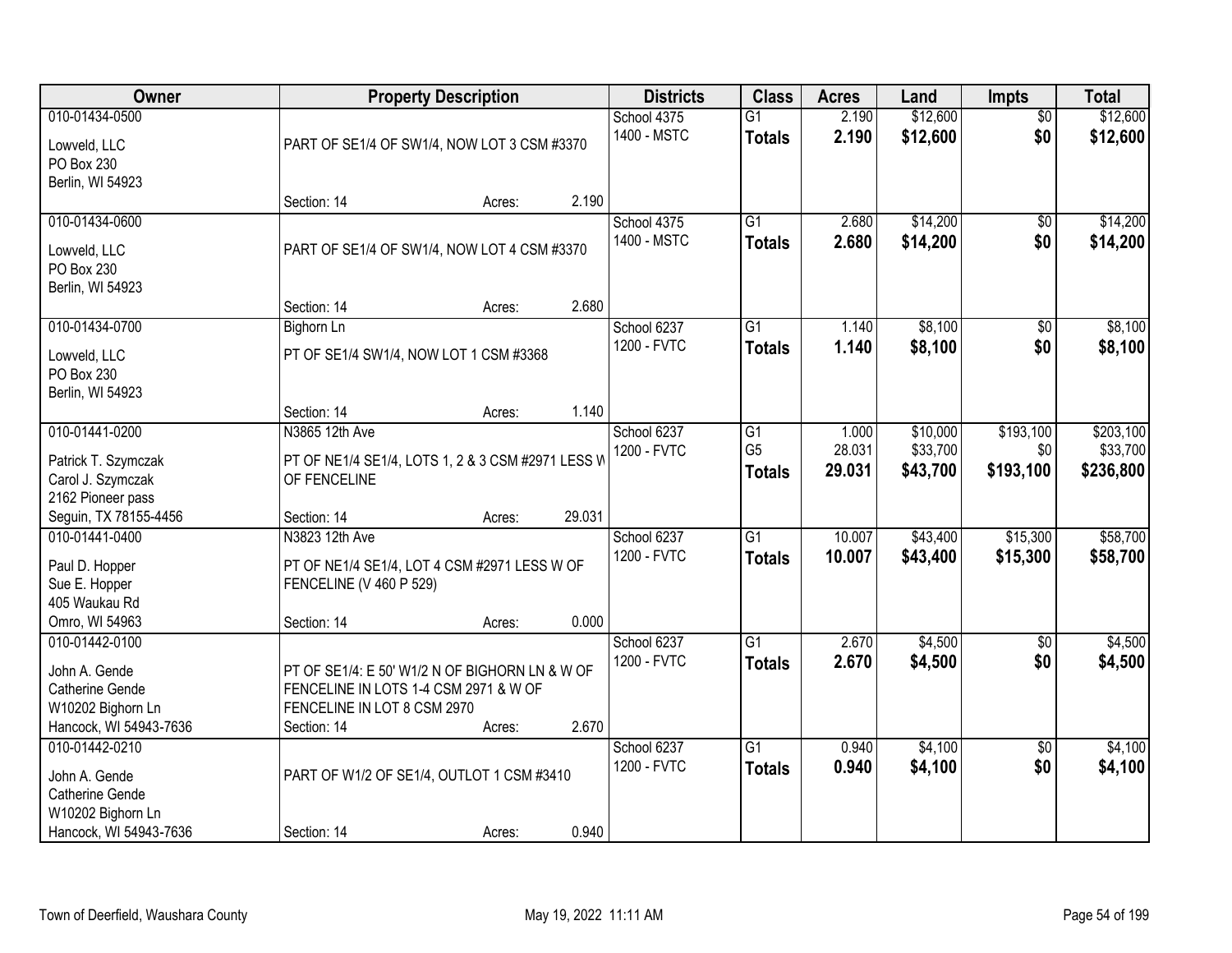| Owner                                                                                | <b>Property Description</b>                                                                                                           | <b>Districts</b> | <b>Class</b> | <b>Acres</b>               | Land                                  | <b>Impts</b>              | <b>Total</b>                     |                               |                                    |
|--------------------------------------------------------------------------------------|---------------------------------------------------------------------------------------------------------------------------------------|------------------|--------------|----------------------------|---------------------------------------|---------------------------|----------------------------------|-------------------------------|------------------------------------|
| 010-01434-0500<br>Lowveld, LLC<br>PO Box 230                                         | PART OF SE1/4 OF SW1/4, NOW LOT 3 CSM #3370                                                                                           |                  |              | School 4375<br>1400 - MSTC | $\overline{G1}$<br><b>Totals</b>      | 2.190<br>2.190            | \$12,600<br>\$12,600             | $\overline{50}$<br>\$0        | \$12,600<br>\$12,600               |
| Berlin, WI 54923                                                                     | Section: 14                                                                                                                           | Acres:           | 2.190        |                            |                                       |                           |                                  |                               |                                    |
| 010-01434-0600<br>Lowveld, LLC<br>PO Box 230<br>Berlin, WI 54923                     | PART OF SE1/4 OF SW1/4, NOW LOT 4 CSM #3370                                                                                           |                  |              | School 4375<br>1400 - MSTC | $\overline{G1}$<br><b>Totals</b>      | 2.680<br>2.680            | \$14,200<br>\$14,200             | \$0<br>\$0                    | \$14,200<br>\$14,200               |
|                                                                                      | Section: 14                                                                                                                           | Acres:           | 2.680        |                            |                                       |                           |                                  |                               |                                    |
| 010-01434-0700<br>Lowveld, LLC<br>PO Box 230<br>Berlin, WI 54923                     | <b>Bighorn Ln</b><br>PT OF SE1/4 SW1/4, NOW LOT 1 CSM #3368                                                                           |                  |              | School 6237<br>1200 - FVTC | G1<br><b>Totals</b>                   | 1.140<br>1.140            | \$8,100<br>\$8,100               | \$0<br>\$0                    | \$8,100<br>\$8,100                 |
|                                                                                      | Section: 14                                                                                                                           | Acres:           | 1.140        |                            |                                       |                           |                                  |                               |                                    |
| 010-01441-0200<br>Patrick T. Szymczak<br>Carol J. Szymczak<br>2162 Pioneer pass      | N3865 12th Ave<br>PT OF NE1/4 SE1/4, LOTS 1, 2 & 3 CSM #2971 LESS W<br>OF FENCELINE                                                   |                  |              | School 6237<br>1200 - FVTC | G1<br>G <sub>5</sub><br><b>Totals</b> | 1.000<br>28.031<br>29.031 | \$10,000<br>\$33,700<br>\$43,700 | \$193,100<br>\$0<br>\$193,100 | \$203,100<br>\$33,700<br>\$236,800 |
| Seguin, TX 78155-4456                                                                | Section: 14                                                                                                                           | Acres:           | 29.031       |                            |                                       |                           |                                  |                               |                                    |
| 010-01441-0400<br>Paul D. Hopper<br>Sue E. Hopper<br>405 Waukau Rd<br>Omro, WI 54963 | N3823 12th Ave<br>PT OF NE1/4 SE1/4, LOT 4 CSM #2971 LESS W OF<br>FENCELINE (V 460 P 529)<br>Section: 14                              | Acres:           | 0.000        | School 6237<br>1200 - FVTC | $\overline{G1}$<br><b>Totals</b>      | 10.007<br>10.007          | \$43,400<br>\$43,400             | \$15,300<br>\$15,300          | \$58,700<br>\$58,700               |
| 010-01442-0100                                                                       |                                                                                                                                       |                  |              | School 6237                | $\overline{G1}$                       | 2.670                     | \$4,500                          | $\overline{60}$               | \$4,500                            |
| John A. Gende<br>Catherine Gende<br>W10202 Bighorn Ln<br>Hancock, WI 54943-7636      | PT OF SE1/4: E 50' W1/2 N OF BIGHORN LN & W OF<br>FENCELINE IN LOTS 1-4 CSM 2971 & W OF<br>FENCELINE IN LOT 8 CSM 2970<br>Section: 14 | Acres:           | 2.670        | 1200 - FVTC                | <b>Totals</b>                         | 2.670                     | \$4,500                          | \$0                           | \$4,500                            |
| 010-01442-0210<br>John A. Gende<br>Catherine Gende                                   | PART OF W1/2 OF SE1/4, OUTLOT 1 CSM #3410                                                                                             |                  |              | School 6237<br>1200 - FVTC | $\overline{G1}$<br><b>Totals</b>      | 0.940<br>0.940            | \$4,100<br>\$4,100               | $\overline{30}$<br>\$0        | \$4,100<br>\$4,100                 |
| W10202 Bighorn Ln<br>Hancock, WI 54943-7636                                          | Section: 14                                                                                                                           | Acres:           | 0.940        |                            |                                       |                           |                                  |                               |                                    |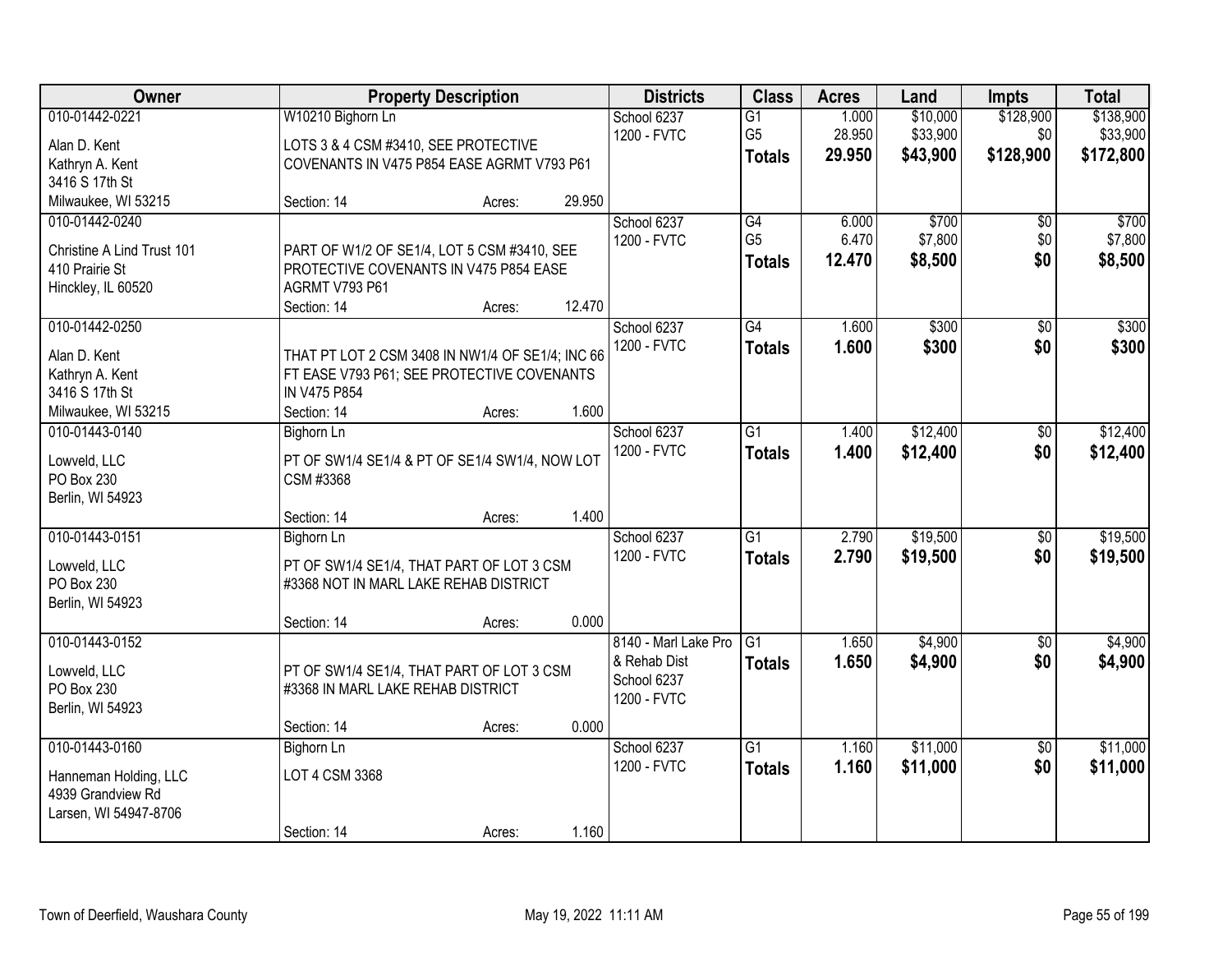| Owner                                                               | <b>Property Description</b>                                                                                           |        | <b>Districts</b> | <b>Class</b>                                                       | <b>Acres</b>                                       | Land                      | <b>Impts</b>                     | <b>Total</b>                  |                                    |
|---------------------------------------------------------------------|-----------------------------------------------------------------------------------------------------------------------|--------|------------------|--------------------------------------------------------------------|----------------------------------------------------|---------------------------|----------------------------------|-------------------------------|------------------------------------|
| 010-01442-0221<br>Alan D. Kent                                      | W10210 Bighorn Ln<br>LOTS 3 & 4 CSM #3410, SEE PROTECTIVE                                                             |        |                  | School 6237<br>1200 - FVTC                                         | $\overline{G1}$<br>G <sub>5</sub><br><b>Totals</b> | 1.000<br>28.950<br>29.950 | \$10,000<br>\$33,900<br>\$43,900 | \$128,900<br>\$0<br>\$128,900 | \$138,900<br>\$33,900<br>\$172,800 |
| Kathryn A. Kent<br>3416 S 17th St                                   | COVENANTS IN V475 P854 EASE AGRMT V793 P61                                                                            |        |                  |                                                                    |                                                    |                           |                                  |                               |                                    |
| Milwaukee, WI 53215                                                 | Section: 14                                                                                                           | Acres: | 29.950           |                                                                    |                                                    |                           |                                  |                               |                                    |
| 010-01442-0240<br>Christine A Lind Trust 101                        | PART OF W1/2 OF SE1/4, LOT 5 CSM #3410, SEE                                                                           |        |                  | School 6237<br>1200 - FVTC                                         | G4<br>G <sub>5</sub><br><b>Totals</b>              | 6.000<br>6.470<br>12.470  | \$700<br>\$7,800<br>\$8,500      | $\overline{50}$<br>\$0<br>\$0 | \$700<br>\$7,800<br>\$8,500        |
| 410 Prairie St<br>Hinckley, IL 60520                                | PROTECTIVE COVENANTS IN V475 P854 EASE<br>AGRMT V793 P61<br>Section: 14                                               | Acres: | 12.470           |                                                                    |                                                    |                           |                                  |                               |                                    |
| 010-01442-0250                                                      |                                                                                                                       |        |                  | School 6237                                                        | $\overline{G4}$                                    | 1.600                     | \$300                            | \$0                           | \$300                              |
| Alan D. Kent<br>Kathryn A. Kent<br>3416 S 17th St                   | THAT PT LOT 2 CSM 3408 IN NW1/4 OF SE1/4; INC 66<br>FT EASE V793 P61; SEE PROTECTIVE COVENANTS<br><b>IN V475 P854</b> |        |                  | 1200 - FVTC                                                        | <b>Totals</b>                                      | 1.600                     | \$300                            | \$0                           | \$300                              |
| Milwaukee, WI 53215                                                 | Section: 14                                                                                                           | Acres: | 1.600            |                                                                    |                                                    |                           |                                  |                               |                                    |
| 010-01443-0140                                                      | Bighorn Ln                                                                                                            |        |                  | School 6237<br>1200 - FVTC                                         | G1<br><b>Totals</b>                                | 1.400<br>1.400            | \$12,400<br>\$12,400             | \$0<br>\$0                    | \$12,400<br>\$12,400               |
| Lowveld, LLC<br>PO Box 230<br>Berlin, WI 54923                      | PT OF SW1/4 SE1/4 & PT OF SE1/4 SW1/4, NOW LOT<br>CSM #3368                                                           |        |                  |                                                                    |                                                    |                           |                                  |                               |                                    |
|                                                                     | Section: 14                                                                                                           | Acres: | 1.400            |                                                                    |                                                    |                           |                                  |                               |                                    |
| 010-01443-0151                                                      | <b>Bighorn Ln</b>                                                                                                     |        |                  | School 6237                                                        | $\overline{G1}$                                    | 2.790                     | \$19,500                         | $\overline{50}$               | \$19,500                           |
| Lowveld, LLC<br>PO Box 230<br>Berlin, WI 54923                      | PT OF SW1/4 SE1/4, THAT PART OF LOT 3 CSM<br>#3368 NOT IN MARL LAKE REHAB DISTRICT                                    |        |                  | 1200 - FVTC                                                        | <b>Totals</b>                                      | 2.790                     | \$19,500                         | \$0                           | \$19,500                           |
|                                                                     | Section: 14                                                                                                           | Acres: | 0.000            |                                                                    |                                                    |                           |                                  |                               |                                    |
| 010-01443-0152<br>Lowveld, LLC<br>PO Box 230<br>Berlin, WI 54923    | PT OF SW1/4 SE1/4, THAT PART OF LOT 3 CSM<br>#3368 IN MARL LAKE REHAB DISTRICT                                        |        |                  | 8140 - Marl Lake Pro<br>& Rehab Dist<br>School 6237<br>1200 - FVTC | G1<br><b>Totals</b>                                | 1.650<br>1.650            | \$4,900<br>\$4,900               | $\sqrt{6}$<br>\$0             | \$4,900<br>\$4,900                 |
|                                                                     | Section: 14                                                                                                           | Acres: | 0.000            |                                                                    |                                                    |                           |                                  |                               |                                    |
| 010-01443-0160                                                      | <b>Bighorn Ln</b>                                                                                                     |        |                  | School 6237                                                        | $\overline{G1}$                                    | 1.160                     | \$11,000                         | $\overline{50}$               | \$11,000                           |
| Hanneman Holding, LLC<br>4939 Grandview Rd<br>Larsen, WI 54947-8706 | LOT 4 CSM 3368                                                                                                        |        |                  | 1200 - FVTC                                                        | <b>Totals</b>                                      | 1.160                     | \$11,000                         | \$0                           | \$11,000                           |
|                                                                     | Section: 14                                                                                                           | Acres: | 1.160            |                                                                    |                                                    |                           |                                  |                               |                                    |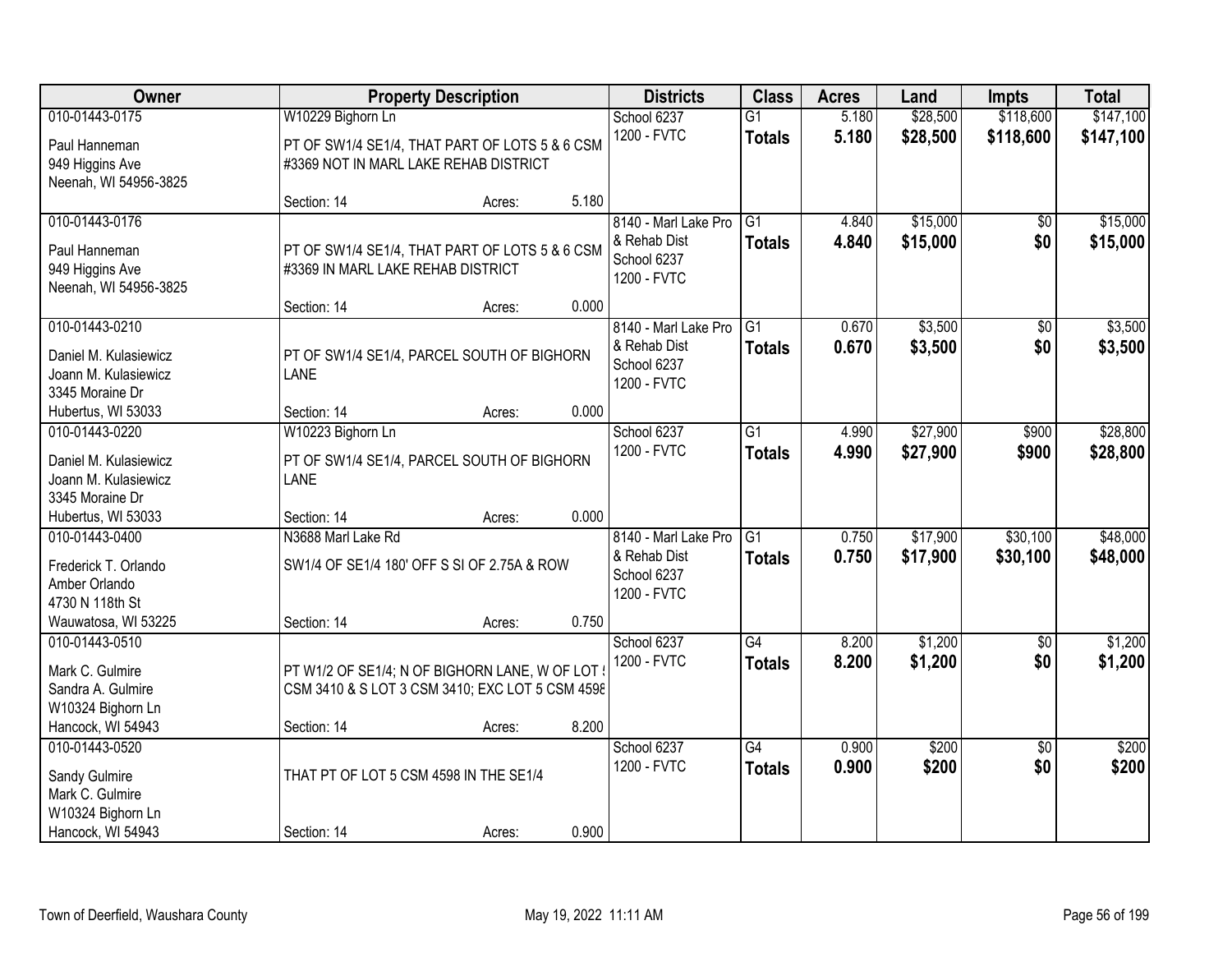| Owner                                 |                                                 | <b>Property Description</b> |       | <b>Districts</b>     | <b>Class</b>    | <b>Acres</b> | Land     | <b>Impts</b>    | <b>Total</b> |
|---------------------------------------|-------------------------------------------------|-----------------------------|-------|----------------------|-----------------|--------------|----------|-----------------|--------------|
| 010-01443-0175                        | W10229 Bighorn Ln                               |                             |       | School 6237          | $\overline{G1}$ | 5.180        | \$28,500 | \$118,600       | \$147,100    |
| Paul Hanneman                         | PT OF SW1/4 SE1/4, THAT PART OF LOTS 5 & 6 CSM  |                             |       | 1200 - FVTC          | <b>Totals</b>   | 5.180        | \$28,500 | \$118,600       | \$147,100    |
| 949 Higgins Ave                       | #3369 NOT IN MARL LAKE REHAB DISTRICT           |                             |       |                      |                 |              |          |                 |              |
| Neenah, WI 54956-3825                 |                                                 |                             |       |                      |                 |              |          |                 |              |
|                                       | Section: 14                                     | Acres:                      | 5.180 |                      |                 |              |          |                 |              |
| 010-01443-0176                        |                                                 |                             |       | 8140 - Marl Lake Pro | $\overline{G1}$ | 4.840        | \$15,000 | \$0             | \$15,000     |
| Paul Hanneman                         | PT OF SW1/4 SE1/4, THAT PART OF LOTS 5 & 6 CSM  |                             |       | & Rehab Dist         | <b>Totals</b>   | 4.840        | \$15,000 | \$0             | \$15,000     |
| 949 Higgins Ave                       | #3369 IN MARL LAKE REHAB DISTRICT               |                             |       | School 6237          |                 |              |          |                 |              |
| Neenah, WI 54956-3825                 |                                                 |                             |       | 1200 - FVTC          |                 |              |          |                 |              |
|                                       | Section: 14                                     | Acres:                      | 0.000 |                      |                 |              |          |                 |              |
| 010-01443-0210                        |                                                 |                             |       | 8140 - Marl Lake Pro | G1              | 0.670        | \$3,500  | \$0             | \$3,500      |
| Daniel M. Kulasiewicz                 | PT OF SW1/4 SE1/4, PARCEL SOUTH OF BIGHORN      |                             |       | & Rehab Dist         | <b>Totals</b>   | 0.670        | \$3,500  | \$0             | \$3,500      |
| Joann M. Kulasiewicz                  | <b>LANE</b>                                     |                             |       | School 6237          |                 |              |          |                 |              |
| 3345 Moraine Dr                       |                                                 |                             |       | 1200 - FVTC          |                 |              |          |                 |              |
| Hubertus, WI 53033                    | Section: 14                                     | Acres:                      | 0.000 |                      |                 |              |          |                 |              |
| 010-01443-0220                        | W10223 Bighorn Ln                               |                             |       | School 6237          | G1              | 4.990        | \$27,900 | \$900           | \$28,800     |
|                                       |                                                 |                             |       | 1200 - FVTC          | <b>Totals</b>   | 4.990        | \$27,900 | \$900           | \$28,800     |
| Daniel M. Kulasiewicz                 | PT OF SW1/4 SE1/4, PARCEL SOUTH OF BIGHORN      |                             |       |                      |                 |              |          |                 |              |
| Joann M. Kulasiewicz                  | <b>LANE</b>                                     |                             |       |                      |                 |              |          |                 |              |
| 3345 Moraine Dr<br>Hubertus, WI 53033 | Section: 14                                     |                             | 0.000 |                      |                 |              |          |                 |              |
| 010-01443-0400                        | N3688 Marl Lake Rd                              | Acres:                      |       | 8140 - Marl Lake Pro | $\overline{G1}$ | 0.750        | \$17,900 | \$30,100        | \$48,000     |
|                                       |                                                 |                             |       | & Rehab Dist         |                 |              |          |                 |              |
| Frederick T. Orlando                  | SW1/4 OF SE1/4 180' OFF S SI OF 2.75A & ROW     |                             |       | School 6237          | <b>Totals</b>   | 0.750        | \$17,900 | \$30,100        | \$48,000     |
| Amber Orlando                         |                                                 |                             |       | 1200 - FVTC          |                 |              |          |                 |              |
| 4730 N 118th St                       |                                                 |                             |       |                      |                 |              |          |                 |              |
| Wauwatosa, WI 53225                   | Section: 14                                     | Acres:                      | 0.750 |                      |                 |              |          |                 |              |
| 010-01443-0510                        |                                                 |                             |       | School 6237          | $\overline{G4}$ | 8.200        | \$1,200  | $\overline{50}$ | \$1,200      |
| Mark C. Gulmire                       | PT W1/2 OF SE1/4; N OF BIGHORN LANE, W OF LOT ! |                             |       | 1200 - FVTC          | <b>Totals</b>   | 8.200        | \$1,200  | \$0             | \$1,200      |
| Sandra A. Gulmire                     | CSM 3410 & S LOT 3 CSM 3410; EXC LOT 5 CSM 4598 |                             |       |                      |                 |              |          |                 |              |
| W10324 Bighorn Ln                     |                                                 |                             |       |                      |                 |              |          |                 |              |
| Hancock, WI 54943                     | Section: 14                                     | Acres:                      | 8.200 |                      |                 |              |          |                 |              |
| 010-01443-0520                        |                                                 |                             |       | School 6237          | $\overline{G4}$ | 0.900        | \$200    | $\overline{50}$ | \$200        |
| Sandy Gulmire                         | THAT PT OF LOT 5 CSM 4598 IN THE SE1/4          |                             |       | 1200 - FVTC          | <b>Totals</b>   | 0.900        | \$200    | \$0             | \$200        |
| Mark C. Gulmire                       |                                                 |                             |       |                      |                 |              |          |                 |              |
| W10324 Bighorn Ln                     |                                                 |                             |       |                      |                 |              |          |                 |              |
| Hancock, WI 54943                     | Section: 14                                     | Acres:                      | 0.900 |                      |                 |              |          |                 |              |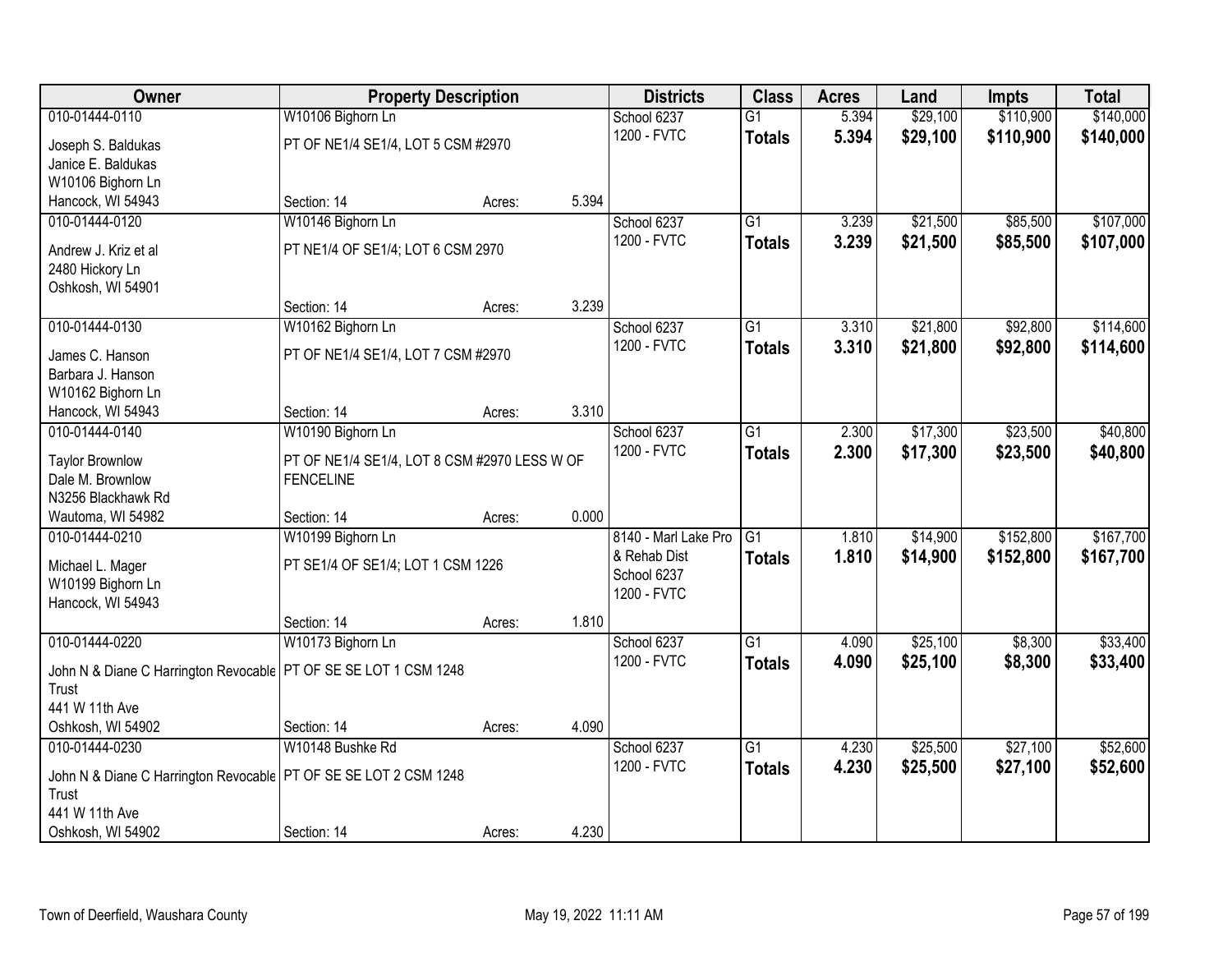| Owner                                                              |                                              | <b>Property Description</b> |       | <b>Districts</b>     | <b>Class</b>    | <b>Acres</b> | Land     | <b>Impts</b> | <b>Total</b> |
|--------------------------------------------------------------------|----------------------------------------------|-----------------------------|-------|----------------------|-----------------|--------------|----------|--------------|--------------|
| 010-01444-0110                                                     | W10106 Bighorn Ln                            |                             |       | School 6237          | $\overline{G1}$ | 5.394        | \$29,100 | \$110,900    | \$140,000    |
| Joseph S. Baldukas                                                 | PT OF NE1/4 SE1/4, LOT 5 CSM #2970           |                             |       | 1200 - FVTC          | <b>Totals</b>   | 5.394        | \$29,100 | \$110,900    | \$140,000    |
| Janice E. Baldukas                                                 |                                              |                             |       |                      |                 |              |          |              |              |
| W10106 Bighorn Ln                                                  |                                              |                             |       |                      |                 |              |          |              |              |
| Hancock, WI 54943                                                  | Section: 14                                  | Acres:                      | 5.394 |                      |                 |              |          |              |              |
| 010-01444-0120                                                     | W10146 Bighorn Ln                            |                             |       | School 6237          | $\overline{G1}$ | 3.239        | \$21,500 | \$85,500     | \$107,000    |
|                                                                    |                                              |                             |       | 1200 - FVTC          | <b>Totals</b>   | 3.239        | \$21,500 | \$85,500     | \$107,000    |
| Andrew J. Kriz et al                                               | PT NE1/4 OF SE1/4; LOT 6 CSM 2970            |                             |       |                      |                 |              |          |              |              |
| 2480 Hickory Ln<br>Oshkosh, WI 54901                               |                                              |                             |       |                      |                 |              |          |              |              |
|                                                                    | Section: 14                                  | Acres:                      | 3.239 |                      |                 |              |          |              |              |
| 010-01444-0130                                                     | W10162 Bighorn Ln                            |                             |       | School 6237          | $\overline{G1}$ | 3.310        | \$21,800 | \$92,800     | \$114,600    |
|                                                                    |                                              |                             |       | 1200 - FVTC          |                 | 3.310        | \$21,800 |              |              |
| James C. Hanson                                                    | PT OF NE1/4 SE1/4, LOT 7 CSM #2970           |                             |       |                      | <b>Totals</b>   |              |          | \$92,800     | \$114,600    |
| Barbara J. Hanson                                                  |                                              |                             |       |                      |                 |              |          |              |              |
| W10162 Bighorn Ln                                                  |                                              |                             |       |                      |                 |              |          |              |              |
| Hancock, WI 54943                                                  | Section: 14                                  | Acres:                      | 3.310 |                      |                 |              |          |              |              |
| 010-01444-0140                                                     | W10190 Bighorn Ln                            |                             |       | School 6237          | $\overline{G1}$ | 2.300        | \$17,300 | \$23,500     | \$40,800     |
| <b>Taylor Brownlow</b>                                             | PT OF NE1/4 SE1/4, LOT 8 CSM #2970 LESS W OF |                             |       | 1200 - FVTC          | <b>Totals</b>   | 2.300        | \$17,300 | \$23,500     | \$40,800     |
| Dale M. Brownlow                                                   | <b>FENCELINE</b>                             |                             |       |                      |                 |              |          |              |              |
| N3256 Blackhawk Rd                                                 |                                              |                             |       |                      |                 |              |          |              |              |
| Wautoma, WI 54982                                                  | Section: 14                                  | Acres:                      | 0.000 |                      |                 |              |          |              |              |
| 010-01444-0210                                                     | W10199 Bighorn Ln                            |                             |       | 8140 - Marl Lake Pro | $\overline{G1}$ | 1.810        | \$14,900 | \$152,800    | \$167,700    |
|                                                                    |                                              |                             |       | & Rehab Dist         | <b>Totals</b>   | 1.810        | \$14,900 | \$152,800    | \$167,700    |
| Michael L. Mager                                                   | PT SE1/4 OF SE1/4; LOT 1 CSM 1226            |                             |       | School 6237          |                 |              |          |              |              |
| W10199 Bighorn Ln                                                  |                                              |                             |       | 1200 - FVTC          |                 |              |          |              |              |
| Hancock, WI 54943                                                  |                                              |                             | 1.810 |                      |                 |              |          |              |              |
| 010-01444-0220                                                     | Section: 14                                  | Acres:                      |       |                      | $\overline{G1}$ |              | \$25,100 |              | \$33,400     |
|                                                                    | W10173 Bighorn Ln                            |                             |       | School 6237          |                 | 4.090        |          | \$8,300      |              |
| John N & Diane C Harrington Revocable   PT OF SE SE LOT 1 CSM 1248 |                                              |                             |       | 1200 - FVTC          | <b>Totals</b>   | 4.090        | \$25,100 | \$8,300      | \$33,400     |
| Trust                                                              |                                              |                             |       |                      |                 |              |          |              |              |
| 441 W 11th Ave                                                     |                                              |                             |       |                      |                 |              |          |              |              |
| Oshkosh, WI 54902                                                  | Section: 14                                  | Acres:                      | 4.090 |                      |                 |              |          |              |              |
| 010-01444-0230                                                     | W10148 Bushke Rd                             |                             |       | School 6237          | $\overline{G1}$ | 4.230        | \$25,500 | \$27,100     | \$52,600     |
| John N & Diane C Harrington Revocable   PT OF SE SE LOT 2 CSM 1248 |                                              |                             |       | 1200 - FVTC          | <b>Totals</b>   | 4.230        | \$25,500 | \$27,100     | \$52,600     |
| Trust                                                              |                                              |                             |       |                      |                 |              |          |              |              |
| 441 W 11th Ave                                                     |                                              |                             |       |                      |                 |              |          |              |              |
| Oshkosh, WI 54902                                                  | Section: 14                                  | Acres:                      | 4.230 |                      |                 |              |          |              |              |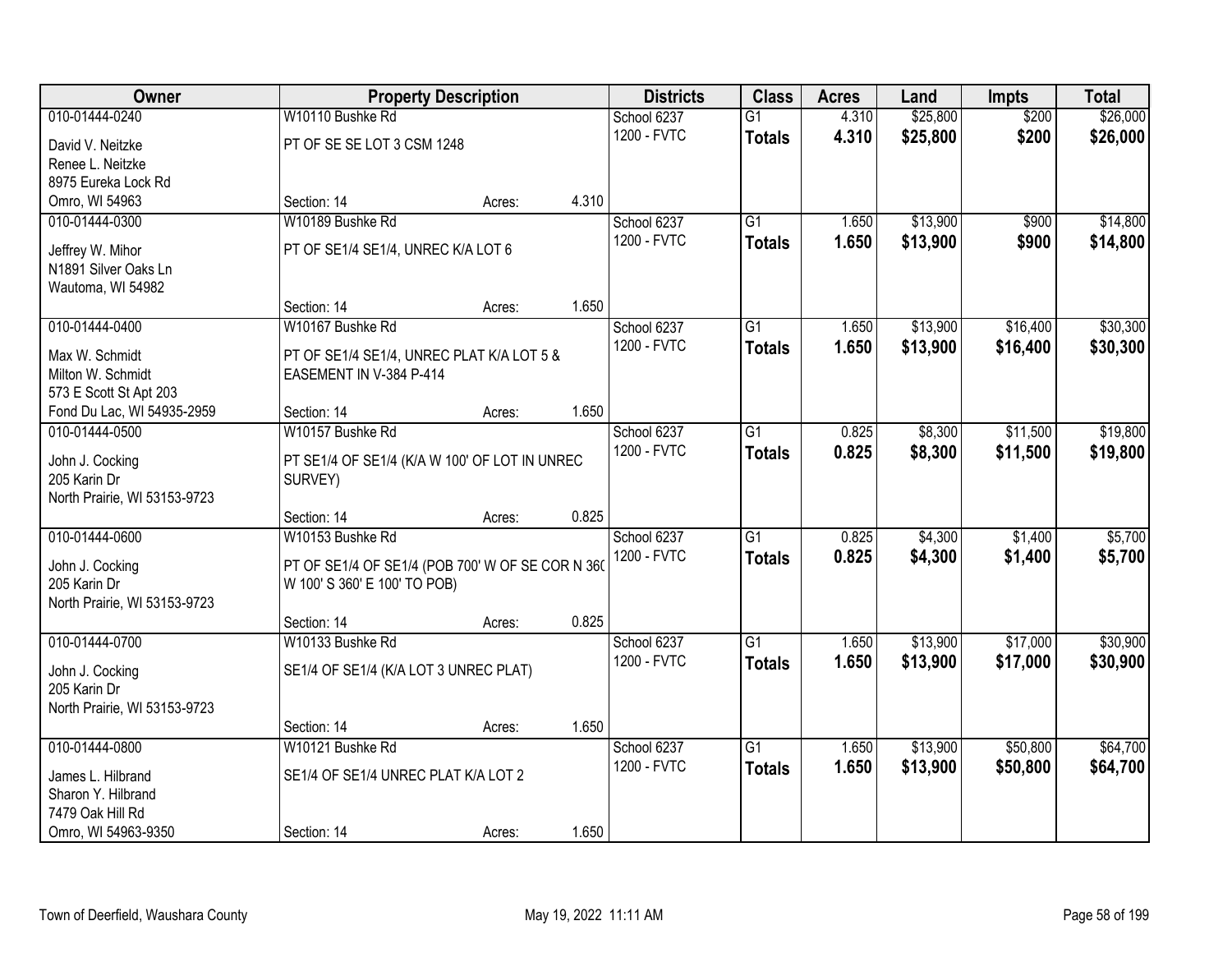| Owner                        |                                                  | <b>Property Description</b> |       | <b>Districts</b> | <b>Class</b>    | <b>Acres</b> | Land     | <b>Impts</b> | <b>Total</b> |
|------------------------------|--------------------------------------------------|-----------------------------|-------|------------------|-----------------|--------------|----------|--------------|--------------|
| 010-01444-0240               | W10110 Bushke Rd                                 |                             |       | School 6237      | $\overline{G1}$ | 4.310        | \$25,800 | \$200        | \$26,000     |
| David V. Neitzke             | PT OF SE SE LOT 3 CSM 1248                       |                             |       | 1200 - FVTC      | <b>Totals</b>   | 4.310        | \$25,800 | \$200        | \$26,000     |
| Renee L. Neitzke             |                                                  |                             |       |                  |                 |              |          |              |              |
| 8975 Eureka Lock Rd          |                                                  |                             |       |                  |                 |              |          |              |              |
| Omro, WI 54963               | Section: 14                                      | Acres:                      | 4.310 |                  |                 |              |          |              |              |
| 010-01444-0300               | W10189 Bushke Rd                                 |                             |       | School 6237      | $\overline{G1}$ | 1.650        | \$13,900 | \$900        | \$14,800     |
|                              |                                                  |                             |       | 1200 - FVTC      | <b>Totals</b>   | 1.650        | \$13,900 | \$900        | \$14,800     |
| Jeffrey W. Mihor             | PT OF SE1/4 SE1/4, UNREC K/A LOT 6               |                             |       |                  |                 |              |          |              |              |
| N1891 Silver Oaks Ln         |                                                  |                             |       |                  |                 |              |          |              |              |
| Wautoma, WI 54982            | Section: 14                                      | Acres:                      | 1.650 |                  |                 |              |          |              |              |
| 010-01444-0400               | W10167 Bushke Rd                                 |                             |       | School 6237      | G1              | 1.650        | \$13,900 | \$16,400     | \$30,300     |
|                              |                                                  |                             |       | 1200 - FVTC      |                 |              |          |              |              |
| Max W. Schmidt               | PT OF SE1/4 SE1/4, UNREC PLAT K/A LOT 5 &        |                             |       |                  | <b>Totals</b>   | 1.650        | \$13,900 | \$16,400     | \$30,300     |
| Milton W. Schmidt            | EASEMENT IN V-384 P-414                          |                             |       |                  |                 |              |          |              |              |
| 573 E Scott St Apt 203       |                                                  |                             |       |                  |                 |              |          |              |              |
| Fond Du Lac, WI 54935-2959   | Section: 14                                      | Acres:                      | 1.650 |                  |                 |              |          |              |              |
| 010-01444-0500               | W10157 Bushke Rd                                 |                             |       | School 6237      | G1              | 0.825        | \$8,300  | \$11,500     | \$19,800     |
| John J. Cocking              | PT SE1/4 OF SE1/4 (K/A W 100' OF LOT IN UNREC    |                             |       | 1200 - FVTC      | <b>Totals</b>   | 0.825        | \$8,300  | \$11,500     | \$19,800     |
| 205 Karin Dr                 | SURVEY)                                          |                             |       |                  |                 |              |          |              |              |
| North Prairie, WI 53153-9723 |                                                  |                             |       |                  |                 |              |          |              |              |
|                              | Section: 14                                      | Acres:                      | 0.825 |                  |                 |              |          |              |              |
| 010-01444-0600               | W10153 Bushke Rd                                 |                             |       | School 6237      | $\overline{G1}$ | 0.825        | \$4,300  | \$1,400      | \$5,700      |
|                              |                                                  |                             |       | 1200 - FVTC      | <b>Totals</b>   | 0.825        | \$4,300  | \$1,400      | \$5,700      |
| John J. Cocking              | PT OF SE1/4 OF SE1/4 (POB 700' W OF SE COR N 360 |                             |       |                  |                 |              |          |              |              |
| 205 Karin Dr                 | W 100' S 360' E 100' TO POB)                     |                             |       |                  |                 |              |          |              |              |
| North Prairie, WI 53153-9723 |                                                  |                             |       |                  |                 |              |          |              |              |
|                              | Section: 14                                      | Acres:                      | 0.825 |                  |                 |              |          |              |              |
| 010-01444-0700               | W10133 Bushke Rd                                 |                             |       | School 6237      | $\overline{G1}$ | 1.650        | \$13,900 | \$17,000     | \$30,900     |
| John J. Cocking              | SE1/4 OF SE1/4 (K/A LOT 3 UNREC PLAT)            |                             |       | 1200 - FVTC      | <b>Totals</b>   | 1.650        | \$13,900 | \$17,000     | \$30,900     |
| 205 Karin Dr                 |                                                  |                             |       |                  |                 |              |          |              |              |
| North Prairie, WI 53153-9723 |                                                  |                             |       |                  |                 |              |          |              |              |
|                              | Section: 14                                      | Acres:                      | 1.650 |                  |                 |              |          |              |              |
| 010-01444-0800               | W10121 Bushke Rd                                 |                             |       | School 6237      | $\overline{G1}$ | 1.650        | \$13,900 | \$50,800     | \$64,700     |
|                              |                                                  |                             |       | 1200 - FVTC      | <b>Totals</b>   | 1.650        | \$13,900 | \$50,800     | \$64,700     |
| James L. Hilbrand            | SE1/4 OF SE1/4 UNREC PLAT K/A LOT 2              |                             |       |                  |                 |              |          |              |              |
| Sharon Y. Hilbrand           |                                                  |                             |       |                  |                 |              |          |              |              |
| 7479 Oak Hill Rd             |                                                  |                             | 1.650 |                  |                 |              |          |              |              |
| Omro, WI 54963-9350          | Section: 14                                      | Acres:                      |       |                  |                 |              |          |              |              |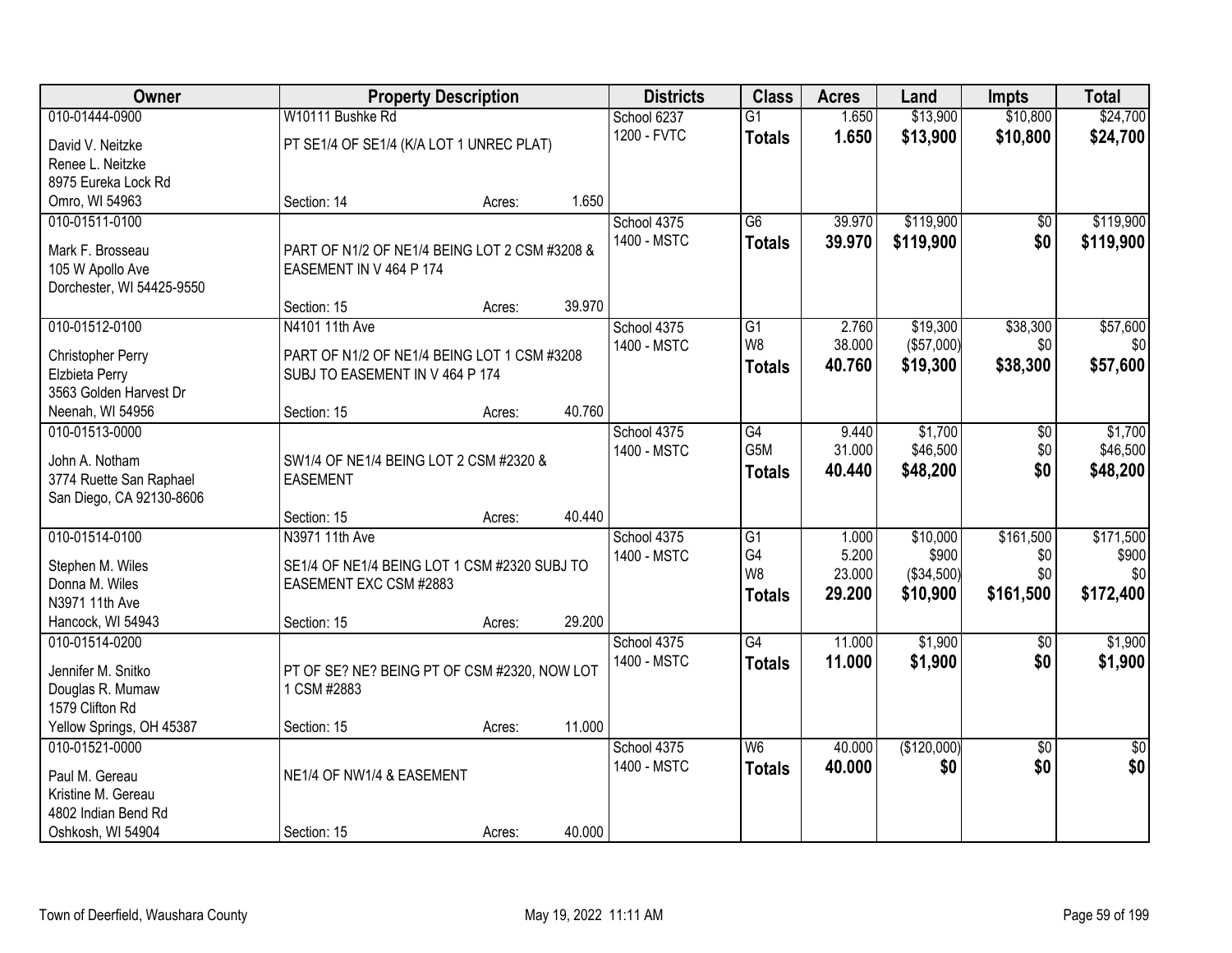| Owner                               |                                                                                | <b>Property Description</b> |        | <b>Districts</b> | <b>Class</b>     | <b>Acres</b> | Land        | <b>Impts</b>    | <b>Total</b>    |
|-------------------------------------|--------------------------------------------------------------------------------|-----------------------------|--------|------------------|------------------|--------------|-------------|-----------------|-----------------|
| 010-01444-0900                      | W10111 Bushke Rd                                                               |                             |        | School 6237      | $\overline{G1}$  | 1.650        | \$13,900    | \$10,800        | \$24,700        |
| David V. Neitzke                    | PT SE1/4 OF SE1/4 (K/A LOT 1 UNREC PLAT)                                       |                             |        | 1200 - FVTC      | <b>Totals</b>    | 1.650        | \$13,900    | \$10,800        | \$24,700        |
| Renee L. Neitzke                    |                                                                                |                             |        |                  |                  |              |             |                 |                 |
| 8975 Eureka Lock Rd                 |                                                                                |                             |        |                  |                  |              |             |                 |                 |
| Omro, WI 54963                      | Section: 14                                                                    | Acres:                      | 1.650  |                  |                  |              |             |                 |                 |
| 010-01511-0100                      |                                                                                |                             |        | School 4375      | $\overline{G6}$  | 39.970       | \$119,900   | \$0             | \$119,900       |
| Mark F. Brosseau                    | PART OF N1/2 OF NE1/4 BEING LOT 2 CSM #3208 &                                  |                             |        | 1400 - MSTC      | <b>Totals</b>    | 39.970       | \$119,900   | \$0             | \$119,900       |
| 105 W Apollo Ave                    | EASEMENT IN V 464 P 174                                                        |                             |        |                  |                  |              |             |                 |                 |
| Dorchester, WI 54425-9550           |                                                                                |                             |        |                  |                  |              |             |                 |                 |
|                                     | Section: 15                                                                    | Acres:                      | 39.970 |                  |                  |              |             |                 |                 |
| 010-01512-0100                      | N4101 11th Ave                                                                 |                             |        | School 4375      | G1               | 2.760        | \$19,300    | \$38,300        | \$57,600        |
|                                     |                                                                                |                             |        | 1400 - MSTC      | W <sub>8</sub>   | 38.000       | (\$57,000)  | \$0             | \$0             |
| Christopher Perry<br>Elzbieta Perry | PART OF N1/2 OF NE1/4 BEING LOT 1 CSM #3208<br>SUBJ TO EASEMENT IN V 464 P 174 |                             |        |                  | <b>Totals</b>    | 40.760       | \$19,300    | \$38,300        | \$57,600        |
| 3563 Golden Harvest Dr              |                                                                                |                             |        |                  |                  |              |             |                 |                 |
| Neenah, WI 54956                    | Section: 15                                                                    | Acres:                      | 40.760 |                  |                  |              |             |                 |                 |
| 010-01513-0000                      |                                                                                |                             |        | School 4375      | $\overline{G4}$  | 9.440        | \$1,700     | \$0             | \$1,700         |
|                                     |                                                                                |                             |        | 1400 - MSTC      | G <sub>5</sub> M | 31.000       | \$46,500    | \$0             | \$46,500        |
| John A. Notham                      | SW1/4 OF NE1/4 BEING LOT 2 CSM #2320 &                                         |                             |        |                  | <b>Totals</b>    | 40.440       | \$48,200    | \$0             | \$48,200        |
| 3774 Ruette San Raphael             | <b>EASEMENT</b>                                                                |                             |        |                  |                  |              |             |                 |                 |
| San Diego, CA 92130-8606            | Section: 15                                                                    |                             | 40.440 |                  |                  |              |             |                 |                 |
| 010-01514-0100                      | N3971 11th Ave                                                                 | Acres:                      |        | School 4375      | G1               | 1.000        | \$10,000    | \$161,500       | \$171,500       |
|                                     |                                                                                |                             |        | 1400 - MSTC      | G4               | 5.200        | \$900       | \$0             | \$900           |
| Stephen M. Wiles                    | SE1/4 OF NE1/4 BEING LOT 1 CSM #2320 SUBJ TO                                   |                             |        |                  | W <sub>8</sub>   | 23.000       | (\$34,500)  | \$0             | \$0             |
| Donna M. Wiles                      | EASEMENT EXC CSM #2883                                                         |                             |        |                  | <b>Totals</b>    | 29.200       | \$10,900    | \$161,500       | \$172,400       |
| N3971 11th Ave                      |                                                                                |                             |        |                  |                  |              |             |                 |                 |
| Hancock, WI 54943                   | Section: 15                                                                    | Acres:                      | 29.200 |                  |                  |              |             |                 |                 |
| 010-01514-0200                      |                                                                                |                             |        | School 4375      | $\overline{G4}$  | 11.000       | \$1,900     | $\overline{50}$ | \$1,900         |
| Jennifer M. Snitko                  | PT OF SE? NE? BEING PT OF CSM #2320, NOW LOT                                   |                             |        | 1400 - MSTC      | <b>Totals</b>    | 11.000       | \$1,900     | \$0             | \$1,900         |
| Douglas R. Mumaw                    | 1 CSM #2883                                                                    |                             |        |                  |                  |              |             |                 |                 |
| 1579 Clifton Rd                     |                                                                                |                             |        |                  |                  |              |             |                 |                 |
| Yellow Springs, OH 45387            | Section: 15                                                                    | Acres:                      | 11.000 |                  |                  |              |             |                 |                 |
| 010-01521-0000                      |                                                                                |                             |        | School 4375      | W6               | 40.000       | (\$120,000) | $\overline{30}$ | $\overline{30}$ |
| Paul M. Gereau                      | NE1/4 OF NW1/4 & EASEMENT                                                      |                             |        | 1400 - MSTC      | <b>Totals</b>    | 40.000       | \$0         | \$0             | \$0             |
| Kristine M. Gereau                  |                                                                                |                             |        |                  |                  |              |             |                 |                 |
| 4802 Indian Bend Rd                 |                                                                                |                             |        |                  |                  |              |             |                 |                 |
| Oshkosh, WI 54904                   | Section: 15                                                                    | Acres:                      | 40.000 |                  |                  |              |             |                 |                 |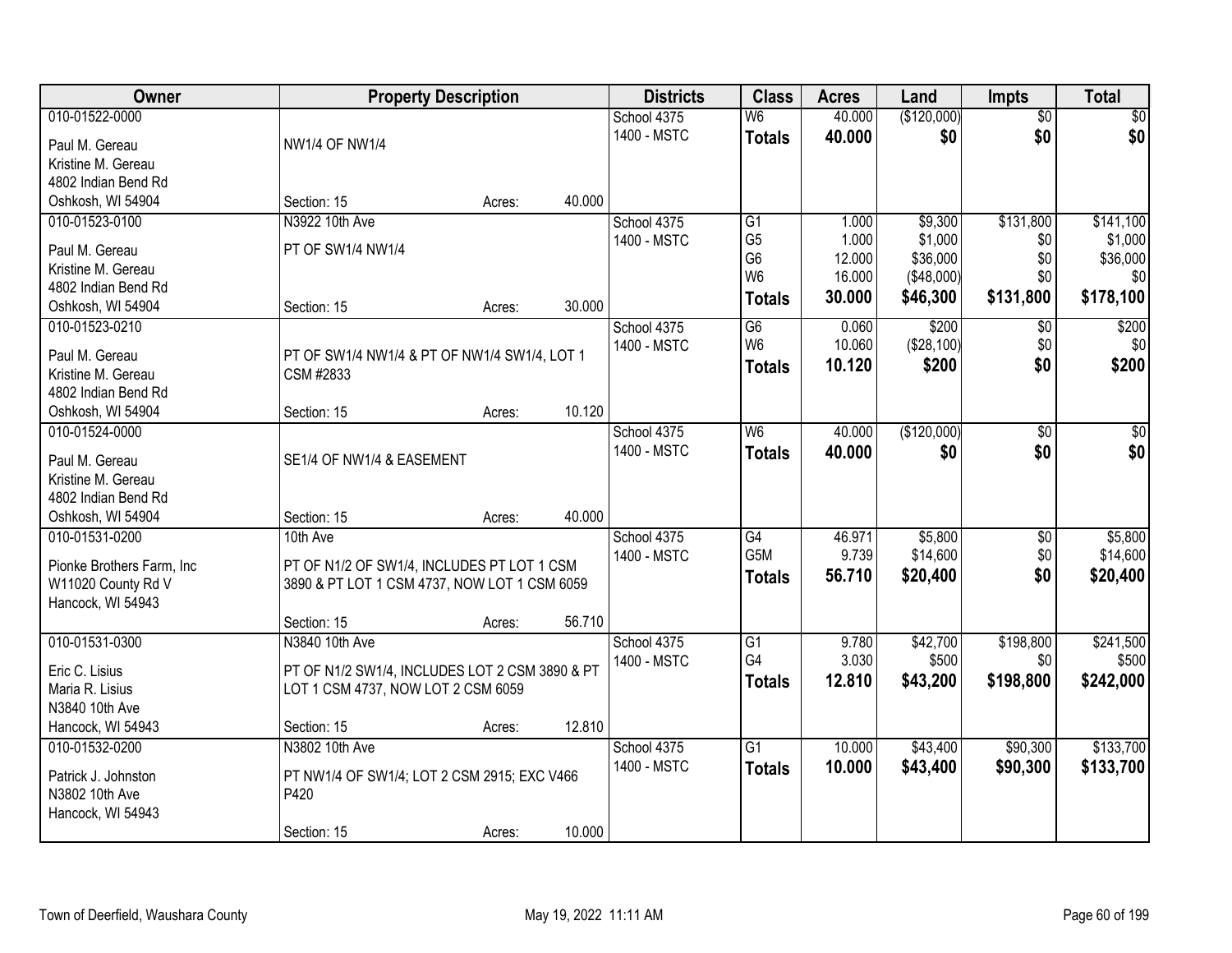| Owner                      |                                                | <b>Property Description</b> |        | <b>Districts</b> | <b>Class</b>             | <b>Acres</b> | Land        | <b>Impts</b>    | <b>Total</b> |
|----------------------------|------------------------------------------------|-----------------------------|--------|------------------|--------------------------|--------------|-------------|-----------------|--------------|
| 010-01522-0000             |                                                |                             |        | School 4375      | $\overline{\mathsf{W6}}$ | 40.000       | (\$120,000) | $\overline{50}$ | \$0          |
| Paul M. Gereau             | <b>NW1/4 OF NW1/4</b>                          |                             |        | 1400 - MSTC      | <b>Totals</b>            | 40.000       | \$0         | \$0             | \$0          |
| Kristine M. Gereau         |                                                |                             |        |                  |                          |              |             |                 |              |
| 4802 Indian Bend Rd        |                                                |                             |        |                  |                          |              |             |                 |              |
| Oshkosh, WI 54904          | Section: 15                                    | Acres:                      | 40.000 |                  |                          |              |             |                 |              |
| 010-01523-0100             | N3922 10th Ave                                 |                             |        | School 4375      | $\overline{G1}$          | 1.000        | \$9,300     | \$131,800       | \$141,100    |
|                            |                                                |                             |        | 1400 - MSTC      | G <sub>5</sub>           | 1.000        | \$1,000     | \$0             | \$1,000      |
| Paul M. Gereau             | PT OF SW1/4 NW1/4                              |                             |        |                  | G <sub>6</sub>           | 12.000       | \$36,000    | \$0             | \$36,000     |
| Kristine M. Gereau         |                                                |                             |        |                  | W <sub>6</sub>           | 16.000       | (\$48,000)  | \$0             | \$0          |
| 4802 Indian Bend Rd        |                                                |                             |        |                  | <b>Totals</b>            | 30.000       | \$46,300    | \$131,800       | \$178,100    |
| Oshkosh, WI 54904          | Section: 15                                    | Acres:                      | 30.000 |                  |                          |              |             |                 |              |
| 010-01523-0210             |                                                |                             |        | School 4375      | G6<br>W <sub>6</sub>     | 0.060        | \$200       | $\sqrt[6]{3}$   | \$200        |
| Paul M. Gereau             | PT OF SW1/4 NW1/4 & PT OF NW1/4 SW1/4, LOT 1   |                             |        | 1400 - MSTC      |                          | 10.060       | (\$28,100)  | \$0             | \$0          |
| Kristine M. Gereau         | CSM #2833                                      |                             |        |                  | <b>Totals</b>            | 10.120       | \$200       | \$0             | \$200        |
| 4802 Indian Bend Rd        |                                                |                             |        |                  |                          |              |             |                 |              |
| Oshkosh, WI 54904          | Section: 15                                    | Acres:                      | 10.120 |                  |                          |              |             |                 |              |
| 010-01524-0000             |                                                |                             |        | School 4375      | W <sub>6</sub>           | 40.000       | (\$120,000) | $\sqrt[6]{}$    | $\sqrt{50}$  |
| Paul M. Gereau             | SE1/4 OF NW1/4 & EASEMENT                      |                             |        | 1400 - MSTC      | <b>Totals</b>            | 40,000       | \$0         | \$0             | \$0          |
| Kristine M. Gereau         |                                                |                             |        |                  |                          |              |             |                 |              |
| 4802 Indian Bend Rd        |                                                |                             |        |                  |                          |              |             |                 |              |
| Oshkosh, WI 54904          | Section: 15                                    | Acres:                      | 40.000 |                  |                          |              |             |                 |              |
| 010-01531-0200             | 10th Ave                                       |                             |        | School 4375      | $\overline{G4}$          | 46.971       | \$5,800     | $\overline{50}$ | \$5,800      |
|                            |                                                |                             |        | 1400 - MSTC      | G <sub>5</sub> M         | 9.739        | \$14,600    | \$0             | \$14,600     |
| Pionke Brothers Farm, Inc. | PT OF N1/2 OF SW1/4, INCLUDES PT LOT 1 CSM     |                             |        |                  | <b>Totals</b>            | 56.710       | \$20,400    | \$0             | \$20,400     |
| W11020 County Rd V         | 3890 & PT LOT 1 CSM 4737, NOW LOT 1 CSM 6059   |                             |        |                  |                          |              |             |                 |              |
| Hancock, WI 54943          |                                                |                             |        |                  |                          |              |             |                 |              |
|                            | Section: 15                                    | Acres:                      | 56.710 |                  |                          |              |             |                 |              |
| 010-01531-0300             | N3840 10th Ave                                 |                             |        | School 4375      | $\overline{G1}$          | 9.780        | \$42,700    | \$198,800       | \$241,500    |
| Eric C. Lisius             | PT OF N1/2 SW1/4, INCLUDES LOT 2 CSM 3890 & PT |                             |        | 1400 - MSTC      | G4                       | 3.030        | \$500       | \$0             | \$500        |
| Maria R. Lisius            | LOT 1 CSM 4737, NOW LOT 2 CSM 6059             |                             |        |                  | <b>Totals</b>            | 12.810       | \$43,200    | \$198,800       | \$242,000    |
| N3840 10th Ave             |                                                |                             |        |                  |                          |              |             |                 |              |
| Hancock, WI 54943          | Section: 15                                    | Acres:                      | 12.810 |                  |                          |              |             |                 |              |
| 010-01532-0200             | N3802 10th Ave                                 |                             |        | School 4375      | $\overline{G1}$          | 10.000       | \$43,400    | \$90,300        | \$133,700    |
|                            |                                                |                             |        | 1400 - MSTC      | <b>Totals</b>            | 10.000       | \$43,400    | \$90,300        | \$133,700    |
| Patrick J. Johnston        | PT NW1/4 OF SW1/4; LOT 2 CSM 2915; EXC V466    |                             |        |                  |                          |              |             |                 |              |
| N3802 10th Ave             | P420                                           |                             |        |                  |                          |              |             |                 |              |
| Hancock, WI 54943          |                                                |                             | 10.000 |                  |                          |              |             |                 |              |
|                            | Section: 15                                    | Acres:                      |        |                  |                          |              |             |                 |              |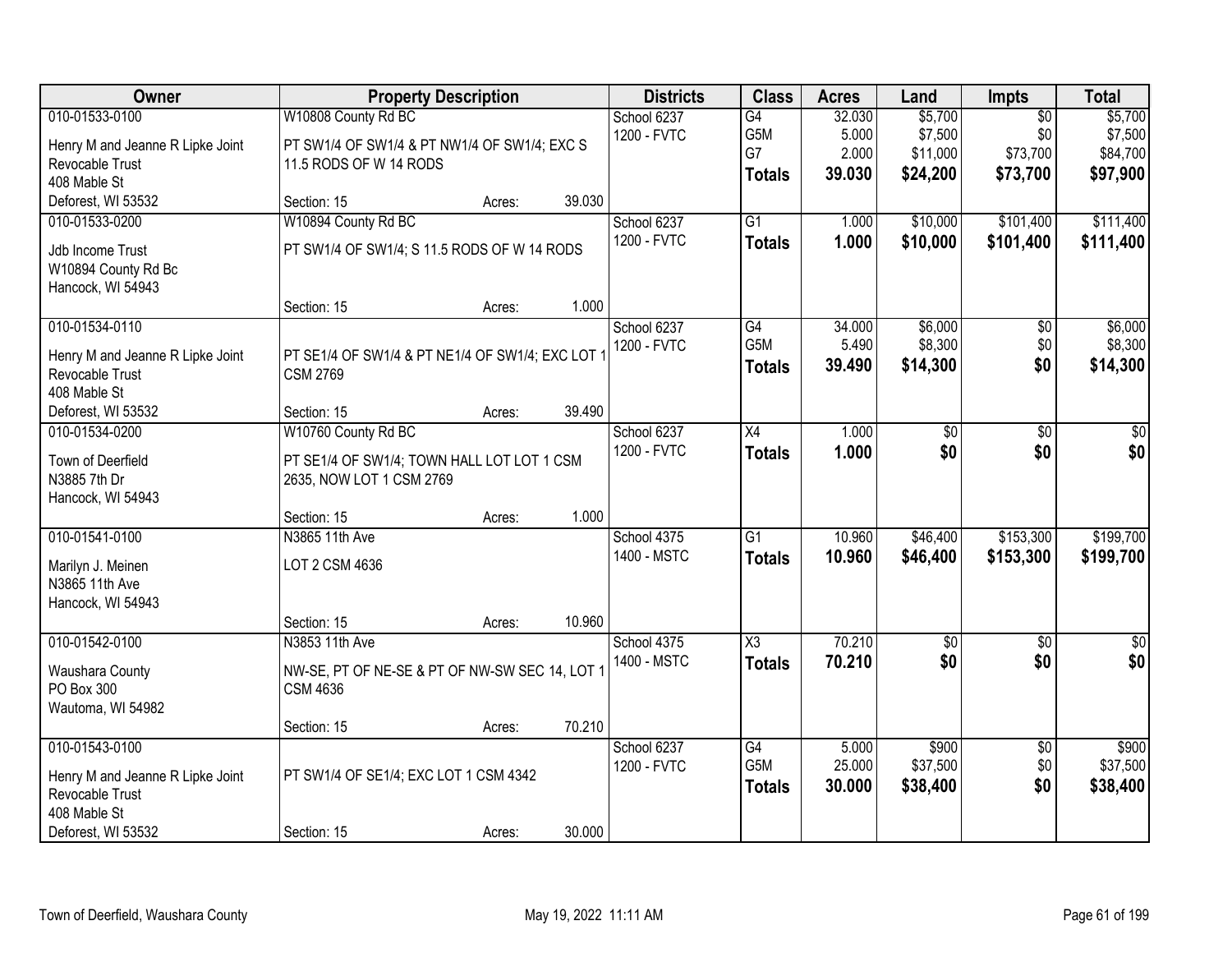| Owner                                                                                                       |                                                                                                              | <b>Property Description</b> |        | <b>Districts</b>           | <b>Class</b>                            | <b>Acres</b>                       | Land                                       | Impts                                          | <b>Total</b>                               |
|-------------------------------------------------------------------------------------------------------------|--------------------------------------------------------------------------------------------------------------|-----------------------------|--------|----------------------------|-----------------------------------------|------------------------------------|--------------------------------------------|------------------------------------------------|--------------------------------------------|
| 010-01533-0100<br>Henry M and Jeanne R Lipke Joint<br>Revocable Trust<br>408 Mable St                       | W10808 County Rd BC<br>PT SW1/4 OF SW1/4 & PT NW1/4 OF SW1/4; EXC S<br>11.5 RODS OF W 14 RODS                |                             |        | School 6237<br>1200 - FVTC | G4<br>G5M<br>G7<br><b>Totals</b>        | 32.030<br>5.000<br>2.000<br>39.030 | \$5,700<br>\$7,500<br>\$11,000<br>\$24,200 | $\overline{50}$<br>\$0<br>\$73,700<br>\$73,700 | \$5,700<br>\$7,500<br>\$84,700<br>\$97,900 |
| Deforest, WI 53532                                                                                          | Section: 15                                                                                                  | Acres:                      | 39.030 |                            |                                         |                                    |                                            |                                                |                                            |
| 010-01533-0200<br>Jdb Income Trust<br>W10894 County Rd Bc<br>Hancock, WI 54943                              | W10894 County Rd BC<br>PT SW1/4 OF SW1/4; S 11.5 RODS OF W 14 RODS<br>Section: 15                            | Acres:                      | 1.000  | School 6237<br>1200 - FVTC | $\overline{G1}$<br><b>Totals</b>        | 1.000<br>1.000                     | \$10,000<br>\$10,000                       | \$101,400<br>\$101,400                         | \$111,400<br>\$111,400                     |
| 010-01534-0110<br>Henry M and Jeanne R Lipke Joint<br>Revocable Trust<br>408 Mable St<br>Deforest, WI 53532 | PT SE1/4 OF SW1/4 & PT NE1/4 OF SW1/4; EXC LOT<br><b>CSM 2769</b><br>Section: 15                             | Acres:                      | 39.490 | School 6237<br>1200 - FVTC | $\overline{G4}$<br>G5M<br><b>Totals</b> | 34.000<br>5.490<br>39.490          | \$6,000<br>\$8,300<br>\$14,300             | $\overline{50}$<br>\$0<br>\$0                  | \$6,000<br>\$8,300<br>\$14,300             |
| 010-01534-0200<br>Town of Deerfield<br>N3885 7th Dr<br>Hancock, WI 54943                                    | W10760 County Rd BC<br>PT SE1/4 OF SW1/4; TOWN HALL LOT LOT 1 CSM<br>2635, NOW LOT 1 CSM 2769<br>Section: 15 |                             | 1.000  | School 6237<br>1200 - FVTC | $\overline{X4}$<br><b>Totals</b>        | 1.000<br>1.000                     | \$0<br>\$0                                 | \$0<br>\$0                                     | \$0<br>\$0                                 |
| 010-01541-0100<br>Marilyn J. Meinen<br>N3865 11th Ave<br>Hancock, WI 54943                                  | N3865 11th Ave<br>LOT 2 CSM 4636<br>Section: 15                                                              | Acres:<br>Acres:            | 10.960 | School 4375<br>1400 - MSTC | $\overline{G1}$<br><b>Totals</b>        | 10.960<br>10.960                   | \$46,400<br>\$46,400                       | \$153,300<br>\$153,300                         | \$199,700<br>\$199,700                     |
| 010-01542-0100<br>Waushara County<br>PO Box 300<br>Wautoma, WI 54982                                        | N3853 11th Ave<br>NW-SE, PT OF NE-SE & PT OF NW-SW SEC 14, LOT 1<br><b>CSM 4636</b><br>Section: 15           | Acres:                      | 70.210 | School 4375<br>1400 - MSTC | $\overline{\chi_3}$<br><b>Totals</b>    | 70.210<br>70.210                   | $\sqrt{50}$<br>\$0                         | $\overline{50}$<br>\$0                         | $\overline{50}$<br>\$0                     |
| 010-01543-0100<br>Henry M and Jeanne R Lipke Joint<br>Revocable Trust<br>408 Mable St<br>Deforest, WI 53532 | PT SW1/4 OF SE1/4; EXC LOT 1 CSM 4342<br>Section: 15                                                         | Acres:                      | 30.000 | School 6237<br>1200 - FVTC | G4<br>G5M<br><b>Totals</b>              | 5.000<br>25.000<br>30.000          | \$900<br>\$37,500<br>\$38,400              | $\overline{50}$<br>\$0<br>\$0                  | \$900<br>\$37,500<br>\$38,400              |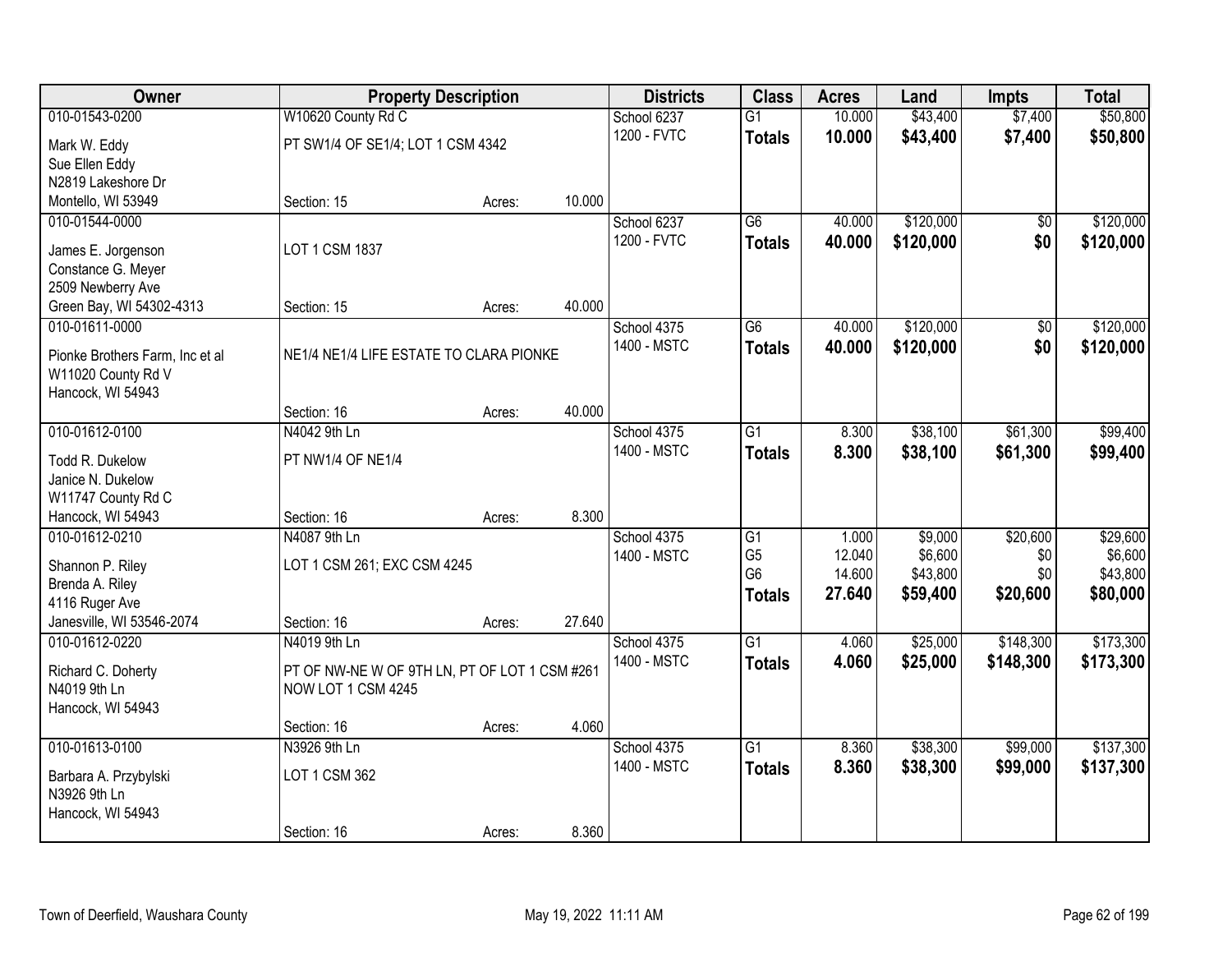| Owner                                   |                                               | <b>Property Description</b> |        | <b>Districts</b>           | <b>Class</b>    | <b>Acres</b>    | Land               | <b>Impts</b>    | <b>Total</b>        |
|-----------------------------------------|-----------------------------------------------|-----------------------------|--------|----------------------------|-----------------|-----------------|--------------------|-----------------|---------------------|
| 010-01543-0200                          | W10620 County Rd C                            |                             |        | School 6237                | $\overline{G1}$ | 10.000          | \$43,400           | \$7,400         | \$50,800            |
| Mark W. Eddy                            | PT SW1/4 OF SE1/4; LOT 1 CSM 4342             |                             |        | 1200 - FVTC                | <b>Totals</b>   | 10.000          | \$43,400           | \$7,400         | \$50,800            |
| Sue Ellen Eddy                          |                                               |                             |        |                            |                 |                 |                    |                 |                     |
| N2819 Lakeshore Dr                      |                                               |                             |        |                            |                 |                 |                    |                 |                     |
| Montello, WI 53949                      | Section: 15                                   | Acres:                      | 10.000 |                            |                 |                 |                    |                 |                     |
| 010-01544-0000                          |                                               |                             |        | School 6237                | $\overline{G6}$ | 40.000          | \$120,000          | \$0             | \$120,000           |
| James E. Jorgenson                      | LOT 1 CSM 1837                                |                             |        | 1200 - FVTC                | <b>Totals</b>   | 40.000          | \$120,000          | \$0             | \$120,000           |
| Constance G. Meyer                      |                                               |                             |        |                            |                 |                 |                    |                 |                     |
| 2509 Newberry Ave                       |                                               |                             |        |                            |                 |                 |                    |                 |                     |
| Green Bay, WI 54302-4313                | Section: 15                                   | Acres:                      | 40.000 |                            |                 |                 |                    |                 |                     |
| 010-01611-0000                          |                                               |                             |        | School 4375                | G6              | 40.000          | \$120,000          | $\overline{50}$ | \$120,000           |
|                                         |                                               |                             |        | 1400 - MSTC                | <b>Totals</b>   | 40.000          | \$120,000          | \$0             | \$120,000           |
| Pionke Brothers Farm, Inc et al         | NE1/4 NE1/4 LIFE ESTATE TO CLARA PIONKE       |                             |        |                            |                 |                 |                    |                 |                     |
| W11020 County Rd V<br>Hancock, WI 54943 |                                               |                             |        |                            |                 |                 |                    |                 |                     |
|                                         | Section: 16                                   | Acres:                      | 40.000 |                            |                 |                 |                    |                 |                     |
| 010-01612-0100                          | N4042 9th Ln                                  |                             |        | School 4375                | G1              | 8.300           | \$38,100           | \$61,300        | \$99,400            |
|                                         |                                               |                             |        | 1400 - MSTC                | <b>Totals</b>   | 8.300           | \$38,100           | \$61,300        | \$99,400            |
| Todd R. Dukelow                         | PT NW1/4 OF NE1/4                             |                             |        |                            |                 |                 |                    |                 |                     |
| Janice N. Dukelow                       |                                               |                             |        |                            |                 |                 |                    |                 |                     |
| W11747 County Rd C                      |                                               |                             | 8.300  |                            |                 |                 |                    |                 |                     |
| Hancock, WI 54943                       | Section: 16<br>N4087 9th Ln                   | Acres:                      |        |                            | $\overline{G1}$ |                 |                    |                 |                     |
| 010-01612-0210                          |                                               |                             |        | School 4375<br>1400 - MSTC | G <sub>5</sub>  | 1.000<br>12.040 | \$9,000<br>\$6,600 | \$20,600<br>\$0 | \$29,600<br>\$6,600 |
| Shannon P. Riley                        | LOT 1 CSM 261; EXC CSM 4245                   |                             |        |                            | G <sub>6</sub>  | 14.600          | \$43,800           | \$0             | \$43,800            |
| Brenda A. Riley                         |                                               |                             |        |                            | <b>Totals</b>   | 27.640          | \$59,400           | \$20,600        | \$80,000            |
| 4116 Ruger Ave                          |                                               |                             |        |                            |                 |                 |                    |                 |                     |
| Janesville, WI 53546-2074               | Section: 16                                   | Acres:                      | 27.640 |                            |                 |                 |                    |                 |                     |
| 010-01612-0220                          | N4019 9th Ln                                  |                             |        | School 4375                | $\overline{G1}$ | 4.060           | \$25,000           | \$148,300       | \$173,300           |
| Richard C. Doherty                      | PT OF NW-NE W OF 9TH LN, PT OF LOT 1 CSM #261 |                             |        | 1400 - MSTC                | <b>Totals</b>   | 4.060           | \$25,000           | \$148,300       | \$173,300           |
| N4019 9th Ln                            | NOW LOT 1 CSM 4245                            |                             |        |                            |                 |                 |                    |                 |                     |
| Hancock, WI 54943                       |                                               |                             |        |                            |                 |                 |                    |                 |                     |
|                                         | Section: 16                                   | Acres:                      | 4.060  |                            |                 |                 |                    |                 |                     |
| 010-01613-0100                          | N3926 9th Ln                                  |                             |        | School 4375                | $\overline{G1}$ | 8.360           | \$38,300           | \$99,000        | \$137,300           |
| Barbara A. Przybylski                   | LOT 1 CSM 362                                 |                             |        | 1400 - MSTC                | <b>Totals</b>   | 8.360           | \$38,300           | \$99,000        | \$137,300           |
| N3926 9th Ln                            |                                               |                             |        |                            |                 |                 |                    |                 |                     |
| Hancock, WI 54943                       |                                               |                             |        |                            |                 |                 |                    |                 |                     |
|                                         | Section: 16                                   | Acres:                      | 8.360  |                            |                 |                 |                    |                 |                     |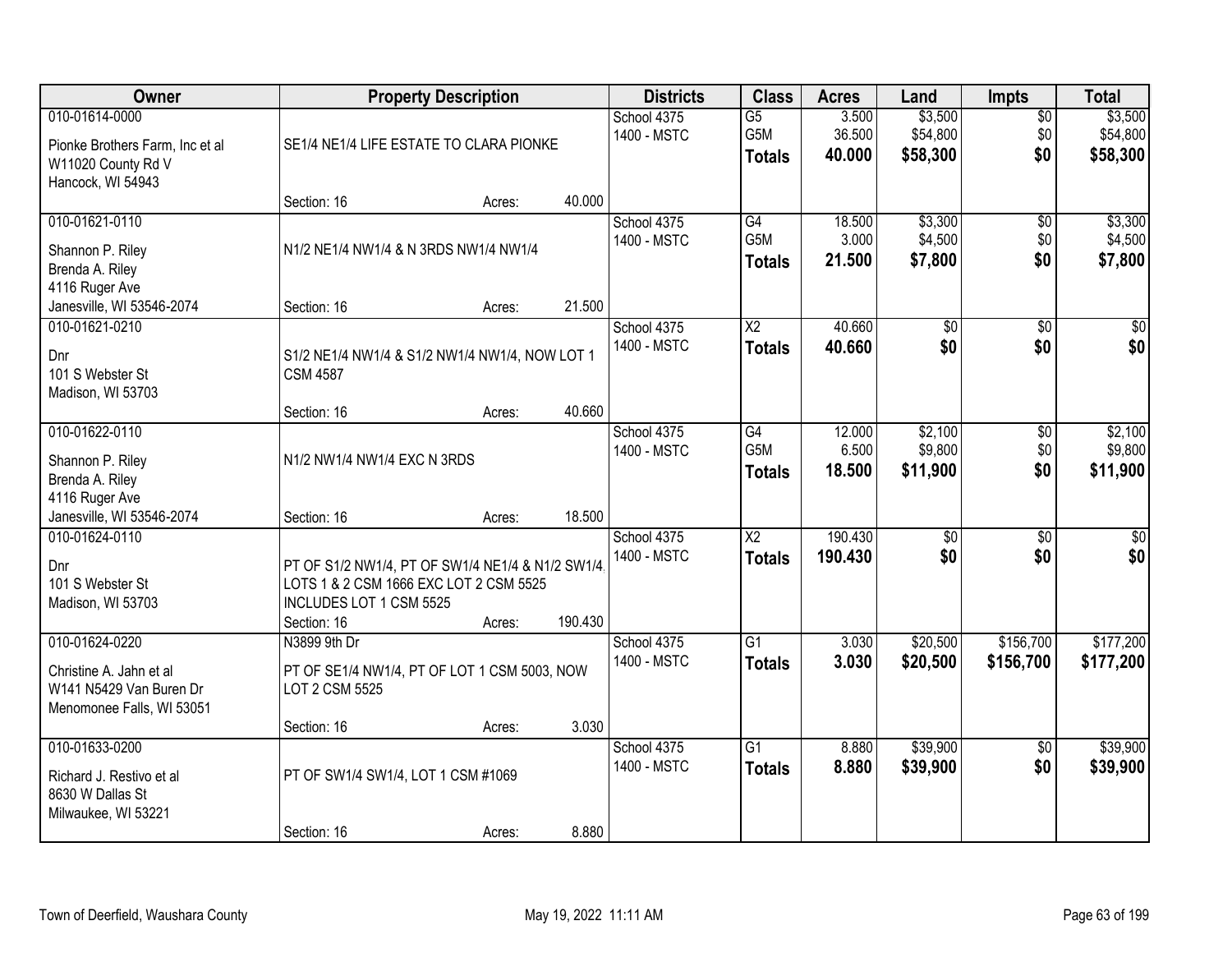| Owner                                                                                        |                                                                                                                                      | <b>Property Description</b> |         | <b>Districts</b>           | <b>Class</b>                            | <b>Acres</b>              | Land                            | <b>Impts</b>                  | <b>Total</b>                    |
|----------------------------------------------------------------------------------------------|--------------------------------------------------------------------------------------------------------------------------------------|-----------------------------|---------|----------------------------|-----------------------------------------|---------------------------|---------------------------------|-------------------------------|---------------------------------|
| 010-01614-0000<br>Pionke Brothers Farm, Inc et al<br>W11020 County Rd V<br>Hancock, WI 54943 | SE1/4 NE1/4 LIFE ESTATE TO CLARA PIONKE                                                                                              |                             |         | School 4375<br>1400 - MSTC | $\overline{G5}$<br>G5M<br><b>Totals</b> | 3.500<br>36.500<br>40.000 | \$3,500<br>\$54,800<br>\$58,300 | $\overline{50}$<br>\$0<br>\$0 | \$3,500<br>\$54,800<br>\$58,300 |
|                                                                                              | Section: 16                                                                                                                          | Acres:                      | 40.000  |                            |                                         |                           |                                 |                               |                                 |
| 010-01621-0110<br>Shannon P. Riley<br>Brenda A. Riley<br>4116 Ruger Ave                      | N1/2 NE1/4 NW1/4 & N 3RDS NW1/4 NW1/4                                                                                                |                             |         | School 4375<br>1400 - MSTC | G4<br>G <sub>5</sub> M<br><b>Totals</b> | 18.500<br>3.000<br>21.500 | \$3,300<br>\$4,500<br>\$7,800   | $\overline{50}$<br>\$0<br>\$0 | \$3,300<br>\$4,500<br>\$7,800   |
| Janesville, WI 53546-2074<br>010-01621-0210                                                  | Section: 16                                                                                                                          | Acres:                      | 21.500  | School 4375                | X2                                      | 40.660                    | \$0                             | \$0                           | \$0                             |
| Dnr<br>101 S Webster St<br>Madison, WI 53703                                                 | S1/2 NE1/4 NW1/4 & S1/2 NW1/4 NW1/4, NOW LOT 1<br><b>CSM 4587</b>                                                                    |                             |         | 1400 - MSTC                | <b>Totals</b>                           | 40.660                    | \$0                             | \$0                           | \$0                             |
|                                                                                              | Section: 16                                                                                                                          | Acres:                      | 40.660  |                            |                                         |                           |                                 |                               |                                 |
| 010-01622-0110<br>Shannon P. Riley<br>Brenda A. Riley<br>4116 Ruger Ave                      | N1/2 NW1/4 NW1/4 EXC N 3RDS                                                                                                          |                             |         | School 4375<br>1400 - MSTC | G4<br>G <sub>5</sub> M<br><b>Totals</b> | 12.000<br>6.500<br>18.500 | \$2,100<br>\$9,800<br>\$11,900  | \$0<br>\$0<br>\$0             | \$2,100<br>\$9,800<br>\$11,900  |
| Janesville, WI 53546-2074                                                                    | Section: 16                                                                                                                          | Acres:                      | 18.500  |                            |                                         |                           |                                 |                               |                                 |
| 010-01624-0110<br>Dnr<br>101 S Webster St<br>Madison, WI 53703                               | PT OF S1/2 NW1/4, PT OF SW1/4 NE1/4 & N1/2 SW1/4<br>LOTS 1 & 2 CSM 1666 EXC LOT 2 CSM 5525<br>INCLUDES LOT 1 CSM 5525<br>Section: 16 | Acres:                      | 190.430 | School 4375<br>1400 - MSTC | $\overline{\text{X2}}$<br><b>Totals</b> | 190.430<br>190.430        | $\overline{50}$<br>\$0          | $\overline{30}$<br>\$0        | $\overline{\$0}$<br>\$0         |
| 010-01624-0220                                                                               | N3899 9th Dr                                                                                                                         |                             |         | School 4375                | $\overline{G1}$                         | 3.030                     | \$20,500                        | \$156,700                     | \$177,200                       |
| Christine A. Jahn et al<br>W141 N5429 Van Buren Dr<br>Menomonee Falls, WI 53051              | PT OF SE1/4 NW1/4, PT OF LOT 1 CSM 5003, NOW<br>LOT 2 CSM 5525                                                                       |                             |         | 1400 - MSTC                | <b>Totals</b>                           | 3.030                     | \$20,500                        | \$156,700                     | \$177,200                       |
|                                                                                              | Section: 16                                                                                                                          | Acres:                      | 3.030   |                            |                                         |                           |                                 |                               |                                 |
| 010-01633-0200<br>Richard J. Restivo et al<br>8630 W Dallas St<br>Milwaukee, WI 53221        | PT OF SW1/4 SW1/4, LOT 1 CSM #1069                                                                                                   |                             |         | School 4375<br>1400 - MSTC | $\overline{G1}$<br><b>Totals</b>        | 8.880<br>8.880            | \$39,900<br>\$39,900            | $\overline{50}$<br>\$0        | \$39,900<br>\$39,900            |
|                                                                                              | Section: 16                                                                                                                          | Acres:                      | 8.880   |                            |                                         |                           |                                 |                               |                                 |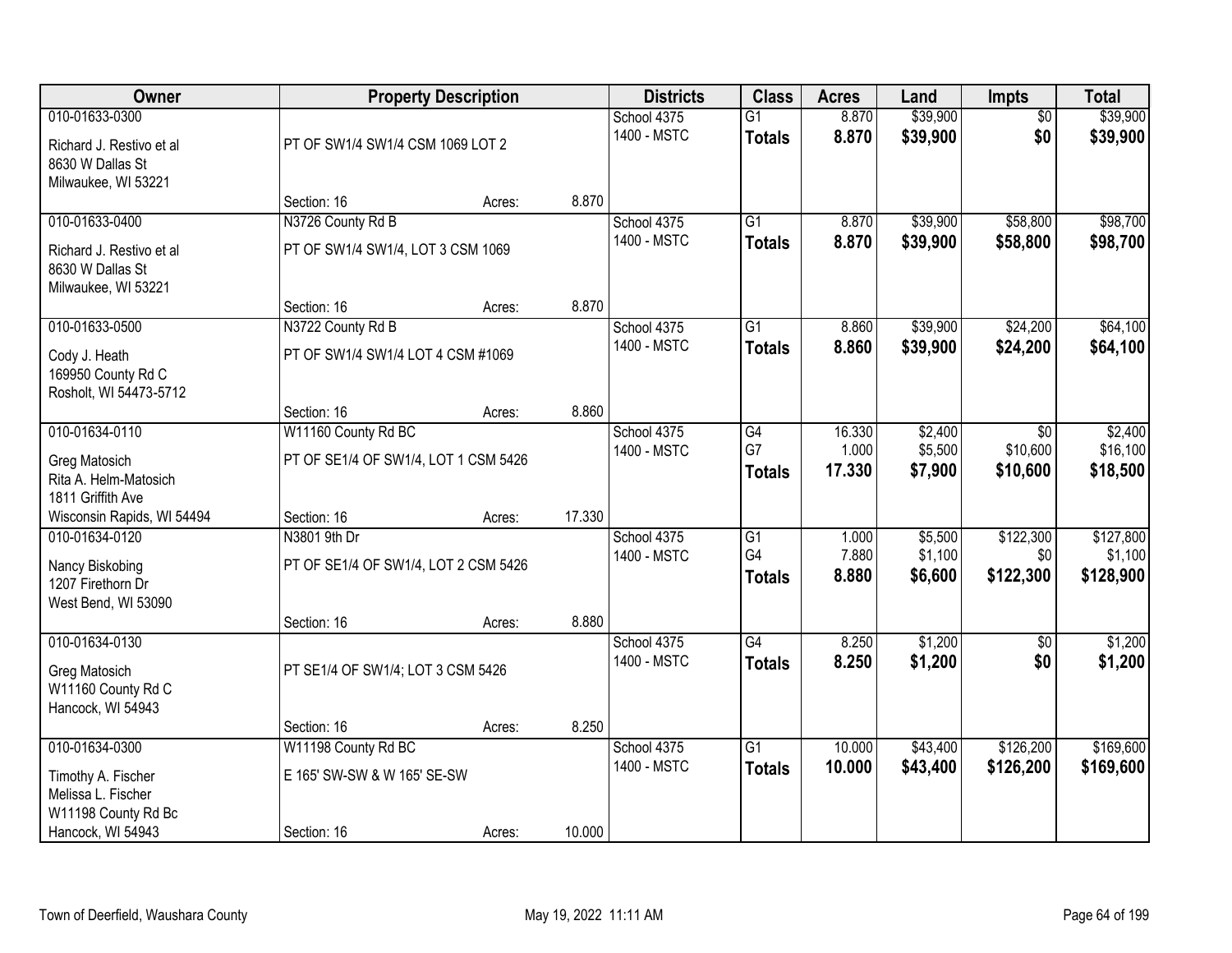| Owner                                                                                 |                                                             | <b>Property Description</b> |        | <b>Districts</b>           | <b>Class</b>                     | <b>Acres</b>              | Land                          | <b>Impts</b>                  | <b>Total</b>                      |
|---------------------------------------------------------------------------------------|-------------------------------------------------------------|-----------------------------|--------|----------------------------|----------------------------------|---------------------------|-------------------------------|-------------------------------|-----------------------------------|
| 010-01633-0300<br>Richard J. Restivo et al<br>8630 W Dallas St<br>Milwaukee, WI 53221 | PT OF SW1/4 SW1/4 CSM 1069 LOT 2                            |                             |        | School 4375<br>1400 - MSTC | $\overline{G1}$<br><b>Totals</b> | 8.870<br>8.870            | \$39,900<br>\$39,900          | $\overline{50}$<br>\$0        | \$39,900<br>\$39,900              |
|                                                                                       | Section: 16                                                 | Acres:                      | 8.870  |                            |                                  |                           |                               |                               |                                   |
| 010-01633-0400<br>Richard J. Restivo et al<br>8630 W Dallas St<br>Milwaukee, WI 53221 | N3726 County Rd B<br>PT OF SW1/4 SW1/4, LOT 3 CSM 1069      |                             |        | School 4375<br>1400 - MSTC | G1<br><b>Totals</b>              | 8.870<br>8.870            | \$39,900<br>\$39,900          | \$58,800<br>\$58,800          | \$98,700<br>\$98,700              |
| 010-01633-0500                                                                        | Section: 16<br>N3722 County Rd B                            | Acres:                      | 8.870  | School 4375                | $\overline{G1}$                  | 8.860                     | \$39,900                      | \$24,200                      | \$64,100                          |
| Cody J. Heath<br>169950 County Rd C<br>Rosholt, WI 54473-5712                         | PT OF SW1/4 SW1/4 LOT 4 CSM #1069                           |                             |        | 1400 - MSTC                | <b>Totals</b>                    | 8.860                     | \$39,900                      | \$24,200                      | \$64,100                          |
|                                                                                       | Section: 16                                                 | Acres:                      | 8.860  |                            |                                  |                           |                               |                               |                                   |
| 010-01634-0110<br>Greg Matosich<br>Rita A. Helm-Matosich<br>1811 Griffith Ave         | W11160 County Rd BC<br>PT OF SE1/4 OF SW1/4, LOT 1 CSM 5426 |                             |        | School 4375<br>1400 - MSTC | G4<br>G7<br><b>Totals</b>        | 16.330<br>1.000<br>17.330 | \$2,400<br>\$5,500<br>\$7,900 | \$0<br>\$10,600<br>\$10,600   | \$2,400<br>\$16,100<br>\$18,500   |
| Wisconsin Rapids, WI 54494                                                            | Section: 16                                                 | Acres:                      | 17.330 |                            |                                  |                           |                               |                               |                                   |
| 010-01634-0120<br>Nancy Biskobing<br>1207 Firethorn Dr<br>West Bend, WI 53090         | N3801 9th Dr<br>PT OF SE1/4 OF SW1/4, LOT 2 CSM 5426        |                             |        | School 4375<br>1400 - MSTC | G1<br>G4<br><b>Totals</b>        | 1.000<br>7.880<br>8.880   | \$5,500<br>\$1,100<br>\$6,600 | \$122,300<br>\$0<br>\$122,300 | \$127,800<br>\$1,100<br>\$128,900 |
|                                                                                       | Section: 16                                                 | Acres:                      | 8.880  |                            |                                  |                           |                               |                               |                                   |
| 010-01634-0130<br>Greg Matosich<br>W11160 County Rd C<br>Hancock, WI 54943            | PT SE1/4 OF SW1/4; LOT 3 CSM 5426                           |                             |        | School 4375<br>1400 - MSTC | G4<br><b>Totals</b>              | 8.250<br>8.250            | \$1,200<br>\$1,200            | \$0<br>\$0                    | \$1,200<br>\$1,200                |
|                                                                                       | Section: 16                                                 | Acres:                      | 8.250  |                            |                                  |                           |                               |                               |                                   |
| 010-01634-0300<br>Timothy A. Fischer<br>Melissa L. Fischer<br>W11198 County Rd Bc     | W11198 County Rd BC<br>E 165' SW-SW & W 165' SE-SW          |                             |        | School 4375<br>1400 - MSTC | $\overline{G1}$<br><b>Totals</b> | 10.000<br>10.000          | \$43,400<br>\$43,400          | \$126,200<br>\$126,200        | \$169,600<br>\$169,600            |
| Hancock, WI 54943                                                                     | Section: 16                                                 | Acres:                      | 10.000 |                            |                                  |                           |                               |                               |                                   |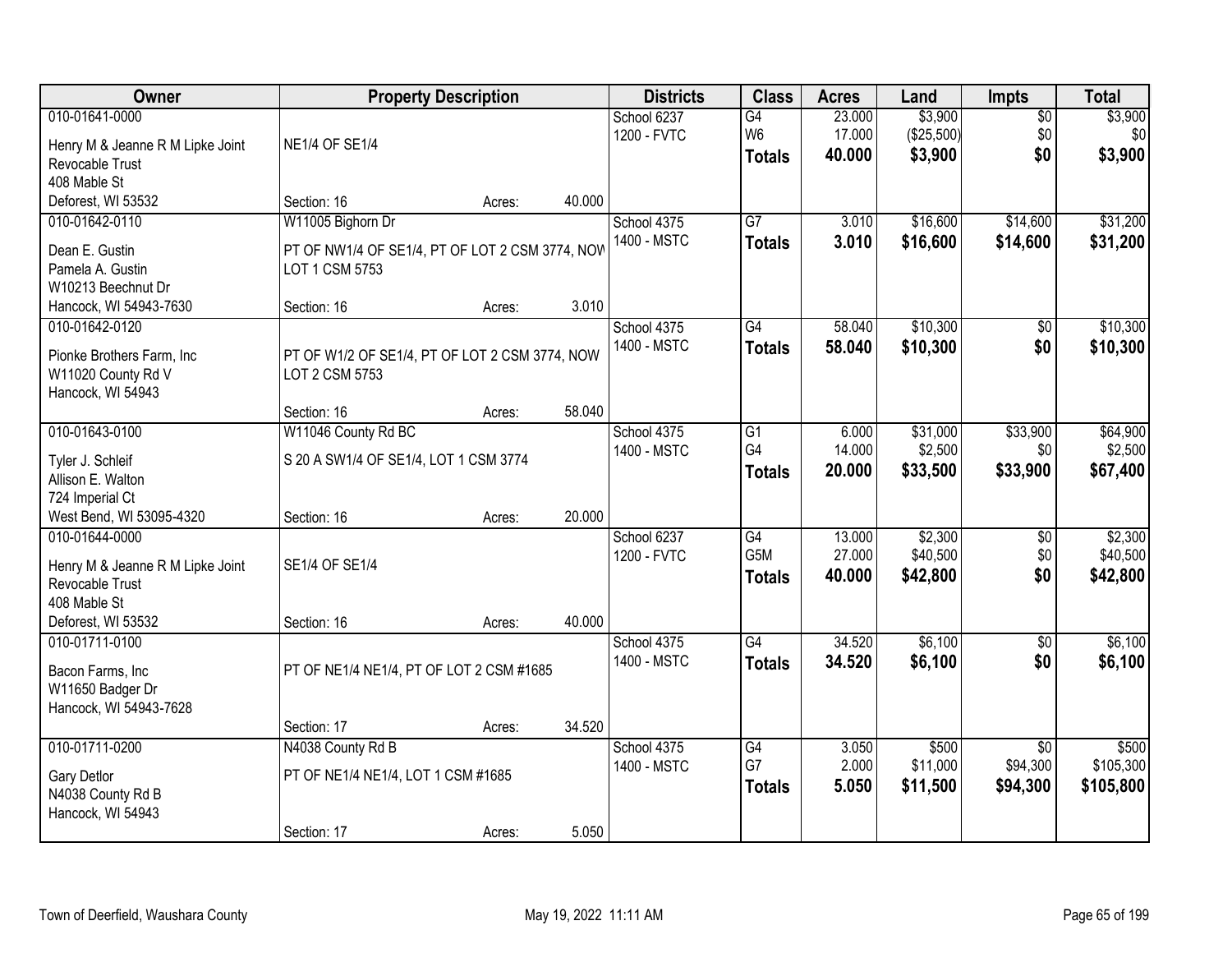| Owner                                                                                                       |                                                                                        | <b>Property Description</b> |        | <b>Districts</b>           | <b>Class</b>                                         | <b>Acres</b>               | Land                             | <b>Impts</b>                            | <b>Total</b>                    |
|-------------------------------------------------------------------------------------------------------------|----------------------------------------------------------------------------------------|-----------------------------|--------|----------------------------|------------------------------------------------------|----------------------------|----------------------------------|-----------------------------------------|---------------------------------|
| 010-01641-0000<br>Henry M & Jeanne R M Lipke Joint<br>Revocable Trust                                       | <b>NE1/4 OF SE1/4</b>                                                                  |                             |        | School 6237<br>1200 - FVTC | G4<br>W <sub>6</sub><br><b>Totals</b>                | 23.000<br>17.000<br>40.000 | \$3,900<br>(\$25,500)<br>\$3,900 | $\overline{50}$<br>\$0<br>\$0           | \$3,900<br>\$0<br>\$3,900       |
| 408 Mable St<br>Deforest, WI 53532                                                                          | Section: 16                                                                            | Acres:                      | 40.000 |                            |                                                      |                            |                                  |                                         |                                 |
| 010-01642-0110<br>Dean E. Gustin<br>Pamela A. Gustin<br>W10213 Beechnut Dr                                  | W11005 Bighorn Dr<br>PT OF NW1/4 OF SE1/4, PT OF LOT 2 CSM 3774, NOW<br>LOT 1 CSM 5753 |                             |        | School 4375<br>1400 - MSTC | $\overline{G7}$<br><b>Totals</b>                     | 3.010<br>3.010             | \$16,600<br>\$16,600             | \$14,600<br>\$14,600                    | \$31,200<br>\$31,200            |
| Hancock, WI 54943-7630                                                                                      | Section: 16                                                                            | Acres:                      | 3.010  |                            |                                                      |                            |                                  |                                         |                                 |
| 010-01642-0120<br>Pionke Brothers Farm, Inc.<br>W11020 County Rd V<br>Hancock, WI 54943                     | PT OF W1/2 OF SE1/4, PT OF LOT 2 CSM 3774, NOW<br>LOT 2 CSM 5753                       |                             |        | School 4375<br>1400 - MSTC | G4<br><b>Totals</b>                                  | 58.040<br>58.040           | \$10,300<br>\$10,300             | \$0<br>\$0                              | \$10,300<br>\$10,300            |
|                                                                                                             | Section: 16                                                                            | Acres:                      | 58.040 |                            |                                                      |                            |                                  |                                         |                                 |
| 010-01643-0100<br>Tyler J. Schleif<br>Allison E. Walton<br>724 Imperial Ct                                  | W11046 County Rd BC<br>S 20 A SW1/4 OF SE1/4, LOT 1 CSM 3774                           |                             |        | School 4375<br>1400 - MSTC | G1<br>G4<br><b>Totals</b>                            | 6.000<br>14.000<br>20.000  | \$31,000<br>\$2,500<br>\$33,500  | \$33,900<br>\$0<br>\$33,900             | \$64,900<br>\$2,500<br>\$67,400 |
| West Bend, WI 53095-4320                                                                                    | Section: 16                                                                            | Acres:                      | 20.000 |                            |                                                      |                            |                                  |                                         |                                 |
| 010-01644-0000<br>Henry M & Jeanne R M Lipke Joint<br>Revocable Trust<br>408 Mable St<br>Deforest, WI 53532 | SE1/4 OF SE1/4<br>Section: 16                                                          | Acres:                      | 40.000 | School 6237<br>1200 - FVTC | $\overline{G4}$<br>G <sub>5</sub> M<br><b>Totals</b> | 13.000<br>27.000<br>40.000 | \$2,300<br>\$40,500<br>\$42,800  | \$0<br>\$0<br>\$0                       | \$2,300<br>\$40,500<br>\$42,800 |
| 010-01711-0100<br>Bacon Farms, Inc<br>W11650 Badger Dr<br>Hancock, WI 54943-7628                            | PT OF NE1/4 NE1/4, PT OF LOT 2 CSM #1685                                               |                             |        | School 4375<br>1400 - MSTC | $\overline{G4}$<br><b>Totals</b>                     | 34.520<br>34.520           | \$6,100<br>\$6,100               | $\overline{50}$<br>\$0                  | \$6,100<br>\$6,100              |
|                                                                                                             | Section: 17                                                                            | Acres:                      | 34.520 |                            |                                                      |                            |                                  |                                         |                                 |
| 010-01711-0200<br>Gary Detlor<br>N4038 County Rd B<br>Hancock, WI 54943                                     | N4038 County Rd B<br>PT OF NE1/4 NE1/4, LOT 1 CSM #1685<br>Section: 17                 | Acres:                      | 5.050  | School 4375<br>1400 - MSTC | $\overline{G4}$<br>G7<br><b>Totals</b>               | 3.050<br>2.000<br>5.050    | \$500<br>\$11,000<br>\$11,500    | $\overline{30}$<br>\$94,300<br>\$94,300 | \$500<br>\$105,300<br>\$105,800 |
|                                                                                                             |                                                                                        |                             |        |                            |                                                      |                            |                                  |                                         |                                 |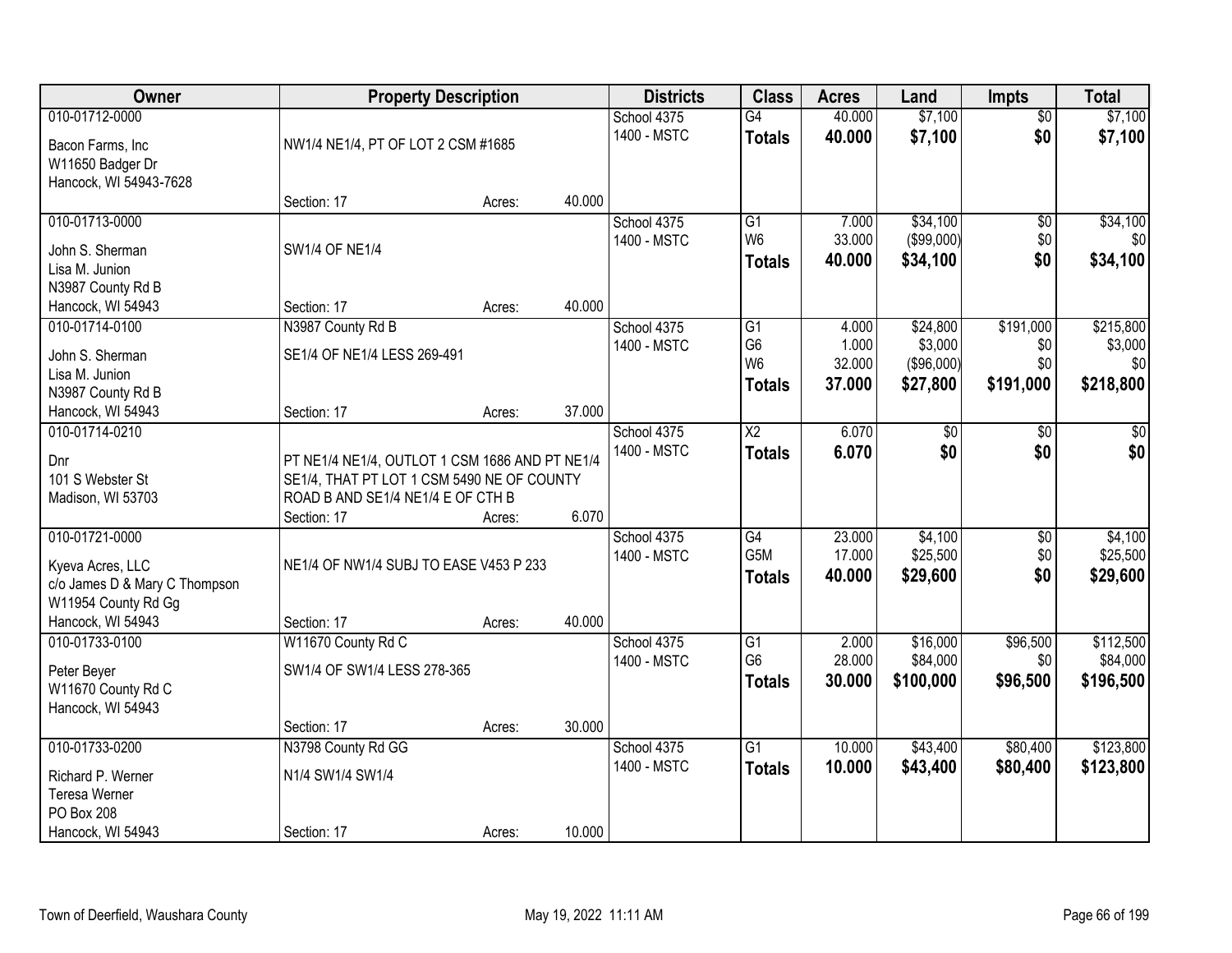| Owner                                                                                                           | <b>Property Description</b>                                                                                                       |                  |        | <b>Districts</b>           | <b>Class</b>                                                         | <b>Acres</b>                       | Land                                           | <b>Impts</b>                         | <b>Total</b>                             |
|-----------------------------------------------------------------------------------------------------------------|-----------------------------------------------------------------------------------------------------------------------------------|------------------|--------|----------------------------|----------------------------------------------------------------------|------------------------------------|------------------------------------------------|--------------------------------------|------------------------------------------|
| 010-01712-0000<br>Bacon Farms, Inc<br>W11650 Badger Dr                                                          | NW1/4 NE1/4, PT OF LOT 2 CSM #1685                                                                                                |                  |        | School 4375<br>1400 - MSTC | G4<br><b>Totals</b>                                                  | 40.000<br>40.000                   | \$7,100<br>\$7,100                             | $\overline{50}$<br>\$0               | \$7,100<br>\$7,100                       |
| Hancock, WI 54943-7628                                                                                          | Section: 17                                                                                                                       | Acres:           | 40.000 |                            |                                                                      |                                    |                                                |                                      |                                          |
| 010-01713-0000<br>John S. Sherman<br>Lisa M. Junion<br>N3987 County Rd B                                        | <b>SW1/4 OF NE1/4</b>                                                                                                             |                  |        | School 4375<br>1400 - MSTC | $\overline{G1}$<br>W <sub>6</sub><br><b>Totals</b>                   | 7.000<br>33.000<br>40.000          | \$34,100<br>$($ \$99,000) $ $<br>\$34,100      | $\overline{50}$<br>\$0<br>\$0        | \$34,100<br>\$0<br>\$34,100              |
| Hancock, WI 54943                                                                                               | Section: 17                                                                                                                       | Acres:           | 40.000 |                            |                                                                      |                                    |                                                |                                      |                                          |
| 010-01714-0100<br>John S. Sherman<br>Lisa M. Junion<br>N3987 County Rd B                                        | N3987 County Rd B<br>SE1/4 OF NE1/4 LESS 269-491                                                                                  |                  |        | School 4375<br>1400 - MSTC | $\overline{G1}$<br>G <sub>6</sub><br>W <sub>6</sub><br><b>Totals</b> | 4.000<br>1.000<br>32.000<br>37.000 | \$24,800<br>\$3,000<br>( \$96,000)<br>\$27,800 | \$191,000<br>\$0<br>\$0<br>\$191,000 | \$215,800<br>\$3,000<br>\$0<br>\$218,800 |
| Hancock, WI 54943                                                                                               | Section: 17                                                                                                                       | Acres:           | 37.000 |                            |                                                                      |                                    |                                                |                                      |                                          |
| 010-01714-0210<br>Dnr<br>101 S Webster St<br>Madison, WI 53703                                                  | PT NE1/4 NE1/4, OUTLOT 1 CSM 1686 AND PT NE1/4<br>SE1/4, THAT PT LOT 1 CSM 5490 NE OF COUNTY<br>ROAD B AND SE1/4 NE1/4 E OF CTH B |                  | 6.070  | School 4375<br>1400 - MSTC | $\overline{\text{X2}}$<br><b>Totals</b>                              | 6.070<br>6.070                     | $\overline{50}$<br>\$0                         | \$0<br>\$0                           | \$0<br>\$0                               |
| 010-01721-0000<br>Kyeva Acres, LLC<br>c/o James D & Mary C Thompson<br>W11954 County Rd Gg<br>Hancock, WI 54943 | Section: 17<br>NE1/4 OF NW1/4 SUBJ TO EASE V453 P 233<br>Section: 17                                                              | Acres:<br>Acres: | 40.000 | School 4375<br>1400 - MSTC | G4<br>G <sub>5</sub> M<br><b>Totals</b>                              | 23.000<br>17.000<br>40.000         | \$4,100<br>\$25,500<br>\$29,600                | $\overline{50}$<br>\$0<br>\$0        | \$4,100<br>\$25,500<br>\$29,600          |
| 010-01733-0100<br>Peter Beyer<br>W11670 County Rd C<br>Hancock, WI 54943                                        | W11670 County Rd C<br>SW1/4 OF SW1/4 LESS 278-365                                                                                 |                  |        | School 4375<br>1400 - MSTC | $\overline{G1}$<br>G <sub>6</sub><br><b>Totals</b>                   | 2.000<br>28.000<br>30.000          | \$16,000<br>\$84,000<br>\$100,000              | \$96,500<br>\$0<br>\$96,500          | \$112,500<br>\$84,000<br>\$196,500       |
|                                                                                                                 | Section: 17                                                                                                                       | Acres:           | 30.000 |                            |                                                                      |                                    |                                                |                                      |                                          |
| 010-01733-0200<br>Richard P. Werner<br><b>Teresa Werner</b><br>PO Box 208<br>Hancock, WI 54943                  | N3798 County Rd GG<br>N1/4 SW1/4 SW1/4<br>Section: 17                                                                             | Acres:           | 10.000 | School 4375<br>1400 - MSTC | $\overline{G1}$<br><b>Totals</b>                                     | 10.000<br>10.000                   | \$43,400<br>\$43,400                           | \$80,400<br>\$80,400                 | \$123,800<br>\$123,800                   |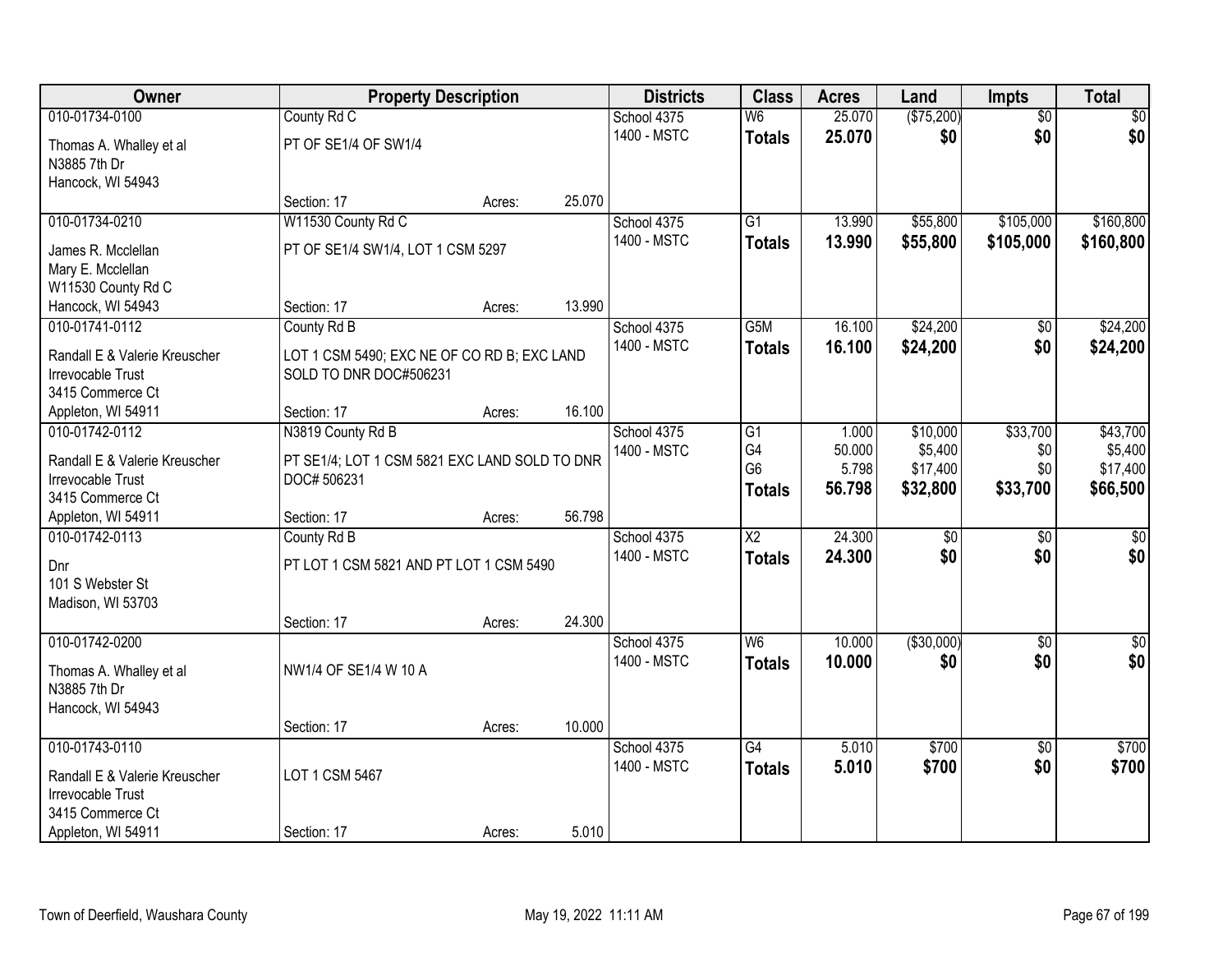| Owner                                  | <b>Property Description</b>                                  |        |        | <b>Districts</b> | <b>Class</b>             | <b>Acres</b> | Land            | <b>Impts</b>    | <b>Total</b>     |
|----------------------------------------|--------------------------------------------------------------|--------|--------|------------------|--------------------------|--------------|-----------------|-----------------|------------------|
| 010-01734-0100                         | County Rd C                                                  |        |        | School 4375      | $\overline{\mathsf{W6}}$ | 25.070       | (\$75,200)      | $\overline{50}$ | $\sqrt{30}$      |
| Thomas A. Whalley et al                | PT OF SE1/4 OF SW1/4                                         |        |        | 1400 - MSTC      | <b>Totals</b>            | 25.070       | \$0             | \$0             | \$0              |
| N3885 7th Dr                           |                                                              |        |        |                  |                          |              |                 |                 |                  |
| Hancock, WI 54943                      |                                                              |        |        |                  |                          |              |                 |                 |                  |
|                                        | Section: 17                                                  | Acres: | 25.070 |                  |                          |              |                 |                 |                  |
| 010-01734-0210                         | W11530 County Rd C                                           |        |        | School 4375      | $\overline{G1}$          | 13.990       | \$55,800        | \$105,000       | \$160,800        |
| James R. Mcclellan                     | PT OF SE1/4 SW1/4, LOT 1 CSM 5297                            |        |        | 1400 - MSTC      | <b>Totals</b>            | 13.990       | \$55,800        | \$105,000       | \$160,800        |
| Mary E. Mcclellan                      |                                                              |        |        |                  |                          |              |                 |                 |                  |
| W11530 County Rd C                     |                                                              |        |        |                  |                          |              |                 |                 |                  |
| Hancock, WI 54943                      | Section: 17                                                  | Acres: | 13.990 |                  |                          |              |                 |                 |                  |
| 010-01741-0112                         | County Rd B                                                  |        |        | School 4375      | G <sub>5</sub> M         | 16.100       | \$24,200        | \$0             | \$24,200         |
| Randall E & Valerie Kreuscher          | LOT 1 CSM 5490; EXC NE OF CO RD B; EXC LAND                  |        |        | 1400 - MSTC      | <b>Totals</b>            | 16.100       | \$24,200        | \$0             | \$24,200         |
| Irrevocable Trust                      | SOLD TO DNR DOC#506231                                       |        |        |                  |                          |              |                 |                 |                  |
| 3415 Commerce Ct                       |                                                              |        |        |                  |                          |              |                 |                 |                  |
| Appleton, WI 54911                     | Section: 17                                                  | Acres: | 16.100 |                  |                          |              |                 |                 |                  |
| 010-01742-0112                         | N3819 County Rd B                                            |        |        | School 4375      | G1                       | 1.000        | \$10,000        | \$33,700        | \$43,700         |
| Randall E & Valerie Kreuscher          |                                                              |        |        | 1400 - MSTC      | G4                       | 50.000       | \$5,400         | \$0             | \$5,400          |
| <b>Irrevocable Trust</b>               | PT SE1/4; LOT 1 CSM 5821 EXC LAND SOLD TO DNR<br>DOC# 506231 |        |        |                  | G <sub>6</sub>           | 5.798        | \$17,400        | \$0             | \$17,400         |
| 3415 Commerce Ct                       |                                                              |        |        |                  | <b>Totals</b>            | 56.798       | \$32,800        | \$33,700        | \$66,500         |
| Appleton, WI 54911                     | Section: 17                                                  | Acres: | 56.798 |                  |                          |              |                 |                 |                  |
| 010-01742-0113                         | County Rd B                                                  |        |        | School 4375      | $\overline{\text{X2}}$   | 24.300       | $\overline{50}$ | $\overline{30}$ | $\sqrt{30}$      |
|                                        |                                                              |        |        | 1400 - MSTC      | <b>Totals</b>            | 24.300       | \$0             | \$0             | \$0              |
| Dnr<br>101 S Webster St                | PT LOT 1 CSM 5821 AND PT LOT 1 CSM 5490                      |        |        |                  |                          |              |                 |                 |                  |
| Madison, WI 53703                      |                                                              |        |        |                  |                          |              |                 |                 |                  |
|                                        | Section: 17                                                  | Acres: | 24.300 |                  |                          |              |                 |                 |                  |
| 010-01742-0200                         |                                                              |        |        | School 4375      | W <sub>6</sub>           | 10.000       | ( \$30,000)     | $\overline{50}$ | $\overline{\$0}$ |
|                                        |                                                              |        |        | 1400 - MSTC      | <b>Totals</b>            | 10.000       | \$0             | \$0             | \$0              |
| Thomas A. Whalley et al                | NW1/4 OF SE1/4 W 10 A                                        |        |        |                  |                          |              |                 |                 |                  |
| N3885 7th Dr<br>Hancock, WI 54943      |                                                              |        |        |                  |                          |              |                 |                 |                  |
|                                        | Section: 17                                                  | Acres: | 10.000 |                  |                          |              |                 |                 |                  |
| 010-01743-0110                         |                                                              |        |        | School 4375      | $\overline{G4}$          | 5.010        | \$700           | $\overline{50}$ | \$700            |
|                                        |                                                              |        |        | 1400 - MSTC      | <b>Totals</b>            | 5.010        | \$700           | \$0             | \$700            |
| Randall E & Valerie Kreuscher          | LOT 1 CSM 5467                                               |        |        |                  |                          |              |                 |                 |                  |
| Irrevocable Trust                      |                                                              |        |        |                  |                          |              |                 |                 |                  |
| 3415 Commerce Ct<br>Appleton, WI 54911 | Section: 17                                                  | Acres: | 5.010  |                  |                          |              |                 |                 |                  |
|                                        |                                                              |        |        |                  |                          |              |                 |                 |                  |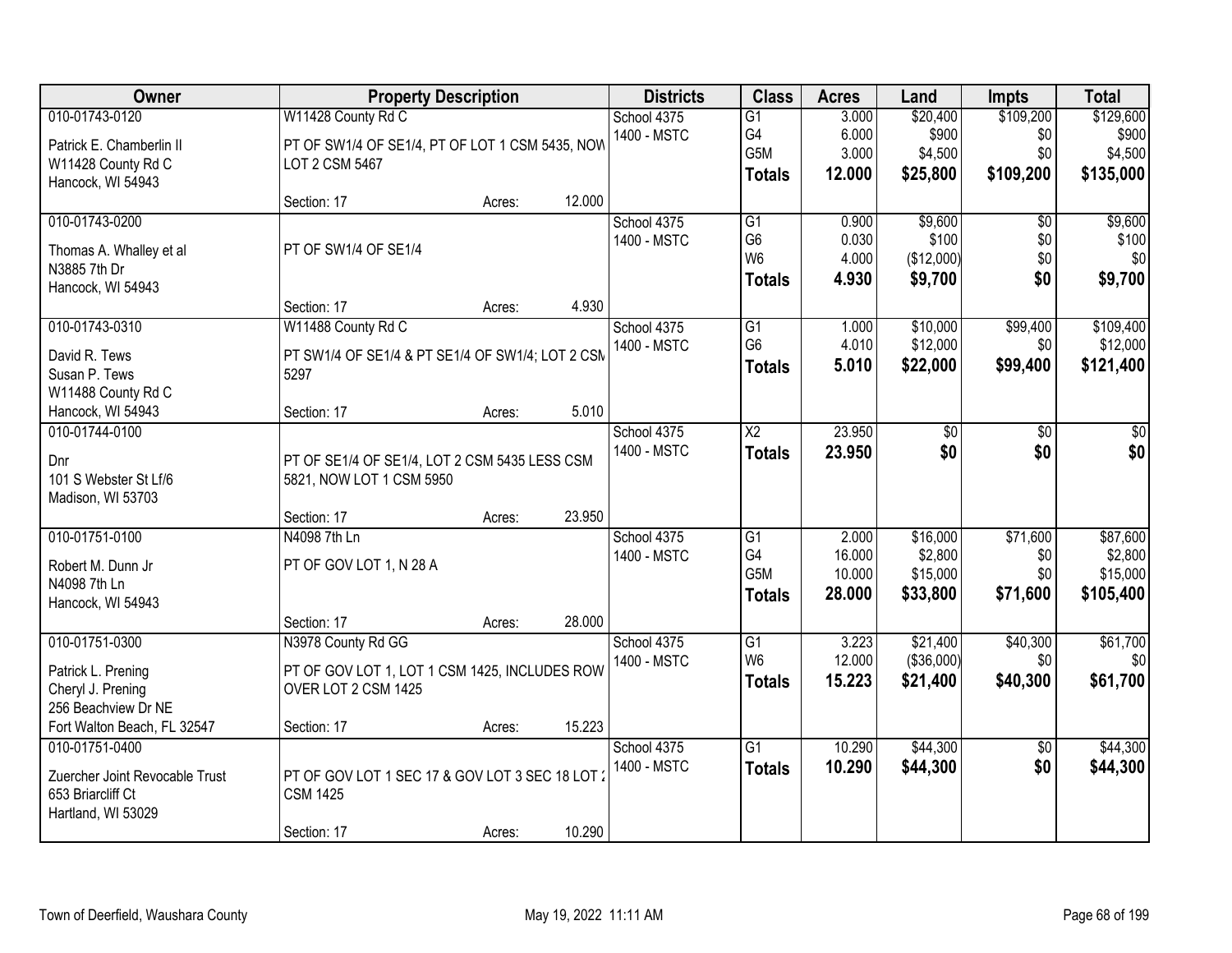| Owner                          |                                                  | <b>Property Description</b> |        | <b>Districts</b> | <b>Class</b>         | <b>Acres</b>    | Land       | <b>Impts</b>    | <b>Total</b>    |
|--------------------------------|--------------------------------------------------|-----------------------------|--------|------------------|----------------------|-----------------|------------|-----------------|-----------------|
| 010-01743-0120                 | W11428 County Rd C                               |                             |        | School 4375      | $\overline{G1}$      | 3.000           | \$20,400   | \$109,200       | \$129,600       |
| Patrick E. Chamberlin II       | PT OF SW1/4 OF SE1/4, PT OF LOT 1 CSM 5435, NOW  |                             |        | 1400 - MSTC      | G4                   | 6.000           | \$900      | \$0             | \$900           |
| W11428 County Rd C             | LOT 2 CSM 5467                                   |                             |        |                  | G5M                  | 3.000           | \$4,500    | \$0             | \$4,500         |
| Hancock, WI 54943              |                                                  |                             |        |                  | <b>Totals</b>        | 12.000          | \$25,800   | \$109,200       | \$135,000       |
|                                | Section: 17                                      | Acres:                      | 12.000 |                  |                      |                 |            |                 |                 |
| 010-01743-0200                 |                                                  |                             |        | School 4375      | $\overline{G1}$      | 0.900           | \$9,600    | $\overline{50}$ | \$9,600         |
| Thomas A. Whalley et al        | PT OF SW1/4 OF SE1/4                             |                             |        | 1400 - MSTC      | G <sub>6</sub>       | 0.030           | \$100      | \$0             | \$100           |
| N3885 7th Dr                   |                                                  |                             |        |                  | W <sub>6</sub>       | 4.000           | (\$12,000) | \$0             | \$0             |
| Hancock, WI 54943              |                                                  |                             |        |                  | <b>Totals</b>        | 4.930           | \$9,700    | \$0             | \$9,700         |
|                                | Section: 17                                      | Acres:                      | 4.930  |                  |                      |                 |            |                 |                 |
| 010-01743-0310                 | W11488 County Rd C                               |                             |        | School 4375      | $\overline{G1}$      | 1.000           | \$10,000   | \$99,400        | \$109,400       |
| David R. Tews                  | PT SW1/4 OF SE1/4 & PT SE1/4 OF SW1/4; LOT 2 CSM |                             |        | 1400 - MSTC      | G <sub>6</sub>       | 4.010           | \$12,000   | \$0             | \$12,000        |
| Susan P. Tews                  | 5297                                             |                             |        |                  | <b>Totals</b>        | 5.010           | \$22,000   | \$99,400        | \$121,400       |
| W11488 County Rd C             |                                                  |                             |        |                  |                      |                 |            |                 |                 |
| Hancock, WI 54943              | Section: 17                                      | Acres:                      | 5.010  |                  |                      |                 |            |                 |                 |
| 010-01744-0100                 |                                                  |                             |        | School 4375      | $\overline{X2}$      | 23.950          | \$0        | \$0             | \$0             |
|                                |                                                  |                             |        | 1400 - MSTC      | <b>Totals</b>        | 23.950          | \$0        | \$0             | \$0             |
| Dnr                            | PT OF SE1/4 OF SE1/4, LOT 2 CSM 5435 LESS CSM    |                             |        |                  |                      |                 |            |                 |                 |
| 101 S Webster St Lf/6          | 5821, NOW LOT 1 CSM 5950                         |                             |        |                  |                      |                 |            |                 |                 |
| Madison, WI 53703              | Section: 17                                      | Acres:                      | 23.950 |                  |                      |                 |            |                 |                 |
| 010-01751-0100                 | N4098 7th Ln                                     |                             |        | School 4375      | $\overline{G1}$      | 2.000           | \$16,000   | \$71,600        | \$87,600        |
|                                |                                                  |                             |        | 1400 - MSTC      | G <sub>4</sub>       | 16.000          | \$2,800    | \$0             | \$2,800         |
| Robert M. Dunn Jr              | PT OF GOV LOT 1, N 28 A                          |                             |        |                  | G <sub>5</sub> M     | 10.000          | \$15,000   | \$0             | \$15,000        |
| N4098 7th Ln                   |                                                  |                             |        |                  | <b>Totals</b>        | 28.000          | \$33,800   | \$71,600        | \$105,400       |
| Hancock, WI 54943              |                                                  |                             |        |                  |                      |                 |            |                 |                 |
|                                | Section: 17                                      | Acres:                      | 28.000 |                  |                      |                 |            |                 |                 |
| 010-01751-0300                 | N3978 County Rd GG                               |                             |        | School 4375      | G1<br>W <sub>6</sub> | 3.223<br>12.000 | \$21,400   | \$40,300<br>\$0 | \$61,700<br>\$0 |
| Patrick L. Prening             | PT OF GOV LOT 1, LOT 1 CSM 1425, INCLUDES ROW    |                             |        | 1400 - MSTC      |                      |                 | (\$36,000) |                 |                 |
| Cheryl J. Prening              | OVER LOT 2 CSM 1425                              |                             |        |                  | <b>Totals</b>        | 15.223          | \$21,400   | \$40,300        | \$61,700        |
| 256 Beachview Dr NE            |                                                  |                             |        |                  |                      |                 |            |                 |                 |
| Fort Walton Beach, FL 32547    | Section: 17                                      | Acres:                      | 15.223 |                  |                      |                 |            |                 |                 |
| 010-01751-0400                 |                                                  |                             |        | School 4375      | $\overline{G1}$      | 10.290          | \$44,300   | $\overline{30}$ | \$44,300        |
| Zuercher Joint Revocable Trust | PT OF GOV LOT 1 SEC 17 & GOV LOT 3 SEC 18 LOT 3  |                             |        | 1400 - MSTC      | <b>Totals</b>        | 10.290          | \$44,300   | \$0             | \$44,300        |
| 653 Briarcliff Ct              | <b>CSM 1425</b>                                  |                             |        |                  |                      |                 |            |                 |                 |
| Hartland, WI 53029             |                                                  |                             |        |                  |                      |                 |            |                 |                 |
|                                | Section: 17                                      | Acres:                      | 10.290 |                  |                      |                 |            |                 |                 |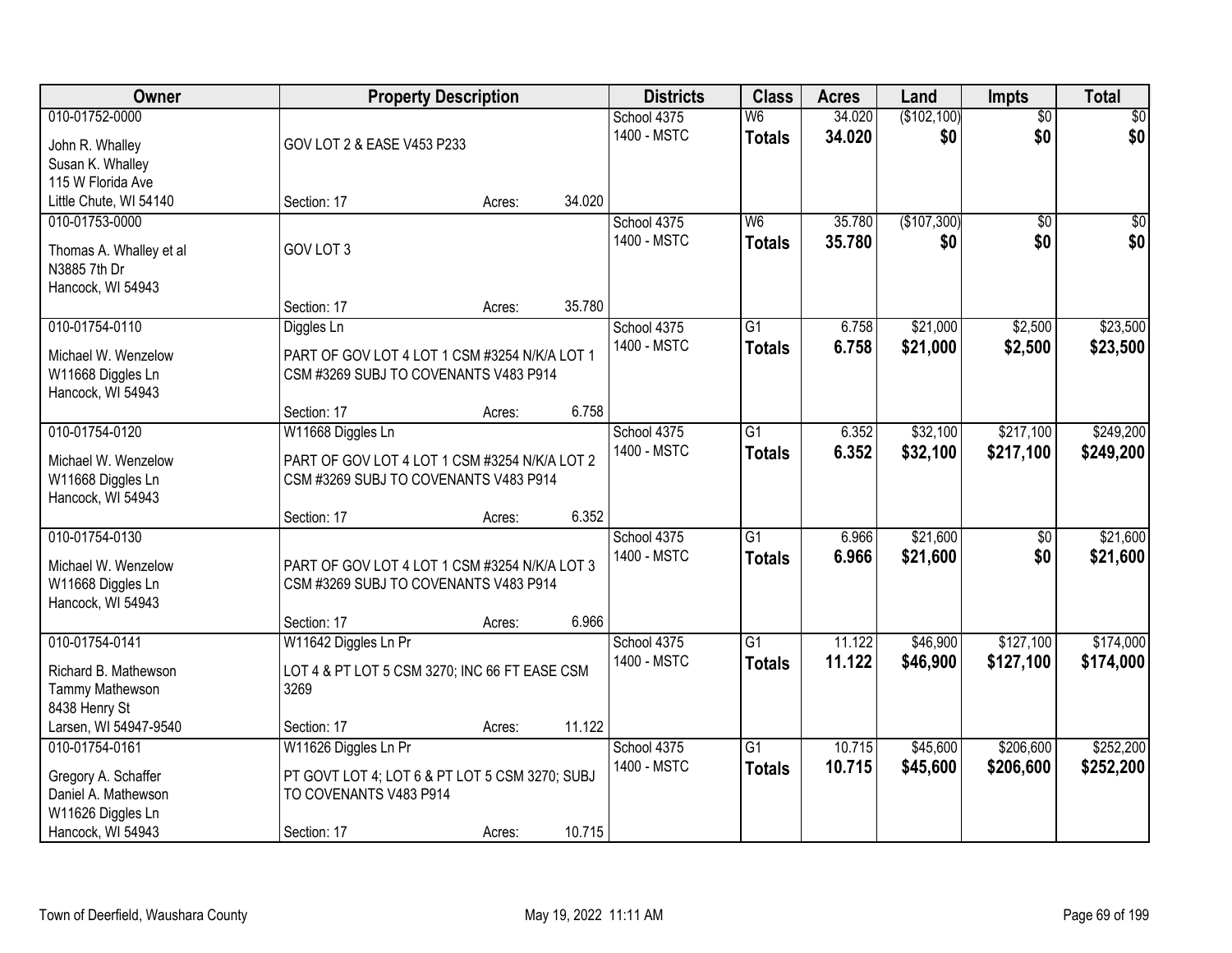| Owner                                   |                                                | <b>Property Description</b> |        | <b>Districts</b>           | <b>Class</b>                    | <b>Acres</b>     | Land               | <b>Impts</b>           | <b>Total</b>           |
|-----------------------------------------|------------------------------------------------|-----------------------------|--------|----------------------------|---------------------------------|------------------|--------------------|------------------------|------------------------|
| 010-01752-0000                          |                                                |                             |        | School 4375<br>1400 - MSTC | W <sub>6</sub><br><b>Totals</b> | 34.020<br>34.020 | (\$102,100)<br>\$0 | $\overline{50}$<br>\$0 | $\overline{30}$<br>\$0 |
| John R. Whalley                         | GOV LOT 2 & EASE V453 P233                     |                             |        |                            |                                 |                  |                    |                        |                        |
| Susan K. Whalley<br>115 W Florida Ave   |                                                |                             |        |                            |                                 |                  |                    |                        |                        |
| Little Chute, WI 54140                  | Section: 17                                    | Acres:                      | 34.020 |                            |                                 |                  |                    |                        |                        |
| 010-01753-0000                          |                                                |                             |        | School 4375                | W6                              | 35.780           | (\$107,300)        | $\overline{50}$        | $\sqrt{50}$            |
|                                         |                                                |                             |        | 1400 - MSTC                | <b>Totals</b>                   | 35.780           | \$0                | \$0                    | \$0                    |
| Thomas A. Whalley et al<br>N3885 7th Dr | GOV LOT 3                                      |                             |        |                            |                                 |                  |                    |                        |                        |
| Hancock, WI 54943                       |                                                |                             |        |                            |                                 |                  |                    |                        |                        |
|                                         | Section: 17                                    | Acres:                      | 35.780 |                            |                                 |                  |                    |                        |                        |
| 010-01754-0110                          | Diggles Ln                                     |                             |        | School 4375                | $\overline{G1}$                 | 6.758            | \$21,000           | \$2,500                | \$23,500               |
| Michael W. Wenzelow                     | PART OF GOV LOT 4 LOT 1 CSM #3254 N/K/A LOT 1  |                             |        | 1400 - MSTC                | <b>Totals</b>                   | 6.758            | \$21,000           | \$2,500                | \$23,500               |
| W11668 Diggles Ln                       | CSM #3269 SUBJ TO COVENANTS V483 P914          |                             |        |                            |                                 |                  |                    |                        |                        |
| Hancock, WI 54943                       |                                                |                             |        |                            |                                 |                  |                    |                        |                        |
|                                         | Section: 17                                    | Acres:                      | 6.758  |                            |                                 |                  |                    |                        |                        |
| 010-01754-0120                          | W11668 Diggles Ln                              |                             |        | School 4375                | $\overline{G1}$                 | 6.352            | \$32,100           | \$217,100              | \$249,200              |
| Michael W. Wenzelow                     | PART OF GOV LOT 4 LOT 1 CSM #3254 N/K/A LOT 2  |                             |        | 1400 - MSTC                | <b>Totals</b>                   | 6.352            | \$32,100           | \$217,100              | \$249,200              |
| W11668 Diggles Ln                       | CSM #3269 SUBJ TO COVENANTS V483 P914          |                             |        |                            |                                 |                  |                    |                        |                        |
| Hancock, WI 54943                       |                                                |                             |        |                            |                                 |                  |                    |                        |                        |
|                                         | Section: 17                                    | Acres:                      | 6.352  |                            |                                 |                  |                    |                        |                        |
| 010-01754-0130                          |                                                |                             |        | School 4375                | $\overline{G1}$                 | 6.966            | \$21,600           | $\overline{50}$        | \$21,600               |
| Michael W. Wenzelow                     | PART OF GOV LOT 4 LOT 1 CSM #3254 N/K/A LOT 3  |                             |        | 1400 - MSTC                | <b>Totals</b>                   | 6.966            | \$21,600           | \$0                    | \$21,600               |
| W11668 Diggles Ln                       | CSM #3269 SUBJ TO COVENANTS V483 P914          |                             |        |                            |                                 |                  |                    |                        |                        |
| Hancock, WI 54943                       |                                                |                             |        |                            |                                 |                  |                    |                        |                        |
|                                         | Section: 17                                    | Acres:                      | 6.966  |                            |                                 |                  |                    |                        |                        |
| 010-01754-0141                          | W11642 Diggles Ln Pr                           |                             |        | School 4375                | $\overline{G1}$                 | 11.122           | \$46,900           | \$127,100              | \$174,000              |
| Richard B. Mathewson                    | LOT 4 & PT LOT 5 CSM 3270; INC 66 FT EASE CSM  |                             |        | 1400 - MSTC                | <b>Totals</b>                   | 11.122           | \$46,900           | \$127,100              | \$174,000              |
| Tammy Mathewson                         | 3269                                           |                             |        |                            |                                 |                  |                    |                        |                        |
| 8438 Henry St                           |                                                |                             |        |                            |                                 |                  |                    |                        |                        |
| Larsen, WI 54947-9540                   | Section: 17                                    | Acres:                      | 11.122 |                            |                                 |                  |                    |                        |                        |
| 010-01754-0161                          | W11626 Diggles Ln Pr                           |                             |        | School 4375                | $\overline{G1}$                 | 10.715           | \$45,600           | \$206,600              | \$252,200              |
| Gregory A. Schaffer                     | PT GOVT LOT 4; LOT 6 & PT LOT 5 CSM 3270; SUBJ |                             |        | 1400 - MSTC                | <b>Totals</b>                   | 10.715           | \$45,600           | \$206,600              | \$252,200              |
| Daniel A. Mathewson                     | TO COVENANTS V483 P914                         |                             |        |                            |                                 |                  |                    |                        |                        |
| W11626 Diggles Ln                       |                                                |                             |        |                            |                                 |                  |                    |                        |                        |
| Hancock, WI 54943                       | Section: 17                                    | Acres:                      | 10.715 |                            |                                 |                  |                    |                        |                        |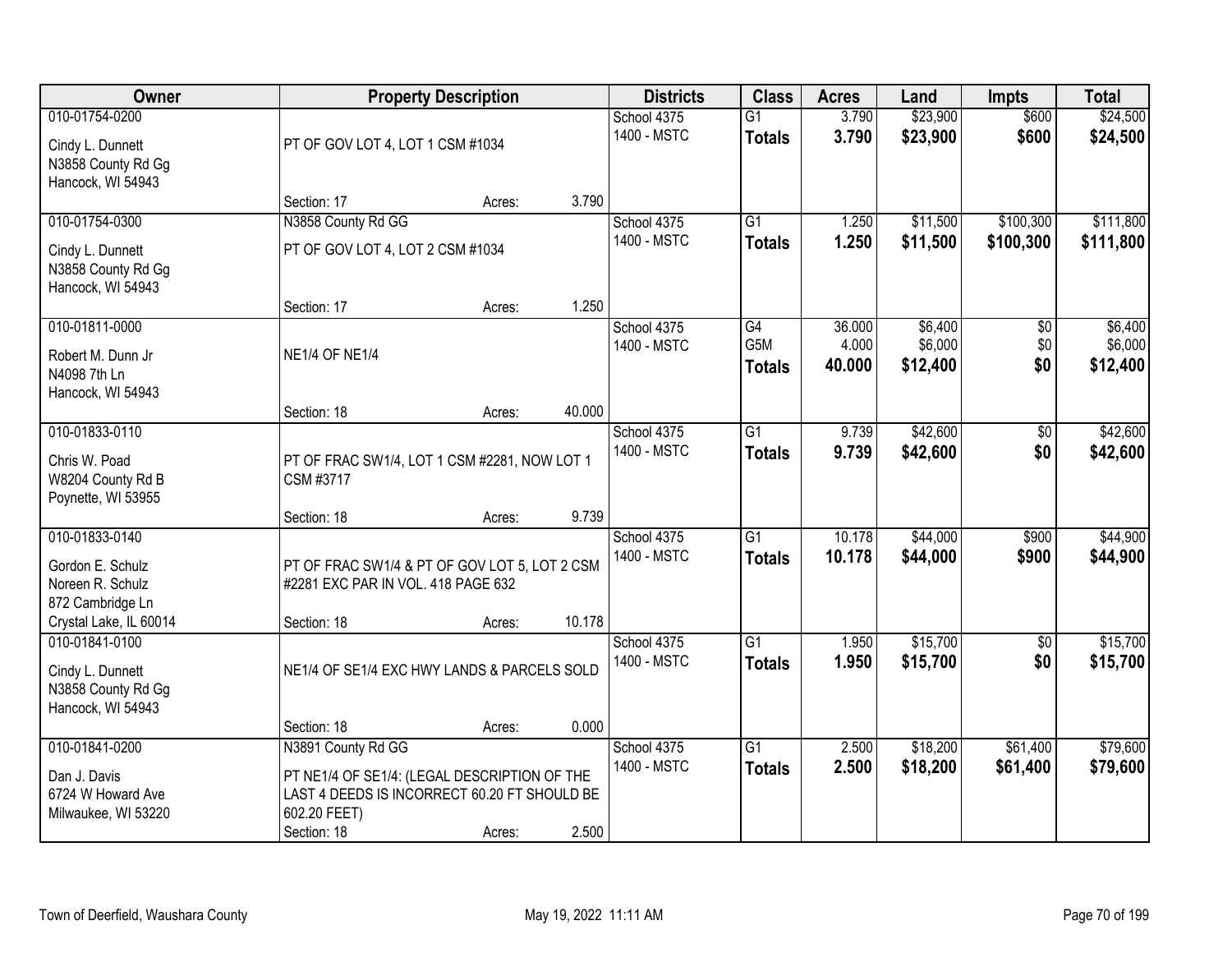| <b>Owner</b>                                                                                         |                                                                                                                                                   | <b>Property Description</b> |        | <b>Districts</b>           | <b>Class</b>                     | <b>Acres</b>     | Land                 | <b>Impts</b>           | <b>Total</b>           |
|------------------------------------------------------------------------------------------------------|---------------------------------------------------------------------------------------------------------------------------------------------------|-----------------------------|--------|----------------------------|----------------------------------|------------------|----------------------|------------------------|------------------------|
| 010-01754-0200<br>Cindy L. Dunnett<br>N3858 County Rd Gg<br>Hancock, WI 54943                        | PT OF GOV LOT 4, LOT 1 CSM #1034                                                                                                                  |                             |        | School 4375<br>1400 - MSTC | $\overline{G1}$<br><b>Totals</b> | 3.790<br>3.790   | \$23,900<br>\$23,900 | \$600<br>\$600         | \$24,500<br>\$24,500   |
|                                                                                                      | Section: 17                                                                                                                                       | Acres:                      | 3.790  |                            |                                  |                  |                      |                        |                        |
| 010-01754-0300<br>Cindy L. Dunnett<br>N3858 County Rd Gg<br>Hancock, WI 54943                        | N3858 County Rd GG<br>PT OF GOV LOT 4, LOT 2 CSM #1034                                                                                            |                             |        | School 4375<br>1400 - MSTC | $\overline{G1}$<br><b>Totals</b> | 1.250<br>1.250   | \$11,500<br>\$11,500 | \$100,300<br>\$100,300 | \$111,800<br>\$111,800 |
| 010-01811-0000                                                                                       | Section: 17                                                                                                                                       | Acres:                      | 1.250  | School 4375                | G4                               | 36.000           | \$6,400              | \$0                    | \$6,400                |
| Robert M. Dunn Jr<br>N4098 7th Ln<br>Hancock, WI 54943                                               | <b>NE1/4 OF NE1/4</b>                                                                                                                             |                             |        | 1400 - MSTC                | G5M<br><b>Totals</b>             | 4.000<br>40.000  | \$6,000<br>\$12,400  | \$0<br>\$0             | \$6,000<br>\$12,400    |
|                                                                                                      | Section: 18                                                                                                                                       | Acres:                      | 40.000 |                            |                                  |                  |                      |                        |                        |
| 010-01833-0110<br>Chris W. Poad<br>W8204 County Rd B<br>Poynette, WI 53955                           | PT OF FRAC SW1/4, LOT 1 CSM #2281, NOW LOT 1<br>CSM #3717                                                                                         |                             |        | School 4375<br>1400 - MSTC | $\overline{G1}$<br><b>Totals</b> | 9.739<br>9.739   | \$42,600<br>\$42,600 | \$0<br>\$0             | \$42,600<br>\$42,600   |
|                                                                                                      | Section: 18                                                                                                                                       | Acres:                      | 9.739  |                            |                                  |                  |                      |                        |                        |
| 010-01833-0140<br>Gordon E. Schulz<br>Noreen R. Schulz<br>872 Cambridge Ln<br>Crystal Lake, IL 60014 | PT OF FRAC SW1/4 & PT OF GOV LOT 5, LOT 2 CSM<br>#2281 EXC PAR IN VOL. 418 PAGE 632<br>Section: 18                                                | Acres:                      | 10.178 | School 4375<br>1400 - MSTC | $\overline{G1}$<br><b>Totals</b> | 10.178<br>10.178 | \$44,000<br>\$44,000 | \$900<br>\$900         | \$44,900<br>\$44,900   |
| 010-01841-0100<br>Cindy L. Dunnett<br>N3858 County Rd Gg<br>Hancock, WI 54943                        | NE1/4 OF SE1/4 EXC HWY LANDS & PARCELS SOLD                                                                                                       |                             |        | School 4375<br>1400 - MSTC | $\overline{G1}$<br><b>Totals</b> | 1.950<br>1.950   | \$15,700<br>\$15,700 | $\sqrt{6}$<br>\$0      | \$15,700<br>\$15,700   |
|                                                                                                      | Section: 18                                                                                                                                       | Acres:                      | 0.000  |                            |                                  |                  |                      |                        |                        |
| 010-01841-0200<br>Dan J. Davis<br>6724 W Howard Ave<br>Milwaukee, WI 53220                           | N3891 County Rd GG<br>PT NE1/4 OF SE1/4: (LEGAL DESCRIPTION OF THE<br>LAST 4 DEEDS IS INCORRECT 60.20 FT SHOULD BE<br>602.20 FEET)<br>Section: 18 | Acres:                      | 2.500  | School 4375<br>1400 - MSTC | $\overline{G1}$<br><b>Totals</b> | 2.500<br>2.500   | \$18,200<br>\$18,200 | \$61,400<br>\$61,400   | \$79,600<br>\$79,600   |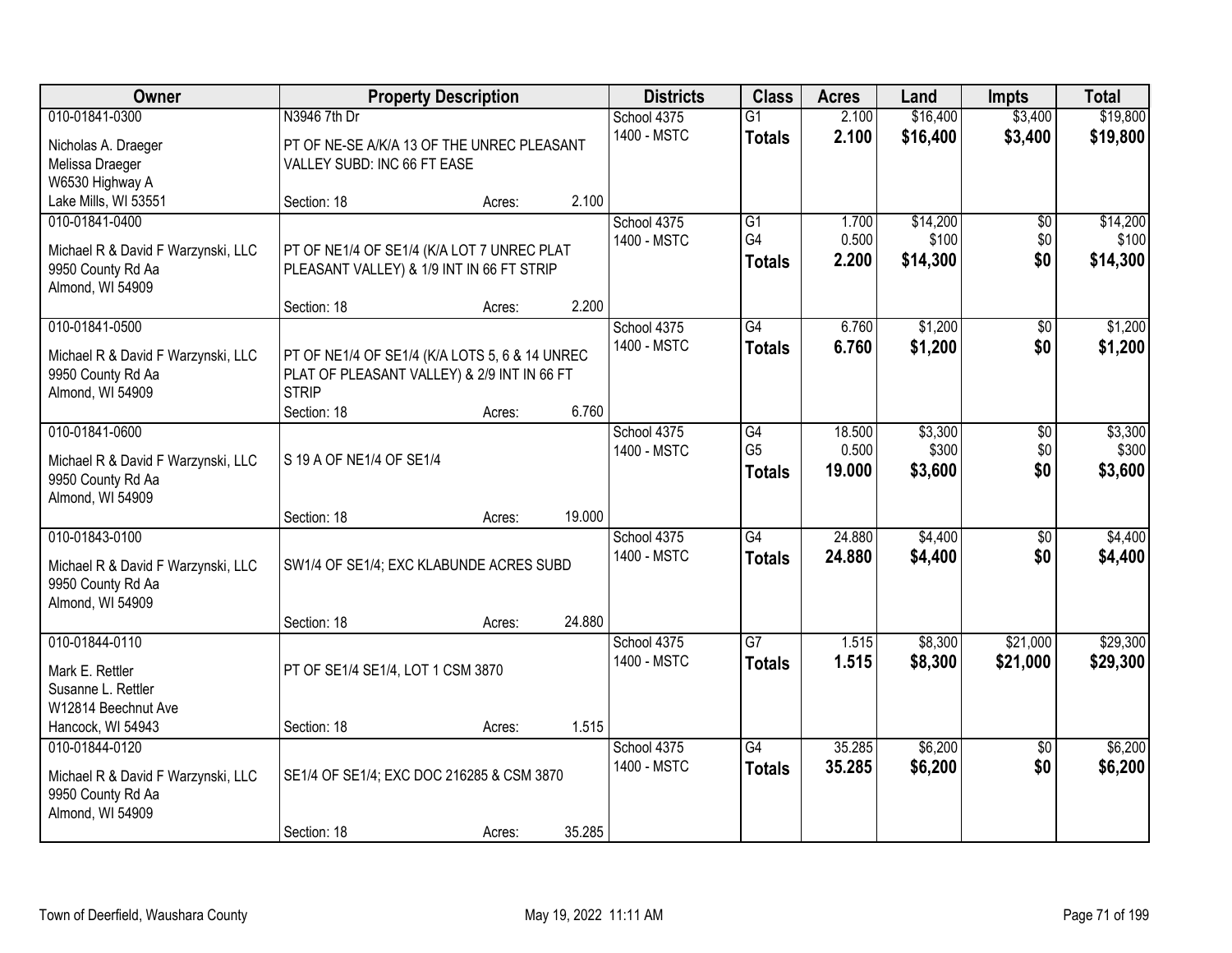| Owner                                                   |                                                | <b>Property Description</b> |        | <b>Districts</b> | <b>Class</b>    | <b>Acres</b> | Land     | <b>Impts</b>    | <b>Total</b> |
|---------------------------------------------------------|------------------------------------------------|-----------------------------|--------|------------------|-----------------|--------------|----------|-----------------|--------------|
| 010-01841-0300                                          | N3946 7th Dr                                   |                             |        | School 4375      | $\overline{G1}$ | 2.100        | \$16,400 | \$3,400         | \$19,800     |
| Nicholas A. Draeger                                     | PT OF NE-SE A/K/A 13 OF THE UNREC PLEASANT     |                             |        | 1400 - MSTC      | <b>Totals</b>   | 2.100        | \$16,400 | \$3,400         | \$19,800     |
| Melissa Draeger                                         | VALLEY SUBD: INC 66 FT EASE                    |                             |        |                  |                 |              |          |                 |              |
| W6530 Highway A                                         |                                                |                             |        |                  |                 |              |          |                 |              |
| Lake Mills, WI 53551                                    | Section: 18                                    | Acres:                      | 2.100  |                  |                 |              |          |                 |              |
| 010-01841-0400                                          |                                                |                             |        | School 4375      | $\overline{G1}$ | 1.700        | \$14,200 | $\overline{50}$ | \$14,200     |
| Michael R & David F Warzynski, LLC                      | PT OF NE1/4 OF SE1/4 (K/A LOT 7 UNREC PLAT     |                             |        | 1400 - MSTC      | G4              | 0.500        | \$100    | \$0             | \$100        |
| 9950 County Rd Aa                                       | PLEASANT VALLEY) & 1/9 INT IN 66 FT STRIP      |                             |        |                  | <b>Totals</b>   | 2.200        | \$14,300 | \$0             | \$14,300     |
| Almond, WI 54909                                        |                                                |                             |        |                  |                 |              |          |                 |              |
|                                                         | Section: 18                                    | Acres:                      | 2.200  |                  |                 |              |          |                 |              |
| 010-01841-0500                                          |                                                |                             |        | School 4375      | G4              | 6.760        | \$1,200  | \$0             | \$1,200      |
| Michael R & David F Warzynski, LLC                      | PT OF NE1/4 OF SE1/4 (K/A LOTS 5, 6 & 14 UNREC |                             |        | 1400 - MSTC      | <b>Totals</b>   | 6.760        | \$1,200  | \$0             | \$1,200      |
| 9950 County Rd Aa                                       | PLAT OF PLEASANT VALLEY) & 2/9 INT IN 66 FT    |                             |        |                  |                 |              |          |                 |              |
| Almond, WI 54909                                        | <b>STRIP</b>                                   |                             |        |                  |                 |              |          |                 |              |
|                                                         | Section: 18                                    | Acres:                      | 6.760  |                  |                 |              |          |                 |              |
| 010-01841-0600                                          |                                                |                             |        | School 4375      | G4              | 18.500       | \$3,300  | \$0             | \$3,300      |
| Michael R & David F Warzynski, LLC                      | S 19 A OF NE1/4 OF SE1/4                       |                             |        | 1400 - MSTC      | G <sub>5</sub>  | 0.500        | \$300    | \$0             | \$300        |
| 9950 County Rd Aa                                       |                                                |                             |        |                  | <b>Totals</b>   | 19,000       | \$3,600  | \$0             | \$3,600      |
| Almond, WI 54909                                        |                                                |                             |        |                  |                 |              |          |                 |              |
|                                                         | Section: 18                                    | Acres:                      | 19.000 |                  |                 |              |          |                 |              |
| 010-01843-0100                                          |                                                |                             |        | School 4375      | $\overline{G4}$ | 24.880       | \$4,400  | $\overline{50}$ | \$4,400      |
|                                                         | SW1/4 OF SE1/4; EXC KLABUNDE ACRES SUBD        |                             |        | 1400 - MSTC      | <b>Totals</b>   | 24.880       | \$4,400  | \$0             | \$4,400      |
| Michael R & David F Warzynski, LLC<br>9950 County Rd Aa |                                                |                             |        |                  |                 |              |          |                 |              |
| Almond, WI 54909                                        |                                                |                             |        |                  |                 |              |          |                 |              |
|                                                         | Section: 18                                    | Acres:                      | 24.880 |                  |                 |              |          |                 |              |
| 010-01844-0110                                          |                                                |                             |        | School 4375      | $\overline{G7}$ | 1.515        | \$8,300  | \$21,000        | \$29,300     |
|                                                         | PT OF SE1/4 SE1/4, LOT 1 CSM 3870              |                             |        | 1400 - MSTC      | <b>Totals</b>   | 1.515        | \$8,300  | \$21,000        | \$29,300     |
| Mark E. Rettler<br>Susanne L. Rettler                   |                                                |                             |        |                  |                 |              |          |                 |              |
| W12814 Beechnut Ave                                     |                                                |                             |        |                  |                 |              |          |                 |              |
| Hancock, WI 54943                                       | Section: 18                                    | Acres:                      | 1.515  |                  |                 |              |          |                 |              |
| 010-01844-0120                                          |                                                |                             |        | School 4375      | $\overline{G4}$ | 35.285       | \$6,200  | $\overline{50}$ | \$6,200      |
|                                                         |                                                |                             |        | 1400 - MSTC      | <b>Totals</b>   | 35.285       | \$6,200  | \$0             | \$6,200      |
| Michael R & David F Warzynski, LLC<br>9950 County Rd Aa | SE1/4 OF SE1/4; EXC DOC 216285 & CSM 3870      |                             |        |                  |                 |              |          |                 |              |
| Almond, WI 54909                                        |                                                |                             |        |                  |                 |              |          |                 |              |
|                                                         | Section: 18                                    | Acres:                      | 35.285 |                  |                 |              |          |                 |              |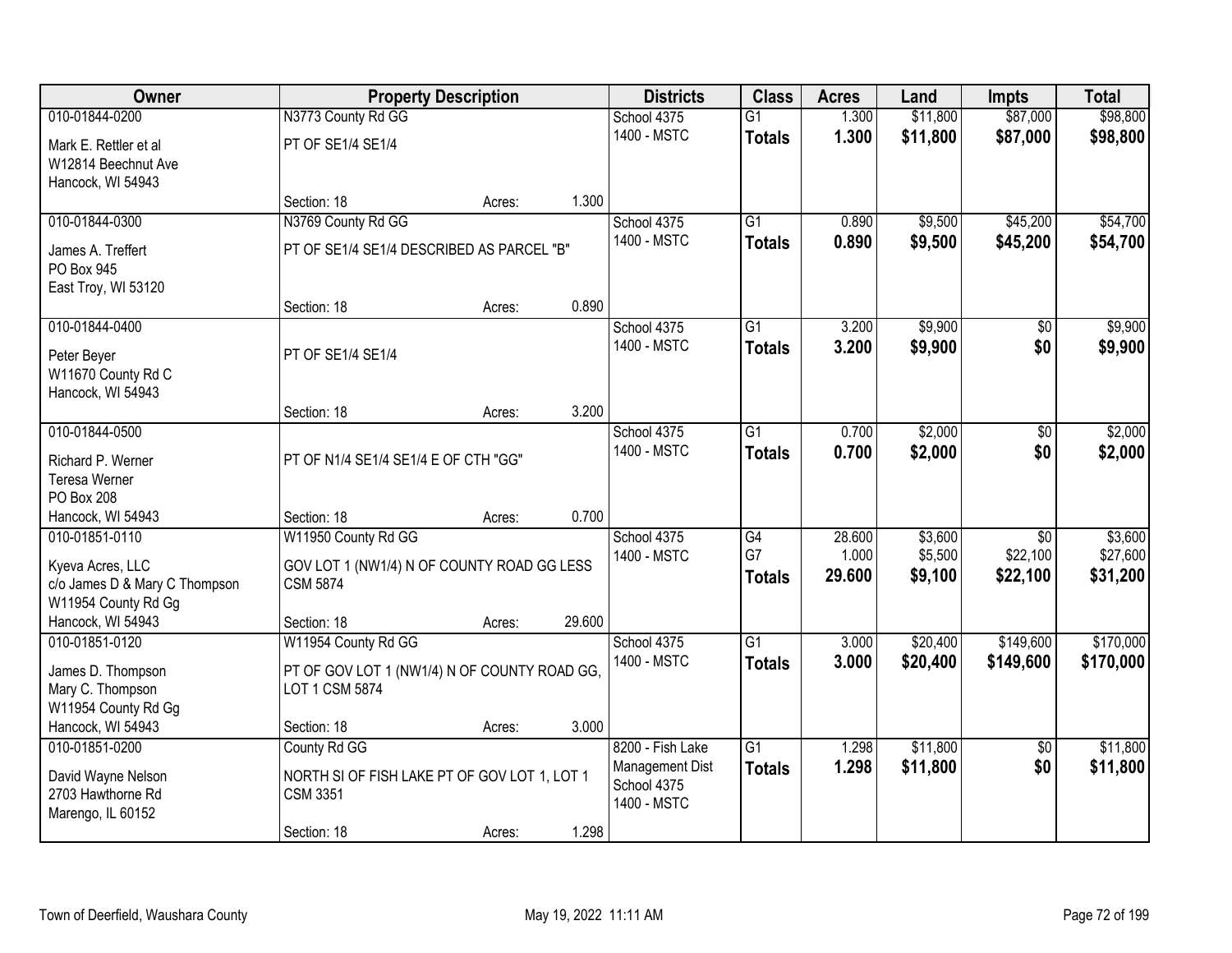| Owner                                                                                                           |                                                                                                     | <b>Property Description</b> |        | <b>Districts</b>                                                  | <b>Class</b>                           | <b>Acres</b>              | Land                          | <b>Impts</b>                            | <b>Total</b>                    |
|-----------------------------------------------------------------------------------------------------------------|-----------------------------------------------------------------------------------------------------|-----------------------------|--------|-------------------------------------------------------------------|----------------------------------------|---------------------------|-------------------------------|-----------------------------------------|---------------------------------|
| 010-01844-0200                                                                                                  | N3773 County Rd GG                                                                                  |                             |        | School 4375                                                       | $\overline{G1}$                        | 1.300                     | \$11,800                      | \$87,000                                | \$98,800                        |
| Mark E. Rettler et al<br>W12814 Beechnut Ave<br>Hancock, WI 54943                                               | PT OF SE1/4 SE1/4                                                                                   |                             |        | 1400 - MSTC                                                       | <b>Totals</b>                          | 1.300                     | \$11,800                      | \$87,000                                | \$98,800                        |
|                                                                                                                 | Section: 18                                                                                         | Acres:                      | 1.300  |                                                                   |                                        |                           |                               |                                         |                                 |
| 010-01844-0300<br>James A. Treffert<br>PO Box 945                                                               | N3769 County Rd GG<br>PT OF SE1/4 SE1/4 DESCRIBED AS PARCEL "B"                                     |                             |        | School 4375<br>1400 - MSTC                                        | $\overline{G1}$<br><b>Totals</b>       | 0.890<br>0.890            | \$9,500<br>\$9,500            | \$45,200<br>\$45,200                    | \$54,700<br>\$54,700            |
| East Troy, WI 53120                                                                                             | Section: 18                                                                                         | Acres:                      | 0.890  |                                                                   |                                        |                           |                               |                                         |                                 |
| 010-01844-0400                                                                                                  |                                                                                                     |                             |        | School 4375                                                       | $\overline{G1}$                        | 3.200                     | \$9,900                       | $\overline{50}$                         | \$9,900                         |
| Peter Beyer<br>W11670 County Rd C<br>Hancock, WI 54943                                                          | PT OF SE1/4 SE1/4                                                                                   |                             |        | 1400 - MSTC                                                       | <b>Totals</b>                          | 3.200                     | \$9,900                       | \$0                                     | \$9,900                         |
|                                                                                                                 | Section: 18                                                                                         | Acres:                      | 3.200  |                                                                   |                                        |                           |                               |                                         |                                 |
| 010-01844-0500<br>Richard P. Werner                                                                             | PT OF N1/4 SE1/4 SE1/4 E OF CTH "GG"                                                                |                             |        | School 4375<br>1400 - MSTC                                        | $\overline{G1}$<br><b>Totals</b>       | 0.700<br>0.700            | \$2,000<br>\$2,000            | \$0<br>\$0                              | \$2,000<br>\$2,000              |
| Teresa Werner<br>PO Box 208                                                                                     |                                                                                                     |                             |        |                                                                   |                                        |                           |                               |                                         |                                 |
| Hancock, WI 54943                                                                                               | Section: 18                                                                                         | Acres:                      | 0.700  |                                                                   |                                        |                           |                               |                                         |                                 |
| 010-01851-0110<br>Kyeva Acres, LLC<br>c/o James D & Mary C Thompson<br>W11954 County Rd Gg<br>Hancock, WI 54943 | W11950 County Rd GG<br>GOV LOT 1 (NW1/4) N OF COUNTY ROAD GG LESS<br><b>CSM 5874</b><br>Section: 18 | Acres:                      | 29.600 | School 4375<br>1400 - MSTC                                        | $\overline{G4}$<br>G7<br><b>Totals</b> | 28.600<br>1.000<br>29.600 | \$3,600<br>\$5,500<br>\$9,100 | $\overline{50}$<br>\$22,100<br>\$22,100 | \$3,600<br>\$27,600<br>\$31,200 |
| 010-01851-0120                                                                                                  | W11954 County Rd GG                                                                                 |                             |        | School 4375                                                       | $\overline{G1}$                        | 3.000                     | \$20,400                      | \$149,600                               | \$170,000                       |
| James D. Thompson<br>Mary C. Thompson<br>W11954 County Rd Gg                                                    | PT OF GOV LOT 1 (NW1/4) N OF COUNTY ROAD GG,<br>LOT 1 CSM 5874                                      |                             |        | 1400 - MSTC                                                       | <b>Totals</b>                          | 3.000                     | \$20,400                      | \$149,600                               | \$170,000                       |
| Hancock, WI 54943                                                                                               | Section: 18                                                                                         | Acres:                      | 3.000  |                                                                   |                                        |                           |                               |                                         |                                 |
| 010-01851-0200<br>David Wayne Nelson<br>2703 Hawthorne Rd<br>Marengo, IL 60152                                  | County Rd GG<br>NORTH SI OF FISH LAKE PT OF GOV LOT 1, LOT 1<br><b>CSM 3351</b>                     |                             |        | 8200 - Fish Lake<br>Management Dist<br>School 4375<br>1400 - MSTC | $\overline{G1}$<br><b>Totals</b>       | 1.298<br>1.298            | \$11,800<br>\$11,800          | $\overline{50}$<br>\$0                  | \$11,800<br>\$11,800            |
|                                                                                                                 | Section: 18                                                                                         | Acres:                      | 1.298  |                                                                   |                                        |                           |                               |                                         |                                 |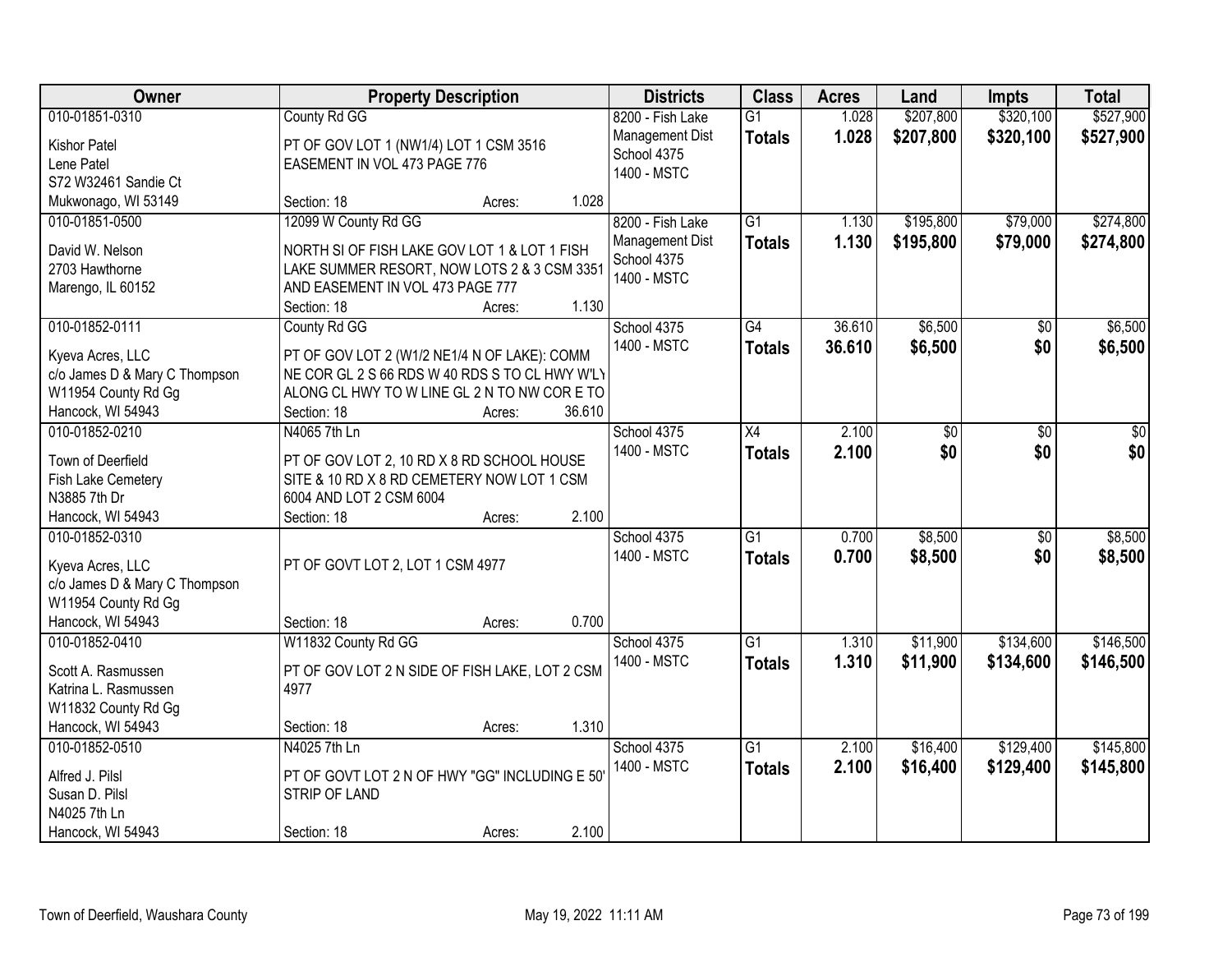| Owner                             | <b>Property Description</b>                                     |        |        | <b>Districts</b> | <b>Class</b>    | <b>Acres</b> | Land            | <b>Impts</b> | <b>Total</b> |
|-----------------------------------|-----------------------------------------------------------------|--------|--------|------------------|-----------------|--------------|-----------------|--------------|--------------|
| 010-01851-0310                    | County Rd GG                                                    |        |        | 8200 - Fish Lake | $\overline{G1}$ | 1.028        | \$207,800       | \$320,100    | \$527,900    |
| <b>Kishor Patel</b>               | PT OF GOV LOT 1 (NW1/4) LOT 1 CSM 3516                          |        |        | Management Dist  | <b>Totals</b>   | 1.028        | \$207,800       | \$320,100    | \$527,900    |
| Lene Patel                        | EASEMENT IN VOL 473 PAGE 776                                    |        |        | School 4375      |                 |              |                 |              |              |
| S72 W32461 Sandie Ct              |                                                                 |        |        | 1400 - MSTC      |                 |              |                 |              |              |
| Mukwonago, WI 53149               | Section: 18                                                     | Acres: | 1.028  |                  |                 |              |                 |              |              |
| 010-01851-0500                    | 12099 W County Rd GG                                            |        |        | 8200 - Fish Lake | $\overline{G1}$ | 1.130        | \$195,800       | \$79,000     | \$274,800    |
|                                   |                                                                 |        |        | Management Dist  | <b>Totals</b>   | 1.130        | \$195,800       | \$79,000     | \$274,800    |
| David W. Nelson                   | NORTH SI OF FISH LAKE GOV LOT 1 & LOT 1 FISH                    |        |        | School 4375      |                 |              |                 |              |              |
| 2703 Hawthorne                    | LAKE SUMMER RESORT, NOW LOTS 2 & 3 CSM 3351                     |        |        | 1400 - MSTC      |                 |              |                 |              |              |
| Marengo, IL 60152                 | AND EASEMENT IN VOL 473 PAGE 777                                |        |        |                  |                 |              |                 |              |              |
|                                   | Section: 18                                                     | Acres: | 1.130  |                  |                 |              |                 |              |              |
| 010-01852-0111                    | County Rd GG                                                    |        |        | School 4375      | G4              | 36.610       | \$6,500         | \$0          | \$6,500      |
| Kyeva Acres, LLC                  | PT OF GOV LOT 2 (W1/2 NE1/4 N OF LAKE): COMM                    |        |        | 1400 - MSTC      | <b>Totals</b>   | 36.610       | \$6,500         | \$0          | \$6,500      |
| c/o James D & Mary C Thompson     | NE COR GL 2 S 66 RDS W 40 RDS S TO CL HWY W'LY                  |        |        |                  |                 |              |                 |              |              |
| W11954 County Rd Gg               | ALONG CL HWY TO W LINE GL 2 N TO NW COR E TO                    |        |        |                  |                 |              |                 |              |              |
| Hancock, WI 54943                 | Section: 18                                                     | Acres: | 36.610 |                  |                 |              |                 |              |              |
| 010-01852-0210                    | N4065 7th Ln                                                    |        |        | School 4375      | X4              | 2.100        | $\overline{50}$ | \$0          | \$0          |
| Town of Deerfield                 | PT OF GOV LOT 2, 10 RD X 8 RD SCHOOL HOUSE                      |        |        | 1400 - MSTC      | <b>Totals</b>   | 2.100        | \$0             | \$0          | \$0          |
| Fish Lake Cemetery                | SITE & 10 RD X 8 RD CEMETERY NOW LOT 1 CSM                      |        |        |                  |                 |              |                 |              |              |
| N3885 7th Dr                      | 6004 AND LOT 2 CSM 6004                                         |        |        |                  |                 |              |                 |              |              |
| Hancock, WI 54943                 | Section: 18                                                     | Acres: | 2.100  |                  |                 |              |                 |              |              |
| 010-01852-0310                    |                                                                 |        |        | School 4375      | $\overline{G1}$ | 0.700        | \$8,500         | \$0          | \$8,500      |
|                                   |                                                                 |        |        | 1400 - MSTC      | <b>Totals</b>   | 0.700        | \$8,500         | \$0          | \$8,500      |
| Kyeva Acres, LLC                  | PT OF GOVT LOT 2, LOT 1 CSM 4977                                |        |        |                  |                 |              |                 |              |              |
| c/o James D & Mary C Thompson     |                                                                 |        |        |                  |                 |              |                 |              |              |
| W11954 County Rd Gg               |                                                                 |        |        |                  |                 |              |                 |              |              |
| Hancock, WI 54943                 | Section: 18                                                     | Acres: | 0.700  |                  |                 |              |                 |              |              |
| 010-01852-0410                    | W11832 County Rd GG                                             |        |        | School 4375      | $\overline{G1}$ | 1.310        | \$11,900        | \$134,600    | \$146,500    |
| Scott A. Rasmussen                | PT OF GOV LOT 2 N SIDE OF FISH LAKE, LOT 2 CSM                  |        |        | 1400 - MSTC      | <b>Totals</b>   | 1.310        | \$11,900        | \$134,600    | \$146,500    |
| Katrina L. Rasmussen              | 4977                                                            |        |        |                  |                 |              |                 |              |              |
| W11832 County Rd Gg               |                                                                 |        |        |                  |                 |              |                 |              |              |
| Hancock, WI 54943                 | Section: 18                                                     | Acres: | 1.310  |                  |                 |              |                 |              |              |
| 010-01852-0510                    | N4025 7th Ln                                                    |        |        | School 4375      | $\overline{G1}$ | 2.100        | \$16,400        | \$129,400    | \$145,800    |
|                                   |                                                                 |        |        | 1400 - MSTC      | <b>Totals</b>   | 2.100        | \$16,400        | \$129,400    | \$145,800    |
| Alfred J. Pilsl<br>Susan D. Pilsl | PT OF GOVT LOT 2 N OF HWY "GG" INCLUDING E 50"<br>STRIP OF LAND |        |        |                  |                 |              |                 |              |              |
| N4025 7th Ln                      |                                                                 |        |        |                  |                 |              |                 |              |              |
|                                   |                                                                 |        |        |                  |                 |              |                 |              |              |
| Hancock, WI 54943                 | Section: 18                                                     | Acres: | 2.100  |                  |                 |              |                 |              |              |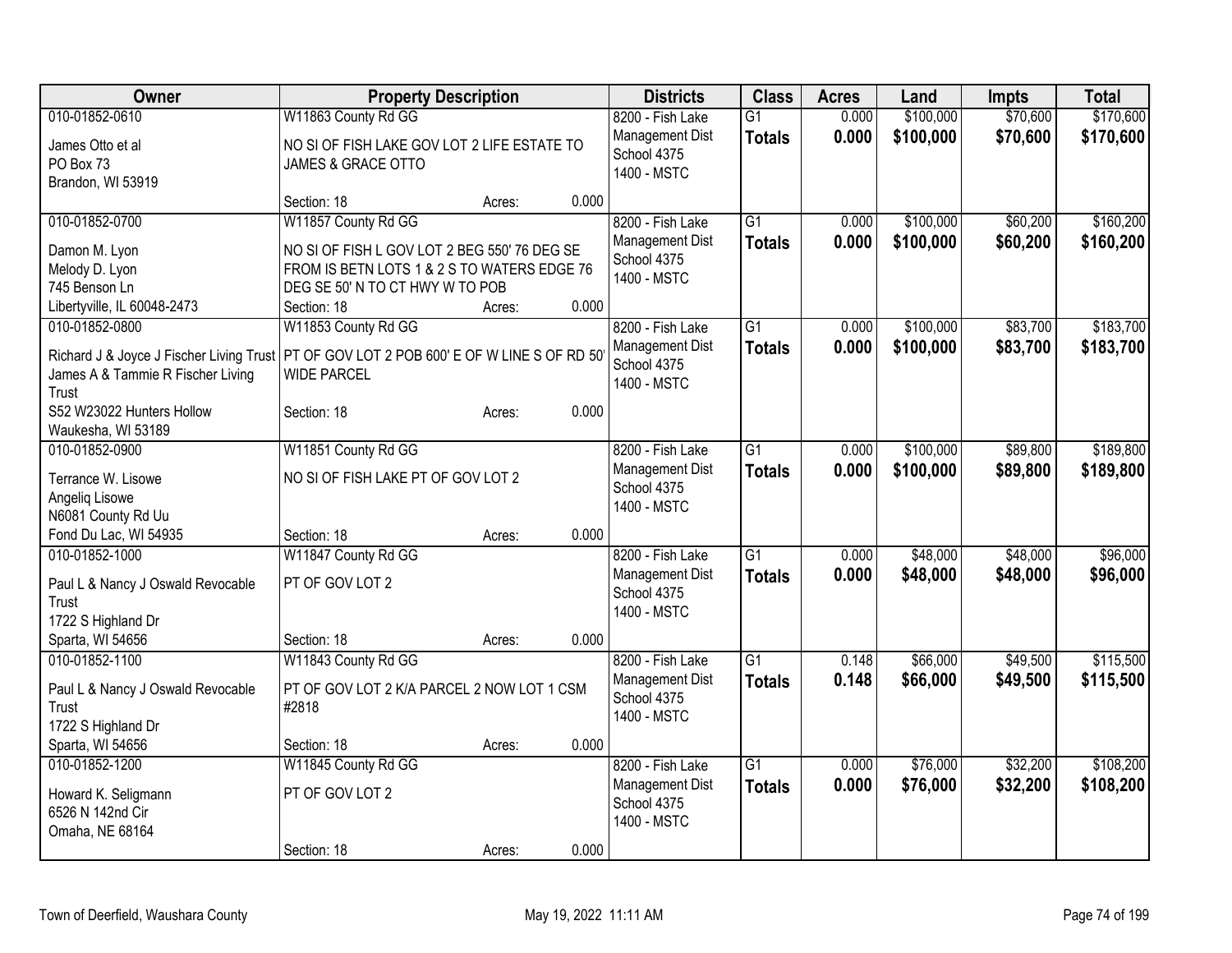| <b>Owner</b>                             | <b>Property Description</b>                     |        |       | <b>Districts</b> | <b>Class</b>    | <b>Acres</b> | Land      | <b>Impts</b> | <b>Total</b> |
|------------------------------------------|-------------------------------------------------|--------|-------|------------------|-----------------|--------------|-----------|--------------|--------------|
| 010-01852-0610                           | W11863 County Rd GG                             |        |       | 8200 - Fish Lake | $\overline{G1}$ | 0.000        | \$100,000 | \$70,600     | \$170,600    |
| James Otto et al                         | NO SI OF FISH LAKE GOV LOT 2 LIFE ESTATE TO     |        |       | Management Dist  | <b>Totals</b>   | 0.000        | \$100,000 | \$70,600     | \$170,600    |
| PO Box 73                                | JAMES & GRACE OTTO                              |        |       | School 4375      |                 |              |           |              |              |
| Brandon, WI 53919                        |                                                 |        |       | 1400 - MSTC      |                 |              |           |              |              |
|                                          | Section: 18                                     | Acres: | 0.000 |                  |                 |              |           |              |              |
| 010-01852-0700                           | W11857 County Rd GG                             |        |       | 8200 - Fish Lake | $\overline{G1}$ | 0.000        | \$100,000 | \$60,200     | \$160,200    |
| Damon M. Lyon                            | NO SI OF FISH L GOV LOT 2 BEG 550' 76 DEG SE    |        |       | Management Dist  | <b>Totals</b>   | 0.000        | \$100,000 | \$60,200     | \$160,200    |
| Melody D. Lyon                           | FROM IS BETN LOTS 1 & 2 S TO WATERS EDGE 76     |        |       | School 4375      |                 |              |           |              |              |
| 745 Benson Ln                            | DEG SE 50' N TO CT HWY W TO POB                 |        |       | 1400 - MSTC      |                 |              |           |              |              |
| Libertyville, IL 60048-2473              | Section: 18                                     | Acres: | 0.000 |                  |                 |              |           |              |              |
| 010-01852-0800                           | W11853 County Rd GG                             |        |       | 8200 - Fish Lake | $\overline{G1}$ | 0.000        | \$100,000 | \$83,700     | \$183,700    |
|                                          |                                                 |        |       | Management Dist  | <b>Totals</b>   | 0.000        | \$100,000 | \$83,700     | \$183,700    |
| Richard J & Joyce J Fischer Living Trust | PT OF GOV LOT 2 POB 600' E OF W LINE S OF RD 50 |        |       | School 4375      |                 |              |           |              |              |
| James A & Tammie R Fischer Living        | <b>WIDE PARCEL</b>                              |        |       | 1400 - MSTC      |                 |              |           |              |              |
| Trust                                    |                                                 |        |       |                  |                 |              |           |              |              |
| S52 W23022 Hunters Hollow                | Section: 18                                     | Acres: | 0.000 |                  |                 |              |           |              |              |
| Waukesha, WI 53189                       |                                                 |        |       |                  |                 |              |           |              |              |
| 010-01852-0900                           | W11851 County Rd GG                             |        |       | 8200 - Fish Lake | G1              | 0.000        | \$100,000 | \$89,800     | \$189,800    |
| Terrance W. Lisowe                       | NO SI OF FISH LAKE PT OF GOV LOT 2              |        |       | Management Dist  | <b>Totals</b>   | 0.000        | \$100,000 | \$89,800     | \$189,800    |
| Angelig Lisowe                           |                                                 |        |       | School 4375      |                 |              |           |              |              |
| N6081 County Rd Uu                       |                                                 |        |       | 1400 - MSTC      |                 |              |           |              |              |
| Fond Du Lac, WI 54935                    | Section: 18                                     | Acres: | 0.000 |                  |                 |              |           |              |              |
| 010-01852-1000                           | W11847 County Rd GG                             |        |       | 8200 - Fish Lake | $\overline{G1}$ | 0.000        | \$48,000  | \$48,000     | \$96,000     |
|                                          |                                                 |        |       | Management Dist  | <b>Totals</b>   | 0.000        | \$48,000  | \$48,000     | \$96,000     |
| Paul L & Nancy J Oswald Revocable        | PT OF GOV LOT 2                                 |        |       | School 4375      |                 |              |           |              |              |
| Trust<br>1722 S Highland Dr              |                                                 |        |       | 1400 - MSTC      |                 |              |           |              |              |
| Sparta, WI 54656                         | Section: 18                                     | Acres: | 0.000 |                  |                 |              |           |              |              |
| 010-01852-1100                           | W11843 County Rd GG                             |        |       | 8200 - Fish Lake | $\overline{G1}$ | 0.148        | \$66,000  | \$49,500     | \$115,500    |
|                                          |                                                 |        |       | Management Dist  |                 | 0.148        | \$66,000  | \$49,500     | \$115,500    |
| Paul L & Nancy J Oswald Revocable        | PT OF GOV LOT 2 K/A PARCEL 2 NOW LOT 1 CSM      |        |       | School 4375      | <b>Totals</b>   |              |           |              |              |
| Trust                                    | #2818                                           |        |       | 1400 - MSTC      |                 |              |           |              |              |
| 1722 S Highland Dr                       |                                                 |        |       |                  |                 |              |           |              |              |
| Sparta, WI 54656                         | Section: 18                                     | Acres: | 0.000 |                  |                 |              |           |              |              |
| 010-01852-1200                           | W11845 County Rd GG                             |        |       | 8200 - Fish Lake | $\overline{G1}$ | 0.000        | \$76,000  | \$32,200     | \$108,200    |
| Howard K. Seligmann                      | PT OF GOV LOT 2                                 |        |       | Management Dist  | <b>Totals</b>   | 0.000        | \$76,000  | \$32,200     | \$108,200    |
| 6526 N 142nd Cir                         |                                                 |        |       | School 4375      |                 |              |           |              |              |
| Omaha, NE 68164                          |                                                 |        |       | 1400 - MSTC      |                 |              |           |              |              |
|                                          | Section: 18                                     | Acres: | 0.000 |                  |                 |              |           |              |              |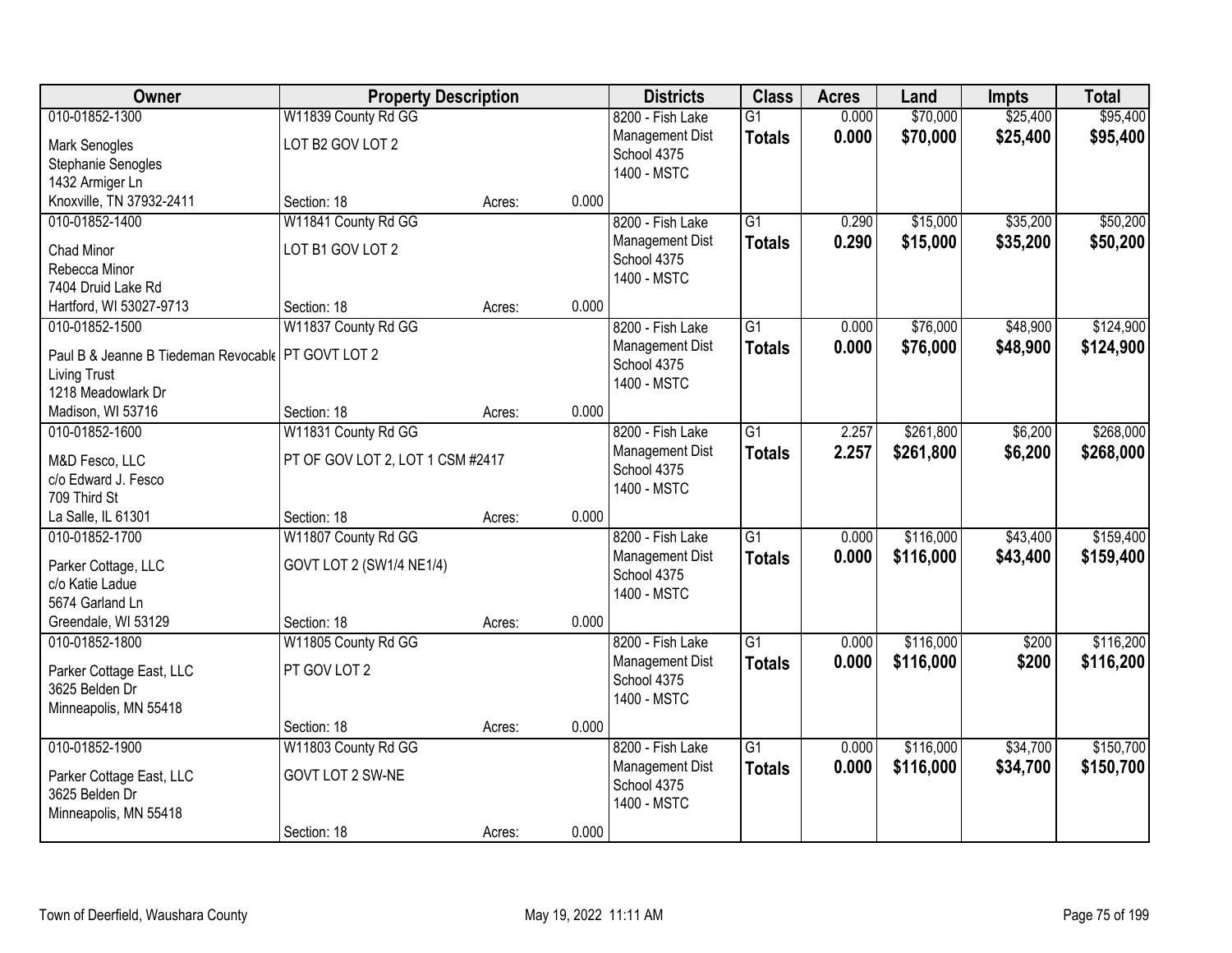| Owner                                                | <b>Property Description</b>      |        |       | <b>Districts</b> | <b>Class</b>    | <b>Acres</b> | Land      | <b>Impts</b> | <b>Total</b> |
|------------------------------------------------------|----------------------------------|--------|-------|------------------|-----------------|--------------|-----------|--------------|--------------|
| 010-01852-1300                                       | W11839 County Rd GG              |        |       | 8200 - Fish Lake | $\overline{G1}$ | 0.000        | \$70,000  | \$25,400     | \$95,400     |
| Mark Senogles                                        | LOT B2 GOV LOT 2                 |        |       | Management Dist  | <b>Totals</b>   | 0.000        | \$70,000  | \$25,400     | \$95,400     |
| Stephanie Senogles                                   |                                  |        |       | School 4375      |                 |              |           |              |              |
| 1432 Armiger Ln                                      |                                  |        |       | 1400 - MSTC      |                 |              |           |              |              |
| Knoxville, TN 37932-2411                             | Section: 18                      | Acres: | 0.000 |                  |                 |              |           |              |              |
| 010-01852-1400                                       | W11841 County Rd GG              |        |       | 8200 - Fish Lake | $\overline{G1}$ | 0.290        | \$15,000  | \$35,200     | \$50,200     |
| <b>Chad Minor</b>                                    | LOT B1 GOV LOT 2                 |        |       | Management Dist  | <b>Totals</b>   | 0.290        | \$15,000  | \$35,200     | \$50,200     |
| Rebecca Minor                                        |                                  |        |       | School 4375      |                 |              |           |              |              |
| 7404 Druid Lake Rd                                   |                                  |        |       | 1400 - MSTC      |                 |              |           |              |              |
| Hartford, WI 53027-9713                              | Section: 18                      | Acres: | 0.000 |                  |                 |              |           |              |              |
| 010-01852-1500                                       | W11837 County Rd GG              |        |       | 8200 - Fish Lake | G1              | 0.000        | \$76,000  | \$48,900     | \$124,900    |
| Paul B & Jeanne B Tiedeman Revocable   PT GOVT LOT 2 |                                  |        |       | Management Dist  | <b>Totals</b>   | 0.000        | \$76,000  | \$48,900     | \$124,900    |
| <b>Living Trust</b>                                  |                                  |        |       | School 4375      |                 |              |           |              |              |
| 1218 Meadowlark Dr                                   |                                  |        |       | 1400 - MSTC      |                 |              |           |              |              |
| Madison, WI 53716                                    | Section: 18                      | Acres: | 0.000 |                  |                 |              |           |              |              |
| 010-01852-1600                                       | W11831 County Rd GG              |        |       | 8200 - Fish Lake | $\overline{G1}$ | 2.257        | \$261,800 | \$6,200      | \$268,000    |
|                                                      |                                  |        |       | Management Dist  | <b>Totals</b>   | 2.257        | \$261,800 | \$6,200      | \$268,000    |
| M&D Fesco, LLC                                       | PT OF GOV LOT 2, LOT 1 CSM #2417 |        |       | School 4375      |                 |              |           |              |              |
| c/o Edward J. Fesco<br>709 Third St                  |                                  |        |       | 1400 - MSTC      |                 |              |           |              |              |
| La Salle, IL 61301                                   | Section: 18                      | Acres: | 0.000 |                  |                 |              |           |              |              |
| 010-01852-1700                                       | W11807 County Rd GG              |        |       | 8200 - Fish Lake | $\overline{G1}$ | 0.000        | \$116,000 | \$43,400     | \$159,400    |
|                                                      |                                  |        |       | Management Dist  |                 | 0.000        | \$116,000 |              |              |
| Parker Cottage, LLC                                  | GOVT LOT 2 (SW1/4 NE1/4)         |        |       | School 4375      | <b>Totals</b>   |              |           | \$43,400     | \$159,400    |
| c/o Katie Ladue                                      |                                  |        |       | 1400 - MSTC      |                 |              |           |              |              |
| 5674 Garland Ln                                      |                                  |        |       |                  |                 |              |           |              |              |
| Greendale, WI 53129                                  | Section: 18                      | Acres: | 0.000 |                  |                 |              |           |              |              |
| 010-01852-1800                                       | W11805 County Rd GG              |        |       | 8200 - Fish Lake | $\overline{G1}$ | 0.000        | \$116,000 | \$200        | \$116,200    |
| Parker Cottage East, LLC                             | PT GOV LOT 2                     |        |       | Management Dist  | <b>Totals</b>   | 0.000        | \$116,000 | \$200        | \$116,200    |
| 3625 Belden Dr                                       |                                  |        |       | School 4375      |                 |              |           |              |              |
| Minneapolis, MN 55418                                |                                  |        |       | 1400 - MSTC      |                 |              |           |              |              |
|                                                      | Section: 18                      | Acres: | 0.000 |                  |                 |              |           |              |              |
| 010-01852-1900                                       | W11803 County Rd GG              |        |       | 8200 - Fish Lake | $\overline{G1}$ | 0.000        | \$116,000 | \$34,700     | \$150,700    |
| Parker Cottage East, LLC                             | GOVT LOT 2 SW-NE                 |        |       | Management Dist  | <b>Totals</b>   | 0.000        | \$116,000 | \$34,700     | \$150,700    |
| 3625 Belden Dr                                       |                                  |        |       | School 4375      |                 |              |           |              |              |
| Minneapolis, MN 55418                                |                                  |        |       | 1400 - MSTC      |                 |              |           |              |              |
|                                                      | Section: 18                      | Acres: | 0.000 |                  |                 |              |           |              |              |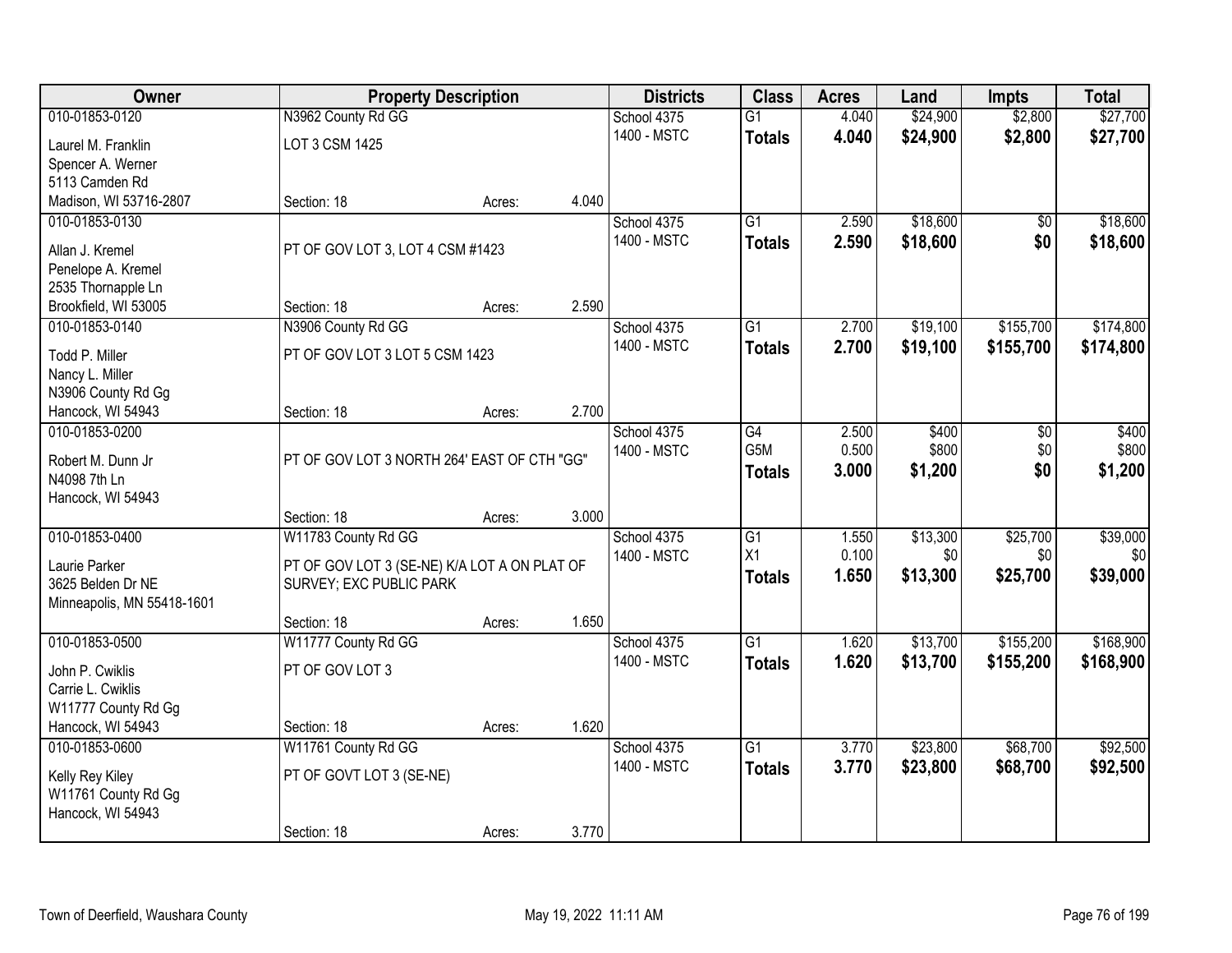| Owner                                  |                                              | <b>Property Description</b> |       | <b>Districts</b> | <b>Class</b>    | <b>Acres</b> | Land     | <b>Impts</b> | <b>Total</b> |
|----------------------------------------|----------------------------------------------|-----------------------------|-------|------------------|-----------------|--------------|----------|--------------|--------------|
| 010-01853-0120                         | N3962 County Rd GG                           |                             |       | School 4375      | $\overline{G1}$ | 4.040        | \$24,900 | \$2,800      | \$27,700     |
| Laurel M. Franklin                     | LOT 3 CSM 1425                               |                             |       | 1400 - MSTC      | <b>Totals</b>   | 4.040        | \$24,900 | \$2,800      | \$27,700     |
| Spencer A. Werner                      |                                              |                             |       |                  |                 |              |          |              |              |
| 5113 Camden Rd                         |                                              |                             |       |                  |                 |              |          |              |              |
| Madison, WI 53716-2807                 | Section: 18                                  | Acres:                      | 4.040 |                  |                 |              |          |              |              |
| 010-01853-0130                         |                                              |                             |       | School 4375      | $\overline{G1}$ | 2.590        | \$18,600 | $\sqrt{$0}$  | \$18,600     |
| Allan J. Kremel                        | PT OF GOV LOT 3, LOT 4 CSM #1423             |                             |       | 1400 - MSTC      | <b>Totals</b>   | 2.590        | \$18,600 | \$0          | \$18,600     |
| Penelope A. Kremel                     |                                              |                             |       |                  |                 |              |          |              |              |
| 2535 Thornapple Ln                     |                                              |                             |       |                  |                 |              |          |              |              |
| Brookfield, WI 53005                   | Section: 18                                  | Acres:                      | 2.590 |                  |                 |              |          |              |              |
| 010-01853-0140                         | N3906 County Rd GG                           |                             |       | School 4375      | G1              | 2.700        | \$19,100 | \$155,700    | \$174,800    |
| Todd P. Miller                         | PT OF GOV LOT 3 LOT 5 CSM 1423               |                             |       | 1400 - MSTC      | <b>Totals</b>   | 2.700        | \$19,100 | \$155,700    | \$174,800    |
| Nancy L. Miller                        |                                              |                             |       |                  |                 |              |          |              |              |
| N3906 County Rd Gg                     |                                              |                             |       |                  |                 |              |          |              |              |
| Hancock, WI 54943                      | Section: 18                                  | Acres:                      | 2.700 |                  |                 |              |          |              |              |
| 010-01853-0200                         |                                              |                             |       | School 4375      | G4              | 2.500        | \$400    | \$0          | \$400        |
| Robert M. Dunn Jr                      | PT OF GOV LOT 3 NORTH 264' EAST OF CTH "GG"  |                             |       | 1400 - MSTC      | G5M             | 0.500        | \$800    | \$0          | \$800        |
| N4098 7th Ln                           |                                              |                             |       |                  | <b>Totals</b>   | 3.000        | \$1,200  | \$0          | \$1,200      |
| Hancock, WI 54943                      |                                              |                             |       |                  |                 |              |          |              |              |
|                                        | Section: 18                                  | Acres:                      | 3.000 |                  |                 |              |          |              |              |
| 010-01853-0400                         | W11783 County Rd GG                          |                             |       | School 4375      | $\overline{G1}$ | 1.550        | \$13,300 | \$25,700     | \$39,000     |
| Laurie Parker                          | PT OF GOV LOT 3 (SE-NE) K/A LOT A ON PLAT OF |                             |       | 1400 - MSTC      | X1              | 0.100        | \$0      | \$0          | \$0          |
| 3625 Belden Dr NE                      | SURVEY; EXC PUBLIC PARK                      |                             |       |                  | <b>Totals</b>   | 1.650        | \$13,300 | \$25,700     | \$39,000     |
| Minneapolis, MN 55418-1601             |                                              |                             |       |                  |                 |              |          |              |              |
|                                        | Section: 18                                  | Acres:                      | 1.650 |                  |                 |              |          |              |              |
| 010-01853-0500                         | W11777 County Rd GG                          |                             |       | School 4375      | $\overline{G1}$ | 1.620        | \$13,700 | \$155,200    | \$168,900    |
| John P. Cwiklis                        | PT OF GOV LOT 3                              |                             |       | 1400 - MSTC      | <b>Totals</b>   | 1.620        | \$13,700 | \$155,200    | \$168,900    |
| Carrie L. Cwiklis                      |                                              |                             |       |                  |                 |              |          |              |              |
| W11777 County Rd Gg                    |                                              |                             |       |                  |                 |              |          |              |              |
| Hancock, WI 54943                      | Section: 18                                  | Acres:                      | 1.620 |                  |                 |              |          |              |              |
| 010-01853-0600                         | W11761 County Rd GG                          |                             |       | School 4375      | $\overline{G1}$ | 3.770        | \$23,800 | \$68,700     | \$92,500     |
|                                        | PT OF GOVT LOT 3 (SE-NE)                     |                             |       | 1400 - MSTC      | <b>Totals</b>   | 3.770        | \$23,800 | \$68,700     | \$92,500     |
| Kelly Rey Kiley<br>W11761 County Rd Gg |                                              |                             |       |                  |                 |              |          |              |              |
| Hancock, WI 54943                      |                                              |                             |       |                  |                 |              |          |              |              |
|                                        | Section: 18                                  | Acres:                      | 3.770 |                  |                 |              |          |              |              |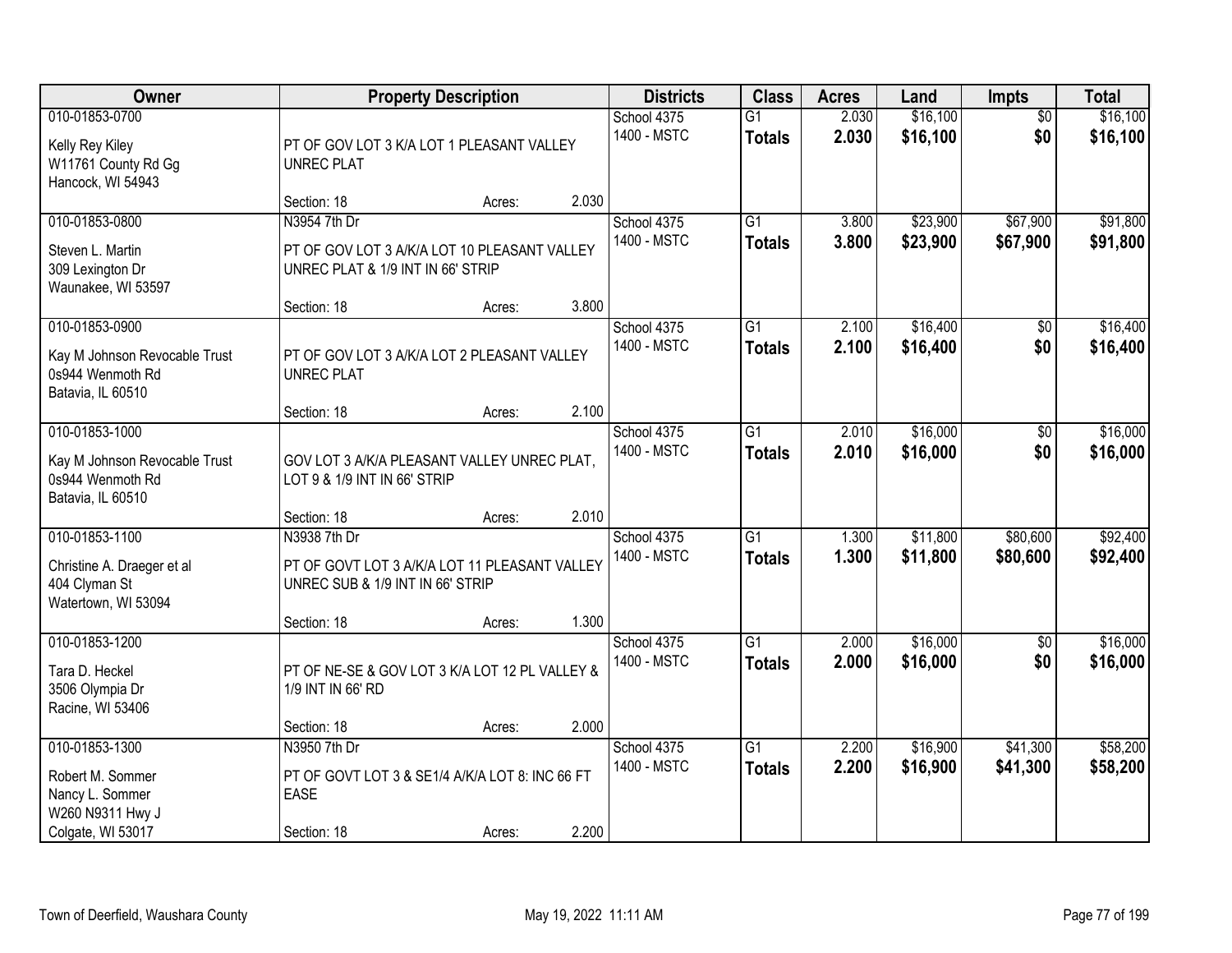| <b>Owner</b>                                                                                   | <b>Property Description</b>                                                                       |        |       | <b>Districts</b>           | <b>Class</b>                     | <b>Acres</b>   | Land                 | <b>Impts</b>           | <b>Total</b>         |
|------------------------------------------------------------------------------------------------|---------------------------------------------------------------------------------------------------|--------|-------|----------------------------|----------------------------------|----------------|----------------------|------------------------|----------------------|
| 010-01853-0700<br>Kelly Rey Kiley<br>W11761 County Rd Gg<br>Hancock, WI 54943                  | PT OF GOV LOT 3 K/A LOT 1 PLEASANT VALLEY<br><b>UNREC PLAT</b>                                    |        |       | School 4375<br>1400 - MSTC | $\overline{G1}$<br><b>Totals</b> | 2.030<br>2.030 | \$16,100<br>\$16,100 | $\overline{50}$<br>\$0 | \$16,100<br>\$16,100 |
|                                                                                                | Section: 18                                                                                       | Acres: | 2.030 |                            |                                  |                |                      |                        |                      |
| 010-01853-0800<br>Steven L. Martin<br>309 Lexington Dr<br>Waunakee, WI 53597                   | N3954 7th Dr<br>PT OF GOV LOT 3 A/K/A LOT 10 PLEASANT VALLEY<br>UNREC PLAT & 1/9 INT IN 66' STRIP |        |       | School 4375<br>1400 - MSTC | $\overline{G1}$<br><b>Totals</b> | 3.800<br>3.800 | \$23,900<br>\$23,900 | \$67,900<br>\$67,900   | \$91,800<br>\$91,800 |
|                                                                                                | Section: 18                                                                                       | Acres: | 3.800 |                            |                                  |                |                      |                        |                      |
| 010-01853-0900<br>Kay M Johnson Revocable Trust<br>0s944 Wenmoth Rd<br>Batavia, IL 60510       | PT OF GOV LOT 3 A/K/A LOT 2 PLEASANT VALLEY<br><b>UNREC PLAT</b>                                  |        |       | School 4375<br>1400 - MSTC | $\overline{G1}$<br><b>Totals</b> | 2.100<br>2.100 | \$16,400<br>\$16,400 | \$0<br>\$0             | \$16,400<br>\$16,400 |
|                                                                                                | Section: 18                                                                                       | Acres: | 2.100 |                            |                                  |                |                      |                        |                      |
| 010-01853-1000<br>Kay M Johnson Revocable Trust<br>0s944 Wenmoth Rd<br>Batavia, IL 60510       | GOV LOT 3 A/K/A PLEASANT VALLEY UNREC PLAT,<br>LOT 9 & 1/9 INT IN 66' STRIP                       |        |       | School 4375<br>1400 - MSTC | $\overline{G1}$<br><b>Totals</b> | 2.010<br>2.010 | \$16,000<br>\$16,000 | $\sqrt[6]{3}$<br>\$0   | \$16,000<br>\$16,000 |
|                                                                                                | Section: 18                                                                                       | Acres: | 2.010 |                            |                                  |                |                      |                        |                      |
| 010-01853-1100<br>Christine A. Draeger et al<br>404 Clyman St<br>Watertown, WI 53094           | N3938 7th Dr<br>PT OF GOVT LOT 3 A/K/A LOT 11 PLEASANT VALLEY<br>UNREC SUB & 1/9 INT IN 66' STRIP |        |       | School 4375<br>1400 - MSTC | $\overline{G1}$<br><b>Totals</b> | 1.300<br>1.300 | \$11,800<br>\$11,800 | \$80,600<br>\$80,600   | \$92,400<br>\$92,400 |
|                                                                                                | Section: 18                                                                                       | Acres: | 1.300 |                            |                                  |                |                      |                        |                      |
| 010-01853-1200<br>Tara D. Heckel<br>3506 Olympia Dr<br>Racine, WI 53406                        | PT OF NE-SE & GOV LOT 3 K/A LOT 12 PL VALLEY &<br>1/9 INT IN 66' RD                               |        |       | School 4375<br>1400 - MSTC | $\overline{G1}$<br><b>Totals</b> | 2.000<br>2.000 | \$16,000<br>\$16,000 | $\sqrt{$0}$<br>\$0     | \$16,000<br>\$16,000 |
|                                                                                                | Section: 18                                                                                       | Acres: | 2.000 |                            |                                  |                |                      |                        |                      |
| 010-01853-1300<br>Robert M. Sommer<br>Nancy L. Sommer<br>W260 N9311 Hwy J<br>Colgate, WI 53017 | N3950 7th Dr<br>PT OF GOVT LOT 3 & SE1/4 A/K/A LOT 8: INC 66 FT<br><b>EASE</b><br>Section: 18     | Acres: | 2.200 | School 4375<br>1400 - MSTC | $\overline{G1}$<br><b>Totals</b> | 2.200<br>2.200 | \$16,900<br>\$16,900 | \$41,300<br>\$41,300   | \$58,200<br>\$58,200 |
|                                                                                                |                                                                                                   |        |       |                            |                                  |                |                      |                        |                      |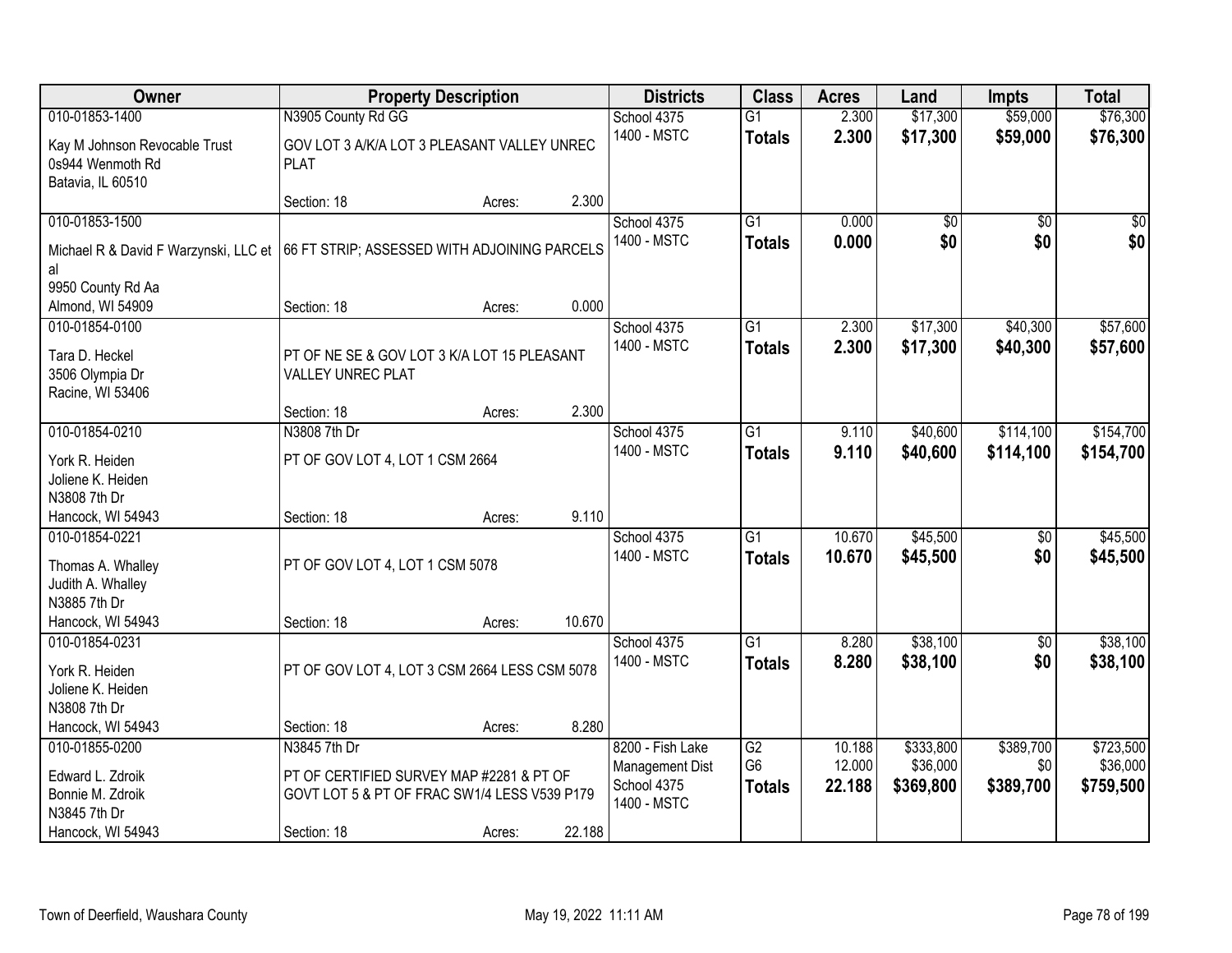| <b>Owner</b>                                                             |                                                                                                          | <b>Property Description</b> |        | <b>Districts</b>                                                  | <b>Class</b>                          | <b>Acres</b>               | Land                               | <b>Impts</b>                  | <b>Total</b>                       |
|--------------------------------------------------------------------------|----------------------------------------------------------------------------------------------------------|-----------------------------|--------|-------------------------------------------------------------------|---------------------------------------|----------------------------|------------------------------------|-------------------------------|------------------------------------|
| 010-01853-1400                                                           | N3905 County Rd GG                                                                                       |                             |        | School 4375                                                       | $\overline{G1}$                       | 2.300                      | \$17,300                           | \$59,000                      | \$76,300                           |
| Kay M Johnson Revocable Trust<br>0s944 Wenmoth Rd<br>Batavia, IL 60510   | GOV LOT 3 A/K/A LOT 3 PLEASANT VALLEY UNREC<br><b>PLAT</b>                                               |                             |        | 1400 - MSTC                                                       | <b>Totals</b>                         | 2.300                      | \$17,300                           | \$59,000                      | \$76,300                           |
|                                                                          | Section: 18                                                                                              | Acres:                      | 2.300  |                                                                   |                                       |                            |                                    |                               |                                    |
| 010-01853-1500<br>Michael R & David F Warzynski, LLC et<br>al            | 66 FT STRIP; ASSESSED WITH ADJOINING PARCELS                                                             |                             |        | School 4375<br>1400 - MSTC                                        | $\overline{G1}$<br><b>Totals</b>      | 0.000<br>0.000             | \$0<br>\$0                         | $\overline{50}$<br>\$0        | $\sqrt{50}$<br>\$0                 |
| 9950 County Rd Aa<br>Almond, WI 54909                                    | Section: 18                                                                                              |                             | 0.000  |                                                                   |                                       |                            |                                    |                               |                                    |
| 010-01854-0100                                                           |                                                                                                          | Acres:                      |        | School 4375                                                       | G1                                    | 2.300                      | \$17,300                           | \$40,300                      | \$57,600                           |
| Tara D. Heckel<br>3506 Olympia Dr<br>Racine, WI 53406                    | PT OF NE SE & GOV LOT 3 K/A LOT 15 PLEASANT<br><b>VALLEY UNREC PLAT</b>                                  |                             |        | 1400 - MSTC                                                       | <b>Totals</b>                         | 2.300                      | \$17,300                           | \$40,300                      | \$57,600                           |
|                                                                          | Section: 18                                                                                              | Acres:                      | 2.300  |                                                                   |                                       |                            |                                    |                               |                                    |
| 010-01854-0210                                                           | N3808 7th Dr                                                                                             |                             |        | School 4375                                                       | G1                                    | 9.110                      | \$40,600                           | \$114,100                     | \$154,700                          |
| York R. Heiden<br>Joliene K. Heiden                                      | PT OF GOV LOT 4, LOT 1 CSM 2664                                                                          |                             |        | 1400 - MSTC                                                       | <b>Totals</b>                         | 9.110                      | \$40,600                           | \$114,100                     | \$154,700                          |
| N3808 7th Dr<br>Hancock, WI 54943                                        | Section: 18                                                                                              | Acres:                      | 9.110  |                                                                   |                                       |                            |                                    |                               |                                    |
| 010-01854-0221<br>Thomas A. Whalley<br>Judith A. Whalley<br>N3885 7th Dr | PT OF GOV LOT 4, LOT 1 CSM 5078                                                                          |                             |        | School 4375<br>1400 - MSTC                                        | $\overline{G1}$<br><b>Totals</b>      | 10.670<br>10.670           | \$45,500<br>\$45,500               | $\overline{50}$<br>\$0        | \$45,500<br>\$45,500               |
| Hancock, WI 54943                                                        | Section: 18                                                                                              | Acres:                      | 10.670 |                                                                   |                                       |                            |                                    |                               |                                    |
| 010-01854-0231<br>York R. Heiden<br>Joliene K. Heiden<br>N3808 7th Dr    | PT OF GOV LOT 4, LOT 3 CSM 2664 LESS CSM 5078                                                            |                             |        | School 4375<br>1400 - MSTC                                        | $\overline{G1}$<br><b>Totals</b>      | 8.280<br>8.280             | \$38,100<br>\$38,100               | $\overline{60}$<br>\$0        | \$38,100<br>\$38,100               |
| Hancock, WI 54943                                                        | Section: 18                                                                                              | Acres:                      | 8.280  |                                                                   |                                       |                            |                                    |                               |                                    |
| 010-01855-0200<br>Edward L. Zdroik<br>Bonnie M. Zdroik<br>N3845 7th Dr   | N3845 7th Dr<br>PT OF CERTIFIED SURVEY MAP #2281 & PT OF<br>GOVT LOT 5 & PT OF FRAC SW1/4 LESS V539 P179 |                             |        | 8200 - Fish Lake<br>Management Dist<br>School 4375<br>1400 - MSTC | G2<br>G <sub>6</sub><br><b>Totals</b> | 10.188<br>12.000<br>22.188 | \$333,800<br>\$36,000<br>\$369,800 | \$389,700<br>\$0<br>\$389,700 | \$723,500<br>\$36,000<br>\$759,500 |
| Hancock, WI 54943                                                        | Section: 18                                                                                              | Acres:                      | 22.188 |                                                                   |                                       |                            |                                    |                               |                                    |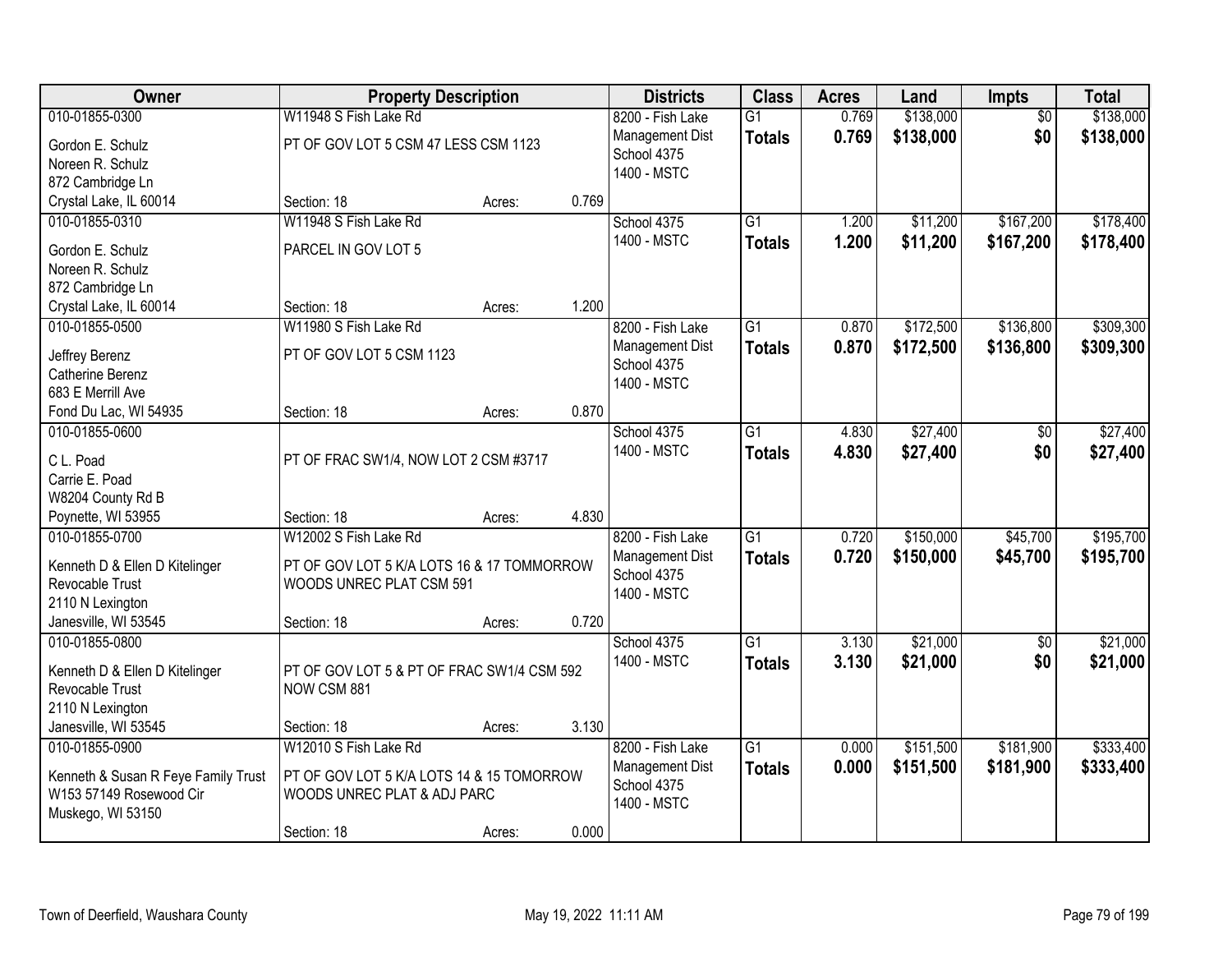| Owner                                        | <b>Property Description</b>                |        |       | <b>Districts</b> | <b>Class</b>    | <b>Acres</b> | Land      | <b>Impts</b>    | <b>Total</b> |
|----------------------------------------------|--------------------------------------------|--------|-------|------------------|-----------------|--------------|-----------|-----------------|--------------|
| 010-01855-0300                               | W11948 S Fish Lake Rd                      |        |       | 8200 - Fish Lake | $\overline{G1}$ | 0.769        | \$138,000 | $\overline{50}$ | \$138,000    |
| Gordon E. Schulz                             | PT OF GOV LOT 5 CSM 47 LESS CSM 1123       |        |       | Management Dist  | <b>Totals</b>   | 0.769        | \$138,000 | \$0             | \$138,000    |
| Noreen R. Schulz                             |                                            |        |       | School 4375      |                 |              |           |                 |              |
| 872 Cambridge Ln                             |                                            |        |       | 1400 - MSTC      |                 |              |           |                 |              |
| Crystal Lake, IL 60014                       | Section: 18                                | Acres: | 0.769 |                  |                 |              |           |                 |              |
| 010-01855-0310                               | W11948 S Fish Lake Rd                      |        |       | School 4375      | $\overline{G1}$ | 1.200        | \$11,200  | \$167,200       | \$178,400    |
| Gordon E. Schulz                             | PARCEL IN GOV LOT 5                        |        |       | 1400 - MSTC      | <b>Totals</b>   | 1.200        | \$11,200  | \$167,200       | \$178,400    |
| Noreen R. Schulz                             |                                            |        |       |                  |                 |              |           |                 |              |
| 872 Cambridge Ln                             |                                            |        |       |                  |                 |              |           |                 |              |
| Crystal Lake, IL 60014                       | Section: 18                                | Acres: | 1.200 |                  |                 |              |           |                 |              |
| 010-01855-0500                               | W11980 S Fish Lake Rd                      |        |       | 8200 - Fish Lake | $\overline{G1}$ | 0.870        | \$172,500 | \$136,800       | \$309,300    |
|                                              |                                            |        |       | Management Dist  | <b>Totals</b>   | 0.870        | \$172,500 | \$136,800       | \$309,300    |
| Jeffrey Berenz                               | PT OF GOV LOT 5 CSM 1123                   |        |       | School 4375      |                 |              |           |                 |              |
| Catherine Berenz<br>683 E Merrill Ave        |                                            |        |       | 1400 - MSTC      |                 |              |           |                 |              |
| Fond Du Lac, WI 54935                        | Section: 18                                | Acres: | 0.870 |                  |                 |              |           |                 |              |
| 010-01855-0600                               |                                            |        |       | School 4375      | $\overline{G1}$ | 4.830        | \$27,400  | $\sqrt[6]{}$    | \$27,400     |
|                                              |                                            |        |       | 1400 - MSTC      | <b>Totals</b>   | 4.830        | \$27,400  | \$0             | \$27,400     |
| C L. Poad                                    | PT OF FRAC SW1/4, NOW LOT 2 CSM #3717      |        |       |                  |                 |              |           |                 |              |
| Carrie E. Poad                               |                                            |        |       |                  |                 |              |           |                 |              |
| W8204 County Rd B                            |                                            |        |       |                  |                 |              |           |                 |              |
| Poynette, WI 53955                           | Section: 18                                | Acres: | 4.830 |                  |                 |              |           |                 |              |
| 010-01855-0700                               | W12002 S Fish Lake Rd                      |        |       | 8200 - Fish Lake | $\overline{G1}$ | 0.720        | \$150,000 | \$45,700        | \$195,700    |
| Kenneth D & Ellen D Kitelinger               | PT OF GOV LOT 5 K/A LOTS 16 & 17 TOMMORROW |        |       | Management Dist  | <b>Totals</b>   | 0.720        | \$150,000 | \$45,700        | \$195,700    |
| Revocable Trust                              | WOODS UNREC PLAT CSM 591                   |        |       | School 4375      |                 |              |           |                 |              |
| 2110 N Lexington                             |                                            |        |       | 1400 - MSTC      |                 |              |           |                 |              |
| Janesville, WI 53545                         | Section: 18                                | Acres: | 0.720 |                  |                 |              |           |                 |              |
| 010-01855-0800                               |                                            |        |       | School 4375      | $\overline{G1}$ | 3.130        | \$21,000  | $\sqrt{$0}$     | \$21,000     |
| Kenneth D & Ellen D Kitelinger               | PT OF GOV LOT 5 & PT OF FRAC SW1/4 CSM 592 |        |       | 1400 - MSTC      | <b>Totals</b>   | 3.130        | \$21,000  | \$0             | \$21,000     |
| Revocable Trust                              | NOW CSM 881                                |        |       |                  |                 |              |           |                 |              |
| 2110 N Lexington                             |                                            |        |       |                  |                 |              |           |                 |              |
| Janesville, WI 53545                         | Section: 18                                | Acres: | 3.130 |                  |                 |              |           |                 |              |
| 010-01855-0900                               | W12010 S Fish Lake Rd                      |        |       | 8200 - Fish Lake | $\overline{G1}$ | 0.000        | \$151,500 | \$181,900       | \$333,400    |
|                                              |                                            |        |       | Management Dist  | <b>Totals</b>   | 0.000        | \$151,500 | \$181,900       | \$333,400    |
| Kenneth & Susan R Feye Family Trust          | PT OF GOV LOT 5 K/A LOTS 14 & 15 TOMORROW  |        |       | School 4375      |                 |              |           |                 |              |
| W153 57149 Rosewood Cir<br>Muskego, WI 53150 | WOODS UNREC PLAT & ADJ PARC                |        |       | 1400 - MSTC      |                 |              |           |                 |              |
|                                              | Section: 18                                | Acres: | 0.000 |                  |                 |              |           |                 |              |
|                                              |                                            |        |       |                  |                 |              |           |                 |              |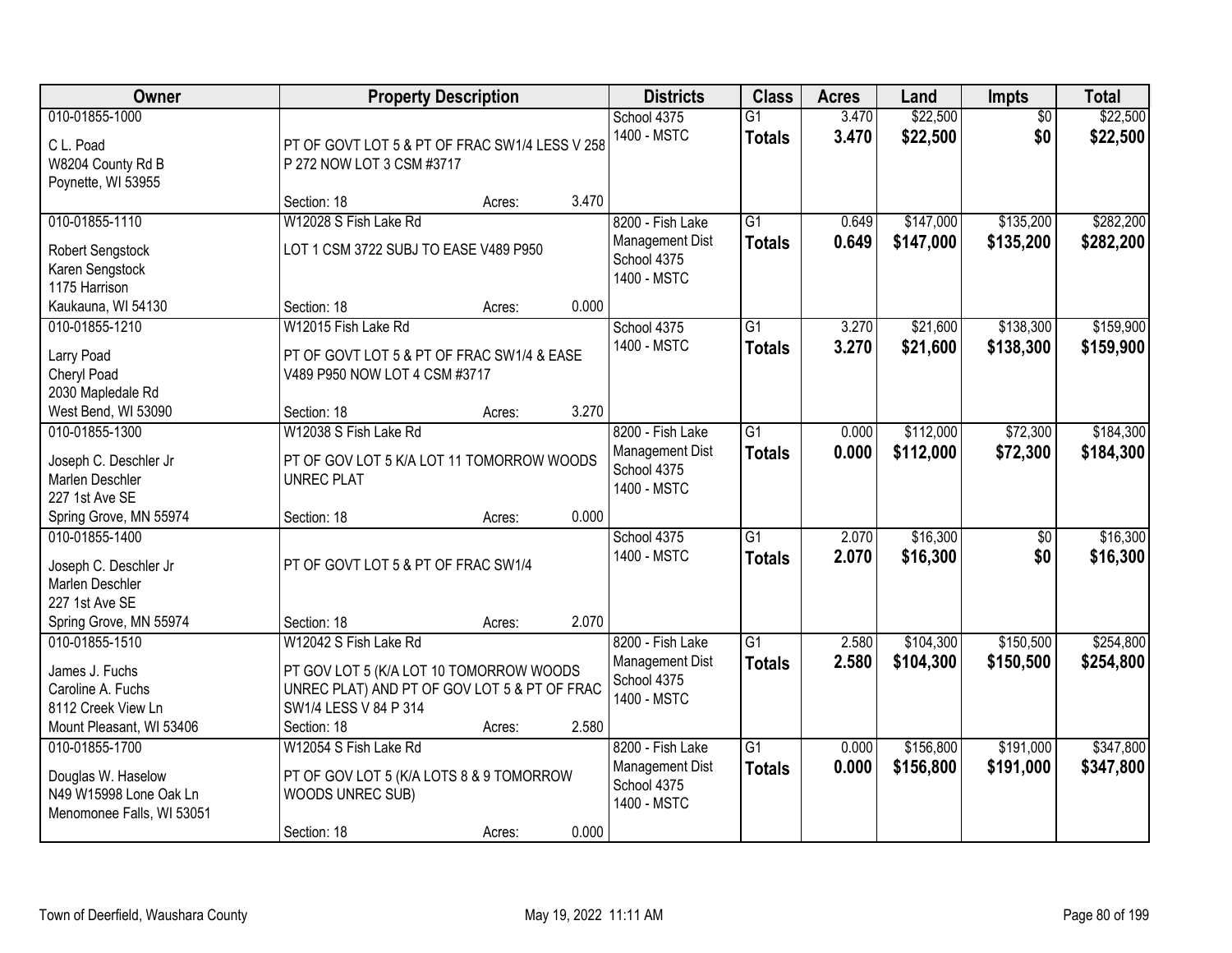| Owner                                                                                                  |                                                                                                                                 | <b>Property Description</b> |       | <b>Districts</b>                                                  | <b>Class</b>                     | <b>Acres</b>   | Land                   | <b>Impts</b>           | <b>Total</b>           |
|--------------------------------------------------------------------------------------------------------|---------------------------------------------------------------------------------------------------------------------------------|-----------------------------|-------|-------------------------------------------------------------------|----------------------------------|----------------|------------------------|------------------------|------------------------|
| 010-01855-1000<br>C L. Poad<br>W8204 County Rd B<br>Poynette, WI 53955                                 | PT OF GOVT LOT 5 & PT OF FRAC SW1/4 LESS V 258<br>P 272 NOW LOT 3 CSM #3717                                                     |                             |       | School 4375<br>1400 - MSTC                                        | $\overline{G1}$<br><b>Totals</b> | 3.470<br>3.470 | \$22,500<br>\$22,500   | $\overline{50}$<br>\$0 | \$22,500<br>\$22,500   |
|                                                                                                        | Section: 18                                                                                                                     | Acres:                      | 3.470 |                                                                   |                                  |                |                        |                        |                        |
| 010-01855-1110<br>Robert Sengstock<br>Karen Sengstock<br>1175 Harrison                                 | W12028 S Fish Lake Rd<br>LOT 1 CSM 3722 SUBJ TO EASE V489 P950                                                                  |                             |       | 8200 - Fish Lake<br>Management Dist<br>School 4375<br>1400 - MSTC | $\overline{G1}$<br><b>Totals</b> | 0.649<br>0.649 | \$147,000<br>\$147,000 | \$135,200<br>\$135,200 | \$282,200<br>\$282,200 |
| Kaukauna, WI 54130                                                                                     | Section: 18                                                                                                                     | Acres:                      | 0.000 |                                                                   |                                  |                |                        |                        |                        |
| 010-01855-1210<br>Larry Poad<br>Cheryl Poad<br>2030 Mapledale Rd                                       | W12015 Fish Lake Rd<br>PT OF GOVT LOT 5 & PT OF FRAC SW1/4 & EASE<br>V489 P950 NOW LOT 4 CSM #3717                              |                             |       | School 4375<br>1400 - MSTC                                        | G1<br><b>Totals</b>              | 3.270<br>3.270 | \$21,600<br>\$21,600   | \$138,300<br>\$138,300 | \$159,900<br>\$159,900 |
| West Bend, WI 53090                                                                                    | Section: 18                                                                                                                     | Acres:                      | 3.270 |                                                                   |                                  |                |                        |                        |                        |
| 010-01855-1300<br>Joseph C. Deschler Jr<br>Marlen Deschler<br>227 1st Ave SE                           | W12038 S Fish Lake Rd<br>PT OF GOV LOT 5 K/A LOT 11 TOMORROW WOODS<br><b>UNREC PLAT</b>                                         |                             |       | 8200 - Fish Lake<br>Management Dist<br>School 4375<br>1400 - MSTC | $\overline{G1}$<br><b>Totals</b> | 0.000<br>0.000 | \$112,000<br>\$112,000 | \$72,300<br>\$72,300   | \$184,300<br>\$184,300 |
| Spring Grove, MN 55974                                                                                 | Section: 18                                                                                                                     | Acres:                      | 0.000 |                                                                   |                                  |                |                        |                        |                        |
| 010-01855-1400<br>Joseph C. Deschler Jr<br>Marlen Deschler<br>227 1st Ave SE<br>Spring Grove, MN 55974 | PT OF GOVT LOT 5 & PT OF FRAC SW1/4<br>Section: 18                                                                              | Acres:                      | 2.070 | School 4375<br>1400 - MSTC                                        | $\overline{G1}$<br><b>Totals</b> | 2.070<br>2.070 | \$16,300<br>\$16,300   | $\overline{50}$<br>\$0 | \$16,300<br>\$16,300   |
| 010-01855-1510                                                                                         | W12042 S Fish Lake Rd                                                                                                           |                             |       | 8200 - Fish Lake                                                  | $\overline{G1}$                  | 2.580          | \$104,300              | \$150,500              | \$254,800              |
| James J. Fuchs<br>Caroline A. Fuchs<br>8112 Creek View Ln<br>Mount Pleasant, WI 53406                  | PT GOV LOT 5 (K/A LOT 10 TOMORROW WOODS<br>UNREC PLAT) AND PT OF GOV LOT 5 & PT OF FRAC<br>SW1/4 LESS V 84 P 314<br>Section: 18 | Acres:                      | 2.580 | Management Dist<br>School 4375<br>1400 - MSTC                     | <b>Totals</b>                    | 2.580          | \$104,300              | \$150,500              | \$254,800              |
| 010-01855-1700<br>Douglas W. Haselow<br>N49 W15998 Lone Oak Ln<br>Menomonee Falls, WI 53051            | W12054 S Fish Lake Rd<br>PT OF GOV LOT 5 (K/A LOTS 8 & 9 TOMORROW<br>WOODS UNREC SUB)<br>Section: 18                            | Acres:                      | 0.000 | 8200 - Fish Lake<br>Management Dist<br>School 4375<br>1400 - MSTC | $\overline{G1}$<br><b>Totals</b> | 0.000<br>0.000 | \$156,800<br>\$156,800 | \$191,000<br>\$191,000 | \$347,800<br>\$347,800 |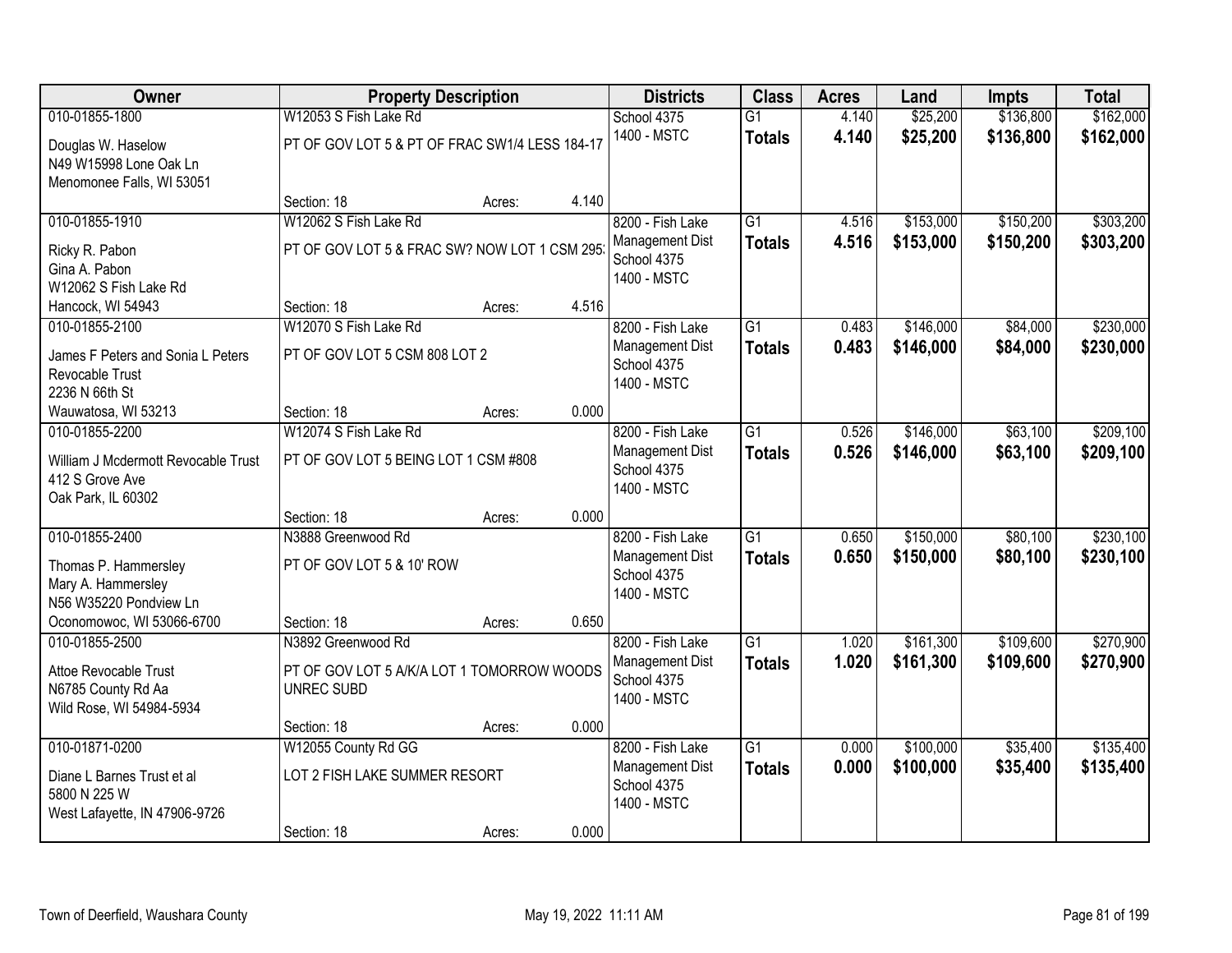| Owner                                                                                  |                                                                 | <b>Property Description</b> |       | <b>Districts</b>                                                  | <b>Class</b>                     | <b>Acres</b>   | Land                   | <b>Impts</b>         | <b>Total</b>           |
|----------------------------------------------------------------------------------------|-----------------------------------------------------------------|-----------------------------|-------|-------------------------------------------------------------------|----------------------------------|----------------|------------------------|----------------------|------------------------|
| 010-01855-1800                                                                         | W12053 S Fish Lake Rd                                           |                             |       | School 4375                                                       | $\overline{G1}$                  | 4.140          | \$25,200               | \$136,800            | \$162,000              |
| Douglas W. Haselow<br>N49 W15998 Lone Oak Ln<br>Menomonee Falls, WI 53051              | PT OF GOV LOT 5 & PT OF FRAC SW1/4 LESS 184-17                  |                             |       | 1400 - MSTC                                                       | <b>Totals</b>                    | 4.140          | \$25,200               | \$136,800            | \$162,000              |
|                                                                                        | Section: 18                                                     | Acres:                      | 4.140 |                                                                   |                                  |                |                        |                      |                        |
| 010-01855-1910                                                                         | W12062 S Fish Lake Rd                                           |                             |       | 8200 - Fish Lake                                                  | $\overline{G1}$                  | 4.516          | \$153,000              | \$150,200            | \$303,200              |
| Ricky R. Pabon<br>Gina A. Pabon<br>W12062 S Fish Lake Rd                               | PT OF GOV LOT 5 & FRAC SW? NOW LOT 1 CSM 295                    |                             |       | Management Dist<br>School 4375<br>1400 - MSTC                     | <b>Totals</b>                    | 4.516          | \$153,000              | \$150,200            | \$303,200              |
| Hancock, WI 54943                                                                      | Section: 18                                                     | Acres:                      | 4.516 |                                                                   |                                  |                |                        |                      |                        |
| 010-01855-2100                                                                         | W12070 S Fish Lake Rd                                           |                             |       | 8200 - Fish Lake                                                  | $\overline{G1}$                  | 0.483          | \$146,000              | \$84,000             | \$230,000              |
| James F Peters and Sonia L Peters<br>Revocable Trust<br>2236 N 66th St                 | PT OF GOV LOT 5 CSM 808 LOT 2                                   |                             |       | Management Dist<br>School 4375<br>1400 - MSTC                     | <b>Totals</b>                    | 0.483          | \$146,000              | \$84,000             | \$230,000              |
| Wauwatosa, WI 53213                                                                    | Section: 18                                                     | Acres:                      | 0.000 |                                                                   |                                  |                |                        |                      |                        |
| 010-01855-2200                                                                         | W12074 S Fish Lake Rd                                           |                             |       | 8200 - Fish Lake                                                  | $\overline{G1}$                  | 0.526          | \$146,000              | \$63,100             | \$209,100              |
| William J Mcdermott Revocable Trust<br>412 S Grove Ave<br>Oak Park, IL 60302           | PT OF GOV LOT 5 BEING LOT 1 CSM #808                            |                             |       | Management Dist<br>School 4375<br>1400 - MSTC                     | <b>Totals</b>                    | 0.526          | \$146,000              | \$63,100             | \$209,100              |
|                                                                                        | Section: 18                                                     | Acres:                      | 0.000 |                                                                   |                                  |                |                        |                      |                        |
| 010-01855-2400<br>Thomas P. Hammersley<br>Mary A. Hammersley<br>N56 W35220 Pondview Ln | N3888 Greenwood Rd<br>PT OF GOV LOT 5 & 10' ROW                 |                             |       | 8200 - Fish Lake<br>Management Dist<br>School 4375<br>1400 - MSTC | $\overline{G1}$<br><b>Totals</b> | 0.650<br>0.650 | \$150,000<br>\$150,000 | \$80,100<br>\$80,100 | \$230,100<br>\$230,100 |
| Oconomowoc, WI 53066-6700                                                              | Section: 18                                                     | Acres:                      | 0.650 |                                                                   |                                  |                |                        |                      |                        |
| 010-01855-2500                                                                         | N3892 Greenwood Rd                                              |                             |       | 8200 - Fish Lake                                                  | $\overline{G1}$                  | 1.020          | \$161,300              | \$109,600            | \$270,900              |
| Attoe Revocable Trust<br>N6785 County Rd Aa<br>Wild Rose, WI 54984-5934                | PT OF GOV LOT 5 A/K/A LOT 1 TOMORROW WOODS<br><b>UNREC SUBD</b> |                             |       | Management Dist<br>School 4375<br>1400 - MSTC                     | <b>Totals</b>                    | 1.020          | \$161,300              | \$109,600            | \$270,900              |
|                                                                                        | Section: 18                                                     | Acres:                      | 0.000 |                                                                   |                                  |                |                        |                      |                        |
| 010-01871-0200                                                                         | W12055 County Rd GG                                             |                             |       | 8200 - Fish Lake                                                  | $\overline{G1}$                  | 0.000          | \$100,000              | \$35,400             | \$135,400              |
| Diane L Barnes Trust et al<br>5800 N 225 W<br>West Lafayette, IN 47906-9726            | LOT 2 FISH LAKE SUMMER RESORT                                   |                             |       | Management Dist<br>School 4375<br>1400 - MSTC                     | <b>Totals</b>                    | 0.000          | \$100,000              | \$35,400             | \$135,400              |
|                                                                                        | Section: 18                                                     | Acres:                      | 0.000 |                                                                   |                                  |                |                        |                      |                        |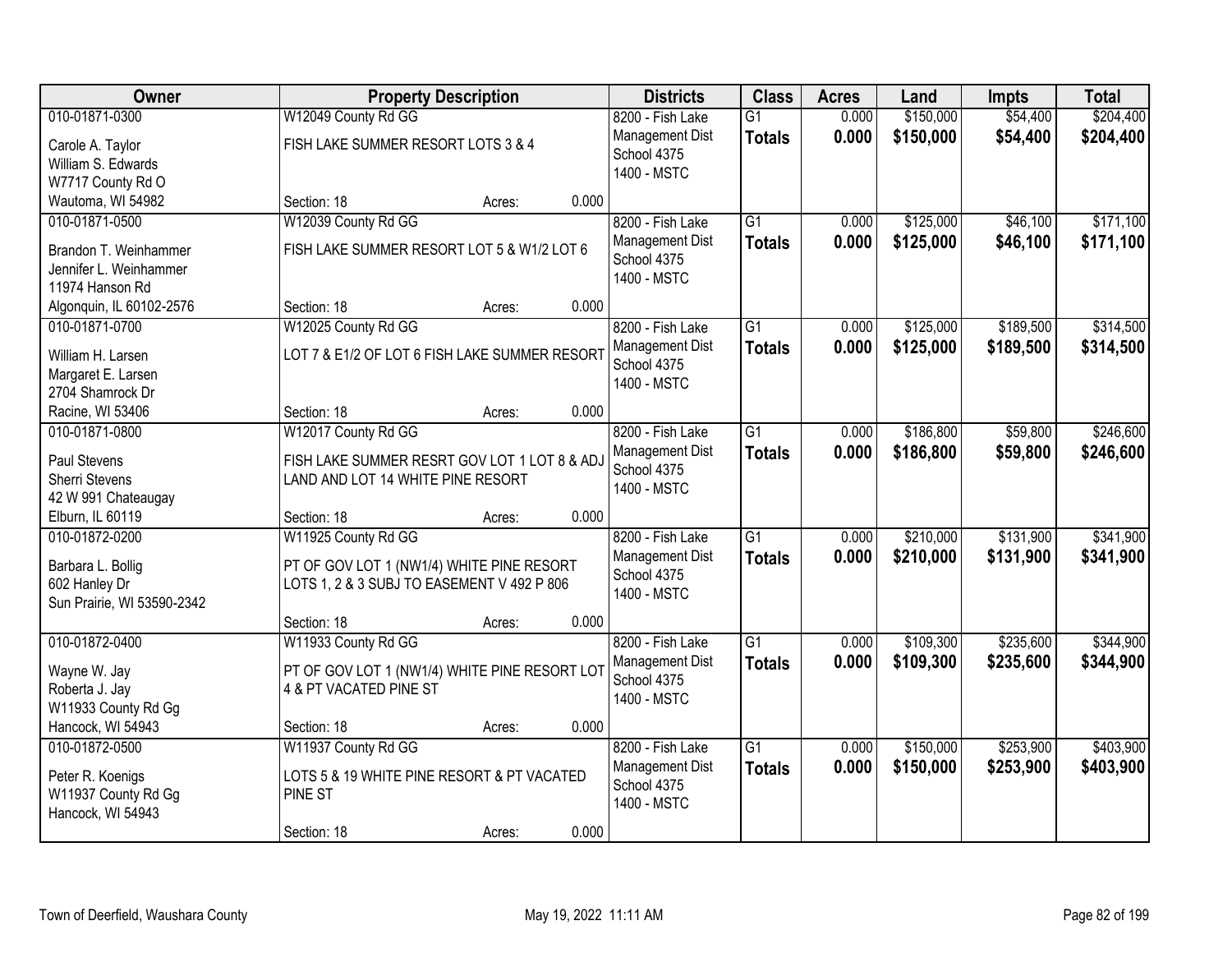| Owner<br><b>Property Description</b><br><b>Districts</b><br><b>Class</b><br><b>Acres</b><br>Land<br><b>Impts</b>              | <b>Total</b>           |
|-------------------------------------------------------------------------------------------------------------------------------|------------------------|
| 010-01871-0300<br>W12049 County Rd GG<br>\$150,000<br>8200 - Fish Lake<br>$\overline{G1}$<br>0.000                            | \$204,400<br>\$54,400  |
| 0.000<br>\$150,000<br>Management Dist<br><b>Totals</b><br>FISH LAKE SUMMER RESORT LOTS 3 & 4<br>Carole A. Taylor              | \$54,400<br>\$204,400  |
| School 4375<br>William S. Edwards                                                                                             |                        |
| 1400 - MSTC<br>W7717 County Rd O                                                                                              |                        |
| 0.000<br>Wautoma, WI 54982<br>Section: 18<br>Acres:                                                                           |                        |
| 010-01871-0500<br>W12039 County Rd GG<br>8200 - Fish Lake<br>$\overline{G1}$<br>\$125,000<br>0.000                            | \$171,100<br>\$46,100  |
| 0.000<br>\$125,000<br>Management Dist<br><b>Totals</b><br>FISH LAKE SUMMER RESORT LOT 5 & W1/2 LOT 6<br>Brandon T. Weinhammer | \$46,100<br>\$171,100  |
| School 4375<br>Jennifer L. Weinhammer                                                                                         |                        |
| 1400 - MSTC<br>11974 Hanson Rd                                                                                                |                        |
| 0.000<br>Algonquin, IL 60102-2576<br>Section: 18<br>Acres:                                                                    |                        |
| 010-01871-0700<br>W12025 County Rd GG<br>8200 - Fish Lake<br>$\overline{G1}$<br>\$125,000<br>0.000                            | \$189,500<br>\$314,500 |
| 0.000<br>\$125,000<br><b>Management Dist</b><br><b>Totals</b>                                                                 | \$189,500<br>\$314,500 |
| LOT 7 & E1/2 OF LOT 6 FISH LAKE SUMMER RESORT<br>William H. Larsen<br>School 4375                                             |                        |
| Margaret E. Larsen<br>1400 - MSTC<br>2704 Shamrock Dr                                                                         |                        |
| 0.000<br>Section: 18<br>Racine, WI 53406<br>Acres:                                                                            |                        |
| W12017 County Rd GG<br>$\overline{G1}$<br>\$186,800<br>010-01871-0800<br>8200 - Fish Lake<br>0.000                            | \$59,800<br>\$246,600  |
| Management Dist<br>0.000<br>\$186,800                                                                                         | \$59,800<br>\$246,600  |
| <b>Totals</b><br>Paul Stevens<br>FISH LAKE SUMMER RESRT GOV LOT 1 LOT 8 & ADJ<br>School 4375                                  |                        |
| <b>Sherri Stevens</b><br>LAND AND LOT 14 WHITE PINE RESORT<br>1400 - MSTC                                                     |                        |
| 42 W 991 Chateaugay                                                                                                           |                        |
| 0.000<br>Elburn, IL 60119<br>Section: 18<br>Acres:                                                                            |                        |
| $\overline{G1}$<br>\$210,000<br>010-01872-0200<br>W11925 County Rd GG<br>0.000<br>8200 - Fish Lake                            | \$131,900<br>\$341,900 |
| 0.000<br>\$210,000<br>Management Dist<br><b>Totals</b><br>PT OF GOV LOT 1 (NW1/4) WHITE PINE RESORT<br>Barbara L. Bollig      | \$131,900<br>\$341,900 |
| School 4375<br>LOTS 1, 2 & 3 SUBJ TO EASEMENT V 492 P 806<br>602 Hanley Dr                                                    |                        |
| 1400 - MSTC<br>Sun Prairie, WI 53590-2342                                                                                     |                        |
| 0.000<br>Section: 18<br>Acres:                                                                                                |                        |
| 010-01872-0400<br>$\overline{G1}$<br>\$109,300<br>W11933 County Rd GG<br>8200 - Fish Lake<br>0.000                            | \$235,600<br>\$344,900 |
| 0.000<br>\$109,300<br>Management Dist<br><b>Totals</b><br>PT OF GOV LOT 1 (NW1/4) WHITE PINE RESORT LOT<br>Wayne W. Jay       | \$235,600<br>\$344,900 |
| School 4375<br>4 & PT VACATED PINE ST<br>Roberta J. Jay                                                                       |                        |
| 1400 - MSTC<br>W11933 County Rd Gg                                                                                            |                        |
| Hancock, WI 54943<br>0.000<br>Section: 18<br>Acres:                                                                           |                        |
| 010-01872-0500<br>W11937 County Rd GG<br>8200 - Fish Lake<br>$\overline{G1}$<br>\$150,000<br>0.000                            | \$253,900<br>\$403,900 |
| 0.000<br>Management Dist<br>\$150,000<br><b>Totals</b>                                                                        | \$253,900<br>\$403,900 |
| LOTS 5 & 19 WHITE PINE RESORT & PT VACATED<br>Peter R. Koenigs<br>School 4375<br>W11937 County Rd Gg<br>PINE ST               |                        |
| 1400 - MSTC<br>Hancock, WI 54943                                                                                              |                        |
| 0.000<br>Section: 18<br>Acres:                                                                                                |                        |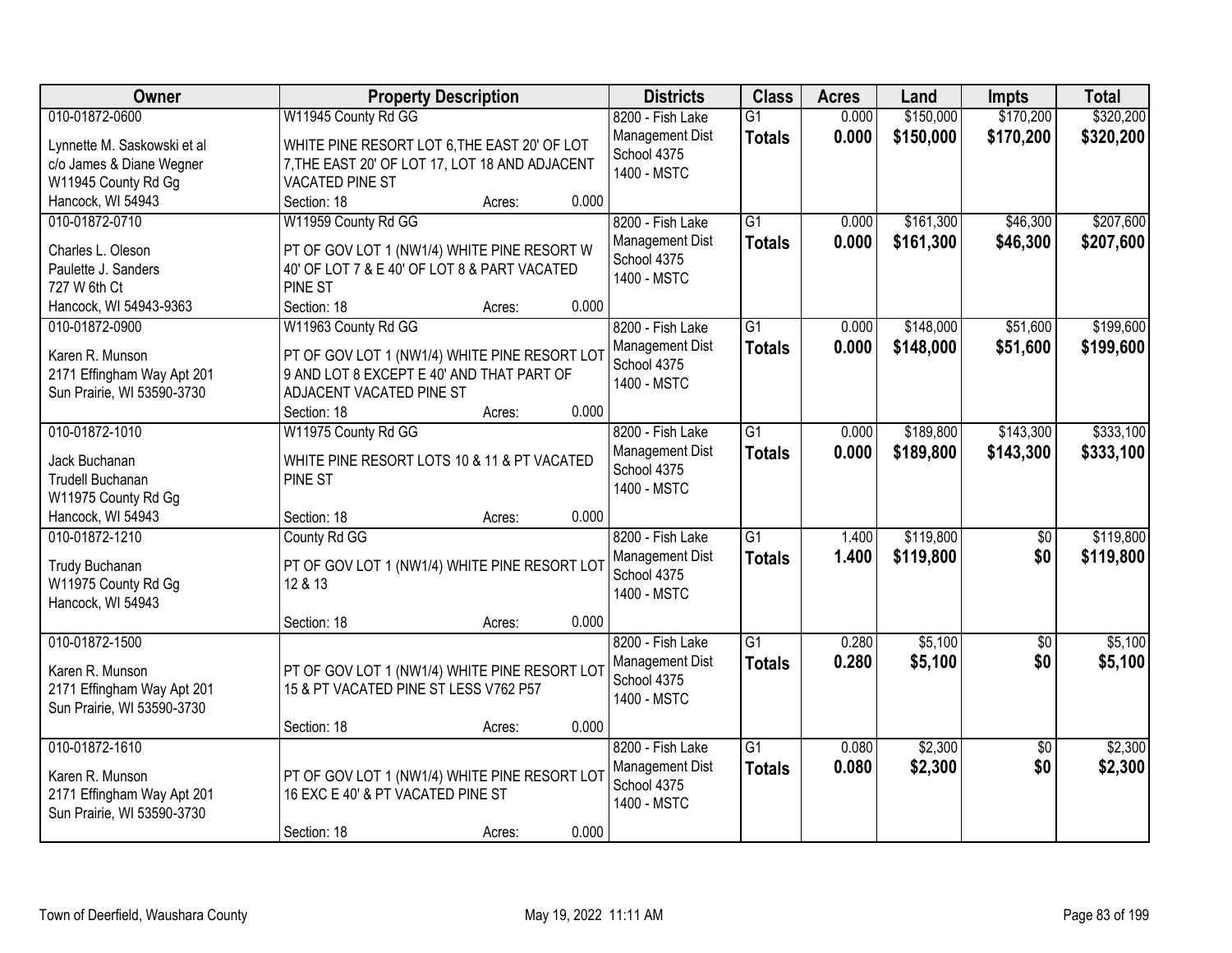| Owner                       | <b>Property Description</b>                    | <b>Districts</b>               | <b>Class</b>    | <b>Acres</b> | Land      | <b>Impts</b>    | <b>Total</b> |
|-----------------------------|------------------------------------------------|--------------------------------|-----------------|--------------|-----------|-----------------|--------------|
| 010-01872-0600              | W11945 County Rd GG                            | 8200 - Fish Lake               | $\overline{G1}$ | 0.000        | \$150,000 | \$170,200       | \$320,200    |
| Lynnette M. Saskowski et al | WHITE PINE RESORT LOT 6, THE EAST 20' OF LOT   | Management Dist                | <b>Totals</b>   | 0.000        | \$150,000 | \$170,200       | \$320,200    |
| c/o James & Diane Wegner    | 7, THE EAST 20' OF LOT 17, LOT 18 AND ADJACENT | School 4375                    |                 |              |           |                 |              |
| W11945 County Rd Gg         | <b>VACATED PINE ST</b>                         | 1400 - MSTC                    |                 |              |           |                 |              |
| Hancock, WI 54943           | 0.000<br>Section: 18<br>Acres:                 |                                |                 |              |           |                 |              |
| 010-01872-0710              | W11959 County Rd GG                            | 8200 - Fish Lake               | $\overline{G1}$ | 0.000        | \$161,300 | \$46,300        | \$207,600    |
|                             |                                                | Management Dist                | <b>Totals</b>   | 0.000        | \$161,300 | \$46,300        | \$207,600    |
| Charles L. Oleson           | PT OF GOV LOT 1 (NW1/4) WHITE PINE RESORT W    | School 4375                    |                 |              |           |                 |              |
| Paulette J. Sanders         | 40' OF LOT 7 & E 40' OF LOT 8 & PART VACATED   | 1400 - MSTC                    |                 |              |           |                 |              |
| 727 W 6th Ct                | PINE ST<br>0.000                               |                                |                 |              |           |                 |              |
| Hancock, WI 54943-9363      | Section: 18<br>Acres:                          |                                |                 |              |           |                 |              |
| 010-01872-0900              | W11963 County Rd GG                            | 8200 - Fish Lake               | $\overline{G1}$ | 0.000        | \$148,000 | \$51,600        | \$199,600    |
| Karen R. Munson             | PT OF GOV LOT 1 (NW1/4) WHITE PINE RESORT LOT  | Management Dist<br>School 4375 | <b>Totals</b>   | 0.000        | \$148,000 | \$51,600        | \$199,600    |
| 2171 Effingham Way Apt 201  | 9 AND LOT 8 EXCEPT E 40' AND THAT PART OF      | 1400 - MSTC                    |                 |              |           |                 |              |
| Sun Prairie, WI 53590-3730  | ADJACENT VACATED PINE ST                       |                                |                 |              |           |                 |              |
|                             | 0.000<br>Section: 18<br>Acres:                 |                                |                 |              |           |                 |              |
| 010-01872-1010              | W11975 County Rd GG                            | 8200 - Fish Lake               | G1              | 0.000        | \$189,800 | \$143,300       | \$333,100    |
| Jack Buchanan               | WHITE PINE RESORT LOTS 10 & 11 & PT VACATED    | Management Dist                | <b>Totals</b>   | 0.000        | \$189,800 | \$143,300       | \$333,100    |
| Trudell Buchanan            | PINE ST                                        | School 4375                    |                 |              |           |                 |              |
| W11975 County Rd Gg         |                                                | 1400 - MSTC                    |                 |              |           |                 |              |
| Hancock, WI 54943           | 0.000<br>Section: 18<br>Acres:                 |                                |                 |              |           |                 |              |
| 010-01872-1210              | County Rd GG                                   | 8200 - Fish Lake               | $\overline{G1}$ | 1.400        | \$119,800 | $\overline{50}$ | \$119,800    |
|                             |                                                | Management Dist                | <b>Totals</b>   | 1.400        | \$119,800 | \$0             | \$119,800    |
| Trudy Buchanan              | PT OF GOV LOT 1 (NW1/4) WHITE PINE RESORT LOT  | School 4375                    |                 |              |           |                 |              |
| W11975 County Rd Gg         | 12 & 13                                        | 1400 - MSTC                    |                 |              |           |                 |              |
| Hancock, WI 54943           |                                                |                                |                 |              |           |                 |              |
|                             | 0.000<br>Section: 18<br>Acres:                 |                                |                 |              |           |                 |              |
| 010-01872-1500              |                                                | 8200 - Fish Lake               | G1              | 0.280        | \$5,100   | $\sqrt{6}$      | \$5,100      |
| Karen R. Munson             | PT OF GOV LOT 1 (NW1/4) WHITE PINE RESORT LOT  | Management Dist                | <b>Totals</b>   | 0.280        | \$5,100   | \$0             | \$5,100      |
| 2171 Effingham Way Apt 201  | 15 & PT VACATED PINE ST LESS V762 P57          | School 4375                    |                 |              |           |                 |              |
| Sun Prairie, WI 53590-3730  |                                                | 1400 - MSTC                    |                 |              |           |                 |              |
|                             | 0.000<br>Section: 18<br>Acres:                 |                                |                 |              |           |                 |              |
| 010-01872-1610              |                                                | 8200 - Fish Lake               | $\overline{G1}$ | 0.080        | \$2,300   | $\overline{30}$ | \$2,300      |
|                             |                                                | Management Dist                | <b>Totals</b>   | 0.080        | \$2,300   | \$0             | \$2,300      |
| Karen R. Munson             | PT OF GOV LOT 1 (NW1/4) WHITE PINE RESORT LOT  | School 4375                    |                 |              |           |                 |              |
| 2171 Effingham Way Apt 201  | 16 EXC E 40' & PT VACATED PINE ST              | 1400 - MSTC                    |                 |              |           |                 |              |
| Sun Prairie, WI 53590-3730  | 0.000                                          |                                |                 |              |           |                 |              |
|                             | Section: 18<br>Acres:                          |                                |                 |              |           |                 |              |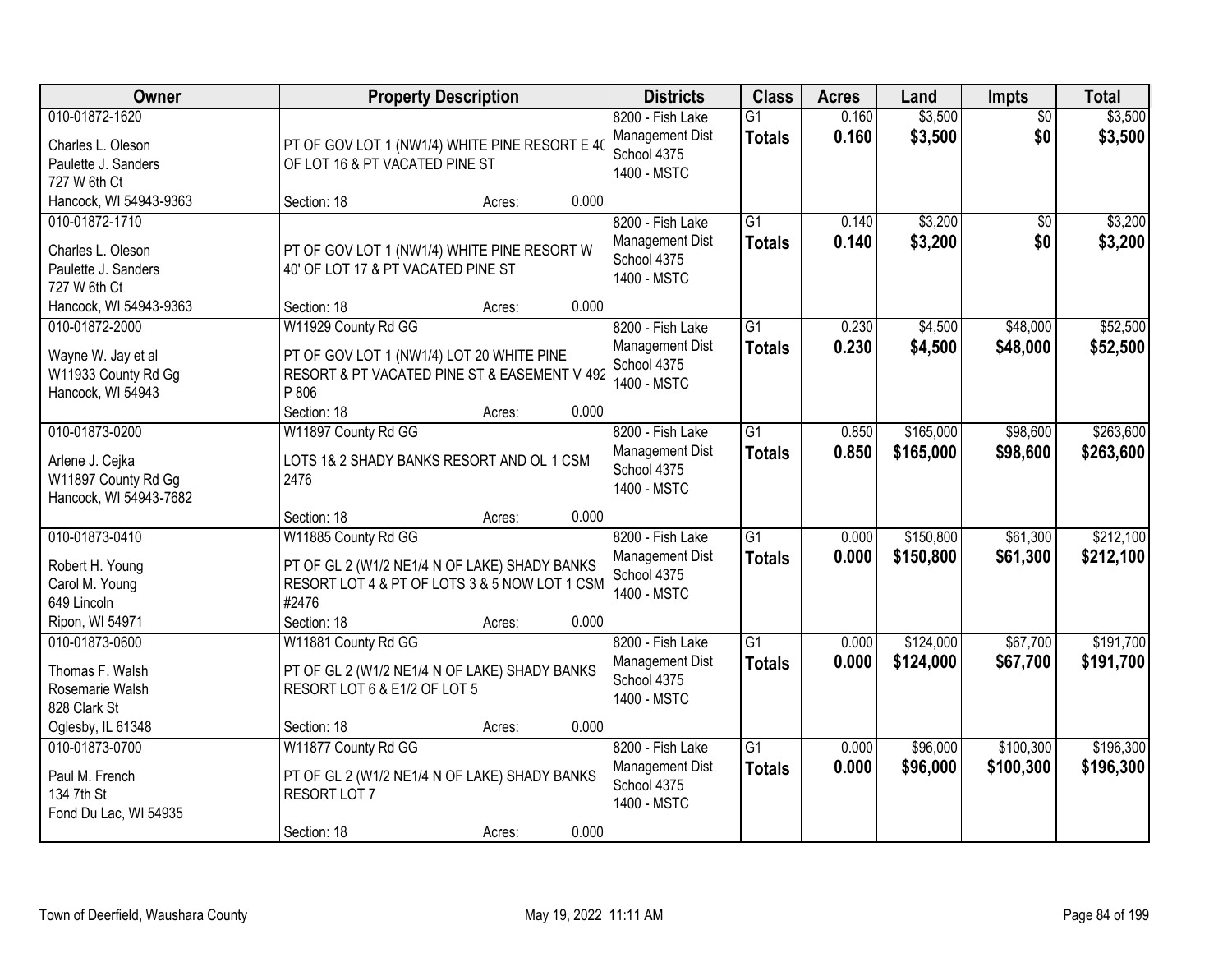| <b>Owner</b>                                                                     | <b>Property Description</b>                                                                                                              |        |       | <b>Districts</b>                                                  | <b>Class</b>                     | <b>Acres</b>   | Land                   | <b>Impts</b>           | <b>Total</b>           |
|----------------------------------------------------------------------------------|------------------------------------------------------------------------------------------------------------------------------------------|--------|-------|-------------------------------------------------------------------|----------------------------------|----------------|------------------------|------------------------|------------------------|
| 010-01872-1620<br>Charles L. Oleson<br>Paulette J. Sanders<br>727 W 6th Ct       | PT OF GOV LOT 1 (NW1/4) WHITE PINE RESORT E 40<br>OF LOT 16 & PT VACATED PINE ST                                                         |        |       | 8200 - Fish Lake<br>Management Dist<br>School 4375<br>1400 - MSTC | $\overline{G1}$<br><b>Totals</b> | 0.160<br>0.160 | \$3,500<br>\$3,500     | $\overline{50}$<br>\$0 | \$3,500<br>\$3,500     |
| Hancock, WI 54943-9363                                                           | Section: 18                                                                                                                              | Acres: | 0.000 |                                                                   |                                  |                |                        |                        |                        |
| 010-01872-1710<br>Charles L. Oleson<br>Paulette J. Sanders<br>727 W 6th Ct       | PT OF GOV LOT 1 (NW1/4) WHITE PINE RESORT W<br>40' OF LOT 17 & PT VACATED PINE ST                                                        |        |       | 8200 - Fish Lake<br>Management Dist<br>School 4375<br>1400 - MSTC | $\overline{G1}$<br><b>Totals</b> | 0.140<br>0.140 | \$3,200<br>\$3,200     | \$0<br>\$0             | \$3,200<br>\$3,200     |
| Hancock, WI 54943-9363                                                           | Section: 18                                                                                                                              | Acres: | 0.000 |                                                                   |                                  |                |                        |                        |                        |
| 010-01872-2000<br>Wayne W. Jay et al<br>W11933 County Rd Gg<br>Hancock, WI 54943 | W11929 County Rd GG<br>PT OF GOV LOT 1 (NW1/4) LOT 20 WHITE PINE<br>RESORT & PT VACATED PINE ST & EASEMENT V 492<br>P 806<br>Section: 18 | Acres: | 0.000 | 8200 - Fish Lake<br>Management Dist<br>School 4375<br>1400 - MSTC | $\overline{G1}$<br><b>Totals</b> | 0.230<br>0.230 | \$4,500<br>\$4,500     | \$48,000<br>\$48,000   | \$52,500<br>\$52,500   |
| 010-01873-0200                                                                   | W11897 County Rd GG                                                                                                                      |        |       | 8200 - Fish Lake                                                  | $\overline{G1}$                  | 0.850          | \$165,000              | \$98,600               | \$263,600              |
| Arlene J. Cejka<br>W11897 County Rd Gg<br>Hancock, WI 54943-7682                 | LOTS 1& 2 SHADY BANKS RESORT AND OL 1 CSM<br>2476                                                                                        |        |       | Management Dist<br>School 4375<br>1400 - MSTC                     | <b>Totals</b>                    | 0.850          | \$165,000              | \$98,600               | \$263,600              |
|                                                                                  | Section: 18                                                                                                                              | Acres: | 0.000 |                                                                   |                                  |                |                        |                        |                        |
| 010-01873-0410<br>Robert H. Young<br>Carol M. Young<br>649 Lincoln               | W11885 County Rd GG<br>PT OF GL 2 (W1/2 NE1/4 N OF LAKE) SHADY BANKS<br>RESORT LOT 4 & PT OF LOTS 3 & 5 NOW LOT 1 CSM<br>#2476           |        |       | 8200 - Fish Lake<br>Management Dist<br>School 4375<br>1400 - MSTC | $\overline{G1}$<br>Totals        | 0.000<br>0.000 | \$150,800<br>\$150,800 | \$61,300<br>\$61,300   | \$212,100<br>\$212,100 |
| Ripon, WI 54971                                                                  | Section: 18                                                                                                                              | Acres: | 0.000 |                                                                   |                                  |                |                        |                        |                        |
| 010-01873-0600<br>Thomas F. Walsh<br>Rosemarie Walsh<br>828 Clark St             | W11881 County Rd GG<br>PT OF GL 2 (W1/2 NE1/4 N OF LAKE) SHADY BANKS<br>RESORT LOT 6 & E1/2 OF LOT 5                                     |        |       | 8200 - Fish Lake<br>Management Dist<br>School 4375<br>1400 - MSTC | $\overline{G1}$<br><b>Totals</b> | 0.000<br>0.000 | \$124,000<br>\$124,000 | \$67,700<br>\$67,700   | \$191,700<br>\$191,700 |
| Oglesby, IL 61348                                                                | Section: 18                                                                                                                              | Acres: | 0.000 |                                                                   |                                  |                |                        |                        |                        |
| 010-01873-0700<br>Paul M. French<br>134 7th St<br>Fond Du Lac, WI 54935          | W11877 County Rd GG<br>PT OF GL 2 (W1/2 NE1/4 N OF LAKE) SHADY BANKS<br>RESORT LOT 7<br>Section: 18                                      | Acres: | 0.000 | 8200 - Fish Lake<br>Management Dist<br>School 4375<br>1400 - MSTC | $\overline{G1}$<br><b>Totals</b> | 0.000<br>0.000 | \$96,000<br>\$96,000   | \$100,300<br>\$100,300 | \$196,300<br>\$196,300 |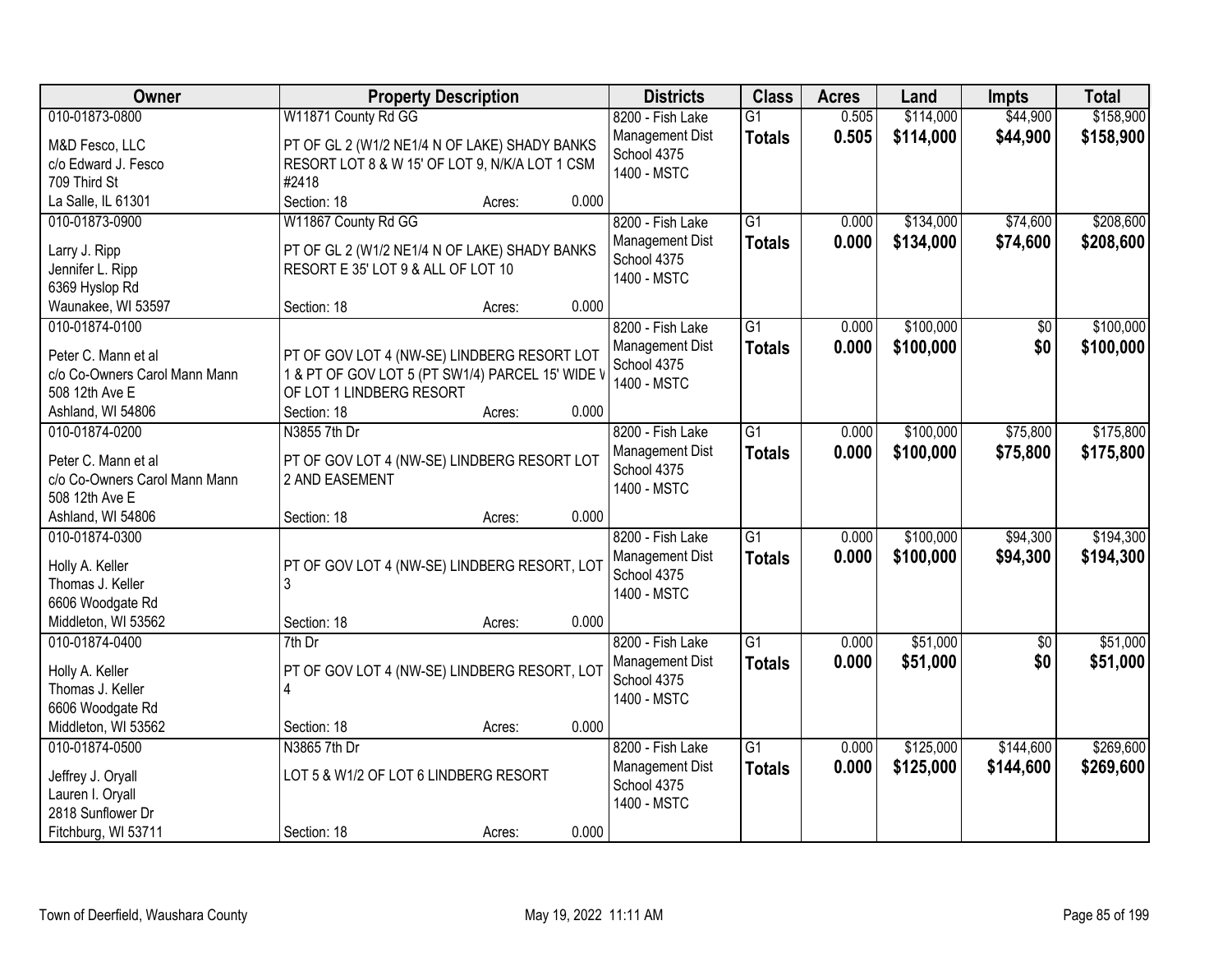| Owner                                                | <b>Property Description</b>                                   | <b>Districts</b>               | <b>Class</b>    | <b>Acres</b> | Land      | <b>Impts</b>    | <b>Total</b> |
|------------------------------------------------------|---------------------------------------------------------------|--------------------------------|-----------------|--------------|-----------|-----------------|--------------|
| 010-01873-0800                                       | W11871 County Rd GG                                           | 8200 - Fish Lake               | $\overline{G1}$ | 0.505        | \$114,000 | \$44,900        | \$158,900    |
| M&D Fesco, LLC                                       | PT OF GL 2 (W1/2 NE1/4 N OF LAKE) SHADY BANKS                 | Management Dist                | <b>Totals</b>   | 0.505        | \$114,000 | \$44,900        | \$158,900    |
| c/o Edward J. Fesco                                  | RESORT LOT 8 & W 15' OF LOT 9, N/K/A LOT 1 CSM                | School 4375                    |                 |              |           |                 |              |
| 709 Third St                                         | #2418                                                         | 1400 - MSTC                    |                 |              |           |                 |              |
| La Salle, IL 61301                                   | 0.000<br>Section: 18<br>Acres:                                |                                |                 |              |           |                 |              |
| 010-01873-0900                                       | W11867 County Rd GG                                           | 8200 - Fish Lake               | $\overline{G1}$ | 0.000        | \$134,000 | \$74,600        | \$208,600    |
|                                                      |                                                               | Management Dist                | <b>Totals</b>   | 0.000        | \$134,000 | \$74,600        | \$208,600    |
| Larry J. Ripp                                        | PT OF GL 2 (W1/2 NE1/4 N OF LAKE) SHADY BANKS                 | School 4375                    |                 |              |           |                 |              |
| Jennifer L. Ripp                                     | RESORT E 35' LOT 9 & ALL OF LOT 10                            | 1400 - MSTC                    |                 |              |           |                 |              |
| 6369 Hyslop Rd                                       |                                                               |                                |                 |              |           |                 |              |
| Waunakee, WI 53597                                   | 0.000<br>Section: 18<br>Acres:                                |                                |                 |              |           |                 |              |
| 010-01874-0100                                       |                                                               | 8200 - Fish Lake               | G1              | 0.000        | \$100,000 | \$0             | \$100,000    |
| Peter C. Mann et al                                  | PT OF GOV LOT 4 (NW-SE) LINDBERG RESORT LOT                   | Management Dist                | <b>Totals</b>   | 0.000        | \$100,000 | \$0             | \$100,000    |
| c/o Co-Owners Carol Mann Mann                        | 1 & PT OF GOV LOT 5 (PT SW1/4) PARCEL 15' WIDE \              | School 4375                    |                 |              |           |                 |              |
| 508 12th Ave E                                       | OF LOT 1 LINDBERG RESORT                                      | 1400 - MSTC                    |                 |              |           |                 |              |
| Ashland, WI 54806                                    | 0.000<br>Section: 18<br>Acres:                                |                                |                 |              |           |                 |              |
| 010-01874-0200                                       | N3855 7th Dr                                                  | 8200 - Fish Lake               | $\overline{G1}$ | 0.000        | \$100,000 | \$75,800        | \$175,800    |
|                                                      |                                                               | Management Dist                | <b>Totals</b>   | 0.000        | \$100,000 | \$75,800        | \$175,800    |
| Peter C. Mann et al<br>c/o Co-Owners Carol Mann Mann | PT OF GOV LOT 4 (NW-SE) LINDBERG RESORT LOT<br>2 AND EASEMENT | School 4375                    |                 |              |           |                 |              |
| 508 12th Ave E                                       |                                                               | 1400 - MSTC                    |                 |              |           |                 |              |
| Ashland, WI 54806                                    | 0.000<br>Section: 18<br>Acres:                                |                                |                 |              |           |                 |              |
| 010-01874-0300                                       |                                                               | 8200 - Fish Lake               | $\overline{G1}$ | 0.000        | \$100,000 | \$94,300        | \$194,300    |
|                                                      |                                                               |                                |                 |              |           |                 |              |
| Holly A. Keller                                      | PT OF GOV LOT 4 (NW-SE) LINDBERG RESORT, LOT                  | Management Dist<br>School 4375 | <b>Totals</b>   | 0.000        | \$100,000 | \$94,300        | \$194,300    |
| Thomas J. Keller                                     | 3                                                             | 1400 - MSTC                    |                 |              |           |                 |              |
| 6606 Woodgate Rd                                     |                                                               |                                |                 |              |           |                 |              |
| Middleton, WI 53562                                  | 0.000<br>Section: 18<br>Acres:                                |                                |                 |              |           |                 |              |
| 010-01874-0400                                       | $7th$ Dr                                                      | 8200 - Fish Lake               | $\overline{G1}$ | 0.000        | \$51,000  | $\overline{50}$ | \$51,000     |
| Holly A. Keller                                      | PT OF GOV LOT 4 (NW-SE) LINDBERG RESORT, LOT                  | Management Dist                | <b>Totals</b>   | 0.000        | \$51,000  | \$0             | \$51,000     |
| Thomas J. Keller                                     | 4                                                             | School 4375                    |                 |              |           |                 |              |
| 6606 Woodgate Rd                                     |                                                               | 1400 - MSTC                    |                 |              |           |                 |              |
| Middleton, WI 53562                                  | 0.000<br>Section: 18<br>Acres:                                |                                |                 |              |           |                 |              |
| 010-01874-0500                                       | N3865 7th Dr                                                  | 8200 - Fish Lake               | $\overline{G1}$ | 0.000        | \$125,000 | \$144,600       | \$269,600    |
|                                                      |                                                               | Management Dist                | <b>Totals</b>   | 0.000        | \$125,000 | \$144,600       | \$269,600    |
| Jeffrey J. Oryall                                    | LOT 5 & W1/2 OF LOT 6 LINDBERG RESORT                         | School 4375                    |                 |              |           |                 |              |
| Lauren I. Oryall                                     |                                                               | 1400 - MSTC                    |                 |              |           |                 |              |
| 2818 Sunflower Dr                                    |                                                               |                                |                 |              |           |                 |              |
| Fitchburg, WI 53711                                  | 0.000<br>Section: 18<br>Acres:                                |                                |                 |              |           |                 |              |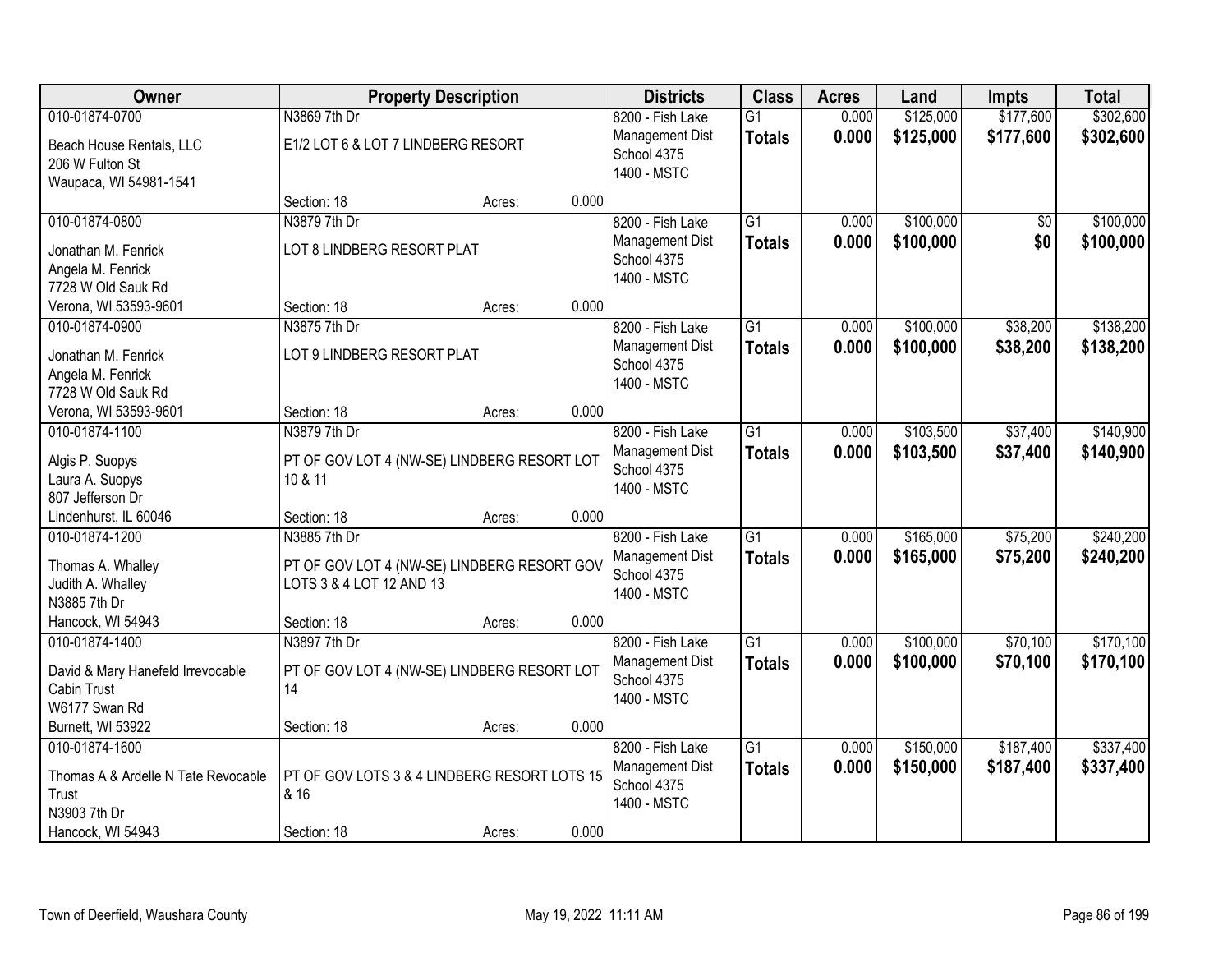| 010-01874-0700                                                                                      | N3869 7th Dr                                                                            |        |       |                                                                   |                                  |                |                        |                        | <b>Total</b>           |
|-----------------------------------------------------------------------------------------------------|-----------------------------------------------------------------------------------------|--------|-------|-------------------------------------------------------------------|----------------------------------|----------------|------------------------|------------------------|------------------------|
|                                                                                                     |                                                                                         |        |       | 8200 - Fish Lake                                                  | G1                               | 0.000          | \$125,000              | \$177,600              | \$302,600              |
| Beach House Rentals, LLC<br>206 W Fulton St<br>Waupaca, WI 54981-1541                               | E1/2 LOT 6 & LOT 7 LINDBERG RESORT                                                      |        |       | Management Dist<br>School 4375<br>1400 - MSTC                     | <b>Totals</b>                    | 0.000          | \$125,000              | \$177,600              | \$302,600              |
|                                                                                                     | Section: 18                                                                             | Acres: | 0.000 |                                                                   |                                  |                |                        |                        |                        |
| 010-01874-0800                                                                                      | N3879 7th Dr                                                                            |        |       | 8200 - Fish Lake                                                  | $\overline{G1}$                  | 0.000          | \$100,000              | $\overline{50}$        | \$100,000              |
| Jonathan M. Fenrick<br>Angela M. Fenrick<br>7728 W Old Sauk Rd                                      | LOT 8 LINDBERG RESORT PLAT                                                              |        |       | Management Dist<br>School 4375<br>1400 - MSTC                     | <b>Totals</b>                    | 0.000          | \$100,000              | \$0                    | \$100,000              |
| Verona, WI 53593-9601                                                                               | Section: 18                                                                             | Acres: | 0.000 |                                                                   |                                  |                |                        |                        |                        |
| 010-01874-0900                                                                                      | N3875 7th Dr                                                                            |        |       | 8200 - Fish Lake                                                  | G1                               | 0.000          | \$100,000              | \$38,200               | \$138,200              |
| Jonathan M. Fenrick<br>Angela M. Fenrick<br>7728 W Old Sauk Rd                                      | LOT 9 LINDBERG RESORT PLAT                                                              |        |       | Management Dist<br>School 4375<br>1400 - MSTC                     | <b>Totals</b>                    | 0.000          | \$100,000              | \$38,200               | \$138,200              |
| Verona, WI 53593-9601                                                                               | Section: 18                                                                             | Acres: | 0.000 |                                                                   |                                  |                |                        |                        |                        |
| 010-01874-1100                                                                                      | N3879 7th Dr                                                                            |        |       | 8200 - Fish Lake                                                  | $\overline{G1}$                  | 0.000          | \$103,500              | \$37,400               | \$140,900              |
| Algis P. Suopys<br>Laura A. Suopys<br>807 Jefferson Dr                                              | PT OF GOV LOT 4 (NW-SE) LINDBERG RESORT LOT<br>10 & 11                                  |        |       | Management Dist<br>School 4375<br>1400 - MSTC                     | <b>Totals</b>                    | 0.000          | \$103,500              | \$37,400               | \$140,900              |
| Lindenhurst, IL 60046                                                                               | Section: 18                                                                             | Acres: | 0.000 |                                                                   |                                  |                |                        |                        |                        |
| 010-01874-1200<br>Thomas A. Whalley<br>Judith A. Whalley<br>N3885 7th Dr                            | N3885 7th Dr<br>PT OF GOV LOT 4 (NW-SE) LINDBERG RESORT GOV<br>LOTS 3 & 4 LOT 12 AND 13 |        |       | 8200 - Fish Lake<br>Management Dist<br>School 4375<br>1400 - MSTC | $\overline{G1}$<br><b>Totals</b> | 0.000<br>0.000 | \$165,000<br>\$165,000 | \$75,200<br>\$75,200   | \$240,200<br>\$240,200 |
| Hancock, WI 54943                                                                                   | Section: 18                                                                             | Acres: | 0.000 |                                                                   |                                  |                |                        |                        |                        |
| 010-01874-1400                                                                                      | N3897 7th Dr                                                                            |        |       | 8200 - Fish Lake                                                  | $\overline{G1}$                  | 0.000          | \$100,000              | \$70,100               | \$170,100              |
| David & Mary Hanefeld Irrevocable<br>Cabin Trust<br>W6177 Swan Rd                                   | PT OF GOV LOT 4 (NW-SE) LINDBERG RESORT LOT<br>14                                       |        |       | Management Dist<br>School 4375<br>1400 - MSTC                     | <b>Totals</b>                    | 0.000          | \$100,000              | \$70,100               | \$170,100              |
| Burnett, WI 53922                                                                                   | Section: 18                                                                             | Acres: | 0.000 |                                                                   |                                  |                |                        |                        |                        |
| 010-01874-1600<br>Thomas A & Ardelle N Tate Revocable<br>Trust<br>N3903 7th Dr<br>Hancock, WI 54943 | PT OF GOV LOTS 3 & 4 LINDBERG RESORT LOTS 15<br>& 16<br>Section: 18                     | Acres: | 0.000 | 8200 - Fish Lake<br>Management Dist<br>School 4375<br>1400 - MSTC | G1<br><b>Totals</b>              | 0.000<br>0.000 | \$150,000<br>\$150,000 | \$187,400<br>\$187,400 | \$337,400<br>\$337,400 |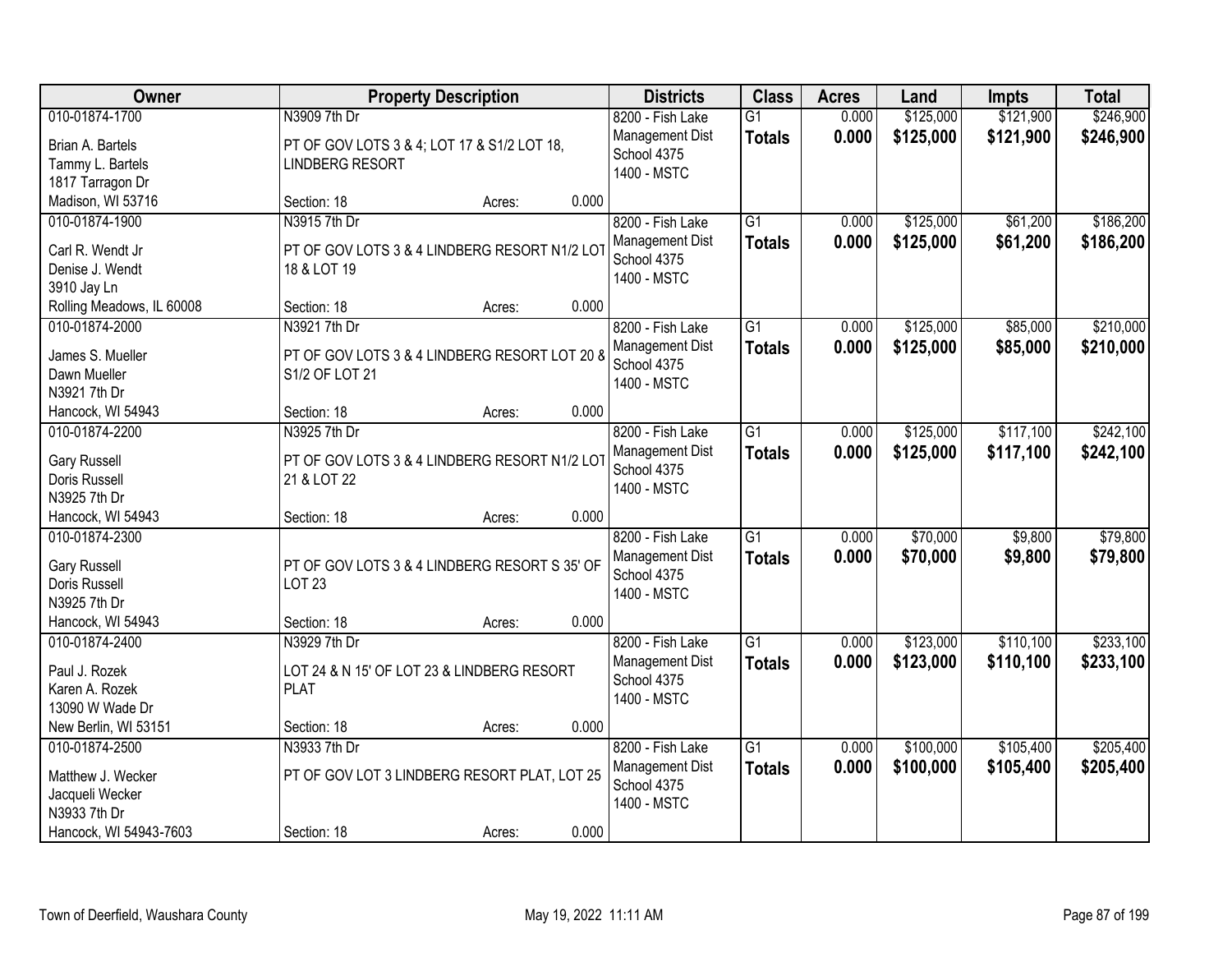| Owner                                    |                                               | <b>Property Description</b> |       | <b>Districts</b>                      | <b>Class</b>    | <b>Acres</b> | Land      | Impts     | <b>Total</b> |
|------------------------------------------|-----------------------------------------------|-----------------------------|-------|---------------------------------------|-----------------|--------------|-----------|-----------|--------------|
| 010-01874-1700                           | N3909 7th Dr                                  |                             |       | 8200 - Fish Lake                      | $\overline{G1}$ | 0.000        | \$125,000 | \$121,900 | \$246,900    |
| Brian A. Bartels                         | PT OF GOV LOTS 3 & 4; LOT 17 & S1/2 LOT 18,   |                             |       | Management Dist                       | <b>Totals</b>   | 0.000        | \$125,000 | \$121,900 | \$246,900    |
| Tammy L. Bartels                         | <b>LINDBERG RESORT</b>                        |                             |       | School 4375                           |                 |              |           |           |              |
| 1817 Tarragon Dr                         |                                               |                             |       | 1400 - MSTC                           |                 |              |           |           |              |
| Madison, WI 53716                        | Section: 18                                   | Acres:                      | 0.000 |                                       |                 |              |           |           |              |
| 010-01874-1900                           | N3915 7th Dr                                  |                             |       | 8200 - Fish Lake                      | $\overline{G1}$ | 0.000        | \$125,000 | \$61,200  | \$186,200    |
|                                          |                                               |                             |       | Management Dist                       | <b>Totals</b>   | 0.000        | \$125,000 | \$61,200  | \$186,200    |
| Carl R. Wendt Jr                         | PT OF GOV LOTS 3 & 4 LINDBERG RESORT N1/2 LOT |                             |       | School 4375                           |                 |              |           |           |              |
| Denise J. Wendt                          | 18 & LOT 19                                   |                             |       | 1400 - MSTC                           |                 |              |           |           |              |
| 3910 Jay Ln<br>Rolling Meadows, IL 60008 | Section: 18                                   | Acres:                      | 0.000 |                                       |                 |              |           |           |              |
| 010-01874-2000                           | N3921 7th Dr                                  |                             |       |                                       | G1              | 0.000        | \$125,000 | \$85,000  | \$210,000    |
|                                          |                                               |                             |       | 8200 - Fish Lake                      |                 |              |           |           |              |
| James S. Mueller                         | PT OF GOV LOTS 3 & 4 LINDBERG RESORT LOT 20 8 |                             |       | <b>Management Dist</b><br>School 4375 | <b>Totals</b>   | 0.000        | \$125,000 | \$85,000  | \$210,000    |
| Dawn Mueller                             | S1/2 OF LOT 21                                |                             |       | 1400 - MSTC                           |                 |              |           |           |              |
| N3921 7th Dr                             |                                               |                             |       |                                       |                 |              |           |           |              |
| Hancock, WI 54943                        | Section: 18                                   | Acres:                      | 0.000 |                                       |                 |              |           |           |              |
| 010-01874-2200                           | N3925 7th Dr                                  |                             |       | 8200 - Fish Lake                      | $\overline{G1}$ | 0.000        | \$125,000 | \$117,100 | \$242,100    |
| <b>Gary Russell</b>                      | PT OF GOV LOTS 3 & 4 LINDBERG RESORT N1/2 LOT |                             |       | Management Dist                       | <b>Totals</b>   | 0.000        | \$125,000 | \$117,100 | \$242,100    |
| Doris Russell                            | 21 & LOT 22                                   |                             |       | School 4375                           |                 |              |           |           |              |
| N3925 7th Dr                             |                                               |                             |       | 1400 - MSTC                           |                 |              |           |           |              |
| Hancock, WI 54943                        | Section: 18                                   | Acres:                      | 0.000 |                                       |                 |              |           |           |              |
| 010-01874-2300                           |                                               |                             |       | 8200 - Fish Lake                      | $\overline{G1}$ | 0.000        | \$70,000  | \$9,800   | \$79,800     |
|                                          |                                               |                             |       |                                       |                 |              |           |           |              |
| <b>Gary Russell</b>                      | PT OF GOV LOTS 3 & 4 LINDBERG RESORT S 35' OF |                             |       | Management Dist<br>School 4375        | Totals          | 0.000        | \$70,000  | \$9,800   | \$79,800     |
| Doris Russell                            | <b>LOT 23</b>                                 |                             |       | 1400 - MSTC                           |                 |              |           |           |              |
| N3925 7th Dr                             |                                               |                             |       |                                       |                 |              |           |           |              |
| Hancock, WI 54943                        | Section: 18                                   | Acres:                      | 0.000 |                                       |                 |              |           |           |              |
| 010-01874-2400                           | N3929 7th Dr                                  |                             |       | 8200 - Fish Lake                      | $\overline{G1}$ | 0.000        | \$123,000 | \$110,100 | \$233,100    |
| Paul J. Rozek                            | LOT 24 & N 15' OF LOT 23 & LINDBERG RESORT    |                             |       | <b>Management Dist</b>                | <b>Totals</b>   | 0.000        | \$123,000 | \$110,100 | \$233,100    |
| Karen A. Rozek                           | <b>PLAT</b>                                   |                             |       | School 4375                           |                 |              |           |           |              |
| 13090 W Wade Dr                          |                                               |                             |       | 1400 - MSTC                           |                 |              |           |           |              |
| New Berlin, WI 53151                     | Section: 18                                   | Acres:                      | 0.000 |                                       |                 |              |           |           |              |
| 010-01874-2500                           | N3933 7th Dr                                  |                             |       | 8200 - Fish Lake                      | $\overline{G1}$ | 0.000        | \$100,000 | \$105,400 | \$205,400    |
|                                          |                                               |                             |       | Management Dist                       | <b>Totals</b>   | 0.000        | \$100,000 | \$105,400 | \$205,400    |
| Matthew J. Wecker                        | PT OF GOV LOT 3 LINDBERG RESORT PLAT, LOT 25  |                             |       | School 4375                           |                 |              |           |           |              |
| Jacqueli Wecker                          |                                               |                             |       | 1400 - MSTC                           |                 |              |           |           |              |
| N3933 7th Dr                             |                                               |                             |       |                                       |                 |              |           |           |              |
| Hancock, WI 54943-7603                   | Section: 18                                   | Acres:                      | 0.000 |                                       |                 |              |           |           |              |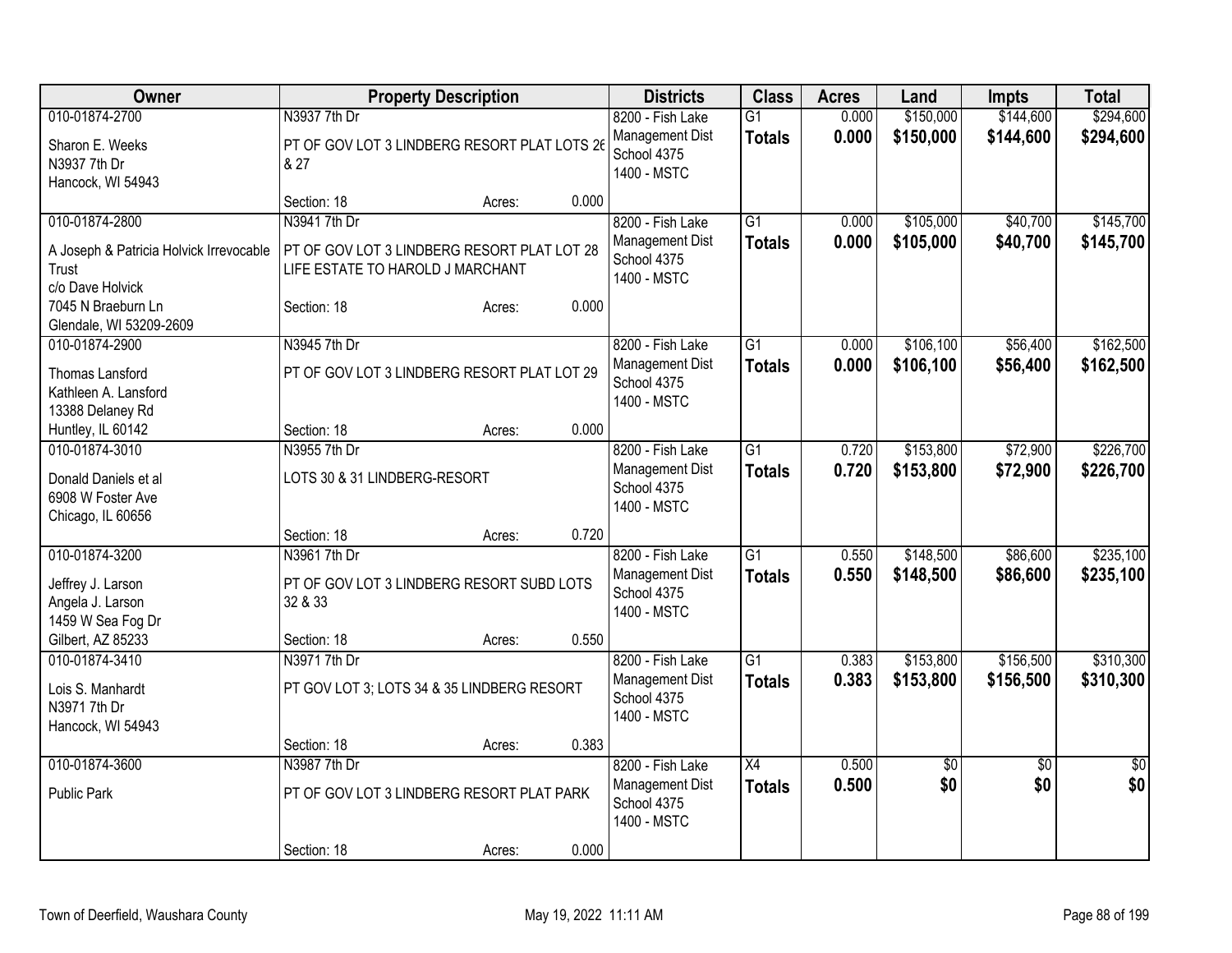| Owner                                                                                  | <b>Property Description</b>                                                                     | <b>Districts</b>                                                  | <b>Class</b>                     | <b>Acres</b>   | Land                   | <b>Impts</b>           | <b>Total</b>           |
|----------------------------------------------------------------------------------------|-------------------------------------------------------------------------------------------------|-------------------------------------------------------------------|----------------------------------|----------------|------------------------|------------------------|------------------------|
| 010-01874-2700                                                                         | N3937 7th Dr                                                                                    | 8200 - Fish Lake                                                  | $\overline{G1}$                  | 0.000          | \$150,000              | \$144,600              | \$294,600              |
| Sharon E. Weeks<br>N3937 7th Dr<br>Hancock, WI 54943                                   | PT OF GOV LOT 3 LINDBERG RESORT PLAT LOTS 26<br>& 27                                            | Management Dist<br>School 4375<br>1400 - MSTC                     | <b>Totals</b>                    | 0.000          | \$150,000              | \$144,600              | \$294,600              |
|                                                                                        | 0.000<br>Section: 18<br>Acres:                                                                  |                                                                   |                                  |                |                        |                        |                        |
| 010-01874-2800<br>A Joseph & Patricia Holvick Irrevocable<br>Trust<br>c/o Dave Holvick | N3941 7th Dr<br>PT OF GOV LOT 3 LINDBERG RESORT PLAT LOT 28<br>LIFE ESTATE TO HAROLD J MARCHANT | 8200 - Fish Lake<br>Management Dist<br>School 4375<br>1400 - MSTC | $\overline{G1}$<br><b>Totals</b> | 0.000<br>0.000 | \$105,000<br>\$105,000 | \$40,700<br>\$40,700   | \$145,700<br>\$145,700 |
| 7045 N Braeburn Ln<br>Glendale, WI 53209-2609                                          | 0.000<br>Section: 18<br>Acres:                                                                  |                                                                   |                                  |                |                        |                        |                        |
| 010-01874-2900<br>Thomas Lansford<br>Kathleen A. Lansford<br>13388 Delaney Rd          | N3945 7th Dr<br>PT OF GOV LOT 3 LINDBERG RESORT PLAT LOT 29                                     | 8200 - Fish Lake<br>Management Dist<br>School 4375<br>1400 - MSTC | $\overline{G1}$<br><b>Totals</b> | 0.000<br>0.000 | \$106,100<br>\$106,100 | \$56,400<br>\$56,400   | \$162,500<br>\$162,500 |
| Huntley, IL 60142                                                                      | 0.000<br>Section: 18<br>Acres:                                                                  |                                                                   |                                  |                |                        |                        |                        |
| 010-01874-3010<br>Donald Daniels et al<br>6908 W Foster Ave<br>Chicago, IL 60656       | N3955 7th Dr<br>LOTS 30 & 31 LINDBERG-RESORT                                                    | 8200 - Fish Lake<br>Management Dist<br>School 4375<br>1400 - MSTC | $\overline{G1}$<br><b>Totals</b> | 0.720<br>0.720 | \$153,800<br>\$153,800 | \$72,900<br>\$72,900   | \$226,700<br>\$226,700 |
|                                                                                        | 0.720<br>Section: 18<br>Acres:                                                                  |                                                                   |                                  |                |                        |                        |                        |
| 010-01874-3200<br>Jeffrey J. Larson<br>Angela J. Larson<br>1459 W Sea Fog Dr           | N3961 7th Dr<br>PT OF GOV LOT 3 LINDBERG RESORT SUBD LOTS<br>32 & 33                            | 8200 - Fish Lake<br>Management Dist<br>School 4375<br>1400 - MSTC | $\overline{G1}$<br><b>Totals</b> | 0.550<br>0.550 | \$148,500<br>\$148,500 | \$86,600<br>\$86,600   | \$235,100<br>\$235,100 |
| Gilbert, AZ 85233                                                                      | 0.550<br>Section: 18<br>Acres:                                                                  |                                                                   |                                  |                |                        |                        |                        |
| 010-01874-3410<br>Lois S. Manhardt<br>N3971 7th Dr<br>Hancock, WI 54943                | N3971 7th Dr<br>PT GOV LOT 3; LOTS 34 & 35 LINDBERG RESORT                                      | 8200 - Fish Lake<br>Management Dist<br>School 4375<br>1400 - MSTC | $\overline{G1}$<br><b>Totals</b> | 0.383<br>0.383 | \$153,800<br>\$153,800 | \$156,500<br>\$156,500 | \$310,300<br>\$310,300 |
|                                                                                        | 0.383<br>Section: 18<br>Acres:                                                                  |                                                                   |                                  |                |                        |                        |                        |
| 010-01874-3600<br><b>Public Park</b>                                                   | N3987 7th Dr<br>PT OF GOV LOT 3 LINDBERG RESORT PLAT PARK                                       | 8200 - Fish Lake<br>Management Dist<br>School 4375<br>1400 - MSTC | X4<br><b>Totals</b>              | 0.500<br>0.500 | $\overline{50}$<br>\$0 | $\overline{50}$<br>\$0 | $\frac{1}{30}$<br>\$0  |
|                                                                                        | 0.000<br>Section: 18<br>Acres:                                                                  |                                                                   |                                  |                |                        |                        |                        |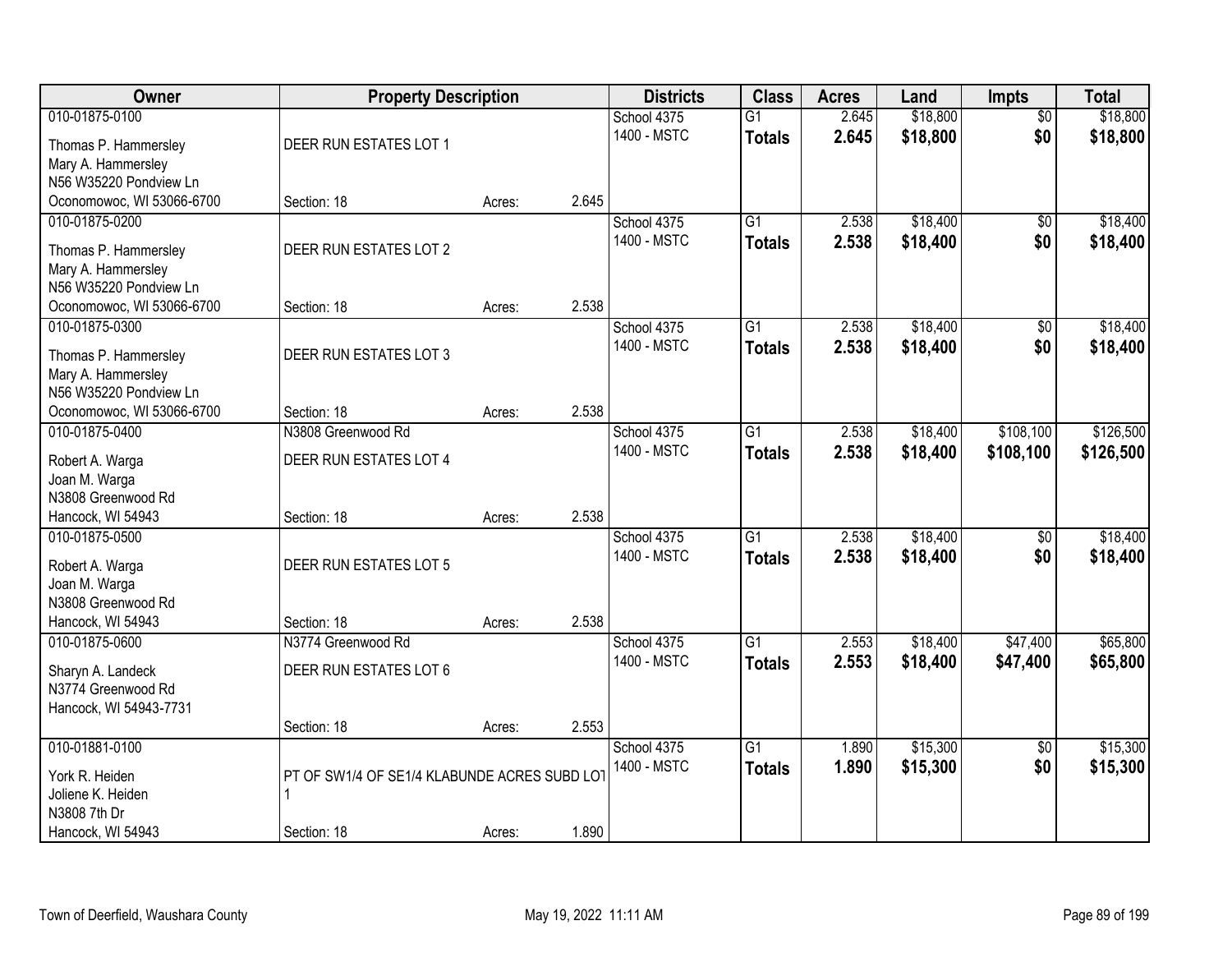| Owner                                        | <b>Property Description</b>                  |        |       | <b>Districts</b> | <b>Class</b>    | <b>Acres</b> | Land     | <b>Impts</b>    | <b>Total</b> |
|----------------------------------------------|----------------------------------------------|--------|-------|------------------|-----------------|--------------|----------|-----------------|--------------|
| 010-01875-0100                               |                                              |        |       | School 4375      | $\overline{G1}$ | 2.645        | \$18,800 | $\overline{50}$ | \$18,800     |
| Thomas P. Hammersley                         | DEER RUN ESTATES LOT 1                       |        |       | 1400 - MSTC      | <b>Totals</b>   | 2.645        | \$18,800 | \$0             | \$18,800     |
| Mary A. Hammersley                           |                                              |        |       |                  |                 |              |          |                 |              |
| N56 W35220 Pondview Ln                       |                                              |        |       |                  |                 |              |          |                 |              |
| Oconomowoc, WI 53066-6700                    | Section: 18                                  | Acres: | 2.645 |                  |                 |              |          |                 |              |
| 010-01875-0200                               |                                              |        |       | School 4375      | $\overline{G1}$ | 2.538        | \$18,400 | \$0             | \$18,400     |
|                                              | DEER RUN ESTATES LOT 2                       |        |       | 1400 - MSTC      | <b>Totals</b>   | 2.538        | \$18,400 | \$0             | \$18,400     |
| Thomas P. Hammersley<br>Mary A. Hammersley   |                                              |        |       |                  |                 |              |          |                 |              |
| N56 W35220 Pondview Ln                       |                                              |        |       |                  |                 |              |          |                 |              |
| Oconomowoc, WI 53066-6700                    | Section: 18                                  | Acres: | 2.538 |                  |                 |              |          |                 |              |
| 010-01875-0300                               |                                              |        |       | School 4375      | G1              | 2.538        | \$18,400 | $\overline{50}$ | \$18,400     |
|                                              |                                              |        |       | 1400 - MSTC      | <b>Totals</b>   | 2.538        | \$18,400 | \$0             | \$18,400     |
| Thomas P. Hammersley                         | DEER RUN ESTATES LOT 3                       |        |       |                  |                 |              |          |                 |              |
| Mary A. Hammersley<br>N56 W35220 Pondview Ln |                                              |        |       |                  |                 |              |          |                 |              |
| Oconomowoc, WI 53066-6700                    | Section: 18                                  | Acres: | 2.538 |                  |                 |              |          |                 |              |
| 010-01875-0400                               | N3808 Greenwood Rd                           |        |       | School 4375      | G1              | 2.538        | \$18,400 | \$108,100       | \$126,500    |
|                                              |                                              |        |       | 1400 - MSTC      | <b>Totals</b>   | 2.538        | \$18,400 | \$108,100       | \$126,500    |
| Robert A. Warga                              | DEER RUN ESTATES LOT 4                       |        |       |                  |                 |              |          |                 |              |
| Joan M. Warga                                |                                              |        |       |                  |                 |              |          |                 |              |
| N3808 Greenwood Rd                           |                                              |        |       |                  |                 |              |          |                 |              |
| Hancock, WI 54943                            | Section: 18                                  | Acres: | 2.538 |                  | $\overline{G1}$ |              |          |                 |              |
| 010-01875-0500                               |                                              |        |       | School 4375      |                 | 2.538        | \$18,400 | $\overline{50}$ | \$18,400     |
| Robert A. Warga                              | DEER RUN ESTATES LOT 5                       |        |       | 1400 - MSTC      | <b>Totals</b>   | 2.538        | \$18,400 | \$0             | \$18,400     |
| Joan M. Warga                                |                                              |        |       |                  |                 |              |          |                 |              |
| N3808 Greenwood Rd                           |                                              |        |       |                  |                 |              |          |                 |              |
| Hancock, WI 54943                            | Section: 18                                  | Acres: | 2.538 |                  |                 |              |          |                 |              |
| 010-01875-0600                               | N3774 Greenwood Rd                           |        |       | School 4375      | $\overline{G1}$ | 2.553        | \$18,400 | \$47,400        | \$65,800     |
| Sharyn A. Landeck                            | DEER RUN ESTATES LOT 6                       |        |       | 1400 - MSTC      | <b>Totals</b>   | 2.553        | \$18,400 | \$47,400        | \$65,800     |
| N3774 Greenwood Rd                           |                                              |        |       |                  |                 |              |          |                 |              |
| Hancock, WI 54943-7731                       |                                              |        |       |                  |                 |              |          |                 |              |
|                                              | Section: 18                                  | Acres: | 2.553 |                  |                 |              |          |                 |              |
| 010-01881-0100                               |                                              |        |       | School 4375      | $\overline{G1}$ | 1.890        | \$15,300 | $\overline{50}$ | \$15,300     |
| York R. Heiden                               | PT OF SW1/4 OF SE1/4 KLABUNDE ACRES SUBD LOT |        |       | 1400 - MSTC      | <b>Totals</b>   | 1.890        | \$15,300 | \$0             | \$15,300     |
| Joliene K. Heiden                            | $\mathbf{1}$                                 |        |       |                  |                 |              |          |                 |              |
| N3808 7th Dr                                 |                                              |        |       |                  |                 |              |          |                 |              |
| Hancock, WI 54943                            | Section: 18                                  | Acres: | 1.890 |                  |                 |              |          |                 |              |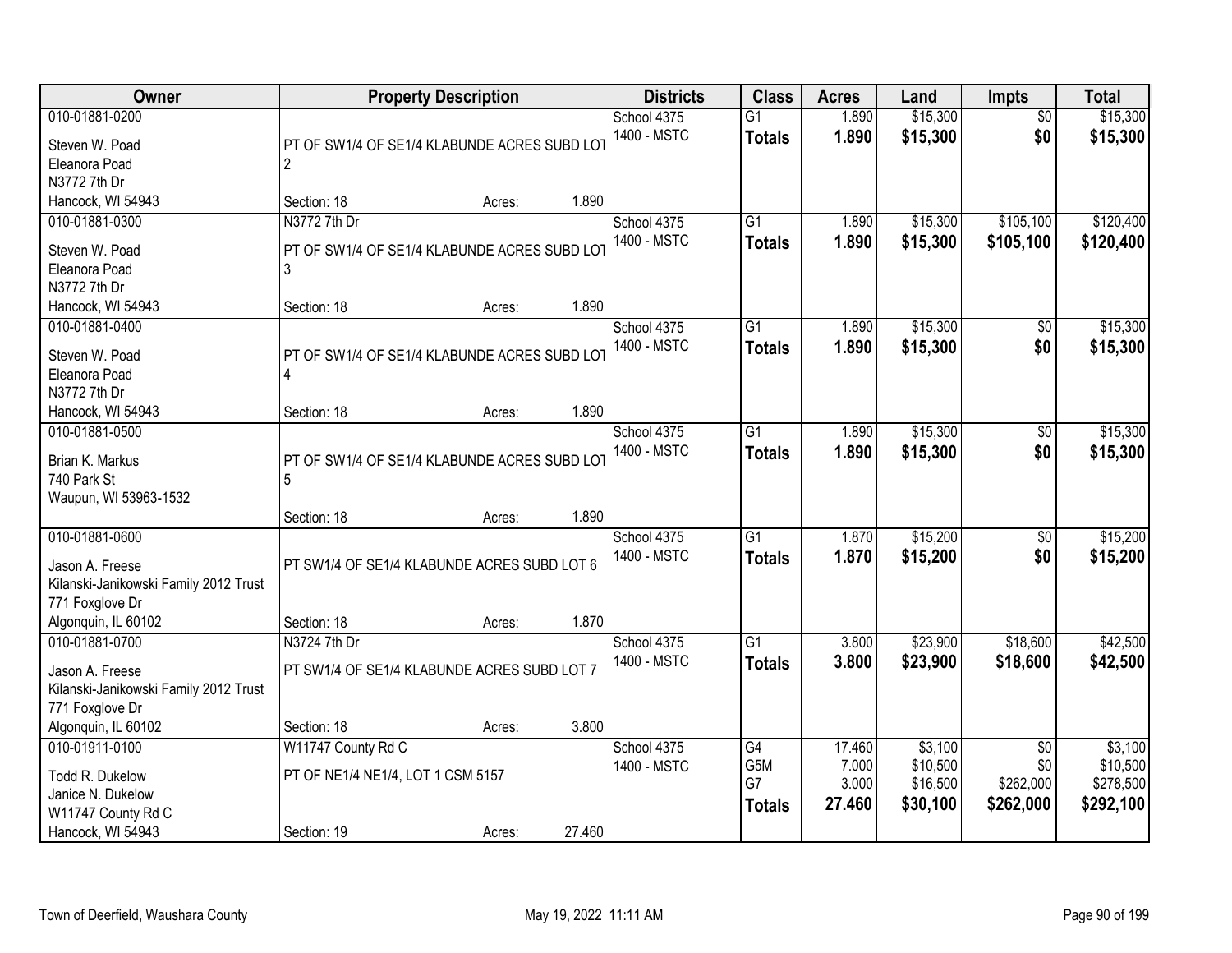| <b>Owner</b>                                                                                                         |                                                                        | <b>Property Description</b> |        | <b>Districts</b>           | <b>Class</b>                     | <b>Acres</b>                       | Land                                        | <b>Impts</b>                                     | <b>Total</b>                                  |
|----------------------------------------------------------------------------------------------------------------------|------------------------------------------------------------------------|-----------------------------|--------|----------------------------|----------------------------------|------------------------------------|---------------------------------------------|--------------------------------------------------|-----------------------------------------------|
| 010-01881-0200<br>Steven W. Poad<br>Eleanora Poad                                                                    | PT OF SW1/4 OF SE1/4 KLABUNDE ACRES SUBD LOT<br>$\overline{2}$         |                             |        | School 4375<br>1400 - MSTC | $\overline{G1}$<br><b>Totals</b> | 1.890<br>1.890                     | \$15,300<br>\$15,300                        | $\overline{50}$<br>\$0                           | \$15,300<br>\$15,300                          |
| N3772 7th Dr<br>Hancock, WI 54943                                                                                    | Section: 18                                                            | Acres:                      | 1.890  |                            |                                  |                                    |                                             |                                                  |                                               |
| 010-01881-0300<br>Steven W. Poad<br>Eleanora Poad<br>N3772 7th Dr                                                    | N3772 7th Dr<br>PT OF SW1/4 OF SE1/4 KLABUNDE ACRES SUBD LOT<br>3      |                             |        | School 4375<br>1400 - MSTC | $\overline{G1}$<br><b>Totals</b> | 1.890<br>1.890                     | \$15,300<br>\$15,300                        | \$105,100<br>\$105,100                           | \$120,400<br>\$120,400                        |
| Hancock, WI 54943                                                                                                    | Section: 18                                                            | Acres:                      | 1.890  |                            |                                  |                                    |                                             |                                                  |                                               |
| 010-01881-0400<br>Steven W. Poad<br>Eleanora Poad<br>N3772 7th Dr                                                    | PT OF SW1/4 OF SE1/4 KLABUNDE ACRES SUBD LOT<br>4                      |                             |        | School 4375<br>1400 - MSTC | $\overline{G1}$<br><b>Totals</b> | 1.890<br>1.890                     | \$15,300<br>\$15,300                        | \$0<br>\$0                                       | \$15,300<br>\$15,300                          |
| Hancock, WI 54943                                                                                                    | Section: 18                                                            | Acres:                      | 1.890  |                            |                                  |                                    |                                             |                                                  |                                               |
| 010-01881-0500<br>Brian K. Markus<br>740 Park St<br>Waupun, WI 53963-1532                                            | PT OF SW1/4 OF SE1/4 KLABUNDE ACRES SUBD LOT                           |                             |        | School 4375<br>1400 - MSTC | G1<br><b>Totals</b>              | 1.890<br>1.890                     | \$15,300<br>\$15,300                        | \$0<br>\$0                                       | \$15,300<br>\$15,300                          |
|                                                                                                                      | Section: 18                                                            | Acres:                      | 1.890  |                            |                                  |                                    |                                             |                                                  |                                               |
| 010-01881-0600<br>Jason A. Freese<br>Kilanski-Janikowski Family 2012 Trust<br>771 Foxglove Dr<br>Algonquin, IL 60102 | PT SW1/4 OF SE1/4 KLABUNDE ACRES SUBD LOT 6<br>Section: 18             |                             | 1.870  | School 4375<br>1400 - MSTC | $\overline{G1}$<br><b>Totals</b> | 1.870<br>1.870                     | \$15,200<br>\$15,200                        | $\overline{50}$<br>\$0                           | \$15,200<br>\$15,200                          |
| 010-01881-0700                                                                                                       | N3724 7th Dr                                                           | Acres:                      |        | School 4375                | G1                               | 3.800                              | \$23,900                                    | \$18,600                                         | \$42,500                                      |
| Jason A. Freese<br>Kilanski-Janikowski Family 2012 Trust<br>771 Foxglove Dr                                          | PT SW1/4 OF SE1/4 KLABUNDE ACRES SUBD LOT 7                            |                             |        | 1400 - MSTC                | <b>Totals</b>                    | 3.800                              | \$23,900                                    | \$18,600                                         | \$42,500                                      |
| Algonquin, IL 60102                                                                                                  | Section: 18                                                            | Acres:                      | 3.800  |                            |                                  |                                    |                                             |                                                  |                                               |
| 010-01911-0100<br>Todd R. Dukelow<br>Janice N. Dukelow<br>W11747 County Rd C<br>Hancock, WI 54943                    | W11747 County Rd C<br>PT OF NE1/4 NE1/4, LOT 1 CSM 5157<br>Section: 19 | Acres:                      | 27.460 | School 4375<br>1400 - MSTC | G4<br>G5M<br>G7<br><b>Totals</b> | 17.460<br>7.000<br>3.000<br>27.460 | \$3,100<br>\$10,500<br>\$16,500<br>\$30,100 | $\overline{30}$<br>\$0<br>\$262,000<br>\$262,000 | \$3,100<br>\$10,500<br>\$278,500<br>\$292,100 |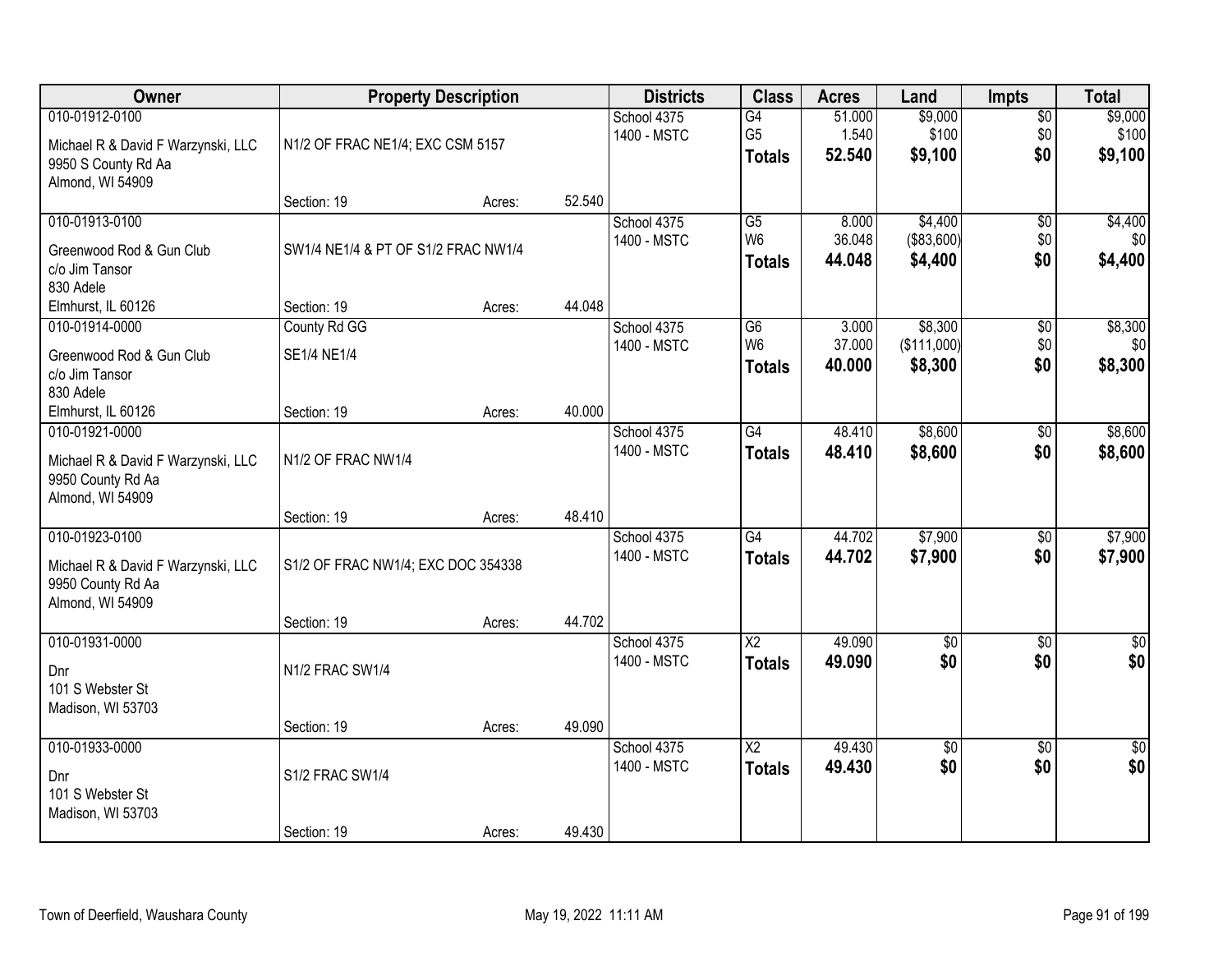| Owner                                                                                           |                                     | <b>Property Description</b> |        | <b>Districts</b>           | <b>Class</b>                                       | <b>Acres</b>              | Land                              | <b>Impts</b>                  | <b>Total</b>                |
|-------------------------------------------------------------------------------------------------|-------------------------------------|-----------------------------|--------|----------------------------|----------------------------------------------------|---------------------------|-----------------------------------|-------------------------------|-----------------------------|
| 010-01912-0100<br>Michael R & David F Warzynski, LLC<br>9950 S County Rd Aa<br>Almond, WI 54909 | N1/2 OF FRAC NE1/4; EXC CSM 5157    |                             |        | School 4375<br>1400 - MSTC | G4<br>G <sub>5</sub><br><b>Totals</b>              | 51.000<br>1.540<br>52.540 | \$9,000<br>\$100<br>\$9,100       | $\overline{50}$<br>\$0<br>\$0 | \$9,000<br>\$100<br>\$9,100 |
|                                                                                                 | Section: 19                         | Acres:                      | 52.540 |                            |                                                    |                           |                                   |                               |                             |
| 010-01913-0100<br>Greenwood Rod & Gun Club<br>c/o Jim Tansor<br>830 Adele                       | SW1/4 NE1/4 & PT OF S1/2 FRAC NW1/4 |                             |        | School 4375<br>1400 - MSTC | $\overline{G5}$<br>W <sub>6</sub><br><b>Totals</b> | 8.000<br>36.048<br>44.048 | \$4,400<br>( \$83,600)<br>\$4,400 | $\overline{50}$<br>\$0<br>\$0 | \$4,400<br>\$0<br>\$4,400   |
| Elmhurst, IL 60126                                                                              | Section: 19                         | Acres:                      | 44.048 |                            |                                                    |                           |                                   |                               |                             |
| 010-01914-0000<br>Greenwood Rod & Gun Club<br>c/o Jim Tansor<br>830 Adele                       | County Rd GG<br><b>SE1/4 NE1/4</b>  |                             |        | School 4375<br>1400 - MSTC | G6<br>W <sub>6</sub><br><b>Totals</b>              | 3.000<br>37.000<br>40.000 | \$8,300<br>(\$111,000)<br>\$8,300 | \$0<br>\$0<br>\$0             | \$8,300<br>\$0<br>\$8,300   |
| Elmhurst, IL 60126                                                                              | Section: 19                         | Acres:                      | 40.000 |                            |                                                    |                           |                                   |                               |                             |
| 010-01921-0000<br>Michael R & David F Warzynski, LLC<br>9950 County Rd Aa<br>Almond, WI 54909   | N1/2 OF FRAC NW1/4                  |                             |        | School 4375<br>1400 - MSTC | $\overline{G4}$<br><b>Totals</b>                   | 48.410<br>48.410          | \$8,600<br>\$8,600                | \$0<br>\$0                    | \$8,600<br>\$8,600          |
|                                                                                                 | Section: 19                         | Acres:                      | 48.410 |                            |                                                    |                           |                                   |                               |                             |
| 010-01923-0100<br>Michael R & David F Warzynski, LLC<br>9950 County Rd Aa<br>Almond, WI 54909   | S1/2 OF FRAC NW1/4; EXC DOC 354338  |                             |        | School 4375<br>1400 - MSTC | $\overline{G4}$<br><b>Totals</b>                   | 44.702<br>44.702          | \$7,900<br>\$7,900                | $\overline{50}$<br>\$0        | \$7,900<br>\$7,900          |
| 010-01931-0000                                                                                  | Section: 19                         | Acres:                      | 44.702 | School 4375                | $\overline{X2}$                                    | 49.090                    | $\overline{60}$                   | $\overline{50}$               | $\overline{\$0}$            |
| Dnr<br>101 S Webster St<br>Madison, WI 53703                                                    | N1/2 FRAC SW1/4                     |                             |        | 1400 - MSTC                | <b>Totals</b>                                      | 49.090                    | \$0                               | \$0                           | \$0                         |
|                                                                                                 | Section: 19                         | Acres:                      | 49.090 |                            |                                                    |                           |                                   |                               |                             |
| 010-01933-0000<br>Dnr<br>101 S Webster St<br>Madison, WI 53703                                  | S1/2 FRAC SW1/4                     |                             |        | School 4375<br>1400 - MSTC | $\overline{\text{X2}}$<br><b>Totals</b>            | 49.430<br>49.430          | $\overline{50}$<br>\$0            | $\overline{50}$<br>\$0        | $\frac{1}{2}$<br>\$0        |
|                                                                                                 | Section: 19                         | Acres:                      | 49.430 |                            |                                                    |                           |                                   |                               |                             |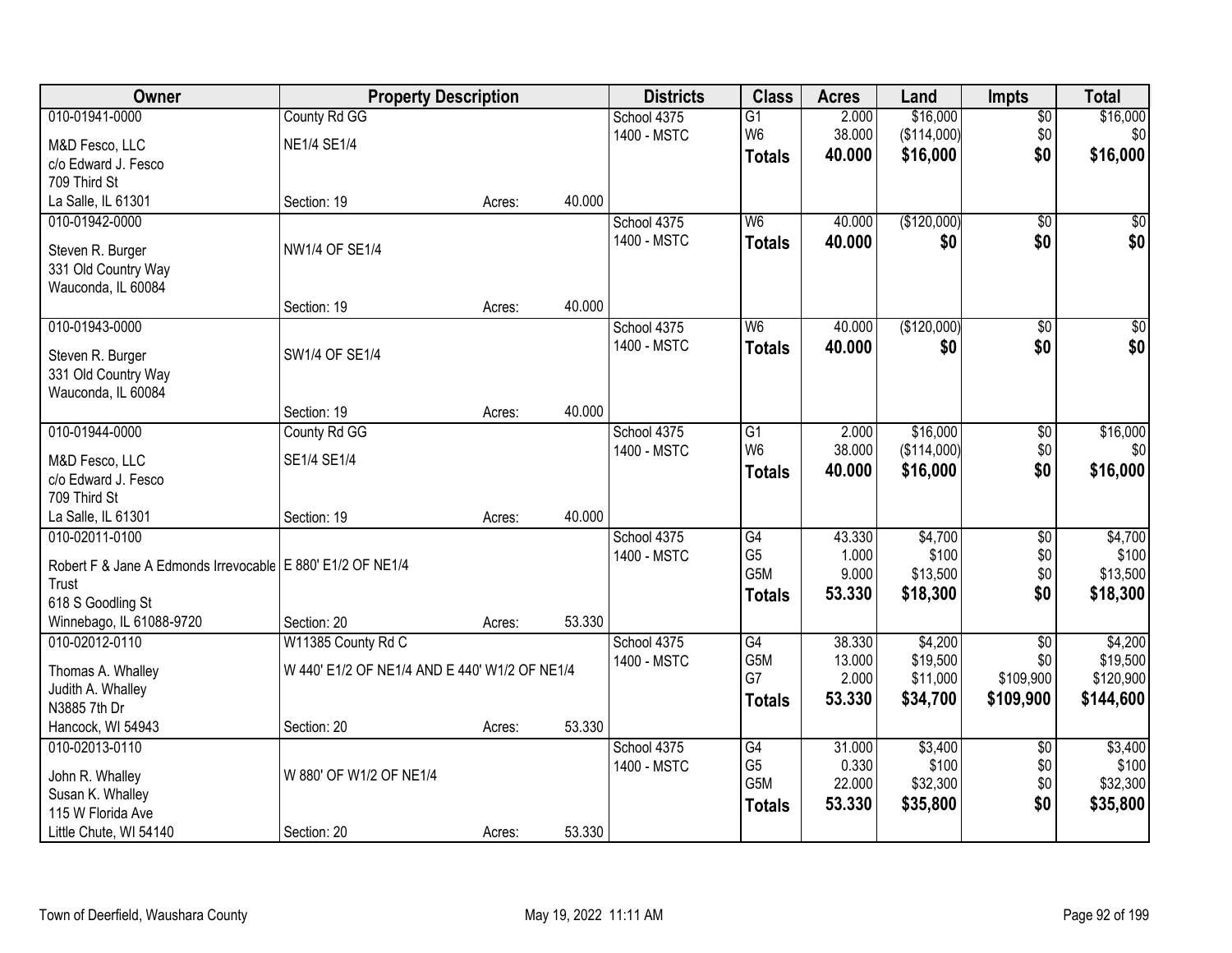| Owner                                                        | <b>Property Description</b>                   |        |        | <b>Districts</b> | <b>Class</b>     | <b>Acres</b>    | Land                 | <b>Impts</b>     | <b>Total</b>          |
|--------------------------------------------------------------|-----------------------------------------------|--------|--------|------------------|------------------|-----------------|----------------------|------------------|-----------------------|
| 010-01941-0000                                               | County Rd GG                                  |        |        | School 4375      | $\overline{G1}$  | 2.000           | \$16,000             | \$0              | \$16,000              |
| M&D Fesco, LLC                                               | <b>NE1/4 SE1/4</b>                            |        |        | 1400 - MSTC      | W <sub>6</sub>   | 38.000          | (\$114,000)          | \$0              | \$0                   |
| c/o Edward J. Fesco                                          |                                               |        |        |                  | <b>Totals</b>    | 40.000          | \$16,000             | \$0              | \$16,000              |
| 709 Third St                                                 |                                               |        |        |                  |                  |                 |                      |                  |                       |
| La Salle, IL 61301                                           | Section: 19                                   | Acres: | 40.000 |                  |                  |                 |                      |                  |                       |
| 010-01942-0000                                               |                                               |        |        | School 4375      | W6               | 40.000          | (\$120,000)          | $\overline{50}$  | \$0                   |
| Steven R. Burger                                             | NW1/4 OF SE1/4                                |        |        | 1400 - MSTC      | <b>Totals</b>    | 40.000          | \$0                  | \$0              | \$0                   |
| 331 Old Country Way                                          |                                               |        |        |                  |                  |                 |                      |                  |                       |
| Wauconda, IL 60084                                           |                                               |        |        |                  |                  |                 |                      |                  |                       |
|                                                              | Section: 19                                   | Acres: | 40.000 |                  |                  |                 |                      |                  |                       |
| 010-01943-0000                                               |                                               |        |        | School 4375      | W <sub>6</sub>   | 40.000          | (\$120,000)          | \$0              | $\overline{50}$       |
|                                                              | SW1/4 OF SE1/4                                |        |        | 1400 - MSTC      | <b>Totals</b>    | 40.000          | \$0                  | \$0              | \$0                   |
| Steven R. Burger<br>331 Old Country Way                      |                                               |        |        |                  |                  |                 |                      |                  |                       |
| Wauconda, IL 60084                                           |                                               |        |        |                  |                  |                 |                      |                  |                       |
|                                                              | Section: 19                                   | Acres: | 40.000 |                  |                  |                 |                      |                  |                       |
| 010-01944-0000                                               | County Rd GG                                  |        |        | School 4375      | G1               | 2.000           | \$16,000             | \$0              | \$16,000              |
|                                                              |                                               |        |        | 1400 - MSTC      | W <sub>6</sub>   | 38.000          | (\$114,000)          | \$0              | \$0                   |
| M&D Fesco, LLC                                               | SE1/4 SE1/4                                   |        |        |                  | <b>Totals</b>    | 40.000          | \$16,000             | \$0              | \$16,000              |
| c/o Edward J. Fesco                                          |                                               |        |        |                  |                  |                 |                      |                  |                       |
| 709 Third St<br>La Salle, IL 61301                           | Section: 19                                   |        | 40.000 |                  |                  |                 |                      |                  |                       |
| 010-02011-0100                                               |                                               | Acres: |        | School 4375      | $\overline{G4}$  | 43.330          | \$4,700              | $\overline{50}$  | \$4,700               |
|                                                              |                                               |        |        | 1400 - MSTC      | G <sub>5</sub>   | 1.000           | \$100                | \$0              | \$100                 |
| Robert F & Jane A Edmonds Irrevocable   E 880' E1/2 OF NE1/4 |                                               |        |        |                  | G <sub>5</sub> M | 9.000           | \$13,500             | \$0              | \$13,500              |
| Trust                                                        |                                               |        |        |                  | <b>Totals</b>    | 53.330          | \$18,300             | \$0              | \$18,300              |
| 618 S Goodling St                                            |                                               |        |        |                  |                  |                 |                      |                  |                       |
| Winnebago, IL 61088-9720                                     | Section: 20                                   | Acres: | 53.330 |                  |                  |                 |                      |                  |                       |
| 010-02012-0110                                               | W11385 County Rd C                            |        |        | School 4375      | $\overline{G4}$  | 38.330          | \$4,200              | $\overline{50}$  | \$4,200               |
| Thomas A. Whalley                                            | W 440' E1/2 OF NE1/4 AND E 440' W1/2 OF NE1/4 |        |        | 1400 - MSTC      | G5M<br>G7        | 13.000<br>2.000 | \$19,500<br>\$11,000 | \$0<br>\$109,900 | \$19,500<br>\$120,900 |
| Judith A. Whalley                                            |                                               |        |        |                  |                  | 53.330          | \$34,700             | \$109,900        | \$144,600             |
| N3885 7th Dr                                                 |                                               |        |        |                  | <b>Totals</b>    |                 |                      |                  |                       |
| Hancock, WI 54943                                            | Section: 20                                   | Acres: | 53.330 |                  |                  |                 |                      |                  |                       |
| 010-02013-0110                                               |                                               |        |        | School 4375      | $\overline{G4}$  | 31.000          | \$3,400              | $\overline{50}$  | \$3,400               |
| John R. Whalley                                              | W 880' OF W1/2 OF NE1/4                       |        |        | 1400 - MSTC      | G <sub>5</sub>   | 0.330           | \$100                | \$0              | \$100                 |
| Susan K. Whalley                                             |                                               |        |        |                  | G <sub>5</sub> M | 22.000          | \$32,300             | \$0              | \$32,300              |
| 115 W Florida Ave                                            |                                               |        |        |                  | <b>Totals</b>    | 53.330          | \$35,800             | \$0              | \$35,800              |
| Little Chute, WI 54140                                       | Section: 20                                   | Acres: | 53.330 |                  |                  |                 |                      |                  |                       |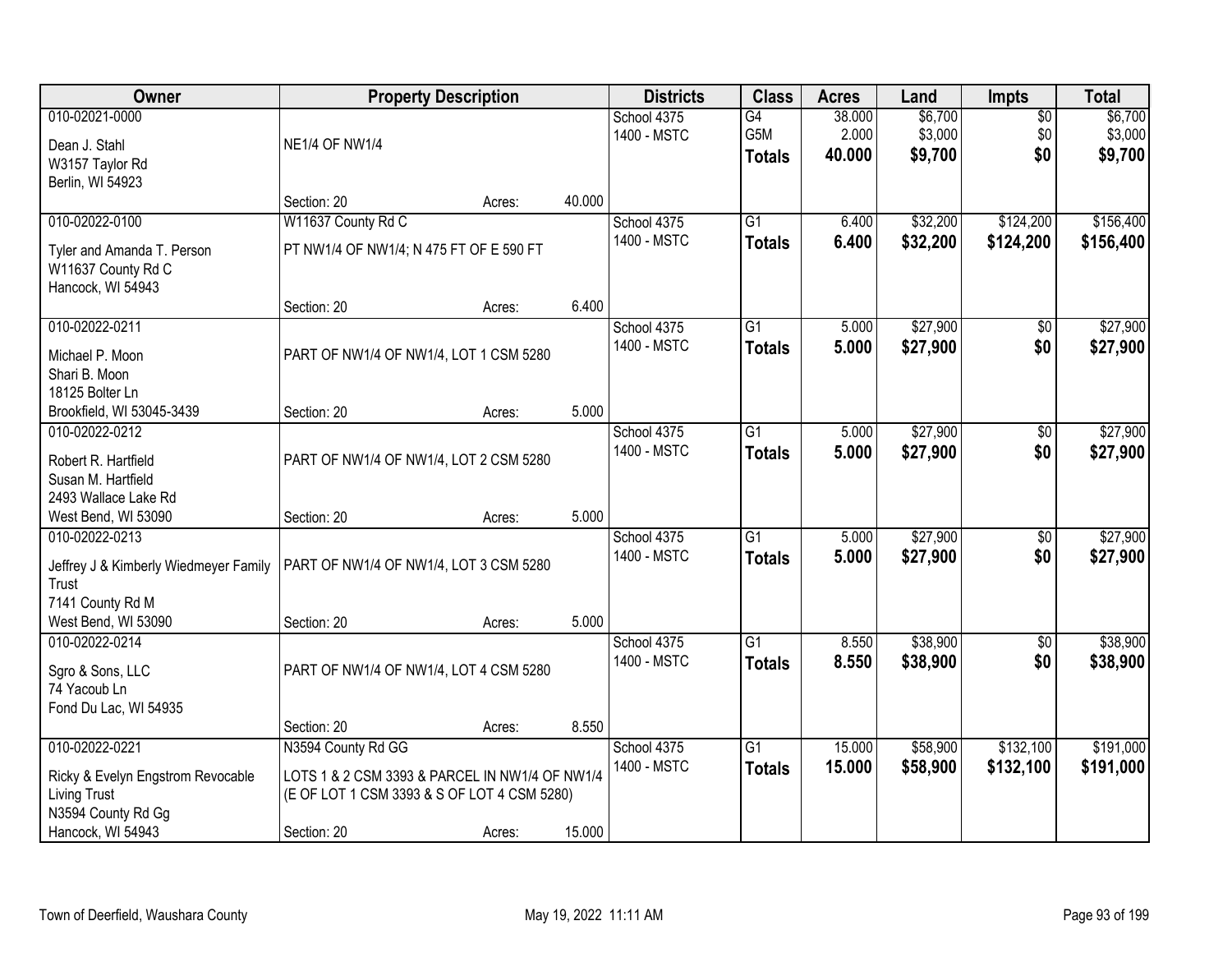| Owner                                                                                                       |                                                                                                              | <b>Property Description</b> |        | <b>Districts</b>           | <b>Class</b>                            | <b>Acres</b>              | Land                          | <b>Impts</b>              | <b>Total</b>                  |
|-------------------------------------------------------------------------------------------------------------|--------------------------------------------------------------------------------------------------------------|-----------------------------|--------|----------------------------|-----------------------------------------|---------------------------|-------------------------------|---------------------------|-------------------------------|
| 010-02021-0000<br>Dean J. Stahl<br>W3157 Taylor Rd<br>Berlin, WI 54923                                      | <b>NE1/4 OF NW1/4</b>                                                                                        |                             |        | School 4375<br>1400 - MSTC | $\overline{G4}$<br>G5M<br><b>Totals</b> | 38.000<br>2.000<br>40.000 | \$6,700<br>\$3,000<br>\$9,700 | $\sqrt{$0}$<br>\$0<br>\$0 | \$6,700<br>\$3,000<br>\$9,700 |
|                                                                                                             | Section: 20                                                                                                  | Acres:                      | 40.000 |                            |                                         |                           |                               |                           |                               |
| 010-02022-0100<br>Tyler and Amanda T. Person<br>W11637 County Rd C<br>Hancock, WI 54943                     | W11637 County Rd C<br>PT NW1/4 OF NW1/4; N 475 FT OF E 590 FT                                                |                             |        | School 4375<br>1400 - MSTC | $\overline{G1}$<br><b>Totals</b>        | 6.400<br>6.400            | \$32,200<br>\$32,200          | \$124,200<br>\$124,200    | \$156,400<br>\$156,400        |
|                                                                                                             | Section: 20                                                                                                  | Acres:                      | 6.400  |                            |                                         |                           |                               |                           |                               |
| 010-02022-0211<br>Michael P. Moon<br>Shari B. Moon<br>18125 Bolter Ln                                       | PART OF NW1/4 OF NW1/4, LOT 1 CSM 5280                                                                       |                             |        | School 4375<br>1400 - MSTC | $\overline{G1}$<br><b>Totals</b>        | 5.000<br>5.000            | \$27,900<br>\$27,900          | \$0<br>\$0                | \$27,900<br>\$27,900          |
| Brookfield, WI 53045-3439                                                                                   | Section: 20                                                                                                  | Acres:                      | 5.000  |                            |                                         |                           |                               |                           |                               |
| 010-02022-0212<br>Robert R. Hartfield<br>Susan M. Hartfield<br>2493 Wallace Lake Rd                         | PART OF NW1/4 OF NW1/4, LOT 2 CSM 5280                                                                       |                             |        | School 4375<br>1400 - MSTC | $\overline{G1}$<br><b>Totals</b>        | 5.000<br>5.000            | \$27,900<br>\$27,900          | $\frac{1}{20}$<br>\$0     | \$27,900<br>\$27,900          |
| West Bend, WI 53090                                                                                         | Section: 20                                                                                                  | Acres:                      | 5.000  |                            |                                         |                           |                               |                           |                               |
| 010-02022-0213<br>Jeffrey J & Kimberly Wiedmeyer Family<br>Trust<br>7141 County Rd M<br>West Bend, WI 53090 | PART OF NW1/4 OF NW1/4, LOT 3 CSM 5280<br>Section: 20                                                        | Acres:                      | 5.000  | School 4375<br>1400 - MSTC | $\overline{G1}$<br><b>Totals</b>        | 5.000<br>5.000            | \$27,900<br>\$27,900          | $\overline{50}$<br>\$0    | \$27,900<br>\$27,900          |
| 010-02022-0214<br>Sgro & Sons, LLC<br>74 Yacoub Ln<br>Fond Du Lac, WI 54935                                 | PART OF NW1/4 OF NW1/4, LOT 4 CSM 5280<br>Section: 20                                                        | Acres:                      | 8.550  | School 4375<br>1400 - MSTC | $\overline{G1}$<br><b>Totals</b>        | 8.550<br>8.550            | \$38,900<br>\$38,900          | \$0<br>\$0                | \$38,900<br>\$38,900          |
| 010-02022-0221                                                                                              | N3594 County Rd GG                                                                                           |                             |        | School 4375                | $\overline{G1}$                         | 15.000                    | \$58,900                      | \$132,100                 | \$191,000                     |
| Ricky & Evelyn Engstrom Revocable<br><b>Living Trust</b><br>N3594 County Rd Gg<br>Hancock, WI 54943         | LOTS 1 & 2 CSM 3393 & PARCEL IN NW1/4 OF NW1/4<br>(E OF LOT 1 CSM 3393 & S OF LOT 4 CSM 5280)<br>Section: 20 | Acres:                      | 15.000 | 1400 - MSTC                | <b>Totals</b>                           | 15.000                    | \$58,900                      | \$132,100                 | \$191,000                     |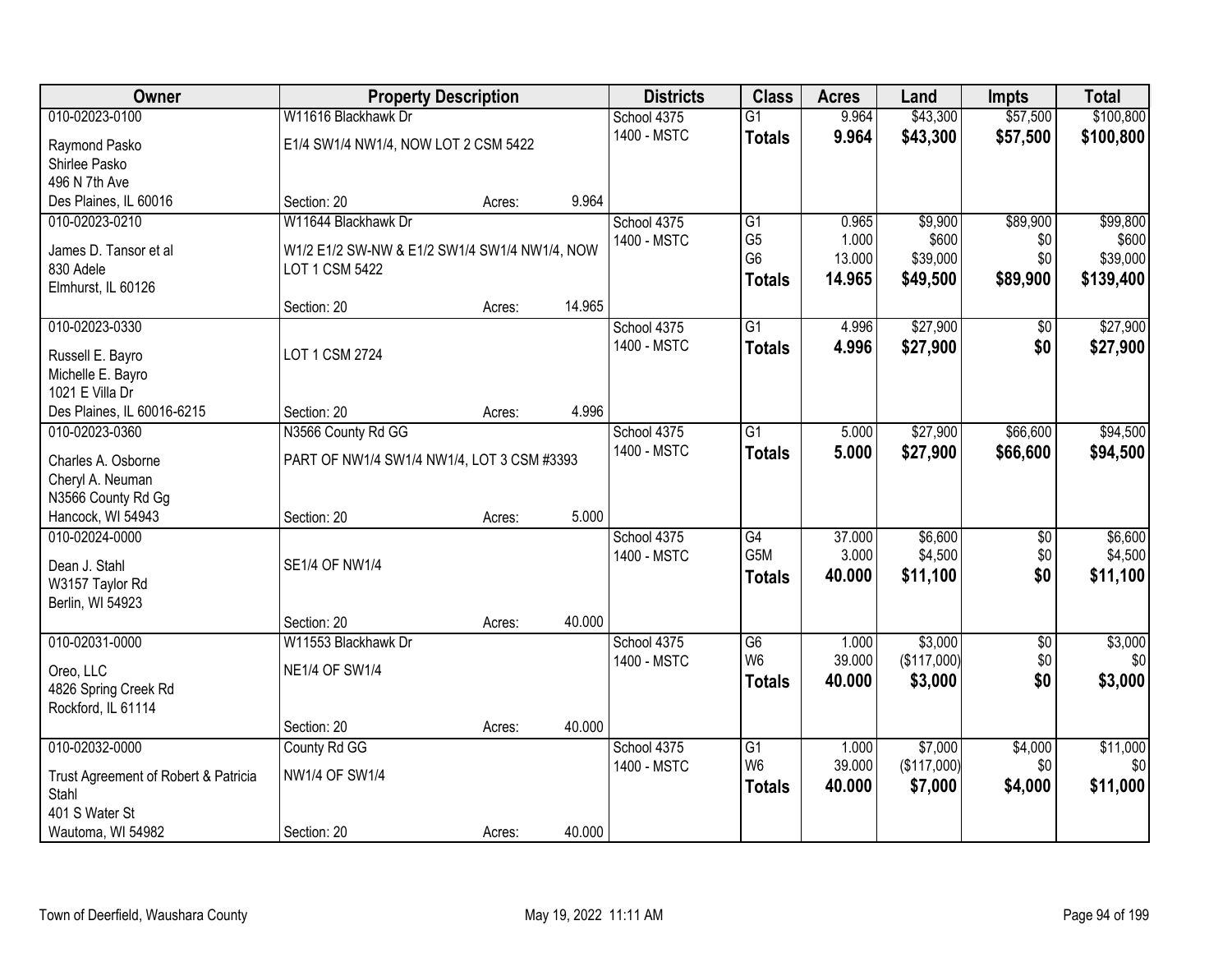| Owner                                         |                                               | <b>Property Description</b> |        | <b>Districts</b> | <b>Class</b>     | <b>Acres</b> | Land        | <b>Impts</b>    | <b>Total</b> |
|-----------------------------------------------|-----------------------------------------------|-----------------------------|--------|------------------|------------------|--------------|-------------|-----------------|--------------|
| 010-02023-0100                                | W11616 Blackhawk Dr                           |                             |        | School 4375      | $\overline{G1}$  | 9.964        | \$43,300    | \$57,500        | \$100,800    |
| Raymond Pasko                                 | E1/4 SW1/4 NW1/4, NOW LOT 2 CSM 5422          |                             |        | 1400 - MSTC      | <b>Totals</b>    | 9.964        | \$43,300    | \$57,500        | \$100,800    |
| Shirlee Pasko                                 |                                               |                             |        |                  |                  |              |             |                 |              |
| 496 N 7th Ave                                 |                                               |                             |        |                  |                  |              |             |                 |              |
| Des Plaines, IL 60016                         | Section: 20                                   | Acres:                      | 9.964  |                  |                  |              |             |                 |              |
| 010-02023-0210                                | W11644 Blackhawk Dr                           |                             |        | School 4375      | $\overline{G1}$  | 0.965        | \$9,900     | \$89,900        | \$99,800     |
| James D. Tansor et al                         | W1/2 E1/2 SW-NW & E1/2 SW1/4 SW1/4 NW1/4, NOW |                             |        | 1400 - MSTC      | G <sub>5</sub>   | 1.000        | \$600       | \$0             | \$600        |
| 830 Adele                                     | LOT 1 CSM 5422                                |                             |        |                  | G <sub>6</sub>   | 13.000       | \$39,000    | \$0             | \$39,000     |
| Elmhurst, IL 60126                            |                                               |                             |        |                  | <b>Totals</b>    | 14.965       | \$49,500    | \$89,900        | \$139,400    |
|                                               | Section: 20                                   | Acres:                      | 14.965 |                  |                  |              |             |                 |              |
| 010-02023-0330                                |                                               |                             |        | School 4375      | G1               | 4.996        | \$27,900    | \$0             | \$27,900     |
| Russell E. Bayro                              | LOT 1 CSM 2724                                |                             |        | 1400 - MSTC      | <b>Totals</b>    | 4.996        | \$27,900    | \$0             | \$27,900     |
| Michelle E. Bayro                             |                                               |                             |        |                  |                  |              |             |                 |              |
| 1021 E Villa Dr                               |                                               |                             |        |                  |                  |              |             |                 |              |
| Des Plaines, IL 60016-6215                    | Section: 20                                   | Acres:                      | 4.996  |                  |                  |              |             |                 |              |
| 010-02023-0360                                | N3566 County Rd GG                            |                             |        | School 4375      | G1               | 5.000        | \$27,900    | \$66,600        | \$94,500     |
| Charles A. Osborne                            | PART OF NW1/4 SW1/4 NW1/4, LOT 3 CSM #3393    |                             |        | 1400 - MSTC      | <b>Totals</b>    | 5.000        | \$27,900    | \$66,600        | \$94,500     |
| Cheryl A. Neuman                              |                                               |                             |        |                  |                  |              |             |                 |              |
| N3566 County Rd Gg                            |                                               |                             |        |                  |                  |              |             |                 |              |
| Hancock, WI 54943                             | Section: 20                                   | Acres:                      | 5.000  |                  |                  |              |             |                 |              |
| 010-02024-0000                                |                                               |                             |        | School 4375      | $\overline{G4}$  | 37.000       | \$6,600     | $\overline{50}$ | \$6,600      |
|                                               | <b>SE1/4 OF NW1/4</b>                         |                             |        | 1400 - MSTC      | G <sub>5</sub> M | 3.000        | \$4,500     | \$0             | \$4,500      |
| Dean J. Stahl<br>W3157 Taylor Rd              |                                               |                             |        |                  | <b>Totals</b>    | 40.000       | \$11,100    | \$0             | \$11,100     |
| Berlin, WI 54923                              |                                               |                             |        |                  |                  |              |             |                 |              |
|                                               | Section: 20                                   | Acres:                      | 40.000 |                  |                  |              |             |                 |              |
| 010-02031-0000                                | W11553 Blackhawk Dr                           |                             |        | School 4375      | $\overline{G6}$  | 1.000        | \$3,000     | $\overline{50}$ | \$3,000      |
|                                               | <b>NE1/4 OF SW1/4</b>                         |                             |        | 1400 - MSTC      | W <sub>6</sub>   | 39.000       | (\$117,000) | \$0             | \$0          |
| Oreo, LLC<br>4826 Spring Creek Rd             |                                               |                             |        |                  | <b>Totals</b>    | 40.000       | \$3,000     | \$0             | \$3,000      |
| Rockford, IL 61114                            |                                               |                             |        |                  |                  |              |             |                 |              |
|                                               | Section: 20                                   | Acres:                      | 40.000 |                  |                  |              |             |                 |              |
| 010-02032-0000                                | County Rd GG                                  |                             |        | School 4375      | $\overline{G1}$  | 1.000        | \$7,000     | \$4,000         | \$11,000     |
|                                               | <b>NW1/4 OF SW1/4</b>                         |                             |        | 1400 - MSTC      | W <sub>6</sub>   | 39.000       | (\$117,000) | \$0             | \$0          |
| Trust Agreement of Robert & Patricia<br>Stahl |                                               |                             |        |                  | <b>Totals</b>    | 40.000       | \$7,000     | \$4,000         | \$11,000     |
| 401 S Water St                                |                                               |                             |        |                  |                  |              |             |                 |              |
| Wautoma, WI 54982                             | Section: 20                                   | Acres:                      | 40.000 |                  |                  |              |             |                 |              |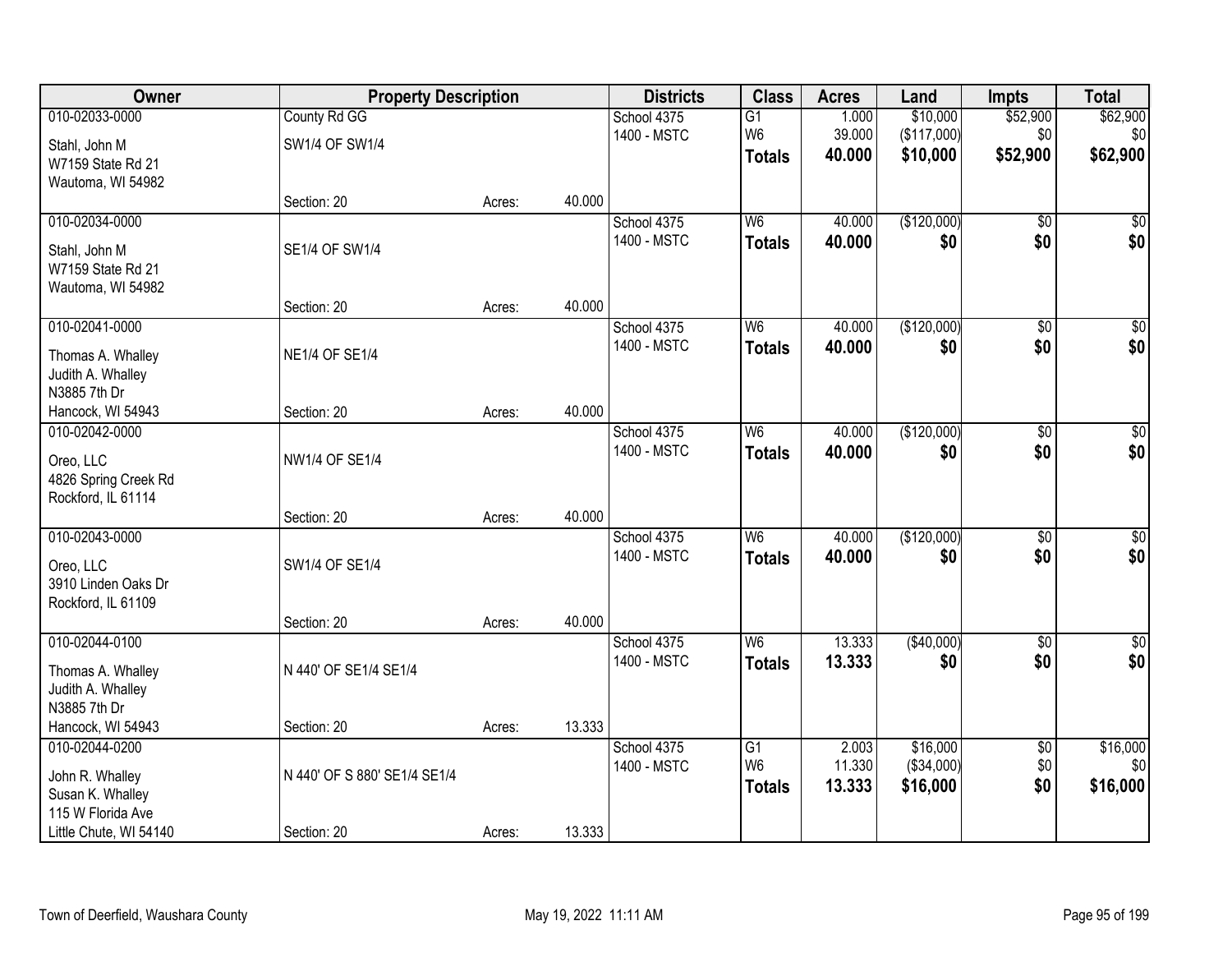| Owner                                      | <b>Property Description</b>  |        |        | <b>Districts</b>           | <b>Class</b>    | <b>Acres</b>     | Land               | <b>Impts</b>    | <b>Total</b>           |
|--------------------------------------------|------------------------------|--------|--------|----------------------------|-----------------|------------------|--------------------|-----------------|------------------------|
| 010-02033-0000                             | County Rd GG                 |        |        | School 4375                | $\overline{G1}$ | 1.000            | \$10,000           | \$52,900        | \$62,900               |
| Stahl, John M                              | SW1/4 OF SW1/4               |        |        | 1400 - MSTC                | W <sub>6</sub>  | 39.000           | (\$117,000)        | \$0             | \$0                    |
| W7159 State Rd 21                          |                              |        |        |                            | <b>Totals</b>   | 40.000           | \$10,000           | \$52,900        | \$62,900               |
| Wautoma, WI 54982                          |                              |        |        |                            |                 |                  |                    |                 |                        |
|                                            | Section: 20                  | Acres: | 40.000 |                            |                 |                  |                    |                 |                        |
| 010-02034-0000                             |                              |        |        | School 4375                | W6              | 40.000           | (\$120,000)        | $\overline{50}$ | $\overline{50}$        |
| Stahl, John M                              | SE1/4 OF SW1/4               |        |        | 1400 - MSTC                | <b>Totals</b>   | 40.000           | \$0                | \$0             | \$0                    |
| W7159 State Rd 21                          |                              |        |        |                            |                 |                  |                    |                 |                        |
| Wautoma, WI 54982                          |                              |        |        |                            |                 |                  |                    |                 |                        |
|                                            | Section: 20                  | Acres: | 40.000 |                            |                 |                  |                    |                 |                        |
| 010-02041-0000                             |                              |        |        | School 4375<br>1400 - MSTC | W <sub>6</sub>  | 40.000<br>40.000 | (\$120,000)<br>\$0 | \$0<br>\$0      | $\overline{50}$<br>\$0 |
| Thomas A. Whalley                          | <b>NE1/4 OF SE1/4</b>        |        |        |                            | <b>Totals</b>   |                  |                    |                 |                        |
| Judith A. Whalley                          |                              |        |        |                            |                 |                  |                    |                 |                        |
| N3885 7th Dr<br>Hancock, WI 54943          | Section: 20                  | Acres: | 40.000 |                            |                 |                  |                    |                 |                        |
| 010-02042-0000                             |                              |        |        | School 4375                | W <sub>6</sub>  | 40.000           | (\$120,000)        | \$0             | $\sqrt{50}$            |
|                                            |                              |        |        | 1400 - MSTC                | <b>Totals</b>   | 40,000           | \$0                | \$0             | \$0                    |
| Oreo, LLC                                  | NW1/4 OF SE1/4               |        |        |                            |                 |                  |                    |                 |                        |
| 4826 Spring Creek Rd<br>Rockford, IL 61114 |                              |        |        |                            |                 |                  |                    |                 |                        |
|                                            | Section: 20                  | Acres: | 40.000 |                            |                 |                  |                    |                 |                        |
| 010-02043-0000                             |                              |        |        | School 4375                | $\overline{W6}$ | 40.000           | (\$120,000)        | $\overline{50}$ | $\sqrt{50}$            |
|                                            | SW1/4 OF SE1/4               |        |        | 1400 - MSTC                | <b>Totals</b>   | 40.000           | \$0                | \$0             | \$0                    |
| Oreo, LLC<br>3910 Linden Oaks Dr           |                              |        |        |                            |                 |                  |                    |                 |                        |
| Rockford, IL 61109                         |                              |        |        |                            |                 |                  |                    |                 |                        |
|                                            | Section: 20                  | Acres: | 40.000 |                            |                 |                  |                    |                 |                        |
| 010-02044-0100                             |                              |        |        | School 4375                | W <sub>6</sub>  | 13.333           | (\$40,000)         | $\overline{50}$ | $\overline{\$0}$       |
| Thomas A. Whalley                          | N 440' OF SE1/4 SE1/4        |        |        | 1400 - MSTC                | <b>Totals</b>   | 13.333           | \$0                | \$0             | \$0                    |
| Judith A. Whalley                          |                              |        |        |                            |                 |                  |                    |                 |                        |
| N3885 7th Dr                               |                              |        |        |                            |                 |                  |                    |                 |                        |
| Hancock, WI 54943                          | Section: 20                  | Acres: | 13.333 |                            |                 |                  |                    |                 |                        |
| 010-02044-0200                             |                              |        |        | School 4375                | $\overline{G1}$ | 2.003            | \$16,000           | $\overline{60}$ | \$16,000               |
| John R. Whalley                            | N 440' OF S 880' SE1/4 SE1/4 |        |        | 1400 - MSTC                | W <sub>6</sub>  | 11.330           | (\$34,000)         | \$0             | \$0                    |
| Susan K. Whalley                           |                              |        |        |                            | <b>Totals</b>   | 13.333           | \$16,000           | \$0             | \$16,000               |
| 115 W Florida Ave                          |                              |        |        |                            |                 |                  |                    |                 |                        |
| Little Chute, WI 54140                     | Section: 20                  | Acres: | 13.333 |                            |                 |                  |                    |                 |                        |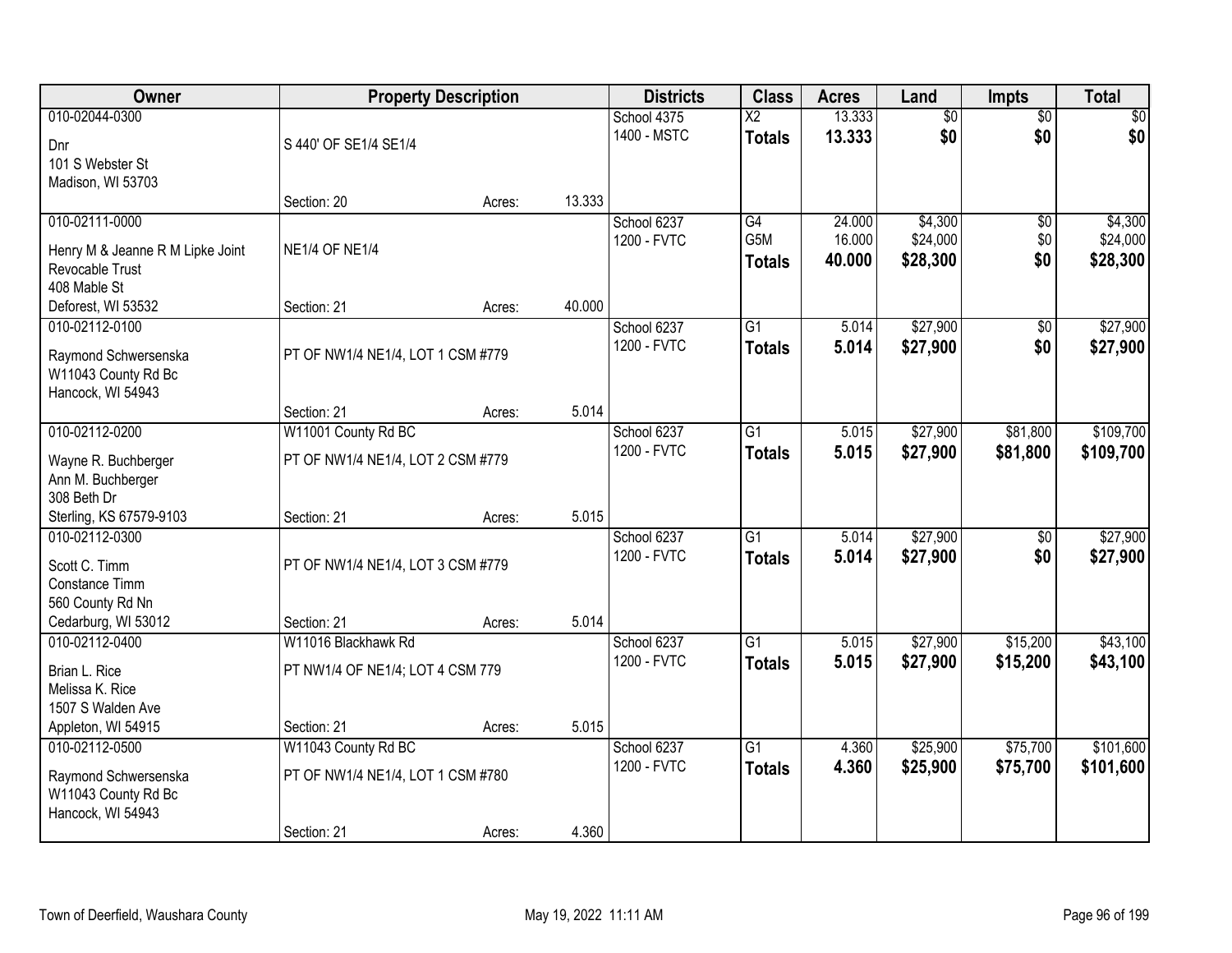| Owner                            |                                   | <b>Property Description</b> |        | <b>Districts</b> | <b>Class</b>           | <b>Acres</b> | Land            | <b>Impts</b>    | <b>Total</b>    |
|----------------------------------|-----------------------------------|-----------------------------|--------|------------------|------------------------|--------------|-----------------|-----------------|-----------------|
| 010-02044-0300                   |                                   |                             |        | School 4375      | $\overline{\text{X2}}$ | 13.333       | $\overline{50}$ | $\overline{50}$ | $\overline{30}$ |
| Dnr                              | S 440' OF SE1/4 SE1/4             |                             |        | 1400 - MSTC      | <b>Totals</b>          | 13.333       | \$0             | \$0             | \$0             |
| 101 S Webster St                 |                                   |                             |        |                  |                        |              |                 |                 |                 |
| Madison, WI 53703                |                                   |                             |        |                  |                        |              |                 |                 |                 |
|                                  | Section: 20                       | Acres:                      | 13.333 |                  |                        |              |                 |                 |                 |
| 010-02111-0000                   |                                   |                             |        | School 6237      | G4                     | 24.000       | \$4,300         | \$0             | \$4,300         |
| Henry M & Jeanne R M Lipke Joint | <b>NE1/4 OF NE1/4</b>             |                             |        | 1200 - FVTC      | G5M                    | 16.000       | \$24,000        | \$0             | \$24,000        |
| Revocable Trust                  |                                   |                             |        |                  | <b>Totals</b>          | 40.000       | \$28,300        | \$0             | \$28,300        |
| 408 Mable St                     |                                   |                             |        |                  |                        |              |                 |                 |                 |
| Deforest, WI 53532               | Section: 21                       | Acres:                      | 40.000 |                  |                        |              |                 |                 |                 |
| 010-02112-0100                   |                                   |                             |        | School 6237      | $\overline{G1}$        | 5.014        | \$27,900        | $\overline{50}$ | \$27,900        |
| Raymond Schwersenska             | PT OF NW1/4 NE1/4, LOT 1 CSM #779 |                             |        | 1200 - FVTC      | <b>Totals</b>          | 5.014        | \$27,900        | \$0             | \$27,900        |
| W11043 County Rd Bc              |                                   |                             |        |                  |                        |              |                 |                 |                 |
| Hancock, WI 54943                |                                   |                             |        |                  |                        |              |                 |                 |                 |
|                                  | Section: 21                       | Acres:                      | 5.014  |                  |                        |              |                 |                 |                 |
| 010-02112-0200                   | W11001 County Rd BC               |                             |        | School 6237      | $\overline{G1}$        | 5.015        | \$27,900        | \$81,800        | \$109,700       |
| Wayne R. Buchberger              | PT OF NW1/4 NE1/4, LOT 2 CSM #779 |                             |        | 1200 - FVTC      | <b>Totals</b>          | 5.015        | \$27,900        | \$81,800        | \$109,700       |
| Ann M. Buchberger                |                                   |                             |        |                  |                        |              |                 |                 |                 |
| 308 Beth Dr                      |                                   |                             |        |                  |                        |              |                 |                 |                 |
| Sterling, KS 67579-9103          | Section: 21                       | Acres:                      | 5.015  |                  |                        |              |                 |                 |                 |
| 010-02112-0300                   |                                   |                             |        | School 6237      | $\overline{G1}$        | 5.014        | \$27,900        | $\overline{50}$ | \$27,900        |
| Scott C. Timm                    | PT OF NW1/4 NE1/4, LOT 3 CSM #779 |                             |        | 1200 - FVTC      | <b>Totals</b>          | 5.014        | \$27,900        | \$0             | \$27,900        |
| Constance Timm                   |                                   |                             |        |                  |                        |              |                 |                 |                 |
| 560 County Rd Nn                 |                                   |                             |        |                  |                        |              |                 |                 |                 |
| Cedarburg, WI 53012              | Section: 21                       | Acres:                      | 5.014  |                  |                        |              |                 |                 |                 |
| 010-02112-0400                   | W11016 Blackhawk Rd               |                             |        | School 6237      | $\overline{G1}$        | 5.015        | \$27,900        | \$15,200        | \$43,100        |
| Brian L. Rice                    | PT NW1/4 OF NE1/4; LOT 4 CSM 779  |                             |        | 1200 - FVTC      | <b>Totals</b>          | 5.015        | \$27,900        | \$15,200        | \$43,100        |
| Melissa K. Rice                  |                                   |                             |        |                  |                        |              |                 |                 |                 |
| 1507 S Walden Ave                |                                   |                             |        |                  |                        |              |                 |                 |                 |
| Appleton, WI 54915               | Section: 21                       | Acres:                      | 5.015  |                  |                        |              |                 |                 |                 |
| 010-02112-0500                   | W11043 County Rd BC               |                             |        | School 6237      | $\overline{G1}$        | 4.360        | \$25,900        | \$75,700        | \$101,600       |
| Raymond Schwersenska             | PT OF NW1/4 NE1/4, LOT 1 CSM #780 |                             |        | 1200 - FVTC      | <b>Totals</b>          | 4.360        | \$25,900        | \$75,700        | \$101,600       |
| W11043 County Rd Bc              |                                   |                             |        |                  |                        |              |                 |                 |                 |
| Hancock, WI 54943                |                                   |                             |        |                  |                        |              |                 |                 |                 |
|                                  | Section: 21                       | Acres:                      | 4.360  |                  |                        |              |                 |                 |                 |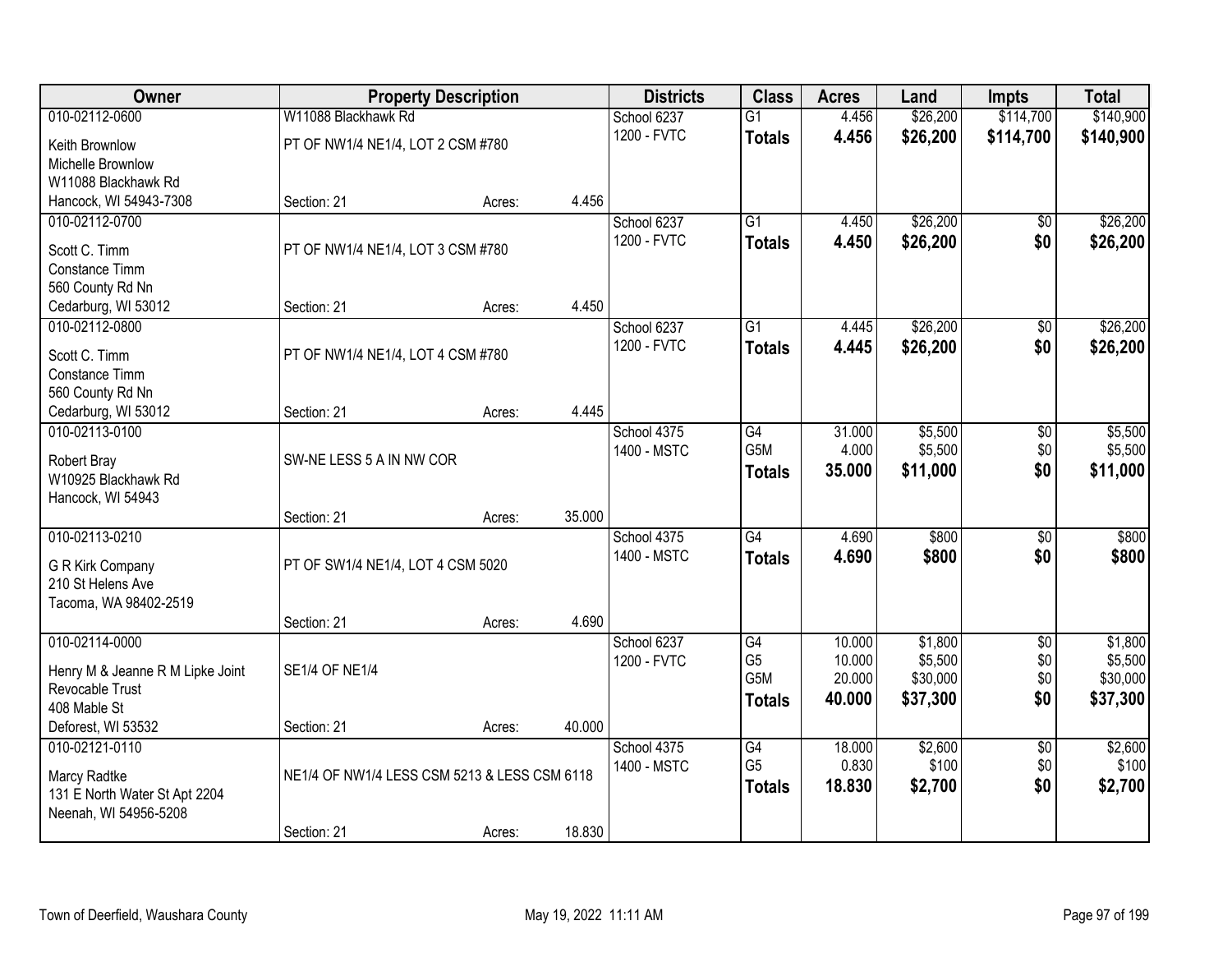| <b>Owner</b>                     |                                              | <b>Property Description</b> |        | <b>Districts</b> | <b>Class</b>     | <b>Acres</b> | Land     | <b>Impts</b>    | <b>Total</b> |
|----------------------------------|----------------------------------------------|-----------------------------|--------|------------------|------------------|--------------|----------|-----------------|--------------|
| 010-02112-0600                   | W11088 Blackhawk Rd                          |                             |        | School 6237      | $\overline{G1}$  | 4.456        | \$26,200 | \$114,700       | \$140,900    |
| Keith Brownlow                   | PT OF NW1/4 NE1/4, LOT 2 CSM #780            |                             |        | 1200 - FVTC      | <b>Totals</b>    | 4.456        | \$26,200 | \$114,700       | \$140,900    |
| Michelle Brownlow                |                                              |                             |        |                  |                  |              |          |                 |              |
| W11088 Blackhawk Rd              |                                              |                             |        |                  |                  |              |          |                 |              |
| Hancock, WI 54943-7308           | Section: 21                                  | Acres:                      | 4.456  |                  |                  |              |          |                 |              |
| 010-02112-0700                   |                                              |                             |        | School 6237      | $\overline{G1}$  | 4.450        | \$26,200 | \$0             | \$26,200     |
| Scott C. Timm                    | PT OF NW1/4 NE1/4, LOT 3 CSM #780            |                             |        | 1200 - FVTC      | <b>Totals</b>    | 4.450        | \$26,200 | \$0             | \$26,200     |
| Constance Timm                   |                                              |                             |        |                  |                  |              |          |                 |              |
| 560 County Rd Nn                 |                                              |                             |        |                  |                  |              |          |                 |              |
| Cedarburg, WI 53012              | Section: 21                                  | Acres:                      | 4.450  |                  |                  |              |          |                 |              |
| 010-02112-0800                   |                                              |                             |        | School 6237      | G1               | 4.445        | \$26,200 | \$0             | \$26,200     |
| Scott C. Timm                    | PT OF NW1/4 NE1/4, LOT 4 CSM #780            |                             |        | 1200 - FVTC      | <b>Totals</b>    | 4.445        | \$26,200 | \$0             | \$26,200     |
| Constance Timm                   |                                              |                             |        |                  |                  |              |          |                 |              |
| 560 County Rd Nn                 |                                              |                             |        |                  |                  |              |          |                 |              |
| Cedarburg, WI 53012              | Section: 21                                  | Acres:                      | 4.445  |                  |                  |              |          |                 |              |
| 010-02113-0100                   |                                              |                             |        | School 4375      | G4               | 31.000       | \$5,500  | \$0             | \$5,500      |
| Robert Bray                      | SW-NE LESS 5 A IN NW COR                     |                             |        | 1400 - MSTC      | G <sub>5</sub> M | 4.000        | \$5,500  | \$0             | \$5,500      |
| W10925 Blackhawk Rd              |                                              |                             |        |                  | <b>Totals</b>    | 35.000       | \$11,000 | \$0             | \$11,000     |
| Hancock, WI 54943                |                                              |                             |        |                  |                  |              |          |                 |              |
|                                  | Section: 21                                  | Acres:                      | 35.000 |                  |                  |              |          |                 |              |
| 010-02113-0210                   |                                              |                             |        | School 4375      | $\overline{G4}$  | 4.690        | \$800    | $\overline{30}$ | \$800        |
| G R Kirk Company                 | PT OF SW1/4 NE1/4, LOT 4 CSM 5020            |                             |        | 1400 - MSTC      | <b>Totals</b>    | 4.690        | \$800    | \$0             | \$800        |
| 210 St Helens Ave                |                                              |                             |        |                  |                  |              |          |                 |              |
| Tacoma, WA 98402-2519            |                                              |                             |        |                  |                  |              |          |                 |              |
|                                  | Section: 21                                  | Acres:                      | 4.690  |                  |                  |              |          |                 |              |
| 010-02114-0000                   |                                              |                             |        | School 6237      | G4               | 10.000       | \$1,800  | $\overline{50}$ | \$1,800      |
| Henry M & Jeanne R M Lipke Joint | <b>SE1/4 OF NE1/4</b>                        |                             |        | 1200 - FVTC      | G <sub>5</sub>   | 10.000       | \$5,500  | \$0             | \$5,500      |
| Revocable Trust                  |                                              |                             |        |                  | G <sub>5</sub> M | 20.000       | \$30,000 | \$0             | \$30,000     |
| 408 Mable St                     |                                              |                             |        |                  | <b>Totals</b>    | 40.000       | \$37,300 | \$0             | \$37,300     |
| Deforest, WI 53532               | Section: 21                                  | Acres:                      | 40.000 |                  |                  |              |          |                 |              |
| 010-02121-0110                   |                                              |                             |        | School 4375      | $\overline{G4}$  | 18,000       | \$2,600  | $\overline{50}$ | \$2,600      |
| Marcy Radtke                     | NE1/4 OF NW1/4 LESS CSM 5213 & LESS CSM 6118 |                             |        | 1400 - MSTC      | G <sub>5</sub>   | 0.830        | \$100    | \$0             | \$100        |
| 131 E North Water St Apt 2204    |                                              |                             |        |                  | <b>Totals</b>    | 18.830       | \$2,700  | \$0             | \$2,700      |
| Neenah, WI 54956-5208            |                                              |                             |        |                  |                  |              |          |                 |              |
|                                  | Section: 21                                  | Acres:                      | 18.830 |                  |                  |              |          |                 |              |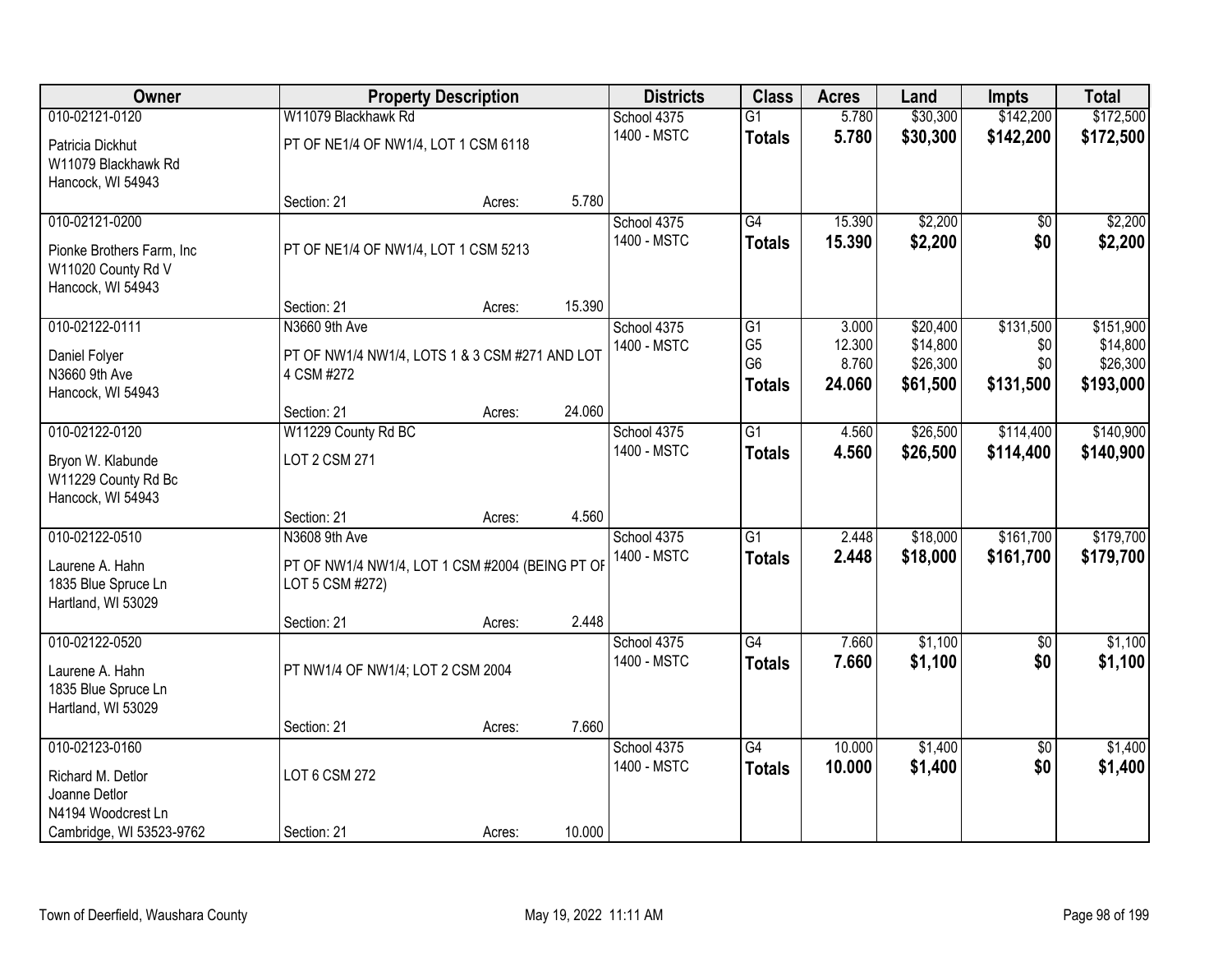| Owner                                                                                   |                                                                                                    | <b>Property Description</b> |        | <b>Districts</b>           | <b>Class</b>                                            | <b>Acres</b>                       | Land                                         | <b>Impts</b>                         | <b>Total</b>                                   |
|-----------------------------------------------------------------------------------------|----------------------------------------------------------------------------------------------------|-----------------------------|--------|----------------------------|---------------------------------------------------------|------------------------------------|----------------------------------------------|--------------------------------------|------------------------------------------------|
| 010-02121-0120                                                                          | W11079 Blackhawk Rd                                                                                |                             |        | School 4375                | $\overline{G1}$                                         | 5.780                              | \$30,300                                     | \$142,200                            | \$172,500                                      |
| Patricia Dickhut<br>W11079 Blackhawk Rd<br>Hancock, WI 54943                            | PT OF NE1/4 OF NW1/4, LOT 1 CSM 6118                                                               |                             |        | 1400 - MSTC                | <b>Totals</b>                                           | 5.780                              | \$30,300                                     | \$142,200                            | \$172,500                                      |
|                                                                                         | Section: 21                                                                                        | Acres:                      | 5.780  |                            |                                                         |                                    |                                              |                                      |                                                |
| 010-02121-0200<br>Pionke Brothers Farm, Inc.<br>W11020 County Rd V<br>Hancock, WI 54943 | PT OF NE1/4 OF NW1/4, LOT 1 CSM 5213                                                               |                             |        | School 4375<br>1400 - MSTC | G4<br><b>Totals</b>                                     | 15.390<br>15.390                   | \$2,200<br>\$2,200                           | \$0<br>\$0                           | \$2,200<br>\$2,200                             |
|                                                                                         | Section: 21                                                                                        | Acres:                      | 15.390 |                            |                                                         |                                    |                                              |                                      |                                                |
| 010-02122-0111<br>Daniel Folyer<br>N3660 9th Ave<br>Hancock, WI 54943                   | N3660 9th Ave<br>PT OF NW1/4 NW1/4, LOTS 1 & 3 CSM #271 AND LOT<br>4 CSM #272                      |                             |        | School 4375<br>1400 - MSTC | G1<br>G <sub>5</sub><br>G <sub>6</sub><br><b>Totals</b> | 3.000<br>12.300<br>8.760<br>24.060 | \$20,400<br>\$14,800<br>\$26,300<br>\$61,500 | \$131,500<br>\$0<br>\$0<br>\$131,500 | \$151,900<br>\$14,800<br>\$26,300<br>\$193,000 |
|                                                                                         | Section: 21                                                                                        | Acres:                      | 24.060 |                            |                                                         |                                    |                                              |                                      |                                                |
| 010-02122-0120                                                                          | W11229 County Rd BC                                                                                |                             |        | School 4375<br>1400 - MSTC | $\overline{G1}$                                         | 4.560                              | \$26,500                                     | \$114,400                            | \$140,900                                      |
| Bryon W. Klabunde<br>W11229 County Rd Bc<br>Hancock, WI 54943                           | LOT 2 CSM 271                                                                                      |                             |        |                            | <b>Totals</b>                                           | 4.560                              | \$26,500                                     | \$114,400                            | \$140,900                                      |
|                                                                                         | Section: 21                                                                                        | Acres:                      | 4.560  |                            |                                                         |                                    |                                              |                                      |                                                |
| 010-02122-0510<br>Laurene A. Hahn<br>1835 Blue Spruce Ln<br>Hartland, WI 53029          | N3608 9th Ave<br>PT OF NW1/4 NW1/4, LOT 1 CSM #2004 (BEING PT OF<br>LOT 5 CSM #272)<br>Section: 21 | Acres:                      | 2.448  | School 4375<br>1400 - MSTC | $\overline{G1}$<br><b>Totals</b>                        | 2.448<br>2.448                     | \$18,000<br>\$18,000                         | \$161,700<br>\$161,700               | \$179,700<br>\$179,700                         |
| 010-02122-0520                                                                          |                                                                                                    |                             |        | School 4375                | G4                                                      | 7.660                              | \$1,100                                      | $\overline{50}$                      | \$1,100                                        |
| Laurene A. Hahn<br>1835 Blue Spruce Ln<br>Hartland, WI 53029                            | PT NW1/4 OF NW1/4; LOT 2 CSM 2004                                                                  |                             |        | 1400 - MSTC                | <b>Totals</b>                                           | 7.660                              | \$1,100                                      | \$0                                  | \$1,100                                        |
|                                                                                         | Section: 21                                                                                        | Acres:                      | 7.660  |                            |                                                         |                                    |                                              |                                      |                                                |
| 010-02123-0160<br>Richard M. Detlor<br>Joanne Detlor<br>N4194 Woodcrest Ln              | LOT 6 CSM 272                                                                                      |                             |        | School 4375<br>1400 - MSTC | $\overline{G4}$<br><b>Totals</b>                        | 10.000<br>10.000                   | \$1,400<br>\$1,400                           | $\overline{50}$<br>\$0               | \$1,400<br>\$1,400                             |
| Cambridge, WI 53523-9762                                                                | Section: 21                                                                                        | Acres:                      | 10.000 |                            |                                                         |                                    |                                              |                                      |                                                |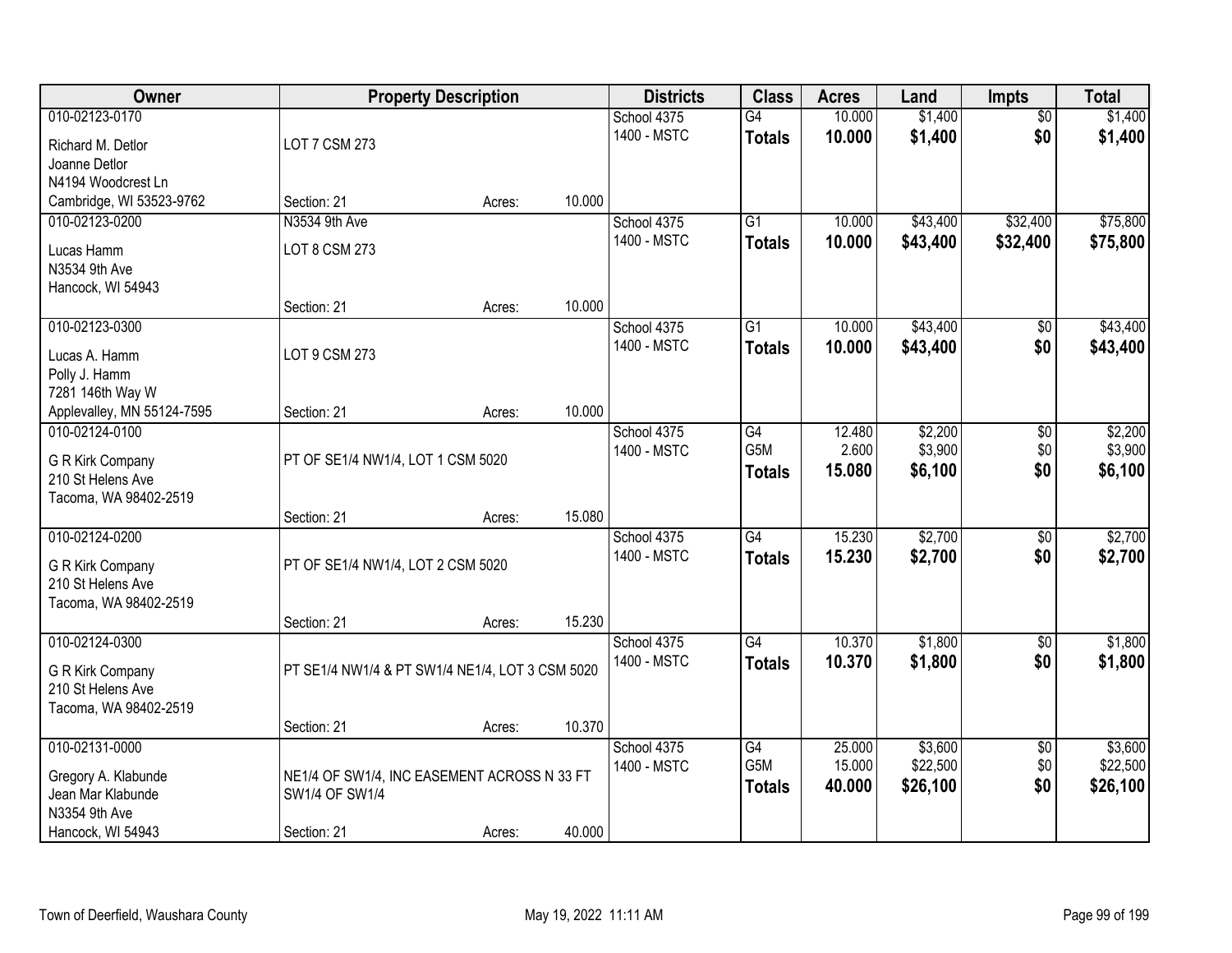| Owner                      |                                                 | <b>Property Description</b> |        | <b>Districts</b> | <b>Class</b>    | <b>Acres</b>     | Land                | <b>Impts</b>           | <b>Total</b>        |
|----------------------------|-------------------------------------------------|-----------------------------|--------|------------------|-----------------|------------------|---------------------|------------------------|---------------------|
| 010-02123-0170             |                                                 |                             |        | School 4375      | G4              | 10.000           | \$1,400             | $\overline{50}$        | \$1,400             |
| Richard M. Detlor          | LOT 7 CSM 273                                   |                             |        | 1400 - MSTC      | <b>Totals</b>   | 10.000           | \$1,400             | \$0                    | \$1,400             |
| Joanne Detlor              |                                                 |                             |        |                  |                 |                  |                     |                        |                     |
| N4194 Woodcrest Ln         |                                                 |                             |        |                  |                 |                  |                     |                        |                     |
| Cambridge, WI 53523-9762   | Section: 21                                     | Acres:                      | 10.000 |                  |                 |                  |                     |                        |                     |
| 010-02123-0200             | N3534 9th Ave                                   |                             |        | School 4375      | $\overline{G1}$ | 10.000           | \$43,400            | \$32,400               | \$75,800            |
| Lucas Hamm                 | LOT 8 CSM 273                                   |                             |        | 1400 - MSTC      | <b>Totals</b>   | 10.000           | \$43,400            | \$32,400               | \$75,800            |
| N3534 9th Ave              |                                                 |                             |        |                  |                 |                  |                     |                        |                     |
| Hancock, WI 54943          |                                                 |                             |        |                  |                 |                  |                     |                        |                     |
|                            | Section: 21                                     | Acres:                      | 10.000 |                  |                 |                  |                     |                        |                     |
| 010-02123-0300             |                                                 |                             |        | School 4375      | G1              | 10.000           | \$43,400            | $\overline{50}$        | \$43,400            |
| Lucas A. Hamm              | LOT 9 CSM 273                                   |                             |        | 1400 - MSTC      | <b>Totals</b>   | 10.000           | \$43,400            | \$0                    | \$43,400            |
| Polly J. Hamm              |                                                 |                             |        |                  |                 |                  |                     |                        |                     |
| 7281 146th Way W           |                                                 |                             |        |                  |                 |                  |                     |                        |                     |
| Applevalley, MN 55124-7595 | Section: 21                                     | Acres:                      | 10.000 |                  |                 |                  |                     |                        |                     |
| 010-02124-0100             |                                                 |                             |        | School 4375      | G4              | 12.480           | \$2,200             | $\sqrt[6]{3}$          | \$2,200             |
| G R Kirk Company           | PT OF SE1/4 NW1/4, LOT 1 CSM 5020               |                             |        | 1400 - MSTC      | G5M             | 2.600            | \$3,900             | \$0<br>\$0             | \$3,900             |
| 210 St Helens Ave          |                                                 |                             |        |                  | <b>Totals</b>   | 15.080           | \$6,100             |                        | \$6,100             |
| Tacoma, WA 98402-2519      |                                                 |                             |        |                  |                 |                  |                     |                        |                     |
|                            | Section: 21                                     | Acres:                      | 15.080 |                  |                 |                  |                     |                        |                     |
| 010-02124-0200             |                                                 |                             |        | School 4375      | G4              | 15.230           | \$2,700             | $\overline{50}$        | \$2,700             |
| G R Kirk Company           | PT OF SE1/4 NW1/4, LOT 2 CSM 5020               |                             |        | 1400 - MSTC      | <b>Totals</b>   | 15.230           | \$2,700             | \$0                    | \$2,700             |
| 210 St Helens Ave          |                                                 |                             |        |                  |                 |                  |                     |                        |                     |
| Tacoma, WA 98402-2519      |                                                 |                             |        |                  |                 |                  |                     |                        |                     |
|                            | Section: 21                                     | Acres:                      | 15.230 |                  |                 |                  |                     |                        |                     |
| 010-02124-0300             |                                                 |                             |        | School 4375      | $\overline{G4}$ | 10.370           | \$1,800             | $\sqrt{$0}$            | \$1,800             |
| G R Kirk Company           | PT SE1/4 NW1/4 & PT SW1/4 NE1/4, LOT 3 CSM 5020 |                             |        | 1400 - MSTC      | <b>Totals</b>   | 10.370           | \$1,800             | \$0                    | \$1,800             |
| 210 St Helens Ave          |                                                 |                             |        |                  |                 |                  |                     |                        |                     |
| Tacoma, WA 98402-2519      |                                                 |                             |        |                  |                 |                  |                     |                        |                     |
|                            | Section: 21                                     | Acres:                      | 10.370 |                  |                 |                  |                     |                        |                     |
| 010-02131-0000             |                                                 |                             |        | School 4375      | G4<br>G5M       | 25.000<br>15.000 | \$3,600<br>\$22,500 | $\overline{30}$<br>\$0 | \$3,600<br>\$22,500 |
| Gregory A. Klabunde        | NE1/4 OF SW1/4, INC EASEMENT ACROSS N 33 FT     |                             |        | 1400 - MSTC      |                 | 40.000           | \$26,100            | \$0                    | \$26,100            |
| Jean Mar Klabunde          | SW1/4 OF SW1/4                                  |                             |        |                  | <b>Totals</b>   |                  |                     |                        |                     |
| N3354 9th Ave              |                                                 |                             |        |                  |                 |                  |                     |                        |                     |
| Hancock, WI 54943          | Section: 21                                     | Acres:                      | 40.000 |                  |                 |                  |                     |                        |                     |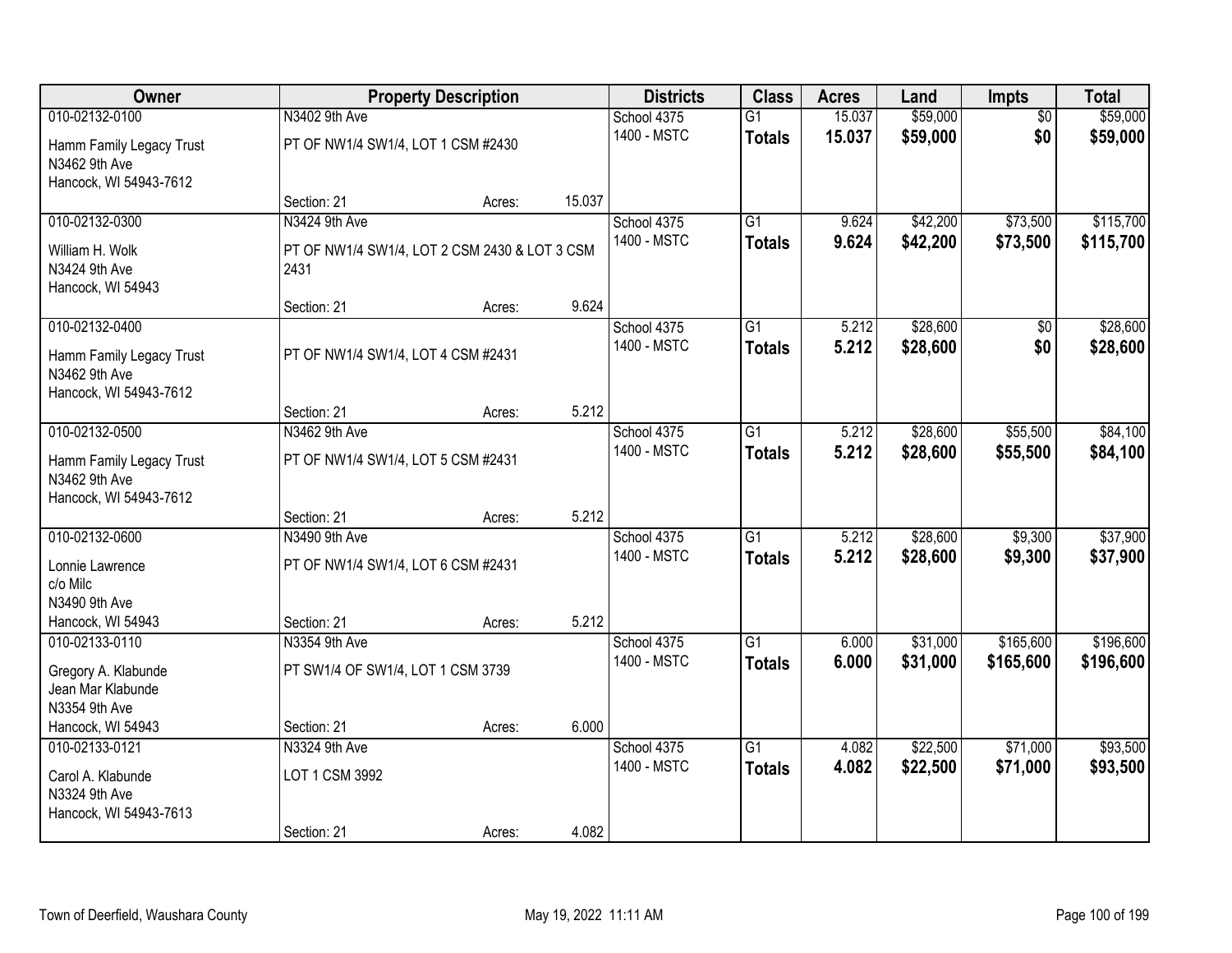| Owner                                                               |                                                       | <b>Property Description</b> |        | <b>Districts</b> | <b>Class</b>    | <b>Acres</b> | Land     | <b>Impts</b>    | <b>Total</b> |
|---------------------------------------------------------------------|-------------------------------------------------------|-----------------------------|--------|------------------|-----------------|--------------|----------|-----------------|--------------|
| 010-02132-0100                                                      | N3402 9th Ave                                         |                             |        | School 4375      | $\overline{G1}$ | 15.037       | \$59,000 | $\overline{50}$ | \$59,000     |
| Hamm Family Legacy Trust<br>N3462 9th Ave<br>Hancock, WI 54943-7612 | PT OF NW1/4 SW1/4, LOT 1 CSM #2430                    |                             |        | 1400 - MSTC      | <b>Totals</b>   | 15.037       | \$59,000 | \$0             | \$59,000     |
|                                                                     | Section: 21                                           | Acres:                      | 15.037 |                  |                 |              |          |                 |              |
| 010-02132-0300                                                      | N3424 9th Ave                                         |                             |        | School 4375      | $\overline{G1}$ | 9.624        | \$42,200 | \$73,500        | \$115,700    |
| William H. Wolk<br>N3424 9th Ave<br>Hancock, WI 54943               | PT OF NW1/4 SW1/4, LOT 2 CSM 2430 & LOT 3 CSM<br>2431 |                             |        | 1400 - MSTC      | <b>Totals</b>   | 9.624        | \$42,200 | \$73,500        | \$115,700    |
|                                                                     | Section: 21                                           | Acres:                      | 9.624  |                  |                 |              |          |                 |              |
| 010-02132-0400                                                      |                                                       |                             |        | School 4375      | G1              | 5.212        | \$28,600 | \$0             | \$28,600     |
| Hamm Family Legacy Trust<br>N3462 9th Ave<br>Hancock, WI 54943-7612 | PT OF NW1/4 SW1/4, LOT 4 CSM #2431                    |                             |        | 1400 - MSTC      | <b>Totals</b>   | 5.212        | \$28,600 | \$0             | \$28,600     |
|                                                                     | Section: 21                                           | Acres:                      | 5.212  |                  |                 |              |          |                 |              |
| 010-02132-0500                                                      | N3462 9th Ave                                         |                             |        | School 4375      | $\overline{G1}$ | 5.212        | \$28,600 | \$55,500        | \$84,100     |
| Hamm Family Legacy Trust<br>N3462 9th Ave<br>Hancock, WI 54943-7612 | PT OF NW1/4 SW1/4, LOT 5 CSM #2431                    |                             |        | 1400 - MSTC      | <b>Totals</b>   | 5.212        | \$28,600 | \$55,500        | \$84,100     |
|                                                                     | Section: 21                                           | Acres:                      | 5.212  |                  |                 |              |          |                 |              |
| 010-02132-0600                                                      | N3490 9th Ave                                         |                             |        | School 4375      | G1              | 5.212        | \$28,600 | \$9,300         | \$37,900     |
| Lonnie Lawrence<br>c/o Milc                                         | PT OF NW1/4 SW1/4, LOT 6 CSM #2431                    |                             |        | 1400 - MSTC      | <b>Totals</b>   | 5.212        | \$28,600 | \$9,300         | \$37,900     |
| N3490 9th Ave<br>Hancock, WI 54943                                  | Section: 21                                           |                             | 5.212  |                  |                 |              |          |                 |              |
| 010-02133-0110                                                      | N3354 9th Ave                                         | Acres:                      |        | School 4375      | $\overline{G1}$ | 6.000        | \$31,000 | \$165,600       | \$196,600    |
| Gregory A. Klabunde<br>Jean Mar Klabunde<br>N3354 9th Ave           | PT SW1/4 OF SW1/4, LOT 1 CSM 3739                     |                             |        | 1400 - MSTC      | <b>Totals</b>   | 6.000        | \$31,000 | \$165,600       | \$196,600    |
| Hancock, WI 54943                                                   | Section: 21                                           | Acres:                      | 6.000  |                  |                 |              |          |                 |              |
| 010-02133-0121                                                      | N3324 9th Ave                                         |                             |        | School 4375      | $\overline{G1}$ | 4.082        | \$22,500 | \$71,000        | \$93,500     |
| Carol A. Klabunde<br>N3324 9th Ave<br>Hancock, WI 54943-7613        | LOT 1 CSM 3992                                        |                             |        | 1400 - MSTC      | <b>Totals</b>   | 4.082        | \$22,500 | \$71,000        | \$93,500     |
|                                                                     | Section: 21                                           | Acres:                      | 4.082  |                  |                 |              |          |                 |              |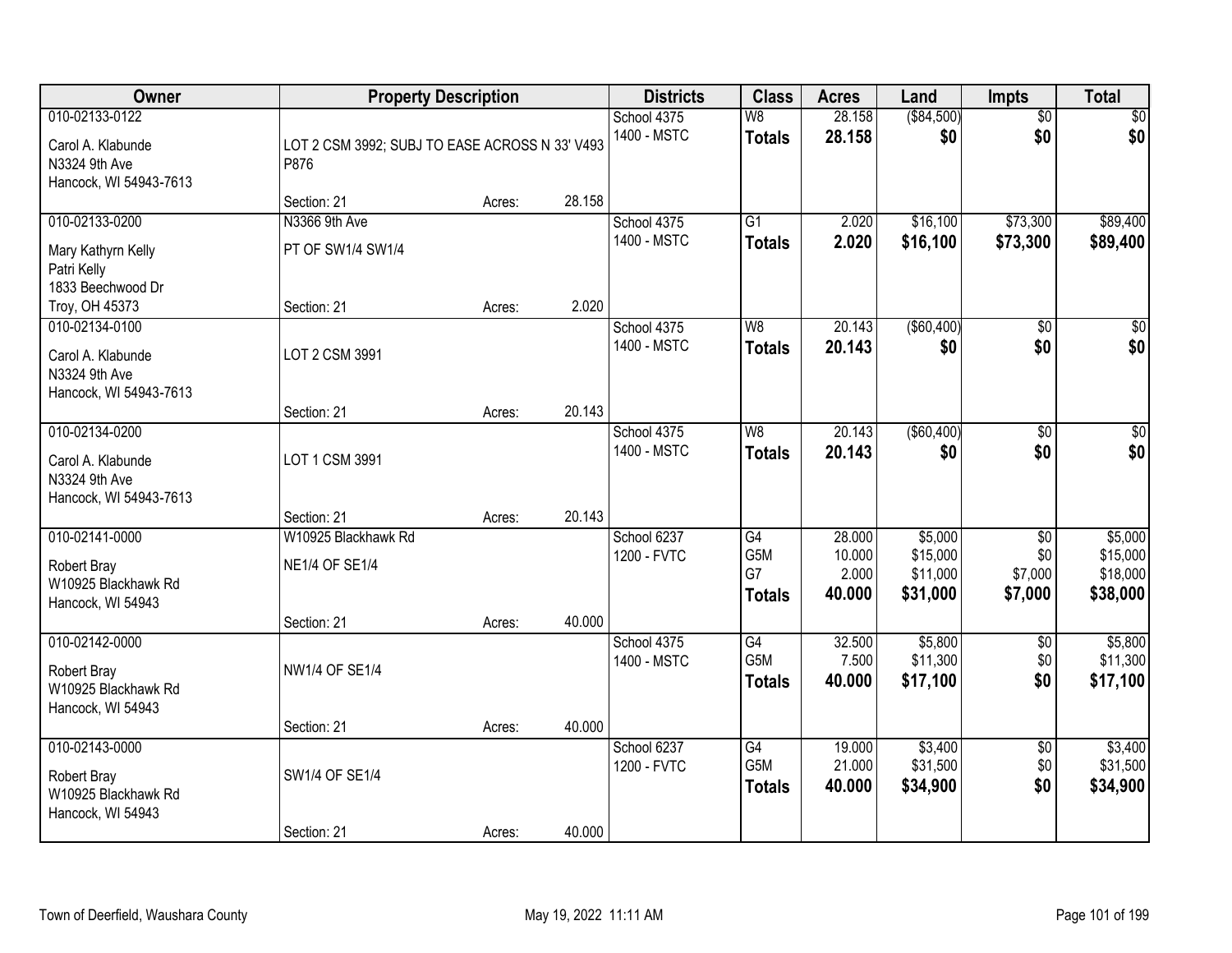| Owner                                                                          | <b>Property Description</b>                                 |        |        | <b>Districts</b>           | <b>Class</b>                                         | <b>Acres</b>                        | Land                                        | <b>Impts</b>                                 | <b>Total</b>                                |
|--------------------------------------------------------------------------------|-------------------------------------------------------------|--------|--------|----------------------------|------------------------------------------------------|-------------------------------------|---------------------------------------------|----------------------------------------------|---------------------------------------------|
| 010-02133-0122<br>Carol A. Klabunde<br>N3324 9th Ave<br>Hancock, WI 54943-7613 | LOT 2 CSM 3992; SUBJ TO EASE ACROSS N 33' V493<br>P876      |        |        | School 4375<br>1400 - MSTC | $\overline{\mathsf{W}8}$<br><b>Totals</b>            | 28.158<br>28.158                    | (\$84,500)<br>\$0                           | $\overline{50}$<br>\$0                       | $\sqrt{50}$<br>\$0                          |
|                                                                                | Section: 21                                                 | Acres: | 28.158 |                            |                                                      |                                     |                                             |                                              |                                             |
| 010-02133-0200<br>Mary Kathyrn Kelly<br>Patri Kelly<br>1833 Beechwood Dr       | N3366 9th Ave<br>PT OF SW1/4 SW1/4                          |        |        | School 4375<br>1400 - MSTC | $\overline{G1}$<br><b>Totals</b>                     | 2.020<br>2.020                      | \$16,100<br>\$16,100                        | \$73,300<br>\$73,300                         | \$89,400<br>\$89,400                        |
| Troy, OH 45373                                                                 | Section: 21                                                 | Acres: | 2.020  |                            |                                                      |                                     |                                             |                                              |                                             |
| 010-02134-0100<br>Carol A. Klabunde<br>N3324 9th Ave<br>Hancock, WI 54943-7613 | LOT 2 CSM 3991                                              |        |        | School 4375<br>1400 - MSTC | W8<br><b>Totals</b>                                  | 20.143<br>20.143                    | ( \$60,400)<br>\$0                          | \$0<br>\$0                                   | $\overline{30}$<br>\$0                      |
|                                                                                | Section: 21                                                 | Acres: | 20.143 |                            |                                                      |                                     |                                             |                                              |                                             |
| 010-02134-0200<br>Carol A. Klabunde<br>N3324 9th Ave<br>Hancock, WI 54943-7613 | LOT 1 CSM 3991                                              |        |        | School 4375<br>1400 - MSTC | W8<br><b>Totals</b>                                  | 20.143<br>20.143                    | ( \$60,400)<br>\$0                          | \$0<br>\$0                                   | $\sqrt{50}$<br>\$0                          |
|                                                                                | Section: 21                                                 | Acres: | 20.143 |                            |                                                      |                                     |                                             |                                              |                                             |
| 010-02141-0000<br>Robert Bray<br>W10925 Blackhawk Rd<br>Hancock, WI 54943      | W10925 Blackhawk Rd<br><b>NE1/4 OF SE1/4</b><br>Section: 21 | Acres: | 40.000 | School 6237<br>1200 - FVTC | $\overline{G4}$<br>G5M<br>G7<br><b>Totals</b>        | 28.000<br>10.000<br>2.000<br>40.000 | \$5,000<br>\$15,000<br>\$11,000<br>\$31,000 | $\overline{30}$<br>\$0<br>\$7,000<br>\$7,000 | \$5,000<br>\$15,000<br>\$18,000<br>\$38,000 |
| 010-02142-0000<br>Robert Bray<br>W10925 Blackhawk Rd<br>Hancock, WI 54943      | NW1/4 OF SE1/4                                              |        |        | School 4375<br>1400 - MSTC | G4<br>G5M<br><b>Totals</b>                           | 32.500<br>7.500<br>40,000           | \$5,800<br>\$11,300<br>\$17,100             | $\overline{50}$<br>\$0<br>\$0                | \$5,800<br>\$11,300<br>\$17,100             |
|                                                                                | Section: 21                                                 | Acres: | 40.000 |                            |                                                      |                                     |                                             |                                              |                                             |
| 010-02143-0000<br>Robert Bray<br>W10925 Blackhawk Rd<br>Hancock, WI 54943      | SW1/4 OF SE1/4                                              |        |        | School 6237<br>1200 - FVTC | $\overline{G4}$<br>G <sub>5</sub> M<br><b>Totals</b> | 19.000<br>21.000<br>40.000          | \$3,400<br>\$31,500<br>\$34,900             | $\overline{50}$<br>\$0<br>\$0                | \$3,400<br>\$31,500<br>\$34,900             |
|                                                                                | Section: 21                                                 | Acres: | 40.000 |                            |                                                      |                                     |                                             |                                              |                                             |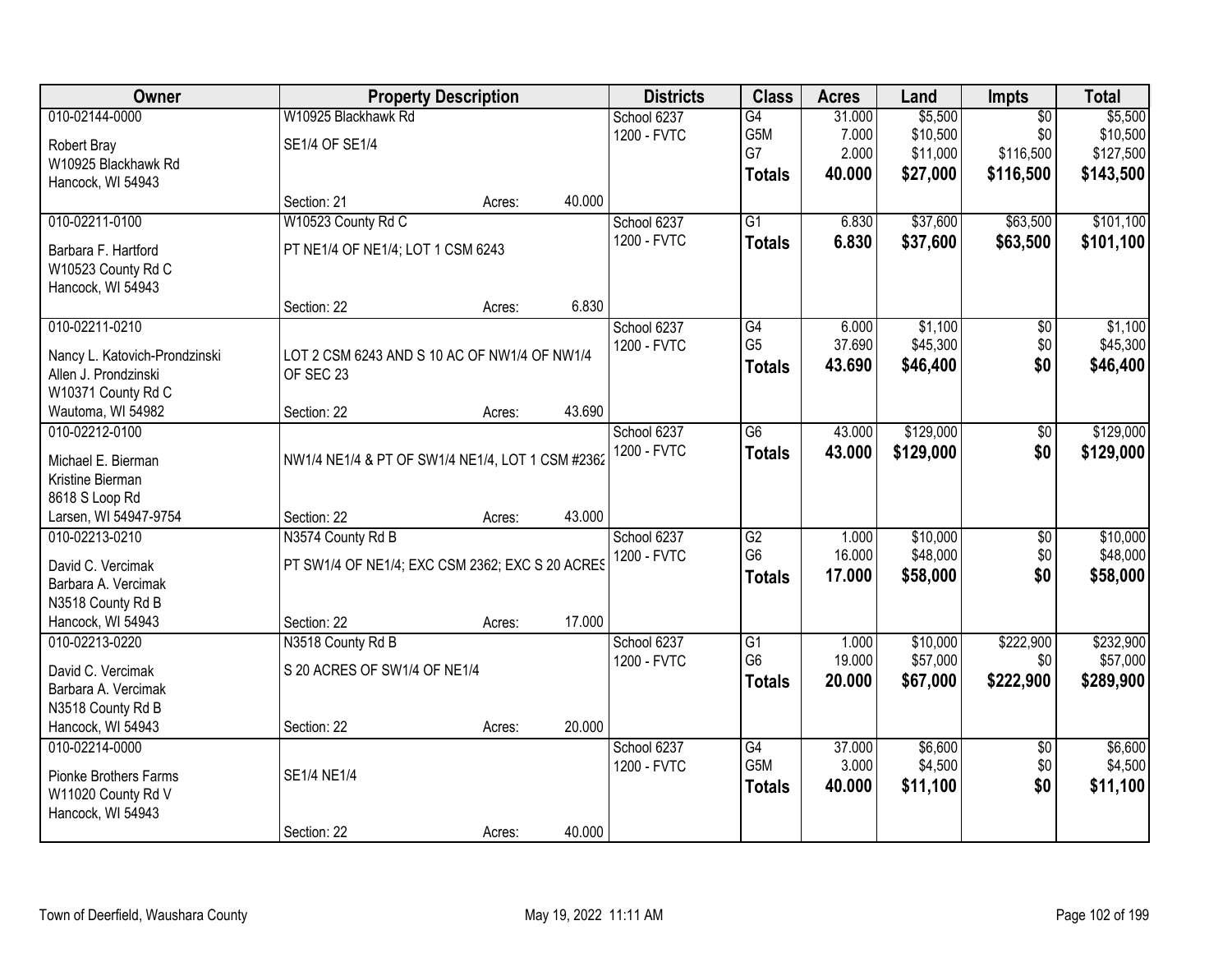| Owner                         |                                                  | <b>Property Description</b> |        | <b>Districts</b> | <b>Class</b>                      | <b>Acres</b>    | Land                 | Impts                  | <b>Total</b> |
|-------------------------------|--------------------------------------------------|-----------------------------|--------|------------------|-----------------------------------|-----------------|----------------------|------------------------|--------------|
| 010-02144-0000                | W10925 Blackhawk Rd                              |                             |        | School 6237      | G4                                | 31.000          | \$5,500              | $\overline{50}$        | \$5,500      |
| Robert Bray                   | SE1/4 OF SE1/4                                   |                             |        | 1200 - FVTC      | G5M                               | 7.000           | \$10,500             | \$0                    | \$10,500     |
| W10925 Blackhawk Rd           |                                                  |                             |        |                  | G7                                | 2.000           | \$11,000             | \$116,500              | \$127,500    |
| Hancock, WI 54943             |                                                  |                             |        |                  | <b>Totals</b>                     | 40.000          | \$27,000             | \$116,500              | \$143,500    |
|                               | Section: 21                                      | Acres:                      | 40.000 |                  |                                   |                 |                      |                        |              |
| 010-02211-0100                | W10523 County Rd C                               |                             |        | School 6237      | $\overline{G1}$                   | 6.830           | \$37,600             | \$63,500               | \$101,100    |
| Barbara F. Hartford           | PT NE1/4 OF NE1/4; LOT 1 CSM 6243                |                             |        | 1200 - FVTC      | <b>Totals</b>                     | 6.830           | \$37,600             | \$63,500               | \$101,100    |
| W10523 County Rd C            |                                                  |                             |        |                  |                                   |                 |                      |                        |              |
| Hancock, WI 54943             |                                                  |                             |        |                  |                                   |                 |                      |                        |              |
|                               | Section: 22                                      | Acres:                      | 6.830  |                  |                                   |                 |                      |                        |              |
| 010-02211-0210                |                                                  |                             |        | School 6237      | $\overline{G4}$                   | 6.000           | \$1,100              | $\overline{50}$        | \$1,100      |
| Nancy L. Katovich-Prondzinski | LOT 2 CSM 6243 AND S 10 AC OF NW1/4 OF NW1/4     |                             |        | 1200 - FVTC      | G <sub>5</sub>                    | 37.690          | \$45,300             | \$0                    | \$45,300     |
| Allen J. Prondzinski          | OF SEC 23                                        |                             |        |                  | <b>Totals</b>                     | 43.690          | \$46,400             | \$0                    | \$46,400     |
| W10371 County Rd C            |                                                  |                             |        |                  |                                   |                 |                      |                        |              |
| Wautoma, WI 54982             | Section: 22                                      | Acres:                      | 43.690 |                  |                                   |                 |                      |                        |              |
| 010-02212-0100                |                                                  |                             |        | School 6237      | $\overline{G6}$                   | 43.000          | \$129,000            | $\overline{50}$        | \$129,000    |
|                               |                                                  |                             |        | 1200 - FVTC      | <b>Totals</b>                     | 43.000          | \$129,000            | \$0                    | \$129,000    |
| Michael E. Bierman            | NW1/4 NE1/4 & PT OF SW1/4 NE1/4, LOT 1 CSM #2362 |                             |        |                  |                                   |                 |                      |                        |              |
| Kristine Bierman              |                                                  |                             |        |                  |                                   |                 |                      |                        |              |
| 8618 S Loop Rd                |                                                  |                             |        |                  |                                   |                 |                      |                        |              |
| Larsen, WI 54947-9754         | Section: 22                                      | Acres:                      | 43.000 |                  |                                   |                 |                      |                        |              |
| 010-02213-0210                | N3574 County Rd B                                |                             |        | School 6237      | $\overline{G2}$<br>G <sub>6</sub> | 1.000<br>16.000 | \$10,000<br>\$48,000 | $\overline{50}$<br>\$0 | \$10,000     |
| David C. Vercimak             | PT SW1/4 OF NE1/4; EXC CSM 2362; EXC S 20 ACRES  |                             |        | 1200 - FVTC      |                                   |                 |                      |                        | \$48,000     |
| Barbara A. Vercimak           |                                                  |                             |        |                  | <b>Totals</b>                     | 17.000          | \$58,000             | \$0                    | \$58,000     |
| N3518 County Rd B             |                                                  |                             |        |                  |                                   |                 |                      |                        |              |
| Hancock, WI 54943             | Section: 22                                      | Acres:                      | 17.000 |                  |                                   |                 |                      |                        |              |
| 010-02213-0220                | N3518 County Rd B                                |                             |        | School 6237      | G1                                | 1.000           | \$10,000             | \$222,900              | \$232,900    |
| David C. Vercimak             | S 20 ACRES OF SW1/4 OF NE1/4                     |                             |        | 1200 - FVTC      | G <sub>6</sub>                    | 19.000          | \$57,000             | \$0                    | \$57,000     |
| Barbara A. Vercimak           |                                                  |                             |        |                  | <b>Totals</b>                     | 20.000          | \$67,000             | \$222,900              | \$289,900    |
| N3518 County Rd B             |                                                  |                             |        |                  |                                   |                 |                      |                        |              |
| Hancock, WI 54943             | Section: 22                                      | Acres:                      | 20.000 |                  |                                   |                 |                      |                        |              |
| 010-02214-0000                |                                                  |                             |        | School 6237      | $\overline{G4}$                   | 37,000          | \$6,600              | $\overline{50}$        | \$6,600      |
| <b>Pionke Brothers Farms</b>  | <b>SE1/4 NE1/4</b>                               |                             |        | 1200 - FVTC      | G5M                               | 3.000           | \$4,500              | \$0                    | \$4,500      |
| W11020 County Rd V            |                                                  |                             |        |                  | <b>Totals</b>                     | 40.000          | \$11,100             | \$0                    | \$11,100     |
| Hancock, WI 54943             |                                                  |                             |        |                  |                                   |                 |                      |                        |              |
|                               | Section: 22                                      | Acres:                      | 40.000 |                  |                                   |                 |                      |                        |              |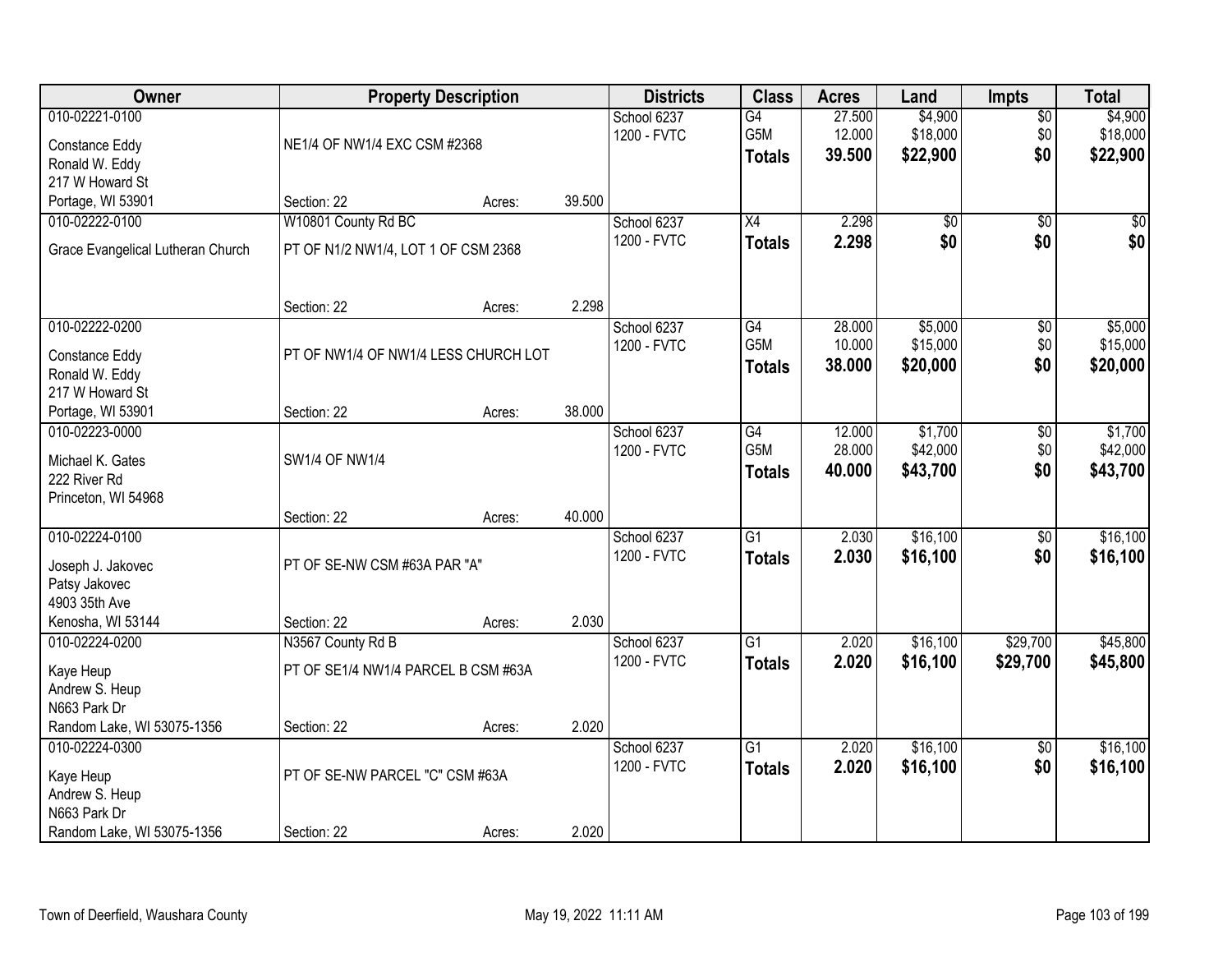| Owner                             |                                      | <b>Property Description</b> |        | <b>Districts</b> | <b>Class</b>    | <b>Acres</b> | Land            | <b>Impts</b>    | <b>Total</b> |
|-----------------------------------|--------------------------------------|-----------------------------|--------|------------------|-----------------|--------------|-----------------|-----------------|--------------|
| 010-02221-0100                    |                                      |                             |        | School 6237      | $\overline{G4}$ | 27.500       | \$4,900         | \$0             | \$4,900      |
| Constance Eddy                    | NE1/4 OF NW1/4 EXC CSM #2368         |                             |        | 1200 - FVTC      | G5M             | 12.000       | \$18,000        | \$0             | \$18,000     |
| Ronald W. Eddy                    |                                      |                             |        |                  | <b>Totals</b>   | 39.500       | \$22,900        | \$0             | \$22,900     |
| 217 W Howard St                   |                                      |                             |        |                  |                 |              |                 |                 |              |
| Portage, WI 53901                 | Section: 22                          | Acres:                      | 39.500 |                  |                 |              |                 |                 |              |
| 010-02222-0100                    | W10801 County Rd BC                  |                             |        | School 6237      | $\overline{X4}$ | 2.298        | $\overline{50}$ | $\overline{50}$ | \$0          |
| Grace Evangelical Lutheran Church | PT OF N1/2 NW1/4, LOT 1 OF CSM 2368  |                             |        | 1200 - FVTC      | <b>Totals</b>   | 2.298        | \$0             | \$0             | \$0          |
|                                   |                                      |                             |        |                  |                 |              |                 |                 |              |
|                                   | Section: 22                          | Acres:                      | 2.298  |                  |                 |              |                 |                 |              |
| 010-02222-0200                    |                                      |                             |        | School 6237      | G4              | 28.000       | \$5,000         | \$0             | \$5,000      |
| Constance Eddy                    | PT OF NW1/4 OF NW1/4 LESS CHURCH LOT |                             |        | 1200 - FVTC      | G5M             | 10.000       | \$15,000        | \$0             | \$15,000     |
| Ronald W. Eddy                    |                                      |                             |        |                  | <b>Totals</b>   | 38.000       | \$20,000        | \$0             | \$20,000     |
| 217 W Howard St                   |                                      |                             |        |                  |                 |              |                 |                 |              |
| Portage, WI 53901                 | Section: 22                          | Acres:                      | 38.000 |                  |                 |              |                 |                 |              |
| 010-02223-0000                    |                                      |                             |        | School 6237      | G4              | 12.000       | \$1,700         | \$0             | \$1,700      |
| Michael K. Gates                  | <b>SW1/4 OF NW1/4</b>                |                             |        | 1200 - FVTC      | G5M             | 28.000       | \$42,000        | \$0             | \$42,000     |
| 222 River Rd                      |                                      |                             |        |                  | <b>Totals</b>   | 40.000       | \$43,700        | \$0             | \$43,700     |
| Princeton, WI 54968               |                                      |                             |        |                  |                 |              |                 |                 |              |
|                                   | Section: 22                          | Acres:                      | 40.000 |                  |                 |              |                 |                 |              |
| 010-02224-0100                    |                                      |                             |        | School 6237      | $\overline{G1}$ | 2.030        | \$16,100        | $\overline{50}$ | \$16,100     |
| Joseph J. Jakovec                 | PT OF SE-NW CSM #63A PAR "A"         |                             |        | 1200 - FVTC      | <b>Totals</b>   | 2.030        | \$16,100        | \$0             | \$16,100     |
| Patsy Jakovec                     |                                      |                             |        |                  |                 |              |                 |                 |              |
| 4903 35th Ave                     |                                      |                             |        |                  |                 |              |                 |                 |              |
| Kenosha, WI 53144                 | Section: 22                          | Acres:                      | 2.030  |                  |                 |              |                 |                 |              |
| 010-02224-0200                    | N3567 County Rd B                    |                             |        | School 6237      | $\overline{G1}$ | 2.020        | \$16,100        | \$29,700        | \$45,800     |
| Kaye Heup                         | PT OF SE1/4 NW1/4 PARCEL B CSM #63A  |                             |        | 1200 - FVTC      | <b>Totals</b>   | 2.020        | \$16,100        | \$29,700        | \$45,800     |
| Andrew S. Heup                    |                                      |                             |        |                  |                 |              |                 |                 |              |
| N663 Park Dr                      |                                      |                             |        |                  |                 |              |                 |                 |              |
| Random Lake, WI 53075-1356        | Section: 22                          | Acres:                      | 2.020  |                  |                 |              |                 |                 |              |
| 010-02224-0300                    |                                      |                             |        | School 6237      | $\overline{G1}$ | 2.020        | \$16,100        | $\overline{60}$ | \$16,100     |
| Kaye Heup                         | PT OF SE-NW PARCEL "C" CSM #63A      |                             |        | 1200 - FVTC      | <b>Totals</b>   | 2.020        | \$16,100        | \$0             | \$16,100     |
| Andrew S. Heup                    |                                      |                             |        |                  |                 |              |                 |                 |              |
| N663 Park Dr                      |                                      |                             |        |                  |                 |              |                 |                 |              |
| Random Lake, WI 53075-1356        | Section: 22                          | Acres:                      | 2.020  |                  |                 |              |                 |                 |              |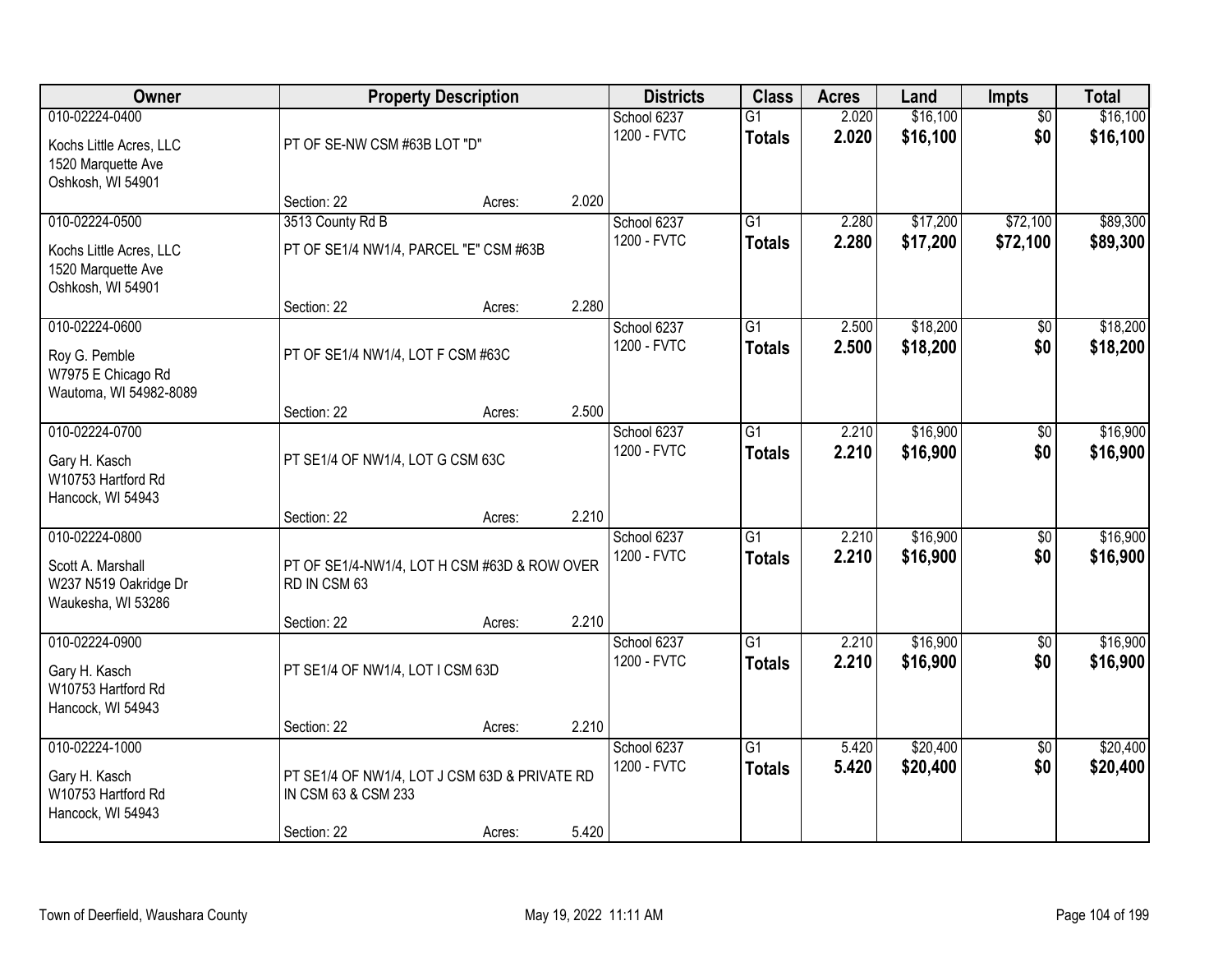| Owner                                                                                |                                                                                     | <b>Property Description</b> |       | <b>Districts</b>           | <b>Class</b>                     | <b>Acres</b>   | Land                 | Impts                  | <b>Total</b>         |
|--------------------------------------------------------------------------------------|-------------------------------------------------------------------------------------|-----------------------------|-------|----------------------------|----------------------------------|----------------|----------------------|------------------------|----------------------|
| 010-02224-0400<br>Kochs Little Acres, LLC<br>1520 Marquette Ave<br>Oshkosh, WI 54901 | PT OF SE-NW CSM #63B LOT "D"                                                        |                             |       | School 6237<br>1200 - FVTC | $\overline{G1}$<br><b>Totals</b> | 2.020<br>2.020 | \$16,100<br>\$16,100 | $\overline{50}$<br>\$0 | \$16,100<br>\$16,100 |
|                                                                                      | Section: 22                                                                         | Acres:                      | 2.020 |                            |                                  |                |                      |                        |                      |
| 010-02224-0500<br>Kochs Little Acres, LLC<br>1520 Marquette Ave<br>Oshkosh, WI 54901 | 3513 County Rd B<br>PT OF SE1/4 NW1/4, PARCEL "E" CSM #63B                          |                             |       | School 6237<br>1200 - FVTC | $\overline{G1}$<br><b>Totals</b> | 2.280<br>2.280 | \$17,200<br>\$17,200 | \$72,100<br>\$72,100   | \$89,300<br>\$89,300 |
| 010-02224-0600                                                                       | Section: 22                                                                         | Acres:                      | 2.280 |                            |                                  |                | \$18,200             |                        |                      |
| Roy G. Pemble<br>W7975 E Chicago Rd<br>Wautoma, WI 54982-8089                        | PT OF SE1/4 NW1/4, LOT F CSM #63C                                                   |                             |       | School 6237<br>1200 - FVTC | G1<br><b>Totals</b>              | 2.500<br>2.500 | \$18,200             | \$0<br>\$0             | \$18,200<br>\$18,200 |
|                                                                                      | Section: 22                                                                         | Acres:                      | 2.500 |                            |                                  |                |                      |                        |                      |
| 010-02224-0700<br>Gary H. Kasch<br>W10753 Hartford Rd<br>Hancock, WI 54943           | PT SE1/4 OF NW1/4, LOT G CSM 63C                                                    |                             |       | School 6237<br>1200 - FVTC | $\overline{G1}$<br><b>Totals</b> | 2.210<br>2.210 | \$16,900<br>\$16,900 | \$0<br>\$0             | \$16,900<br>\$16,900 |
|                                                                                      | Section: 22                                                                         | Acres:                      | 2.210 |                            |                                  |                |                      |                        |                      |
| 010-02224-0800<br>Scott A. Marshall<br>W237 N519 Oakridge Dr<br>Waukesha, WI 53286   | PT OF SE1/4-NW1/4, LOT H CSM #63D & ROW OVER<br>RD IN CSM 63                        |                             |       | School 6237<br>1200 - FVTC | $\overline{G1}$<br><b>Totals</b> | 2.210<br>2.210 | \$16,900<br>\$16,900 | \$0<br>\$0             | \$16,900<br>\$16,900 |
|                                                                                      | Section: 22                                                                         | Acres:                      | 2.210 |                            |                                  |                |                      |                        |                      |
| 010-02224-0900<br>Gary H. Kasch<br>W10753 Hartford Rd<br>Hancock, WI 54943           | PT SE1/4 OF NW1/4, LOT I CSM 63D                                                    |                             |       | School 6237<br>1200 - FVTC | $\overline{G1}$<br><b>Totals</b> | 2.210<br>2.210 | \$16,900<br>\$16,900 | $\overline{60}$<br>\$0 | \$16,900<br>\$16,900 |
|                                                                                      | Section: 22                                                                         | Acres:                      | 2.210 |                            |                                  |                |                      |                        |                      |
| 010-02224-1000<br>Gary H. Kasch<br>W10753 Hartford Rd<br>Hancock, WI 54943           | PT SE1/4 OF NW1/4, LOT J CSM 63D & PRIVATE RD<br>IN CSM 63 & CSM 233<br>Section: 22 |                             | 5.420 | School 6237<br>1200 - FVTC | $\overline{G1}$<br><b>Totals</b> | 5.420<br>5.420 | \$20,400<br>\$20,400 | $\overline{50}$<br>\$0 | \$20,400<br>\$20,400 |
|                                                                                      |                                                                                     | Acres:                      |       |                            |                                  |                |                      |                        |                      |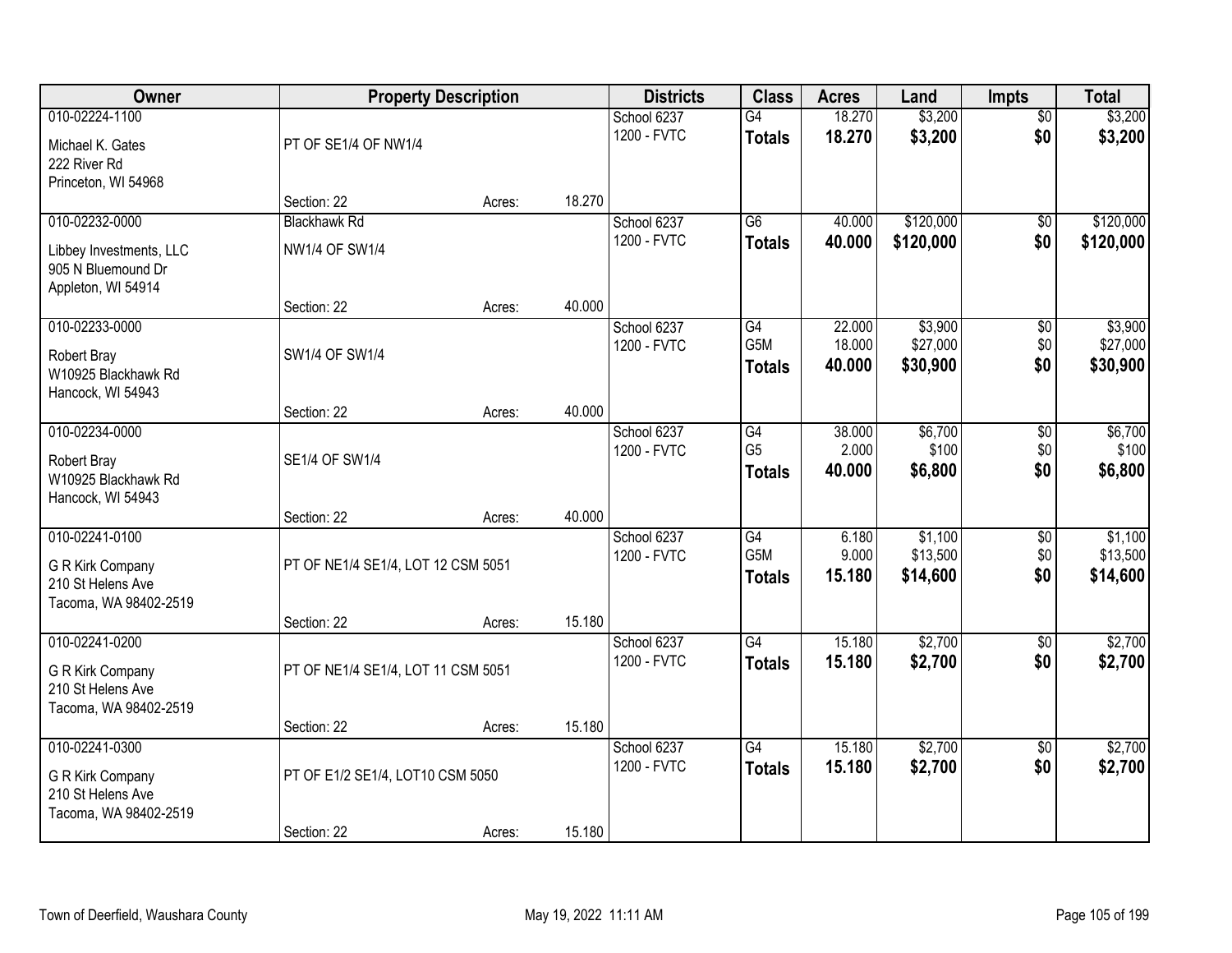| Owner                                                               |                                    | <b>Property Description</b> |        | <b>Districts</b>           | <b>Class</b>                      | <b>Acres</b>     | Land                 | Impts                  | <b>Total</b>         |
|---------------------------------------------------------------------|------------------------------------|-----------------------------|--------|----------------------------|-----------------------------------|------------------|----------------------|------------------------|----------------------|
| 010-02224-1100<br>Michael K. Gates                                  | PT OF SE1/4 OF NW1/4               |                             |        | School 6237<br>1200 - FVTC | G4<br><b>Totals</b>               | 18.270<br>18.270 | \$3,200<br>\$3,200   | $\overline{50}$<br>\$0 | \$3,200<br>\$3,200   |
| 222 River Rd<br>Princeton, WI 54968                                 | Section: 22                        | Acres:                      | 18.270 |                            |                                   |                  |                      |                        |                      |
| 010-02232-0000                                                      | <b>Blackhawk Rd</b>                |                             |        | School 6237                | $\overline{G6}$                   | 40.000           | \$120,000            | $\overline{50}$        | \$120,000            |
| Libbey Investments, LLC<br>905 N Bluemound Dr<br>Appleton, WI 54914 | <b>NW1/4 OF SW1/4</b>              |                             |        | 1200 - FVTC                | <b>Totals</b>                     | 40.000           | \$120,000            | \$0                    | \$120,000            |
|                                                                     | Section: 22                        | Acres:                      | 40.000 |                            |                                   |                  |                      |                        |                      |
| 010-02233-0000                                                      |                                    |                             |        | School 6237                | G4                                | 22.000           | \$3,900              | \$0                    | \$3,900              |
| Robert Bray<br>W10925 Blackhawk Rd<br>Hancock, WI 54943             | SW1/4 OF SW1/4                     |                             |        | 1200 - FVTC                | G5M<br><b>Totals</b>              | 18.000<br>40.000 | \$27,000<br>\$30,900 | \$0<br>\$0             | \$27,000<br>\$30,900 |
|                                                                     | Section: 22                        | Acres:                      | 40.000 |                            |                                   |                  |                      |                        |                      |
| 010-02234-0000                                                      |                                    |                             |        | School 6237                | G4                                | 38.000           | \$6,700              | \$0                    | \$6,700              |
| Robert Bray<br>W10925 Blackhawk Rd<br>Hancock, WI 54943             | SE1/4 OF SW1/4                     |                             |        | 1200 - FVTC                | G <sub>5</sub><br><b>Totals</b>   | 2.000<br>40.000  | \$100<br>\$6,800     | \$0<br>\$0             | \$100<br>\$6,800     |
|                                                                     | Section: 22                        | Acres:                      | 40.000 |                            |                                   |                  |                      |                        |                      |
| 010-02241-0100                                                      |                                    |                             |        | School 6237                | $\overline{G4}$                   | 6.180            | \$1,100              | $\overline{50}$        | \$1,100              |
| G R Kirk Company                                                    | PT OF NE1/4 SE1/4, LOT 12 CSM 5051 |                             |        | 1200 - FVTC                | G <sub>5</sub> M<br><b>Totals</b> | 9.000<br>15.180  | \$13,500<br>\$14,600 | \$0<br>\$0             | \$13,500<br>\$14,600 |
| 210 St Helens Ave<br>Tacoma, WA 98402-2519                          |                                    |                             |        |                            |                                   |                  |                      |                        |                      |
|                                                                     | Section: 22                        | Acres:                      | 15.180 |                            |                                   |                  |                      |                        |                      |
| 010-02241-0200                                                      |                                    |                             |        | School 6237                | G4                                | 15.180           | \$2,700              | $\overline{50}$        | \$2,700              |
| G R Kirk Company<br>210 St Helens Ave<br>Tacoma, WA 98402-2519      | PT OF NE1/4 SE1/4, LOT 11 CSM 5051 |                             |        | 1200 - FVTC                | <b>Totals</b>                     | 15.180           | \$2,700              | \$0                    | \$2,700              |
|                                                                     | Section: 22                        | Acres:                      | 15.180 |                            |                                   |                  |                      |                        |                      |
| 010-02241-0300                                                      |                                    |                             |        | School 6237                | G4                                | 15.180           | \$2,700              | $\overline{50}$        | \$2,700              |
| G R Kirk Company<br>210 St Helens Ave<br>Tacoma, WA 98402-2519      | PT OF E1/2 SE1/4, LOT10 CSM 5050   |                             |        | 1200 - FVTC                | <b>Totals</b>                     | 15.180           | \$2,700              | \$0                    | \$2,700              |
|                                                                     | Section: 22                        | Acres:                      | 15.180 |                            |                                   |                  |                      |                        |                      |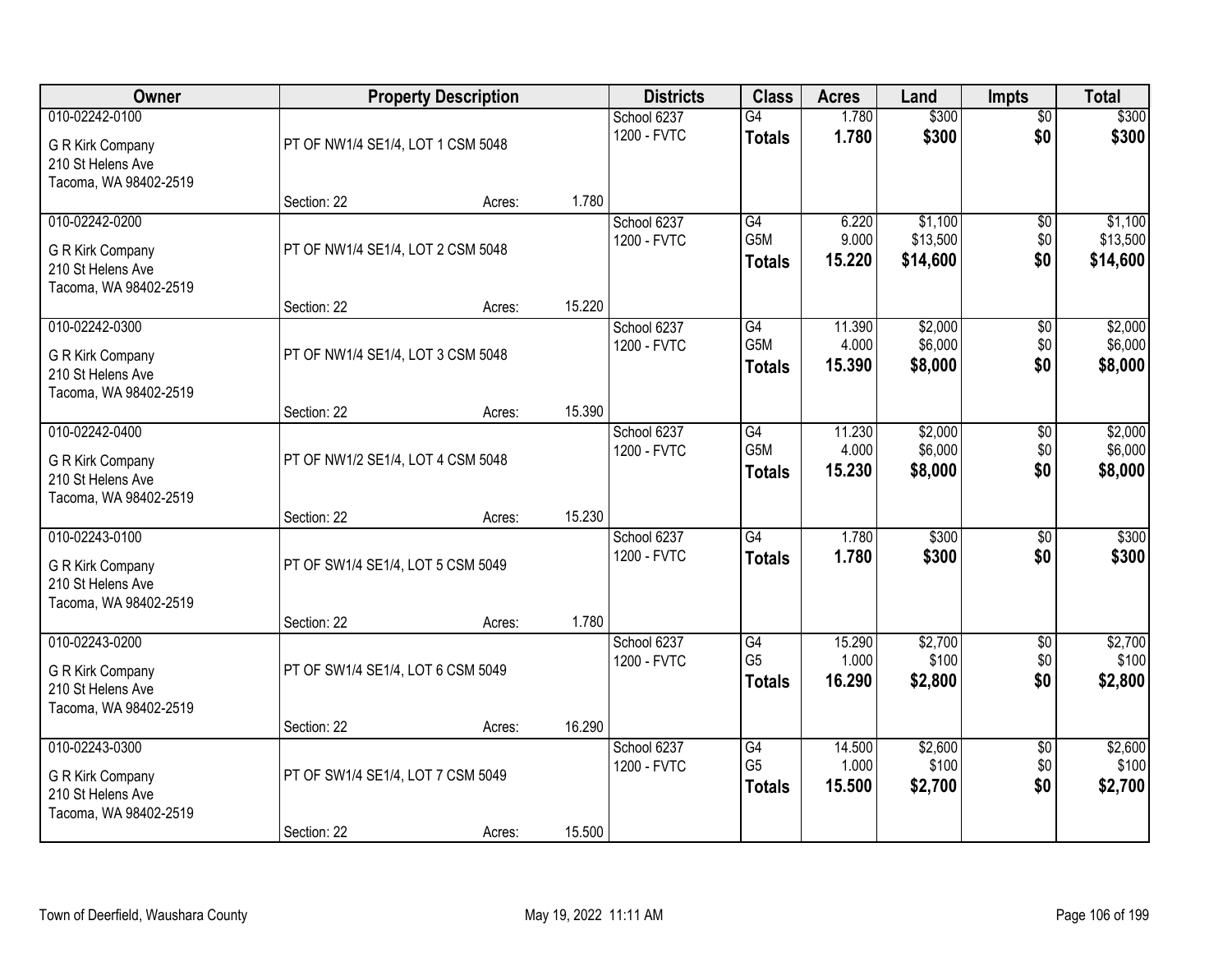| Owner                                                                            |                                   | <b>Property Description</b> |        | <b>Districts</b>           | <b>Class</b>                          | <b>Acres</b>              | Land                            | <b>Impts</b>                  | <b>Total</b>                    |
|----------------------------------------------------------------------------------|-----------------------------------|-----------------------------|--------|----------------------------|---------------------------------------|---------------------------|---------------------------------|-------------------------------|---------------------------------|
| 010-02242-0100<br>G R Kirk Company<br>210 St Helens Ave<br>Tacoma, WA 98402-2519 | PT OF NW1/4 SE1/4, LOT 1 CSM 5048 |                             |        | School 6237<br>1200 - FVTC | $\overline{G4}$<br><b>Totals</b>      | 1.780<br>1.780            | \$300<br>\$300                  | $\overline{50}$<br>\$0        | \$300<br>\$300                  |
|                                                                                  | Section: 22                       | Acres:                      | 1.780  |                            |                                       |                           |                                 |                               |                                 |
| 010-02242-0200<br>G R Kirk Company<br>210 St Helens Ave<br>Tacoma, WA 98402-2519 | PT OF NW1/4 SE1/4, LOT 2 CSM 5048 |                             |        | School 6237<br>1200 - FVTC | G4<br>G5M<br><b>Totals</b>            | 6.220<br>9.000<br>15.220  | \$1,100<br>\$13,500<br>\$14,600 | \$0<br>\$0<br>\$0             | \$1,100<br>\$13,500<br>\$14,600 |
|                                                                                  | Section: 22                       | Acres:                      | 15.220 |                            |                                       |                           |                                 |                               |                                 |
| 010-02242-0300<br>G R Kirk Company<br>210 St Helens Ave<br>Tacoma, WA 98402-2519 | PT OF NW1/4 SE1/4, LOT 3 CSM 5048 |                             |        | School 6237<br>1200 - FVTC | G4<br>G5M<br><b>Totals</b>            | 11.390<br>4.000<br>15.390 | \$2,000<br>\$6,000<br>\$8,000   | $\sqrt[6]{3}$<br>\$0<br>\$0   | \$2,000<br>\$6,000<br>\$8,000   |
|                                                                                  | Section: 22                       | Acres:                      | 15.390 |                            |                                       |                           |                                 |                               |                                 |
| 010-02242-0400<br>G R Kirk Company<br>210 St Helens Ave<br>Tacoma, WA 98402-2519 | PT OF NW1/2 SE1/4, LOT 4 CSM 5048 |                             |        | School 6237<br>1200 - FVTC | G4<br>G5M<br><b>Totals</b>            | 11.230<br>4.000<br>15.230 | \$2,000<br>\$6,000<br>\$8,000   | \$0<br>\$0<br>\$0             | \$2,000<br>\$6,000<br>\$8,000   |
|                                                                                  | Section: 22                       | Acres:                      | 15.230 |                            |                                       |                           |                                 |                               |                                 |
| 010-02243-0100<br>G R Kirk Company<br>210 St Helens Ave<br>Tacoma, WA 98402-2519 | PT OF SW1/4 SE1/4, LOT 5 CSM 5049 |                             |        | School 6237<br>1200 - FVTC | $\overline{G4}$<br><b>Totals</b>      | 1.780<br>1.780            | \$300<br>\$300                  | \$0<br>\$0                    | \$300<br>\$300                  |
|                                                                                  | Section: 22                       | Acres:                      | 1.780  |                            |                                       |                           |                                 |                               |                                 |
| 010-02243-0200<br>G R Kirk Company<br>210 St Helens Ave<br>Tacoma, WA 98402-2519 | PT OF SW1/4 SE1/4, LOT 6 CSM 5049 |                             |        | School 6237<br>1200 - FVTC | G4<br>G <sub>5</sub><br><b>Totals</b> | 15.290<br>1.000<br>16.290 | \$2,700<br>\$100<br>\$2,800     | $\overline{50}$<br>\$0<br>\$0 | \$2,700<br>\$100<br>\$2,800     |
|                                                                                  | Section: 22                       | Acres:                      | 16.290 |                            |                                       |                           |                                 |                               |                                 |
| 010-02243-0300<br>G R Kirk Company<br>210 St Helens Ave<br>Tacoma, WA 98402-2519 | PT OF SW1/4 SE1/4, LOT 7 CSM 5049 |                             | 15.500 | School 6237<br>1200 - FVTC | G4<br>G <sub>5</sub><br><b>Totals</b> | 14.500<br>1.000<br>15.500 | \$2,600<br>\$100<br>\$2,700     | $\overline{50}$<br>\$0<br>\$0 | \$2,600<br>\$100<br>\$2,700     |
|                                                                                  | Section: 22                       | Acres:                      |        |                            |                                       |                           |                                 |                               |                                 |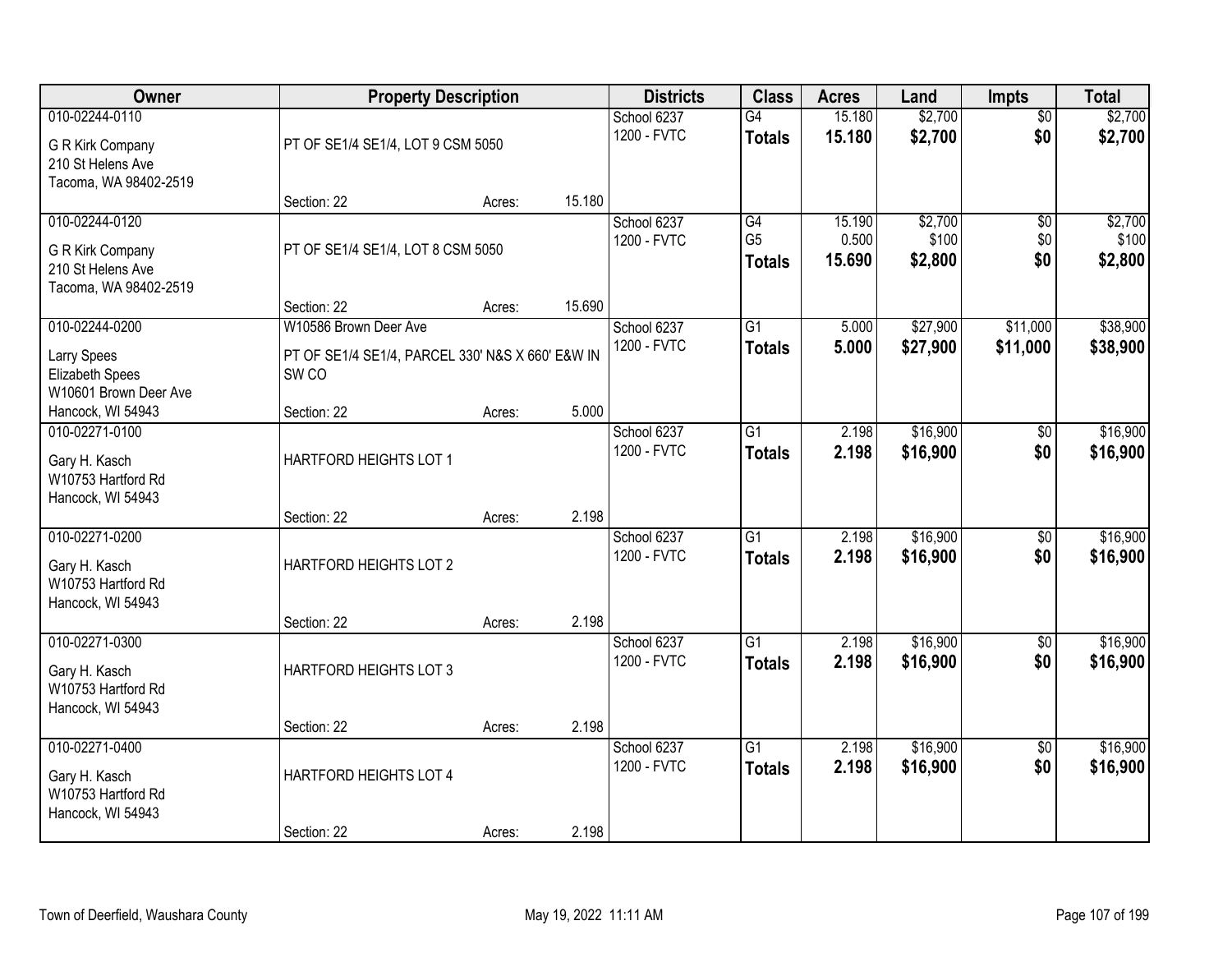| Owner                                                                            |                                                                      | <b>Property Description</b> |        | <b>Districts</b>           | <b>Class</b>                          | <b>Acres</b>              | Land                        | Impts                         | <b>Total</b>                |
|----------------------------------------------------------------------------------|----------------------------------------------------------------------|-----------------------------|--------|----------------------------|---------------------------------------|---------------------------|-----------------------------|-------------------------------|-----------------------------|
| 010-02244-0110<br>G R Kirk Company<br>210 St Helens Ave<br>Tacoma, WA 98402-2519 | PT OF SE1/4 SE1/4, LOT 9 CSM 5050                                    |                             |        | School 6237<br>1200 - FVTC | G4<br><b>Totals</b>                   | 15.180<br>15.180          | \$2,700<br>\$2,700          | $\overline{50}$<br>\$0        | \$2,700<br>\$2,700          |
|                                                                                  | Section: 22                                                          | Acres:                      | 15.180 |                            |                                       |                           |                             |                               |                             |
| 010-02244-0120<br>G R Kirk Company<br>210 St Helens Ave<br>Tacoma, WA 98402-2519 | PT OF SE1/4 SE1/4, LOT 8 CSM 5050                                    |                             |        | School 6237<br>1200 - FVTC | G4<br>G <sub>5</sub><br><b>Totals</b> | 15.190<br>0.500<br>15.690 | \$2,700<br>\$100<br>\$2,800 | $\overline{50}$<br>\$0<br>\$0 | \$2,700<br>\$100<br>\$2,800 |
| 010-02244-0200                                                                   | Section: 22<br>W10586 Brown Deer Ave                                 | Acres:                      | 15.690 | School 6237                | G1                                    | 5.000                     | \$27,900                    | \$11,000                      | \$38,900                    |
| <b>Larry Spees</b><br>Elizabeth Spees<br>W10601 Brown Deer Ave                   | PT OF SE1/4 SE1/4, PARCEL 330' N&S X 660' E&W IN<br>SW <sub>CO</sub> |                             |        | 1200 - FVTC                | <b>Totals</b>                         | 5.000                     | \$27,900                    | \$11,000                      | \$38,900                    |
| Hancock, WI 54943                                                                | Section: 22                                                          | Acres:                      | 5.000  |                            |                                       |                           |                             |                               |                             |
| 010-02271-0100<br>Gary H. Kasch<br>W10753 Hartford Rd<br>Hancock, WI 54943       | HARTFORD HEIGHTS LOT 1                                               |                             |        | School 6237<br>1200 - FVTC | $\overline{G1}$<br><b>Totals</b>      | 2.198<br>2.198            | \$16,900<br>\$16,900        | \$0<br>\$0                    | \$16,900<br>\$16,900        |
|                                                                                  | Section: 22                                                          | Acres:                      | 2.198  |                            |                                       |                           |                             |                               |                             |
| 010-02271-0200<br>Gary H. Kasch<br>W10753 Hartford Rd<br>Hancock, WI 54943       | HARTFORD HEIGHTS LOT 2<br>Section: 22                                | Acres:                      | 2.198  | School 6237<br>1200 - FVTC | $\overline{G1}$<br><b>Totals</b>      | 2.198<br>2.198            | \$16,900<br>\$16,900        | $\overline{50}$<br>\$0        | \$16,900<br>\$16,900        |
| 010-02271-0300                                                                   |                                                                      |                             |        | School 6237                | $\overline{G1}$                       | 2.198                     | \$16,900                    | $\overline{50}$               | \$16,900                    |
| Gary H. Kasch<br>W10753 Hartford Rd<br>Hancock, WI 54943                         | HARTFORD HEIGHTS LOT 3                                               |                             |        | 1200 - FVTC                | <b>Totals</b>                         | 2.198                     | \$16,900                    | \$0                           | \$16,900                    |
|                                                                                  | Section: 22                                                          | Acres:                      | 2.198  |                            |                                       |                           |                             |                               |                             |
| 010-02271-0400<br>Gary H. Kasch<br>W10753 Hartford Rd<br>Hancock, WI 54943       | HARTFORD HEIGHTS LOT 4                                               |                             |        | School 6237<br>1200 - FVTC | $\overline{G1}$<br><b>Totals</b>      | 2.198<br>2.198            | \$16,900<br>\$16,900        | $\overline{50}$<br>\$0        | \$16,900<br>\$16,900        |
|                                                                                  | Section: 22                                                          | Acres:                      | 2.198  |                            |                                       |                           |                             |                               |                             |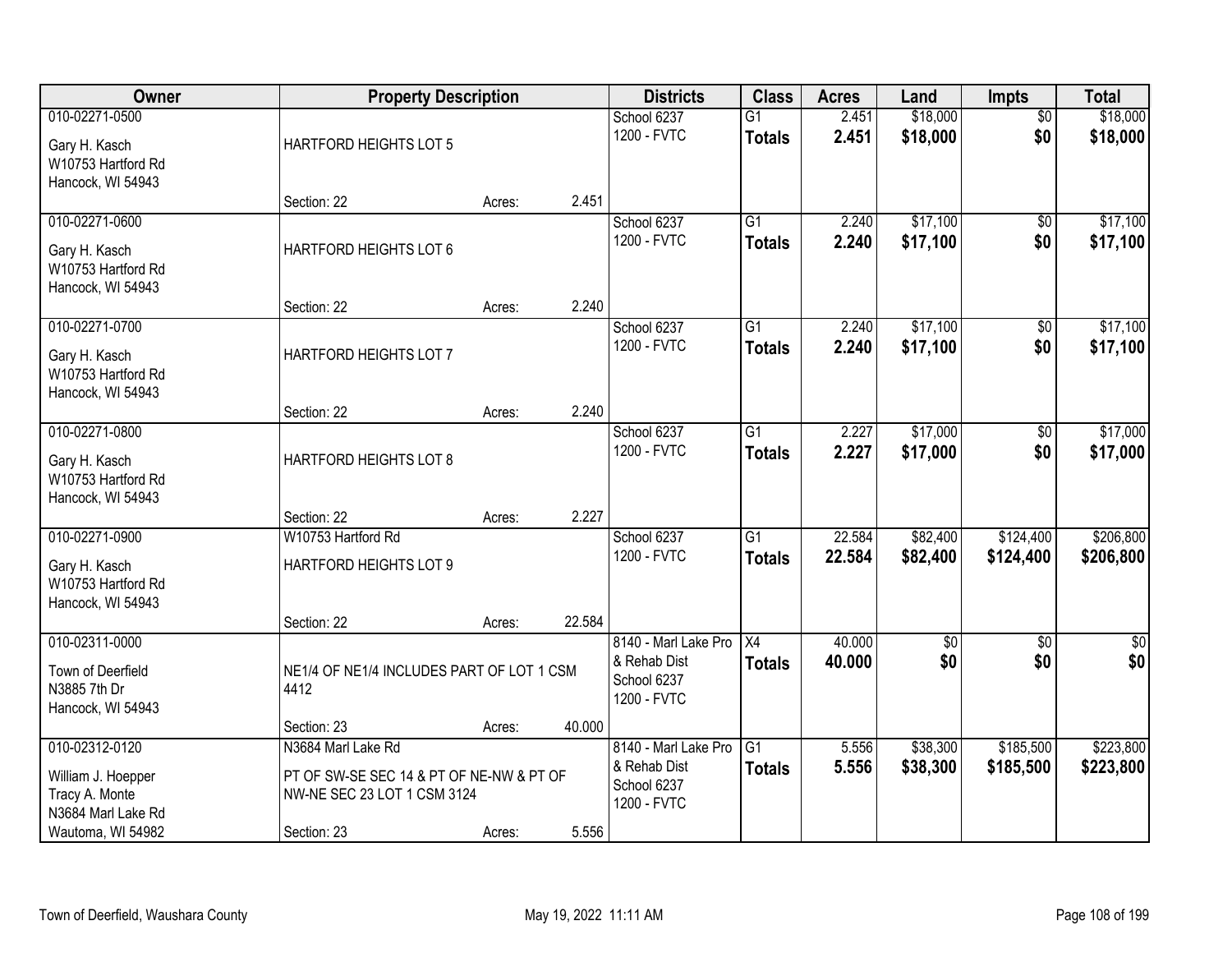| Owner                                                                                             |                                                                                                              | <b>Property Description</b> |        | <b>Districts</b>                                                   | <b>Class</b>                     | <b>Acres</b>     | Land                 | <b>Impts</b>           | <b>Total</b>           |
|---------------------------------------------------------------------------------------------------|--------------------------------------------------------------------------------------------------------------|-----------------------------|--------|--------------------------------------------------------------------|----------------------------------|------------------|----------------------|------------------------|------------------------|
| 010-02271-0500<br>Gary H. Kasch<br>W10753 Hartford Rd<br>Hancock, WI 54943                        | HARTFORD HEIGHTS LOT 5                                                                                       |                             |        | School 6237<br>1200 - FVTC                                         | $\overline{G1}$<br><b>Totals</b> | 2.451<br>2.451   | \$18,000<br>\$18,000 | $\overline{50}$<br>\$0 | \$18,000<br>\$18,000   |
|                                                                                                   | Section: 22                                                                                                  | Acres:                      | 2.451  |                                                                    |                                  |                  |                      |                        |                        |
| 010-02271-0600<br>Gary H. Kasch<br>W10753 Hartford Rd<br>Hancock, WI 54943                        | HARTFORD HEIGHTS LOT 6                                                                                       |                             |        | School 6237<br>1200 - FVTC                                         | $\overline{G1}$<br><b>Totals</b> | 2.240<br>2.240   | \$17,100<br>\$17,100 | $\overline{50}$<br>\$0 | \$17,100<br>\$17,100   |
|                                                                                                   | Section: 22                                                                                                  | Acres:                      | 2.240  |                                                                    |                                  |                  |                      |                        |                        |
| 010-02271-0700<br>Gary H. Kasch<br>W10753 Hartford Rd<br>Hancock, WI 54943                        | HARTFORD HEIGHTS LOT 7                                                                                       |                             |        | School 6237<br>1200 - FVTC                                         | G1<br><b>Totals</b>              | 2.240<br>2.240   | \$17,100<br>\$17,100 | \$0<br>\$0             | \$17,100<br>\$17,100   |
|                                                                                                   | Section: 22                                                                                                  | Acres:                      | 2.240  |                                                                    |                                  |                  |                      |                        |                        |
| 010-02271-0800<br>Gary H. Kasch<br>W10753 Hartford Rd<br>Hancock, WI 54943                        | HARTFORD HEIGHTS LOT 8                                                                                       |                             |        | School 6237<br>1200 - FVTC                                         | $\overline{G1}$<br><b>Totals</b> | 2.227<br>2.227   | \$17,000<br>\$17,000 | \$0<br>\$0             | \$17,000<br>\$17,000   |
|                                                                                                   | Section: 22                                                                                                  | Acres:                      | 2.227  |                                                                    |                                  |                  |                      |                        |                        |
| 010-02271-0900<br>Gary H. Kasch<br>W10753 Hartford Rd<br>Hancock, WI 54943                        | W10753 Hartford Rd<br>HARTFORD HEIGHTS LOT 9                                                                 |                             |        | School 6237<br>1200 - FVTC                                         | $\overline{G1}$<br><b>Totals</b> | 22.584<br>22.584 | \$82,400<br>\$82,400 | \$124,400<br>\$124,400 | \$206,800<br>\$206,800 |
| 010-02311-0000                                                                                    | Section: 22                                                                                                  | Acres:                      | 22.584 | 8140 - Marl Lake Pro                                               | $\overline{X4}$                  | 40.000           | $\sqrt{$0}$          | $\sqrt{6}$             | $\sqrt{50}$            |
| Town of Deerfield<br>N3885 7th Dr<br>Hancock, WI 54943                                            | NE1/4 OF NE1/4 INCLUDES PART OF LOT 1 CSM<br>4412                                                            |                             |        | & Rehab Dist<br>School 6237<br>1200 - FVTC                         | <b>Totals</b>                    | 40.000           | \$0                  | \$0                    | \$0                    |
|                                                                                                   | Section: 23                                                                                                  | Acres:                      | 40.000 |                                                                    |                                  |                  |                      |                        |                        |
| 010-02312-0120<br>William J. Hoepper<br>Tracy A. Monte<br>N3684 Marl Lake Rd<br>Wautoma, WI 54982 | N3684 Marl Lake Rd<br>PT OF SW-SE SEC 14 & PT OF NE-NW & PT OF<br>NW-NE SEC 23 LOT 1 CSM 3124<br>Section: 23 | Acres:                      | 5.556  | 8140 - Marl Lake Pro<br>& Rehab Dist<br>School 6237<br>1200 - FVTC | $\overline{G1}$<br><b>Totals</b> | 5.556<br>5.556   | \$38,300<br>\$38,300 | \$185,500<br>\$185,500 | \$223,800<br>\$223,800 |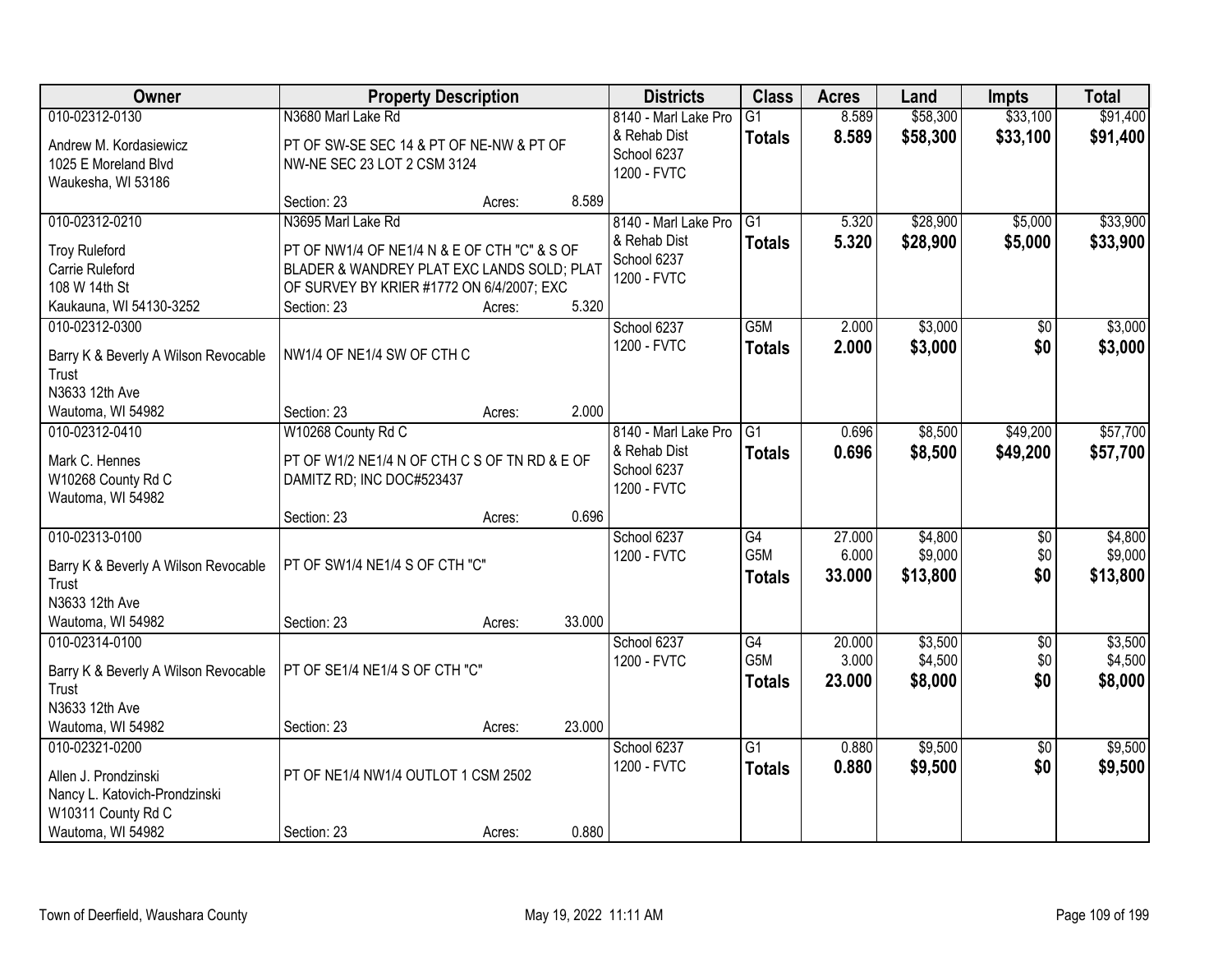| <b>Owner</b>                                  |                                               | <b>Property Description</b> |        | <b>Districts</b>           | <b>Class</b>     | <b>Acres</b> | Land     | <b>Impts</b>    | <b>Total</b> |
|-----------------------------------------------|-----------------------------------------------|-----------------------------|--------|----------------------------|------------------|--------------|----------|-----------------|--------------|
| 010-02312-0130                                | N3680 Marl Lake Rd                            |                             |        | 8140 - Marl Lake Pro       | $\overline{G1}$  | 8.589        | \$58,300 | \$33,100        | \$91,400     |
| Andrew M. Kordasiewicz                        | PT OF SW-SE SEC 14 & PT OF NE-NW & PT OF      |                             |        | & Rehab Dist               | <b>Totals</b>    | 8.589        | \$58,300 | \$33,100        | \$91,400     |
| 1025 E Moreland Blvd                          | NW-NE SEC 23 LOT 2 CSM 3124                   |                             |        | School 6237                |                  |              |          |                 |              |
| Waukesha, WI 53186                            |                                               |                             |        | 1200 - FVTC                |                  |              |          |                 |              |
|                                               | Section: 23                                   | Acres:                      | 8.589  |                            |                  |              |          |                 |              |
| 010-02312-0210                                | N3695 Marl Lake Rd                            |                             |        | 8140 - Marl Lake Pro       | G1               | 5.320        | \$28,900 | \$5,000         | \$33,900     |
| <b>Troy Ruleford</b>                          | PT OF NW1/4 OF NE1/4 N & E OF CTH "C" & S OF  |                             |        | & Rehab Dist               | <b>Totals</b>    | 5.320        | \$28,900 | \$5,000         | \$33,900     |
| Carrie Ruleford                               | BLADER & WANDREY PLAT EXC LANDS SOLD; PLAT    |                             |        | School 6237                |                  |              |          |                 |              |
| 108 W 14th St                                 | OF SURVEY BY KRIER #1772 ON 6/4/2007; EXC     |                             |        | 1200 - FVTC                |                  |              |          |                 |              |
| Kaukauna, WI 54130-3252                       | Section: 23                                   | Acres:                      | 5.320  |                            |                  |              |          |                 |              |
| 010-02312-0300                                |                                               |                             |        | School 6237                | G5M              | 2.000        | \$3,000  | $\overline{50}$ | \$3,000      |
|                                               | NW1/4 OF NE1/4 SW OF CTH C                    |                             |        | 1200 - FVTC                | <b>Totals</b>    | 2.000        | \$3,000  | \$0             | \$3,000      |
| Barry K & Beverly A Wilson Revocable<br>Trust |                                               |                             |        |                            |                  |              |          |                 |              |
| N3633 12th Ave                                |                                               |                             |        |                            |                  |              |          |                 |              |
| Wautoma, WI 54982                             | Section: 23                                   | Acres:                      | 2.000  |                            |                  |              |          |                 |              |
| 010-02312-0410                                | W10268 County Rd C                            |                             |        | 8140 - Marl Lake Pro       | G1               | 0.696        | \$8,500  | \$49,200        | \$57,700     |
|                                               |                                               |                             |        | & Rehab Dist               | <b>Totals</b>    | 0.696        | \$8,500  | \$49,200        | \$57,700     |
| Mark C. Hennes                                | PT OF W1/2 NE1/4 N OF CTH C S OF TN RD & E OF |                             |        | School 6237                |                  |              |          |                 |              |
| W10268 County Rd C                            | DAMITZ RD; INC DOC#523437                     |                             |        | 1200 - FVTC                |                  |              |          |                 |              |
| Wautoma, WI 54982                             |                                               |                             | 0.696  |                            |                  |              |          |                 |              |
| 010-02313-0100                                | Section: 23                                   | Acres:                      |        |                            | $\overline{G4}$  | 27.000       | \$4,800  | $\overline{50}$ | \$4,800      |
|                                               |                                               |                             |        | School 6237<br>1200 - FVTC | G <sub>5</sub> M | 6.000        | \$9,000  | \$0             | \$9,000      |
| Barry K & Beverly A Wilson Revocable          | PT OF SW1/4 NE1/4 S OF CTH "C"                |                             |        |                            |                  | 33.000       | \$13,800 | \$0             | \$13,800     |
| Trust                                         |                                               |                             |        |                            | <b>Totals</b>    |              |          |                 |              |
| N3633 12th Ave                                |                                               |                             |        |                            |                  |              |          |                 |              |
| Wautoma, WI 54982                             | Section: 23                                   | Acres:                      | 33.000 |                            |                  |              |          |                 |              |
| 010-02314-0100                                |                                               |                             |        | School 6237                | G4               | 20.000       | \$3,500  | $\overline{60}$ | \$3,500      |
| Barry K & Beverly A Wilson Revocable          | PT OF SE1/4 NE1/4 S OF CTH "C"                |                             |        | 1200 - FVTC                | G5M              | 3.000        | \$4,500  | \$0             | \$4,500      |
| Trust                                         |                                               |                             |        |                            | <b>Totals</b>    | 23.000       | \$8,000  | \$0             | \$8,000      |
| N3633 12th Ave                                |                                               |                             |        |                            |                  |              |          |                 |              |
| Wautoma, WI 54982                             | Section: 23                                   | Acres:                      | 23.000 |                            |                  |              |          |                 |              |
| 010-02321-0200                                |                                               |                             |        | School 6237                | $\overline{G1}$  | 0.880        | \$9,500  | $\overline{50}$ | \$9,500      |
| Allen J. Prondzinski                          | PT OF NE1/4 NW1/4 OUTLOT 1 CSM 2502           |                             |        | 1200 - FVTC                | <b>Totals</b>    | 0.880        | \$9,500  | \$0             | \$9,500      |
| Nancy L. Katovich-Prondzinski                 |                                               |                             |        |                            |                  |              |          |                 |              |
| W10311 County Rd C                            |                                               |                             |        |                            |                  |              |          |                 |              |
| Wautoma, WI 54982                             | Section: 23                                   | Acres:                      | 0.880  |                            |                  |              |          |                 |              |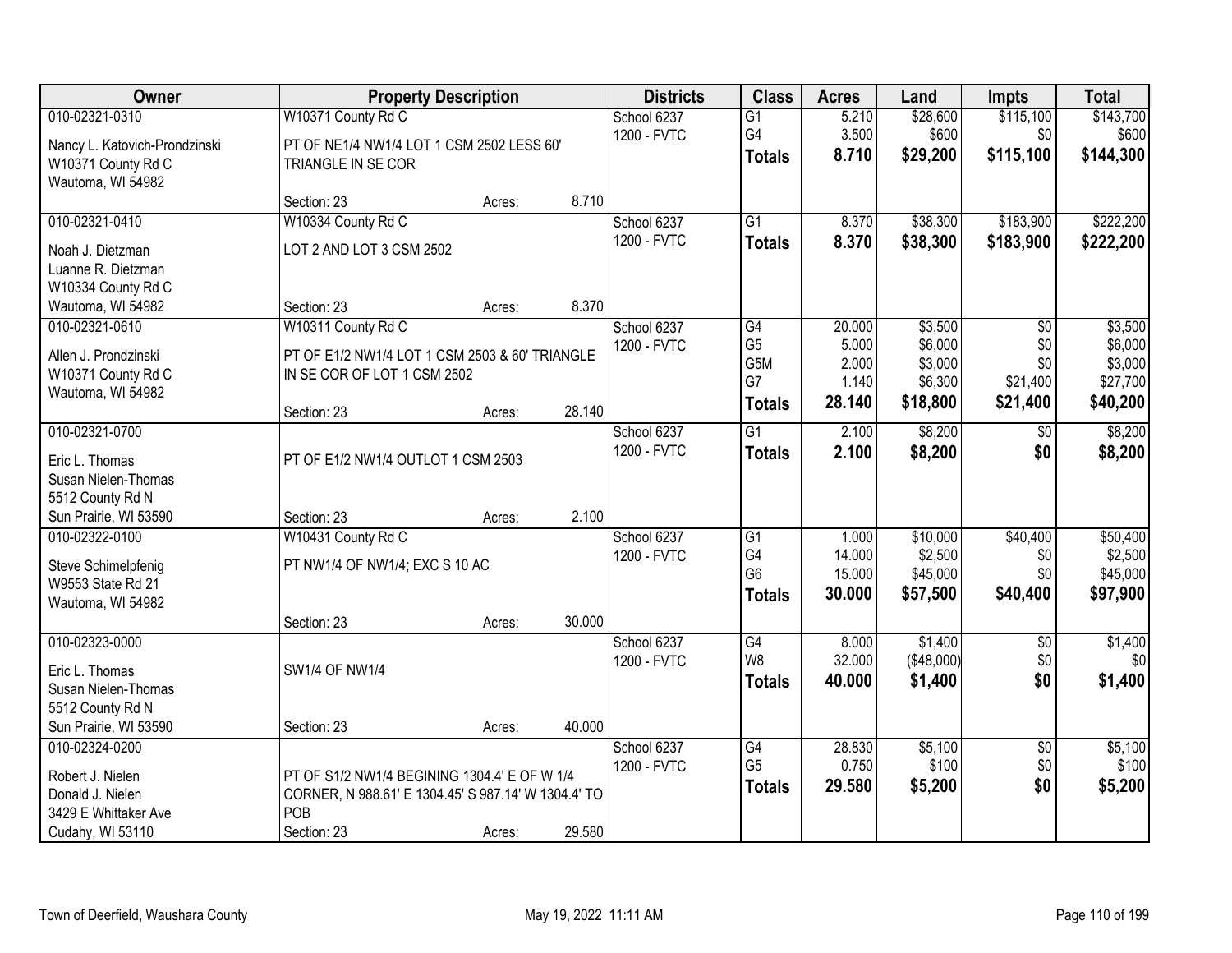| Owner                                                                                      |                                                                                                                           | <b>Property Description</b> |        | <b>Districts</b>           | <b>Class</b>                                                    | <b>Acres</b>                                | Land                                                 | Impts                                                 | <b>Total</b>                                          |
|--------------------------------------------------------------------------------------------|---------------------------------------------------------------------------------------------------------------------------|-----------------------------|--------|----------------------------|-----------------------------------------------------------------|---------------------------------------------|------------------------------------------------------|-------------------------------------------------------|-------------------------------------------------------|
| 010-02321-0310<br>Nancy L. Katovich-Prondzinski<br>W10371 County Rd C<br>Wautoma, WI 54982 | W10371 County Rd C<br>PT OF NE1/4 NW1/4 LOT 1 CSM 2502 LESS 60'<br>TRIANGLE IN SE COR                                     |                             |        | School 6237<br>1200 - FVTC | $\overline{G1}$<br>G4<br><b>Totals</b>                          | 5.210<br>3.500<br>8.710                     | \$28,600<br>\$600<br>\$29,200                        | \$115,100<br>\$0<br>\$115,100                         | \$143,700<br>\$600<br>\$144,300                       |
|                                                                                            | Section: 23                                                                                                               | Acres:                      | 8.710  |                            |                                                                 |                                             |                                                      |                                                       |                                                       |
| 010-02321-0410<br>Noah J. Dietzman<br>Luanne R. Dietzman<br>W10334 County Rd C             | W10334 County Rd C<br>LOT 2 AND LOT 3 CSM 2502                                                                            |                             |        | School 6237<br>1200 - FVTC | $\overline{G1}$<br><b>Totals</b>                                | 8.370<br>8.370                              | \$38,300<br>\$38,300                                 | \$183,900<br>\$183,900                                | \$222,200<br>\$222,200                                |
| Wautoma, WI 54982                                                                          | Section: 23                                                                                                               | Acres:                      | 8.370  |                            |                                                                 |                                             |                                                      |                                                       |                                                       |
| 010-02321-0610<br>Allen J. Prondzinski<br>W10371 County Rd C<br>Wautoma, WI 54982          | W10311 County Rd C<br>PT OF E1/2 NW1/4 LOT 1 CSM 2503 & 60' TRIANGLE<br>IN SE COR OF LOT 1 CSM 2502                       |                             |        | School 6237<br>1200 - FVTC | G4<br>G <sub>5</sub><br>G <sub>5</sub> M<br>G7<br><b>Totals</b> | 20.000<br>5.000<br>2.000<br>1.140<br>28.140 | \$3,500<br>\$6,000<br>\$3,000<br>\$6,300<br>\$18,800 | $\overline{50}$<br>\$0<br>\$0<br>\$21,400<br>\$21,400 | \$3,500<br>\$6,000<br>\$3,000<br>\$27,700<br>\$40,200 |
|                                                                                            | Section: 23                                                                                                               | Acres:                      | 28.140 |                            |                                                                 |                                             |                                                      |                                                       |                                                       |
| 010-02321-0700<br>Eric L. Thomas<br>Susan Nielen-Thomas<br>5512 County Rd N                | PT OF E1/2 NW1/4 OUTLOT 1 CSM 2503                                                                                        |                             |        | School 6237<br>1200 - FVTC | $\overline{G1}$<br><b>Totals</b>                                | 2.100<br>2.100                              | \$8,200<br>\$8,200                                   | \$0<br>\$0                                            | \$8,200<br>\$8,200                                    |
| Sun Prairie, WI 53590                                                                      | Section: 23                                                                                                               | Acres:                      | 2.100  |                            |                                                                 |                                             |                                                      |                                                       |                                                       |
| 010-02322-0100<br>Steve Schimelpfenig<br>W9553 State Rd 21<br>Wautoma, WI 54982            | W10431 County Rd C<br>PT NW1/4 OF NW1/4; EXC S 10 AC<br>Section: 23                                                       | Acres:                      | 30.000 | School 6237<br>1200 - FVTC | G1<br>G4<br>G <sub>6</sub><br><b>Totals</b>                     | 1.000<br>14.000<br>15.000<br>30.000         | \$10,000<br>\$2,500<br>\$45,000<br>\$57,500          | \$40,400<br>\$0<br>\$0<br>\$40,400                    | \$50,400<br>\$2,500<br>\$45,000<br>\$97,900           |
| 010-02323-0000<br>Eric L. Thomas<br>Susan Nielen-Thomas<br>5512 County Rd N                | SW1/4 OF NW1/4                                                                                                            |                             |        | School 6237<br>1200 - FVTC | $\overline{G4}$<br>W <sub>8</sub><br><b>Totals</b>              | 8.000<br>32.000<br>40.000                   | \$1,400<br>(\$48,000)<br>\$1,400                     | $\overline{60}$<br>\$0<br>\$0                         | \$1,400<br>\$0<br>\$1,400                             |
| Sun Prairie, WI 53590<br>010-02324-0200                                                    | Section: 23                                                                                                               | Acres:                      | 40.000 | School 6237                | G4                                                              | 28.830                                      | \$5,100                                              | $\overline{50}$                                       | \$5,100                                               |
| Robert J. Nielen<br>Donald J. Nielen<br>3429 E Whittaker Ave<br>Cudahy, WI 53110           | PT OF S1/2 NW1/4 BEGINING 1304.4' E OF W 1/4<br>CORNER, N 988.61' E 1304.45' S 987.14' W 1304.4' TO<br>POB<br>Section: 23 | Acres:                      | 29.580 | 1200 - FVTC                | G <sub>5</sub><br><b>Totals</b>                                 | 0.750<br>29.580                             | \$100<br>\$5,200                                     | \$0<br>\$0                                            | \$100<br>\$5,200                                      |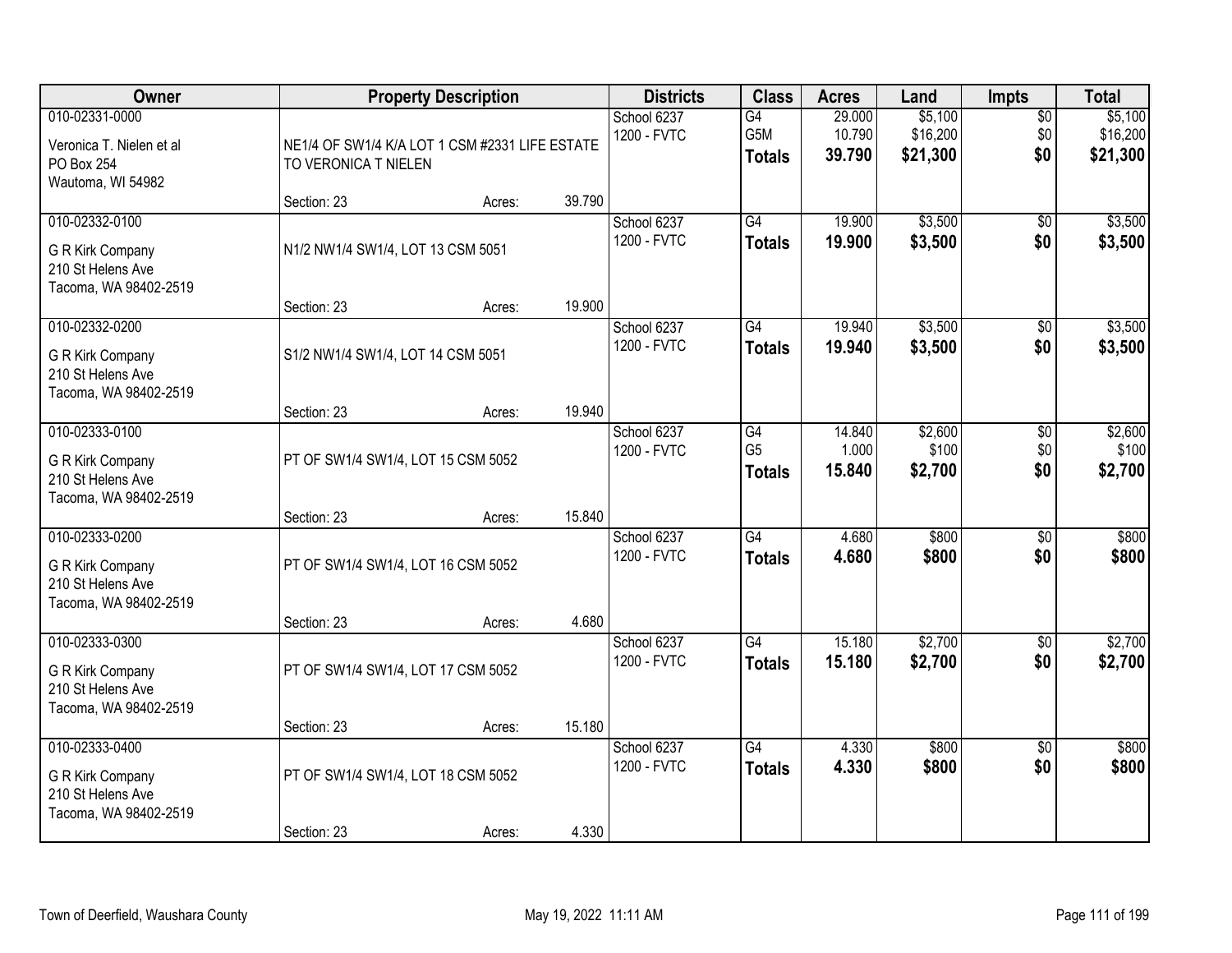| Owner                                                                            |                                                                        | <b>Property Description</b> |        | <b>Districts</b>           | <b>Class</b>                          | <b>Acres</b>               | Land                            | <b>Impts</b>                  | <b>Total</b>                    |
|----------------------------------------------------------------------------------|------------------------------------------------------------------------|-----------------------------|--------|----------------------------|---------------------------------------|----------------------------|---------------------------------|-------------------------------|---------------------------------|
| 010-02331-0000<br>Veronica T. Nielen et al<br>PO Box 254<br>Wautoma, WI 54982    | NE1/4 OF SW1/4 K/A LOT 1 CSM #2331 LIFE ESTATE<br>TO VERONICA T NIELEN |                             |        | School 6237<br>1200 - FVTC | G4<br>G5M<br><b>Totals</b>            | 29.000<br>10.790<br>39.790 | \$5,100<br>\$16,200<br>\$21,300 | $\overline{50}$<br>\$0<br>\$0 | \$5,100<br>\$16,200<br>\$21,300 |
|                                                                                  | Section: 23                                                            | Acres:                      | 39.790 |                            |                                       |                            |                                 |                               |                                 |
| 010-02332-0100<br>G R Kirk Company<br>210 St Helens Ave<br>Tacoma, WA 98402-2519 | N1/2 NW1/4 SW1/4, LOT 13 CSM 5051                                      |                             |        | School 6237<br>1200 - FVTC | G4<br><b>Totals</b>                   | 19.900<br>19.900           | \$3,500<br>\$3,500              | $\overline{50}$<br>\$0        | \$3,500<br>\$3,500              |
|                                                                                  | Section: 23                                                            | Acres:                      | 19.900 |                            |                                       |                            |                                 |                               |                                 |
| 010-02332-0200<br>G R Kirk Company<br>210 St Helens Ave<br>Tacoma, WA 98402-2519 | S1/2 NW1/4 SW1/4, LOT 14 CSM 5051                                      |                             |        | School 6237<br>1200 - FVTC | G4<br><b>Totals</b>                   | 19.940<br>19.940           | \$3,500<br>\$3,500              | \$0<br>\$0                    | \$3,500<br>\$3,500              |
|                                                                                  | Section: 23                                                            | Acres:                      | 19.940 |                            |                                       |                            |                                 |                               |                                 |
| 010-02333-0100<br>G R Kirk Company<br>210 St Helens Ave<br>Tacoma, WA 98402-2519 | PT OF SW1/4 SW1/4, LOT 15 CSM 5052                                     |                             |        | School 6237<br>1200 - FVTC | G4<br>G <sub>5</sub><br><b>Totals</b> | 14.840<br>1.000<br>15.840  | \$2,600<br>\$100<br>\$2,700     | \$0<br>\$0<br>\$0             | \$2,600<br>\$100<br>\$2,700     |
|                                                                                  | Section: 23                                                            | Acres:                      | 15.840 |                            |                                       |                            |                                 |                               |                                 |
| 010-02333-0200<br>G R Kirk Company<br>210 St Helens Ave<br>Tacoma, WA 98402-2519 | PT OF SW1/4 SW1/4, LOT 16 CSM 5052                                     |                             |        | School 6237<br>1200 - FVTC | $\overline{G4}$<br><b>Totals</b>      | 4.680<br>4.680             | \$800<br>\$800                  | $\overline{50}$<br>\$0        | \$800<br>\$800                  |
|                                                                                  | Section: 23                                                            | Acres:                      | 4.680  |                            |                                       |                            |                                 |                               |                                 |
| 010-02333-0300<br>G R Kirk Company<br>210 St Helens Ave<br>Tacoma, WA 98402-2519 | PT OF SW1/4 SW1/4, LOT 17 CSM 5052                                     |                             |        | School 6237<br>1200 - FVTC | G4<br><b>Totals</b>                   | 15.180<br>15.180           | \$2,700<br>\$2,700              | $\overline{50}$<br>\$0        | \$2,700<br>\$2,700              |
|                                                                                  | Section: 23                                                            | Acres:                      | 15.180 |                            |                                       |                            |                                 |                               |                                 |
| 010-02333-0400<br>G R Kirk Company<br>210 St Helens Ave<br>Tacoma, WA 98402-2519 | PT OF SW1/4 SW1/4, LOT 18 CSM 5052                                     |                             |        | School 6237<br>1200 - FVTC | G4<br><b>Totals</b>                   | 4.330<br>4.330             | \$800<br>\$800                  | $\overline{50}$<br>\$0        | \$800<br>\$800                  |
|                                                                                  | Section: 23                                                            | Acres:                      | 4.330  |                            |                                       |                            |                                 |                               |                                 |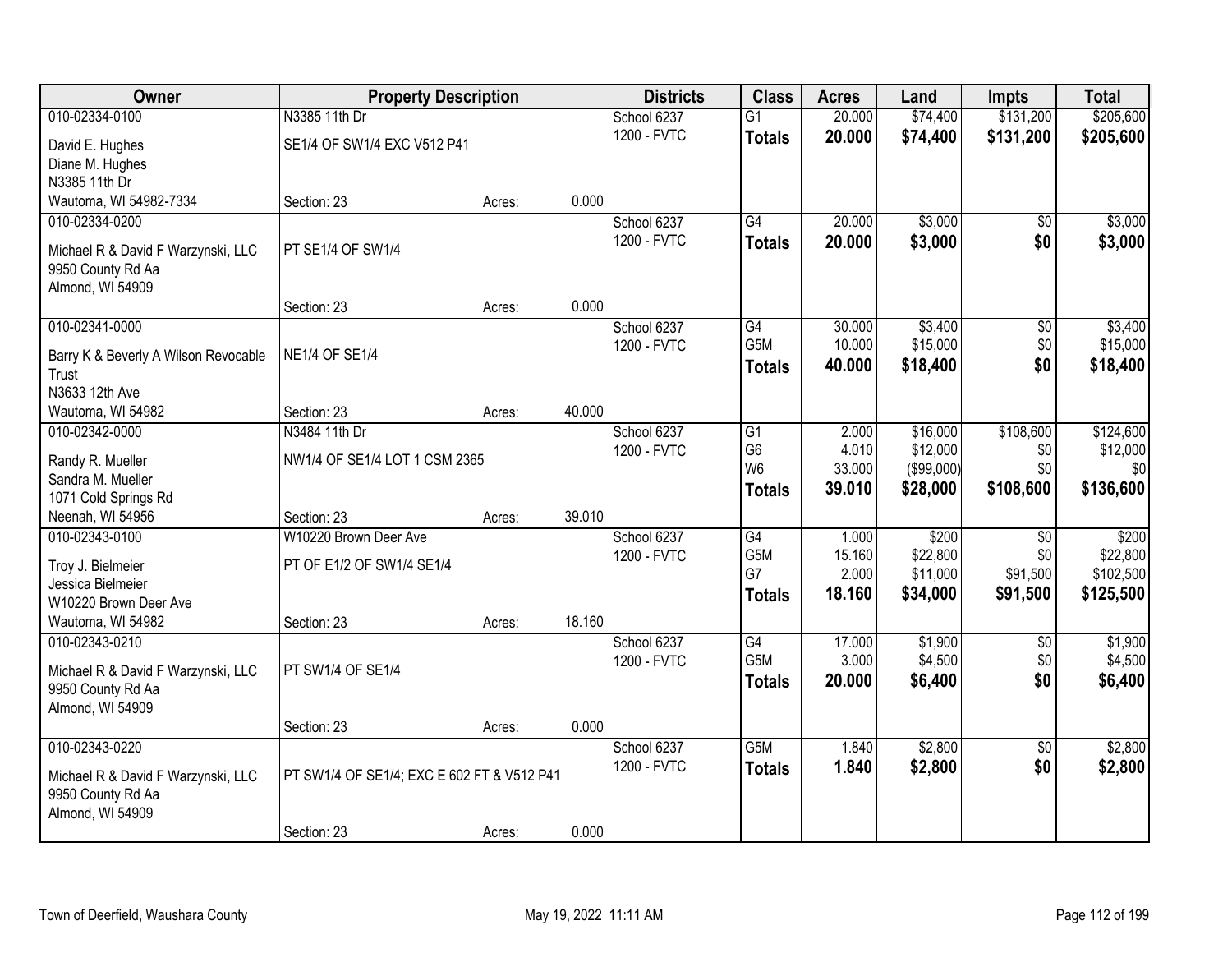| Owner                                      | <b>Property Description</b>                |        |        | <b>Districts</b> | <b>Class</b>     | <b>Acres</b> | Land       | <b>Impts</b>    | <b>Total</b> |
|--------------------------------------------|--------------------------------------------|--------|--------|------------------|------------------|--------------|------------|-----------------|--------------|
| 010-02334-0100                             | N3385 11th Dr                              |        |        | School 6237      | $\overline{G1}$  | 20.000       | \$74,400   | \$131,200       | \$205,600    |
| David E. Hughes                            | SE1/4 OF SW1/4 EXC V512 P41                |        |        | 1200 - FVTC      | <b>Totals</b>    | 20.000       | \$74,400   | \$131,200       | \$205,600    |
| Diane M. Hughes                            |                                            |        |        |                  |                  |              |            |                 |              |
| N3385 11th Dr                              |                                            |        |        |                  |                  |              |            |                 |              |
| Wautoma, WI 54982-7334                     | Section: 23                                | Acres: | 0.000  |                  |                  |              |            |                 |              |
| 010-02334-0200                             |                                            |        |        | School 6237      | G4               | 20.000       | \$3,000    | \$0             | \$3,000      |
| Michael R & David F Warzynski, LLC         | PT SE1/4 OF SW1/4                          |        |        | 1200 - FVTC      | <b>Totals</b>    | 20.000       | \$3,000    | \$0             | \$3,000      |
| 9950 County Rd Aa                          |                                            |        |        |                  |                  |              |            |                 |              |
| Almond, WI 54909                           |                                            |        |        |                  |                  |              |            |                 |              |
|                                            | Section: 23                                | Acres: | 0.000  |                  |                  |              |            |                 |              |
| 010-02341-0000                             |                                            |        |        | School 6237      | G4               | 30.000       | \$3,400    | \$0             | \$3,400      |
| Barry K & Beverly A Wilson Revocable       | <b>NE1/4 OF SE1/4</b>                      |        |        | 1200 - FVTC      | G5M              | 10.000       | \$15,000   | \$0             | \$15,000     |
| Trust                                      |                                            |        |        |                  | <b>Totals</b>    | 40.000       | \$18,400   | \$0             | \$18,400     |
| N3633 12th Ave                             |                                            |        |        |                  |                  |              |            |                 |              |
| Wautoma, WI 54982                          | Section: 23                                | Acres: | 40.000 |                  |                  |              |            |                 |              |
| 010-02342-0000                             | N3484 11th Dr                              |        |        | School 6237      | G1               | 2.000        | \$16,000   | \$108,600       | \$124,600    |
|                                            |                                            |        |        | 1200 - FVTC      | G <sub>6</sub>   | 4.010        | \$12,000   | \$0             | \$12,000     |
| Randy R. Mueller<br>Sandra M. Mueller      | NW1/4 OF SE1/4 LOT 1 CSM 2365              |        |        |                  | W <sub>6</sub>   | 33.000       | (\$99,000) | \$0             | \$0          |
| 1071 Cold Springs Rd                       |                                            |        |        |                  | <b>Totals</b>    | 39.010       | \$28,000   | \$108,600       | \$136,600    |
| Neenah, WI 54956                           | Section: 23                                | Acres: | 39.010 |                  |                  |              |            |                 |              |
| 010-02343-0100                             | W10220 Brown Deer Ave                      |        |        | School 6237      | $\overline{G4}$  | 1.000        | \$200      | $\overline{50}$ | \$200        |
|                                            |                                            |        |        | 1200 - FVTC      | G <sub>5</sub> M | 15.160       | \$22,800   | \$0             | \$22,800     |
| Troy J. Bielmeier                          | PT OF E1/2 OF SW1/4 SE1/4                  |        |        |                  | G7               | 2.000        | \$11,000   | \$91,500        | \$102,500    |
| Jessica Bielmeier<br>W10220 Brown Deer Ave |                                            |        |        |                  | <b>Totals</b>    | 18.160       | \$34,000   | \$91,500        | \$125,500    |
| Wautoma, WI 54982                          | Section: 23                                | Acres: | 18.160 |                  |                  |              |            |                 |              |
| 010-02343-0210                             |                                            |        |        | School 6237      | G4               | 17.000       | \$1,900    | $\sqrt{6}$      | \$1,900      |
|                                            |                                            |        |        | 1200 - FVTC      | G5M              | 3.000        | \$4,500    | \$0             | \$4,500      |
| Michael R & David F Warzynski, LLC         | PT SW1/4 OF SE1/4                          |        |        |                  | <b>Totals</b>    | 20.000       | \$6,400    | \$0             | \$6,400      |
| 9950 County Rd Aa                          |                                            |        |        |                  |                  |              |            |                 |              |
| Almond, WI 54909                           |                                            |        | 0.000  |                  |                  |              |            |                 |              |
| 010-02343-0220                             | Section: 23                                | Acres: |        | School 6237      | G5M              | 1.840        | \$2,800    | $\overline{30}$ | \$2,800      |
|                                            |                                            |        |        | 1200 - FVTC      | <b>Totals</b>    | 1.840        | \$2,800    | \$0             | \$2,800      |
| Michael R & David F Warzynski, LLC         | PT SW1/4 OF SE1/4; EXC E 602 FT & V512 P41 |        |        |                  |                  |              |            |                 |              |
| 9950 County Rd Aa                          |                                            |        |        |                  |                  |              |            |                 |              |
| Almond, WI 54909                           |                                            |        |        |                  |                  |              |            |                 |              |
|                                            | Section: 23                                | Acres: | 0.000  |                  |                  |              |            |                 |              |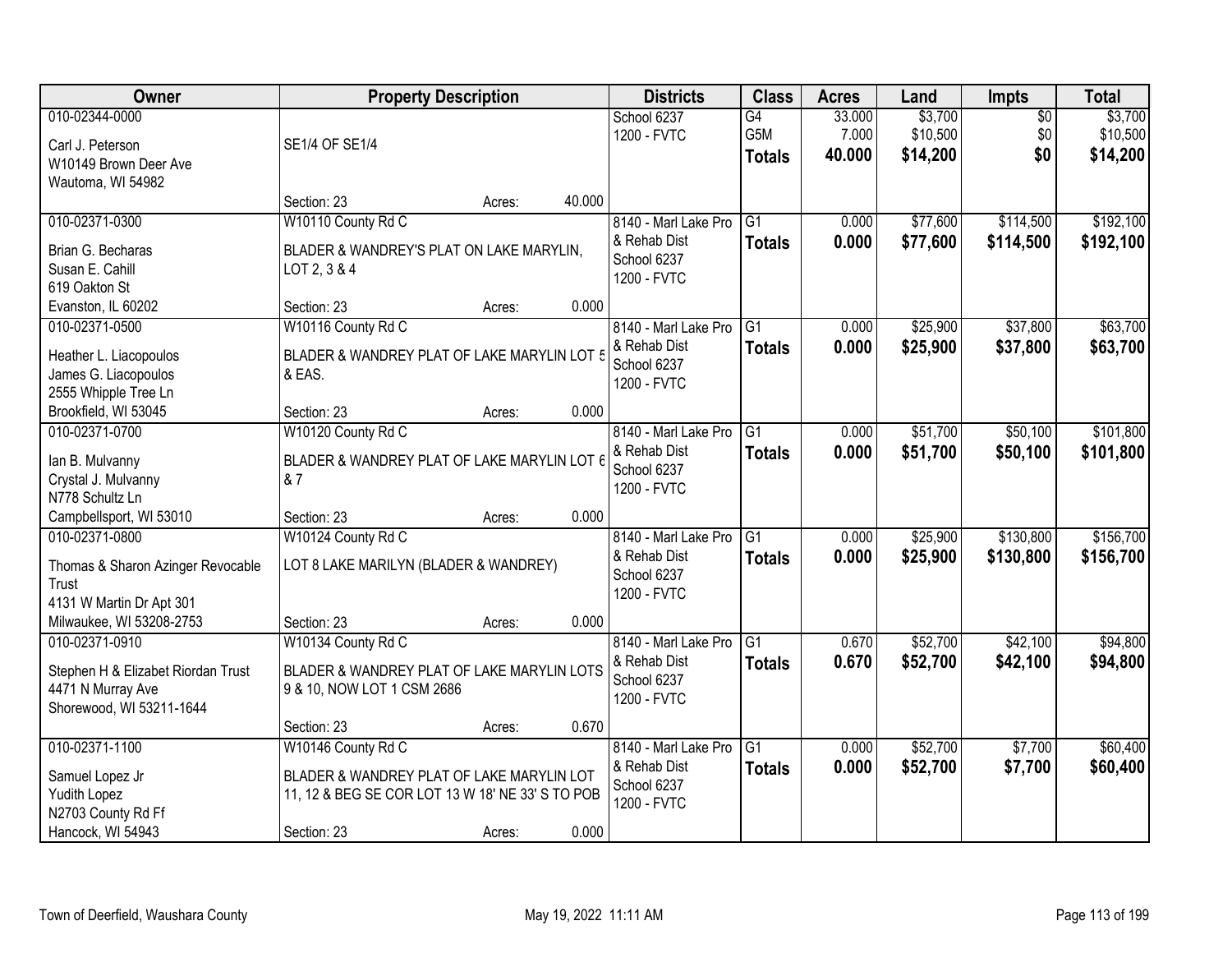| Owner                              |                                                  | <b>Property Description</b> |        | <b>Districts</b>           | <b>Class</b>    | <b>Acres</b> | Land     | <b>Impts</b>    | <b>Total</b> |
|------------------------------------|--------------------------------------------------|-----------------------------|--------|----------------------------|-----------------|--------------|----------|-----------------|--------------|
| 010-02344-0000                     |                                                  |                             |        | School 6237                | G4              | 33.000       | \$3,700  | $\overline{50}$ | \$3,700      |
| Carl J. Peterson                   | SE1/4 OF SE1/4                                   |                             |        | 1200 - FVTC                | G5M             | 7.000        | \$10,500 | \$0             | \$10,500     |
| W10149 Brown Deer Ave              |                                                  |                             |        |                            | <b>Totals</b>   | 40.000       | \$14,200 | \$0             | \$14,200     |
| Wautoma, WI 54982                  |                                                  |                             |        |                            |                 |              |          |                 |              |
|                                    | Section: 23                                      | Acres:                      | 40.000 |                            |                 |              |          |                 |              |
| 010-02371-0300                     | W10110 County Rd C                               |                             |        | 8140 - Marl Lake Pro       | $\overline{G1}$ | 0.000        | \$77,600 | \$114,500       | \$192,100    |
| Brian G. Becharas                  | BLADER & WANDREY'S PLAT ON LAKE MARYLIN,         |                             |        | & Rehab Dist               | <b>Totals</b>   | 0.000        | \$77,600 | \$114,500       | \$192,100    |
| Susan E. Cahill                    | LOT 2, 3 & 4                                     |                             |        | School 6237<br>1200 - FVTC |                 |              |          |                 |              |
| 619 Oakton St                      |                                                  |                             |        |                            |                 |              |          |                 |              |
| Evanston, IL 60202                 | Section: 23                                      | Acres:                      | 0.000  |                            |                 |              |          |                 |              |
| 010-02371-0500                     | W10116 County Rd C                               |                             |        | 8140 - Marl Lake Pro       | G1              | 0.000        | \$25,900 | \$37,800        | \$63,700     |
| Heather L. Liacopoulos             | BLADER & WANDREY PLAT OF LAKE MARYLIN LOT 5      |                             |        | & Rehab Dist               | <b>Totals</b>   | 0.000        | \$25,900 | \$37,800        | \$63,700     |
| James G. Liacopoulos               | & EAS.                                           |                             |        | School 6237<br>1200 - FVTC |                 |              |          |                 |              |
| 2555 Whipple Tree Ln               |                                                  |                             |        |                            |                 |              |          |                 |              |
| Brookfield, WI 53045               | Section: 23                                      | Acres:                      | 0.000  |                            |                 |              |          |                 |              |
| 010-02371-0700                     | W10120 County Rd C                               |                             |        | 8140 - Marl Lake Pro       | G1              | 0.000        | \$51,700 | \$50,100        | \$101,800    |
| lan B. Mulvanny                    | BLADER & WANDREY PLAT OF LAKE MARYLIN LOT 6      |                             |        | & Rehab Dist               | <b>Totals</b>   | 0.000        | \$51,700 | \$50,100        | \$101,800    |
| Crystal J. Mulvanny                | & 7                                              |                             |        | School 6237                |                 |              |          |                 |              |
| N778 Schultz Ln                    |                                                  |                             |        | 1200 - FVTC                |                 |              |          |                 |              |
| Campbellsport, WI 53010            | Section: 23                                      | Acres:                      | 0.000  |                            |                 |              |          |                 |              |
| 010-02371-0800                     | W10124 County Rd C                               |                             |        | 8140 - Marl Lake Pro       | $\overline{G1}$ | 0.000        | \$25,900 | \$130,800       | \$156,700    |
| Thomas & Sharon Azinger Revocable  | LOT 8 LAKE MARILYN (BLADER & WANDREY)            |                             |        | & Rehab Dist               | <b>Totals</b>   | 0.000        | \$25,900 | \$130,800       | \$156,700    |
| Trust                              |                                                  |                             |        | School 6237                |                 |              |          |                 |              |
| 4131 W Martin Dr Apt 301           |                                                  |                             |        | 1200 - FVTC                |                 |              |          |                 |              |
| Milwaukee, WI 53208-2753           | Section: 23                                      | Acres:                      | 0.000  |                            |                 |              |          |                 |              |
| 010-02371-0910                     | W10134 County Rd C                               |                             |        | 8140 - Marl Lake Pro       | G1              | 0.670        | \$52,700 | \$42,100        | \$94,800     |
| Stephen H & Elizabet Riordan Trust | BLADER & WANDREY PLAT OF LAKE MARYLIN LOTS       |                             |        | & Rehab Dist               | <b>Totals</b>   | 0.670        | \$52,700 | \$42,100        | \$94,800     |
| 4471 N Murray Ave                  | 9 & 10, NOW LOT 1 CSM 2686                       |                             |        | School 6237                |                 |              |          |                 |              |
| Shorewood, WI 53211-1644           |                                                  |                             |        | 1200 - FVTC                |                 |              |          |                 |              |
|                                    | Section: 23                                      | Acres:                      | 0.670  |                            |                 |              |          |                 |              |
| 010-02371-1100                     | W10146 County Rd C                               |                             |        | 8140 - Marl Lake Pro       | $\overline{G1}$ | 0.000        | \$52,700 | \$7,700         | \$60,400     |
| Samuel Lopez Jr                    | BLADER & WANDREY PLAT OF LAKE MARYLIN LOT        |                             |        | & Rehab Dist               | <b>Totals</b>   | 0.000        | \$52,700 | \$7,700         | \$60,400     |
| Yudith Lopez                       | 11, 12 & BEG SE COR LOT 13 W 18' NE 33' S TO POB |                             |        | School 6237                |                 |              |          |                 |              |
| N2703 County Rd Ff                 |                                                  |                             |        | 1200 - FVTC                |                 |              |          |                 |              |
| Hancock, WI 54943                  | Section: 23                                      | Acres:                      | 0.000  |                            |                 |              |          |                 |              |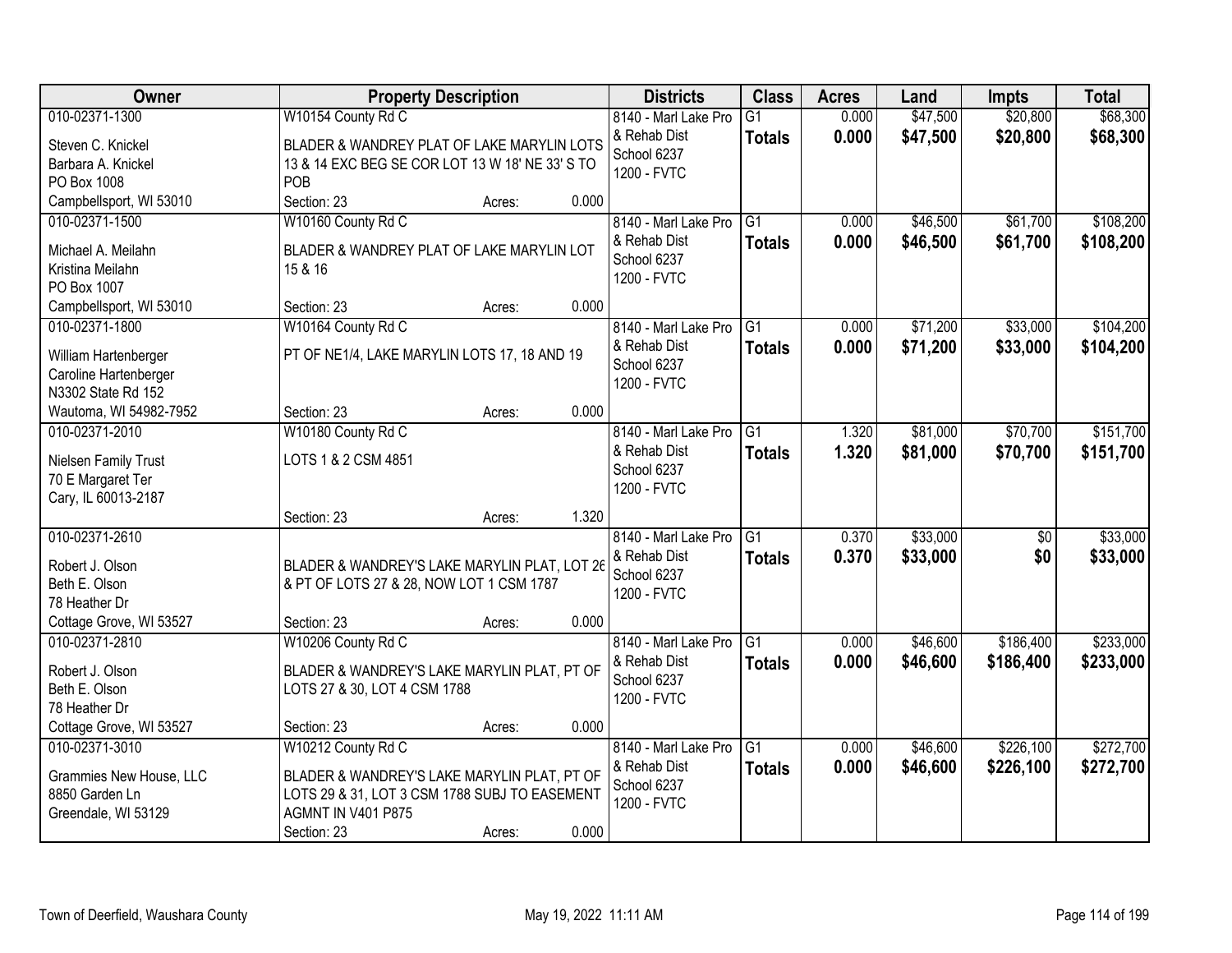| \$68,300<br>010-02371-1300<br>W10154 County Rd C<br>0.000<br>\$47,500<br>\$20,800<br>8140 - Marl Lake Pro<br>$\overline{G1}$<br>0.000<br>\$20,800<br>& Rehab Dist<br>\$47,500<br>\$68,300<br><b>Totals</b><br>BLADER & WANDREY PLAT OF LAKE MARYLIN LOTS<br>Steven C. Knickel<br>School 6237<br>13 & 14 EXC BEG SE COR LOT 13 W 18' NE 33' S TO<br>Barbara A. Knickel<br>1200 - FVTC<br>POB<br>PO Box 1008<br>Campbellsport, WI 53010<br>Section: 23<br>0.000<br>Acres:<br>W10160 County Rd C<br>\$61,700<br>\$108,200<br>010-02371-1500<br>8140 - Marl Lake Pro<br>G1<br>\$46,500<br>0.000<br>& Rehab Dist<br>0.000<br>\$46,500<br>\$61,700<br>\$108,200<br><b>Totals</b><br>Michael A. Meilahn<br>BLADER & WANDREY PLAT OF LAKE MARYLIN LOT<br>School 6237<br>Kristina Meilahn<br>15 & 16<br>1200 - FVTC<br>PO Box 1007<br>0.000<br>Campbellsport, WI 53010<br>Section: 23<br>Acres:<br>W10164 County Rd C<br>\$33,000<br>010-02371-1800<br>$\overline{G1}$<br>0.000<br>\$71,200<br>8140 - Marl Lake Pro<br>& Rehab Dist<br>0.000<br>\$71,200<br>\$33,000<br><b>Totals</b><br>PT OF NE1/4, LAKE MARYLIN LOTS 17, 18 AND 19<br>William Hartenberger<br>School 6237<br>Caroline Hartenberger<br>1200 - FVTC<br>N3302 State Rd 152<br>0.000<br>Wautoma, WI 54982-7952<br>Section: 23<br>Acres:<br>010-02371-2010<br>\$81,000<br>\$70,700<br>W10180 County Rd C<br>8140 - Marl Lake Pro<br>G <sub>1</sub><br>1.320<br>& Rehab Dist<br>1.320<br>\$81,000<br>\$70,700<br><b>Totals</b><br>LOTS 1 & 2 CSM 4851<br>Nielsen Family Trust<br>School 6237<br>70 E Margaret Ter<br>1200 - FVTC<br>Cary, IL 60013-2187<br>1.320<br>Section: 23<br>Acres:<br>010-02371-2610<br>$\overline{G1}$<br>\$33,000<br>0.370<br>$\overline{50}$<br>8140 - Marl Lake Pro<br>0.370<br>& Rehab Dist<br>\$33,000<br>\$0<br><b>Totals</b><br>BLADER & WANDREY'S LAKE MARYLIN PLAT, LOT 26<br>Robert J. Olson<br>School 6237<br>Beth E. Olson<br>& PT OF LOTS 27 & 28, NOW LOT 1 CSM 1787<br>1200 - FVTC<br>78 Heather Dr<br>0.000<br>Cottage Grove, WI 53527<br>Section: 23<br>Acres:<br>G <sub>1</sub><br>\$46,600<br>\$186,400<br>010-02371-2810<br>W10206 County Rd C<br>8140 - Marl Lake Pro<br>0.000<br>& Rehab Dist<br>0.000<br>\$46,600<br>\$186,400<br><b>Totals</b><br>Robert J. Olson<br>BLADER & WANDREY'S LAKE MARYLIN PLAT, PT OF<br>School 6237<br>Beth E. Olson<br>LOTS 27 & 30, LOT 4 CSM 1788<br>1200 - FVTC<br>78 Heather Dr<br>Cottage Grove, WI 53527<br>0.000<br>Section: 23<br>Acres:<br>\$226,100<br>010-02371-3010<br>W10212 County Rd C<br>8140 - Marl Lake Pro<br>\$46,600<br>G1<br>0.000<br>0.000<br>\$226,100<br>& Rehab Dist<br>\$46,600<br><b>Totals</b><br>BLADER & WANDREY'S LAKE MARYLIN PLAT, PT OF<br>Grammies New House, LLC<br>School 6237<br>LOTS 29 & 31, LOT 3 CSM 1788 SUBJ TO EASEMENT<br>8850 Garden Ln<br>1200 - FVTC<br><b>AGMNT IN V401 P875</b><br>Greendale, WI 53129 | Owner | <b>Property Description</b> | <b>Districts</b> | <b>Class</b> | <b>Acres</b> | Land | <b>Impts</b> | <b>Total</b> |
|---------------------------------------------------------------------------------------------------------------------------------------------------------------------------------------------------------------------------------------------------------------------------------------------------------------------------------------------------------------------------------------------------------------------------------------------------------------------------------------------------------------------------------------------------------------------------------------------------------------------------------------------------------------------------------------------------------------------------------------------------------------------------------------------------------------------------------------------------------------------------------------------------------------------------------------------------------------------------------------------------------------------------------------------------------------------------------------------------------------------------------------------------------------------------------------------------------------------------------------------------------------------------------------------------------------------------------------------------------------------------------------------------------------------------------------------------------------------------------------------------------------------------------------------------------------------------------------------------------------------------------------------------------------------------------------------------------------------------------------------------------------------------------------------------------------------------------------------------------------------------------------------------------------------------------------------------------------------------------------------------------------------------------------------------------------------------------------------------------------------------------------------------------------------------------------------------------------------------------------------------------------------------------------------------------------------------------------------------------------------------------------------------------------------------------------------------------------------------------------------------------------------------------------------------------------------------------------------------------------------------------------------------------------------------------------------------------------------------------------------------------------------------------------------------------------------------------------------------------------------------------------------|-------|-----------------------------|------------------|--------------|--------------|------|--------------|--------------|
|                                                                                                                                                                                                                                                                                                                                                                                                                                                                                                                                                                                                                                                                                                                                                                                                                                                                                                                                                                                                                                                                                                                                                                                                                                                                                                                                                                                                                                                                                                                                                                                                                                                                                                                                                                                                                                                                                                                                                                                                                                                                                                                                                                                                                                                                                                                                                                                                                                                                                                                                                                                                                                                                                                                                                                                                                                                                                             |       |                             |                  |              |              |      |              |              |
|                                                                                                                                                                                                                                                                                                                                                                                                                                                                                                                                                                                                                                                                                                                                                                                                                                                                                                                                                                                                                                                                                                                                                                                                                                                                                                                                                                                                                                                                                                                                                                                                                                                                                                                                                                                                                                                                                                                                                                                                                                                                                                                                                                                                                                                                                                                                                                                                                                                                                                                                                                                                                                                                                                                                                                                                                                                                                             |       |                             |                  |              |              |      |              |              |
|                                                                                                                                                                                                                                                                                                                                                                                                                                                                                                                                                                                                                                                                                                                                                                                                                                                                                                                                                                                                                                                                                                                                                                                                                                                                                                                                                                                                                                                                                                                                                                                                                                                                                                                                                                                                                                                                                                                                                                                                                                                                                                                                                                                                                                                                                                                                                                                                                                                                                                                                                                                                                                                                                                                                                                                                                                                                                             |       |                             |                  |              |              |      |              |              |
|                                                                                                                                                                                                                                                                                                                                                                                                                                                                                                                                                                                                                                                                                                                                                                                                                                                                                                                                                                                                                                                                                                                                                                                                                                                                                                                                                                                                                                                                                                                                                                                                                                                                                                                                                                                                                                                                                                                                                                                                                                                                                                                                                                                                                                                                                                                                                                                                                                                                                                                                                                                                                                                                                                                                                                                                                                                                                             |       |                             |                  |              |              |      |              |              |
|                                                                                                                                                                                                                                                                                                                                                                                                                                                                                                                                                                                                                                                                                                                                                                                                                                                                                                                                                                                                                                                                                                                                                                                                                                                                                                                                                                                                                                                                                                                                                                                                                                                                                                                                                                                                                                                                                                                                                                                                                                                                                                                                                                                                                                                                                                                                                                                                                                                                                                                                                                                                                                                                                                                                                                                                                                                                                             |       |                             |                  |              |              |      |              |              |
|                                                                                                                                                                                                                                                                                                                                                                                                                                                                                                                                                                                                                                                                                                                                                                                                                                                                                                                                                                                                                                                                                                                                                                                                                                                                                                                                                                                                                                                                                                                                                                                                                                                                                                                                                                                                                                                                                                                                                                                                                                                                                                                                                                                                                                                                                                                                                                                                                                                                                                                                                                                                                                                                                                                                                                                                                                                                                             |       |                             |                  |              |              |      |              |              |
|                                                                                                                                                                                                                                                                                                                                                                                                                                                                                                                                                                                                                                                                                                                                                                                                                                                                                                                                                                                                                                                                                                                                                                                                                                                                                                                                                                                                                                                                                                                                                                                                                                                                                                                                                                                                                                                                                                                                                                                                                                                                                                                                                                                                                                                                                                                                                                                                                                                                                                                                                                                                                                                                                                                                                                                                                                                                                             |       |                             |                  |              |              |      |              |              |
| \$104,200<br>\$104,200<br>\$151,700<br>\$151,700<br>\$33,000<br>\$33,000<br>\$233,000<br>\$233,000<br>\$272,700<br>\$272,700                                                                                                                                                                                                                                                                                                                                                                                                                                                                                                                                                                                                                                                                                                                                                                                                                                                                                                                                                                                                                                                                                                                                                                                                                                                                                                                                                                                                                                                                                                                                                                                                                                                                                                                                                                                                                                                                                                                                                                                                                                                                                                                                                                                                                                                                                                                                                                                                                                                                                                                                                                                                                                                                                                                                                                |       |                             |                  |              |              |      |              |              |
|                                                                                                                                                                                                                                                                                                                                                                                                                                                                                                                                                                                                                                                                                                                                                                                                                                                                                                                                                                                                                                                                                                                                                                                                                                                                                                                                                                                                                                                                                                                                                                                                                                                                                                                                                                                                                                                                                                                                                                                                                                                                                                                                                                                                                                                                                                                                                                                                                                                                                                                                                                                                                                                                                                                                                                                                                                                                                             |       |                             |                  |              |              |      |              |              |
|                                                                                                                                                                                                                                                                                                                                                                                                                                                                                                                                                                                                                                                                                                                                                                                                                                                                                                                                                                                                                                                                                                                                                                                                                                                                                                                                                                                                                                                                                                                                                                                                                                                                                                                                                                                                                                                                                                                                                                                                                                                                                                                                                                                                                                                                                                                                                                                                                                                                                                                                                                                                                                                                                                                                                                                                                                                                                             |       |                             |                  |              |              |      |              |              |
|                                                                                                                                                                                                                                                                                                                                                                                                                                                                                                                                                                                                                                                                                                                                                                                                                                                                                                                                                                                                                                                                                                                                                                                                                                                                                                                                                                                                                                                                                                                                                                                                                                                                                                                                                                                                                                                                                                                                                                                                                                                                                                                                                                                                                                                                                                                                                                                                                                                                                                                                                                                                                                                                                                                                                                                                                                                                                             |       |                             |                  |              |              |      |              |              |
|                                                                                                                                                                                                                                                                                                                                                                                                                                                                                                                                                                                                                                                                                                                                                                                                                                                                                                                                                                                                                                                                                                                                                                                                                                                                                                                                                                                                                                                                                                                                                                                                                                                                                                                                                                                                                                                                                                                                                                                                                                                                                                                                                                                                                                                                                                                                                                                                                                                                                                                                                                                                                                                                                                                                                                                                                                                                                             |       |                             |                  |              |              |      |              |              |
|                                                                                                                                                                                                                                                                                                                                                                                                                                                                                                                                                                                                                                                                                                                                                                                                                                                                                                                                                                                                                                                                                                                                                                                                                                                                                                                                                                                                                                                                                                                                                                                                                                                                                                                                                                                                                                                                                                                                                                                                                                                                                                                                                                                                                                                                                                                                                                                                                                                                                                                                                                                                                                                                                                                                                                                                                                                                                             |       |                             |                  |              |              |      |              |              |
|                                                                                                                                                                                                                                                                                                                                                                                                                                                                                                                                                                                                                                                                                                                                                                                                                                                                                                                                                                                                                                                                                                                                                                                                                                                                                                                                                                                                                                                                                                                                                                                                                                                                                                                                                                                                                                                                                                                                                                                                                                                                                                                                                                                                                                                                                                                                                                                                                                                                                                                                                                                                                                                                                                                                                                                                                                                                                             |       |                             |                  |              |              |      |              |              |
|                                                                                                                                                                                                                                                                                                                                                                                                                                                                                                                                                                                                                                                                                                                                                                                                                                                                                                                                                                                                                                                                                                                                                                                                                                                                                                                                                                                                                                                                                                                                                                                                                                                                                                                                                                                                                                                                                                                                                                                                                                                                                                                                                                                                                                                                                                                                                                                                                                                                                                                                                                                                                                                                                                                                                                                                                                                                                             |       |                             |                  |              |              |      |              |              |
|                                                                                                                                                                                                                                                                                                                                                                                                                                                                                                                                                                                                                                                                                                                                                                                                                                                                                                                                                                                                                                                                                                                                                                                                                                                                                                                                                                                                                                                                                                                                                                                                                                                                                                                                                                                                                                                                                                                                                                                                                                                                                                                                                                                                                                                                                                                                                                                                                                                                                                                                                                                                                                                                                                                                                                                                                                                                                             |       |                             |                  |              |              |      |              |              |
|                                                                                                                                                                                                                                                                                                                                                                                                                                                                                                                                                                                                                                                                                                                                                                                                                                                                                                                                                                                                                                                                                                                                                                                                                                                                                                                                                                                                                                                                                                                                                                                                                                                                                                                                                                                                                                                                                                                                                                                                                                                                                                                                                                                                                                                                                                                                                                                                                                                                                                                                                                                                                                                                                                                                                                                                                                                                                             |       |                             |                  |              |              |      |              |              |
|                                                                                                                                                                                                                                                                                                                                                                                                                                                                                                                                                                                                                                                                                                                                                                                                                                                                                                                                                                                                                                                                                                                                                                                                                                                                                                                                                                                                                                                                                                                                                                                                                                                                                                                                                                                                                                                                                                                                                                                                                                                                                                                                                                                                                                                                                                                                                                                                                                                                                                                                                                                                                                                                                                                                                                                                                                                                                             |       |                             |                  |              |              |      |              |              |
|                                                                                                                                                                                                                                                                                                                                                                                                                                                                                                                                                                                                                                                                                                                                                                                                                                                                                                                                                                                                                                                                                                                                                                                                                                                                                                                                                                                                                                                                                                                                                                                                                                                                                                                                                                                                                                                                                                                                                                                                                                                                                                                                                                                                                                                                                                                                                                                                                                                                                                                                                                                                                                                                                                                                                                                                                                                                                             |       |                             |                  |              |              |      |              |              |
|                                                                                                                                                                                                                                                                                                                                                                                                                                                                                                                                                                                                                                                                                                                                                                                                                                                                                                                                                                                                                                                                                                                                                                                                                                                                                                                                                                                                                                                                                                                                                                                                                                                                                                                                                                                                                                                                                                                                                                                                                                                                                                                                                                                                                                                                                                                                                                                                                                                                                                                                                                                                                                                                                                                                                                                                                                                                                             |       |                             |                  |              |              |      |              |              |
|                                                                                                                                                                                                                                                                                                                                                                                                                                                                                                                                                                                                                                                                                                                                                                                                                                                                                                                                                                                                                                                                                                                                                                                                                                                                                                                                                                                                                                                                                                                                                                                                                                                                                                                                                                                                                                                                                                                                                                                                                                                                                                                                                                                                                                                                                                                                                                                                                                                                                                                                                                                                                                                                                                                                                                                                                                                                                             |       |                             |                  |              |              |      |              |              |
|                                                                                                                                                                                                                                                                                                                                                                                                                                                                                                                                                                                                                                                                                                                                                                                                                                                                                                                                                                                                                                                                                                                                                                                                                                                                                                                                                                                                                                                                                                                                                                                                                                                                                                                                                                                                                                                                                                                                                                                                                                                                                                                                                                                                                                                                                                                                                                                                                                                                                                                                                                                                                                                                                                                                                                                                                                                                                             |       |                             |                  |              |              |      |              |              |
|                                                                                                                                                                                                                                                                                                                                                                                                                                                                                                                                                                                                                                                                                                                                                                                                                                                                                                                                                                                                                                                                                                                                                                                                                                                                                                                                                                                                                                                                                                                                                                                                                                                                                                                                                                                                                                                                                                                                                                                                                                                                                                                                                                                                                                                                                                                                                                                                                                                                                                                                                                                                                                                                                                                                                                                                                                                                                             |       |                             |                  |              |              |      |              |              |
|                                                                                                                                                                                                                                                                                                                                                                                                                                                                                                                                                                                                                                                                                                                                                                                                                                                                                                                                                                                                                                                                                                                                                                                                                                                                                                                                                                                                                                                                                                                                                                                                                                                                                                                                                                                                                                                                                                                                                                                                                                                                                                                                                                                                                                                                                                                                                                                                                                                                                                                                                                                                                                                                                                                                                                                                                                                                                             |       |                             |                  |              |              |      |              |              |
|                                                                                                                                                                                                                                                                                                                                                                                                                                                                                                                                                                                                                                                                                                                                                                                                                                                                                                                                                                                                                                                                                                                                                                                                                                                                                                                                                                                                                                                                                                                                                                                                                                                                                                                                                                                                                                                                                                                                                                                                                                                                                                                                                                                                                                                                                                                                                                                                                                                                                                                                                                                                                                                                                                                                                                                                                                                                                             |       |                             |                  |              |              |      |              |              |
|                                                                                                                                                                                                                                                                                                                                                                                                                                                                                                                                                                                                                                                                                                                                                                                                                                                                                                                                                                                                                                                                                                                                                                                                                                                                                                                                                                                                                                                                                                                                                                                                                                                                                                                                                                                                                                                                                                                                                                                                                                                                                                                                                                                                                                                                                                                                                                                                                                                                                                                                                                                                                                                                                                                                                                                                                                                                                             |       |                             |                  |              |              |      |              |              |
|                                                                                                                                                                                                                                                                                                                                                                                                                                                                                                                                                                                                                                                                                                                                                                                                                                                                                                                                                                                                                                                                                                                                                                                                                                                                                                                                                                                                                                                                                                                                                                                                                                                                                                                                                                                                                                                                                                                                                                                                                                                                                                                                                                                                                                                                                                                                                                                                                                                                                                                                                                                                                                                                                                                                                                                                                                                                                             |       |                             |                  |              |              |      |              |              |
|                                                                                                                                                                                                                                                                                                                                                                                                                                                                                                                                                                                                                                                                                                                                                                                                                                                                                                                                                                                                                                                                                                                                                                                                                                                                                                                                                                                                                                                                                                                                                                                                                                                                                                                                                                                                                                                                                                                                                                                                                                                                                                                                                                                                                                                                                                                                                                                                                                                                                                                                                                                                                                                                                                                                                                                                                                                                                             |       |                             |                  |              |              |      |              |              |
|                                                                                                                                                                                                                                                                                                                                                                                                                                                                                                                                                                                                                                                                                                                                                                                                                                                                                                                                                                                                                                                                                                                                                                                                                                                                                                                                                                                                                                                                                                                                                                                                                                                                                                                                                                                                                                                                                                                                                                                                                                                                                                                                                                                                                                                                                                                                                                                                                                                                                                                                                                                                                                                                                                                                                                                                                                                                                             |       |                             |                  |              |              |      |              |              |
|                                                                                                                                                                                                                                                                                                                                                                                                                                                                                                                                                                                                                                                                                                                                                                                                                                                                                                                                                                                                                                                                                                                                                                                                                                                                                                                                                                                                                                                                                                                                                                                                                                                                                                                                                                                                                                                                                                                                                                                                                                                                                                                                                                                                                                                                                                                                                                                                                                                                                                                                                                                                                                                                                                                                                                                                                                                                                             |       |                             |                  |              |              |      |              |              |
|                                                                                                                                                                                                                                                                                                                                                                                                                                                                                                                                                                                                                                                                                                                                                                                                                                                                                                                                                                                                                                                                                                                                                                                                                                                                                                                                                                                                                                                                                                                                                                                                                                                                                                                                                                                                                                                                                                                                                                                                                                                                                                                                                                                                                                                                                                                                                                                                                                                                                                                                                                                                                                                                                                                                                                                                                                                                                             |       |                             |                  |              |              |      |              |              |
|                                                                                                                                                                                                                                                                                                                                                                                                                                                                                                                                                                                                                                                                                                                                                                                                                                                                                                                                                                                                                                                                                                                                                                                                                                                                                                                                                                                                                                                                                                                                                                                                                                                                                                                                                                                                                                                                                                                                                                                                                                                                                                                                                                                                                                                                                                                                                                                                                                                                                                                                                                                                                                                                                                                                                                                                                                                                                             |       |                             |                  |              |              |      |              |              |
|                                                                                                                                                                                                                                                                                                                                                                                                                                                                                                                                                                                                                                                                                                                                                                                                                                                                                                                                                                                                                                                                                                                                                                                                                                                                                                                                                                                                                                                                                                                                                                                                                                                                                                                                                                                                                                                                                                                                                                                                                                                                                                                                                                                                                                                                                                                                                                                                                                                                                                                                                                                                                                                                                                                                                                                                                                                                                             |       |                             |                  |              |              |      |              |              |
|                                                                                                                                                                                                                                                                                                                                                                                                                                                                                                                                                                                                                                                                                                                                                                                                                                                                                                                                                                                                                                                                                                                                                                                                                                                                                                                                                                                                                                                                                                                                                                                                                                                                                                                                                                                                                                                                                                                                                                                                                                                                                                                                                                                                                                                                                                                                                                                                                                                                                                                                                                                                                                                                                                                                                                                                                                                                                             |       |                             |                  |              |              |      |              |              |
|                                                                                                                                                                                                                                                                                                                                                                                                                                                                                                                                                                                                                                                                                                                                                                                                                                                                                                                                                                                                                                                                                                                                                                                                                                                                                                                                                                                                                                                                                                                                                                                                                                                                                                                                                                                                                                                                                                                                                                                                                                                                                                                                                                                                                                                                                                                                                                                                                                                                                                                                                                                                                                                                                                                                                                                                                                                                                             |       |                             |                  |              |              |      |              |              |
| 0.000<br>Section: 23<br>Acres:                                                                                                                                                                                                                                                                                                                                                                                                                                                                                                                                                                                                                                                                                                                                                                                                                                                                                                                                                                                                                                                                                                                                                                                                                                                                                                                                                                                                                                                                                                                                                                                                                                                                                                                                                                                                                                                                                                                                                                                                                                                                                                                                                                                                                                                                                                                                                                                                                                                                                                                                                                                                                                                                                                                                                                                                                                                              |       |                             |                  |              |              |      |              |              |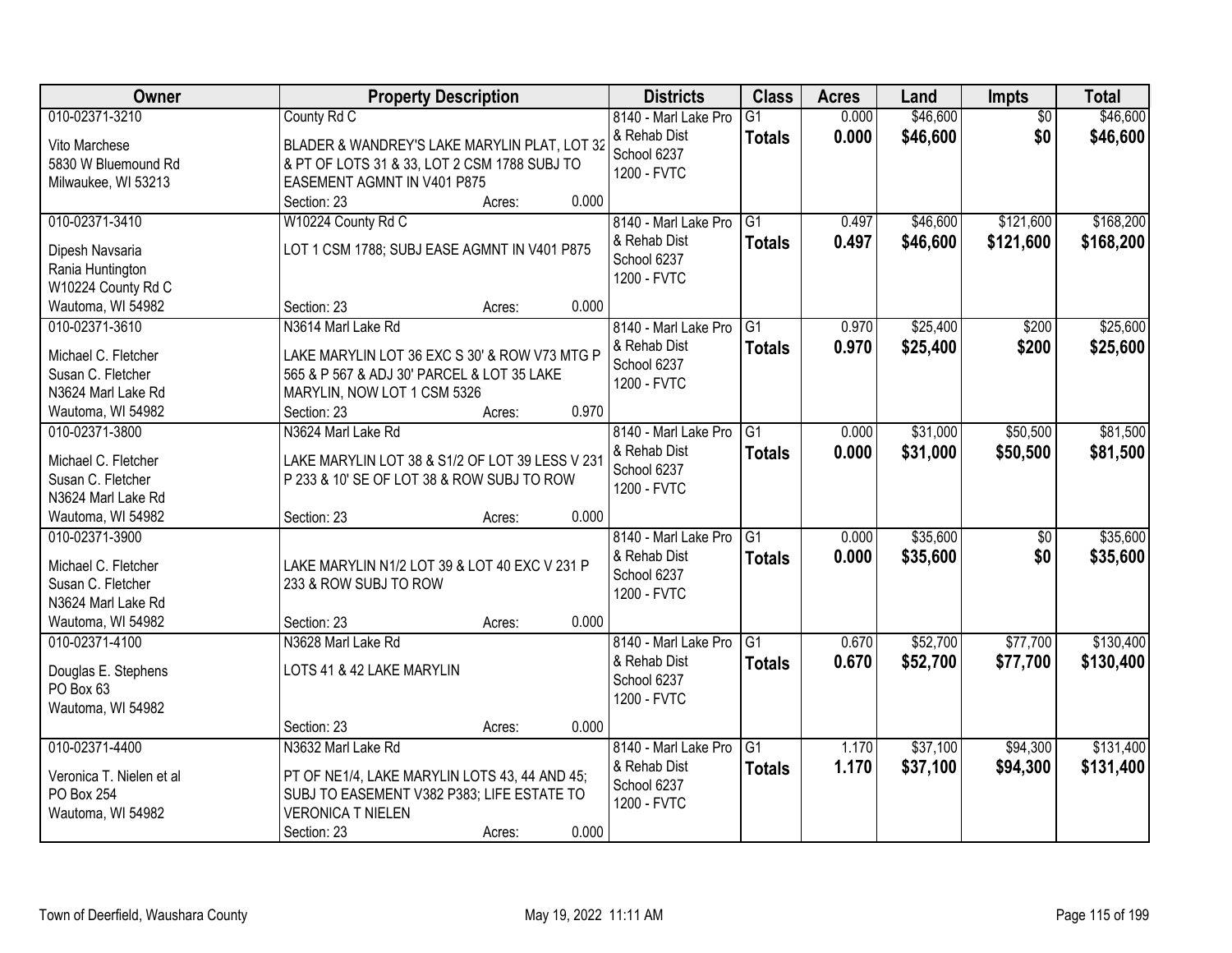| Owner                            | <b>Property Description</b>                     | <b>Districts</b>     | <b>Class</b>    | <b>Acres</b> | Land     | Impts           | <b>Total</b> |
|----------------------------------|-------------------------------------------------|----------------------|-----------------|--------------|----------|-----------------|--------------|
| 010-02371-3210                   | County Rd C                                     | 8140 - Marl Lake Pro | $\overline{G1}$ | 0.000        | \$46,600 | $\overline{50}$ | \$46,600     |
| Vito Marchese                    | BLADER & WANDREY'S LAKE MARYLIN PLAT, LOT 32    | & Rehab Dist         | <b>Totals</b>   | 0.000        | \$46,600 | \$0             | \$46,600     |
| 5830 W Bluemound Rd              | & PT OF LOTS 31 & 33, LOT 2 CSM 1788 SUBJ TO    | School 6237          |                 |              |          |                 |              |
| Milwaukee, WI 53213              | EASEMENT AGMNT IN V401 P875                     | 1200 - FVTC          |                 |              |          |                 |              |
|                                  | 0.000<br>Section: 23<br>Acres:                  |                      |                 |              |          |                 |              |
| 010-02371-3410                   | W10224 County Rd C                              | 8140 - Marl Lake Pro | G1              | 0.497        | \$46,600 | \$121,600       | \$168,200    |
|                                  |                                                 | & Rehab Dist         | <b>Totals</b>   | 0.497        | \$46,600 | \$121,600       | \$168,200    |
| Dipesh Navsaria                  | LOT 1 CSM 1788; SUBJ EASE AGMNT IN V401 P875    | School 6237          |                 |              |          |                 |              |
| Rania Huntington                 |                                                 | 1200 - FVTC          |                 |              |          |                 |              |
| W10224 County Rd C               |                                                 |                      |                 |              |          |                 |              |
| Wautoma, WI 54982                | 0.000<br>Section: 23<br>Acres:                  |                      |                 |              |          |                 |              |
| 010-02371-3610                   | N3614 Marl Lake Rd                              | 8140 - Marl Lake Pro | G1              | 0.970        | \$25,400 | \$200           | \$25,600     |
| Michael C. Fletcher              | LAKE MARYLIN LOT 36 EXC S 30' & ROW V73 MTG P   | & Rehab Dist         | <b>Totals</b>   | 0.970        | \$25,400 | \$200           | \$25,600     |
| Susan C. Fletcher                | 565 & P 567 & ADJ 30' PARCEL & LOT 35 LAKE      | School 6237          |                 |              |          |                 |              |
| N3624 Marl Lake Rd               | MARYLIN, NOW LOT 1 CSM 5326                     | 1200 - FVTC          |                 |              |          |                 |              |
| Wautoma, WI 54982                | 0.970<br>Section: 23<br>Acres:                  |                      |                 |              |          |                 |              |
| 010-02371-3800                   | N3624 Marl Lake Rd                              | 8140 - Marl Lake Pro | G <sub>1</sub>  | 0.000        | \$31,000 | \$50,500        | \$81,500     |
|                                  |                                                 | & Rehab Dist         | <b>Totals</b>   | 0.000        | \$31,000 | \$50,500        | \$81,500     |
| Michael C. Fletcher              | LAKE MARYLIN LOT 38 & S1/2 OF LOT 39 LESS V 231 | School 6237          |                 |              |          |                 |              |
| Susan C. Fletcher                | P 233 & 10' SE OF LOT 38 & ROW SUBJ TO ROW      | 1200 - FVTC          |                 |              |          |                 |              |
| N3624 Marl Lake Rd               |                                                 |                      |                 |              |          |                 |              |
| Wautoma, WI 54982                | 0.000<br>Section: 23<br>Acres:                  |                      |                 |              |          |                 |              |
| 010-02371-3900                   |                                                 | 8140 - Marl Lake Pro | $\overline{G1}$ | 0.000        | \$35,600 | $\overline{50}$ | \$35,600     |
| Michael C. Fletcher              | LAKE MARYLIN N1/2 LOT 39 & LOT 40 EXC V 231 P   | & Rehab Dist         | <b>Totals</b>   | 0.000        | \$35,600 | \$0             | \$35,600     |
| Susan C. Fletcher                | 233 & ROW SUBJ TO ROW                           | School 6237          |                 |              |          |                 |              |
| N3624 Marl Lake Rd               |                                                 | 1200 - FVTC          |                 |              |          |                 |              |
| Wautoma, WI 54982                | 0.000<br>Section: 23<br>Acres:                  |                      |                 |              |          |                 |              |
| 010-02371-4100                   | N3628 Marl Lake Rd                              | 8140 - Marl Lake Pro | G1              | 0.670        | \$52,700 | \$77,700        | \$130,400    |
|                                  | LOTS 41 & 42 LAKE MARYLIN                       | & Rehab Dist         | <b>Totals</b>   | 0.670        | \$52,700 | \$77,700        | \$130,400    |
| Douglas E. Stephens<br>PO Box 63 |                                                 | School 6237          |                 |              |          |                 |              |
| Wautoma, WI 54982                |                                                 | 1200 - FVTC          |                 |              |          |                 |              |
|                                  | 0.000<br>Section: 23<br>Acres:                  |                      |                 |              |          |                 |              |
| 010-02371-4400                   | N3632 Marl Lake Rd                              | 8140 - Marl Lake Pro | G1              | 1.170        | \$37,100 | \$94,300        | \$131,400    |
|                                  |                                                 | & Rehab Dist         |                 |              |          |                 |              |
| Veronica T. Nielen et al         | PT OF NE1/4, LAKE MARYLIN LOTS 43, 44 AND 45;   | School 6237          | <b>Totals</b>   | 1.170        | \$37,100 | \$94,300        | \$131,400    |
| PO Box 254                       | SUBJ TO EASEMENT V382 P383; LIFE ESTATE TO      | 1200 - FVTC          |                 |              |          |                 |              |
| Wautoma, WI 54982                | <b>VERONICA T NIELEN</b>                        |                      |                 |              |          |                 |              |
|                                  | 0.000<br>Section: 23<br>Acres:                  |                      |                 |              |          |                 |              |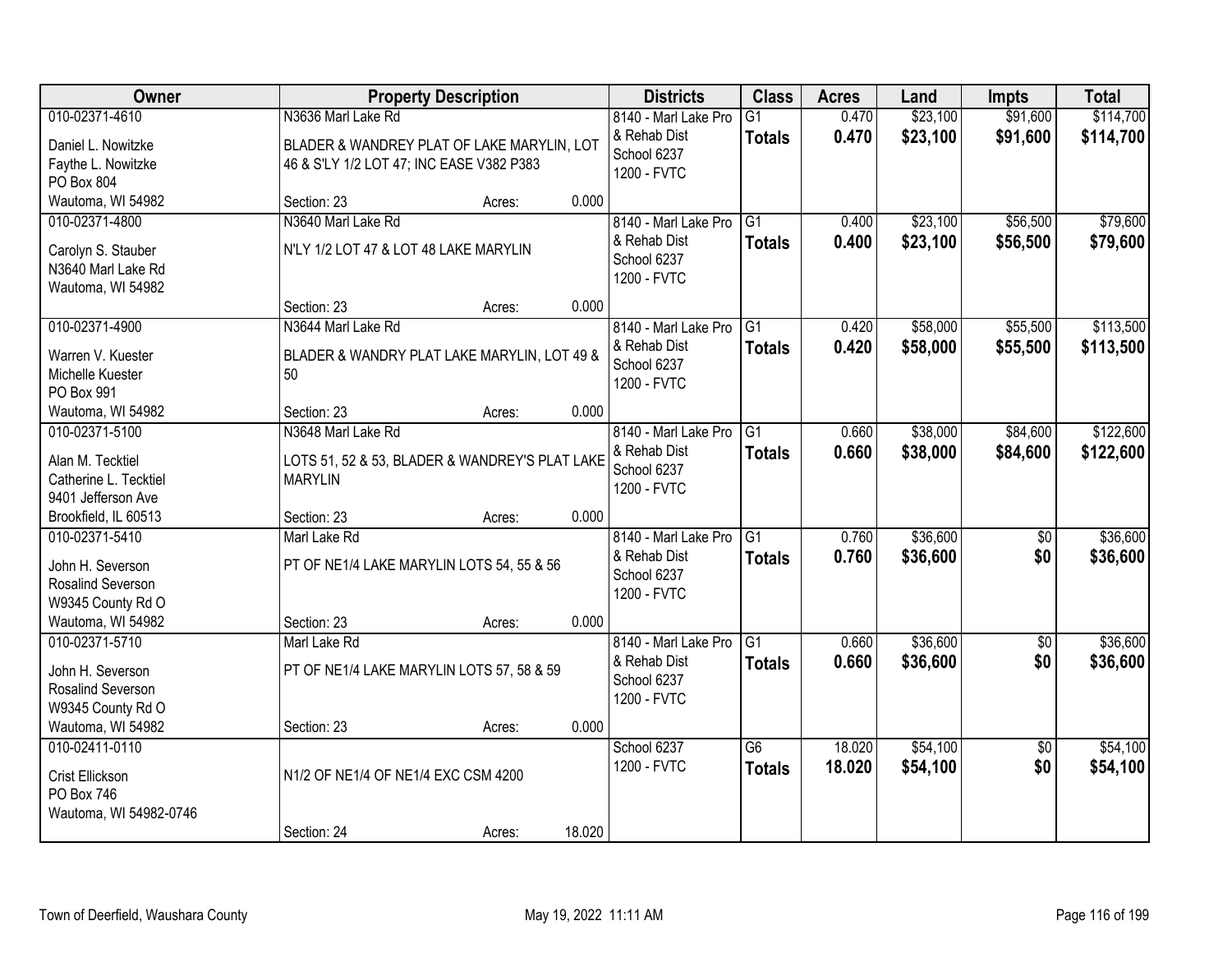| Owner                                     |                                                                  | <b>Property Description</b> |        | <b>Districts</b>     | <b>Class</b>    | <b>Acres</b> | Land     | <b>Impts</b>    | <b>Total</b> |
|-------------------------------------------|------------------------------------------------------------------|-----------------------------|--------|----------------------|-----------------|--------------|----------|-----------------|--------------|
| 010-02371-4610                            | N3636 Marl Lake Rd                                               |                             |        | 8140 - Marl Lake Pro | $\overline{G1}$ | 0.470        | \$23,100 | \$91,600        | \$114,700    |
| Daniel L. Nowitzke                        | BLADER & WANDREY PLAT OF LAKE MARYLIN, LOT                       |                             |        | & Rehab Dist         | <b>Totals</b>   | 0.470        | \$23,100 | \$91,600        | \$114,700    |
| Faythe L. Nowitzke                        | 46 & S'LY 1/2 LOT 47; INC EASE V382 P383                         |                             |        | School 6237          |                 |              |          |                 |              |
| PO Box 804                                |                                                                  |                             |        | 1200 - FVTC          |                 |              |          |                 |              |
| Wautoma, WI 54982                         | Section: 23                                                      | Acres:                      | 0.000  |                      |                 |              |          |                 |              |
| 010-02371-4800                            | N3640 Marl Lake Rd                                               |                             |        | 8140 - Marl Lake Pro | $\overline{G1}$ | 0.400        | \$23,100 | \$56,500        | \$79,600     |
| Carolyn S. Stauber                        | N'LY 1/2 LOT 47 & LOT 48 LAKE MARYLIN                            |                             |        | & Rehab Dist         | <b>Totals</b>   | 0.400        | \$23,100 | \$56,500        | \$79,600     |
| N3640 Marl Lake Rd                        |                                                                  |                             |        | School 6237          |                 |              |          |                 |              |
| Wautoma, WI 54982                         |                                                                  |                             |        | 1200 - FVTC          |                 |              |          |                 |              |
|                                           | Section: 23                                                      | Acres:                      | 0.000  |                      |                 |              |          |                 |              |
| 010-02371-4900                            | N3644 Marl Lake Rd                                               |                             |        | 8140 - Marl Lake Pro | G1              | 0.420        | \$58,000 | \$55,500        | \$113,500    |
| Warren V. Kuester                         | BLADER & WANDRY PLAT LAKE MARYLIN, LOT 49 &                      |                             |        | & Rehab Dist         | <b>Totals</b>   | 0.420        | \$58,000 | \$55,500        | \$113,500    |
| Michelle Kuester                          | 50                                                               |                             |        | School 6237          |                 |              |          |                 |              |
| PO Box 991                                |                                                                  |                             |        | 1200 - FVTC          |                 |              |          |                 |              |
| Wautoma, WI 54982                         | Section: 23                                                      | Acres:                      | 0.000  |                      |                 |              |          |                 |              |
| 010-02371-5100                            | N3648 Marl Lake Rd                                               |                             |        | 8140 - Marl Lake Pro | G1              | 0.660        | \$38,000 | \$84,600        | \$122,600    |
|                                           |                                                                  |                             |        | & Rehab Dist         | <b>Totals</b>   | 0.660        | \$38,000 | \$84,600        | \$122,600    |
| Alan M. Tecktiel<br>Catherine L. Tecktiel | LOTS 51, 52 & 53, BLADER & WANDREY'S PLAT LAKE<br><b>MARYLIN</b> |                             |        | School 6237          |                 |              |          |                 |              |
| 9401 Jefferson Ave                        |                                                                  |                             |        | 1200 - FVTC          |                 |              |          |                 |              |
| Brookfield, IL 60513                      | Section: 23                                                      | Acres:                      | 0.000  |                      |                 |              |          |                 |              |
| 010-02371-5410                            | Marl Lake Rd                                                     |                             |        | 8140 - Marl Lake Pro | $\overline{G1}$ | 0.760        | \$36,600 | $\overline{50}$ | \$36,600     |
|                                           |                                                                  |                             |        | & Rehab Dist         | <b>Totals</b>   | 0.760        | \$36,600 | \$0             | \$36,600     |
| John H. Severson                          | PT OF NE1/4 LAKE MARYLIN LOTS 54, 55 & 56                        |                             |        | School 6237          |                 |              |          |                 |              |
| Rosalind Severson                         |                                                                  |                             |        | 1200 - FVTC          |                 |              |          |                 |              |
| W9345 County Rd O                         |                                                                  |                             |        |                      |                 |              |          |                 |              |
| Wautoma, WI 54982                         | Section: 23                                                      | Acres:                      | 0.000  |                      |                 |              |          |                 |              |
| 010-02371-5710                            | Marl Lake Rd                                                     |                             |        | 8140 - Marl Lake Pro | G1              | 0.660        | \$36,600 | $\overline{50}$ | \$36,600     |
| John H. Severson                          | PT OF NE1/4 LAKE MARYLIN LOTS 57, 58 & 59                        |                             |        | & Rehab Dist         | <b>Totals</b>   | 0.660        | \$36,600 | \$0             | \$36,600     |
| Rosalind Severson                         |                                                                  |                             |        | School 6237          |                 |              |          |                 |              |
| W9345 County Rd O                         |                                                                  |                             |        | 1200 - FVTC          |                 |              |          |                 |              |
| Wautoma, WI 54982                         | Section: 23                                                      | Acres:                      | 0.000  |                      |                 |              |          |                 |              |
| 010-02411-0110                            |                                                                  |                             |        | School 6237          | $\overline{G6}$ | 18.020       | \$54,100 | $\overline{50}$ | \$54,100     |
| Crist Ellickson                           | N1/2 OF NE1/4 OF NE1/4 EXC CSM 4200                              |                             |        | 1200 - FVTC          | <b>Totals</b>   | 18.020       | \$54,100 | \$0             | \$54,100     |
| PO Box 746                                |                                                                  |                             |        |                      |                 |              |          |                 |              |
| Wautoma, WI 54982-0746                    |                                                                  |                             |        |                      |                 |              |          |                 |              |
|                                           | Section: 24                                                      | Acres:                      | 18.020 |                      |                 |              |          |                 |              |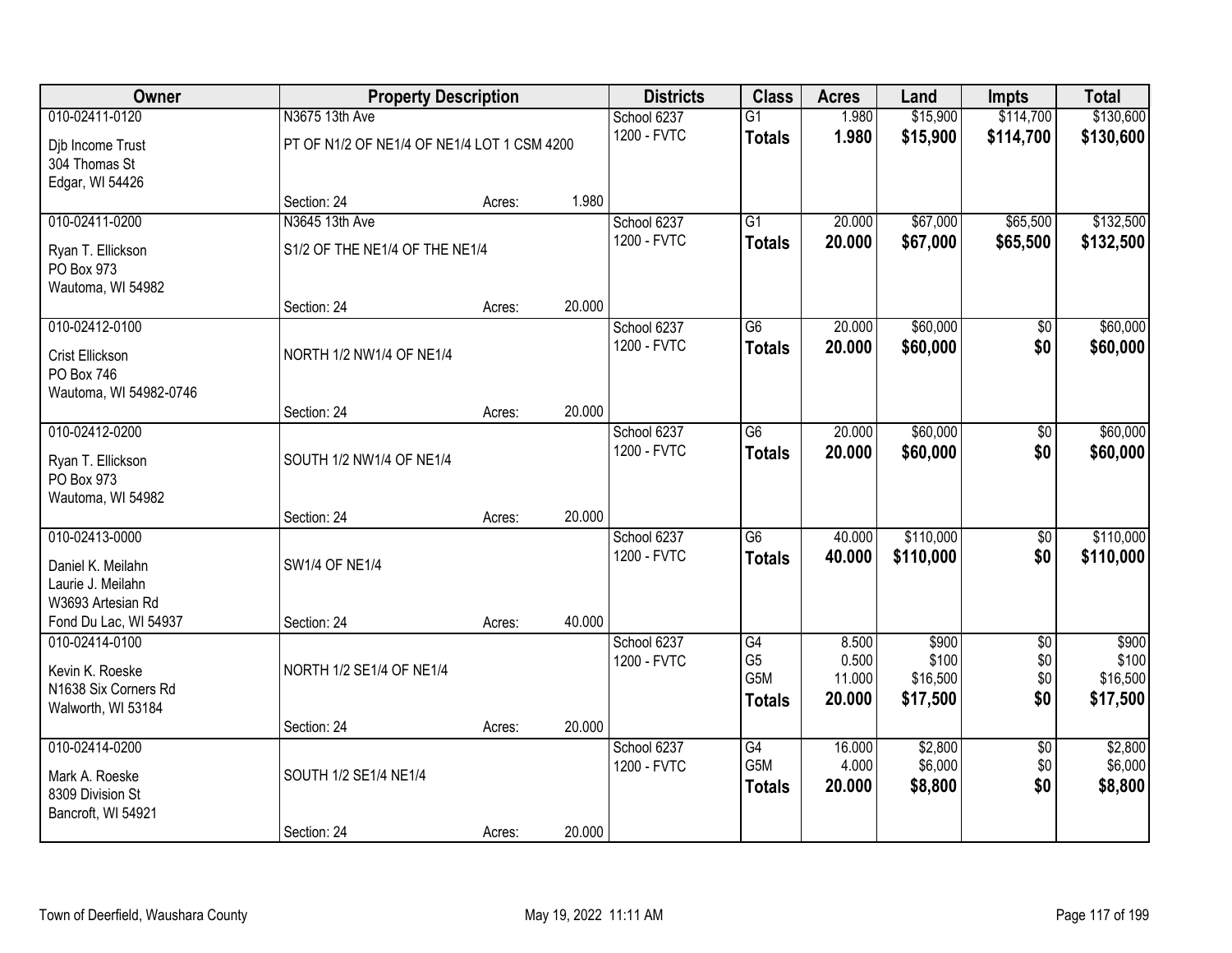| Owner                                                                                                  |                                             | <b>Property Description</b> |        | <b>Districts</b>           | <b>Class</b>                           | <b>Acres</b>              | Land                          | <b>Impts</b>                  | <b>Total</b>                  |
|--------------------------------------------------------------------------------------------------------|---------------------------------------------|-----------------------------|--------|----------------------------|----------------------------------------|---------------------------|-------------------------------|-------------------------------|-------------------------------|
| 010-02411-0120                                                                                         | N3675 13th Ave                              |                             |        | School 6237                | $\overline{G1}$                        | 1.980                     | \$15,900                      | \$114,700                     | \$130,600                     |
| Djb Income Trust<br>304 Thomas St<br>Edgar, WI 54426                                                   | PT OF N1/2 OF NE1/4 OF NE1/4 LOT 1 CSM 4200 |                             |        | 1200 - FVTC                | <b>Totals</b>                          | 1.980                     | \$15,900                      | \$114,700                     | \$130,600                     |
|                                                                                                        | Section: 24                                 | Acres:                      | 1.980  |                            |                                        |                           |                               |                               |                               |
| 010-02411-0200                                                                                         | N3645 13th Ave                              |                             |        | School 6237                | G1                                     | 20.000                    | \$67,000                      | \$65,500                      | \$132,500                     |
| Ryan T. Ellickson<br>PO Box 973<br>Wautoma, WI 54982                                                   | S1/2 OF THE NE1/4 OF THE NE1/4              |                             |        | 1200 - FVTC                | <b>Totals</b>                          | 20.000                    | \$67,000                      | \$65,500                      | \$132,500                     |
|                                                                                                        | Section: 24                                 | Acres:                      | 20.000 |                            |                                        |                           |                               |                               |                               |
| 010-02412-0100                                                                                         |                                             |                             |        | School 6237                | G6                                     | 20.000                    | \$60,000                      | \$0                           | \$60,000                      |
| Crist Ellickson<br>PO Box 746<br>Wautoma, WI 54982-0746                                                | NORTH 1/2 NW1/4 OF NE1/4                    |                             |        | 1200 - FVTC                | <b>Totals</b>                          | 20.000                    | \$60,000                      | \$0                           | \$60,000                      |
|                                                                                                        | Section: 24                                 | Acres:                      | 20.000 |                            |                                        |                           |                               |                               |                               |
| 010-02412-0200<br>Ryan T. Ellickson                                                                    | SOUTH 1/2 NW1/4 OF NE1/4                    |                             |        | School 6237<br>1200 - FVTC | G6<br><b>Totals</b>                    | 20.000<br>20.000          | \$60,000<br>\$60,000          | \$0<br>\$0                    | \$60,000<br>\$60,000          |
| PO Box 973<br>Wautoma, WI 54982                                                                        |                                             |                             |        |                            |                                        |                           |                               |                               |                               |
|                                                                                                        | Section: 24                                 | Acres:                      | 20.000 |                            |                                        |                           |                               |                               |                               |
| 010-02413-0000<br>Daniel K. Meilahn<br>Laurie J. Meilahn<br>W3693 Artesian Rd<br>Fond Du Lac, WI 54937 | <b>SW1/4 OF NE1/4</b><br>Section: 24        | Acres:                      | 40.000 | School 6237<br>1200 - FVTC | $\overline{G6}$<br><b>Totals</b>       | 40.000<br>40.000          | \$110,000<br>\$110,000        | \$0<br>\$0                    | \$110,000<br>\$110,000        |
| 010-02414-0100                                                                                         |                                             |                             |        | School 6237                | G4                                     | 8.500                     | \$900                         | $\overline{50}$               | \$900                         |
| Kevin K. Roeske<br>N1638 Six Corners Rd<br>Walworth, WI 53184                                          | NORTH 1/2 SE1/4 OF NE1/4                    |                             |        | 1200 - FVTC                | G <sub>5</sub><br>G5M<br><b>Totals</b> | 0.500<br>11.000<br>20.000 | \$100<br>\$16,500<br>\$17,500 | \$0<br>\$0<br>\$0             | \$100<br>\$16,500<br>\$17,500 |
|                                                                                                        | Section: 24                                 | Acres:                      | 20.000 |                            |                                        |                           |                               |                               |                               |
| 010-02414-0200<br>Mark A. Roeske<br>8309 Division St<br>Bancroft, WI 54921                             | SOUTH 1/2 SE1/4 NE1/4                       |                             |        | School 6237<br>1200 - FVTC | G4<br>G5M<br><b>Totals</b>             | 16.000<br>4.000<br>20.000 | \$2,800<br>\$6,000<br>\$8,800 | $\overline{50}$<br>\$0<br>\$0 | \$2,800<br>\$6,000<br>\$8,800 |
|                                                                                                        | Section: 24                                 | Acres:                      | 20.000 |                            |                                        |                           |                               |                               |                               |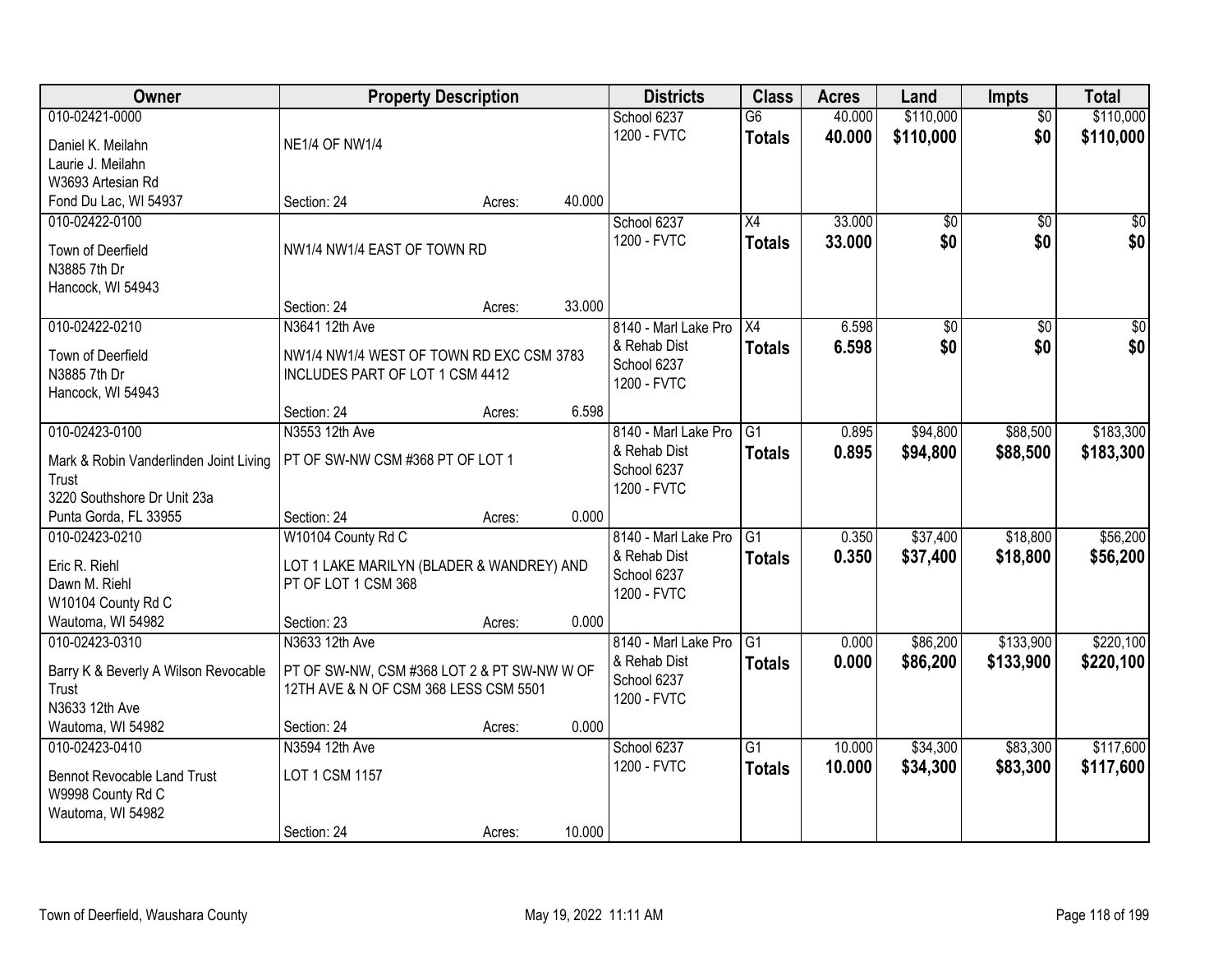| Owner                                  | <b>Property Description</b>                                      |        |        | <b>Districts</b>     | <b>Class</b>    | <b>Acres</b> | Land      | <b>Impts</b>    | <b>Total</b>     |
|----------------------------------------|------------------------------------------------------------------|--------|--------|----------------------|-----------------|--------------|-----------|-----------------|------------------|
| 010-02421-0000                         |                                                                  |        |        | School 6237          | $\overline{G6}$ | 40.000       | \$110,000 | $\overline{50}$ | \$110,000        |
| Daniel K. Meilahn                      | <b>NE1/4 OF NW1/4</b>                                            |        |        | 1200 - FVTC          | <b>Totals</b>   | 40.000       | \$110,000 | \$0             | \$110,000        |
| Laurie J. Meilahn                      |                                                                  |        |        |                      |                 |              |           |                 |                  |
| W3693 Artesian Rd                      |                                                                  |        |        |                      |                 |              |           |                 |                  |
| Fond Du Lac, WI 54937                  | Section: 24                                                      | Acres: | 40.000 |                      |                 |              |           |                 |                  |
| 010-02422-0100                         |                                                                  |        |        | School 6237          | $\overline{X4}$ | 33.000       | \$0       | $\overline{50}$ | $\sqrt{50}$      |
|                                        |                                                                  |        |        | 1200 - FVTC          | <b>Totals</b>   | 33.000       | \$0       | \$0             | \$0              |
| Town of Deerfield                      | NW1/4 NW1/4 EAST OF TOWN RD                                      |        |        |                      |                 |              |           |                 |                  |
| N3885 7th Dr                           |                                                                  |        |        |                      |                 |              |           |                 |                  |
| Hancock, WI 54943                      | Section: 24                                                      | Acres: | 33.000 |                      |                 |              |           |                 |                  |
| 010-02422-0210                         | N3641 12th Ave                                                   |        |        | 8140 - Marl Lake Pro | X4              | 6.598        | \$0       | \$0             | $\overline{\$0}$ |
|                                        |                                                                  |        |        | & Rehab Dist         |                 | 6.598        | \$0       | \$0             | \$0              |
| Town of Deerfield                      | NW1/4 NW1/4 WEST OF TOWN RD EXC CSM 3783                         |        |        | School 6237          | <b>Totals</b>   |              |           |                 |                  |
| N3885 7th Dr                           | INCLUDES PART OF LOT 1 CSM 4412                                  |        |        | 1200 - FVTC          |                 |              |           |                 |                  |
| Hancock, WI 54943                      |                                                                  |        |        |                      |                 |              |           |                 |                  |
|                                        | Section: 24                                                      | Acres: | 6.598  |                      |                 |              |           |                 |                  |
| 010-02423-0100                         | N3553 12th Ave                                                   |        |        | 8140 - Marl Lake Pro | G1              | 0.895        | \$94,800  | \$88,500        | \$183,300        |
| Mark & Robin Vanderlinden Joint Living | PT OF SW-NW CSM #368 PT OF LOT 1                                 |        |        | & Rehab Dist         | <b>Totals</b>   | 0.895        | \$94,800  | \$88,500        | \$183,300        |
| Trust                                  |                                                                  |        |        | School 6237          |                 |              |           |                 |                  |
| 3220 Southshore Dr Unit 23a            |                                                                  |        |        | 1200 - FVTC          |                 |              |           |                 |                  |
| Punta Gorda, FL 33955                  | Section: 24                                                      | Acres: | 0.000  |                      |                 |              |           |                 |                  |
| 010-02423-0210                         | W10104 County Rd C                                               |        |        | 8140 - Marl Lake Pro | $\overline{G1}$ | 0.350        | \$37,400  | \$18,800        | \$56,200         |
| Eric R. Riehl                          |                                                                  |        |        | & Rehab Dist         | <b>Totals</b>   | 0.350        | \$37,400  | \$18,800        | \$56,200         |
| Dawn M. Riehl                          | LOT 1 LAKE MARILYN (BLADER & WANDREY) AND<br>PT OF LOT 1 CSM 368 |        |        | School 6237          |                 |              |           |                 |                  |
| W10104 County Rd C                     |                                                                  |        |        | 1200 - FVTC          |                 |              |           |                 |                  |
| Wautoma, WI 54982                      | Section: 23                                                      | Acres: | 0.000  |                      |                 |              |           |                 |                  |
| 010-02423-0310                         | N3633 12th Ave                                                   |        |        | 8140 - Marl Lake Pro | $\overline{G1}$ | 0.000        | \$86,200  | \$133,900       | \$220,100        |
|                                        |                                                                  |        |        | & Rehab Dist         | <b>Totals</b>   | 0.000        | \$86,200  | \$133,900       | \$220,100        |
| Barry K & Beverly A Wilson Revocable   | PT OF SW-NW, CSM #368 LOT 2 & PT SW-NW W OF                      |        |        | School 6237          |                 |              |           |                 |                  |
| Trust                                  | 12TH AVE & N OF CSM 368 LESS CSM 5501                            |        |        | 1200 - FVTC          |                 |              |           |                 |                  |
| N3633 12th Ave                         |                                                                  |        |        |                      |                 |              |           |                 |                  |
| Wautoma, WI 54982                      | Section: 24                                                      | Acres: | 0.000  |                      |                 |              |           |                 |                  |
| 010-02423-0410                         | N3594 12th Ave                                                   |        |        | School 6237          | $\overline{G1}$ | 10.000       | \$34,300  | \$83,300        | \$117,600        |
| <b>Bennot Revocable Land Trust</b>     | LOT 1 CSM 1157                                                   |        |        | 1200 - FVTC          | <b>Totals</b>   | 10.000       | \$34,300  | \$83,300        | \$117,600        |
| W9998 County Rd C                      |                                                                  |        |        |                      |                 |              |           |                 |                  |
| Wautoma, WI 54982                      |                                                                  |        |        |                      |                 |              |           |                 |                  |
|                                        | Section: 24                                                      | Acres: | 10.000 |                      |                 |              |           |                 |                  |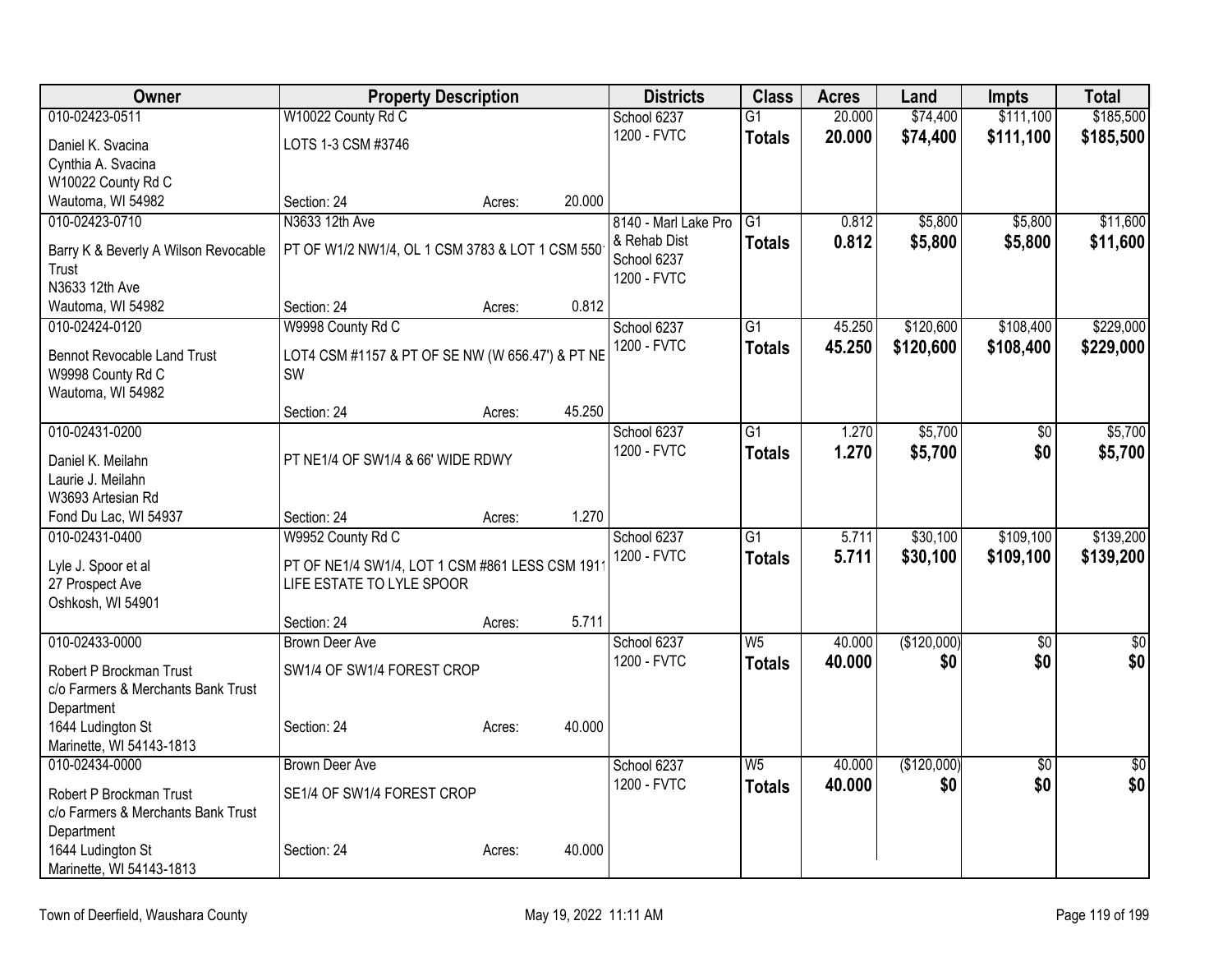| Owner                                                         | <b>Property Description</b>                                                 |        |        | <b>Districts</b>     | <b>Class</b>    | <b>Acres</b> | Land        | <b>Impts</b>    | <b>Total</b>    |
|---------------------------------------------------------------|-----------------------------------------------------------------------------|--------|--------|----------------------|-----------------|--------------|-------------|-----------------|-----------------|
| 010-02423-0511                                                | W10022 County Rd C                                                          |        |        | School 6237          | $\overline{G1}$ | 20.000       | \$74,400    | \$111,100       | \$185,500       |
| Daniel K. Svacina                                             | LOTS 1-3 CSM #3746                                                          |        |        | 1200 - FVTC          | <b>Totals</b>   | 20.000       | \$74,400    | \$111,100       | \$185,500       |
| Cynthia A. Svacina                                            |                                                                             |        |        |                      |                 |              |             |                 |                 |
| W10022 County Rd C                                            |                                                                             |        |        |                      |                 |              |             |                 |                 |
| Wautoma, WI 54982                                             | Section: 24                                                                 | Acres: | 20.000 |                      |                 |              |             |                 |                 |
| 010-02423-0710                                                | N3633 12th Ave                                                              |        |        | 8140 - Marl Lake Pro | G <sub>1</sub>  | 0.812        | \$5,800     | \$5,800         | \$11,600        |
| Barry K & Beverly A Wilson Revocable                          | PT OF W1/2 NW1/4, OL 1 CSM 3783 & LOT 1 CSM 550                             |        |        | & Rehab Dist         | <b>Totals</b>   | 0.812        | \$5,800     | \$5,800         | \$11,600        |
| Trust                                                         |                                                                             |        |        | School 6237          |                 |              |             |                 |                 |
| N3633 12th Ave                                                |                                                                             |        |        | 1200 - FVTC          |                 |              |             |                 |                 |
| Wautoma, WI 54982                                             | Section: 24                                                                 | Acres: | 0.812  |                      |                 |              |             |                 |                 |
| 010-02424-0120                                                | W9998 County Rd C                                                           |        |        | School 6237          | G1              | 45.250       | \$120,600   | \$108,400       | \$229,000       |
| <b>Bennot Revocable Land Trust</b>                            | LOT4 CSM #1157 & PT OF SE NW (W 656.47') & PT NE                            |        |        | 1200 - FVTC          | <b>Totals</b>   | 45.250       | \$120,600   | \$108,400       | \$229,000       |
| W9998 County Rd C                                             | SW                                                                          |        |        |                      |                 |              |             |                 |                 |
| Wautoma, WI 54982                                             |                                                                             |        |        |                      |                 |              |             |                 |                 |
|                                                               | Section: 24                                                                 | Acres: | 45.250 |                      |                 |              |             |                 |                 |
| 010-02431-0200                                                |                                                                             |        |        | School 6237          | $\overline{G1}$ | 1.270        | \$5,700     | \$0             | \$5,700         |
| Daniel K. Meilahn                                             | PT NE1/4 OF SW1/4 & 66' WIDE RDWY                                           |        |        | 1200 - FVTC          | <b>Totals</b>   | 1.270        | \$5,700     | \$0             | \$5,700         |
| Laurie J. Meilahn                                             |                                                                             |        |        |                      |                 |              |             |                 |                 |
| W3693 Artesian Rd                                             |                                                                             |        |        |                      |                 |              |             |                 |                 |
| Fond Du Lac, WI 54937                                         | Section: 24                                                                 | Acres: | 1.270  |                      |                 |              |             |                 |                 |
| 010-02431-0400                                                | W9952 County Rd C                                                           |        |        | School 6237          | $\overline{G1}$ | 5.711        | \$30,100    | \$109,100       | \$139,200       |
|                                                               |                                                                             |        |        | 1200 - FVTC          | <b>Totals</b>   | 5.711        | \$30,100    | \$109,100       | \$139,200       |
| Lyle J. Spoor et al<br>27 Prospect Ave                        | PT OF NE1/4 SW1/4, LOT 1 CSM #861 LESS CSM 191<br>LIFE ESTATE TO LYLE SPOOR |        |        |                      |                 |              |             |                 |                 |
| Oshkosh, WI 54901                                             |                                                                             |        |        |                      |                 |              |             |                 |                 |
|                                                               | Section: 24                                                                 | Acres: | 5.711  |                      |                 |              |             |                 |                 |
| 010-02433-0000                                                | Brown Deer Ave                                                              |        |        | School 6237          | $\overline{W5}$ | 40.000       | (\$120,000) | $\overline{30}$ | $\overline{50}$ |
|                                                               |                                                                             |        |        | 1200 - FVTC          | <b>Totals</b>   | 40.000       | \$0         | \$0             | \$0             |
| Robert P Brockman Trust<br>c/o Farmers & Merchants Bank Trust | SW1/4 OF SW1/4 FOREST CROP                                                  |        |        |                      |                 |              |             |                 |                 |
| Department                                                    |                                                                             |        |        |                      |                 |              |             |                 |                 |
| 1644 Ludington St                                             | Section: 24                                                                 | Acres: | 40.000 |                      |                 |              |             |                 |                 |
| Marinette, WI 54143-1813                                      |                                                                             |        |        |                      |                 |              |             |                 |                 |
| 010-02434-0000                                                | <b>Brown Deer Ave</b>                                                       |        |        | School 6237          | W <sub>5</sub>  | 40.000       | (\$120,000) | $\overline{50}$ | $\sqrt{50}$     |
| Robert P Brockman Trust                                       | SE1/4 OF SW1/4 FOREST CROP                                                  |        |        | 1200 - FVTC          | <b>Totals</b>   | 40.000       | \$0         | \$0             | \$0             |
| c/o Farmers & Merchants Bank Trust                            |                                                                             |        |        |                      |                 |              |             |                 |                 |
| Department                                                    |                                                                             |        |        |                      |                 |              |             |                 |                 |
| 1644 Ludington St                                             | Section: 24                                                                 | Acres: | 40.000 |                      |                 |              |             |                 |                 |
| Marinette, WI 54143-1813                                      |                                                                             |        |        |                      |                 |              |             |                 |                 |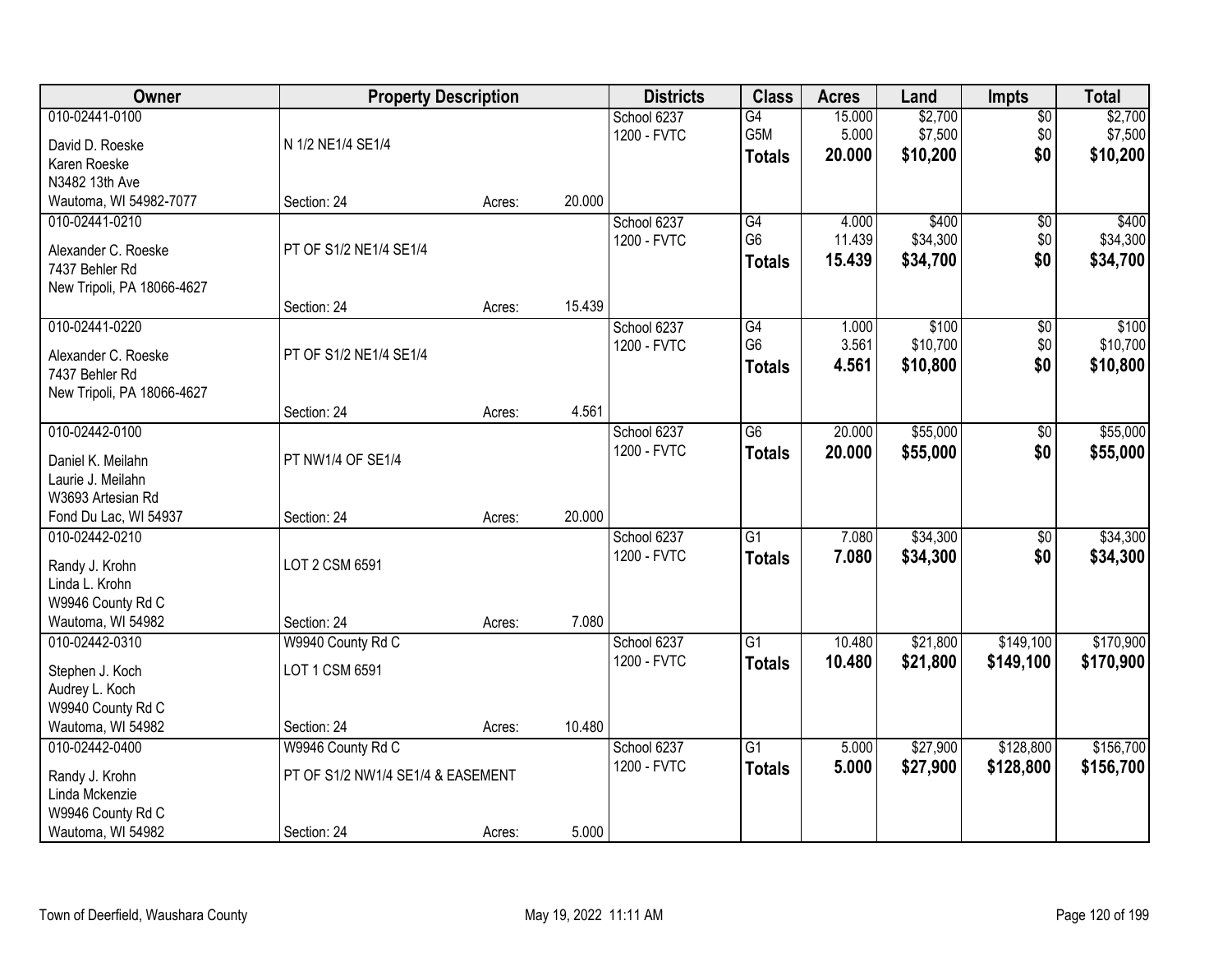| Owner                                                                                        | <b>Property Description</b>                                           |        |        | <b>Districts</b>           | <b>Class</b>                                       | <b>Acres</b>              | Land                           | <b>Impts</b>           | <b>Total</b>                   |
|----------------------------------------------------------------------------------------------|-----------------------------------------------------------------------|--------|--------|----------------------------|----------------------------------------------------|---------------------------|--------------------------------|------------------------|--------------------------------|
| 010-02441-0100<br>David D. Roeske<br>Karen Roeske                                            | N 1/2 NE1/4 SE1/4                                                     |        |        | School 6237<br>1200 - FVTC | G4<br>G5M<br><b>Totals</b>                         | 15.000<br>5.000<br>20.000 | \$2,700<br>\$7,500<br>\$10,200 | \$0<br>\$0<br>\$0      | \$2,700<br>\$7,500<br>\$10,200 |
| N3482 13th Ave<br>Wautoma, WI 54982-7077                                                     | Section: 24                                                           | Acres: | 20.000 |                            |                                                    |                           |                                |                        |                                |
| 010-02441-0210<br>Alexander C. Roeske<br>7437 Behler Rd<br>New Tripoli, PA 18066-4627        | PT OF S1/2 NE1/4 SE1/4                                                |        |        | School 6237<br>1200 - FVTC | G4<br>G <sub>6</sub><br><b>Totals</b>              | 4.000<br>11.439<br>15.439 | \$400<br>\$34,300<br>\$34,700  | \$0<br>\$0<br>\$0      | \$400<br>\$34,300<br>\$34,700  |
|                                                                                              | Section: 24                                                           | Acres: | 15.439 |                            |                                                    |                           |                                |                        |                                |
| 010-02441-0220<br>Alexander C. Roeske<br>7437 Behler Rd<br>New Tripoli, PA 18066-4627        | PT OF S1/2 NE1/4 SE1/4                                                |        |        | School 6237<br>1200 - FVTC | $\overline{G4}$<br>G <sub>6</sub><br><b>Totals</b> | 1.000<br>3.561<br>4.561   | \$100<br>\$10,700<br>\$10,800  | \$0<br>\$0<br>\$0      | \$100<br>\$10,700<br>\$10,800  |
|                                                                                              | Section: 24                                                           | Acres: | 4.561  |                            |                                                    |                           |                                |                        |                                |
| 010-02442-0100<br>Daniel K. Meilahn<br>Laurie J. Meilahn<br>W3693 Artesian Rd                | PT NW1/4 OF SE1/4                                                     |        |        | School 6237<br>1200 - FVTC | $\overline{G6}$<br><b>Totals</b>                   | 20.000<br>20.000          | \$55,000<br>\$55,000           | $\sqrt[6]{3}$<br>\$0   | \$55,000<br>\$55,000           |
| Fond Du Lac, WI 54937                                                                        | Section: 24                                                           | Acres: | 20.000 |                            |                                                    |                           |                                |                        |                                |
| 010-02442-0210<br>Randy J. Krohn<br>Linda L. Krohn<br>W9946 County Rd C<br>Wautoma, WI 54982 | LOT 2 CSM 6591<br>Section: 24                                         | Acres: | 7.080  | School 6237<br>1200 - FVTC | $\overline{G1}$<br><b>Totals</b>                   | 7.080<br>7.080            | \$34,300<br>\$34,300           | $\overline{50}$<br>\$0 | \$34,300<br>\$34,300           |
| 010-02442-0310                                                                               | W9940 County Rd C                                                     |        |        | School 6237                | $\overline{G1}$                                    | 10.480                    | \$21,800                       | \$149,100              | \$170,900                      |
| Stephen J. Koch<br>Audrey L. Koch<br>W9940 County Rd C                                       | LOT 1 CSM 6591                                                        |        |        | 1200 - FVTC                | <b>Totals</b>                                      | 10.480                    | \$21,800                       | \$149,100              | \$170,900                      |
| Wautoma, WI 54982                                                                            | Section: 24                                                           | Acres: | 10.480 |                            |                                                    |                           |                                |                        |                                |
| 010-02442-0400<br>Randy J. Krohn<br>Linda Mckenzie<br>W9946 County Rd C<br>Wautoma, WI 54982 | W9946 County Rd C<br>PT OF S1/2 NW1/4 SE1/4 & EASEMENT<br>Section: 24 | Acres: | 5.000  | School 6237<br>1200 - FVTC | $\overline{G1}$<br><b>Totals</b>                   | 5.000<br>5.000            | \$27,900<br>\$27,900           | \$128,800<br>\$128,800 | \$156,700<br>\$156,700         |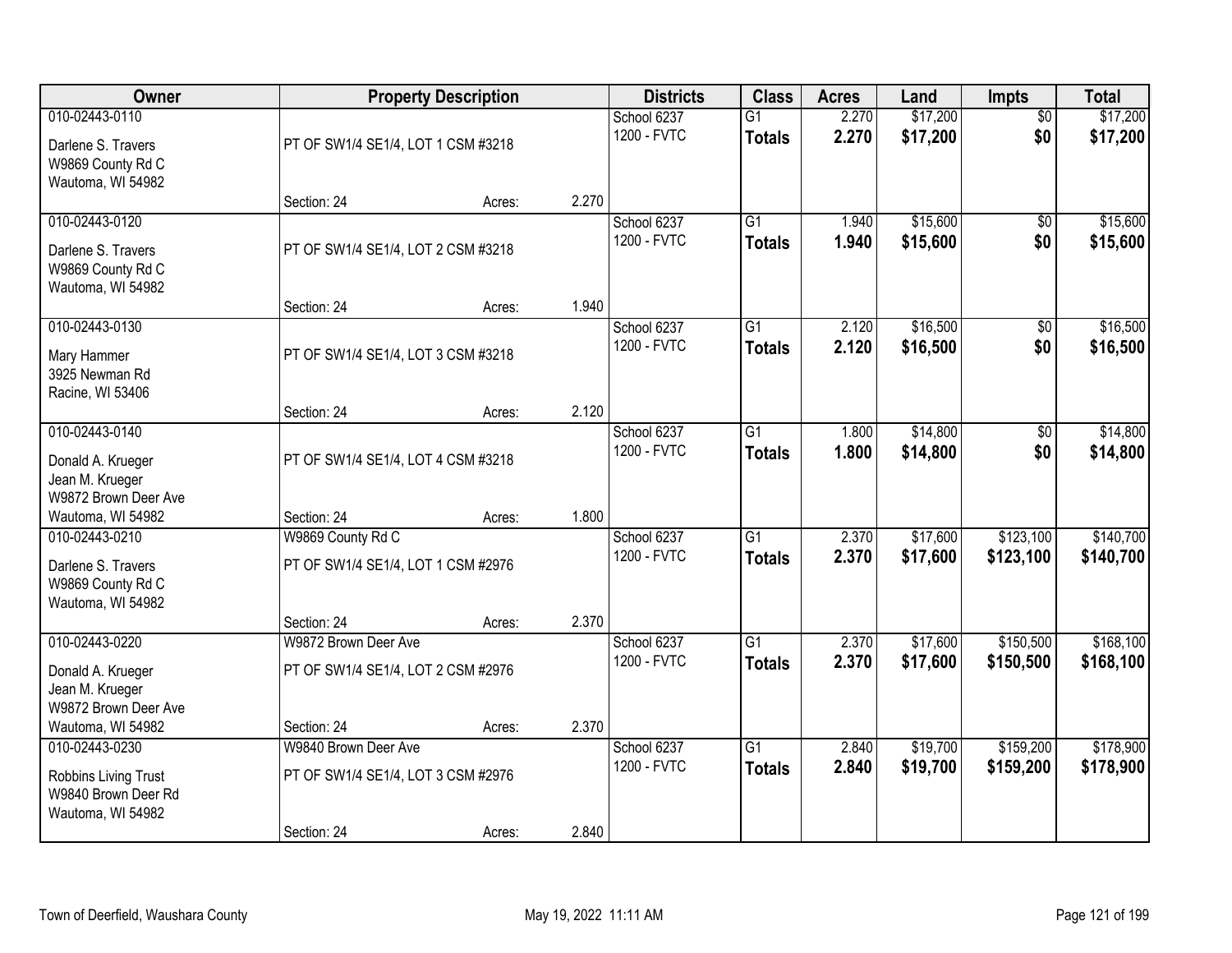| Owner                                                                              |                                                                           | <b>Property Description</b> |       | <b>Districts</b>           | <b>Class</b>                     | <b>Acres</b>   | Land                 | <b>Impts</b>           | <b>Total</b>           |
|------------------------------------------------------------------------------------|---------------------------------------------------------------------------|-----------------------------|-------|----------------------------|----------------------------------|----------------|----------------------|------------------------|------------------------|
| 010-02443-0110<br>Darlene S. Travers<br>W9869 County Rd C<br>Wautoma, WI 54982     | PT OF SW1/4 SE1/4, LOT 1 CSM #3218                                        |                             |       | School 6237<br>1200 - FVTC | $\overline{G1}$<br><b>Totals</b> | 2.270<br>2.270 | \$17,200<br>\$17,200 | $\overline{50}$<br>\$0 | \$17,200<br>\$17,200   |
|                                                                                    | Section: 24                                                               | Acres:                      | 2.270 |                            |                                  |                |                      |                        |                        |
| 010-02443-0120<br>Darlene S. Travers<br>W9869 County Rd C<br>Wautoma, WI 54982     | PT OF SW1/4 SE1/4, LOT 2 CSM #3218                                        |                             |       | School 6237<br>1200 - FVTC | $\overline{G1}$<br><b>Totals</b> | 1.940<br>1.940 | \$15,600<br>\$15,600 | \$0<br>\$0             | \$15,600<br>\$15,600   |
| 010-02443-0130                                                                     | Section: 24                                                               | Acres:                      | 1.940 | School 6237                | G1                               | 2.120          | \$16,500             | \$0                    | \$16,500               |
| Mary Hammer<br>3925 Newman Rd<br>Racine, WI 53406                                  | PT OF SW1/4 SE1/4, LOT 3 CSM #3218                                        |                             |       | 1200 - FVTC                | <b>Totals</b>                    | 2.120          | \$16,500             | \$0                    | \$16,500               |
|                                                                                    | Section: 24                                                               | Acres:                      | 2.120 |                            |                                  |                |                      |                        |                        |
| 010-02443-0140<br>Donald A. Krueger<br>Jean M. Krueger<br>W9872 Brown Deer Ave     | PT OF SW1/4 SE1/4, LOT 4 CSM #3218                                        |                             |       | School 6237<br>1200 - FVTC | G1<br><b>Totals</b>              | 1.800<br>1.800 | \$14,800<br>\$14,800 | \$0<br>\$0             | \$14,800<br>\$14,800   |
| Wautoma, WI 54982                                                                  | Section: 24                                                               | Acres:                      | 1.800 |                            |                                  |                |                      |                        |                        |
| 010-02443-0210<br>Darlene S. Travers<br>W9869 County Rd C<br>Wautoma, WI 54982     | W9869 County Rd C<br>PT OF SW1/4 SE1/4, LOT 1 CSM #2976                   |                             |       | School 6237<br>1200 - FVTC | $\overline{G1}$<br><b>Totals</b> | 2.370<br>2.370 | \$17,600<br>\$17,600 | \$123,100<br>\$123,100 | \$140,700<br>\$140,700 |
| 010-02443-0220                                                                     | Section: 24<br>W9872 Brown Deer Ave                                       | Acres:                      | 2.370 | School 6237                | $\overline{G1}$                  | 2.370          | \$17,600             | \$150,500              | \$168,100              |
| Donald A. Krueger<br>Jean M. Krueger<br>W9872 Brown Deer Ave                       | PT OF SW1/4 SE1/4, LOT 2 CSM #2976                                        |                             |       | 1200 - FVTC                | <b>Totals</b>                    | 2.370          | \$17,600             | \$150,500              | \$168,100              |
| Wautoma, WI 54982                                                                  | Section: 24                                                               | Acres:                      | 2.370 |                            |                                  |                |                      |                        |                        |
| 010-02443-0230<br>Robbins Living Trust<br>W9840 Brown Deer Rd<br>Wautoma, WI 54982 | W9840 Brown Deer Ave<br>PT OF SW1/4 SE1/4, LOT 3 CSM #2976<br>Section: 24 | Acres:                      | 2.840 | School 6237<br>1200 - FVTC | $\overline{G1}$<br><b>Totals</b> | 2.840<br>2.840 | \$19,700<br>\$19,700 | \$159,200<br>\$159,200 | \$178,900<br>\$178,900 |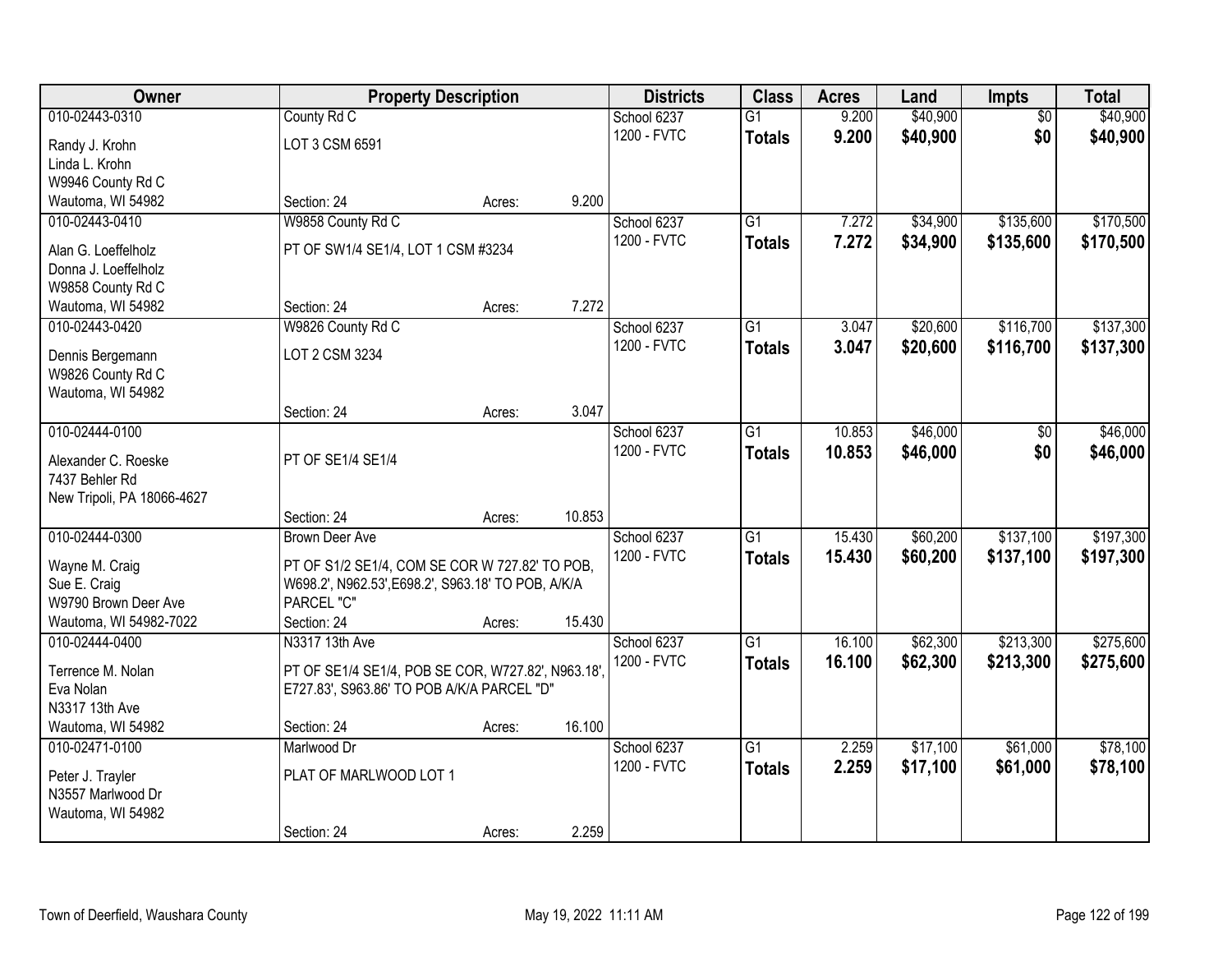| Owner                                 |                                                    | <b>Property Description</b> |        | <b>Districts</b> | <b>Class</b>    | <b>Acres</b> | Land     | <b>Impts</b>    | <b>Total</b> |
|---------------------------------------|----------------------------------------------------|-----------------------------|--------|------------------|-----------------|--------------|----------|-----------------|--------------|
| 010-02443-0310                        | County Rd C                                        |                             |        | School 6237      | $\overline{G1}$ | 9.200        | \$40,900 | $\overline{50}$ | \$40,900     |
| Randy J. Krohn                        | LOT 3 CSM 6591                                     |                             |        | 1200 - FVTC      | <b>Totals</b>   | 9.200        | \$40,900 | \$0             | \$40,900     |
| Linda L. Krohn                        |                                                    |                             |        |                  |                 |              |          |                 |              |
| W9946 County Rd C                     |                                                    |                             |        |                  |                 |              |          |                 |              |
| Wautoma, WI 54982                     | Section: 24                                        | Acres:                      | 9.200  |                  |                 |              |          |                 |              |
| 010-02443-0410                        | W9858 County Rd C                                  |                             |        | School 6237      | $\overline{G1}$ | 7.272        | \$34,900 | \$135,600       | \$170,500    |
| Alan G. Loeffelholz                   | PT OF SW1/4 SE1/4, LOT 1 CSM #3234                 |                             |        | 1200 - FVTC      | <b>Totals</b>   | 7.272        | \$34,900 | \$135,600       | \$170,500    |
| Donna J. Loeffelholz                  |                                                    |                             |        |                  |                 |              |          |                 |              |
| W9858 County Rd C                     |                                                    |                             |        |                  |                 |              |          |                 |              |
| Wautoma, WI 54982                     | Section: 24                                        | Acres:                      | 7.272  |                  |                 |              |          |                 |              |
| 010-02443-0420                        | W9826 County Rd C                                  |                             |        | School 6237      | G1              | 3.047        | \$20,600 | \$116,700       | \$137,300    |
| Dennis Bergemann                      | LOT 2 CSM 3234                                     |                             |        | 1200 - FVTC      | <b>Totals</b>   | 3.047        | \$20,600 | \$116,700       | \$137,300    |
| W9826 County Rd C                     |                                                    |                             |        |                  |                 |              |          |                 |              |
| Wautoma, WI 54982                     |                                                    |                             |        |                  |                 |              |          |                 |              |
|                                       | Section: 24                                        | Acres:                      | 3.047  |                  |                 |              |          |                 |              |
| 010-02444-0100                        |                                                    |                             |        | School 6237      | G1              | 10.853       | \$46,000 | \$0             | \$46,000     |
| Alexander C. Roeske                   | PT OF SE1/4 SE1/4                                  |                             |        | 1200 - FVTC      | <b>Totals</b>   | 10.853       | \$46,000 | \$0             | \$46,000     |
| 7437 Behler Rd                        |                                                    |                             |        |                  |                 |              |          |                 |              |
| New Tripoli, PA 18066-4627            |                                                    |                             |        |                  |                 |              |          |                 |              |
|                                       | Section: 24                                        | Acres:                      | 10.853 |                  |                 |              |          |                 |              |
| 010-02444-0300                        | <b>Brown Deer Ave</b>                              |                             |        | School 6237      | $\overline{G1}$ | 15.430       | \$60,200 | \$137,100       | \$197,300    |
| Wayne M. Craig                        | PT OF S1/2 SE1/4, COM SE COR W 727.82' TO POB,     |                             |        | 1200 - FVTC      | <b>Totals</b>   | 15.430       | \$60,200 | \$137,100       | \$197,300    |
| Sue E. Craig                          | W698.2', N962.53', E698.2', S963.18' TO POB, A/K/A |                             |        |                  |                 |              |          |                 |              |
| W9790 Brown Deer Ave                  | PARCEL "C"                                         |                             |        |                  |                 |              |          |                 |              |
| Wautoma, WI 54982-7022                | Section: 24                                        | Acres:                      | 15.430 |                  |                 |              |          |                 |              |
| 010-02444-0400                        | N3317 13th Ave                                     |                             |        | School 6237      | $\overline{G1}$ | 16.100       | \$62,300 | \$213,300       | \$275,600    |
| Terrence M. Nolan                     | PT OF SE1/4 SE1/4, POB SE COR, W727.82', N963.18'  |                             |        | 1200 - FVTC      | <b>Totals</b>   | 16.100       | \$62,300 | \$213,300       | \$275,600    |
| Eva Nolan                             | E727.83', S963.86' TO POB A/K/A PARCEL "D"         |                             |        |                  |                 |              |          |                 |              |
| N3317 13th Ave                        |                                                    |                             |        |                  |                 |              |          |                 |              |
| Wautoma, WI 54982                     | Section: 24                                        | Acres:                      | 16.100 |                  |                 |              |          |                 |              |
| 010-02471-0100                        | Marlwood Dr                                        |                             |        | School 6237      | $\overline{G1}$ | 2.259        | \$17,100 | \$61,000        | \$78,100     |
|                                       | PLAT OF MARLWOOD LOT 1                             |                             |        | 1200 - FVTC      | <b>Totals</b>   | 2.259        | \$17,100 | \$61,000        | \$78,100     |
| Peter J. Trayler<br>N3557 Marlwood Dr |                                                    |                             |        |                  |                 |              |          |                 |              |
| Wautoma, WI 54982                     |                                                    |                             |        |                  |                 |              |          |                 |              |
|                                       | Section: 24                                        | Acres:                      | 2.259  |                  |                 |              |          |                 |              |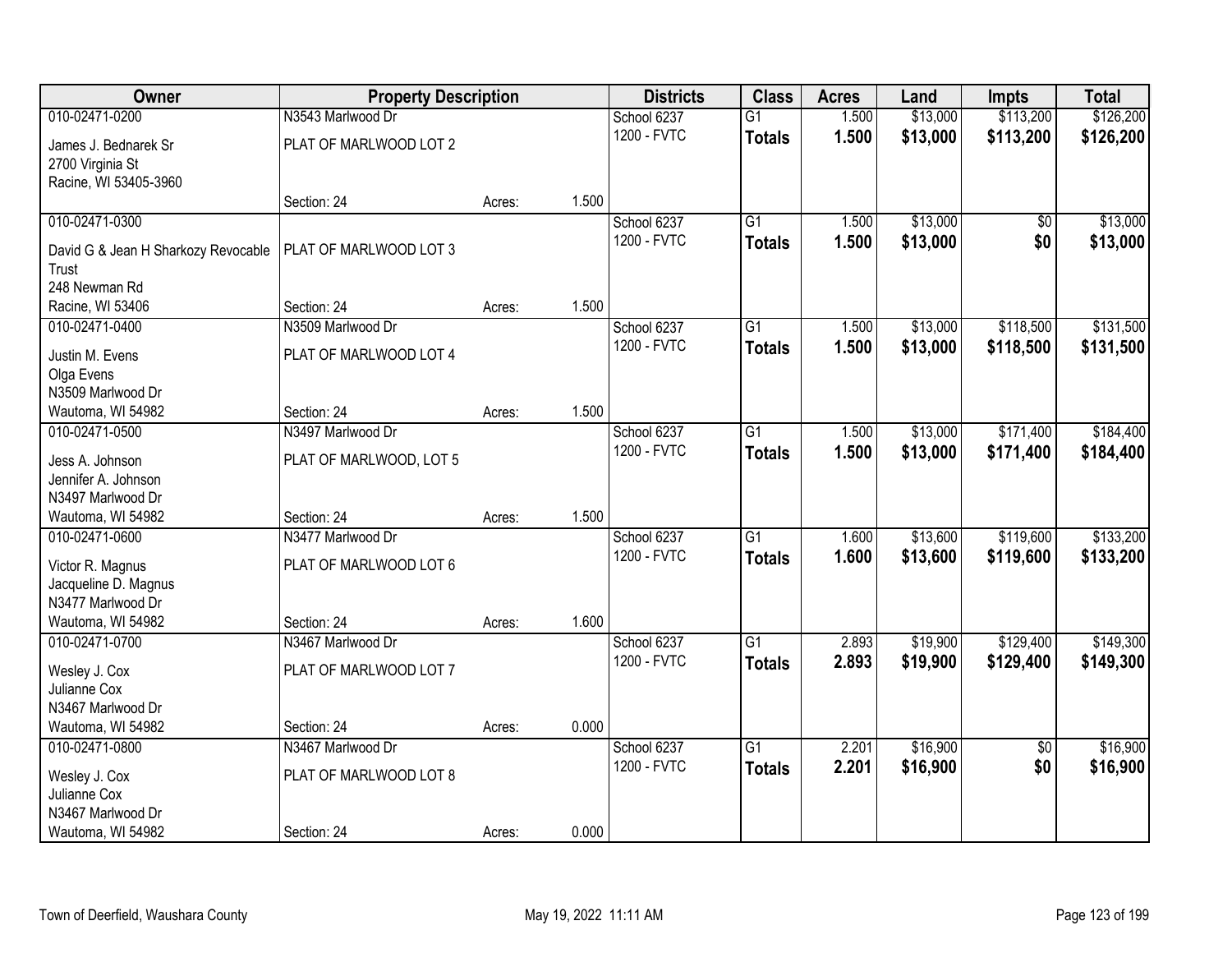| Owner                                     | <b>Property Description</b>      |        |       | <b>Districts</b> | <b>Class</b>    | <b>Acres</b> | Land     | <b>Impts</b>    | <b>Total</b> |
|-------------------------------------------|----------------------------------|--------|-------|------------------|-----------------|--------------|----------|-----------------|--------------|
| 010-02471-0200                            | N3543 Marlwood Dr                |        |       | School 6237      | $\overline{G1}$ | 1.500        | \$13,000 | \$113,200       | \$126,200    |
| James J. Bednarek Sr                      | PLAT OF MARLWOOD LOT 2           |        |       | 1200 - FVTC      | <b>Totals</b>   | 1.500        | \$13,000 | \$113,200       | \$126,200    |
| 2700 Virginia St                          |                                  |        |       |                  |                 |              |          |                 |              |
| Racine, WI 53405-3960                     |                                  |        |       |                  |                 |              |          |                 |              |
|                                           | Section: 24                      | Acres: | 1.500 |                  |                 |              |          |                 |              |
| 010-02471-0300                            |                                  |        |       | School 6237      | G1              | 1.500        | \$13,000 | \$0             | \$13,000     |
| David G & Jean H Sharkozy Revocable       | PLAT OF MARLWOOD LOT 3           |        |       | 1200 - FVTC      | <b>Totals</b>   | 1.500        | \$13,000 | \$0             | \$13,000     |
| Trust                                     |                                  |        |       |                  |                 |              |          |                 |              |
| 248 Newman Rd                             |                                  |        |       |                  |                 |              |          |                 |              |
| Racine, WI 53406                          | Section: 24                      | Acres: | 1.500 |                  |                 |              |          |                 |              |
| 010-02471-0400                            | N3509 Marlwood Dr                |        |       | School 6237      | G1              | 1.500        | \$13,000 | \$118,500       | \$131,500    |
| Justin M. Evens                           | PLAT OF MARLWOOD LOT 4           |        |       | 1200 - FVTC      | <b>Totals</b>   | 1.500        | \$13,000 | \$118,500       | \$131,500    |
| Olga Evens                                |                                  |        |       |                  |                 |              |          |                 |              |
| N3509 Marlwood Dr                         |                                  |        |       |                  |                 |              |          |                 |              |
| Wautoma, WI 54982                         | Section: 24                      | Acres: | 1.500 |                  |                 |              |          |                 |              |
| 010-02471-0500                            | N3497 Marlwood Dr                |        |       | School 6237      | $\overline{G1}$ | 1.500        | \$13,000 | \$171,400       | \$184,400    |
|                                           | PLAT OF MARLWOOD, LOT 5          |        |       | 1200 - FVTC      | <b>Totals</b>   | 1.500        | \$13,000 | \$171,400       | \$184,400    |
| Jess A. Johnson<br>Jennifer A. Johnson    |                                  |        |       |                  |                 |              |          |                 |              |
| N3497 Marlwood Dr                         |                                  |        |       |                  |                 |              |          |                 |              |
| Wautoma, WI 54982                         | Section: 24                      | Acres: | 1.500 |                  |                 |              |          |                 |              |
| 010-02471-0600                            | N3477 Marlwood Dr                |        |       | School 6237      | $\overline{G1}$ | 1.600        | \$13,600 | \$119,600       | \$133,200    |
|                                           |                                  |        |       | 1200 - FVTC      | <b>Totals</b>   | 1.600        | \$13,600 | \$119,600       | \$133,200    |
| Victor R. Magnus                          | PLAT OF MARLWOOD LOT 6           |        |       |                  |                 |              |          |                 |              |
| Jacqueline D. Magnus<br>N3477 Marlwood Dr |                                  |        |       |                  |                 |              |          |                 |              |
| Wautoma, WI 54982                         | Section: 24                      | Acres: | 1.600 |                  |                 |              |          |                 |              |
| 010-02471-0700                            | N3467 Marlwood Dr                |        |       | School 6237      | G1              | 2.893        | \$19,900 | \$129,400       | \$149,300    |
|                                           |                                  |        |       | 1200 - FVTC      | <b>Totals</b>   | 2.893        | \$19,900 | \$129,400       | \$149,300    |
| Wesley J. Cox                             | PLAT OF MARLWOOD LOT 7           |        |       |                  |                 |              |          |                 |              |
| Julianne Cox                              |                                  |        |       |                  |                 |              |          |                 |              |
| N3467 Marlwood Dr                         |                                  |        |       |                  |                 |              |          |                 |              |
| Wautoma, WI 54982<br>010-02471-0800       | Section: 24<br>N3467 Marlwood Dr | Acres: | 0.000 | School 6237      | $\overline{G1}$ | 2.201        | \$16,900 | $\overline{50}$ | \$16,900     |
|                                           |                                  |        |       | 1200 - FVTC      |                 | 2.201        |          | \$0             |              |
| Wesley J. Cox                             | PLAT OF MARLWOOD LOT 8           |        |       |                  | <b>Totals</b>   |              | \$16,900 |                 | \$16,900     |
| Julianne Cox                              |                                  |        |       |                  |                 |              |          |                 |              |
| N3467 Marlwood Dr                         |                                  |        |       |                  |                 |              |          |                 |              |
| Wautoma, WI 54982                         | Section: 24                      | Acres: | 0.000 |                  |                 |              |          |                 |              |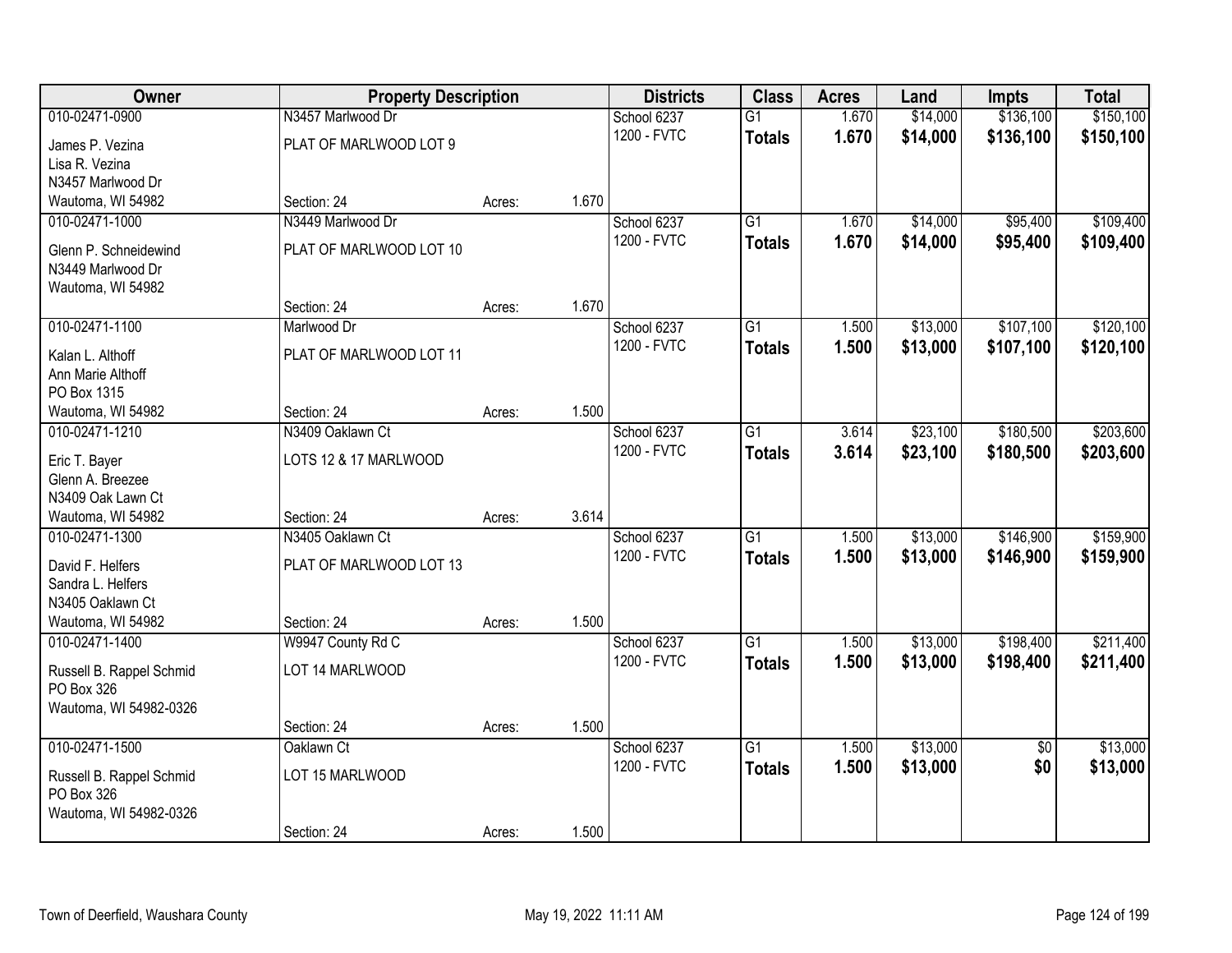| Owner                                 | <b>Property Description</b> |        |       | <b>Districts</b> | <b>Class</b>    | <b>Acres</b> | Land     | <b>Impts</b>    | <b>Total</b> |
|---------------------------------------|-----------------------------|--------|-------|------------------|-----------------|--------------|----------|-----------------|--------------|
| 010-02471-0900                        | N3457 Marlwood Dr           |        |       | School 6237      | $\overline{G1}$ | 1.670        | \$14,000 | \$136,100       | \$150,100    |
| James P. Vezina                       | PLAT OF MARLWOOD LOT 9      |        |       | 1200 - FVTC      | <b>Totals</b>   | 1.670        | \$14,000 | \$136,100       | \$150,100    |
| Lisa R. Vezina                        |                             |        |       |                  |                 |              |          |                 |              |
| N3457 Marlwood Dr                     |                             |        |       |                  |                 |              |          |                 |              |
| Wautoma, WI 54982                     | Section: 24                 | Acres: | 1.670 |                  |                 |              |          |                 |              |
| 010-02471-1000                        | N3449 Marlwood Dr           |        |       | School 6237      | $\overline{G1}$ | 1.670        | \$14,000 | \$95,400        | \$109,400    |
| Glenn P. Schneidewind                 | PLAT OF MARLWOOD LOT 10     |        |       | 1200 - FVTC      | <b>Totals</b>   | 1.670        | \$14,000 | \$95,400        | \$109,400    |
| N3449 Marlwood Dr                     |                             |        |       |                  |                 |              |          |                 |              |
| Wautoma, WI 54982                     |                             |        |       |                  |                 |              |          |                 |              |
|                                       | Section: 24                 | Acres: | 1.670 |                  |                 |              |          |                 |              |
| 010-02471-1100                        | Marlwood Dr                 |        |       | School 6237      | G1              | 1.500        | \$13,000 | \$107,100       | \$120,100    |
| Kalan L. Althoff                      | PLAT OF MARLWOOD LOT 11     |        |       | 1200 - FVTC      | <b>Totals</b>   | 1.500        | \$13,000 | \$107,100       | \$120,100    |
| Ann Marie Althoff                     |                             |        |       |                  |                 |              |          |                 |              |
| PO Box 1315                           |                             |        |       |                  |                 |              |          |                 |              |
| Wautoma, WI 54982                     | Section: 24                 | Acres: | 1.500 |                  |                 |              |          |                 |              |
| 010-02471-1210                        | N3409 Oaklawn Ct            |        |       | School 6237      | G1              | 3.614        | \$23,100 | \$180,500       | \$203,600    |
|                                       |                             |        |       | 1200 - FVTC      | <b>Totals</b>   | 3.614        | \$23,100 | \$180,500       | \$203,600    |
| Eric T. Bayer<br>Glenn A. Breezee     | LOTS 12 & 17 MARLWOOD       |        |       |                  |                 |              |          |                 |              |
| N3409 Oak Lawn Ct                     |                             |        |       |                  |                 |              |          |                 |              |
| Wautoma, WI 54982                     | Section: 24                 | Acres: | 3.614 |                  |                 |              |          |                 |              |
| 010-02471-1300                        | N3405 Oaklawn Ct            |        |       | School 6237      | $\overline{G1}$ | 1.500        | \$13,000 | \$146,900       | \$159,900    |
|                                       |                             |        |       | 1200 - FVTC      | <b>Totals</b>   | 1.500        | \$13,000 | \$146,900       | \$159,900    |
| David F. Helfers                      | PLAT OF MARLWOOD LOT 13     |        |       |                  |                 |              |          |                 |              |
| Sandra L. Helfers                     |                             |        |       |                  |                 |              |          |                 |              |
| N3405 Oaklawn Ct<br>Wautoma, WI 54982 | Section: 24                 |        | 1.500 |                  |                 |              |          |                 |              |
| 010-02471-1400                        | W9947 County Rd C           | Acres: |       | School 6237      | $\overline{G1}$ | 1.500        | \$13,000 | \$198,400       | \$211,400    |
|                                       |                             |        |       | 1200 - FVTC      | <b>Totals</b>   | 1.500        | \$13,000 | \$198,400       | \$211,400    |
| Russell B. Rappel Schmid              | LOT 14 MARLWOOD             |        |       |                  |                 |              |          |                 |              |
| PO Box 326                            |                             |        |       |                  |                 |              |          |                 |              |
| Wautoma, WI 54982-0326                |                             |        |       |                  |                 |              |          |                 |              |
|                                       | Section: 24                 | Acres: | 1.500 |                  |                 |              |          |                 |              |
| 010-02471-1500                        | Oaklawn Ct                  |        |       | School 6237      | $\overline{G1}$ | 1.500        | \$13,000 | $\overline{50}$ | \$13,000     |
| Russell B. Rappel Schmid              | LOT 15 MARLWOOD             |        |       | 1200 - FVTC      | <b>Totals</b>   | 1.500        | \$13,000 | \$0             | \$13,000     |
| PO Box 326                            |                             |        |       |                  |                 |              |          |                 |              |
| Wautoma, WI 54982-0326                |                             |        |       |                  |                 |              |          |                 |              |
|                                       | Section: 24                 | Acres: | 1.500 |                  |                 |              |          |                 |              |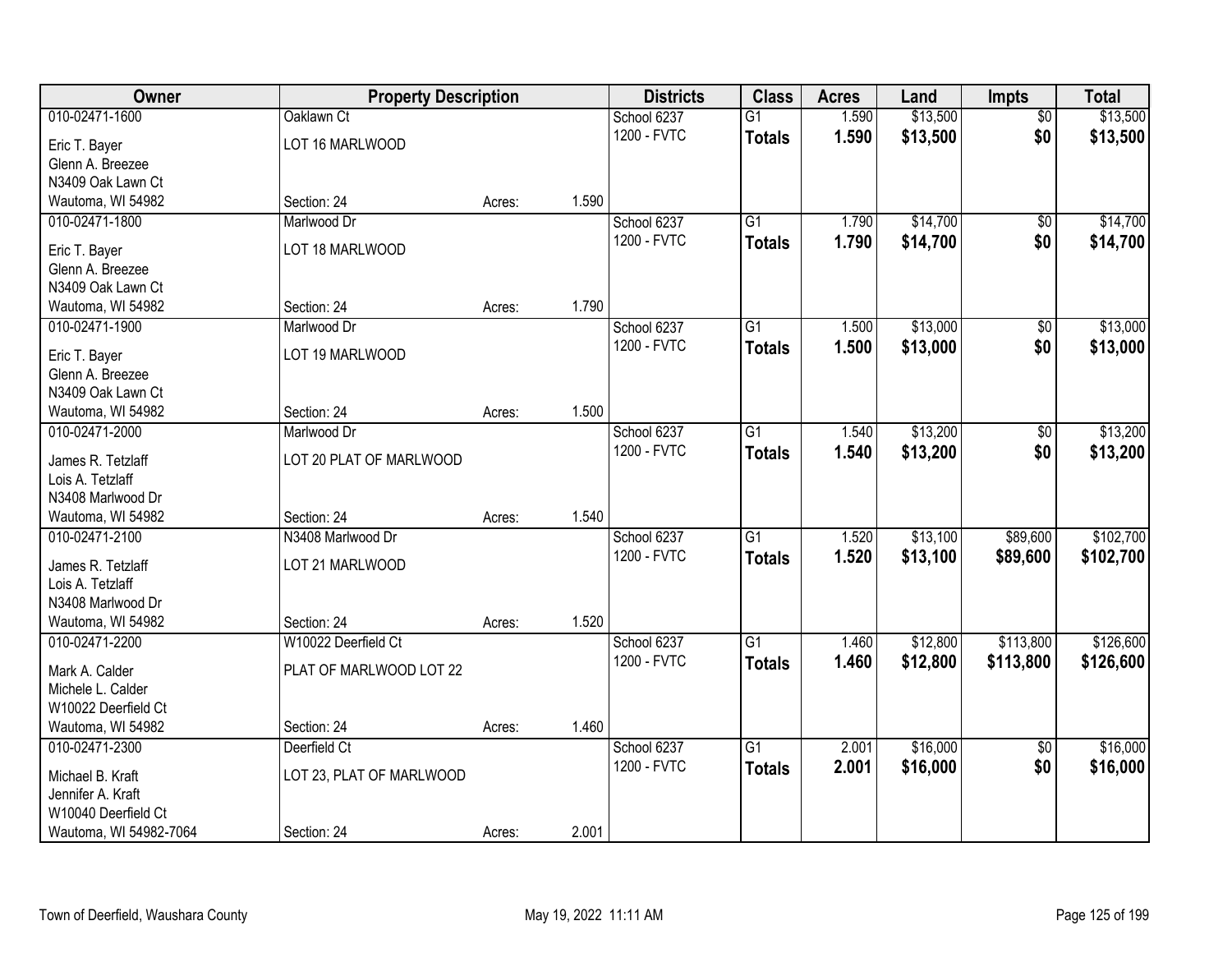| Owner                                    | <b>Property Description</b> |        |       | <b>Districts</b> | <b>Class</b>    | <b>Acres</b> | Land     | <b>Impts</b>    | <b>Total</b> |
|------------------------------------------|-----------------------------|--------|-------|------------------|-----------------|--------------|----------|-----------------|--------------|
| 010-02471-1600                           | Oaklawn Ct                  |        |       | School 6237      | $\overline{G1}$ | 1.590        | \$13,500 | $\overline{30}$ | \$13,500     |
| Eric T. Bayer                            | LOT 16 MARLWOOD             |        |       | 1200 - FVTC      | <b>Totals</b>   | 1.590        | \$13,500 | \$0             | \$13,500     |
| Glenn A. Breezee                         |                             |        |       |                  |                 |              |          |                 |              |
| N3409 Oak Lawn Ct                        |                             |        |       |                  |                 |              |          |                 |              |
| Wautoma, WI 54982                        | Section: 24                 | Acres: | 1.590 |                  |                 |              |          |                 |              |
| 010-02471-1800                           | Marlwood Dr                 |        |       | School 6237      | $\overline{G1}$ | 1.790        | \$14,700 | \$0             | \$14,700     |
| Eric T. Bayer                            | LOT 18 MARLWOOD             |        |       | 1200 - FVTC      | <b>Totals</b>   | 1.790        | \$14,700 | \$0             | \$14,700     |
| Glenn A. Breezee                         |                             |        |       |                  |                 |              |          |                 |              |
| N3409 Oak Lawn Ct                        |                             |        |       |                  |                 |              |          |                 |              |
| Wautoma, WI 54982                        | Section: 24                 | Acres: | 1.790 |                  |                 |              |          |                 |              |
| 010-02471-1900                           | Marlwood Dr                 |        |       | School 6237      | G1              | 1.500        | \$13,000 | \$0             | \$13,000     |
|                                          |                             |        |       | 1200 - FVTC      | <b>Totals</b>   | 1.500        | \$13,000 | \$0             | \$13,000     |
| Eric T. Bayer                            | LOT 19 MARLWOOD             |        |       |                  |                 |              |          |                 |              |
| Glenn A. Breezee                         |                             |        |       |                  |                 |              |          |                 |              |
| N3409 Oak Lawn Ct                        | Section: 24                 |        | 1.500 |                  |                 |              |          |                 |              |
| Wautoma, WI 54982<br>010-02471-2000      | Marlwood Dr                 | Acres: |       | School 6237      | G1              | 1.540        | \$13,200 | \$0             | \$13,200     |
|                                          |                             |        |       | 1200 - FVTC      |                 |              |          |                 |              |
| James R. Tetzlaff                        | LOT 20 PLAT OF MARLWOOD     |        |       |                  | <b>Totals</b>   | 1.540        | \$13,200 | \$0             | \$13,200     |
| Lois A. Tetzlaff                         |                             |        |       |                  |                 |              |          |                 |              |
| N3408 Marlwood Dr                        |                             |        |       |                  |                 |              |          |                 |              |
| Wautoma, WI 54982                        | Section: 24                 | Acres: | 1.540 |                  |                 |              |          |                 |              |
| 010-02471-2100                           | N3408 Marlwood Dr           |        |       | School 6237      | $\overline{G1}$ | 1.520        | \$13,100 | \$89,600        | \$102,700    |
| James R. Tetzlaff                        | LOT 21 MARLWOOD             |        |       | 1200 - FVTC      | <b>Totals</b>   | 1.520        | \$13,100 | \$89,600        | \$102,700    |
| Lois A. Tetzlaff                         |                             |        |       |                  |                 |              |          |                 |              |
| N3408 Marlwood Dr                        |                             |        |       |                  |                 |              |          |                 |              |
| Wautoma, WI 54982                        | Section: 24                 | Acres: | 1.520 |                  |                 |              |          |                 |              |
| 010-02471-2200                           | W10022 Deerfield Ct         |        |       | School 6237      | $\overline{G1}$ | 1.460        | \$12,800 | \$113,800       | \$126,600    |
| Mark A. Calder                           | PLAT OF MARLWOOD LOT 22     |        |       | 1200 - FVTC      | <b>Totals</b>   | 1.460        | \$12,800 | \$113,800       | \$126,600    |
| Michele L. Calder                        |                             |        |       |                  |                 |              |          |                 |              |
| W10022 Deerfield Ct                      |                             |        |       |                  |                 |              |          |                 |              |
| Wautoma, WI 54982                        | Section: 24                 | Acres: | 1.460 |                  |                 |              |          |                 |              |
| 010-02471-2300                           | Deerfield Ct                |        |       | School 6237      | $\overline{G1}$ | 2.001        | \$16,000 | $\overline{50}$ | \$16,000     |
|                                          |                             |        |       | 1200 - FVTC      | <b>Totals</b>   | 2.001        | \$16,000 | \$0             | \$16,000     |
| Michael B. Kraft                         | LOT 23, PLAT OF MARLWOOD    |        |       |                  |                 |              |          |                 |              |
| Jennifer A. Kraft<br>W10040 Deerfield Ct |                             |        |       |                  |                 |              |          |                 |              |
| Wautoma, WI 54982-7064                   | Section: 24                 | Acres: | 2.001 |                  |                 |              |          |                 |              |
|                                          |                             |        |       |                  |                 |              |          |                 |              |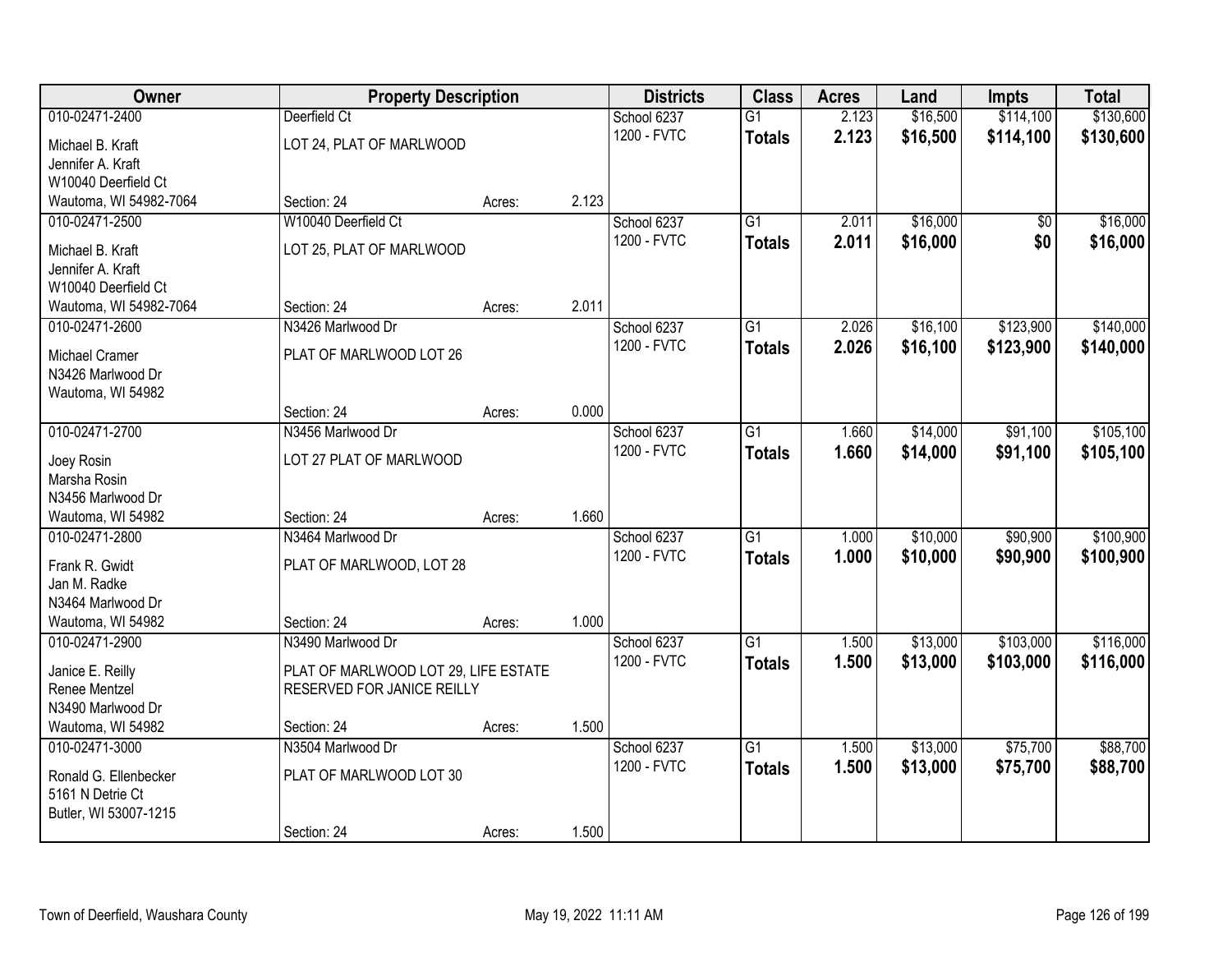| Owner                  | <b>Property Description</b>          |        |       | <b>Districts</b> | <b>Class</b>    | <b>Acres</b> | Land     | <b>Impts</b>    | <b>Total</b> |
|------------------------|--------------------------------------|--------|-------|------------------|-----------------|--------------|----------|-----------------|--------------|
| 010-02471-2400         | Deerfield Ct                         |        |       | School 6237      | $\overline{G1}$ | 2.123        | \$16,500 | \$114,100       | \$130,600    |
| Michael B. Kraft       | LOT 24, PLAT OF MARLWOOD             |        |       | 1200 - FVTC      | <b>Totals</b>   | 2.123        | \$16,500 | \$114,100       | \$130,600    |
| Jennifer A. Kraft      |                                      |        |       |                  |                 |              |          |                 |              |
| W10040 Deerfield Ct    |                                      |        |       |                  |                 |              |          |                 |              |
| Wautoma, WI 54982-7064 | Section: 24                          | Acres: | 2.123 |                  |                 |              |          |                 |              |
| 010-02471-2500         | W10040 Deerfield Ct                  |        |       | School 6237      | $\overline{G1}$ | 2.011        | \$16,000 | $\overline{50}$ | \$16,000     |
| Michael B. Kraft       | LOT 25, PLAT OF MARLWOOD             |        |       | 1200 - FVTC      | <b>Totals</b>   | 2.011        | \$16,000 | \$0             | \$16,000     |
| Jennifer A. Kraft      |                                      |        |       |                  |                 |              |          |                 |              |
| W10040 Deerfield Ct    |                                      |        |       |                  |                 |              |          |                 |              |
| Wautoma, WI 54982-7064 | Section: 24                          | Acres: | 2.011 |                  |                 |              |          |                 |              |
| 010-02471-2600         | N3426 Marlwood Dr                    |        |       | School 6237      | G1              | 2.026        | \$16,100 | \$123,900       | \$140,000    |
| Michael Cramer         | PLAT OF MARLWOOD LOT 26              |        |       | 1200 - FVTC      | <b>Totals</b>   | 2.026        | \$16,100 | \$123,900       | \$140,000    |
| N3426 Marlwood Dr      |                                      |        |       |                  |                 |              |          |                 |              |
| Wautoma, WI 54982      |                                      |        |       |                  |                 |              |          |                 |              |
|                        | Section: 24                          | Acres: | 0.000 |                  |                 |              |          |                 |              |
| 010-02471-2700         | N3456 Marlwood Dr                    |        |       | School 6237      | G1              | 1.660        | \$14,000 | \$91,100        | \$105,100    |
| Joey Rosin             | LOT 27 PLAT OF MARLWOOD              |        |       | 1200 - FVTC      | <b>Totals</b>   | 1.660        | \$14,000 | \$91,100        | \$105,100    |
| Marsha Rosin           |                                      |        |       |                  |                 |              |          |                 |              |
| N3456 Marlwood Dr      |                                      |        |       |                  |                 |              |          |                 |              |
| Wautoma, WI 54982      | Section: 24                          | Acres: | 1.660 |                  |                 |              |          |                 |              |
| 010-02471-2800         | N3464 Marlwood Dr                    |        |       | School 6237      | $\overline{G1}$ | 1.000        | \$10,000 | \$90,900        | \$100,900    |
| Frank R. Gwidt         | PLAT OF MARLWOOD, LOT 28             |        |       | 1200 - FVTC      | <b>Totals</b>   | 1.000        | \$10,000 | \$90,900        | \$100,900    |
| Jan M. Radke           |                                      |        |       |                  |                 |              |          |                 |              |
| N3464 Marlwood Dr      |                                      |        |       |                  |                 |              |          |                 |              |
| Wautoma, WI 54982      | Section: 24                          | Acres: | 1.000 |                  |                 |              |          |                 |              |
| 010-02471-2900         | N3490 Marlwood Dr                    |        |       | School 6237      | $\overline{G1}$ | 1.500        | \$13,000 | \$103,000       | \$116,000    |
| Janice E. Reilly       | PLAT OF MARLWOOD LOT 29, LIFE ESTATE |        |       | 1200 - FVTC      | <b>Totals</b>   | 1.500        | \$13,000 | \$103,000       | \$116,000    |
| Renee Mentzel          | RESERVED FOR JANICE REILLY           |        |       |                  |                 |              |          |                 |              |
| N3490 Marlwood Dr      |                                      |        |       |                  |                 |              |          |                 |              |
| Wautoma, WI 54982      | Section: 24                          | Acres: | 1.500 |                  |                 |              |          |                 |              |
| 010-02471-3000         | N3504 Marlwood Dr                    |        |       | School 6237      | $\overline{G1}$ | 1.500        | \$13,000 | \$75,700        | \$88,700     |
| Ronald G. Ellenbecker  | PLAT OF MARLWOOD LOT 30              |        |       | 1200 - FVTC      | <b>Totals</b>   | 1.500        | \$13,000 | \$75,700        | \$88,700     |
| 5161 N Detrie Ct       |                                      |        |       |                  |                 |              |          |                 |              |
| Butler, WI 53007-1215  |                                      |        |       |                  |                 |              |          |                 |              |
|                        | Section: 24                          | Acres: | 1.500 |                  |                 |              |          |                 |              |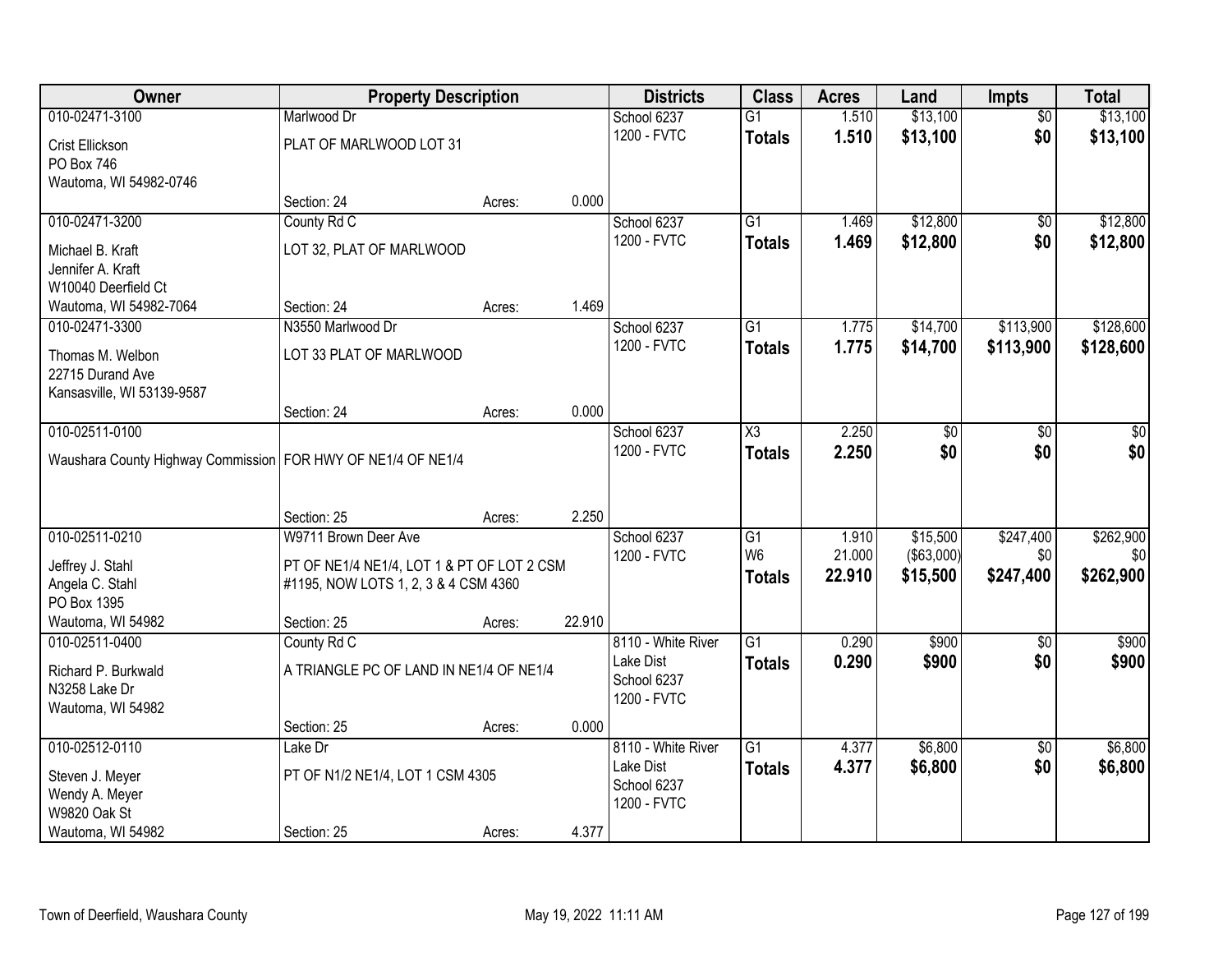| Owner                                                          | <b>Property Description</b>                |        | <b>Districts</b>           | <b>Class</b>    | <b>Acres</b> | Land              | Impts           | <b>Total</b> |
|----------------------------------------------------------------|--------------------------------------------|--------|----------------------------|-----------------|--------------|-------------------|-----------------|--------------|
| 010-02471-3100                                                 | Marlwood Dr                                |        | School 6237                | $\overline{G1}$ | 1.510        | \$13,100          | $\overline{50}$ | \$13,100     |
| Crist Ellickson                                                | PLAT OF MARLWOOD LOT 31                    |        | 1200 - FVTC                | <b>Totals</b>   | 1.510        | \$13,100          | \$0             | \$13,100     |
| PO Box 746                                                     |                                            |        |                            |                 |              |                   |                 |              |
| Wautoma, WI 54982-0746                                         |                                            |        |                            |                 |              |                   |                 |              |
|                                                                | Section: 24                                | Acres: | 0.000                      |                 |              |                   |                 |              |
| 010-02471-3200                                                 | County Rd C                                |        | School 6237                | $\overline{G1}$ | 1.469        | \$12,800          | $\overline{50}$ | \$12,800     |
| Michael B. Kraft                                               | LOT 32, PLAT OF MARLWOOD                   |        | 1200 - FVTC                | <b>Totals</b>   | 1.469        | \$12,800          | \$0             | \$12,800     |
| Jennifer A. Kraft                                              |                                            |        |                            |                 |              |                   |                 |              |
| W10040 Deerfield Ct                                            |                                            |        |                            |                 |              |                   |                 |              |
| Wautoma, WI 54982-7064                                         | Section: 24                                | Acres: | 1.469                      |                 |              |                   |                 |              |
| 010-02471-3300                                                 | N3550 Marlwood Dr                          |        | School 6237                | G <sub>1</sub>  | 1.775        | \$14,700          | \$113,900       | \$128,600    |
| Thomas M. Welbon                                               | LOT 33 PLAT OF MARLWOOD                    |        | 1200 - FVTC                | <b>Totals</b>   | 1.775        | \$14,700          | \$113,900       | \$128,600    |
| 22715 Durand Ave                                               |                                            |        |                            |                 |              |                   |                 |              |
| Kansasville, WI 53139-9587                                     |                                            |        |                            |                 |              |                   |                 |              |
|                                                                | Section: 24                                | Acres: | 0.000                      |                 |              |                   |                 |              |
| 010-02511-0100                                                 |                                            |        | School 6237                | X3              | 2.250        | \$0               | \$0             | \$0          |
| Waushara County Highway Commission   FOR HWY OF NE1/4 OF NE1/4 |                                            |        | 1200 - FVTC                | <b>Totals</b>   | 2.250        | \$0               | \$0             | \$0          |
|                                                                |                                            |        |                            |                 |              |                   |                 |              |
|                                                                |                                            |        |                            |                 |              |                   |                 |              |
|                                                                | Section: 25                                | Acres: | 2.250                      |                 |              |                   |                 |              |
| 010-02511-0210                                                 | W9711 Brown Deer Ave                       |        | School 6237                | $\overline{G1}$ | 1.910        | \$15,500          | \$247,400       | \$262,900    |
| Jeffrey J. Stahl                                               | PT OF NE1/4 NE1/4, LOT 1 & PT OF LOT 2 CSM |        | 1200 - FVTC                | W <sub>6</sub>  | 21.000       | $($ \$63,000) $ $ | \$0             | \$0          |
| Angela C. Stahl                                                | #1195, NOW LOTS 1, 2, 3 & 4 CSM 4360       |        |                            | <b>Totals</b>   | 22.910       | \$15,500          | \$247,400       | \$262,900    |
| PO Box 1395                                                    |                                            |        |                            |                 |              |                   |                 |              |
| Wautoma, WI 54982                                              | Section: 25                                | Acres: | 22.910                     |                 |              |                   |                 |              |
| 010-02511-0400                                                 | County Rd C                                |        | 8110 - White River         | $\overline{G1}$ | 0.290        | \$900             | $\overline{50}$ | \$900        |
| Richard P. Burkwald                                            | A TRIANGLE PC OF LAND IN NE1/4 OF NE1/4    |        | Lake Dist                  | <b>Totals</b>   | 0.290        | \$900             | \$0             | \$900        |
| N3258 Lake Dr                                                  |                                            |        | School 6237<br>1200 - FVTC |                 |              |                   |                 |              |
| Wautoma, WI 54982                                              |                                            |        |                            |                 |              |                   |                 |              |
|                                                                | Section: 25                                | Acres: | 0.000                      |                 |              |                   |                 |              |
| 010-02512-0110                                                 | Lake Dr                                    |        | 8110 - White River         | $\overline{G1}$ | 4.377        | \$6,800           | $\overline{50}$ | \$6,800      |
| Steven J. Meyer                                                | PT OF N1/2 NE1/4, LOT 1 CSM 4305           |        | Lake Dist                  | <b>Totals</b>   | 4.377        | \$6,800           | \$0             | \$6,800      |
| Wendy A. Meyer                                                 |                                            |        | School 6237<br>1200 - FVTC |                 |              |                   |                 |              |
| W9820 Oak St                                                   |                                            |        |                            |                 |              |                   |                 |              |
| Wautoma, WI 54982                                              | Section: 25                                | Acres: | 4.377                      |                 |              |                   |                 |              |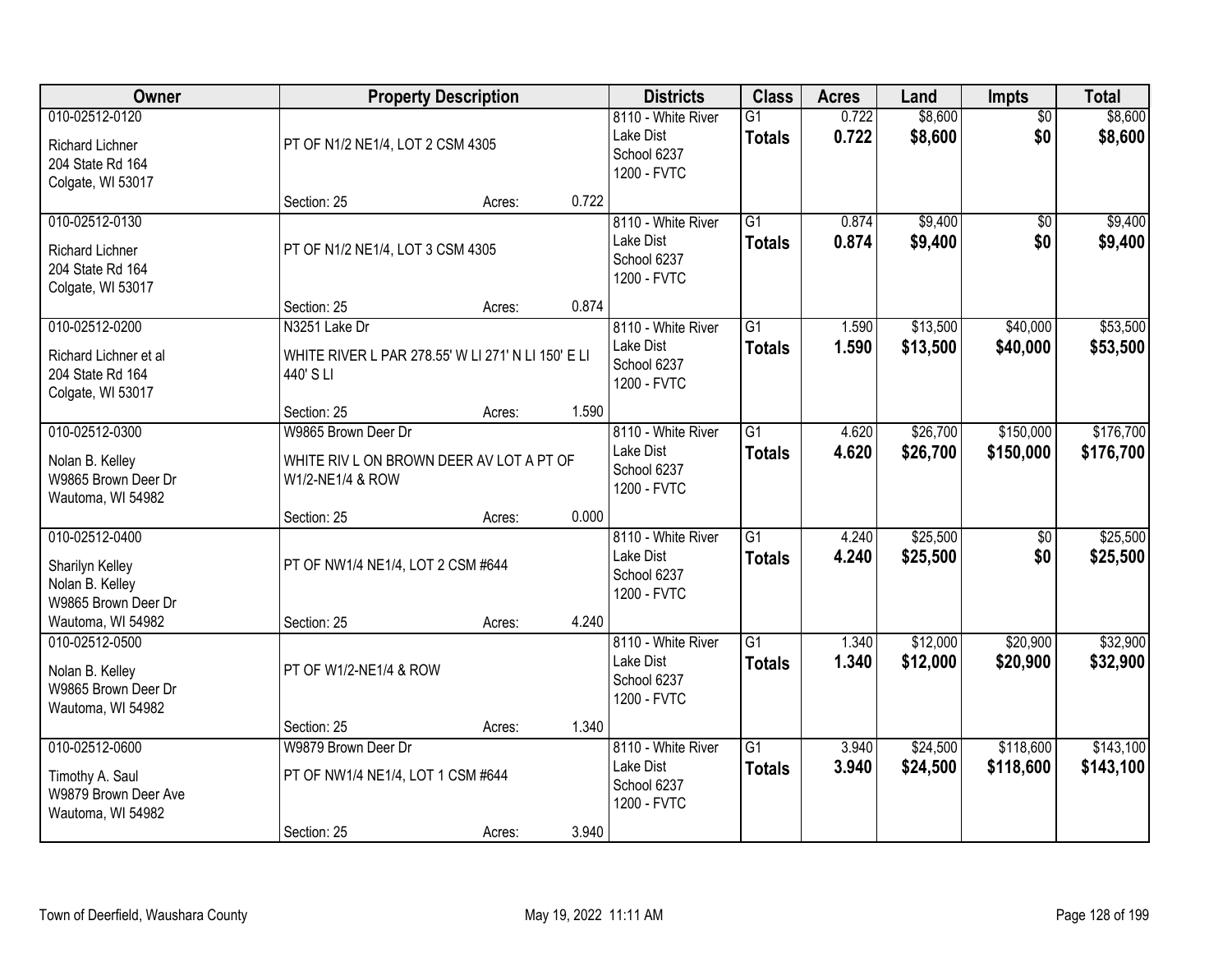| Owner                                                                             |                                                                                     | <b>Property Description</b> |       | <b>Districts</b>                                              | <b>Class</b>                     | <b>Acres</b>   | Land                 | <b>Impts</b>           | <b>Total</b>           |
|-----------------------------------------------------------------------------------|-------------------------------------------------------------------------------------|-----------------------------|-------|---------------------------------------------------------------|----------------------------------|----------------|----------------------|------------------------|------------------------|
| 010-02512-0120<br><b>Richard Lichner</b><br>204 State Rd 164<br>Colgate, WI 53017 | PT OF N1/2 NE1/4, LOT 2 CSM 4305                                                    |                             |       | 8110 - White River<br>Lake Dist<br>School 6237<br>1200 - FVTC | $\overline{G1}$<br><b>Totals</b> | 0.722<br>0.722 | \$8,600<br>\$8,600   | $\overline{50}$<br>\$0 | \$8,600<br>\$8,600     |
|                                                                                   | Section: 25                                                                         | Acres:                      | 0.722 |                                                               |                                  |                |                      |                        |                        |
| 010-02512-0130<br><b>Richard Lichner</b><br>204 State Rd 164<br>Colgate, WI 53017 | PT OF N1/2 NE1/4, LOT 3 CSM 4305                                                    |                             |       | 8110 - White River<br>Lake Dist<br>School 6237<br>1200 - FVTC | $\overline{G1}$<br><b>Totals</b> | 0.874<br>0.874 | \$9,400<br>\$9,400   | \$0<br>\$0             | \$9,400<br>\$9,400     |
|                                                                                   | Section: 25                                                                         | Acres:                      | 0.874 |                                                               |                                  |                |                      |                        |                        |
| 010-02512-0200<br>Richard Lichner et al<br>204 State Rd 164<br>Colgate, WI 53017  | N3251 Lake Dr<br>WHITE RIVER L PAR 278.55' W LI 271' N LI 150' E LI<br>440' S LI    |                             |       | 8110 - White River<br>Lake Dist<br>School 6237<br>1200 - FVTC | $\overline{G1}$<br><b>Totals</b> | 1.590<br>1.590 | \$13,500<br>\$13,500 | \$40,000<br>\$40,000   | \$53,500<br>\$53,500   |
|                                                                                   | Section: 25                                                                         | Acres:                      | 1.590 |                                                               |                                  |                |                      |                        |                        |
| 010-02512-0300<br>Nolan B. Kelley<br>W9865 Brown Deer Dr<br>Wautoma, WI 54982     | W9865 Brown Deer Dr<br>WHITE RIV L ON BROWN DEER AV LOT A PT OF<br>W1/2-NE1/4 & ROW |                             |       | 8110 - White River<br>Lake Dist<br>School 6237<br>1200 - FVTC | $\overline{G1}$<br><b>Totals</b> | 4.620<br>4.620 | \$26,700<br>\$26,700 | \$150,000<br>\$150,000 | \$176,700<br>\$176,700 |
|                                                                                   | Section: 25                                                                         | Acres:                      | 0.000 |                                                               |                                  |                |                      |                        |                        |
| 010-02512-0400<br>Sharilyn Kelley<br>Nolan B. Kelley<br>W9865 Brown Deer Dr       | PT OF NW1/4 NE1/4, LOT 2 CSM #644                                                   |                             |       | 8110 - White River<br>Lake Dist<br>School 6237<br>1200 - FVTC | $\overline{G1}$<br><b>Totals</b> | 4.240<br>4.240 | \$25,500<br>\$25,500 | \$0<br>\$0             | \$25,500<br>\$25,500   |
| Wautoma, WI 54982<br>010-02512-0500                                               | Section: 25                                                                         | Acres:                      | 4.240 | 8110 - White River                                            | $\overline{G1}$                  | 1.340          | \$12,000             | \$20,900               | \$32,900               |
| Nolan B. Kelley<br>W9865 Brown Deer Dr<br>Wautoma, WI 54982                       | PT OF W1/2-NE1/4 & ROW                                                              |                             |       | Lake Dist<br>School 6237<br>1200 - FVTC                       | <b>Totals</b>                    | 1.340          | \$12,000             | \$20,900               | \$32,900               |
|                                                                                   | Section: 25                                                                         | Acres:                      | 1.340 |                                                               |                                  |                |                      |                        |                        |
| 010-02512-0600<br>Timothy A. Saul<br>W9879 Brown Deer Ave<br>Wautoma, WI 54982    | W9879 Brown Deer Dr<br>PT OF NW1/4 NE1/4, LOT 1 CSM #644<br>Section: 25             | Acres:                      | 3.940 | 8110 - White River<br>Lake Dist<br>School 6237<br>1200 - FVTC | $\overline{G1}$<br><b>Totals</b> | 3.940<br>3.940 | \$24,500<br>\$24,500 | \$118,600<br>\$118,600 | \$143,100<br>\$143,100 |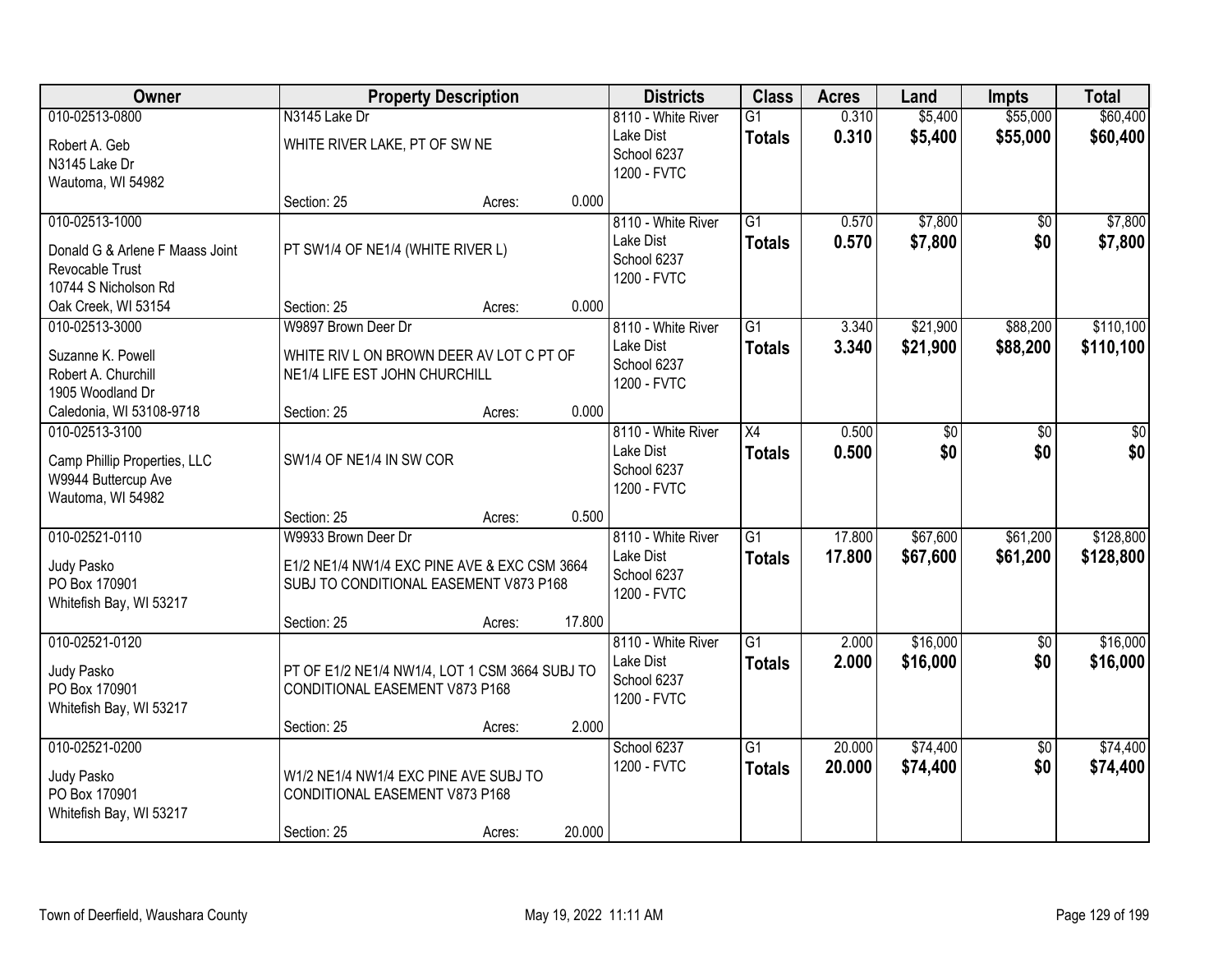| Owner                                                                                               | <b>Property Description</b>                                                                                                  |        |        | <b>Districts</b>                                              | <b>Class</b>                     | <b>Acres</b>     | Land                 | <b>Impts</b>           | <b>Total</b>           |
|-----------------------------------------------------------------------------------------------------|------------------------------------------------------------------------------------------------------------------------------|--------|--------|---------------------------------------------------------------|----------------------------------|------------------|----------------------|------------------------|------------------------|
| 010-02513-0800<br>Robert A. Geb<br>N3145 Lake Dr<br>Wautoma, WI 54982                               | N3145 Lake Dr<br>WHITE RIVER LAKE, PT OF SW NE                                                                               |        |        | 8110 - White River<br>Lake Dist<br>School 6237<br>1200 - FVTC | G1<br><b>Totals</b>              | 0.310<br>0.310   | \$5,400<br>\$5,400   | \$55,000<br>\$55,000   | \$60,400<br>\$60,400   |
|                                                                                                     | Section: 25                                                                                                                  | Acres: | 0.000  |                                                               |                                  |                  |                      |                        |                        |
| 010-02513-1000<br>Donald G & Arlene F Maass Joint<br><b>Revocable Trust</b><br>10744 S Nicholson Rd | PT SW1/4 OF NE1/4 (WHITE RIVER L)                                                                                            |        |        | 8110 - White River<br>Lake Dist<br>School 6237<br>1200 - FVTC | $\overline{G1}$<br><b>Totals</b> | 0.570<br>0.570   | \$7,800<br>\$7,800   | \$0<br>\$0             | \$7,800<br>\$7,800     |
| Oak Creek, WI 53154                                                                                 | Section: 25                                                                                                                  | Acres: | 0.000  |                                                               |                                  |                  |                      |                        |                        |
| 010-02513-3000<br>Suzanne K. Powell<br>Robert A. Churchill<br>1905 Woodland Dr                      | W9897 Brown Deer Dr<br>WHITE RIV L ON BROWN DEER AV LOT C PT OF<br>NE1/4 LIFE EST JOHN CHURCHILL                             |        |        | 8110 - White River<br>Lake Dist<br>School 6237<br>1200 - FVTC | G1<br><b>Totals</b>              | 3.340<br>3.340   | \$21,900<br>\$21,900 | \$88,200<br>\$88,200   | \$110,100<br>\$110,100 |
| Caledonia, WI 53108-9718                                                                            | Section: 25                                                                                                                  | Acres: | 0.000  |                                                               |                                  |                  |                      |                        |                        |
| 010-02513-3100<br>Camp Phillip Properties, LLC<br>W9944 Buttercup Ave<br>Wautoma, WI 54982          | SW1/4 OF NE1/4 IN SW COR                                                                                                     |        |        | 8110 - White River<br>Lake Dist<br>School 6237<br>1200 - FVTC | $\overline{X4}$<br><b>Totals</b> | 0.500<br>0.500   | \$0<br>\$0           | \$0<br>\$0             | \$0<br>\$0             |
|                                                                                                     | Section: 25                                                                                                                  | Acres: | 0.500  |                                                               |                                  |                  |                      |                        |                        |
| 010-02521-0110<br>Judy Pasko<br>PO Box 170901<br>Whitefish Bay, WI 53217                            | W9933 Brown Deer Dr<br>E1/2 NE1/4 NW1/4 EXC PINE AVE & EXC CSM 3664<br>SUBJ TO CONDITIONAL EASEMENT V873 P168<br>Section: 25 | Acres: | 17.800 | 8110 - White River<br>Lake Dist<br>School 6237<br>1200 - FVTC | $\overline{G1}$<br><b>Totals</b> | 17.800<br>17.800 | \$67,600<br>\$67,600 | \$61,200<br>\$61,200   | \$128,800<br>\$128,800 |
| 010-02521-0120                                                                                      |                                                                                                                              |        |        | 8110 - White River                                            | $\overline{G1}$                  | 2.000            | \$16,000             | \$0                    | \$16,000               |
| Judy Pasko<br>PO Box 170901<br>Whitefish Bay, WI 53217                                              | PT OF E1/2 NE1/4 NW1/4, LOT 1 CSM 3664 SUBJ TO<br>CONDITIONAL EASEMENT V873 P168                                             |        |        | Lake Dist<br>School 6237<br>1200 - FVTC                       | <b>Totals</b>                    | 2.000            | \$16,000             | \$0                    | \$16,000               |
|                                                                                                     | Section: 25                                                                                                                  | Acres: | 2.000  |                                                               |                                  |                  |                      |                        |                        |
| 010-02521-0200<br>Judy Pasko<br>PO Box 170901<br>Whitefish Bay, WI 53217                            | W1/2 NE1/4 NW1/4 EXC PINE AVE SUBJ TO<br>CONDITIONAL EASEMENT V873 P168<br>Section: 25                                       | Acres: | 20.000 | School 6237<br>1200 - FVTC                                    | $\overline{G1}$<br><b>Totals</b> | 20.000<br>20.000 | \$74,400<br>\$74,400 | $\overline{50}$<br>\$0 | \$74,400<br>\$74,400   |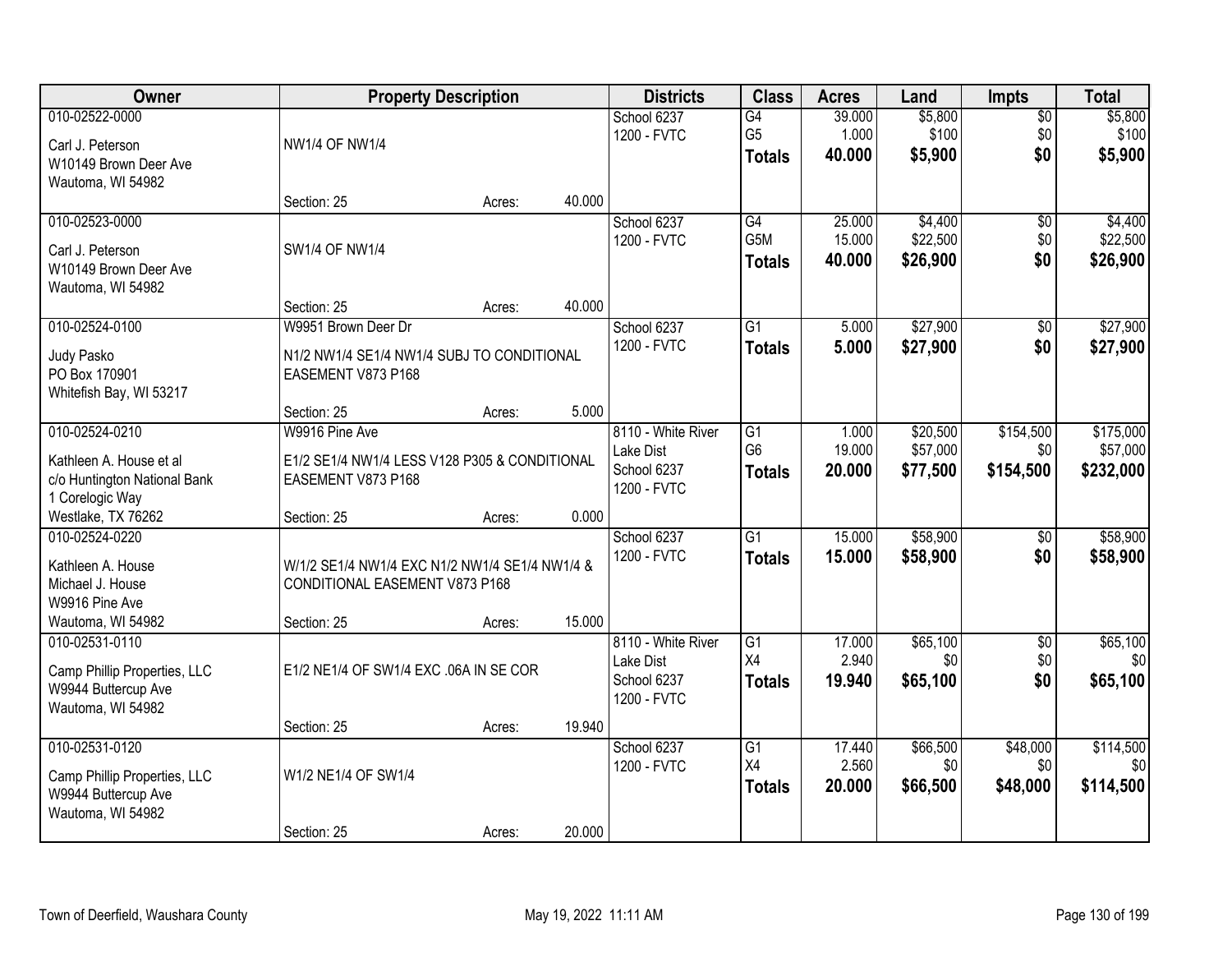| Owner                                                                                      |                                                                                  | <b>Property Description</b> |        | <b>Districts</b>                                              | <b>Class</b>                           | <b>Acres</b>              | Land                        | <b>Impts</b>                  | <b>Total</b>                |
|--------------------------------------------------------------------------------------------|----------------------------------------------------------------------------------|-----------------------------|--------|---------------------------------------------------------------|----------------------------------------|---------------------------|-----------------------------|-------------------------------|-----------------------------|
| 010-02522-0000                                                                             |                                                                                  |                             |        | School 6237<br>1200 - FVTC                                    | G4<br>G <sub>5</sub>                   | 39.000<br>1.000           | \$5,800<br>\$100            | $\overline{50}$<br>\$0        | \$5,800<br>\$100            |
| Carl J. Peterson<br>W10149 Brown Deer Ave                                                  | <b>NW1/4 OF NW1/4</b>                                                            |                             |        |                                                               | <b>Totals</b>                          | 40.000                    | \$5,900                     | \$0                           | \$5,900                     |
| Wautoma, WI 54982                                                                          | Section: 25                                                                      | Acres:                      | 40.000 |                                                               |                                        |                           |                             |                               |                             |
| 010-02523-0000                                                                             |                                                                                  |                             |        | School 6237                                                   | G4                                     | 25.000                    | \$4,400                     | $\overline{50}$               | \$4,400                     |
| Carl J. Peterson<br>W10149 Brown Deer Ave                                                  | SW1/4 OF NW1/4                                                                   |                             |        | 1200 - FVTC                                                   | G5M<br><b>Totals</b>                   | 15.000<br>40.000          | \$22,500<br>\$26,900        | \$0<br>\$0                    | \$22,500<br>\$26,900        |
| Wautoma, WI 54982                                                                          | Section: 25                                                                      | Acres:                      | 40.000 |                                                               |                                        |                           |                             |                               |                             |
| 010-02524-0100                                                                             | W9951 Brown Deer Dr                                                              |                             |        | School 6237                                                   | G1                                     | 5.000                     | \$27,900                    | \$0                           | \$27,900                    |
| Judy Pasko<br>PO Box 170901<br>Whitefish Bay, WI 53217                                     | N1/2 NW1/4 SE1/4 NW1/4 SUBJ TO CONDITIONAL<br>EASEMENT V873 P168                 |                             |        | 1200 - FVTC                                                   | <b>Totals</b>                          | 5.000                     | \$27,900                    | \$0                           | \$27,900                    |
|                                                                                            | Section: 25                                                                      | Acres:                      | 5.000  |                                                               |                                        |                           |                             |                               |                             |
| 010-02524-0210                                                                             | W9916 Pine Ave                                                                   |                             |        | 8110 - White River                                            | G1                                     | 1.000                     | \$20,500                    | \$154,500                     | \$175,000                   |
| Kathleen A. House et al<br>c/o Huntington National Bank<br>1 Corelogic Way                 | E1/2 SE1/4 NW1/4 LESS V128 P305 & CONDITIONAL<br>EASEMENT V873 P168              |                             |        | Lake Dist<br>School 6237<br>1200 - FVTC                       | G <sub>6</sub><br><b>Totals</b>        | 19.000<br>20.000          | \$57,000<br>\$77,500        | \$0<br>\$154,500              | \$57,000<br>\$232,000       |
| Westlake, TX 76262                                                                         | Section: 25                                                                      | Acres:                      | 0.000  |                                                               |                                        |                           |                             |                               |                             |
| 010-02524-0220                                                                             |                                                                                  |                             |        | School 6237<br>1200 - FVTC                                    | $\overline{G1}$<br><b>Totals</b>       | 15.000<br>15.000          | \$58,900<br>\$58,900        | $\overline{50}$<br>\$0        | \$58,900<br>\$58,900        |
| Kathleen A. House<br>Michael J. House<br>W9916 Pine Ave                                    | W/1/2 SE1/4 NW1/4 EXC N1/2 NW1/4 SE1/4 NW1/4 &<br>CONDITIONAL EASEMENT V873 P168 |                             |        |                                                               |                                        |                           |                             |                               |                             |
| Wautoma, WI 54982                                                                          | Section: 25                                                                      | Acres:                      | 15.000 |                                                               |                                        |                           |                             |                               |                             |
| 010-02531-0110<br>Camp Phillip Properties, LLC<br>W9944 Buttercup Ave<br>Wautoma, WI 54982 | E1/2 NE1/4 OF SW1/4 EXC .06A IN SE COR                                           |                             |        | 8110 - White River<br>Lake Dist<br>School 6237<br>1200 - FVTC | $\overline{G1}$<br>X4<br><b>Totals</b> | 17.000<br>2.940<br>19.940 | \$65,100<br>\$0<br>\$65,100 | $\overline{50}$<br>\$0<br>\$0 | \$65,100<br>\$0<br>\$65,100 |
|                                                                                            | Section: 25                                                                      | Acres:                      | 19.940 |                                                               |                                        |                           |                             |                               |                             |
| 010-02531-0120                                                                             | W1/2 NE1/4 OF SW1/4                                                              |                             |        | School 6237<br>1200 - FVTC                                    | $\overline{G1}$<br>X4                  | 17.440<br>2.560           | \$66,500<br>\$0             | \$48,000<br>\$0               | \$114,500<br>\$0            |
| Camp Phillip Properties, LLC<br>W9944 Buttercup Ave<br>Wautoma, WI 54982                   |                                                                                  |                             |        |                                                               | <b>Totals</b>                          | 20.000                    | \$66,500                    | \$48,000                      | \$114,500                   |
|                                                                                            | Section: 25                                                                      | Acres:                      | 20.000 |                                                               |                                        |                           |                             |                               |                             |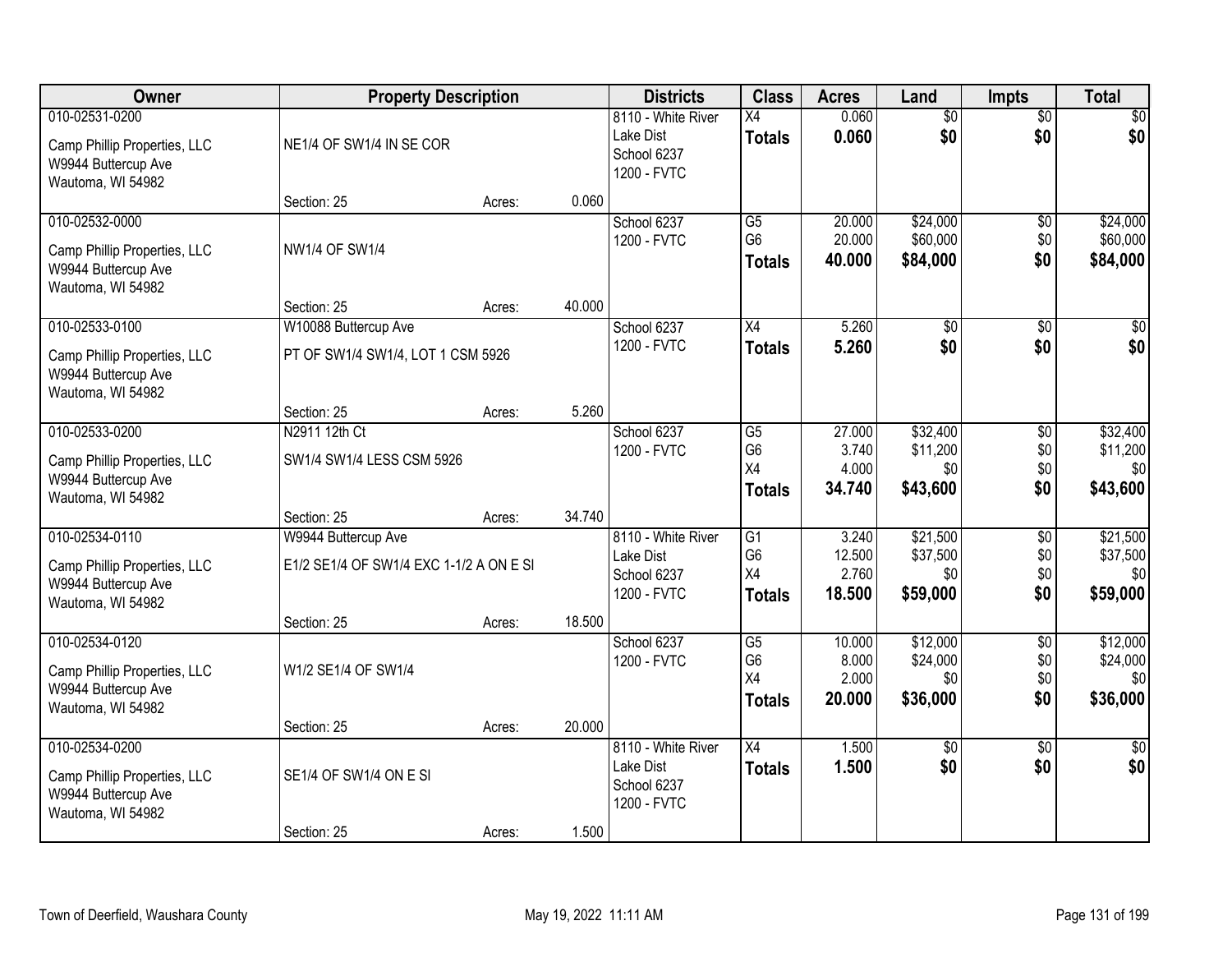| Owner                                               | <b>Property Description</b>             |        |        | <b>Districts</b>           | <b>Class</b>         | <b>Acres</b>    | Land                 | <b>Impts</b>      | <b>Total</b>         |
|-----------------------------------------------------|-----------------------------------------|--------|--------|----------------------------|----------------------|-----------------|----------------------|-------------------|----------------------|
| 010-02531-0200                                      |                                         |        |        | 8110 - White River         | $\overline{X4}$      | 0.060           | $\overline{50}$      | $\overline{50}$   | $\overline{30}$      |
| Camp Phillip Properties, LLC                        | NE1/4 OF SW1/4 IN SE COR                |        |        | Lake Dist<br>School 6237   | <b>Totals</b>        | 0.060           | \$0                  | \$0               | \$0                  |
| W9944 Buttercup Ave                                 |                                         |        |        | 1200 - FVTC                |                      |                 |                      |                   |                      |
| Wautoma, WI 54982                                   |                                         |        |        |                            |                      |                 |                      |                   |                      |
| 010-02532-0000                                      | Section: 25                             | Acres: | 0.060  |                            |                      | 20.000          | \$24,000             |                   | \$24,000             |
|                                                     |                                         |        |        | School 6237<br>1200 - FVTC | G5<br>G <sub>6</sub> | 20.000          | \$60,000             | \$0<br>\$0        | \$60,000             |
| Camp Phillip Properties, LLC                        | <b>NW1/4 OF SW1/4</b>                   |        |        |                            | <b>Totals</b>        | 40.000          | \$84,000             | \$0               | \$84,000             |
| W9944 Buttercup Ave                                 |                                         |        |        |                            |                      |                 |                      |                   |                      |
| Wautoma, WI 54982                                   | Section: 25                             | Acres: | 40.000 |                            |                      |                 |                      |                   |                      |
| 010-02533-0100                                      | W10088 Buttercup Ave                    |        |        | School 6237                | $\overline{X4}$      | 5.260           | $\overline{50}$      | $\overline{50}$   | $\overline{30}$      |
|                                                     |                                         |        |        | 1200 - FVTC                | <b>Totals</b>        | 5.260           | \$0                  | \$0               | \$0                  |
| Camp Phillip Properties, LLC<br>W9944 Buttercup Ave | PT OF SW1/4 SW1/4, LOT 1 CSM 5926       |        |        |                            |                      |                 |                      |                   |                      |
| Wautoma, WI 54982                                   |                                         |        |        |                            |                      |                 |                      |                   |                      |
|                                                     | Section: 25                             | Acres: | 5.260  |                            |                      |                 |                      |                   |                      |
| 010-02533-0200                                      | N2911 12th Ct                           |        |        | School 6237                | G <sub>5</sub>       | 27.000          | \$32,400             | \$0               | \$32,400             |
| Camp Phillip Properties, LLC                        | SW1/4 SW1/4 LESS CSM 5926               |        |        | 1200 - FVTC                | G <sub>6</sub>       | 3.740           | \$11,200             | \$0               | \$11,200             |
| W9944 Buttercup Ave                                 |                                         |        |        |                            | X4                   | 4.000           | \$0                  | \$0               | \$0                  |
| Wautoma, WI 54982                                   |                                         |        |        |                            | <b>Totals</b>        | 34.740          | \$43,600             | \$0               | \$43,600             |
|                                                     | Section: 25                             | Acres: | 34.740 |                            |                      |                 |                      |                   |                      |
| 010-02534-0110                                      | W9944 Buttercup Ave                     |        |        | 8110 - White River         | $\overline{G1}$      | 3.240           | \$21,500             | $\overline{30}$   | \$21,500             |
| Camp Phillip Properties, LLC                        | E1/2 SE1/4 OF SW1/4 EXC 1-1/2 A ON E SI |        |        | Lake Dist                  | G <sub>6</sub><br>X4 | 12.500<br>2.760 | \$37,500<br>\$0      | \$0<br>\$0        | \$37,500<br>\$0      |
| W9944 Buttercup Ave                                 |                                         |        |        | School 6237<br>1200 - FVTC | <b>Totals</b>        | 18.500          | \$59,000             | \$0               | \$59,000             |
| Wautoma, WI 54982                                   |                                         |        |        |                            |                      |                 |                      |                   |                      |
|                                                     | Section: 25                             | Acres: | 18.500 |                            |                      |                 |                      |                   |                      |
| 010-02534-0120                                      |                                         |        |        | School 6237<br>1200 - FVTC | G5<br>G <sub>6</sub> | 10.000<br>8.000 | \$12,000<br>\$24,000 | $\sqrt{6}$<br>\$0 | \$12,000<br>\$24,000 |
| Camp Phillip Properties, LLC                        | W1/2 SE1/4 OF SW1/4                     |        |        |                            | X4                   | 2.000           | \$0                  | \$0               | \$0                  |
| W9944 Buttercup Ave                                 |                                         |        |        |                            | <b>Totals</b>        | 20,000          | \$36,000             | \$0               | \$36,000             |
| Wautoma, WI 54982                                   | Section: 25                             | Acres: | 20.000 |                            |                      |                 |                      |                   |                      |
| 010-02534-0200                                      |                                         |        |        | 8110 - White River         | $\overline{X4}$      | 1.500           | $\overline{50}$      | $\overline{50}$   | $\overline{50}$      |
|                                                     |                                         |        |        | Lake Dist                  | <b>Totals</b>        | 1.500           | \$0                  | \$0               | \$0                  |
| Camp Phillip Properties, LLC<br>W9944 Buttercup Ave | SE1/4 OF SW1/4 ON E SI                  |        |        | School 6237                |                      |                 |                      |                   |                      |
| Wautoma, WI 54982                                   |                                         |        |        | 1200 - FVTC                |                      |                 |                      |                   |                      |
|                                                     | Section: 25                             | Acres: | 1.500  |                            |                      |                 |                      |                   |                      |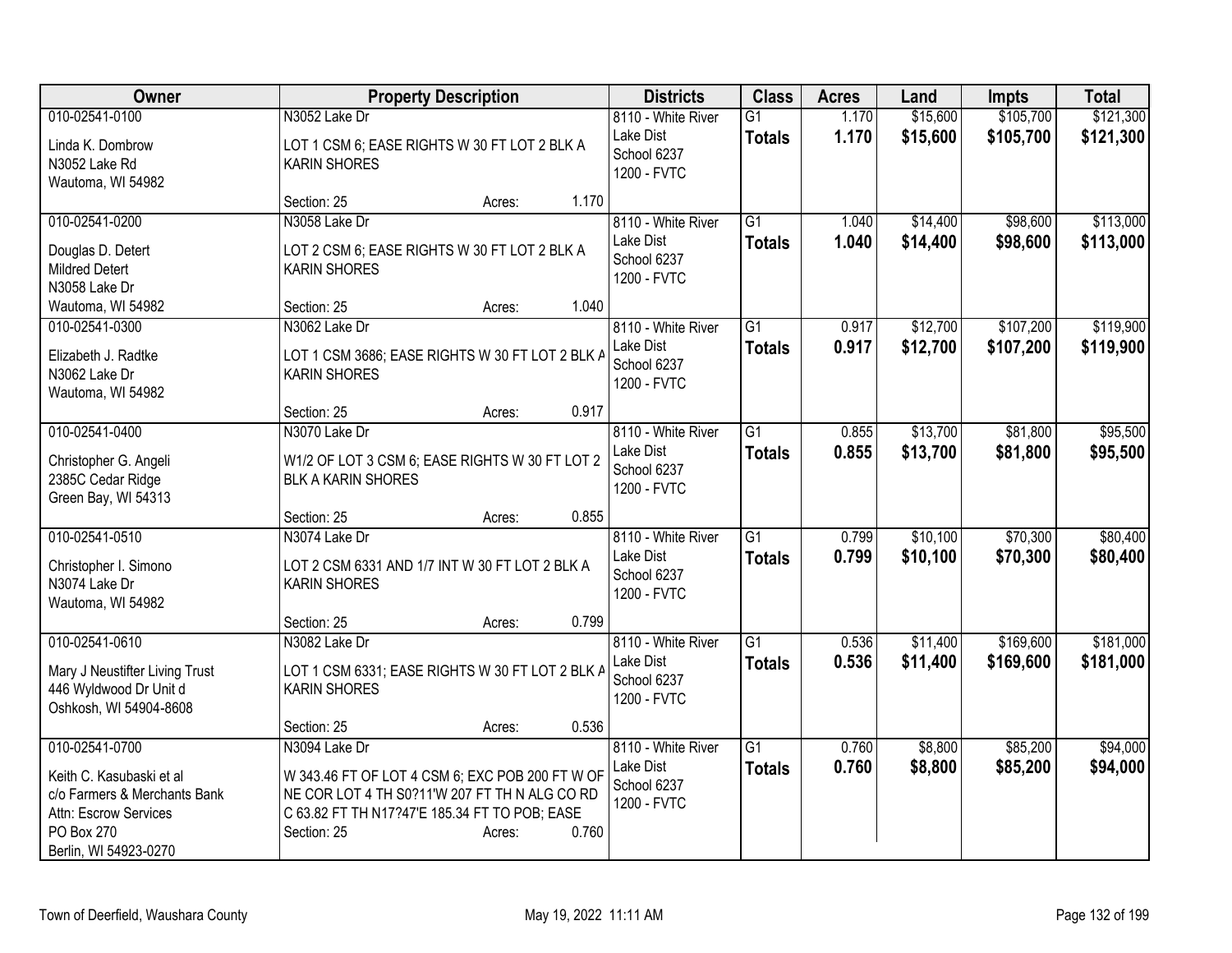| \$15,600<br>\$105,700<br>\$121,300<br>010-02541-0100<br>N3052 Lake Dr<br>1.170<br>8110 - White River<br>$\overline{G1}$<br>Lake Dist<br>1.170<br>\$15,600<br>\$105,700<br>\$121,300<br><b>Totals</b><br>Linda K. Dombrow<br>LOT 1 CSM 6; EASE RIGHTS W 30 FT LOT 2 BLK A<br>School 6237<br><b>KARIN SHORES</b><br>N3052 Lake Rd<br>1200 - FVTC<br>Wautoma, WI 54982<br>1.170<br>Section: 25<br>Acres:<br>010-02541-0200<br>N3058 Lake Dr<br>$\overline{G1}$<br>\$14,400<br>\$98,600<br>8110 - White River<br>1.040<br>1.040<br>\$98,600<br>Lake Dist<br>\$14,400<br><b>Totals</b><br>Douglas D. Detert<br>LOT 2 CSM 6; EASE RIGHTS W 30 FT LOT 2 BLK A<br>School 6237<br><b>Mildred Detert</b><br><b>KARIN SHORES</b><br>1200 - FVTC<br>N3058 Lake Dr<br>1.040<br>Section: 25<br>Wautoma, WI 54982<br>Acres:<br>N3062 Lake Dr<br>$\overline{G1}$<br>\$12,700<br>\$107,200<br>010-02541-0300<br>8110 - White River<br>0.917<br>Lake Dist<br>0.917<br>\$12,700<br>\$107,200<br><b>Totals</b><br>Elizabeth J. Radtke<br>LOT 1 CSM 3686; EASE RIGHTS W 30 FT LOT 2 BLK A<br>School 6237<br>N3062 Lake Dr<br><b>KARIN SHORES</b><br>1200 - FVTC<br>Wautoma, WI 54982<br>0.917<br>Section: 25<br>Acres:<br>N3070 Lake Dr<br>\$13,700<br>\$81,800<br>010-02541-0400<br>8110 - White River<br>$\overline{G1}$<br>0.855<br>Lake Dist<br>0.855<br>\$13,700<br>\$81,800<br><b>Totals</b><br>W1/2 OF LOT 3 CSM 6; EASE RIGHTS W 30 FT LOT 2<br>Christopher G. Angeli<br>School 6237<br>2385C Cedar Ridge<br><b>BLK A KARIN SHORES</b><br>1200 - FVTC<br>Green Bay, WI 54313<br>0.855<br>Section: 25<br>Acres:<br>010-02541-0510<br>N3074 Lake Dr<br>$\overline{G1}$<br>\$10,100<br>\$70,300<br>8110 - White River<br>0.799<br>Lake Dist<br>0.799<br>\$10,100<br>\$70,300<br><b>Totals</b><br>LOT 2 CSM 6331 AND 1/7 INT W 30 FT LOT 2 BLK A<br>Christopher I. Simono<br>School 6237<br>N3074 Lake Dr<br><b>KARIN SHORES</b><br>1200 - FVTC<br>Wautoma, WI 54982<br>0.799<br>Section: 25<br>Acres:<br>\$169,600<br>010-02541-0610<br>N3082 Lake Dr<br>G <sub>1</sub><br>\$11,400<br>8110 - White River<br>0.536<br>0.536<br>Lake Dist<br>\$11,400<br>\$169,600<br><b>Totals</b><br>LOT 1 CSM 6331; EASE RIGHTS W 30 FT LOT 2 BLK A<br>Mary J Neustifter Living Trust<br>School 6237<br>446 Wyldwood Dr Unit d<br><b>KARIN SHORES</b><br>1200 - FVTC<br>Oshkosh, WI 54904-8608<br>0.536<br>Section: 25<br>Acres:<br>010-02541-0700<br>\$85,200<br>N3094 Lake Dr<br>8110 - White River<br>$\overline{G1}$<br>0.760<br>\$8,800<br>0.760<br>\$85,200<br>Lake Dist<br>\$8,800<br><b>Totals</b><br>W 343.46 FT OF LOT 4 CSM 6; EXC POB 200 FT W OF<br>Keith C. Kasubaski et al<br>School 6237<br>c/o Farmers & Merchants Bank<br>NE COR LOT 4 TH S0?11'W 207 FT TH N ALG CO RD | Owner | <b>Property Description</b> | <b>Districts</b> | <b>Class</b> | <b>Acres</b> | Land | <b>Impts</b> | <b>Total</b> |
|-------------------------------------------------------------------------------------------------------------------------------------------------------------------------------------------------------------------------------------------------------------------------------------------------------------------------------------------------------------------------------------------------------------------------------------------------------------------------------------------------------------------------------------------------------------------------------------------------------------------------------------------------------------------------------------------------------------------------------------------------------------------------------------------------------------------------------------------------------------------------------------------------------------------------------------------------------------------------------------------------------------------------------------------------------------------------------------------------------------------------------------------------------------------------------------------------------------------------------------------------------------------------------------------------------------------------------------------------------------------------------------------------------------------------------------------------------------------------------------------------------------------------------------------------------------------------------------------------------------------------------------------------------------------------------------------------------------------------------------------------------------------------------------------------------------------------------------------------------------------------------------------------------------------------------------------------------------------------------------------------------------------------------------------------------------------------------------------------------------------------------------------------------------------------------------------------------------------------------------------------------------------------------------------------------------------------------------------------------------------------------------------------------------------------------------------------------------------------------------------------------------------------------------------------------------------------------------------------------------------------------------------------------------------------------------------------------------------------------------------------------------|-------|-----------------------------|------------------|--------------|--------------|------|--------------|--------------|
|                                                                                                                                                                                                                                                                                                                                                                                                                                                                                                                                                                                                                                                                                                                                                                                                                                                                                                                                                                                                                                                                                                                                                                                                                                                                                                                                                                                                                                                                                                                                                                                                                                                                                                                                                                                                                                                                                                                                                                                                                                                                                                                                                                                                                                                                                                                                                                                                                                                                                                                                                                                                                                                                                                                                                             |       |                             |                  |              |              |      |              |              |
|                                                                                                                                                                                                                                                                                                                                                                                                                                                                                                                                                                                                                                                                                                                                                                                                                                                                                                                                                                                                                                                                                                                                                                                                                                                                                                                                                                                                                                                                                                                                                                                                                                                                                                                                                                                                                                                                                                                                                                                                                                                                                                                                                                                                                                                                                                                                                                                                                                                                                                                                                                                                                                                                                                                                                             |       |                             |                  |              |              |      |              |              |
| \$113,000<br>\$113,000<br>\$119,900<br>\$119,900<br>\$95,500<br>\$80,400<br>\$181,000<br>\$94,000                                                                                                                                                                                                                                                                                                                                                                                                                                                                                                                                                                                                                                                                                                                                                                                                                                                                                                                                                                                                                                                                                                                                                                                                                                                                                                                                                                                                                                                                                                                                                                                                                                                                                                                                                                                                                                                                                                                                                                                                                                                                                                                                                                                                                                                                                                                                                                                                                                                                                                                                                                                                                                                           |       |                             |                  |              |              |      |              |              |
|                                                                                                                                                                                                                                                                                                                                                                                                                                                                                                                                                                                                                                                                                                                                                                                                                                                                                                                                                                                                                                                                                                                                                                                                                                                                                                                                                                                                                                                                                                                                                                                                                                                                                                                                                                                                                                                                                                                                                                                                                                                                                                                                                                                                                                                                                                                                                                                                                                                                                                                                                                                                                                                                                                                                                             |       |                             |                  |              |              |      |              |              |
|                                                                                                                                                                                                                                                                                                                                                                                                                                                                                                                                                                                                                                                                                                                                                                                                                                                                                                                                                                                                                                                                                                                                                                                                                                                                                                                                                                                                                                                                                                                                                                                                                                                                                                                                                                                                                                                                                                                                                                                                                                                                                                                                                                                                                                                                                                                                                                                                                                                                                                                                                                                                                                                                                                                                                             |       |                             |                  |              |              |      |              |              |
|                                                                                                                                                                                                                                                                                                                                                                                                                                                                                                                                                                                                                                                                                                                                                                                                                                                                                                                                                                                                                                                                                                                                                                                                                                                                                                                                                                                                                                                                                                                                                                                                                                                                                                                                                                                                                                                                                                                                                                                                                                                                                                                                                                                                                                                                                                                                                                                                                                                                                                                                                                                                                                                                                                                                                             |       |                             |                  |              |              |      |              |              |
|                                                                                                                                                                                                                                                                                                                                                                                                                                                                                                                                                                                                                                                                                                                                                                                                                                                                                                                                                                                                                                                                                                                                                                                                                                                                                                                                                                                                                                                                                                                                                                                                                                                                                                                                                                                                                                                                                                                                                                                                                                                                                                                                                                                                                                                                                                                                                                                                                                                                                                                                                                                                                                                                                                                                                             |       |                             |                  |              |              |      |              |              |
| \$95,500<br>\$80,400<br>\$181,000<br>\$94,000                                                                                                                                                                                                                                                                                                                                                                                                                                                                                                                                                                                                                                                                                                                                                                                                                                                                                                                                                                                                                                                                                                                                                                                                                                                                                                                                                                                                                                                                                                                                                                                                                                                                                                                                                                                                                                                                                                                                                                                                                                                                                                                                                                                                                                                                                                                                                                                                                                                                                                                                                                                                                                                                                                               |       |                             |                  |              |              |      |              |              |
|                                                                                                                                                                                                                                                                                                                                                                                                                                                                                                                                                                                                                                                                                                                                                                                                                                                                                                                                                                                                                                                                                                                                                                                                                                                                                                                                                                                                                                                                                                                                                                                                                                                                                                                                                                                                                                                                                                                                                                                                                                                                                                                                                                                                                                                                                                                                                                                                                                                                                                                                                                                                                                                                                                                                                             |       |                             |                  |              |              |      |              |              |
|                                                                                                                                                                                                                                                                                                                                                                                                                                                                                                                                                                                                                                                                                                                                                                                                                                                                                                                                                                                                                                                                                                                                                                                                                                                                                                                                                                                                                                                                                                                                                                                                                                                                                                                                                                                                                                                                                                                                                                                                                                                                                                                                                                                                                                                                                                                                                                                                                                                                                                                                                                                                                                                                                                                                                             |       |                             |                  |              |              |      |              |              |
|                                                                                                                                                                                                                                                                                                                                                                                                                                                                                                                                                                                                                                                                                                                                                                                                                                                                                                                                                                                                                                                                                                                                                                                                                                                                                                                                                                                                                                                                                                                                                                                                                                                                                                                                                                                                                                                                                                                                                                                                                                                                                                                                                                                                                                                                                                                                                                                                                                                                                                                                                                                                                                                                                                                                                             |       |                             |                  |              |              |      |              |              |
|                                                                                                                                                                                                                                                                                                                                                                                                                                                                                                                                                                                                                                                                                                                                                                                                                                                                                                                                                                                                                                                                                                                                                                                                                                                                                                                                                                                                                                                                                                                                                                                                                                                                                                                                                                                                                                                                                                                                                                                                                                                                                                                                                                                                                                                                                                                                                                                                                                                                                                                                                                                                                                                                                                                                                             |       |                             |                  |              |              |      |              |              |
|                                                                                                                                                                                                                                                                                                                                                                                                                                                                                                                                                                                                                                                                                                                                                                                                                                                                                                                                                                                                                                                                                                                                                                                                                                                                                                                                                                                                                                                                                                                                                                                                                                                                                                                                                                                                                                                                                                                                                                                                                                                                                                                                                                                                                                                                                                                                                                                                                                                                                                                                                                                                                                                                                                                                                             |       |                             |                  |              |              |      |              |              |
|                                                                                                                                                                                                                                                                                                                                                                                                                                                                                                                                                                                                                                                                                                                                                                                                                                                                                                                                                                                                                                                                                                                                                                                                                                                                                                                                                                                                                                                                                                                                                                                                                                                                                                                                                                                                                                                                                                                                                                                                                                                                                                                                                                                                                                                                                                                                                                                                                                                                                                                                                                                                                                                                                                                                                             |       |                             |                  |              |              |      |              |              |
|                                                                                                                                                                                                                                                                                                                                                                                                                                                                                                                                                                                                                                                                                                                                                                                                                                                                                                                                                                                                                                                                                                                                                                                                                                                                                                                                                                                                                                                                                                                                                                                                                                                                                                                                                                                                                                                                                                                                                                                                                                                                                                                                                                                                                                                                                                                                                                                                                                                                                                                                                                                                                                                                                                                                                             |       |                             |                  |              |              |      |              |              |
|                                                                                                                                                                                                                                                                                                                                                                                                                                                                                                                                                                                                                                                                                                                                                                                                                                                                                                                                                                                                                                                                                                                                                                                                                                                                                                                                                                                                                                                                                                                                                                                                                                                                                                                                                                                                                                                                                                                                                                                                                                                                                                                                                                                                                                                                                                                                                                                                                                                                                                                                                                                                                                                                                                                                                             |       |                             |                  |              |              |      |              |              |
|                                                                                                                                                                                                                                                                                                                                                                                                                                                                                                                                                                                                                                                                                                                                                                                                                                                                                                                                                                                                                                                                                                                                                                                                                                                                                                                                                                                                                                                                                                                                                                                                                                                                                                                                                                                                                                                                                                                                                                                                                                                                                                                                                                                                                                                                                                                                                                                                                                                                                                                                                                                                                                                                                                                                                             |       |                             |                  |              |              |      |              |              |
|                                                                                                                                                                                                                                                                                                                                                                                                                                                                                                                                                                                                                                                                                                                                                                                                                                                                                                                                                                                                                                                                                                                                                                                                                                                                                                                                                                                                                                                                                                                                                                                                                                                                                                                                                                                                                                                                                                                                                                                                                                                                                                                                                                                                                                                                                                                                                                                                                                                                                                                                                                                                                                                                                                                                                             |       |                             |                  |              |              |      |              |              |
|                                                                                                                                                                                                                                                                                                                                                                                                                                                                                                                                                                                                                                                                                                                                                                                                                                                                                                                                                                                                                                                                                                                                                                                                                                                                                                                                                                                                                                                                                                                                                                                                                                                                                                                                                                                                                                                                                                                                                                                                                                                                                                                                                                                                                                                                                                                                                                                                                                                                                                                                                                                                                                                                                                                                                             |       |                             |                  |              |              |      |              |              |
|                                                                                                                                                                                                                                                                                                                                                                                                                                                                                                                                                                                                                                                                                                                                                                                                                                                                                                                                                                                                                                                                                                                                                                                                                                                                                                                                                                                                                                                                                                                                                                                                                                                                                                                                                                                                                                                                                                                                                                                                                                                                                                                                                                                                                                                                                                                                                                                                                                                                                                                                                                                                                                                                                                                                                             |       |                             |                  |              |              |      |              |              |
|                                                                                                                                                                                                                                                                                                                                                                                                                                                                                                                                                                                                                                                                                                                                                                                                                                                                                                                                                                                                                                                                                                                                                                                                                                                                                                                                                                                                                                                                                                                                                                                                                                                                                                                                                                                                                                                                                                                                                                                                                                                                                                                                                                                                                                                                                                                                                                                                                                                                                                                                                                                                                                                                                                                                                             |       |                             |                  |              |              |      |              |              |
|                                                                                                                                                                                                                                                                                                                                                                                                                                                                                                                                                                                                                                                                                                                                                                                                                                                                                                                                                                                                                                                                                                                                                                                                                                                                                                                                                                                                                                                                                                                                                                                                                                                                                                                                                                                                                                                                                                                                                                                                                                                                                                                                                                                                                                                                                                                                                                                                                                                                                                                                                                                                                                                                                                                                                             |       |                             |                  |              |              |      |              |              |
|                                                                                                                                                                                                                                                                                                                                                                                                                                                                                                                                                                                                                                                                                                                                                                                                                                                                                                                                                                                                                                                                                                                                                                                                                                                                                                                                                                                                                                                                                                                                                                                                                                                                                                                                                                                                                                                                                                                                                                                                                                                                                                                                                                                                                                                                                                                                                                                                                                                                                                                                                                                                                                                                                                                                                             |       |                             |                  |              |              |      |              |              |
|                                                                                                                                                                                                                                                                                                                                                                                                                                                                                                                                                                                                                                                                                                                                                                                                                                                                                                                                                                                                                                                                                                                                                                                                                                                                                                                                                                                                                                                                                                                                                                                                                                                                                                                                                                                                                                                                                                                                                                                                                                                                                                                                                                                                                                                                                                                                                                                                                                                                                                                                                                                                                                                                                                                                                             |       |                             |                  |              |              |      |              |              |
|                                                                                                                                                                                                                                                                                                                                                                                                                                                                                                                                                                                                                                                                                                                                                                                                                                                                                                                                                                                                                                                                                                                                                                                                                                                                                                                                                                                                                                                                                                                                                                                                                                                                                                                                                                                                                                                                                                                                                                                                                                                                                                                                                                                                                                                                                                                                                                                                                                                                                                                                                                                                                                                                                                                                                             |       |                             |                  |              |              |      |              |              |
|                                                                                                                                                                                                                                                                                                                                                                                                                                                                                                                                                                                                                                                                                                                                                                                                                                                                                                                                                                                                                                                                                                                                                                                                                                                                                                                                                                                                                                                                                                                                                                                                                                                                                                                                                                                                                                                                                                                                                                                                                                                                                                                                                                                                                                                                                                                                                                                                                                                                                                                                                                                                                                                                                                                                                             |       |                             |                  |              |              |      |              |              |
|                                                                                                                                                                                                                                                                                                                                                                                                                                                                                                                                                                                                                                                                                                                                                                                                                                                                                                                                                                                                                                                                                                                                                                                                                                                                                                                                                                                                                                                                                                                                                                                                                                                                                                                                                                                                                                                                                                                                                                                                                                                                                                                                                                                                                                                                                                                                                                                                                                                                                                                                                                                                                                                                                                                                                             |       |                             |                  |              |              |      |              |              |
|                                                                                                                                                                                                                                                                                                                                                                                                                                                                                                                                                                                                                                                                                                                                                                                                                                                                                                                                                                                                                                                                                                                                                                                                                                                                                                                                                                                                                                                                                                                                                                                                                                                                                                                                                                                                                                                                                                                                                                                                                                                                                                                                                                                                                                                                                                                                                                                                                                                                                                                                                                                                                                                                                                                                                             |       |                             |                  |              |              |      |              |              |
|                                                                                                                                                                                                                                                                                                                                                                                                                                                                                                                                                                                                                                                                                                                                                                                                                                                                                                                                                                                                                                                                                                                                                                                                                                                                                                                                                                                                                                                                                                                                                                                                                                                                                                                                                                                                                                                                                                                                                                                                                                                                                                                                                                                                                                                                                                                                                                                                                                                                                                                                                                                                                                                                                                                                                             |       |                             |                  |              |              |      |              |              |
|                                                                                                                                                                                                                                                                                                                                                                                                                                                                                                                                                                                                                                                                                                                                                                                                                                                                                                                                                                                                                                                                                                                                                                                                                                                                                                                                                                                                                                                                                                                                                                                                                                                                                                                                                                                                                                                                                                                                                                                                                                                                                                                                                                                                                                                                                                                                                                                                                                                                                                                                                                                                                                                                                                                                                             |       |                             |                  |              |              |      |              |              |
|                                                                                                                                                                                                                                                                                                                                                                                                                                                                                                                                                                                                                                                                                                                                                                                                                                                                                                                                                                                                                                                                                                                                                                                                                                                                                                                                                                                                                                                                                                                                                                                                                                                                                                                                                                                                                                                                                                                                                                                                                                                                                                                                                                                                                                                                                                                                                                                                                                                                                                                                                                                                                                                                                                                                                             |       |                             |                  |              |              |      |              |              |
|                                                                                                                                                                                                                                                                                                                                                                                                                                                                                                                                                                                                                                                                                                                                                                                                                                                                                                                                                                                                                                                                                                                                                                                                                                                                                                                                                                                                                                                                                                                                                                                                                                                                                                                                                                                                                                                                                                                                                                                                                                                                                                                                                                                                                                                                                                                                                                                                                                                                                                                                                                                                                                                                                                                                                             |       |                             |                  |              |              |      |              |              |
|                                                                                                                                                                                                                                                                                                                                                                                                                                                                                                                                                                                                                                                                                                                                                                                                                                                                                                                                                                                                                                                                                                                                                                                                                                                                                                                                                                                                                                                                                                                                                                                                                                                                                                                                                                                                                                                                                                                                                                                                                                                                                                                                                                                                                                                                                                                                                                                                                                                                                                                                                                                                                                                                                                                                                             |       |                             |                  |              |              |      |              |              |
|                                                                                                                                                                                                                                                                                                                                                                                                                                                                                                                                                                                                                                                                                                                                                                                                                                                                                                                                                                                                                                                                                                                                                                                                                                                                                                                                                                                                                                                                                                                                                                                                                                                                                                                                                                                                                                                                                                                                                                                                                                                                                                                                                                                                                                                                                                                                                                                                                                                                                                                                                                                                                                                                                                                                                             |       |                             |                  |              |              |      |              |              |
| C 63.82 FT TH N17?47'E 185.34 FT TO POB; EASE<br>Attn: Escrow Services                                                                                                                                                                                                                                                                                                                                                                                                                                                                                                                                                                                                                                                                                                                                                                                                                                                                                                                                                                                                                                                                                                                                                                                                                                                                                                                                                                                                                                                                                                                                                                                                                                                                                                                                                                                                                                                                                                                                                                                                                                                                                                                                                                                                                                                                                                                                                                                                                                                                                                                                                                                                                                                                                      |       |                             | 1200 - FVTC      |              |              |      |              |              |
| PO Box 270<br>Section: 25<br>0.760<br>Acres:                                                                                                                                                                                                                                                                                                                                                                                                                                                                                                                                                                                                                                                                                                                                                                                                                                                                                                                                                                                                                                                                                                                                                                                                                                                                                                                                                                                                                                                                                                                                                                                                                                                                                                                                                                                                                                                                                                                                                                                                                                                                                                                                                                                                                                                                                                                                                                                                                                                                                                                                                                                                                                                                                                                |       |                             |                  |              |              |      |              |              |
| Berlin, WI 54923-0270                                                                                                                                                                                                                                                                                                                                                                                                                                                                                                                                                                                                                                                                                                                                                                                                                                                                                                                                                                                                                                                                                                                                                                                                                                                                                                                                                                                                                                                                                                                                                                                                                                                                                                                                                                                                                                                                                                                                                                                                                                                                                                                                                                                                                                                                                                                                                                                                                                                                                                                                                                                                                                                                                                                                       |       |                             |                  |              |              |      |              |              |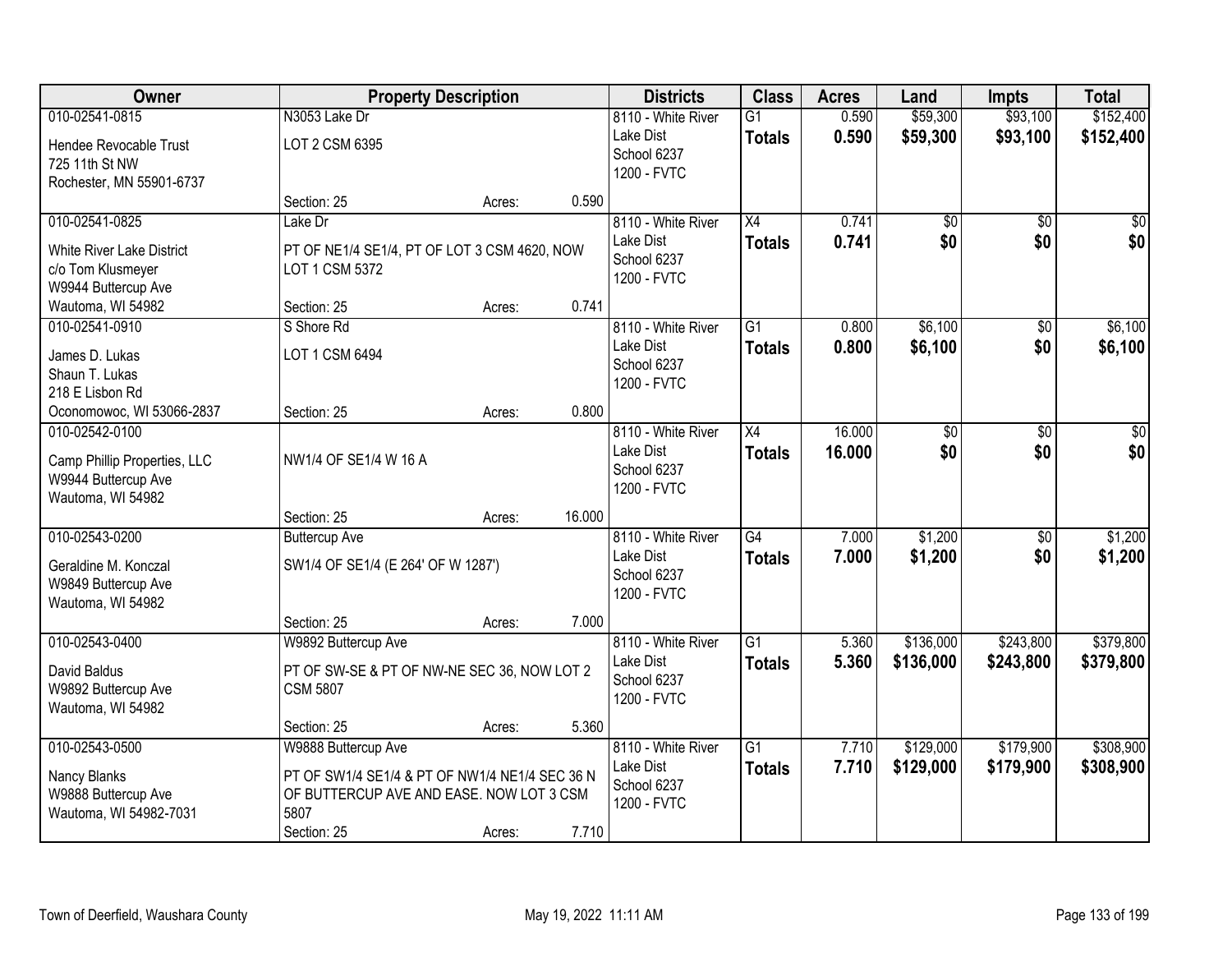| Owner                                    |                                                | <b>Property Description</b> |        | <b>Districts</b>                | <b>Class</b>    | <b>Acres</b> | Land            | <b>Impts</b>    | <b>Total</b> |
|------------------------------------------|------------------------------------------------|-----------------------------|--------|---------------------------------|-----------------|--------------|-----------------|-----------------|--------------|
| 010-02541-0815                           | N3053 Lake Dr                                  |                             |        | 8110 - White River              | $\overline{G1}$ | 0.590        | \$59,300        | \$93,100        | \$152,400    |
| Hendee Revocable Trust                   | LOT 2 CSM 6395                                 |                             |        | Lake Dist                       | <b>Totals</b>   | 0.590        | \$59,300        | \$93,100        | \$152,400    |
| 725 11th St NW                           |                                                |                             |        | School 6237                     |                 |              |                 |                 |              |
| Rochester, MN 55901-6737                 |                                                |                             |        | 1200 - FVTC                     |                 |              |                 |                 |              |
|                                          | Section: 25                                    | Acres:                      | 0.590  |                                 |                 |              |                 |                 |              |
| 010-02541-0825                           | Lake Dr                                        |                             |        | 8110 - White River              | $\overline{X4}$ | 0.741        | $\overline{50}$ | $\overline{50}$ | $\sqrt{50}$  |
| <b>White River Lake District</b>         | PT OF NE1/4 SE1/4, PT OF LOT 3 CSM 4620, NOW   |                             |        | Lake Dist                       | <b>Totals</b>   | 0.741        | \$0             | \$0             | \$0          |
| c/o Tom Klusmeyer                        | LOT 1 CSM 5372                                 |                             |        | School 6237                     |                 |              |                 |                 |              |
| W9944 Buttercup Ave                      |                                                |                             |        | 1200 - FVTC                     |                 |              |                 |                 |              |
| Wautoma, WI 54982                        | Section: 25                                    | Acres:                      | 0.741  |                                 |                 |              |                 |                 |              |
| 010-02541-0910                           | S Shore Rd                                     |                             |        | 8110 - White River              | $\overline{G1}$ | 0.800        | \$6,100         | \$0             | \$6,100      |
| James D. Lukas                           | LOT 1 CSM 6494                                 |                             |        | Lake Dist                       | <b>Totals</b>   | 0.800        | \$6,100         | \$0             | \$6,100      |
| Shaun T. Lukas                           |                                                |                             |        | School 6237                     |                 |              |                 |                 |              |
| 218 E Lisbon Rd                          |                                                |                             |        | 1200 - FVTC                     |                 |              |                 |                 |              |
| Oconomowoc, WI 53066-2837                | Section: 25                                    | Acres:                      | 0.800  |                                 |                 |              |                 |                 |              |
| 010-02542-0100                           |                                                |                             |        | 8110 - White River              | X4              | 16.000       | \$0             | \$0             | \$0          |
|                                          |                                                |                             |        | Lake Dist                       | <b>Totals</b>   | 16.000       | \$0             | \$0             | \$0          |
| Camp Phillip Properties, LLC             | NW1/4 OF SE1/4 W 16 A                          |                             |        | School 6237                     |                 |              |                 |                 |              |
| W9944 Buttercup Ave<br>Wautoma, WI 54982 |                                                |                             |        | 1200 - FVTC                     |                 |              |                 |                 |              |
|                                          | Section: 25                                    | Acres:                      | 16.000 |                                 |                 |              |                 |                 |              |
| 010-02543-0200                           | <b>Buttercup Ave</b>                           |                             |        | 8110 - White River              | $\overline{G4}$ | 7.000        | \$1,200         | $\overline{50}$ | \$1,200      |
|                                          |                                                |                             |        | Lake Dist                       | <b>Totals</b>   | 7.000        | \$1,200         | \$0             | \$1,200      |
| Geraldine M. Konczal                     | SW1/4 OF SE1/4 (E 264' OF W 1287')             |                             |        | School 6237                     |                 |              |                 |                 |              |
| W9849 Buttercup Ave                      |                                                |                             |        | 1200 - FVTC                     |                 |              |                 |                 |              |
| Wautoma, WI 54982                        |                                                |                             |        |                                 |                 |              |                 |                 |              |
|                                          | Section: 25                                    | Acres:                      | 7.000  |                                 |                 |              |                 |                 |              |
| 010-02543-0400                           | W9892 Buttercup Ave                            |                             |        | 8110 - White River<br>Lake Dist | $\overline{G1}$ | 5.360        | \$136,000       | \$243,800       | \$379,800    |
| David Baldus                             | PT OF SW-SE & PT OF NW-NE SEC 36, NOW LOT 2    |                             |        | School 6237                     | <b>Totals</b>   | 5.360        | \$136,000       | \$243,800       | \$379,800    |
| W9892 Buttercup Ave                      | <b>CSM 5807</b>                                |                             |        | 1200 - FVTC                     |                 |              |                 |                 |              |
| Wautoma, WI 54982                        |                                                |                             |        |                                 |                 |              |                 |                 |              |
|                                          | Section: 25                                    | Acres:                      | 5.360  |                                 |                 |              |                 |                 |              |
| 010-02543-0500                           | W9888 Buttercup Ave                            |                             |        | 8110 - White River              | $\overline{G1}$ | 7.710        | \$129,000       | \$179,900       | \$308,900    |
| Nancy Blanks                             | PT OF SW1/4 SE1/4 & PT OF NW1/4 NE1/4 SEC 36 N |                             |        | Lake Dist                       | <b>Totals</b>   | 7.710        | \$129,000       | \$179,900       | \$308,900    |
| W9888 Buttercup Ave                      | OF BUTTERCUP AVE AND EASE. NOW LOT 3 CSM       |                             |        | School 6237                     |                 |              |                 |                 |              |
| Wautoma, WI 54982-7031                   | 5807                                           |                             |        | 1200 - FVTC                     |                 |              |                 |                 |              |
|                                          | Section: 25                                    | Acres:                      | 7.710  |                                 |                 |              |                 |                 |              |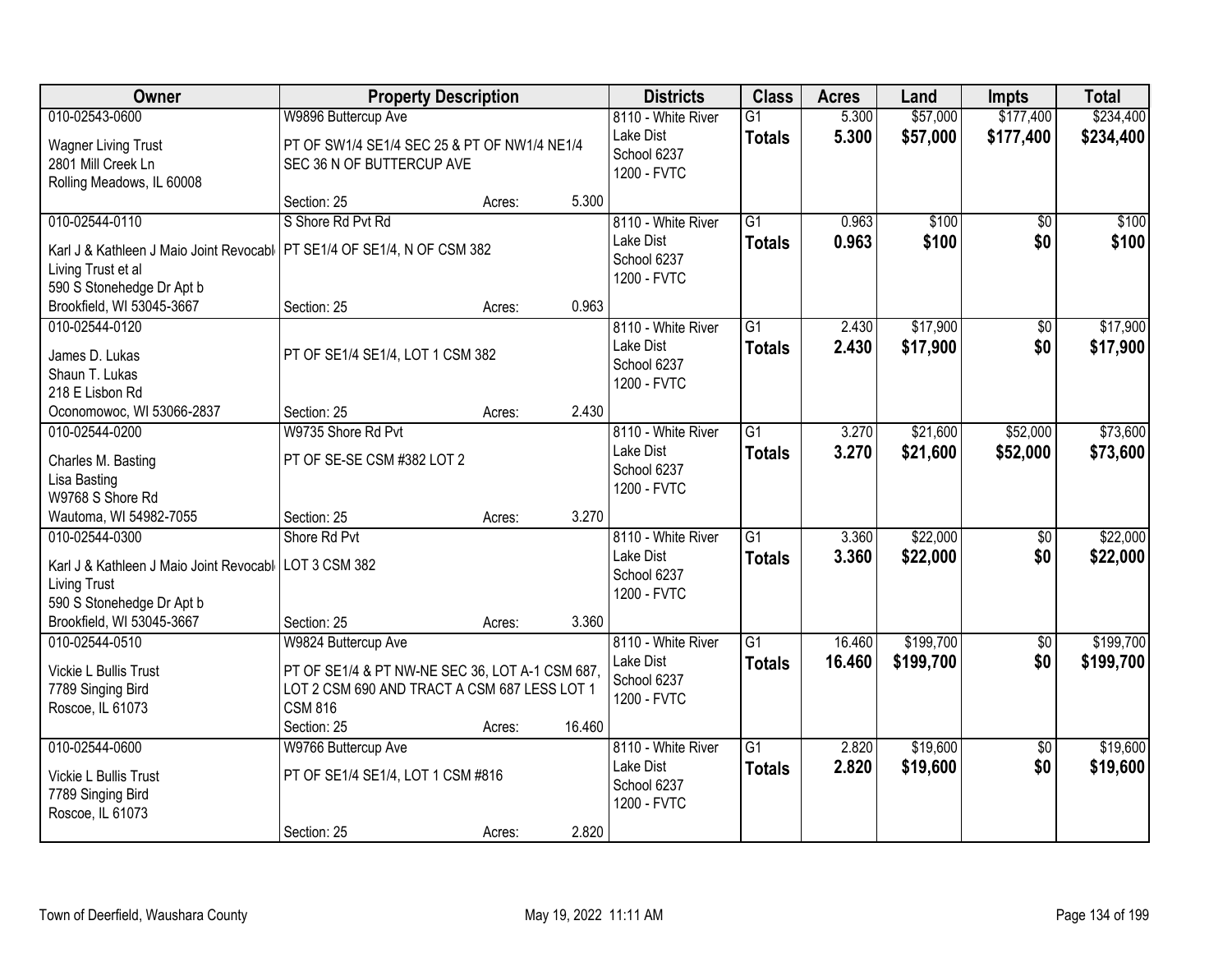| <b>Class</b><br>Owner<br><b>Property Description</b><br><b>Districts</b><br><b>Acres</b><br>Land<br><b>Impts</b>                                          | <b>Total</b>                |
|-----------------------------------------------------------------------------------------------------------------------------------------------------------|-----------------------------|
| 010-02543-0600<br>W9896 Buttercup Ave<br>5.300<br>\$57,000<br>\$177,400<br>8110 - White River<br>$\overline{G1}$                                          | \$234,400                   |
| Lake Dist<br>5.300<br>\$57,000<br>\$177,400<br><b>Totals</b><br><b>Wagner Living Trust</b><br>PT OF SW1/4 SE1/4 SEC 25 & PT OF NW1/4 NE1/4<br>School 6237 | \$234,400                   |
| 2801 Mill Creek Ln<br>SEC 36 N OF BUTTERCUP AVE<br>1200 - FVTC                                                                                            |                             |
| Rolling Meadows, IL 60008                                                                                                                                 |                             |
| 5.300<br>Section: 25<br>Acres:                                                                                                                            |                             |
| \$100<br>010-02544-0110<br>S Shore Rd Pvt Rd<br>8110 - White River<br>$\overline{G1}$<br>0.963                                                            | $\overline{50}$<br>\$100    |
| 0.963<br>\$100<br>Lake Dist<br><b>Totals</b><br>PT SE1/4 OF SE1/4, N OF CSM 382<br>Karl J & Kathleen J Maio Joint Revocabl                                | \$0<br>\$100                |
| School 6237<br>Living Trust et al                                                                                                                         |                             |
| 1200 - FVTC<br>590 S Stonehedge Dr Apt b                                                                                                                  |                             |
| Brookfield, WI 53045-3667<br>0.963<br>Section: 25<br>Acres:                                                                                               |                             |
| \$17,900<br>010-02544-0120<br>8110 - White River<br>$\overline{G1}$<br>2.430                                                                              | $\overline{50}$<br>\$17,900 |
| \$17,900<br>Lake Dist<br>2.430<br><b>Totals</b><br>James D. Lukas<br>PT OF SE1/4 SE1/4, LOT 1 CSM 382                                                     | \$0<br>\$17,900             |
| School 6237<br>Shaun T. Lukas                                                                                                                             |                             |
| 1200 - FVTC<br>218 E Lisbon Rd                                                                                                                            |                             |
| 2.430<br>Oconomowoc, WI 53066-2837<br>Section: 25<br>Acres:                                                                                               |                             |
| W9735 Shore Rd Pvt<br>8110 - White River<br>$\overline{G1}$<br>\$21,600<br>\$52,000<br>010-02544-0200<br>3.270                                            | \$73,600                    |
| 3.270<br>Lake Dist<br>\$52,000<br>\$21,600<br><b>Totals</b>                                                                                               | \$73,600                    |
| PT OF SE-SE CSM #382 LOT 2<br>Charles M. Basting<br>School 6237                                                                                           |                             |
| Lisa Basting<br>1200 - FVTC                                                                                                                               |                             |
| W9768 S Shore Rd                                                                                                                                          |                             |
| 3.270<br>Wautoma, WI 54982-7055<br>Section: 25<br>Acres:<br>$\overline{G1}$                                                                               |                             |
| \$22,000<br>010-02544-0300<br>Shore Rd Pvt<br>8110 - White River<br>3.360                                                                                 | \$22,000<br>$\overline{50}$ |
| Lake Dist<br>3.360<br>\$22,000<br><b>Totals</b><br>Karl J & Kathleen J Maio Joint Revocabl   LOT 3 CSM 382<br>School 6237                                 | \$0<br>\$22,000             |
| <b>Living Trust</b><br>1200 - FVTC                                                                                                                        |                             |
| 590 S Stonehedge Dr Apt b                                                                                                                                 |                             |
| Brookfield, WI 53045-3667<br>Section: 25<br>3.360<br>Acres:                                                                                               |                             |
| $\overline{G1}$<br>\$199,700<br>010-02544-0510<br>8110 - White River<br>16.460<br>W9824 Buttercup Ave                                                     | \$199,700<br>$\sqrt{6}$     |
| Lake Dist<br>16.460<br>\$199,700<br><b>Totals</b><br>Vickie L Bullis Trust<br>PT OF SE1/4 & PT NW-NE SEC 36, LOT A-1 CSM 687,                             | \$0<br>\$199,700            |
| School 6237<br>LOT 2 CSM 690 AND TRACT A CSM 687 LESS LOT 1<br>7789 Singing Bird                                                                          |                             |
| 1200 - FVTC<br><b>CSM 816</b><br>Roscoe, IL 61073                                                                                                         |                             |
| 16.460<br>Section: 25<br>Acres:                                                                                                                           |                             |
| \$19,600<br>010-02544-0600<br>8110 - White River<br>$\overline{G1}$<br>W9766 Buttercup Ave<br>2.820                                                       | \$19,600<br>$\overline{50}$ |
| 2.820<br>\$19,600<br>Lake Dist<br><b>Totals</b><br>PT OF SE1/4 SE1/4, LOT 1 CSM #816<br>Vickie L Bullis Trust                                             | \$0<br>\$19,600             |
| School 6237<br>7789 Singing Bird                                                                                                                          |                             |
| 1200 - FVTC<br>Roscoe, IL 61073                                                                                                                           |                             |
| 2.820<br>Section: 25<br>Acres:                                                                                                                            |                             |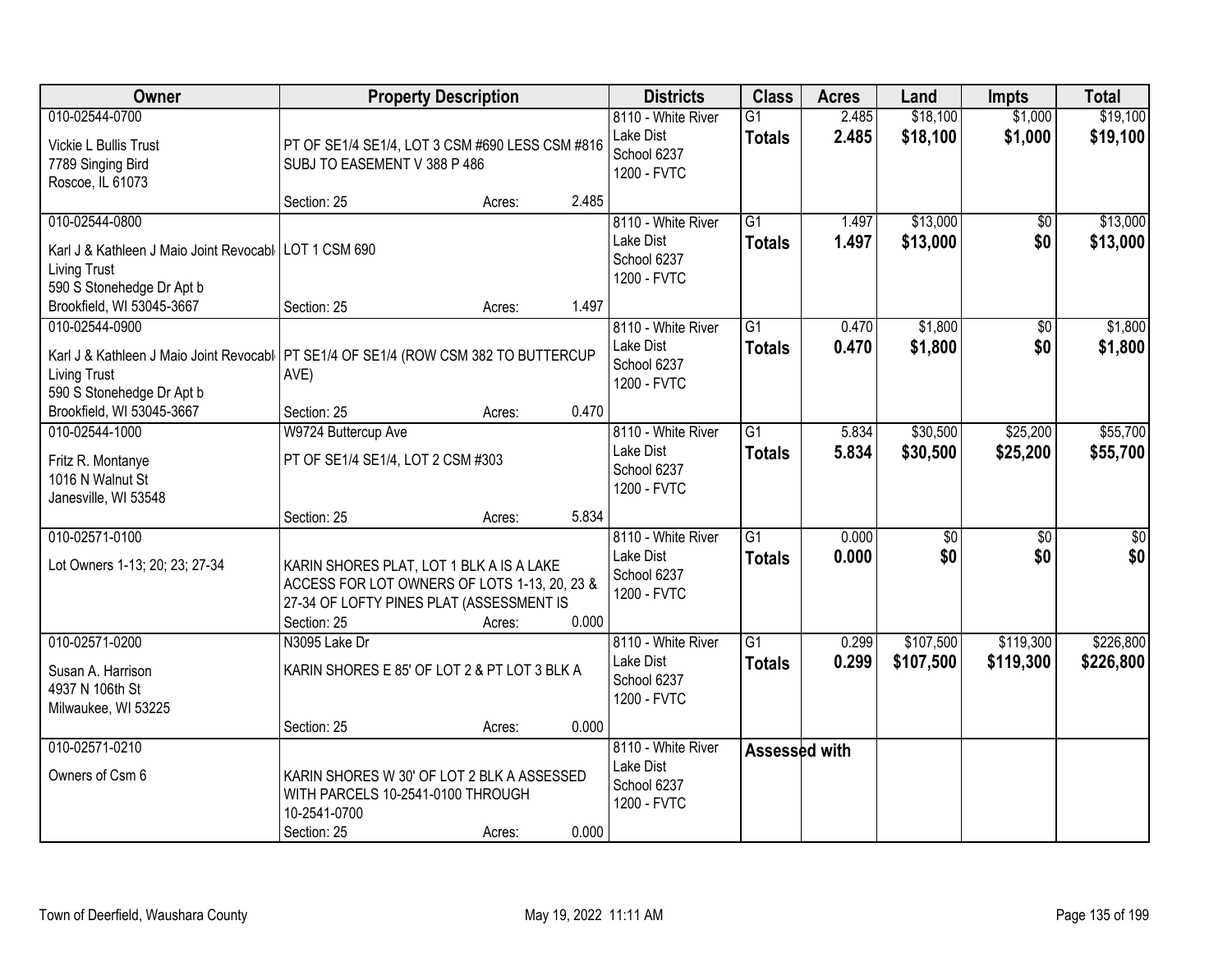| Owner                                                                                                                                                       |                                                                                                                                                     | <b>Property Description</b> |       | <b>Districts</b>                                              | <b>Class</b>                     | <b>Acres</b>   | Land                   | <b>Impts</b>           | <b>Total</b>           |
|-------------------------------------------------------------------------------------------------------------------------------------------------------------|-----------------------------------------------------------------------------------------------------------------------------------------------------|-----------------------------|-------|---------------------------------------------------------------|----------------------------------|----------------|------------------------|------------------------|------------------------|
| 010-02544-0700<br>Vickie L Bullis Trust<br>7789 Singing Bird<br>Roscoe, IL 61073                                                                            | PT OF SE1/4 SE1/4, LOT 3 CSM #690 LESS CSM #816<br>SUBJ TO EASEMENT V 388 P 486                                                                     |                             |       | 8110 - White River<br>Lake Dist<br>School 6237<br>1200 - FVTC | $\overline{G1}$<br><b>Totals</b> | 2.485<br>2.485 | \$18,100<br>\$18,100   | \$1,000<br>\$1,000     | \$19,100<br>\$19,100   |
|                                                                                                                                                             | Section: 25                                                                                                                                         | Acres:                      | 2.485 |                                                               |                                  |                |                        |                        |                        |
| 010-02544-0800<br>Karl J & Kathleen J Maio Joint Revocabl<br><b>Living Trust</b><br>590 S Stonehedge Dr Apt b                                               | <b>LOT 1 CSM 690</b>                                                                                                                                |                             |       | 8110 - White River<br>Lake Dist<br>School 6237<br>1200 - FVTC | $\overline{G1}$<br><b>Totals</b> | 1.497<br>1.497 | \$13,000<br>\$13,000   | \$0<br>\$0             | \$13,000<br>\$13,000   |
| Brookfield, WI 53045-3667                                                                                                                                   | Section: 25                                                                                                                                         | Acres:                      | 1.497 |                                                               |                                  |                |                        |                        |                        |
| 010-02544-0900<br>Karl J & Kathleen J Maio Joint Revocabl   PT SE1/4 OF SE1/4 (ROW CSM 382 TO BUTTERCUP<br><b>Living Trust</b><br>590 S Stonehedge Dr Apt b | AVE)                                                                                                                                                |                             |       | 8110 - White River<br>Lake Dist<br>School 6237<br>1200 - FVTC | $\overline{G1}$<br><b>Totals</b> | 0.470<br>0.470 | \$1,800<br>\$1,800     | \$0<br>\$0             | \$1,800<br>\$1,800     |
| Brookfield, WI 53045-3667                                                                                                                                   | Section: 25                                                                                                                                         | Acres:                      | 0.470 |                                                               |                                  |                |                        |                        |                        |
| 010-02544-1000<br>Fritz R. Montanye<br>1016 N Walnut St<br>Janesville, WI 53548                                                                             | W9724 Buttercup Ave<br>PT OF SE1/4 SE1/4, LOT 2 CSM #303                                                                                            |                             |       | 8110 - White River<br>Lake Dist<br>School 6237<br>1200 - FVTC | G1<br><b>Totals</b>              | 5.834<br>5.834 | \$30,500<br>\$30,500   | \$25,200<br>\$25,200   | \$55,700<br>\$55,700   |
|                                                                                                                                                             | Section: 25                                                                                                                                         | Acres:                      | 5.834 |                                                               |                                  |                |                        |                        |                        |
| 010-02571-0100<br>Lot Owners 1-13; 20; 23; 27-34                                                                                                            | KARIN SHORES PLAT, LOT 1 BLK A IS A LAKE<br>ACCESS FOR LOT OWNERS OF LOTS 1-13, 20, 23 &<br>27-34 OF LOFTY PINES PLAT (ASSESSMENT IS<br>Section: 25 | Acres:                      | 0.000 | 8110 - White River<br>Lake Dist<br>School 6237<br>1200 - FVTC | $\overline{G1}$<br><b>Totals</b> | 0.000<br>0.000 | $\overline{50}$<br>\$0 | $\overline{30}$<br>\$0 | $\overline{30}$<br>\$0 |
| 010-02571-0200<br>Susan A. Harrison<br>4937 N 106th St<br>Milwaukee, WI 53225                                                                               | N3095 Lake Dr<br>KARIN SHORES E 85' OF LOT 2 & PT LOT 3 BLK A<br>Section: 25                                                                        | Acres:                      | 0.000 | 8110 - White River<br>Lake Dist<br>School 6237<br>1200 - FVTC | $\overline{G1}$<br><b>Totals</b> | 0.299<br>0.299 | \$107,500<br>\$107,500 | \$119,300<br>\$119,300 | \$226,800<br>\$226,800 |
| 010-02571-0210<br>Owners of Csm 6                                                                                                                           | KARIN SHORES W 30' OF LOT 2 BLK A ASSESSED<br>WITH PARCELS 10-2541-0100 THROUGH<br>10-2541-0700<br>Section: 25                                      | Acres:                      | 0.000 | 8110 - White River<br>Lake Dist<br>School 6237<br>1200 - FVTC | Assessed with                    |                |                        |                        |                        |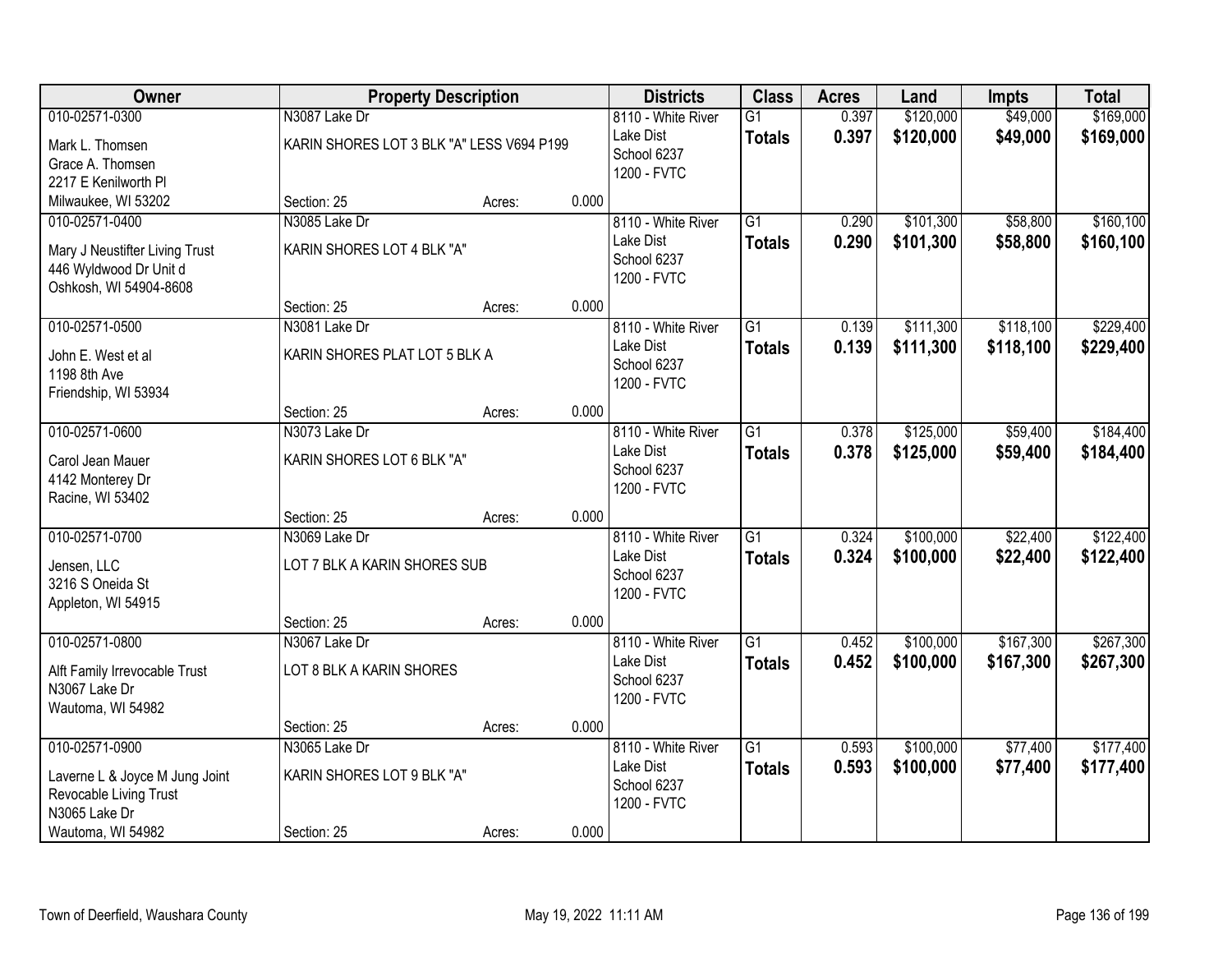| Owner                                                                                                            |                                                            | <b>Property Description</b> |       | <b>Districts</b>                                              | <b>Class</b>                     | <b>Acres</b>   | Land                   | <b>Impts</b>           | <b>Total</b>            |
|------------------------------------------------------------------------------------------------------------------|------------------------------------------------------------|-----------------------------|-------|---------------------------------------------------------------|----------------------------------|----------------|------------------------|------------------------|-------------------------|
| 010-02571-0300<br>Mark L. Thomsen<br>Grace A. Thomsen<br>2217 E Kenilworth Pl                                    | N3087 Lake Dr<br>KARIN SHORES LOT 3 BLK "A" LESS V694 P199 |                             |       | 8110 - White River<br>Lake Dist<br>School 6237<br>1200 - FVTC | $\overline{G1}$<br><b>Totals</b> | 0.397<br>0.397 | \$120,000<br>\$120,000 | \$49,000<br>\$49,000   | \$169,000<br>\$169,000  |
| Milwaukee, WI 53202                                                                                              | Section: 25                                                | Acres:                      | 0.000 |                                                               |                                  |                |                        |                        |                         |
| 010-02571-0400<br>Mary J Neustifter Living Trust<br>446 Wyldwood Dr Unit d<br>Oshkosh, WI 54904-8608             | N3085 Lake Dr<br>KARIN SHORES LOT 4 BLK "A"                |                             |       | 8110 - White River<br>Lake Dist<br>School 6237<br>1200 - FVTC | $\overline{G1}$<br><b>Totals</b> | 0.290<br>0.290 | \$101,300<br>\$101,300 | \$58,800<br>\$58,800   | \$160, 100<br>\$160,100 |
|                                                                                                                  | Section: 25                                                | Acres:                      | 0.000 |                                                               |                                  |                |                        |                        |                         |
| 010-02571-0500<br>John E. West et al<br>1198 8th Ave<br>Friendship, WI 53934                                     | N3081 Lake Dr<br>KARIN SHORES PLAT LOT 5 BLK A             |                             |       | 8110 - White River<br>Lake Dist<br>School 6237<br>1200 - FVTC | $\overline{G1}$<br><b>Totals</b> | 0.139<br>0.139 | \$111,300<br>\$111,300 | \$118,100<br>\$118,100 | \$229,400<br>\$229,400  |
|                                                                                                                  | Section: 25                                                | Acres:                      | 0.000 |                                                               |                                  |                |                        |                        |                         |
| 010-02571-0600<br>Carol Jean Mauer<br>4142 Monterey Dr<br>Racine, WI 53402                                       | N3073 Lake Dr<br>KARIN SHORES LOT 6 BLK "A"                |                             |       | 8110 - White River<br>Lake Dist<br>School 6237<br>1200 - FVTC | G1<br><b>Totals</b>              | 0.378<br>0.378 | \$125,000<br>\$125,000 | \$59,400<br>\$59,400   | \$184,400<br>\$184,400  |
|                                                                                                                  | Section: 25                                                | Acres:                      | 0.000 |                                                               |                                  |                |                        |                        |                         |
| 010-02571-0700<br>Jensen, LLC<br>3216 S Oneida St<br>Appleton, WI 54915                                          | N3069 Lake Dr<br>LOT 7 BLK A KARIN SHORES SUB              |                             |       | 8110 - White River<br>Lake Dist<br>School 6237<br>1200 - FVTC | $\overline{G1}$<br><b>Totals</b> | 0.324<br>0.324 | \$100,000<br>\$100,000 | \$22,400<br>\$22,400   | \$122,400<br>\$122,400  |
|                                                                                                                  | Section: 25                                                | Acres:                      | 0.000 |                                                               |                                  |                |                        |                        |                         |
| 010-02571-0800<br>Alft Family Irrevocable Trust<br>N3067 Lake Dr<br>Wautoma, WI 54982                            | N3067 Lake Dr<br>LOT 8 BLK A KARIN SHORES                  |                             |       | 8110 - White River<br>Lake Dist<br>School 6237<br>1200 - FVTC | G1<br><b>Totals</b>              | 0.452<br>0.452 | \$100,000<br>\$100,000 | \$167,300<br>\$167,300 | \$267,300<br>\$267,300  |
|                                                                                                                  | Section: 25                                                | Acres:                      | 0.000 |                                                               |                                  |                |                        |                        |                         |
| 010-02571-0900<br>Laverne L & Joyce M Jung Joint<br>Revocable Living Trust<br>N3065 Lake Dr<br>Wautoma, WI 54982 | N3065 Lake Dr<br>KARIN SHORES LOT 9 BLK "A"<br>Section: 25 | Acres:                      | 0.000 | 8110 - White River<br>Lake Dist<br>School 6237<br>1200 - FVTC | $\overline{G1}$<br><b>Totals</b> | 0.593<br>0.593 | \$100,000<br>\$100,000 | \$77,400<br>\$77,400   | \$177,400<br>\$177,400  |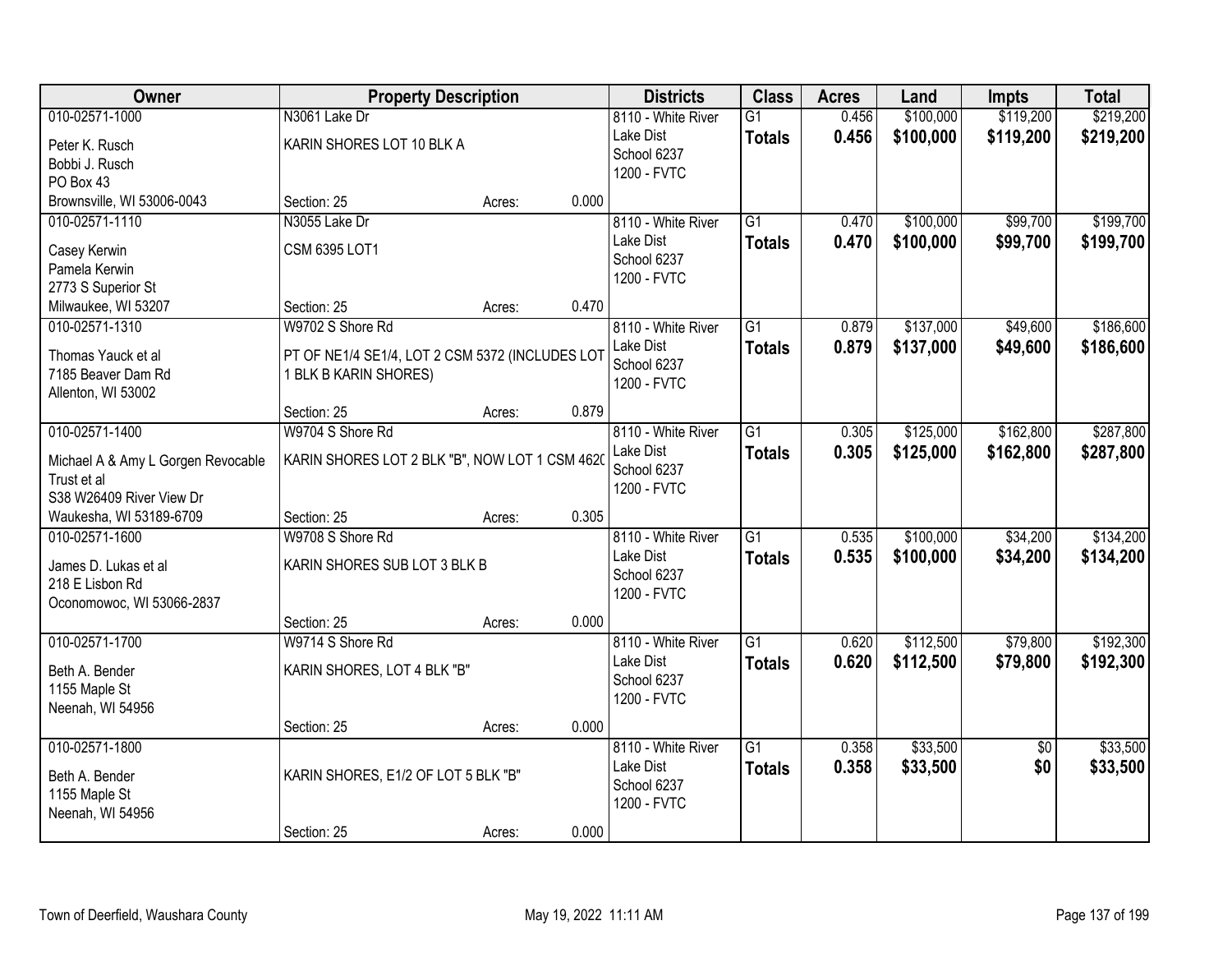| Owner                                             | <b>Property Description</b>                     |        |       | <b>Districts</b>         | <b>Class</b>    | <b>Acres</b> | Land      | <b>Impts</b>    | <b>Total</b> |
|---------------------------------------------------|-------------------------------------------------|--------|-------|--------------------------|-----------------|--------------|-----------|-----------------|--------------|
| 010-02571-1000                                    | N3061 Lake Dr                                   |        |       | 8110 - White River       | $\overline{G1}$ | 0.456        | \$100,000 | \$119,200       | \$219,200    |
| Peter K. Rusch                                    | KARIN SHORES LOT 10 BLK A                       |        |       | Lake Dist<br>School 6237 | <b>Totals</b>   | 0.456        | \$100,000 | \$119,200       | \$219,200    |
| Bobbi J. Rusch                                    |                                                 |        |       | 1200 - FVTC              |                 |              |           |                 |              |
| PO Box 43                                         |                                                 |        |       |                          |                 |              |           |                 |              |
| Brownsville, WI 53006-0043                        | Section: 25                                     | Acres: | 0.000 |                          |                 |              |           |                 |              |
| 010-02571-1110                                    | N3055 Lake Dr                                   |        |       | 8110 - White River       | G1              | 0.470        | \$100,000 | \$99,700        | \$199,700    |
| Casey Kerwin                                      | <b>CSM 6395 LOT1</b>                            |        |       | Lake Dist                | <b>Totals</b>   | 0.470        | \$100,000 | \$99,700        | \$199,700    |
| Pamela Kerwin                                     |                                                 |        |       | School 6237              |                 |              |           |                 |              |
| 2773 S Superior St                                |                                                 |        |       | 1200 - FVTC              |                 |              |           |                 |              |
| Milwaukee, WI 53207                               | Section: 25                                     | Acres: | 0.470 |                          |                 |              |           |                 |              |
| 010-02571-1310                                    | W9702 S Shore Rd                                |        |       | 8110 - White River       | G1              | 0.879        | \$137,000 | \$49,600        | \$186,600    |
| Thomas Yauck et al                                | PT OF NE1/4 SE1/4, LOT 2 CSM 5372 (INCLUDES LOT |        |       | Lake Dist                | <b>Totals</b>   | 0.879        | \$137,000 | \$49,600        | \$186,600    |
| 7185 Beaver Dam Rd                                | 1 BLK B KARIN SHORES)                           |        |       | School 6237              |                 |              |           |                 |              |
| Allenton, WI 53002                                |                                                 |        |       | 1200 - FVTC              |                 |              |           |                 |              |
|                                                   | Section: 25                                     | Acres: | 0.879 |                          |                 |              |           |                 |              |
| 010-02571-1400                                    | W9704 S Shore Rd                                |        |       | 8110 - White River       | G1              | 0.305        | \$125,000 | \$162,800       | \$287,800    |
|                                                   |                                                 |        |       | Lake Dist                | <b>Totals</b>   | 0.305        | \$125,000 | \$162,800       | \$287,800    |
| Michael A & Amy L Gorgen Revocable<br>Trust et al | KARIN SHORES LOT 2 BLK "B", NOW LOT 1 CSM 4620  |        |       | School 6237              |                 |              |           |                 |              |
| S38 W26409 River View Dr                          |                                                 |        |       | 1200 - FVTC              |                 |              |           |                 |              |
| Waukesha, WI 53189-6709                           | Section: 25                                     | Acres: | 0.305 |                          |                 |              |           |                 |              |
| 010-02571-1600                                    | W9708 S Shore Rd                                |        |       | 8110 - White River       | $\overline{G1}$ | 0.535        | \$100,000 | \$34,200        | \$134,200    |
|                                                   |                                                 |        |       | Lake Dist                | <b>Totals</b>   | 0.535        | \$100,000 | \$34,200        | \$134,200    |
| James D. Lukas et al                              | KARIN SHORES SUB LOT 3 BLK B                    |        |       | School 6237              |                 |              |           |                 |              |
| 218 E Lisbon Rd                                   |                                                 |        |       | 1200 - FVTC              |                 |              |           |                 |              |
| Oconomowoc, WI 53066-2837                         |                                                 |        |       |                          |                 |              |           |                 |              |
|                                                   | Section: 25                                     | Acres: | 0.000 |                          |                 |              |           |                 |              |
| 010-02571-1700                                    | W9714 S Shore Rd                                |        |       | 8110 - White River       | G1              | 0.620        | \$112,500 | \$79,800        | \$192,300    |
| Beth A. Bender                                    | KARIN SHORES, LOT 4 BLK "B"                     |        |       | Lake Dist                | <b>Totals</b>   | 0.620        | \$112,500 | \$79,800        | \$192,300    |
| 1155 Maple St                                     |                                                 |        |       | School 6237              |                 |              |           |                 |              |
| Neenah, WI 54956                                  |                                                 |        |       | 1200 - FVTC              |                 |              |           |                 |              |
|                                                   | Section: 25                                     | Acres: | 0.000 |                          |                 |              |           |                 |              |
| 010-02571-1800                                    |                                                 |        |       | 8110 - White River       | G1              | 0.358        | \$33,500  | $\overline{50}$ | \$33,500     |
| Beth A. Bender                                    | KARIN SHORES, E1/2 OF LOT 5 BLK "B"             |        |       | Lake Dist                | <b>Totals</b>   | 0.358        | \$33,500  | \$0             | \$33,500     |
| 1155 Maple St                                     |                                                 |        |       | School 6237              |                 |              |           |                 |              |
| Neenah, WI 54956                                  |                                                 |        |       | 1200 - FVTC              |                 |              |           |                 |              |
|                                                   | Section: 25                                     | Acres: | 0.000 |                          |                 |              |           |                 |              |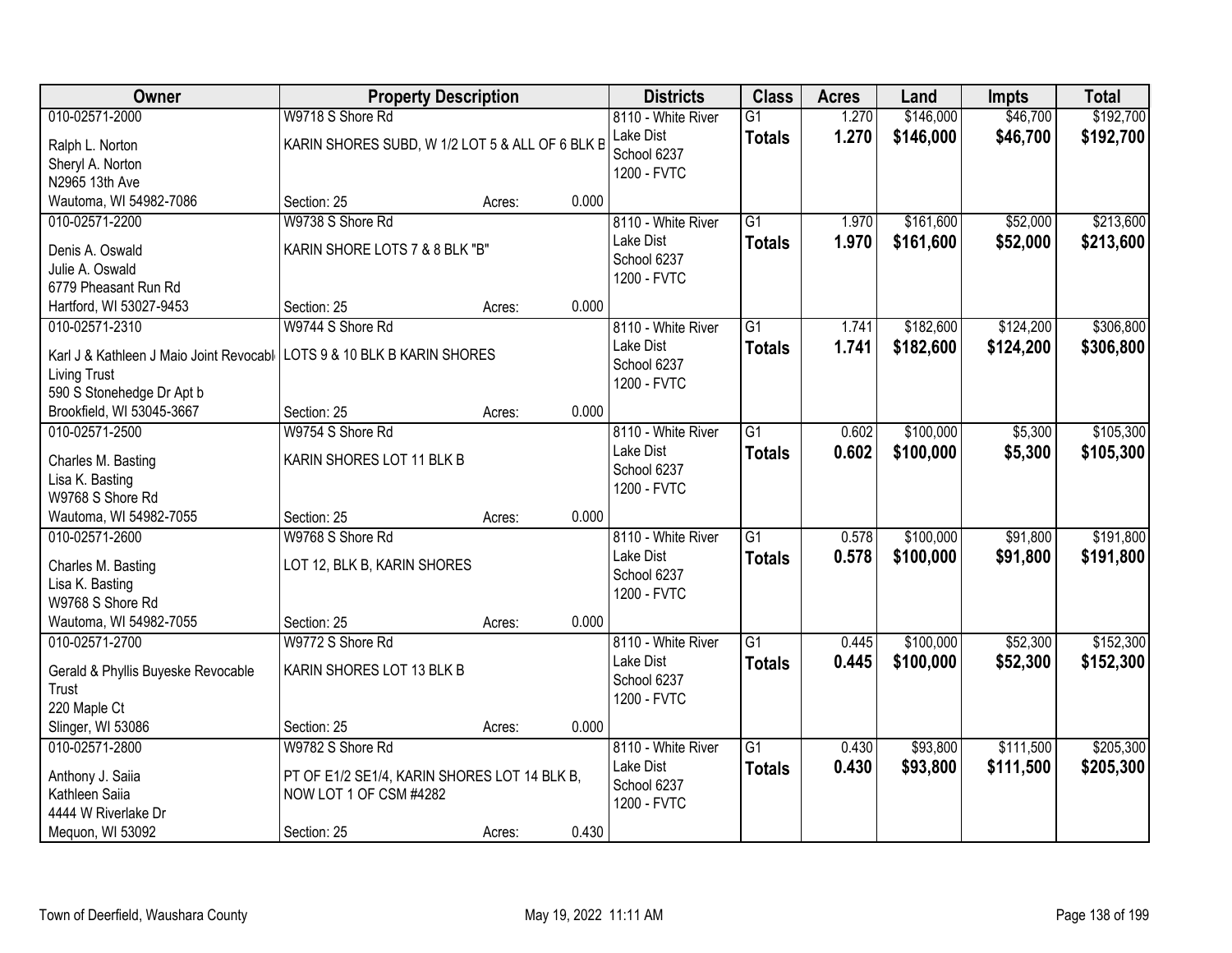| Owner                                       | <b>Property Description</b>                     |        |       | <b>Districts</b>   | <b>Class</b>    | <b>Acres</b> | Land      | <b>Impts</b> | <b>Total</b> |
|---------------------------------------------|-------------------------------------------------|--------|-------|--------------------|-----------------|--------------|-----------|--------------|--------------|
| 010-02571-2000                              | W9718 S Shore Rd                                |        |       | 8110 - White River | $\overline{G1}$ | 1.270        | \$146,000 | \$46,700     | \$192,700    |
| Ralph L. Norton                             | KARIN SHORES SUBD, W 1/2 LOT 5 & ALL OF 6 BLK B |        |       | Lake Dist          | <b>Totals</b>   | 1.270        | \$146,000 | \$46,700     | \$192,700    |
| Sheryl A. Norton                            |                                                 |        |       | School 6237        |                 |              |           |              |              |
| N2965 13th Ave                              |                                                 |        |       | 1200 - FVTC        |                 |              |           |              |              |
| Wautoma, WI 54982-7086                      | Section: 25                                     | Acres: | 0.000 |                    |                 |              |           |              |              |
| 010-02571-2200                              | W9738 S Shore Rd                                |        |       | 8110 - White River | $\overline{G1}$ | 1.970        | \$161,600 | \$52,000     | \$213,600    |
| Denis A. Oswald                             | KARIN SHORE LOTS 7 & 8 BLK "B"                  |        |       | Lake Dist          | <b>Totals</b>   | 1.970        | \$161,600 | \$52,000     | \$213,600    |
| Julie A. Oswald                             |                                                 |        |       | School 6237        |                 |              |           |              |              |
| 6779 Pheasant Run Rd                        |                                                 |        |       | 1200 - FVTC        |                 |              |           |              |              |
| Hartford, WI 53027-9453                     | Section: 25                                     | Acres: | 0.000 |                    |                 |              |           |              |              |
| 010-02571-2310                              | W9744 S Shore Rd                                |        |       | 8110 - White River | $\overline{G1}$ | 1.741        | \$182,600 | \$124,200    | \$306,800    |
| Karl J & Kathleen J Maio Joint Revocabl     | LOTS 9 & 10 BLK B KARIN SHORES                  |        |       | Lake Dist          | <b>Totals</b>   | 1.741        | \$182,600 | \$124,200    | \$306,800    |
| <b>Living Trust</b>                         |                                                 |        |       | School 6237        |                 |              |           |              |              |
| 590 S Stonehedge Dr Apt b                   |                                                 |        |       | 1200 - FVTC        |                 |              |           |              |              |
| Brookfield, WI 53045-3667                   | Section: 25                                     | Acres: | 0.000 |                    |                 |              |           |              |              |
| 010-02571-2500                              | W9754 S Shore Rd                                |        |       | 8110 - White River | $\overline{G1}$ | 0.602        | \$100,000 | \$5,300      | \$105,300    |
| Charles M. Basting                          | KARIN SHORES LOT 11 BLK B                       |        |       | Lake Dist          | <b>Totals</b>   | 0.602        | \$100,000 | \$5,300      | \$105,300    |
| Lisa K. Basting                             |                                                 |        |       | School 6237        |                 |              |           |              |              |
| W9768 S Shore Rd                            |                                                 |        |       | 1200 - FVTC        |                 |              |           |              |              |
| Wautoma, WI 54982-7055                      | Section: 25                                     | Acres: | 0.000 |                    |                 |              |           |              |              |
| 010-02571-2600                              | W9768 S Shore Rd                                |        |       | 8110 - White River | $\overline{G1}$ | 0.578        | \$100,000 | \$91,800     | \$191,800    |
|                                             |                                                 |        |       | Lake Dist          | <b>Totals</b>   | 0.578        | \$100,000 | \$91,800     | \$191,800    |
| Charles M. Basting<br>Lisa K. Basting       | LOT 12, BLK B, KARIN SHORES                     |        |       | School 6237        |                 |              |           |              |              |
| W9768 S Shore Rd                            |                                                 |        |       | 1200 - FVTC        |                 |              |           |              |              |
| Wautoma, WI 54982-7055                      | Section: 25                                     | Acres: | 0.000 |                    |                 |              |           |              |              |
| 010-02571-2700                              | W9772 S Shore Rd                                |        |       | 8110 - White River | $\overline{G1}$ | 0.445        | \$100,000 | \$52,300     | \$152,300    |
|                                             |                                                 |        |       | Lake Dist          | <b>Totals</b>   | 0.445        | \$100,000 | \$52,300     | \$152,300    |
| Gerald & Phyllis Buyeske Revocable<br>Trust | KARIN SHORES LOT 13 BLK B                       |        |       | School 6237        |                 |              |           |              |              |
| 220 Maple Ct                                |                                                 |        |       | 1200 - FVTC        |                 |              |           |              |              |
| Slinger, WI 53086                           | Section: 25                                     | Acres: | 0.000 |                    |                 |              |           |              |              |
| 010-02571-2800                              | W9782 S Shore Rd                                |        |       | 8110 - White River | $\overline{G1}$ | 0.430        | \$93,800  | \$111,500    | \$205,300    |
|                                             |                                                 |        |       | Lake Dist          | <b>Totals</b>   | 0.430        | \$93,800  | \$111,500    | \$205,300    |
| Anthony J. Saiia                            | PT OF E1/2 SE1/4, KARIN SHORES LOT 14 BLK B,    |        |       | School 6237        |                 |              |           |              |              |
| Kathleen Saiia                              | NOW LOT 1 OF CSM #4282                          |        |       | 1200 - FVTC        |                 |              |           |              |              |
| 4444 W Riverlake Dr<br>Mequon, WI 53092     | Section: 25                                     | Acres: | 0.430 |                    |                 |              |           |              |              |
|                                             |                                                 |        |       |                    |                 |              |           |              |              |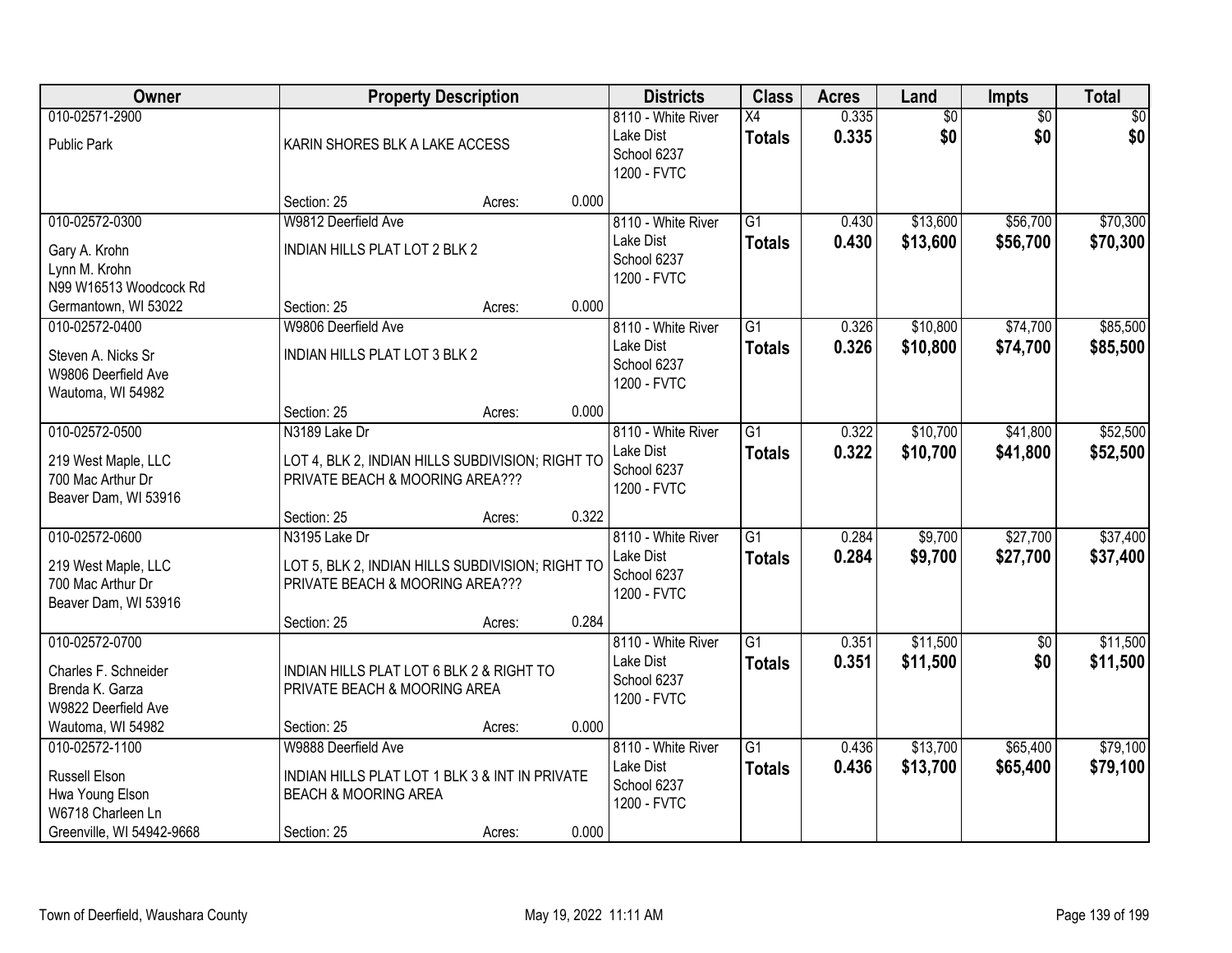| Owner                                                                                                       |                                                                                                                         | <b>Property Description</b> |       | <b>Districts</b>                                              | <b>Class</b>                     | <b>Acres</b>   | Land                   | Impts                  | <b>Total</b>         |
|-------------------------------------------------------------------------------------------------------------|-------------------------------------------------------------------------------------------------------------------------|-----------------------------|-------|---------------------------------------------------------------|----------------------------------|----------------|------------------------|------------------------|----------------------|
| 010-02571-2900<br><b>Public Park</b>                                                                        | KARIN SHORES BLK A LAKE ACCESS                                                                                          |                             |       | 8110 - White River<br>Lake Dist<br>School 6237<br>1200 - FVTC | X4<br><b>Totals</b>              | 0.335<br>0.335 | $\overline{50}$<br>\$0 | $\overline{50}$<br>\$0 | \$0<br>\$0           |
|                                                                                                             | Section: 25                                                                                                             | Acres:                      | 0.000 |                                                               |                                  |                |                        |                        |                      |
| 010-02572-0300<br>Gary A. Krohn<br>Lynn M. Krohn<br>N99 W16513 Woodcock Rd                                  | W9812 Deerfield Ave<br>INDIAN HILLS PLAT LOT 2 BLK 2                                                                    |                             |       | 8110 - White River<br>Lake Dist<br>School 6237<br>1200 - FVTC | $\overline{G1}$<br><b>Totals</b> | 0.430<br>0.430 | \$13,600<br>\$13,600   | \$56,700<br>\$56,700   | \$70,300<br>\$70,300 |
| Germantown, WI 53022                                                                                        | Section: 25                                                                                                             | Acres:                      | 0.000 |                                                               |                                  |                |                        |                        |                      |
| 010-02572-0400<br>Steven A. Nicks Sr<br>W9806 Deerfield Ave<br>Wautoma, WI 54982                            | W9806 Deerfield Ave<br>INDIAN HILLS PLAT LOT 3 BLK 2                                                                    |                             |       | 8110 - White River<br>Lake Dist<br>School 6237<br>1200 - FVTC | $\overline{G1}$<br><b>Totals</b> | 0.326<br>0.326 | \$10,800<br>\$10,800   | \$74,700<br>\$74,700   | \$85,500<br>\$85,500 |
|                                                                                                             | Section: 25                                                                                                             | Acres:                      | 0.000 |                                                               |                                  |                |                        |                        |                      |
| 010-02572-0500<br>219 West Maple, LLC<br>700 Mac Arthur Dr<br>Beaver Dam, WI 53916                          | N3189 Lake Dr<br>LOT 4, BLK 2, INDIAN HILLS SUBDIVISION; RIGHT TO<br>PRIVATE BEACH & MOORING AREA???                    |                             |       | 8110 - White River<br>Lake Dist<br>School 6237<br>1200 - FVTC | G1<br><b>Totals</b>              | 0.322<br>0.322 | \$10,700<br>\$10,700   | \$41,800<br>\$41,800   | \$52,500<br>\$52,500 |
|                                                                                                             | Section: 25                                                                                                             | Acres:                      | 0.322 |                                                               |                                  |                |                        |                        |                      |
| 010-02572-0600<br>219 West Maple, LLC<br>700 Mac Arthur Dr<br>Beaver Dam, WI 53916                          | N3195 Lake Dr<br>LOT 5, BLK 2, INDIAN HILLS SUBDIVISION; RIGHT TO<br>PRIVATE BEACH & MOORING AREA???                    |                             |       | 8110 - White River<br>Lake Dist<br>School 6237<br>1200 - FVTC | $\overline{G1}$<br><b>Totals</b> | 0.284<br>0.284 | \$9,700<br>\$9,700     | \$27,700<br>\$27,700   | \$37,400<br>\$37,400 |
|                                                                                                             | Section: 25                                                                                                             | Acres:                      | 0.284 |                                                               |                                  |                |                        |                        |                      |
| 010-02572-0700<br>Charles F. Schneider<br>Brenda K. Garza<br>W9822 Deerfield Ave                            | INDIAN HILLS PLAT LOT 6 BLK 2 & RIGHT TO<br>PRIVATE BEACH & MOORING AREA                                                |                             |       | 8110 - White River<br>Lake Dist<br>School 6237<br>1200 - FVTC | G1<br><b>Totals</b>              | 0.351<br>0.351 | \$11,500<br>\$11,500   | $\sqrt{6}$<br>\$0      | \$11,500<br>\$11,500 |
| Wautoma, WI 54982                                                                                           | Section: 25                                                                                                             | Acres:                      | 0.000 |                                                               |                                  |                |                        |                        |                      |
| 010-02572-1100<br><b>Russell Elson</b><br>Hwa Young Elson<br>W6718 Charleen Ln<br>Greenville, WI 54942-9668 | W9888 Deerfield Ave<br>INDIAN HILLS PLAT LOT 1 BLK 3 & INT IN PRIVATE<br><b>BEACH &amp; MOORING AREA</b><br>Section: 25 | Acres:                      | 0.000 | 8110 - White River<br>Lake Dist<br>School 6237<br>1200 - FVTC | $\overline{G1}$<br><b>Totals</b> | 0.436<br>0.436 | \$13,700<br>\$13,700   | \$65,400<br>\$65,400   | \$79,100<br>\$79,100 |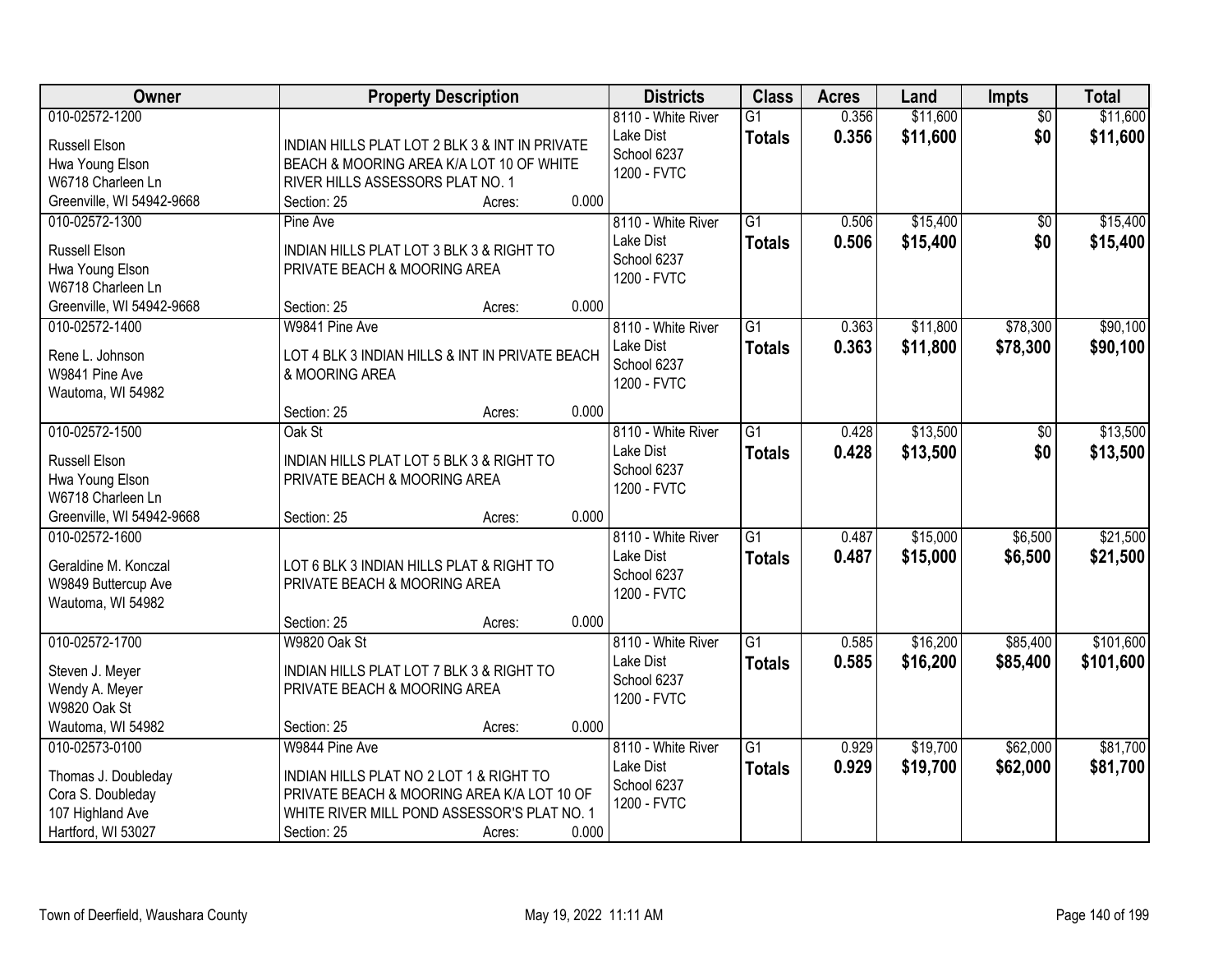| Owner                                                                                                       | <b>Property Description</b>                                                                                                                                                              | <b>Districts</b>                                              | <b>Class</b>                     | <b>Acres</b>   | Land                 | Impts                  | <b>Total</b>           |
|-------------------------------------------------------------------------------------------------------------|------------------------------------------------------------------------------------------------------------------------------------------------------------------------------------------|---------------------------------------------------------------|----------------------------------|----------------|----------------------|------------------------|------------------------|
| 010-02572-1200<br><b>Russell Elson</b><br>Hwa Young Elson<br>W6718 Charleen Ln                              | INDIAN HILLS PLAT LOT 2 BLK 3 & INT IN PRIVATE<br>BEACH & MOORING AREA K/A LOT 10 OF WHITE<br>RIVER HILLS ASSESSORS PLAT NO. 1                                                           | 8110 - White River<br>Lake Dist<br>School 6237<br>1200 - FVTC | $\overline{G1}$<br><b>Totals</b> | 0.356<br>0.356 | \$11,600<br>\$11,600 | $\overline{50}$<br>\$0 | \$11,600<br>\$11,600   |
| Greenville, WI 54942-9668<br>010-02572-1300<br><b>Russell Elson</b><br>Hwa Young Elson<br>W6718 Charleen Ln | 0.000<br>Section: 25<br>Acres:<br>Pine Ave<br>INDIAN HILLS PLAT LOT 3 BLK 3 & RIGHT TO<br>PRIVATE BEACH & MOORING AREA                                                                   | 8110 - White River<br>Lake Dist<br>School 6237<br>1200 - FVTC | $\overline{G1}$<br><b>Totals</b> | 0.506<br>0.506 | \$15,400<br>\$15,400 | $\overline{50}$<br>\$0 | \$15,400<br>\$15,400   |
| Greenville, WI 54942-9668<br>010-02572-1400<br>Rene L. Johnson<br>W9841 Pine Ave<br>Wautoma, WI 54982       | 0.000<br>Section: 25<br>Acres:<br>W9841 Pine Ave<br>LOT 4 BLK 3 INDIAN HILLS & INT IN PRIVATE BEACH<br>& MOORING AREA                                                                    | 8110 - White River<br>Lake Dist<br>School 6237<br>1200 - FVTC | $\overline{G1}$<br><b>Totals</b> | 0.363<br>0.363 | \$11,800<br>\$11,800 | \$78,300<br>\$78,300   | \$90,100<br>\$90,100   |
| 010-02572-1500<br><b>Russell Elson</b><br>Hwa Young Elson<br>W6718 Charleen Ln<br>Greenville, WI 54942-9668 | 0.000<br>Section: 25<br>Acres:<br>Oak St<br>INDIAN HILLS PLAT LOT 5 BLK 3 & RIGHT TO<br>PRIVATE BEACH & MOORING AREA<br>0.000<br>Section: 25<br>Acres:                                   | 8110 - White River<br>Lake Dist<br>School 6237<br>1200 - FVTC | $\overline{G1}$<br><b>Totals</b> | 0.428<br>0.428 | \$13,500<br>\$13,500 | \$0<br>\$0             | \$13,500<br>\$13,500   |
| 010-02572-1600<br>Geraldine M. Konczal<br>W9849 Buttercup Ave<br>Wautoma, WI 54982                          | LOT 6 BLK 3 INDIAN HILLS PLAT & RIGHT TO<br>PRIVATE BEACH & MOORING AREA<br>0.000<br>Section: 25<br>Acres:                                                                               | 8110 - White River<br>Lake Dist<br>School 6237<br>1200 - FVTC | $\overline{G1}$<br><b>Totals</b> | 0.487<br>0.487 | \$15,000<br>\$15,000 | \$6,500<br>\$6,500     | \$21,500<br>\$21,500   |
| 010-02572-1700<br>Steven J. Meyer<br>Wendy A. Meyer<br><b>W9820 Oak St</b><br>Wautoma, WI 54982             | W9820 Oak St<br>INDIAN HILLS PLAT LOT 7 BLK 3 & RIGHT TO<br>PRIVATE BEACH & MOORING AREA<br>0.000<br>Section: 25<br>Acres:                                                               | 8110 - White River<br>Lake Dist<br>School 6237<br>1200 - FVTC | $\overline{G1}$<br><b>Totals</b> | 0.585<br>0.585 | \$16,200<br>\$16,200 | \$85,400<br>\$85,400   | \$101,600<br>\$101,600 |
| 010-02573-0100<br>Thomas J. Doubleday<br>Cora S. Doubleday<br>107 Highland Ave<br>Hartford, WI 53027        | W9844 Pine Ave<br>INDIAN HILLS PLAT NO 2 LOT 1 & RIGHT TO<br>PRIVATE BEACH & MOORING AREA K/A LOT 10 OF<br>WHITE RIVER MILL POND ASSESSOR'S PLAT NO. 1<br>0.000<br>Section: 25<br>Acres: | 8110 - White River<br>Lake Dist<br>School 6237<br>1200 - FVTC | $\overline{G1}$<br><b>Totals</b> | 0.929<br>0.929 | \$19,700<br>\$19,700 | \$62,000<br>\$62,000   | \$81,700<br>\$81,700   |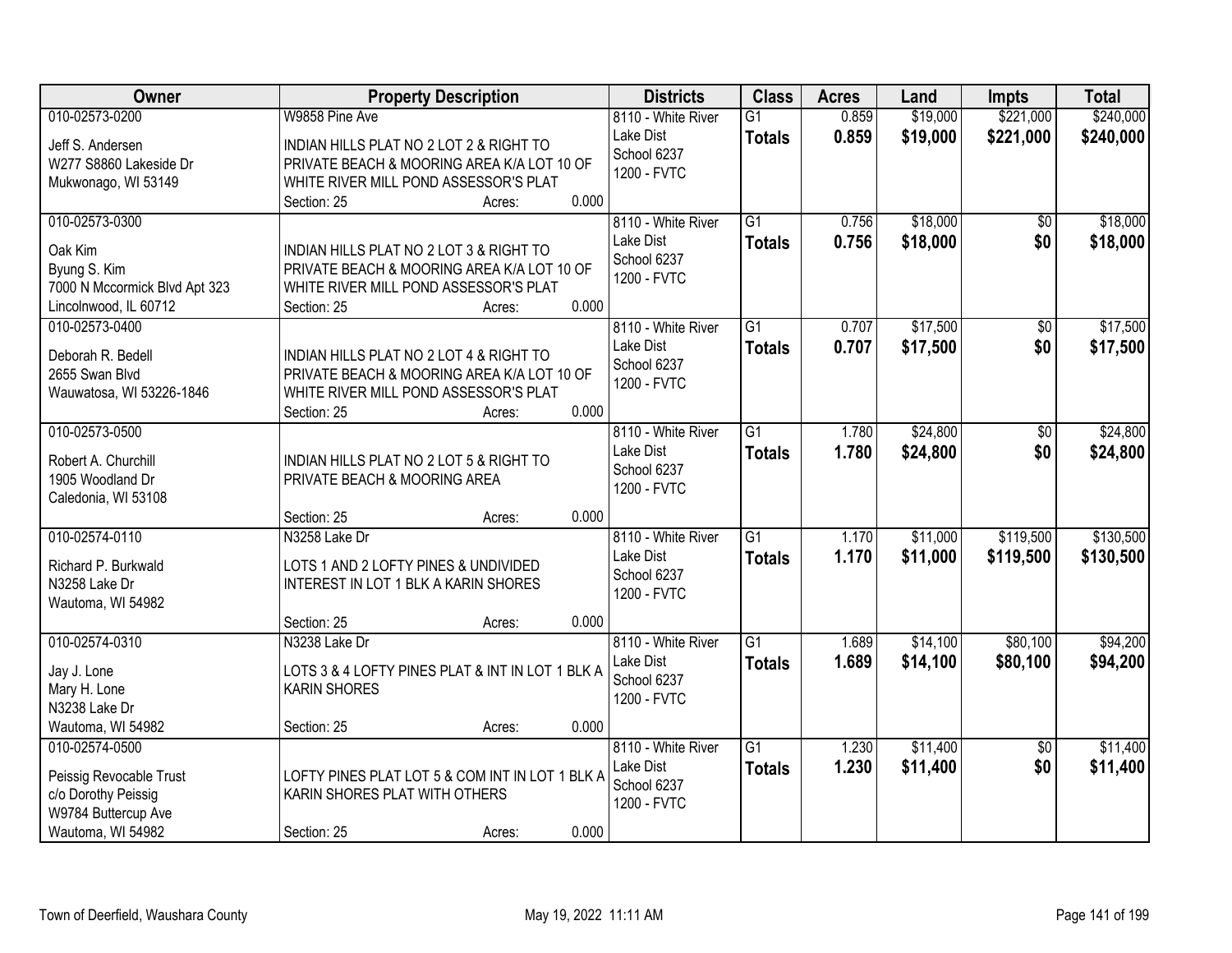| Owner                                                                                   | <b>Property Description</b>                                                                                                                                      | <b>Districts</b>                                              | <b>Class</b>                     | <b>Acres</b>   | Land                 | <b>Impts</b>           | <b>Total</b>           |
|-----------------------------------------------------------------------------------------|------------------------------------------------------------------------------------------------------------------------------------------------------------------|---------------------------------------------------------------|----------------------------------|----------------|----------------------|------------------------|------------------------|
| 010-02573-0200                                                                          | W9858 Pine Ave                                                                                                                                                   | 8110 - White River                                            | $\overline{G1}$                  | 0.859          | \$19,000             | \$221,000              | \$240,000              |
| Jeff S. Andersen<br>W277 S8860 Lakeside Dr                                              | INDIAN HILLS PLAT NO 2 LOT 2 & RIGHT TO<br>PRIVATE BEACH & MOORING AREA K/A LOT 10 OF                                                                            | Lake Dist<br>School 6237<br>1200 - FVTC                       | <b>Totals</b>                    | 0.859          | \$19,000             | \$221,000              | \$240,000              |
| Mukwonago, WI 53149                                                                     | WHITE RIVER MILL POND ASSESSOR'S PLAT<br>0.000                                                                                                                   |                                                               |                                  |                |                      |                        |                        |
| 010-02573-0300                                                                          | Section: 25<br>Acres:                                                                                                                                            | 8110 - White River<br>Lake Dist                               | $\overline{G1}$                  | 0.756          | \$18,000             | $\overline{50}$        | \$18,000               |
| Oak Kim<br>Byung S. Kim<br>7000 N Mccormick Blvd Apt 323<br>Lincolnwood, IL 60712       | INDIAN HILLS PLAT NO 2 LOT 3 & RIGHT TO<br>PRIVATE BEACH & MOORING AREA K/A LOT 10 OF<br>WHITE RIVER MILL POND ASSESSOR'S PLAT<br>0.000<br>Section: 25<br>Acres: | School 6237<br>1200 - FVTC                                    | <b>Totals</b>                    | 0.756          | \$18,000             | \$0                    | \$18,000               |
| 010-02573-0400                                                                          |                                                                                                                                                                  | 8110 - White River                                            | $\overline{G1}$                  | 0.707          | \$17,500             | $\overline{50}$        | \$17,500               |
| Deborah R. Bedell<br>2655 Swan Blvd<br>Wauwatosa, WI 53226-1846                         | INDIAN HILLS PLAT NO 2 LOT 4 & RIGHT TO<br>PRIVATE BEACH & MOORING AREA K/A LOT 10 OF<br>WHITE RIVER MILL POND ASSESSOR'S PLAT<br>0.000<br>Section: 25<br>Acres: | Lake Dist<br>School 6237<br>1200 - FVTC                       | <b>Totals</b>                    | 0.707          | \$17,500             | \$0                    | \$17,500               |
| 010-02573-0500                                                                          |                                                                                                                                                                  | 8110 - White River                                            | $\overline{G1}$                  | 1.780          | \$24,800             | \$0                    | \$24,800               |
| Robert A. Churchill<br>1905 Woodland Dr<br>Caledonia, WI 53108                          | INDIAN HILLS PLAT NO 2 LOT 5 & RIGHT TO<br>PRIVATE BEACH & MOORING AREA                                                                                          | Lake Dist<br>School 6237<br>1200 - FVTC                       | <b>Totals</b>                    | 1.780          | \$24,800             | \$0                    | \$24,800               |
|                                                                                         | 0.000<br>Section: 25<br>Acres:                                                                                                                                   |                                                               |                                  |                |                      |                        |                        |
| 010-02574-0110<br>Richard P. Burkwald<br>N3258 Lake Dr                                  | N3258 Lake Dr<br>LOTS 1 AND 2 LOFTY PINES & UNDIVIDED<br><b>INTEREST IN LOT 1 BLK A KARIN SHORES</b>                                                             | 8110 - White River<br>Lake Dist<br>School 6237<br>1200 - FVTC | $\overline{G1}$<br><b>Totals</b> | 1.170<br>1.170 | \$11,000<br>\$11,000 | \$119,500<br>\$119,500 | \$130,500<br>\$130,500 |
| Wautoma, WI 54982                                                                       |                                                                                                                                                                  |                                                               |                                  |                |                      |                        |                        |
| 010-02574-0310                                                                          | 0.000<br>Section: 25<br>Acres:<br>N3238 Lake Dr                                                                                                                  | 8110 - White River                                            | $\overline{G1}$                  | 1.689          | \$14,100             | \$80,100               | \$94,200               |
| Jay J. Lone<br>Mary H. Lone<br>N3238 Lake Dr                                            | LOTS 3 & 4 LOFTY PINES PLAT & INT IN LOT 1 BLK A<br><b>KARIN SHORES</b>                                                                                          | Lake Dist<br>School 6237<br>1200 - FVTC                       | <b>Totals</b>                    | 1.689          | \$14,100             | \$80,100               | \$94,200               |
| Wautoma, WI 54982                                                                       | 0.000<br>Section: 25<br>Acres:                                                                                                                                   |                                                               |                                  |                |                      |                        |                        |
| 010-02574-0500<br>Peissig Revocable Trust<br>c/o Dorothy Peissig<br>W9784 Buttercup Ave | LOFTY PINES PLAT LOT 5 & COM INT IN LOT 1 BLK A<br>KARIN SHORES PLAT WITH OTHERS                                                                                 | 8110 - White River<br>Lake Dist<br>School 6237<br>1200 - FVTC | $\overline{G1}$<br><b>Totals</b> | 1.230<br>1.230 | \$11,400<br>\$11,400 | $\overline{50}$<br>\$0 | \$11,400<br>\$11,400   |
| Wautoma, WI 54982                                                                       | 0.000<br>Section: 25<br>Acres:                                                                                                                                   |                                                               |                                  |                |                      |                        |                        |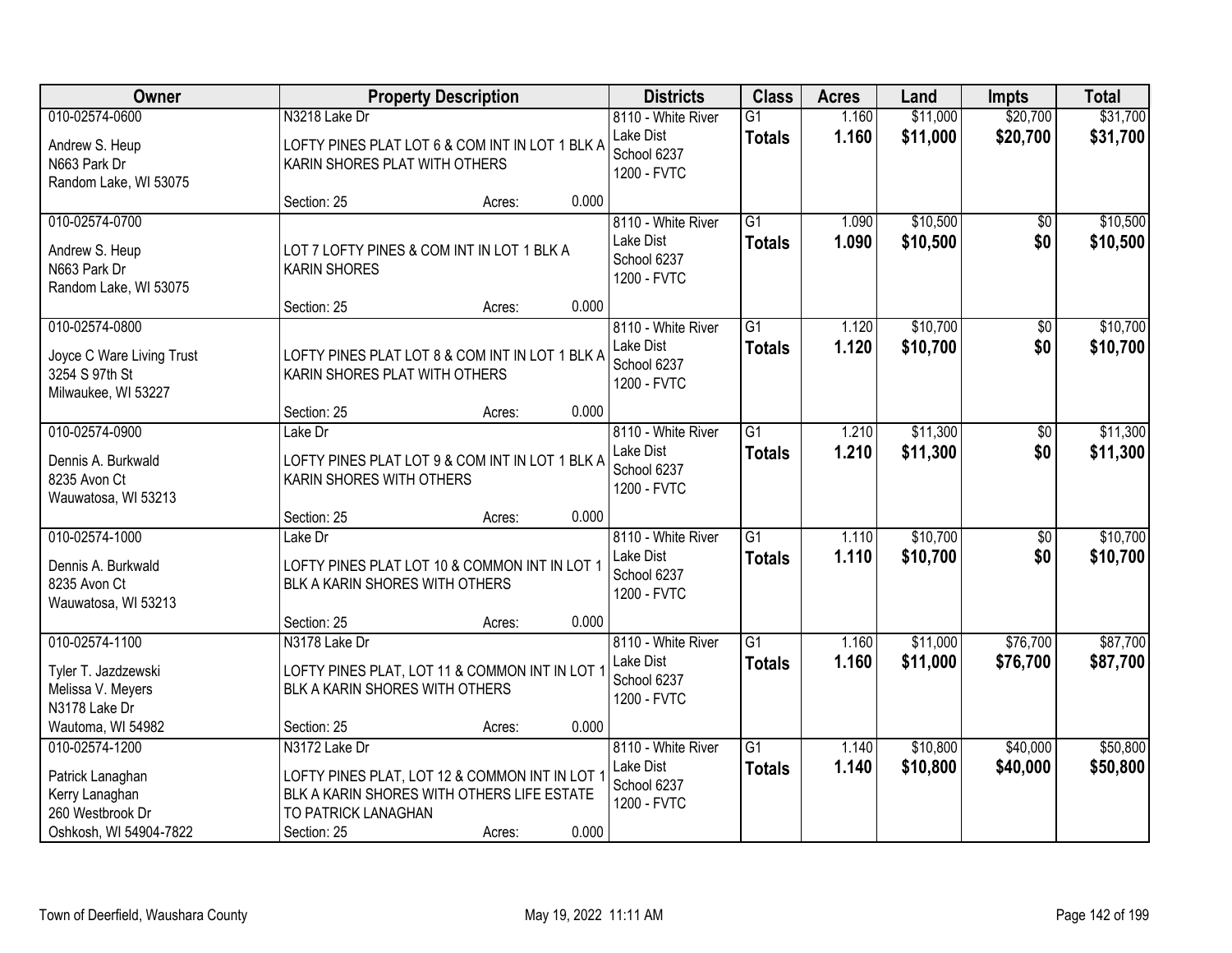| <b>Owner</b>                                                                                       |                                                                                                                                                   | <b>Property Description</b> |       | <b>Districts</b>                                              | <b>Class</b>                     | <b>Acres</b>   | Land                 | <b>Impts</b>           | <b>Total</b>         |
|----------------------------------------------------------------------------------------------------|---------------------------------------------------------------------------------------------------------------------------------------------------|-----------------------------|-------|---------------------------------------------------------------|----------------------------------|----------------|----------------------|------------------------|----------------------|
| 010-02574-0600                                                                                     | N3218 Lake Dr                                                                                                                                     |                             |       | 8110 - White River                                            | $\overline{G1}$                  | 1.160          | \$11,000             | \$20,700               | \$31,700             |
| Andrew S. Heup<br>N663 Park Dr<br>Random Lake, WI 53075                                            | LOFTY PINES PLAT LOT 6 & COM INT IN LOT 1 BLK A<br>KARIN SHORES PLAT WITH OTHERS                                                                  |                             |       | Lake Dist<br>School 6237<br>1200 - FVTC                       | <b>Totals</b>                    | 1.160          | \$11,000             | \$20,700               | \$31,700             |
|                                                                                                    | Section: 25                                                                                                                                       | Acres:                      | 0.000 |                                                               |                                  |                |                      |                        |                      |
| 010-02574-0700<br>Andrew S. Heup<br>N663 Park Dr<br>Random Lake, WI 53075                          | LOT 7 LOFTY PINES & COM INT IN LOT 1 BLK A<br><b>KARIN SHORES</b>                                                                                 |                             |       | 8110 - White River<br>Lake Dist<br>School 6237<br>1200 - FVTC | G1<br><b>Totals</b>              | 1.090<br>1.090 | \$10,500<br>\$10,500 | \$0<br>\$0             | \$10,500<br>\$10,500 |
|                                                                                                    | Section: 25                                                                                                                                       | Acres:                      | 0.000 |                                                               |                                  |                |                      |                        |                      |
| 010-02574-0800<br>Joyce C Ware Living Trust<br>3254 S 97th St<br>Milwaukee, WI 53227               | LOFTY PINES PLAT LOT 8 & COM INT IN LOT 1 BLK A<br>KARIN SHORES PLAT WITH OTHERS                                                                  |                             |       | 8110 - White River<br>Lake Dist<br>School 6237<br>1200 - FVTC | G1<br><b>Totals</b>              | 1.120<br>1.120 | \$10,700<br>\$10,700 | \$0<br>\$0             | \$10,700<br>\$10,700 |
|                                                                                                    | Section: 25                                                                                                                                       | Acres:                      | 0.000 |                                                               |                                  |                |                      |                        |                      |
| 010-02574-0900<br>Dennis A. Burkwald<br>8235 Avon Ct<br>Wauwatosa, WI 53213                        | Lake Dr<br>LOFTY PINES PLAT LOT 9 & COM INT IN LOT 1 BLK A<br>KARIN SHORES WITH OTHERS                                                            |                             |       | 8110 - White River<br>Lake Dist<br>School 6237<br>1200 - FVTC | G1<br><b>Totals</b>              | 1.210<br>1.210 | \$11,300<br>\$11,300 | $\sqrt[6]{}$<br>\$0    | \$11,300<br>\$11,300 |
|                                                                                                    | Section: 25                                                                                                                                       | Acres:                      | 0.000 |                                                               |                                  |                |                      |                        |                      |
| 010-02574-1000<br>Dennis A. Burkwald<br>8235 Avon Ct<br>Wauwatosa, WI 53213                        | Lake Dr<br>LOFTY PINES PLAT LOT 10 & COMMON INT IN LOT 1<br>BLK A KARIN SHORES WITH OTHERS                                                        |                             |       | 8110 - White River<br>Lake Dist<br>School 6237<br>1200 - FVTC | $\overline{G1}$<br><b>Totals</b> | 1.110<br>1.110 | \$10,700<br>\$10,700 | $\overline{50}$<br>\$0 | \$10,700<br>\$10,700 |
|                                                                                                    | Section: 25                                                                                                                                       | Acres:                      | 0.000 |                                                               |                                  |                |                      |                        |                      |
| 010-02574-1100<br>Tyler T. Jazdzewski<br>Melissa V. Meyers<br>N3178 Lake Dr                        | N3178 Lake Dr<br>LOFTY PINES PLAT, LOT 11 & COMMON INT IN LOT<br>BLK A KARIN SHORES WITH OTHERS                                                   |                             |       | 8110 - White River<br>Lake Dist<br>School 6237<br>1200 - FVTC | $\overline{G1}$<br><b>Totals</b> | 1.160<br>1.160 | \$11,000<br>\$11,000 | \$76,700<br>\$76,700   | \$87,700<br>\$87,700 |
| Wautoma, WI 54982                                                                                  | Section: 25                                                                                                                                       | Acres:                      | 0.000 |                                                               |                                  |                |                      |                        |                      |
| 010-02574-1200<br>Patrick Lanaghan<br>Kerry Lanaghan<br>260 Westbrook Dr<br>Oshkosh, WI 54904-7822 | N3172 Lake Dr<br>LOFTY PINES PLAT, LOT 12 & COMMON INT IN LOT<br>BLK A KARIN SHORES WITH OTHERS LIFE ESTATE<br>TO PATRICK LANAGHAN<br>Section: 25 | Acres:                      | 0.000 | 8110 - White River<br>Lake Dist<br>School 6237<br>1200 - FVTC | $\overline{G1}$<br><b>Totals</b> | 1.140<br>1.140 | \$10,800<br>\$10,800 | \$40,000<br>\$40,000   | \$50,800<br>\$50,800 |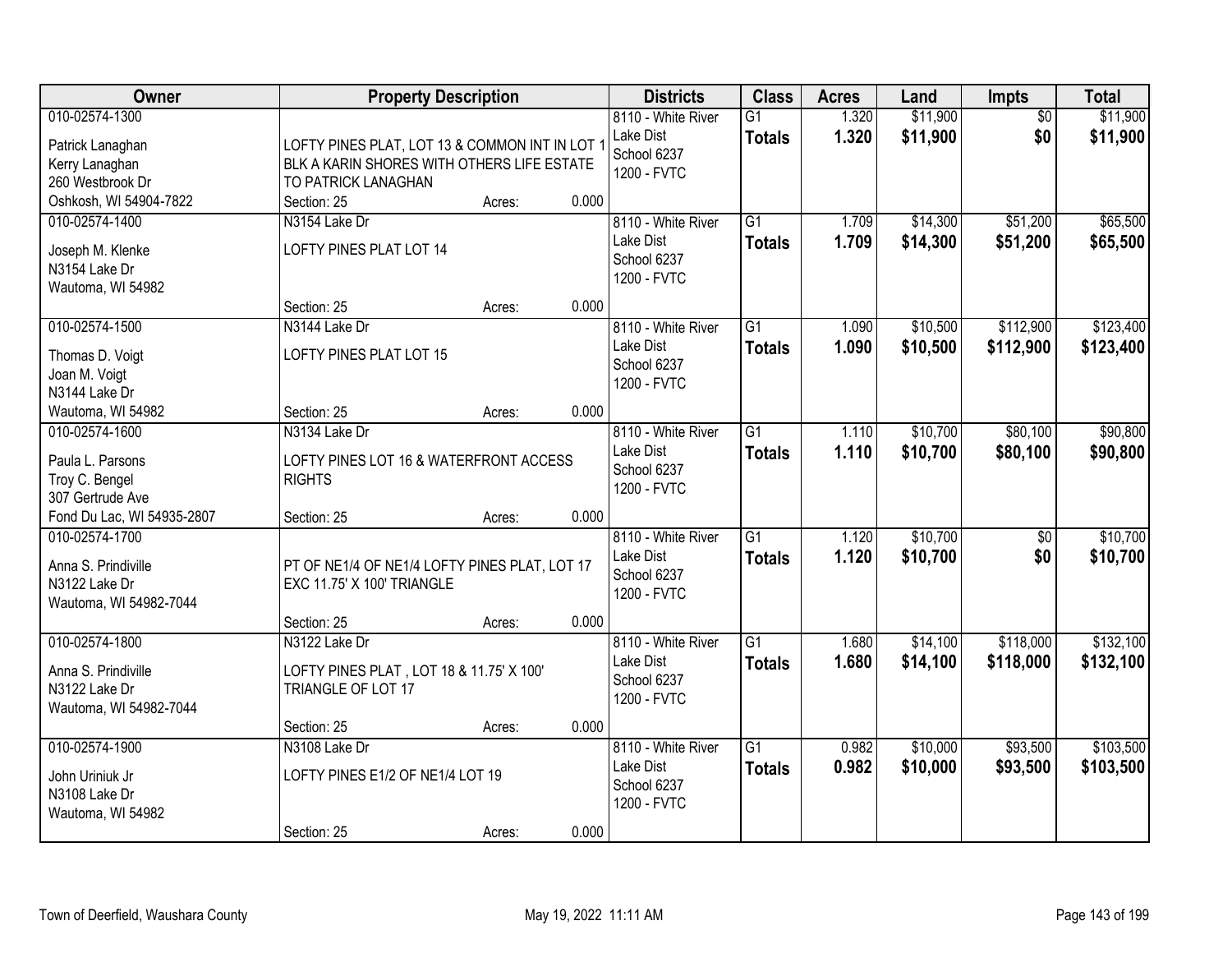| Owner                                                                            | <b>Property Description</b>                                                                                         |        |       | <b>Districts</b>                                                     | <b>Class</b>                     | <b>Acres</b>   | Land                 | Impts                  | <b>Total</b>           |
|----------------------------------------------------------------------------------|---------------------------------------------------------------------------------------------------------------------|--------|-------|----------------------------------------------------------------------|----------------------------------|----------------|----------------------|------------------------|------------------------|
| 010-02574-1300<br>Patrick Lanaghan<br>Kerry Lanaghan<br>260 Westbrook Dr         | LOFTY PINES PLAT, LOT 13 & COMMON INT IN LOT 1<br>BLK A KARIN SHORES WITH OTHERS LIFE ESTATE<br>TO PATRICK LANAGHAN |        |       | 8110 - White River<br>Lake Dist<br>School 6237<br>1200 - FVTC        | G1<br><b>Totals</b>              | 1.320<br>1.320 | \$11,900<br>\$11,900 | $\overline{50}$<br>\$0 | \$11,900<br>\$11,900   |
| Oshkosh, WI 54904-7822                                                           | Section: 25                                                                                                         | Acres: | 0.000 |                                                                      |                                  |                |                      |                        |                        |
| 010-02574-1400<br>Joseph M. Klenke<br>N3154 Lake Dr<br>Wautoma, WI 54982         | N3154 Lake Dr<br>LOFTY PINES PLAT LOT 14                                                                            |        |       | 8110 - White River<br>Lake Dist<br>School 6237<br>1200 - FVTC        | $\overline{G1}$<br><b>Totals</b> | 1.709<br>1.709 | \$14,300<br>\$14,300 | \$51,200<br>\$51,200   | \$65,500<br>\$65,500   |
|                                                                                  | Section: 25                                                                                                         | Acres: | 0.000 |                                                                      |                                  |                |                      |                        |                        |
| 010-02574-1500<br>Thomas D. Voigt<br>Joan M. Voigt<br>N3144 Lake Dr              | N3144 Lake Dr<br>LOFTY PINES PLAT LOT 15                                                                            |        |       | 8110 - White River<br>Lake Dist<br>School 6237<br>1200 - FVTC        | $\overline{G1}$<br><b>Totals</b> | 1.090<br>1.090 | \$10,500<br>\$10,500 | \$112,900<br>\$112,900 | \$123,400<br>\$123,400 |
| Wautoma, WI 54982                                                                | Section: 25                                                                                                         | Acres: | 0.000 |                                                                      |                                  |                |                      |                        |                        |
| 010-02574-1600<br>Paula L. Parsons<br>Troy C. Bengel<br>307 Gertrude Ave         | N3134 Lake Dr<br>LOFTY PINES LOT 16 & WATERFRONT ACCESS<br><b>RIGHTS</b>                                            |        |       | 8110 - White River<br>Lake Dist<br>School 6237<br>1200 - FVTC        | G1<br><b>Totals</b>              | 1.110<br>1.110 | \$10,700<br>\$10,700 | \$80,100<br>\$80,100   | \$90,800<br>\$90,800   |
| Fond Du Lac, WI 54935-2807                                                       | Section: 25                                                                                                         | Acres: | 0.000 |                                                                      |                                  |                |                      |                        |                        |
| 010-02574-1700<br>Anna S. Prindiville<br>N3122 Lake Dr<br>Wautoma, WI 54982-7044 | PT OF NE1/4 OF NE1/4 LOFTY PINES PLAT, LOT 17<br>EXC 11.75' X 100' TRIANGLE                                         |        |       | 8110 - White River<br><b>Lake Dist</b><br>School 6237<br>1200 - FVTC | $\overline{G1}$<br><b>Totals</b> | 1.120<br>1.120 | \$10,700<br>\$10,700 | $\overline{50}$<br>\$0 | \$10,700<br>\$10,700   |
|                                                                                  | Section: 25                                                                                                         | Acres: | 0.000 |                                                                      |                                  |                |                      |                        |                        |
| 010-02574-1800<br>Anna S. Prindiville<br>N3122 Lake Dr<br>Wautoma, WI 54982-7044 | N3122 Lake Dr<br>LOFTY PINES PLAT, LOT 18 & 11.75' X 100'<br>TRIANGLE OF LOT 17                                     |        |       | 8110 - White River<br>Lake Dist<br>School 6237<br>1200 - FVTC        | G1<br><b>Totals</b>              | 1.680<br>1.680 | \$14,100<br>\$14,100 | \$118,000<br>\$118,000 | \$132,100<br>\$132,100 |
|                                                                                  | Section: 25                                                                                                         | Acres: | 0.000 |                                                                      |                                  |                |                      |                        |                        |
| 010-02574-1900<br>John Uriniuk Jr<br>N3108 Lake Dr<br>Wautoma, WI 54982          | N3108 Lake Dr<br>LOFTY PINES E1/2 OF NE1/4 LOT 19<br>Section: 25                                                    | Acres: | 0.000 | 8110 - White River<br>Lake Dist<br>School 6237<br>1200 - FVTC        | $\overline{G1}$<br><b>Totals</b> | 0.982<br>0.982 | \$10,000<br>\$10,000 | \$93,500<br>\$93,500   | \$103,500<br>\$103,500 |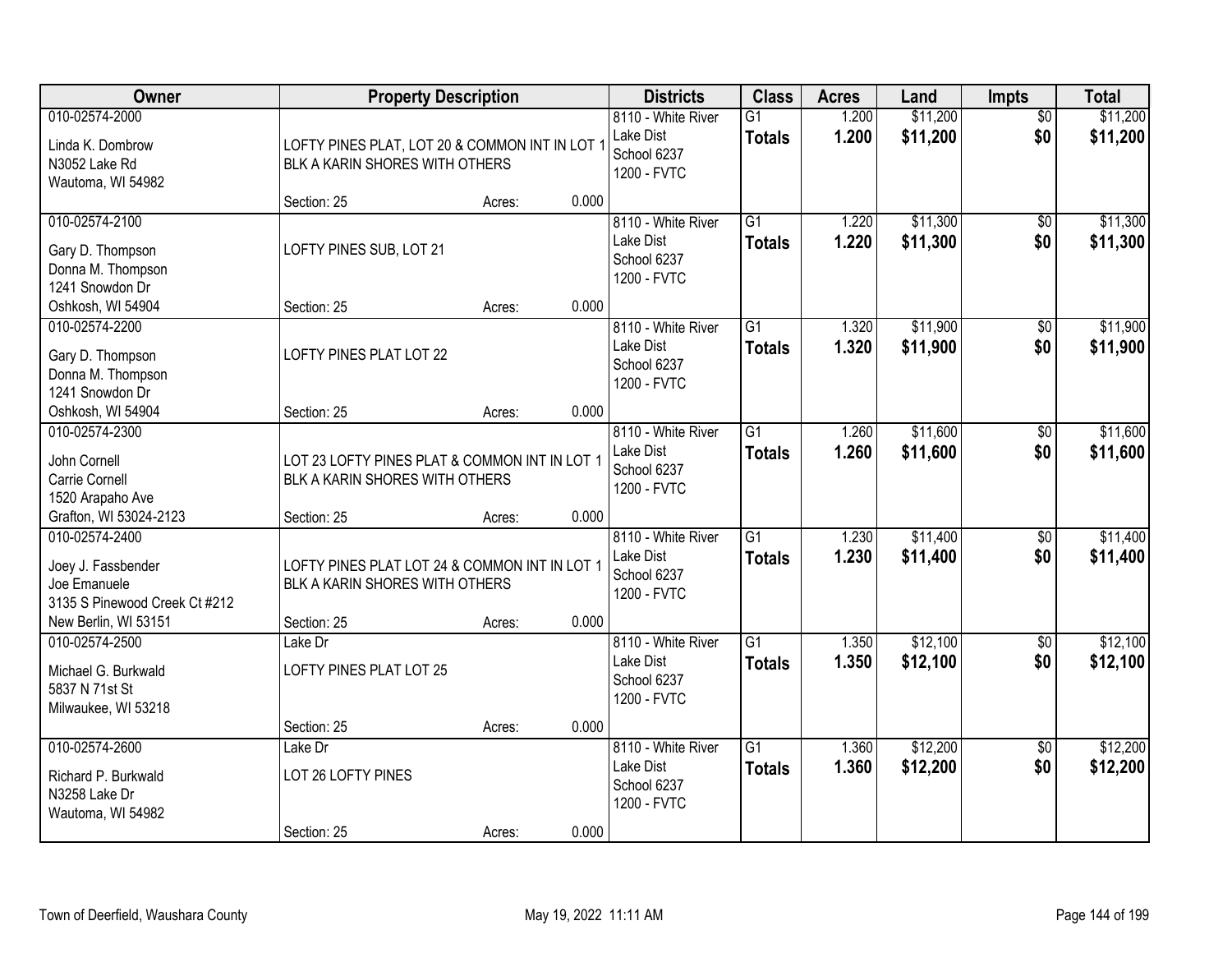| Owner                                                                                 | <b>Property Description</b>                                                      |        |       | <b>Districts</b>                                              | <b>Class</b>                     | <b>Acres</b>   | Land                 | Impts                  | <b>Total</b>         |
|---------------------------------------------------------------------------------------|----------------------------------------------------------------------------------|--------|-------|---------------------------------------------------------------|----------------------------------|----------------|----------------------|------------------------|----------------------|
| 010-02574-2000<br>Linda K. Dombrow<br>N3052 Lake Rd<br>Wautoma, WI 54982              | LOFTY PINES PLAT, LOT 20 & COMMON INT IN LOT 1<br>BLK A KARIN SHORES WITH OTHERS |        |       | 8110 - White River<br>Lake Dist<br>School 6237<br>1200 - FVTC | G1<br><b>Totals</b>              | 1.200<br>1.200 | \$11,200<br>\$11,200 | $\overline{50}$<br>\$0 | \$11,200<br>\$11,200 |
|                                                                                       | Section: 25                                                                      | Acres: | 0.000 |                                                               |                                  |                |                      |                        |                      |
| 010-02574-2100<br>Gary D. Thompson<br>Donna M. Thompson<br>1241 Snowdon Dr            | LOFTY PINES SUB, LOT 21                                                          |        |       | 8110 - White River<br>Lake Dist<br>School 6237<br>1200 - FVTC | $\overline{G1}$<br><b>Totals</b> | 1.220<br>1.220 | \$11,300<br>\$11,300 | $\overline{50}$<br>\$0 | \$11,300<br>\$11,300 |
| Oshkosh, WI 54904                                                                     | Section: 25                                                                      | Acres: | 0.000 |                                                               |                                  |                |                      |                        |                      |
| 010-02574-2200<br>Gary D. Thompson<br>Donna M. Thompson<br>1241 Snowdon Dr            | LOFTY PINES PLAT LOT 22                                                          |        |       | 8110 - White River<br>Lake Dist<br>School 6237<br>1200 - FVTC | G1<br><b>Totals</b>              | 1.320<br>1.320 | \$11,900<br>\$11,900 | \$0<br>\$0             | \$11,900<br>\$11,900 |
| Oshkosh, WI 54904                                                                     | Section: 25                                                                      | Acres: | 0.000 |                                                               |                                  |                |                      |                        |                      |
| 010-02574-2300<br>John Cornell<br>Carrie Cornell<br>1520 Arapaho Ave                  | LOT 23 LOFTY PINES PLAT & COMMON INT IN LOT 1<br>BLK A KARIN SHORES WITH OTHERS  |        |       | 8110 - White River<br>Lake Dist<br>School 6237<br>1200 - FVTC | $\overline{G1}$<br><b>Totals</b> | 1.260<br>1.260 | \$11,600<br>\$11,600 | \$0<br>\$0             | \$11,600<br>\$11,600 |
| Grafton, WI 53024-2123                                                                | Section: 25                                                                      | Acres: | 0.000 |                                                               |                                  |                |                      |                        |                      |
| 010-02574-2400<br>Joey J. Fassbender<br>Joe Emanuele<br>3135 S Pinewood Creek Ct #212 | LOFTY PINES PLAT LOT 24 & COMMON INT IN LOT 1<br>BLK A KARIN SHORES WITH OTHERS  |        |       | 8110 - White River<br>Lake Dist<br>School 6237<br>1200 - FVTC | $\overline{G1}$<br><b>Totals</b> | 1.230<br>1.230 | \$11,400<br>\$11,400 | $\overline{50}$<br>\$0 | \$11,400<br>\$11,400 |
| New Berlin, WI 53151                                                                  | Section: 25                                                                      | Acres: | 0.000 |                                                               |                                  |                |                      |                        |                      |
| 010-02574-2500<br>Michael G. Burkwald<br>5837 N 71st St<br>Milwaukee, WI 53218        | Lake Dr<br>LOFTY PINES PLAT LOT 25                                               |        |       | 8110 - White River<br>Lake Dist<br>School 6237<br>1200 - FVTC | $\overline{G1}$<br><b>Totals</b> | 1.350<br>1.350 | \$12,100<br>\$12,100 | $\overline{50}$<br>\$0 | \$12,100<br>\$12,100 |
|                                                                                       | Section: 25                                                                      | Acres: | 0.000 |                                                               |                                  |                |                      |                        |                      |
| 010-02574-2600<br>Richard P. Burkwald<br>N3258 Lake Dr<br>Wautoma, WI 54982           | Lake Dr<br>LOT 26 LOFTY PINES<br>Section: 25                                     | Acres: | 0.000 | 8110 - White River<br>Lake Dist<br>School 6237<br>1200 - FVTC | $\overline{G1}$<br><b>Totals</b> | 1.360<br>1.360 | \$12,200<br>\$12,200 | $\overline{50}$<br>\$0 | \$12,200<br>\$12,200 |
|                                                                                       |                                                                                  |        |       |                                                               |                                  |                |                      |                        |                      |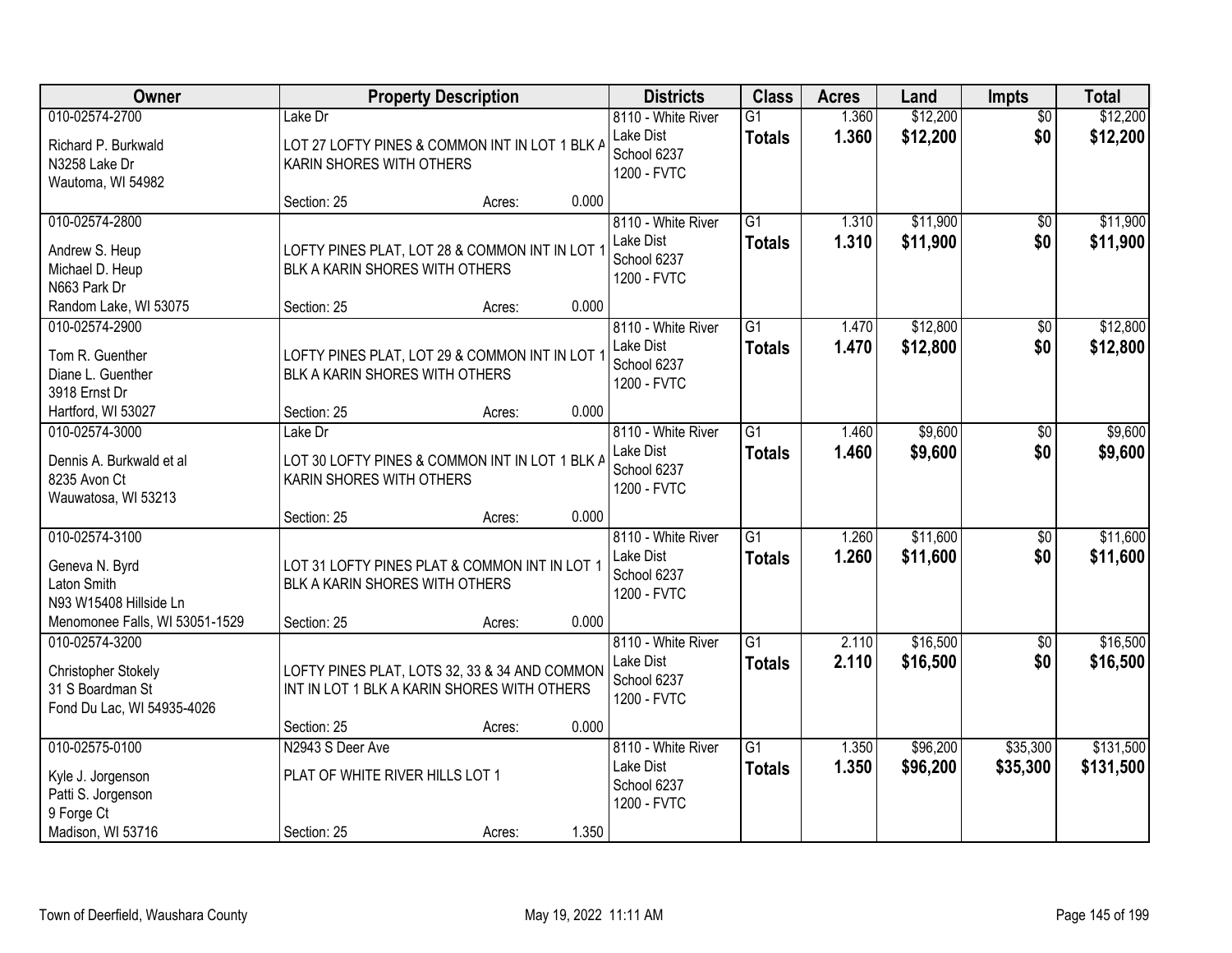| Owner                          |                                                | <b>Property Description</b> |       | <b>Districts</b>                | <b>Class</b>                     | <b>Acres</b>   | Land                 | <b>Impts</b>           | <b>Total</b>         |
|--------------------------------|------------------------------------------------|-----------------------------|-------|---------------------------------|----------------------------------|----------------|----------------------|------------------------|----------------------|
| 010-02574-2700                 | Lake Dr                                        |                             |       | 8110 - White River<br>Lake Dist | $\overline{G1}$<br><b>Totals</b> | 1.360<br>1.360 | \$12,200<br>\$12,200 | $\overline{50}$<br>\$0 | \$12,200<br>\$12,200 |
| Richard P. Burkwald            | LOT 27 LOFTY PINES & COMMON INT IN LOT 1 BLK A |                             |       | School 6237                     |                                  |                |                      |                        |                      |
| N3258 Lake Dr                  | KARIN SHORES WITH OTHERS                       |                             |       | 1200 - FVTC                     |                                  |                |                      |                        |                      |
| Wautoma, WI 54982              | Section: 25                                    | Acres:                      | 0.000 |                                 |                                  |                |                      |                        |                      |
| 010-02574-2800                 |                                                |                             |       | 8110 - White River              | $\overline{G1}$                  | 1.310          | \$11,900             | $\overline{50}$        | \$11,900             |
| Andrew S. Heup                 | LOFTY PINES PLAT, LOT 28 & COMMON INT IN LOT 1 |                             |       | Lake Dist                       | <b>Totals</b>                    | 1.310          | \$11,900             | \$0                    | \$11,900             |
| Michael D. Heup                | BLK A KARIN SHORES WITH OTHERS                 |                             |       | School 6237                     |                                  |                |                      |                        |                      |
| N663 Park Dr                   |                                                |                             |       | 1200 - FVTC                     |                                  |                |                      |                        |                      |
| Random Lake, WI 53075          | Section: 25                                    | Acres:                      | 0.000 |                                 |                                  |                |                      |                        |                      |
| 010-02574-2900                 |                                                |                             |       | 8110 - White River              | G1                               | 1.470          | \$12,800             | \$0                    | \$12,800             |
| Tom R. Guenther                | LOFTY PINES PLAT, LOT 29 & COMMON INT IN LOT 1 |                             |       | Lake Dist                       | <b>Totals</b>                    | 1.470          | \$12,800             | \$0                    | \$12,800             |
| Diane L. Guenther              | BLK A KARIN SHORES WITH OTHERS                 |                             |       | School 6237                     |                                  |                |                      |                        |                      |
| 3918 Ernst Dr                  |                                                |                             |       | 1200 - FVTC                     |                                  |                |                      |                        |                      |
| Hartford, WI 53027             | Section: 25                                    | Acres:                      | 0.000 |                                 |                                  |                |                      |                        |                      |
| 010-02574-3000                 | Lake Dr                                        |                             |       | 8110 - White River              | G1                               | 1.460          | \$9,600              | \$0                    | \$9,600              |
| Dennis A. Burkwald et al       | LOT 30 LOFTY PINES & COMMON INT IN LOT 1 BLK A |                             |       | Lake Dist                       | <b>Totals</b>                    | 1.460          | \$9,600              | \$0                    | \$9,600              |
| 8235 Avon Ct                   | KARIN SHORES WITH OTHERS                       |                             |       | School 6237                     |                                  |                |                      |                        |                      |
| Wauwatosa, WI 53213            |                                                |                             |       | 1200 - FVTC                     |                                  |                |                      |                        |                      |
|                                | Section: 25                                    | Acres:                      | 0.000 |                                 |                                  |                |                      |                        |                      |
| 010-02574-3100                 |                                                |                             |       | 8110 - White River              | $\overline{G1}$                  | 1.260          | \$11,600             | $\overline{50}$        | \$11,600             |
| Geneva N. Byrd                 | LOT 31 LOFTY PINES PLAT & COMMON INT IN LOT 1  |                             |       | Lake Dist                       | <b>Totals</b>                    | 1.260          | \$11,600             | \$0                    | \$11,600             |
| Laton Smith                    | BLK A KARIN SHORES WITH OTHERS                 |                             |       | School 6237                     |                                  |                |                      |                        |                      |
| N93 W15408 Hillside Ln         |                                                |                             |       | 1200 - FVTC                     |                                  |                |                      |                        |                      |
| Menomonee Falls, WI 53051-1529 | Section: 25                                    | Acres:                      | 0.000 |                                 |                                  |                |                      |                        |                      |
| 010-02574-3200                 |                                                |                             |       | 8110 - White River              | $\overline{G1}$                  | 2.110          | \$16,500             | $\sqrt{6}$             | \$16,500             |
| Christopher Stokely            | LOFTY PINES PLAT, LOTS 32, 33 & 34 AND COMMON  |                             |       | Lake Dist                       | <b>Totals</b>                    | 2.110          | \$16,500             | \$0                    | \$16,500             |
| 31 S Boardman St               | INT IN LOT 1 BLK A KARIN SHORES WITH OTHERS    |                             |       | School 6237                     |                                  |                |                      |                        |                      |
| Fond Du Lac, WI 54935-4026     |                                                |                             |       | 1200 - FVTC                     |                                  |                |                      |                        |                      |
|                                | Section: 25                                    | Acres:                      | 0.000 |                                 |                                  |                |                      |                        |                      |
| 010-02575-0100                 | N2943 S Deer Ave                               |                             |       | 8110 - White River              | $\overline{G1}$                  | 1.350          | \$96,200             | \$35,300               | \$131,500            |
| Kyle J. Jorgenson              | PLAT OF WHITE RIVER HILLS LOT 1                |                             |       | Lake Dist                       | <b>Totals</b>                    | 1.350          | \$96,200             | \$35,300               | \$131,500            |
| Patti S. Jorgenson             |                                                |                             |       | School 6237                     |                                  |                |                      |                        |                      |
| 9 Forge Ct                     |                                                |                             |       | 1200 - FVTC                     |                                  |                |                      |                        |                      |
| Madison, WI 53716              | Section: 25                                    | Acres:                      | 1.350 |                                 |                                  |                |                      |                        |                      |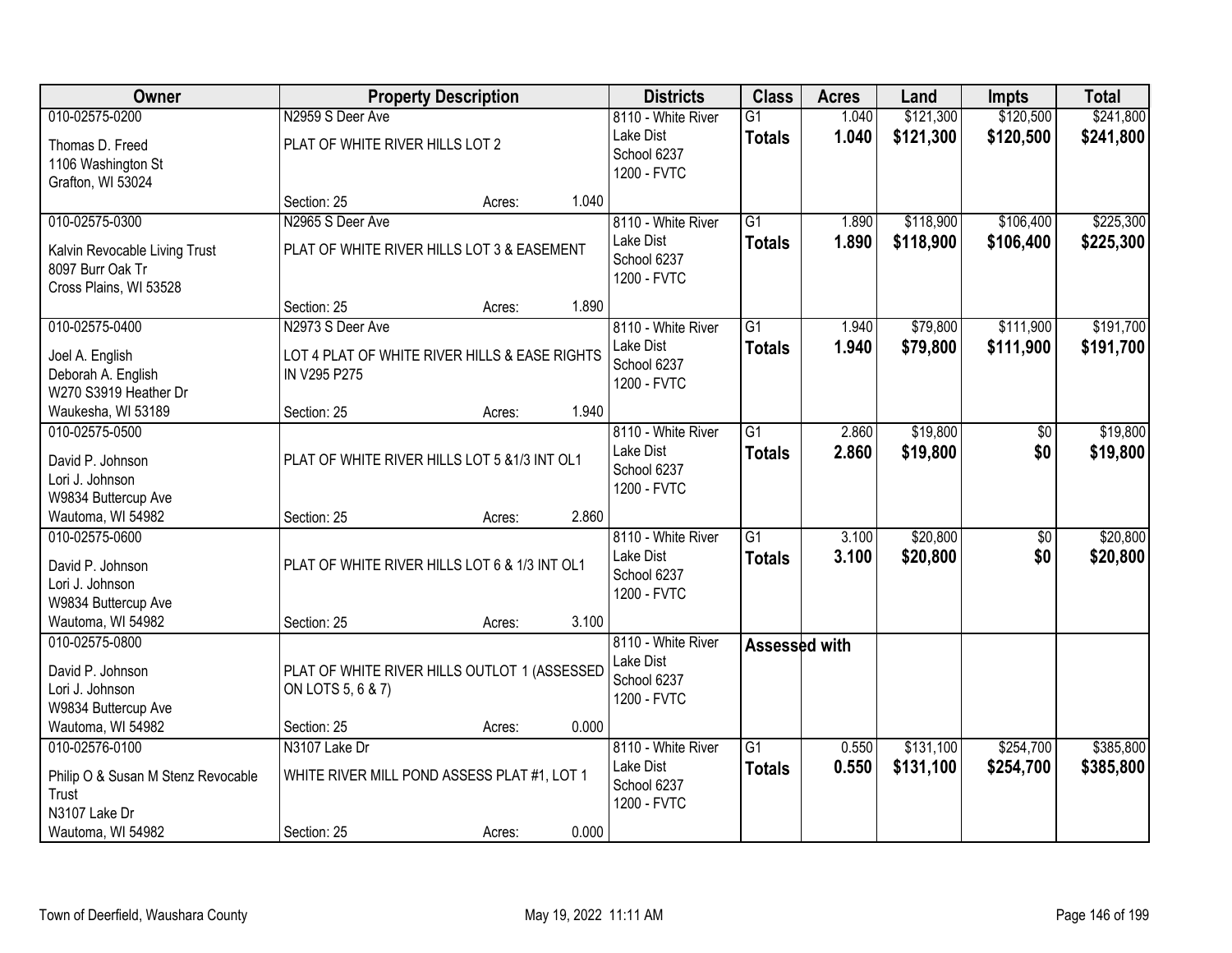| Owner                              |                                               | <b>Property Description</b> |       | <b>Districts</b>           | <b>Class</b>    | <b>Acres</b> | Land      | <b>Impts</b>    | <b>Total</b> |
|------------------------------------|-----------------------------------------------|-----------------------------|-------|----------------------------|-----------------|--------------|-----------|-----------------|--------------|
| 010-02575-0200                     | N2959 S Deer Ave                              |                             |       | 8110 - White River         | $\overline{G1}$ | 1.040        | \$121,300 | \$120,500       | \$241,800    |
| Thomas D. Freed                    | PLAT OF WHITE RIVER HILLS LOT 2               |                             |       | Lake Dist                  | <b>Totals</b>   | 1.040        | \$121,300 | \$120,500       | \$241,800    |
| 1106 Washington St                 |                                               |                             |       | School 6237<br>1200 - FVTC |                 |              |           |                 |              |
| Grafton, WI 53024                  |                                               |                             |       |                            |                 |              |           |                 |              |
|                                    | Section: 25                                   | Acres:                      | 1.040 |                            |                 |              |           |                 |              |
| 010-02575-0300                     | N2965 S Deer Ave                              |                             |       | 8110 - White River         | $\overline{G1}$ | 1.890        | \$118,900 | \$106,400       | \$225,300    |
| Kalvin Revocable Living Trust      | PLAT OF WHITE RIVER HILLS LOT 3 & EASEMENT    |                             |       | Lake Dist                  | <b>Totals</b>   | 1.890        | \$118,900 | \$106,400       | \$225,300    |
| 8097 Burr Oak Tr                   |                                               |                             |       | School 6237<br>1200 - FVTC |                 |              |           |                 |              |
| Cross Plains, WI 53528             |                                               |                             |       |                            |                 |              |           |                 |              |
|                                    | Section: 25                                   | Acres:                      | 1.890 |                            |                 |              |           |                 |              |
| 010-02575-0400                     | N2973 S Deer Ave                              |                             |       | 8110 - White River         | $\overline{G1}$ | 1.940        | \$79,800  | \$111,900       | \$191,700    |
| Joel A. English                    | LOT 4 PLAT OF WHITE RIVER HILLS & EASE RIGHTS |                             |       | Lake Dist                  | <b>Totals</b>   | 1.940        | \$79,800  | \$111,900       | \$191,700    |
| Deborah A. English                 | IN V295 P275                                  |                             |       | School 6237<br>1200 - FVTC |                 |              |           |                 |              |
| W270 S3919 Heather Dr              |                                               |                             |       |                            |                 |              |           |                 |              |
| Waukesha, WI 53189                 | Section: 25                                   | Acres:                      | 1.940 |                            |                 |              |           |                 |              |
| 010-02575-0500                     |                                               |                             |       | 8110 - White River         | $\overline{G1}$ | 2.860        | \$19,800  | $\frac{1}{20}$  | \$19,800     |
| David P. Johnson                   | PLAT OF WHITE RIVER HILLS LOT 5 & 1/3 INT OL1 |                             |       | Lake Dist                  | <b>Totals</b>   | 2.860        | \$19,800  | \$0             | \$19,800     |
| Lori J. Johnson                    |                                               |                             |       | School 6237                |                 |              |           |                 |              |
| W9834 Buttercup Ave                |                                               |                             |       | 1200 - FVTC                |                 |              |           |                 |              |
| Wautoma, WI 54982                  | Section: 25                                   | Acres:                      | 2.860 |                            |                 |              |           |                 |              |
| 010-02575-0600                     |                                               |                             |       | 8110 - White River         | $\overline{G1}$ | 3.100        | \$20,800  | $\overline{50}$ | \$20,800     |
| David P. Johnson                   | PLAT OF WHITE RIVER HILLS LOT 6 & 1/3 INT OL1 |                             |       | Lake Dist                  | Totals          | 3.100        | \$20,800  | \$0             | \$20,800     |
| Lori J. Johnson                    |                                               |                             |       | School 6237<br>1200 - FVTC |                 |              |           |                 |              |
| W9834 Buttercup Ave                |                                               |                             |       |                            |                 |              |           |                 |              |
| Wautoma, WI 54982                  | Section: 25                                   | Acres:                      | 3.100 |                            |                 |              |           |                 |              |
| 010-02575-0800                     |                                               |                             |       | 8110 - White River         | Assessed with   |              |           |                 |              |
| David P. Johnson                   | PLAT OF WHITE RIVER HILLS OUTLOT 1 (ASSESSED  |                             |       | Lake Dist                  |                 |              |           |                 |              |
| Lori J. Johnson                    | ON LOTS 5, 6 & 7)                             |                             |       | School 6237<br>1200 - FVTC |                 |              |           |                 |              |
| W9834 Buttercup Ave                |                                               |                             |       |                            |                 |              |           |                 |              |
| Wautoma, WI 54982                  | Section: 25                                   | Acres:                      | 0.000 |                            |                 |              |           |                 |              |
| 010-02576-0100                     | N3107 Lake Dr                                 |                             |       | 8110 - White River         | $\overline{G1}$ | 0.550        | \$131,100 | \$254,700       | \$385,800    |
| Philip O & Susan M Stenz Revocable | WHITE RIVER MILL POND ASSESS PLAT #1, LOT 1   |                             |       | Lake Dist                  | <b>Totals</b>   | 0.550        | \$131,100 | \$254,700       | \$385,800    |
| Trust                              |                                               |                             |       | School 6237                |                 |              |           |                 |              |
| N3107 Lake Dr                      |                                               |                             |       | 1200 - FVTC                |                 |              |           |                 |              |
| Wautoma, WI 54982                  | Section: 25                                   | Acres:                      | 0.000 |                            |                 |              |           |                 |              |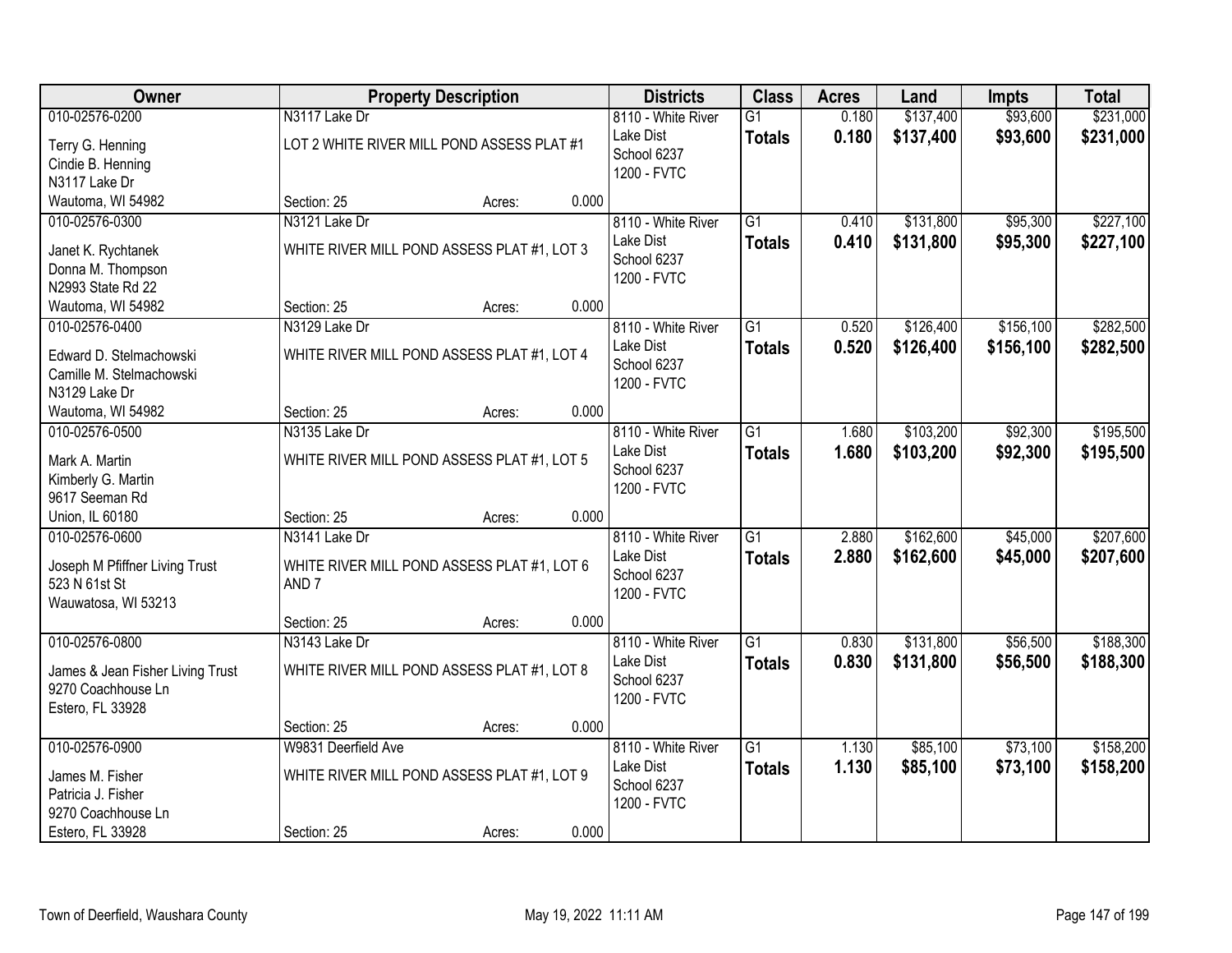| <b>Owner</b>                                                                                      |                                                                                   | <b>Property Description</b> |       | <b>Districts</b>                                              | <b>Class</b>                     | <b>Acres</b>   | Land                   | <b>Impts</b>           | <b>Total</b>           |
|---------------------------------------------------------------------------------------------------|-----------------------------------------------------------------------------------|-----------------------------|-------|---------------------------------------------------------------|----------------------------------|----------------|------------------------|------------------------|------------------------|
| 010-02576-0200                                                                                    | N3117 Lake Dr                                                                     |                             |       | 8110 - White River                                            | G1                               | 0.180          | \$137,400              | \$93,600               | \$231,000              |
| Terry G. Henning<br>Cindie B. Henning<br>N3117 Lake Dr                                            | LOT 2 WHITE RIVER MILL POND ASSESS PLAT #1                                        |                             |       | Lake Dist<br>School 6237<br>1200 - FVTC                       | <b>Totals</b>                    | 0.180          | \$137,400              | \$93,600               | \$231,000              |
| Wautoma, WI 54982                                                                                 | Section: 25                                                                       | Acres:                      | 0.000 |                                                               |                                  |                |                        |                        |                        |
| 010-02576-0300<br>Janet K. Rychtanek<br>Donna M. Thompson<br>N2993 State Rd 22                    | N3121 Lake Dr<br>WHITE RIVER MILL POND ASSESS PLAT #1, LOT 3                      |                             |       | 8110 - White River<br>Lake Dist<br>School 6237<br>1200 - FVTC | $\overline{G1}$<br><b>Totals</b> | 0.410<br>0.410 | \$131,800<br>\$131,800 | \$95,300<br>\$95,300   | \$227,100<br>\$227,100 |
| Wautoma, WI 54982                                                                                 | Section: 25                                                                       | Acres:                      | 0.000 |                                                               |                                  |                |                        |                        |                        |
| 010-02576-0400<br>Edward D. Stelmachowski<br>Camille M. Stelmachowski<br>N3129 Lake Dr            | N3129 Lake Dr<br>WHITE RIVER MILL POND ASSESS PLAT #1, LOT 4                      |                             |       | 8110 - White River<br>Lake Dist<br>School 6237<br>1200 - FVTC | G <sub>1</sub><br><b>Totals</b>  | 0.520<br>0.520 | \$126,400<br>\$126,400 | \$156,100<br>\$156,100 | \$282,500<br>\$282,500 |
| Wautoma, WI 54982                                                                                 | Section: 25                                                                       | Acres:                      | 0.000 |                                                               |                                  |                |                        |                        |                        |
| 010-02576-0500<br>Mark A. Martin<br>Kimberly G. Martin<br>9617 Seeman Rd                          | N3135 Lake Dr<br>WHITE RIVER MILL POND ASSESS PLAT #1, LOT 5                      |                             |       | 8110 - White River<br>Lake Dist<br>School 6237<br>1200 - FVTC | $\overline{G1}$<br><b>Totals</b> | 1.680<br>1.680 | \$103,200<br>\$103,200 | \$92,300<br>\$92,300   | \$195,500<br>\$195,500 |
| Union, IL 60180                                                                                   | Section: 25                                                                       | Acres:                      | 0.000 |                                                               |                                  |                |                        |                        |                        |
| 010-02576-0600<br>Joseph M Pfiffner Living Trust<br>523 N 61st St<br>Wauwatosa, WI 53213          | N3141 Lake Dr<br>WHITE RIVER MILL POND ASSESS PLAT #1, LOT 6<br>AND <sub>7</sub>  |                             |       | 8110 - White River<br>Lake Dist<br>School 6237<br>1200 - FVTC | $\overline{G1}$<br><b>Totals</b> | 2.880<br>2.880 | \$162,600<br>\$162,600 | \$45,000<br>\$45,000   | \$207,600<br>\$207,600 |
|                                                                                                   | Section: 25                                                                       | Acres:                      | 0.000 |                                                               |                                  |                |                        |                        |                        |
| 010-02576-0800<br>James & Jean Fisher Living Trust<br>9270 Coachhouse Ln<br>Estero, FL 33928      | N3143 Lake Dr<br>WHITE RIVER MILL POND ASSESS PLAT #1, LOT 8                      |                             |       | 8110 - White River<br>Lake Dist<br>School 6237<br>1200 - FVTC | $\overline{G1}$<br><b>Totals</b> | 0.830<br>0.830 | \$131,800<br>\$131,800 | \$56,500<br>\$56,500   | \$188,300<br>\$188,300 |
|                                                                                                   | Section: 25                                                                       | Acres:                      | 0.000 |                                                               |                                  |                |                        |                        |                        |
| 010-02576-0900<br>James M. Fisher<br>Patricia J. Fisher<br>9270 Coachhouse Ln<br>Estero, FL 33928 | W9831 Deerfield Ave<br>WHITE RIVER MILL POND ASSESS PLAT #1, LOT 9<br>Section: 25 | Acres:                      | 0.000 | 8110 - White River<br>Lake Dist<br>School 6237<br>1200 - FVTC | $\overline{G1}$<br><b>Totals</b> | 1.130<br>1.130 | \$85,100<br>\$85,100   | \$73,100<br>\$73,100   | \$158,200<br>\$158,200 |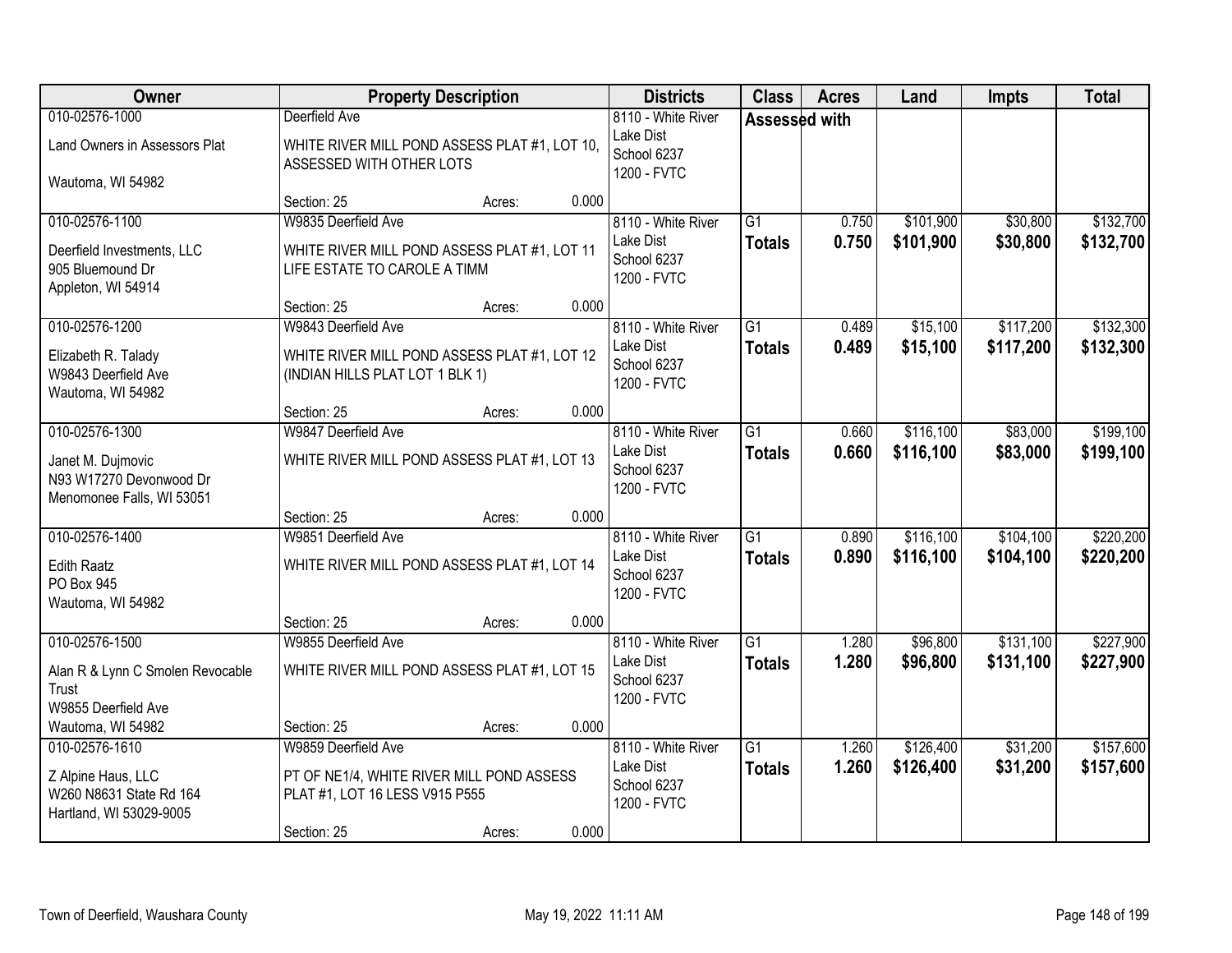| Owner                                                                     |                                                                                 | <b>Property Description</b> |       | <b>Districts</b>                        | <b>Class</b>    | <b>Acres</b> | Land      | <b>Impts</b> | <b>Total</b> |
|---------------------------------------------------------------------------|---------------------------------------------------------------------------------|-----------------------------|-------|-----------------------------------------|-----------------|--------------|-----------|--------------|--------------|
| 010-02576-1000                                                            | Deerfield Ave                                                                   |                             |       | 8110 - White River<br>Lake Dist         | Assessed with   |              |           |              |              |
| Land Owners in Assessors Plat                                             | WHITE RIVER MILL POND ASSESS PLAT #1, LOT 10,<br>ASSESSED WITH OTHER LOTS       |                             |       | School 6237<br>1200 - FVTC              |                 |              |           |              |              |
| Wautoma, WI 54982                                                         | Section: 25                                                                     | Acres:                      | 0.000 |                                         |                 |              |           |              |              |
| 010-02576-1100                                                            | W9835 Deerfield Ave                                                             |                             |       | 8110 - White River                      | $\overline{G1}$ | 0.750        | \$101,900 | \$30,800     | \$132,700    |
| Deerfield Investments, LLC<br>905 Bluemound Dr<br>Appleton, WI 54914      | WHITE RIVER MILL POND ASSESS PLAT #1, LOT 11<br>LIFE ESTATE TO CAROLE A TIMM    |                             |       | Lake Dist<br>School 6237<br>1200 - FVTC | <b>Totals</b>   | 0.750        | \$101,900 | \$30,800     | \$132,700    |
|                                                                           | Section: 25                                                                     | Acres:                      | 0.000 |                                         |                 |              |           |              |              |
| 010-02576-1200                                                            | W9843 Deerfield Ave                                                             |                             |       | 8110 - White River                      | G1              | 0.489        | \$15,100  | \$117,200    | \$132,300    |
| Elizabeth R. Talady<br>W9843 Deerfield Ave<br>Wautoma, WI 54982           | WHITE RIVER MILL POND ASSESS PLAT #1, LOT 12<br>(INDIAN HILLS PLAT LOT 1 BLK 1) |                             |       | Lake Dist<br>School 6237<br>1200 - FVTC | <b>Totals</b>   | 0.489        | \$15,100  | \$117,200    | \$132,300    |
|                                                                           | Section: 25                                                                     | Acres:                      | 0.000 |                                         |                 |              |           |              |              |
| 010-02576-1300                                                            | W9847 Deerfield Ave                                                             |                             |       | 8110 - White River                      | $\overline{G1}$ | 0.660        | \$116,100 | \$83,000     | \$199,100    |
| Janet M. Dujmovic<br>N93 W17270 Devonwood Dr<br>Menomonee Falls, WI 53051 | WHITE RIVER MILL POND ASSESS PLAT #1, LOT 13                                    |                             |       | Lake Dist<br>School 6237<br>1200 - FVTC | <b>Totals</b>   | 0.660        | \$116,100 | \$83,000     | \$199,100    |
|                                                                           | Section: 25                                                                     | Acres:                      | 0.000 |                                         |                 |              |           |              |              |
| 010-02576-1400                                                            | W9851 Deerfield Ave                                                             |                             |       | 8110 - White River                      | $\overline{G1}$ | 0.890        | \$116,100 | \$104,100    | \$220,200    |
| <b>Edith Raatz</b><br>PO Box 945                                          | WHITE RIVER MILL POND ASSESS PLAT #1, LOT 14                                    |                             |       | Lake Dist<br>School 6237<br>1200 - FVTC | <b>Totals</b>   | 0.890        | \$116,100 | \$104,100    | \$220,200    |
| Wautoma, WI 54982                                                         |                                                                                 |                             |       |                                         |                 |              |           |              |              |
| 010-02576-1500                                                            | Section: 25<br>W9855 Deerfield Ave                                              | Acres:                      | 0.000 | 8110 - White River                      | $\overline{G1}$ | 1.280        | \$96,800  | \$131,100    | \$227,900    |
| Alan R & Lynn C Smolen Revocable<br>Trust<br>W9855 Deerfield Ave          | WHITE RIVER MILL POND ASSESS PLAT #1, LOT 15                                    |                             |       | Lake Dist<br>School 6237<br>1200 - FVTC | <b>Totals</b>   | 1.280        | \$96,800  | \$131,100    | \$227,900    |
| Wautoma, WI 54982                                                         | Section: 25                                                                     | Acres:                      | 0.000 |                                         |                 |              |           |              |              |
| 010-02576-1610                                                            | W9859 Deerfield Ave                                                             |                             |       | 8110 - White River                      | $\overline{G1}$ | 1.260        | \$126,400 | \$31,200     | \$157,600    |
| Z Alpine Haus, LLC<br>W260 N8631 State Rd 164<br>Hartland, WI 53029-9005  | PT OF NE1/4, WHITE RIVER MILL POND ASSESS<br>PLAT #1, LOT 16 LESS V915 P555     |                             |       | Lake Dist<br>School 6237<br>1200 - FVTC | <b>Totals</b>   | 1.260        | \$126,400 | \$31,200     | \$157,600    |
|                                                                           | Section: 25                                                                     | Acres:                      | 0.000 |                                         |                 |              |           |              |              |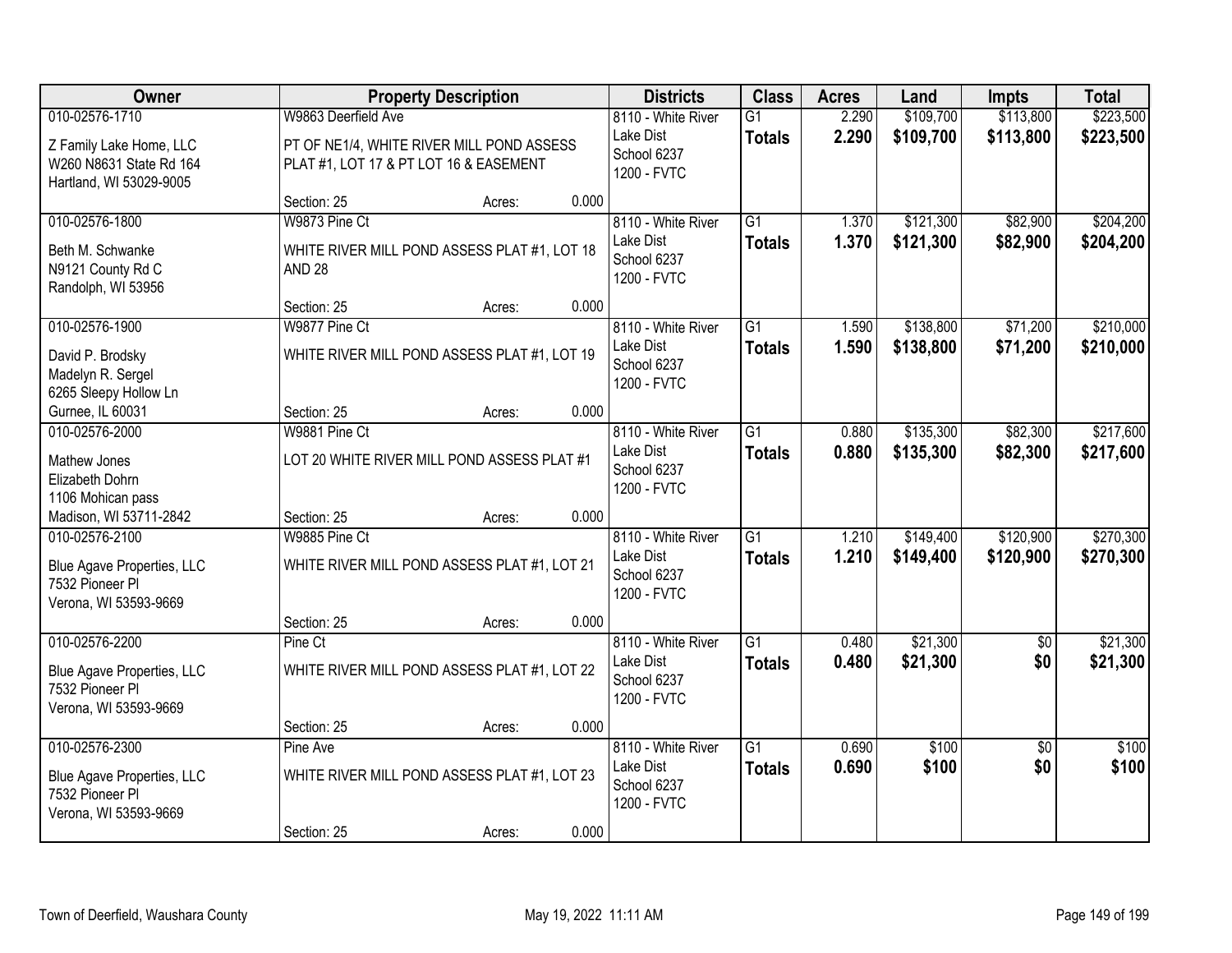| Owner                                                                                    |                                                                                     | <b>Property Description</b> |       | <b>Districts</b>                                              | <b>Class</b>                     | <b>Acres</b>   | Land                   | <b>Impts</b>           | <b>Total</b>           |
|------------------------------------------------------------------------------------------|-------------------------------------------------------------------------------------|-----------------------------|-------|---------------------------------------------------------------|----------------------------------|----------------|------------------------|------------------------|------------------------|
| 010-02576-1710                                                                           | W9863 Deerfield Ave                                                                 |                             |       | 8110 - White River                                            | $\overline{G1}$                  | 2.290          | \$109,700              | \$113,800              | \$223,500              |
| Z Family Lake Home, LLC<br>W260 N8631 State Rd 164<br>Hartland, WI 53029-9005            | PT OF NE1/4, WHITE RIVER MILL POND ASSESS<br>PLAT #1, LOT 17 & PT LOT 16 & EASEMENT |                             |       | Lake Dist<br>School 6237<br>1200 - FVTC                       | <b>Totals</b>                    | 2.290          | \$109,700              | \$113,800              | \$223,500              |
|                                                                                          | Section: 25                                                                         | Acres:                      | 0.000 |                                                               |                                  |                |                        |                        |                        |
| 010-02576-1800<br>Beth M. Schwanke<br>N9121 County Rd C<br>Randolph, WI 53956            | W9873 Pine Ct<br>WHITE RIVER MILL POND ASSESS PLAT #1, LOT 18<br><b>AND 28</b>      |                             |       | 8110 - White River<br>Lake Dist<br>School 6237<br>1200 - FVTC | $\overline{G1}$<br><b>Totals</b> | 1.370<br>1.370 | \$121,300<br>\$121,300 | \$82,900<br>\$82,900   | \$204,200<br>\$204,200 |
|                                                                                          | Section: 25                                                                         | Acres:                      | 0.000 |                                                               |                                  |                |                        |                        |                        |
| 010-02576-1900<br>David P. Brodsky<br>Madelyn R. Sergel<br>6265 Sleepy Hollow Ln         | W9877 Pine Ct<br>WHITE RIVER MILL POND ASSESS PLAT #1, LOT 19                       |                             |       | 8110 - White River<br>Lake Dist<br>School 6237<br>1200 - FVTC | G1<br><b>Totals</b>              | 1.590<br>1.590 | \$138,800<br>\$138,800 | \$71,200<br>\$71,200   | \$210,000<br>\$210,000 |
| Gurnee, IL 60031                                                                         | Section: 25                                                                         | Acres:                      | 0.000 |                                                               |                                  |                |                        |                        |                        |
| 010-02576-2000                                                                           | W9881 Pine Ct                                                                       |                             |       | 8110 - White River                                            | G1                               | 0.880          | \$135,300              | \$82,300               | \$217,600              |
| Mathew Jones<br>Elizabeth Dohrn<br>1106 Mohican pass                                     | LOT 20 WHITE RIVER MILL POND ASSESS PLAT #1                                         |                             |       | Lake Dist<br>School 6237<br>1200 - FVTC                       | <b>Totals</b>                    | 0.880          | \$135,300              | \$82,300               | \$217,600              |
| Madison, WI 53711-2842                                                                   | Section: 25                                                                         | Acres:                      | 0.000 |                                                               |                                  |                |                        |                        |                        |
| 010-02576-2100<br>Blue Agave Properties, LLC<br>7532 Pioneer Pl<br>Verona, WI 53593-9669 | W9885 Pine Ct<br>WHITE RIVER MILL POND ASSESS PLAT #1, LOT 21                       |                             |       | 8110 - White River<br>Lake Dist<br>School 6237<br>1200 - FVTC | $\overline{G1}$<br><b>Totals</b> | 1.210<br>1.210 | \$149,400<br>\$149,400 | \$120,900<br>\$120,900 | \$270,300<br>\$270,300 |
|                                                                                          | Section: 25                                                                         | Acres:                      | 0.000 |                                                               |                                  |                |                        |                        |                        |
| 010-02576-2200<br>Blue Agave Properties, LLC<br>7532 Pioneer PI<br>Verona, WI 53593-9669 | Pine Ct<br>WHITE RIVER MILL POND ASSESS PLAT #1, LOT 22                             |                             |       | 8110 - White River<br>Lake Dist<br>School 6237<br>1200 - FVTC | $\overline{G1}$<br><b>Totals</b> | 0.480<br>0.480 | \$21,300<br>\$21,300   | $\overline{50}$<br>\$0 | \$21,300<br>\$21,300   |
| 010-02576-2300                                                                           | Section: 25<br>Pine Ave                                                             | Acres:                      | 0.000 | 8110 - White River                                            | $\overline{G1}$                  | 0.690          | \$100                  | $\overline{50}$        | \$100                  |
| Blue Agave Properties, LLC<br>7532 Pioneer Pl<br>Verona, WI 53593-9669                   | WHITE RIVER MILL POND ASSESS PLAT #1, LOT 23                                        |                             |       | Lake Dist<br>School 6237<br>1200 - FVTC                       | <b>Totals</b>                    | 0.690          | \$100                  | \$0                    | \$100                  |
|                                                                                          | Section: 25                                                                         | Acres:                      | 0.000 |                                                               |                                  |                |                        |                        |                        |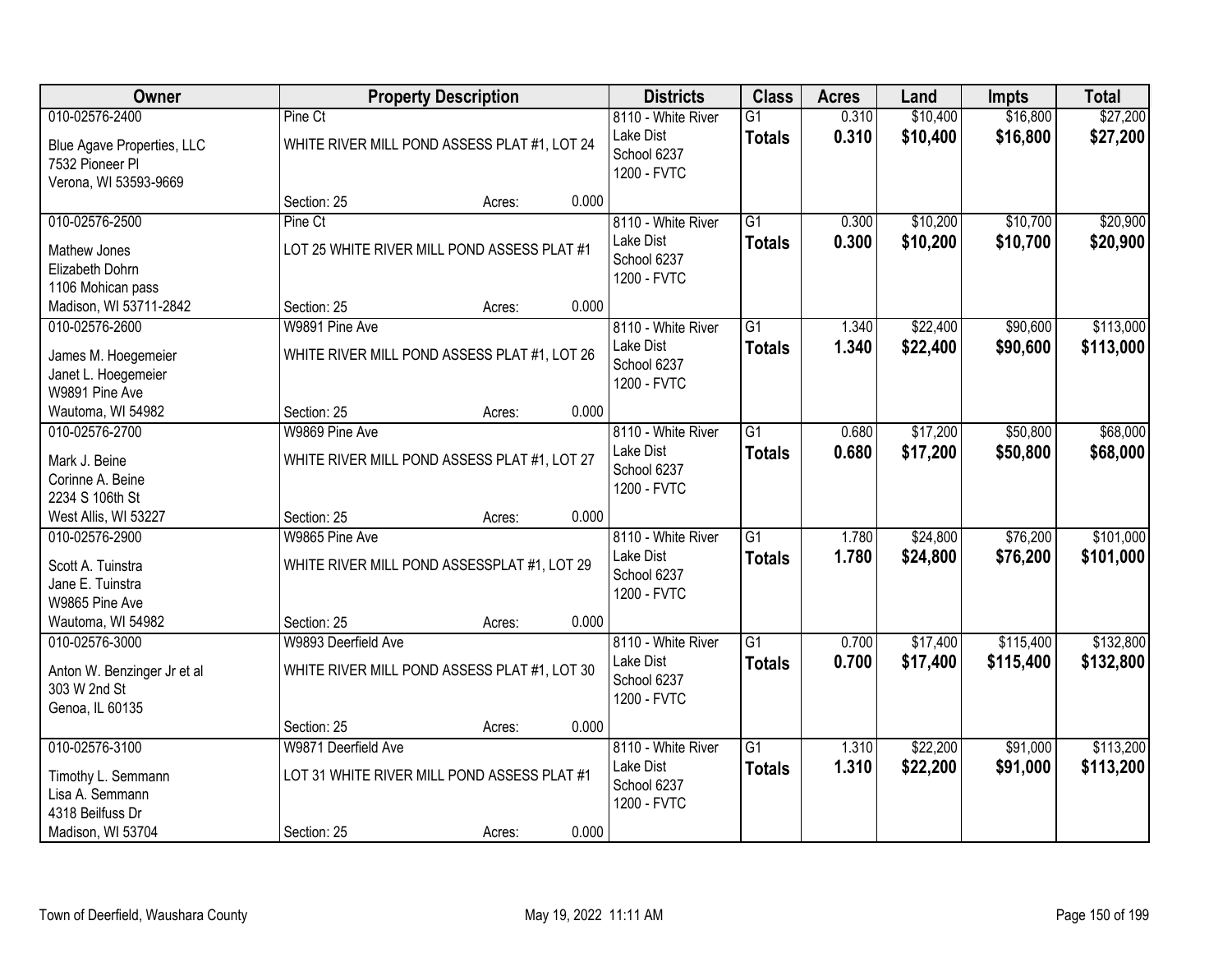| Owner                                                                     | <b>Property Description</b>                                   |        |       | <b>Districts</b>                                              | <b>Class</b>                     | <b>Acres</b>   | Land                 | <b>Impts</b>         | <b>Total</b>           |
|---------------------------------------------------------------------------|---------------------------------------------------------------|--------|-------|---------------------------------------------------------------|----------------------------------|----------------|----------------------|----------------------|------------------------|
| 010-02576-2400                                                            | Pine Ct                                                       |        |       | 8110 - White River                                            | G1                               | 0.310          | \$10,400             | \$16,800             | \$27,200               |
| Blue Agave Properties, LLC<br>7532 Pioneer Pl<br>Verona, WI 53593-9669    | WHITE RIVER MILL POND ASSESS PLAT #1, LOT 24                  |        |       | Lake Dist<br>School 6237<br>1200 - FVTC                       | <b>Totals</b>                    | 0.310          | \$10,400             | \$16,800             | \$27,200               |
|                                                                           | Section: 25                                                   | Acres: | 0.000 |                                                               |                                  |                |                      |                      |                        |
| 010-02576-2500                                                            | Pine Ct                                                       |        |       | 8110 - White River                                            | $\overline{G1}$                  | 0.300          | \$10,200             | \$10,700             | \$20,900               |
| Mathew Jones<br>Elizabeth Dohrn<br>1106 Mohican pass                      | LOT 25 WHITE RIVER MILL POND ASSESS PLAT #1                   |        |       | Lake Dist<br>School 6237<br>1200 - FVTC                       | <b>Totals</b>                    | 0.300          | \$10,200             | \$10,700             | \$20,900               |
| Madison, WI 53711-2842                                                    | Section: 25                                                   | Acres: | 0.000 |                                                               |                                  |                |                      |                      |                        |
| 010-02576-2600                                                            | W9891 Pine Ave                                                |        |       | 8110 - White River                                            | G <sub>1</sub>                   | 1.340          | \$22,400             | \$90,600             | \$113,000              |
| James M. Hoegemeier<br>Janet L. Hoegemeier<br>W9891 Pine Ave              | WHITE RIVER MILL POND ASSESS PLAT #1, LOT 26                  |        |       | Lake Dist<br>School 6237<br>1200 - FVTC                       | <b>Totals</b>                    | 1.340          | \$22,400             | \$90,600             | \$113,000              |
| Wautoma, WI 54982                                                         | Section: 25                                                   | Acres: | 0.000 |                                                               |                                  |                |                      |                      |                        |
| 010-02576-2700                                                            | W9869 Pine Ave                                                |        |       | 8110 - White River                                            | $\overline{G1}$                  | 0.680          | \$17,200             | \$50,800             | \$68,000               |
| Mark J. Beine<br>Corinne A. Beine<br>2234 S 106th St                      | WHITE RIVER MILL POND ASSESS PLAT #1, LOT 27                  |        |       | Lake Dist<br>School 6237<br>1200 - FVTC                       | <b>Totals</b>                    | 0.680          | \$17,200             | \$50,800             | \$68,000               |
| West Allis, WI 53227                                                      | Section: 25                                                   | Acres: | 0.000 |                                                               |                                  |                |                      |                      |                        |
| 010-02576-2900<br>Scott A. Tuinstra<br>Jane E. Tuinstra<br>W9865 Pine Ave | W9865 Pine Ave<br>WHITE RIVER MILL POND ASSESSPLAT #1, LOT 29 |        |       | 8110 - White River<br>Lake Dist<br>School 6237<br>1200 - FVTC | $\overline{G1}$<br><b>Totals</b> | 1.780<br>1.780 | \$24,800<br>\$24,800 | \$76,200<br>\$76,200 | \$101,000<br>\$101,000 |
| Wautoma, WI 54982                                                         | Section: 25                                                   | Acres: | 0.000 |                                                               |                                  |                |                      |                      |                        |
| 010-02576-3000                                                            | W9893 Deerfield Ave                                           |        |       | 8110 - White River                                            | $\overline{G1}$                  | 0.700          | \$17,400             | \$115,400            | \$132,800              |
| Anton W. Benzinger Jr et al<br>303 W 2nd St<br>Genoa, IL 60135            | WHITE RIVER MILL POND ASSESS PLAT #1, LOT 30                  |        |       | Lake Dist<br>School 6237<br>1200 - FVTC                       | <b>Totals</b>                    | 0.700          | \$17,400             | \$115,400            | \$132,800              |
|                                                                           | Section: 25                                                   | Acres: | 0.000 |                                                               |                                  |                |                      |                      |                        |
| 010-02576-3100                                                            | W9871 Deerfield Ave                                           |        |       | 8110 - White River                                            | $\overline{G1}$                  | 1.310          | \$22,200             | \$91,000             | \$113,200              |
| Timothy L. Semmann<br>Lisa A. Semmann<br>4318 Beilfuss Dr                 | LOT 31 WHITE RIVER MILL POND ASSESS PLAT #1                   |        |       | Lake Dist<br>School 6237<br>1200 - FVTC                       | <b>Totals</b>                    | 1.310          | \$22,200             | \$91,000             | \$113,200              |
| Madison, WI 53704                                                         | Section: 25                                                   | Acres: | 0.000 |                                                               |                                  |                |                      |                      |                        |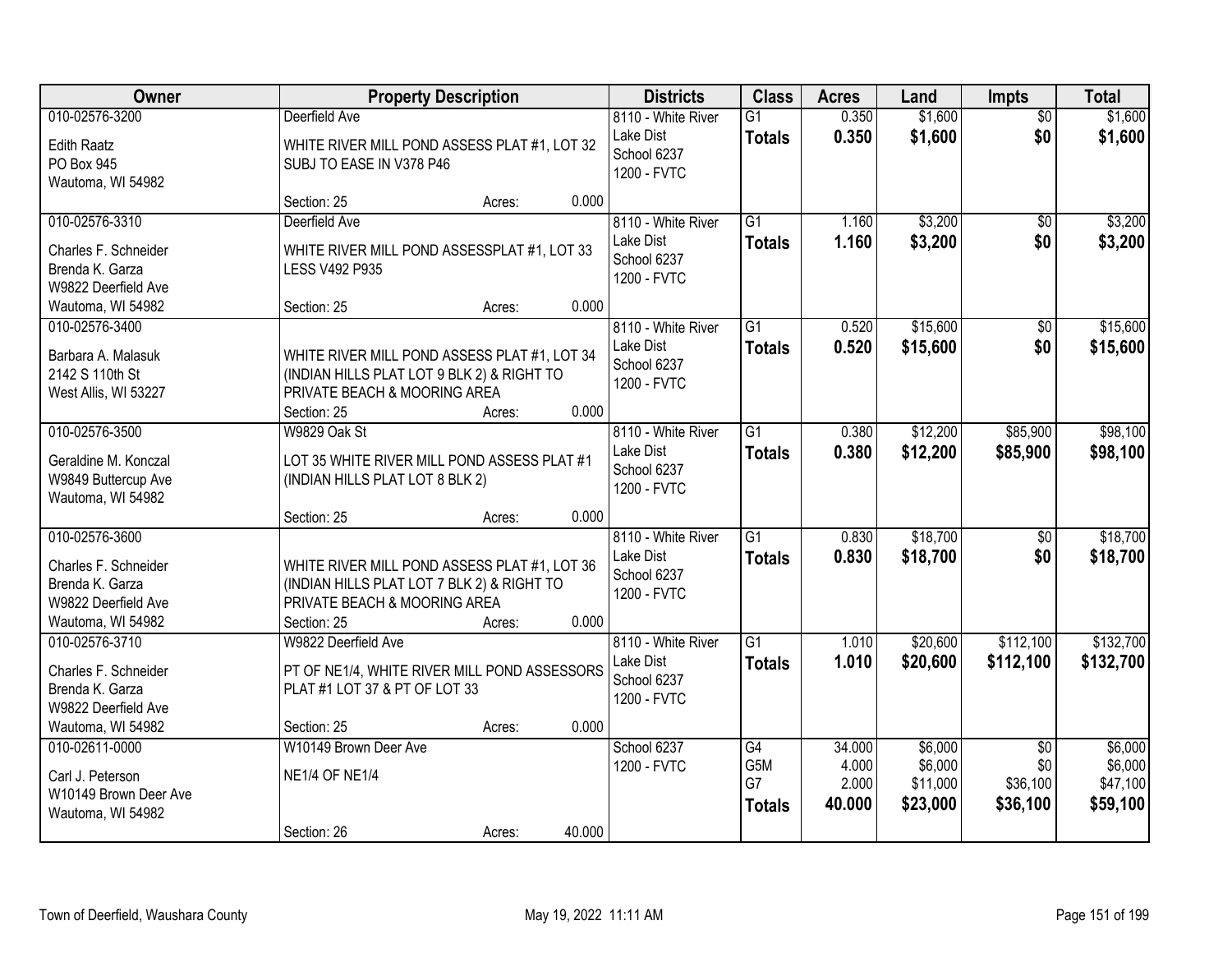| Owner                                  |                                                                                            | <b>Property Description</b> |        | <b>Districts</b>         | <b>Class</b>    | <b>Acres</b>   | Land                | <b>Impts</b>    | <b>Total</b>        |
|----------------------------------------|--------------------------------------------------------------------------------------------|-----------------------------|--------|--------------------------|-----------------|----------------|---------------------|-----------------|---------------------|
| 010-02576-3200                         | Deerfield Ave                                                                              |                             |        | 8110 - White River       | $\overline{G1}$ | 0.350          | \$1,600             | $\overline{50}$ | \$1,600             |
| <b>Edith Raatz</b>                     | WHITE RIVER MILL POND ASSESS PLAT #1, LOT 32                                               |                             |        | Lake Dist<br>School 6237 | <b>Totals</b>   | 0.350          | \$1,600             | \$0             | \$1,600             |
| PO Box 945                             | SUBJ TO EASE IN V378 P46                                                                   |                             |        | 1200 - FVTC              |                 |                |                     |                 |                     |
| Wautoma, WI 54982                      | Section: 25                                                                                | Acres:                      | 0.000  |                          |                 |                |                     |                 |                     |
| 010-02576-3310                         | Deerfield Ave                                                                              |                             |        | 8110 - White River       | $\overline{G1}$ | 1.160          | \$3,200             | $\overline{50}$ | \$3,200             |
|                                        |                                                                                            |                             |        | Lake Dist                | <b>Totals</b>   | 1.160          | \$3,200             | \$0             | \$3,200             |
| Charles F. Schneider                   | WHITE RIVER MILL POND ASSESSPLAT #1, LOT 33                                                |                             |        | School 6237              |                 |                |                     |                 |                     |
| Brenda K. Garza<br>W9822 Deerfield Ave | <b>LESS V492 P935</b>                                                                      |                             |        | 1200 - FVTC              |                 |                |                     |                 |                     |
| Wautoma, WI 54982                      | Section: 25                                                                                | Acres:                      | 0.000  |                          |                 |                |                     |                 |                     |
| 010-02576-3400                         |                                                                                            |                             |        | 8110 - White River       | $\overline{G1}$ | 0.520          | \$15,600            | \$0             | \$15,600            |
|                                        |                                                                                            |                             |        | Lake Dist                | <b>Totals</b>   | 0.520          | \$15,600            | \$0             | \$15,600            |
| Barbara A. Malasuk<br>2142 S 110th St  | WHITE RIVER MILL POND ASSESS PLAT #1, LOT 34<br>(INDIAN HILLS PLAT LOT 9 BLK 2) & RIGHT TO |                             |        | School 6237              |                 |                |                     |                 |                     |
| West Allis, WI 53227                   | PRIVATE BEACH & MOORING AREA                                                               |                             |        | 1200 - FVTC              |                 |                |                     |                 |                     |
|                                        | Section: 25                                                                                | Acres:                      | 0.000  |                          |                 |                |                     |                 |                     |
| 010-02576-3500                         | <b>W9829 Oak St</b>                                                                        |                             |        | 8110 - White River       | $\overline{G1}$ | 0.380          | \$12,200            | \$85,900        | \$98,100            |
| Geraldine M. Konczal                   | LOT 35 WHITE RIVER MILL POND ASSESS PLAT #1                                                |                             |        | Lake Dist                | <b>Totals</b>   | 0.380          | \$12,200            | \$85,900        | \$98,100            |
| W9849 Buttercup Ave                    | (INDIAN HILLS PLAT LOT 8 BLK 2)                                                            |                             |        | School 6237              |                 |                |                     |                 |                     |
| Wautoma, WI 54982                      |                                                                                            |                             |        | 1200 - FVTC              |                 |                |                     |                 |                     |
|                                        | Section: 25                                                                                | Acres:                      | 0.000  |                          |                 |                |                     |                 |                     |
| 010-02576-3600                         |                                                                                            |                             |        | 8110 - White River       | $\overline{G1}$ | 0.830          | \$18,700            | \$0             | \$18,700            |
| Charles F. Schneider                   | WHITE RIVER MILL POND ASSESS PLAT #1, LOT 36                                               |                             |        | Lake Dist                | <b>Totals</b>   | 0.830          | \$18,700            | \$0             | \$18,700            |
| Brenda K. Garza                        | (INDIAN HILLS PLAT LOT 7 BLK 2) & RIGHT TO                                                 |                             |        | School 6237              |                 |                |                     |                 |                     |
| W9822 Deerfield Ave                    | PRIVATE BEACH & MOORING AREA                                                               |                             |        | 1200 - FVTC              |                 |                |                     |                 |                     |
| Wautoma, WI 54982                      | Section: 25                                                                                | Acres:                      | 0.000  |                          |                 |                |                     |                 |                     |
| 010-02576-3710                         | W9822 Deerfield Ave                                                                        |                             |        | 8110 - White River       | $\overline{G1}$ | 1.010          | \$20,600            | \$112,100       | \$132,700           |
| Charles F. Schneider                   | PT OF NE1/4, WHITE RIVER MILL POND ASSESSORS                                               |                             |        | Lake Dist                | <b>Totals</b>   | 1.010          | \$20,600            | \$112,100       | \$132,700           |
| Brenda K. Garza                        | PLAT #1 LOT 37 & PT OF LOT 33                                                              |                             |        | School 6237              |                 |                |                     |                 |                     |
| W9822 Deerfield Ave                    |                                                                                            |                             |        | 1200 - FVTC              |                 |                |                     |                 |                     |
| Wautoma, WI 54982                      | Section: 25                                                                                | Acres:                      | 0.000  |                          |                 |                |                     |                 |                     |
| 010-02611-0000                         | W10149 Brown Deer Ave                                                                      |                             |        | School 6237              | $\overline{G4}$ | 34.000         | \$6,000             | $\overline{50}$ | \$6,000             |
| Carl J. Peterson                       | <b>NE1/4 OF NE1/4</b>                                                                      |                             |        | 1200 - FVTC              | G5M<br>G7       | 4.000<br>2.000 | \$6,000<br>\$11,000 | \$0<br>\$36,100 | \$6,000<br>\$47,100 |
| W10149 Brown Deer Ave                  |                                                                                            |                             |        |                          |                 | 40.000         | \$23,000            | \$36,100        | \$59,100            |
| Wautoma, WI 54982                      |                                                                                            |                             |        |                          | <b>Totals</b>   |                |                     |                 |                     |
|                                        | Section: 26                                                                                | Acres:                      | 40.000 |                          |                 |                |                     |                 |                     |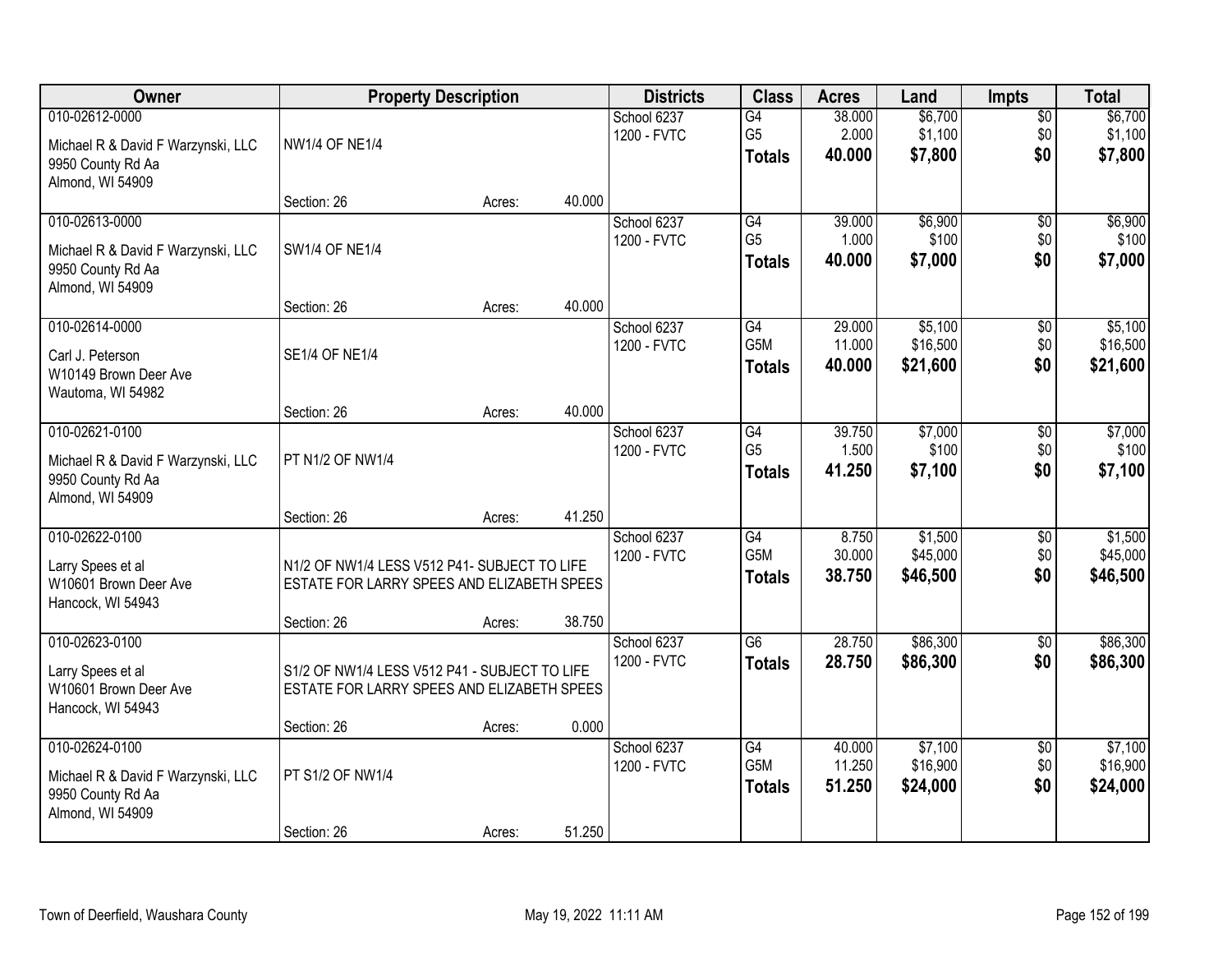| Owner                                                                                         |                                                                                                           | <b>Property Description</b> |        | <b>Districts</b>           | <b>Class</b>                                         | <b>Acres</b>               | Land                            | <b>Impts</b>                  | <b>Total</b>                    |
|-----------------------------------------------------------------------------------------------|-----------------------------------------------------------------------------------------------------------|-----------------------------|--------|----------------------------|------------------------------------------------------|----------------------------|---------------------------------|-------------------------------|---------------------------------|
| 010-02612-0000<br>Michael R & David F Warzynski, LLC<br>9950 County Rd Aa                     | <b>NW1/4 OF NE1/4</b>                                                                                     |                             |        | School 6237<br>1200 - FVTC | $\overline{G4}$<br>G <sub>5</sub><br><b>Totals</b>   | 38.000<br>2.000<br>40.000  | \$6,700<br>\$1,100<br>\$7,800   | \$0<br>\$0<br>\$0             | \$6,700<br>\$1,100<br>\$7,800   |
| Almond, WI 54909                                                                              | Section: 26                                                                                               | Acres:                      | 40.000 |                            |                                                      |                            |                                 |                               |                                 |
| 010-02613-0000<br>Michael R & David F Warzynski, LLC<br>9950 County Rd Aa<br>Almond, WI 54909 | <b>SW1/4 OF NE1/4</b>                                                                                     |                             |        | School 6237<br>1200 - FVTC | G4<br>G <sub>5</sub><br><b>Totals</b>                | 39.000<br>1.000<br>40,000  | \$6,900<br>\$100<br>\$7,000     | $\overline{50}$<br>\$0<br>\$0 | \$6,900<br>\$100<br>\$7,000     |
|                                                                                               | Section: 26                                                                                               | Acres:                      | 40.000 |                            |                                                      |                            |                                 |                               |                                 |
| 010-02614-0000<br>Carl J. Peterson<br>W10149 Brown Deer Ave<br>Wautoma, WI 54982              | <b>SE1/4 OF NE1/4</b>                                                                                     |                             |        | School 6237<br>1200 - FVTC | G4<br>G5M<br><b>Totals</b>                           | 29.000<br>11.000<br>40.000 | \$5,100<br>\$16,500<br>\$21,600 | \$0<br>\$0<br>\$0             | \$5,100<br>\$16,500<br>\$21,600 |
|                                                                                               | Section: 26                                                                                               | Acres:                      | 40.000 |                            |                                                      |                            |                                 |                               |                                 |
| 010-02621-0100<br>Michael R & David F Warzynski, LLC<br>9950 County Rd Aa<br>Almond, WI 54909 | PT N1/2 OF NW1/4                                                                                          |                             |        | School 6237<br>1200 - FVTC | G4<br>G <sub>5</sub><br><b>Totals</b>                | 39.750<br>1.500<br>41.250  | \$7,000<br>\$100<br>\$7,100     | $\sqrt[6]{3}$<br>\$0<br>\$0   | \$7,000<br>\$100<br>\$7,100     |
|                                                                                               | Section: 26                                                                                               | Acres:                      | 41.250 |                            |                                                      |                            |                                 |                               |                                 |
| 010-02622-0100<br>Larry Spees et al<br>W10601 Brown Deer Ave<br>Hancock, WI 54943             | N1/2 OF NW1/4 LESS V512 P41- SUBJECT TO LIFE<br>ESTATE FOR LARRY SPEES AND ELIZABETH SPEES<br>Section: 26 | Acres:                      | 38.750 | School 6237<br>1200 - FVTC | $\overline{G4}$<br>G <sub>5</sub> M<br><b>Totals</b> | 8.750<br>30.000<br>38.750  | \$1,500<br>\$45,000<br>\$46,500 | $\overline{50}$<br>\$0<br>\$0 | \$1,500<br>\$45,000<br>\$46,500 |
| 010-02623-0100<br>Larry Spees et al<br>W10601 Brown Deer Ave                                  | S1/2 OF NW1/4 LESS V512 P41 - SUBJECT TO LIFE<br>ESTATE FOR LARRY SPEES AND ELIZABETH SPEES               |                             |        | School 6237<br>1200 - FVTC | $\overline{G6}$<br><b>Totals</b>                     | 28.750<br>28.750           | \$86,300<br>\$86,300            | $\overline{50}$<br>\$0        | \$86,300<br>\$86,300            |
| Hancock, WI 54943                                                                             | Section: 26                                                                                               | Acres:                      | 0.000  |                            |                                                      |                            |                                 |                               |                                 |
| 010-02624-0100<br>Michael R & David F Warzynski, LLC<br>9950 County Rd Aa<br>Almond, WI 54909 | PT S1/2 OF NW1/4                                                                                          |                             |        | School 6237<br>1200 - FVTC | $\overline{G4}$<br>G5M<br><b>Totals</b>              | 40.000<br>11.250<br>51.250 | \$7,100<br>\$16,900<br>\$24,000 | $\overline{50}$<br>\$0<br>\$0 | \$7,100<br>\$16,900<br>\$24,000 |
|                                                                                               | Section: 26                                                                                               | Acres:                      | 51.250 |                            |                                                      |                            |                                 |                               |                                 |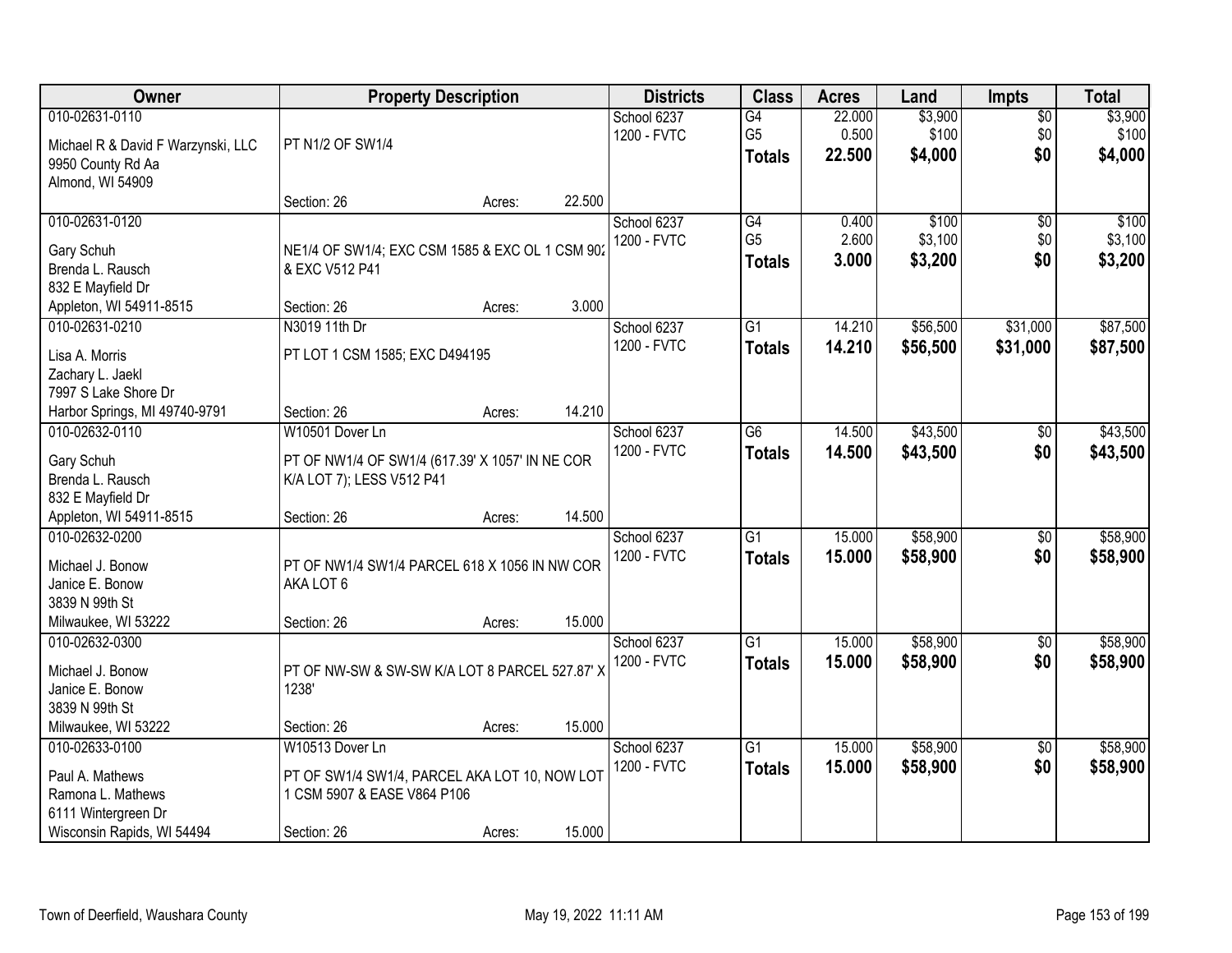| Owner                                        |                                                 | <b>Property Description</b> |        | <b>Districts</b> | <b>Class</b>    | <b>Acres</b> | Land     | <b>Impts</b>    | <b>Total</b> |
|----------------------------------------------|-------------------------------------------------|-----------------------------|--------|------------------|-----------------|--------------|----------|-----------------|--------------|
| 010-02631-0110                               |                                                 |                             |        | School 6237      | $\overline{G4}$ | 22.000       | \$3,900  | $\overline{50}$ | \$3,900      |
| Michael R & David F Warzynski, LLC           | PT N1/2 OF SW1/4                                |                             |        | 1200 - FVTC      | G <sub>5</sub>  | 0.500        | \$100    | \$0             | \$100        |
| 9950 County Rd Aa                            |                                                 |                             |        |                  | <b>Totals</b>   | 22.500       | \$4,000  | \$0             | \$4,000      |
| Almond, WI 54909                             |                                                 |                             |        |                  |                 |              |          |                 |              |
|                                              | Section: 26                                     | Acres:                      | 22.500 |                  |                 |              |          |                 |              |
| 010-02631-0120                               |                                                 |                             |        | School 6237      | G4              | 0.400        | \$100    | $\overline{50}$ | \$100        |
| Gary Schuh                                   | NE1/4 OF SW1/4; EXC CSM 1585 & EXC OL 1 CSM 902 |                             |        | 1200 - FVTC      | G <sub>5</sub>  | 2.600        | \$3,100  | \$0             | \$3,100      |
| Brenda L. Rausch                             | & EXC V512 P41                                  |                             |        |                  | <b>Totals</b>   | 3.000        | \$3,200  | \$0             | \$3,200      |
| 832 E Mayfield Dr                            |                                                 |                             |        |                  |                 |              |          |                 |              |
| Appleton, WI 54911-8515                      | Section: 26                                     | Acres:                      | 3.000  |                  |                 |              |          |                 |              |
| 010-02631-0210                               | N3019 11th Dr                                   |                             |        | School 6237      | G1              | 14.210       | \$56,500 | \$31,000        | \$87,500     |
| Lisa A. Morris                               | PT LOT 1 CSM 1585; EXC D494195                  |                             |        | 1200 - FVTC      | <b>Totals</b>   | 14.210       | \$56,500 | \$31,000        | \$87,500     |
| Zachary L. Jaekl                             |                                                 |                             |        |                  |                 |              |          |                 |              |
| 7997 S Lake Shore Dr                         |                                                 |                             |        |                  |                 |              |          |                 |              |
| Harbor Springs, MI 49740-9791                | Section: 26                                     | Acres:                      | 14.210 |                  |                 |              |          |                 |              |
| 010-02632-0110                               | W10501 Dover Ln                                 |                             |        | School 6237      | $\overline{G6}$ | 14.500       | \$43,500 | $\frac{1}{20}$  | \$43,500     |
|                                              |                                                 |                             |        | 1200 - FVTC      | <b>Totals</b>   | 14.500       | \$43,500 | \$0             | \$43,500     |
| Gary Schuh                                   | PT OF NW1/4 OF SW1/4 (617.39' X 1057' IN NE COR |                             |        |                  |                 |              |          |                 |              |
| Brenda L. Rausch                             | K/A LOT 7); LESS V512 P41                       |                             |        |                  |                 |              |          |                 |              |
| 832 E Mayfield Dr<br>Appleton, WI 54911-8515 | Section: 26                                     | Acres:                      | 14.500 |                  |                 |              |          |                 |              |
| 010-02632-0200                               |                                                 |                             |        | School 6237      | $\overline{G1}$ | 15.000       | \$58,900 | $\overline{60}$ | \$58,900     |
|                                              |                                                 |                             |        | 1200 - FVTC      | <b>Totals</b>   | 15,000       | \$58,900 | \$0             | \$58,900     |
| Michael J. Bonow                             | PT OF NW1/4 SW1/4 PARCEL 618 X 1056 IN NW COR   |                             |        |                  |                 |              |          |                 |              |
| Janice E. Bonow                              | AKA LOT 6                                       |                             |        |                  |                 |              |          |                 |              |
| 3839 N 99th St                               |                                                 |                             |        |                  |                 |              |          |                 |              |
| Milwaukee, WI 53222                          | Section: 26                                     | Acres:                      | 15.000 |                  |                 |              |          |                 |              |
| 010-02632-0300                               |                                                 |                             |        | School 6237      | $\overline{G1}$ | 15.000       | \$58,900 | $\sqrt{6}$      | \$58,900     |
| Michael J. Bonow                             | PT OF NW-SW & SW-SW K/A LOT 8 PARCEL 527.87' X  |                             |        | 1200 - FVTC      | <b>Totals</b>   | 15.000       | \$58,900 | \$0             | \$58,900     |
| Janice E. Bonow                              | 1238'                                           |                             |        |                  |                 |              |          |                 |              |
| 3839 N 99th St                               |                                                 |                             |        |                  |                 |              |          |                 |              |
| Milwaukee, WI 53222                          | Section: 26                                     | Acres:                      | 15.000 |                  |                 |              |          |                 |              |
| 010-02633-0100                               | W10513 Dover Ln                                 |                             |        | School 6237      | $\overline{G1}$ | 15.000       | \$58,900 | $\overline{30}$ | \$58,900     |
| Paul A. Mathews                              | PT OF SW1/4 SW1/4, PARCEL AKA LOT 10, NOW LOT   |                             |        | 1200 - FVTC      | <b>Totals</b>   | 15.000       | \$58,900 | \$0             | \$58,900     |
| Ramona L. Mathews                            | 1 CSM 5907 & EASE V864 P106                     |                             |        |                  |                 |              |          |                 |              |
| 6111 Wintergreen Dr                          |                                                 |                             |        |                  |                 |              |          |                 |              |
| Wisconsin Rapids, WI 54494                   | Section: 26                                     | Acres:                      | 15.000 |                  |                 |              |          |                 |              |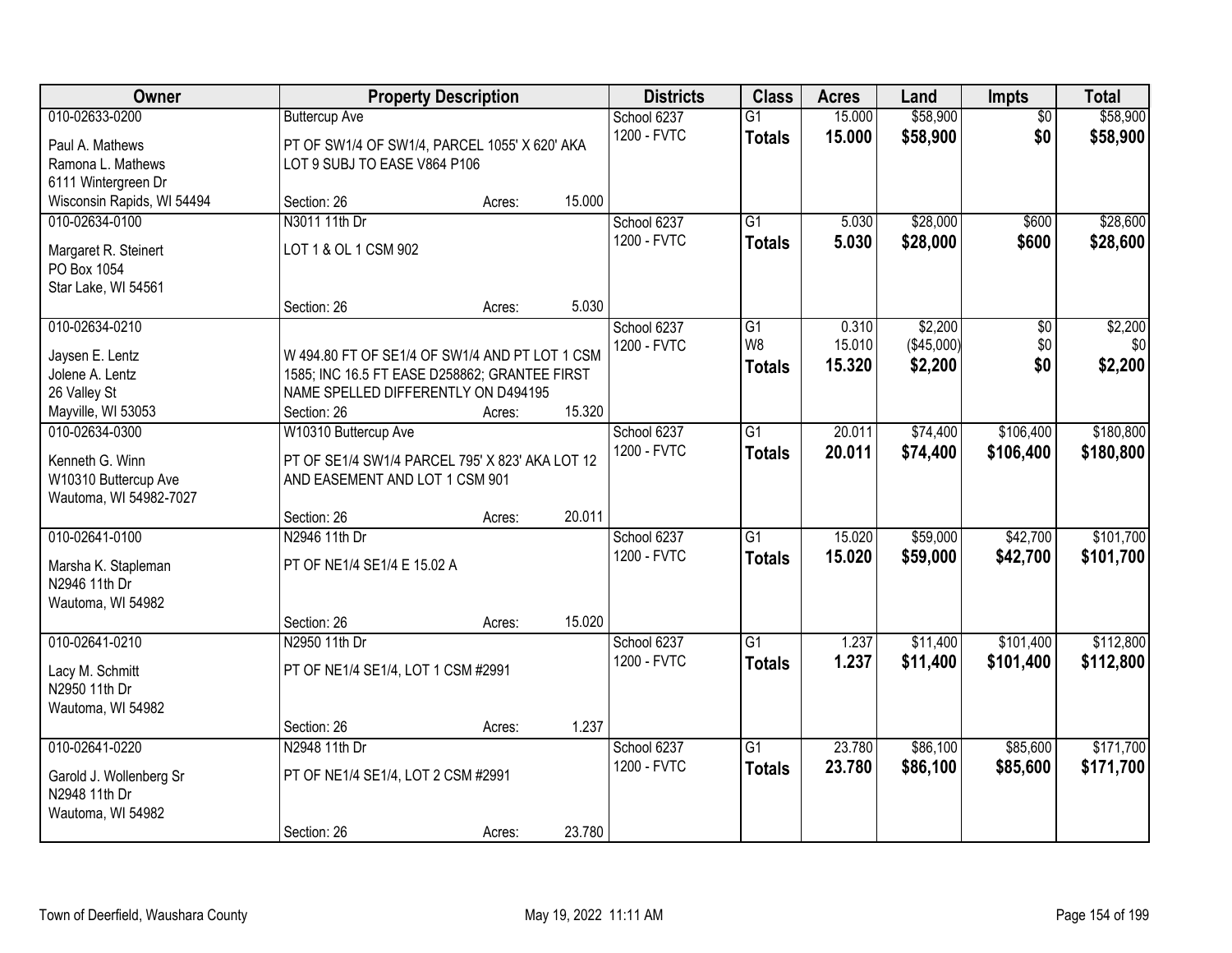| \$58,900<br>010-02633-0200<br>15.000<br><b>Buttercup Ave</b><br>School 6237<br>$\overline{G1}$<br>$\overline{50}$<br>\$58,900<br>\$0<br>1200 - FVTC<br>15.000<br>\$58,900<br><b>Totals</b><br>PT OF SW1/4 OF SW1/4, PARCEL 1055' X 620' AKA<br>Paul A. Mathews<br>Ramona L. Mathews<br>LOT 9 SUBJ TO EASE V864 P106<br>6111 Wintergreen Dr<br>15.000<br>Wisconsin Rapids, WI 54494<br>Section: 26<br>Acres:<br>$\overline{G1}$<br>\$28,000<br>010-02634-0100<br>N3011 11th Dr<br>School 6237<br>5.030<br>\$600<br>1200 - FVTC<br>5.030<br>\$28,000<br>\$600<br>\$28,600<br><b>Totals</b><br>LOT 1 & OL 1 CSM 902<br>Margaret R. Steinert<br>PO Box 1054<br>Star Lake, WI 54561<br>5.030<br>Section: 26<br>Acres:<br>\$2,200<br>010-02634-0210<br>School 6237<br>G1<br>0.310<br>\$0<br>W8<br>(\$45,000)<br>\$0<br>1200 - FVTC<br>15.010<br>W 494.80 FT OF SE1/4 OF SW1/4 AND PT LOT 1 CSM<br>Jaysen E. Lentz<br>15.320<br>\$2,200<br>\$0<br>\$2,200<br><b>Totals</b><br>Jolene A. Lentz<br>1585; INC 16.5 FT EASE D258862; GRANTEE FIRST<br>NAME SPELLED DIFFERENTLY ON D494195<br>26 Valley St<br>15.320<br>Mayville, WI 53053<br>Section: 26<br>Acres:<br>$\overline{G1}$<br>20.011<br>\$74,400<br>\$106,400<br>010-02634-0300<br>W10310 Buttercup Ave<br>School 6237<br>1200 - FVTC<br>20.011<br>\$74,400<br>\$106,400<br>\$180,800<br><b>Totals</b><br>Kenneth G. Winn<br>PT OF SE1/4 SW1/4 PARCEL 795' X 823' AKA LOT 12<br>W10310 Buttercup Ave<br>AND EASEMENT AND LOT 1 CSM 901<br>Wautoma, WI 54982-7027<br>20.011<br>Section: 26<br>Acres:<br>\$42,700<br>010-02641-0100<br>N2946 11th Dr<br>$\overline{G1}$<br>15.020<br>\$59,000<br>School 6237<br>1200 - FVTC<br>15.020<br>\$59,000<br>\$42,700<br><b>Totals</b><br>PT OF NE1/4 SE1/4 E 15.02 A<br>Marsha K. Stapleman<br>N2946 11th Dr<br>Wautoma, WI 54982<br>15.020<br>Section: 26<br>Acres:<br>010-02641-0210<br>$\overline{G1}$<br>\$101,400<br>School 6237<br>1.237<br>\$11,400<br>N2950 11th Dr<br>1200 - FVTC<br>1.237<br>\$11,400<br>\$101,400<br><b>Totals</b><br>PT OF NE1/4 SE1/4, LOT 1 CSM #2991<br>Lacy M. Schmitt<br>N2950 11th Dr<br>Wautoma, WI 54982<br>1.237<br>Section: 26<br>Acres:<br>010-02641-0220<br>N2948 11th Dr<br>23.780<br>\$86,100<br>\$85,600<br>School 6237<br>$\overline{G1}$<br>1200 - FVTC<br>23.780<br>\$85,600<br>\$86,100<br>\$171,700<br><b>Totals</b><br>PT OF NE1/4 SE1/4, LOT 2 CSM #2991<br>Garold J. Wollenberg Sr<br>N2948 11th Dr<br>Wautoma, WI 54982 | Owner |             | <b>Property Description</b> |        | <b>Districts</b> | <b>Class</b> | <b>Acres</b> | Land | <b>Impts</b> | <b>Total</b> |
|--------------------------------------------------------------------------------------------------------------------------------------------------------------------------------------------------------------------------------------------------------------------------------------------------------------------------------------------------------------------------------------------------------------------------------------------------------------------------------------------------------------------------------------------------------------------------------------------------------------------------------------------------------------------------------------------------------------------------------------------------------------------------------------------------------------------------------------------------------------------------------------------------------------------------------------------------------------------------------------------------------------------------------------------------------------------------------------------------------------------------------------------------------------------------------------------------------------------------------------------------------------------------------------------------------------------------------------------------------------------------------------------------------------------------------------------------------------------------------------------------------------------------------------------------------------------------------------------------------------------------------------------------------------------------------------------------------------------------------------------------------------------------------------------------------------------------------------------------------------------------------------------------------------------------------------------------------------------------------------------------------------------------------------------------------------------------------------------------------------------------------------------------------------------------------------------------------------------------------------------------------------------------------------------------------------------------------------------------------------------------------------------------------------------------------------------------------------------|-------|-------------|-----------------------------|--------|------------------|--------------|--------------|------|--------------|--------------|
|                                                                                                                                                                                                                                                                                                                                                                                                                                                                                                                                                                                                                                                                                                                                                                                                                                                                                                                                                                                                                                                                                                                                                                                                                                                                                                                                                                                                                                                                                                                                                                                                                                                                                                                                                                                                                                                                                                                                                                                                                                                                                                                                                                                                                                                                                                                                                                                                                                                                    |       |             |                             |        |                  |              |              |      |              | \$58,900     |
|                                                                                                                                                                                                                                                                                                                                                                                                                                                                                                                                                                                                                                                                                                                                                                                                                                                                                                                                                                                                                                                                                                                                                                                                                                                                                                                                                                                                                                                                                                                                                                                                                                                                                                                                                                                                                                                                                                                                                                                                                                                                                                                                                                                                                                                                                                                                                                                                                                                                    |       |             |                             |        |                  |              |              |      |              |              |
| \$28,600                                                                                                                                                                                                                                                                                                                                                                                                                                                                                                                                                                                                                                                                                                                                                                                                                                                                                                                                                                                                                                                                                                                                                                                                                                                                                                                                                                                                                                                                                                                                                                                                                                                                                                                                                                                                                                                                                                                                                                                                                                                                                                                                                                                                                                                                                                                                                                                                                                                           |       |             |                             |        |                  |              |              |      |              |              |
|                                                                                                                                                                                                                                                                                                                                                                                                                                                                                                                                                                                                                                                                                                                                                                                                                                                                                                                                                                                                                                                                                                                                                                                                                                                                                                                                                                                                                                                                                                                                                                                                                                                                                                                                                                                                                                                                                                                                                                                                                                                                                                                                                                                                                                                                                                                                                                                                                                                                    |       |             |                             |        |                  |              |              |      |              |              |
|                                                                                                                                                                                                                                                                                                                                                                                                                                                                                                                                                                                                                                                                                                                                                                                                                                                                                                                                                                                                                                                                                                                                                                                                                                                                                                                                                                                                                                                                                                                                                                                                                                                                                                                                                                                                                                                                                                                                                                                                                                                                                                                                                                                                                                                                                                                                                                                                                                                                    |       |             |                             |        |                  |              |              |      |              |              |
|                                                                                                                                                                                                                                                                                                                                                                                                                                                                                                                                                                                                                                                                                                                                                                                                                                                                                                                                                                                                                                                                                                                                                                                                                                                                                                                                                                                                                                                                                                                                                                                                                                                                                                                                                                                                                                                                                                                                                                                                                                                                                                                                                                                                                                                                                                                                                                                                                                                                    |       |             |                             |        |                  |              |              |      |              |              |
|                                                                                                                                                                                                                                                                                                                                                                                                                                                                                                                                                                                                                                                                                                                                                                                                                                                                                                                                                                                                                                                                                                                                                                                                                                                                                                                                                                                                                                                                                                                                                                                                                                                                                                                                                                                                                                                                                                                                                                                                                                                                                                                                                                                                                                                                                                                                                                                                                                                                    |       |             |                             |        |                  |              |              |      |              |              |
| \$2,200<br>\$0<br>\$180,800<br>\$101,700<br>\$101,700<br>\$112,800<br>\$112,800<br>\$171,700                                                                                                                                                                                                                                                                                                                                                                                                                                                                                                                                                                                                                                                                                                                                                                                                                                                                                                                                                                                                                                                                                                                                                                                                                                                                                                                                                                                                                                                                                                                                                                                                                                                                                                                                                                                                                                                                                                                                                                                                                                                                                                                                                                                                                                                                                                                                                                       |       |             |                             |        |                  |              |              |      |              |              |
|                                                                                                                                                                                                                                                                                                                                                                                                                                                                                                                                                                                                                                                                                                                                                                                                                                                                                                                                                                                                                                                                                                                                                                                                                                                                                                                                                                                                                                                                                                                                                                                                                                                                                                                                                                                                                                                                                                                                                                                                                                                                                                                                                                                                                                                                                                                                                                                                                                                                    |       |             |                             |        |                  |              |              |      |              |              |
|                                                                                                                                                                                                                                                                                                                                                                                                                                                                                                                                                                                                                                                                                                                                                                                                                                                                                                                                                                                                                                                                                                                                                                                                                                                                                                                                                                                                                                                                                                                                                                                                                                                                                                                                                                                                                                                                                                                                                                                                                                                                                                                                                                                                                                                                                                                                                                                                                                                                    |       |             |                             |        |                  |              |              |      |              |              |
|                                                                                                                                                                                                                                                                                                                                                                                                                                                                                                                                                                                                                                                                                                                                                                                                                                                                                                                                                                                                                                                                                                                                                                                                                                                                                                                                                                                                                                                                                                                                                                                                                                                                                                                                                                                                                                                                                                                                                                                                                                                                                                                                                                                                                                                                                                                                                                                                                                                                    |       |             |                             |        |                  |              |              |      |              |              |
|                                                                                                                                                                                                                                                                                                                                                                                                                                                                                                                                                                                                                                                                                                                                                                                                                                                                                                                                                                                                                                                                                                                                                                                                                                                                                                                                                                                                                                                                                                                                                                                                                                                                                                                                                                                                                                                                                                                                                                                                                                                                                                                                                                                                                                                                                                                                                                                                                                                                    |       |             |                             |        |                  |              |              |      |              |              |
|                                                                                                                                                                                                                                                                                                                                                                                                                                                                                                                                                                                                                                                                                                                                                                                                                                                                                                                                                                                                                                                                                                                                                                                                                                                                                                                                                                                                                                                                                                                                                                                                                                                                                                                                                                                                                                                                                                                                                                                                                                                                                                                                                                                                                                                                                                                                                                                                                                                                    |       |             |                             |        |                  |              |              |      |              |              |
|                                                                                                                                                                                                                                                                                                                                                                                                                                                                                                                                                                                                                                                                                                                                                                                                                                                                                                                                                                                                                                                                                                                                                                                                                                                                                                                                                                                                                                                                                                                                                                                                                                                                                                                                                                                                                                                                                                                                                                                                                                                                                                                                                                                                                                                                                                                                                                                                                                                                    |       |             |                             |        |                  |              |              |      |              |              |
|                                                                                                                                                                                                                                                                                                                                                                                                                                                                                                                                                                                                                                                                                                                                                                                                                                                                                                                                                                                                                                                                                                                                                                                                                                                                                                                                                                                                                                                                                                                                                                                                                                                                                                                                                                                                                                                                                                                                                                                                                                                                                                                                                                                                                                                                                                                                                                                                                                                                    |       |             |                             |        |                  |              |              |      |              |              |
|                                                                                                                                                                                                                                                                                                                                                                                                                                                                                                                                                                                                                                                                                                                                                                                                                                                                                                                                                                                                                                                                                                                                                                                                                                                                                                                                                                                                                                                                                                                                                                                                                                                                                                                                                                                                                                                                                                                                                                                                                                                                                                                                                                                                                                                                                                                                                                                                                                                                    |       |             |                             |        |                  |              |              |      |              |              |
|                                                                                                                                                                                                                                                                                                                                                                                                                                                                                                                                                                                                                                                                                                                                                                                                                                                                                                                                                                                                                                                                                                                                                                                                                                                                                                                                                                                                                                                                                                                                                                                                                                                                                                                                                                                                                                                                                                                                                                                                                                                                                                                                                                                                                                                                                                                                                                                                                                                                    |       |             |                             |        |                  |              |              |      |              |              |
|                                                                                                                                                                                                                                                                                                                                                                                                                                                                                                                                                                                                                                                                                                                                                                                                                                                                                                                                                                                                                                                                                                                                                                                                                                                                                                                                                                                                                                                                                                                                                                                                                                                                                                                                                                                                                                                                                                                                                                                                                                                                                                                                                                                                                                                                                                                                                                                                                                                                    |       |             |                             |        |                  |              |              |      |              |              |
|                                                                                                                                                                                                                                                                                                                                                                                                                                                                                                                                                                                                                                                                                                                                                                                                                                                                                                                                                                                                                                                                                                                                                                                                                                                                                                                                                                                                                                                                                                                                                                                                                                                                                                                                                                                                                                                                                                                                                                                                                                                                                                                                                                                                                                                                                                                                                                                                                                                                    |       |             |                             |        |                  |              |              |      |              |              |
|                                                                                                                                                                                                                                                                                                                                                                                                                                                                                                                                                                                                                                                                                                                                                                                                                                                                                                                                                                                                                                                                                                                                                                                                                                                                                                                                                                                                                                                                                                                                                                                                                                                                                                                                                                                                                                                                                                                                                                                                                                                                                                                                                                                                                                                                                                                                                                                                                                                                    |       |             |                             |        |                  |              |              |      |              |              |
|                                                                                                                                                                                                                                                                                                                                                                                                                                                                                                                                                                                                                                                                                                                                                                                                                                                                                                                                                                                                                                                                                                                                                                                                                                                                                                                                                                                                                                                                                                                                                                                                                                                                                                                                                                                                                                                                                                                                                                                                                                                                                                                                                                                                                                                                                                                                                                                                                                                                    |       |             |                             |        |                  |              |              |      |              |              |
|                                                                                                                                                                                                                                                                                                                                                                                                                                                                                                                                                                                                                                                                                                                                                                                                                                                                                                                                                                                                                                                                                                                                                                                                                                                                                                                                                                                                                                                                                                                                                                                                                                                                                                                                                                                                                                                                                                                                                                                                                                                                                                                                                                                                                                                                                                                                                                                                                                                                    |       |             |                             |        |                  |              |              |      |              |              |
|                                                                                                                                                                                                                                                                                                                                                                                                                                                                                                                                                                                                                                                                                                                                                                                                                                                                                                                                                                                                                                                                                                                                                                                                                                                                                                                                                                                                                                                                                                                                                                                                                                                                                                                                                                                                                                                                                                                                                                                                                                                                                                                                                                                                                                                                                                                                                                                                                                                                    |       |             |                             |        |                  |              |              |      |              |              |
|                                                                                                                                                                                                                                                                                                                                                                                                                                                                                                                                                                                                                                                                                                                                                                                                                                                                                                                                                                                                                                                                                                                                                                                                                                                                                                                                                                                                                                                                                                                                                                                                                                                                                                                                                                                                                                                                                                                                                                                                                                                                                                                                                                                                                                                                                                                                                                                                                                                                    |       |             |                             |        |                  |              |              |      |              |              |
|                                                                                                                                                                                                                                                                                                                                                                                                                                                                                                                                                                                                                                                                                                                                                                                                                                                                                                                                                                                                                                                                                                                                                                                                                                                                                                                                                                                                                                                                                                                                                                                                                                                                                                                                                                                                                                                                                                                                                                                                                                                                                                                                                                                                                                                                                                                                                                                                                                                                    |       |             |                             |        |                  |              |              |      |              |              |
|                                                                                                                                                                                                                                                                                                                                                                                                                                                                                                                                                                                                                                                                                                                                                                                                                                                                                                                                                                                                                                                                                                                                                                                                                                                                                                                                                                                                                                                                                                                                                                                                                                                                                                                                                                                                                                                                                                                                                                                                                                                                                                                                                                                                                                                                                                                                                                                                                                                                    |       |             |                             |        |                  |              |              |      |              |              |
|                                                                                                                                                                                                                                                                                                                                                                                                                                                                                                                                                                                                                                                                                                                                                                                                                                                                                                                                                                                                                                                                                                                                                                                                                                                                                                                                                                                                                                                                                                                                                                                                                                                                                                                                                                                                                                                                                                                                                                                                                                                                                                                                                                                                                                                                                                                                                                                                                                                                    |       |             |                             |        |                  |              |              |      |              |              |
|                                                                                                                                                                                                                                                                                                                                                                                                                                                                                                                                                                                                                                                                                                                                                                                                                                                                                                                                                                                                                                                                                                                                                                                                                                                                                                                                                                                                                                                                                                                                                                                                                                                                                                                                                                                                                                                                                                                                                                                                                                                                                                                                                                                                                                                                                                                                                                                                                                                                    |       |             |                             |        |                  |              |              |      |              |              |
|                                                                                                                                                                                                                                                                                                                                                                                                                                                                                                                                                                                                                                                                                                                                                                                                                                                                                                                                                                                                                                                                                                                                                                                                                                                                                                                                                                                                                                                                                                                                                                                                                                                                                                                                                                                                                                                                                                                                                                                                                                                                                                                                                                                                                                                                                                                                                                                                                                                                    |       |             |                             |        |                  |              |              |      |              |              |
|                                                                                                                                                                                                                                                                                                                                                                                                                                                                                                                                                                                                                                                                                                                                                                                                                                                                                                                                                                                                                                                                                                                                                                                                                                                                                                                                                                                                                                                                                                                                                                                                                                                                                                                                                                                                                                                                                                                                                                                                                                                                                                                                                                                                                                                                                                                                                                                                                                                                    |       |             |                             |        |                  |              |              |      |              |              |
|                                                                                                                                                                                                                                                                                                                                                                                                                                                                                                                                                                                                                                                                                                                                                                                                                                                                                                                                                                                                                                                                                                                                                                                                                                                                                                                                                                                                                                                                                                                                                                                                                                                                                                                                                                                                                                                                                                                                                                                                                                                                                                                                                                                                                                                                                                                                                                                                                                                                    |       |             |                             |        |                  |              |              |      |              |              |
|                                                                                                                                                                                                                                                                                                                                                                                                                                                                                                                                                                                                                                                                                                                                                                                                                                                                                                                                                                                                                                                                                                                                                                                                                                                                                                                                                                                                                                                                                                                                                                                                                                                                                                                                                                                                                                                                                                                                                                                                                                                                                                                                                                                                                                                                                                                                                                                                                                                                    |       |             |                             |        |                  |              |              |      |              |              |
|                                                                                                                                                                                                                                                                                                                                                                                                                                                                                                                                                                                                                                                                                                                                                                                                                                                                                                                                                                                                                                                                                                                                                                                                                                                                                                                                                                                                                                                                                                                                                                                                                                                                                                                                                                                                                                                                                                                                                                                                                                                                                                                                                                                                                                                                                                                                                                                                                                                                    |       |             |                             |        |                  |              |              |      |              |              |
|                                                                                                                                                                                                                                                                                                                                                                                                                                                                                                                                                                                                                                                                                                                                                                                                                                                                                                                                                                                                                                                                                                                                                                                                                                                                                                                                                                                                                                                                                                                                                                                                                                                                                                                                                                                                                                                                                                                                                                                                                                                                                                                                                                                                                                                                                                                                                                                                                                                                    |       |             |                             |        |                  |              |              |      |              |              |
|                                                                                                                                                                                                                                                                                                                                                                                                                                                                                                                                                                                                                                                                                                                                                                                                                                                                                                                                                                                                                                                                                                                                                                                                                                                                                                                                                                                                                                                                                                                                                                                                                                                                                                                                                                                                                                                                                                                                                                                                                                                                                                                                                                                                                                                                                                                                                                                                                                                                    |       | Section: 26 | Acres:                      | 23.780 |                  |              |              |      |              |              |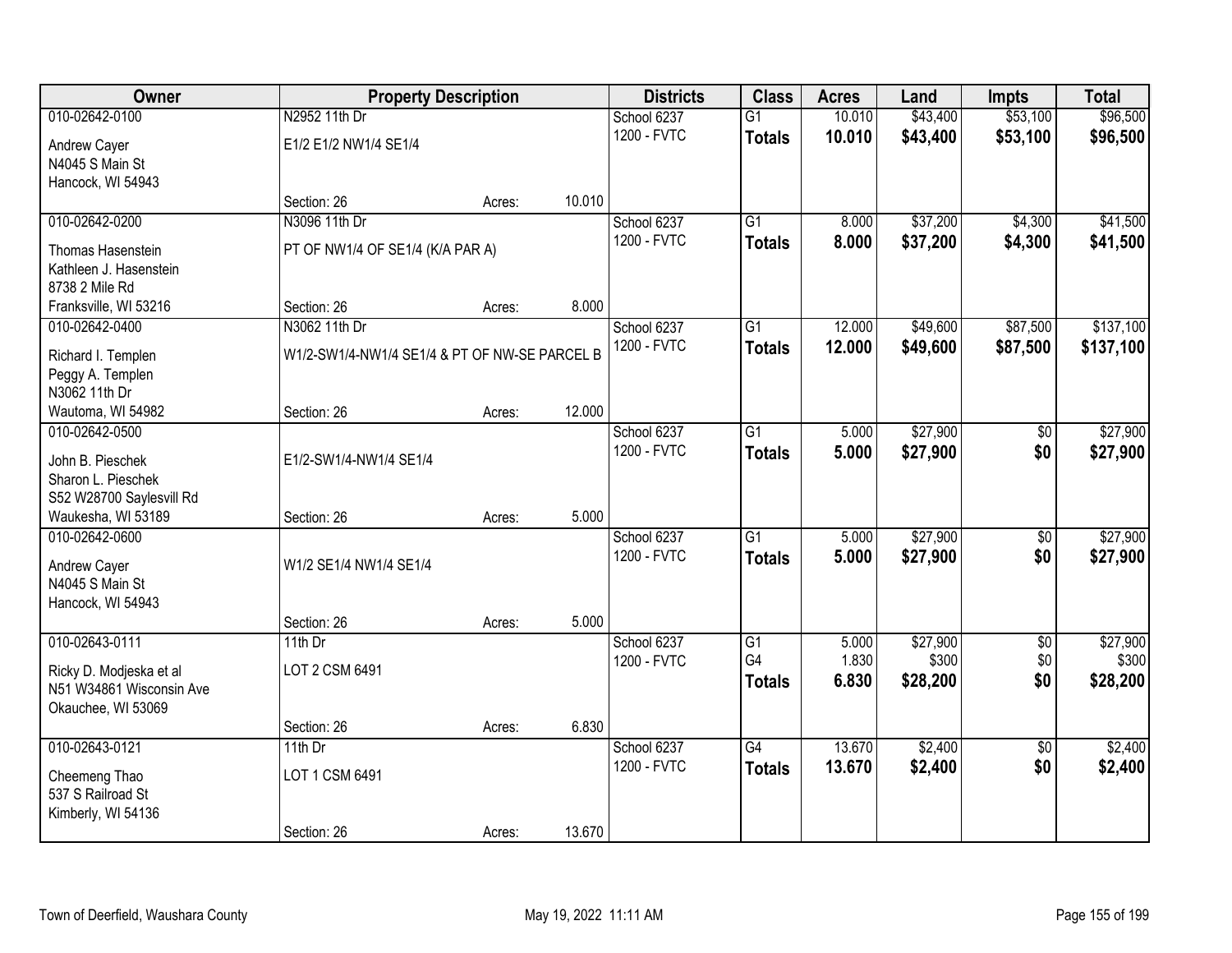| Owner                    | <b>Property Description</b>                   |        |        | <b>Districts</b> | <b>Class</b>    | <b>Acres</b> | Land     | <b>Impts</b>    | <b>Total</b> |
|--------------------------|-----------------------------------------------|--------|--------|------------------|-----------------|--------------|----------|-----------------|--------------|
| 010-02642-0100           | N2952 11th Dr                                 |        |        | School 6237      | $\overline{G1}$ | 10.010       | \$43,400 | \$53,100        | \$96,500     |
| Andrew Cayer             | E1/2 E1/2 NW1/4 SE1/4                         |        |        | 1200 - FVTC      | <b>Totals</b>   | 10.010       | \$43,400 | \$53,100        | \$96,500     |
| N4045 S Main St          |                                               |        |        |                  |                 |              |          |                 |              |
| Hancock, WI 54943        |                                               |        |        |                  |                 |              |          |                 |              |
|                          | Section: 26                                   | Acres: | 10.010 |                  |                 |              |          |                 |              |
| 010-02642-0200           | N3096 11th Dr                                 |        |        | School 6237      | $\overline{G1}$ | 8.000        | \$37,200 | \$4,300         | \$41,500     |
| Thomas Hasenstein        | PT OF NW1/4 OF SE1/4 (K/A PAR A)              |        |        | 1200 - FVTC      | <b>Totals</b>   | 8.000        | \$37,200 | \$4,300         | \$41,500     |
| Kathleen J. Hasenstein   |                                               |        |        |                  |                 |              |          |                 |              |
| 8738 2 Mile Rd           |                                               |        |        |                  |                 |              |          |                 |              |
| Franksville, WI 53216    | Section: 26                                   | Acres: | 8.000  |                  |                 |              |          |                 |              |
| 010-02642-0400           | N3062 11th Dr                                 |        |        | School 6237      | G1              | 12.000       | \$49,600 | \$87,500        | \$137,100    |
| Richard I. Templen       | W1/2-SW1/4-NW1/4 SE1/4 & PT OF NW-SE PARCEL B |        |        | 1200 - FVTC      | <b>Totals</b>   | 12.000       | \$49,600 | \$87,500        | \$137,100    |
| Peggy A. Templen         |                                               |        |        |                  |                 |              |          |                 |              |
| N3062 11th Dr            |                                               |        |        |                  |                 |              |          |                 |              |
| Wautoma, WI 54982        | Section: 26                                   | Acres: | 12.000 |                  |                 |              |          |                 |              |
| 010-02642-0500           |                                               |        |        | School 6237      | G1              | 5.000        | \$27,900 | $\sqrt[6]{}$    | \$27,900     |
| John B. Pieschek         | E1/2-SW1/4-NW1/4 SE1/4                        |        |        | 1200 - FVTC      | <b>Totals</b>   | 5.000        | \$27,900 | \$0             | \$27,900     |
| Sharon L. Pieschek       |                                               |        |        |                  |                 |              |          |                 |              |
| S52 W28700 Saylesvill Rd |                                               |        |        |                  |                 |              |          |                 |              |
| Waukesha, WI 53189       | Section: 26                                   | Acres: | 5.000  |                  |                 |              |          |                 |              |
| 010-02642-0600           |                                               |        |        | School 6237      | $\overline{G1}$ | 5.000        | \$27,900 | $\overline{50}$ | \$27,900     |
| Andrew Cayer             | W1/2 SE1/4 NW1/4 SE1/4                        |        |        | 1200 - FVTC      | <b>Totals</b>   | 5.000        | \$27,900 | \$0             | \$27,900     |
| N4045 S Main St          |                                               |        |        |                  |                 |              |          |                 |              |
| Hancock, WI 54943        |                                               |        |        |                  |                 |              |          |                 |              |
|                          | Section: 26                                   | Acres: | 5.000  |                  |                 |              |          |                 |              |
| 010-02643-0111           | 11th $Dr$                                     |        |        | School 6237      | $\overline{G1}$ | 5.000        | \$27,900 | $\overline{60}$ | \$27,900     |
| Ricky D. Modjeska et al  | LOT 2 CSM 6491                                |        |        | 1200 - FVTC      | G4              | 1.830        | \$300    | \$0             | \$300        |
| N51 W34861 Wisconsin Ave |                                               |        |        |                  | <b>Totals</b>   | 6.830        | \$28,200 | \$0             | \$28,200     |
| Okauchee, WI 53069       |                                               |        |        |                  |                 |              |          |                 |              |
|                          | Section: 26                                   | Acres: | 6.830  |                  |                 |              |          |                 |              |
| 010-02643-0121           | 11th $Dr$                                     |        |        | School 6237      | $\overline{G4}$ | 13.670       | \$2,400  | $\overline{50}$ | \$2,400      |
| Cheemeng Thao            | LOT 1 CSM 6491                                |        |        | 1200 - FVTC      | <b>Totals</b>   | 13.670       | \$2,400  | \$0             | \$2,400      |
| 537 S Railroad St        |                                               |        |        |                  |                 |              |          |                 |              |
| Kimberly, WI 54136       |                                               |        |        |                  |                 |              |          |                 |              |
|                          | Section: 26                                   | Acres: | 13.670 |                  |                 |              |          |                 |              |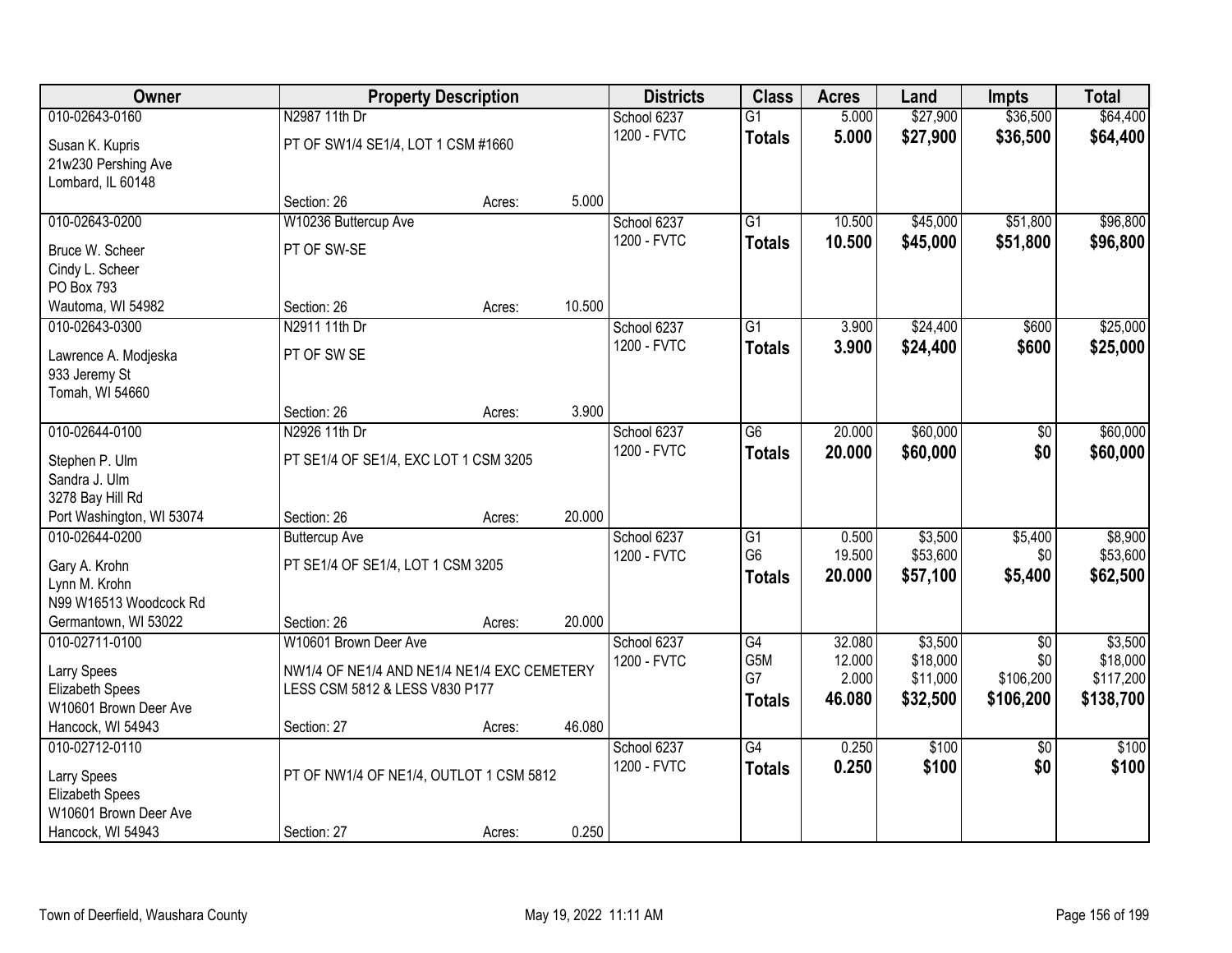| Owner                     |                                             | <b>Property Description</b> |        | <b>Districts</b> | <b>Class</b>    | <b>Acres</b> | Land     | <b>Impts</b>    | <b>Total</b> |
|---------------------------|---------------------------------------------|-----------------------------|--------|------------------|-----------------|--------------|----------|-----------------|--------------|
| 010-02643-0160            | N2987 11th Dr                               |                             |        | School 6237      | $\overline{G1}$ | 5.000        | \$27,900 | \$36,500        | \$64,400     |
| Susan K. Kupris           | PT OF SW1/4 SE1/4, LOT 1 CSM #1660          |                             |        | 1200 - FVTC      | <b>Totals</b>   | 5.000        | \$27,900 | \$36,500        | \$64,400     |
| 21w230 Pershing Ave       |                                             |                             |        |                  |                 |              |          |                 |              |
| Lombard, IL 60148         |                                             |                             |        |                  |                 |              |          |                 |              |
|                           | Section: 26                                 | Acres:                      | 5.000  |                  |                 |              |          |                 |              |
| 010-02643-0200            | W10236 Buttercup Ave                        |                             |        | School 6237      | $\overline{G1}$ | 10.500       | \$45,000 | \$51,800        | \$96,800     |
| Bruce W. Scheer           | PT OF SW-SE                                 |                             |        | 1200 - FVTC      | <b>Totals</b>   | 10.500       | \$45,000 | \$51,800        | \$96,800     |
| Cindy L. Scheer           |                                             |                             |        |                  |                 |              |          |                 |              |
| PO Box 793                |                                             |                             |        |                  |                 |              |          |                 |              |
| Wautoma, WI 54982         | Section: 26                                 | Acres:                      | 10.500 |                  |                 |              |          |                 |              |
| 010-02643-0300            | N2911 11th Dr                               |                             |        | School 6237      | G1              | 3.900        | \$24,400 | \$600           | \$25,000     |
| Lawrence A. Modjeska      | PT OF SW SE                                 |                             |        | 1200 - FVTC      | <b>Totals</b>   | 3.900        | \$24,400 | \$600           | \$25,000     |
| 933 Jeremy St             |                                             |                             |        |                  |                 |              |          |                 |              |
| Tomah, WI 54660           |                                             |                             |        |                  |                 |              |          |                 |              |
|                           | Section: 26                                 | Acres:                      | 3.900  |                  |                 |              |          |                 |              |
| 010-02644-0100            | N2926 11th Dr                               |                             |        | School 6237      | G <sub>6</sub>  | 20.000       | \$60,000 | $\sqrt[6]{}$    | \$60,000     |
| Stephen P. Ulm            | PT SE1/4 OF SE1/4, EXC LOT 1 CSM 3205       |                             |        | 1200 - FVTC      | <b>Totals</b>   | 20,000       | \$60,000 | \$0             | \$60,000     |
| Sandra J. Ulm             |                                             |                             |        |                  |                 |              |          |                 |              |
| 3278 Bay Hill Rd          |                                             |                             |        |                  |                 |              |          |                 |              |
| Port Washington, WI 53074 | Section: 26                                 | Acres:                      | 20.000 |                  |                 |              |          |                 |              |
| 010-02644-0200            | <b>Buttercup Ave</b>                        |                             |        | School 6237      | $\overline{G1}$ | 0.500        | \$3,500  | \$5,400         | \$8,900      |
| Gary A. Krohn             | PT SE1/4 OF SE1/4, LOT 1 CSM 3205           |                             |        | 1200 - FVTC      | G <sub>6</sub>  | 19.500       | \$53,600 | \$0             | \$53,600     |
| Lynn M. Krohn             |                                             |                             |        |                  | <b>Totals</b>   | 20.000       | \$57,100 | \$5,400         | \$62,500     |
| N99 W16513 Woodcock Rd    |                                             |                             |        |                  |                 |              |          |                 |              |
| Germantown, WI 53022      | Section: 26                                 | Acres:                      | 20.000 |                  |                 |              |          |                 |              |
| 010-02711-0100            | W10601 Brown Deer Ave                       |                             |        | School 6237      | G4              | 32.080       | \$3,500  | $\overline{50}$ | \$3,500      |
| <b>Larry Spees</b>        | NW1/4 OF NE1/4 AND NE1/4 NE1/4 EXC CEMETERY |                             |        | 1200 - FVTC      | G5M             | 12.000       | \$18,000 | \$0             | \$18,000     |
| Elizabeth Spees           | LESS CSM 5812 & LESS V830 P177              |                             |        |                  | G7              | 2.000        | \$11,000 | \$106,200       | \$117,200    |
| W10601 Brown Deer Ave     |                                             |                             |        |                  | <b>Totals</b>   | 46.080       | \$32,500 | \$106,200       | \$138,700    |
| Hancock, WI 54943         | Section: 27                                 | Acres:                      | 46.080 |                  |                 |              |          |                 |              |
| 010-02712-0110            |                                             |                             |        | School 6237      | G4              | 0.250        | \$100    | $\overline{50}$ | \$100        |
| <b>Larry Spees</b>        | PT OF NW1/4 OF NE1/4, OUTLOT 1 CSM 5812     |                             |        | 1200 - FVTC      | <b>Totals</b>   | 0.250        | \$100    | \$0             | \$100        |
| Elizabeth Spees           |                                             |                             |        |                  |                 |              |          |                 |              |
| W10601 Brown Deer Ave     |                                             |                             |        |                  |                 |              |          |                 |              |
| Hancock, WI 54943         | Section: 27                                 | Acres:                      | 0.250  |                  |                 |              |          |                 |              |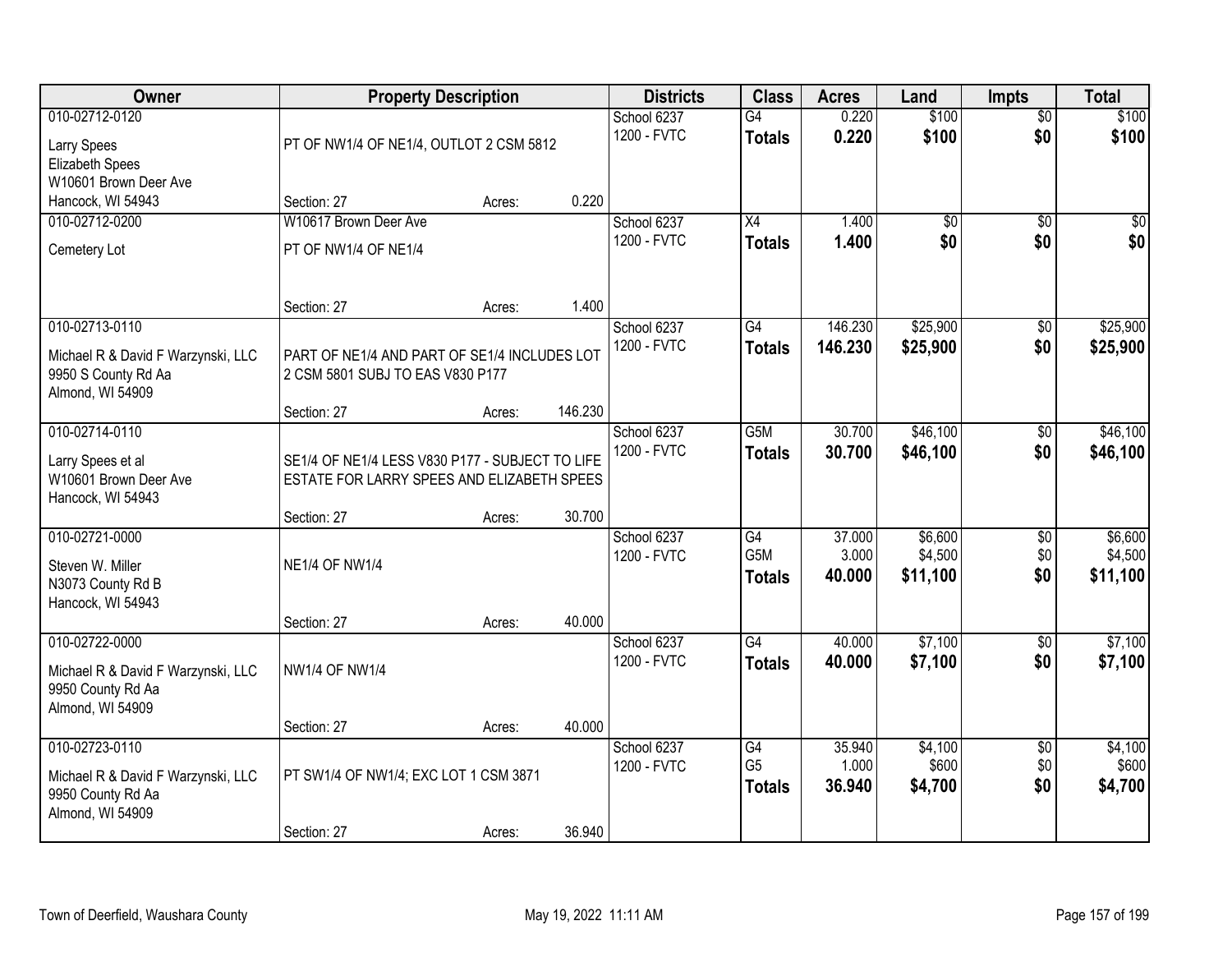| Owner                                                                                         | <b>Property Description</b>                                                                   |        |         | <b>Districts</b>           | <b>Class</b>                                         | <b>Acres</b>              | Land                           | <b>Impts</b>                  | <b>Total</b>                   |
|-----------------------------------------------------------------------------------------------|-----------------------------------------------------------------------------------------------|--------|---------|----------------------------|------------------------------------------------------|---------------------------|--------------------------------|-------------------------------|--------------------------------|
| 010-02712-0120<br><b>Larry Spees</b><br>Elizabeth Spees                                       | PT OF NW1/4 OF NE1/4, OUTLOT 2 CSM 5812                                                       |        |         | School 6237<br>1200 - FVTC | G4<br><b>Totals</b>                                  | 0.220<br>0.220            | \$100<br>\$100                 | $\overline{50}$<br>\$0        | \$100<br>\$100                 |
| W10601 Brown Deer Ave<br>Hancock, WI 54943                                                    | Section: 27                                                                                   | Acres: | 0.220   |                            |                                                      |                           |                                |                               |                                |
| 010-02712-0200                                                                                | W10617 Brown Deer Ave                                                                         |        |         | School 6237                | $\overline{X4}$                                      | 1.400                     | $\overline{50}$                | $\overline{50}$               | $\sqrt{50}$                    |
| Cemetery Lot                                                                                  | PT OF NW1/4 OF NE1/4                                                                          |        |         | 1200 - FVTC                | <b>Totals</b>                                        | 1.400                     | \$0                            | \$0                           | \$0                            |
|                                                                                               | Section: 27                                                                                   | Acres: | 1.400   |                            |                                                      |                           |                                |                               |                                |
| 010-02713-0110                                                                                |                                                                                               |        |         | School 6237                | G4                                                   | 146.230                   | \$25,900                       | \$0                           | \$25,900                       |
| Michael R & David F Warzynski, LLC<br>9950 S County Rd Aa<br>Almond, WI 54909                 | PART OF NE1/4 AND PART OF SE1/4 INCLUDES LOT<br>2 CSM 5801 SUBJ TO EAS V830 P177              |        |         | 1200 - FVTC                | <b>Totals</b>                                        | 146.230                   | \$25,900                       | \$0                           | \$25,900                       |
|                                                                                               | Section: 27                                                                                   | Acres: | 146.230 |                            |                                                      |                           |                                |                               |                                |
| 010-02714-0110<br>Larry Spees et al<br>W10601 Brown Deer Ave<br>Hancock, WI 54943             | SE1/4 OF NE1/4 LESS V830 P177 - SUBJECT TO LIFE<br>ESTATE FOR LARRY SPEES AND ELIZABETH SPEES |        |         | School 6237<br>1200 - FVTC | G <sub>5</sub> M<br><b>Totals</b>                    | 30.700<br>30.700          | \$46,100<br>\$46,100           | \$0<br>\$0                    | \$46,100<br>\$46,100           |
|                                                                                               | Section: 27                                                                                   | Acres: | 30.700  |                            |                                                      |                           |                                |                               |                                |
| 010-02721-0000<br>Steven W. Miller<br>N3073 County Rd B<br>Hancock, WI 54943                  | <b>NE1/4 OF NW1/4</b><br>Section: 27                                                          | Acres: | 40.000  | School 6237<br>1200 - FVTC | $\overline{G4}$<br>G <sub>5</sub> M<br><b>Totals</b> | 37.000<br>3.000<br>40.000 | \$6,600<br>\$4,500<br>\$11,100 | \$0<br>\$0<br>\$0             | \$6,600<br>\$4,500<br>\$11,100 |
| 010-02722-0000                                                                                |                                                                                               |        |         | School 6237                | $\overline{G4}$                                      | 40.000                    | \$7,100                        | $\overline{60}$               | \$7,100                        |
| Michael R & David F Warzynski, LLC<br>9950 County Rd Aa<br>Almond, WI 54909                   | <b>NW1/4 OF NW1/4</b>                                                                         |        |         | 1200 - FVTC                | <b>Totals</b>                                        | 40.000                    | \$7,100                        | \$0                           | \$7,100                        |
|                                                                                               | Section: 27                                                                                   | Acres: | 40.000  |                            |                                                      |                           |                                |                               |                                |
| 010-02723-0110<br>Michael R & David F Warzynski, LLC<br>9950 County Rd Aa<br>Almond, WI 54909 | PT SW1/4 OF NW1/4; EXC LOT 1 CSM 3871<br>Section: 27                                          | Acres: | 36.940  | School 6237<br>1200 - FVTC | G4<br>G <sub>5</sub><br><b>Totals</b>                | 35.940<br>1.000<br>36.940 | \$4,100<br>\$600<br>\$4,700    | $\overline{30}$<br>\$0<br>\$0 | \$4,100<br>\$600<br>\$4,700    |
|                                                                                               |                                                                                               |        |         |                            |                                                      |                           |                                |                               |                                |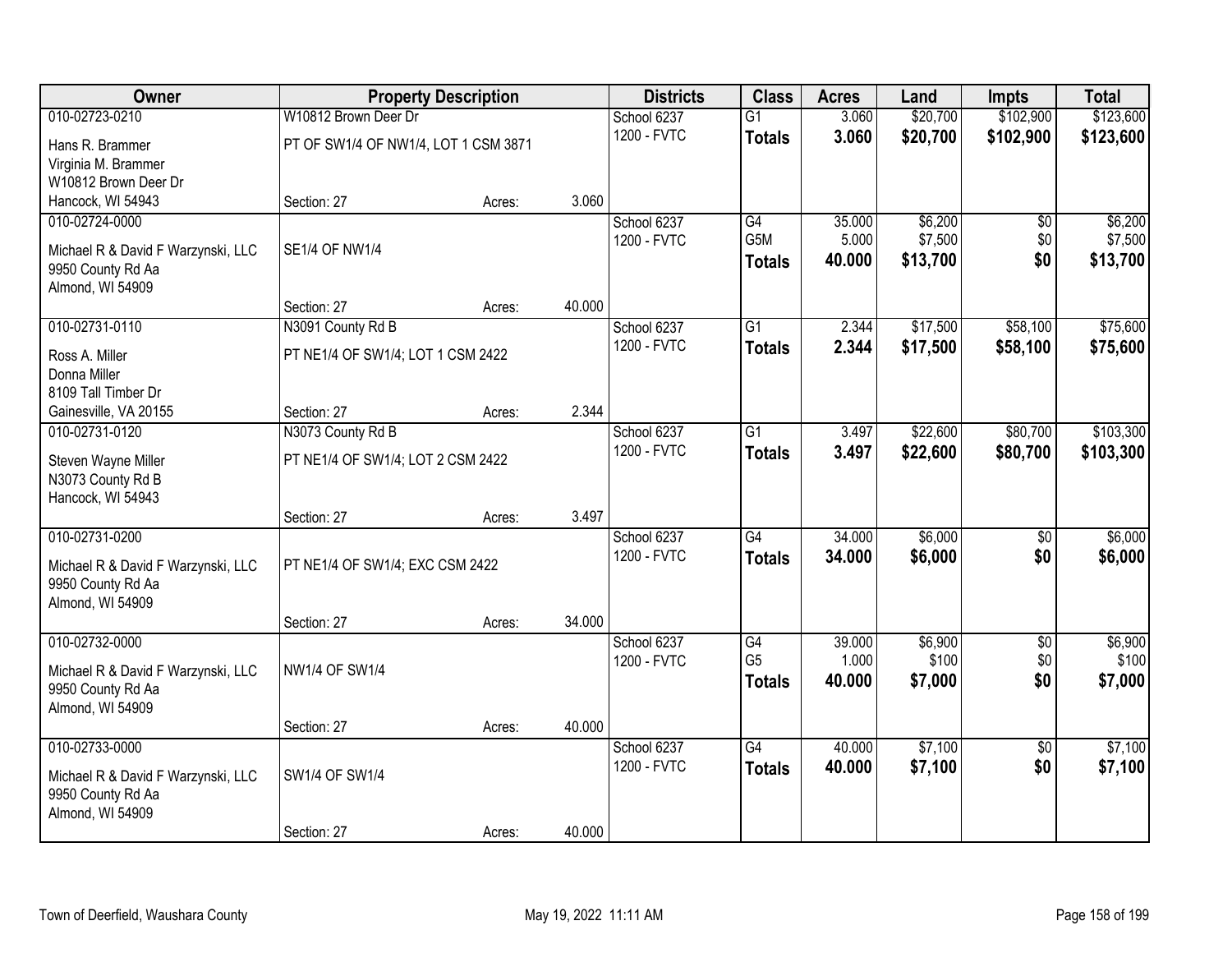| Owner                                                   |                                      | <b>Property Description</b> |        | <b>Districts</b> | <b>Class</b>     | <b>Acres</b> | Land     | <b>Impts</b>    | <b>Total</b> |
|---------------------------------------------------------|--------------------------------------|-----------------------------|--------|------------------|------------------|--------------|----------|-----------------|--------------|
| 010-02723-0210                                          | W10812 Brown Deer Dr                 |                             |        | School 6237      | $\overline{G1}$  | 3.060        | \$20,700 | \$102,900       | \$123,600    |
| Hans R. Brammer                                         | PT OF SW1/4 OF NW1/4, LOT 1 CSM 3871 |                             |        | 1200 - FVTC      | <b>Totals</b>    | 3.060        | \$20,700 | \$102,900       | \$123,600    |
| Virginia M. Brammer                                     |                                      |                             |        |                  |                  |              |          |                 |              |
| W10812 Brown Deer Dr                                    |                                      |                             |        |                  |                  |              |          |                 |              |
| Hancock, WI 54943                                       | Section: 27                          | Acres:                      | 3.060  |                  |                  |              |          |                 |              |
| 010-02724-0000                                          |                                      |                             |        | School 6237      | G4               | 35.000       | \$6,200  | \$0             | \$6,200      |
| Michael R & David F Warzynski, LLC                      | <b>SE1/4 OF NW1/4</b>                |                             |        | 1200 - FVTC      | G <sub>5</sub> M | 5.000        | \$7,500  | \$0             | \$7,500      |
| 9950 County Rd Aa                                       |                                      |                             |        |                  | <b>Totals</b>    | 40.000       | \$13,700 | \$0             | \$13,700     |
| Almond, WI 54909                                        |                                      |                             |        |                  |                  |              |          |                 |              |
|                                                         | Section: 27                          | Acres:                      | 40.000 |                  |                  |              |          |                 |              |
| 010-02731-0110                                          | N3091 County Rd B                    |                             |        | School 6237      | G1               | 2.344        | \$17,500 | \$58,100        | \$75,600     |
| Ross A. Miller                                          | PT NE1/4 OF SW1/4; LOT 1 CSM 2422    |                             |        | 1200 - FVTC      | <b>Totals</b>    | 2.344        | \$17,500 | \$58,100        | \$75,600     |
| Donna Miller                                            |                                      |                             |        |                  |                  |              |          |                 |              |
| 8109 Tall Timber Dr                                     |                                      |                             |        |                  |                  |              |          |                 |              |
| Gainesville, VA 20155                                   | Section: 27                          | Acres:                      | 2.344  |                  |                  |              |          |                 |              |
| 010-02731-0120                                          | N3073 County Rd B                    |                             |        | School 6237      | $\overline{G1}$  | 3.497        | \$22,600 | \$80,700        | \$103,300    |
| Steven Wayne Miller                                     | PT NE1/4 OF SW1/4; LOT 2 CSM 2422    |                             |        | 1200 - FVTC      | <b>Totals</b>    | 3.497        | \$22,600 | \$80,700        | \$103,300    |
| N3073 County Rd B                                       |                                      |                             |        |                  |                  |              |          |                 |              |
| Hancock, WI 54943                                       |                                      |                             |        |                  |                  |              |          |                 |              |
|                                                         | Section: 27                          | Acres:                      | 3.497  |                  |                  |              |          |                 |              |
| 010-02731-0200                                          |                                      |                             |        | School 6237      | $\overline{G4}$  | 34.000       | \$6,000  | $\overline{50}$ | \$6,000      |
| Michael R & David F Warzynski, LLC                      | PT NE1/4 OF SW1/4; EXC CSM 2422      |                             |        | 1200 - FVTC      | <b>Totals</b>    | 34.000       | \$6,000  | \$0             | \$6,000      |
| 9950 County Rd Aa                                       |                                      |                             |        |                  |                  |              |          |                 |              |
| Almond, WI 54909                                        |                                      |                             |        |                  |                  |              |          |                 |              |
|                                                         | Section: 27                          | Acres:                      | 34.000 |                  |                  |              |          |                 |              |
| 010-02732-0000                                          |                                      |                             |        | School 6237      | $\overline{G4}$  | 39.000       | \$6,900  | $\overline{60}$ | \$6,900      |
| Michael R & David F Warzynski, LLC                      | <b>NW1/4 OF SW1/4</b>                |                             |        | 1200 - FVTC      | G <sub>5</sub>   | 1.000        | \$100    | \$0             | \$100        |
| 9950 County Rd Aa                                       |                                      |                             |        |                  | <b>Totals</b>    | 40.000       | \$7,000  | \$0             | \$7,000      |
| Almond, WI 54909                                        |                                      |                             |        |                  |                  |              |          |                 |              |
|                                                         | Section: 27                          | Acres:                      | 40.000 |                  |                  |              |          |                 |              |
| 010-02733-0000                                          |                                      |                             |        | School 6237      | $\overline{G4}$  | 40.000       | \$7,100  | $\overline{50}$ | \$7,100      |
|                                                         | SW1/4 OF SW1/4                       |                             |        | 1200 - FVTC      | <b>Totals</b>    | 40.000       | \$7,100  | \$0             | \$7,100      |
| Michael R & David F Warzynski, LLC<br>9950 County Rd Aa |                                      |                             |        |                  |                  |              |          |                 |              |
| Almond, WI 54909                                        |                                      |                             |        |                  |                  |              |          |                 |              |
|                                                         | Section: 27                          | Acres:                      | 40.000 |                  |                  |              |          |                 |              |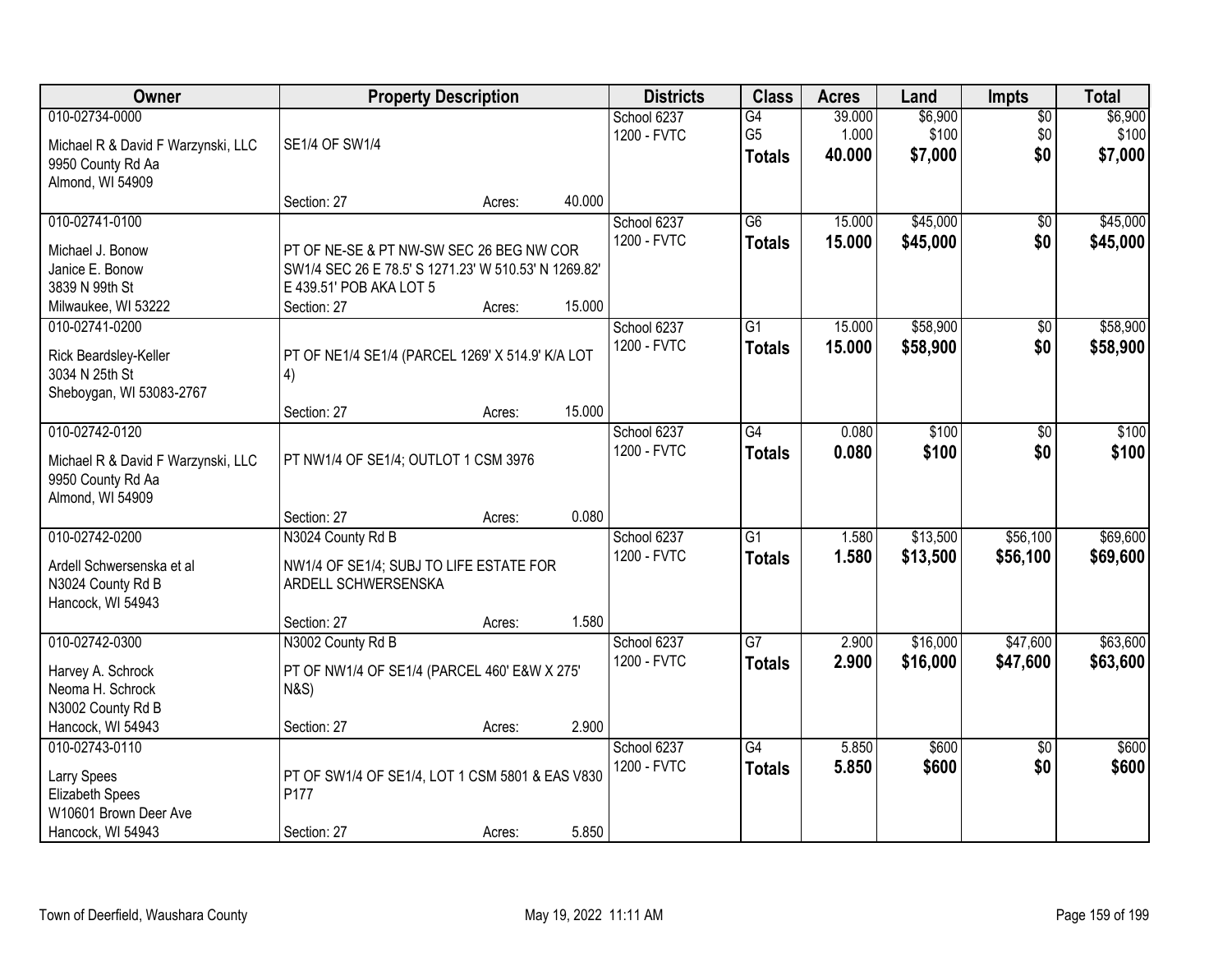| <b>Owner</b>                                            |                                                      | <b>Property Description</b> |        | <b>Districts</b>           | <b>Class</b>         | <b>Acres</b>    | Land             | <b>Impts</b>           | <b>Total</b>     |
|---------------------------------------------------------|------------------------------------------------------|-----------------------------|--------|----------------------------|----------------------|-----------------|------------------|------------------------|------------------|
| 010-02734-0000                                          |                                                      |                             |        | School 6237<br>1200 - FVTC | G4<br>G <sub>5</sub> | 39.000<br>1.000 | \$6,900<br>\$100 | $\overline{50}$<br>\$0 | \$6,900<br>\$100 |
| Michael R & David F Warzynski, LLC<br>9950 County Rd Aa | SE1/4 OF SW1/4                                       |                             |        |                            | <b>Totals</b>        | 40,000          | \$7,000          | \$0                    | \$7,000          |
| Almond, WI 54909                                        | Section: 27                                          | Acres:                      | 40.000 |                            |                      |                 |                  |                        |                  |
| 010-02741-0100                                          |                                                      |                             |        | School 6237                | $\overline{G6}$      | 15,000          | \$45,000         | \$0                    | \$45,000         |
| Michael J. Bonow                                        | PT OF NE-SE & PT NW-SW SEC 26 BEG NW COR             |                             |        | 1200 - FVTC                | <b>Totals</b>        | 15.000          | \$45,000         | \$0                    | \$45,000         |
| Janice E. Bonow                                         | SW1/4 SEC 26 E 78.5' S 1271.23' W 510.53' N 1269.82' |                             |        |                            |                      |                 |                  |                        |                  |
| 3839 N 99th St                                          | E 439.51' POB AKA LOT 5                              |                             |        |                            |                      |                 |                  |                        |                  |
| Milwaukee, WI 53222<br>010-02741-0200                   | Section: 27                                          | Acres:                      | 15.000 | School 6237                | $\overline{G1}$      | 15.000          | \$58,900         | $\overline{50}$        | \$58,900         |
|                                                         |                                                      |                             |        | 1200 - FVTC                | <b>Totals</b>        | 15.000          | \$58,900         | \$0                    | \$58,900         |
| Rick Beardsley-Keller                                   | PT OF NE1/4 SE1/4 (PARCEL 1269' X 514.9' K/A LOT     |                             |        |                            |                      |                 |                  |                        |                  |
| 3034 N 25th St<br>Sheboygan, WI 53083-2767              | 4)                                                   |                             |        |                            |                      |                 |                  |                        |                  |
|                                                         | Section: 27                                          | Acres:                      | 15.000 |                            |                      |                 |                  |                        |                  |
| 010-02742-0120                                          |                                                      |                             |        | School 6237                | $\overline{G4}$      | 0.080           | \$100            | \$0                    | \$100            |
| Michael R & David F Warzynski, LLC                      | PT NW1/4 OF SE1/4; OUTLOT 1 CSM 3976                 |                             |        | 1200 - FVTC                | <b>Totals</b>        | 0.080           | \$100            | \$0                    | \$100            |
| 9950 County Rd Aa                                       |                                                      |                             |        |                            |                      |                 |                  |                        |                  |
| Almond, WI 54909                                        |                                                      |                             | 0.080  |                            |                      |                 |                  |                        |                  |
| 010-02742-0200                                          | Section: 27<br>N3024 County Rd B                     | Acres:                      |        | School 6237                | $\overline{G1}$      | 1.580           | \$13,500         | \$56,100               | \$69,600         |
|                                                         |                                                      |                             |        | 1200 - FVTC                | <b>Totals</b>        | 1.580           | \$13,500         | \$56,100               | \$69,600         |
| Ardell Schwersenska et al                               | NW1/4 OF SE1/4; SUBJ TO LIFE ESTATE FOR              |                             |        |                            |                      |                 |                  |                        |                  |
| N3024 County Rd B<br>Hancock, WI 54943                  | ARDELL SCHWERSENSKA                                  |                             |        |                            |                      |                 |                  |                        |                  |
|                                                         | Section: 27                                          | Acres:                      | 1.580  |                            |                      |                 |                  |                        |                  |
| 010-02742-0300                                          | N3002 County Rd B                                    |                             |        | School 6237                | $\overline{G7}$      | 2.900           | \$16,000         | \$47,600               | \$63,600         |
| Harvey A. Schrock                                       | PT OF NW1/4 OF SE1/4 (PARCEL 460' E&W X 275'         |                             |        | 1200 - FVTC                | <b>Totals</b>        | 2.900           | \$16,000         | \$47,600               | \$63,600         |
| Neoma H. Schrock                                        | <b>N&amp;S)</b>                                      |                             |        |                            |                      |                 |                  |                        |                  |
| N3002 County Rd B                                       |                                                      |                             |        |                            |                      |                 |                  |                        |                  |
| Hancock, WI 54943<br>010-02743-0110                     | Section: 27                                          | Acres:                      | 2.900  | School 6237                | $\overline{G4}$      | 5.850           | \$600            | $\overline{30}$        | \$600            |
|                                                         |                                                      |                             |        | 1200 - FVTC                | <b>Totals</b>        | 5.850           | \$600            | \$0                    | \$600            |
| <b>Larry Spees</b>                                      | PT OF SW1/4 OF SE1/4, LOT 1 CSM 5801 & EAS V830      |                             |        |                            |                      |                 |                  |                        |                  |
| Elizabeth Spees<br>W10601 Brown Deer Ave                | P177                                                 |                             |        |                            |                      |                 |                  |                        |                  |
| Hancock, WI 54943                                       | Section: 27                                          | Acres:                      | 5.850  |                            |                      |                 |                  |                        |                  |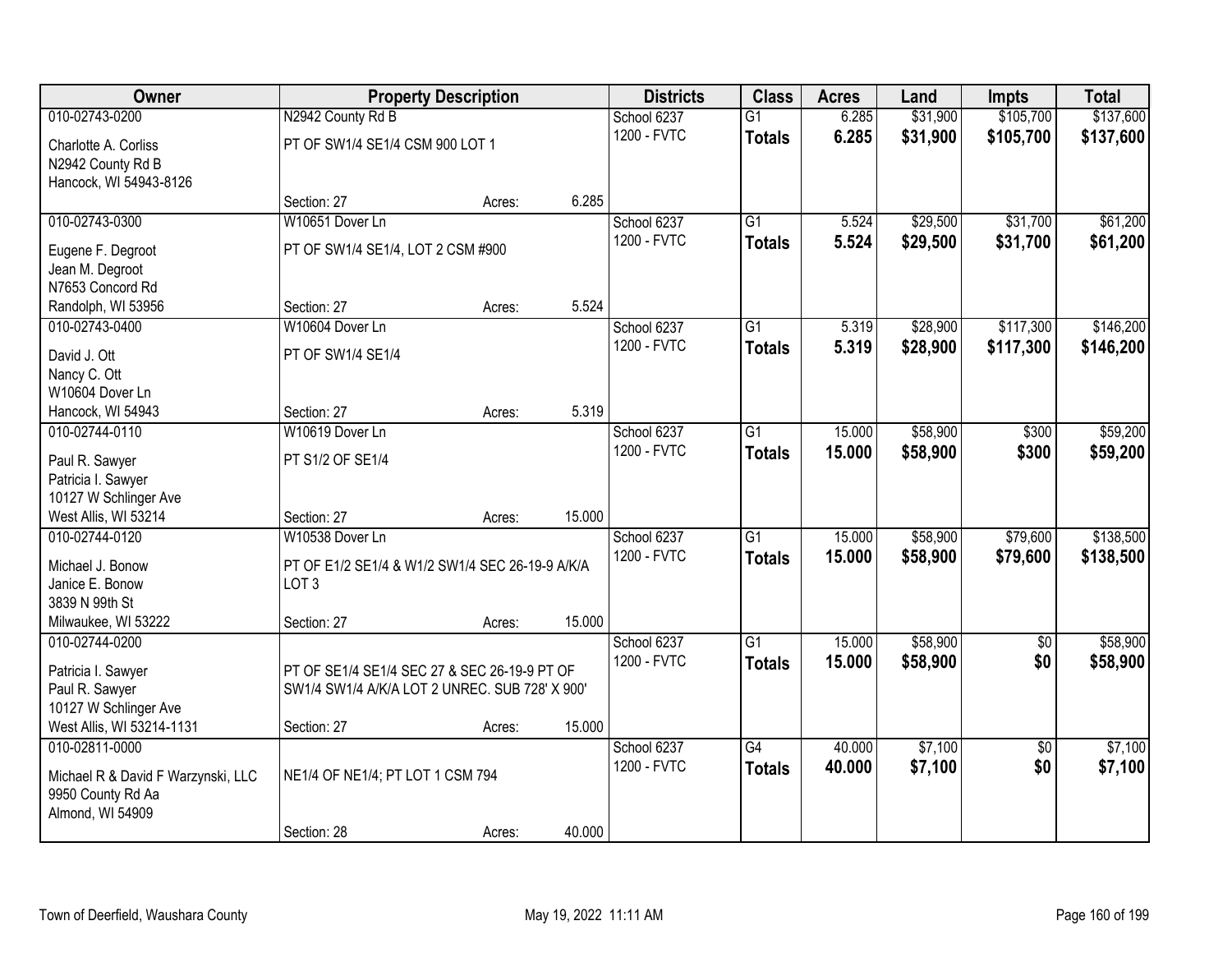| Owner                              |                                                 | <b>Property Description</b> |        | <b>Districts</b> | <b>Class</b>    | <b>Acres</b> | Land     | <b>Impts</b>    | <b>Total</b> |
|------------------------------------|-------------------------------------------------|-----------------------------|--------|------------------|-----------------|--------------|----------|-----------------|--------------|
| 010-02743-0200                     | N2942 County Rd B                               |                             |        | School 6237      | $\overline{G1}$ | 6.285        | \$31,900 | \$105,700       | \$137,600    |
| Charlotte A. Corliss               | PT OF SW1/4 SE1/4 CSM 900 LOT 1                 |                             |        | 1200 - FVTC      | <b>Totals</b>   | 6.285        | \$31,900 | \$105,700       | \$137,600    |
| N2942 County Rd B                  |                                                 |                             |        |                  |                 |              |          |                 |              |
| Hancock, WI 54943-8126             |                                                 |                             |        |                  |                 |              |          |                 |              |
|                                    | Section: 27                                     | Acres:                      | 6.285  |                  |                 |              |          |                 |              |
| 010-02743-0300                     | W10651 Dover Ln                                 |                             |        | School 6237      | $\overline{G1}$ | 5.524        | \$29,500 | \$31,700        | \$61,200     |
| Eugene F. Degroot                  | PT OF SW1/4 SE1/4, LOT 2 CSM #900               |                             |        | 1200 - FVTC      | <b>Totals</b>   | 5.524        | \$29,500 | \$31,700        | \$61,200     |
| Jean M. Degroot                    |                                                 |                             |        |                  |                 |              |          |                 |              |
| N7653 Concord Rd                   |                                                 |                             |        |                  |                 |              |          |                 |              |
| Randolph, WI 53956                 | Section: 27                                     | Acres:                      | 5.524  |                  |                 |              |          |                 |              |
| 010-02743-0400                     | W10604 Dover Ln                                 |                             |        | School 6237      | $\overline{G1}$ | 5.319        | \$28,900 | \$117,300       | \$146,200    |
| David J. Ott                       | PT OF SW1/4 SE1/4                               |                             |        | 1200 - FVTC      | <b>Totals</b>   | 5.319        | \$28,900 | \$117,300       | \$146,200    |
| Nancy C. Ott                       |                                                 |                             |        |                  |                 |              |          |                 |              |
| W10604 Dover Ln                    |                                                 |                             |        |                  |                 |              |          |                 |              |
| Hancock, WI 54943                  | Section: 27                                     | Acres:                      | 5.319  |                  |                 |              |          |                 |              |
| 010-02744-0110                     | W10619 Dover Ln                                 |                             |        | School 6237      | $\overline{G1}$ | 15,000       | \$58,900 | \$300           | \$59,200     |
| Paul R. Sawyer                     | PT S1/2 OF SE1/4                                |                             |        | 1200 - FVTC      | <b>Totals</b>   | 15.000       | \$58,900 | \$300           | \$59,200     |
| Patricia I. Sawyer                 |                                                 |                             |        |                  |                 |              |          |                 |              |
| 10127 W Schlinger Ave              |                                                 |                             |        |                  |                 |              |          |                 |              |
| West Allis, WI 53214               | Section: 27                                     | Acres:                      | 15.000 |                  |                 |              |          |                 |              |
| 010-02744-0120                     | W10538 Dover Ln                                 |                             |        | School 6237      | $\overline{G1}$ | 15.000       | \$58,900 | \$79,600        | \$138,500    |
| Michael J. Bonow                   | PT OF E1/2 SE1/4 & W1/2 SW1/4 SEC 26-19-9 A/K/A |                             |        | 1200 - FVTC      | <b>Totals</b>   | 15.000       | \$58,900 | \$79,600        | \$138,500    |
| Janice E. Bonow                    | LOT <sub>3</sub>                                |                             |        |                  |                 |              |          |                 |              |
| 3839 N 99th St                     |                                                 |                             |        |                  |                 |              |          |                 |              |
| Milwaukee, WI 53222                | Section: 27                                     | Acres:                      | 15.000 |                  |                 |              |          |                 |              |
| 010-02744-0200                     |                                                 |                             |        | School 6237      | $\overline{G1}$ | 15.000       | \$58,900 | $\sqrt{$0}$     | \$58,900     |
| Patricia I. Sawyer                 | PT OF SE1/4 SE1/4 SEC 27 & SEC 26-19-9 PT OF    |                             |        | 1200 - FVTC      | <b>Totals</b>   | 15.000       | \$58,900 | \$0             | \$58,900     |
| Paul R. Sawyer                     | SW1/4 SW1/4 A/K/A LOT 2 UNREC. SUB 728' X 900'  |                             |        |                  |                 |              |          |                 |              |
| 10127 W Schlinger Ave              |                                                 |                             |        |                  |                 |              |          |                 |              |
| West Allis, WI 53214-1131          | Section: 27                                     | Acres:                      | 15.000 |                  |                 |              |          |                 |              |
| 010-02811-0000                     |                                                 |                             |        | School 6237      | $\overline{G4}$ | 40.000       | \$7,100  | $\overline{50}$ | \$7,100      |
| Michael R & David F Warzynski, LLC | NE1/4 OF NE1/4; PT LOT 1 CSM 794                |                             |        | 1200 - FVTC      | <b>Totals</b>   | 40.000       | \$7,100  | \$0             | \$7,100      |
| 9950 County Rd Aa                  |                                                 |                             |        |                  |                 |              |          |                 |              |
| Almond, WI 54909                   |                                                 |                             |        |                  |                 |              |          |                 |              |
|                                    | Section: 28                                     | Acres:                      | 40.000 |                  |                 |              |          |                 |              |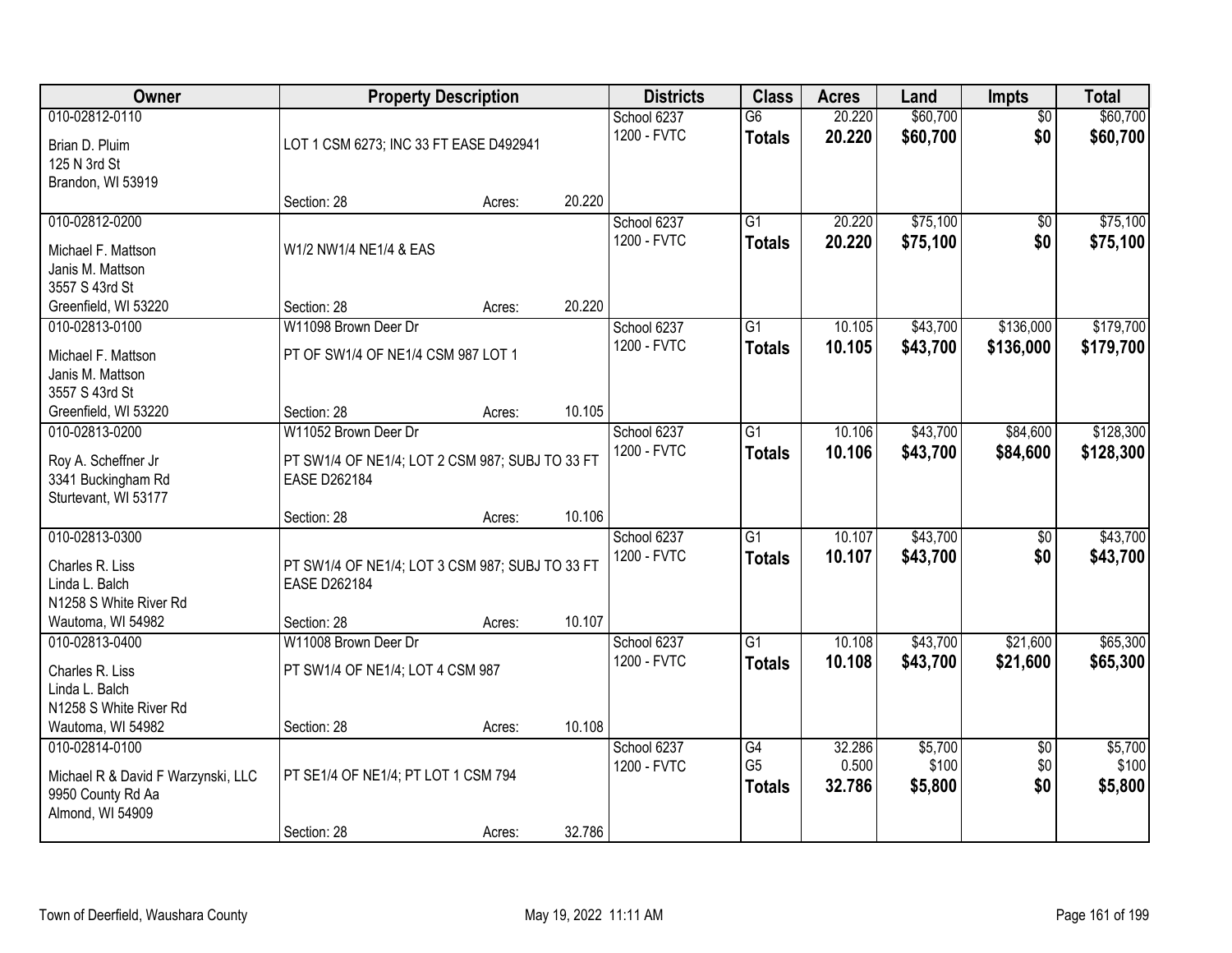| Owner                                 |                                                                 | <b>Property Description</b> |        | <b>Districts</b> | <b>Class</b>    | <b>Acres</b> | Land     | <b>Impts</b>    | <b>Total</b> |
|---------------------------------------|-----------------------------------------------------------------|-----------------------------|--------|------------------|-----------------|--------------|----------|-----------------|--------------|
| 010-02812-0110                        |                                                                 |                             |        | School 6237      | $\overline{G6}$ | 20.220       | \$60,700 | $\overline{50}$ | \$60,700     |
| Brian D. Pluim                        | LOT 1 CSM 6273; INC 33 FT EASE D492941                          |                             |        | 1200 - FVTC      | <b>Totals</b>   | 20.220       | \$60,700 | \$0             | \$60,700     |
| 125 N 3rd St                          |                                                                 |                             |        |                  |                 |              |          |                 |              |
| Brandon, WI 53919                     |                                                                 |                             |        |                  |                 |              |          |                 |              |
|                                       | Section: 28                                                     | Acres:                      | 20.220 |                  |                 |              |          |                 |              |
| 010-02812-0200                        |                                                                 |                             |        | School 6237      | $\overline{G1}$ | 20.220       | \$75,100 | \$0             | \$75,100     |
| Michael F. Mattson                    | W1/2 NW1/4 NE1/4 & EAS                                          |                             |        | 1200 - FVTC      | <b>Totals</b>   | 20.220       | \$75,100 | \$0             | \$75,100     |
| Janis M. Mattson                      |                                                                 |                             |        |                  |                 |              |          |                 |              |
| 3557 S 43rd St                        |                                                                 |                             |        |                  |                 |              |          |                 |              |
| Greenfield, WI 53220                  | Section: 28                                                     | Acres:                      | 20.220 |                  |                 |              |          |                 |              |
| 010-02813-0100                        | W11098 Brown Deer Dr                                            |                             |        | School 6237      | G1              | 10.105       | \$43,700 | \$136,000       | \$179,700    |
| Michael F. Mattson                    | PT OF SW1/4 OF NE1/4 CSM 987 LOT 1                              |                             |        | 1200 - FVTC      | <b>Totals</b>   | 10.105       | \$43,700 | \$136,000       | \$179,700    |
| Janis M. Mattson                      |                                                                 |                             |        |                  |                 |              |          |                 |              |
| 3557 S 43rd St                        |                                                                 |                             |        |                  |                 |              |          |                 |              |
| Greenfield, WI 53220                  | Section: 28                                                     | Acres:                      | 10.105 |                  |                 |              |          |                 |              |
| 010-02813-0200                        | W11052 Brown Deer Dr                                            |                             |        | School 6237      | $\overline{G1}$ | 10.106       | \$43,700 | \$84,600        | \$128,300    |
| Roy A. Scheffner Jr                   | PT SW1/4 OF NE1/4; LOT 2 CSM 987; SUBJ TO 33 FT                 |                             |        | 1200 - FVTC      | <b>Totals</b>   | 10.106       | \$43,700 | \$84,600        | \$128,300    |
| 3341 Buckingham Rd                    | EASE D262184                                                    |                             |        |                  |                 |              |          |                 |              |
| Sturtevant, WI 53177                  |                                                                 |                             |        |                  |                 |              |          |                 |              |
|                                       | Section: 28                                                     | Acres:                      | 10.106 |                  |                 |              |          |                 |              |
| 010-02813-0300                        |                                                                 |                             |        | School 6237      | $\overline{G1}$ | 10.107       | \$43,700 | $\overline{50}$ | \$43,700     |
| Charles R. Liss                       |                                                                 |                             |        | 1200 - FVTC      | <b>Totals</b>   | 10.107       | \$43,700 | \$0             | \$43,700     |
| Linda L. Balch                        | PT SW1/4 OF NE1/4; LOT 3 CSM 987; SUBJ TO 33 FT<br>EASE D262184 |                             |        |                  |                 |              |          |                 |              |
| N1258 S White River Rd                |                                                                 |                             |        |                  |                 |              |          |                 |              |
| Wautoma, WI 54982                     | Section: 28                                                     | Acres:                      | 10.107 |                  |                 |              |          |                 |              |
| 010-02813-0400                        | W11008 Brown Deer Dr                                            |                             |        | School 6237      | $\overline{G1}$ | 10.108       | \$43,700 | \$21,600        | \$65,300     |
|                                       |                                                                 |                             |        | 1200 - FVTC      | <b>Totals</b>   | 10.108       | \$43,700 | \$21,600        | \$65,300     |
| Charles R. Liss<br>Linda L. Balch     | PT SW1/4 OF NE1/4; LOT 4 CSM 987                                |                             |        |                  |                 |              |          |                 |              |
| N1258 S White River Rd                |                                                                 |                             |        |                  |                 |              |          |                 |              |
| Wautoma, WI 54982                     | Section: 28                                                     | Acres:                      | 10.108 |                  |                 |              |          |                 |              |
| 010-02814-0100                        |                                                                 |                             |        | School 6237      | G4              | 32.286       | \$5,700  | $\overline{50}$ | \$5,700      |
|                                       |                                                                 |                             |        | 1200 - FVTC      | G <sub>5</sub>  | 0.500        | \$100    | \$0             | \$100        |
| Michael R & David F Warzynski, LLC    | PT SE1/4 OF NE1/4; PT LOT 1 CSM 794                             |                             |        |                  | <b>Totals</b>   | 32.786       | \$5,800  | \$0             | \$5,800      |
| 9950 County Rd Aa<br>Almond, WI 54909 |                                                                 |                             |        |                  |                 |              |          |                 |              |
|                                       | Section: 28                                                     | Acres:                      | 32.786 |                  |                 |              |          |                 |              |
|                                       |                                                                 |                             |        |                  |                 |              |          |                 |              |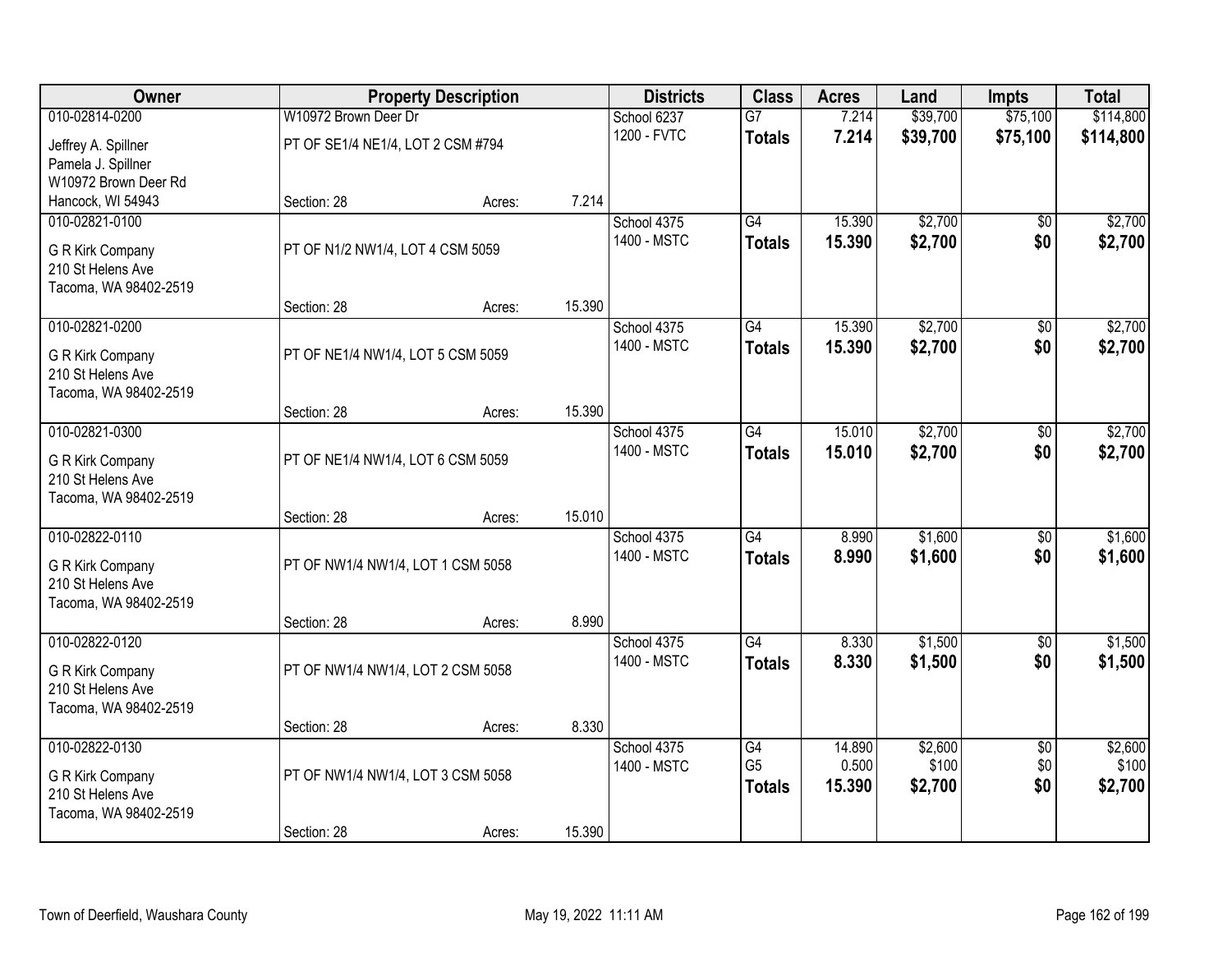| Owner                               |                                   | <b>Property Description</b> |        | <b>Districts</b>           | <b>Class</b>    | <b>Acres</b> | Land             | <b>Impts</b>           | <b>Total</b>     |
|-------------------------------------|-----------------------------------|-----------------------------|--------|----------------------------|-----------------|--------------|------------------|------------------------|------------------|
| 010-02814-0200                      | W10972 Brown Deer Dr              |                             |        | School 6237                | $\overline{G7}$ | 7.214        | \$39,700         | \$75,100               | \$114,800        |
| Jeffrey A. Spillner                 | PT OF SE1/4 NE1/4, LOT 2 CSM #794 |                             |        | 1200 - FVTC                | <b>Totals</b>   | 7.214        | \$39,700         | \$75,100               | \$114,800        |
| Pamela J. Spillner                  |                                   |                             |        |                            |                 |              |                  |                        |                  |
| W10972 Brown Deer Rd                | Section: 28                       |                             | 7.214  |                            |                 |              |                  |                        |                  |
| Hancock, WI 54943<br>010-02821-0100 |                                   | Acres:                      |        | School 4375                | $\overline{G4}$ | 15.390       | \$2,700          | $\overline{30}$        | \$2,700          |
|                                     |                                   |                             |        | 1400 - MSTC                |                 | 15.390       | \$2,700          | \$0                    | \$2,700          |
| G R Kirk Company                    | PT OF N1/2 NW1/4, LOT 4 CSM 5059  |                             |        |                            | <b>Totals</b>   |              |                  |                        |                  |
| 210 St Helens Ave                   |                                   |                             |        |                            |                 |              |                  |                        |                  |
| Tacoma, WA 98402-2519               |                                   |                             | 15.390 |                            |                 |              |                  |                        |                  |
| 010-02821-0200                      | Section: 28                       | Acres:                      |        | School 4375                | G4              | 15.390       | \$2,700          | \$0                    | \$2,700          |
|                                     |                                   |                             |        | 1400 - MSTC                | <b>Totals</b>   | 15.390       | \$2,700          | \$0                    | \$2,700          |
| G R Kirk Company                    | PT OF NE1/4 NW1/4, LOT 5 CSM 5059 |                             |        |                            |                 |              |                  |                        |                  |
| 210 St Helens Ave                   |                                   |                             |        |                            |                 |              |                  |                        |                  |
| Tacoma, WA 98402-2519               |                                   |                             |        |                            |                 |              |                  |                        |                  |
| 010-02821-0300                      | Section: 28                       | Acres:                      | 15.390 | School 4375                | G4              | 15.010       | \$2,700          | \$0                    | \$2,700          |
|                                     |                                   |                             |        | 1400 - MSTC                |                 | 15.010       | \$2,700          | \$0                    | \$2,700          |
| G R Kirk Company                    | PT OF NE1/4 NW1/4, LOT 6 CSM 5059 |                             |        |                            | <b>Totals</b>   |              |                  |                        |                  |
| 210 St Helens Ave                   |                                   |                             |        |                            |                 |              |                  |                        |                  |
| Tacoma, WA 98402-2519               |                                   |                             |        |                            |                 |              |                  |                        |                  |
| 010-02822-0110                      | Section: 28                       | Acres:                      | 15.010 |                            | $\overline{G4}$ | 8.990        | \$1,600          | $\overline{50}$        | \$1,600          |
|                                     |                                   |                             |        | School 4375<br>1400 - MSTC |                 | 8.990        | \$1,600          | \$0                    |                  |
| G R Kirk Company                    | PT OF NW1/4 NW1/4, LOT 1 CSM 5058 |                             |        |                            | <b>Totals</b>   |              |                  |                        | \$1,600          |
| 210 St Helens Ave                   |                                   |                             |        |                            |                 |              |                  |                        |                  |
| Tacoma, WA 98402-2519               |                                   |                             |        |                            |                 |              |                  |                        |                  |
| 010-02822-0120                      | Section: 28                       | Acres:                      | 8.990  | School 4375                | G4              | 8.330        | \$1,500          | $\overline{50}$        | \$1,500          |
|                                     |                                   |                             |        | 1400 - MSTC                |                 | 8.330        | \$1,500          | \$0                    | \$1,500          |
| G R Kirk Company                    | PT OF NW1/4 NW1/4, LOT 2 CSM 5058 |                             |        |                            | <b>Totals</b>   |              |                  |                        |                  |
| 210 St Helens Ave                   |                                   |                             |        |                            |                 |              |                  |                        |                  |
| Tacoma, WA 98402-2519               |                                   |                             |        |                            |                 |              |                  |                        |                  |
| 010-02822-0130                      | Section: 28                       | Acres:                      | 8.330  |                            | G4              | 14.890       |                  |                        |                  |
|                                     |                                   |                             |        | School 4375<br>1400 - MSTC | G <sub>5</sub>  | 0.500        | \$2,600<br>\$100 | $\overline{50}$<br>\$0 | \$2,600<br>\$100 |
| G R Kirk Company                    | PT OF NW1/4 NW1/4, LOT 3 CSM 5058 |                             |        |                            | <b>Totals</b>   | 15.390       | \$2,700          | \$0                    | \$2,700          |
| 210 St Helens Ave                   |                                   |                             |        |                            |                 |              |                  |                        |                  |
| Tacoma, WA 98402-2519               |                                   |                             |        |                            |                 |              |                  |                        |                  |
|                                     | Section: 28                       | Acres:                      | 15.390 |                            |                 |              |                  |                        |                  |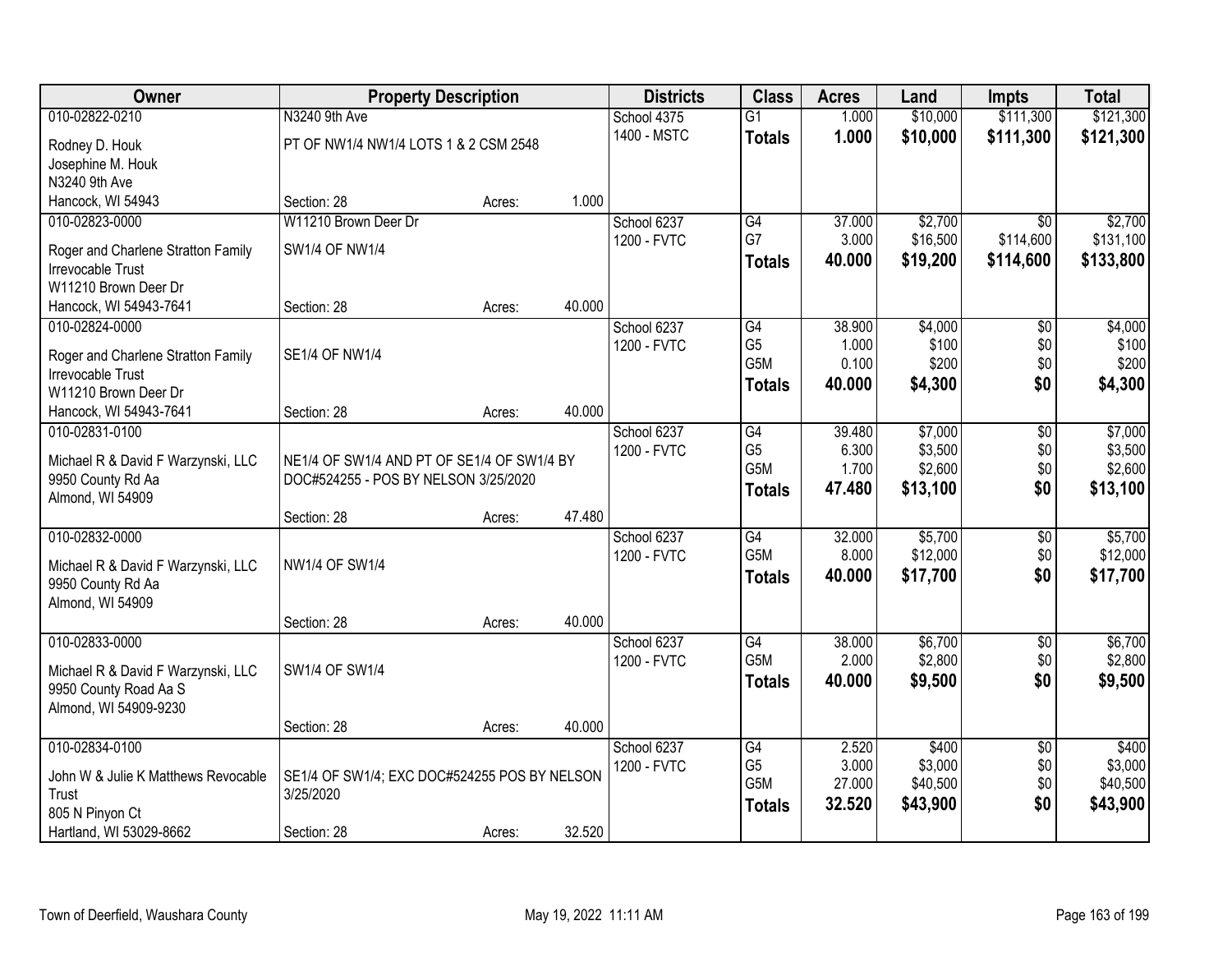| Owner                                                   | <b>Property Description</b>                  |        |        | <b>Districts</b> | <b>Class</b>     | <b>Acres</b> | Land     | Impts           | <b>Total</b> |
|---------------------------------------------------------|----------------------------------------------|--------|--------|------------------|------------------|--------------|----------|-----------------|--------------|
| 010-02822-0210                                          | N3240 9th Ave                                |        |        | School 4375      | $\overline{G1}$  | 1.000        | \$10,000 | \$111,300       | \$121,300    |
| Rodney D. Houk                                          | PT OF NW1/4 NW1/4 LOTS 1 & 2 CSM 2548        |        |        | 1400 - MSTC      | <b>Totals</b>    | 1.000        | \$10,000 | \$111,300       | \$121,300    |
| Josephine M. Houk                                       |                                              |        |        |                  |                  |              |          |                 |              |
| N3240 9th Ave                                           |                                              |        |        |                  |                  |              |          |                 |              |
| Hancock, WI 54943                                       | Section: 28                                  | Acres: | 1.000  |                  |                  |              |          |                 |              |
| 010-02823-0000                                          | W11210 Brown Deer Dr                         |        |        | School 6237      | $\overline{G4}$  | 37.000       | \$2,700  | $\overline{30}$ | \$2,700      |
| Roger and Charlene Stratton Family                      | <b>SW1/4 OF NW1/4</b>                        |        |        | 1200 - FVTC      | G7               | 3.000        | \$16,500 | \$114,600       | \$131,100    |
| Irrevocable Trust                                       |                                              |        |        |                  | <b>Totals</b>    | 40.000       | \$19,200 | \$114,600       | \$133,800    |
| W11210 Brown Deer Dr                                    |                                              |        |        |                  |                  |              |          |                 |              |
| Hancock, WI 54943-7641                                  | Section: 28                                  | Acres: | 40.000 |                  |                  |              |          |                 |              |
| 010-02824-0000                                          |                                              |        |        | School 6237      | G4               | 38.900       | \$4,000  | $\overline{50}$ | \$4,000      |
|                                                         | <b>SE1/4 OF NW1/4</b>                        |        |        | 1200 - FVTC      | G <sub>5</sub>   | 1.000        | \$100    | \$0             | \$100        |
| Roger and Charlene Stratton Family<br>Irrevocable Trust |                                              |        |        |                  | G <sub>5</sub> M | 0.100        | \$200    | \$0             | \$200        |
| W11210 Brown Deer Dr                                    |                                              |        |        |                  | <b>Totals</b>    | 40.000       | \$4,300  | \$0             | \$4,300      |
| Hancock, WI 54943-7641                                  | Section: 28                                  | Acres: | 40.000 |                  |                  |              |          |                 |              |
| 010-02831-0100                                          |                                              |        |        | School 6237      | G4               | 39.480       | \$7,000  | \$0             | \$7,000      |
|                                                         |                                              |        |        | 1200 - FVTC      | G <sub>5</sub>   | 6.300        | \$3,500  | \$0             | \$3,500      |
| Michael R & David F Warzynski, LLC                      | NE1/4 OF SW1/4 AND PT OF SE1/4 OF SW1/4 BY   |        |        |                  | G5M              | 1.700        | \$2,600  | \$0             | \$2,600      |
| 9950 County Rd Aa<br>Almond, WI 54909                   | DOC#524255 - POS BY NELSON 3/25/2020         |        |        |                  | <b>Totals</b>    | 47.480       | \$13,100 | \$0             | \$13,100     |
|                                                         | Section: 28                                  | Acres: | 47.480 |                  |                  |              |          |                 |              |
| 010-02832-0000                                          |                                              |        |        | School 6237      | $\overline{G4}$  | 32.000       | \$5,700  | \$0             | \$5,700      |
|                                                         |                                              |        |        | 1200 - FVTC      | G <sub>5</sub> M | 8.000        | \$12,000 | \$0             | \$12,000     |
| Michael R & David F Warzynski, LLC                      | NW1/4 OF SW1/4                               |        |        |                  | <b>Totals</b>    | 40.000       | \$17,700 | \$0             | \$17,700     |
| 9950 County Rd Aa<br>Almond, WI 54909                   |                                              |        |        |                  |                  |              |          |                 |              |
|                                                         | Section: 28                                  | Acres: | 40.000 |                  |                  |              |          |                 |              |
| 010-02833-0000                                          |                                              |        |        | School 6237      | $\overline{G4}$  | 38.000       | \$6,700  | $\overline{60}$ | \$6,700      |
|                                                         |                                              |        |        | 1200 - FVTC      | G5M              | 2.000        | \$2,800  | \$0             | \$2,800      |
| Michael R & David F Warzynski, LLC                      | SW1/4 OF SW1/4                               |        |        |                  | <b>Totals</b>    | 40.000       | \$9,500  | \$0             | \$9,500      |
| 9950 County Road Aa S                                   |                                              |        |        |                  |                  |              |          |                 |              |
| Almond, WI 54909-9230                                   | Section: 28                                  | Acres: | 40.000 |                  |                  |              |          |                 |              |
| 010-02834-0100                                          |                                              |        |        | School 6237      | G4               | 2.520        | \$400    | $\overline{50}$ | \$400        |
|                                                         |                                              |        |        | 1200 - FVTC      | G <sub>5</sub>   | 3.000        | \$3,000  | \$0             | \$3,000      |
| John W & Julie K Matthews Revocable                     | SE1/4 OF SW1/4; EXC DOC#524255 POS BY NELSON |        |        |                  | G5M              | 27.000       | \$40,500 | \$0             | \$40,500     |
| Trust                                                   | 3/25/2020                                    |        |        |                  | <b>Totals</b>    | 32.520       | \$43,900 | \$0             | \$43,900     |
| 805 N Pinyon Ct                                         |                                              |        |        |                  |                  |              |          |                 |              |
| Hartland, WI 53029-8662                                 | Section: 28                                  | Acres: | 32.520 |                  |                  |              |          |                 |              |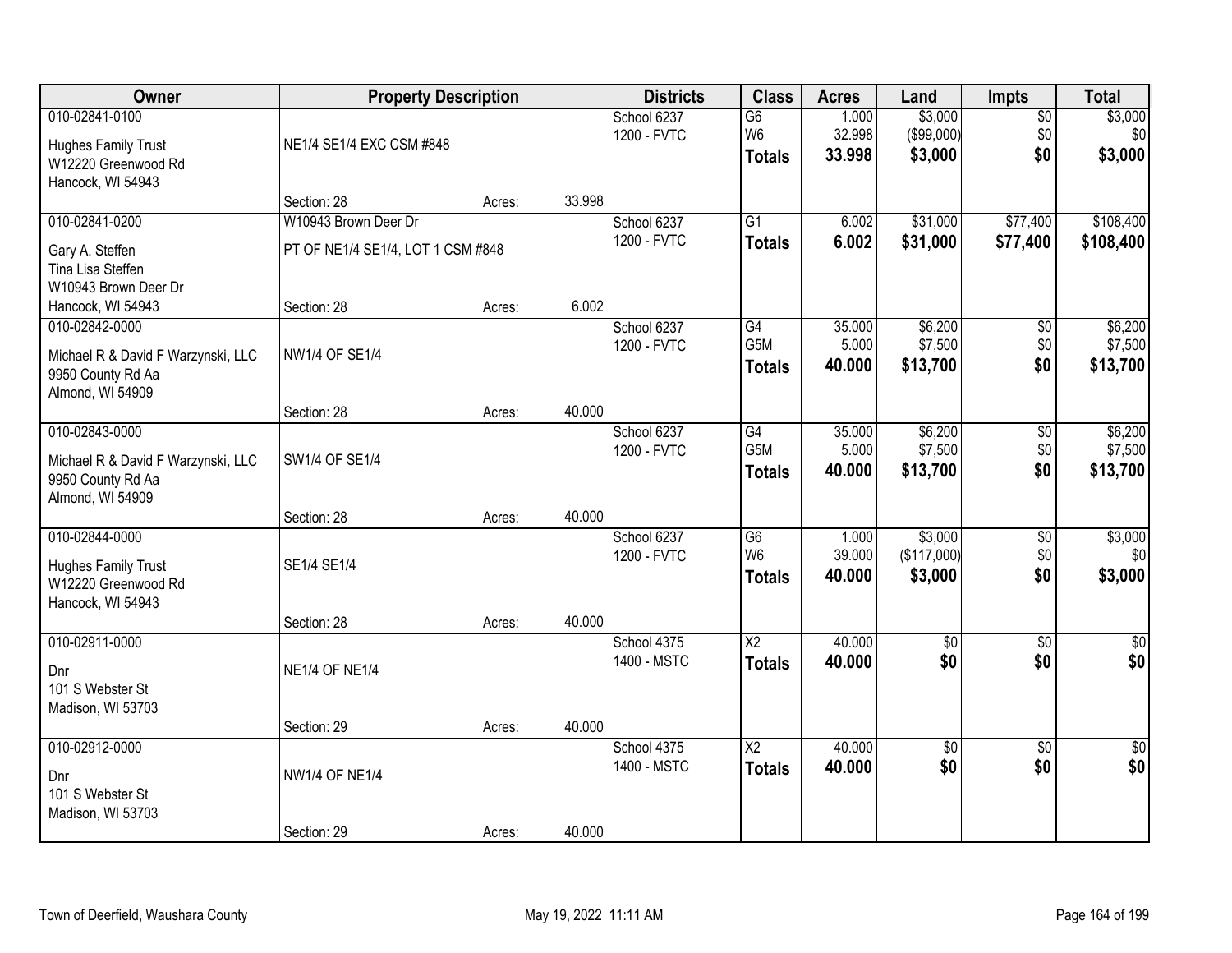| Owner                                                                                         | <b>Property Description</b>                               |        |        | <b>Districts</b>           | <b>Class</b>                                       | <b>Acres</b>              | Land                              | Impts                         | <b>Total</b>                   |
|-----------------------------------------------------------------------------------------------|-----------------------------------------------------------|--------|--------|----------------------------|----------------------------------------------------|---------------------------|-----------------------------------|-------------------------------|--------------------------------|
| 010-02841-0100<br><b>Hughes Family Trust</b><br>W12220 Greenwood Rd<br>Hancock, WI 54943      | NE1/4 SE1/4 EXC CSM #848                                  |        |        | School 6237<br>1200 - FVTC | G6<br>W <sub>6</sub><br><b>Totals</b>              | 1.000<br>32.998<br>33.998 | \$3,000<br>(\$99,000)<br>\$3,000  | $\overline{50}$<br>\$0<br>\$0 | \$3,000<br>\$0<br>\$3,000      |
|                                                                                               | Section: 28                                               | Acres: | 33.998 |                            |                                                    |                           |                                   |                               |                                |
| 010-02841-0200<br>Gary A. Steffen<br>Tina Lisa Steffen<br>W10943 Brown Deer Dr                | W10943 Brown Deer Dr<br>PT OF NE1/4 SE1/4, LOT 1 CSM #848 |        |        | School 6237<br>1200 - FVTC | $\overline{G1}$<br><b>Totals</b>                   | 6.002<br>6.002            | \$31,000<br>\$31,000              | \$77,400<br>\$77,400          | \$108,400<br>\$108,400         |
| Hancock, WI 54943                                                                             | Section: 28                                               | Acres: | 6.002  |                            |                                                    |                           |                                   |                               |                                |
| 010-02842-0000<br>Michael R & David F Warzynski, LLC<br>9950 County Rd Aa<br>Almond, WI 54909 | <b>NW1/4 OF SE1/4</b>                                     |        |        | School 6237<br>1200 - FVTC | G4<br>G5M<br><b>Totals</b>                         | 35.000<br>5.000<br>40.000 | \$6,200<br>\$7,500<br>\$13,700    | \$0<br>\$0<br>\$0             | \$6,200<br>\$7,500<br>\$13,700 |
|                                                                                               | Section: 28                                               | Acres: | 40.000 |                            |                                                    |                           |                                   |                               |                                |
| 010-02843-0000<br>Michael R & David F Warzynski, LLC<br>9950 County Rd Aa<br>Almond, WI 54909 | SW1/4 OF SE1/4                                            |        |        | School 6237<br>1200 - FVTC | G4<br>G5M<br><b>Totals</b>                         | 35.000<br>5.000<br>40.000 | \$6,200<br>\$7,500<br>\$13,700    | \$0<br>\$0<br>\$0             | \$6,200<br>\$7,500<br>\$13,700 |
|                                                                                               | Section: 28                                               | Acres: | 40.000 |                            |                                                    |                           |                                   |                               |                                |
| 010-02844-0000<br><b>Hughes Family Trust</b><br>W12220 Greenwood Rd<br>Hancock, WI 54943      | SE1/4 SE1/4<br>Section: 28                                | Acres: | 40.000 | School 6237<br>1200 - FVTC | $\overline{G6}$<br>W <sub>6</sub><br><b>Totals</b> | 1.000<br>39.000<br>40.000 | \$3,000<br>(\$117,000)<br>\$3,000 | $\overline{50}$<br>\$0<br>\$0 | \$3,000<br>\$0<br>\$3,000      |
| 010-02911-0000                                                                                |                                                           |        |        | School 4375                | $\overline{X2}$                                    | 40.000                    | $\overline{60}$                   | $\overline{50}$               | $\overline{50}$                |
| Dnr<br>101 S Webster St<br>Madison, WI 53703                                                  | <b>NE1/4 OF NE1/4</b>                                     |        |        | 1400 - MSTC                | <b>Totals</b>                                      | 40.000                    | \$0                               | \$0                           | \$0                            |
|                                                                                               | Section: 29                                               | Acres: | 40.000 |                            |                                                    |                           |                                   |                               |                                |
| 010-02912-0000<br>Dnr<br>101 S Webster St<br>Madison, WI 53703                                | <b>NW1/4 OF NE1/4</b>                                     |        |        | School 4375<br>1400 - MSTC | $\overline{X2}$<br><b>Totals</b>                   | 40.000<br>40.000          | $\sqrt{$0}$<br>\$0                | $\overline{50}$<br>\$0        | $\overline{50}$<br>\$0         |
|                                                                                               | Section: 29                                               | Acres: | 40.000 |                            |                                                    |                           |                                   |                               |                                |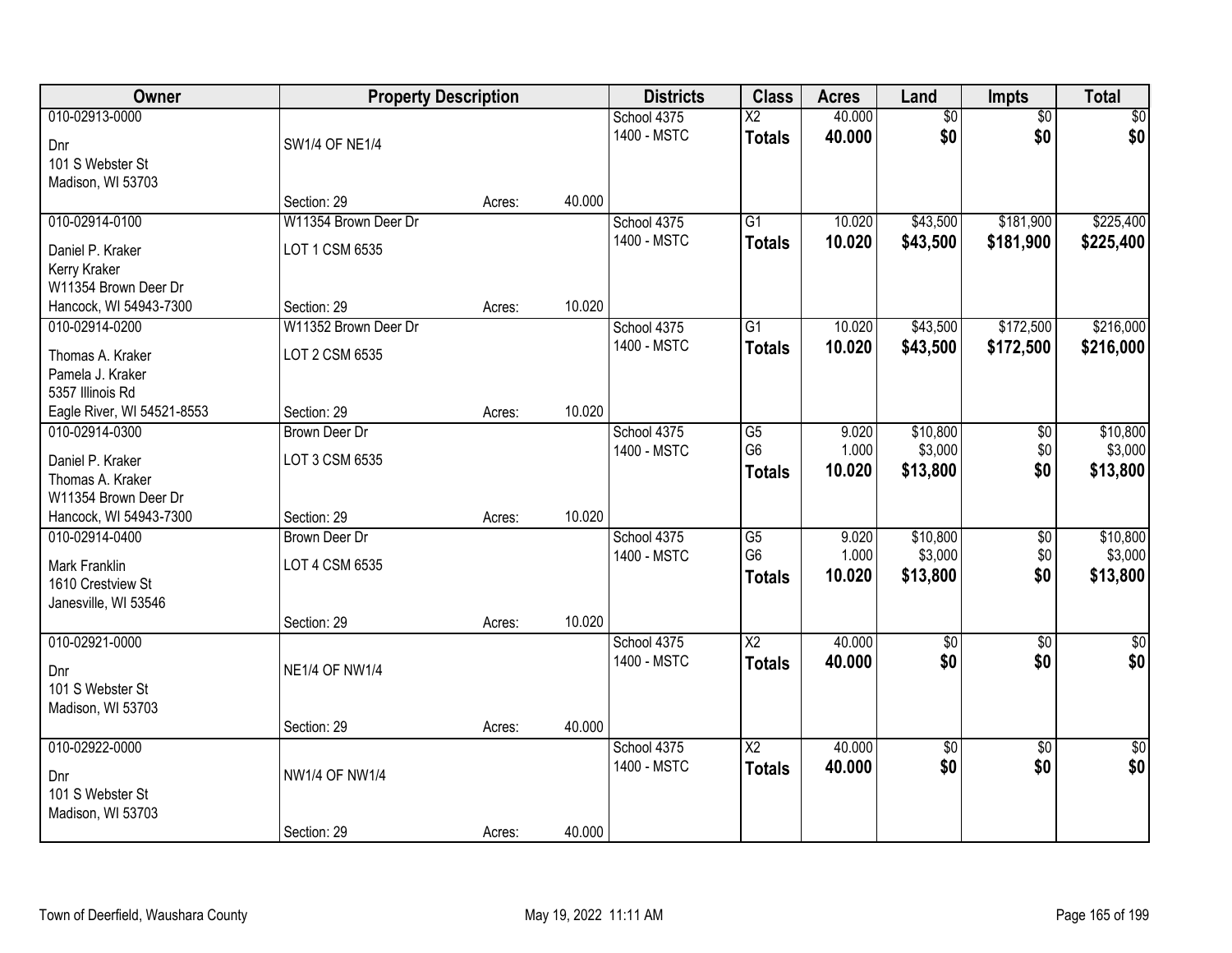| Owner                      | <b>Property Description</b> |        |        | <b>Districts</b> | <b>Class</b>    | <b>Acres</b> | Land            | Impts           | <b>Total</b>    |
|----------------------------|-----------------------------|--------|--------|------------------|-----------------|--------------|-----------------|-----------------|-----------------|
| 010-02913-0000             |                             |        |        | School 4375      | $\overline{X2}$ | 40.000       | $\overline{60}$ | $\overline{50}$ | \$0             |
| Dnr                        | <b>SW1/4 OF NE1/4</b>       |        |        | 1400 - MSTC      | <b>Totals</b>   | 40.000       | \$0             | \$0             | \$0             |
| 101 S Webster St           |                             |        |        |                  |                 |              |                 |                 |                 |
| Madison, WI 53703          |                             |        |        |                  |                 |              |                 |                 |                 |
|                            | Section: 29                 | Acres: | 40.000 |                  |                 |              |                 |                 |                 |
| 010-02914-0100             | W11354 Brown Deer Dr        |        |        | School 4375      | G1              | 10.020       | \$43,500        | \$181,900       | \$225,400       |
| Daniel P. Kraker           | LOT 1 CSM 6535              |        |        | 1400 - MSTC      | <b>Totals</b>   | 10.020       | \$43,500        | \$181,900       | \$225,400       |
| Kerry Kraker               |                             |        |        |                  |                 |              |                 |                 |                 |
| W11354 Brown Deer Dr       |                             |        |        |                  |                 |              |                 |                 |                 |
| Hancock, WI 54943-7300     | Section: 29                 | Acres: | 10.020 |                  |                 |              |                 |                 |                 |
| 010-02914-0200             | W11352 Brown Deer Dr        |        |        | School 4375      | G <sub>1</sub>  | 10.020       | \$43,500        | \$172,500       | \$216,000       |
| Thomas A. Kraker           | LOT 2 CSM 6535              |        |        | 1400 - MSTC      | <b>Totals</b>   | 10.020       | \$43,500        | \$172,500       | \$216,000       |
| Pamela J. Kraker           |                             |        |        |                  |                 |              |                 |                 |                 |
| 5357 Illinois Rd           |                             |        |        |                  |                 |              |                 |                 |                 |
| Eagle River, WI 54521-8553 | Section: 29                 | Acres: | 10.020 |                  |                 |              |                 |                 |                 |
| 010-02914-0300             | <b>Brown Deer Dr</b>        |        |        | School 4375      | G5              | 9.020        | \$10,800        | \$0             | \$10,800        |
| Daniel P. Kraker           | LOT 3 CSM 6535              |        |        | 1400 - MSTC      | G <sub>6</sub>  | 1.000        | \$3,000         | \$0             | \$3,000         |
| Thomas A. Kraker           |                             |        |        |                  | <b>Totals</b>   | 10.020       | \$13,800        | \$0             | \$13,800        |
| W11354 Brown Deer Dr       |                             |        |        |                  |                 |              |                 |                 |                 |
| Hancock, WI 54943-7300     | Section: 29                 | Acres: | 10.020 |                  |                 |              |                 |                 |                 |
| 010-02914-0400             | <b>Brown Deer Dr</b>        |        |        | School 4375      | $\overline{G5}$ | 9.020        | \$10,800        | $\overline{50}$ | \$10,800        |
| <b>Mark Franklin</b>       | LOT 4 CSM 6535              |        |        | 1400 - MSTC      | G <sub>6</sub>  | 1.000        | \$3,000         | \$0             | \$3,000         |
| 1610 Crestview St          |                             |        |        |                  | <b>Totals</b>   | 10.020       | \$13,800        | \$0             | \$13,800        |
| Janesville, WI 53546       |                             |        |        |                  |                 |              |                 |                 |                 |
|                            | Section: 29                 | Acres: | 10.020 |                  |                 |              |                 |                 |                 |
| 010-02921-0000             |                             |        |        | School 4375      | $\overline{X2}$ | 40.000       | $\overline{60}$ | $\overline{50}$ | $\overline{50}$ |
| Dnr                        | <b>NE1/4 OF NW1/4</b>       |        |        | 1400 - MSTC      | <b>Totals</b>   | 40.000       | \$0             | \$0             | \$0             |
| 101 S Webster St           |                             |        |        |                  |                 |              |                 |                 |                 |
| Madison, WI 53703          |                             |        |        |                  |                 |              |                 |                 |                 |
|                            | Section: 29                 | Acres: | 40.000 |                  |                 |              |                 |                 |                 |
| 010-02922-0000             |                             |        |        | School 4375      | $\overline{X2}$ | 40.000       | $\sqrt{$0}$     | $\overline{50}$ | $\overline{50}$ |
| Dnr                        | <b>NW1/4 OF NW1/4</b>       |        |        | 1400 - MSTC      | <b>Totals</b>   | 40.000       | \$0             | \$0             | \$0             |
| 101 S Webster St           |                             |        |        |                  |                 |              |                 |                 |                 |
| Madison, WI 53703          |                             |        |        |                  |                 |              |                 |                 |                 |
|                            | Section: 29                 | Acres: | 40.000 |                  |                 |              |                 |                 |                 |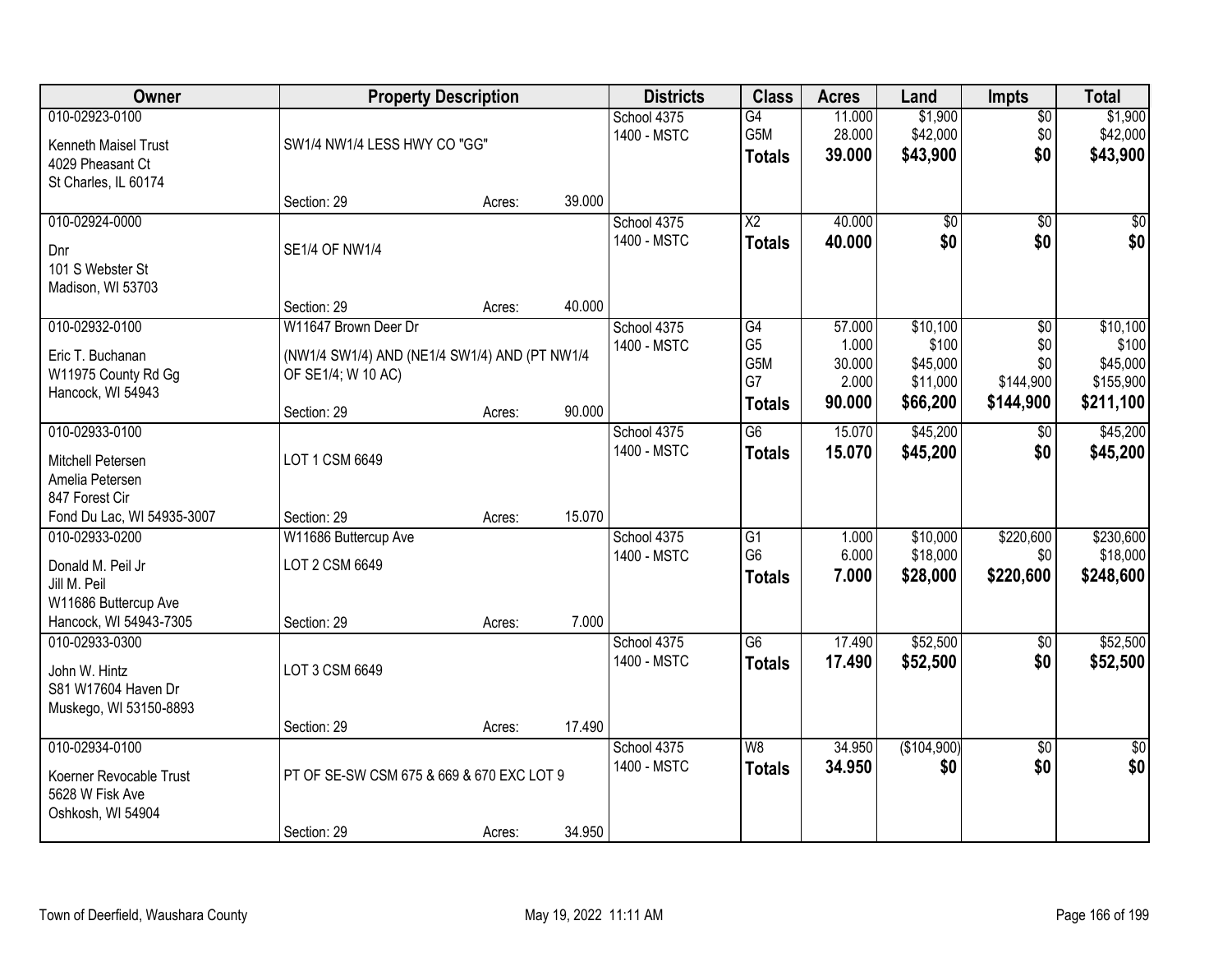| <b>Owner</b>                                                                                          | <b>Property Description</b>                                                                 |        |        | <b>Districts</b>           | <b>Class</b>                                       | <b>Acres</b>                                 | Land                                                  | <b>Impts</b>                                | <b>Total</b>                               |
|-------------------------------------------------------------------------------------------------------|---------------------------------------------------------------------------------------------|--------|--------|----------------------------|----------------------------------------------------|----------------------------------------------|-------------------------------------------------------|---------------------------------------------|--------------------------------------------|
| 010-02923-0100<br>Kenneth Maisel Trust<br>4029 Pheasant Ct<br>St Charles, IL 60174                    | SW1/4 NW1/4 LESS HWY CO "GG"                                                                |        |        | School 4375<br>1400 - MSTC | G4<br>G5M<br><b>Totals</b>                         | 11.000<br>28.000<br>39.000                   | \$1,900<br>\$42,000<br>\$43,900                       | $\overline{50}$<br>\$0<br>\$0               | \$1,900<br>\$42,000<br>\$43,900            |
|                                                                                                       | Section: 29                                                                                 | Acres: | 39.000 |                            |                                                    |                                              |                                                       |                                             |                                            |
| 010-02924-0000<br>Dnr<br>101 S Webster St<br>Madison, WI 53703                                        | <b>SE1/4 OF NW1/4</b>                                                                       |        |        | School 4375<br>1400 - MSTC | $\overline{X2}$<br><b>Totals</b>                   | 40.000<br>40.000                             | $\overline{50}$<br>\$0                                | $\overline{50}$<br>\$0                      | $\sqrt{50}$<br>\$0                         |
|                                                                                                       | Section: 29                                                                                 | Acres: | 40.000 |                            |                                                    |                                              |                                                       |                                             |                                            |
| 010-02932-0100<br>Eric T. Buchanan<br>W11975 County Rd Gg<br>Hancock, WI 54943                        | W11647 Brown Deer Dr<br>(NW1/4 SW1/4) AND (NE1/4 SW1/4) AND (PT NW1/4<br>OF SE1/4; W 10 AC) |        |        | School 4375<br>1400 - MSTC | G4<br>G <sub>5</sub><br>G5M<br>G7                  | 57.000<br>1.000<br>30.000<br>2.000<br>90.000 | \$10,100<br>\$100<br>\$45,000<br>\$11,000<br>\$66,200 | \$0<br>\$0<br>\$0<br>\$144,900<br>\$144,900 | \$10,100<br>\$100<br>\$45,000<br>\$155,900 |
|                                                                                                       | Section: 29                                                                                 | Acres: | 90.000 |                            | <b>Totals</b>                                      |                                              |                                                       |                                             | \$211,100                                  |
| 010-02933-0100<br>Mitchell Petersen<br>Amelia Petersen<br>847 Forest Cir                              | LOT 1 CSM 6649                                                                              |        |        | School 4375<br>1400 - MSTC | G <sub>6</sub><br><b>Totals</b>                    | 15.070<br>15.070                             | \$45,200<br>\$45,200                                  | $\sqrt[6]{}$<br>\$0                         | \$45,200<br>\$45,200                       |
| Fond Du Lac, WI 54935-3007                                                                            | Section: 29                                                                                 | Acres: | 15.070 |                            |                                                    |                                              |                                                       |                                             |                                            |
| 010-02933-0200<br>Donald M. Peil Jr<br>Jill M. Peil<br>W11686 Buttercup Ave<br>Hancock, WI 54943-7305 | W11686 Buttercup Ave<br>LOT 2 CSM 6649<br>Section: 29                                       | Acres: | 7.000  | School 4375<br>1400 - MSTC | $\overline{G1}$<br>G <sub>6</sub><br><b>Totals</b> | 1.000<br>6.000<br>7.000                      | \$10,000<br>\$18,000<br>\$28,000                      | \$220,600<br>\$0<br>\$220,600               | \$230,600<br>\$18,000<br>\$248,600         |
| 010-02933-0300<br>John W. Hintz<br>S81 W17604 Haven Dr<br>Muskego, WI 53150-8893                      | LOT 3 CSM 6649                                                                              |        |        | School 4375<br>1400 - MSTC | $\overline{G6}$<br><b>Totals</b>                   | 17.490<br>17.490                             | \$52,500<br>\$52,500                                  | $\overline{50}$<br>\$0                      | \$52,500<br>\$52,500                       |
|                                                                                                       | Section: 29                                                                                 | Acres: | 17.490 |                            |                                                    |                                              |                                                       |                                             |                                            |
| 010-02934-0100<br>Koerner Revocable Trust<br>5628 W Fisk Ave<br>Oshkosh, WI 54904                     | PT OF SE-SW CSM 675 & 669 & 670 EXC LOT 9<br>Section: 29                                    |        | 34.950 | School 4375<br>1400 - MSTC | W8<br><b>Totals</b>                                | 34.950<br>34.950                             | (\$104,900)<br>\$0                                    | $\overline{50}$<br>\$0                      | $\overline{50}$<br>\$0                     |
|                                                                                                       |                                                                                             | Acres: |        |                            |                                                    |                                              |                                                       |                                             |                                            |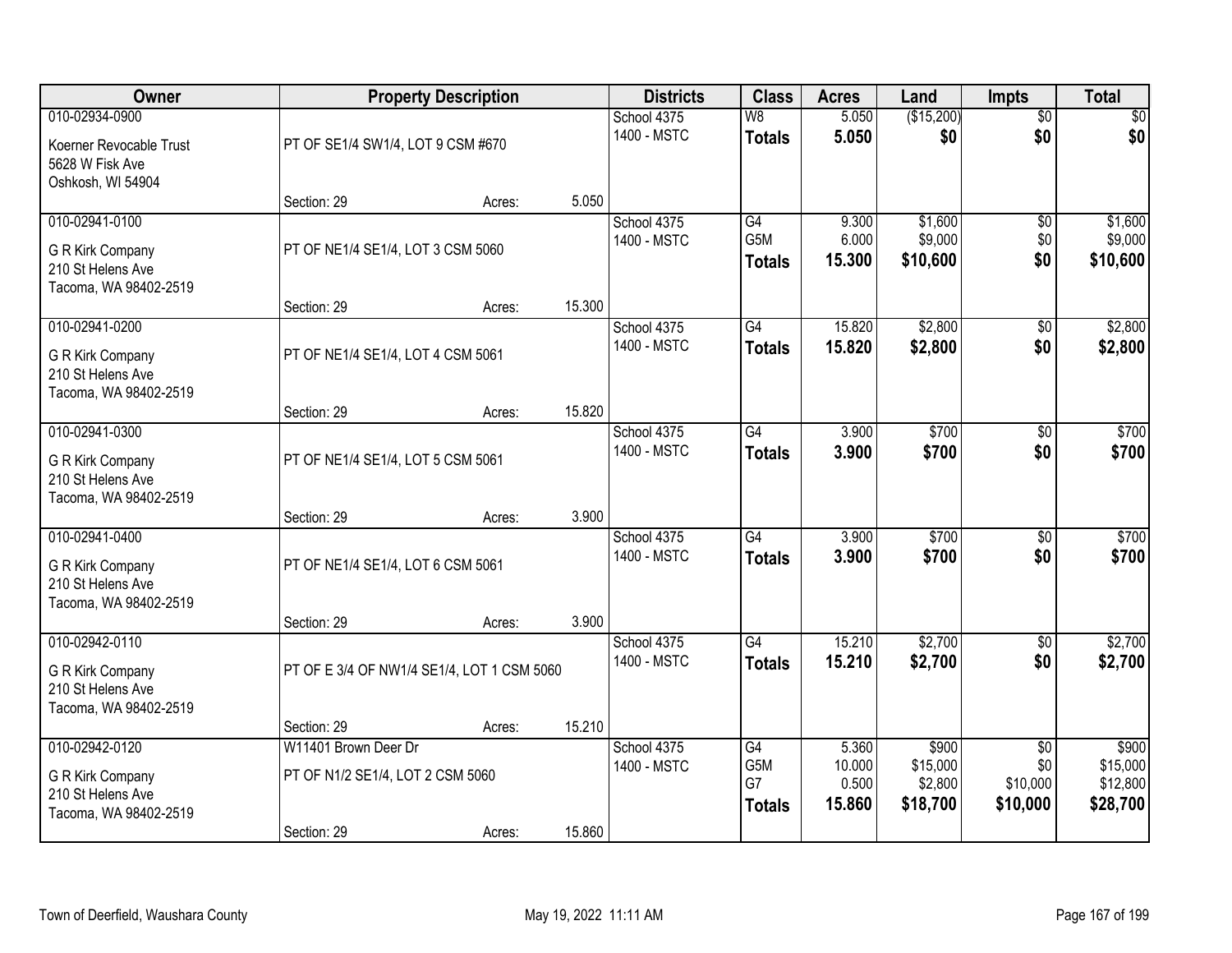| Owner                                                                             |                                                                         | <b>Property Description</b> |        | <b>Districts</b>           | <b>Class</b>                                  | <b>Acres</b>                       | Land                                     | <b>Impts</b>                                   | <b>Total</b>                              |
|-----------------------------------------------------------------------------------|-------------------------------------------------------------------------|-----------------------------|--------|----------------------------|-----------------------------------------------|------------------------------------|------------------------------------------|------------------------------------------------|-------------------------------------------|
| 010-02934-0900<br>Koerner Revocable Trust<br>5628 W Fisk Ave<br>Oshkosh, WI 54904 | PT OF SE1/4 SW1/4, LOT 9 CSM #670                                       |                             |        | School 4375<br>1400 - MSTC | $\overline{\mathsf{W}8}$<br><b>Totals</b>     | 5.050<br>5.050                     | (\$15,200)<br>\$0                        | $\overline{50}$<br>\$0                         | $\overline{30}$<br>\$0                    |
|                                                                                   | Section: 29                                                             | Acres:                      | 5.050  |                            |                                               |                                    |                                          |                                                |                                           |
| 010-02941-0100<br>G R Kirk Company<br>210 St Helens Ave<br>Tacoma, WA 98402-2519  | PT OF NE1/4 SE1/4, LOT 3 CSM 5060<br>Section: 29                        |                             | 15.300 | School 4375<br>1400 - MSTC | G4<br>G5M<br><b>Totals</b>                    | 9.300<br>6.000<br>15.300           | \$1,600<br>\$9,000<br>\$10,600           | \$0<br>\$0<br>\$0                              | \$1,600<br>\$9,000<br>\$10,600            |
| 010-02941-0200                                                                    |                                                                         | Acres:                      |        | School 4375                | $\overline{G4}$                               | 15.820                             | \$2,800                                  | \$0                                            | \$2,800                                   |
| G R Kirk Company<br>210 St Helens Ave<br>Tacoma, WA 98402-2519                    | PT OF NE1/4 SE1/4, LOT 4 CSM 5061                                       |                             |        | 1400 - MSTC                | <b>Totals</b>                                 | 15.820                             | \$2,800                                  | \$0                                            | \$2,800                                   |
|                                                                                   | Section: 29                                                             | Acres:                      | 15.820 |                            |                                               |                                    |                                          |                                                |                                           |
| 010-02941-0300<br>G R Kirk Company<br>210 St Helens Ave<br>Tacoma, WA 98402-2519  | PT OF NE1/4 SE1/4, LOT 5 CSM 5061                                       |                             |        | School 4375<br>1400 - MSTC | $\overline{G4}$<br><b>Totals</b>              | 3.900<br>3.900                     | \$700<br>\$700                           | \$0<br>\$0                                     | \$700<br>\$700                            |
|                                                                                   | Section: 29                                                             | Acres:                      | 3.900  |                            |                                               |                                    |                                          |                                                |                                           |
| 010-02941-0400<br>G R Kirk Company<br>210 St Helens Ave<br>Tacoma, WA 98402-2519  | PT OF NE1/4 SE1/4, LOT 6 CSM 5061                                       |                             |        | School 4375<br>1400 - MSTC | $\overline{G4}$<br><b>Totals</b>              | 3.900<br>3.900                     | \$700<br>\$700                           | $\overline{50}$<br>\$0                         | \$700<br>\$700                            |
|                                                                                   | Section: 29                                                             | Acres:                      | 3.900  |                            |                                               |                                    |                                          |                                                |                                           |
| 010-02942-0110<br>G R Kirk Company<br>210 St Helens Ave<br>Tacoma, WA 98402-2519  | PT OF E 3/4 OF NW1/4 SE1/4, LOT 1 CSM 5060                              |                             |        | School 4375<br>1400 - MSTC | G4<br><b>Totals</b>                           | 15.210<br>15.210                   | \$2,700<br>\$2,700                       | $\sqrt{$0}$<br>\$0                             | \$2,700<br>\$2,700                        |
|                                                                                   | Section: 29                                                             | Acres:                      | 15.210 |                            |                                               |                                    |                                          |                                                |                                           |
| 010-02942-0120<br>G R Kirk Company<br>210 St Helens Ave<br>Tacoma, WA 98402-2519  | W11401 Brown Deer Dr<br>PT OF N1/2 SE1/4, LOT 2 CSM 5060<br>Section: 29 | Acres:                      | 15.860 | School 4375<br>1400 - MSTC | $\overline{G4}$<br>G5M<br>G7<br><b>Totals</b> | 5.360<br>10.000<br>0.500<br>15.860 | \$900<br>\$15,000<br>\$2,800<br>\$18,700 | $\overline{50}$<br>\$0<br>\$10,000<br>\$10,000 | \$900<br>\$15,000<br>\$12,800<br>\$28,700 |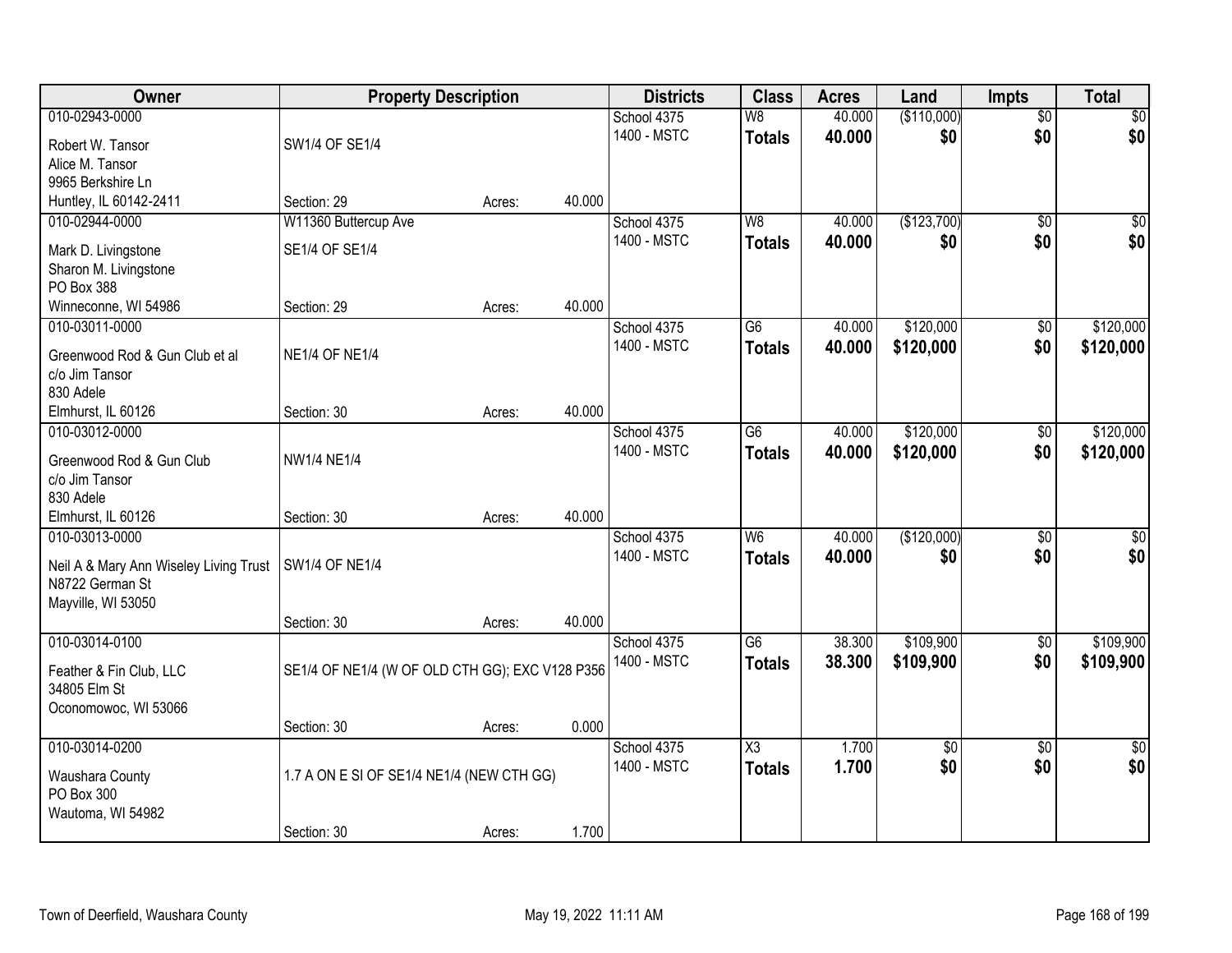| Owner                                      | <b>Property Description</b>                     |        |        | <b>Districts</b> | <b>Class</b>             | <b>Acres</b> | Land               | Impts           | <b>Total</b>    |
|--------------------------------------------|-------------------------------------------------|--------|--------|------------------|--------------------------|--------------|--------------------|-----------------|-----------------|
| 010-02943-0000                             |                                                 |        |        | School 4375      | $\overline{\mathsf{W}8}$ | 40.000       | (\$110,000)        | $\overline{50}$ | \$0             |
| Robert W. Tansor                           | SW1/4 OF SE1/4                                  |        |        | 1400 - MSTC      | <b>Totals</b>            | 40.000       | \$0                | \$0             | \$0             |
| Alice M. Tansor                            |                                                 |        |        |                  |                          |              |                    |                 |                 |
| 9965 Berkshire Ln                          |                                                 |        |        |                  |                          |              |                    |                 |                 |
| Huntley, IL 60142-2411                     | Section: 29                                     | Acres: | 40.000 |                  |                          |              |                    |                 |                 |
| 010-02944-0000                             | W11360 Buttercup Ave                            |        |        | School 4375      | W8                       | 40.000       | (\$123,700)        | $\overline{50}$ | $\sqrt{50}$     |
| Mark D. Livingstone                        | SE1/4 OF SE1/4                                  |        |        | 1400 - MSTC      | <b>Totals</b>            | 40.000       | \$0                | \$0             | \$0             |
| Sharon M. Livingstone                      |                                                 |        |        |                  |                          |              |                    |                 |                 |
| PO Box 388                                 |                                                 |        |        |                  |                          |              |                    |                 |                 |
| Winneconne, WI 54986                       | Section: 29                                     | Acres: | 40.000 |                  |                          |              |                    |                 |                 |
| 010-03011-0000                             |                                                 |        |        | School 4375      | G6                       | 40.000       | \$120,000          | \$0             | \$120,000       |
| Greenwood Rod & Gun Club et al             | <b>NE1/4 OF NE1/4</b>                           |        |        | 1400 - MSTC      | <b>Totals</b>            | 40.000       | \$120,000          | \$0             | \$120,000       |
| c/o Jim Tansor                             |                                                 |        |        |                  |                          |              |                    |                 |                 |
| 830 Adele                                  |                                                 |        |        |                  |                          |              |                    |                 |                 |
| Elmhurst, IL 60126                         | Section: 30                                     | Acres: | 40.000 |                  |                          |              |                    |                 |                 |
| 010-03012-0000                             |                                                 |        |        | School 4375      | G <sub>6</sub>           | 40.000       | \$120,000          | \$0             | \$120,000       |
|                                            |                                                 |        |        | 1400 - MSTC      | <b>Totals</b>            | 40.000       | \$120,000          | \$0             | \$120,000       |
| Greenwood Rod & Gun Club<br>c/o Jim Tansor | <b>NW1/4 NE1/4</b>                              |        |        |                  |                          |              |                    |                 |                 |
| 830 Adele                                  |                                                 |        |        |                  |                          |              |                    |                 |                 |
| Elmhurst, IL 60126                         | Section: 30                                     | Acres: | 40.000 |                  |                          |              |                    |                 |                 |
| 010-03013-0000                             |                                                 |        |        | School 4375      | $\overline{W6}$          | 40.000       | (\$120,000)        | $\overline{50}$ | $\overline{50}$ |
|                                            |                                                 |        |        | 1400 - MSTC      | <b>Totals</b>            | 40.000       | \$0                | \$0             | \$0             |
| Neil A & Mary Ann Wiseley Living Trust     | <b>SW1/4 OF NE1/4</b>                           |        |        |                  |                          |              |                    |                 |                 |
| N8722 German St                            |                                                 |        |        |                  |                          |              |                    |                 |                 |
| Mayville, WI 53050                         | Section: 30                                     |        | 40.000 |                  |                          |              |                    |                 |                 |
| 010-03014-0100                             |                                                 | Acres: |        | School 4375      | G6                       | 38.300       | \$109,900          | $\overline{50}$ | \$109,900       |
|                                            |                                                 |        |        | 1400 - MSTC      | <b>Totals</b>            | 38.300       | \$109,900          | \$0             | \$109,900       |
| Feather & Fin Club, LLC                    | SE1/4 OF NE1/4 (W OF OLD CTH GG); EXC V128 P356 |        |        |                  |                          |              |                    |                 |                 |
| 34805 Elm St                               |                                                 |        |        |                  |                          |              |                    |                 |                 |
| Oconomowoc, WI 53066                       |                                                 |        | 0.000  |                  |                          |              |                    |                 |                 |
| 010-03014-0200                             | Section: 30                                     | Acres: |        | School 4375      | $\overline{\text{X3}}$   | 1.700        |                    | $\overline{30}$ | $\overline{50}$ |
|                                            |                                                 |        |        | 1400 - MSTC      |                          | 1.700        | $\sqrt{$0}$<br>\$0 | \$0             | \$0             |
| Waushara County                            | 1.7 A ON E SI OF SE1/4 NE1/4 (NEW CTH GG)       |        |        |                  | <b>Totals</b>            |              |                    |                 |                 |
| PO Box 300                                 |                                                 |        |        |                  |                          |              |                    |                 |                 |
| Wautoma, WI 54982                          |                                                 |        |        |                  |                          |              |                    |                 |                 |
|                                            | Section: 30                                     | Acres: | 1.700  |                  |                          |              |                    |                 |                 |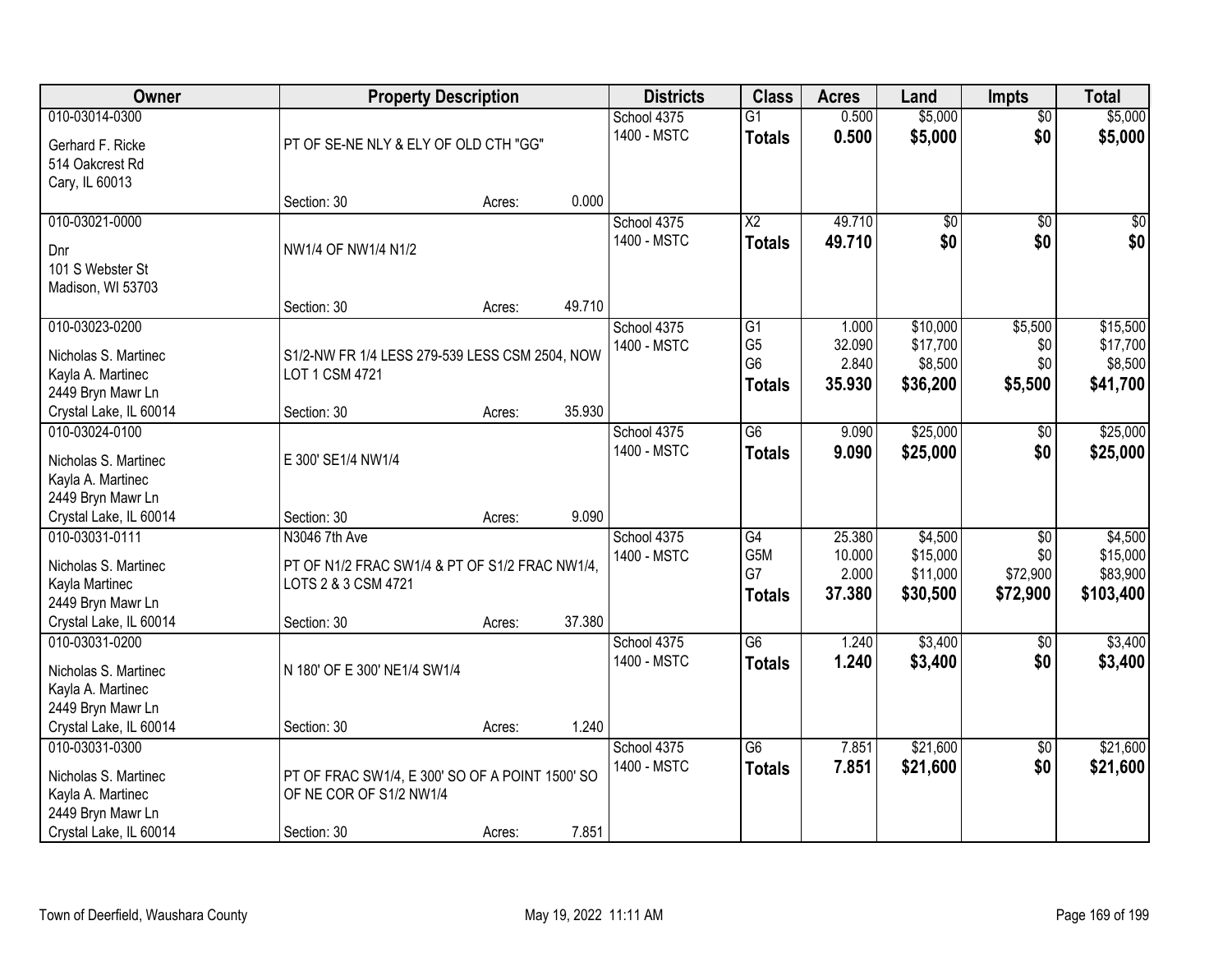| Owner                                                                                                      |                                                                                                       | <b>Property Description</b> |        |                            | <b>Class</b>                                                         | <b>Acres</b>                        | Land                                        | <b>Impts</b>                                   | <b>Total</b>                                 |
|------------------------------------------------------------------------------------------------------------|-------------------------------------------------------------------------------------------------------|-----------------------------|--------|----------------------------|----------------------------------------------------------------------|-------------------------------------|---------------------------------------------|------------------------------------------------|----------------------------------------------|
| 010-03014-0300<br>Gerhard F. Ricke<br>514 Oakcrest Rd                                                      | PT OF SE-NE NLY & ELY OF OLD CTH "GG"                                                                 |                             |        | School 4375<br>1400 - MSTC | $\overline{G1}$<br><b>Totals</b>                                     | 0.500<br>0.500                      | \$5,000<br>\$5,000                          | $\overline{50}$<br>\$0                         | \$5,000<br>\$5,000                           |
| Cary, IL 60013                                                                                             | Section: 30                                                                                           | Acres:                      | 0.000  |                            |                                                                      |                                     |                                             |                                                |                                              |
| 010-03021-0000<br>Dnr<br>101 S Webster St<br>Madison, WI 53703                                             | NW1/4 OF NW1/4 N1/2                                                                                   |                             |        | School 4375<br>1400 - MSTC | $\overline{\text{X2}}$<br><b>Totals</b>                              | 49.710<br>49.710                    | $\overline{50}$<br>\$0                      | $\overline{50}$<br>\$0                         | \$0<br>\$0                                   |
|                                                                                                            | Section: 30                                                                                           | Acres:                      | 49.710 |                            |                                                                      |                                     |                                             |                                                |                                              |
| 010-03023-0200<br>Nicholas S. Martinec<br>Kayla A. Martinec<br>2449 Bryn Mawr Ln                           | S1/2-NW FR 1/4 LESS 279-539 LESS CSM 2504, NOW<br>LOT 1 CSM 4721                                      |                             |        | School 4375<br>1400 - MSTC | $\overline{G1}$<br>G <sub>5</sub><br>G <sub>6</sub><br><b>Totals</b> | 1.000<br>32.090<br>2.840<br>35.930  | \$10,000<br>\$17,700<br>\$8,500<br>\$36,200 | \$5,500<br>\$0<br>\$0<br>\$5,500               | \$15,500<br>\$17,700<br>\$8,500<br>\$41,700  |
| Crystal Lake, IL 60014                                                                                     | Section: 30                                                                                           | Acres:                      | 35.930 |                            |                                                                      |                                     |                                             |                                                |                                              |
| 010-03024-0100<br>Nicholas S. Martinec<br>Kayla A. Martinec<br>2449 Bryn Mawr Ln                           | E 300' SE1/4 NW1/4                                                                                    |                             |        | School 4375<br>1400 - MSTC | G6<br><b>Totals</b>                                                  | 9.090<br>9.090                      | \$25,000<br>\$25,000                        | $\sqrt[6]{}$<br>\$0                            | \$25,000<br>\$25,000                         |
| Crystal Lake, IL 60014                                                                                     | Section: 30                                                                                           | Acres:                      | 9.090  |                            |                                                                      |                                     |                                             |                                                |                                              |
| 010-03031-0111<br>Nicholas S. Martinec<br>Kayla Martinec<br>2449 Bryn Mawr Ln<br>Crystal Lake, IL 60014    | N3046 7th Ave<br>PT OF N1/2 FRAC SW1/4 & PT OF S1/2 FRAC NW1/4,<br>LOTS 2 & 3 CSM 4721<br>Section: 30 | Acres:                      | 37.380 | School 4375<br>1400 - MSTC | $\overline{G4}$<br>G5M<br>G7<br><b>Totals</b>                        | 25.380<br>10.000<br>2.000<br>37.380 | \$4,500<br>\$15,000<br>\$11,000<br>\$30,500 | $\overline{30}$<br>\$0<br>\$72,900<br>\$72,900 | \$4,500<br>\$15,000<br>\$83,900<br>\$103,400 |
| 010-03031-0200<br>Nicholas S. Martinec<br>Kayla A. Martinec<br>2449 Bryn Mawr Ln                           | N 180' OF E 300' NE1/4 SW1/4                                                                          |                             |        | School 4375<br>1400 - MSTC | $\overline{G6}$<br><b>Totals</b>                                     | 1.240<br>1.240                      | \$3,400<br>\$3,400                          | $\sqrt{$0}$<br>\$0                             | \$3,400<br>\$3,400                           |
| Crystal Lake, IL 60014                                                                                     | Section: 30                                                                                           | Acres:                      | 1.240  |                            |                                                                      |                                     |                                             |                                                |                                              |
| 010-03031-0300<br>Nicholas S. Martinec<br>Kayla A. Martinec<br>2449 Bryn Mawr Ln<br>Crystal Lake, IL 60014 | PT OF FRAC SW1/4, E 300' SO OF A POINT 1500' SO<br>OF NE COR OF S1/2 NW1/4<br>Section: 30             | Acres:                      | 7.851  | School 4375<br>1400 - MSTC | $\overline{G6}$<br><b>Totals</b>                                     | 7.851<br>7.851                      | \$21,600<br>\$21,600                        | $\overline{50}$<br>\$0                         | \$21,600<br>\$21,600                         |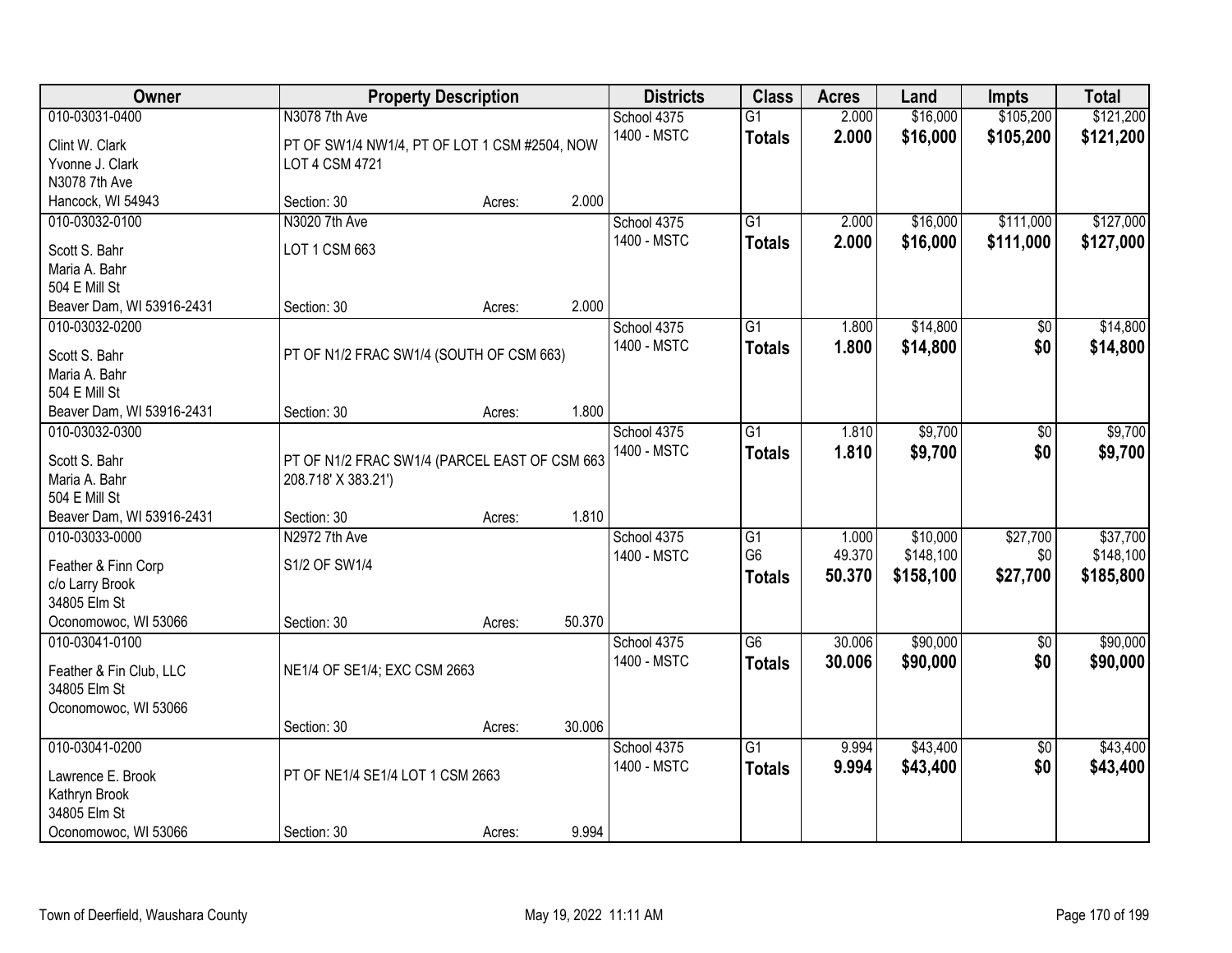| Owner                                                                                            |                                                                                  | <b>Property Description</b> |        | <b>Districts</b>           | <b>Class</b>                                       | <b>Acres</b>              | Land                               | Impts                       | <b>Total</b>                       |
|--------------------------------------------------------------------------------------------------|----------------------------------------------------------------------------------|-----------------------------|--------|----------------------------|----------------------------------------------------|---------------------------|------------------------------------|-----------------------------|------------------------------------|
| 010-03031-0400<br>Clint W. Clark<br>Yvonne J. Clark                                              | N3078 7th Ave<br>PT OF SW1/4 NW1/4, PT OF LOT 1 CSM #2504, NOW<br>LOT 4 CSM 4721 |                             |        | School 4375<br>1400 - MSTC | $\overline{G1}$<br><b>Totals</b>                   | 2.000<br>2.000            | \$16,000<br>\$16,000               | \$105,200<br>\$105,200      | \$121,200<br>\$121,200             |
| N3078 7th Ave<br>Hancock, WI 54943                                                               | Section: 30                                                                      | Acres:                      | 2.000  |                            |                                                    |                           |                                    |                             |                                    |
| 010-03032-0100<br>Scott S. Bahr<br>Maria A. Bahr<br>504 E Mill St                                | N3020 7th Ave<br>LOT 1 CSM 663                                                   |                             |        | School 4375<br>1400 - MSTC | $\overline{G1}$<br><b>Totals</b>                   | 2.000<br>2.000            | \$16,000<br>\$16,000               | \$111,000<br>\$111,000      | \$127,000<br>\$127,000             |
| Beaver Dam, WI 53916-2431                                                                        | Section: 30                                                                      | Acres:                      | 2.000  |                            |                                                    |                           |                                    |                             |                                    |
| 010-03032-0200<br>Scott S. Bahr<br>Maria A. Bahr<br>504 E Mill St                                | PT OF N1/2 FRAC SW1/4 (SOUTH OF CSM 663)                                         |                             |        | School 4375<br>1400 - MSTC | G <sub>1</sub><br><b>Totals</b>                    | 1.800<br>1.800            | \$14,800<br>\$14,800               | \$0<br>\$0                  | \$14,800<br>\$14,800               |
| Beaver Dam, WI 53916-2431                                                                        | Section: 30                                                                      | Acres:                      | 1.800  |                            |                                                    |                           |                                    |                             |                                    |
| 010-03032-0300<br>Scott S. Bahr<br>Maria A. Bahr<br>504 E Mill St                                | PT OF N1/2 FRAC SW1/4 (PARCEL EAST OF CSM 663<br>208.718' X 383.21')             |                             |        | School 4375<br>1400 - MSTC | G1<br><b>Totals</b>                                | 1.810<br>1.810            | \$9,700<br>\$9,700                 | \$0<br>\$0                  | \$9,700<br>\$9,700                 |
| Beaver Dam, WI 53916-2431                                                                        | Section: 30                                                                      | Acres:                      | 1.810  |                            |                                                    |                           |                                    |                             |                                    |
| 010-03033-0000<br>Feather & Finn Corp<br>c/o Larry Brook<br>34805 Elm St<br>Oconomowoc, WI 53066 | N2972 7th Ave<br>S1/2 OF SW1/4<br>Section: 30                                    | Acres:                      | 50.370 | School 4375<br>1400 - MSTC | $\overline{G1}$<br>G <sub>6</sub><br><b>Totals</b> | 1.000<br>49.370<br>50.370 | \$10,000<br>\$148,100<br>\$158,100 | \$27,700<br>\$0<br>\$27,700 | \$37,700<br>\$148,100<br>\$185,800 |
| 010-03041-0100<br>Feather & Fin Club, LLC<br>34805 Elm St<br>Oconomowoc, WI 53066                | NE1/4 OF SE1/4; EXC CSM 2663                                                     |                             |        | School 4375<br>1400 - MSTC | G6<br><b>Totals</b>                                | 30.006<br>30.006          | \$90,000<br>\$90,000               | $\overline{50}$<br>\$0      | \$90,000<br>\$90,000               |
|                                                                                                  | Section: 30                                                                      | Acres:                      | 30.006 |                            |                                                    |                           |                                    |                             |                                    |
| 010-03041-0200<br>Lawrence E. Brook<br>Kathryn Brook<br>34805 Elm St                             | PT OF NE1/4 SE1/4 LOT 1 CSM 2663                                                 |                             |        | School 4375<br>1400 - MSTC | $\overline{G1}$<br><b>Totals</b>                   | 9.994<br>9.994            | \$43,400<br>\$43,400               | $\overline{50}$<br>\$0      | \$43,400<br>\$43,400               |
| Oconomowoc, WI 53066                                                                             | Section: 30                                                                      | Acres:                      | 9.994  |                            |                                                    |                           |                                    |                             |                                    |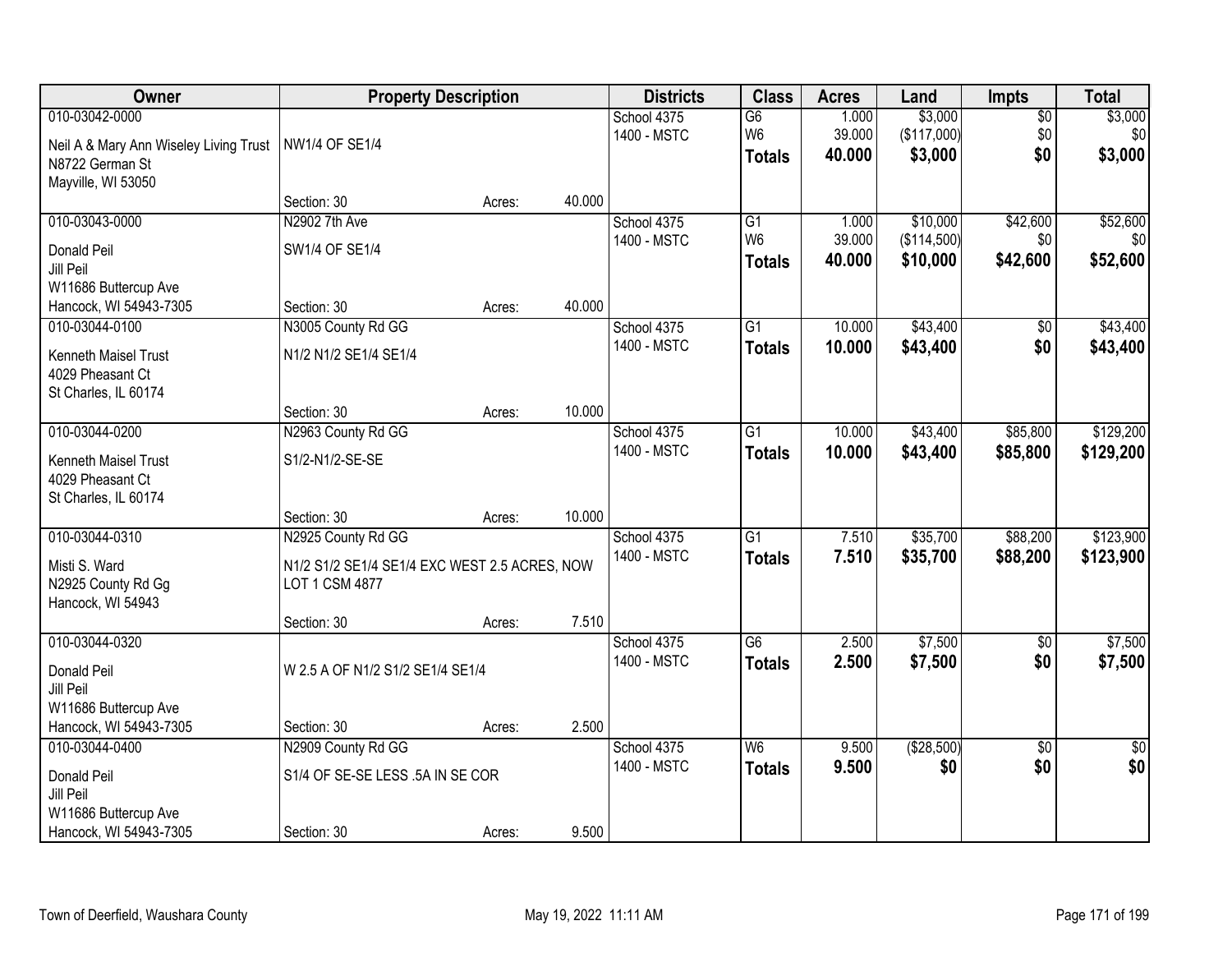| Owner                                                                                             |                                                                                       | <b>Property Description</b> |        | <b>Districts</b>           | <b>Class</b>                              | <b>Acres</b>              | Land                                | Impts                         | <b>Total</b>                |
|---------------------------------------------------------------------------------------------------|---------------------------------------------------------------------------------------|-----------------------------|--------|----------------------------|-------------------------------------------|---------------------------|-------------------------------------|-------------------------------|-----------------------------|
| 010-03042-0000<br>Neil A & Mary Ann Wiseley Living Trust<br>N8722 German St<br>Mayville, WI 53050 | NW1/4 OF SE1/4                                                                        |                             |        | School 4375<br>1400 - MSTC | G6<br>W <sub>6</sub><br><b>Totals</b>     | 1.000<br>39.000<br>40.000 | \$3,000<br>(\$117,000)<br>\$3,000   | $\overline{60}$<br>\$0<br>\$0 | \$3,000<br>\$0<br>\$3,000   |
|                                                                                                   | Section: 30                                                                           | Acres:                      | 40.000 |                            |                                           |                           |                                     |                               |                             |
| 010-03043-0000<br>Donald Peil<br>Jill Peil<br>W11686 Buttercup Ave                                | N2902 7th Ave<br>SW1/4 OF SE1/4                                                       |                             |        | School 4375<br>1400 - MSTC | G1<br>W <sub>6</sub><br><b>Totals</b>     | 1.000<br>39.000<br>40.000 | \$10,000<br>(\$114,500)<br>\$10,000 | \$42,600<br>\$0<br>\$42,600   | \$52,600<br>\$0<br>\$52,600 |
| Hancock, WI 54943-7305                                                                            | Section: 30                                                                           | Acres:                      | 40.000 |                            |                                           |                           |                                     |                               |                             |
| 010-03044-0100<br>Kenneth Maisel Trust<br>4029 Pheasant Ct<br>St Charles, IL 60174                | N3005 County Rd GG<br>N1/2 N1/2 SE1/4 SE1/4                                           |                             |        | School 4375<br>1400 - MSTC | G1<br><b>Totals</b>                       | 10.000<br>10.000          | \$43,400<br>\$43,400                | \$0<br>\$0                    | \$43,400<br>\$43,400        |
|                                                                                                   | Section: 30                                                                           | Acres:                      | 10.000 |                            |                                           |                           |                                     |                               |                             |
| 010-03044-0200<br>Kenneth Maisel Trust<br>4029 Pheasant Ct<br>St Charles, IL 60174                | N2963 County Rd GG<br>S1/2-N1/2-SE-SE                                                 |                             |        | School 4375<br>1400 - MSTC | G1<br><b>Totals</b>                       | 10.000<br>10.000          | \$43,400<br>\$43,400                | \$85,800<br>\$85,800          | \$129,200<br>\$129,200      |
|                                                                                                   | Section: 30                                                                           | Acres:                      | 10.000 |                            |                                           |                           |                                     |                               |                             |
| 010-03044-0310<br>Misti S. Ward<br>N2925 County Rd Gg<br>Hancock, WI 54943                        | N2925 County Rd GG<br>N1/2 S1/2 SE1/4 SE1/4 EXC WEST 2.5 ACRES, NOW<br>LOT 1 CSM 4877 |                             |        | School 4375<br>1400 - MSTC | $\overline{G1}$<br><b>Totals</b>          | 7.510<br>7.510            | \$35,700<br>\$35,700                | \$88,200<br>\$88,200          | \$123,900<br>\$123,900      |
|                                                                                                   | Section: 30                                                                           | Acres:                      | 7.510  |                            |                                           |                           |                                     |                               |                             |
| 010-03044-0320<br>Donald Peil<br>Jill Peil<br>W11686 Buttercup Ave                                | W 2.5 A OF N1/2 S1/2 SE1/4 SE1/4                                                      |                             |        | School 4375<br>1400 - MSTC | G6<br><b>Totals</b>                       | 2.500<br>2.500            | \$7,500<br>\$7,500                  | $\overline{50}$<br>\$0        | \$7,500<br>\$7,500          |
| Hancock, WI 54943-7305                                                                            | Section: 30                                                                           | Acres:                      | 2.500  |                            |                                           |                           |                                     |                               |                             |
| 010-03044-0400<br>Donald Peil<br>Jill Peil<br>W11686 Buttercup Ave<br>Hancock, WI 54943-7305      | N2909 County Rd GG<br>S1/4 OF SE-SE LESS .5A IN SE COR<br>Section: 30                 | Acres:                      | 9.500  | School 4375<br>1400 - MSTC | $\overline{\mathsf{W6}}$<br><b>Totals</b> | 9.500<br>9.500            | (\$28,500)<br>\$0                   | $\overline{50}$<br>\$0        | $\overline{50}$<br>\$0      |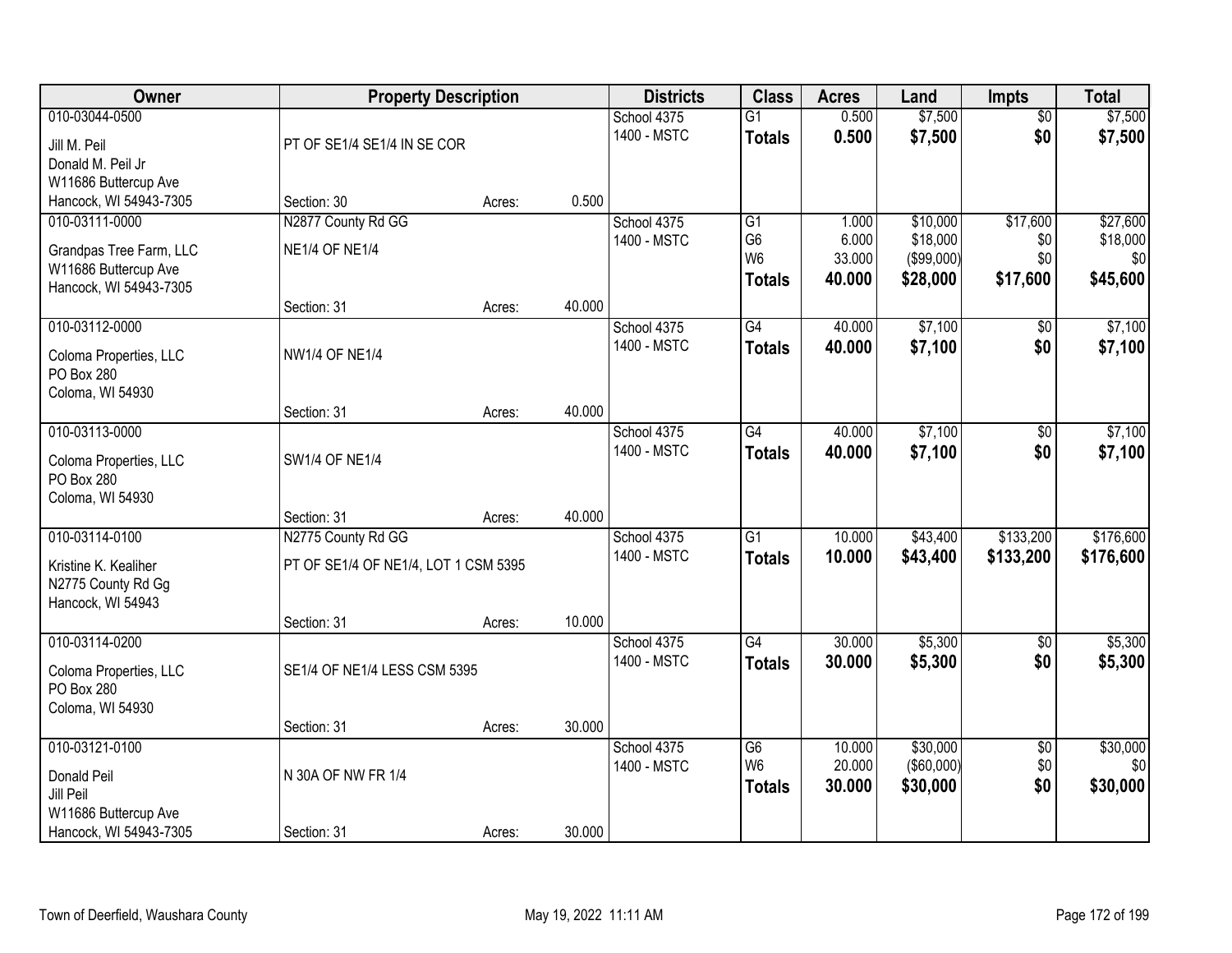| Owner                                | <b>Property Description</b>          |        |        | <b>Districts</b> | <b>Class</b>                     | <b>Acres</b>    | Land                   | <b>Impts</b>    | <b>Total</b>    |
|--------------------------------------|--------------------------------------|--------|--------|------------------|----------------------------------|-----------------|------------------------|-----------------|-----------------|
| 010-03044-0500                       |                                      |        |        | School 4375      | $\overline{G1}$                  | 0.500           | \$7,500                | $\overline{50}$ | \$7,500         |
| Jill M. Peil                         | PT OF SE1/4 SE1/4 IN SE COR          |        |        | 1400 - MSTC      | <b>Totals</b>                    | 0.500           | \$7,500                | \$0             | \$7,500         |
| Donald M. Peil Jr                    |                                      |        |        |                  |                                  |                 |                        |                 |                 |
| W11686 Buttercup Ave                 |                                      |        |        |                  |                                  |                 |                        |                 |                 |
| Hancock, WI 54943-7305               | Section: 30                          | Acres: | 0.500  |                  |                                  |                 |                        |                 |                 |
| 010-03111-0000                       | N2877 County Rd GG                   |        |        | School 4375      | $\overline{G1}$                  | 1.000           | \$10,000               | \$17,600        | \$27,600        |
| Grandpas Tree Farm, LLC              | <b>NE1/4 OF NE1/4</b>                |        |        | 1400 - MSTC      | G <sub>6</sub><br>W <sub>6</sub> | 6.000<br>33.000 | \$18,000<br>(\$99,000) | \$0<br>\$0      | \$18,000<br>\$0 |
| W11686 Buttercup Ave                 |                                      |        |        |                  |                                  | 40.000          | \$28,000               | \$17,600        | \$45,600        |
| Hancock, WI 54943-7305               |                                      |        |        |                  | <b>Totals</b>                    |                 |                        |                 |                 |
|                                      | Section: 31                          | Acres: | 40.000 |                  |                                  |                 |                        |                 |                 |
| 010-03112-0000                       |                                      |        |        | School 4375      | G4                               | 40.000          | \$7,100                | $\sqrt[6]{3}$   | \$7,100         |
| Coloma Properties, LLC               | <b>NW1/4 OF NE1/4</b>                |        |        | 1400 - MSTC      | <b>Totals</b>                    | 40.000          | \$7,100                | \$0             | \$7,100         |
| PO Box 280                           |                                      |        |        |                  |                                  |                 |                        |                 |                 |
| Coloma, WI 54930                     |                                      |        |        |                  |                                  |                 |                        |                 |                 |
|                                      | Section: 31                          | Acres: | 40.000 |                  |                                  |                 |                        |                 |                 |
| 010-03113-0000                       |                                      |        |        | School 4375      | G4                               | 40.000          | \$7,100                | $\sqrt[6]{}$    | \$7,100         |
| Coloma Properties, LLC               | SW1/4 OF NE1/4                       |        |        | 1400 - MSTC      | <b>Totals</b>                    | 40,000          | \$7,100                | \$0             | \$7,100         |
| PO Box 280                           |                                      |        |        |                  |                                  |                 |                        |                 |                 |
| Coloma, WI 54930                     |                                      |        |        |                  |                                  |                 |                        |                 |                 |
|                                      | Section: 31                          | Acres: | 40.000 |                  |                                  |                 |                        |                 |                 |
| 010-03114-0100                       | N2775 County Rd GG                   |        |        | School 4375      | $\overline{G1}$                  | 10.000          | \$43,400               | \$133,200       | \$176,600       |
| Kristine K. Kealiher                 | PT OF SE1/4 OF NE1/4, LOT 1 CSM 5395 |        |        | 1400 - MSTC      | <b>Totals</b>                    | 10.000          | \$43,400               | \$133,200       | \$176,600       |
| N2775 County Rd Gg                   |                                      |        |        |                  |                                  |                 |                        |                 |                 |
| Hancock, WI 54943                    |                                      |        |        |                  |                                  |                 |                        |                 |                 |
|                                      | Section: 31                          | Acres: | 10.000 |                  |                                  |                 |                        |                 |                 |
| 010-03114-0200                       |                                      |        |        | School 4375      | $\overline{G4}$                  | 30.000          | \$5,300                | $\sqrt{6}$      | \$5,300         |
|                                      |                                      |        |        | 1400 - MSTC      | <b>Totals</b>                    | 30.000          | \$5,300                | \$0             | \$5,300         |
| Coloma Properties, LLC<br>PO Box 280 | SE1/4 OF NE1/4 LESS CSM 5395         |        |        |                  |                                  |                 |                        |                 |                 |
| Coloma, WI 54930                     |                                      |        |        |                  |                                  |                 |                        |                 |                 |
|                                      | Section: 31                          | Acres: | 30.000 |                  |                                  |                 |                        |                 |                 |
| 010-03121-0100                       |                                      |        |        | School 4375      | G6                               | 10.000          | \$30,000               | $\overline{60}$ | \$30,000        |
|                                      |                                      |        |        | 1400 - MSTC      | W <sub>6</sub>                   | 20.000          | $($ \$60,000) $ $      | \$0             | \$0             |
| Donald Peil<br>Jill Peil             | N 30A OF NW FR 1/4                   |        |        |                  | <b>Totals</b>                    | 30.000          | \$30,000               | \$0             | \$30,000        |
| W11686 Buttercup Ave                 |                                      |        |        |                  |                                  |                 |                        |                 |                 |
| Hancock, WI 54943-7305               | Section: 31                          | Acres: | 30.000 |                  |                                  |                 |                        |                 |                 |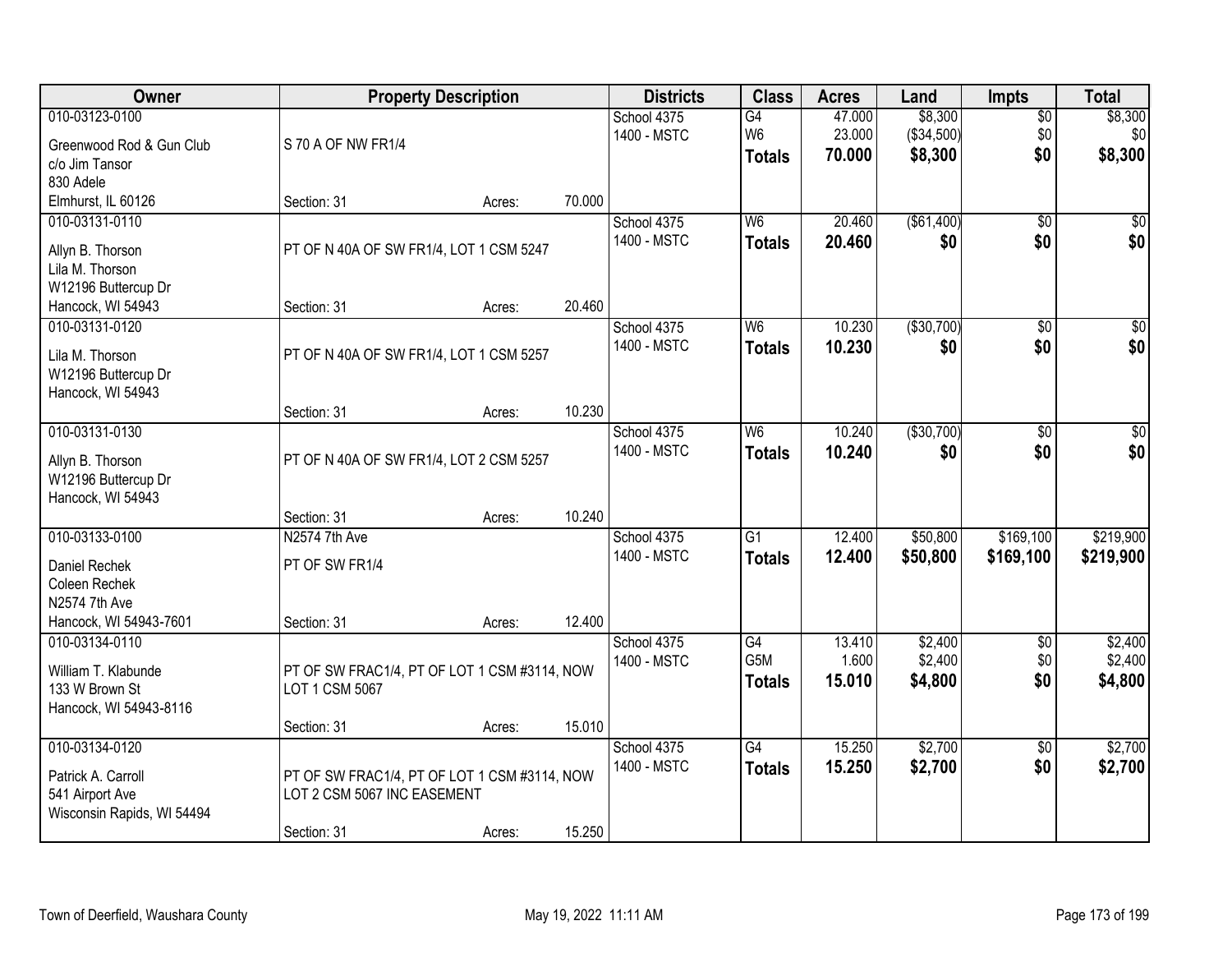| Owner                                                                                       |                                                                             | <b>Property Description</b> |        | <b>Districts</b>           | <b>Class</b>                                       | <b>Acres</b>               | Land                             | <b>Impts</b>              | <b>Total</b>                  |
|---------------------------------------------------------------------------------------------|-----------------------------------------------------------------------------|-----------------------------|--------|----------------------------|----------------------------------------------------|----------------------------|----------------------------------|---------------------------|-------------------------------|
| 010-03123-0100<br>Greenwood Rod & Gun Club<br>c/o Jim Tansor                                | S 70 A OF NW FR1/4                                                          |                             |        | School 4375<br>1400 - MSTC | $\overline{G4}$<br>W <sub>6</sub><br><b>Totals</b> | 47.000<br>23.000<br>70.000 | \$8,300<br>(\$34,500)<br>\$8,300 | $\sqrt{$0}$<br>\$0<br>\$0 | \$8,300<br>\$0<br>\$8,300     |
| 830 Adele<br>Elmhurst, IL 60126                                                             | Section: 31                                                                 | Acres:                      | 70.000 |                            |                                                    |                            |                                  |                           |                               |
| 010-03131-0110<br>Allyn B. Thorson<br>Lila M. Thorson<br>W12196 Buttercup Dr                | PT OF N 40A OF SW FR1/4, LOT 1 CSM 5247                                     |                             |        | School 4375<br>1400 - MSTC | W6<br><b>Totals</b>                                | 20.460<br>20.460           | (\$61,400)<br>\$0                | $\overline{50}$<br>\$0    | \$0<br>\$0                    |
| Hancock, WI 54943<br>010-03131-0120                                                         | Section: 31                                                                 | Acres:                      | 20.460 | School 4375                | W <sub>6</sub>                                     | 10.230                     | ( \$30,700)                      | \$0                       | $\overline{50}$               |
| Lila M. Thorson<br>W12196 Buttercup Dr<br>Hancock, WI 54943                                 | PT OF N 40A OF SW FR1/4, LOT 1 CSM 5257                                     |                             |        | 1400 - MSTC                | <b>Totals</b>                                      | 10.230                     | \$0                              | \$0                       | \$0                           |
|                                                                                             | Section: 31                                                                 | Acres:                      | 10.230 |                            |                                                    |                            |                                  |                           |                               |
| 010-03131-0130<br>Allyn B. Thorson<br>W12196 Buttercup Dr<br>Hancock, WI 54943              | PT OF N 40A OF SW FR1/4, LOT 2 CSM 5257                                     |                             |        | School 4375<br>1400 - MSTC | W <sub>6</sub><br><b>Totals</b>                    | 10.240<br>10.240           | ( \$30,700)<br>\$0               | $\sqrt[6]{3}$<br>\$0      | $\sqrt{50}$<br>\$0            |
|                                                                                             | Section: 31                                                                 | Acres:                      | 10.240 |                            |                                                    |                            |                                  |                           |                               |
| 010-03133-0100<br>Daniel Rechek<br>Coleen Rechek<br>N2574 7th Ave<br>Hancock, WI 54943-7601 | N2574 7th Ave<br>PT OF SW FR1/4<br>Section: 31                              | Acres:                      | 12.400 | School 4375<br>1400 - MSTC | $\overline{G1}$<br><b>Totals</b>                   | 12.400<br>12.400           | \$50,800<br>\$50,800             | \$169,100<br>\$169,100    | \$219,900<br>\$219,900        |
| 010-03134-0110<br>William T. Klabunde<br>133 W Brown St<br>Hancock, WI 54943-8116           | PT OF SW FRAC1/4, PT OF LOT 1 CSM #3114, NOW<br>LOT 1 CSM 5067              |                             |        | School 4375<br>1400 - MSTC | $\overline{G4}$<br>G5M<br><b>Totals</b>            | 13.410<br>1.600<br>15.010  | \$2,400<br>\$2,400<br>\$4,800    | $\sqrt{$0}$<br>\$0<br>\$0 | \$2,400<br>\$2,400<br>\$4,800 |
| 010-03134-0120                                                                              | Section: 31                                                                 | Acres:                      | 15.010 | School 4375                | $\overline{G4}$                                    | 15.250                     | \$2,700                          | $\overline{50}$           | \$2,700                       |
| Patrick A. Carroll<br>541 Airport Ave<br>Wisconsin Rapids, WI 54494                         | PT OF SW FRAC1/4, PT OF LOT 1 CSM #3114, NOW<br>LOT 2 CSM 5067 INC EASEMENT |                             |        | 1400 - MSTC                | <b>Totals</b>                                      | 15.250                     | \$2,700                          | \$0                       | \$2,700                       |
|                                                                                             | Section: 31                                                                 | Acres:                      | 15.250 |                            |                                                    |                            |                                  |                           |                               |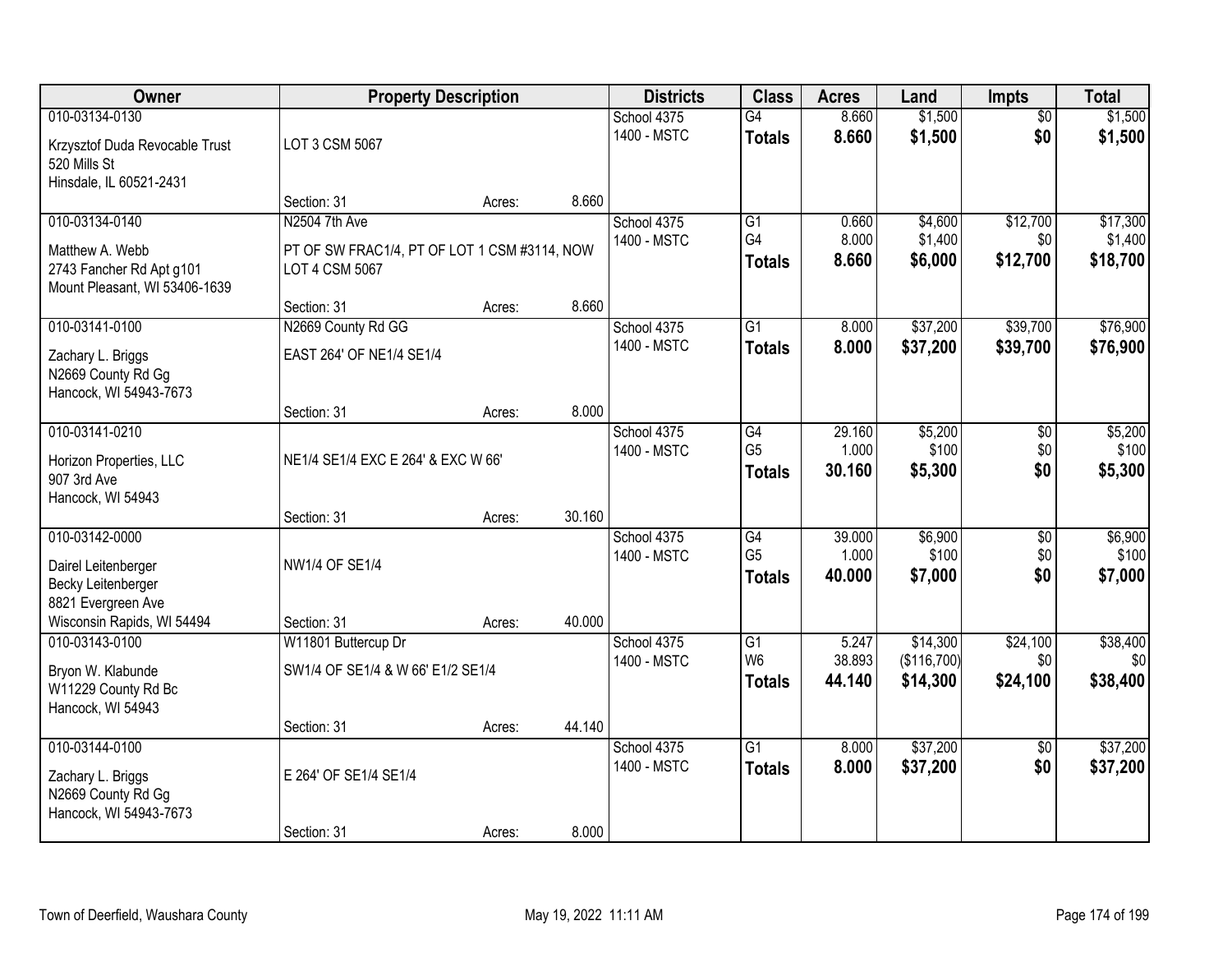| Owner                                                                                                           |                                                                                 | <b>Property Description</b> |        | <b>Districts</b>           | <b>Class</b>                                       | <b>Acres</b>              | Land                          | <b>Impts</b>                  | <b>Total</b>                    |
|-----------------------------------------------------------------------------------------------------------------|---------------------------------------------------------------------------------|-----------------------------|--------|----------------------------|----------------------------------------------------|---------------------------|-------------------------------|-------------------------------|---------------------------------|
| 010-03134-0130<br>Krzysztof Duda Revocable Trust<br>520 Mills St                                                | LOT 3 CSM 5067                                                                  |                             |        | School 4375<br>1400 - MSTC | G4<br><b>Totals</b>                                | 8.660<br>8.660            | \$1,500<br>\$1,500            | $\overline{50}$<br>\$0        | \$1,500<br>\$1,500              |
| Hinsdale, IL 60521-2431                                                                                         | Section: 31                                                                     | Acres:                      | 8.660  |                            |                                                    |                           |                               |                               |                                 |
| 010-03134-0140<br>Matthew A. Webb<br>2743 Fancher Rd Apt g101<br>Mount Pleasant, WI 53406-1639                  | N2504 7th Ave<br>PT OF SW FRAC1/4, PT OF LOT 1 CSM #3114, NOW<br>LOT 4 CSM 5067 |                             |        | School 4375<br>1400 - MSTC | $\overline{G1}$<br>G <sub>4</sub><br><b>Totals</b> | 0.660<br>8.000<br>8.660   | \$4,600<br>\$1,400<br>\$6,000 | \$12,700<br>\$0<br>\$12,700   | \$17,300<br>\$1,400<br>\$18,700 |
| 010-03141-0100                                                                                                  | Section: 31<br>N2669 County Rd GG                                               | Acres:                      | 8.660  | School 4375<br>1400 - MSTC | $\overline{G1}$                                    | 8.000                     | \$37,200                      | \$39,700                      | \$76,900                        |
| Zachary L. Briggs<br>N2669 County Rd Gg<br>Hancock, WI 54943-7673                                               | EAST 264' OF NE1/4 SE1/4                                                        |                             |        |                            | <b>Totals</b>                                      | 8.000                     | \$37,200                      | \$39,700                      | \$76,900                        |
|                                                                                                                 | Section: 31                                                                     | Acres:                      | 8.000  |                            |                                                    |                           |                               |                               |                                 |
| 010-03141-0210<br>Horizon Properties, LLC<br>907 3rd Ave<br>Hancock, WI 54943                                   | NE1/4 SE1/4 EXC E 264' & EXC W 66'                                              |                             |        | School 4375<br>1400 - MSTC | $\overline{G4}$<br>G <sub>5</sub><br><b>Totals</b> | 29.160<br>1.000<br>30.160 | \$5,200<br>\$100<br>\$5,300   | \$0<br>\$0<br>\$0             | \$5,200<br>\$100<br>\$5,300     |
|                                                                                                                 | Section: 31                                                                     | Acres:                      | 30.160 |                            |                                                    |                           |                               |                               |                                 |
| 010-03142-0000<br>Dairel Leitenberger<br>Becky Leitenberger<br>8821 Evergreen Ave<br>Wisconsin Rapids, WI 54494 | <b>NW1/4 OF SE1/4</b><br>Section: 31                                            | Acres:                      | 40.000 | School 4375<br>1400 - MSTC | G4<br>G <sub>5</sub><br><b>Totals</b>              | 39.000<br>1.000<br>40.000 | \$6,900<br>\$100<br>\$7,000   | $\overline{50}$<br>\$0<br>\$0 | \$6,900<br>\$100<br>\$7,000     |
| 010-03143-0100                                                                                                  | W11801 Buttercup Dr                                                             |                             |        | School 4375                | G1                                                 | 5.247                     | \$14,300                      | \$24,100                      | \$38,400                        |
| Bryon W. Klabunde<br>W11229 County Rd Bc<br>Hancock, WI 54943                                                   | SW1/4 OF SE1/4 & W 66' E1/2 SE1/4                                               |                             |        | 1400 - MSTC                | W <sub>6</sub><br><b>Totals</b>                    | 38.893<br>44.140          | (\$116,700)<br>\$14,300       | \$0<br>\$24,100               | \$0<br>\$38,400                 |
|                                                                                                                 | Section: 31                                                                     | Acres:                      | 44.140 |                            |                                                    |                           |                               |                               |                                 |
| 010-03144-0100<br>Zachary L. Briggs<br>N2669 County Rd Gg<br>Hancock, WI 54943-7673                             | E 264' OF SE1/4 SE1/4<br>Section: 31                                            |                             | 8.000  | School 4375<br>1400 - MSTC | $\overline{G1}$<br><b>Totals</b>                   | 8.000<br>8.000            | \$37,200<br>\$37,200          | $\overline{50}$<br>\$0        | \$37,200<br>\$37,200            |
|                                                                                                                 |                                                                                 | Acres:                      |        |                            |                                                    |                           |                               |                               |                                 |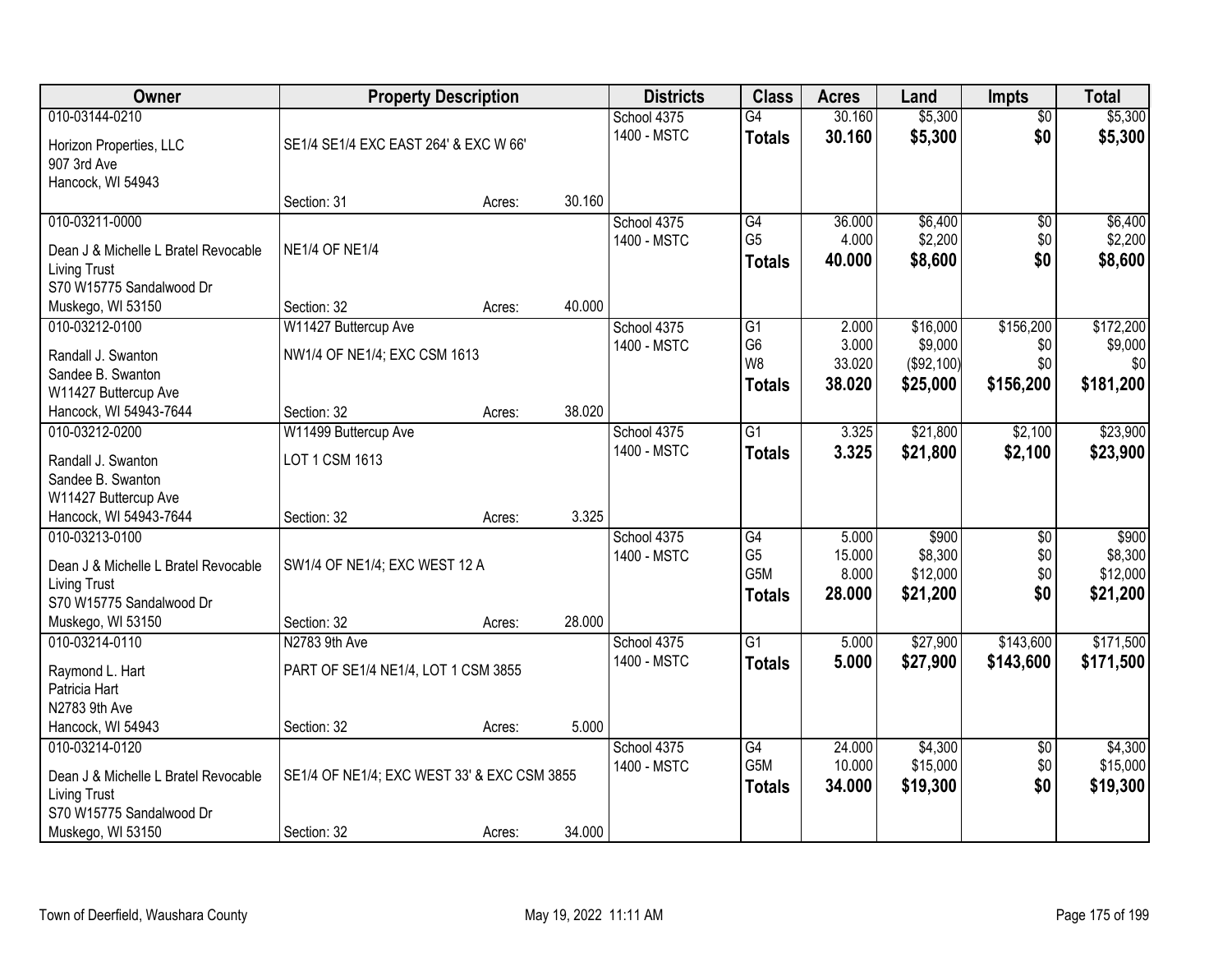| Owner                                           |                                             | <b>Property Description</b> |        | <b>Districts</b>           | <b>Class</b>                     | <b>Acres</b>     | Land               | <b>Impts</b>           | <b>Total</b>       |
|-------------------------------------------------|---------------------------------------------|-----------------------------|--------|----------------------------|----------------------------------|------------------|--------------------|------------------------|--------------------|
| 010-03144-0210<br>Horizon Properties, LLC       | SE1/4 SE1/4 EXC EAST 264' & EXC W 66'       |                             |        | School 4375<br>1400 - MSTC | $\overline{G4}$<br><b>Totals</b> | 30.160<br>30.160 | \$5,300<br>\$5,300 | $\overline{50}$<br>\$0 | \$5,300<br>\$5,300 |
| 907 3rd Ave<br>Hancock, WI 54943                |                                             |                             |        |                            |                                  |                  |                    |                        |                    |
|                                                 | Section: 31                                 | Acres:                      | 30.160 |                            |                                  |                  |                    |                        |                    |
| 010-03211-0000                                  |                                             |                             |        | School 4375                | $\overline{G4}$                  | 36,000           | \$6,400            | $\overline{50}$        | \$6,400            |
| Dean J & Michelle L Bratel Revocable            | <b>NE1/4 OF NE1/4</b>                       |                             |        | 1400 - MSTC                | G <sub>5</sub>                   | 4.000            | \$2,200            | \$0                    | \$2,200            |
| <b>Living Trust</b>                             |                                             |                             |        |                            | <b>Totals</b>                    | 40.000           | \$8,600            | \$0                    | \$8,600            |
| S70 W15775 Sandalwood Dr                        |                                             |                             |        |                            |                                  |                  |                    |                        |                    |
| Muskego, WI 53150                               | Section: 32                                 | Acres:                      | 40.000 |                            |                                  |                  |                    |                        |                    |
| 010-03212-0100                                  | W11427 Buttercup Ave                        |                             |        | School 4375                | $\overline{G1}$                  | 2.000            | \$16,000           | \$156,200              | \$172,200          |
| Randall J. Swanton                              | NW1/4 OF NE1/4; EXC CSM 1613                |                             |        | 1400 - MSTC                | G <sub>6</sub>                   | 3.000            | \$9,000            | \$0                    | \$9,000            |
| Sandee B. Swanton                               |                                             |                             |        |                            | W <sub>8</sub>                   | 33.020           | (\$92,100)         | \$0                    | \$0                |
| W11427 Buttercup Ave                            |                                             |                             |        |                            | <b>Totals</b>                    | 38.020           | \$25,000           | \$156,200              | \$181,200          |
| Hancock, WI 54943-7644                          | Section: 32                                 | Acres:                      | 38.020 |                            |                                  |                  |                    |                        |                    |
| 010-03212-0200                                  | W11499 Buttercup Ave                        |                             |        | School 4375                | $\overline{G1}$                  | 3.325            | \$21,800           | \$2,100                | \$23,900           |
| Randall J. Swanton                              | LOT 1 CSM 1613                              |                             |        | 1400 - MSTC                | <b>Totals</b>                    | 3.325            | \$21,800           | \$2,100                | \$23,900           |
| Sandee B. Swanton                               |                                             |                             |        |                            |                                  |                  |                    |                        |                    |
| W11427 Buttercup Ave                            |                                             |                             |        |                            |                                  |                  |                    |                        |                    |
| Hancock, WI 54943-7644                          | Section: 32                                 | Acres:                      | 3.325  |                            |                                  |                  |                    |                        |                    |
| 010-03213-0100                                  |                                             |                             |        | School 4375                | $\overline{G4}$                  | 5.000            | \$900              | $\overline{30}$        | \$900              |
|                                                 |                                             |                             |        | 1400 - MSTC                | G <sub>5</sub>                   | 15.000           | \$8,300            | \$0                    | \$8,300            |
| Dean J & Michelle L Bratel Revocable            | SW1/4 OF NE1/4; EXC WEST 12 A               |                             |        |                            | G <sub>5</sub> M                 | 8.000            | \$12,000           | \$0                    | \$12,000           |
| <b>Living Trust</b><br>S70 W15775 Sandalwood Dr |                                             |                             |        |                            | <b>Totals</b>                    | 28.000           | \$21,200           | \$0                    | \$21,200           |
| Muskego, WI 53150                               | Section: 32                                 | Acres:                      | 28.000 |                            |                                  |                  |                    |                        |                    |
| 010-03214-0110                                  | N2783 9th Ave                               |                             |        | School 4375                | $\overline{G1}$                  | 5.000            | \$27,900           | \$143,600              | \$171,500          |
|                                                 |                                             |                             |        | 1400 - MSTC                | <b>Totals</b>                    | 5.000            | \$27,900           | \$143,600              | \$171,500          |
| Raymond L. Hart                                 | PART OF SE1/4 NE1/4, LOT 1 CSM 3855         |                             |        |                            |                                  |                  |                    |                        |                    |
| Patricia Hart                                   |                                             |                             |        |                            |                                  |                  |                    |                        |                    |
| N2783 9th Ave                                   |                                             |                             |        |                            |                                  |                  |                    |                        |                    |
| Hancock, WI 54943                               | Section: 32                                 | Acres:                      | 5.000  |                            |                                  |                  |                    |                        |                    |
| 010-03214-0120                                  |                                             |                             |        | School 4375                | G4                               | 24.000           | \$4,300            | $\overline{30}$        | \$4,300            |
| Dean J & Michelle L Bratel Revocable            | SE1/4 OF NE1/4; EXC WEST 33' & EXC CSM 3855 |                             |        | 1400 - MSTC                | G5M                              | 10.000           | \$15,000           | \$0                    | \$15,000           |
| <b>Living Trust</b>                             |                                             |                             |        |                            | <b>Totals</b>                    | 34.000           | \$19,300           | \$0                    | \$19,300           |
| S70 W15775 Sandalwood Dr                        |                                             |                             |        |                            |                                  |                  |                    |                        |                    |
| Muskego, WI 53150                               | Section: 32                                 | Acres:                      | 34.000 |                            |                                  |                  |                    |                        |                    |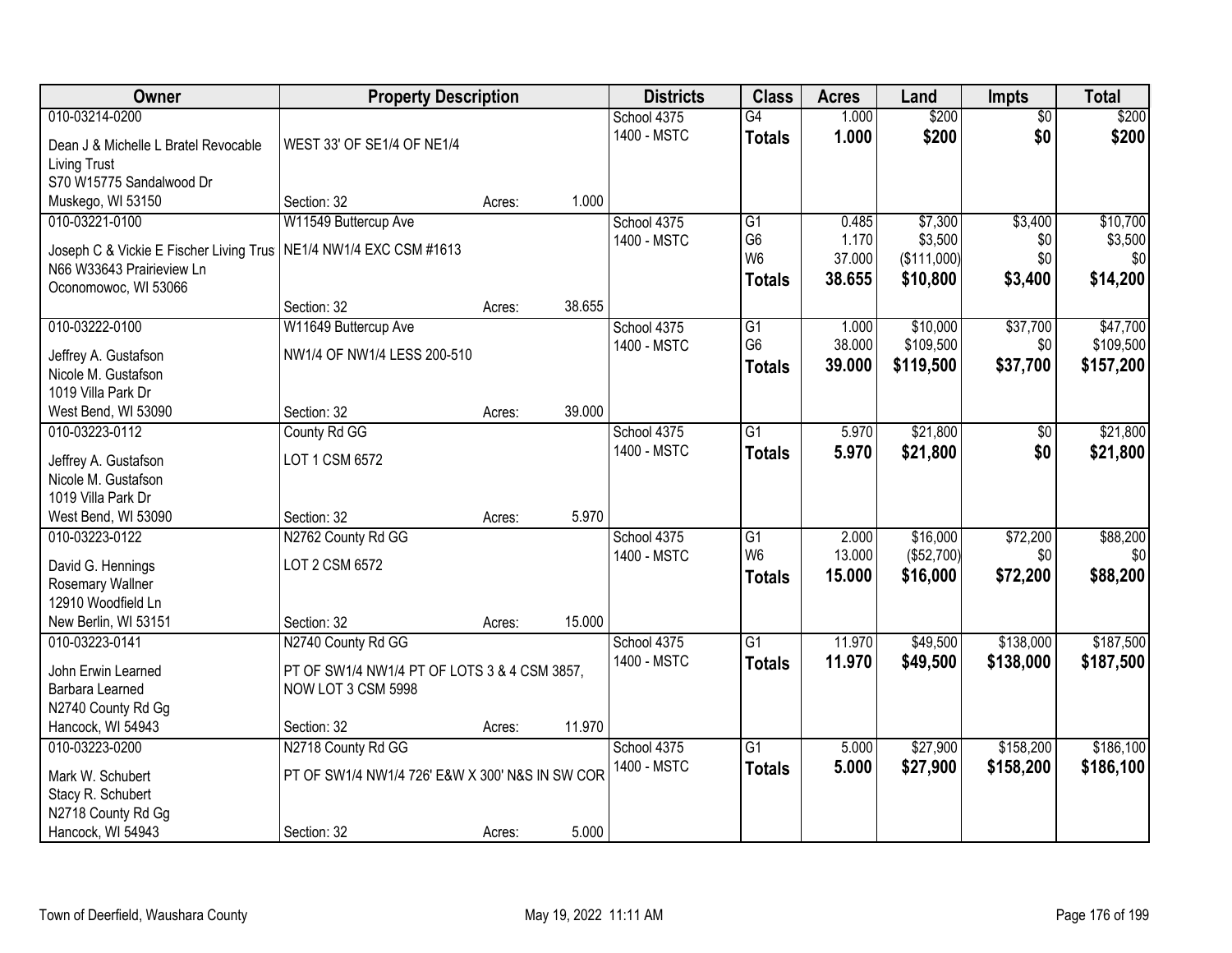| Owner                                   | <b>Property Description</b>                     |        |        | <b>Districts</b>           | <b>Class</b>    | <b>Acres</b> | Land        | <b>Impts</b>  | <b>Total</b> |
|-----------------------------------------|-------------------------------------------------|--------|--------|----------------------------|-----------------|--------------|-------------|---------------|--------------|
| 010-03214-0200                          |                                                 |        |        | School 4375                | $\overline{G4}$ | 1.000        | \$200       | \$0           | \$200        |
| Dean J & Michelle L Bratel Revocable    | WEST 33' OF SE1/4 OF NE1/4                      |        |        | 1400 - MSTC                | <b>Totals</b>   | 1.000        | \$200       | \$0           | \$200        |
| <b>Living Trust</b>                     |                                                 |        |        |                            |                 |              |             |               |              |
| S70 W15775 Sandalwood Dr                |                                                 |        |        |                            |                 |              |             |               |              |
| Muskego, WI 53150                       | Section: 32                                     | Acres: | 1.000  |                            |                 |              |             |               |              |
| 010-03221-0100                          | W11549 Buttercup Ave                            |        |        | School 4375                | $\overline{G1}$ | 0.485        | \$7,300     | \$3,400       | \$10,700     |
|                                         |                                                 |        |        | 1400 - MSTC                | G <sub>6</sub>  | 1.170        | \$3,500     | \$0           | \$3,500      |
| Joseph C & Vickie E Fischer Living Trus | NE1/4 NW1/4 EXC CSM #1613                       |        |        |                            | W <sub>6</sub>  | 37.000       | (\$111,000) | \$0           | \$0          |
| N66 W33643 Prairieview Ln               |                                                 |        |        |                            | <b>Totals</b>   | 38.655       | \$10,800    | \$3,400       | \$14,200     |
| Oconomowoc, WI 53066                    | Section: 32                                     |        | 38.655 |                            |                 |              |             |               |              |
| 010-03222-0100                          |                                                 | Acres: |        |                            | G1              | 1.000        | \$10,000    | \$37,700      | \$47,700     |
|                                         | W11649 Buttercup Ave                            |        |        | School 4375<br>1400 - MSTC | G <sub>6</sub>  | 38.000       | \$109,500   | \$0           | \$109,500    |
| Jeffrey A. Gustafson                    | NW1/4 OF NW1/4 LESS 200-510                     |        |        |                            |                 | 39.000       | \$119,500   | \$37,700      |              |
| Nicole M. Gustafson                     |                                                 |        |        |                            | <b>Totals</b>   |              |             |               | \$157,200    |
| 1019 Villa Park Dr                      |                                                 |        |        |                            |                 |              |             |               |              |
| West Bend, WI 53090                     | Section: 32                                     | Acres: | 39.000 |                            |                 |              |             |               |              |
| 010-03223-0112                          | County Rd GG                                    |        |        | School 4375                | G1              | 5.970        | \$21,800    | $\sqrt[6]{3}$ | \$21,800     |
| Jeffrey A. Gustafson                    | LOT 1 CSM 6572                                  |        |        | 1400 - MSTC                | <b>Totals</b>   | 5.970        | \$21,800    | \$0           | \$21,800     |
| Nicole M. Gustafson                     |                                                 |        |        |                            |                 |              |             |               |              |
| 1019 Villa Park Dr                      |                                                 |        |        |                            |                 |              |             |               |              |
| West Bend, WI 53090                     | Section: 32                                     | Acres: | 5.970  |                            |                 |              |             |               |              |
| 010-03223-0122                          | N2762 County Rd GG                              |        |        | School 4375                | $\overline{G1}$ | 2.000        | \$16,000    | \$72,200      | \$88,200     |
|                                         |                                                 |        |        | 1400 - MSTC                | W <sub>6</sub>  | 13.000       | (\$52,700)  | \$0           | \$0          |
| David G. Hennings                       | LOT 2 CSM 6572                                  |        |        |                            | <b>Totals</b>   | 15.000       | \$16,000    | \$72,200      | \$88,200     |
| Rosemary Wallner                        |                                                 |        |        |                            |                 |              |             |               |              |
| 12910 Woodfield Ln                      |                                                 |        |        |                            |                 |              |             |               |              |
| New Berlin, WI 53151                    | Section: 32                                     | Acres: | 15.000 |                            |                 |              |             |               |              |
| 010-03223-0141                          | N2740 County Rd GG                              |        |        | School 4375                | $\overline{G1}$ | 11.970       | \$49,500    | \$138,000     | \$187,500    |
| John Erwin Learned                      | PT OF SW1/4 NW1/4 PT OF LOTS 3 & 4 CSM 3857,    |        |        | 1400 - MSTC                | <b>Totals</b>   | 11.970       | \$49,500    | \$138,000     | \$187,500    |
| Barbara Learned                         | NOW LOT 3 CSM 5998                              |        |        |                            |                 |              |             |               |              |
| N2740 County Rd Gg                      |                                                 |        |        |                            |                 |              |             |               |              |
| Hancock, WI 54943                       | Section: 32                                     | Acres: | 11.970 |                            |                 |              |             |               |              |
| 010-03223-0200                          | N2718 County Rd GG                              |        |        | School 4375                | $\overline{G1}$ | 5.000        | \$27,900    | \$158,200     | \$186,100    |
| Mark W. Schubert                        | PT OF SW1/4 NW1/4 726' E&W X 300' N&S IN SW COR |        |        | 1400 - MSTC                | <b>Totals</b>   | 5.000        | \$27,900    | \$158,200     | \$186,100    |
| Stacy R. Schubert                       |                                                 |        |        |                            |                 |              |             |               |              |
| N2718 County Rd Gg                      |                                                 |        |        |                            |                 |              |             |               |              |
| Hancock, WI 54943                       | Section: 32                                     | Acres: | 5.000  |                            |                 |              |             |               |              |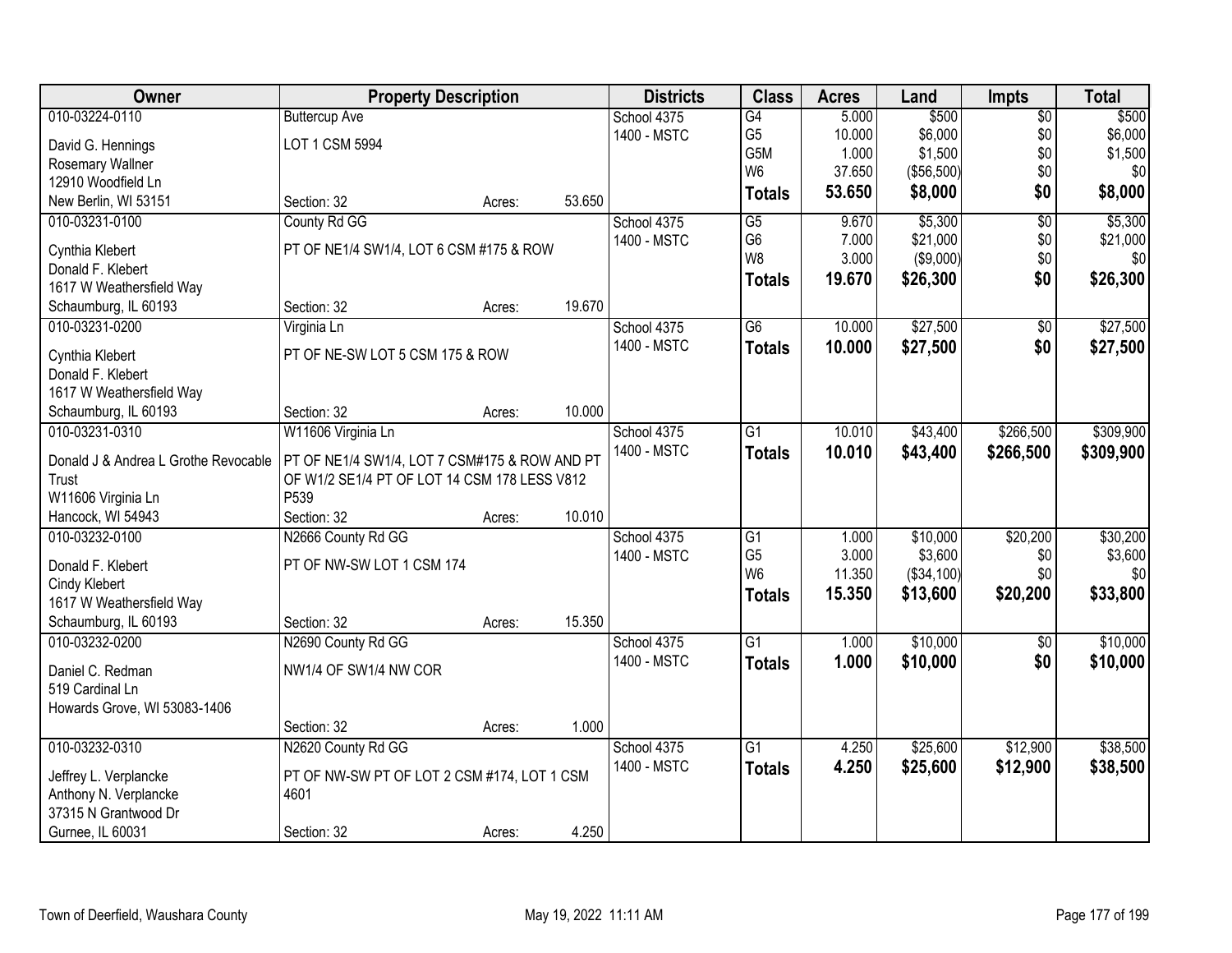| Owner                                | <b>Property Description</b>                   |        |        | <b>Districts</b> | <b>Class</b>    | <b>Acres</b> | Land       | <b>Impts</b>    | <b>Total</b> |
|--------------------------------------|-----------------------------------------------|--------|--------|------------------|-----------------|--------------|------------|-----------------|--------------|
| 010-03224-0110                       | <b>Buttercup Ave</b>                          |        |        | School 4375      | $\overline{G4}$ | 5.000        | \$500      | $\overline{50}$ | \$500        |
| David G. Hennings                    | LOT 1 CSM 5994                                |        |        | 1400 - MSTC      | G <sub>5</sub>  | 10.000       | \$6,000    | \$0             | \$6,000      |
| Rosemary Wallner                     |                                               |        |        |                  | G5M             | 1.000        | \$1,500    | \$0             | \$1,500      |
| 12910 Woodfield Ln                   |                                               |        |        |                  | W <sub>6</sub>  | 37.650       | (\$56,500) | \$0             | \$0          |
| New Berlin, WI 53151                 | Section: 32                                   | Acres: | 53.650 |                  | <b>Totals</b>   | 53.650       | \$8,000    | \$0             | \$8,000      |
| 010-03231-0100                       | County Rd GG                                  |        |        | School 4375      | $\overline{G5}$ | 9.670        | \$5,300    | $\overline{50}$ | \$5,300      |
|                                      |                                               |        |        | 1400 - MSTC      | G <sub>6</sub>  | 7.000        | \$21,000   | \$0             | \$21,000     |
| Cynthia Klebert                      | PT OF NE1/4 SW1/4, LOT 6 CSM #175 & ROW       |        |        |                  | W8              | 3.000        | (\$9,000)  | \$0             | \$0          |
| Donald F. Klebert                    |                                               |        |        |                  | <b>Totals</b>   | 19.670       | \$26,300   | \$0             | \$26,300     |
| 1617 W Weathersfield Way             |                                               |        |        |                  |                 |              |            |                 |              |
| Schaumburg, IL 60193                 | Section: 32                                   | Acres: | 19.670 |                  |                 |              |            |                 |              |
| 010-03231-0200                       | Virginia Ln                                   |        |        | School 4375      | $\overline{G6}$ | 10.000       | \$27,500   | $\overline{50}$ | \$27,500     |
| Cynthia Klebert                      | PT OF NE-SW LOT 5 CSM 175 & ROW               |        |        | 1400 - MSTC      | <b>Totals</b>   | 10.000       | \$27,500   | \$0             | \$27,500     |
| Donald F. Klebert                    |                                               |        |        |                  |                 |              |            |                 |              |
| 1617 W Weathersfield Way             |                                               |        |        |                  |                 |              |            |                 |              |
| Schaumburg, IL 60193                 | Section: 32                                   | Acres: | 10.000 |                  |                 |              |            |                 |              |
| 010-03231-0310                       | W11606 Virginia Ln                            |        |        | School 4375      | G1              | 10.010       | \$43,400   | \$266,500       | \$309,900    |
|                                      |                                               |        |        | 1400 - MSTC      | <b>Totals</b>   | 10.010       | \$43,400   | \$266,500       | \$309,900    |
| Donald J & Andrea L Grothe Revocable | PT OF NE1/4 SW1/4, LOT 7 CSM#175 & ROW AND PT |        |        |                  |                 |              |            |                 |              |
| Trust                                | OF W1/2 SE1/4 PT OF LOT 14 CSM 178 LESS V812  |        |        |                  |                 |              |            |                 |              |
| W11606 Virginia Ln                   | P539                                          |        |        |                  |                 |              |            |                 |              |
| Hancock, WI 54943                    | Section: 32                                   | Acres: | 10.010 |                  |                 |              |            |                 |              |
| 010-03232-0100                       | N2666 County Rd GG                            |        |        | School 4375      | $\overline{G1}$ | 1.000        | \$10,000   | \$20,200        | \$30,200     |
| Donald F. Klebert                    | PT OF NW-SW LOT 1 CSM 174                     |        |        | 1400 - MSTC      | G <sub>5</sub>  | 3.000        | \$3,600    | \$0             | \$3,600      |
| Cindy Klebert                        |                                               |        |        |                  | W <sub>6</sub>  | 11.350       | (\$34,100) | \$0             | \$0          |
| 1617 W Weathersfield Way             |                                               |        |        |                  | <b>Totals</b>   | 15.350       | \$13,600   | \$20,200        | \$33,800     |
| Schaumburg, IL 60193                 | Section: 32                                   | Acres: | 15.350 |                  |                 |              |            |                 |              |
| 010-03232-0200                       | N2690 County Rd GG                            |        |        | School 4375      | $\overline{G1}$ | 1.000        | \$10,000   | \$0             | \$10,000     |
|                                      |                                               |        |        | 1400 - MSTC      | <b>Totals</b>   | 1.000        | \$10,000   | \$0             | \$10,000     |
| Daniel C. Redman                     | NW1/4 OF SW1/4 NW COR                         |        |        |                  |                 |              |            |                 |              |
| 519 Cardinal Ln                      |                                               |        |        |                  |                 |              |            |                 |              |
| Howards Grove, WI 53083-1406         |                                               |        |        |                  |                 |              |            |                 |              |
|                                      | Section: 32                                   | Acres: | 1.000  |                  |                 |              |            |                 |              |
| 010-03232-0310                       | N2620 County Rd GG                            |        |        | School 4375      | $\overline{G1}$ | 4.250        | \$25,600   | \$12,900        | \$38,500     |
| Jeffrey L. Verplancke                | PT OF NW-SW PT OF LOT 2 CSM #174, LOT 1 CSM   |        |        | 1400 - MSTC      | <b>Totals</b>   | 4.250        | \$25,600   | \$12,900        | \$38,500     |
| Anthony N. Verplancke                | 4601                                          |        |        |                  |                 |              |            |                 |              |
| 37315 N Grantwood Dr                 |                                               |        |        |                  |                 |              |            |                 |              |
| Gurnee, IL 60031                     | Section: 32                                   | Acres: | 4.250  |                  |                 |              |            |                 |              |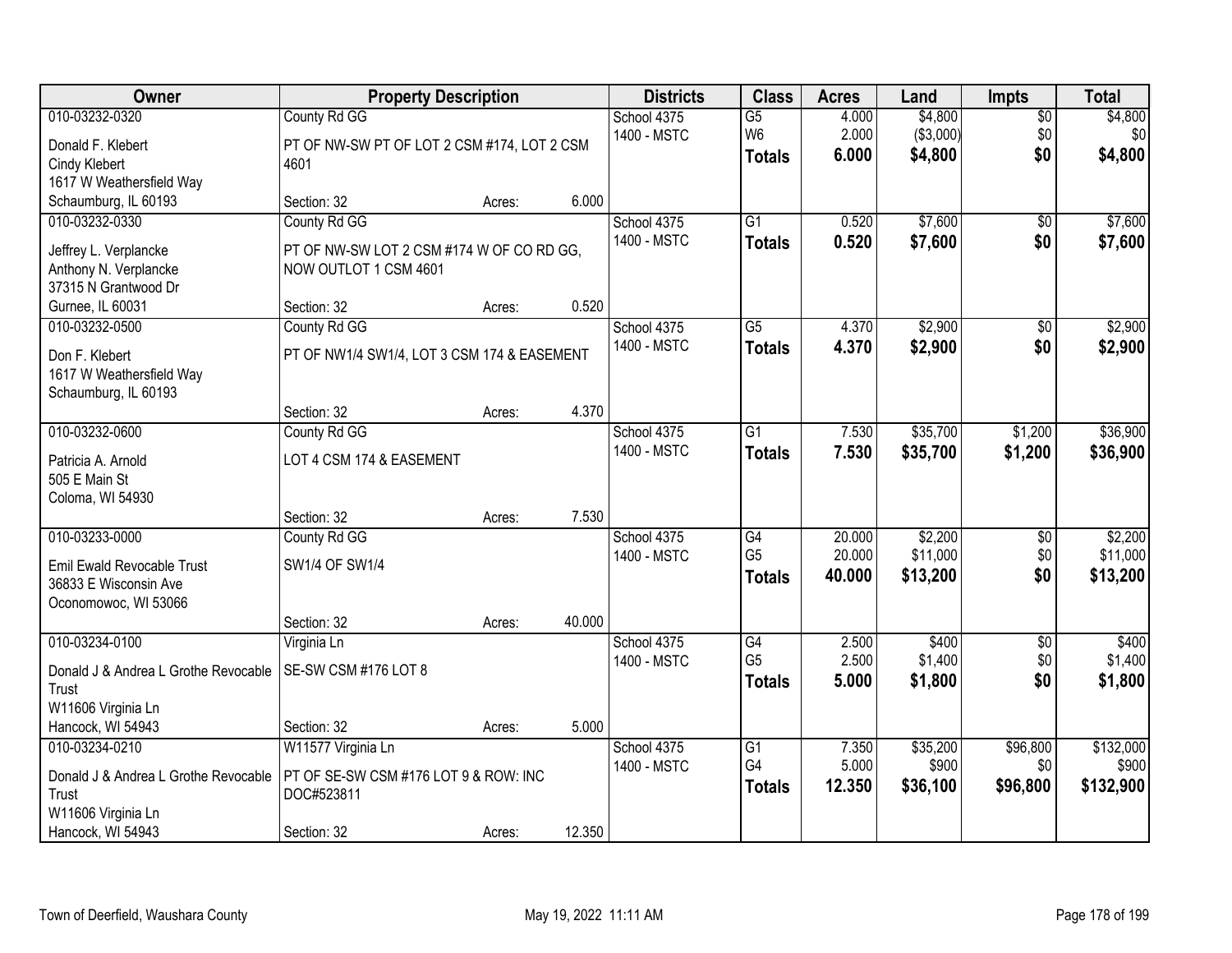| Owner                                                                                                        | <b>Property Description</b>                                                                       |        |        | <b>Districts</b>           | <b>Class</b>                                       | <b>Acres</b>               | Land                            | <b>Impts</b>                | <b>Total</b>                    |
|--------------------------------------------------------------------------------------------------------------|---------------------------------------------------------------------------------------------------|--------|--------|----------------------------|----------------------------------------------------|----------------------------|---------------------------------|-----------------------------|---------------------------------|
| 010-03232-0320<br>Donald F. Klebert<br>Cindy Klebert<br>1617 W Weathersfield Way                             | County Rd GG<br>PT OF NW-SW PT OF LOT 2 CSM #174, LOT 2 CSM<br>4601                               |        |        | School 4375<br>1400 - MSTC | $\overline{G5}$<br>W <sub>6</sub><br><b>Totals</b> | 4.000<br>2.000<br>6.000    | \$4,800<br>(\$3,000)<br>\$4,800 | \$0<br>\$0<br>\$0           | \$4,800<br>\$0<br>\$4,800       |
| Schaumburg, IL 60193                                                                                         | Section: 32                                                                                       | Acres: | 6.000  |                            |                                                    |                            |                                 |                             |                                 |
| 010-03232-0330<br>Jeffrey L. Verplancke<br>Anthony N. Verplancke<br>37315 N Grantwood Dr<br>Gurnee, IL 60031 | County Rd GG<br>PT OF NW-SW LOT 2 CSM #174 W OF CO RD GG,<br>NOW OUTLOT 1 CSM 4601<br>Section: 32 | Acres: | 0.520  | School 4375<br>1400 - MSTC | $\overline{G1}$<br><b>Totals</b>                   | 0.520<br>0.520             | \$7,600<br>\$7,600              | $\overline{50}$<br>\$0      | \$7,600<br>\$7,600              |
| 010-03232-0500                                                                                               | County Rd GG                                                                                      |        |        | School 4375                | $\overline{G5}$                                    | 4.370                      | \$2,900                         | \$0                         | \$2,900                         |
| Don F. Klebert<br>1617 W Weathersfield Way<br>Schaumburg, IL 60193                                           | PT OF NW1/4 SW1/4, LOT 3 CSM 174 & EASEMENT                                                       |        |        | 1400 - MSTC                | <b>Totals</b>                                      | 4.370                      | \$2,900                         | \$0                         | \$2,900                         |
|                                                                                                              | Section: 32                                                                                       | Acres: | 4.370  |                            |                                                    |                            |                                 |                             |                                 |
| 010-03232-0600<br>Patricia A. Arnold<br>505 E Main St<br>Coloma, WI 54930                                    | County Rd GG<br>LOT 4 CSM 174 & EASEMENT                                                          |        |        | School 4375<br>1400 - MSTC | $\overline{G1}$<br><b>Totals</b>                   | 7.530<br>7.530             | \$35,700<br>\$35,700            | \$1,200<br>\$1,200          | \$36,900<br>\$36,900            |
|                                                                                                              | Section: 32                                                                                       | Acres: | 7.530  |                            |                                                    |                            |                                 |                             |                                 |
| 010-03233-0000<br><b>Emil Ewald Revocable Trust</b><br>36833 E Wisconsin Ave<br>Oconomowoc, WI 53066         | County Rd GG<br>SW1/4 OF SW1/4<br>Section: 32                                                     | Acres: | 40.000 | School 4375<br>1400 - MSTC | $\overline{G4}$<br>G <sub>5</sub><br><b>Totals</b> | 20.000<br>20.000<br>40.000 | \$2,200<br>\$11,000<br>\$13,200 | \$0<br>\$0<br>\$0           | \$2,200<br>\$11,000<br>\$13,200 |
| 010-03234-0100                                                                                               | Virginia Ln                                                                                       |        |        | School 4375                | G4                                                 | 2.500                      | \$400                           | $\sqrt{6}$                  | \$400                           |
| Donald J & Andrea L Grothe Revocable<br>Trust<br>W11606 Virginia Ln                                          | SE-SW CSM #176 LOT 8                                                                              |        |        | 1400 - MSTC                | G <sub>5</sub><br><b>Totals</b>                    | 2.500<br>5.000             | \$1,400<br>\$1,800              | \$0<br>\$0                  | \$1,400<br>\$1,800              |
| Hancock, WI 54943                                                                                            | Section: 32                                                                                       | Acres: | 5.000  |                            |                                                    |                            |                                 |                             |                                 |
| 010-03234-0210<br>Donald J & Andrea L Grothe Revocable<br>Trust<br>W11606 Virginia Ln<br>Hancock, WI 54943   | W11577 Virginia Ln<br>PT OF SE-SW CSM #176 LOT 9 & ROW: INC<br>DOC#523811<br>Section: 32          | Acres: | 12.350 | School 4375<br>1400 - MSTC | $\overline{G1}$<br>G4<br><b>Totals</b>             | 7.350<br>5.000<br>12.350   | \$35,200<br>\$900<br>\$36,100   | \$96,800<br>\$0<br>\$96,800 | \$132,000<br>\$900<br>\$132,900 |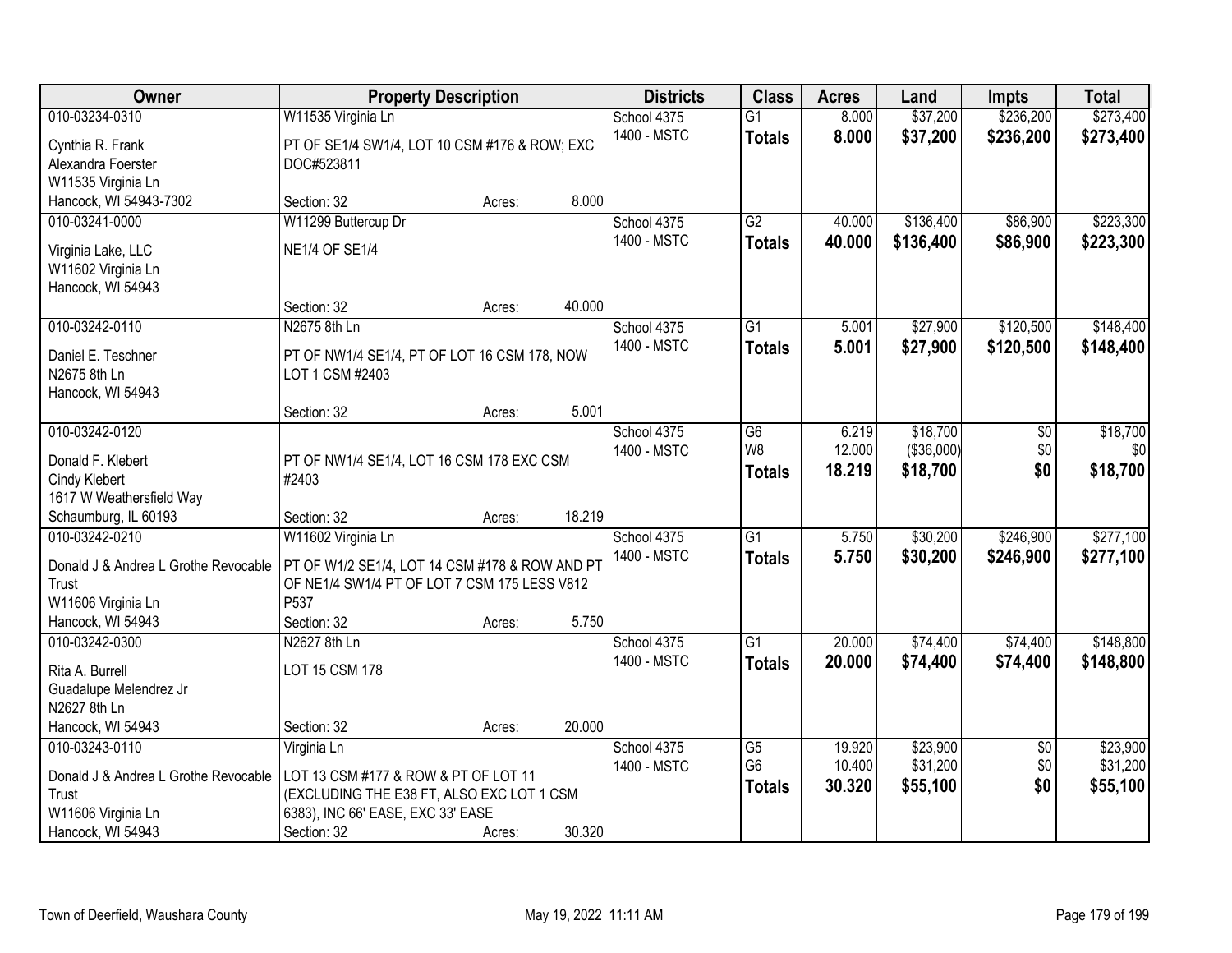| Owner                                                                                                                 | <b>Property Description</b>                                                                                                                          |                  |                 | <b>Districts</b>           | <b>Class</b>                                       | <b>Acres</b>               | Land                               | <b>Impts</b>                  | <b>Total</b>                     |
|-----------------------------------------------------------------------------------------------------------------------|------------------------------------------------------------------------------------------------------------------------------------------------------|------------------|-----------------|----------------------------|----------------------------------------------------|----------------------------|------------------------------------|-------------------------------|----------------------------------|
| 010-03234-0310<br>Cynthia R. Frank<br>Alexandra Foerster                                                              | W11535 Virginia Ln<br>PT OF SE1/4 SW1/4, LOT 10 CSM #176 & ROW; EXC<br>DOC#523811                                                                    |                  |                 | School 4375<br>1400 - MSTC | $\overline{G1}$<br><b>Totals</b>                   | 8.000<br>8.000             | \$37,200<br>\$37,200               | \$236,200<br>\$236,200        | \$273,400<br>\$273,400           |
| W11535 Virginia Ln<br>Hancock, WI 54943-7302                                                                          | Section: 32                                                                                                                                          | Acres:           | 8.000           |                            |                                                    |                            |                                    |                               |                                  |
| 010-03241-0000<br>Virginia Lake, LLC<br>W11602 Virginia Ln<br>Hancock, WI 54943                                       | W11299 Buttercup Dr<br><b>NE1/4 OF SE1/4</b>                                                                                                         |                  |                 | School 4375<br>1400 - MSTC | $\overline{G2}$<br><b>Totals</b>                   | 40.000<br>40.000           | \$136,400<br>\$136,400             | \$86,900<br>\$86,900          | \$223,300<br>\$223,300           |
| 010-03242-0110<br>Daniel E. Teschner<br>N2675 8th Ln<br>Hancock, WI 54943                                             | Section: 32<br>N2675 8th Ln<br>PT OF NW1/4 SE1/4, PT OF LOT 16 CSM 178, NOW<br>LOT 1 CSM #2403                                                       | Acres:           | 40.000          | School 4375<br>1400 - MSTC | $\overline{G1}$<br><b>Totals</b>                   | 5.001<br>5.001             | \$27,900<br>\$27,900               | \$120,500<br>\$120,500        | \$148,400<br>\$148,400           |
|                                                                                                                       | Section: 32                                                                                                                                          | Acres:           | 5.001           |                            |                                                    |                            |                                    |                               |                                  |
| 010-03242-0120<br>Donald F. Klebert<br>Cindy Klebert<br>1617 W Weathersfield Way                                      | PT OF NW1/4 SE1/4, LOT 16 CSM 178 EXC CSM<br>#2403                                                                                                   |                  |                 | School 4375<br>1400 - MSTC | G <sub>6</sub><br>W8<br><b>Totals</b>              | 6.219<br>12.000<br>18.219  | \$18,700<br>(\$36,000)<br>\$18,700 | \$0<br>\$0<br>\$0             | \$18,700<br>\$0<br>\$18,700      |
| Schaumburg, IL 60193<br>010-03242-0210<br>Donald J & Andrea L Grothe Revocable<br>Trust<br>W11606 Virginia Ln         | Section: 32<br>W11602 Virginia Ln<br>PT OF W1/2 SE1/4, LOT 14 CSM #178 & ROW AND PT<br>OF NE1/4 SW1/4 PT OF LOT 7 CSM 175 LESS V812<br>P537          | Acres:           | 18.219          | School 4375<br>1400 - MSTC | $\overline{G1}$<br><b>Totals</b>                   | 5.750<br>5.750             | \$30,200<br>\$30,200               | \$246,900<br>\$246,900        | \$277,100<br>\$277,100           |
| Hancock, WI 54943<br>010-03242-0300<br>Rita A. Burrell<br>Guadalupe Melendrez Jr<br>N2627 8th Ln<br>Hancock, WI 54943 | Section: 32<br>N2627 8th Ln<br>LOT 15 CSM 178<br>Section: 32                                                                                         | Acres:           | 5.750<br>20.000 | School 4375<br>1400 - MSTC | $\overline{G1}$<br><b>Totals</b>                   | 20.000<br>20.000           | \$74,400<br>\$74,400               | \$74,400<br>\$74,400          | \$148,800<br>\$148,800           |
| 010-03243-0110<br>Donald J & Andrea L Grothe Revocable<br>Trust<br>W11606 Virginia Ln<br>Hancock, WI 54943            | Virginia Ln<br>LOT 13 CSM #177 & ROW & PT OF LOT 11<br>(EXCLUDING THE E38 FT, ALSO EXC LOT 1 CSM<br>6383), INC 66' EASE, EXC 33' EASE<br>Section: 32 | Acres:<br>Acres: | 30.320          | School 4375<br>1400 - MSTC | $\overline{G5}$<br>G <sub>6</sub><br><b>Totals</b> | 19.920<br>10.400<br>30.320 | \$23,900<br>\$31,200<br>\$55,100   | $\overline{50}$<br>\$0<br>\$0 | \$23,900<br>\$31,200<br>\$55,100 |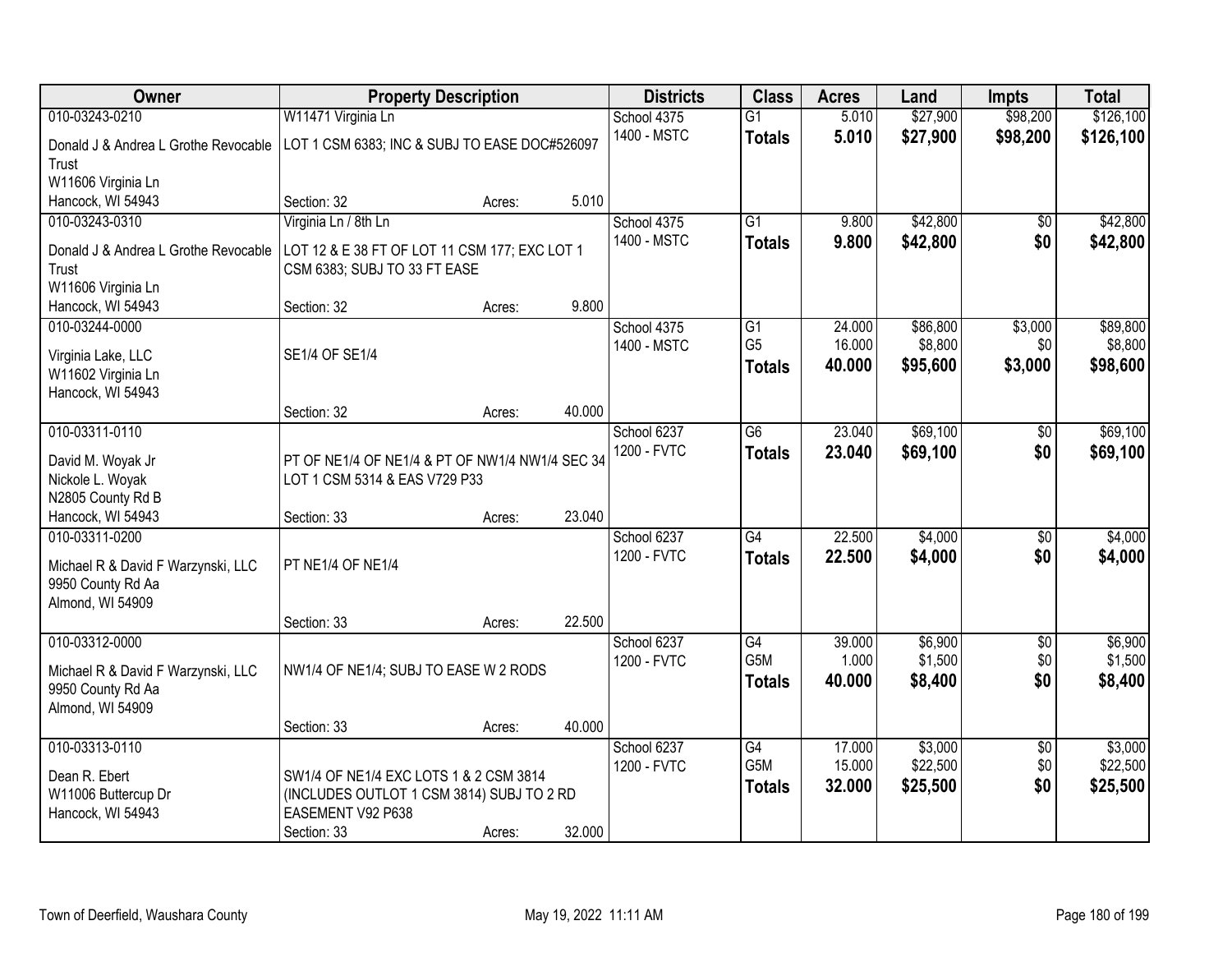| <b>Owner</b>                          | <b>Property Description</b>                     |        |        | <b>Districts</b> | <b>Class</b>     | <b>Acres</b> | Land     | <b>Impts</b>    | <b>Total</b> |
|---------------------------------------|-------------------------------------------------|--------|--------|------------------|------------------|--------------|----------|-----------------|--------------|
| 010-03243-0210                        | W11471 Virginia Ln                              |        |        | School 4375      | $\overline{G1}$  | 5.010        | \$27,900 | \$98,200        | \$126,100    |
| Donald J & Andrea L Grothe Revocable  | LOT 1 CSM 6383; INC & SUBJ TO EASE DOC#526097   |        |        | 1400 - MSTC      | <b>Totals</b>    | 5.010        | \$27,900 | \$98,200        | \$126,100    |
| Trust                                 |                                                 |        |        |                  |                  |              |          |                 |              |
| W11606 Virginia Ln                    |                                                 |        |        |                  |                  |              |          |                 |              |
| Hancock, WI 54943                     | Section: 32                                     | Acres: | 5.010  |                  |                  |              |          |                 |              |
| 010-03243-0310                        | Virginia Ln / 8th Ln                            |        |        | School 4375      | $\overline{G1}$  | 9.800        | \$42,800 | \$0             | \$42,800     |
| Donald J & Andrea L Grothe Revocable  | LOT 12 & E 38 FT OF LOT 11 CSM 177; EXC LOT 1   |        |        | 1400 - MSTC      | <b>Totals</b>    | 9.800        | \$42,800 | \$0             | \$42,800     |
| Trust                                 | CSM 6383; SUBJ TO 33 FT EASE                    |        |        |                  |                  |              |          |                 |              |
| W11606 Virginia Ln                    |                                                 |        |        |                  |                  |              |          |                 |              |
| Hancock, WI 54943                     | Section: 32                                     | Acres: | 9.800  |                  |                  |              |          |                 |              |
| 010-03244-0000                        |                                                 |        |        | School 4375      | G1               | 24.000       | \$86,800 | \$3,000         | \$89,800     |
| Virginia Lake, LLC                    | SE1/4 OF SE1/4                                  |        |        | 1400 - MSTC      | G <sub>5</sub>   | 16.000       | \$8,800  | \$0             | \$8,800      |
| W11602 Virginia Ln                    |                                                 |        |        |                  | <b>Totals</b>    | 40.000       | \$95,600 | \$3,000         | \$98,600     |
| Hancock, WI 54943                     |                                                 |        |        |                  |                  |              |          |                 |              |
|                                       | Section: 32                                     | Acres: | 40.000 |                  |                  |              |          |                 |              |
| 010-03311-0110                        |                                                 |        |        | School 6237      | $\overline{G6}$  | 23.040       | \$69,100 | \$0             | \$69,100     |
|                                       |                                                 |        |        | 1200 - FVTC      | <b>Totals</b>    | 23.040       | \$69,100 | \$0             | \$69,100     |
| David M. Woyak Jr                     | PT OF NE1/4 OF NE1/4 & PT OF NW1/4 NW1/4 SEC 34 |        |        |                  |                  |              |          |                 |              |
| Nickole L. Woyak<br>N2805 County Rd B | LOT 1 CSM 5314 & EAS V729 P33                   |        |        |                  |                  |              |          |                 |              |
| Hancock, WI 54943                     | Section: 33                                     | Acres: | 23.040 |                  |                  |              |          |                 |              |
| 010-03311-0200                        |                                                 |        |        | School 6237      | $\overline{G4}$  | 22.500       | \$4,000  | $\overline{50}$ | \$4,000      |
|                                       |                                                 |        |        | 1200 - FVTC      | <b>Totals</b>    | 22.500       | \$4,000  | \$0             | \$4,000      |
| Michael R & David F Warzynski, LLC    | PT NE1/4 OF NE1/4                               |        |        |                  |                  |              |          |                 |              |
| 9950 County Rd Aa                     |                                                 |        |        |                  |                  |              |          |                 |              |
| Almond, WI 54909                      |                                                 |        |        |                  |                  |              |          |                 |              |
|                                       | Section: 33                                     | Acres: | 22.500 |                  |                  |              |          |                 |              |
| 010-03312-0000                        |                                                 |        |        | School 6237      | $\overline{G4}$  | 39.000       | \$6,900  | $\overline{60}$ | \$6,900      |
| Michael R & David F Warzynski, LLC    | NW1/4 OF NE1/4; SUBJ TO EASE W 2 RODS           |        |        | 1200 - FVTC      | G <sub>5</sub> M | 1.000        | \$1,500  | \$0             | \$1,500      |
| 9950 County Rd Aa                     |                                                 |        |        |                  | <b>Totals</b>    | 40.000       | \$8,400  | \$0             | \$8,400      |
| Almond, WI 54909                      |                                                 |        |        |                  |                  |              |          |                 |              |
|                                       | Section: 33                                     | Acres: | 40.000 |                  |                  |              |          |                 |              |
| 010-03313-0110                        |                                                 |        |        | School 6237      | G4               | 17.000       | \$3,000  | $\overline{50}$ | \$3,000      |
| Dean R. Ebert                         | SW1/4 OF NE1/4 EXC LOTS 1 & 2 CSM 3814          |        |        | 1200 - FVTC      | G5M              | 15.000       | \$22,500 | \$0             | \$22,500     |
| W11006 Buttercup Dr                   | (INCLUDES OUTLOT 1 CSM 3814) SUBJ TO 2 RD       |        |        |                  | <b>Totals</b>    | 32.000       | \$25,500 | \$0             | \$25,500     |
| Hancock, WI 54943                     | EASEMENT V92 P638                               |        |        |                  |                  |              |          |                 |              |
|                                       | Section: 33                                     | Acres: | 32.000 |                  |                  |              |          |                 |              |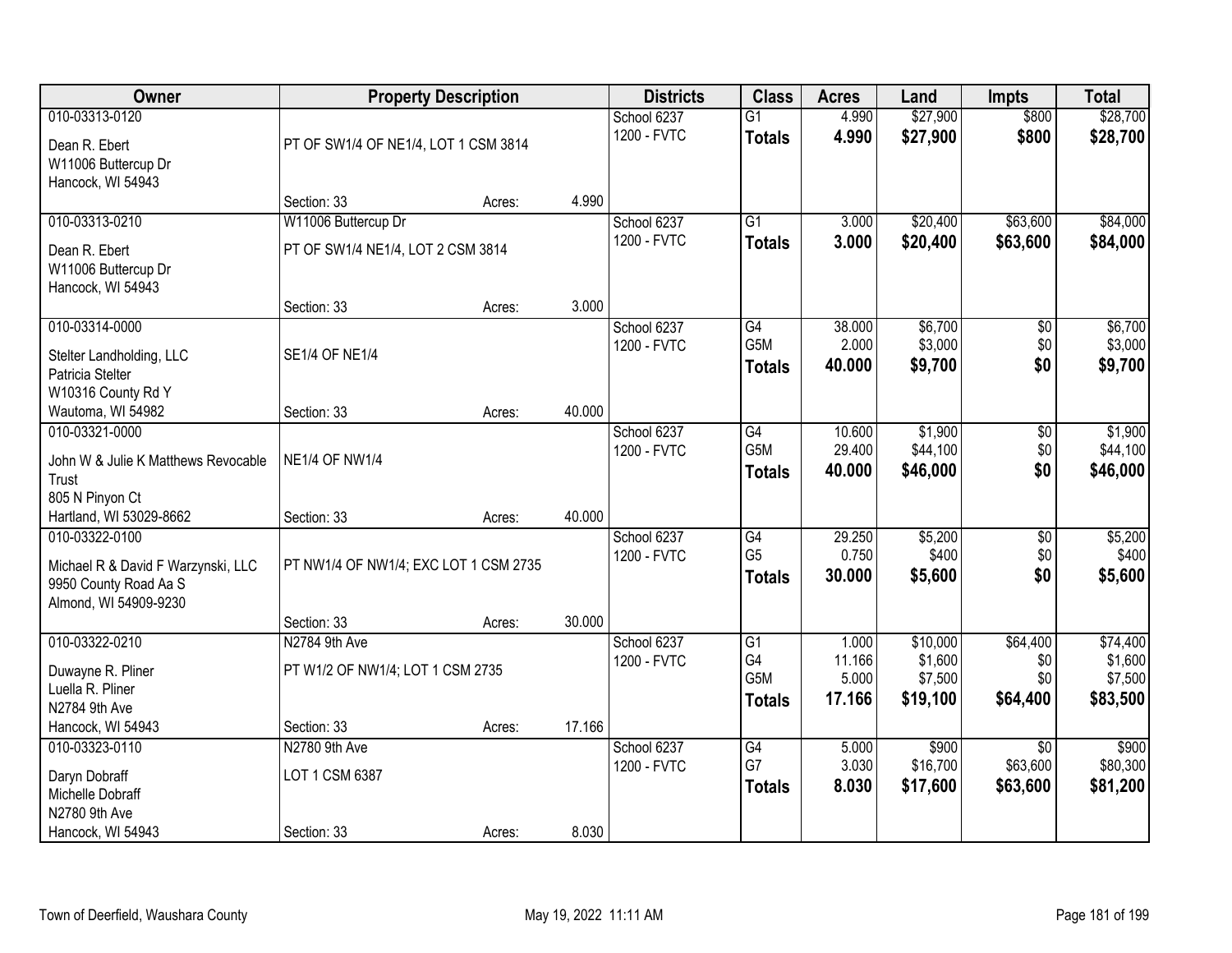| Owner                                                                                                  |                                                          | <b>Property Description</b> |        | <b>Districts</b>           | <b>Class</b>                                               | <b>Acres</b>                       | Land                                       | <b>Impts</b>                            | <b>Total</b>                               |
|--------------------------------------------------------------------------------------------------------|----------------------------------------------------------|-----------------------------|--------|----------------------------|------------------------------------------------------------|------------------------------------|--------------------------------------------|-----------------------------------------|--------------------------------------------|
| 010-03313-0120<br>Dean R. Ebert<br>W11006 Buttercup Dr<br>Hancock, WI 54943                            | PT OF SW1/4 OF NE1/4, LOT 1 CSM 3814                     |                             |        | School 6237<br>1200 - FVTC | $\overline{G1}$<br><b>Totals</b>                           | 4.990<br>4.990                     | \$27,900<br>\$27,900                       | \$800<br>\$800                          | \$28,700<br>\$28,700                       |
|                                                                                                        | Section: 33                                              | Acres:                      | 4.990  |                            |                                                            |                                    |                                            |                                         |                                            |
| 010-03313-0210<br>Dean R. Ebert<br>W11006 Buttercup Dr<br>Hancock, WI 54943                            | W11006 Buttercup Dr<br>PT OF SW1/4 NE1/4, LOT 2 CSM 3814 |                             |        | School 6237<br>1200 - FVTC | $\overline{G1}$<br><b>Totals</b>                           | 3.000<br>3.000                     | \$20,400<br>\$20,400                       | \$63,600<br>\$63,600                    | \$84,000<br>\$84,000                       |
|                                                                                                        | Section: 33                                              | Acres:                      | 3.000  |                            |                                                            |                                    |                                            |                                         |                                            |
| 010-03314-0000<br>Stelter Landholding, LLC<br>Patricia Stelter<br>W10316 County Rd Y                   | <b>SE1/4 OF NE1/4</b>                                    |                             |        | School 6237<br>1200 - FVTC | G4<br>G5M<br><b>Totals</b>                                 | 38.000<br>2.000<br>40.000          | \$6,700<br>\$3,000<br>\$9,700              | \$0<br>\$0<br>\$0                       | \$6,700<br>\$3,000<br>\$9,700              |
| Wautoma, WI 54982                                                                                      | Section: 33                                              | Acres:                      | 40.000 |                            |                                                            |                                    |                                            |                                         |                                            |
| 010-03321-0000<br>John W & Julie K Matthews Revocable<br>Trust<br>805 N Pinyon Ct                      | <b>NE1/4 OF NW1/4</b>                                    |                             |        | School 6237<br>1200 - FVTC | G4<br>G5M<br><b>Totals</b>                                 | 10.600<br>29.400<br>40.000         | \$1,900<br>\$44,100<br>\$46,000            | $\sqrt[6]{3}$<br>\$0<br>\$0             | \$1,900<br>\$44,100<br>\$46,000            |
| Hartland, WI 53029-8662                                                                                | Section: 33                                              | Acres:                      | 40.000 |                            |                                                            |                                    |                                            |                                         |                                            |
| 010-03322-0100<br>Michael R & David F Warzynski, LLC<br>9950 County Road Aa S<br>Almond, WI 54909-9230 | PT NW1/4 OF NW1/4; EXC LOT 1 CSM 2735                    |                             |        | School 6237<br>1200 - FVTC | $\overline{G4}$<br>G <sub>5</sub><br><b>Totals</b>         | 29.250<br>0.750<br>30.000          | \$5,200<br>\$400<br>\$5,600                | $\overline{50}$<br>\$0<br>\$0           | \$5,200<br>\$400<br>\$5,600                |
|                                                                                                        | Section: 33                                              | Acres:                      | 30.000 |                            |                                                            |                                    |                                            |                                         |                                            |
| 010-03322-0210<br>Duwayne R. Pliner<br>Luella R. Pliner<br>N2784 9th Ave                               | N2784 9th Ave<br>PT W1/2 OF NW1/4; LOT 1 CSM 2735        |                             |        | School 6237<br>1200 - FVTC | $\overline{G1}$<br>G4<br>G <sub>5</sub> M<br><b>Totals</b> | 1.000<br>11.166<br>5.000<br>17.166 | \$10,000<br>\$1,600<br>\$7,500<br>\$19,100 | \$64,400<br>\$0<br>\$0<br>\$64,400      | \$74,400<br>\$1,600<br>\$7,500<br>\$83,500 |
| Hancock, WI 54943                                                                                      | Section: 33                                              | Acres:                      | 17.166 |                            |                                                            |                                    |                                            |                                         |                                            |
| 010-03323-0110<br>Daryn Dobraff<br>Michelle Dobraff<br>N2780 9th Ave<br>Hancock, WI 54943              | N2780 9th Ave<br>LOT 1 CSM 6387<br>Section: 33           | Acres:                      | 8.030  | School 6237<br>1200 - FVTC | G4<br>G7<br><b>Totals</b>                                  | 5.000<br>3.030<br>8.030            | \$900<br>\$16,700<br>\$17,600              | $\overline{50}$<br>\$63,600<br>\$63,600 | \$900<br>\$80,300<br>\$81,200              |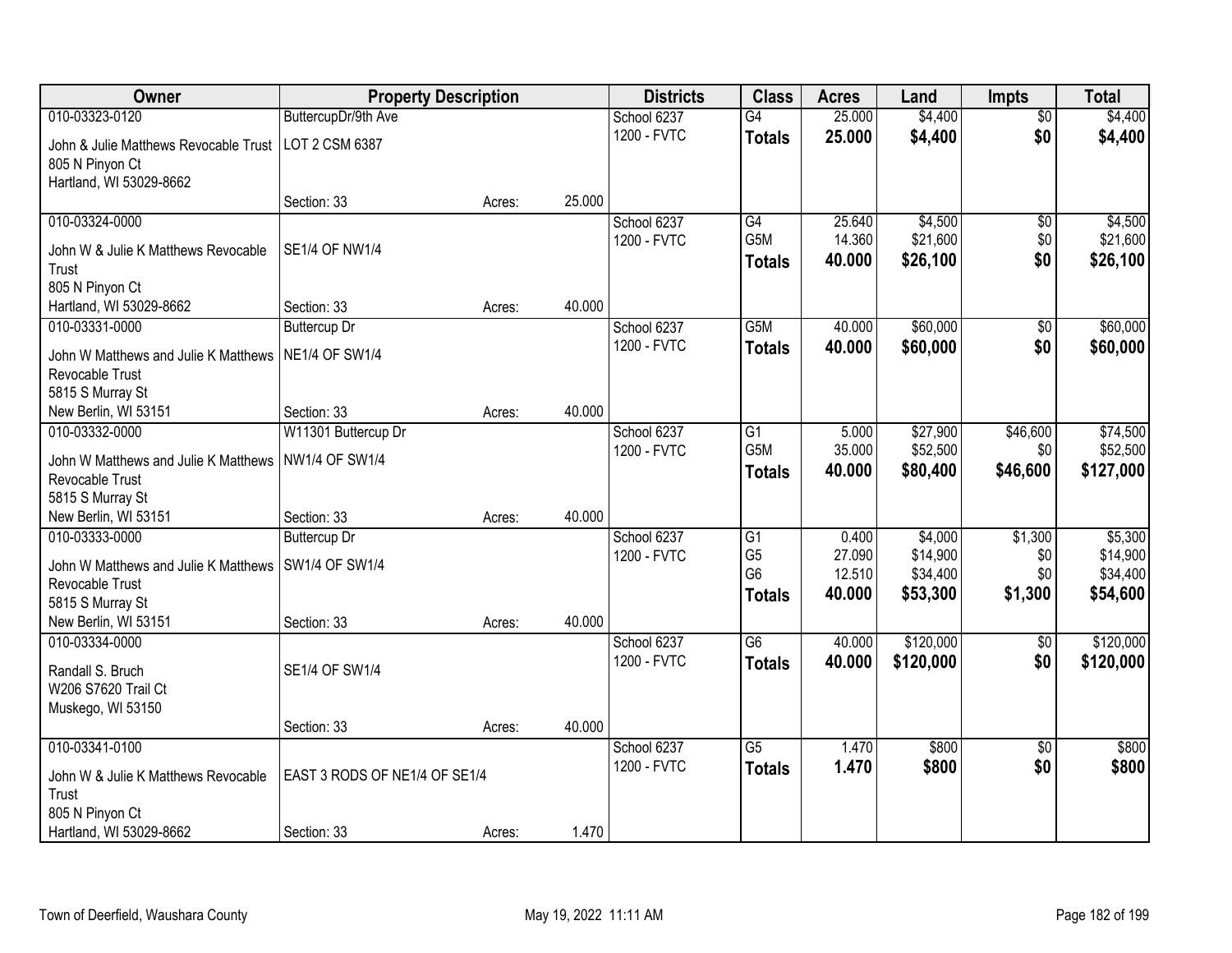| Owner                                                   |                               | <b>Property Description</b> |        | <b>Districts</b> | <b>Class</b>    | <b>Acres</b> | Land      | Impts           | <b>Total</b> |
|---------------------------------------------------------|-------------------------------|-----------------------------|--------|------------------|-----------------|--------------|-----------|-----------------|--------------|
| 010-03323-0120                                          | ButtercupDr/9th Ave           |                             |        | School 6237      | G4              | 25.000       | \$4,400   | $\overline{50}$ | \$4,400      |
| John & Julie Matthews Revocable Trust                   | LOT 2 CSM 6387                |                             |        | 1200 - FVTC      | <b>Totals</b>   | 25.000       | \$4,400   | \$0             | \$4,400      |
| 805 N Pinyon Ct                                         |                               |                             |        |                  |                 |              |           |                 |              |
| Hartland, WI 53029-8662                                 |                               |                             |        |                  |                 |              |           |                 |              |
|                                                         | Section: 33                   | Acres:                      | 25.000 |                  |                 |              |           |                 |              |
| 010-03324-0000                                          |                               |                             |        | School 6237      | G4              | 25.640       | \$4,500   | $\overline{60}$ | \$4,500      |
| John W & Julie K Matthews Revocable                     | <b>SE1/4 OF NW1/4</b>         |                             |        | 1200 - FVTC      | G5M             | 14.360       | \$21,600  | \$0             | \$21,600     |
| Trust                                                   |                               |                             |        |                  | <b>Totals</b>   | 40.000       | \$26,100  | \$0             | \$26,100     |
| 805 N Pinyon Ct                                         |                               |                             |        |                  |                 |              |           |                 |              |
| Hartland, WI 53029-8662                                 | Section: 33                   | Acres:                      | 40.000 |                  |                 |              |           |                 |              |
| 010-03331-0000                                          | <b>Buttercup Dr</b>           |                             |        | School 6237      | G5M             | 40.000       | \$60,000  | $\overline{50}$ | \$60,000     |
| John W Matthews and Julie K Matthews                    | <b>NE1/4 OF SW1/4</b>         |                             |        | 1200 - FVTC      | <b>Totals</b>   | 40.000       | \$60,000  | \$0             | \$60,000     |
| Revocable Trust                                         |                               |                             |        |                  |                 |              |           |                 |              |
| 5815 S Murray St                                        |                               |                             |        |                  |                 |              |           |                 |              |
| New Berlin, WI 53151                                    | Section: 33                   | Acres:                      | 40.000 |                  |                 |              |           |                 |              |
| 010-03332-0000                                          | W11301 Buttercup Dr           |                             |        | School 6237      | G1              | 5.000        | \$27,900  | \$46,600        | \$74,500     |
| John W Matthews and Julie K Matthews                    | <b>NW1/4 OF SW1/4</b>         |                             |        | 1200 - FVTC      | G5M             | 35.000       | \$52,500  | \$0             | \$52,500     |
| Revocable Trust                                         |                               |                             |        |                  | <b>Totals</b>   | 40.000       | \$80,400  | \$46,600        | \$127,000    |
| 5815 S Murray St                                        |                               |                             |        |                  |                 |              |           |                 |              |
| New Berlin, WI 53151                                    | Section: 33                   | Acres:                      | 40.000 |                  |                 |              |           |                 |              |
| 010-03333-0000                                          | <b>Buttercup Dr</b>           |                             |        | School 6237      | $\overline{G1}$ | 0.400        | \$4,000   | \$1,300         | \$5,300      |
|                                                         | <b>SW1/4 OF SW1/4</b>         |                             |        | 1200 - FVTC      | G <sub>5</sub>  | 27.090       | \$14,900  | \$0             | \$14,900     |
| John W Matthews and Julie K Matthews<br>Revocable Trust |                               |                             |        |                  | G <sub>6</sub>  | 12.510       | \$34,400  | \$0             | \$34,400     |
| 5815 S Murray St                                        |                               |                             |        |                  | <b>Totals</b>   | 40.000       | \$53,300  | \$1,300         | \$54,600     |
| New Berlin, WI 53151                                    | Section: 33                   | Acres:                      | 40.000 |                  |                 |              |           |                 |              |
| 010-03334-0000                                          |                               |                             |        | School 6237      | G6              | 40.000       | \$120,000 | $\overline{50}$ | \$120,000    |
|                                                         |                               |                             |        | 1200 - FVTC      | <b>Totals</b>   | 40.000       | \$120,000 | \$0             | \$120,000    |
| Randall S. Bruch<br>W206 S7620 Trail Ct                 | SE1/4 OF SW1/4                |                             |        |                  |                 |              |           |                 |              |
| Muskego, WI 53150                                       |                               |                             |        |                  |                 |              |           |                 |              |
|                                                         | Section: 33                   | Acres:                      | 40.000 |                  |                 |              |           |                 |              |
| 010-03341-0100                                          |                               |                             |        | School 6237      | G5              | 1.470        | \$800     | $\overline{50}$ | \$800        |
|                                                         |                               |                             |        | 1200 - FVTC      | <b>Totals</b>   | 1.470        | \$800     | \$0             | \$800        |
| John W & Julie K Matthews Revocable                     | EAST 3 RODS OF NE1/4 OF SE1/4 |                             |        |                  |                 |              |           |                 |              |
| Trust                                                   |                               |                             |        |                  |                 |              |           |                 |              |
| 805 N Pinyon Ct<br>Hartland, WI 53029-8662              | Section: 33                   | Acres:                      | 1.470  |                  |                 |              |           |                 |              |
|                                                         |                               |                             |        |                  |                 |              |           |                 |              |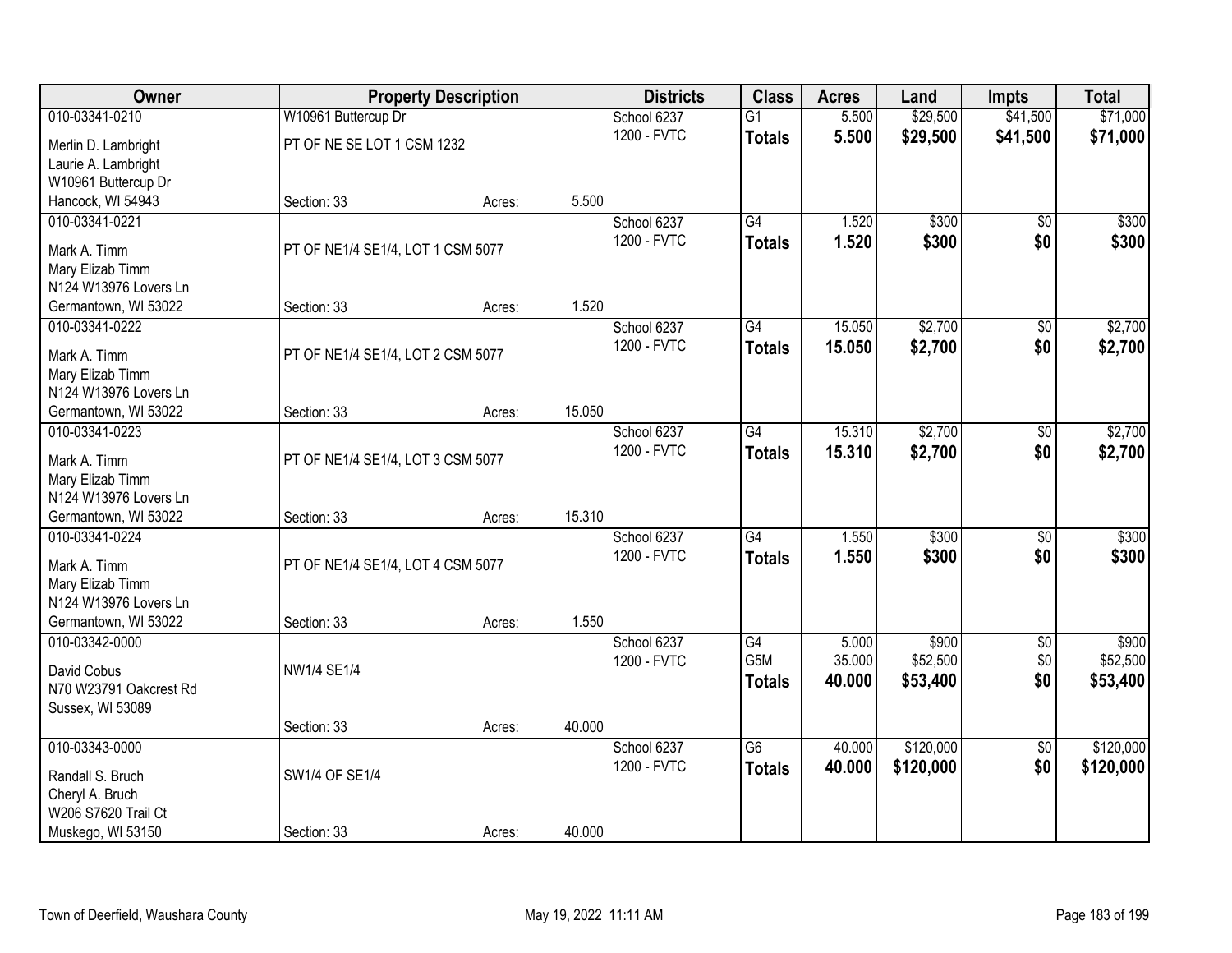| Owner                                      |                                   | <b>Property Description</b> |        | <b>Districts</b> | <b>Class</b>    | <b>Acres</b> | Land      | <b>Impts</b>    | <b>Total</b> |
|--------------------------------------------|-----------------------------------|-----------------------------|--------|------------------|-----------------|--------------|-----------|-----------------|--------------|
| 010-03341-0210                             | W10961 Buttercup Dr               |                             |        | School 6237      | $\overline{G1}$ | 5.500        | \$29,500  | \$41,500        | \$71,000     |
| Merlin D. Lambright                        | PT OF NE SE LOT 1 CSM 1232        |                             |        | 1200 - FVTC      | <b>Totals</b>   | 5.500        | \$29,500  | \$41,500        | \$71,000     |
| Laurie A. Lambright                        |                                   |                             |        |                  |                 |              |           |                 |              |
| W10961 Buttercup Dr                        |                                   |                             |        |                  |                 |              |           |                 |              |
| Hancock, WI 54943                          | Section: 33                       | Acres:                      | 5.500  |                  |                 |              |           |                 |              |
| 010-03341-0221                             |                                   |                             |        | School 6237      | G4              | 1.520        | \$300     | $\overline{50}$ | \$300        |
| Mark A. Timm                               | PT OF NE1/4 SE1/4, LOT 1 CSM 5077 |                             |        | 1200 - FVTC      | <b>Totals</b>   | 1.520        | \$300     | \$0             | \$300        |
| Mary Elizab Timm                           |                                   |                             |        |                  |                 |              |           |                 |              |
| N124 W13976 Lovers Ln                      |                                   |                             |        |                  |                 |              |           |                 |              |
| Germantown, WI 53022                       | Section: 33                       | Acres:                      | 1.520  |                  |                 |              |           |                 |              |
| 010-03341-0222                             |                                   |                             |        | School 6237      | G4              | 15.050       | \$2,700   | \$0             | \$2,700      |
| Mark A. Timm                               | PT OF NE1/4 SE1/4, LOT 2 CSM 5077 |                             |        | 1200 - FVTC      | <b>Totals</b>   | 15.050       | \$2,700   | \$0             | \$2,700      |
| Mary Elizab Timm                           |                                   |                             |        |                  |                 |              |           |                 |              |
| N124 W13976 Lovers Ln                      |                                   |                             |        |                  |                 |              |           |                 |              |
| Germantown, WI 53022                       | Section: 33                       | Acres:                      | 15.050 |                  |                 |              |           |                 |              |
| 010-03341-0223                             |                                   |                             |        | School 6237      | G4              | 15.310       | \$2,700   | \$0             | \$2,700      |
|                                            |                                   |                             |        | 1200 - FVTC      | <b>Totals</b>   | 15,310       | \$2,700   | \$0             | \$2,700      |
| Mark A. Timm<br>Mary Elizab Timm           | PT OF NE1/4 SE1/4, LOT 3 CSM 5077 |                             |        |                  |                 |              |           |                 |              |
| N124 W13976 Lovers Ln                      |                                   |                             |        |                  |                 |              |           |                 |              |
| Germantown, WI 53022                       | Section: 33                       | Acres:                      | 15.310 |                  |                 |              |           |                 |              |
| 010-03341-0224                             |                                   |                             |        | School 6237      | $\overline{G4}$ | 1.550        | \$300     | $\overline{30}$ | \$300        |
|                                            |                                   |                             |        | 1200 - FVTC      | <b>Totals</b>   | 1.550        | \$300     | \$0             | \$300        |
| Mark A. Timm<br>Mary Elizab Timm           | PT OF NE1/4 SE1/4, LOT 4 CSM 5077 |                             |        |                  |                 |              |           |                 |              |
| N124 W13976 Lovers Ln                      |                                   |                             |        |                  |                 |              |           |                 |              |
| Germantown, WI 53022                       | Section: 33                       | Acres:                      | 1.550  |                  |                 |              |           |                 |              |
| 010-03342-0000                             |                                   |                             |        | School 6237      | G4              | 5.000        | \$900     | $\overline{60}$ | \$900        |
|                                            |                                   |                             |        | 1200 - FVTC      | G5M             | 35.000       | \$52,500  | \$0             | \$52,500     |
| David Cobus                                | NW1/4 SE1/4                       |                             |        |                  | <b>Totals</b>   | 40,000       | \$53,400  | \$0             | \$53,400     |
| N70 W23791 Oakcrest Rd<br>Sussex, WI 53089 |                                   |                             |        |                  |                 |              |           |                 |              |
|                                            | Section: 33                       | Acres:                      | 40.000 |                  |                 |              |           |                 |              |
| 010-03343-0000                             |                                   |                             |        | School 6237      | $\overline{G6}$ | 40.000       | \$120,000 | $\overline{50}$ | \$120,000    |
|                                            |                                   |                             |        | 1200 - FVTC      | <b>Totals</b>   | 40.000       | \$120,000 | \$0             | \$120,000    |
| Randall S. Bruch                           | SW1/4 OF SE1/4                    |                             |        |                  |                 |              |           |                 |              |
| Cheryl A. Bruch<br>W206 S7620 Trail Ct     |                                   |                             |        |                  |                 |              |           |                 |              |
| Muskego, WI 53150                          | Section: 33                       | Acres:                      | 40.000 |                  |                 |              |           |                 |              |
|                                            |                                   |                             |        |                  |                 |              |           |                 |              |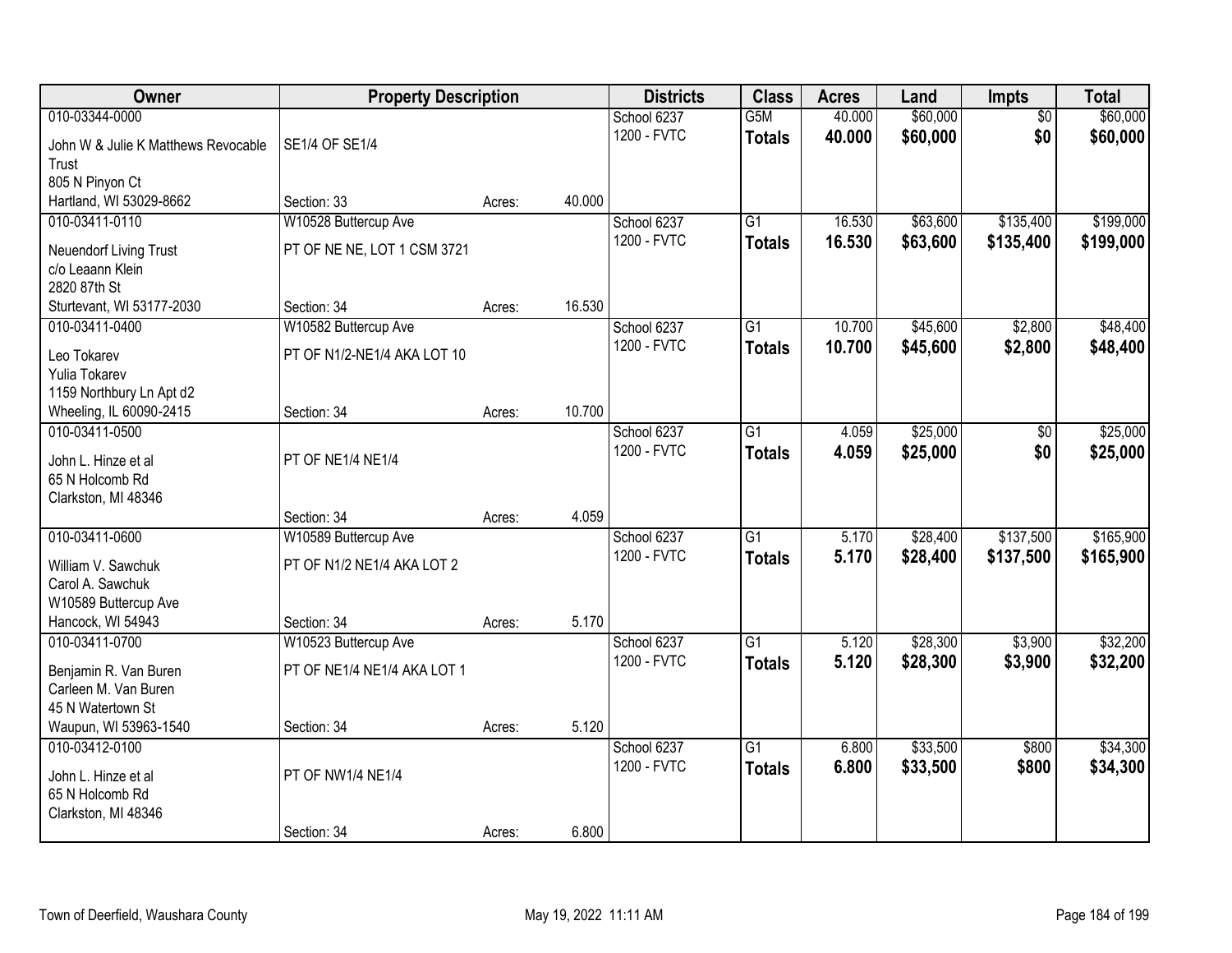| Owner                                  | <b>Property Description</b>         |        |        | <b>Districts</b> | <b>Class</b>     | <b>Acres</b> | Land     | <b>Impts</b>    | <b>Total</b> |
|----------------------------------------|-------------------------------------|--------|--------|------------------|------------------|--------------|----------|-----------------|--------------|
| 010-03344-0000                         |                                     |        |        | School 6237      | G <sub>5</sub> M | 40.000       | \$60,000 | $\overline{50}$ | \$60,000     |
| John W & Julie K Matthews Revocable    | SE1/4 OF SE1/4                      |        |        | 1200 - FVTC      | <b>Totals</b>    | 40.000       | \$60,000 | \$0             | \$60,000     |
| Trust                                  |                                     |        |        |                  |                  |              |          |                 |              |
| 805 N Pinyon Ct                        |                                     |        |        |                  |                  |              |          |                 |              |
| Hartland, WI 53029-8662                | Section: 33                         | Acres: | 40.000 |                  |                  |              |          |                 |              |
| 010-03411-0110                         | W10528 Buttercup Ave                |        |        | School 6237      | $\overline{G1}$  | 16.530       | \$63,600 | \$135,400       | \$199,000    |
| Neuendorf Living Trust                 | PT OF NE NE, LOT 1 CSM 3721         |        |        | 1200 - FVTC      | <b>Totals</b>    | 16.530       | \$63,600 | \$135,400       | \$199,000    |
| c/o Leaann Klein                       |                                     |        |        |                  |                  |              |          |                 |              |
| 2820 87th St                           |                                     |        |        |                  |                  |              |          |                 |              |
| Sturtevant, WI 53177-2030              | Section: 34                         | Acres: | 16.530 |                  |                  |              |          |                 |              |
| 010-03411-0400                         | W10582 Buttercup Ave                |        |        | School 6237      | $\overline{G1}$  | 10.700       | \$45,600 | \$2,800         | \$48,400     |
| Leo Tokarev                            | PT OF N1/2-NE1/4 AKA LOT 10         |        |        | 1200 - FVTC      | <b>Totals</b>    | 10.700       | \$45,600 | \$2,800         | \$48,400     |
| Yulia Tokarev                          |                                     |        |        |                  |                  |              |          |                 |              |
| 1159 Northbury Ln Apt d2               |                                     |        |        |                  |                  |              |          |                 |              |
| Wheeling, IL 60090-2415                | Section: 34                         | Acres: | 10.700 |                  |                  |              |          |                 |              |
| 010-03411-0500                         |                                     |        |        | School 6237      | $\overline{G1}$  | 4.059        | \$25,000 | \$0             | \$25,000     |
|                                        |                                     |        |        | 1200 - FVTC      | <b>Totals</b>    | 4.059        | \$25,000 | \$0             | \$25,000     |
| John L. Hinze et al                    | PT OF NE1/4 NE1/4                   |        |        |                  |                  |              |          |                 |              |
| 65 N Holcomb Rd<br>Clarkston, MI 48346 |                                     |        |        |                  |                  |              |          |                 |              |
|                                        | Section: 34                         | Acres: | 4.059  |                  |                  |              |          |                 |              |
| 010-03411-0600                         | W10589 Buttercup Ave                |        |        | School 6237      | $\overline{G1}$  | 5.170        | \$28,400 | \$137,500       | \$165,900    |
|                                        |                                     |        |        | 1200 - FVTC      | <b>Totals</b>    | 5.170        | \$28,400 | \$137,500       | \$165,900    |
| William V. Sawchuk                     | PT OF N1/2 NE1/4 AKA LOT 2          |        |        |                  |                  |              |          |                 |              |
| Carol A. Sawchuk                       |                                     |        |        |                  |                  |              |          |                 |              |
| W10589 Buttercup Ave                   |                                     |        | 5.170  |                  |                  |              |          |                 |              |
| Hancock, WI 54943<br>010-03411-0700    | Section: 34<br>W10523 Buttercup Ave | Acres: |        | School 6237      | $\overline{G1}$  | 5.120        | \$28,300 | \$3,900         | \$32,200     |
|                                        |                                     |        |        | 1200 - FVTC      | <b>Totals</b>    | 5.120        | \$28,300 | \$3,900         | \$32,200     |
| Benjamin R. Van Buren                  | PT OF NE1/4 NE1/4 AKA LOT 1         |        |        |                  |                  |              |          |                 |              |
| Carleen M. Van Buren                   |                                     |        |        |                  |                  |              |          |                 |              |
| 45 N Watertown St                      |                                     |        |        |                  |                  |              |          |                 |              |
| Waupun, WI 53963-1540                  | Section: 34                         | Acres: | 5.120  |                  |                  |              |          |                 |              |
| 010-03412-0100                         |                                     |        |        | School 6237      | $\overline{G1}$  | 6.800        | \$33,500 | \$800           | \$34,300     |
| John L. Hinze et al                    | PT OF NW1/4 NE1/4                   |        |        | 1200 - FVTC      | <b>Totals</b>    | 6.800        | \$33,500 | \$800           | \$34,300     |
| 65 N Holcomb Rd                        |                                     |        |        |                  |                  |              |          |                 |              |
| Clarkston, MI 48346                    |                                     |        |        |                  |                  |              |          |                 |              |
|                                        | Section: 34                         | Acres: | 6.800  |                  |                  |              |          |                 |              |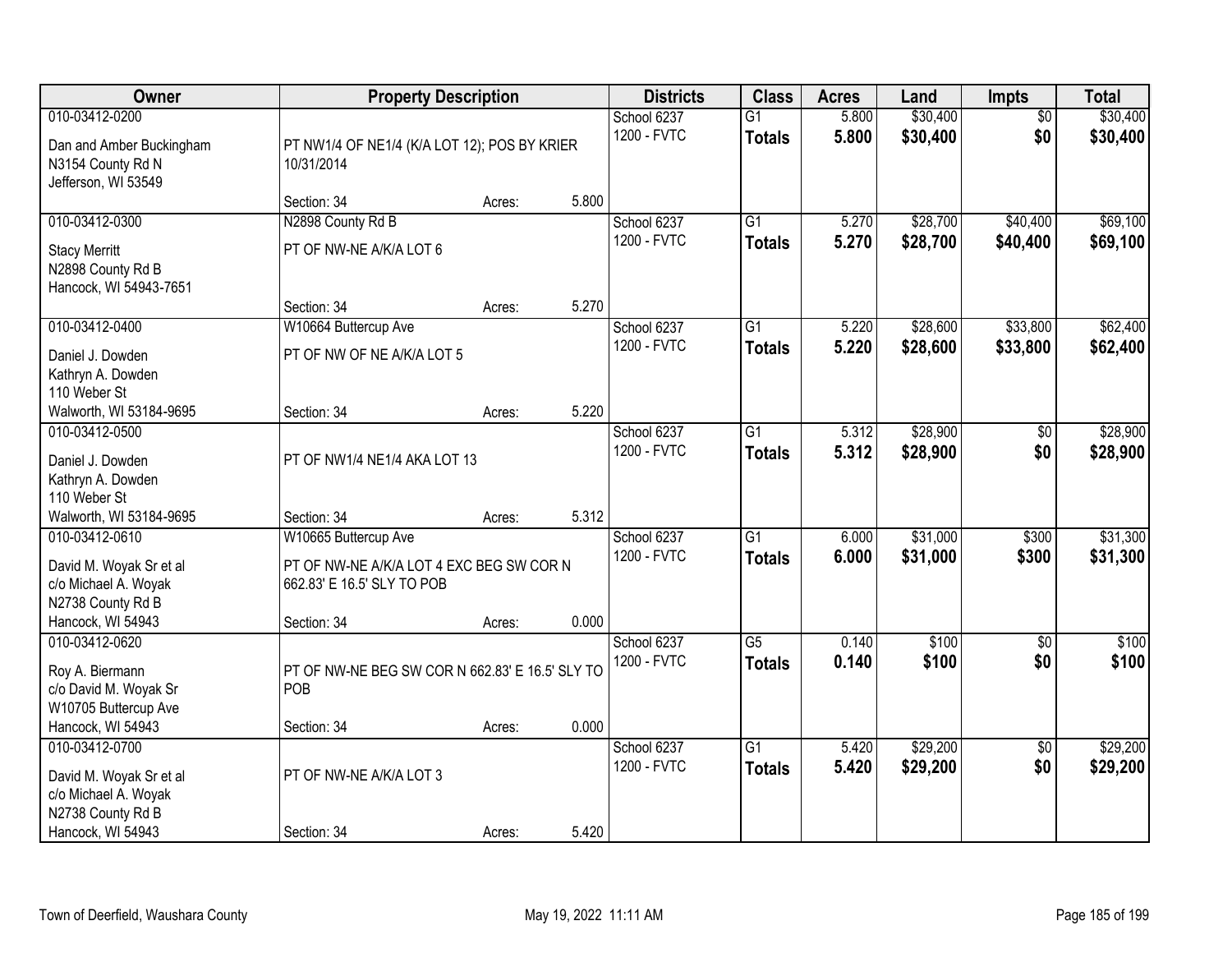| <b>Owner</b>                                                                                                |                                                                                                               | <b>Property Description</b> |       | <b>Districts</b>           | <b>Class</b>                     | <b>Acres</b>   | Land                 | <b>Impts</b>           | <b>Total</b>         |
|-------------------------------------------------------------------------------------------------------------|---------------------------------------------------------------------------------------------------------------|-----------------------------|-------|----------------------------|----------------------------------|----------------|----------------------|------------------------|----------------------|
| 010-03412-0200<br>Dan and Amber Buckingham<br>N3154 County Rd N<br>Jefferson, WI 53549                      | PT NW1/4 OF NE1/4 (K/A LOT 12); POS BY KRIER<br>10/31/2014                                                    |                             |       | School 6237<br>1200 - FVTC | $\overline{G1}$<br><b>Totals</b> | 5.800<br>5.800 | \$30,400<br>\$30,400 | $\overline{50}$<br>\$0 | \$30,400<br>\$30,400 |
|                                                                                                             | Section: 34                                                                                                   | Acres:                      | 5.800 |                            |                                  |                |                      |                        |                      |
| 010-03412-0300<br><b>Stacy Merritt</b><br>N2898 County Rd B<br>Hancock, WI 54943-7651                       | N2898 County Rd B<br>PT OF NW-NE A/K/A LOT 6                                                                  |                             |       | School 6237<br>1200 - FVTC | $\overline{G1}$<br><b>Totals</b> | 5.270<br>5.270 | \$28,700<br>\$28,700 | \$40,400<br>\$40,400   | \$69,100<br>\$69,100 |
|                                                                                                             | Section: 34                                                                                                   | Acres:                      | 5.270 |                            |                                  |                |                      |                        |                      |
| 010-03412-0400<br>Daniel J. Dowden<br>Kathryn A. Dowden<br>110 Weber St                                     | W10664 Buttercup Ave<br>PT OF NW OF NE A/K/A LOT 5                                                            |                             |       | School 6237<br>1200 - FVTC | G1<br><b>Totals</b>              | 5.220<br>5.220 | \$28,600<br>\$28,600 | \$33,800<br>\$33,800   | \$62,400<br>\$62,400 |
| Walworth, WI 53184-9695                                                                                     | Section: 34                                                                                                   | Acres:                      | 5.220 |                            |                                  |                |                      |                        |                      |
| 010-03412-0500<br>Daniel J. Dowden<br>Kathryn A. Dowden<br>110 Weber St                                     | PT OF NW1/4 NE1/4 AKA LOT 13                                                                                  |                             |       | School 6237<br>1200 - FVTC | G1<br><b>Totals</b>              | 5.312<br>5.312 | \$28,900<br>\$28,900 | \$0<br>\$0             | \$28,900<br>\$28,900 |
| Walworth, WI 53184-9695                                                                                     | Section: 34                                                                                                   | Acres:                      | 5.312 |                            |                                  |                |                      |                        |                      |
| 010-03412-0610<br>David M. Woyak Sr et al<br>c/o Michael A. Woyak<br>N2738 County Rd B<br>Hancock, WI 54943 | W10665 Buttercup Ave<br>PT OF NW-NE A/K/A LOT 4 EXC BEG SW COR N<br>662.83' E 16.5' SLY TO POB<br>Section: 34 | Acres:                      | 0.000 | School 6237<br>1200 - FVTC | $\overline{G1}$<br><b>Totals</b> | 6.000<br>6.000 | \$31,000<br>\$31,000 | \$300<br>\$300         | \$31,300<br>\$31,300 |
| 010-03412-0620                                                                                              |                                                                                                               |                             |       | School 6237                | $\overline{G5}$                  | 0.140          | \$100                | $\overline{50}$        | \$100                |
| Roy A. Biermann<br>c/o David M. Woyak Sr<br>W10705 Buttercup Ave                                            | PT OF NW-NE BEG SW COR N 662.83' E 16.5' SLY TO<br>POB                                                        |                             |       | 1200 - FVTC                | <b>Totals</b>                    | 0.140          | \$100                | \$0                    | \$100                |
| Hancock, WI 54943                                                                                           | Section: 34                                                                                                   | Acres:                      | 0.000 |                            |                                  |                |                      |                        |                      |
| 010-03412-0700<br>David M. Woyak Sr et al<br>c/o Michael A. Woyak<br>N2738 County Rd B<br>Hancock, WI 54943 | PT OF NW-NE A/K/A LOT 3<br>Section: 34                                                                        | Acres:                      | 5.420 | School 6237<br>1200 - FVTC | $\overline{G1}$<br><b>Totals</b> | 5.420<br>5.420 | \$29,200<br>\$29,200 | $\overline{50}$<br>\$0 | \$29,200<br>\$29,200 |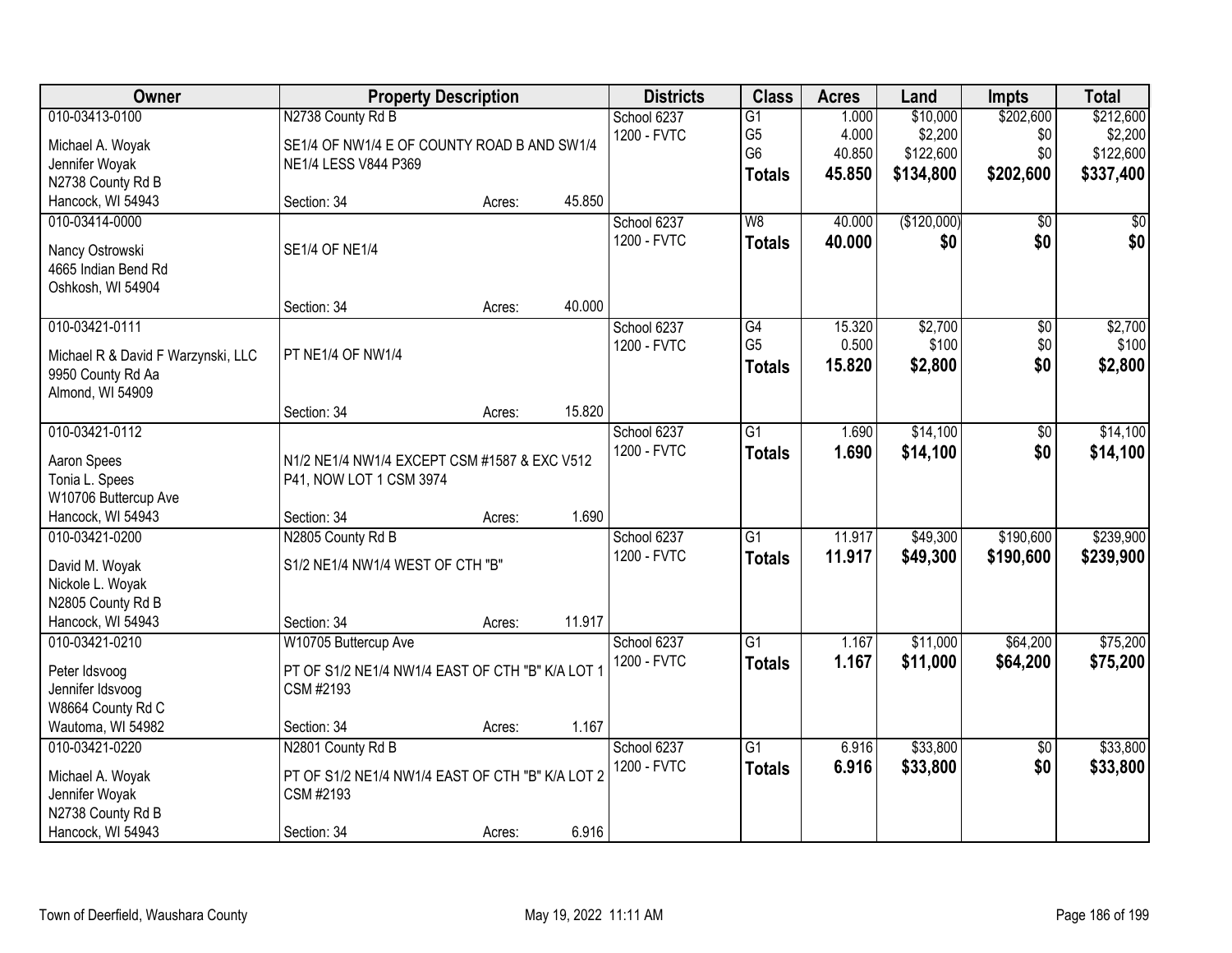| Owner                                    |                                                  | <b>Property Description</b> |        | <b>Districts</b>           | <b>Class</b>    | <b>Acres</b> | Land        | <b>Impts</b>    | <b>Total</b> |
|------------------------------------------|--------------------------------------------------|-----------------------------|--------|----------------------------|-----------------|--------------|-------------|-----------------|--------------|
| 010-03413-0100                           | N2738 County Rd B                                |                             |        | School 6237                | $\overline{G1}$ | 1.000        | \$10,000    | \$202,600       | \$212,600    |
| Michael A. Woyak                         | SE1/4 OF NW1/4 E OF COUNTY ROAD B AND SW1/4      |                             |        | 1200 - FVTC                | G <sub>5</sub>  | 4.000        | \$2,200     | \$0             | \$2,200      |
| Jennifer Woyak                           | NE1/4 LESS V844 P369                             |                             |        |                            | G <sub>6</sub>  | 40.850       | \$122,600   | \$0             | \$122,600    |
| N2738 County Rd B                        |                                                  |                             |        |                            | <b>Totals</b>   | 45.850       | \$134,800   | \$202,600       | \$337,400    |
| Hancock, WI 54943                        | Section: 34                                      | Acres:                      | 45.850 |                            |                 |              |             |                 |              |
| 010-03414-0000                           |                                                  |                             |        | School 6237                | W8              | 40.000       | (\$120,000) | $\overline{50}$ | \$0          |
|                                          |                                                  |                             |        | 1200 - FVTC                | <b>Totals</b>   | 40.000       | \$0         | \$0             | \$0          |
| Nancy Ostrowski                          | <b>SE1/4 OF NE1/4</b>                            |                             |        |                            |                 |              |             |                 |              |
| 4665 Indian Bend Rd<br>Oshkosh, WI 54904 |                                                  |                             |        |                            |                 |              |             |                 |              |
|                                          | Section: 34                                      | Acres:                      | 40.000 |                            |                 |              |             |                 |              |
| 010-03421-0111                           |                                                  |                             |        | School 6237                | $\overline{G4}$ | 15.320       | \$2,700     | $\overline{50}$ | \$2,700      |
|                                          |                                                  |                             |        | 1200 - FVTC                | G <sub>5</sub>  | 0.500        | \$100       | \$0             | \$100        |
| Michael R & David F Warzynski, LLC       | PT NE1/4 OF NW1/4                                |                             |        |                            | <b>Totals</b>   | 15.820       | \$2,800     | \$0             | \$2,800      |
| 9950 County Rd Aa                        |                                                  |                             |        |                            |                 |              |             |                 |              |
| Almond, WI 54909                         |                                                  |                             |        |                            |                 |              |             |                 |              |
|                                          | Section: 34                                      | Acres:                      | 15.820 |                            | $\overline{G1}$ |              | \$14,100    |                 |              |
| 010-03421-0112                           |                                                  |                             |        | School 6237<br>1200 - FVTC |                 | 1.690        |             | \$0             | \$14,100     |
| Aaron Spees                              | N1/2 NE1/4 NW1/4 EXCEPT CSM #1587 & EXC V512     |                             |        |                            | <b>Totals</b>   | 1.690        | \$14,100    | \$0             | \$14,100     |
| Tonia L. Spees                           | P41, NOW LOT 1 CSM 3974                          |                             |        |                            |                 |              |             |                 |              |
| W10706 Buttercup Ave                     |                                                  |                             |        |                            |                 |              |             |                 |              |
| Hancock, WI 54943                        | Section: 34                                      | Acres:                      | 1.690  |                            |                 |              |             |                 |              |
| 010-03421-0200                           | N2805 County Rd B                                |                             |        | School 6237                | $\overline{G1}$ | 11.917       | \$49,300    | \$190,600       | \$239,900    |
| David M. Woyak                           | S1/2 NE1/4 NW1/4 WEST OF CTH "B"                 |                             |        | 1200 - FVTC                | <b>Totals</b>   | 11.917       | \$49,300    | \$190,600       | \$239,900    |
| Nickole L. Woyak                         |                                                  |                             |        |                            |                 |              |             |                 |              |
| N2805 County Rd B                        |                                                  |                             |        |                            |                 |              |             |                 |              |
| Hancock, WI 54943                        | Section: 34                                      | Acres:                      | 11.917 |                            |                 |              |             |                 |              |
| 010-03421-0210                           | W10705 Buttercup Ave                             |                             |        | School 6237                | $\overline{G1}$ | 1.167        | \$11,000    | \$64,200        | \$75,200     |
| Peter Idsvoog                            | PT OF S1/2 NE1/4 NW1/4 EAST OF CTH "B" K/A LOT 1 |                             |        | 1200 - FVTC                | <b>Totals</b>   | 1.167        | \$11,000    | \$64,200        | \$75,200     |
| Jennifer Idsvoog                         | CSM #2193                                        |                             |        |                            |                 |              |             |                 |              |
| W8664 County Rd C                        |                                                  |                             |        |                            |                 |              |             |                 |              |
| Wautoma, WI 54982                        | Section: 34                                      | Acres:                      | 1.167  |                            |                 |              |             |                 |              |
| 010-03421-0220                           | N2801 County Rd B                                |                             |        | School 6237                | $\overline{G1}$ | 6.916        | \$33,800    | $\overline{50}$ | \$33,800     |
|                                          |                                                  |                             |        | 1200 - FVTC                | <b>Totals</b>   | 6.916        | \$33,800    | \$0             | \$33,800     |
| Michael A. Woyak                         | PT OF S1/2 NE1/4 NW1/4 EAST OF CTH "B" K/A LOT 2 |                             |        |                            |                 |              |             |                 |              |
| Jennifer Woyak                           | CSM #2193                                        |                             |        |                            |                 |              |             |                 |              |
| N2738 County Rd B                        |                                                  |                             | 6.916  |                            |                 |              |             |                 |              |
| Hancock, WI 54943                        | Section: 34                                      | Acres:                      |        |                            |                 |              |             |                 |              |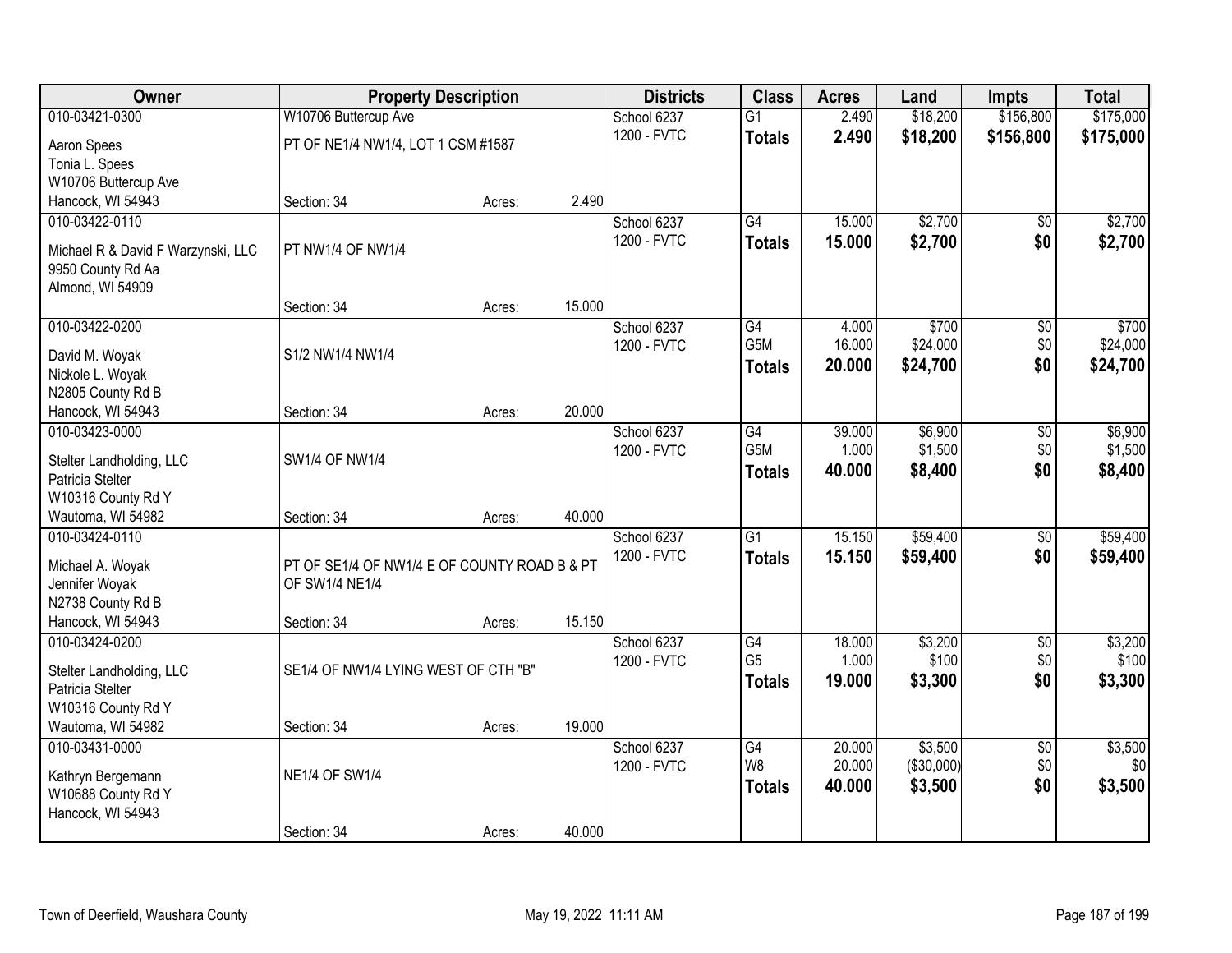| Owner                                        |                                              | <b>Property Description</b> |        | <b>Districts</b> | <b>Class</b>    | <b>Acres</b> | Land       | <b>Impts</b>    | <b>Total</b> |
|----------------------------------------------|----------------------------------------------|-----------------------------|--------|------------------|-----------------|--------------|------------|-----------------|--------------|
| 010-03421-0300                               | W10706 Buttercup Ave                         |                             |        | School 6237      | $\overline{G1}$ | 2.490        | \$18,200   | \$156,800       | \$175,000    |
| Aaron Spees                                  | PT OF NE1/4 NW1/4, LOT 1 CSM #1587           |                             |        | 1200 - FVTC      | <b>Totals</b>   | 2.490        | \$18,200   | \$156,800       | \$175,000    |
| Tonia L. Spees                               |                                              |                             |        |                  |                 |              |            |                 |              |
| W10706 Buttercup Ave                         |                                              |                             |        |                  |                 |              |            |                 |              |
| Hancock, WI 54943                            | Section: 34                                  | Acres:                      | 2.490  |                  |                 |              |            |                 |              |
| 010-03422-0110                               |                                              |                             |        | School 6237      | $\overline{G4}$ | 15.000       | \$2,700    | $\overline{30}$ | \$2,700      |
| Michael R & David F Warzynski, LLC           | PT NW1/4 OF NW1/4                            |                             |        | 1200 - FVTC      | <b>Totals</b>   | 15.000       | \$2,700    | \$0             | \$2,700      |
| 9950 County Rd Aa                            |                                              |                             |        |                  |                 |              |            |                 |              |
| Almond, WI 54909                             |                                              |                             |        |                  |                 |              |            |                 |              |
|                                              | Section: 34                                  | Acres:                      | 15.000 |                  |                 |              |            |                 |              |
| 010-03422-0200                               |                                              |                             |        | School 6237      | G4              | 4.000        | \$700      | \$0             | \$700        |
| David M. Woyak                               | S1/2 NW1/4 NW1/4                             |                             |        | 1200 - FVTC      | G5M             | 16.000       | \$24,000   | \$0             | \$24,000     |
| Nickole L. Woyak                             |                                              |                             |        |                  | <b>Totals</b>   | 20.000       | \$24,700   | \$0             | \$24,700     |
| N2805 County Rd B                            |                                              |                             |        |                  |                 |              |            |                 |              |
| Hancock, WI 54943                            | Section: 34                                  | Acres:                      | 20.000 |                  |                 |              |            |                 |              |
| 010-03423-0000                               |                                              |                             |        | School 6237      | G4              | 39.000       | \$6,900    | \$0             | \$6,900      |
|                                              | <b>SW1/4 OF NW1/4</b>                        |                             |        | 1200 - FVTC      | G5M             | 1.000        | \$1,500    | \$0             | \$1,500      |
| Stelter Landholding, LLC<br>Patricia Stelter |                                              |                             |        |                  | <b>Totals</b>   | 40.000       | \$8,400    | \$0             | \$8,400      |
| W10316 County Rd Y                           |                                              |                             |        |                  |                 |              |            |                 |              |
| Wautoma, WI 54982                            | Section: 34                                  | Acres:                      | 40.000 |                  |                 |              |            |                 |              |
| 010-03424-0110                               |                                              |                             |        | School 6237      | $\overline{G1}$ | 15.150       | \$59,400   | \$0             | \$59,400     |
|                                              |                                              |                             |        | 1200 - FVTC      | <b>Totals</b>   | 15.150       | \$59,400   | \$0             | \$59,400     |
| Michael A. Woyak                             | PT OF SE1/4 OF NW1/4 E OF COUNTY ROAD B & PT |                             |        |                  |                 |              |            |                 |              |
| Jennifer Woyak                               | OF SW1/4 NE1/4                               |                             |        |                  |                 |              |            |                 |              |
| N2738 County Rd B<br>Hancock, WI 54943       | Section: 34                                  | Acres:                      | 15.150 |                  |                 |              |            |                 |              |
| 010-03424-0200                               |                                              |                             |        | School 6237      | G4              | 18.000       | \$3,200    | $\overline{60}$ | \$3,200      |
|                                              |                                              |                             |        | 1200 - FVTC      | G <sub>5</sub>  | 1.000        | \$100      | \$0             | \$100        |
| Stelter Landholding, LLC                     | SE1/4 OF NW1/4 LYING WEST OF CTH "B"         |                             |        |                  | Totals          | 19.000       | \$3,300    | \$0             | \$3,300      |
| Patricia Stelter                             |                                              |                             |        |                  |                 |              |            |                 |              |
| W10316 County Rd Y                           |                                              |                             |        |                  |                 |              |            |                 |              |
| Wautoma, WI 54982<br>010-03431-0000          | Section: 34                                  | Acres:                      | 19.000 | School 6237      | G4              | 20,000       | \$3,500    | $\overline{50}$ | \$3,500      |
|                                              |                                              |                             |        | 1200 - FVTC      | W <sub>8</sub>  | 20.000       | (\$30,000) | \$0             | \$0          |
| Kathryn Bergemann                            | <b>NE1/4 OF SW1/4</b>                        |                             |        |                  | <b>Totals</b>   | 40.000       | \$3,500    | \$0             | \$3,500      |
| W10688 County Rd Y                           |                                              |                             |        |                  |                 |              |            |                 |              |
| Hancock, WI 54943                            |                                              |                             |        |                  |                 |              |            |                 |              |
|                                              | Section: 34                                  | Acres:                      | 40.000 |                  |                 |              |            |                 |              |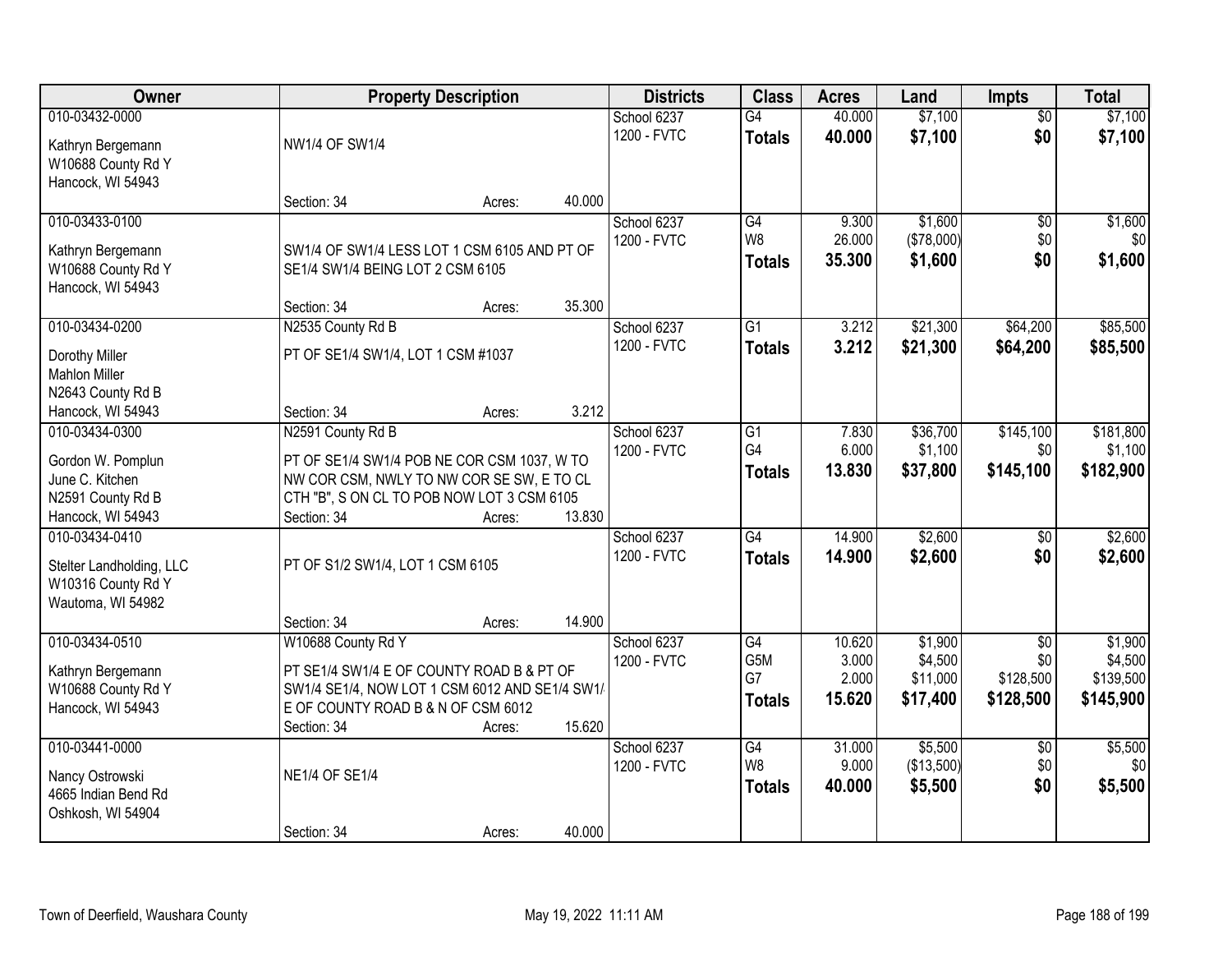| Owner                                                                                                      |                                                                                                                                                                                       | <b>Property Description</b> |                  | <b>Districts</b>           | <b>Class</b>                          | <b>Acres</b>                       | Land                                       | <b>Impts</b>                                     | <b>Total</b>                                 |
|------------------------------------------------------------------------------------------------------------|---------------------------------------------------------------------------------------------------------------------------------------------------------------------------------------|-----------------------------|------------------|----------------------------|---------------------------------------|------------------------------------|--------------------------------------------|--------------------------------------------------|----------------------------------------------|
| 010-03432-0000<br>Kathryn Bergemann<br>W10688 County Rd Y                                                  | NW1/4 OF SW1/4                                                                                                                                                                        |                             |                  | School 6237<br>1200 - FVTC | $\overline{G4}$<br><b>Totals</b>      | 40.000<br>40.000                   | \$7,100<br>\$7,100                         | $\overline{50}$<br>\$0                           | \$7,100<br>\$7,100                           |
| Hancock, WI 54943                                                                                          | Section: 34                                                                                                                                                                           | Acres:                      | 40.000           |                            |                                       |                                    |                                            |                                                  |                                              |
| 010-03433-0100<br>Kathryn Bergemann<br>W10688 County Rd Y<br>Hancock, WI 54943                             | SW1/4 OF SW1/4 LESS LOT 1 CSM 6105 AND PT OF<br>SE1/4 SW1/4 BEING LOT 2 CSM 6105                                                                                                      |                             |                  | School 6237<br>1200 - FVTC | G4<br>W8<br><b>Totals</b>             | 9.300<br>26.000<br>35.300          | \$1,600<br>(\$78,000)<br>\$1,600           | \$0<br>\$0<br>\$0                                | \$1,600<br>\$0<br>\$1,600                    |
| 010-03434-0200<br>Dorothy Miller                                                                           | Section: 34<br>N2535 County Rd B<br>PT OF SE1/4 SW1/4, LOT 1 CSM #1037                                                                                                                | Acres:                      | 35.300           | School 6237<br>1200 - FVTC | $\overline{G1}$<br><b>Totals</b>      | 3.212<br>3.212                     | \$21,300<br>\$21,300                       | \$64,200<br>\$64,200                             | \$85,500<br>\$85,500                         |
| <b>Mahlon Miller</b><br>N2643 County Rd B<br>Hancock, WI 54943                                             | Section: 34                                                                                                                                                                           | Acres:                      | 3.212            |                            |                                       |                                    |                                            |                                                  |                                              |
| 010-03434-0300<br>Gordon W. Pomplun<br>June C. Kitchen<br>N2591 County Rd B                                | N2591 County Rd B<br>PT OF SE1/4 SW1/4 POB NE COR CSM 1037, W TO<br>NW COR CSM, NWLY TO NW COR SE SW, E TO CL<br>CTH "B", S ON CL TO POB NOW LOT 3 CSM 6105                           |                             |                  | School 6237<br>1200 - FVTC | G1<br>G <sub>4</sub><br><b>Totals</b> | 7.830<br>6.000<br>13.830           | \$36,700<br>\$1,100<br>\$37,800            | \$145,100<br>\$0<br>\$145,100                    | \$181,800<br>\$1,100<br>\$182,900            |
| Hancock, WI 54943<br>010-03434-0410<br>Stelter Landholding, LLC<br>W10316 County Rd Y<br>Wautoma, WI 54982 | Section: 34<br>PT OF S1/2 SW1/4, LOT 1 CSM 6105                                                                                                                                       | Acres:                      | 13.830           | School 6237<br>1200 - FVTC | G4<br><b>Totals</b>                   | 14.900<br>14.900                   | \$2,600<br>\$2,600                         | \$0<br>\$0                                       | \$2,600<br>\$2,600                           |
| 010-03434-0510<br>Kathryn Bergemann<br>W10688 County Rd Y<br>Hancock, WI 54943                             | Section: 34<br>W10688 County Rd Y<br>PT SE1/4 SW1/4 E OF COUNTY ROAD B & PT OF<br>SW1/4 SE1/4, NOW LOT 1 CSM 6012 AND SE1/4 SW1/<br>E OF COUNTY ROAD B & N OF CSM 6012<br>Section: 34 | Acres:<br>Acres:            | 14.900<br>15.620 | School 6237<br>1200 - FVTC | G4<br>G5M<br>G7<br><b>Totals</b>      | 10.620<br>3.000<br>2.000<br>15.620 | \$1,900<br>\$4,500<br>\$11,000<br>\$17,400 | $\overline{50}$<br>\$0<br>\$128,500<br>\$128,500 | \$1,900<br>\$4,500<br>\$139,500<br>\$145,900 |
| 010-03441-0000<br>Nancy Ostrowski<br>4665 Indian Bend Rd<br>Oshkosh, WI 54904                              | <b>NE1/4 OF SE1/4</b><br>Section: 34                                                                                                                                                  | Acres:                      | 40.000           | School 6237<br>1200 - FVTC | G4<br>W <sub>8</sub><br><b>Totals</b> | 31.000<br>9.000<br>40.000          | \$5,500<br>(\$13,500)<br>\$5,500           | $\overline{50}$<br>\$0<br>\$0                    | \$5,500<br>\$0<br>\$5,500                    |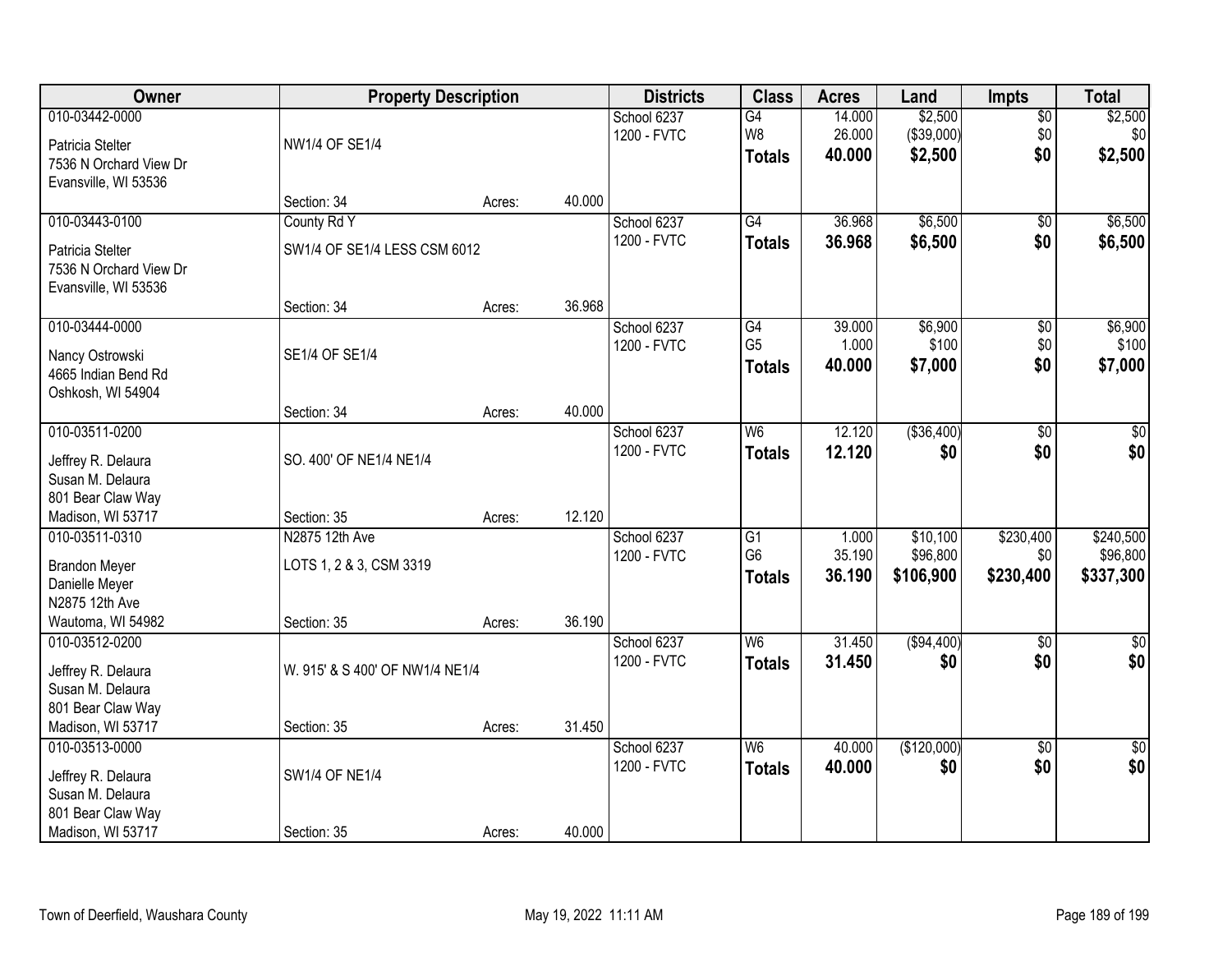| Owner                                      |                                 | <b>Property Description</b> |        | <b>Districts</b>           | <b>Class</b>                      | <b>Acres</b>     | Land                  | <b>Impts</b>     | <b>Total</b>                |
|--------------------------------------------|---------------------------------|-----------------------------|--------|----------------------------|-----------------------------------|------------------|-----------------------|------------------|-----------------------------|
| 010-03442-0000                             |                                 |                             |        | School 6237                | G4                                | 14.000           | \$2,500               | $\overline{50}$  | \$2,500                     |
| Patricia Stelter                           | NW1/4 OF SE1/4                  |                             |        | 1200 - FVTC                | W8<br><b>Totals</b>               | 26.000<br>40.000 | (\$39,000)<br>\$2,500 | \$0<br>\$0       | \$0 <sub>1</sub><br>\$2,500 |
| 7536 N Orchard View Dr                     |                                 |                             |        |                            |                                   |                  |                       |                  |                             |
| Evansville, WI 53536                       | Section: 34                     | Acres:                      | 40.000 |                            |                                   |                  |                       |                  |                             |
| 010-03443-0100                             | County Rd Y                     |                             |        | School 6237                | G4                                | 36.968           | \$6,500               | \$0              | \$6,500                     |
|                                            |                                 |                             |        | 1200 - FVTC                | <b>Totals</b>                     | 36.968           | \$6,500               | \$0              | \$6,500                     |
| Patricia Stelter<br>7536 N Orchard View Dr | SW1/4 OF SE1/4 LESS CSM 6012    |                             |        |                            |                                   |                  |                       |                  |                             |
| Evansville, WI 53536                       |                                 |                             |        |                            |                                   |                  |                       |                  |                             |
|                                            | Section: 34                     | Acres:                      | 36.968 |                            |                                   |                  |                       |                  |                             |
| 010-03444-0000                             |                                 |                             |        | School 6237                | G4                                | 39.000           | \$6,900               | \$0              | \$6,900                     |
| Nancy Ostrowski                            | SE1/4 OF SE1/4                  |                             |        | 1200 - FVTC                | G <sub>5</sub>                    | 1.000            | \$100                 | \$0              | \$100                       |
| 4665 Indian Bend Rd                        |                                 |                             |        |                            | <b>Totals</b>                     | 40.000           | \$7,000               | \$0              | \$7,000                     |
| Oshkosh, WI 54904                          |                                 |                             |        |                            |                                   |                  |                       |                  |                             |
|                                            | Section: 34                     | Acres:                      | 40.000 |                            |                                   |                  |                       |                  |                             |
| 010-03511-0200                             |                                 |                             |        | School 6237                | W <sub>6</sub>                    | 12.120           | ( \$36,400)           | \$0              | $\sqrt{50}$                 |
| Jeffrey R. Delaura                         | SO. 400' OF NE1/4 NE1/4         |                             |        | 1200 - FVTC                | <b>Totals</b>                     | 12.120           | \$0                   | \$0              | \$0                         |
| Susan M. Delaura                           |                                 |                             |        |                            |                                   |                  |                       |                  |                             |
| 801 Bear Claw Way                          |                                 |                             |        |                            |                                   |                  |                       |                  |                             |
| Madison, WI 53717                          | Section: 35                     | Acres:                      | 12.120 |                            |                                   |                  |                       |                  |                             |
| 010-03511-0310                             | N2875 12th Ave                  |                             |        | School 6237<br>1200 - FVTC | $\overline{G1}$<br>G <sub>6</sub> | 1.000<br>35.190  | \$10,100<br>\$96,800  | \$230,400<br>\$0 | \$240,500<br>\$96,800       |
| <b>Brandon Meyer</b>                       | LOTS 1, 2 & 3, CSM 3319         |                             |        |                            | <b>Totals</b>                     | 36.190           | \$106,900             | \$230,400        | \$337,300                   |
| Danielle Meyer                             |                                 |                             |        |                            |                                   |                  |                       |                  |                             |
| N2875 12th Ave                             |                                 |                             | 36.190 |                            |                                   |                  |                       |                  |                             |
| Wautoma, WI 54982<br>010-03512-0200        | Section: 35                     | Acres:                      |        | School 6237                | $\overline{W6}$                   | 31.450           | (\$94,400)            | $\sqrt{6}$       | $\overline{\$0}$            |
|                                            |                                 |                             |        | 1200 - FVTC                | <b>Totals</b>                     | 31.450           | \$0                   | \$0              | \$0                         |
| Jeffrey R. Delaura                         | W. 915' & S 400' OF NW1/4 NE1/4 |                             |        |                            |                                   |                  |                       |                  |                             |
| Susan M. Delaura<br>801 Bear Claw Way      |                                 |                             |        |                            |                                   |                  |                       |                  |                             |
| Madison, WI 53717                          | Section: 35                     | Acres:                      | 31.450 |                            |                                   |                  |                       |                  |                             |
| 010-03513-0000                             |                                 |                             |        | School 6237                | W <sub>6</sub>                    | 40.000           | (\$120,000)           | $\overline{30}$  | $\sqrt{50}$                 |
|                                            |                                 |                             |        | 1200 - FVTC                | <b>Totals</b>                     | 40.000           | \$0                   | \$0              | \$0                         |
| Jeffrey R. Delaura<br>Susan M. Delaura     | <b>SW1/4 OF NE1/4</b>           |                             |        |                            |                                   |                  |                       |                  |                             |
| 801 Bear Claw Way                          |                                 |                             |        |                            |                                   |                  |                       |                  |                             |
| Madison, WI 53717                          | Section: 35                     | Acres:                      | 40.000 |                            |                                   |                  |                       |                  |                             |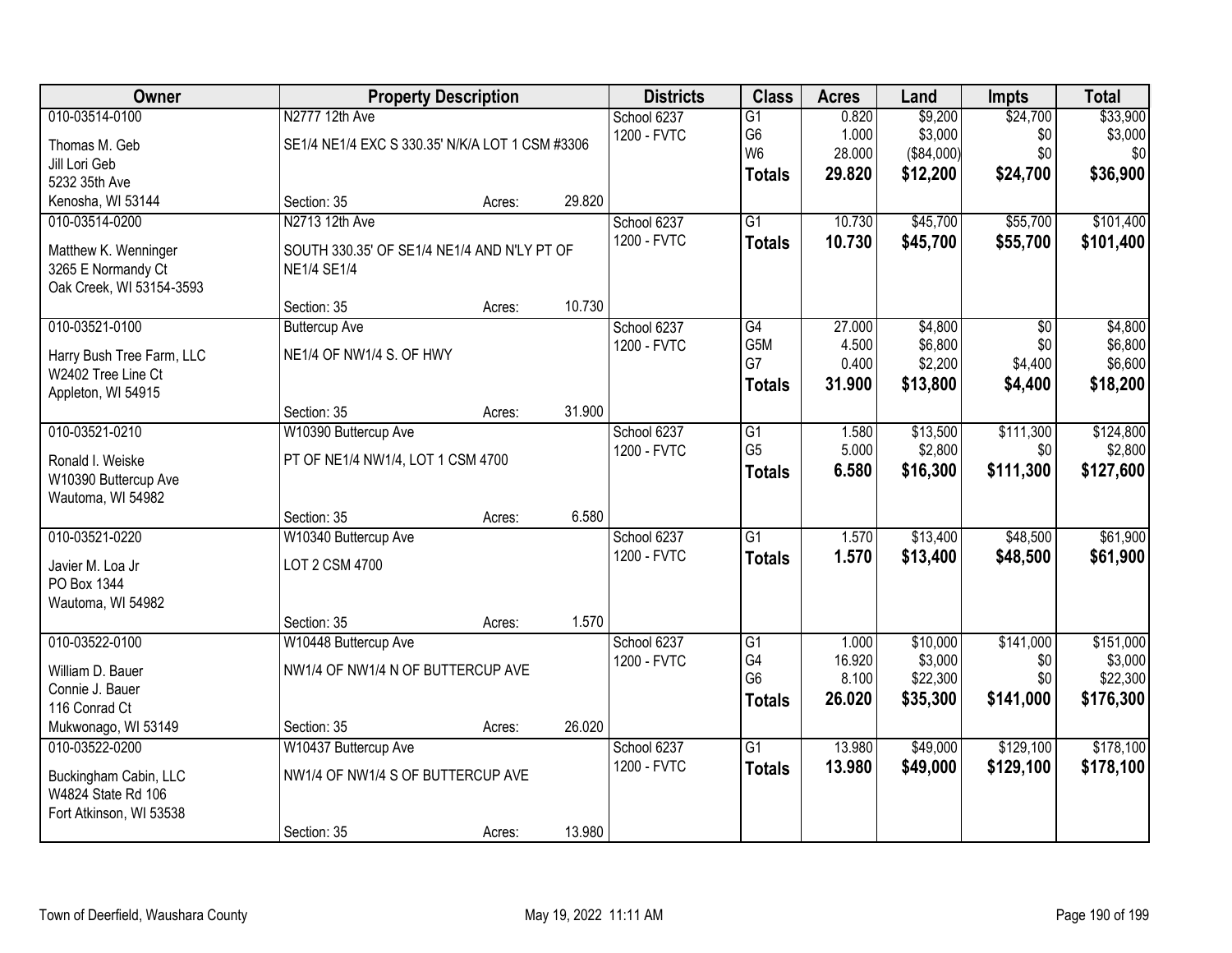| <b>Owner</b>                                                                                  |                                                                                     | <b>Property Description</b> |                | <b>Districts</b>           | <b>Class</b>                                             | <b>Acres</b>                       | Land                                        | <b>Impts</b>                         | <b>Total</b>                                  |
|-----------------------------------------------------------------------------------------------|-------------------------------------------------------------------------------------|-----------------------------|----------------|----------------------------|----------------------------------------------------------|------------------------------------|---------------------------------------------|--------------------------------------|-----------------------------------------------|
| 010-03514-0100<br>Thomas M. Geb<br>Jill Lori Geb                                              | N2777 12th Ave<br>SE1/4 NE1/4 EXC S 330.35' N/K/A LOT 1 CSM #3306                   |                             |                | School 6237<br>1200 - FVTC | $\overline{G1}$<br>G6<br>W <sub>6</sub>                  | 0.820<br>1.000<br>28.000           | \$9,200<br>\$3,000<br>(\$84,000)            | \$24,700<br>\$0<br>\$0               | \$33,900<br>\$3,000<br>\$0                    |
| 5232 35th Ave<br>Kenosha, WI 53144                                                            | Section: 35                                                                         | Acres:                      | 29.820         |                            | <b>Totals</b>                                            | 29.820                             | \$12,200                                    | \$24,700                             | \$36,900                                      |
| 010-03514-0200<br>Matthew K. Wenninger<br>3265 E Normandy Ct<br>Oak Creek, WI 53154-3593      | N2713 12th Ave<br>SOUTH 330.35' OF SE1/4 NE1/4 AND N'LY PT OF<br><b>NE1/4 SE1/4</b> |                             |                | School 6237<br>1200 - FVTC | $\overline{G1}$<br><b>Totals</b>                         | 10.730<br>10.730                   | \$45,700<br>\$45,700                        | \$55,700<br>\$55,700                 | \$101,400<br>\$101,400                        |
| 010-03521-0100<br>Harry Bush Tree Farm, LLC<br>W2402 Tree Line Ct<br>Appleton, WI 54915       | Section: 35<br><b>Buttercup Ave</b><br>NE1/4 OF NW1/4 S. OF HWY                     | Acres:                      | 10.730         | School 6237<br>1200 - FVTC | G4<br>G5M<br>G7<br><b>Totals</b>                         | 27.000<br>4.500<br>0.400<br>31.900 | \$4,800<br>\$6,800<br>\$2,200<br>\$13,800   | \$0<br>\$0<br>\$4,400<br>\$4,400     | \$4,800<br>\$6,800<br>\$6,600<br>\$18,200     |
| 010-03521-0210<br>Ronald I. Weiske<br>W10390 Buttercup Ave<br>Wautoma, WI 54982               | Section: 35<br>W10390 Buttercup Ave<br>PT OF NE1/4 NW1/4, LOT 1 CSM 4700            | Acres:                      | 31.900         | School 6237<br>1200 - FVTC | G1<br>G <sub>5</sub><br><b>Totals</b>                    | 1.580<br>5.000<br>6.580            | \$13,500<br>\$2,800<br>\$16,300             | \$111,300<br>\$0<br>\$111,300        | \$124,800<br>\$2,800<br>\$127,600             |
| 010-03521-0220<br>Javier M. Loa Jr<br>PO Box 1344<br>Wautoma, WI 54982                        | Section: 35<br>W10340 Buttercup Ave<br>LOT 2 CSM 4700<br>Section: 35                | Acres:<br>Acres:            | 6.580<br>1.570 | School 6237<br>1200 - FVTC | $\overline{G1}$<br><b>Totals</b>                         | 1.570<br>1.570                     | \$13,400<br>\$13,400                        | \$48,500<br>\$48,500                 | \$61,900<br>\$61,900                          |
| 010-03522-0100<br>William D. Bauer<br>Connie J. Bauer<br>116 Conrad Ct<br>Mukwonago, WI 53149 | W10448 Buttercup Ave<br>NW1/4 OF NW1/4 N OF BUTTERCUP AVE<br>Section: 35            | Acres:                      | 26.020         | School 6237<br>1200 - FVTC | $\overline{G1}$<br>G4<br>G <sub>6</sub><br><b>Totals</b> | 1.000<br>16.920<br>8.100<br>26.020 | \$10,000<br>\$3,000<br>\$22,300<br>\$35,300 | \$141,000<br>\$0<br>\$0<br>\$141,000 | \$151,000<br>\$3,000<br>\$22,300<br>\$176,300 |
| 010-03522-0200<br>Buckingham Cabin, LLC<br>W4824 State Rd 106<br>Fort Atkinson, WI 53538      | W10437 Buttercup Ave<br>NW1/4 OF NW1/4 S OF BUTTERCUP AVE<br>Section: 35            | Acres:                      | 13.980         | School 6237<br>1200 - FVTC | $\overline{G1}$<br><b>Totals</b>                         | 13.980<br>13.980                   | \$49,000<br>\$49,000                        | \$129,100<br>\$129,100               | \$178,100<br>\$178,100                        |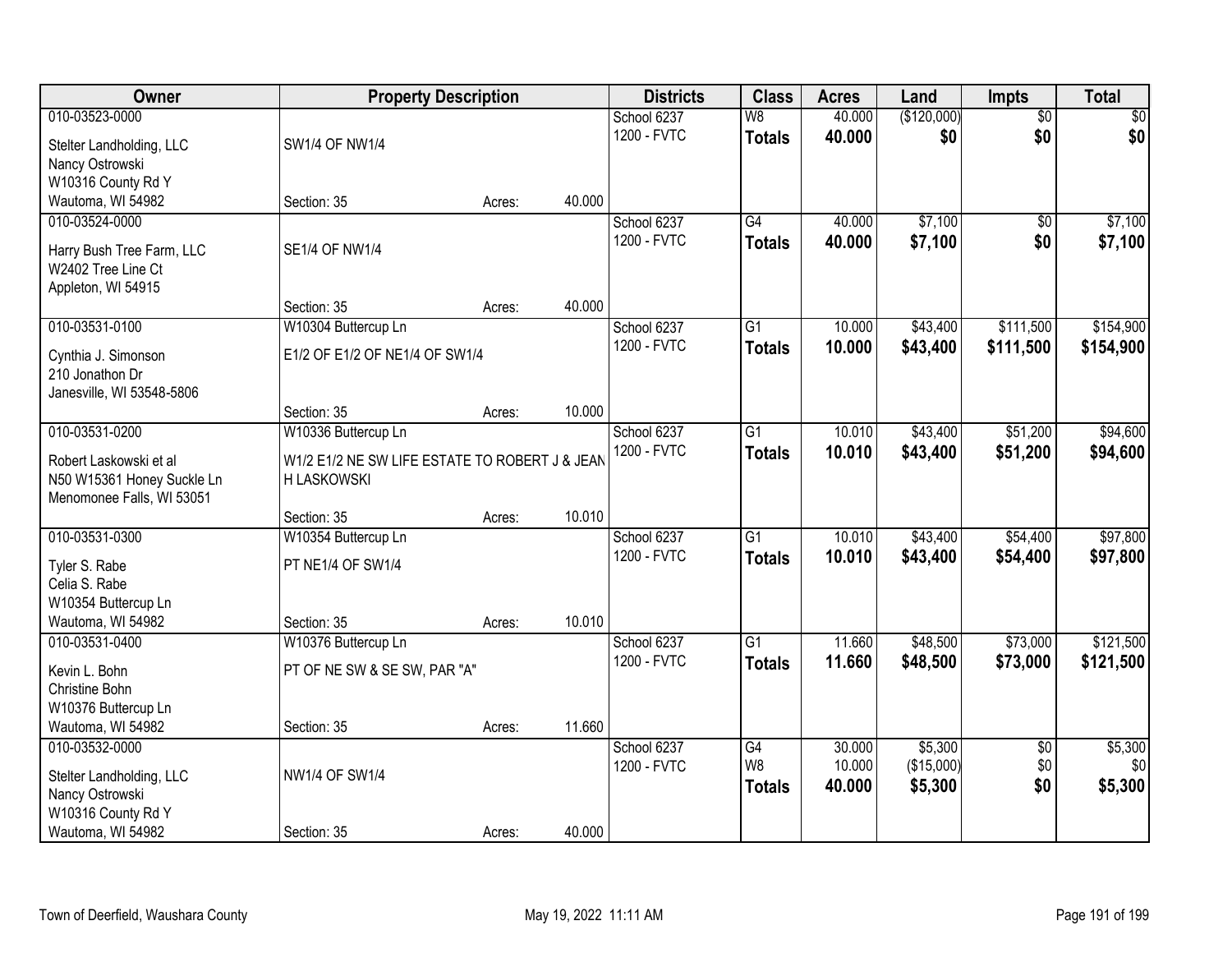| Owner                                       |                                                | <b>Property Description</b> |        | <b>Districts</b> | <b>Class</b>             | <b>Acres</b> | Land        | Impts           | <b>Total</b> |
|---------------------------------------------|------------------------------------------------|-----------------------------|--------|------------------|--------------------------|--------------|-------------|-----------------|--------------|
| 010-03523-0000                              |                                                |                             |        | School 6237      | $\overline{\mathsf{W}8}$ | 40.000       | (\$120,000) | $\overline{50}$ | \$0          |
| Stelter Landholding, LLC                    | SW1/4 OF NW1/4                                 |                             |        | 1200 - FVTC      | <b>Totals</b>            | 40.000       | \$0         | \$0             | \$0          |
| Nancy Ostrowski                             |                                                |                             |        |                  |                          |              |             |                 |              |
| W10316 County Rd Y                          |                                                |                             |        |                  |                          |              |             |                 |              |
| Wautoma, WI 54982                           | Section: 35                                    | Acres:                      | 40.000 |                  |                          |              |             |                 |              |
| 010-03524-0000                              |                                                |                             |        | School 6237      | $\overline{G4}$          | 40.000       | \$7,100     | \$0             | \$7,100      |
| Harry Bush Tree Farm, LLC                   | <b>SE1/4 OF NW1/4</b>                          |                             |        | 1200 - FVTC      | <b>Totals</b>            | 40.000       | \$7,100     | \$0             | \$7,100      |
| W2402 Tree Line Ct                          |                                                |                             |        |                  |                          |              |             |                 |              |
| Appleton, WI 54915                          |                                                |                             |        |                  |                          |              |             |                 |              |
|                                             | Section: 35                                    | Acres:                      | 40.000 |                  |                          |              |             |                 |              |
| 010-03531-0100                              | W10304 Buttercup Ln                            |                             |        | School 6237      | $\overline{G1}$          | 10.000       | \$43,400    | \$111,500       | \$154,900    |
| Cynthia J. Simonson                         | E1/2 OF E1/2 OF NE1/4 OF SW1/4                 |                             |        | 1200 - FVTC      | <b>Totals</b>            | 10.000       | \$43,400    | \$111,500       | \$154,900    |
| 210 Jonathon Dr                             |                                                |                             |        |                  |                          |              |             |                 |              |
| Janesville, WI 53548-5806                   |                                                |                             |        |                  |                          |              |             |                 |              |
|                                             | Section: 35                                    | Acres:                      | 10.000 |                  |                          |              |             |                 |              |
| 010-03531-0200                              | W10336 Buttercup Ln                            |                             |        | School 6237      | $\overline{G1}$          | 10.010       | \$43,400    | \$51,200        | \$94,600     |
| Robert Laskowski et al                      | W1/2 E1/2 NE SW LIFE ESTATE TO ROBERT J & JEAN |                             |        | 1200 - FVTC      | <b>Totals</b>            | 10.010       | \$43,400    | \$51,200        | \$94,600     |
| N50 W15361 Honey Suckle Ln                  | <b>H LASKOWSKI</b>                             |                             |        |                  |                          |              |             |                 |              |
| Menomonee Falls, WI 53051                   |                                                |                             |        |                  |                          |              |             |                 |              |
|                                             | Section: 35                                    | Acres:                      | 10.010 |                  |                          |              |             |                 |              |
| 010-03531-0300                              | W10354 Buttercup Ln                            |                             |        | School 6237      | $\overline{G1}$          | 10.010       | \$43,400    | \$54,400        | \$97,800     |
| Tyler S. Rabe                               | PT NE1/4 OF SW1/4                              |                             |        | 1200 - FVTC      | <b>Totals</b>            | 10.010       | \$43,400    | \$54,400        | \$97,800     |
| Celia S. Rabe                               |                                                |                             |        |                  |                          |              |             |                 |              |
| W10354 Buttercup Ln                         |                                                |                             |        |                  |                          |              |             |                 |              |
| Wautoma, WI 54982                           | Section: 35                                    | Acres:                      | 10.010 |                  |                          |              |             |                 |              |
| 010-03531-0400                              | W10376 Buttercup Ln                            |                             |        | School 6237      | G1                       | 11.660       | \$48,500    | \$73,000        | \$121,500    |
| Kevin L. Bohn                               | PT OF NE SW & SE SW, PAR "A"                   |                             |        | 1200 - FVTC      | <b>Totals</b>            | 11.660       | \$48,500    | \$73,000        | \$121,500    |
| Christine Bohn                              |                                                |                             |        |                  |                          |              |             |                 |              |
| W10376 Buttercup Ln                         |                                                |                             |        |                  |                          |              |             |                 |              |
| Wautoma, WI 54982                           | Section: 35                                    | Acres:                      | 11.660 |                  |                          |              |             |                 |              |
| 010-03532-0000                              |                                                |                             |        | School 6237      | G4                       | 30.000       | \$5,300     | $\overline{50}$ | \$5,300      |
|                                             | <b>NW1/4 OF SW1/4</b>                          |                             |        | 1200 - FVTC      | W <sub>8</sub>           | 10.000       | (\$15,000)  | \$0             | \$0          |
| Stelter Landholding, LLC<br>Nancy Ostrowski |                                                |                             |        |                  | <b>Totals</b>            | 40.000       | \$5,300     | \$0             | \$5,300      |
| W10316 County Rd Y                          |                                                |                             |        |                  |                          |              |             |                 |              |
| Wautoma, WI 54982                           | Section: 35                                    | Acres:                      | 40.000 |                  |                          |              |             |                 |              |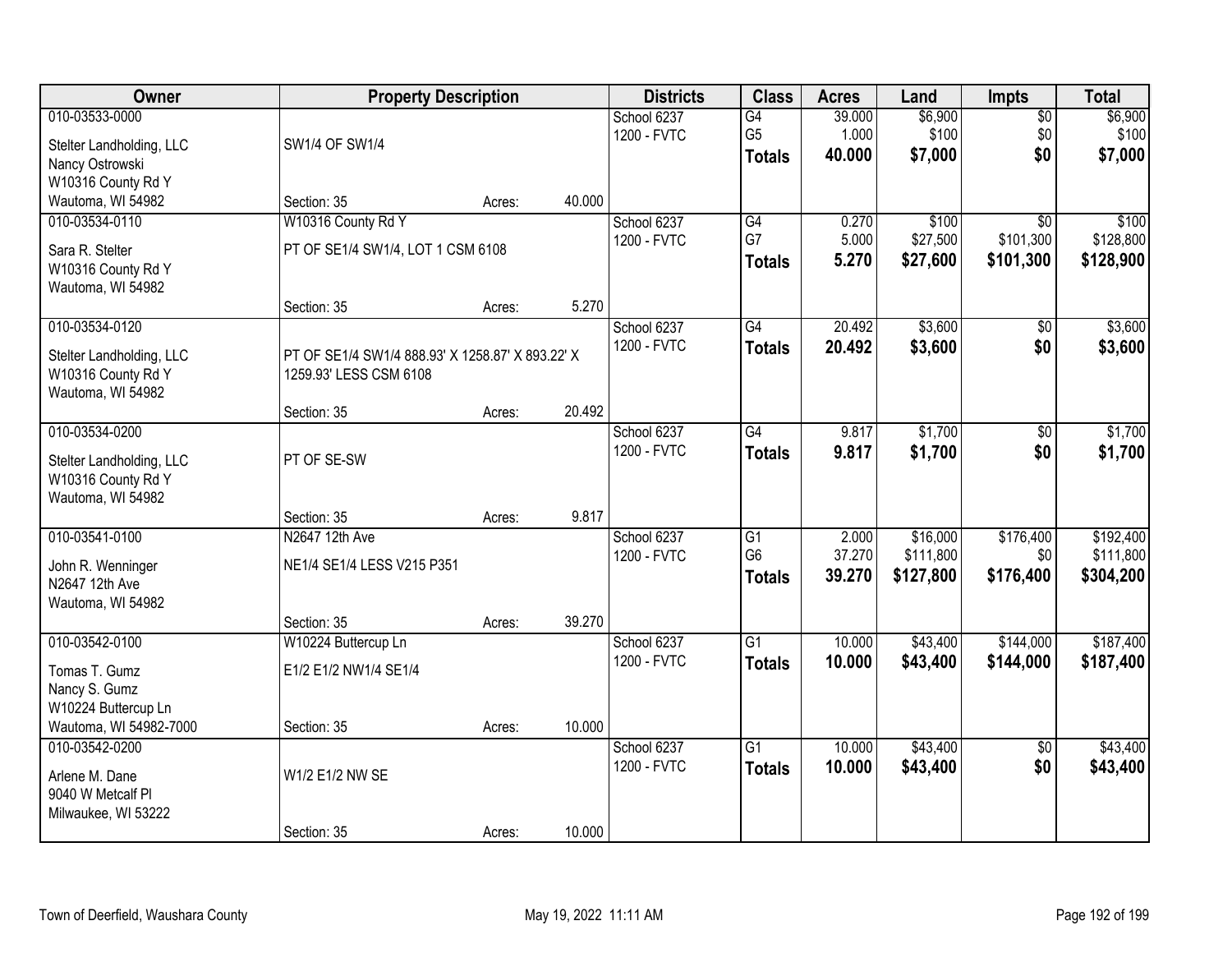| Owner                                                                                 |                                                                            | <b>Property Description</b> |        | <b>Districts</b>           | <b>Class</b>                                       | <b>Acres</b>              | Land                               | Impts                                     | <b>Total</b>                        |
|---------------------------------------------------------------------------------------|----------------------------------------------------------------------------|-----------------------------|--------|----------------------------|----------------------------------------------------|---------------------------|------------------------------------|-------------------------------------------|-------------------------------------|
| 010-03533-0000<br>Stelter Landholding, LLC<br>Nancy Ostrowski<br>W10316 County Rd Y   | SW1/4 OF SW1/4                                                             |                             |        | School 6237<br>1200 - FVTC | G4<br>G <sub>5</sub><br><b>Totals</b>              | 39.000<br>1.000<br>40.000 | \$6,900<br>\$100<br>\$7,000        | $\overline{50}$<br>\$0<br>\$0             | \$6,900<br>\$100<br>\$7,000         |
| Wautoma, WI 54982                                                                     | Section: 35                                                                | Acres:                      | 40.000 |                            |                                                    |                           |                                    |                                           |                                     |
| 010-03534-0110<br>Sara R. Stelter<br>W10316 County Rd Y<br>Wautoma, WI 54982          | W10316 County Rd Y<br>PT OF SE1/4 SW1/4, LOT 1 CSM 6108                    |                             |        | School 6237<br>1200 - FVTC | G4<br>G7<br><b>Totals</b>                          | 0.270<br>5.000<br>5.270   | \$100<br>\$27,500<br>\$27,600      | $\overline{30}$<br>\$101,300<br>\$101,300 | \$100<br>\$128,800<br>\$128,900     |
|                                                                                       | Section: 35                                                                | Acres:                      | 5.270  |                            |                                                    |                           |                                    |                                           |                                     |
| 010-03534-0120<br>Stelter Landholding, LLC<br>W10316 County Rd Y<br>Wautoma, WI 54982 | PT OF SE1/4 SW1/4 888.93' X 1258.87' X 893.22' X<br>1259.93' LESS CSM 6108 |                             |        | School 6237<br>1200 - FVTC | G4<br><b>Totals</b>                                | 20.492<br>20.492          | \$3,600<br>\$3,600                 | \$0<br>\$0                                | \$3,600<br>\$3,600                  |
|                                                                                       | Section: 35                                                                | Acres:                      | 20.492 |                            |                                                    |                           |                                    |                                           |                                     |
| 010-03534-0200<br>Stelter Landholding, LLC<br>W10316 County Rd Y<br>Wautoma, WI 54982 | PT OF SE-SW                                                                |                             |        | School 6237<br>1200 - FVTC | $\overline{G4}$<br><b>Totals</b>                   | 9.817<br>9.817            | \$1,700<br>\$1,700                 | \$0<br>\$0                                | \$1,700<br>\$1,700                  |
|                                                                                       | Section: 35                                                                | Acres:                      | 9.817  |                            |                                                    |                           |                                    |                                           |                                     |
| 010-03541-0100<br>John R. Wenninger<br>N2647 12th Ave<br>Wautoma, WI 54982            | N2647 12th Ave<br>NE1/4 SE1/4 LESS V215 P351<br>Section: 35                | Acres:                      | 39.270 | School 6237<br>1200 - FVTC | $\overline{G1}$<br>G <sub>6</sub><br><b>Totals</b> | 2.000<br>37.270<br>39.270 | \$16,000<br>\$111,800<br>\$127,800 | \$176,400<br>\$0<br>\$176,400             | \$192,400<br>\$111,800<br>\$304,200 |
| 010-03542-0100                                                                        | W10224 Buttercup Ln                                                        |                             |        | School 6237                | $\overline{G1}$                                    | 10.000                    | \$43,400                           | \$144,000                                 | \$187,400                           |
| Tomas T. Gumz<br>Nancy S. Gumz<br>W10224 Buttercup Ln                                 | E1/2 E1/2 NW1/4 SE1/4                                                      |                             |        | 1200 - FVTC                | <b>Totals</b>                                      | 10.000                    | \$43,400                           | \$144,000                                 | \$187,400                           |
| Wautoma, WI 54982-7000                                                                | Section: 35                                                                | Acres:                      | 10.000 |                            |                                                    |                           |                                    |                                           |                                     |
| 010-03542-0200<br>Arlene M. Dane<br>9040 W Metcalf Pl<br>Milwaukee, WI 53222          | W1/2 E1/2 NW SE<br>Section: 35                                             |                             | 10.000 | School 6237<br>1200 - FVTC | $\overline{G1}$<br><b>Totals</b>                   | 10.000<br>10.000          | \$43,400<br>\$43,400               | $\overline{50}$<br>\$0                    | \$43,400<br>\$43,400                |
|                                                                                       |                                                                            | Acres:                      |        |                            |                                                    |                           |                                    |                                           |                                     |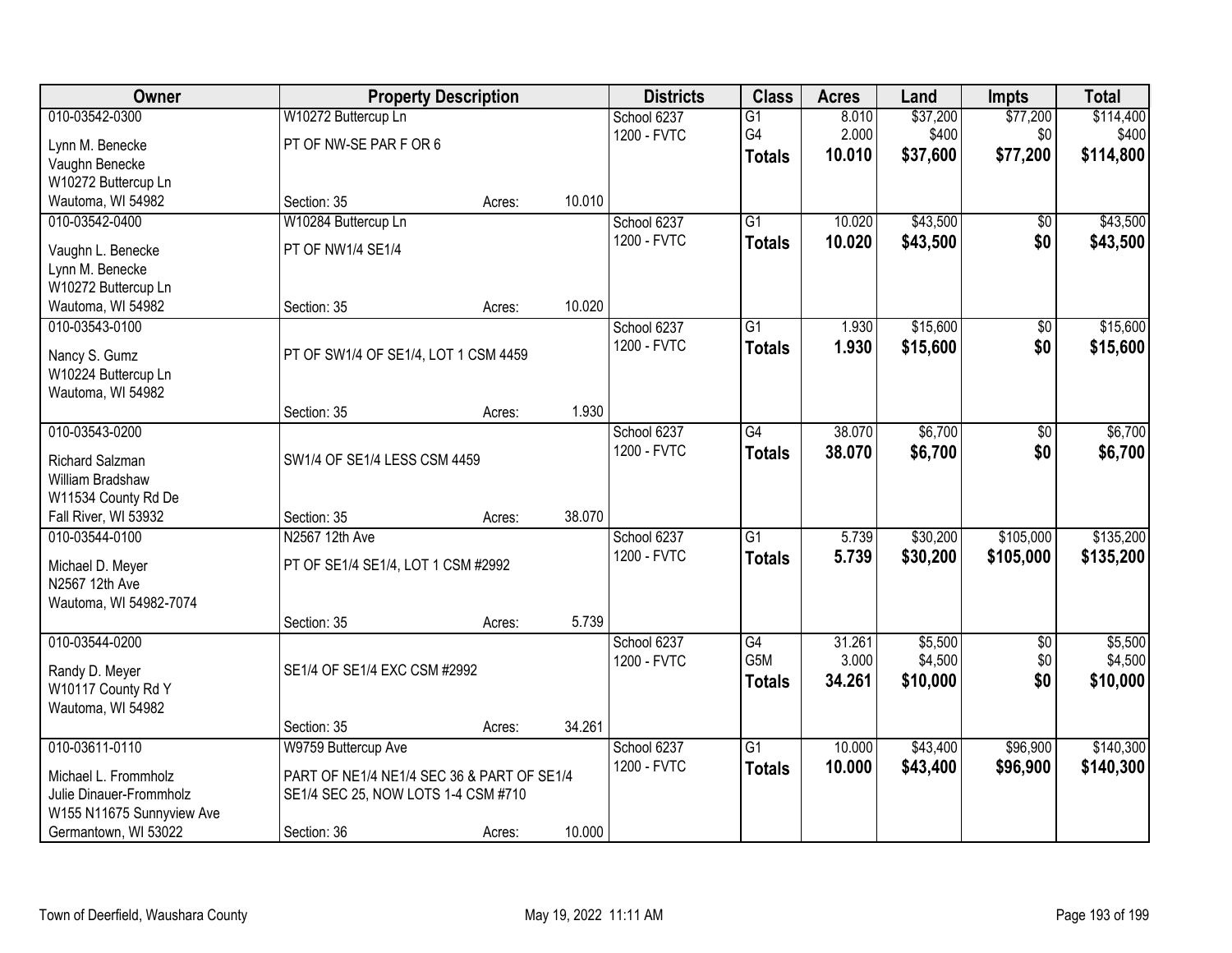| <b>Owner</b>                        |                                            | <b>Property Description</b> |        | <b>Districts</b> | <b>Class</b>    | <b>Acres</b> | Land     | <b>Impts</b>    | <b>Total</b> |
|-------------------------------------|--------------------------------------------|-----------------------------|--------|------------------|-----------------|--------------|----------|-----------------|--------------|
| 010-03542-0300                      | W10272 Buttercup Ln                        |                             |        | School 6237      | $\overline{G1}$ | 8.010        | \$37,200 | \$77,200        | \$114,400    |
| Lynn M. Benecke                     | PT OF NW-SE PAR F OR 6                     |                             |        | 1200 - FVTC      | G4              | 2.000        | \$400    | \$0             | \$400        |
| Vaughn Benecke                      |                                            |                             |        |                  | <b>Totals</b>   | 10.010       | \$37,600 | \$77,200        | \$114,800    |
| W10272 Buttercup Ln                 |                                            |                             |        |                  |                 |              |          |                 |              |
| Wautoma, WI 54982                   | Section: 35                                | Acres:                      | 10.010 |                  |                 |              |          |                 |              |
| 010-03542-0400                      | W10284 Buttercup Ln                        |                             |        | School 6237      | $\overline{G1}$ | 10.020       | \$43,500 | \$0             | \$43,500     |
| Vaughn L. Benecke                   | PT OF NW1/4 SE1/4                          |                             |        | 1200 - FVTC      | <b>Totals</b>   | 10.020       | \$43,500 | \$0             | \$43,500     |
| Lynn M. Benecke                     |                                            |                             |        |                  |                 |              |          |                 |              |
| W10272 Buttercup Ln                 |                                            |                             |        |                  |                 |              |          |                 |              |
| Wautoma, WI 54982                   | Section: 35                                | Acres:                      | 10.020 |                  |                 |              |          |                 |              |
| 010-03543-0100                      |                                            |                             |        | School 6237      | G1              | 1.930        | \$15,600 | \$0             | \$15,600     |
| Nancy S. Gumz                       | PT OF SW1/4 OF SE1/4, LOT 1 CSM 4459       |                             |        | 1200 - FVTC      | <b>Totals</b>   | 1.930        | \$15,600 | \$0             | \$15,600     |
| W10224 Buttercup Ln                 |                                            |                             |        |                  |                 |              |          |                 |              |
| Wautoma, WI 54982                   |                                            |                             |        |                  |                 |              |          |                 |              |
|                                     | Section: 35                                | Acres:                      | 1.930  |                  |                 |              |          |                 |              |
| 010-03543-0200                      |                                            |                             |        | School 6237      | $\overline{G4}$ | 38.070       | \$6,700  | \$0             | \$6,700      |
|                                     |                                            |                             |        | 1200 - FVTC      | <b>Totals</b>   | 38.070       | \$6,700  | \$0             | \$6,700      |
| Richard Salzman<br>William Bradshaw | SW1/4 OF SE1/4 LESS CSM 4459               |                             |        |                  |                 |              |          |                 |              |
| W11534 County Rd De                 |                                            |                             |        |                  |                 |              |          |                 |              |
| Fall River, WI 53932                | Section: 35                                | Acres:                      | 38.070 |                  |                 |              |          |                 |              |
| 010-03544-0100                      | N2567 12th Ave                             |                             |        | School 6237      | $\overline{G1}$ | 5.739        | \$30,200 | \$105,000       | \$135,200    |
|                                     |                                            |                             |        | 1200 - FVTC      | <b>Totals</b>   | 5.739        | \$30,200 | \$105,000       | \$135,200    |
| Michael D. Meyer                    | PT OF SE1/4 SE1/4, LOT 1 CSM #2992         |                             |        |                  |                 |              |          |                 |              |
| N2567 12th Ave                      |                                            |                             |        |                  |                 |              |          |                 |              |
| Wautoma, WI 54982-7074              |                                            |                             | 5.739  |                  |                 |              |          |                 |              |
| 010-03544-0200                      | Section: 35                                | Acres:                      |        | School 6237      | $\overline{G4}$ | 31.261       | \$5,500  | $\overline{50}$ | \$5,500      |
|                                     |                                            |                             |        | 1200 - FVTC      | G5M             | 3.000        | \$4,500  | \$0             | \$4,500      |
| Randy D. Meyer                      | SE1/4 OF SE1/4 EXC CSM #2992               |                             |        |                  | <b>Totals</b>   | 34.261       | \$10,000 | \$0             | \$10,000     |
| W10117 County Rd Y                  |                                            |                             |        |                  |                 |              |          |                 |              |
| Wautoma, WI 54982                   |                                            |                             |        |                  |                 |              |          |                 |              |
|                                     | Section: 35                                | Acres:                      | 34.261 |                  |                 |              |          |                 |              |
| 010-03611-0110                      | W9759 Buttercup Ave                        |                             |        | School 6237      | $\overline{G1}$ | 10.000       | \$43,400 | \$96,900        | \$140,300    |
| Michael L. Frommholz                | PART OF NE1/4 NE1/4 SEC 36 & PART OF SE1/4 |                             |        | 1200 - FVTC      | <b>Totals</b>   | 10.000       | \$43,400 | \$96,900        | \$140,300    |
| Julie Dinauer-Frommholz             | SE1/4 SEC 25, NOW LOTS 1-4 CSM #710        |                             |        |                  |                 |              |          |                 |              |
| W155 N11675 Sunnyview Ave           |                                            |                             |        |                  |                 |              |          |                 |              |
| Germantown, WI 53022                | Section: 36                                | Acres:                      | 10.000 |                  |                 |              |          |                 |              |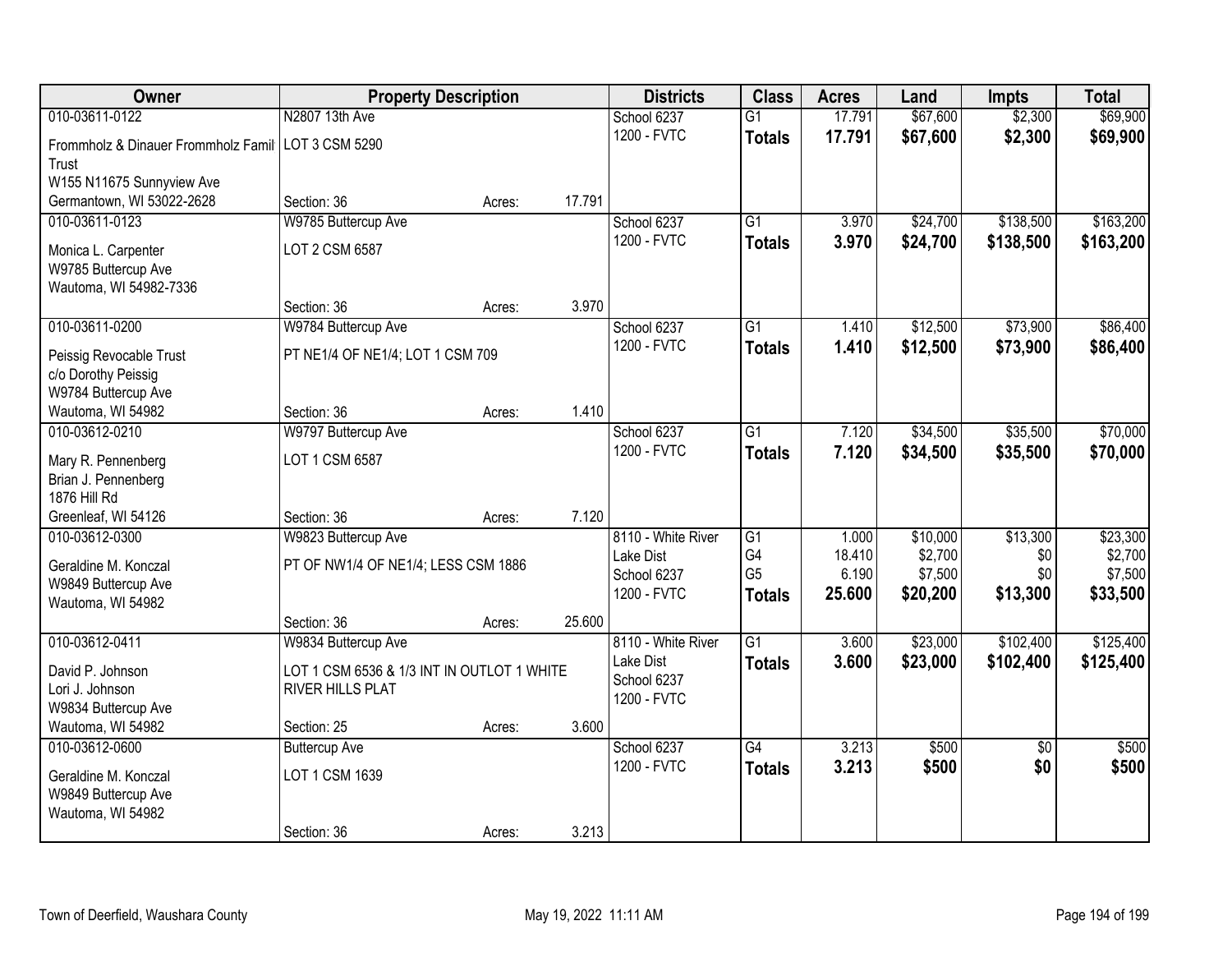| Owner                                                | <b>Property Description</b>                |        |        | <b>Districts</b>   | <b>Class</b>    | <b>Acres</b> | Land     | <b>Impts</b>    | <b>Total</b> |
|------------------------------------------------------|--------------------------------------------|--------|--------|--------------------|-----------------|--------------|----------|-----------------|--------------|
| 010-03611-0122                                       | N2807 13th Ave                             |        |        | School 6237        | $\overline{G1}$ | 17.791       | \$67,600 | \$2,300         | \$69,900     |
| Frommholz & Dinauer Frommholz Famil   LOT 3 CSM 5290 |                                            |        |        | 1200 - FVTC        | <b>Totals</b>   | 17.791       | \$67,600 | \$2,300         | \$69,900     |
| Trust                                                |                                            |        |        |                    |                 |              |          |                 |              |
| W155 N11675 Sunnyview Ave                            |                                            |        |        |                    |                 |              |          |                 |              |
| Germantown, WI 53022-2628                            | Section: 36                                | Acres: | 17.791 |                    |                 |              |          |                 |              |
| 010-03611-0123                                       | W9785 Buttercup Ave                        |        |        | School 6237        | $\overline{G1}$ | 3.970        | \$24,700 | \$138,500       | \$163,200    |
| Monica L. Carpenter                                  | LOT 2 CSM 6587                             |        |        | 1200 - FVTC        | <b>Totals</b>   | 3.970        | \$24,700 | \$138,500       | \$163,200    |
| W9785 Buttercup Ave                                  |                                            |        |        |                    |                 |              |          |                 |              |
| Wautoma, WI 54982-7336                               |                                            |        |        |                    |                 |              |          |                 |              |
|                                                      | Section: 36                                | Acres: | 3.970  |                    |                 |              |          |                 |              |
| 010-03611-0200                                       | W9784 Buttercup Ave                        |        |        | School 6237        | G <sub>1</sub>  | 1.410        | \$12,500 | \$73,900        | \$86,400     |
| Peissig Revocable Trust                              | PT NE1/4 OF NE1/4; LOT 1 CSM 709           |        |        | 1200 - FVTC        | <b>Totals</b>   | 1.410        | \$12,500 | \$73,900        | \$86,400     |
| c/o Dorothy Peissig                                  |                                            |        |        |                    |                 |              |          |                 |              |
| W9784 Buttercup Ave                                  |                                            |        |        |                    |                 |              |          |                 |              |
| Wautoma, WI 54982                                    | Section: 36                                | Acres: | 1.410  |                    |                 |              |          |                 |              |
| 010-03612-0210                                       | W9797 Buttercup Ave                        |        |        | School 6237        | G1              | 7.120        | \$34,500 | \$35,500        | \$70,000     |
| Mary R. Pennenberg                                   | LOT 1 CSM 6587                             |        |        | 1200 - FVTC        | <b>Totals</b>   | 7.120        | \$34,500 | \$35,500        | \$70,000     |
| Brian J. Pennenberg                                  |                                            |        |        |                    |                 |              |          |                 |              |
| 1876 Hill Rd                                         |                                            |        |        |                    |                 |              |          |                 |              |
| Greenleaf, WI 54126                                  | Section: 36                                | Acres: | 7.120  |                    |                 |              |          |                 |              |
| 010-03612-0300                                       | W9823 Buttercup Ave                        |        |        | 8110 - White River | $\overline{G1}$ | 1.000        | \$10,000 | \$13,300        | \$23,300     |
|                                                      |                                            |        |        | Lake Dist          | G <sub>4</sub>  | 18.410       | \$2,700  | \$0             | \$2,700      |
| Geraldine M. Konczal                                 | PT OF NW1/4 OF NE1/4; LESS CSM 1886        |        |        | School 6237        | G <sub>5</sub>  | 6.190        | \$7,500  | \$0             | \$7,500      |
| W9849 Buttercup Ave                                  |                                            |        |        | 1200 - FVTC        | <b>Totals</b>   | 25.600       | \$20,200 | \$13,300        | \$33,500     |
| Wautoma, WI 54982                                    | Section: 36                                | Acres: | 25.600 |                    |                 |              |          |                 |              |
| 010-03612-0411                                       | W9834 Buttercup Ave                        |        |        | 8110 - White River | $\overline{G1}$ | 3.600        | \$23,000 | \$102,400       | \$125,400    |
|                                                      |                                            |        |        | Lake Dist          | <b>Totals</b>   | 3.600        | \$23,000 | \$102,400       | \$125,400    |
| David P. Johnson                                     | LOT 1 CSM 6536 & 1/3 INT IN OUTLOT 1 WHITE |        |        | School 6237        |                 |              |          |                 |              |
| Lori J. Johnson                                      | RIVER HILLS PLAT                           |        |        | 1200 - FVTC        |                 |              |          |                 |              |
| W9834 Buttercup Ave                                  |                                            |        |        |                    |                 |              |          |                 |              |
| Wautoma, WI 54982                                    | Section: 25                                | Acres: | 3.600  |                    |                 |              |          |                 |              |
| 010-03612-0600                                       | <b>Buttercup Ave</b>                       |        |        | School 6237        | $\overline{G4}$ | 3.213        | \$500    | $\overline{50}$ | \$500        |
| Geraldine M. Konczal                                 | LOT 1 CSM 1639                             |        |        | 1200 - FVTC        | <b>Totals</b>   | 3.213        | \$500    | \$0             | \$500        |
| W9849 Buttercup Ave                                  |                                            |        |        |                    |                 |              |          |                 |              |
| Wautoma, WI 54982                                    |                                            |        |        |                    |                 |              |          |                 |              |
|                                                      | Section: 36                                | Acres: | 3.213  |                    |                 |              |          |                 |              |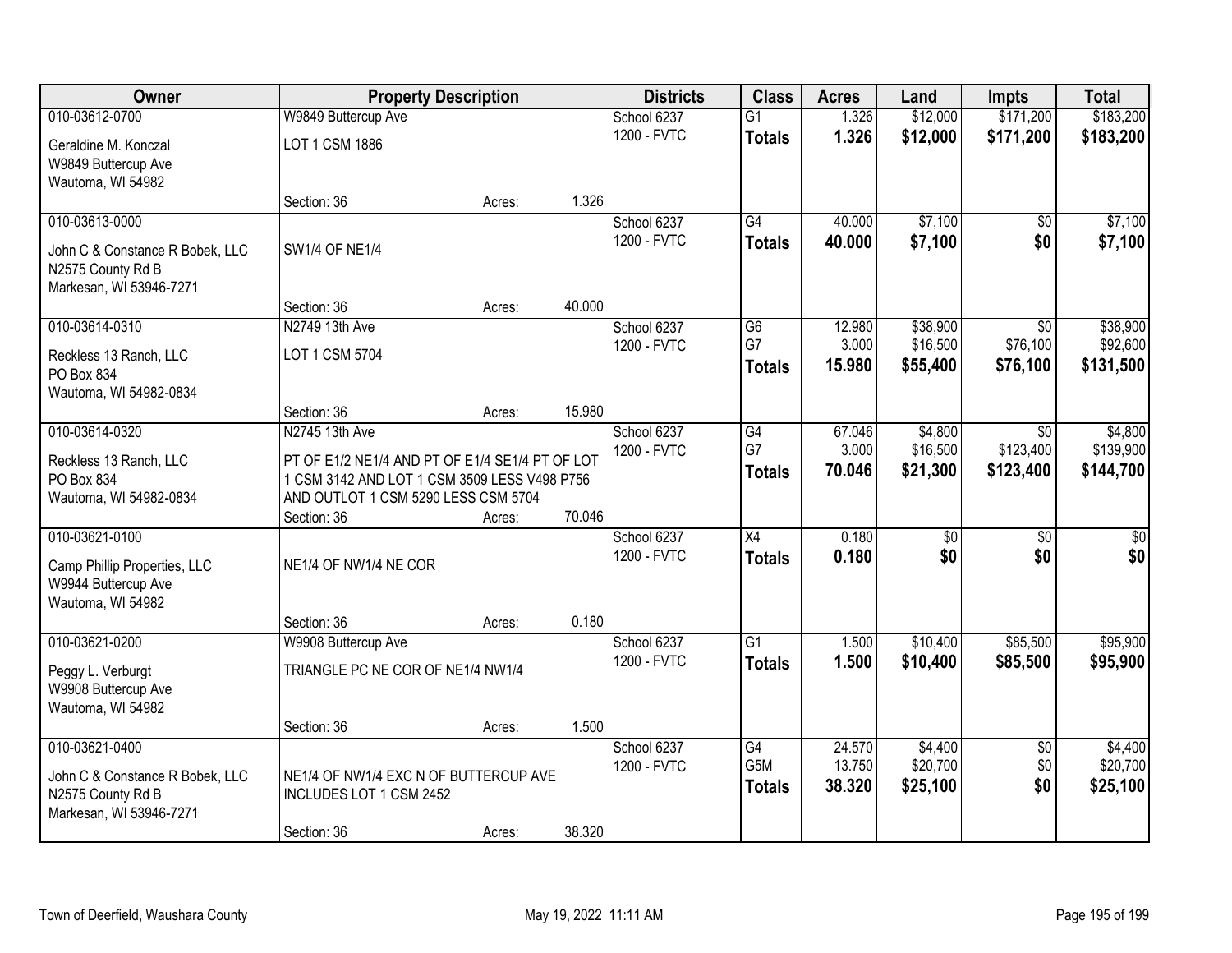| Owner                           | <b>Property Description</b>                     |        |        | <b>Districts</b> | <b>Class</b>    | <b>Acres</b> | Land            | <b>Impts</b>    | <b>Total</b>     |
|---------------------------------|-------------------------------------------------|--------|--------|------------------|-----------------|--------------|-----------------|-----------------|------------------|
| 010-03612-0700                  | W9849 Buttercup Ave                             |        |        | School 6237      | $\overline{G1}$ | 1.326        | \$12,000        | \$171,200       | \$183,200        |
| Geraldine M. Konczal            | LOT 1 CSM 1886                                  |        |        | 1200 - FVTC      | <b>Totals</b>   | 1.326        | \$12,000        | \$171,200       | \$183,200        |
| W9849 Buttercup Ave             |                                                 |        |        |                  |                 |              |                 |                 |                  |
| Wautoma, WI 54982               |                                                 |        |        |                  |                 |              |                 |                 |                  |
|                                 | Section: 36                                     | Acres: | 1.326  |                  |                 |              |                 |                 |                  |
| 010-03613-0000                  |                                                 |        |        | School 6237      | $\overline{G4}$ | 40.000       | \$7,100         | $\overline{50}$ | \$7,100          |
| John C & Constance R Bobek, LLC | <b>SW1/4 OF NE1/4</b>                           |        |        | 1200 - FVTC      | <b>Totals</b>   | 40.000       | \$7,100         | \$0             | \$7,100          |
| N2575 County Rd B               |                                                 |        |        |                  |                 |              |                 |                 |                  |
| Markesan, WI 53946-7271         |                                                 |        |        |                  |                 |              |                 |                 |                  |
|                                 | Section: 36                                     | Acres: | 40.000 |                  |                 |              |                 |                 |                  |
| 010-03614-0310                  | N2749 13th Ave                                  |        |        | School 6237      | G6              | 12.980       | \$38,900        | \$0             | \$38,900         |
| Reckless 13 Ranch, LLC          | LOT 1 CSM 5704                                  |        |        | 1200 - FVTC      | G7              | 3.000        | \$16,500        | \$76,100        | \$92,600         |
| PO Box 834                      |                                                 |        |        |                  | <b>Totals</b>   | 15.980       | \$55,400        | \$76,100        | \$131,500        |
| Wautoma, WI 54982-0834          |                                                 |        |        |                  |                 |              |                 |                 |                  |
|                                 | Section: 36                                     | Acres: | 15.980 |                  |                 |              |                 |                 |                  |
| 010-03614-0320                  | N2745 13th Ave                                  |        |        | School 6237      | $\overline{G4}$ | 67.046       | \$4,800         | $\overline{50}$ | \$4,800          |
| Reckless 13 Ranch, LLC          | PT OF E1/2 NE1/4 AND PT OF E1/4 SE1/4 PT OF LOT |        |        | 1200 - FVTC      | G7              | 3.000        | \$16,500        | \$123,400       | \$139,900        |
| PO Box 834                      | 1 CSM 3142 AND LOT 1 CSM 3509 LESS V498 P756    |        |        |                  | <b>Totals</b>   | 70.046       | \$21,300        | \$123,400       | \$144,700        |
| Wautoma, WI 54982-0834          | AND OUTLOT 1 CSM 5290 LESS CSM 5704             |        |        |                  |                 |              |                 |                 |                  |
|                                 | Section: 36                                     | Acres: | 70.046 |                  |                 |              |                 |                 |                  |
| 010-03621-0100                  |                                                 |        |        | School 6237      | $\overline{X4}$ | 0.180        | $\overline{50}$ | $\overline{50}$ | $\overline{\$0}$ |
| Camp Phillip Properties, LLC    | NE1/4 OF NW1/4 NE COR                           |        |        | 1200 - FVTC      | <b>Totals</b>   | 0.180        | \$0             | \$0             | \$0              |
| W9944 Buttercup Ave             |                                                 |        |        |                  |                 |              |                 |                 |                  |
| Wautoma, WI 54982               |                                                 |        |        |                  |                 |              |                 |                 |                  |
|                                 | Section: 36                                     | Acres: | 0.180  |                  |                 |              |                 |                 |                  |
| 010-03621-0200                  | W9908 Buttercup Ave                             |        |        | School 6237      | $\overline{G1}$ | 1.500        | \$10,400        | \$85,500        | \$95,900         |
| Peggy L. Verburgt               | TRIANGLE PC NE COR OF NE1/4 NW1/4               |        |        | 1200 - FVTC      | <b>Totals</b>   | 1.500        | \$10,400        | \$85,500        | \$95,900         |
| W9908 Buttercup Ave             |                                                 |        |        |                  |                 |              |                 |                 |                  |
| Wautoma, WI 54982               |                                                 |        |        |                  |                 |              |                 |                 |                  |
|                                 | Section: 36                                     | Acres: | 1.500  |                  |                 |              |                 |                 |                  |
| 010-03621-0400                  |                                                 |        |        | School 6237      | G4              | 24.570       | \$4,400         | $\overline{30}$ | \$4,400          |
| John C & Constance R Bobek, LLC | NE1/4 OF NW1/4 EXC N OF BUTTERCUP AVE           |        |        | 1200 - FVTC      | G5M             | 13.750       | \$20,700        | \$0             | \$20,700         |
| N2575 County Rd B               | INCLUDES LOT 1 CSM 2452                         |        |        |                  | <b>Totals</b>   | 38.320       | \$25,100        | \$0             | \$25,100         |
| Markesan, WI 53946-7271         |                                                 |        |        |                  |                 |              |                 |                 |                  |
|                                 | Section: 36                                     | Acres: | 38.320 |                  |                 |              |                 |                 |                  |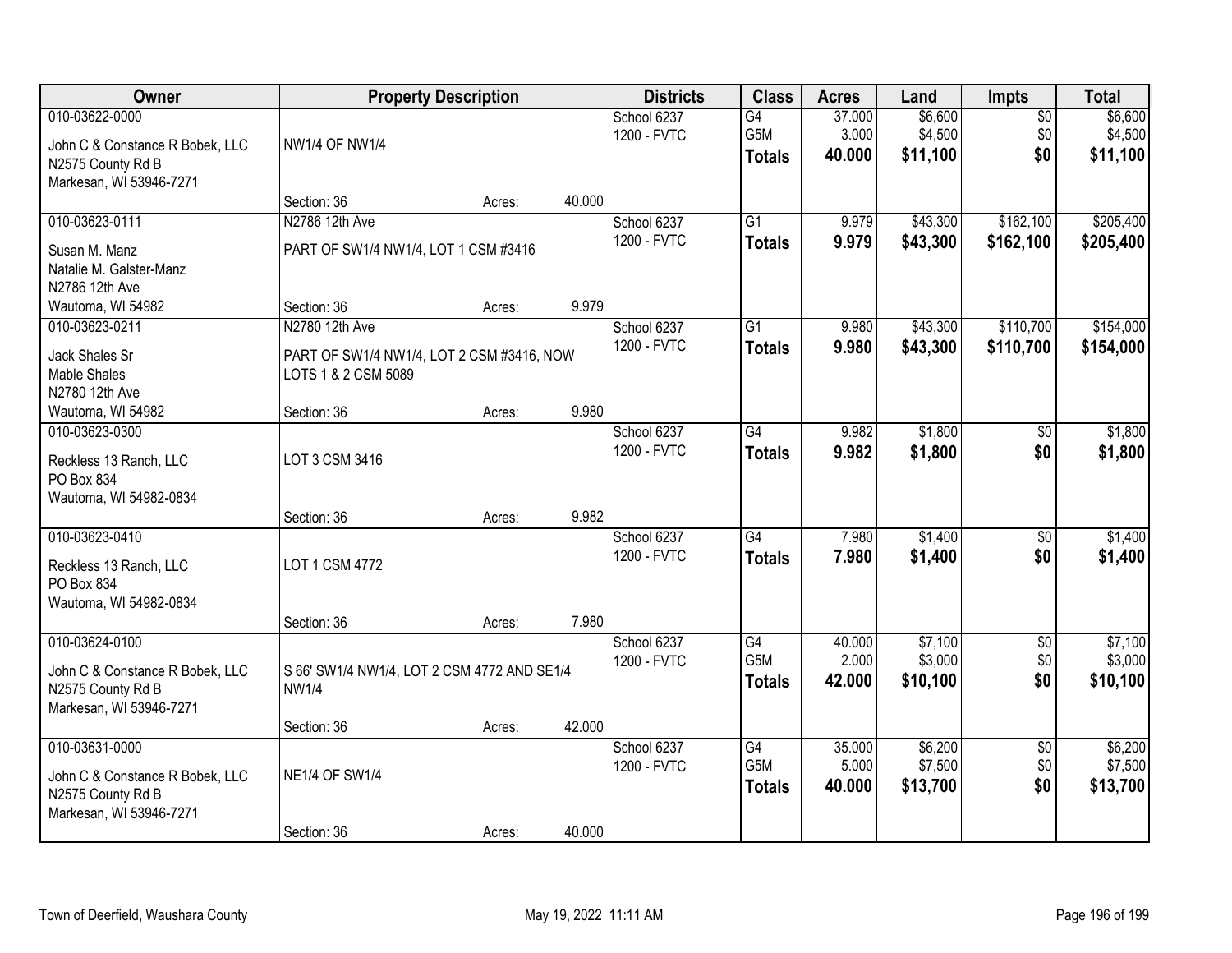| Owner                                                                                             | <b>Property Description</b>                                                        |        |        | <b>Districts</b>           | <b>Class</b>                            | <b>Acres</b>              | Land                           | <b>Impts</b>                  | <b>Total</b>                   |
|---------------------------------------------------------------------------------------------------|------------------------------------------------------------------------------------|--------|--------|----------------------------|-----------------------------------------|---------------------------|--------------------------------|-------------------------------|--------------------------------|
| 010-03622-0000<br>John C & Constance R Bobek, LLC<br>N2575 County Rd B<br>Markesan, WI 53946-7271 | <b>NW1/4 OF NW1/4</b>                                                              |        |        | School 6237<br>1200 - FVTC | G4<br>G5M<br><b>Totals</b>              | 37.000<br>3.000<br>40,000 | \$6,600<br>\$4,500<br>\$11,100 | $\overline{50}$<br>\$0<br>\$0 | \$6,600<br>\$4,500<br>\$11,100 |
|                                                                                                   | Section: 36                                                                        | Acres: | 40.000 |                            |                                         |                           |                                |                               |                                |
| 010-03623-0111<br>Susan M. Manz<br>Natalie M. Galster-Manz<br>N2786 12th Ave                      | N2786 12th Ave<br>PART OF SW1/4 NW1/4, LOT 1 CSM #3416                             |        |        | School 6237<br>1200 - FVTC | $\overline{G1}$<br><b>Totals</b>        | 9.979<br>9.979            | \$43,300<br>\$43,300           | \$162,100<br>\$162,100        | \$205,400<br>\$205,400         |
| Wautoma, WI 54982                                                                                 | Section: 36                                                                        | Acres: | 9.979  |                            |                                         |                           |                                |                               |                                |
| 010-03623-0211<br>Jack Shales Sr<br><b>Mable Shales</b><br>N2780 12th Ave                         | N2780 12th Ave<br>PART OF SW1/4 NW1/4, LOT 2 CSM #3416, NOW<br>LOTS 1 & 2 CSM 5089 |        |        | School 6237<br>1200 - FVTC | $\overline{G1}$<br><b>Totals</b>        | 9.980<br>9.980            | \$43,300<br>\$43,300           | \$110,700<br>\$110,700        | \$154,000<br>\$154,000         |
| Wautoma, WI 54982                                                                                 | Section: 36                                                                        | Acres: | 9.980  |                            |                                         |                           |                                |                               |                                |
| 010-03623-0300<br>Reckless 13 Ranch, LLC<br>PO Box 834<br>Wautoma, WI 54982-0834                  | LOT 3 CSM 3416                                                                     |        |        | School 6237<br>1200 - FVTC | G4<br><b>Totals</b>                     | 9.982<br>9.982            | \$1,800<br>\$1,800             | $\sqrt[6]{}$<br>\$0           | \$1,800<br>\$1,800             |
|                                                                                                   | Section: 36                                                                        | Acres: | 9.982  |                            |                                         |                           |                                |                               |                                |
| 010-03623-0410<br>Reckless 13 Ranch, LLC<br>PO Box 834<br>Wautoma, WI 54982-0834                  | LOT 1 CSM 4772<br>Section: 36                                                      | Acres: | 7.980  | School 6237<br>1200 - FVTC | $\overline{G4}$<br><b>Totals</b>        | 7.980<br>7.980            | \$1,400<br>\$1,400             | $\overline{50}$<br>\$0        | \$1,400<br>\$1,400             |
| 010-03624-0100                                                                                    |                                                                                    |        |        | School 6237                | $\overline{G4}$                         | 40.000                    | \$7,100                        | $\sqrt{$0}$                   | \$7,100                        |
| John C & Constance R Bobek, LLC<br>N2575 County Rd B<br>Markesan, WI 53946-7271                   | S 66' SW1/4 NW1/4, LOT 2 CSM 4772 AND SE1/4<br><b>NW1/4</b>                        |        |        | 1200 - FVTC                | G5M<br><b>Totals</b>                    | 2.000<br>42.000           | \$3,000<br>\$10,100            | \$0<br>\$0                    | \$3,000<br>\$10,100            |
|                                                                                                   | Section: 36                                                                        | Acres: | 42.000 |                            |                                         |                           |                                |                               |                                |
| 010-03631-0000<br>John C & Constance R Bobek, LLC<br>N2575 County Rd B<br>Markesan, WI 53946-7271 | <b>NE1/4 OF SW1/4</b><br>Section: 36                                               | Acres: | 40.000 | School 6237<br>1200 - FVTC | $\overline{G4}$<br>G5M<br><b>Totals</b> | 35.000<br>5.000<br>40.000 | \$6,200<br>\$7,500<br>\$13,700 | $\overline{50}$<br>\$0<br>\$0 | \$6,200<br>\$7,500<br>\$13,700 |
|                                                                                                   |                                                                                    |        |        |                            |                                         |                           |                                |                               |                                |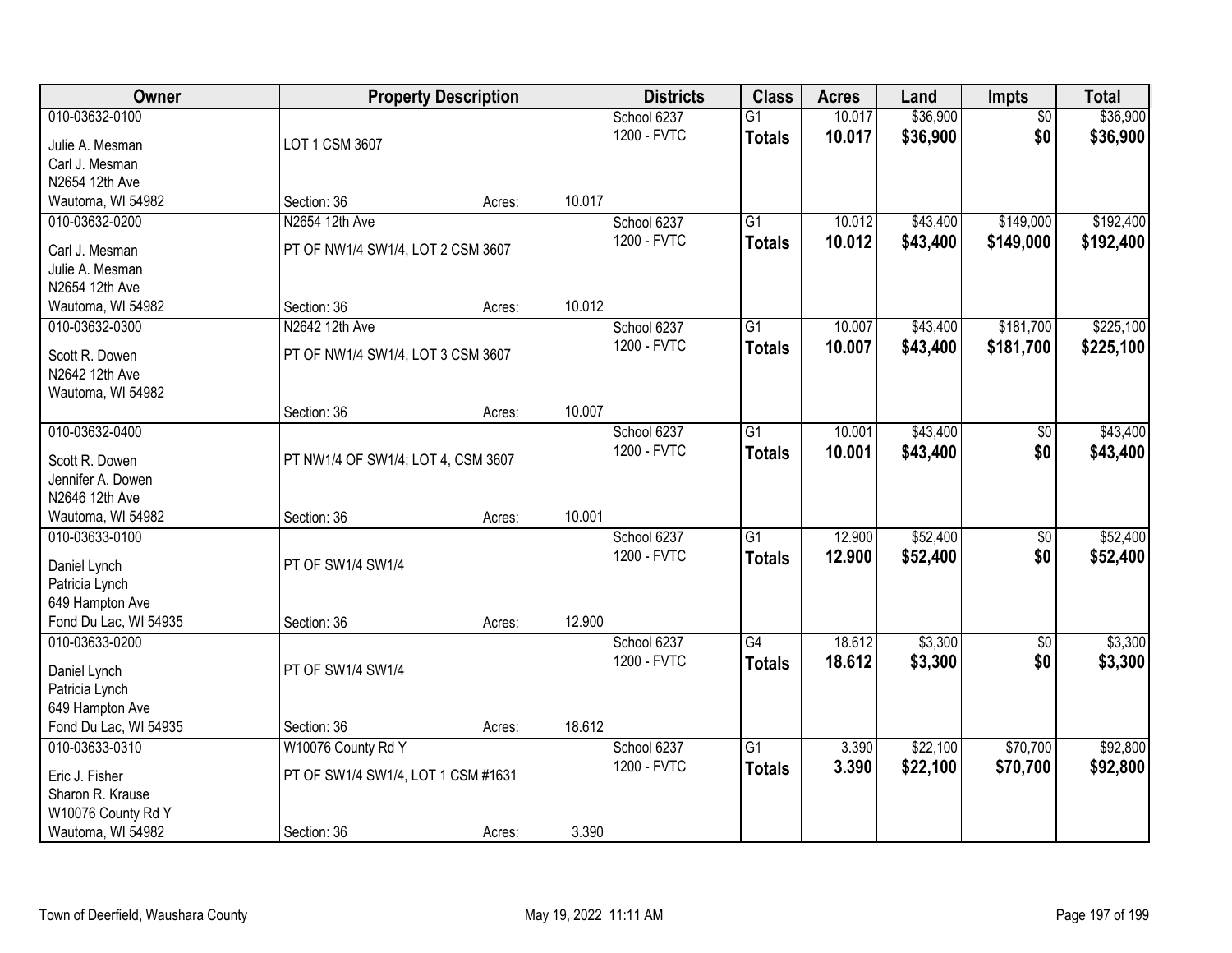| Owner                                    |                                    | <b>Property Description</b> |        | <b>Districts</b> | <b>Class</b>    | <b>Acres</b> | Land     | <b>Impts</b>    | <b>Total</b> |
|------------------------------------------|------------------------------------|-----------------------------|--------|------------------|-----------------|--------------|----------|-----------------|--------------|
| 010-03632-0100                           |                                    |                             |        | School 6237      | $\overline{G1}$ | 10.017       | \$36,900 | $\overline{50}$ | \$36,900     |
| Julie A. Mesman                          | LOT 1 CSM 3607                     |                             |        | 1200 - FVTC      | <b>Totals</b>   | 10.017       | \$36,900 | \$0             | \$36,900     |
| Carl J. Mesman                           |                                    |                             |        |                  |                 |              |          |                 |              |
| N2654 12th Ave                           |                                    |                             |        |                  |                 |              |          |                 |              |
| Wautoma, WI 54982                        | Section: 36                        | Acres:                      | 10.017 |                  |                 |              |          |                 |              |
| 010-03632-0200                           | N2654 12th Ave                     |                             |        | School 6237      | $\overline{G1}$ | 10.012       | \$43,400 | \$149,000       | \$192,400    |
| Carl J. Mesman                           | PT OF NW1/4 SW1/4, LOT 2 CSM 3607  |                             |        | 1200 - FVTC      | <b>Totals</b>   | 10.012       | \$43,400 | \$149,000       | \$192,400    |
| Julie A. Mesman                          |                                    |                             |        |                  |                 |              |          |                 |              |
| N2654 12th Ave                           |                                    |                             |        |                  |                 |              |          |                 |              |
| Wautoma, WI 54982                        | Section: 36                        | Acres:                      | 10.012 |                  |                 |              |          |                 |              |
| 010-03632-0300                           | N2642 12th Ave                     |                             |        | School 6237      | G1              | 10.007       | \$43,400 | \$181,700       | \$225,100    |
| Scott R. Dowen                           | PT OF NW1/4 SW1/4, LOT 3 CSM 3607  |                             |        | 1200 - FVTC      | <b>Totals</b>   | 10.007       | \$43,400 | \$181,700       | \$225,100    |
| N2642 12th Ave                           |                                    |                             |        |                  |                 |              |          |                 |              |
| Wautoma, WI 54982                        |                                    |                             |        |                  |                 |              |          |                 |              |
|                                          | Section: 36                        | Acres:                      | 10.007 |                  |                 |              |          |                 |              |
| 010-03632-0400                           |                                    |                             |        | School 6237      | G1              | 10.001       | \$43,400 | \$0             | \$43,400     |
|                                          |                                    |                             |        | 1200 - FVTC      | <b>Totals</b>   | 10.001       | \$43,400 | \$0             | \$43,400     |
| Scott R. Dowen<br>Jennifer A. Dowen      | PT NW1/4 OF SW1/4; LOT 4, CSM 3607 |                             |        |                  |                 |              |          |                 |              |
| N2646 12th Ave                           |                                    |                             |        |                  |                 |              |          |                 |              |
| Wautoma, WI 54982                        | Section: 36                        | Acres:                      | 10.001 |                  |                 |              |          |                 |              |
| 010-03633-0100                           |                                    |                             |        | School 6237      | $\overline{G1}$ | 12.900       | \$52,400 | $\overline{50}$ | \$52,400     |
|                                          |                                    |                             |        | 1200 - FVTC      | <b>Totals</b>   | 12.900       | \$52,400 | \$0             | \$52,400     |
| Daniel Lynch                             | PT OF SW1/4 SW1/4                  |                             |        |                  |                 |              |          |                 |              |
| Patricia Lynch                           |                                    |                             |        |                  |                 |              |          |                 |              |
| 649 Hampton Ave<br>Fond Du Lac, WI 54935 | Section: 36                        |                             | 12.900 |                  |                 |              |          |                 |              |
| 010-03633-0200                           |                                    | Acres:                      |        | School 6237      | $\overline{G4}$ | 18.612       | \$3,300  | $\sqrt{6}$      | \$3,300      |
|                                          |                                    |                             |        | 1200 - FVTC      | <b>Totals</b>   | 18.612       | \$3,300  | \$0             | \$3,300      |
| Daniel Lynch                             | PT OF SW1/4 SW1/4                  |                             |        |                  |                 |              |          |                 |              |
| Patricia Lynch                           |                                    |                             |        |                  |                 |              |          |                 |              |
| 649 Hampton Ave                          |                                    |                             |        |                  |                 |              |          |                 |              |
| Fond Du Lac, WI 54935                    | Section: 36                        | Acres:                      | 18.612 |                  |                 |              |          |                 |              |
| 010-03633-0310                           | W10076 County Rd Y                 |                             |        | School 6237      | $\overline{G1}$ | 3.390        | \$22,100 | \$70,700        | \$92,800     |
| Eric J. Fisher                           | PT OF SW1/4 SW1/4, LOT 1 CSM #1631 |                             |        | 1200 - FVTC      | <b>Totals</b>   | 3.390        | \$22,100 | \$70,700        | \$92,800     |
| Sharon R. Krause                         |                                    |                             |        |                  |                 |              |          |                 |              |
| W10076 County Rd Y                       |                                    |                             |        |                  |                 |              |          |                 |              |
| Wautoma, WI 54982                        | Section: 36                        | Acres:                      | 3.390  |                  |                 |              |          |                 |              |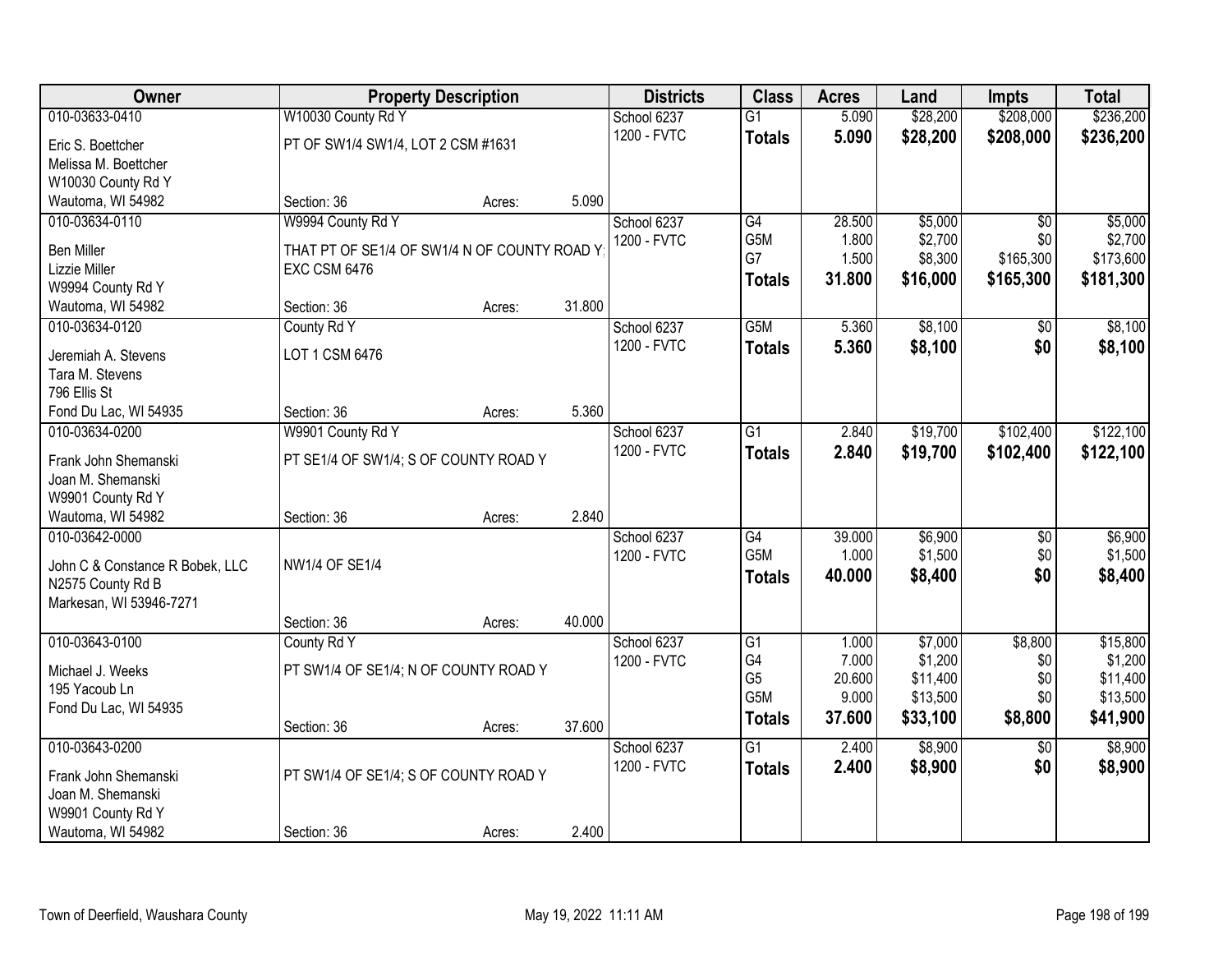| Owner                                                | <b>Property Description</b>                  |        |        | <b>Districts</b> | <b>Class</b>     | <b>Acres</b> | Land     | <b>Impts</b>    | <b>Total</b> |
|------------------------------------------------------|----------------------------------------------|--------|--------|------------------|------------------|--------------|----------|-----------------|--------------|
| 010-03633-0410                                       | W10030 County Rd Y                           |        |        | School 6237      | $\overline{G1}$  | 5.090        | \$28,200 | \$208,000       | \$236,200    |
| Eric S. Boettcher                                    | PT OF SW1/4 SW1/4, LOT 2 CSM #1631           |        |        | 1200 - FVTC      | <b>Totals</b>    | 5.090        | \$28,200 | \$208,000       | \$236,200    |
| Melissa M. Boettcher                                 |                                              |        |        |                  |                  |              |          |                 |              |
| W10030 County Rd Y                                   |                                              |        |        |                  |                  |              |          |                 |              |
| Wautoma, WI 54982                                    | Section: 36                                  | Acres: | 5.090  |                  |                  |              |          |                 |              |
| 010-03634-0110                                       | W9994 County Rd Y                            |        |        | School 6237      | G4               | 28.500       | \$5,000  | $\overline{50}$ | \$5,000      |
| <b>Ben Miller</b>                                    | THAT PT OF SE1/4 OF SW1/4 N OF COUNTY ROAD Y |        |        | 1200 - FVTC      | G5M              | 1.800        | \$2,700  | \$0             | \$2,700      |
| Lizzie Miller                                        | <b>EXC CSM 6476</b>                          |        |        |                  | G7               | 1.500        | \$8,300  | \$165,300       | \$173,600    |
| W9994 County Rd Y                                    |                                              |        |        |                  | <b>Totals</b>    | 31.800       | \$16,000 | \$165,300       | \$181,300    |
| Wautoma, WI 54982                                    | Section: 36                                  | Acres: | 31.800 |                  |                  |              |          |                 |              |
| 010-03634-0120                                       | County Rd Y                                  |        |        | School 6237      | G <sub>5</sub> M | 5.360        | \$8,100  | \$0             | \$8,100      |
| Jeremiah A. Stevens                                  | LOT 1 CSM 6476                               |        |        | 1200 - FVTC      | <b>Totals</b>    | 5.360        | \$8,100  | \$0             | \$8,100      |
| Tara M. Stevens                                      |                                              |        |        |                  |                  |              |          |                 |              |
| 796 Ellis St                                         |                                              |        |        |                  |                  |              |          |                 |              |
| Fond Du Lac, WI 54935                                | Section: 36                                  | Acres: | 5.360  |                  |                  |              |          |                 |              |
| 010-03634-0200                                       | W9901 County Rd Y                            |        |        | School 6237      | G1               | 2.840        | \$19,700 | \$102,400       | \$122,100    |
|                                                      |                                              |        |        | 1200 - FVTC      | <b>Totals</b>    | 2.840        | \$19,700 | \$102,400       | \$122,100    |
| Frank John Shemanski<br>Joan M. Shemanski            | PT SE1/4 OF SW1/4; S OF COUNTY ROAD Y        |        |        |                  |                  |              |          |                 |              |
| W9901 County Rd Y                                    |                                              |        |        |                  |                  |              |          |                 |              |
| Wautoma, WI 54982                                    | Section: 36                                  | Acres: | 2.840  |                  |                  |              |          |                 |              |
| 010-03642-0000                                       |                                              |        |        | School 6237      | $\overline{G4}$  | 39.000       | \$6,900  | $\overline{50}$ | \$6,900      |
|                                                      |                                              |        |        | 1200 - FVTC      | G <sub>5</sub> M | 1.000        | \$1,500  | \$0             | \$1,500      |
| John C & Constance R Bobek, LLC<br>N2575 County Rd B | <b>NW1/4 OF SE1/4</b>                        |        |        |                  | <b>Totals</b>    | 40.000       | \$8,400  | \$0             | \$8,400      |
| Markesan, WI 53946-7271                              |                                              |        |        |                  |                  |              |          |                 |              |
|                                                      | Section: 36                                  | Acres: | 40.000 |                  |                  |              |          |                 |              |
| 010-03643-0100                                       | County Rd Y                                  |        |        | School 6237      | G1               | 1.000        | \$7,000  | \$8,800         | \$15,800     |
|                                                      |                                              |        |        | 1200 - FVTC      | G4               | 7.000        | \$1,200  | \$0             | \$1,200      |
| Michael J. Weeks                                     | PT SW1/4 OF SE1/4; N OF COUNTY ROAD Y        |        |        |                  | G <sub>5</sub>   | 20.600       | \$11,400 | \$0             | \$11,400     |
| 195 Yacoub Ln<br>Fond Du Lac, WI 54935               |                                              |        |        |                  | G5M              | 9.000        | \$13,500 | \$0             | \$13,500     |
|                                                      | Section: 36                                  | Acres: | 37.600 |                  | <b>Totals</b>    | 37.600       | \$33,100 | \$8,800         | \$41,900     |
| 010-03643-0200                                       |                                              |        |        | School 6237      | $\overline{G1}$  | 2.400        | \$8,900  | $\overline{50}$ | \$8,900      |
|                                                      |                                              |        |        | 1200 - FVTC      | <b>Totals</b>    | 2.400        | \$8,900  | \$0             | \$8,900      |
| Frank John Shemanski                                 | PT SW1/4 OF SE1/4; S OF COUNTY ROAD Y        |        |        |                  |                  |              |          |                 |              |
| Joan M. Shemanski                                    |                                              |        |        |                  |                  |              |          |                 |              |
| W9901 County Rd Y<br>Wautoma, WI 54982               | Section: 36                                  | Acres: | 2.400  |                  |                  |              |          |                 |              |
|                                                      |                                              |        |        |                  |                  |              |          |                 |              |